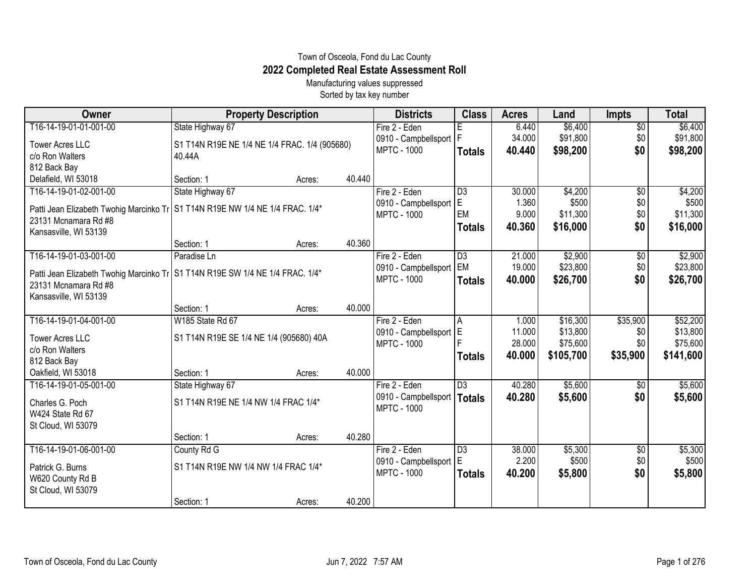## Town of Osceola, Fond du Lac County **2022 Completed Real Estate Assessment Roll**

Manufacturing values suppressed Sorted by tax key number

| Owner                                                                           | <b>Property Description</b>                   |        |        | <b>Districts</b>     | <b>Class</b>    | <b>Acres</b> | Land      | <b>Impts</b>    | <b>Total</b> |
|---------------------------------------------------------------------------------|-----------------------------------------------|--------|--------|----------------------|-----------------|--------------|-----------|-----------------|--------------|
| T16-14-19-01-01-001-00                                                          | State Highway 67                              |        |        | Fire 2 - Eden        | Έ               | 6.440        | \$6,400   | $\overline{$0}$ | \$6,400      |
| <b>Tower Acres LLC</b>                                                          | S1 T14N R19E NE 1/4 NE 1/4 FRAC. 1/4 (905680) |        |        | 0910 - Campbellsport |                 | 34.000       | \$91,800  | \$0             | \$91,800     |
| c/o Ron Walters                                                                 | 40.44A                                        |        |        | <b>MPTC - 1000</b>   | <b>Totals</b>   | 40.440       | \$98,200  | \$0             | \$98,200     |
| 812 Back Bay                                                                    |                                               |        |        |                      |                 |              |           |                 |              |
| Delafield, WI 53018                                                             | Section: 1                                    | Acres: | 40.440 |                      |                 |              |           |                 |              |
| T16-14-19-01-02-001-00                                                          | State Highway 67                              |        |        | Fire 2 - Eden        | $\overline{D3}$ | 30.000       | \$4,200   | $\overline{60}$ | \$4,200      |
| Patti Jean Elizabeth Twohig Marcinko Tr   S1 T14N R19E NW 1/4 NE 1/4 FRAC. 1/4* |                                               |        |        | 0910 - Campbellsport | E               | 1.360        | \$500     | \$0             | \$500        |
| 23131 Mcnamara Rd #8                                                            |                                               |        |        | <b>MPTC - 1000</b>   | EM              | 9.000        | \$11,300  | \$0             | \$11,300     |
| Kansasville, WI 53139                                                           |                                               |        |        |                      | <b>Totals</b>   | 40.360       | \$16,000  | \$0             | \$16,000     |
|                                                                                 | Section: 1                                    | Acres: | 40.360 |                      |                 |              |           |                 |              |
| T16-14-19-01-03-001-00                                                          | Paradise Ln                                   |        |        | Fire 2 - Eden        | $\overline{D3}$ | 21.000       | \$2,900   | \$0             | \$2,900      |
| Patti Jean Elizabeth Twohig Marcinko Tr   S1 T14N R19E SW 1/4 NE 1/4 FRAC. 1/4* |                                               |        |        | 0910 - Campbellsport | <b>EM</b>       | 19.000       | \$23,800  | \$0             | \$23,800     |
| 23131 Mcnamara Rd #8                                                            |                                               |        |        | <b>MPTC - 1000</b>   | <b>Totals</b>   | 40.000       | \$26,700  | \$0             | \$26,700     |
| Kansasville, WI 53139                                                           |                                               |        |        |                      |                 |              |           |                 |              |
|                                                                                 | Section: 1                                    | Acres: | 40.000 |                      |                 |              |           |                 |              |
| T16-14-19-01-04-001-00                                                          | W185 State Rd 67                              |        |        | Fire 2 - Eden        | A               | 1.000        | \$16,300  | \$35,900        | \$52,200     |
| <b>Tower Acres LLC</b>                                                          | S1 T14N R19E SE 1/4 NE 1/4 (905680) 40A       |        |        | 0910 - Campbellsport | E               | 11.000       | \$13,800  | \$0             | \$13,800     |
| c/o Ron Walters                                                                 |                                               |        |        | <b>MPTC - 1000</b>   |                 | 28.000       | \$75,600  | \$0             | \$75,600     |
| 812 Back Bay                                                                    |                                               |        |        |                      | <b>Totals</b>   | 40.000       | \$105,700 | \$35,900        | \$141,600    |
| Oakfield, WI 53018                                                              | Section: 1                                    | Acres: | 40.000 |                      |                 |              |           |                 |              |
| T16-14-19-01-05-001-00                                                          | State Highway 67                              |        |        | Fire 2 - Eden        | $\overline{D3}$ | 40.280       | \$5,600   | $\frac{1}{20}$  | \$5,600      |
|                                                                                 | S1 T14N R19E NE 1/4 NW 1/4 FRAC 1/4*          |        |        | 0910 - Campbellsport | <b>Totals</b>   | 40.280       | \$5,600   | \$0             | \$5,600      |
| Charles G. Poch<br>W424 State Rd 67                                             |                                               |        |        | <b>MPTC - 1000</b>   |                 |              |           |                 |              |
| St Cloud, WI 53079                                                              |                                               |        |        |                      |                 |              |           |                 |              |
|                                                                                 | Section: 1                                    | Acres: | 40.280 |                      |                 |              |           |                 |              |
| T16-14-19-01-06-001-00                                                          | County Rd G                                   |        |        | Fire 2 - Eden        | $\overline{D3}$ | 38.000       | \$5,300   | \$0             | \$5,300      |
|                                                                                 |                                               |        |        | 0910 - Campbellsport | ΙE              | 2.200        | \$500     | \$0             | \$500        |
| Patrick G. Burns                                                                | S1 T14N R19E NW 1/4 NW 1/4 FRAC 1/4*          |        |        | <b>MPTC - 1000</b>   | <b>Totals</b>   | 40.200       | \$5,800   | \$0             | \$5,800      |
| W620 County Rd B                                                                |                                               |        |        |                      |                 |              |           |                 |              |
| St Cloud, WI 53079                                                              | Section: 1                                    | Acres: | 40.200 |                      |                 |              |           |                 |              |
|                                                                                 |                                               |        |        |                      |                 |              |           |                 |              |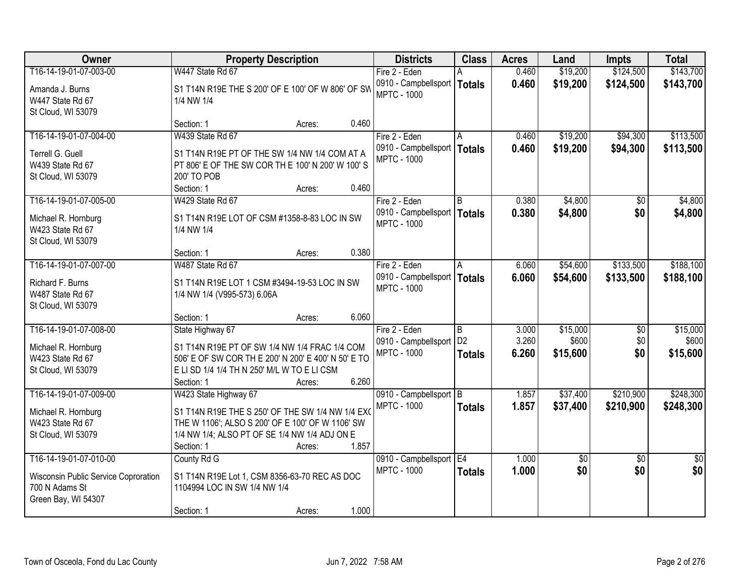| <b>Owner</b>                                                  |                                                                                                                   | <b>Property Description</b> |       |                                                     | <b>Class</b>                   | <b>Acres</b>   | Land                 | <b>Impts</b>           | <b>Total</b>           |
|---------------------------------------------------------------|-------------------------------------------------------------------------------------------------------------------|-----------------------------|-------|-----------------------------------------------------|--------------------------------|----------------|----------------------|------------------------|------------------------|
| T16-14-19-01-07-003-00                                        | W447 State Rd 67                                                                                                  |                             |       | Fire 2 - Eden                                       |                                | 0.460          | \$19,200             | \$124,500              | \$143,700              |
| Amanda J. Burns<br>W447 State Rd 67<br>St Cloud, WI 53079     | S1 T14N R19E THE S 200' OF E 100' OF W 806' OF SW<br>1/4 NW 1/4                                                   |                             |       | 0910 - Campbellsport   Totals<br><b>MPTC - 1000</b> |                                | 0.460          | \$19,200             | \$124,500              | \$143,700              |
|                                                               | Section: 1                                                                                                        | Acres:                      | 0.460 |                                                     |                                |                |                      |                        |                        |
| T16-14-19-01-07-004-00                                        | W439 State Rd 67                                                                                                  |                             |       | Fire 2 - Eden<br>0910 - Campbellsport   Totals      |                                | 0.460<br>0.460 | \$19,200<br>\$19,200 | \$94,300<br>\$94,300   | \$113,500<br>\$113,500 |
| Terrell G. Guell<br>W439 State Rd 67<br>St Cloud, WI 53079    | S1 T14N R19E PT OF THE SW 1/4 NW 1/4 COM AT A<br>PT 806' E OF THE SW COR TH E 100' N 200' W 100' S<br>200' TO POB |                             |       | <b>MPTC - 1000</b>                                  |                                |                |                      |                        |                        |
|                                                               | Section: 1                                                                                                        | Acres:                      | 0.460 |                                                     |                                |                |                      |                        |                        |
| T16-14-19-01-07-005-00                                        | W429 State Rd 67                                                                                                  |                             |       | Fire 2 - Eden                                       | l B                            | 0.380          | \$4,800              | \$0                    | \$4,800                |
| Michael R. Hornburg<br>W423 State Rd 67<br>St Cloud, WI 53079 | S1 T14N R19E LOT OF CSM #1358-8-83 LOC IN SW<br>1/4 NW 1/4                                                        |                             |       | 0910 - Campbellsport   Totals<br><b>MPTC - 1000</b> |                                | 0.380          | \$4,800              | \$0                    | \$4,800                |
|                                                               | Section: 1                                                                                                        | Acres:                      | 0.380 |                                                     |                                |                |                      |                        |                        |
| T16-14-19-01-07-007-00                                        | W487 State Rd 67                                                                                                  |                             |       | Fire 2 - Eden                                       | l A                            | 6.060          | \$54,600             | \$133,500              | \$188,100              |
| Richard F. Burns<br>W487 State Rd 67<br>St Cloud, WI 53079    | S1 T14N R19E LOT 1 CSM #3494-19-53 LOC IN SW<br>1/4 NW 1/4 (V995-573) 6.06A                                       |                             |       | 0910 - Campbellsport   Totals<br><b>MPTC - 1000</b> |                                | 6.060          | \$54,600             | \$133,500              | \$188,100              |
|                                                               | Section: 1                                                                                                        | Acres:                      | 6.060 |                                                     |                                |                |                      |                        |                        |
| T16-14-19-01-07-008-00                                        | State Highway 67                                                                                                  |                             |       | Fire 2 - Eden<br>0910 - Campbellsport               | <sub>B</sub><br>D <sub>2</sub> | 3.000<br>3.260 | \$15,000<br>\$600    | $\overline{50}$<br>\$0 | \$15,000<br>\$600      |
| Michael R. Hornburg<br>W423 State Rd 67                       | S1 T14N R19E PT OF SW 1/4 NW 1/4 FRAC 1/4 COM<br>506' E OF SW COR TH E 200' N 200' E 400' N 50' E TO              |                             |       | <b>MPTC - 1000</b>                                  | <b>Totals</b>                  | 6.260          | \$15,600             | \$0                    | \$15,600               |
| St Cloud, WI 53079                                            | E LI SD 1/4 1/4 TH N 250' M/L W TO E LI CSM<br>Section: 1                                                         | Acres:                      | 6.260 |                                                     |                                |                |                      |                        |                        |
| T16-14-19-01-07-009-00                                        | W423 State Highway 67                                                                                             |                             |       | 0910 - Campbellsport B                              |                                | 1.857          | \$37,400             | \$210,900              | \$248,300              |
| Michael R. Hornburg                                           | S1 T14N R19E THE S 250' OF THE SW 1/4 NW 1/4 EXO                                                                  |                             |       | <b>MPTC - 1000</b>                                  | <b>Totals</b>                  | 1.857          | \$37,400             | \$210,900              | \$248,300              |
| W423 State Rd 67                                              | THE W 1106'; ALSO S 200' OF E 100' OF W 1106' SW                                                                  |                             |       |                                                     |                                |                |                      |                        |                        |
| St Cloud, WI 53079                                            | 1/4 NW 1/4; ALSO PT OF SE 1/4 NW 1/4 ADJ ON E                                                                     |                             |       |                                                     |                                |                |                      |                        |                        |
|                                                               | Section: 1                                                                                                        | Acres:                      | 1.857 |                                                     |                                |                |                      |                        |                        |
| T16-14-19-01-07-010-00                                        | County Rd G                                                                                                       |                             |       | 0910 - Campbellsport E4<br><b>MPTC - 1000</b>       |                                | 1.000<br>1.000 | $\sqrt{$0}$<br>\$0   | $\overline{50}$<br>\$0 | $\overline{50}$<br>\$0 |
| Wisconsin Public Service Coproration<br>700 N Adams St        | S1 T14N R19E Lot 1, CSM 8356-63-70 REC AS DOC<br>1104994 LOC IN SW 1/4 NW 1/4                                     |                             |       |                                                     | <b>Totals</b>                  |                |                      |                        |                        |
| Green Bay, WI 54307                                           | Section: 1                                                                                                        | Acres:                      | 1.000 |                                                     |                                |                |                      |                        |                        |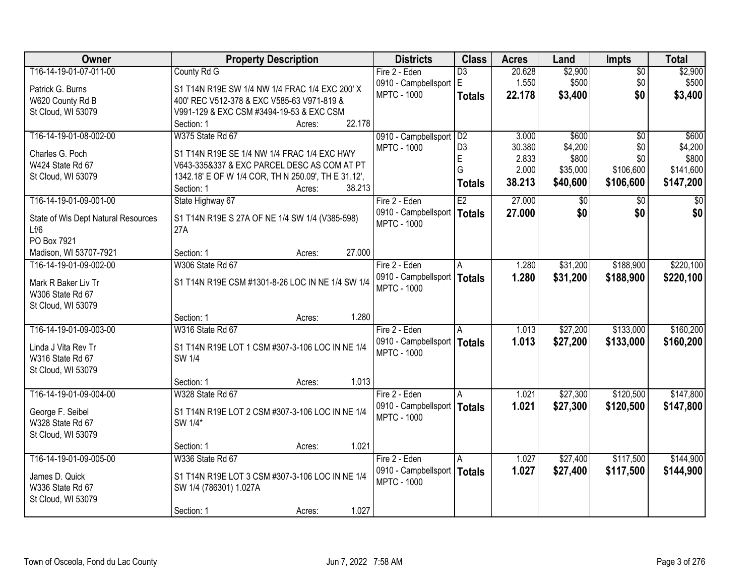| Owner                                   | <b>Property Description</b>                         |                  | <b>Districts</b>                                    | <b>Class</b>    | <b>Acres</b> | Land     | <b>Impts</b>    | <b>Total</b> |
|-----------------------------------------|-----------------------------------------------------|------------------|-----------------------------------------------------|-----------------|--------------|----------|-----------------|--------------|
| T16-14-19-01-07-011-00                  | County Rd G                                         |                  | Fire 2 - Eden                                       | $\overline{D3}$ | 20.628       | \$2,900  | $\sqrt{$0}$     | \$2,900      |
| Patrick G. Burns                        | S1 T14N R19E SW 1/4 NW 1/4 FRAC 1/4 EXC 200' X      |                  | 0910 - Campbellsport E                              |                 | 1.550        | \$500    | \$0             | \$500        |
| W620 County Rd B                        | 400' REC V512-378 & EXC V585-63 V971-819 &          |                  | <b>MPTC - 1000</b>                                  | <b>Totals</b>   | 22.178       | \$3,400  | \$0             | \$3,400      |
| St Cloud, WI 53079                      | V991-129 & EXC CSM #3494-19-53 & EXC CSM            |                  |                                                     |                 |              |          |                 |              |
|                                         | Section: 1                                          | 22.178<br>Acres: |                                                     |                 |              |          |                 |              |
| T16-14-19-01-08-002-00                  | W375 State Rd 67                                    |                  | 0910 - Campbellsport                                | D2              | 3.000        | \$600    | $\overline{50}$ | \$600        |
| Charles G. Poch                         | S1 T14N R19E SE 1/4 NW 1/4 FRAC 1/4 EXC HWY         |                  | <b>MPTC - 1000</b>                                  | D <sub>3</sub>  | 30.380       | \$4,200  | \$0             | \$4,200      |
| W424 State Rd 67                        | V643-335&337 & EXC PARCEL DESC AS COM AT PT         |                  |                                                     | $\mathsf E$     | 2.833        | \$800    | \$0             | \$800        |
| St Cloud, WI 53079                      | 1342.18' E OF W 1/4 COR, TH N 250.09', TH E 31.12', |                  |                                                     | G               | 2.000        | \$35,000 | \$106,600       | \$141,600    |
|                                         | Section: 1                                          | 38.213<br>Acres: |                                                     | <b>Totals</b>   | 38.213       | \$40,600 | \$106,600       | \$147,200    |
| T16-14-19-01-09-001-00                  | State Highway 67                                    |                  | Fire 2 - Eden                                       | E2              | 27.000       | \$0      | $\sqrt[6]{}$    | $\sqrt{50}$  |
| State of Wis Dept Natural Resources     | S1 T14N R19E S 27A OF NE 1/4 SW 1/4 (V385-598)      |                  | 0910 - Campbellsport   Totals                       |                 | 27.000       | \$0      | \$0             | \$0          |
| Lf/6                                    | 27A                                                 |                  | <b>MPTC - 1000</b>                                  |                 |              |          |                 |              |
| PO Box 7921                             |                                                     |                  |                                                     |                 |              |          |                 |              |
| Madison, WI 53707-7921                  | Section: 1                                          | 27.000<br>Acres: |                                                     |                 |              |          |                 |              |
| T16-14-19-01-09-002-00                  | W306 State Rd 67                                    |                  | Fire 2 - Eden                                       | A               | 1.280        | \$31,200 | \$188,900       | \$220,100    |
|                                         |                                                     |                  | 0910 - Campbellsport                                | Totals          | 1.280        | \$31,200 | \$188,900       | \$220,100    |
| Mark R Baker Liv Tr<br>W306 State Rd 67 | S1 T14N R19E CSM #1301-8-26 LOC IN NE 1/4 SW 1/4    |                  | <b>MPTC - 1000</b>                                  |                 |              |          |                 |              |
| St Cloud, WI 53079                      |                                                     |                  |                                                     |                 |              |          |                 |              |
|                                         | Section: 1                                          | 1.280<br>Acres:  |                                                     |                 |              |          |                 |              |
| T16-14-19-01-09-003-00                  | W316 State Rd 67                                    |                  | Fire 2 - Eden                                       | A               | 1.013        | \$27,200 | \$133,000       | \$160,200    |
|                                         |                                                     |                  | 0910 - Campbellsport   Totals                       |                 | 1.013        | \$27,200 | \$133,000       | \$160,200    |
| Linda J Vita Rev Tr                     | S1 T14N R19E LOT 1 CSM #307-3-106 LOC IN NE 1/4     |                  | <b>MPTC - 1000</b>                                  |                 |              |          |                 |              |
| W316 State Rd 67                        | SW 1/4                                              |                  |                                                     |                 |              |          |                 |              |
| St Cloud, WI 53079                      |                                                     |                  |                                                     |                 |              |          |                 |              |
|                                         | Section: 1                                          | 1.013<br>Acres:  |                                                     |                 |              |          |                 |              |
| T16-14-19-01-09-004-00                  | W328 State Rd 67                                    |                  | Fire 2 - Eden                                       | A               | 1.021        | \$27,300 | \$120,500       | \$147,800    |
| George F. Seibel                        | S1 T14N R19E LOT 2 CSM #307-3-106 LOC IN NE 1/4     |                  | 0910 - Campbellsport   Totals<br><b>MPTC - 1000</b> |                 | 1.021        | \$27,300 | \$120,500       | \$147,800    |
| W328 State Rd 67                        | SW 1/4*                                             |                  |                                                     |                 |              |          |                 |              |
| St Cloud, WI 53079                      |                                                     |                  |                                                     |                 |              |          |                 |              |
|                                         | Section: 1                                          | 1.021<br>Acres:  |                                                     |                 |              |          |                 |              |
| T16-14-19-01-09-005-00                  | W336 State Rd 67                                    |                  | Fire 2 - Eden                                       | A               | 1.027        | \$27,400 | \$117,500       | \$144,900    |
| James D. Quick                          | S1 T14N R19E LOT 3 CSM #307-3-106 LOC IN NE 1/4     |                  | 0910 - Campbellsport                                | Totals          | 1.027        | \$27,400 | \$117,500       | \$144,900    |
| W336 State Rd 67                        | SW 1/4 (786301) 1.027A                              |                  | <b>MPTC - 1000</b>                                  |                 |              |          |                 |              |
| St Cloud, WI 53079                      |                                                     |                  |                                                     |                 |              |          |                 |              |
|                                         | Section: 1                                          | 1.027<br>Acres:  |                                                     |                 |              |          |                 |              |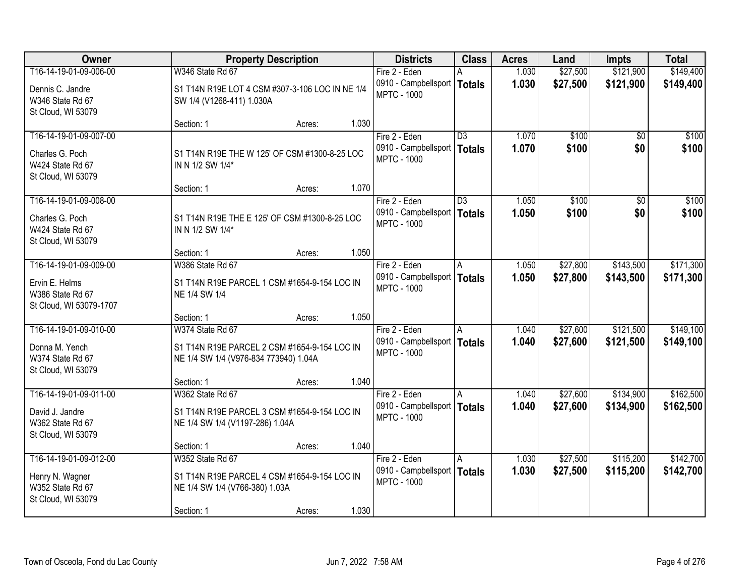| Owner                                                                               |                                                                                                                  | <b>Property Description</b> |       | <b>Districts</b>                                                     | <b>Class</b>                     | <b>Acres</b>   | Land                 | <b>Impts</b>           | <b>Total</b>           |
|-------------------------------------------------------------------------------------|------------------------------------------------------------------------------------------------------------------|-----------------------------|-------|----------------------------------------------------------------------|----------------------------------|----------------|----------------------|------------------------|------------------------|
| T16-14-19-01-09-006-00                                                              | W346 State Rd 67                                                                                                 |                             |       | Fire 2 - Eden                                                        |                                  | 1.030          | \$27,500             | \$121,900              | \$149,400              |
| Dennis C. Jandre<br>W346 State Rd 67<br>St Cloud, WI 53079                          | S1 T14N R19E LOT 4 CSM #307-3-106 LOC IN NE 1/4<br>SW 1/4 (V1268-411) 1.030A                                     |                             |       | 0910 - Campbellsport<br><b>MPTC - 1000</b>                           | <b>Totals</b>                    | 1.030          | \$27,500             | \$121,900              | \$149,400              |
|                                                                                     | Section: 1                                                                                                       | Acres:                      | 1.030 |                                                                      |                                  |                |                      |                        |                        |
| T16-14-19-01-09-007-00<br>Charles G. Poch<br>W424 State Rd 67<br>St Cloud, WI 53079 | S1 T14N R19E THE W 125' OF CSM #1300-8-25 LOC<br>IN N 1/2 SW 1/4*                                                |                             |       | Fire 2 - Eden<br>0910 - Campbellsport<br><b>MPTC - 1000</b>          | $\overline{D3}$<br><b>Totals</b> | 1.070<br>1.070 | \$100<br>\$100       | \$0<br>\$0             | \$100<br>\$100         |
|                                                                                     | Section: 1                                                                                                       | Acres:                      | 1.070 |                                                                      |                                  |                |                      |                        |                        |
| T16-14-19-01-09-008-00<br>Charles G. Poch<br>W424 State Rd 67<br>St Cloud, WI 53079 | S1 T14N R19E THE E 125' OF CSM #1300-8-25 LOC<br>IN N 1/2 SW 1/4*                                                |                             |       | Fire 2 - Eden<br>0910 - Campbellsport<br><b>MPTC - 1000</b>          | $\overline{D3}$<br><b>Totals</b> | 1.050<br>1.050 | \$100<br>\$100       | $\overline{50}$<br>\$0 | \$100<br>\$100         |
|                                                                                     | Section: 1                                                                                                       | Acres:                      | 1.050 |                                                                      |                                  |                |                      |                        |                        |
| T16-14-19-01-09-009-00                                                              | W386 State Rd 67                                                                                                 |                             |       | Fire 2 - Eden                                                        | l A                              | 1.050          | \$27,800             | \$143,500              | \$171,300              |
| Ervin E. Helms<br>W386 State Rd 67<br>St Cloud, WI 53079-1707                       | S1 T14N R19E PARCEL 1 CSM #1654-9-154 LOC IN<br>NE 1/4 SW 1/4                                                    |                             |       | 0910 - Campbellsport<br><b>MPTC - 1000</b>                           | Totals                           | 1.050          | \$27,800             | \$143,500              | \$171,300              |
|                                                                                     | Section: 1                                                                                                       | Acres:                      | 1.050 |                                                                      |                                  |                |                      |                        |                        |
| T16-14-19-01-09-010-00<br>Donna M. Yench<br>W374 State Rd 67<br>St Cloud, WI 53079  | W374 State Rd 67<br>S1 T14N R19E PARCEL 2 CSM #1654-9-154 LOC IN<br>NE 1/4 SW 1/4 (V976-834 773940) 1.04A        |                             |       | Fire 2 - Eden<br>0910 - Campbellsport   Totals<br><b>MPTC - 1000</b> | A                                | 1.040<br>1.040 | \$27,600<br>\$27,600 | \$121,500<br>\$121,500 | \$149,100<br>\$149,100 |
|                                                                                     | Section: 1                                                                                                       | Acres:                      | 1.040 |                                                                      |                                  |                |                      |                        |                        |
| T16-14-19-01-09-011-00<br>David J. Jandre<br>W362 State Rd 67<br>St Cloud, WI 53079 | W362 State Rd 67<br>S1 T14N R19E PARCEL 3 CSM #1654-9-154 LOC IN<br>NE 1/4 SW 1/4 (V1197-286) 1.04A              |                             |       | Fire 2 - Eden<br>0910 - Campbellsport   Totals<br><b>MPTC - 1000</b> | A                                | 1.040<br>1.040 | \$27,600<br>\$27,600 | \$134,900<br>\$134,900 | \$162,500<br>\$162,500 |
|                                                                                     | Section: 1                                                                                                       | Acres:                      | 1.040 |                                                                      |                                  |                |                      |                        |                        |
| T16-14-19-01-09-012-00<br>Henry N. Wagner<br>W352 State Rd 67<br>St Cloud, WI 53079 | W352 State Rd 67<br>S1 T14N R19E PARCEL 4 CSM #1654-9-154 LOC IN<br>NE 1/4 SW 1/4 (V766-380) 1.03A<br>Section: 1 | Acres:                      | 1.030 | Fire 2 - Eden<br>0910 - Campbellsport   Totals<br><b>MPTC - 1000</b> | A                                | 1.030<br>1.030 | \$27,500<br>\$27,500 | \$115,200<br>\$115,200 | \$142,700<br>\$142,700 |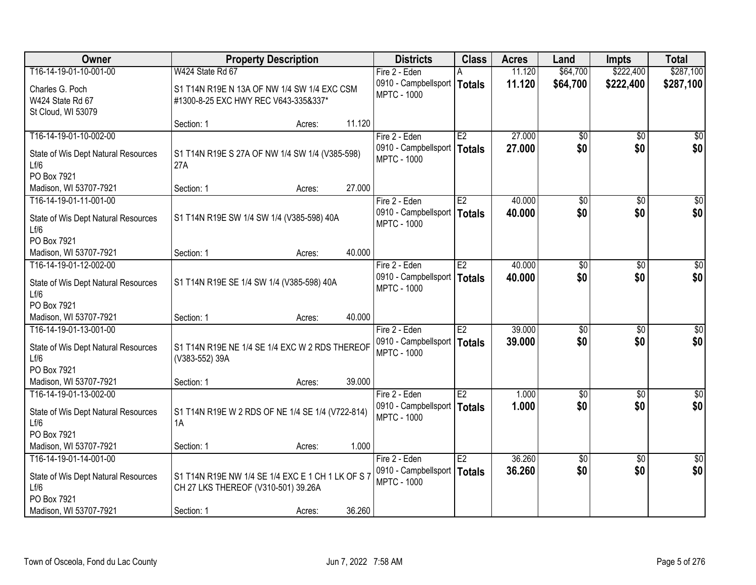| Owner                                                                 | <b>Property Description</b>                                                              |        |        | <b>Districts</b>                                                     | <b>Class</b>        | <b>Acres</b>     | Land               | <b>Impts</b>      | <b>Total</b>       |
|-----------------------------------------------------------------------|------------------------------------------------------------------------------------------|--------|--------|----------------------------------------------------------------------|---------------------|------------------|--------------------|-------------------|--------------------|
| T16-14-19-01-10-001-00                                                | W424 State Rd 67                                                                         |        |        | Fire 2 - Eden                                                        |                     | 11.120           | \$64,700           | \$222,400         | \$287,100          |
| Charles G. Poch<br>W424 State Rd 67<br>St Cloud, WI 53079             | S1 T14N R19E N 13A OF NW 1/4 SW 1/4 EXC CSM<br>#1300-8-25 EXC HWY REC V643-335&337*      |        |        | 0910 - Campbellsport<br><b>MPTC - 1000</b>                           | <b>Totals</b>       | 11.120           | \$64,700           | \$222,400         | \$287,100          |
|                                                                       | Section: 1                                                                               | Acres: | 11.120 |                                                                      |                     |                  |                    |                   |                    |
| T16-14-19-01-10-002-00                                                |                                                                                          |        |        | Fire 2 - Eden                                                        | E2                  | 27.000           | $\overline{50}$    | $\overline{50}$   | $\overline{30}$    |
| State of Wis Dept Natural Resources<br>Lf/6<br>PO Box 7921            | S1 T14N R19E S 27A OF NW 1/4 SW 1/4 (V385-598)<br>27A                                    |        |        | 0910 - Campbellsport<br><b>MPTC - 1000</b>                           | Totals              | 27,000           | \$0                | \$0               | \$0                |
| Madison, WI 53707-7921                                                | Section: 1                                                                               | Acres: | 27.000 |                                                                      |                     |                  |                    |                   |                    |
| T16-14-19-01-11-001-00                                                |                                                                                          |        |        | Fire 2 - Eden                                                        | E2                  | 40.000           | $\overline{50}$    | \$0               | $\overline{50}$    |
| State of Wis Dept Natural Resources<br>Lf/6                           | S1 T14N R19E SW 1/4 SW 1/4 (V385-598) 40A                                                |        |        | 0910 - Campbellsport<br><b>MPTC - 1000</b>                           | <b>Totals</b>       | 40.000           | \$0                | \$0               | \$0                |
| PO Box 7921                                                           |                                                                                          |        |        |                                                                      |                     |                  |                    |                   |                    |
| Madison, WI 53707-7921                                                | Section: 1                                                                               | Acres: | 40.000 |                                                                      |                     |                  |                    |                   |                    |
| T16-14-19-01-12-002-00<br>State of Wis Dept Natural Resources         | S1 T14N R19E SE 1/4 SW 1/4 (V385-598) 40A                                                |        |        | Fire 2 - Eden<br>0910 - Campbellsport<br><b>MPTC - 1000</b>          | E2<br><b>Totals</b> | 40.000<br>40.000 | \$0<br>\$0         | $\sqrt{6}$<br>\$0 | $\sqrt{50}$<br>\$0 |
| Lf/6<br>PO Box 7921                                                   |                                                                                          |        |        |                                                                      |                     |                  |                    |                   |                    |
| Madison, WI 53707-7921                                                | Section: 1                                                                               | Acres: | 40.000 |                                                                      |                     |                  |                    |                   |                    |
| T16-14-19-01-13-001-00                                                |                                                                                          |        |        | Fire 2 - Eden                                                        | E2                  | 39.000           | $\overline{50}$    | $\overline{50}$   | $\sqrt{50}$        |
| State of Wis Dept Natural Resources<br>Lf/6                           | S1 T14N R19E NE 1/4 SE 1/4 EXC W 2 RDS THEREOF<br>(V383-552) 39A                         |        |        | 0910 - Campbellsport   Totals<br><b>MPTC - 1000</b>                  |                     | 39.000           | \$0                | \$0               | \$0                |
| PO Box 7921                                                           |                                                                                          |        |        |                                                                      |                     |                  |                    |                   |                    |
| Madison, WI 53707-7921                                                | Section: 1                                                                               | Acres: | 39.000 |                                                                      |                     |                  |                    |                   |                    |
| T16-14-19-01-13-002-00<br>State of Wis Dept Natural Resources<br>Lf/6 | S1 T14N R19E W 2 RDS OF NE 1/4 SE 1/4 (V722-814)<br>1A                                   |        |        | Fire 2 - Eden<br>0910 - Campbellsport   Totals<br><b>MPTC - 1000</b> | E2                  | 1.000<br>1.000   | $\sqrt{50}$<br>\$0 | \$0<br>\$0        | \$0<br>\$0         |
| PO Box 7921                                                           |                                                                                          |        |        |                                                                      |                     |                  |                    |                   |                    |
| Madison, WI 53707-7921<br>T16-14-19-01-14-001-00                      | Section: 1                                                                               | Acres: | 1.000  | Fire 2 - Eden                                                        | E2                  | 36.260           | $\overline{60}$    | $\overline{30}$   | \$0                |
| State of Wis Dept Natural Resources<br>Lf/6<br>PO Box 7921            | S1 T14N R19E NW 1/4 SE 1/4 EXC E 1 CH 1 LK OF S 7<br>CH 27 LKS THEREOF (V310-501) 39.26A |        |        | 0910 - Campbellsport<br><b>MPTC - 1000</b>                           | <b>Totals</b>       | 36.260           | \$0                | \$0               | \$0                |
| Madison, WI 53707-7921                                                | Section: 1                                                                               | Acres: | 36.260 |                                                                      |                     |                  |                    |                   |                    |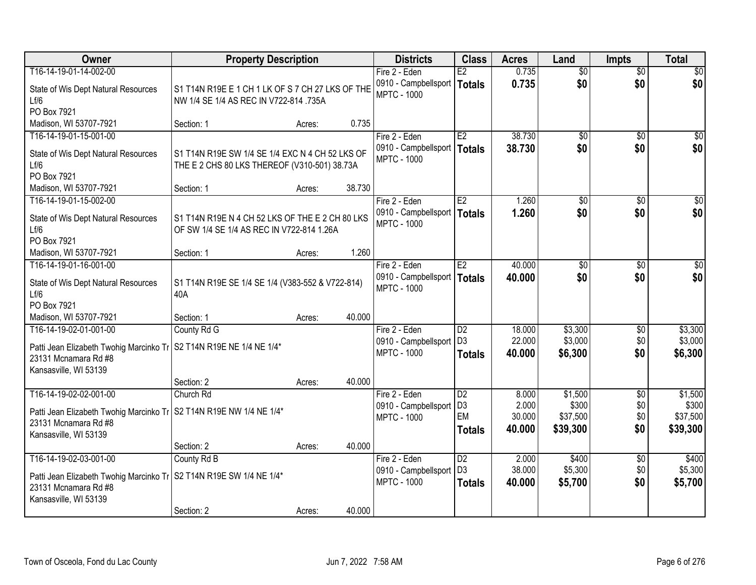| <b>Owner</b>                                                                                  | <b>Property Description</b>                                                                |        |        | <b>Districts</b>                           | <b>Class</b>                      | <b>Acres</b>     | Land             | <b>Impts</b>           | <b>Total</b>     |
|-----------------------------------------------------------------------------------------------|--------------------------------------------------------------------------------------------|--------|--------|--------------------------------------------|-----------------------------------|------------------|------------------|------------------------|------------------|
| T16-14-19-01-14-002-00                                                                        |                                                                                            |        |        | Fire 2 - Eden                              | E2                                | 0.735            | $\overline{50}$  | $\overline{50}$        | \$0              |
| State of Wis Dept Natural Resources<br>Lf/6                                                   | S1 T14N R19E E 1 CH 1 LK OF S 7 CH 27 LKS OF THE<br>NW 1/4 SE 1/4 AS REC IN V722-814 .735A |        |        | 0910 - Campbellsport<br><b>MPTC - 1000</b> | <b>Totals</b>                     | 0.735            | \$0              | \$0                    | \$0              |
| PO Box 7921                                                                                   |                                                                                            |        | 0.735  |                                            |                                   |                  |                  |                        |                  |
| Madison, WI 53707-7921                                                                        | Section: 1                                                                                 | Acres: |        |                                            | E2                                |                  |                  |                        |                  |
| T16-14-19-01-15-001-00                                                                        |                                                                                            |        |        | Fire 2 - Eden<br>0910 - Campbellsport      |                                   | 38.730<br>38.730 | \$0<br>\$0       | $\overline{50}$<br>\$0 | \$0              |
| State of Wis Dept Natural Resources                                                           | S1 T14N R19E SW 1/4 SE 1/4 EXC N 4 CH 52 LKS OF                                            |        |        | <b>MPTC - 1000</b>                         | Totals                            |                  |                  |                        | \$0              |
| Lf/6                                                                                          | THE E 2 CHS 80 LKS THEREOF (V310-501) 38.73A                                               |        |        |                                            |                                   |                  |                  |                        |                  |
| PO Box 7921                                                                                   |                                                                                            |        |        |                                            |                                   |                  |                  |                        |                  |
| Madison, WI 53707-7921                                                                        | Section: 1                                                                                 | Acres: | 38.730 |                                            |                                   |                  |                  |                        |                  |
| T16-14-19-01-15-002-00                                                                        |                                                                                            |        |        | Fire 2 - Eden                              | E2                                | 1.260            | \$0              | \$0                    | $\overline{50}$  |
| State of Wis Dept Natural Resources                                                           | S1 T14N R19E N 4 CH 52 LKS OF THE E 2 CH 80 LKS                                            |        |        | 0910 - Campbellsport                       | Totals                            | 1.260            | \$0              | \$0                    | \$0              |
| Lf/6                                                                                          | OF SW 1/4 SE 1/4 AS REC IN V722-814 1.26A                                                  |        |        | <b>MPTC - 1000</b>                         |                                   |                  |                  |                        |                  |
| PO Box 7921                                                                                   |                                                                                            |        |        |                                            |                                   |                  |                  |                        |                  |
| Madison, WI 53707-7921                                                                        | Section: 1                                                                                 | Acres: | 1.260  |                                            |                                   |                  |                  |                        |                  |
| T16-14-19-01-16-001-00                                                                        |                                                                                            |        |        | Fire 2 - Eden                              | E2                                | 40.000           | \$0              | $\sqrt{6}$             | $\sqrt{50}$      |
| State of Wis Dept Natural Resources                                                           | S1 T14N R19E SE 1/4 SE 1/4 (V383-552 & V722-814)                                           |        |        | 0910 - Campbellsport                       | <b>Totals</b>                     | 40.000           | \$0              | \$0                    | \$0              |
| Lf/6                                                                                          | 40A                                                                                        |        |        | <b>MPTC - 1000</b>                         |                                   |                  |                  |                        |                  |
| PO Box 7921                                                                                   |                                                                                            |        |        |                                            |                                   |                  |                  |                        |                  |
| Madison, WI 53707-7921                                                                        | Section: 1                                                                                 | Acres: | 40.000 |                                            |                                   |                  |                  |                        |                  |
| T16-14-19-02-01-001-00                                                                        | County Rd G                                                                                |        |        | Fire 2 - Eden                              | $\overline{D2}$                   | 18.000           | \$3,300          | \$0                    | \$3,300          |
|                                                                                               |                                                                                            |        |        | 0910 - Campbellsport                       | D <sub>3</sub>                    | 22.000           | \$3,000          | \$0                    | \$3,000          |
| Patti Jean Elizabeth Twohig Marcinko Tr   S2 T14N R19E NE 1/4 NE 1/4*<br>23131 Mcnamara Rd #8 |                                                                                            |        |        | <b>MPTC - 1000</b>                         | <b>Totals</b>                     | 40.000           | \$6,300          | \$0                    | \$6,300          |
| Kansasville, WI 53139                                                                         |                                                                                            |        |        |                                            |                                   |                  |                  |                        |                  |
|                                                                                               | Section: 2                                                                                 | Acres: | 40.000 |                                            |                                   |                  |                  |                        |                  |
| T16-14-19-02-02-001-00                                                                        | Church Rd                                                                                  |        |        | Fire 2 - Eden                              | $\overline{D2}$                   | 8.000            | \$1,500          | $\overline{50}$        | \$1,500          |
|                                                                                               |                                                                                            |        |        | 0910 - Campbellsport                       | D <sub>3</sub>                    | 2.000            | \$300            | \$0                    | \$300            |
| Patti Jean Elizabeth Twohig Marcinko Tr   S2 T14N R19E NW 1/4 NE 1/4*                         |                                                                                            |        |        | <b>MPTC - 1000</b>                         | EM                                | 30.000           | \$37,500         | \$0                    | \$37,500         |
| 23131 Mcnamara Rd #8                                                                          |                                                                                            |        |        |                                            | <b>Totals</b>                     | 40.000           | \$39,300         | \$0                    | \$39,300         |
| Kansasville, WI 53139                                                                         |                                                                                            |        |        |                                            |                                   |                  |                  |                        |                  |
|                                                                                               | Section: 2                                                                                 | Acres: | 40.000 |                                            |                                   |                  |                  |                        |                  |
| T16-14-19-02-03-001-00                                                                        | County Rd B                                                                                |        |        | Fire 2 - Eden                              | $\overline{D2}$<br>D <sub>3</sub> | 2.000<br>38.000  | \$400<br>\$5,300 | $\overline{60}$<br>\$0 | \$400<br>\$5,300 |
| Patti Jean Elizabeth Twohig Marcinko Tr   S2 T14N R19E SW 1/4 NE 1/4*                         |                                                                                            |        |        | 0910 - Campbellsport<br><b>MPTC - 1000</b> |                                   |                  |                  | \$0                    |                  |
| 23131 Mcnamara Rd #8                                                                          |                                                                                            |        |        |                                            | <b>Totals</b>                     | 40.000           | \$5,700          |                        | \$5,700          |
| Kansasville, WI 53139                                                                         |                                                                                            |        |        |                                            |                                   |                  |                  |                        |                  |
|                                                                                               | Section: 2                                                                                 | Acres: | 40.000 |                                            |                                   |                  |                  |                        |                  |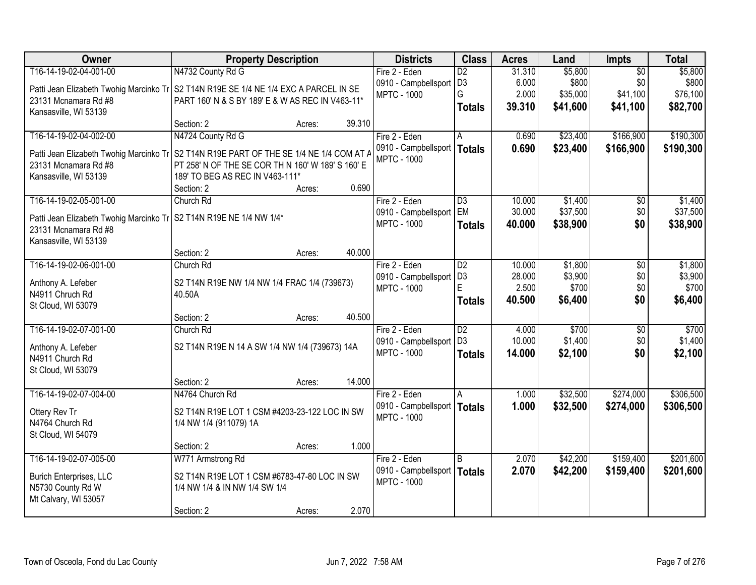| <b>Owner</b>                            | <b>Property Description</b>                       |        |        | <b>Districts</b>              | <b>Class</b>    | <b>Acres</b> | Land     | <b>Impts</b>    | <b>Total</b> |
|-----------------------------------------|---------------------------------------------------|--------|--------|-------------------------------|-----------------|--------------|----------|-----------------|--------------|
| T16-14-19-02-04-001-00                  | N4732 County Rd G                                 |        |        | Fire 2 - Eden                 | $\overline{D2}$ | 31.310       | \$5,800  | $\overline{50}$ | \$5,800      |
| Patti Jean Elizabeth Twohig Marcinko Tr | S2 T14N R19E SE 1/4 NE 1/4 EXC A PARCEL IN SE     |        |        | 0910 - Campbellsport          | D <sub>3</sub>  | 6.000        | \$800    | \$0             | \$800        |
| 23131 Mcnamara Rd #8                    | PART 160' N & S BY 189' E & W AS REC IN V463-11*  |        |        | <b>MPTC - 1000</b>            | G               | 2.000        | \$35,000 | \$41,100        | \$76,100     |
| Kansasville, WI 53139                   |                                                   |        |        |                               | <b>Totals</b>   | 39.310       | \$41,600 | \$41,100        | \$82,700     |
|                                         | Section: 2                                        | Acres: | 39.310 |                               |                 |              |          |                 |              |
| T16-14-19-02-04-002-00                  | N4724 County Rd G                                 |        |        | Fire 2 - Eden                 | A               | 0.690        | \$23,400 | \$166,900       | \$190,300    |
| Patti Jean Elizabeth Twohig Marcinko Tr | S2 T14N R19E PART OF THE SE 1/4 NE 1/4 COM AT /   |        |        | 0910 - Campbellsport          | Totals          | 0.690        | \$23,400 | \$166,900       | \$190,300    |
| 23131 Mcnamara Rd #8                    | PT 258' N OF THE SE COR TH N 160' W 189' S 160' E |        |        | <b>MPTC - 1000</b>            |                 |              |          |                 |              |
| Kansasville, WI 53139                   | 189' TO BEG AS REC IN V463-111*                   |        |        |                               |                 |              |          |                 |              |
|                                         | Section: 2                                        | Acres: | 0.690  |                               |                 |              |          |                 |              |
| T16-14-19-02-05-001-00                  | Church Rd                                         |        |        | Fire 2 - Eden                 | D3              | 10.000       | \$1,400  | $\sqrt[6]{30}$  | \$1,400      |
| Patti Jean Elizabeth Twohig Marcinko Tr | S2 T14N R19E NE 1/4 NW 1/4*                       |        |        | 0910 - Campbellsport          | <b>EM</b>       | 30.000       | \$37,500 | \$0             | \$37,500     |
| 23131 Mcnamara Rd #8                    |                                                   |        |        | <b>MPTC - 1000</b>            | <b>Totals</b>   | 40.000       | \$38,900 | \$0             | \$38,900     |
| Kansasville, WI 53139                   |                                                   |        |        |                               |                 |              |          |                 |              |
|                                         | Section: 2                                        | Acres: | 40.000 |                               |                 |              |          |                 |              |
| T16-14-19-02-06-001-00                  | Church Rd                                         |        |        | Fire 2 - Eden                 | D <sub>2</sub>  | 10.000       | \$1,800  | \$0             | \$1,800      |
| Anthony A. Lefeber                      | S2 T14N R19E NW 1/4 NW 1/4 FRAC 1/4 (739673)      |        |        | 0910 - Campbellsport          | D <sub>3</sub>  | 28.000       | \$3,900  | \$0             | \$3,900      |
| N4911 Chruch Rd                         | 40.50A                                            |        |        | <b>MPTC - 1000</b>            | E               | 2.500        | \$700    | \$0             | \$700        |
| St Cloud, WI 53079                      |                                                   |        |        |                               | <b>Totals</b>   | 40.500       | \$6,400  | \$0             | \$6,400      |
|                                         | Section: 2                                        | Acres: | 40.500 |                               |                 |              |          |                 |              |
| T16-14-19-02-07-001-00                  | Church Rd                                         |        |        | Fire 2 - Eden                 | $\overline{D2}$ | 4.000        | \$700    | $\overline{50}$ | \$700        |
| Anthony A. Lefeber                      | S2 T14N R19E N 14 A SW 1/4 NW 1/4 (739673) 14A    |        |        | 0910 - Campbellsport          | D <sub>3</sub>  | 10.000       | \$1,400  | \$0             | \$1,400      |
| N4911 Church Rd                         |                                                   |        |        | <b>MPTC - 1000</b>            | <b>Totals</b>   | 14.000       | \$2,100  | \$0             | \$2,100      |
| St Cloud, WI 53079                      |                                                   |        |        |                               |                 |              |          |                 |              |
|                                         | Section: 2                                        | Acres: | 14.000 |                               |                 |              |          |                 |              |
| T16-14-19-02-07-004-00                  | N4764 Church Rd                                   |        |        | Fire 2 - Eden                 | A               | 1.000        | \$32,500 | \$274,000       | \$306,500    |
| Ottery Rev Tr                           | S2 T14N R19E LOT 1 CSM #4203-23-122 LOC IN SW     |        |        | 0910 - Campbellsport   Totals |                 | 1.000        | \$32,500 | \$274,000       | \$306,500    |
| N4764 Church Rd                         | 1/4 NW 1/4 (911079) 1A                            |        |        | <b>MPTC - 1000</b>            |                 |              |          |                 |              |
| St Cloud, WI 54079                      |                                                   |        |        |                               |                 |              |          |                 |              |
|                                         | Section: 2                                        | Acres: | 1.000  |                               |                 |              |          |                 |              |
| T16-14-19-02-07-005-00                  | W771 Armstrong Rd                                 |        |        | Fire 2 - Eden                 | l B             | 2.070        | \$42,200 | \$159,400       | \$201,600    |
| <b>Burich Enterprises, LLC</b>          | S2 T14N R19E LOT 1 CSM #6783-47-80 LOC IN SW      |        |        | 0910 - Campbellsport          | <b>Totals</b>   | 2.070        | \$42,200 | \$159,400       | \$201,600    |
| N5730 County Rd W                       | 1/4 NW 1/4 & IN NW 1/4 SW 1/4                     |        |        | <b>MPTC - 1000</b>            |                 |              |          |                 |              |
| Mt Calvary, WI 53057                    |                                                   |        |        |                               |                 |              |          |                 |              |
|                                         | Section: 2                                        | Acres: | 2.070  |                               |                 |              |          |                 |              |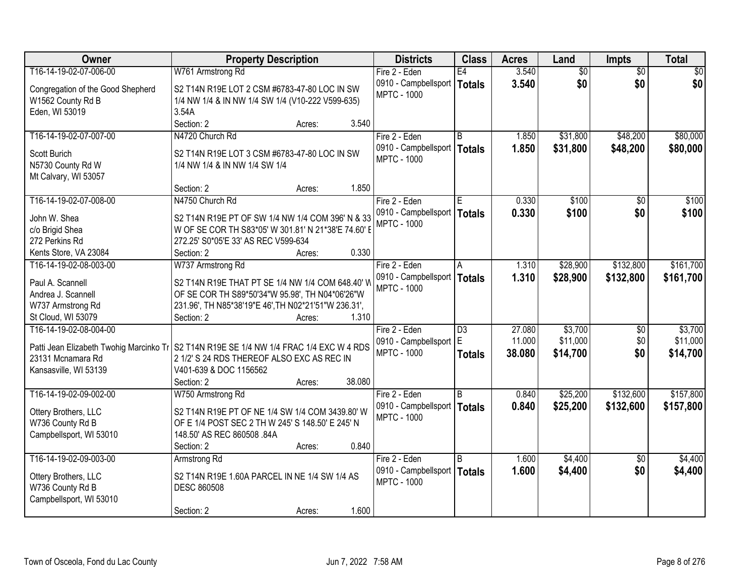| T16-14-19-02-07-006-00<br>W761 Armstrong Rd<br>Fire 2 - Eden<br>E4<br>3.540<br>$\overline{60}$<br>$\overline{50}$<br>\$0<br>\$0<br>3.540<br>\$0<br>\$0<br>0910 - Campbellsport<br><b>Totals</b><br>Congregation of the Good Shepherd<br>S2 T14N R19E LOT 2 CSM #6783-47-80 LOC IN SW<br><b>MPTC - 1000</b><br>W1562 County Rd B<br>1/4 NW 1/4 & IN NW 1/4 SW 1/4 (V10-222 V599-635)<br>3.54A<br>Eden, WI 53019<br>3.540<br>Section: 2<br>Acres:<br>T16-14-19-02-07-007-00<br>N4720 Church Rd<br>Fire 2 - Eden<br>\$31,800<br>\$48,200<br>R<br>1.850<br>0910 - Campbellsport  <br>1.850<br>\$31,800<br>\$48,200<br><b>Totals</b><br>Scott Burich<br>S2 T14N R19E LOT 3 CSM #6783-47-80 LOC IN SW<br><b>MPTC - 1000</b><br>N5730 County Rd W<br>1/4 NW 1/4 & IN NW 1/4 SW 1/4<br>Mt Calvary, WI 53057<br>1.850<br>Section: 2<br>Acres:<br>\$100<br>T16-14-19-02-07-008-00<br>N4750 Church Rd<br>0.330<br>\$0<br>Fire 2 - Eden<br>E<br>0910 - Campbellsport<br>0.330<br>\$100<br>\$0<br><b>Totals</b><br>John W. Shea<br>S2 T14N R19E PT OF SW 1/4 NW 1/4 COM 396' N & 33<br><b>MPTC - 1000</b><br>W OF SE COR TH S83*05' W 301.81' N 21*38'E 74.60' E<br>c/o Brigid Shea<br>272 Perkins Rd<br>272.25' S0*05'E 33' AS REC V599-634<br>0.330<br>Kents Store, VA 23084<br>Section: 2<br>Acres:<br>\$28,900<br>\$132,800<br>T16-14-19-02-08-003-00<br>W737 Armstrong Rd<br>Fire 2 - Eden<br>1.310<br>A<br>0910 - Campbellsport<br>1.310<br>\$28,900<br>\$132,800<br><b>Totals</b><br>Paul A. Scannell<br>S2 T14N R19E THAT PT SE 1/4 NW 1/4 COM 648.40' W<br><b>MPTC - 1000</b><br>Andrea J. Scannell<br>OF SE COR TH S89*50'34"W 95.98', TH N04*06'26"W<br>W737 Armstrong Rd<br>231.96', TH N85*38'19"E 46', TH N02*21'51"W 236.31',<br>St Cloud, WI 53079<br>1.310<br>Section: 2<br>Acres:<br>\$3,700<br>T16-14-19-02-08-004-00<br>27.080<br>$\overline{D3}$<br>\$0<br>Fire 2 - Eden<br>E<br>11.000<br>\$11,000<br>\$0<br>0910 - Campbellsport<br>Patti Jean Elizabeth Twohig Marcinko Tr<br>S2 T14N R19E SE 1/4 NW 1/4 FRAC 1/4 EXC W 4 RDS<br>\$14,700<br>\$0<br><b>MPTC - 1000</b><br>38.080<br><b>Totals</b><br>23131 Mcnamara Rd<br>2 1/2' S 24 RDS THEREOF ALSO EXC AS REC IN<br>V401-639 & DOC 1156562<br>Kansasville, WI 53139<br>38.080<br>Section: 2<br>Acres:<br>\$132,600<br>T16-14-19-02-09-002-00<br>Fire 2 - Eden<br>B<br>0.840<br>\$25,200<br>W750 Armstrong Rd |
|-----------------------------------------------------------------------------------------------------------------------------------------------------------------------------------------------------------------------------------------------------------------------------------------------------------------------------------------------------------------------------------------------------------------------------------------------------------------------------------------------------------------------------------------------------------------------------------------------------------------------------------------------------------------------------------------------------------------------------------------------------------------------------------------------------------------------------------------------------------------------------------------------------------------------------------------------------------------------------------------------------------------------------------------------------------------------------------------------------------------------------------------------------------------------------------------------------------------------------------------------------------------------------------------------------------------------------------------------------------------------------------------------------------------------------------------------------------------------------------------------------------------------------------------------------------------------------------------------------------------------------------------------------------------------------------------------------------------------------------------------------------------------------------------------------------------------------------------------------------------------------------------------------------------------------------------------------------------------------------------------------------------------------------------------------------------------------------------------------------------------------------------------------------------------------------------------------------------------------------------------------------------------------------------------------------------------------------------------------------------------------|
|                                                                                                                                                                                                                                                                                                                                                                                                                                                                                                                                                                                                                                                                                                                                                                                                                                                                                                                                                                                                                                                                                                                                                                                                                                                                                                                                                                                                                                                                                                                                                                                                                                                                                                                                                                                                                                                                                                                                                                                                                                                                                                                                                                                                                                                                                                                                                                             |
|                                                                                                                                                                                                                                                                                                                                                                                                                                                                                                                                                                                                                                                                                                                                                                                                                                                                                                                                                                                                                                                                                                                                                                                                                                                                                                                                                                                                                                                                                                                                                                                                                                                                                                                                                                                                                                                                                                                                                                                                                                                                                                                                                                                                                                                                                                                                                                             |
| \$80,000<br>\$80,000<br>\$100<br>\$100<br>\$161,700<br>\$161,700                                                                                                                                                                                                                                                                                                                                                                                                                                                                                                                                                                                                                                                                                                                                                                                                                                                                                                                                                                                                                                                                                                                                                                                                                                                                                                                                                                                                                                                                                                                                                                                                                                                                                                                                                                                                                                                                                                                                                                                                                                                                                                                                                                                                                                                                                                            |
|                                                                                                                                                                                                                                                                                                                                                                                                                                                                                                                                                                                                                                                                                                                                                                                                                                                                                                                                                                                                                                                                                                                                                                                                                                                                                                                                                                                                                                                                                                                                                                                                                                                                                                                                                                                                                                                                                                                                                                                                                                                                                                                                                                                                                                                                                                                                                                             |
|                                                                                                                                                                                                                                                                                                                                                                                                                                                                                                                                                                                                                                                                                                                                                                                                                                                                                                                                                                                                                                                                                                                                                                                                                                                                                                                                                                                                                                                                                                                                                                                                                                                                                                                                                                                                                                                                                                                                                                                                                                                                                                                                                                                                                                                                                                                                                                             |
|                                                                                                                                                                                                                                                                                                                                                                                                                                                                                                                                                                                                                                                                                                                                                                                                                                                                                                                                                                                                                                                                                                                                                                                                                                                                                                                                                                                                                                                                                                                                                                                                                                                                                                                                                                                                                                                                                                                                                                                                                                                                                                                                                                                                                                                                                                                                                                             |
|                                                                                                                                                                                                                                                                                                                                                                                                                                                                                                                                                                                                                                                                                                                                                                                                                                                                                                                                                                                                                                                                                                                                                                                                                                                                                                                                                                                                                                                                                                                                                                                                                                                                                                                                                                                                                                                                                                                                                                                                                                                                                                                                                                                                                                                                                                                                                                             |
|                                                                                                                                                                                                                                                                                                                                                                                                                                                                                                                                                                                                                                                                                                                                                                                                                                                                                                                                                                                                                                                                                                                                                                                                                                                                                                                                                                                                                                                                                                                                                                                                                                                                                                                                                                                                                                                                                                                                                                                                                                                                                                                                                                                                                                                                                                                                                                             |
|                                                                                                                                                                                                                                                                                                                                                                                                                                                                                                                                                                                                                                                                                                                                                                                                                                                                                                                                                                                                                                                                                                                                                                                                                                                                                                                                                                                                                                                                                                                                                                                                                                                                                                                                                                                                                                                                                                                                                                                                                                                                                                                                                                                                                                                                                                                                                                             |
|                                                                                                                                                                                                                                                                                                                                                                                                                                                                                                                                                                                                                                                                                                                                                                                                                                                                                                                                                                                                                                                                                                                                                                                                                                                                                                                                                                                                                                                                                                                                                                                                                                                                                                                                                                                                                                                                                                                                                                                                                                                                                                                                                                                                                                                                                                                                                                             |
|                                                                                                                                                                                                                                                                                                                                                                                                                                                                                                                                                                                                                                                                                                                                                                                                                                                                                                                                                                                                                                                                                                                                                                                                                                                                                                                                                                                                                                                                                                                                                                                                                                                                                                                                                                                                                                                                                                                                                                                                                                                                                                                                                                                                                                                                                                                                                                             |
|                                                                                                                                                                                                                                                                                                                                                                                                                                                                                                                                                                                                                                                                                                                                                                                                                                                                                                                                                                                                                                                                                                                                                                                                                                                                                                                                                                                                                                                                                                                                                                                                                                                                                                                                                                                                                                                                                                                                                                                                                                                                                                                                                                                                                                                                                                                                                                             |
|                                                                                                                                                                                                                                                                                                                                                                                                                                                                                                                                                                                                                                                                                                                                                                                                                                                                                                                                                                                                                                                                                                                                                                                                                                                                                                                                                                                                                                                                                                                                                                                                                                                                                                                                                                                                                                                                                                                                                                                                                                                                                                                                                                                                                                                                                                                                                                             |
|                                                                                                                                                                                                                                                                                                                                                                                                                                                                                                                                                                                                                                                                                                                                                                                                                                                                                                                                                                                                                                                                                                                                                                                                                                                                                                                                                                                                                                                                                                                                                                                                                                                                                                                                                                                                                                                                                                                                                                                                                                                                                                                                                                                                                                                                                                                                                                             |
|                                                                                                                                                                                                                                                                                                                                                                                                                                                                                                                                                                                                                                                                                                                                                                                                                                                                                                                                                                                                                                                                                                                                                                                                                                                                                                                                                                                                                                                                                                                                                                                                                                                                                                                                                                                                                                                                                                                                                                                                                                                                                                                                                                                                                                                                                                                                                                             |
|                                                                                                                                                                                                                                                                                                                                                                                                                                                                                                                                                                                                                                                                                                                                                                                                                                                                                                                                                                                                                                                                                                                                                                                                                                                                                                                                                                                                                                                                                                                                                                                                                                                                                                                                                                                                                                                                                                                                                                                                                                                                                                                                                                                                                                                                                                                                                                             |
|                                                                                                                                                                                                                                                                                                                                                                                                                                                                                                                                                                                                                                                                                                                                                                                                                                                                                                                                                                                                                                                                                                                                                                                                                                                                                                                                                                                                                                                                                                                                                                                                                                                                                                                                                                                                                                                                                                                                                                                                                                                                                                                                                                                                                                                                                                                                                                             |
|                                                                                                                                                                                                                                                                                                                                                                                                                                                                                                                                                                                                                                                                                                                                                                                                                                                                                                                                                                                                                                                                                                                                                                                                                                                                                                                                                                                                                                                                                                                                                                                                                                                                                                                                                                                                                                                                                                                                                                                                                                                                                                                                                                                                                                                                                                                                                                             |
| \$3,700<br>\$11,000<br>\$14,700<br>\$157,800                                                                                                                                                                                                                                                                                                                                                                                                                                                                                                                                                                                                                                                                                                                                                                                                                                                                                                                                                                                                                                                                                                                                                                                                                                                                                                                                                                                                                                                                                                                                                                                                                                                                                                                                                                                                                                                                                                                                                                                                                                                                                                                                                                                                                                                                                                                                |
|                                                                                                                                                                                                                                                                                                                                                                                                                                                                                                                                                                                                                                                                                                                                                                                                                                                                                                                                                                                                                                                                                                                                                                                                                                                                                                                                                                                                                                                                                                                                                                                                                                                                                                                                                                                                                                                                                                                                                                                                                                                                                                                                                                                                                                                                                                                                                                             |
|                                                                                                                                                                                                                                                                                                                                                                                                                                                                                                                                                                                                                                                                                                                                                                                                                                                                                                                                                                                                                                                                                                                                                                                                                                                                                                                                                                                                                                                                                                                                                                                                                                                                                                                                                                                                                                                                                                                                                                                                                                                                                                                                                                                                                                                                                                                                                                             |
|                                                                                                                                                                                                                                                                                                                                                                                                                                                                                                                                                                                                                                                                                                                                                                                                                                                                                                                                                                                                                                                                                                                                                                                                                                                                                                                                                                                                                                                                                                                                                                                                                                                                                                                                                                                                                                                                                                                                                                                                                                                                                                                                                                                                                                                                                                                                                                             |
|                                                                                                                                                                                                                                                                                                                                                                                                                                                                                                                                                                                                                                                                                                                                                                                                                                                                                                                                                                                                                                                                                                                                                                                                                                                                                                                                                                                                                                                                                                                                                                                                                                                                                                                                                                                                                                                                                                                                                                                                                                                                                                                                                                                                                                                                                                                                                                             |
|                                                                                                                                                                                                                                                                                                                                                                                                                                                                                                                                                                                                                                                                                                                                                                                                                                                                                                                                                                                                                                                                                                                                                                                                                                                                                                                                                                                                                                                                                                                                                                                                                                                                                                                                                                                                                                                                                                                                                                                                                                                                                                                                                                                                                                                                                                                                                                             |
|                                                                                                                                                                                                                                                                                                                                                                                                                                                                                                                                                                                                                                                                                                                                                                                                                                                                                                                                                                                                                                                                                                                                                                                                                                                                                                                                                                                                                                                                                                                                                                                                                                                                                                                                                                                                                                                                                                                                                                                                                                                                                                                                                                                                                                                                                                                                                                             |
|                                                                                                                                                                                                                                                                                                                                                                                                                                                                                                                                                                                                                                                                                                                                                                                                                                                                                                                                                                                                                                                                                                                                                                                                                                                                                                                                                                                                                                                                                                                                                                                                                                                                                                                                                                                                                                                                                                                                                                                                                                                                                                                                                                                                                                                                                                                                                                             |
|                                                                                                                                                                                                                                                                                                                                                                                                                                                                                                                                                                                                                                                                                                                                                                                                                                                                                                                                                                                                                                                                                                                                                                                                                                                                                                                                                                                                                                                                                                                                                                                                                                                                                                                                                                                                                                                                                                                                                                                                                                                                                                                                                                                                                                                                                                                                                                             |
|                                                                                                                                                                                                                                                                                                                                                                                                                                                                                                                                                                                                                                                                                                                                                                                                                                                                                                                                                                                                                                                                                                                                                                                                                                                                                                                                                                                                                                                                                                                                                                                                                                                                                                                                                                                                                                                                                                                                                                                                                                                                                                                                                                                                                                                                                                                                                                             |
| 0.840<br>\$25,200<br>\$132,600<br>0910 - Campbellsport   Totals                                                                                                                                                                                                                                                                                                                                                                                                                                                                                                                                                                                                                                                                                                                                                                                                                                                                                                                                                                                                                                                                                                                                                                                                                                                                                                                                                                                                                                                                                                                                                                                                                                                                                                                                                                                                                                                                                                                                                                                                                                                                                                                                                                                                                                                                                                             |
| \$157,800<br>S2 T14N R19E PT OF NE 1/4 SW 1/4 COM 3439.80' W<br>Ottery Brothers, LLC<br><b>MPTC - 1000</b>                                                                                                                                                                                                                                                                                                                                                                                                                                                                                                                                                                                                                                                                                                                                                                                                                                                                                                                                                                                                                                                                                                                                                                                                                                                                                                                                                                                                                                                                                                                                                                                                                                                                                                                                                                                                                                                                                                                                                                                                                                                                                                                                                                                                                                                                  |
| W736 County Rd B<br>OF E 1/4 POST SEC 2 TH W 245' S 148.50' E 245' N                                                                                                                                                                                                                                                                                                                                                                                                                                                                                                                                                                                                                                                                                                                                                                                                                                                                                                                                                                                                                                                                                                                                                                                                                                                                                                                                                                                                                                                                                                                                                                                                                                                                                                                                                                                                                                                                                                                                                                                                                                                                                                                                                                                                                                                                                                        |
| Campbellsport, WI 53010<br>148.50' AS REC 860508 .84A                                                                                                                                                                                                                                                                                                                                                                                                                                                                                                                                                                                                                                                                                                                                                                                                                                                                                                                                                                                                                                                                                                                                                                                                                                                                                                                                                                                                                                                                                                                                                                                                                                                                                                                                                                                                                                                                                                                                                                                                                                                                                                                                                                                                                                                                                                                       |
| 0.840<br>Section: 2<br>Acres:                                                                                                                                                                                                                                                                                                                                                                                                                                                                                                                                                                                                                                                                                                                                                                                                                                                                                                                                                                                                                                                                                                                                                                                                                                                                                                                                                                                                                                                                                                                                                                                                                                                                                                                                                                                                                                                                                                                                                                                                                                                                                                                                                                                                                                                                                                                                               |
| T16-14-19-02-09-003-00<br>\$4,400<br>\$4,400<br>Fire 2 - Eden<br><sub>R</sub><br>1.600<br>$\overline{50}$<br>Armstrong Rd                                                                                                                                                                                                                                                                                                                                                                                                                                                                                                                                                                                                                                                                                                                                                                                                                                                                                                                                                                                                                                                                                                                                                                                                                                                                                                                                                                                                                                                                                                                                                                                                                                                                                                                                                                                                                                                                                                                                                                                                                                                                                                                                                                                                                                                   |
| 1.600<br>\$0<br>\$4,400<br>\$4,400<br>0910 - Campbellsport<br><b>Totals</b><br>Ottery Brothers, LLC<br>S2 T14N R19E 1.60A PARCEL IN NE 1/4 SW 1/4 AS                                                                                                                                                                                                                                                                                                                                                                                                                                                                                                                                                                                                                                                                                                                                                                                                                                                                                                                                                                                                                                                                                                                                                                                                                                                                                                                                                                                                                                                                                                                                                                                                                                                                                                                                                                                                                                                                                                                                                                                                                                                                                                                                                                                                                        |
| <b>MPTC - 1000</b><br>W736 County Rd B<br><b>DESC 860508</b>                                                                                                                                                                                                                                                                                                                                                                                                                                                                                                                                                                                                                                                                                                                                                                                                                                                                                                                                                                                                                                                                                                                                                                                                                                                                                                                                                                                                                                                                                                                                                                                                                                                                                                                                                                                                                                                                                                                                                                                                                                                                                                                                                                                                                                                                                                                |
| Campbellsport, WI 53010                                                                                                                                                                                                                                                                                                                                                                                                                                                                                                                                                                                                                                                                                                                                                                                                                                                                                                                                                                                                                                                                                                                                                                                                                                                                                                                                                                                                                                                                                                                                                                                                                                                                                                                                                                                                                                                                                                                                                                                                                                                                                                                                                                                                                                                                                                                                                     |
| 1.600<br>Section: 2<br>Acres:                                                                                                                                                                                                                                                                                                                                                                                                                                                                                                                                                                                                                                                                                                                                                                                                                                                                                                                                                                                                                                                                                                                                                                                                                                                                                                                                                                                                                                                                                                                                                                                                                                                                                                                                                                                                                                                                                                                                                                                                                                                                                                                                                                                                                                                                                                                                               |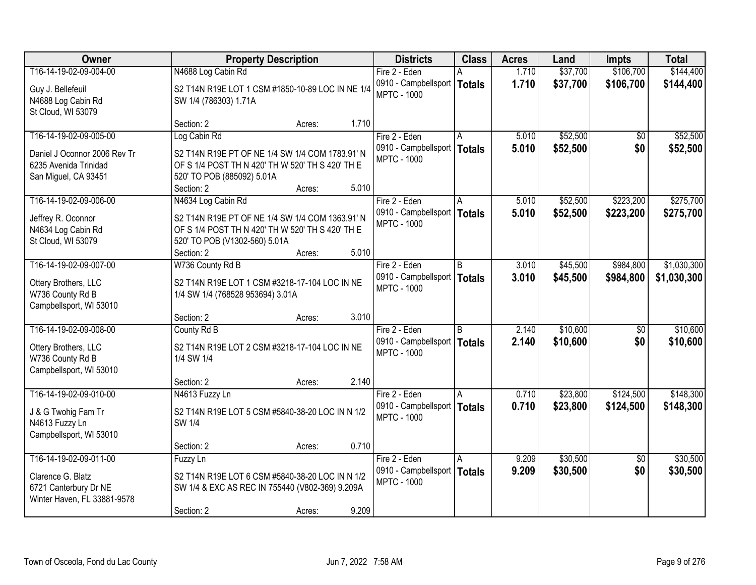| Owner                                                                                               | <b>Property Description</b>                                                                                                            | <b>Districts</b>                                                       | <b>Class</b>       | <b>Acres</b>   | Land                 | <b>Impts</b>           | <b>Total</b>           |
|-----------------------------------------------------------------------------------------------------|----------------------------------------------------------------------------------------------------------------------------------------|------------------------------------------------------------------------|--------------------|----------------|----------------------|------------------------|------------------------|
| T16-14-19-02-09-004-00                                                                              | N4688 Log Cabin Rd                                                                                                                     | Fire 2 - Eden                                                          |                    | 1.710          | \$37,700             | \$106,700              | \$144,400              |
| Guy J. Bellefeuil<br>N4688 Log Cabin Rd<br>St Cloud, WI 53079                                       | S2 T14N R19E LOT 1 CSM #1850-10-89 LOC IN NE 1/4<br>SW 1/4 (786303) 1.71A                                                              | 0910 - Campbellsport<br><b>MPTC - 1000</b>                             | <b>Totals</b>      | 1.710          | \$37,700             | \$106,700              | \$144,400              |
|                                                                                                     | Section: 2<br>Acres:                                                                                                                   | 1.710                                                                  |                    |                |                      |                        |                        |
| T16-14-19-02-09-005-00<br>Daniel J Oconnor 2006 Rev Tr<br>6235 Avenida Trinidad                     | Log Cabin Rd<br>S2 T14N R19E PT OF NE 1/4 SW 1/4 COM 1783.91' N<br>OF S 1/4 POST TH N 420' TH W 520' TH S 420' TH E                    | Fire 2 - Eden<br>0910 - Campbellsport<br><b>MPTC - 1000</b>            | <b>Totals</b>      | 5.010<br>5.010 | \$52,500<br>\$52,500 | $\overline{50}$<br>\$0 | \$52,500<br>\$52,500   |
| San Miguel, CA 93451                                                                                | 520' TO POB (885092) 5.01A<br>Section: 2<br>Acres:                                                                                     | 5.010                                                                  |                    |                |                      |                        |                        |
| T16-14-19-02-09-006-00                                                                              | N4634 Log Cabin Rd                                                                                                                     | Fire 2 - Eden                                                          | l A                | 5.010          | \$52,500             | \$223,200              | \$275,700              |
| Jeffrey R. Oconnor<br>N4634 Log Cabin Rd<br>St Cloud, WI 53079                                      | S2 T14N R19E PT OF NE 1/4 SW 1/4 COM 1363.91' N<br>OF S 1/4 POST TH N 420' TH W 520' TH S 420' TH E<br>520' TO POB (V1302-560) 5.01A   | 0910 - Campbellsport<br><b>MPTC - 1000</b>                             | <b>Totals</b>      | 5.010          | \$52,500             | \$223,200              | \$275,700              |
|                                                                                                     | Section: 2<br>Acres:                                                                                                                   | 5.010                                                                  |                    |                |                      |                        |                        |
| T16-14-19-02-09-007-00                                                                              | W736 County Rd B                                                                                                                       | Fire 2 - Eden                                                          | B                  | 3.010          | \$45,500             | \$984,800              | \$1,030,300            |
| Ottery Brothers, LLC<br>W736 County Rd B<br>Campbellsport, WI 53010                                 | S2 T14N R19E LOT 1 CSM #3218-17-104 LOC IN NE<br>1/4 SW 1/4 (768528 953694) 3.01A                                                      | 0910 - Campbellsport<br><b>MPTC - 1000</b>                             | <b>Totals</b>      | 3.010          | \$45,500             | \$984,800              | \$1,030,300            |
|                                                                                                     | Section: 2<br>Acres:                                                                                                                   | 3.010                                                                  |                    |                |                      |                        |                        |
| T16-14-19-02-09-008-00<br>Ottery Brothers, LLC<br>W736 County Rd B<br>Campbellsport, WI 53010       | County Rd B<br>S2 T14N R19E LOT 2 CSM #3218-17-104 LOC IN NE<br>1/4 SW 1/4                                                             | Fire 2 - Eden<br>0910 - Campbellsport   Totals<br><b>MPTC - 1000</b>   | R.                 | 2.140<br>2.140 | \$10,600<br>\$10,600 | \$0<br>\$0             | \$10,600<br>\$10,600   |
|                                                                                                     | Section: 2<br>Acres:                                                                                                                   | 2.140                                                                  |                    |                |                      |                        |                        |
| T16-14-19-02-09-010-00<br>J & G Twohig Fam Tr<br>N4613 Fuzzy Ln<br>Campbellsport, WI 53010          | N4613 Fuzzy Ln<br>S2 T14N R19E LOT 5 CSM #5840-38-20 LOC IN N 1/2<br>SW 1/4                                                            | Fire 2 - Eden<br>0910 - Campbellsport<br><b>MPTC - 1000</b>            | A<br><b>Totals</b> | 0.710<br>0.710 | \$23,800<br>\$23,800 | \$124,500<br>\$124,500 | \$148,300<br>\$148,300 |
|                                                                                                     | Section: 2<br>Acres:                                                                                                                   | 0.710                                                                  |                    |                |                      |                        |                        |
| T16-14-19-02-09-011-00<br>Clarence G. Blatz<br>6721 Canterbury Dr NE<br>Winter Haven, FL 33881-9578 | Fuzzy Ln<br>S2 T14N R19E LOT 6 CSM #5840-38-20 LOC IN N 1/2<br>SW 1/4 & EXC AS REC IN 755440 (V802-369) 9.209A<br>Section: 2<br>Acres: | Fire 2 - Eden<br>0910 - Campbellsport  <br><b>MPTC - 1000</b><br>9.209 | A<br><b>Totals</b> | 9.209<br>9.209 | \$30,500<br>\$30,500 | $\overline{50}$<br>\$0 | \$30,500<br>\$30,500   |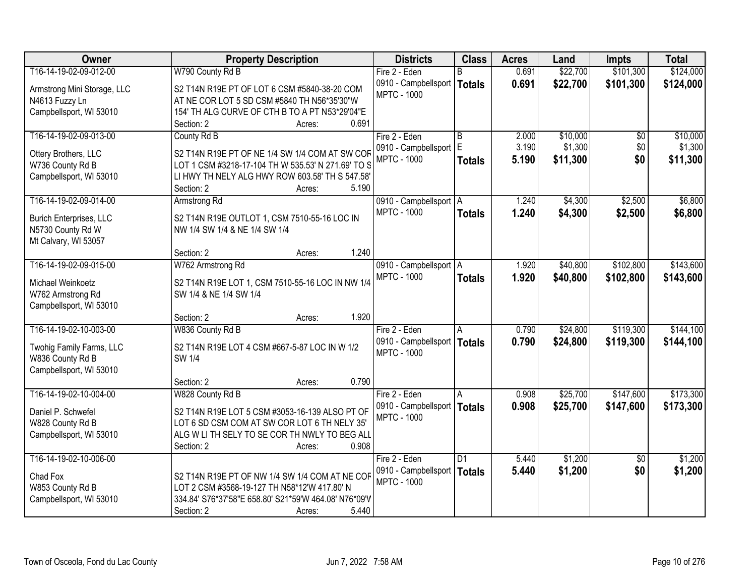| Owner                                    | <b>Property Description</b>                                                                          | <b>Districts</b>         | <b>Class</b>    | <b>Acres</b> | Land     | <b>Impts</b>    | <b>Total</b> |
|------------------------------------------|------------------------------------------------------------------------------------------------------|--------------------------|-----------------|--------------|----------|-----------------|--------------|
| T16-14-19-02-09-012-00                   | W790 County Rd B                                                                                     | Fire 2 - Eden            | R.              | 0.691        | \$22,700 | \$101,300       | \$124,000    |
| Armstrong Mini Storage, LLC              | S2 T14N R19E PT OF LOT 6 CSM #5840-38-20 COM                                                         | 0910 - Campbellsport     | <b>Totals</b>   | 0.691        | \$22,700 | \$101,300       | \$124,000    |
| N4613 Fuzzy Ln                           | AT NE COR LOT 5 SD CSM #5840 TH N56*35'30"W                                                          | <b>MPTC - 1000</b>       |                 |              |          |                 |              |
| Campbellsport, WI 53010                  | 154' TH ALG CURVE OF CTH B TO A PT N53*29'04"E                                                       |                          |                 |              |          |                 |              |
|                                          | 0.691<br>Section: 2<br>Acres:                                                                        |                          |                 |              |          |                 |              |
| T16-14-19-02-09-013-00                   | County Rd B                                                                                          | Fire 2 - Eden            | $\overline{B}$  | 2.000        | \$10,000 | $\overline{60}$ | \$10,000     |
|                                          |                                                                                                      | 0910 - Campbellsport     | E               | 3.190        | \$1,300  | \$0             | \$1,300      |
| Ottery Brothers, LLC<br>W736 County Rd B | S2 T14N R19E PT OF NE 1/4 SW 1/4 COM AT SW COR<br>LOT 1 CSM #3218-17-104 TH W 535.53' N 271.69' TO S | <b>MPTC - 1000</b>       | <b>Totals</b>   | 5.190        | \$11,300 | \$0             | \$11,300     |
| Campbellsport, WI 53010                  | LI HWY TH NELY ALG HWY ROW 603.58' TH S 547.58'                                                      |                          |                 |              |          |                 |              |
|                                          | 5.190<br>Section: 2<br>Acres:                                                                        |                          |                 |              |          |                 |              |
| T16-14-19-02-09-014-00                   | Armstrong Rd                                                                                         | 0910 - Campbellsport   A |                 | 1.240        | \$4,300  | \$2,500         | \$6,800      |
|                                          |                                                                                                      | <b>MPTC - 1000</b>       |                 | 1.240        | \$4,300  | \$2,500         | \$6,800      |
| <b>Burich Enterprises, LLC</b>           | S2 T14N R19E OUTLOT 1, CSM 7510-55-16 LOC IN                                                         |                          | <b>Totals</b>   |              |          |                 |              |
| N5730 County Rd W                        | NW 1/4 SW 1/4 & NE 1/4 SW 1/4                                                                        |                          |                 |              |          |                 |              |
| Mt Calvary, WI 53057                     |                                                                                                      |                          |                 |              |          |                 |              |
|                                          | 1.240<br>Section: 2<br>Acres:                                                                        |                          |                 |              |          |                 |              |
| T16-14-19-02-09-015-00                   | W762 Armstrong Rd                                                                                    | 0910 - Campbellsport   A |                 | 1.920        | \$40,800 | \$102,800       | \$143,600    |
| Michael Weinkoetz                        | S2 T14N R19E LOT 1, CSM 7510-55-16 LOC IN NW 1/4                                                     | <b>MPTC - 1000</b>       | <b>Totals</b>   | 1.920        | \$40,800 | \$102,800       | \$143,600    |
| W762 Armstrong Rd                        | SW 1/4 & NE 1/4 SW 1/4                                                                               |                          |                 |              |          |                 |              |
| Campbellsport, WI 53010                  |                                                                                                      |                          |                 |              |          |                 |              |
|                                          | 1.920<br>Section: 2<br>Acres:                                                                        |                          |                 |              |          |                 |              |
| T16-14-19-02-10-003-00                   | W836 County Rd B                                                                                     | Fire 2 - Eden            | Α               | 0.790        | \$24,800 | \$119,300       | \$144,100    |
|                                          |                                                                                                      | 0910 - Campbellsport     | <b>Totals</b>   | 0.790        | \$24,800 | \$119,300       | \$144,100    |
| Twohig Family Farms, LLC                 | S2 T14N R19E LOT 4 CSM #667-5-87 LOC IN W 1/2                                                        | <b>MPTC - 1000</b>       |                 |              |          |                 |              |
| W836 County Rd B                         | SW 1/4                                                                                               |                          |                 |              |          |                 |              |
| Campbellsport, WI 53010                  |                                                                                                      |                          |                 |              |          |                 |              |
|                                          | 0.790<br>Section: 2<br>Acres:                                                                        |                          |                 |              |          |                 |              |
| T16-14-19-02-10-004-00                   | W828 County Rd B                                                                                     | Fire 2 - Eden            | A               | 0.908        | \$25,700 | \$147,600       | \$173,300    |
| Daniel P. Schwefel                       | S2 T14N R19E LOT 5 CSM #3053-16-139 ALSO PT OF                                                       | 0910 - Campbellsport     | <b>Totals</b>   | 0.908        | \$25,700 | \$147,600       | \$173,300    |
| W828 County Rd B                         | LOT 6 SD CSM COM AT SW COR LOT 6 TH NELY 35'                                                         | <b>MPTC - 1000</b>       |                 |              |          |                 |              |
| Campbellsport, WI 53010                  | ALG W LI TH SELY TO SE COR TH NWLY TO BEG ALL                                                        |                          |                 |              |          |                 |              |
|                                          | 0.908<br>Section: 2<br>Acres:                                                                        |                          |                 |              |          |                 |              |
| T16-14-19-02-10-006-00                   |                                                                                                      | Fire 2 - Eden            | $\overline{D1}$ | 5.440        | \$1,200  | $\overline{50}$ | \$1,200      |
|                                          |                                                                                                      | 0910 - Campbellsport     | <b>Totals</b>   | 5.440        | \$1,200  | \$0             | \$1,200      |
| Chad Fox                                 | S2 T14N R19E PT OF NW 1/4 SW 1/4 COM AT NE COF                                                       | <b>MPTC - 1000</b>       |                 |              |          |                 |              |
| W853 County Rd B                         | LOT 2 CSM #3568-19-127 TH N58*12'W 417.80' N                                                         |                          |                 |              |          |                 |              |
| Campbellsport, WI 53010                  | 334.84' S76*37'58"E 658.80' S21*59'W 464.08' N76*09'V                                                |                          |                 |              |          |                 |              |
|                                          | 5.440<br>Section: 2<br>Acres:                                                                        |                          |                 |              |          |                 |              |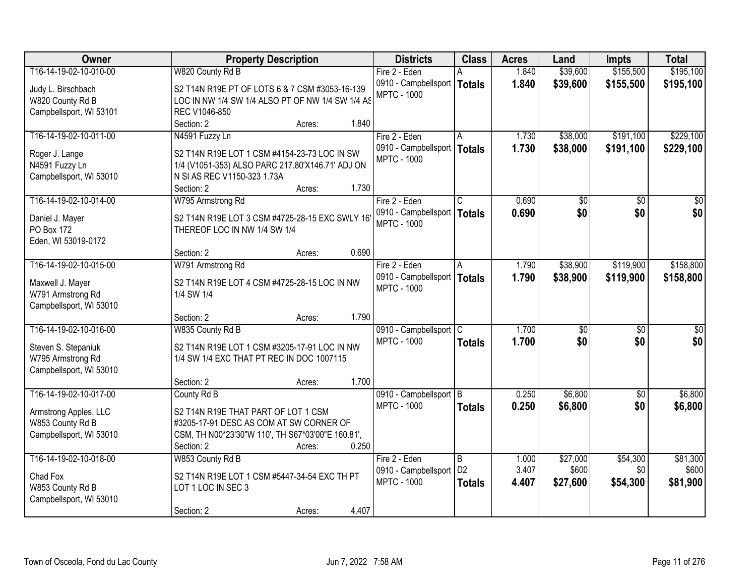| Owner                   | <b>Property Description</b>                       | <b>Districts</b>       | <b>Class</b>            | <b>Acres</b> | Land            | <b>Impts</b>    | <b>Total</b>    |
|-------------------------|---------------------------------------------------|------------------------|-------------------------|--------------|-----------------|-----------------|-----------------|
| T16-14-19-02-10-010-00  | W820 County Rd B                                  | Fire 2 - Eden          |                         | 1.840        | \$39,600        | \$155,500       | \$195,100       |
| Judy L. Birschbach      | S2 T14N R19E PT OF LOTS 6 & 7 CSM #3053-16-139    | 0910 - Campbellsport   | <b>Totals</b>           | 1.840        | \$39,600        | \$155,500       | \$195,100       |
| W820 County Rd B        | LOC IN NW 1/4 SW 1/4 ALSO PT OF NW 1/4 SW 1/4 AS  | <b>MPTC - 1000</b>     |                         |              |                 |                 |                 |
| Campbellsport, WI 53101 | REC V1046-850                                     |                        |                         |              |                 |                 |                 |
|                         | 1.840<br>Section: 2<br>Acres:                     |                        |                         |              |                 |                 |                 |
| T16-14-19-02-10-011-00  | N4591 Fuzzy Ln                                    | Fire 2 - Eden          |                         | 1.730        | \$38,000        | \$191,100       | \$229,100       |
|                         |                                                   | 0910 - Campbellsport   | <b>Totals</b>           | 1.730        | \$38,000        | \$191,100       | \$229,100       |
| Roger J. Lange          | S2 T14N R19E LOT 1 CSM #4154-23-73 LOC IN SW      | <b>MPTC - 1000</b>     |                         |              |                 |                 |                 |
| N4591 Fuzzy Ln          | 1/4 (V1051-353) ALSO PARC 217.80'X146.71' ADJ ON  |                        |                         |              |                 |                 |                 |
| Campbellsport, WI 53010 | N SI AS REC V1150-323 1.73A                       |                        |                         |              |                 |                 |                 |
|                         | 1.730<br>Section: 2<br>Acres:                     |                        |                         |              |                 |                 |                 |
| T16-14-19-02-10-014-00  | W795 Armstrong Rd                                 | Fire 2 - Eden          | $\overline{\mathsf{C}}$ | 0.690        | \$0             | \$0             | \$0             |
| Daniel J. Mayer         | S2 T14N R19E LOT 3 CSM #4725-28-15 EXC SWLY 16'   | 0910 - Campbellsport   | <b>Totals</b>           | 0.690        | \$0             | \$0             | \$0             |
| PO Box 172              | THEREOF LOC IN NW 1/4 SW 1/4                      | <b>MPTC - 1000</b>     |                         |              |                 |                 |                 |
| Eden, WI 53019-0172     |                                                   |                        |                         |              |                 |                 |                 |
|                         | 0.690<br>Section: 2<br>Acres:                     |                        |                         |              |                 |                 |                 |
| T16-14-19-02-10-015-00  | W791 Armstrong Rd                                 | Fire 2 - Eden          | A                       | 1.790        | \$38,900        | \$119,900       | \$158,800       |
|                         |                                                   | 0910 - Campbellsport   | <b>Totals</b>           | 1.790        | \$38,900        | \$119,900       | \$158,800       |
| Maxwell J. Mayer        | S2 T14N R19E LOT 4 CSM #4725-28-15 LOC IN NW      | <b>MPTC - 1000</b>     |                         |              |                 |                 |                 |
| W791 Armstrong Rd       | 1/4 SW 1/4                                        |                        |                         |              |                 |                 |                 |
| Campbellsport, WI 53010 |                                                   |                        |                         |              |                 |                 |                 |
|                         | 1.790<br>Section: 2<br>Acres:                     |                        |                         |              |                 |                 |                 |
| T16-14-19-02-10-016-00  | W835 County Rd B                                  | 0910 - Campbellsport   | $\overline{C}$          | 1.700        | $\overline{50}$ | $\overline{30}$ | $\overline{50}$ |
| Steven S. Stepaniuk     | S2 T14N R19E LOT 1 CSM #3205-17-91 LOC IN NW      | <b>MPTC - 1000</b>     | <b>Totals</b>           | 1.700        | \$0             | \$0             | \$0             |
| W795 Armstrong Rd       | 1/4 SW 1/4 EXC THAT PT REC IN DOC 1007115         |                        |                         |              |                 |                 |                 |
| Campbellsport, WI 53010 |                                                   |                        |                         |              |                 |                 |                 |
|                         | 1.700<br>Section: 2<br>Acres:                     |                        |                         |              |                 |                 |                 |
| T16-14-19-02-10-017-00  | County Rd B                                       | 0910 - Campbellsport B |                         | 0.250        | \$6,800         | $\sqrt{6}$      | \$6,800         |
| Armstrong Apples, LLC   | S2 T14N R19E THAT PART OF LOT 1 CSM               | <b>MPTC - 1000</b>     | <b>Totals</b>           | 0.250        | \$6,800         | \$0             | \$6,800         |
| W853 County Rd B        | #3205-17-91 DESC AS COM AT SW CORNER OF           |                        |                         |              |                 |                 |                 |
| Campbellsport, WI 53010 | CSM, TH N00*23'30"W 110', TH S67*03'00"E 160.81', |                        |                         |              |                 |                 |                 |
|                         | 0.250<br>Section: 2<br>Acres:                     |                        |                         |              |                 |                 |                 |
| T16-14-19-02-10-018-00  | W853 County Rd B                                  | Fire 2 - Eden          | B                       | 1.000        | \$27,000        | \$54,300        | \$81,300        |
|                         |                                                   | 0910 - Campbellsport   | D <sub>2</sub>          | 3.407        | \$600           | \$0             | \$600           |
| Chad Fox                | S2 T14N R19E LOT 1 CSM #5447-34-54 EXC TH PT      | <b>MPTC - 1000</b>     | <b>Totals</b>           | 4.407        | \$27,600        | \$54,300        | \$81,900        |
| W853 County Rd B        | LOT 1 LOC IN SEC 3                                |                        |                         |              |                 |                 |                 |
| Campbellsport, WI 53010 |                                                   |                        |                         |              |                 |                 |                 |
|                         | 4.407<br>Section: 2<br>Acres:                     |                        |                         |              |                 |                 |                 |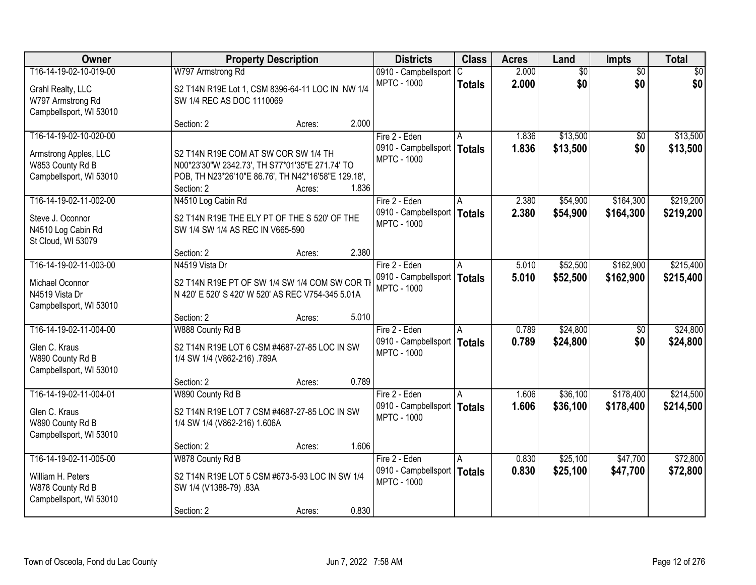| Owner                   |                                                     | <b>Property Description</b> |       |                                            | <b>Class</b>  | <b>Acres</b>   | Land            | <b>Impts</b>    | <b>Total</b>    |
|-------------------------|-----------------------------------------------------|-----------------------------|-------|--------------------------------------------|---------------|----------------|-----------------|-----------------|-----------------|
| T16-14-19-02-10-019-00  | W797 Armstrong Rd                                   |                             |       | 0910 - Campbellsport                       | C             | 2.000          | $\overline{50}$ | $\overline{50}$ | $\overline{50}$ |
| Grahl Realty, LLC       | S2 T14N R19E Lot 1, CSM 8396-64-11 LOC IN NW 1/4    |                             |       | <b>MPTC - 1000</b>                         | <b>Totals</b> | 2.000          | \$0             | \$0             | \$0             |
| W797 Armstrong Rd       | SW 1/4 REC AS DOC 1110069                           |                             |       |                                            |               |                |                 |                 |                 |
| Campbellsport, WI 53010 |                                                     |                             |       |                                            |               |                |                 |                 |                 |
|                         | Section: 2                                          | Acres:                      | 2.000 |                                            |               |                |                 |                 |                 |
| T16-14-19-02-10-020-00  |                                                     |                             |       | Fire 2 - Eden                              | A             | 1.836          | \$13,500        | \$0             | \$13,500        |
| Armstrong Apples, LLC   | S2 T14N R19E COM AT SW COR SW 1/4 TH                |                             |       | 0910 - Campbellsport<br><b>MPTC - 1000</b> | <b>Totals</b> | 1.836          | \$13,500        | \$0             | \$13,500        |
| W853 County Rd B        | N00*23'30"W 2342.73', TH S77*01'35"E 271.74' TO     |                             |       |                                            |               |                |                 |                 |                 |
| Campbellsport, WI 53010 | POB, TH N23*26'10"E 86.76', TH N42*16'58"E 129.18', |                             |       |                                            |               |                |                 |                 |                 |
|                         | Section: 2                                          | Acres:                      | 1.836 |                                            |               |                |                 |                 |                 |
| T16-14-19-02-11-002-00  | N4510 Log Cabin Rd                                  |                             |       | Fire 2 - Eden                              | A             | 2.380          | \$54,900        | \$164,300       | \$219,200       |
| Steve J. Oconnor        | S2 T14N R19E THE ELY PT OF THE S 520' OF THE        |                             |       | 0910 - Campbellsport<br><b>MPTC - 1000</b> | <b>Totals</b> | 2.380          | \$54,900        | \$164,300       | \$219,200       |
| N4510 Log Cabin Rd      | SW 1/4 SW 1/4 AS REC IN V665-590                    |                             |       |                                            |               |                |                 |                 |                 |
| St Cloud, WI 53079      |                                                     |                             |       |                                            |               |                |                 |                 |                 |
|                         | Section: 2                                          | Acres:                      | 2.380 |                                            |               |                |                 |                 |                 |
| T16-14-19-02-11-003-00  | N4519 Vista Dr                                      |                             |       | Fire 2 - Eden                              | A             | 5.010          | \$52,500        | \$162,900       | \$215,400       |
| Michael Oconnor         | S2 T14N R19E PT OF SW 1/4 SW 1/4 COM SW COR TH      |                             |       | 0910 - Campbellsport<br><b>MPTC - 1000</b> | <b>Totals</b> | 5.010          | \$52,500        | \$162,900       | \$215,400       |
| N4519 Vista Dr          | N 420' E 520' S 420' W 520' AS REC V754-345 5.01A   |                             |       |                                            |               |                |                 |                 |                 |
| Campbellsport, WI 53010 |                                                     |                             |       |                                            |               |                |                 |                 |                 |
|                         | Section: 2                                          | Acres:                      | 5.010 |                                            |               |                |                 |                 |                 |
| T16-14-19-02-11-004-00  | W888 County Rd B                                    |                             |       | Fire 2 - Eden                              |               | 0.789          | \$24,800        | $\overline{50}$ | \$24,800        |
| Glen C. Kraus           | S2 T14N R19E LOT 6 CSM #4687-27-85 LOC IN SW        |                             |       | 0910 - Campbellsport<br><b>MPTC - 1000</b> | <b>Totals</b> | 0.789          | \$24,800        | \$0             | \$24,800        |
| W890 County Rd B        | 1/4 SW 1/4 (V862-216) .789A                         |                             |       |                                            |               |                |                 |                 |                 |
| Campbellsport, WI 53010 |                                                     |                             |       |                                            |               |                |                 |                 |                 |
|                         | Section: 2                                          | Acres:                      | 0.789 |                                            |               |                |                 |                 |                 |
| T16-14-19-02-11-004-01  | W890 County Rd B                                    |                             |       | Fire 2 - Eden                              | A             | 1.606          | \$36,100        | \$178,400       | \$214,500       |
| Glen C. Kraus           | S2 T14N R19E LOT 7 CSM #4687-27-85 LOC IN SW        |                             |       | 0910 - Campbellsport<br><b>MPTC - 1000</b> | <b>Totals</b> | 1.606          | \$36,100        | \$178,400       | \$214,500       |
| W890 County Rd B        | 1/4 SW 1/4 (V862-216) 1.606A                        |                             |       |                                            |               |                |                 |                 |                 |
| Campbellsport, WI 53010 |                                                     |                             |       |                                            |               |                |                 |                 |                 |
| T16-14-19-02-11-005-00  | Section: 2                                          | Acres:                      | 1.606 |                                            |               |                |                 |                 |                 |
|                         | W878 County Rd B                                    |                             |       | Fire 2 - Eden<br>0910 - Campbellsport      | A             | 0.830<br>0.830 | \$25,100        | \$47,700        | \$72,800        |
| William H. Peters       | S2 T14N R19E LOT 5 CSM #673-5-93 LOC IN SW 1/4      |                             |       | <b>MPTC - 1000</b>                         | <b>Totals</b> |                | \$25,100        | \$47,700        | \$72,800        |
| W878 County Rd B        | SW 1/4 (V1388-79) .83A                              |                             |       |                                            |               |                |                 |                 |                 |
| Campbellsport, WI 53010 |                                                     |                             |       |                                            |               |                |                 |                 |                 |
|                         | Section: 2                                          | Acres:                      | 0.830 |                                            |               |                |                 |                 |                 |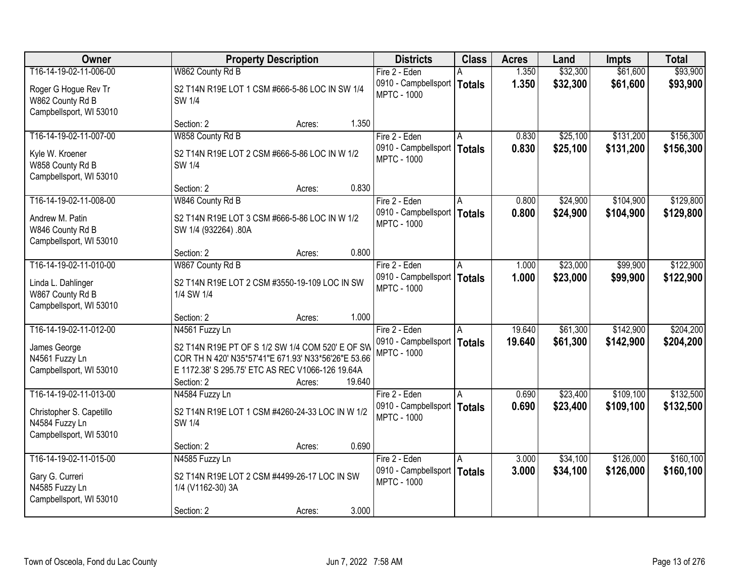| Owner                                                                                           | <b>Property Description</b>                                                                                                                                                   | <b>Districts</b>                                              | <b>Class</b>       | <b>Acres</b>     | Land                 | <b>Impts</b>           | <b>Total</b>            |
|-------------------------------------------------------------------------------------------------|-------------------------------------------------------------------------------------------------------------------------------------------------------------------------------|---------------------------------------------------------------|--------------------|------------------|----------------------|------------------------|-------------------------|
| T16-14-19-02-11-006-00                                                                          | W862 County Rd B                                                                                                                                                              | Fire 2 - Eden                                                 |                    | 1.350            | \$32,300             | \$61,600               | \$93,900                |
| Roger G Hogue Rev Tr<br>W862 County Rd B<br>Campbellsport, WI 53010                             | S2 T14N R19E LOT 1 CSM #666-5-86 LOC IN SW 1/4<br>SW 1/4                                                                                                                      | 0910 - Campbellsport<br><b>MPTC - 1000</b>                    | <b>Totals</b>      | 1.350            | \$32,300             | \$61,600               | \$93,900                |
|                                                                                                 | Section: 2<br>Acres:                                                                                                                                                          | 1.350                                                         |                    |                  |                      |                        |                         |
| T16-14-19-02-11-007-00                                                                          | W858 County Rd B                                                                                                                                                              | Fire 2 - Eden                                                 |                    | 0.830            | \$25,100             | \$131,200              | \$156,300               |
| Kyle W. Kroener<br>W858 County Rd B<br>Campbellsport, WI 53010                                  | S2 T14N R19E LOT 2 CSM #666-5-86 LOC IN W 1/2<br>SW 1/4                                                                                                                       | 0910 - Campbellsport<br><b>MPTC - 1000</b>                    | <b>Totals</b>      | 0.830            | \$25,100             | \$131,200              | \$156,300               |
|                                                                                                 | Section: 2<br>Acres:                                                                                                                                                          | 0.830                                                         |                    |                  |                      |                        |                         |
| T16-14-19-02-11-008-00                                                                          | W846 County Rd B                                                                                                                                                              | Fire 2 - Eden                                                 | A                  | 0.800            | \$24,900             | \$104,900              | \$129,800               |
| Andrew M. Patin<br>W846 County Rd B<br>Campbellsport, WI 53010                                  | S2 T14N R19E LOT 3 CSM #666-5-86 LOC IN W 1/2<br>SW 1/4 (932264) .80A                                                                                                         | 0910 - Campbellsport<br><b>MPTC - 1000</b>                    | <b>Totals</b>      | 0.800            | \$24,900             | \$104,900              | \$129,800               |
|                                                                                                 | Section: 2<br>Acres:                                                                                                                                                          | 0.800                                                         |                    |                  |                      |                        |                         |
| T16-14-19-02-11-010-00                                                                          | W867 County Rd B                                                                                                                                                              | Fire 2 - Eden                                                 | A                  | 1.000            | \$23,000             | \$99,900               | \$122,900               |
| Linda L. Dahlinger<br>W867 County Rd B<br>Campbellsport, WI 53010                               | S2 T14N R19E LOT 2 CSM #3550-19-109 LOC IN SW<br>1/4 SW 1/4                                                                                                                   | 0910 - Campbellsport<br><b>MPTC - 1000</b>                    | <b>Totals</b>      | 1.000            | \$23,000             | \$99,900               | \$122,900               |
|                                                                                                 | Section: 2<br>Acres:                                                                                                                                                          | 1.000                                                         |                    |                  |                      |                        |                         |
| T16-14-19-02-11-012-00<br>James George<br>N4561 Fuzzy Ln<br>Campbellsport, WI 53010             | N4561 Fuzzy Ln<br>S2 T14N R19E PT OF S 1/2 SW 1/4 COM 520' E OF SW<br>COR TH N 420' N35*57'41"E 671.93' N33*56'26"E 53.66<br>E 1172.38' S 295.75' ETC AS REC V1066-126 19.64A | Fire 2 - Eden<br>0910 - Campbellsport  <br><b>MPTC - 1000</b> | A<br><b>Totals</b> | 19.640<br>19.640 | \$61,300<br>\$61,300 | \$142,900<br>\$142,900 | \$204,200<br>\$204,200  |
|                                                                                                 | Section: 2<br>Acres:                                                                                                                                                          | 19.640                                                        |                    |                  |                      |                        |                         |
| T16-14-19-02-11-013-00<br>Christopher S. Capetillo<br>N4584 Fuzzy Ln<br>Campbellsport, WI 53010 | N4584 Fuzzy Ln<br>S2 T14N R19E LOT 1 CSM #4260-24-33 LOC IN W 1/2<br>SW 1/4                                                                                                   | Fire 2 - Eden<br>0910 - Campbellsport  <br><b>MPTC - 1000</b> | A<br><b>Totals</b> | 0.690<br>0.690   | \$23,400<br>\$23,400 | \$109,100<br>\$109,100 | \$132,500<br>\$132,500  |
|                                                                                                 | Section: 2<br>Acres:                                                                                                                                                          | 0.690                                                         |                    |                  |                      |                        |                         |
| T16-14-19-02-11-015-00<br>Gary G. Curreri<br>N4585 Fuzzy Ln<br>Campbellsport, WI 53010          | N4585 Fuzzy Ln<br>S2 T14N R19E LOT 2 CSM #4499-26-17 LOC IN SW<br>1/4 (V1162-30) 3A                                                                                           | Fire 2 - Eden<br>0910 - Campbellsport<br><b>MPTC - 1000</b>   | A<br><b>Totals</b> | 3.000<br>3.000   | \$34,100<br>\$34,100 | \$126,000<br>\$126,000 | \$160, 100<br>\$160,100 |
|                                                                                                 | Section: 2<br>Acres:                                                                                                                                                          | 3.000                                                         |                    |                  |                      |                        |                         |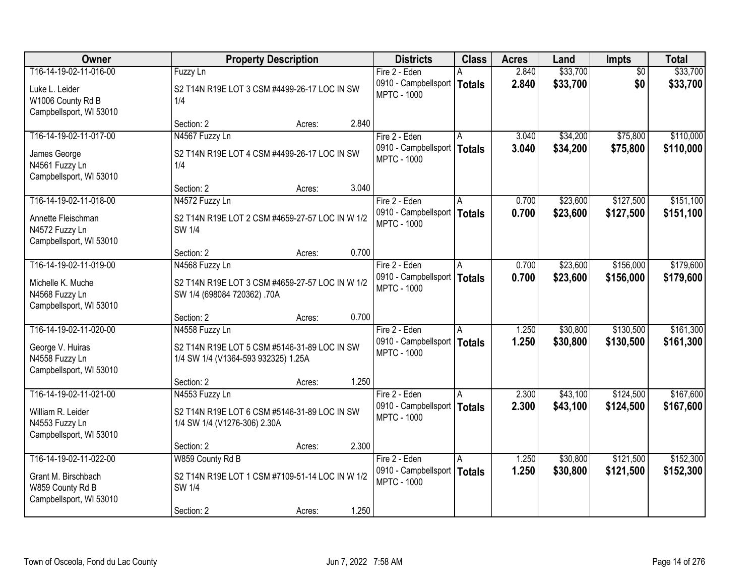| Owner                                                                                        | <b>Property Description</b>                                                                                    | <b>Districts</b>                                                     | <b>Class</b> | <b>Acres</b>   | Land                 | <b>Impts</b>           | <b>Total</b>           |
|----------------------------------------------------------------------------------------------|----------------------------------------------------------------------------------------------------------------|----------------------------------------------------------------------|--------------|----------------|----------------------|------------------------|------------------------|
| T16-14-19-02-11-016-00<br>Luke L. Leider<br>W1006 County Rd B<br>Campbellsport, WI 53010     | Fuzzy Ln<br>S2 T14N R19E LOT 3 CSM #4499-26-17 LOC IN SW<br>1/4                                                | Fire 2 - Eden<br>0910 - Campbellsport   Totals<br><b>MPTC - 1000</b> |              | 2.840<br>2.840 | \$33,700<br>\$33,700 | $\overline{50}$<br>\$0 | \$33,700<br>\$33,700   |
|                                                                                              | 2.840<br>Section: 2<br>Acres:                                                                                  |                                                                      |              |                |                      |                        |                        |
| T16-14-19-02-11-017-00<br>James George<br>N4561 Fuzzy Ln<br>Campbellsport, WI 53010          | N4567 Fuzzy Ln<br>S2 T14N R19E LOT 4 CSM #4499-26-17 LOC IN SW<br>1/4<br>3.040<br>Section: 2<br>Acres:         | Fire 2 - Eden<br>0910 - Campbellsport   Totals<br><b>MPTC - 1000</b> |              | 3.040<br>3.040 | \$34,200<br>\$34,200 | \$75,800<br>\$75,800   | \$110,000<br>\$110,000 |
| T16-14-19-02-11-018-00                                                                       | N4572 Fuzzy Ln                                                                                                 | Fire 2 - Eden                                                        | ΙA           | 0.700          | \$23,600             | \$127,500              | \$151,100              |
| Annette Fleischman<br>N4572 Fuzzy Ln<br>Campbellsport, WI 53010                              | S2 T14N R19E LOT 2 CSM #4659-27-57 LOC IN W 1/2<br>SW 1/4                                                      | 0910 - Campbellsport   Totals<br><b>MPTC - 1000</b>                  |              | 0.700          | \$23,600             | \$127,500              | \$151,100              |
|                                                                                              | 0.700<br>Section: 2<br>Acres:                                                                                  |                                                                      |              |                |                      |                        |                        |
| T16-14-19-02-11-019-00                                                                       | N4568 Fuzzy Ln                                                                                                 | Fire 2 - Eden                                                        | A            | 0.700          | \$23,600             | \$156,000              | \$179,600              |
| Michelle K. Muche<br>N4568 Fuzzy Ln<br>Campbellsport, WI 53010                               | S2 T14N R19E LOT 3 CSM #4659-27-57 LOC IN W 1/2<br>SW 1/4 (698084 720362) .70A                                 | 0910 - Campbellsport   Totals<br><b>MPTC - 1000</b>                  |              | 0.700          | \$23,600             | \$156,000              | \$179,600              |
|                                                                                              | 0.700<br>Section: 2<br>Acres:                                                                                  |                                                                      |              |                |                      |                        |                        |
| T16-14-19-02-11-020-00<br>George V. Huiras<br>N4558 Fuzzy Ln<br>Campbellsport, WI 53010      | N4558 Fuzzy Ln<br>S2 T14N R19E LOT 5 CSM #5146-31-89 LOC IN SW<br>1/4 SW 1/4 (V1364-593 932325) 1.25A          | Fire 2 - Eden<br>0910 - Campbellsport   Totals<br><b>MPTC - 1000</b> | A            | 1.250<br>1.250 | \$30,800<br>\$30,800 | \$130,500<br>\$130,500 | \$161,300<br>\$161,300 |
|                                                                                              | 1.250<br>Section: 2<br>Acres:                                                                                  |                                                                      |              |                |                      |                        |                        |
| T16-14-19-02-11-021-00<br>William R. Leider<br>N4553 Fuzzy Ln<br>Campbellsport, WI 53010     | N4553 Fuzzy Ln<br>S2 T14N R19E LOT 6 CSM #5146-31-89 LOC IN SW<br>1/4 SW 1/4 (V1276-306) 2.30A                 | Fire 2 - Eden<br>0910 - Campbellsport   Totals<br><b>MPTC - 1000</b> | A            | 2.300<br>2.300 | \$43,100<br>\$43,100 | \$124,500<br>\$124,500 | \$167,600<br>\$167,600 |
|                                                                                              | 2.300<br>Section: 2<br>Acres:                                                                                  |                                                                      |              |                |                      |                        |                        |
| T16-14-19-02-11-022-00<br>Grant M. Birschbach<br>W859 County Rd B<br>Campbellsport, WI 53010 | W859 County Rd B<br>S2 T14N R19E LOT 1 CSM #7109-51-14 LOC IN W 1/2<br>SW 1/4<br>1.250<br>Section: 2<br>Acres: | Fire 2 - Eden<br>0910 - Campbellsport   Totals<br><b>MPTC - 1000</b> | A            | 1.250<br>1.250 | \$30,800<br>\$30,800 | \$121,500<br>\$121,500 | \$152,300<br>\$152,300 |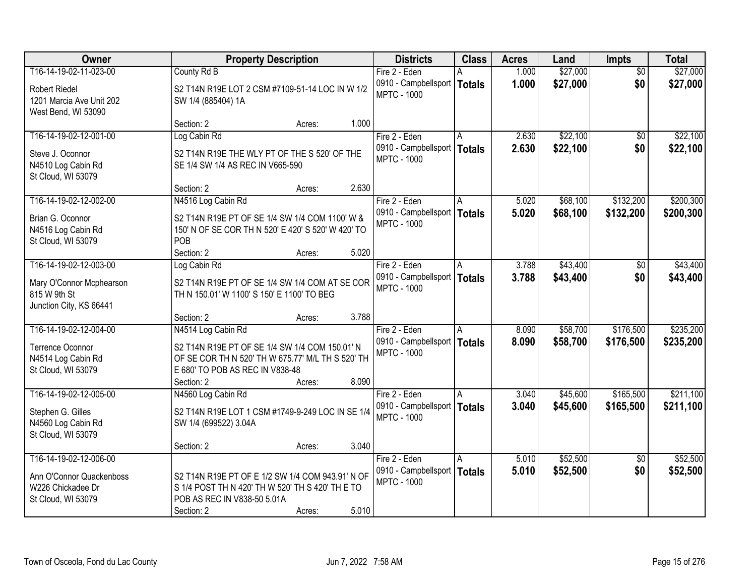| Owner                    |                                                    | <b>Property Description</b> |       | <b>Districts</b>                                    | <b>Class</b> | <b>Acres</b> | Land     | <b>Impts</b>    | <b>Total</b> |
|--------------------------|----------------------------------------------------|-----------------------------|-------|-----------------------------------------------------|--------------|--------------|----------|-----------------|--------------|
| T16-14-19-02-11-023-00   | County Rd B                                        |                             |       | Fire 2 - Eden                                       |              | 1.000        | \$27,000 | $\overline{30}$ | \$27,000     |
| <b>Robert Riedel</b>     | S2 T14N R19E LOT 2 CSM #7109-51-14 LOC IN W 1/2    |                             |       | 0910 - Campbellsport   Totals<br><b>MPTC - 1000</b> |              | 1.000        | \$27,000 | \$0             | \$27,000     |
| 1201 Marcia Ave Unit 202 | SW 1/4 (885404) 1A                                 |                             |       |                                                     |              |              |          |                 |              |
| West Bend, WI 53090      |                                                    |                             |       |                                                     |              |              |          |                 |              |
|                          | Section: 2                                         | Acres:                      | 1.000 |                                                     |              |              |          |                 |              |
| T16-14-19-02-12-001-00   | Log Cabin Rd                                       |                             |       | Fire 2 - Eden                                       | A            | 2.630        | \$22,100 | $\overline{50}$ | \$22,100     |
| Steve J. Oconnor         | S2 T14N R19E THE WLY PT OF THE S 520' OF THE       |                             |       | 0910 - Campbellsport   Totals<br><b>MPTC - 1000</b> |              | 2.630        | \$22,100 | \$0             | \$22,100     |
| N4510 Log Cabin Rd       | SE 1/4 SW 1/4 AS REC IN V665-590                   |                             |       |                                                     |              |              |          |                 |              |
| St Cloud, WI 53079       |                                                    |                             |       |                                                     |              |              |          |                 |              |
|                          | Section: 2                                         | Acres:                      | 2.630 |                                                     |              |              |          |                 |              |
| T16-14-19-02-12-002-00   | N4516 Log Cabin Rd                                 |                             |       | Fire 2 - Eden                                       |              | 5.020        | \$68,100 | \$132,200       | \$200,300    |
| Brian G. Oconnor         | S2 T14N R19E PT OF SE 1/4 SW 1/4 COM 1100' W &     |                             |       | 0910 - Campbellsport   Totals<br><b>MPTC - 1000</b> |              | 5.020        | \$68,100 | \$132,200       | \$200,300    |
| N4516 Log Cabin Rd       | 150' N OF SE COR TH N 520' E 420' S 520' W 420' TO |                             |       |                                                     |              |              |          |                 |              |
| St Cloud, WI 53079       | POB                                                |                             |       |                                                     |              |              |          |                 |              |
|                          | Section: 2                                         | Acres:                      | 5.020 |                                                     |              |              |          |                 |              |
| T16-14-19-02-12-003-00   | Log Cabin Rd                                       |                             |       | Fire 2 - Eden                                       | A            | 3.788        | \$43,400 | $\sqrt{6}$      | \$43,400     |
| Mary O'Connor Mcphearson | S2 T14N R19E PT OF SE 1/4 SW 1/4 COM AT SE COR     |                             |       | 0910 - Campbellsport<br><b>MPTC - 1000</b>          | Totals       | 3.788        | \$43,400 | \$0             | \$43,400     |
| 815 W 9th St             | TH N 150.01' W 1100' S 150' E 1100' TO BEG         |                             |       |                                                     |              |              |          |                 |              |
| Junction City, KS 66441  |                                                    |                             |       |                                                     |              |              |          |                 |              |
|                          | Section: 2                                         | Acres:                      | 3.788 |                                                     |              |              |          |                 |              |
| T16-14-19-02-12-004-00   | N4514 Log Cabin Rd                                 |                             |       | Fire 2 - Eden                                       | A            | 8.090        | \$58,700 | \$176,500       | \$235,200    |
| Terrence Oconnor         | S2 T14N R19E PT OF SE 1/4 SW 1/4 COM 150.01' N     |                             |       | 0910 - Campbellsport   Totals<br><b>MPTC - 1000</b> |              | 8.090        | \$58,700 | \$176,500       | \$235,200    |
| N4514 Log Cabin Rd       | OF SE COR TH N 520' TH W 675.77' M/L TH S 520' TH  |                             |       |                                                     |              |              |          |                 |              |
| St Cloud, WI 53079       | E 680' TO POB AS REC IN V838-48                    |                             |       |                                                     |              |              |          |                 |              |
|                          | Section: 2                                         | Acres:                      | 8.090 |                                                     |              |              |          |                 |              |
| T16-14-19-02-12-005-00   | N4560 Log Cabin Rd                                 |                             |       | Fire 2 - Eden                                       |              | 3.040        | \$45,600 | \$165,500       | \$211,100    |
| Stephen G. Gilles        | S2 T14N R19E LOT 1 CSM #1749-9-249 LOC IN SE 1/4   |                             |       | 0910 - Campbellsport   Totals<br><b>MPTC - 1000</b> |              | 3.040        | \$45,600 | \$165,500       | \$211,100    |
| N4560 Log Cabin Rd       | SW 1/4 (699522) 3.04A                              |                             |       |                                                     |              |              |          |                 |              |
| St Cloud, WI 53079       |                                                    |                             |       |                                                     |              |              |          |                 |              |
|                          | Section: 2                                         | Acres:                      | 3.040 |                                                     |              |              |          |                 |              |
| T16-14-19-02-12-006-00   |                                                    |                             |       | Fire 2 - Eden                                       | A            | 5.010        | \$52,500 | $\overline{50}$ | \$52,500     |
| Ann O'Connor Quackenboss | S2 T14N R19E PT OF E 1/2 SW 1/4 COM 943.91' N OF   |                             |       | 0910 - Campbellsport   Totals<br><b>MPTC - 1000</b> |              | 5.010        | \$52,500 | \$0             | \$52,500     |
| W226 Chickadee Dr        | S 1/4 POST TH N 420' TH W 520' TH S 420' TH E TO   |                             |       |                                                     |              |              |          |                 |              |
| St Cloud, WI 53079       | POB AS REC IN V838-50 5.01A                        |                             |       |                                                     |              |              |          |                 |              |
|                          | Section: 2                                         | Acres:                      | 5.010 |                                                     |              |              |          |                 |              |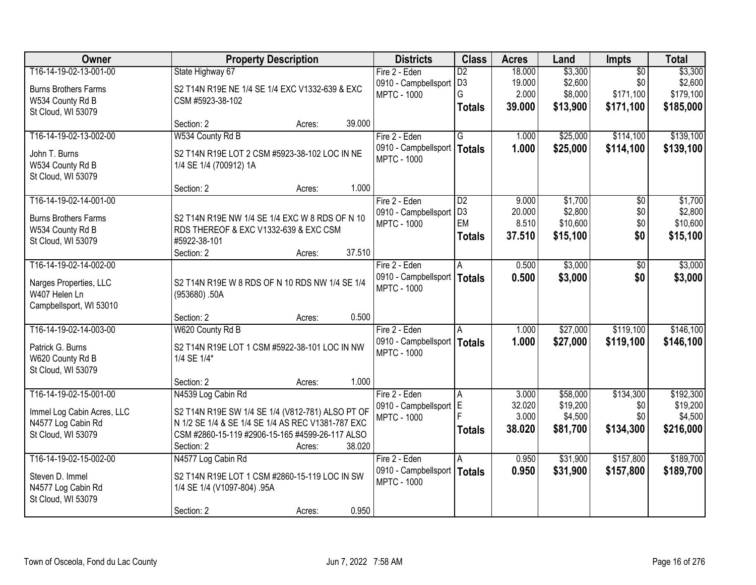| Owner                       | <b>Property Description</b>                       | <b>Districts</b>     | <b>Class</b>            | <b>Acres</b> | Land     | <b>Impts</b>    | <b>Total</b> |
|-----------------------------|---------------------------------------------------|----------------------|-------------------------|--------------|----------|-----------------|--------------|
| T16-14-19-02-13-001-00      | State Highway 67                                  | Fire 2 - Eden        | $\overline{D2}$         | 18.000       | \$3,300  | $\overline{50}$ | \$3,300      |
| <b>Burns Brothers Farms</b> | S2 T14N R19E NE 1/4 SE 1/4 EXC V1332-639 & EXC    | 0910 - Campbellsport | D <sub>3</sub>          | 19.000       | \$2,600  | \$0             | \$2,600      |
| W534 County Rd B            | CSM #5923-38-102                                  | <b>MPTC - 1000</b>   | G                       | 2.000        | \$8,000  | \$171,100       | \$179,100    |
| St Cloud, WI 53079          |                                                   |                      | <b>Totals</b>           | 39.000       | \$13,900 | \$171,100       | \$185,000    |
|                             | 39.000<br>Section: 2<br>Acres:                    |                      |                         |              |          |                 |              |
| T16-14-19-02-13-002-00      | W534 County Rd B                                  | Fire 2 - Eden        | $\overline{\mathsf{G}}$ | 1.000        | \$25,000 | \$114,100       | \$139,100    |
| John T. Burns               | S2 T14N R19E LOT 2 CSM #5923-38-102 LOC IN NE     | 0910 - Campbellsport | <b>Totals</b>           | 1.000        | \$25,000 | \$114,100       | \$139,100    |
| W534 County Rd B            | 1/4 SE 1/4 (700912) 1A                            | <b>MPTC - 1000</b>   |                         |              |          |                 |              |
| St Cloud, WI 53079          |                                                   |                      |                         |              |          |                 |              |
|                             | 1.000<br>Section: 2<br>Acres:                     |                      |                         |              |          |                 |              |
| T16-14-19-02-14-001-00      |                                                   | Fire 2 - Eden        | D2                      | 9.000        | \$1,700  | \$0             | \$1,700      |
| <b>Burns Brothers Farms</b> | S2 T14N R19E NW 1/4 SE 1/4 EXC W 8 RDS OF N 10    | 0910 - Campbellsport | D <sub>3</sub>          | 20.000       | \$2,800  | \$0             | \$2,800      |
| W534 County Rd B            | RDS THEREOF & EXC V1332-639 & EXC CSM             | <b>MPTC - 1000</b>   | EM                      | 8.510        | \$10,600 | \$0             | \$10,600     |
| St Cloud, WI 53079          | #5922-38-101                                      |                      | <b>Totals</b>           | 37.510       | \$15,100 | \$0             | \$15,100     |
|                             | 37.510<br>Section: 2<br>Acres:                    |                      |                         |              |          |                 |              |
| T16-14-19-02-14-002-00      |                                                   | Fire 2 - Eden        | A                       | 0.500        | \$3,000  | \$0             | \$3,000      |
| Narges Properties, LLC      | S2 T14N R19E W 8 RDS OF N 10 RDS NW 1/4 SE 1/4    | 0910 - Campbellsport | <b>Totals</b>           | 0.500        | \$3,000  | \$0             | \$3,000      |
| W407 Helen Ln               | (953680).50A                                      | <b>MPTC - 1000</b>   |                         |              |          |                 |              |
| Campbellsport, WI 53010     |                                                   |                      |                         |              |          |                 |              |
|                             | 0.500<br>Section: 2<br>Acres:                     |                      |                         |              |          |                 |              |
| T16-14-19-02-14-003-00      | W620 County Rd B                                  | Fire 2 - Eden        |                         | 1.000        | \$27,000 | \$119,100       | \$146,100    |
| Patrick G. Burns            | S2 T14N R19E LOT 1 CSM #5922-38-101 LOC IN NW     | 0910 - Campbellsport | <b>Totals</b>           | 1.000        | \$27,000 | \$119,100       | \$146,100    |
| W620 County Rd B            | 1/4 SE 1/4*                                       | <b>MPTC - 1000</b>   |                         |              |          |                 |              |
| St Cloud, WI 53079          |                                                   |                      |                         |              |          |                 |              |
|                             | 1.000<br>Section: 2<br>Acres:                     |                      |                         |              |          |                 |              |
| T16-14-19-02-15-001-00      | N4539 Log Cabin Rd                                | Fire 2 - Eden        | l A                     | 3.000        | \$58,000 | \$134,300       | \$192,300    |
| Immel Log Cabin Acres, LLC  | S2 T14N R19E SW 1/4 SE 1/4 (V812-781) ALSO PT OF  | 0910 - Campbellsport | E                       | 32.020       | \$19,200 | \$0             | \$19,200     |
| N4577 Log Cabin Rd          | N 1/2 SE 1/4 & SE 1/4 SE 1/4 AS REC V1381-787 EXC | <b>MPTC - 1000</b>   |                         | 3.000        | \$4,500  | \$0             | \$4,500      |
| St Cloud, WI 53079          | CSM #2860-15-119 #2906-15-165 #4599-26-117 ALSO   |                      | <b>Totals</b>           | 38.020       | \$81,700 | \$134,300       | \$216,000    |
|                             | 38.020<br>Section: 2<br>Acres:                    |                      |                         |              |          |                 |              |
| T16-14-19-02-15-002-00      | N4577 Log Cabin Rd                                | Fire 2 - Eden        | A                       | 0.950        | \$31,900 | \$157,800       | \$189,700    |
| Steven D. Immel             | S2 T14N R19E LOT 1 CSM #2860-15-119 LOC IN SW     | 0910 - Campbellsport | <b>Totals</b>           | 0.950        | \$31,900 | \$157,800       | \$189,700    |
| N4577 Log Cabin Rd          | 1/4 SE 1/4 (V1097-804) .95A                       | <b>MPTC - 1000</b>   |                         |              |          |                 |              |
| St Cloud, WI 53079          |                                                   |                      |                         |              |          |                 |              |
|                             | 0.950<br>Section: 2<br>Acres:                     |                      |                         |              |          |                 |              |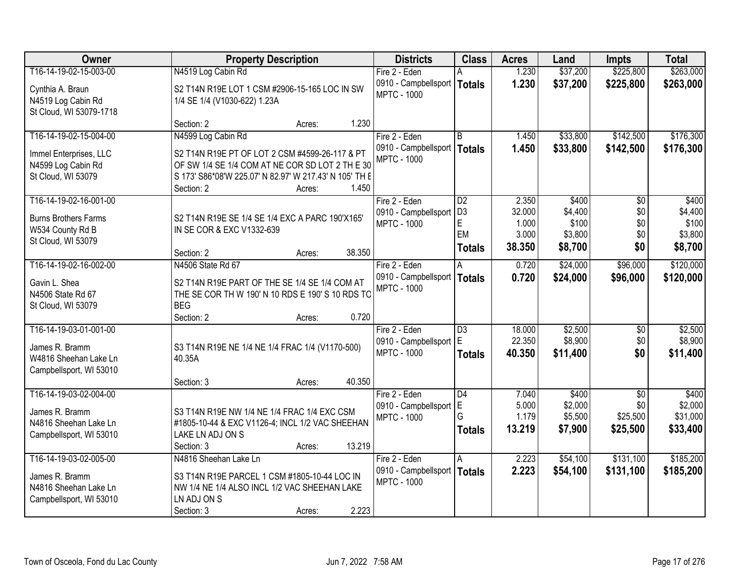| <b>Owner</b>                                                                                 | <b>Property Description</b>                                                                                                                  | <b>Districts</b>                                                     | <b>Class</b>                           | <b>Acres</b>                      | Land                                   | Impts                                          | <b>Total</b>                             |
|----------------------------------------------------------------------------------------------|----------------------------------------------------------------------------------------------------------------------------------------------|----------------------------------------------------------------------|----------------------------------------|-----------------------------------|----------------------------------------|------------------------------------------------|------------------------------------------|
| T16-14-19-02-15-003-00                                                                       | N4519 Log Cabin Rd                                                                                                                           | Fire 2 - Eden                                                        |                                        | 1.230                             | \$37,200                               | \$225,800                                      | \$263,000                                |
| Cynthia A. Braun<br>N4519 Log Cabin Rd<br>St Cloud, WI 53079-1718                            | S2 T14N R19E LOT 1 CSM #2906-15-165 LOC IN SW<br>1/4 SE 1/4 (V1030-622) 1.23A                                                                | 0910 - Campbellsport   Totals<br><b>MPTC - 1000</b>                  |                                        | 1.230                             | \$37,200                               | \$225,800                                      | \$263,000                                |
|                                                                                              | 1.230<br>Section: 2<br>Acres:                                                                                                                |                                                                      |                                        |                                   |                                        |                                                |                                          |
| T16-14-19-02-15-004-00<br>Immel Enterprises, LLC                                             | N4599 Log Cabin Rd<br>S2 T14N R19E PT OF LOT 2 CSM #4599-26-117 & PT                                                                         | Fire 2 - Eden<br>0910 - Campbellsport   Totals<br><b>MPTC - 1000</b> | B                                      | 1.450<br>1.450                    | \$33,800<br>\$33,800                   | \$142,500<br>\$142,500                         | \$176,300<br>\$176,300                   |
| N4599 Log Cabin Rd<br>St Cloud, WI 53079                                                     | OF SW 1/4 SE 1/4 COM AT NE COR SD LOT 2 TH E 30<br>S 173' S86*08'W 225.07' N 82.97' W 217.43' N 105' TH E<br>1.450<br>Section: 2<br>Acres:   |                                                                      |                                        |                                   |                                        |                                                |                                          |
| T16-14-19-02-16-001-00                                                                       |                                                                                                                                              | Fire 2 - Eden                                                        | D <sub>2</sub>                         | 2.350                             | \$400                                  | \$0                                            | \$400                                    |
| <b>Burns Brothers Farms</b><br>W534 County Rd B                                              | S2 T14N R19E SE 1/4 SE 1/4 EXC A PARC 190'X165'<br>IN SE COR & EXC V1332-639                                                                 | 0910 - Campbellsport<br><b>MPTC - 1000</b>                           | D <sub>3</sub><br>E<br>EM              | 32.000<br>1.000<br>3.000          | \$4,400<br>\$100<br>\$3,800            | \$0<br>\$0<br>\$0                              | \$4,400<br>\$100<br>\$3,800              |
| St Cloud, WI 53079                                                                           | 38.350<br>Section: 2<br>Acres:                                                                                                               |                                                                      | <b>Totals</b>                          | 38.350                            | \$8,700                                | \$0                                            | \$8,700                                  |
| T16-14-19-02-16-002-00                                                                       | N4506 State Rd 67                                                                                                                            | Fire 2 - Eden                                                        | A                                      | 0.720                             | \$24,000                               | \$96,000                                       | \$120,000                                |
| Gavin L. Shea<br>N4506 State Rd 67<br>St Cloud, WI 53079                                     | S2 T14N R19E PART OF THE SE 1/4 SE 1/4 COM AT<br>THE SE COR TH W 190' N 10 RDS E 190' S 10 RDS TO<br><b>BEG</b>                              | 0910 - Campbellsport<br><b>MPTC - 1000</b>                           | <b>Totals</b>                          | 0.720                             | \$24,000                               | \$96,000                                       | \$120,000                                |
|                                                                                              | 0.720<br>Section: 2<br>Acres:                                                                                                                |                                                                      |                                        |                                   |                                        |                                                |                                          |
| T16-14-19-03-01-001-00<br>James R. Bramm<br>W4816 Sheehan Lake Ln<br>Campbellsport, WI 53010 | S3 T14N R19E NE 1/4 NE 1/4 FRAC 1/4 (V1170-500)<br>40.35A                                                                                    | Fire 2 - Eden<br>0910 - Campbellsport<br><b>MPTC - 1000</b>          | $\overline{D3}$<br>ΙE<br><b>Totals</b> | 18.000<br>22.350<br>40.350        | \$2,500<br>\$8,900<br>\$11,400         | \$0<br>\$0<br>\$0                              | \$2,500<br>\$8,900<br>\$11,400           |
|                                                                                              | 40.350<br>Section: 3<br>Acres:                                                                                                               |                                                                      |                                        |                                   |                                        |                                                |                                          |
| T16-14-19-03-02-004-00<br>James R. Bramm<br>N4816 Sheehan Lake Ln<br>Campbellsport, WI 53010 | S3 T14N R19E NW 1/4 NE 1/4 FRAC 1/4 EXC CSM<br>#1805-10-44 & EXC V1126-4; INCL 1/2 VAC SHEEHAN<br>LAKE LN ADJ ON S                           | Fire 2 - Eden<br>0910 - Campbellsport<br><b>MPTC - 1000</b>          | D4<br>ΙE<br>G<br><b>Totals</b>         | 7.040<br>5.000<br>1.179<br>13.219 | \$400<br>\$2,000<br>\$5,500<br>\$7,900 | $\overline{50}$<br>\$0<br>\$25,500<br>\$25,500 | \$400<br>\$2,000<br>\$31,000<br>\$33,400 |
| T16-14-19-03-02-005-00                                                                       | 13.219<br>Section: 3<br>Acres:<br>N4816 Sheehan Lake Ln                                                                                      | Fire 2 - Eden                                                        |                                        | 2.223                             | \$54,100                               | \$131,100                                      | \$185,200                                |
| James R. Bramm<br>N4816 Sheehan Lake Ln<br>Campbellsport, WI 53010                           | S3 T14N R19E PARCEL 1 CSM #1805-10-44 LOC IN<br>NW 1/4 NE 1/4 ALSO INCL 1/2 VAC SHEEHAN LAKE<br>LN ADJ ON S<br>2.223<br>Section: 3<br>Acres: | 0910 - Campbellsport   Totals<br><b>MPTC - 1000</b>                  | A                                      | 2.223                             | \$54,100                               | \$131,100                                      | \$185,200                                |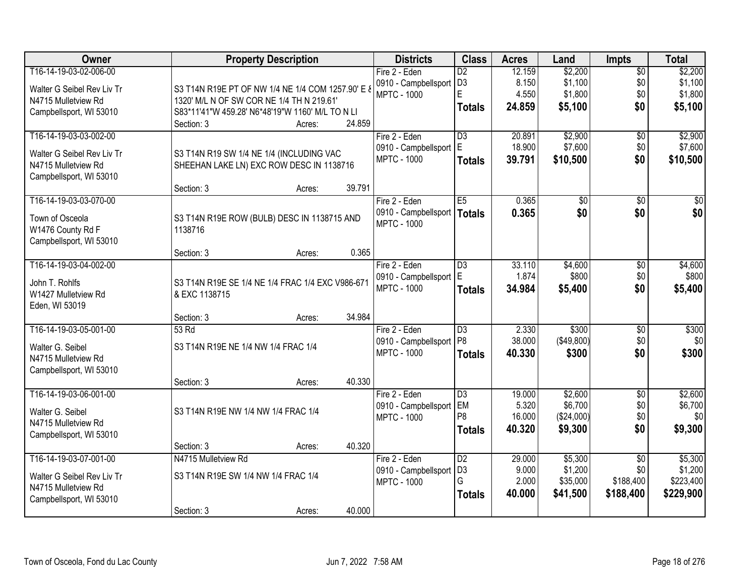| <b>Owner</b>               | <b>Property Description</b>                       |                  | <b>Districts</b>     | <b>Class</b>    | <b>Acres</b> | Land       | <b>Impts</b>    | <b>Total</b>    |
|----------------------------|---------------------------------------------------|------------------|----------------------|-----------------|--------------|------------|-----------------|-----------------|
| T16-14-19-03-02-006-00     |                                                   |                  | Fire 2 - Eden        | $\overline{D2}$ | 12.159       | \$2,200    | $\overline{$0}$ | \$2,200         |
| Walter G Seibel Rev Liv Tr | S3 T14N R19E PT OF NW 1/4 NE 1/4 COM 1257.90' E 8 |                  | 0910 - Campbellsport | D <sub>3</sub>  | 8.150        | \$1,100    | \$0             | \$1,100         |
| N4715 Mulletview Rd        | 1320' M/L N OF SW COR NE 1/4 TH N 219.61'         |                  | <b>MPTC - 1000</b>   | E               | 4.550        | \$1,800    | \$0             | \$1,800         |
| Campbellsport, WI 53010    | S83*11'41"W 459.28' N6*48'19"W 1160' M/L TO N LI  |                  |                      | <b>Totals</b>   | 24.859       | \$5,100    | \$0             | \$5,100         |
|                            | Section: 3                                        | 24.859<br>Acres: |                      |                 |              |            |                 |                 |
| T16-14-19-03-03-002-00     |                                                   |                  | Fire 2 - Eden        | $\overline{D3}$ | 20.891       | \$2,900    | \$0             | \$2,900         |
| Walter G Seibel Rev Liv Tr | S3 T14N R19 SW 1/4 NE 1/4 (INCLUDING VAC          |                  | 0910 - Campbellsport | E               | 18.900       | \$7,600    | \$0             | \$7,600         |
| N4715 Mulletview Rd        | SHEEHAN LAKE LN) EXC ROW DESC IN 1138716          |                  | <b>MPTC - 1000</b>   | <b>Totals</b>   | 39.791       | \$10,500   | \$0             | \$10,500        |
| Campbellsport, WI 53010    |                                                   |                  |                      |                 |              |            |                 |                 |
|                            | Section: 3                                        | 39.791<br>Acres: |                      |                 |              |            |                 |                 |
| T16-14-19-03-03-070-00     |                                                   |                  | Fire 2 - Eden        | E <sub>5</sub>  | 0.365        | \$0        | \$0             | $\overline{30}$ |
| Town of Osceola            | S3 T14N R19E ROW (BULB) DESC IN 1138715 AND       |                  | 0910 - Campbellsport | Totals          | 0.365        | \$0        | \$0             | \$0             |
| W1476 County Rd F          | 1138716                                           |                  | <b>MPTC - 1000</b>   |                 |              |            |                 |                 |
| Campbellsport, WI 53010    |                                                   |                  |                      |                 |              |            |                 |                 |
|                            | Section: 3                                        | 0.365<br>Acres:  |                      |                 |              |            |                 |                 |
| T16-14-19-03-04-002-00     |                                                   |                  | Fire 2 - Eden        | $\overline{D3}$ | 33.110       | \$4,600    | \$0             | \$4,600         |
| John T. Rohlfs             | S3 T14N R19E SE 1/4 NE 1/4 FRAC 1/4 EXC V986-671  |                  | 0910 - Campbellsport | E               | 1.874        | \$800      | \$0             | \$800           |
| W1427 Mulletview Rd        | & EXC 1138715                                     |                  | <b>MPTC - 1000</b>   | <b>Totals</b>   | 34.984       | \$5,400    | \$0             | \$5,400         |
| Eden, WI 53019             |                                                   |                  |                      |                 |              |            |                 |                 |
|                            | Section: 3                                        | 34.984<br>Acres: |                      |                 |              |            |                 |                 |
| T16-14-19-03-05-001-00     | 53 Rd                                             |                  | Fire 2 - Eden        | $\overline{D3}$ | 2.330        | \$300      | \$0             | \$300           |
| Walter G. Seibel           | S3 T14N R19E NE 1/4 NW 1/4 FRAC 1/4               |                  | 0910 - Campbellsport | P <sub>8</sub>  | 38.000       | (\$49,800) | \$0             | \$0             |
| N4715 Mulletview Rd        |                                                   |                  | <b>MPTC - 1000</b>   | <b>Totals</b>   | 40.330       | \$300      | \$0             | \$300           |
| Campbellsport, WI 53010    |                                                   |                  |                      |                 |              |            |                 |                 |
|                            | Section: 3                                        | 40.330<br>Acres: |                      |                 |              |            |                 |                 |
| T16-14-19-03-06-001-00     |                                                   |                  | Fire 2 - Eden        | $\overline{D3}$ | 19.000       | \$2,600    | $\overline{50}$ | \$2,600         |
| Walter G. Seibel           | S3 T14N R19E NW 1/4 NW 1/4 FRAC 1/4               |                  | 0910 - Campbellsport | <b>EM</b>       | 5.320        | \$6,700    | \$0             | \$6,700         |
| N4715 Mulletview Rd        |                                                   |                  | <b>MPTC - 1000</b>   | P <sub>8</sub>  | 16.000       | (\$24,000) | \$0             | \$0             |
| Campbellsport, WI 53010    |                                                   |                  |                      | <b>Totals</b>   | 40.320       | \$9,300    | \$0             | \$9,300         |
|                            | Section: 3                                        | 40.320<br>Acres: |                      |                 |              |            |                 |                 |
| T16-14-19-03-07-001-00     | N4715 Mulletview Rd                               |                  | Fire 2 - Eden        | $\overline{D2}$ | 29.000       | \$5,300    | $\overline{30}$ | \$5,300         |
| Walter G Seibel Rev Liv Tr | S3 T14N R19E SW 1/4 NW 1/4 FRAC 1/4               |                  | 0910 - Campbellsport | D <sub>3</sub>  | 9.000        | \$1,200    | \$0             | \$1,200         |
| N4715 Mulletview Rd        |                                                   |                  | <b>MPTC - 1000</b>   | G               | 2.000        | \$35,000   | \$188,400       | \$223,400       |
| Campbellsport, WI 53010    |                                                   |                  |                      | <b>Totals</b>   | 40.000       | \$41,500   | \$188,400       | \$229,900       |
|                            | Section: 3                                        | 40.000<br>Acres: |                      |                 |              |            |                 |                 |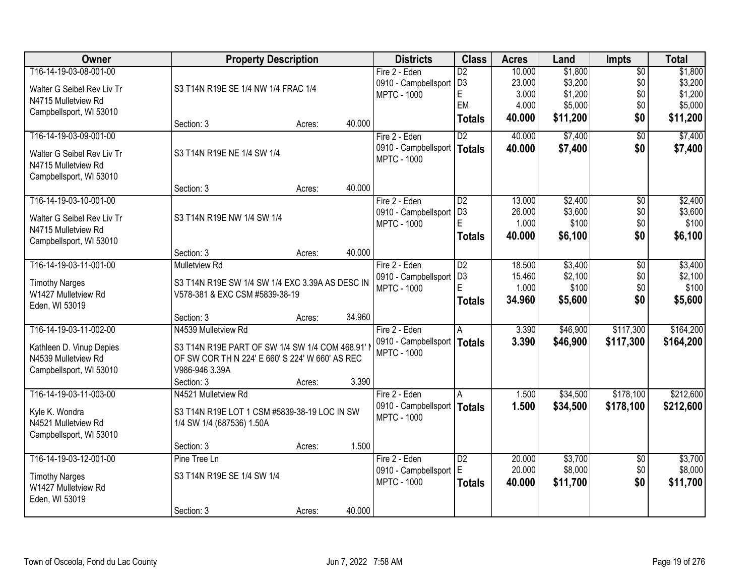| Owner                      | <b>Property Description</b>                     |        |        | <b>Districts</b>              | <b>Class</b>    | <b>Acres</b> | Land     | <b>Impts</b>    | <b>Total</b> |
|----------------------------|-------------------------------------------------|--------|--------|-------------------------------|-----------------|--------------|----------|-----------------|--------------|
| T16-14-19-03-08-001-00     |                                                 |        |        | Fire 2 - Eden                 | $\overline{D2}$ | 10.000       | \$1,800  | $\overline{50}$ | \$1,800      |
| Walter G Seibel Rev Liv Tr | S3 T14N R19E SE 1/4 NW 1/4 FRAC 1/4             |        |        | 0910 - Campbellsport          | D <sub>3</sub>  | 23.000       | \$3,200  | \$0             | \$3,200      |
| N4715 Mulletview Rd        |                                                 |        |        | <b>MPTC - 1000</b>            | E               | 3.000        | \$1,200  | \$0             | \$1,200      |
| Campbellsport, WI 53010    |                                                 |        |        |                               | EM              | 4.000        | \$5,000  | \$0             | \$5,000      |
|                            | Section: 3                                      | Acres: | 40.000 |                               | <b>Totals</b>   | 40.000       | \$11,200 | \$0             | \$11,200     |
| T16-14-19-03-09-001-00     |                                                 |        |        | Fire 2 - Eden                 | $\overline{D2}$ | 40.000       | \$7,400  | $\overline{30}$ | \$7,400      |
| Walter G Seibel Rev Liv Tr | S3 T14N R19E NE 1/4 SW 1/4                      |        |        | 0910 - Campbellsport          | <b>Totals</b>   | 40.000       | \$7,400  | \$0             | \$7,400      |
| N4715 Mulletview Rd        |                                                 |        |        | <b>MPTC - 1000</b>            |                 |              |          |                 |              |
| Campbellsport, WI 53010    |                                                 |        |        |                               |                 |              |          |                 |              |
|                            | Section: 3                                      | Acres: | 40.000 |                               |                 |              |          |                 |              |
| T16-14-19-03-10-001-00     |                                                 |        |        | Fire 2 - Eden                 | $\overline{D2}$ | 13.000       | \$2,400  | \$0             | \$2,400      |
| Walter G Seibel Rev Liv Tr | S3 T14N R19E NW 1/4 SW 1/4                      |        |        | 0910 - Campbellsport          | D <sub>3</sub>  | 26.000       | \$3,600  | \$0             | \$3,600      |
| N4715 Mulletview Rd        |                                                 |        |        | <b>MPTC - 1000</b>            |                 | 1.000        | \$100    | \$0             | \$100        |
| Campbellsport, WI 53010    |                                                 |        |        |                               | <b>Totals</b>   | 40.000       | \$6,100  | \$0             | \$6,100      |
|                            | Section: 3                                      | Acres: | 40.000 |                               |                 |              |          |                 |              |
| T16-14-19-03-11-001-00     | Mulletview Rd                                   |        |        | Fire 2 - Eden                 | D2              | 18.500       | \$3,400  | \$0             | \$3,400      |
| <b>Timothy Narges</b>      | S3 T14N R19E SW 1/4 SW 1/4 EXC 3.39A AS DESC IN |        |        | 0910 - Campbellsport          | D <sub>3</sub>  | 15.460       | \$2,100  | \$0             | \$2,100      |
| W1427 Mulletview Rd        | V578-381 & EXC CSM #5839-38-19                  |        |        | <b>MPTC - 1000</b>            | E               | 1.000        | \$100    | \$0             | \$100        |
| Eden, WI 53019             |                                                 |        |        |                               | <b>Totals</b>   | 34.960       | \$5,600  | \$0             | \$5,600      |
|                            | Section: 3                                      | Acres: | 34.960 |                               |                 |              |          |                 |              |
| T16-14-19-03-11-002-00     | N4539 Mulletview Rd                             |        |        | Fire 2 - Eden                 | A               | 3.390        | \$46,900 | \$117,300       | \$164,200    |
| Kathleen D. Vinup Depies   | S3 T14N R19E PART OF SW 1/4 SW 1/4 COM 468.91'  |        |        | 0910 - Campbellsport   Totals |                 | 3.390        | \$46,900 | \$117,300       | \$164,200    |
| N4539 Mulletview Rd        | OF SW COR TH N 224' E 660' S 224' W 660' AS REC |        |        | <b>MPTC - 1000</b>            |                 |              |          |                 |              |
| Campbellsport, WI 53010    | V986-946 3.39A                                  |        |        |                               |                 |              |          |                 |              |
|                            | Section: 3                                      | Acres: | 3.390  |                               |                 |              |          |                 |              |
| T16-14-19-03-11-003-00     | N4521 Mulletview Rd                             |        |        | Fire 2 - Eden                 | A               | 1.500        | \$34,500 | \$178,100       | \$212,600    |
| Kyle K. Wondra             | S3 T14N R19E LOT 1 CSM #5839-38-19 LOC IN SW    |        |        | 0910 - Campbellsport   Totals |                 | 1.500        | \$34,500 | \$178,100       | \$212,600    |
| N4521 Mulletview Rd        | 1/4 SW 1/4 (687536) 1.50A                       |        |        | <b>MPTC - 1000</b>            |                 |              |          |                 |              |
| Campbellsport, WI 53010    |                                                 |        |        |                               |                 |              |          |                 |              |
|                            | Section: 3                                      | Acres: | 1.500  |                               |                 |              |          |                 |              |
| T16-14-19-03-12-001-00     | Pine Tree Ln                                    |        |        | Fire 2 - Eden                 | $\overline{D2}$ | 20.000       | \$3,700  | $\overline{30}$ | \$3,700      |
| <b>Timothy Narges</b>      | S3 T14N R19E SE 1/4 SW 1/4                      |        |        | 0910 - Campbellsport E        |                 | 20.000       | \$8,000  | \$0             | \$8,000      |
| W1427 Mulletview Rd        |                                                 |        |        | <b>MPTC - 1000</b>            | <b>Totals</b>   | 40.000       | \$11,700 | \$0             | \$11,700     |
| Eden, WI 53019             |                                                 |        |        |                               |                 |              |          |                 |              |
|                            | Section: 3                                      | Acres: | 40.000 |                               |                 |              |          |                 |              |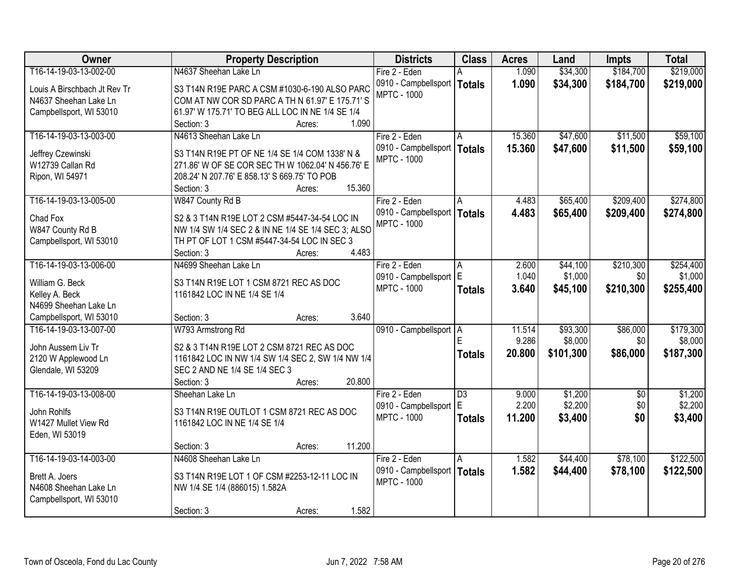| Owner                        | <b>Property Description</b>                        | <b>Districts</b>                             | <b>Class</b>    | <b>Acres</b> | Land      | <b>Impts</b> | <b>Total</b> |
|------------------------------|----------------------------------------------------|----------------------------------------------|-----------------|--------------|-----------|--------------|--------------|
| T16-14-19-03-13-002-00       | N4637 Sheehan Lake Ln                              | Fire 2 - Eden                                |                 | 1.090        | \$34,300  | \$184,700    | \$219,000    |
| Louis A Birschbach Jt Rev Tr | S3 T14N R19E PARC A CSM #1030-6-190 ALSO PARC      | 0910 - Campbellsport                         | <b>Totals</b>   | 1.090        | \$34,300  | \$184,700    | \$219,000    |
| N4637 Sheehan Lake Ln        | COM AT NW COR SD PARC A TH N 61.97' E 175.71' S    | <b>MPTC - 1000</b>                           |                 |              |           |              |              |
| Campbellsport, WI 53010      | 61.97' W 175.71' TO BEG ALL LOC IN NE 1/4 SE 1/4   |                                              |                 |              |           |              |              |
|                              | 1.090<br>Section: 3<br>Acres:                      |                                              |                 |              |           |              |              |
| T16-14-19-03-13-003-00       | N4613 Sheehan Lake Ln                              | Fire 2 - Eden                                | A               | 15.360       | \$47,600  | \$11,500     | \$59,100     |
|                              |                                                    | 0910 - Campbellsport                         | <b>Totals</b>   | 15.360       | \$47,600  | \$11,500     | \$59,100     |
| Jeffrey Czewinski            | S3 T14N R19E PT OF NE 1/4 SE 1/4 COM 1338' N &     | <b>MPTC - 1000</b>                           |                 |              |           |              |              |
| W12739 Callan Rd             | 271.86' W OF SE COR SEC TH W 1062.04' N 456.76' E  |                                              |                 |              |           |              |              |
| Ripon, WI 54971              | 208.24' N 207.76' E 858.13' S 669.75' TO POB       |                                              |                 |              |           |              |              |
|                              | 15.360<br>Section: 3<br>Acres:                     |                                              |                 |              |           |              |              |
| T16-14-19-03-13-005-00       | W847 County Rd B                                   | Fire 2 - Eden                                | A               | 4.483        | \$65,400  | \$209,400    | \$274,800    |
| Chad Fox                     | S2 & 3 T14N R19E LOT 2 CSM #5447-34-54 LOC IN      | 0910 - Campbellsport  <br><b>MPTC - 1000</b> | <b>Totals</b>   | 4.483        | \$65,400  | \$209,400    | \$274,800    |
| W847 County Rd B             | NW 1/4 SW 1/4 SEC 2 & IN NE 1/4 SE 1/4 SEC 3; ALSO |                                              |                 |              |           |              |              |
| Campbellsport, WI 53010      | TH PT OF LOT 1 CSM #5447-34-54 LOC IN SEC 3        |                                              |                 |              |           |              |              |
|                              | 4.483<br>Section: 3<br>Acres:                      |                                              |                 |              |           |              |              |
| T16-14-19-03-13-006-00       | N4699 Sheehan Lake Ln                              | Fire 2 - Eden                                | A               | 2.600        | \$44,100  | \$210,300    | \$254,400    |
| William G. Beck              | S3 T14N R19E LOT 1 CSM 8721 REC AS DOC             | 0910 - Campbellsport E                       |                 | 1.040        | \$1,000   | \$0          | \$1,000      |
| Kelley A. Beck               | 1161842 LOC IN NE 1/4 SE 1/4                       | <b>MPTC - 1000</b>                           | <b>Totals</b>   | 3.640        | \$45,100  | \$210,300    | \$255,400    |
| N4699 Sheehan Lake Ln        |                                                    |                                              |                 |              |           |              |              |
| Campbellsport, WI 53010      | 3.640<br>Section: 3<br>Acres:                      |                                              |                 |              |           |              |              |
| T16-14-19-03-13-007-00       | W793 Armstrong Rd                                  | 0910 - Campbellsport   A                     |                 | 11.514       | \$93,300  | \$86,000     | \$179,300    |
|                              |                                                    |                                              | F               | 9.286        | \$8,000   | \$0          | \$8,000      |
| John Aussem Liv Tr           | S2 & 3 T14N R19E LOT 2 CSM 8721 REC AS DOC         |                                              | <b>Totals</b>   | 20.800       | \$101,300 | \$86,000     | \$187,300    |
| 2120 W Applewood Ln          | 1161842 LOC IN NW 1/4 SW 1/4 SEC 2, SW 1/4 NW 1/4  |                                              |                 |              |           |              |              |
| Glendale, WI 53209           | SEC 2 AND NE 1/4 SE 1/4 SEC 3                      |                                              |                 |              |           |              |              |
|                              | 20.800<br>Section: 3<br>Acres:                     |                                              |                 |              |           |              |              |
| T16-14-19-03-13-008-00       | Sheehan Lake Ln                                    | Fire 2 - Eden                                | $\overline{D3}$ | 9.000        | \$1,200   | $\sqrt{6}$   | \$1,200      |
| John Rohlfs                  | S3 T14N R19E OUTLOT 1 CSM 8721 REC AS DOC          | 0910 - Campbellsport E                       |                 | 2.200        | \$2,200   | \$0          | \$2,200      |
| W1427 Mullet View Rd         | 1161842 LOC IN NE 1/4 SE 1/4                       | <b>MPTC - 1000</b>                           | <b>Totals</b>   | 11.200       | \$3,400   | \$0          | \$3,400      |
| Eden, WI 53019               |                                                    |                                              |                 |              |           |              |              |
|                              | 11.200<br>Section: 3<br>Acres:                     |                                              |                 |              |           |              |              |
| T16-14-19-03-14-003-00       | N4608 Sheehan Lake Ln                              | Fire 2 - Eden                                | A               | 1.582        | \$44,400  | \$78,100     | \$122,500    |
|                              |                                                    | 0910 - Campbellsport                         | <b>Totals</b>   | 1.582        | \$44,400  | \$78,100     | \$122,500    |
| Brett A. Joers               | S3 T14N R19E LOT 1 OF CSM #2253-12-11 LOC IN       | <b>MPTC - 1000</b>                           |                 |              |           |              |              |
| N4608 Sheehan Lake Ln        | NW 1/4 SE 1/4 (886015) 1.582A                      |                                              |                 |              |           |              |              |
| Campbellsport, WI 53010      | 1.582<br>Section: 3                                |                                              |                 |              |           |              |              |
|                              | Acres:                                             |                                              |                 |              |           |              |              |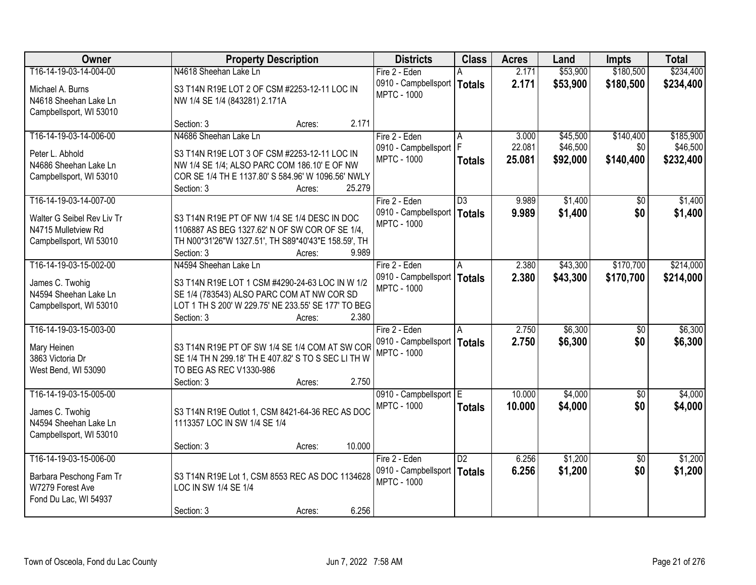| Owner                      | <b>Property Description</b>                         |        | <b>Districts</b>       | <b>Class</b>    | <b>Acres</b> | Land     | <b>Impts</b>    | <b>Total</b> |
|----------------------------|-----------------------------------------------------|--------|------------------------|-----------------|--------------|----------|-----------------|--------------|
| T16-14-19-03-14-004-00     | N4618 Sheehan Lake Ln                               |        | Fire 2 - Eden          |                 | 2.171        | \$53,900 | \$180,500       | \$234,400    |
| Michael A. Burns           | S3 T14N R19E LOT 2 OF CSM #2253-12-11 LOC IN        |        | 0910 - Campbellsport   | <b>Totals</b>   | 2.171        | \$53,900 | \$180,500       | \$234,400    |
| N4618 Sheehan Lake Ln      | NW 1/4 SE 1/4 (843281) 2.171A                       |        | <b>MPTC - 1000</b>     |                 |              |          |                 |              |
| Campbellsport, WI 53010    |                                                     |        |                        |                 |              |          |                 |              |
|                            | Section: 3<br>Acres:                                | 2.171  |                        |                 |              |          |                 |              |
| T16-14-19-03-14-006-00     | N4686 Sheehan Lake Ln                               |        | Fire 2 - Eden          | Α               | 3.000        | \$45,500 | \$140,400       | \$185,900    |
| Peter L. Abhold            | S3 T14N R19E LOT 3 OF CSM #2253-12-11 LOC IN        |        | 0910 - Campbellsport   | F               | 22.081       | \$46,500 | \$0             | \$46,500     |
| N4686 Sheehan Lake Ln      | NW 1/4 SE 1/4; ALSO PARC COM 186.10' E OF NW        |        | <b>MPTC - 1000</b>     | <b>Totals</b>   | 25.081       | \$92,000 | \$140,400       | \$232,400    |
| Campbellsport, WI 53010    | COR SE 1/4 TH E 1137.80' S 584.96' W 1096.56' NWLY  |        |                        |                 |              |          |                 |              |
|                            | Section: 3<br>Acres:                                | 25.279 |                        |                 |              |          |                 |              |
| T16-14-19-03-14-007-00     |                                                     |        | Fire 2 - Eden          | $\overline{D3}$ | 9.989        | \$1,400  | \$0             | \$1,400      |
| Walter G Seibel Rev Liv Tr | S3 T14N R19E PT OF NW 1/4 SE 1/4 DESC IN DOC        |        | 0910 - Campbellsport   | <b>Totals</b>   | 9.989        | \$1,400  | \$0             | \$1,400      |
| N4715 Mulletview Rd        | 1106887 AS BEG 1327.62' N OF SW COR OF SE 1/4,      |        | <b>MPTC - 1000</b>     |                 |              |          |                 |              |
| Campbellsport, WI 53010    | TH N00*31'26"W 1327.51', TH S89*40'43"E 158.59', TH |        |                        |                 |              |          |                 |              |
|                            | Section: 3<br>Acres:                                | 9.989  |                        |                 |              |          |                 |              |
| T16-14-19-03-15-002-00     | N4594 Sheehan Lake Ln                               |        | Fire 2 - Eden          | A               | 2.380        | \$43,300 | \$170,700       | \$214,000    |
| James C. Twohig            | S3 T14N R19E LOT 1 CSM #4290-24-63 LOC IN W 1/2     |        | 0910 - Campbellsport   | <b>Totals</b>   | 2.380        | \$43,300 | \$170,700       | \$214,000    |
| N4594 Sheehan Lake Ln      | SE 1/4 (783543) ALSO PARC COM AT NW COR SD          |        | <b>MPTC - 1000</b>     |                 |              |          |                 |              |
| Campbellsport, WI 53010    | LOT 1 TH S 200' W 229.75' NE 233.55' SE 177' TO BEG |        |                        |                 |              |          |                 |              |
|                            | Section: 3<br>Acres:                                | 2.380  |                        |                 |              |          |                 |              |
| T16-14-19-03-15-003-00     |                                                     |        | Fire 2 - Eden          | A               | 2.750        | \$6,300  | $\overline{50}$ | \$6,300      |
| Mary Heinen                | S3 T14N R19E PT OF SW 1/4 SE 1/4 COM AT SW COR      |        | 0910 - Campbellsport   | <b>Totals</b>   | 2.750        | \$6,300  | \$0             | \$6,300      |
| 3863 Victoria Dr           | SE 1/4 TH N 299.18' TH E 407.82' S TO S SEC LI TH W |        | <b>MPTC - 1000</b>     |                 |              |          |                 |              |
| West Bend, WI 53090        | TO BEG AS REC V1330-986                             |        |                        |                 |              |          |                 |              |
|                            | Section: 3<br>Acres:                                | 2.750  |                        |                 |              |          |                 |              |
| T16-14-19-03-15-005-00     |                                                     |        | 0910 - Campbellsport E |                 | 10.000       | \$4,000  | $\overline{50}$ | \$4,000      |
| James C. Twohig            | S3 T14N R19E Outlot 1, CSM 8421-64-36 REC AS DOC    |        | <b>MPTC - 1000</b>     | <b>Totals</b>   | 10.000       | \$4,000  | \$0             | \$4,000      |
| N4594 Sheehan Lake Ln      | 1113357 LOC IN SW 1/4 SE 1/4                        |        |                        |                 |              |          |                 |              |
| Campbellsport, WI 53010    |                                                     |        |                        |                 |              |          |                 |              |
|                            | Section: 3<br>Acres:                                | 10.000 |                        |                 |              |          |                 |              |
| T16-14-19-03-15-006-00     |                                                     |        | Fire 2 - Eden          | $\overline{D2}$ | 6.256        | \$1,200  | $\overline{50}$ | \$1,200      |
| Barbara Peschong Fam Tr    | S3 T14N R19E Lot 1, CSM 8553 REC AS DOC 1134628     |        | 0910 - Campbellsport   | <b>Totals</b>   | 6.256        | \$1,200  | \$0             | \$1,200      |
| W7279 Forest Ave           | LOC IN SW 1/4 SE 1/4                                |        | <b>MPTC - 1000</b>     |                 |              |          |                 |              |
| Fond Du Lac, WI 54937      |                                                     |        |                        |                 |              |          |                 |              |
|                            | Section: 3<br>Acres:                                | 6.256  |                        |                 |              |          |                 |              |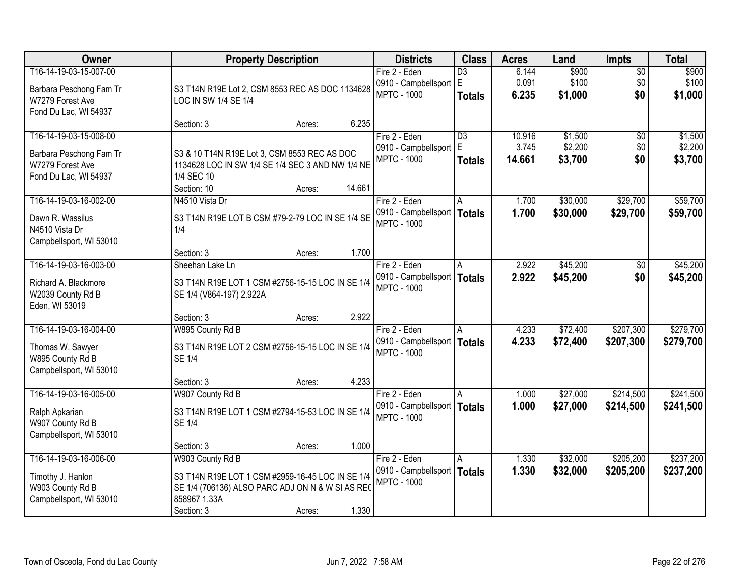| Owner                   | <b>Property Description</b>                      |        |        | <b>Districts</b>              | <b>Class</b>    | <b>Acres</b> | Land     | <b>Impts</b> | <b>Total</b> |
|-------------------------|--------------------------------------------------|--------|--------|-------------------------------|-----------------|--------------|----------|--------------|--------------|
| T16-14-19-03-15-007-00  |                                                  |        |        | Fire 2 - Eden                 | $\overline{D3}$ | 6.144        | \$900    | $\sqrt{$0}$  | \$900        |
| Barbara Peschong Fam Tr | S3 T14N R19E Lot 2, CSM 8553 REC AS DOC 1134628  |        |        | 0910 - Campbellsport E        |                 | 0.091        | \$100    | \$0          | \$100        |
| W7279 Forest Ave        | LOC IN SW 1/4 SE 1/4                             |        |        | <b>MPTC - 1000</b>            | <b>Totals</b>   | 6.235        | \$1,000  | \$0          | \$1,000      |
| Fond Du Lac, WI 54937   |                                                  |        |        |                               |                 |              |          |              |              |
|                         | Section: 3                                       | Acres: | 6.235  |                               |                 |              |          |              |              |
| T16-14-19-03-15-008-00  |                                                  |        |        | Fire 2 - Eden                 | $\overline{D3}$ | 10.916       | \$1,500  | \$0          | \$1,500      |
| Barbara Peschong Fam Tr | S3 & 10 T14N R19E Lot 3, CSM 8553 REC AS DOC     |        |        | 0910 - Campbellsport          | lE.             | 3.745        | \$2,200  | \$0          | \$2,200      |
| W7279 Forest Ave        | 1134628 LOC IN SW 1/4 SE 1/4 SEC 3 AND NW 1/4 NE |        |        | <b>MPTC - 1000</b>            | <b>Totals</b>   | 14.661       | \$3,700  | \$0          | \$3,700      |
| Fond Du Lac, WI 54937   | 1/4 SEC 10                                       |        |        |                               |                 |              |          |              |              |
|                         | Section: 10                                      | Acres: | 14.661 |                               |                 |              |          |              |              |
| T16-14-19-03-16-002-00  | N4510 Vista Dr                                   |        |        | Fire 2 - Eden                 | A               | 1.700        | \$30,000 | \$29,700     | \$59,700     |
| Dawn R. Wassilus        | S3 T14N R19E LOT B CSM #79-2-79 LOC IN SE 1/4 SE |        |        | 0910 - Campbellsport   Totals |                 | 1.700        | \$30,000 | \$29,700     | \$59,700     |
| N4510 Vista Dr          | 1/4                                              |        |        | <b>MPTC - 1000</b>            |                 |              |          |              |              |
| Campbellsport, WI 53010 |                                                  |        |        |                               |                 |              |          |              |              |
|                         | Section: 3                                       | Acres: | 1.700  |                               |                 |              |          |              |              |
| T16-14-19-03-16-003-00  | Sheehan Lake Ln                                  |        |        | Fire 2 - Eden                 | A               | 2.922        | \$45,200 | $\sqrt[6]{}$ | \$45,200     |
| Richard A. Blackmore    | S3 T14N R19E LOT 1 CSM #2756-15-15 LOC IN SE 1/4 |        |        | 0910 - Campbellsport   Totals |                 | 2.922        | \$45,200 | \$0          | \$45,200     |
| W2039 County Rd B       | SE 1/4 (V864-197) 2.922A                         |        |        | <b>MPTC - 1000</b>            |                 |              |          |              |              |
| Eden, WI 53019          |                                                  |        |        |                               |                 |              |          |              |              |
|                         | Section: 3                                       | Acres: | 2.922  |                               |                 |              |          |              |              |
| T16-14-19-03-16-004-00  | W895 County Rd B                                 |        |        | Fire 2 - Eden                 | A               | 4.233        | \$72,400 | \$207,300    | \$279,700    |
| Thomas W. Sawyer        | S3 T14N R19E LOT 2 CSM #2756-15-15 LOC IN SE 1/4 |        |        | 0910 - Campbellsport   Totals |                 | 4.233        | \$72,400 | \$207,300    | \$279,700    |
| W895 County Rd B        | <b>SE 1/4</b>                                    |        |        | <b>MPTC - 1000</b>            |                 |              |          |              |              |
| Campbellsport, WI 53010 |                                                  |        |        |                               |                 |              |          |              |              |
|                         | Section: 3                                       | Acres: | 4.233  |                               |                 |              |          |              |              |
| T16-14-19-03-16-005-00  | W907 County Rd B                                 |        |        | Fire 2 - Eden                 |                 | 1.000        | \$27,000 | \$214,500    | \$241,500    |
| Ralph Apkarian          | S3 T14N R19E LOT 1 CSM #2794-15-53 LOC IN SE 1/4 |        |        | 0910 - Campbellsport   Totals |                 | 1.000        | \$27,000 | \$214,500    | \$241,500    |
| W907 County Rd B        | <b>SE 1/4</b>                                    |        |        | <b>MPTC - 1000</b>            |                 |              |          |              |              |
| Campbellsport, WI 53010 |                                                  |        |        |                               |                 |              |          |              |              |
|                         | Section: 3                                       | Acres: | 1.000  |                               |                 |              |          |              |              |
| T16-14-19-03-16-006-00  | W903 County Rd B                                 |        |        | Fire 2 - Eden                 | A               | 1.330        | \$32,000 | \$205,200    | \$237,200    |
| Timothy J. Hanlon       | S3 T14N R19E LOT 1 CSM #2959-16-45 LOC IN SE 1/4 |        |        | 0910 - Campbellsport   Totals |                 | 1.330        | \$32,000 | \$205,200    | \$237,200    |
| W903 County Rd B        | SE 1/4 (706136) ALSO PARC ADJ ON N & W SI AS REC |        |        | <b>MPTC - 1000</b>            |                 |              |          |              |              |
| Campbellsport, WI 53010 | 858967 1.33A                                     |        |        |                               |                 |              |          |              |              |
|                         | Section: 3                                       | Acres: | 1.330  |                               |                 |              |          |              |              |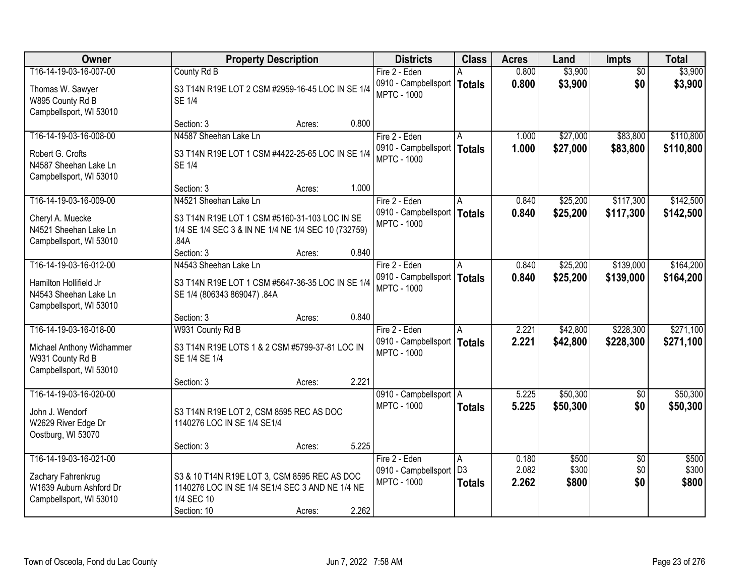| <b>Owner</b>                                                                                       | <b>Property Description</b>                                                                                                  |        |       | <b>Districts</b>                                                     | <b>Class</b>                         | <b>Acres</b>            | Land                    | <b>Impts</b>                  | <b>Total</b>            |
|----------------------------------------------------------------------------------------------------|------------------------------------------------------------------------------------------------------------------------------|--------|-------|----------------------------------------------------------------------|--------------------------------------|-------------------------|-------------------------|-------------------------------|-------------------------|
| T16-14-19-03-16-007-00                                                                             | County Rd B                                                                                                                  |        |       | Fire 2 - Eden                                                        |                                      | 0.800                   | \$3,900                 | $\overline{50}$               | \$3,900                 |
| Thomas W. Sawyer<br>W895 County Rd B<br>Campbellsport, WI 53010                                    | S3 T14N R19E LOT 2 CSM #2959-16-45 LOC IN SE 1/4<br><b>SE 1/4</b>                                                            |        |       | 0910 - Campbellsport   Totals<br><b>MPTC - 1000</b>                  |                                      | 0.800                   | \$3,900                 | \$0                           | \$3,900                 |
|                                                                                                    | Section: 3                                                                                                                   | Acres: | 0.800 |                                                                      |                                      |                         |                         |                               |                         |
| T16-14-19-03-16-008-00                                                                             | N4587 Sheehan Lake Ln                                                                                                        |        |       | Fire 2 - Eden                                                        | A                                    | 1.000                   | \$27,000                | \$83,800                      | \$110,800               |
| Robert G. Crofts<br>N4587 Sheehan Lake Ln<br>Campbellsport, WI 53010                               | S3 T14N R19E LOT 1 CSM #4422-25-65 LOC IN SE 1/4<br><b>SE 1/4</b>                                                            |        |       | 0910 - Campbellsport   Totals<br><b>MPTC - 1000</b>                  |                                      | 1.000                   | \$27,000                | \$83,800                      | \$110,800               |
|                                                                                                    | Section: 3                                                                                                                   | Acres: | 1.000 |                                                                      |                                      |                         |                         |                               |                         |
| T16-14-19-03-16-009-00                                                                             | N4521 Sheehan Lake Ln                                                                                                        |        |       | Fire 2 - Eden                                                        |                                      | 0.840                   | \$25,200                | \$117,300                     | \$142,500               |
| Cheryl A. Muecke<br>N4521 Sheehan Lake Ln<br>Campbellsport, WI 53010                               | S3 T14N R19E LOT 1 CSM #5160-31-103 LOC IN SE<br>1/4 SE 1/4 SEC 3 & IN NE 1/4 NE 1/4 SEC 10 (732759)<br>.84A                 |        |       | 0910 - Campbellsport   Totals<br><b>MPTC - 1000</b>                  |                                      | 0.840                   | \$25,200                | \$117,300                     | \$142,500               |
|                                                                                                    | Section: 3                                                                                                                   | Acres: | 0.840 |                                                                      |                                      |                         |                         |                               |                         |
| T16-14-19-03-16-012-00                                                                             | N4543 Sheehan Lake Ln                                                                                                        |        |       | Fire 2 - Eden                                                        | A                                    | 0.840                   | \$25,200                | \$139,000                     | \$164,200               |
| Hamilton Hollifield Jr<br>N4543 Sheehan Lake Ln<br>Campbellsport, WI 53010                         | S3 T14N R19E LOT 1 CSM #5647-36-35 LOC IN SE 1/4<br>SE 1/4 (806343 869047) .84A                                              |        |       | 0910 - Campbellsport<br><b>MPTC - 1000</b>                           | <b>Totals</b>                        | 0.840                   | \$25,200                | \$139,000                     | \$164,200               |
|                                                                                                    | Section: 3                                                                                                                   | Acres: | 0.840 |                                                                      |                                      |                         |                         |                               |                         |
| T16-14-19-03-16-018-00<br>Michael Anthony Widhammer<br>W931 County Rd B<br>Campbellsport, WI 53010 | W931 County Rd B<br>S3 T14N R19E LOTS 1 & 2 CSM #5799-37-81 LOC IN<br>SE 1/4 SE 1/4                                          |        |       | Fire 2 - Eden<br>0910 - Campbellsport   Totals<br><b>MPTC - 1000</b> | $\overline{A}$                       | 2.221<br>2.221          | \$42,800<br>\$42,800    | \$228,300<br>\$228,300        | \$271,100<br>\$271,100  |
|                                                                                                    | Section: 3                                                                                                                   | Acres: | 2.221 |                                                                      |                                      |                         |                         |                               |                         |
| T16-14-19-03-16-020-00<br>John J. Wendorf<br>W2629 River Edge Dr<br>Oostburg, WI 53070             | S3 T14N R19E LOT 2, CSM 8595 REC AS DOC<br>1140276 LOC IN SE 1/4 SE1/4                                                       |        |       | 0910 - Campbellsport A<br><b>MPTC - 1000</b>                         | <b>Totals</b>                        | 5.225<br>5.225          | \$50,300<br>\$50,300    | $\sqrt{$0}$<br>\$0            | \$50,300<br>\$50,300    |
|                                                                                                    | Section: 3                                                                                                                   | Acres: | 5.225 |                                                                      |                                      |                         |                         |                               |                         |
| T16-14-19-03-16-021-00<br>Zachary Fahrenkrug<br>W1639 Auburn Ashford Dr<br>Campbellsport, WI 53010 | S3 & 10 T14N R19E LOT 3, CSM 8595 REC AS DOC<br>1140276 LOC IN SE 1/4 SE1/4 SEC 3 AND NE 1/4 NE<br>1/4 SEC 10<br>Section: 10 | Acres: | 2.262 | Fire 2 - Eden<br>0910 - Campbellsport<br><b>MPTC - 1000</b>          | A<br>D <sub>3</sub><br><b>Totals</b> | 0.180<br>2.082<br>2.262 | \$500<br>\$300<br>\$800 | $\overline{30}$<br>\$0<br>\$0 | \$500<br>\$300<br>\$800 |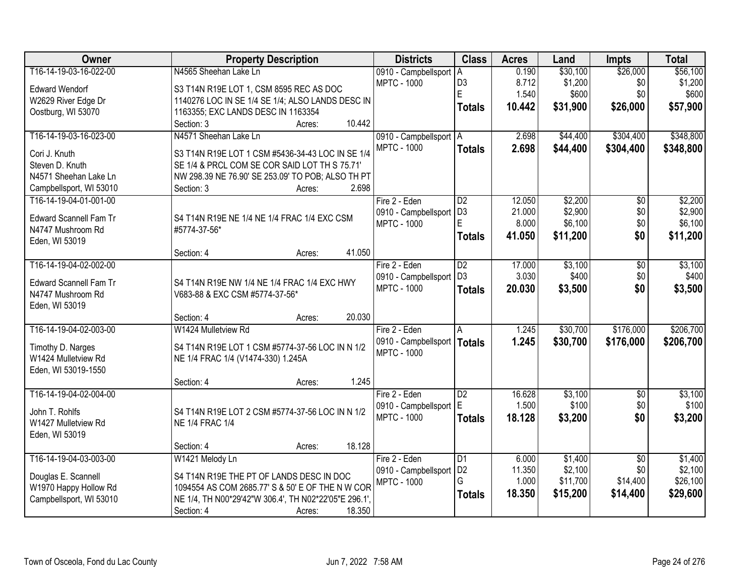| Owner                         | <b>Property Description</b>                           | <b>Districts</b>         | <b>Class</b>    | <b>Acres</b> | Land     | <b>Impts</b>    | <b>Total</b> |
|-------------------------------|-------------------------------------------------------|--------------------------|-----------------|--------------|----------|-----------------|--------------|
| T16-14-19-03-16-022-00        | N4565 Sheehan Lake Ln                                 | 0910 - Campbellsport A   |                 | 0.190        | \$30,100 | \$26,000        | \$56,100     |
| <b>Edward Wendorf</b>         | S3 T14N R19E LOT 1, CSM 8595 REC AS DOC               | <b>MPTC - 1000</b>       | D <sub>3</sub>  | 8.712        | \$1,200  | \$0             | \$1,200      |
| W2629 River Edge Dr           | 1140276 LOC IN SE 1/4 SE 1/4; ALSO LANDS DESC IN      |                          | E               | 1.540        | \$600    | \$0             | \$600        |
| Oostburg, WI 53070            | 1163355; EXC LANDS DESC IN 1163354                    |                          | <b>Totals</b>   | 10.442       | \$31,900 | \$26,000        | \$57,900     |
|                               | 10.442<br>Section: 3<br>Acres:                        |                          |                 |              |          |                 |              |
| T16-14-19-03-16-023-00        | N4571 Sheehan Lake Ln                                 | 0910 - Campbellsport   A |                 | 2.698        | \$44,400 | \$304,400       | \$348,800    |
|                               |                                                       | <b>MPTC - 1000</b>       | <b>Totals</b>   | 2.698        | \$44,400 | \$304,400       | \$348,800    |
| Cori J. Knuth                 | S3 T14N R19E LOT 1 CSM #5436-34-43 LOC IN SE 1/4      |                          |                 |              |          |                 |              |
| Steven D. Knuth               | SE 1/4 & PRCL COM SE COR SAID LOT TH S 75.71          |                          |                 |              |          |                 |              |
| N4571 Sheehan Lake Ln         | NW 298.39 NE 76.90' SE 253.09' TO POB; ALSO TH PT     |                          |                 |              |          |                 |              |
| Campbellsport, WI 53010       | 2.698<br>Section: 3<br>Acres:                         |                          |                 |              |          |                 |              |
| T16-14-19-04-01-001-00        |                                                       | Fire 2 - Eden            | D <sub>2</sub>  | 12.050       | \$2,200  | $\overline{50}$ | \$2,200      |
| <b>Edward Scannell Fam Tr</b> | S4 T14N R19E NE 1/4 NE 1/4 FRAC 1/4 EXC CSM           | 0910 - Campbellsport     | D <sub>3</sub>  | 21.000       | \$2,900  | \$0             | \$2,900      |
| N4747 Mushroom Rd             | #5774-37-56*                                          | <b>MPTC - 1000</b>       | E.              | 8.000        | \$6,100  | \$0             | \$6,100      |
| Eden, WI 53019                |                                                       |                          | <b>Totals</b>   | 41.050       | \$11,200 | \$0             | \$11,200     |
|                               | 41.050<br>Section: 4<br>Acres:                        |                          |                 |              |          |                 |              |
| T16-14-19-04-02-002-00        |                                                       | Fire 2 - Eden            | $\overline{D2}$ | 17.000       | \$3,100  | \$0             | \$3,100      |
|                               |                                                       | 0910 - Campbellsport     | D <sub>3</sub>  | 3.030        | \$400    | \$0             | \$400        |
| <b>Edward Scannell Fam Tr</b> | S4 T14N R19E NW 1/4 NE 1/4 FRAC 1/4 EXC HWY           | <b>MPTC - 1000</b>       | <b>Totals</b>   | 20.030       | \$3,500  | \$0             | \$3,500      |
| N4747 Mushroom Rd             | V683-88 & EXC CSM #5774-37-56*                        |                          |                 |              |          |                 |              |
| Eden, WI 53019                |                                                       |                          |                 |              |          |                 |              |
|                               | 20.030<br>Section: 4<br>Acres:                        |                          |                 |              |          |                 |              |
| T16-14-19-04-02-003-00        | W1424 Mulletview Rd                                   | Fire 2 - Eden            | $\overline{A}$  | 1.245        | \$30,700 | \$176,000       | \$206,700    |
| Timothy D. Narges             | S4 T14N R19E LOT 1 CSM #5774-37-56 LOC IN N 1/2       | 0910 - Campbellsport     | Totals          | 1.245        | \$30,700 | \$176,000       | \$206,700    |
| W1424 Mulletview Rd           | NE 1/4 FRAC 1/4 (V1474-330) 1.245A                    | <b>MPTC - 1000</b>       |                 |              |          |                 |              |
| Eden, WI 53019-1550           |                                                       |                          |                 |              |          |                 |              |
|                               | 1.245<br>Section: 4<br>Acres:                         |                          |                 |              |          |                 |              |
| T16-14-19-04-02-004-00        |                                                       | Fire 2 - Eden            | $\overline{D2}$ | 16.628       | \$3,100  | $\overline{50}$ | \$3,100      |
|                               |                                                       | 0910 - Campbellsport     | E               | 1.500        | \$100    | \$0             | \$100        |
| John T. Rohlfs                | S4 T14N R19E LOT 2 CSM #5774-37-56 LOC IN N 1/2       | <b>MPTC - 1000</b>       | <b>Totals</b>   | 18.128       | \$3,200  | \$0             | \$3,200      |
| W1427 Mulletview Rd           | <b>NE 1/4 FRAC 1/4</b>                                |                          |                 |              |          |                 |              |
| Eden, WI 53019                |                                                       |                          |                 |              |          |                 |              |
|                               | 18.128<br>Section: 4<br>Acres:                        |                          |                 |              |          |                 |              |
| T16-14-19-04-03-003-00        | W1421 Melody Ln                                       | Fire 2 - Eden            | D1              | 6.000        | \$1,400  | $\overline{50}$ | \$1,400      |
| Douglas E. Scannell           | S4 T14N R19E THE PT OF LANDS DESC IN DOC              | 0910 - Campbellsport     | D <sub>2</sub>  | 11.350       | \$2,100  | \$0             | \$2,100      |
| W1970 Happy Hollow Rd         | 1094554 AS COM 2685.77' S & 50' E OF THE N W COR      | <b>MPTC - 1000</b>       | G               | 1.000        | \$11,700 | \$14,400        | \$26,100     |
| Campbellsport, WI 53010       | NE 1/4, TH N00*29'42"W 306.4', TH N02*22'05"E 296.1', |                          | <b>Totals</b>   | 18.350       | \$15,200 | \$14,400        | \$29,600     |
|                               | Section: 4<br>18.350<br>Acres:                        |                          |                 |              |          |                 |              |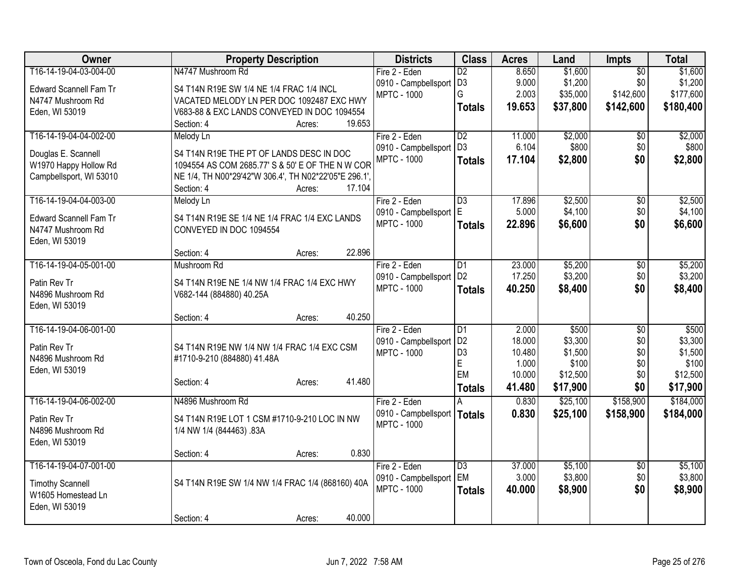| Owner                         | <b>Property Description</b>                           |        | <b>Districts</b>                           | <b>Class</b>    | <b>Acres</b> | Land     | <b>Impts</b>    | <b>Total</b> |
|-------------------------------|-------------------------------------------------------|--------|--------------------------------------------|-----------------|--------------|----------|-----------------|--------------|
| T16-14-19-04-03-004-00        | N4747 Mushroom Rd                                     |        | Fire 2 - Eden                              | $\overline{D2}$ | 8.650        | \$1,600  | $\overline{50}$ | \$1,600      |
| <b>Edward Scannell Fam Tr</b> | S4 T14N R19E SW 1/4 NE 1/4 FRAC 1/4 INCL              |        | 0910 - Campbellsport                       | D <sub>3</sub>  | 9.000        | \$1,200  | \$0             | \$1,200      |
| N4747 Mushroom Rd             | VACATED MELODY LN PER DOC 1092487 EXC HWY             |        | <b>MPTC - 1000</b>                         | G               | 2.003        | \$35,000 | \$142,600       | \$177,600    |
| Eden, WI 53019                | V683-88 & EXC LANDS CONVEYED IN DOC 1094554           |        |                                            | <b>Totals</b>   | 19.653       | \$37,800 | \$142,600       | \$180,400    |
|                               | Section: 4<br>Acres:                                  | 19.653 |                                            |                 |              |          |                 |              |
| T16-14-19-04-04-002-00        | Melody Ln                                             |        | Fire 2 - Eden                              | $\overline{D2}$ | 11.000       | \$2,000  | \$0             | \$2,000      |
|                               |                                                       |        | 0910 - Campbellsport                       | D <sub>3</sub>  | 6.104        | \$800    | \$0             | \$800        |
| Douglas E. Scannell           | S4 T14N R19E THE PT OF LANDS DESC IN DOC              |        | <b>MPTC - 1000</b>                         | <b>Totals</b>   | 17.104       | \$2,800  | \$0             | \$2,800      |
| W1970 Happy Hollow Rd         | 1094554 AS COM 2685.77' S & 50' E OF THE N W COR      |        |                                            |                 |              |          |                 |              |
| Campbellsport, WI 53010       | NE 1/4, TH N00*29'42"W 306.4', TH N02*22'05"E 296.1', |        |                                            |                 |              |          |                 |              |
|                               | Section: 4<br>Acres:                                  | 17.104 |                                            |                 |              |          |                 |              |
| T16-14-19-04-04-003-00        | Melody Ln                                             |        | Fire 2 - Eden                              | $\overline{D3}$ | 17.896       | \$2,500  | \$0             | \$2,500      |
| <b>Edward Scannell Fam Tr</b> | S4 T14N R19E SE 1/4 NE 1/4 FRAC 1/4 EXC LANDS         |        | 0910 - Campbellsport                       | E               | 5.000        | \$4,100  | \$0             | \$4,100      |
| N4747 Mushroom Rd             | CONVEYED IN DOC 1094554                               |        | <b>MPTC - 1000</b>                         | <b>Totals</b>   | 22.896       | \$6,600  | \$0             | \$6,600      |
| Eden, WI 53019                |                                                       |        |                                            |                 |              |          |                 |              |
|                               | Section: 4<br>Acres:                                  | 22.896 |                                            |                 |              |          |                 |              |
| T16-14-19-04-05-001-00        | Mushroom Rd                                           |        | Fire 2 - Eden                              | $\overline{D1}$ | 23.000       | \$5,200  | $\overline{50}$ | \$5,200      |
|                               |                                                       |        | 0910 - Campbellsport                       | D <sub>2</sub>  | 17.250       | \$3,200  | \$0             | \$3,200      |
| Patin Rev Tr                  | S4 T14N R19E NE 1/4 NW 1/4 FRAC 1/4 EXC HWY           |        | <b>MPTC - 1000</b>                         | <b>Totals</b>   | 40.250       | \$8,400  | \$0             | \$8,400      |
| N4896 Mushroom Rd             | V682-144 (884880) 40.25A                              |        |                                            |                 |              |          |                 |              |
| Eden, WI 53019                | Section: 4<br>Acres:                                  | 40.250 |                                            |                 |              |          |                 |              |
| T16-14-19-04-06-001-00        |                                                       |        | Fire 2 - Eden                              | D1              | 2.000        | \$500    | $\overline{50}$ | \$500        |
|                               |                                                       |        |                                            | D <sub>2</sub>  | 18.000       | \$3,300  | \$0             | \$3,300      |
| Patin Rev Tr                  | S4 T14N R19E NW 1/4 NW 1/4 FRAC 1/4 EXC CSM           |        | 0910 - Campbellsport<br><b>MPTC - 1000</b> | D <sub>3</sub>  | 10.480       | \$1,500  | \$0             | \$1,500      |
| N4896 Mushroom Rd             | #1710-9-210 (884880) 41.48A                           |        |                                            | E               | 1.000        | \$100    | \$0             | \$100        |
| Eden, WI 53019                |                                                       |        |                                            | EM              | 10.000       | \$12,500 | \$0             | \$12,500     |
|                               | Section: 4<br>Acres:                                  | 41.480 |                                            | <b>Totals</b>   | 41.480       | \$17,900 | \$0             | \$17,900     |
| T16-14-19-04-06-002-00        | N4896 Mushroom Rd                                     |        | Fire 2 - Eden                              |                 | 0.830        | \$25,100 | \$158,900       | \$184,000    |
|                               |                                                       |        | 0910 - Campbellsport                       |                 |              |          |                 |              |
| Patin Rev Tr                  | S4 T14N R19E LOT 1 CSM #1710-9-210 LOC IN NW          |        | <b>MPTC - 1000</b>                         | <b>Totals</b>   | 0.830        | \$25,100 | \$158,900       | \$184,000    |
| N4896 Mushroom Rd             | 1/4 NW 1/4 (844463) .83A                              |        |                                            |                 |              |          |                 |              |
| Eden, WI 53019                |                                                       |        |                                            |                 |              |          |                 |              |
|                               | Section: 4<br>Acres:                                  | 0.830  |                                            |                 |              |          |                 |              |
| T16-14-19-04-07-001-00        |                                                       |        | Fire 2 - Eden                              | $\overline{D3}$ | 37.000       | \$5,100  | \$0             | \$5,100      |
| <b>Timothy Scannell</b>       | S4 T14N R19E SW 1/4 NW 1/4 FRAC 1/4 (868160) 40A      |        | 0910 - Campbellsport                       | EM              | 3.000        | \$3,800  | \$0             | \$3,800      |
| W1605 Homestead Ln            |                                                       |        | <b>MPTC - 1000</b>                         | <b>Totals</b>   | 40.000       | \$8,900  | \$0             | \$8,900      |
| Eden, WI 53019                |                                                       |        |                                            |                 |              |          |                 |              |
|                               |                                                       |        |                                            |                 |              |          |                 |              |
|                               | Section: 4<br>Acres:                                  | 40.000 |                                            |                 |              |          |                 |              |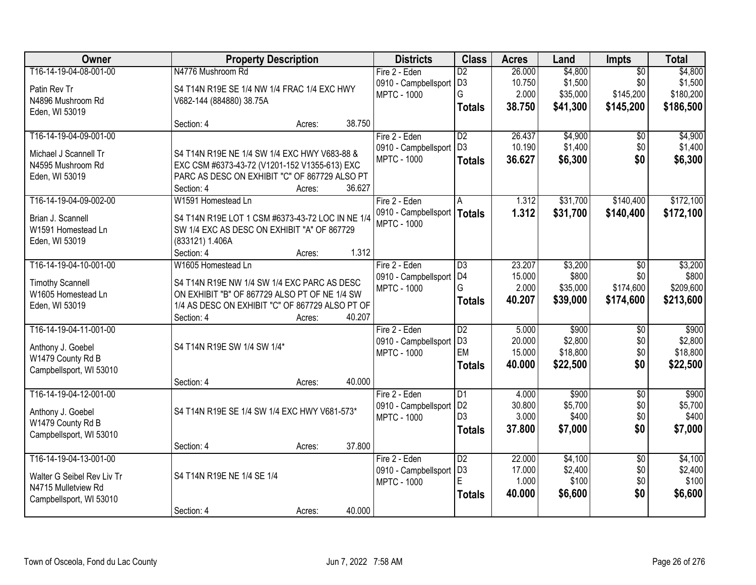| Owner                                         | <b>Property Description</b>                                                                  |        |        | <b>Districts</b>        | <b>Class</b>    | <b>Acres</b> | Land     | <b>Impts</b>    | <b>Total</b> |
|-----------------------------------------------|----------------------------------------------------------------------------------------------|--------|--------|-------------------------|-----------------|--------------|----------|-----------------|--------------|
| T16-14-19-04-08-001-00                        | N4776 Mushroom Rd                                                                            |        |        | Fire 2 - Eden           | $\overline{D2}$ | 26.000       | \$4,800  | $\overline{50}$ | \$4,800      |
| Patin Rev Tr                                  | S4 T14N R19E SE 1/4 NW 1/4 FRAC 1/4 EXC HWY                                                  |        |        | 0910 - Campbellsport    | D <sub>3</sub>  | 10.750       | \$1,500  | \$0             | \$1,500      |
| N4896 Mushroom Rd                             | V682-144 (884880) 38.75A                                                                     |        |        | <b>MPTC - 1000</b>      | G               | 2.000        | \$35,000 | \$145,200       | \$180,200    |
| Eden, WI 53019                                |                                                                                              |        |        |                         | <b>Totals</b>   | 38.750       | \$41,300 | \$145,200       | \$186,500    |
|                                               | Section: 4                                                                                   | Acres: | 38.750 |                         |                 |              |          |                 |              |
| T16-14-19-04-09-001-00                        |                                                                                              |        |        | Fire 2 - Eden           | $\overline{D2}$ | 26.437       | \$4,900  | \$0             | \$4,900      |
| Michael J Scannell Tr                         | S4 T14N R19E NE 1/4 SW 1/4 EXC HWY V683-88 &                                                 |        |        | 0910 - Campbellsport    | D <sub>3</sub>  | 10.190       | \$1,400  | \$0             | \$1,400      |
| N4595 Mushroom Rd                             | EXC CSM #6373-43-72 (V1201-152 V1355-613) EXC                                                |        |        | <b>MPTC - 1000</b>      | <b>Totals</b>   | 36.627       | \$6,300  | \$0             | \$6,300      |
| Eden, WI 53019                                | PARC AS DESC ON EXHIBIT "C" OF 867729 ALSO PT                                                |        |        |                         |                 |              |          |                 |              |
|                                               | Section: 4                                                                                   | Acres: | 36.627 |                         |                 |              |          |                 |              |
| T16-14-19-04-09-002-00                        | W1591 Homestead Ln                                                                           |        |        | Fire 2 - Eden           | A               | 1.312        | \$31,700 | \$140,400       | \$172,100    |
| Brian J. Scannell                             | S4 T14N R19E LOT 1 CSM #6373-43-72 LOC IN NE 1/4                                             |        |        | 0910 - Campbellsport    | <b>Totals</b>   | 1.312        | \$31,700 | \$140,400       | \$172,100    |
| W1591 Homestead Ln                            | SW 1/4 EXC AS DESC ON EXHIBIT "A" OF 867729                                                  |        |        | <b>MPTC - 1000</b>      |                 |              |          |                 |              |
| Eden, WI 53019                                | (833121) 1.406A                                                                              |        |        |                         |                 |              |          |                 |              |
|                                               | Section: 4                                                                                   | Acres: | 1.312  |                         |                 |              |          |                 |              |
| T16-14-19-04-10-001-00                        | W1605 Homestead Ln                                                                           |        |        | Fire 2 - Eden           | $\overline{D3}$ | 23.207       | \$3,200  | \$0             | \$3,200      |
|                                               |                                                                                              |        |        | 0910 - Campbellsport D4 |                 | 15.000       | \$800    | \$0             | \$800        |
| <b>Timothy Scannell</b><br>W1605 Homestead Ln | S4 T14N R19E NW 1/4 SW 1/4 EXC PARC AS DESC<br>ON EXHIBIT "B" OF 867729 ALSO PT OF NE 1/4 SW |        |        | <b>MPTC - 1000</b>      | G               | 2.000        | \$35,000 | \$174,600       | \$209,600    |
| Eden, WI 53019                                | 1/4 AS DESC ON EXHIBIT "C" OF 867729 ALSO PT OF                                              |        |        |                         | <b>Totals</b>   | 40.207       | \$39,000 | \$174,600       | \$213,600    |
|                                               | Section: 4                                                                                   | Acres: | 40.207 |                         |                 |              |          |                 |              |
| T16-14-19-04-11-001-00                        |                                                                                              |        |        | Fire 2 - Eden           | $\overline{D2}$ | 5.000        | \$900    | $\overline{50}$ | \$900        |
|                                               |                                                                                              |        |        | 0910 - Campbellsport    | D <sub>3</sub>  | 20.000       | \$2,800  | \$0             | \$2,800      |
| Anthony J. Goebel                             | S4 T14N R19E SW 1/4 SW 1/4*                                                                  |        |        | <b>MPTC - 1000</b>      | EM              | 15.000       | \$18,800 | \$0             | \$18,800     |
| W1479 County Rd B                             |                                                                                              |        |        |                         | <b>Totals</b>   | 40.000       | \$22,500 | \$0             | \$22,500     |
| Campbellsport, WI 53010                       |                                                                                              |        | 40.000 |                         |                 |              |          |                 |              |
| T16-14-19-04-12-001-00                        | Section: 4                                                                                   | Acres: |        | Fire 2 - Eden           | $\overline{D1}$ | 4.000        | \$900    | $\overline{50}$ | \$900        |
|                                               |                                                                                              |        |        | 0910 - Campbellsport    | D <sub>2</sub>  | 30.800       | \$5,700  | \$0             | \$5,700      |
| Anthony J. Goebel                             | S4 T14N R19E SE 1/4 SW 1/4 EXC HWY V681-573*                                                 |        |        | <b>MPTC - 1000</b>      | D <sub>3</sub>  | 3.000        | \$400    | \$0             | \$400        |
| W1479 County Rd B                             |                                                                                              |        |        |                         | <b>Totals</b>   | 37,800       | \$7,000  | \$0             | \$7,000      |
| Campbellsport, WI 53010                       |                                                                                              |        |        |                         |                 |              |          |                 |              |
|                                               | Section: 4                                                                                   | Acres: | 37.800 |                         |                 |              |          |                 |              |
| T16-14-19-04-13-001-00                        |                                                                                              |        |        | Fire 2 - Eden           | $\overline{D2}$ | 22.000       | \$4,100  | $\overline{50}$ | \$4,100      |
| Walter G Seibel Rev Liv Tr                    | S4 T14N R19E NE 1/4 SE 1/4                                                                   |        |        | 0910 - Campbellsport    | D <sub>3</sub>  | 17.000       | \$2,400  | \$0             | \$2,400      |
| N4715 Mulletview Rd                           |                                                                                              |        |        | <b>MPTC - 1000</b>      | E               | 1.000        | \$100    | \$0             | \$100        |
| Campbellsport, WI 53010                       |                                                                                              |        |        |                         | <b>Totals</b>   | 40.000       | \$6,600  | \$0             | \$6,600      |
|                                               | Section: 4                                                                                   | Acres: | 40.000 |                         |                 |              |          |                 |              |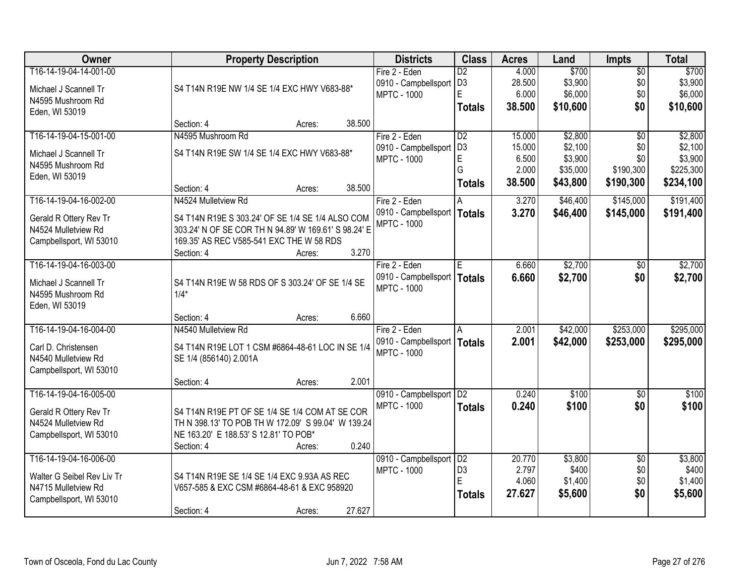| Owner                      | <b>Property Description</b>                          | <b>Districts</b>              | <b>Class</b>    | <b>Acres</b> | Land     | <b>Impts</b>    | <b>Total</b> |
|----------------------------|------------------------------------------------------|-------------------------------|-----------------|--------------|----------|-----------------|--------------|
| T16-14-19-04-14-001-00     |                                                      | Fire 2 - Eden                 | $\overline{D2}$ | 4.000        | \$700    | $\sqrt{$0}$     | \$700        |
| Michael J Scannell Tr      | S4 T14N R19E NW 1/4 SE 1/4 EXC HWY V683-88*          | 0910 - Campbellsport          | D <sub>3</sub>  | 28.500       | \$3,900  | \$0             | \$3,900      |
| N4595 Mushroom Rd          |                                                      | <b>MPTC - 1000</b>            | E               | 6.000        | \$6,000  | \$0             | \$6,000      |
| Eden, WI 53019             |                                                      |                               | <b>Totals</b>   | 38.500       | \$10,600 | \$0             | \$10,600     |
|                            | 38.500<br>Section: 4<br>Acres:                       |                               |                 |              |          |                 |              |
| T16-14-19-04-15-001-00     | N4595 Mushroom Rd                                    | Fire 2 - Eden                 | $\overline{D2}$ | 15.000       | \$2,800  | \$0             | \$2,800      |
| Michael J Scannell Tr      | S4 T14N R19E SW 1/4 SE 1/4 EXC HWY V683-88*          | 0910 - Campbellsport          | D <sub>3</sub>  | 15.000       | \$2,100  | \$0             | \$2,100      |
| N4595 Mushroom Rd          |                                                      | <b>MPTC - 1000</b>            | E               | 6.500        | \$3,900  | \$0             | \$3,900      |
| Eden, WI 53019             |                                                      |                               | G               | 2.000        | \$35,000 | \$190,300       | \$225,300    |
|                            | 38.500<br>Section: 4<br>Acres:                       |                               | <b>Totals</b>   | 38.500       | \$43,800 | \$190,300       | \$234,100    |
| T16-14-19-04-16-002-00     | N4524 Mulletview Rd                                  | Fire 2 - Eden                 | A               | 3.270        | \$46,400 | \$145,000       | \$191,400    |
| Gerald R Ottery Rev Tr     | S4 T14N R19E S 303.24' OF SE 1/4 SE 1/4 ALSO COM     | 0910 - Campbellsport   Totals |                 | 3.270        | \$46,400 | \$145,000       | \$191,400    |
| N4524 Mulletview Rd        | 303.24' N OF SE COR TH N 94.89' W 169.61' S 98.24' E | <b>MPTC - 1000</b>            |                 |              |          |                 |              |
| Campbellsport, WI 53010    | 169.35' AS REC V585-541 EXC THE W 58 RDS             |                               |                 |              |          |                 |              |
|                            | 3.270<br>Section: 4<br>Acres:                        |                               |                 |              |          |                 |              |
| T16-14-19-04-16-003-00     |                                                      | Fire 2 - Eden                 | E               | 6.660        | \$2,700  | $\sqrt[6]{3}$   | \$2,700      |
| Michael J Scannell Tr      | S4 T14N R19E W 58 RDS OF S 303.24' OF SE 1/4 SE      | 0910 - Campbellsport          | <b>Totals</b>   | 6.660        | \$2,700  | \$0             | \$2,700      |
| N4595 Mushroom Rd          | $1/4*$                                               | <b>MPTC - 1000</b>            |                 |              |          |                 |              |
| Eden, WI 53019             |                                                      |                               |                 |              |          |                 |              |
|                            | 6.660<br>Section: 4<br>Acres:                        |                               |                 |              |          |                 |              |
| T16-14-19-04-16-004-00     | N4540 Mulletview Rd                                  | Fire 2 - Eden                 | A               | 2.001        | \$42,000 | \$253,000       | \$295,000    |
| Carl D. Christensen        | S4 T14N R19E LOT 1 CSM #6864-48-61 LOC IN SE 1/4     | 0910 - Campbellsport   Totals |                 | 2.001        | \$42,000 | \$253,000       | \$295,000    |
| N4540 Mulletview Rd        | SE 1/4 (856140) 2.001A                               | <b>MPTC - 1000</b>            |                 |              |          |                 |              |
| Campbellsport, WI 53010    |                                                      |                               |                 |              |          |                 |              |
|                            | 2.001<br>Section: 4<br>Acres:                        |                               |                 |              |          |                 |              |
| T16-14-19-04-16-005-00     |                                                      | 0910 - Campbellsport   D2     |                 | 0.240        | \$100    | \$0             | \$100        |
| Gerald R Ottery Rev Tr     | S4 T14N R19E PT OF SE 1/4 SE 1/4 COM AT SE COR       | <b>MPTC - 1000</b>            | <b>Totals</b>   | 0.240        | \$100    | \$0             | \$100        |
| N4524 Mulletview Rd        | TH N 398.13' TO POB TH W 172.09' S 99.04' W 139.24   |                               |                 |              |          |                 |              |
| Campbellsport, WI 53010    | NE 163.20' E 188.53' S 12.81' TO POB*                |                               |                 |              |          |                 |              |
|                            | 0.240<br>Section: 4<br>Acres:                        |                               |                 |              |          |                 |              |
| T16-14-19-04-16-006-00     |                                                      | 0910 - Campbellsport          | D2              | 20.770       | \$3,800  | $\overline{50}$ | \$3,800      |
| Walter G Seibel Rev Liv Tr | S4 T14N R19E SE 1/4 SE 1/4 EXC 9.93A AS REC          | <b>MPTC - 1000</b>            | D <sub>3</sub>  | 2.797        | \$400    | \$0             | \$400        |
| N4715 Mulletview Rd        | V657-585 & EXC CSM #6864-48-61 & EXC 958920          |                               | E               | 4.060        | \$1,400  | \$0             | \$1,400      |
| Campbellsport, WI 53010    |                                                      |                               | <b>Totals</b>   | 27.627       | \$5,600  | \$0             | \$5,600      |
|                            | 27.627<br>Section: 4<br>Acres:                       |                               |                 |              |          |                 |              |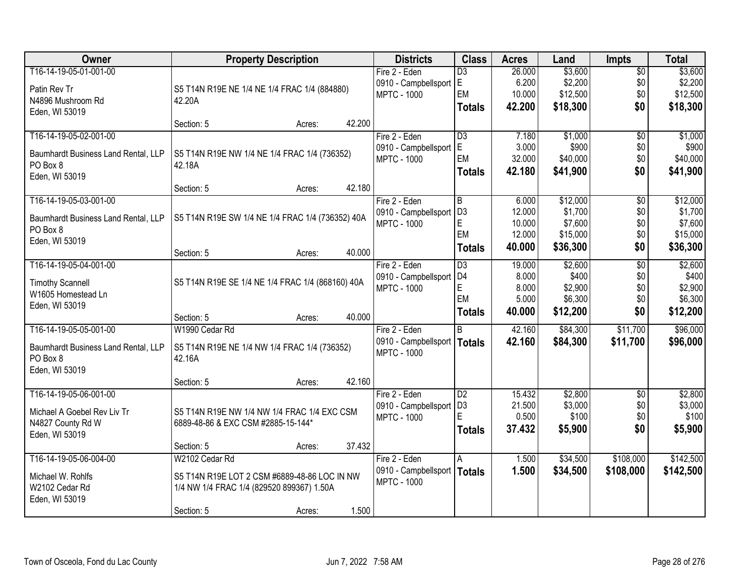| Owner                                           | <b>Property Description</b>                            |        | <b>Districts</b>                           | <b>Class</b>    | <b>Acres</b> | Land     | <b>Impts</b>    | <b>Total</b> |
|-------------------------------------------------|--------------------------------------------------------|--------|--------------------------------------------|-----------------|--------------|----------|-----------------|--------------|
| T16-14-19-05-01-001-00                          |                                                        |        | Fire 2 - Eden                              | $\overline{D3}$ | 26.000       | \$3,600  | $\sqrt{$0}$     | \$3,600      |
| Patin Rev Tr                                    | S5 T14N R19E NE 1/4 NE 1/4 FRAC 1/4 (884880)           |        | 0910 - Campbellsport                       | lE.             | 6.200        | \$2,200  | \$0             | \$2,200      |
| N4896 Mushroom Rd                               | 42.20A                                                 |        | <b>MPTC - 1000</b>                         | EM              | 10.000       | \$12,500 | \$0             | \$12,500     |
| Eden, WI 53019                                  |                                                        |        |                                            | <b>Totals</b>   | 42.200       | \$18,300 | \$0             | \$18,300     |
|                                                 | Section: 5<br>Acres:                                   | 42.200 |                                            |                 |              |          |                 |              |
| T16-14-19-05-02-001-00                          |                                                        |        | Fire 2 - Eden                              | D3              | 7.180        | \$1,000  | \$0             | \$1,000      |
| Baumhardt Business Land Rental, LLP             | S5 T14N R19E NW 1/4 NE 1/4 FRAC 1/4 (736352)           |        | 0910 - Campbellsport                       | E               | 3.000        | \$900    | \$0             | \$900        |
| PO Box 8                                        | 42.18A                                                 |        | <b>MPTC - 1000</b>                         | EM              | 32.000       | \$40,000 | \$0             | \$40,000     |
| Eden, WI 53019                                  |                                                        |        |                                            | <b>Totals</b>   | 42.180       | \$41,900 | \$0             | \$41,900     |
|                                                 | Section: 5<br>Acres:                                   | 42.180 |                                            |                 |              |          |                 |              |
| T16-14-19-05-03-001-00                          |                                                        |        | Fire 2 - Eden                              | l B             | 6.000        | \$12,000 | \$0             | \$12,000     |
| Baumhardt Business Land Rental, LLP             | S5 T14N R19E SW 1/4 NE 1/4 FRAC 1/4 (736352) 40A       |        | 0910 - Campbellsport                       | D3              | 12.000       | \$1,700  | \$0             | \$1,700      |
| PO Box 8                                        |                                                        |        | <b>MPTC - 1000</b>                         | $\mathsf E$     | 10.000       | \$7,600  | \$0             | \$7,600      |
| Eden, WI 53019                                  |                                                        |        |                                            | EM              | 12.000       | \$15,000 | \$0             | \$15,000     |
|                                                 | Section: 5<br>Acres:                                   | 40.000 |                                            | <b>Totals</b>   | 40.000       | \$36,300 | \$0             | \$36,300     |
| T16-14-19-05-04-001-00                          |                                                        |        | Fire 2 - Eden                              | D3              | 19.000       | \$2,600  | $\overline{50}$ | \$2,600      |
| <b>Timothy Scannell</b>                         | S5 T14N R19E SE 1/4 NE 1/4 FRAC 1/4 (868160) 40A       |        | 0910 - Campbellsport                       | D <sub>4</sub>  | 8.000        | \$400    | \$0             | \$400        |
| W1605 Homestead Ln                              |                                                        |        | <b>MPTC - 1000</b>                         | $\mathsf E$     | 8.000        | \$2,900  | \$0             | \$2,900      |
| Eden, WI 53019                                  |                                                        |        |                                            | EM              | 5.000        | \$6,300  | \$0             | \$6,300      |
|                                                 | Section: 5<br>Acres:                                   | 40.000 |                                            | <b>Totals</b>   | 40.000       | \$12,200 | \$0             | \$12,200     |
| T16-14-19-05-05-001-00                          | W1990 Cedar Rd                                         |        | Fire 2 - Eden                              | <sub>R</sub>    | 42.160       | \$84,300 | \$11,700        | \$96,000     |
|                                                 |                                                        |        | 0910 - Campbellsport   Totals              |                 | 42.160       | \$84,300 | \$11,700        | \$96,000     |
| Baumhardt Business Land Rental, LLP<br>PO Box 8 | S5 T14N R19E NE 1/4 NW 1/4 FRAC 1/4 (736352)<br>42.16A |        | <b>MPTC - 1000</b>                         |                 |              |          |                 |              |
| Eden, WI 53019                                  |                                                        |        |                                            |                 |              |          |                 |              |
|                                                 | Section: 5<br>Acres:                                   | 42.160 |                                            |                 |              |          |                 |              |
| T16-14-19-05-06-001-00                          |                                                        |        | Fire 2 - Eden                              | D2              | 15.432       | \$2,800  | $\overline{50}$ | \$2,800      |
|                                                 |                                                        |        | 0910 - Campbellsport                       | D <sub>3</sub>  | 21.500       | \$3,000  | \$0             | \$3,000      |
| Michael A Goebel Rev Liv Tr                     | S5 T14N R19E NW 1/4 NW 1/4 FRAC 1/4 EXC CSM            |        | <b>MPTC - 1000</b>                         | E               | 0.500        | \$100    | \$0             | \$100        |
| N4827 County Rd W                               | 6889-48-86 & EXC CSM #2885-15-144*                     |        |                                            | <b>Totals</b>   | 37.432       | \$5,900  | \$0             | \$5,900      |
| Eden, WI 53019                                  |                                                        |        |                                            |                 |              |          |                 |              |
|                                                 | Section: 5<br>Acres:                                   | 37.432 |                                            |                 |              |          |                 |              |
| T16-14-19-05-06-004-00                          | W2102 Cedar Rd                                         |        | Fire 2 - Eden                              | A               | 1.500        | \$34,500 | \$108,000       | \$142,500    |
| Michael W. Rohlfs                               | S5 T14N R19E LOT 2 CSM #6889-48-86 LOC IN NW           |        | 0910 - Campbellsport<br><b>MPTC - 1000</b> | Totals          | 1.500        | \$34,500 | \$108,000       | \$142,500    |
| W2102 Cedar Rd                                  | 1/4 NW 1/4 FRAC 1/4 (829520 899367) 1.50A              |        |                                            |                 |              |          |                 |              |
| Eden, WI 53019                                  |                                                        |        |                                            |                 |              |          |                 |              |
|                                                 | Section: 5<br>Acres:                                   | 1.500  |                                            |                 |              |          |                 |              |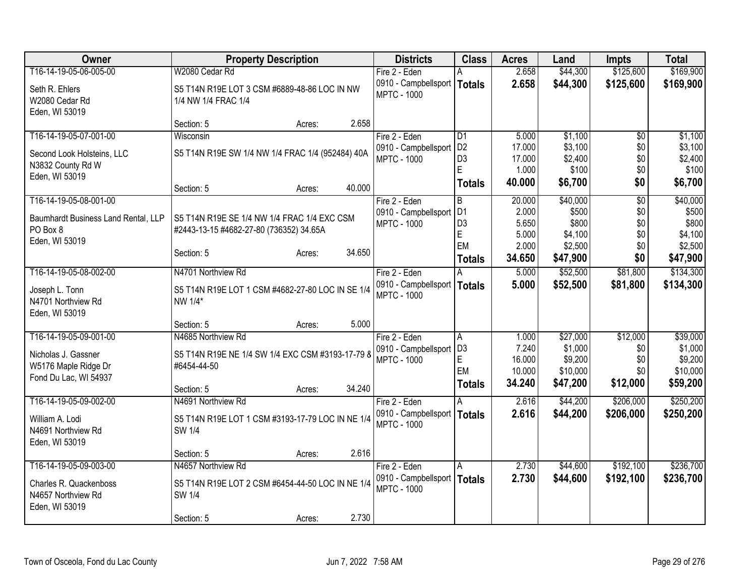| Owner                               | <b>Property Description</b>                      |                  | <b>Districts</b>                           | <b>Class</b>      | <b>Acres</b>   | Land                | <b>Impts</b>    | <b>Total</b>        |
|-------------------------------------|--------------------------------------------------|------------------|--------------------------------------------|-------------------|----------------|---------------------|-----------------|---------------------|
| T16-14-19-05-06-005-00              | W2080 Cedar Rd                                   |                  | Fire 2 - Eden                              | A                 | 2.658          | \$44,300            | \$125,600       | \$169,900           |
| Seth R. Ehlers                      | S5 T14N R19E LOT 3 CSM #6889-48-86 LOC IN NW     |                  | 0910 - Campbellsport   Totals              |                   | 2.658          | \$44,300            | \$125,600       | \$169,900           |
| W2080 Cedar Rd                      | 1/4 NW 1/4 FRAC 1/4                              |                  | <b>MPTC - 1000</b>                         |                   |                |                     |                 |                     |
| Eden, WI 53019                      |                                                  |                  |                                            |                   |                |                     |                 |                     |
|                                     | Section: 5                                       | 2.658<br>Acres:  |                                            |                   |                |                     |                 |                     |
| T16-14-19-05-07-001-00              | Wisconsin                                        |                  | Fire 2 - Eden                              | D1                | 5.000          | \$1,100             | $\overline{50}$ | \$1,100             |
| Second Look Holsteins, LLC          | S5 T14N R19E SW 1/4 NW 1/4 FRAC 1/4 (952484) 40A |                  | 0910 - Campbellsport                       | D <sub>2</sub>    | 17.000         | \$3,100             | \$0             | \$3,100             |
| N3832 County Rd W                   |                                                  |                  | <b>MPTC - 1000</b>                         | D <sub>3</sub>    | 17.000         | \$2,400             | \$0             | \$2,400             |
| Eden, WI 53019                      |                                                  |                  |                                            | E                 | 1.000          | \$100               | \$0             | \$100               |
|                                     | Section: 5                                       | 40.000<br>Acres: |                                            | <b>Totals</b>     | 40.000         | \$6,700             | \$0             | \$6,700             |
| T16-14-19-05-08-001-00              |                                                  |                  | Fire 2 - Eden                              | $\overline{B}$    | 20.000         | \$40,000            | $\overline{50}$ | \$40,000            |
| Baumhardt Business Land Rental, LLP | S5 T14N R19E SE 1/4 NW 1/4 FRAC 1/4 EXC CSM      |                  | 0910 - Campbellsport                       | D <sub>1</sub>    | 2.000          | \$500               | \$0             | \$500               |
| PO Box 8                            | #2443-13-15 #4682-27-80 (736352) 34.65A          |                  | <b>MPTC - 1000</b>                         | D <sub>3</sub>    | 5.650          | \$800               | \$0             | \$800               |
| Eden, WI 53019                      |                                                  |                  |                                            | $\mathsf E$<br>EM | 5.000<br>2.000 | \$4,100<br>\$2,500  | \$0<br>\$0      | \$4,100<br>\$2,500  |
|                                     | Section: 5                                       | 34.650<br>Acres: |                                            | <b>Totals</b>     | 34.650         | \$47,900            | \$0             | \$47,900            |
| T16-14-19-05-08-002-00              | N4701 Northview Rd                               |                  | Fire 2 - Eden                              |                   | 5.000          | \$52,500            | \$81,800        | \$134,300           |
|                                     |                                                  |                  | 0910 - Campbellsport   Totals              |                   | 5.000          | \$52,500            | \$81,800        | \$134,300           |
| Joseph L. Tonn                      | S5 T14N R19E LOT 1 CSM #4682-27-80 LOC IN SE 1/4 |                  | <b>MPTC - 1000</b>                         |                   |                |                     |                 |                     |
| N4701 Northview Rd                  | NW 1/4*                                          |                  |                                            |                   |                |                     |                 |                     |
| Eden, WI 53019                      |                                                  |                  |                                            |                   |                |                     |                 |                     |
| T16-14-19-05-09-001-00              | Section: 5<br>N4685 Northview Rd                 | 5.000<br>Acres:  | Fire 2 - Eden                              |                   |                |                     | \$12,000        |                     |
|                                     |                                                  |                  | 0910 - Campbellsport   D3                  | A                 | 1.000<br>7.240 | \$27,000<br>\$1,000 | \$0             | \$39,000<br>\$1,000 |
| Nicholas J. Gassner                 | S5 T14N R19E NE 1/4 SW 1/4 EXC CSM #3193-17-79 8 |                  | <b>MPTC - 1000</b>                         | $\mathsf E$       | 16.000         | \$9,200             | \$0             | \$9,200             |
| W5176 Maple Ridge Dr                | #6454-44-50                                      |                  |                                            | EM                | 10.000         | \$10,000            | \$0             | \$10,000            |
| Fond Du Lac, WI 54937               |                                                  |                  |                                            | <b>Totals</b>     | 34.240         | \$47,200            | \$12,000        | \$59,200            |
|                                     | Section: 5                                       | 34.240<br>Acres: |                                            |                   |                |                     |                 |                     |
| T16-14-19-05-09-002-00              | N4691 Northview Rd                               |                  | Fire 2 - Eden                              | A                 | 2.616          | \$44,200            | \$206,000       | \$250,200           |
| William A. Lodi                     | S5 T14N R19E LOT 1 CSM #3193-17-79 LOC IN NE 1/4 |                  | 0910 - Campbellsport<br><b>MPTC - 1000</b> | Totals            | 2.616          | \$44,200            | \$206,000       | \$250,200           |
| N4691 Northview Rd                  | SW 1/4                                           |                  |                                            |                   |                |                     |                 |                     |
| Eden, WI 53019                      |                                                  |                  |                                            |                   |                |                     |                 |                     |
|                                     | Section: 5                                       | 2.616<br>Acres:  |                                            |                   |                |                     |                 |                     |
| T16-14-19-05-09-003-00              | N4657 Northview Rd                               |                  | Fire 2 - Eden                              | A                 | 2.730          | \$44,600            | \$192,100       | \$236,700           |
| Charles R. Quackenboss              | S5 T14N R19E LOT 2 CSM #6454-44-50 LOC IN NE 1/4 |                  | 0910 - Campbellsport<br><b>MPTC - 1000</b> | Totals            | 2.730          | \$44,600            | \$192,100       | \$236,700           |
| N4657 Northview Rd                  | SW 1/4                                           |                  |                                            |                   |                |                     |                 |                     |
| Eden, WI 53019                      |                                                  |                  |                                            |                   |                |                     |                 |                     |
|                                     | Section: 5                                       | 2.730<br>Acres:  |                                            |                   |                |                     |                 |                     |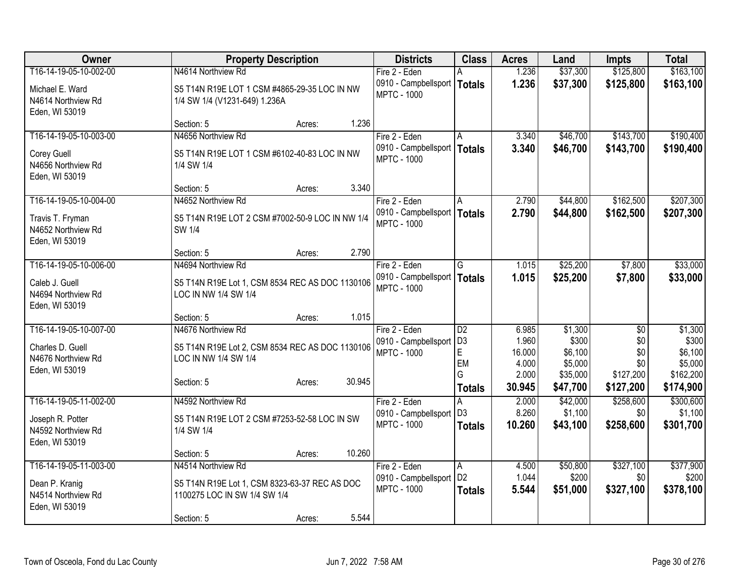| Owner                                | <b>Property Description</b>                                             | <b>Districts</b>                                    | <b>Class</b>    | <b>Acres</b>    | Land               | <b>Impts</b>     | <b>Total</b>       |
|--------------------------------------|-------------------------------------------------------------------------|-----------------------------------------------------|-----------------|-----------------|--------------------|------------------|--------------------|
| T16-14-19-05-10-002-00               | N4614 Northview Rd                                                      | Fire 2 - Eden                                       |                 | 1.236           | \$37,300           | \$125,800        | \$163,100          |
| Michael E. Ward                      | S5 T14N R19E LOT 1 CSM #4865-29-35 LOC IN NW                            | 0910 - Campbellsport   Totals<br><b>MPTC - 1000</b> |                 | 1.236           | \$37,300           | \$125,800        | \$163,100          |
| N4614 Northview Rd                   | 1/4 SW 1/4 (V1231-649) 1.236A                                           |                                                     |                 |                 |                    |                  |                    |
| Eden, WI 53019                       | Section: 5<br>Acres:                                                    | 1.236                                               |                 |                 |                    |                  |                    |
| T16-14-19-05-10-003-00               | N4656 Northview Rd                                                      | Fire 2 - Eden                                       | A               | 3.340           | \$46,700           | \$143,700        | \$190,400          |
| Corey Guell                          | S5 T14N R19E LOT 1 CSM #6102-40-83 LOC IN NW                            | 0910 - Campbellsport   Totals                       |                 | 3.340           | \$46,700           | \$143,700        | \$190,400          |
| N4656 Northview Rd                   | 1/4 SW 1/4                                                              | <b>MPTC - 1000</b>                                  |                 |                 |                    |                  |                    |
| Eden, WI 53019                       |                                                                         |                                                     |                 |                 |                    |                  |                    |
|                                      | Section: 5<br>Acres:                                                    | 3.340                                               |                 |                 |                    |                  |                    |
| T16-14-19-05-10-004-00               | N4652 Northview Rd                                                      | Fire 2 - Eden                                       | A               | 2.790           | \$44,800           | \$162,500        | \$207,300          |
| Travis T. Fryman                     | S5 T14N R19E LOT 2 CSM #7002-50-9 LOC IN NW 1/4                         | 0910 - Campbellsport   Totals<br><b>MPTC - 1000</b> |                 | 2.790           | \$44,800           | \$162,500        | \$207,300          |
| N4652 Northview Rd                   | SW 1/4                                                                  |                                                     |                 |                 |                    |                  |                    |
| Eden, WI 53019                       | Section: 5<br>Acres:                                                    | 2.790                                               |                 |                 |                    |                  |                    |
| T16-14-19-05-10-006-00               | N4694 Northview Rd                                                      | Fire 2 - Eden                                       | G               | 1.015           | \$25,200           | \$7,800          | \$33,000           |
|                                      |                                                                         | 0910 - Campbellsport   Totals                       |                 | 1.015           | \$25,200           | \$7,800          | \$33,000           |
| Caleb J. Guell<br>N4694 Northview Rd | S5 T14N R19E Lot 1, CSM 8534 REC AS DOC 1130106<br>LOC IN NW 1/4 SW 1/4 | <b>MPTC - 1000</b>                                  |                 |                 |                    |                  |                    |
| Eden, WI 53019                       |                                                                         |                                                     |                 |                 |                    |                  |                    |
|                                      | Section: 5<br>Acres:                                                    | 1.015                                               |                 |                 |                    |                  |                    |
| T16-14-19-05-10-007-00               | N4676 Northview Rd                                                      | Fire 2 - Eden                                       | $\overline{D2}$ | 6.985           | \$1,300            | $\overline{50}$  | \$1,300            |
| Charles D. Guell                     | S5 T14N R19E Lot 2, CSM 8534 REC AS DOC 1130106                         | 0910 - Campbellsport                                | D <sub>3</sub>  | 1.960           | \$300              | \$0              | \$300              |
| N4676 Northview Rd                   | LOC IN NW 1/4 SW 1/4                                                    | <b>MPTC - 1000</b>                                  | E<br>EM         | 16.000<br>4.000 | \$6,100<br>\$5,000 | \$0<br>\$0       | \$6,100<br>\$5,000 |
| Eden, WI 53019                       |                                                                         |                                                     | G               | 2.000           | \$35,000           | \$127,200        | \$162,200          |
|                                      | 30.945<br>Section: 5<br>Acres:                                          |                                                     | <b>Totals</b>   | 30.945          | \$47,700           | \$127,200        | \$174,900          |
| T16-14-19-05-11-002-00               | N4592 Northview Rd                                                      | Fire 2 - Eden                                       |                 | 2.000           | \$42,000           | \$258,600        | \$300,600          |
| Joseph R. Potter                     | S5 T14N R19E LOT 2 CSM #7253-52-58 LOC IN SW                            | 0910 - Campbellsport                                | D <sub>3</sub>  | 8.260           | \$1,100            | \$0              | \$1,100            |
| N4592 Northview Rd                   | 1/4 SW 1/4                                                              | <b>MPTC - 1000</b>                                  | <b>Totals</b>   | 10.260          | \$43,100           | \$258,600        | \$301,700          |
| Eden, WI 53019                       |                                                                         |                                                     |                 |                 |                    |                  |                    |
|                                      | 10.260<br>Section: 5<br>Acres:                                          |                                                     |                 |                 |                    |                  |                    |
| T16-14-19-05-11-003-00               | N4514 Northview Rd                                                      | Fire 2 - Eden<br>0910 - Campbellsport   D2          | ΙA              | 4.500<br>1.044  | \$50,800<br>\$200  | \$327,100<br>\$0 | \$377,900<br>\$200 |
| Dean P. Kranig                       | S5 T14N R19E Lot 1, CSM 8323-63-37 REC AS DOC                           | <b>MPTC - 1000</b>                                  | <b>Totals</b>   | 5.544           | \$51,000           | \$327,100        | \$378,100          |
| N4514 Northview Rd                   | 1100275 LOC IN SW 1/4 SW 1/4                                            |                                                     |                 |                 |                    |                  |                    |
| Eden, WI 53019                       | Section: 5<br>Acres:                                                    | 5.544                                               |                 |                 |                    |                  |                    |
|                                      |                                                                         |                                                     |                 |                 |                    |                  |                    |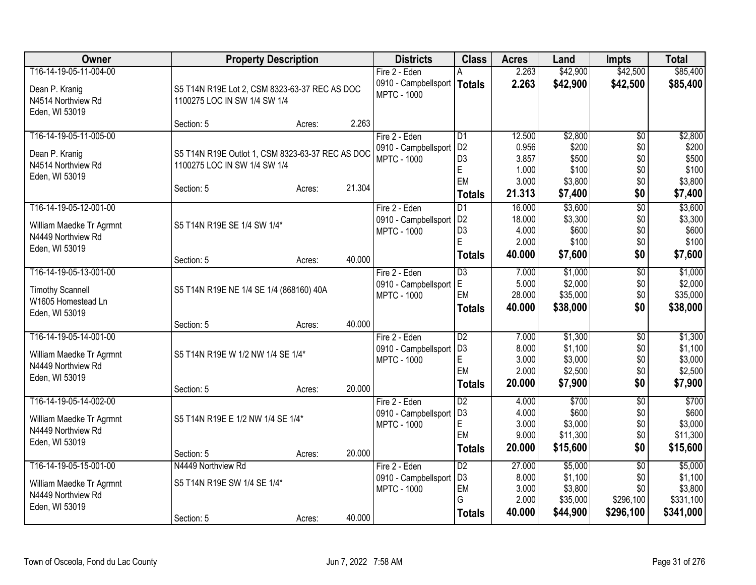| Owner                                          |                                                  | <b>Property Description</b> |        | <b>Districts</b>                           | <b>Class</b>                      | <b>Acres</b>    | Land               | <b>Impts</b>           | <b>Total</b>       |
|------------------------------------------------|--------------------------------------------------|-----------------------------|--------|--------------------------------------------|-----------------------------------|-----------------|--------------------|------------------------|--------------------|
| T16-14-19-05-11-004-00                         |                                                  |                             |        | Fire 2 - Eden                              |                                   | 2.263           | \$42,900           | \$42,500               | \$85,400           |
| Dean P. Kranig                                 | S5 T14N R19E Lot 2, CSM 8323-63-37 REC AS DOC    |                             |        | 0910 - Campbellsport   Totals              |                                   | 2.263           | \$42,900           | \$42,500               | \$85,400           |
| N4514 Northview Rd                             | 1100275 LOC IN SW 1/4 SW 1/4                     |                             |        | <b>MPTC - 1000</b>                         |                                   |                 |                    |                        |                    |
| Eden, WI 53019                                 |                                                  |                             |        |                                            |                                   |                 |                    |                        |                    |
|                                                | Section: 5                                       | Acres:                      | 2.263  |                                            |                                   |                 |                    |                        |                    |
| T16-14-19-05-11-005-00                         |                                                  |                             |        | Fire 2 - Eden                              | D1                                | 12.500          | \$2,800            | \$0                    | \$2,800            |
| Dean P. Kranig                                 | S5 T14N R19E Outlot 1, CSM 8323-63-37 REC AS DOC |                             |        | 0910 - Campbellsport                       | D <sub>2</sub>                    | 0.956           | \$200              | \$0                    | \$200              |
| N4514 Northview Rd                             | 1100275 LOC IN SW 1/4 SW 1/4                     |                             |        | <b>MPTC - 1000</b>                         | D <sub>3</sub><br>$\mathsf E$     | 3.857<br>1.000  | \$500<br>\$100     | \$0<br>\$0             | \$500<br>\$100     |
| Eden, WI 53019                                 |                                                  |                             |        |                                            | EM                                | 3.000           | \$3,800            | \$0                    | \$3,800            |
|                                                | Section: 5                                       | Acres:                      | 21.304 |                                            | <b>Totals</b>                     | 21.313          | \$7,400            | \$0                    | \$7,400            |
| T16-14-19-05-12-001-00                         |                                                  |                             |        | Fire 2 - Eden                              | $\overline{D1}$                   | 16.000          | \$3,600            | $\overline{50}$        | \$3,600            |
|                                                | S5 T14N R19E SE 1/4 SW 1/4*                      |                             |        | 0910 - Campbellsport                       | D <sub>2</sub>                    | 18.000          | \$3,300            | \$0                    | \$3,300            |
| William Maedke Tr Agrmnt<br>N4449 Northview Rd |                                                  |                             |        | <b>MPTC - 1000</b>                         | D <sub>3</sub>                    | 4.000           | \$600              | \$0                    | \$600              |
| Eden, WI 53019                                 |                                                  |                             |        |                                            | E                                 | 2.000           | \$100              | \$0                    | \$100              |
|                                                | Section: 5                                       | Acres:                      | 40.000 |                                            | <b>Totals</b>                     | 40.000          | \$7,600            | \$0                    | \$7,600            |
| T16-14-19-05-13-001-00                         |                                                  |                             |        | Fire 2 - Eden                              | $\overline{D3}$                   | 7.000           | \$1,000            | $\overline{60}$        | \$1,000            |
| <b>Timothy Scannell</b>                        | S5 T14N R19E NE 1/4 SE 1/4 (868160) 40A          |                             |        | 0910 - Campbellsport                       | lE.                               | 5.000           | \$2,000            | \$0                    | \$2,000            |
| W1605 Homestead Ln                             |                                                  |                             |        | <b>MPTC - 1000</b>                         | EM                                | 28.000          | \$35,000           | \$0                    | \$35,000           |
| Eden, WI 53019                                 |                                                  |                             |        |                                            | <b>Totals</b>                     | 40.000          | \$38,000           | \$0                    | \$38,000           |
|                                                | Section: 5                                       | Acres:                      | 40.000 |                                            |                                   |                 |                    |                        |                    |
| T16-14-19-05-14-001-00                         |                                                  |                             |        | Fire 2 - Eden                              | D <sub>2</sub>                    | 7.000           | \$1,300            | $\overline{50}$        | \$1,300            |
| William Maedke Tr Agrmnt                       | S5 T14N R19E W 1/2 NW 1/4 SE 1/4*                |                             |        | 0910 - Campbellsport                       | D <sub>3</sub>                    | 8.000           | \$1,100            | \$0                    | \$1,100            |
| N4449 Northview Rd                             |                                                  |                             |        | <b>MPTC - 1000</b>                         | $\mathsf E$<br>EM                 | 3.000<br>2.000  | \$3,000<br>\$2,500 | \$0<br>\$0             | \$3,000<br>\$2,500 |
| Eden, WI 53019                                 |                                                  |                             |        |                                            | <b>Totals</b>                     | 20.000          | \$7,900            | \$0                    | \$7,900            |
|                                                | Section: 5                                       | Acres:                      | 20.000 |                                            |                                   |                 |                    |                        |                    |
| T16-14-19-05-14-002-00                         |                                                  |                             |        | Fire 2 - Eden                              | D <sub>2</sub>                    | 4.000           | \$700              | $\overline{50}$        | \$700              |
| William Maedke Tr Agrmnt                       | S5 T14N R19E E 1/2 NW 1/4 SE 1/4*                |                             |        | 0910 - Campbellsport<br><b>MPTC - 1000</b> | D <sub>3</sub><br>$\mathsf E$     | 4.000<br>3.000  | \$600<br>\$3,000   | \$0<br>\$0             | \$600<br>\$3,000   |
| N4449 Northview Rd                             |                                                  |                             |        |                                            | EM                                | 9.000           | \$11,300           | \$0                    | \$11,300           |
| Eden, WI 53019                                 |                                                  |                             |        |                                            | <b>Totals</b>                     | 20.000          | \$15,600           | \$0                    | \$15,600           |
|                                                | Section: 5                                       | Acres:                      | 20.000 |                                            |                                   |                 |                    |                        |                    |
| T16-14-19-05-15-001-00                         | N4449 Northview Rd                               |                             |        | Fire 2 - Eden<br>0910 - Campbellsport      | $\overline{D2}$<br>D <sub>3</sub> | 27.000<br>8.000 | \$5,000<br>\$1,100 | $\overline{50}$<br>\$0 | \$5,000<br>\$1,100 |
| William Maedke Tr Agrmnt                       | S5 T14N R19E SW 1/4 SE 1/4*                      |                             |        | <b>MPTC - 1000</b>                         | EM                                | 3.000           | \$3,800            | \$0                    | \$3,800            |
| N4449 Northview Rd                             |                                                  |                             |        |                                            | G                                 | 2.000           | \$35,000           | \$296,100              | \$331,100          |
| Eden, WI 53019                                 |                                                  |                             | 40.000 |                                            | <b>Totals</b>                     | 40.000          | \$44,900           | \$296,100              | \$341,000          |
|                                                | Section: 5                                       | Acres:                      |        |                                            |                                   |                 |                    |                        |                    |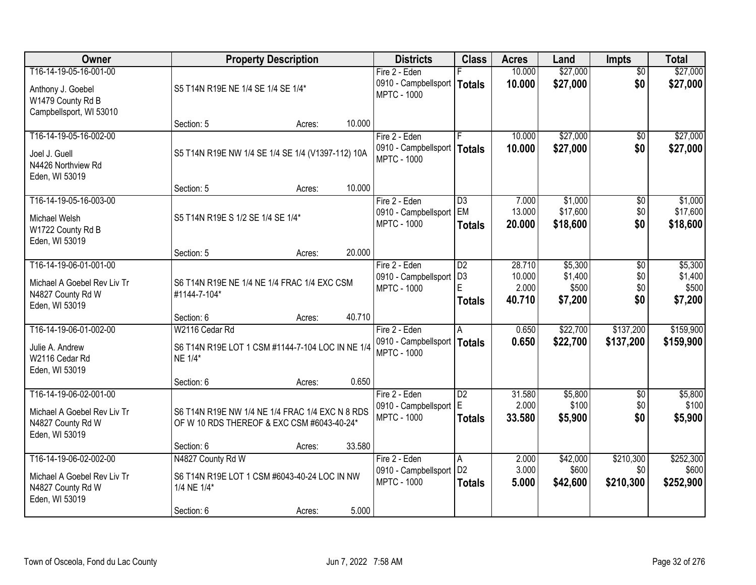| Owner                                                                                        | <b>Property Description</b>                                                                              |                  | <b>Districts</b>                                                     | <b>Class</b>                                            | <b>Acres</b>                        | Land                                   | <b>Impts</b>                  | <b>Total</b>                           |
|----------------------------------------------------------------------------------------------|----------------------------------------------------------------------------------------------------------|------------------|----------------------------------------------------------------------|---------------------------------------------------------|-------------------------------------|----------------------------------------|-------------------------------|----------------------------------------|
| T16-14-19-05-16-001-00<br>Anthony J. Goebel<br>W1479 County Rd B                             | S5 T14N R19E NE 1/4 SE 1/4 SE 1/4*                                                                       |                  | Fire 2 - Eden<br>0910 - Campbellsport   Totals<br><b>MPTC - 1000</b> |                                                         | 10.000<br>10.000                    | \$27,000<br>\$27,000                   | $\overline{50}$<br>\$0        | \$27,000<br>\$27,000                   |
| Campbellsport, WI 53010                                                                      | Section: 5                                                                                               | 10.000<br>Acres: |                                                                      |                                                         |                                     |                                        |                               |                                        |
| T16-14-19-05-16-002-00<br>Joel J. Guell<br>N4426 Northview Rd<br>Eden, WI 53019              | S5 T14N R19E NW 1/4 SE 1/4 SE 1/4 (V1397-112) 10A                                                        |                  | Fire 2 - Eden<br>0910 - Campbellsport   Totals<br><b>MPTC - 1000</b> |                                                         | 10.000<br>10.000                    | \$27,000<br>\$27,000                   | \$0<br>\$0                    | \$27,000<br>\$27,000                   |
|                                                                                              | Section: 5                                                                                               | 10.000<br>Acres: |                                                                      |                                                         |                                     |                                        |                               |                                        |
| T16-14-19-05-16-003-00<br>Michael Welsh<br>W1722 County Rd B<br>Eden, WI 53019               | S5 T14N R19E S 1/2 SE 1/4 SE 1/4*                                                                        |                  | Fire 2 - Eden<br>0910 - Campbellsport<br><b>MPTC - 1000</b>          | D3<br><b>EM</b><br><b>Totals</b>                        | 7.000<br>13.000<br>20.000           | \$1,000<br>\$17,600<br>\$18,600        | $\sqrt[6]{3}$<br>\$0<br>\$0   | \$1,000<br>\$17,600<br>\$18,600        |
|                                                                                              | Section: 5                                                                                               | 20.000<br>Acres: |                                                                      |                                                         |                                     |                                        |                               |                                        |
| T16-14-19-06-01-001-00<br>Michael A Goebel Rev Liv Tr<br>N4827 County Rd W<br>Eden, WI 53019 | S6 T14N R19E NE 1/4 NE 1/4 FRAC 1/4 EXC CSM<br>#1144-7-104*                                              |                  | Fire 2 - Eden<br>0910 - Campbellsport<br><b>MPTC - 1000</b>          | $\overline{D2}$<br>D <sub>3</sub><br>E<br><b>Totals</b> | 28.710<br>10.000<br>2.000<br>40.710 | \$5,300<br>\$1,400<br>\$500<br>\$7,200 | \$0<br>\$0<br>\$0<br>\$0      | \$5,300<br>\$1,400<br>\$500<br>\$7,200 |
|                                                                                              | Section: 6                                                                                               | 40.710<br>Acres: |                                                                      |                                                         |                                     |                                        |                               |                                        |
| T16-14-19-06-01-002-00<br>Julie A. Andrew<br>W2116 Cedar Rd<br>Eden, WI 53019                | W2116 Cedar Rd<br>S6 T14N R19E LOT 1 CSM #1144-7-104 LOC IN NE 1/4<br>NE 1/4*                            |                  | Fire 2 - Eden<br>0910 - Campbellsport   Totals<br><b>MPTC - 1000</b> | A                                                       | 0.650<br>0.650                      | \$22,700<br>\$22,700                   | \$137,200<br>\$137,200        | \$159,900<br>\$159,900                 |
|                                                                                              | Section: 6<br>Acres:                                                                                     | 0.650            |                                                                      |                                                         |                                     |                                        |                               |                                        |
| T16-14-19-06-02-001-00<br>Michael A Goebel Rev Liv Tr<br>N4827 County Rd W<br>Eden, WI 53019 | S6 T14N R19E NW 1/4 NE 1/4 FRAC 1/4 EXC N 8 RDS<br>OF W 10 RDS THEREOF & EXC CSM #6043-40-24*            |                  | Fire 2 - Eden<br>0910 - Campbellsport E<br><b>MPTC - 1000</b>        | $\overline{D2}$<br><b>Totals</b>                        | 31.580<br>2.000<br>33.580           | \$5,800<br>\$100<br>\$5,900            | $\overline{$0}$<br>\$0<br>\$0 | \$5,800<br>\$100<br>\$5,900            |
|                                                                                              | Section: 6                                                                                               | 33.580<br>Acres: |                                                                      |                                                         |                                     |                                        |                               |                                        |
| T16-14-19-06-02-002-00<br>Michael A Goebel Rev Liv Tr<br>N4827 County Rd W<br>Eden, WI 53019 | N4827 County Rd W<br>S6 T14N R19E LOT 1 CSM #6043-40-24 LOC IN NW<br>1/4 NE 1/4*<br>Section: 6<br>Acres: | 5.000            | Fire 2 - Eden<br>0910 - Campbellsport<br><b>MPTC - 1000</b>          | Α<br>D <sub>2</sub><br><b>Totals</b>                    | 2.000<br>3.000<br>5.000             | \$42,000<br>\$600<br>\$42,600          | \$210,300<br>\$0<br>\$210,300 | \$252,300<br>\$600<br>\$252,900        |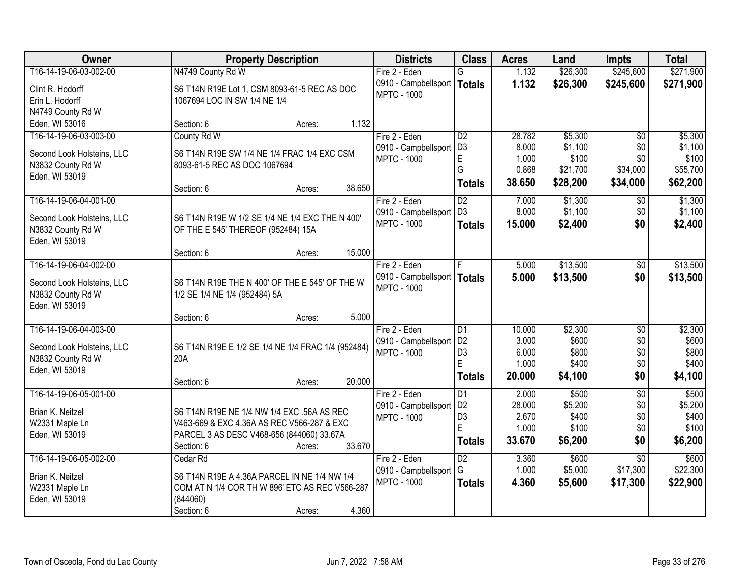| <b>Owner</b>                                    | <b>Property Description</b>                               | <b>Districts</b>     | <b>Class</b>    | <b>Acres</b> | Land     | <b>Impts</b>    | <b>Total</b> |
|-------------------------------------------------|-----------------------------------------------------------|----------------------|-----------------|--------------|----------|-----------------|--------------|
| T16-14-19-06-03-002-00                          | N4749 County Rd W                                         | Fire 2 - Eden        | G               | 1.132        | \$26,300 | \$245,600       | \$271,900    |
| Clint R. Hodorff                                | S6 T14N R19E Lot 1, CSM 8093-61-5 REC AS DOC              | 0910 - Campbellsport | <b>Totals</b>   | 1.132        | \$26,300 | \$245,600       | \$271,900    |
| Erin L. Hodorff                                 | 1067694 LOC IN SW 1/4 NE 1/4                              | <b>MPTC - 1000</b>   |                 |              |          |                 |              |
| N4749 County Rd W                               |                                                           |                      |                 |              |          |                 |              |
| Eden, WI 53016                                  | Section: 6<br>Acres:                                      | 1.132                |                 |              |          |                 |              |
| T16-14-19-06-03-003-00                          | County Rd W                                               | Fire 2 - Eden        | D2              | 28.782       | \$5,300  | $\overline{50}$ | \$5,300      |
| Second Look Holsteins, LLC                      | S6 T14N R19E SW 1/4 NE 1/4 FRAC 1/4 EXC CSM               | 0910 - Campbellsport | D <sub>3</sub>  | 8.000        | \$1,100  | \$0             | \$1,100      |
| N3832 County Rd W                               | 8093-61-5 REC AS DOC 1067694                              | <b>MPTC - 1000</b>   | E               | 1.000        | \$100    | \$0             | \$100        |
| Eden, WI 53019                                  |                                                           |                      | G               | 0.868        | \$21,700 | \$34,000        | \$55,700     |
|                                                 | 38.650<br>Section: 6<br>Acres:                            |                      | <b>Totals</b>   | 38.650       | \$28,200 | \$34,000        | \$62,200     |
| T16-14-19-06-04-001-00                          |                                                           | Fire 2 - Eden        | $\overline{D2}$ | 7.000        | \$1,300  | $\sqrt[6]{}$    | \$1,300      |
| Second Look Holsteins, LLC                      | S6 T14N R19E W 1/2 SE 1/4 NE 1/4 EXC THE N 400'           | 0910 - Campbellsport | D <sub>3</sub>  | 8.000        | \$1,100  | \$0             | \$1,100      |
| N3832 County Rd W                               | OF THE E 545' THEREOF (952484) 15A                        | <b>MPTC - 1000</b>   | <b>Totals</b>   | 15.000       | \$2,400  | \$0             | \$2,400      |
| Eden, WI 53019                                  |                                                           |                      |                 |              |          |                 |              |
|                                                 | 15.000<br>Section: 6<br>Acres:                            |                      |                 |              |          |                 |              |
| T16-14-19-06-04-002-00                          |                                                           | Fire 2 - Eden        | ΙF              | 5.000        | \$13,500 | \$0             | \$13,500     |
| Second Look Holsteins, LLC                      | S6 T14N R19E THE N 400' OF THE E 545' OF THE W            | 0910 - Campbellsport | <b>Totals</b>   | 5.000        | \$13,500 | \$0             | \$13,500     |
| N3832 County Rd W                               | 1/2 SE 1/4 NE 1/4 (952484) 5A                             | <b>MPTC - 1000</b>   |                 |              |          |                 |              |
| Eden, WI 53019                                  |                                                           |                      |                 |              |          |                 |              |
|                                                 | Section: 6<br>Acres:                                      | 5.000                |                 |              |          |                 |              |
| T16-14-19-06-04-003-00                          |                                                           | Fire 2 - Eden        | D <sub>1</sub>  | 10.000       | \$2,300  | \$0             | \$2,300      |
|                                                 |                                                           | 0910 - Campbellsport | D <sub>2</sub>  | 3.000        | \$600    | \$0             | \$600        |
| Second Look Holsteins, LLC<br>N3832 County Rd W | S6 T14N R19E E 1/2 SE 1/4 NE 1/4 FRAC 1/4 (952484)<br>20A | <b>MPTC - 1000</b>   | D <sub>3</sub>  | 6.000        | \$800    | \$0             | \$800        |
| Eden, WI 53019                                  |                                                           |                      | E               | 1.000        | \$400    | \$0             | \$400        |
|                                                 | 20.000<br>Section: 6<br>Acres:                            |                      | <b>Totals</b>   | 20.000       | \$4,100  | \$0             | \$4,100      |
| T16-14-19-06-05-001-00                          |                                                           | Fire 2 - Eden        | D1              | 2.000        | \$500    | $\overline{30}$ | \$500        |
| Brian K. Neitzel                                | S6 T14N R19E NE 1/4 NW 1/4 EXC .56A AS REC                | 0910 - Campbellsport | D <sub>2</sub>  | 28.000       | \$5,200  | \$0             | \$5,200      |
| W2331 Maple Ln                                  | V463-669 & EXC 4.36A AS REC V566-287 & EXC                | <b>MPTC - 1000</b>   | D <sub>3</sub>  | 2.670        | \$400    | \$0             | \$400        |
| Eden, WI 53019                                  | PARCEL 3 AS DESC V468-656 (844060) 33.67A                 |                      | E               | 1.000        | \$100    | \$0             | \$100        |
|                                                 | 33.670<br>Section: 6<br>Acres:                            |                      | <b>Totals</b>   | 33.670       | \$6,200  | \$0             | \$6,200      |
| T16-14-19-06-05-002-00                          | Cedar Rd                                                  | Fire 2 - Eden        | $\overline{D2}$ | 3.360        | \$600    | $\overline{30}$ | \$600        |
| Brian K. Neitzel                                | S6 T14N R19E A 4.36A PARCEL IN NE 1/4 NW 1/4              | 0910 - Campbellsport | G               | 1.000        | \$5,000  | \$17,300        | \$22,300     |
| W2331 Maple Ln                                  | COM AT N 1/4 COR TH W 896' ETC AS REC V566-287            | <b>MPTC - 1000</b>   | <b>Totals</b>   | 4.360        | \$5,600  | \$17,300        | \$22,900     |
| Eden, WI 53019                                  | (844060)                                                  |                      |                 |              |          |                 |              |
|                                                 | Section: 6<br>Acres:                                      | 4.360                |                 |              |          |                 |              |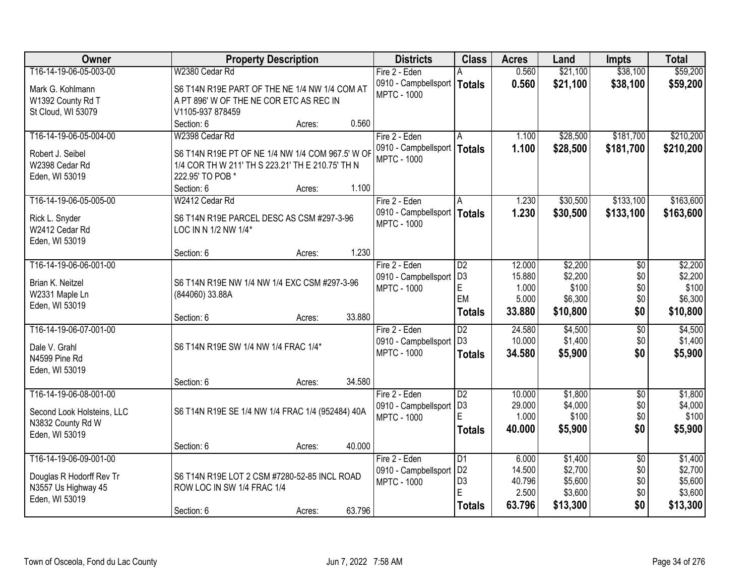| Owner                            | <b>Property Description</b>                                                                          |        |        | <b>Districts</b>                           | <b>Class</b>        | <b>Acres</b>    | Land             | <b>Impts</b>    | <b>Total</b>     |
|----------------------------------|------------------------------------------------------------------------------------------------------|--------|--------|--------------------------------------------|---------------------|-----------------|------------------|-----------------|------------------|
| T16-14-19-06-05-003-00           | W2380 Cedar Rd                                                                                       |        |        | Fire 2 - Eden                              |                     | 0.560           | \$21,100         | \$38,100        | \$59,200         |
| Mark G. Kohlmann                 | S6 T14N R19E PART OF THE NE 1/4 NW 1/4 COM AT                                                        |        |        | 0910 - Campbellsport                       | <b>Totals</b>       | 0.560           | \$21,100         | \$38,100        | \$59,200         |
| W1392 County Rd T                | A PT 896' W OF THE NE COR ETC AS REC IN                                                              |        |        | <b>MPTC - 1000</b>                         |                     |                 |                  |                 |                  |
| St Cloud, WI 53079               | V1105-937 878459                                                                                     |        |        |                                            |                     |                 |                  |                 |                  |
|                                  | Section: 6                                                                                           | Acres: | 0.560  |                                            |                     |                 |                  |                 |                  |
| T16-14-19-06-05-004-00           | W2398 Cedar Rd                                                                                       |        |        | Fire 2 - Eden                              | A                   | 1.100           | \$28,500         | \$181,700       | \$210,200        |
| Robert J. Seibel                 |                                                                                                      |        |        | 0910 - Campbellsport                       | <b>Totals</b>       | 1.100           | \$28,500         | \$181,700       | \$210,200        |
| W2398 Cedar Rd                   | S6 T14N R19E PT OF NE 1/4 NW 1/4 COM 967.5' W OF<br>1/4 COR TH W 211' TH S 223.21' TH E 210.75' TH N |        |        | <b>MPTC - 1000</b>                         |                     |                 |                  |                 |                  |
| Eden, WI 53019                   | 222.95' TO POB *                                                                                     |        |        |                                            |                     |                 |                  |                 |                  |
|                                  | Section: 6                                                                                           | Acres: | 1.100  |                                            |                     |                 |                  |                 |                  |
| T16-14-19-06-05-005-00           | W2412 Cedar Rd                                                                                       |        |        | Fire 2 - Eden                              | A                   | 1.230           | \$30,500         | \$133,100       | \$163,600        |
|                                  |                                                                                                      |        |        | 0910 - Campbellsport                       | <b>Totals</b>       | 1.230           | \$30,500         | \$133,100       | \$163,600        |
| Rick L. Snyder<br>W2412 Cedar Rd | S6 T14N R19E PARCEL DESC AS CSM #297-3-96                                                            |        |        | <b>MPTC - 1000</b>                         |                     |                 |                  |                 |                  |
| Eden, WI 53019                   | LOC IN N 1/2 NW 1/4*                                                                                 |        |        |                                            |                     |                 |                  |                 |                  |
|                                  | Section: 6                                                                                           | Acres: | 1.230  |                                            |                     |                 |                  |                 |                  |
| T16-14-19-06-06-001-00           |                                                                                                      |        |        | Fire 2 - Eden                              | D2                  | 12.000          | \$2,200          | \$0             | \$2,200          |
|                                  |                                                                                                      |        |        | 0910 - Campbellsport                       | D <sub>3</sub>      | 15.880          | \$2,200          | \$0             | \$2,200          |
| Brian K. Neitzel                 | S6 T14N R19E NW 1/4 NW 1/4 EXC CSM #297-3-96                                                         |        |        | <b>MPTC - 1000</b>                         | E                   | 1.000           | \$100            | \$0             | \$100            |
| W2331 Maple Ln                   | (844060) 33.88A                                                                                      |        |        |                                            | EM                  | 5.000           | \$6,300          | \$0             | \$6,300          |
| Eden, WI 53019                   |                                                                                                      |        |        |                                            | <b>Totals</b>       | 33.880          | \$10,800         | \$0             | \$10,800         |
| T16-14-19-06-07-001-00           | Section: 6                                                                                           | Acres: | 33.880 | Fire 2 - Eden                              | $\overline{D2}$     | 24.580          | \$4,500          | $\overline{50}$ | \$4,500          |
|                                  |                                                                                                      |        |        | 0910 - Campbellsport                       | D <sub>3</sub>      | 10.000          | \$1,400          | \$0             | \$1,400          |
| Dale V. Grahl                    | S6 T14N R19E SW 1/4 NW 1/4 FRAC 1/4*                                                                 |        |        | <b>MPTC - 1000</b>                         | <b>Totals</b>       | 34.580          | \$5,900          | \$0             | \$5,900          |
| N4599 Pine Rd                    |                                                                                                      |        |        |                                            |                     |                 |                  |                 |                  |
| Eden, WI 53019                   |                                                                                                      |        |        |                                            |                     |                 |                  |                 |                  |
|                                  | Section: 6                                                                                           | Acres: | 34.580 |                                            |                     |                 |                  |                 |                  |
| T16-14-19-06-08-001-00           |                                                                                                      |        |        | Fire 2 - Eden                              | $\overline{D2}$     | 10.000          | \$1,800          | $\overline{50}$ | \$1,800          |
| Second Look Holsteins, LLC       | S6 T14N R19E SE 1/4 NW 1/4 FRAC 1/4 (952484) 40A                                                     |        |        | 0910 - Campbellsport<br><b>MPTC - 1000</b> | D <sub>3</sub><br>E | 29.000<br>1.000 | \$4,000<br>\$100 | \$0<br>\$0      | \$4,000<br>\$100 |
| N3832 County Rd W                |                                                                                                      |        |        |                                            | <b>Totals</b>       | 40.000          | \$5,900          | \$0             | \$5,900          |
| Eden, WI 53019                   |                                                                                                      |        |        |                                            |                     |                 |                  |                 |                  |
|                                  | Section: 6                                                                                           | Acres: | 40.000 |                                            |                     |                 |                  |                 |                  |
| T16-14-19-06-09-001-00           |                                                                                                      |        |        | Fire 2 - Eden                              | $\overline{D1}$     | 6.000           | \$1,400          | $\overline{50}$ | \$1,400          |
| Douglas R Hodorff Rev Tr         | S6 T14N R19E LOT 2 CSM #7280-52-85 INCL ROAD                                                         |        |        | 0910 - Campbellsport                       | D <sub>2</sub>      | 14.500          | \$2,700          | \$0             | \$2,700          |
| N3557 Us Highway 45              | ROW LOC IN SW 1/4 FRAC 1/4                                                                           |        |        | <b>MPTC - 1000</b>                         | D <sub>3</sub>      | 40.796          | \$5,600          | \$0             | \$5,600          |
| Eden, WI 53019                   |                                                                                                      |        |        |                                            | E                   | 2.500           | \$3,600          | \$0             | \$3,600          |
|                                  | Section: 6                                                                                           | Acres: | 63.796 |                                            | <b>Totals</b>       | 63.796          | \$13,300         | \$0             | \$13,300         |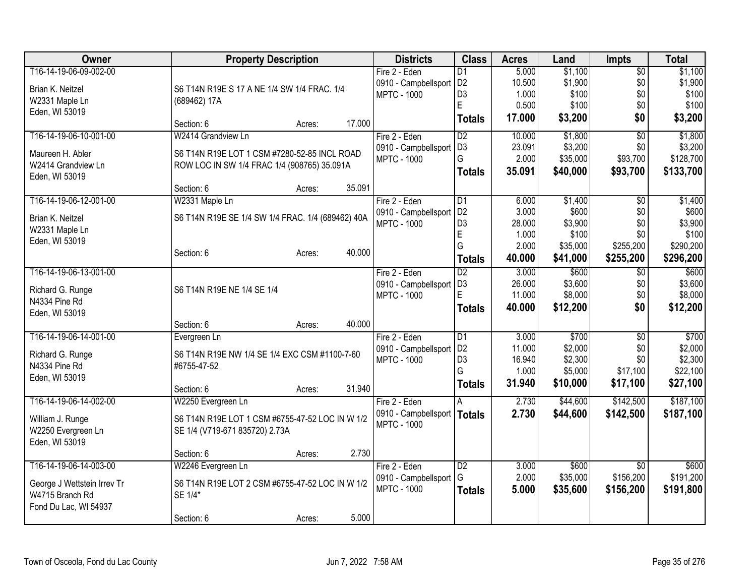| Owner                                  | <b>Property Description</b>                       |        |        | <b>Districts</b>              | <b>Class</b>     | <b>Acres</b> | Land     | <b>Impts</b>    | <b>Total</b>       |
|----------------------------------------|---------------------------------------------------|--------|--------|-------------------------------|------------------|--------------|----------|-----------------|--------------------|
| T16-14-19-06-09-002-00                 |                                                   |        |        | Fire 2 - Eden                 | D <sub>1</sub>   | 5.000        | \$1,100  | $\overline{50}$ | \$1,100            |
| Brian K. Neitzel                       | S6 T14N R19E S 17 A NE 1/4 SW 1/4 FRAC. 1/4       |        |        | 0910 - Campbellsport   D2     |                  | 10.500       | \$1,900  | \$0             | \$1,900            |
| W2331 Maple Ln                         | (689462) 17A                                      |        |        | <b>MPTC - 1000</b>            | D <sub>3</sub>   | 1.000        | \$100    | \$0             | \$100              |
| Eden, WI 53019                         |                                                   |        |        |                               | E                | 0.500        | \$100    | \$0             | \$100              |
|                                        | Section: 6                                        | Acres: | 17.000 |                               | Totals           | 17.000       | \$3,200  | \$0             | \$3,200            |
| T16-14-19-06-10-001-00                 | W2414 Grandview Ln                                |        |        | Fire 2 - Eden                 | D <sub>2</sub>   | 10.000       | \$1,800  | $\overline{50}$ | \$1,800            |
|                                        |                                                   |        |        | 0910 - Campbellsport          | D <sub>3</sub>   | 23.091       | \$3,200  | \$0             | \$3,200            |
| Maureen H. Abler<br>W2414 Grandview Ln | S6 T14N R19E LOT 1 CSM #7280-52-85 INCL ROAD      |        |        | <b>MPTC - 1000</b>            | G                | 2.000        | \$35,000 | \$93,700        | \$128,700          |
|                                        | ROW LOC IN SW 1/4 FRAC 1/4 (908765) 35.091A       |        |        |                               | <b>Totals</b>    | 35.091       | \$40,000 | \$93,700        | \$133,700          |
| Eden, WI 53019                         |                                                   |        | 35.091 |                               |                  |              |          |                 |                    |
|                                        | Section: 6                                        | Acres: |        |                               |                  |              |          |                 |                    |
| T16-14-19-06-12-001-00                 | W2331 Maple Ln                                    |        |        | Fire 2 - Eden                 | D <sub>1</sub>   | 6.000        | \$1,400  | \$0             | \$1,400            |
| Brian K. Neitzel                       | S6 T14N R19E SE 1/4 SW 1/4 FRAC. 1/4 (689462) 40A |        |        | 0910 - Campbellsport          | D <sub>2</sub>   | 3.000        | \$600    | \$0             | \$600              |
| W2331 Maple Ln                         |                                                   |        |        | <b>MPTC - 1000</b>            | D <sub>3</sub>   | 28.000       | \$3,900  | \$0             | \$3,900            |
| Eden, WI 53019                         |                                                   |        |        |                               | $\mathsf E$<br>G | 1.000        | \$100    | \$0             | \$100<br>\$290,200 |
|                                        | Section: 6                                        | Acres: | 40.000 |                               |                  | 2.000        | \$35,000 | \$255,200       |                    |
|                                        |                                                   |        |        |                               | <b>Totals</b>    | 40.000       | \$41,000 | \$255,200       | \$296,200          |
| T16-14-19-06-13-001-00                 |                                                   |        |        | Fire 2 - Eden                 | $\overline{D2}$  | 3.000        | \$600    | $\overline{50}$ | \$600              |
| Richard G. Runge                       | S6 T14N R19E NE 1/4 SE 1/4                        |        |        | 0910 - Campbellsport          | D <sub>3</sub>   | 26.000       | \$3,600  | \$0             | \$3,600            |
| N4334 Pine Rd                          |                                                   |        |        | <b>MPTC - 1000</b>            | E                | 11.000       | \$8,000  | \$0             | \$8,000            |
| Eden, WI 53019                         |                                                   |        |        |                               | Totals           | 40.000       | \$12,200 | \$0             | \$12,200           |
|                                        | Section: 6                                        | Acres: | 40.000 |                               |                  |              |          |                 |                    |
| T16-14-19-06-14-001-00                 | Evergreen Ln                                      |        |        | Fire 2 - Eden                 | D1               | 3.000        | \$700    | $\overline{60}$ | \$700              |
| Richard G. Runge                       | S6 T14N R19E NW 1/4 SE 1/4 EXC CSM #1100-7-60     |        |        | 0910 - Campbellsport          | D <sub>2</sub>   | 11.000       | \$2,000  | \$0             | \$2,000            |
| N4334 Pine Rd                          | #6755-47-52                                       |        |        | <b>MPTC - 1000</b>            | D <sub>3</sub>   | 16.940       | \$2,300  | \$0             | \$2,300            |
| Eden, WI 53019                         |                                                   |        |        |                               | G                | 1.000        | \$5,000  | \$17,100        | \$22,100           |
|                                        | Section: 6                                        | Acres: | 31.940 |                               | <b>Totals</b>    | 31.940       | \$10,000 | \$17,100        | \$27,100           |
| T16-14-19-06-14-002-00                 | W2250 Evergreen Ln                                |        |        | Fire 2 - Eden                 | A                | 2.730        | \$44,600 | \$142,500       | \$187,100          |
|                                        |                                                   |        |        | 0910 - Campbellsport   Totals |                  | 2.730        | \$44,600 | \$142,500       | \$187,100          |
| William J. Runge                       | S6 T14N R19E LOT 1 CSM #6755-47-52 LOC IN W 1/2   |        |        | <b>MPTC - 1000</b>            |                  |              |          |                 |                    |
| W2250 Evergreen Ln                     | SE 1/4 (V719-671 835720) 2.73A                    |        |        |                               |                  |              |          |                 |                    |
| Eden, WI 53019                         |                                                   |        |        |                               |                  |              |          |                 |                    |
|                                        | Section: 6                                        | Acres: | 2.730  |                               |                  |              |          |                 |                    |
| T16-14-19-06-14-003-00                 | W2246 Evergreen Ln                                |        |        | Fire 2 - Eden                 | D <sub>2</sub>   | 3.000        | \$600    | $\overline{50}$ | \$600              |
| George J Wettstein Irrev Tr            | S6 T14N R19E LOT 2 CSM #6755-47-52 LOC IN W 1/2   |        |        | 0910 - Campbellsport          | G                | 2.000        | \$35,000 | \$156,200       | \$191,200          |
| W4715 Branch Rd                        | SE 1/4*                                           |        |        | <b>MPTC - 1000</b>            | <b>Totals</b>    | 5.000        | \$35,600 | \$156,200       | \$191,800          |
| Fond Du Lac, WI 54937                  |                                                   |        |        |                               |                  |              |          |                 |                    |
|                                        | Section: 6                                        | Acres: | 5.000  |                               |                  |              |          |                 |                    |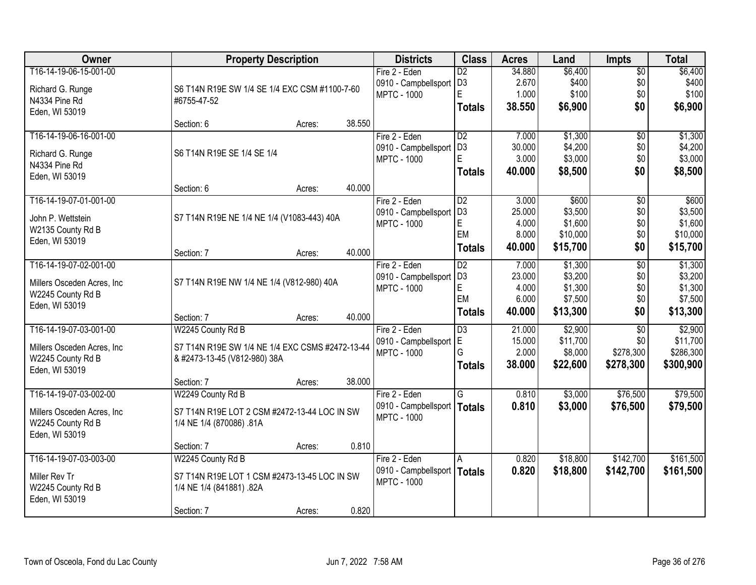| Owner                                  | <b>Property Description</b>                     |        |        | <b>Districts</b>              | <b>Class</b>    | <b>Acres</b> | Land     | <b>Impts</b>    | <b>Total</b> |
|----------------------------------------|-------------------------------------------------|--------|--------|-------------------------------|-----------------|--------------|----------|-----------------|--------------|
| T16-14-19-06-15-001-00                 |                                                 |        |        | Fire 2 - Eden                 | $\overline{D2}$ | 34.880       | \$6,400  | $\sqrt{$0}$     | \$6,400      |
| Richard G. Runge                       | S6 T14N R19E SW 1/4 SE 1/4 EXC CSM #1100-7-60   |        |        | 0910 - Campbellsport          | D <sub>3</sub>  | 2.670        | \$400    | \$0             | \$400        |
| N4334 Pine Rd                          | #6755-47-52                                     |        |        | <b>MPTC - 1000</b>            | E               | 1.000        | \$100    | \$0             | \$100        |
| Eden, WI 53019                         |                                                 |        |        |                               | <b>Totals</b>   | 38.550       | \$6,900  | \$0             | \$6,900      |
|                                        | Section: 6                                      | Acres: | 38.550 |                               |                 |              |          |                 |              |
| T16-14-19-06-16-001-00                 |                                                 |        |        | Fire 2 - Eden                 | $\overline{D2}$ | 7.000        | \$1,300  | \$0             | \$1,300      |
| Richard G. Runge                       | S6 T14N R19E SE 1/4 SE 1/4                      |        |        | 0910 - Campbellsport          | D <sub>3</sub>  | 30,000       | \$4,200  | \$0             | \$4,200      |
| N4334 Pine Rd                          |                                                 |        |        | <b>MPTC - 1000</b>            | E               | 3.000        | \$3,000  | \$0             | \$3,000      |
| Eden, WI 53019                         |                                                 |        |        |                               | <b>Totals</b>   | 40.000       | \$8,500  | \$0             | \$8,500      |
|                                        | Section: 6                                      | Acres: | 40.000 |                               |                 |              |          |                 |              |
| T16-14-19-07-01-001-00                 |                                                 |        |        | Fire 2 - Eden                 | $\overline{D2}$ | 3.000        | \$600    | \$0             | \$600        |
|                                        |                                                 |        |        | 0910 - Campbellsport          | D <sub>3</sub>  | 25.000       | \$3,500  | \$0             | \$3,500      |
| John P. Wettstein<br>W2135 County Rd B | S7 T14N R19E NE 1/4 NE 1/4 (V1083-443) 40A      |        |        | <b>MPTC - 1000</b>            | E               | 4.000        | \$1,600  | \$0             | \$1,600      |
| Eden, WI 53019                         |                                                 |        |        |                               | EM              | 8.000        | \$10,000 | \$0             | \$10,000     |
|                                        | Section: 7                                      | Acres: | 40.000 |                               | <b>Totals</b>   | 40.000       | \$15,700 | \$0             | \$15,700     |
| T16-14-19-07-02-001-00                 |                                                 |        |        | Fire 2 - Eden                 | D2              | 7.000        | \$1,300  | \$0             | \$1,300      |
|                                        |                                                 |        |        | 0910 - Campbellsport          | D <sub>3</sub>  | 23.000       | \$3,200  | \$0             | \$3,200      |
| Millers Osceden Acres, Inc.            | S7 T14N R19E NW 1/4 NE 1/4 (V812-980) 40A       |        |        | <b>MPTC - 1000</b>            | E               | 4.000        | \$1,300  | \$0             | \$1,300      |
| W2245 County Rd B                      |                                                 |        |        |                               | EM              | 6.000        | \$7,500  | \$0             | \$7,500      |
| Eden, WI 53019                         | Section: 7                                      | Acres: | 40.000 |                               | <b>Totals</b>   | 40.000       | \$13,300 | \$0             | \$13,300     |
| T16-14-19-07-03-001-00                 | W2245 County Rd B                               |        |        | Fire 2 - Eden                 | $\overline{D3}$ | 21.000       | \$2,900  | $\overline{50}$ | \$2,900      |
|                                        |                                                 |        |        | 0910 - Campbellsport          | E               | 15.000       | \$11,700 | \$0             | \$11,700     |
| Millers Osceden Acres, Inc.            | S7 T14N R19E SW 1/4 NE 1/4 EXC CSMS #2472-13-44 |        |        | <b>MPTC - 1000</b>            | G               | 2.000        | \$8,000  | \$278,300       | \$286,300    |
| W2245 County Rd B                      | & #2473-13-45 (V812-980) 38A                    |        |        |                               | <b>Totals</b>   | 38.000       | \$22,600 | \$278,300       | \$300,900    |
| Eden, WI 53019                         |                                                 |        |        |                               |                 |              |          |                 |              |
|                                        | Section: 7                                      | Acres: | 38.000 |                               |                 |              |          |                 |              |
| T16-14-19-07-03-002-00                 | W2249 County Rd B                               |        |        | Fire 2 - Eden                 | G               | 0.810        | \$3,000  | \$76,500        | \$79,500     |
| Millers Osceden Acres, Inc             | S7 T14N R19E LOT 2 CSM #2472-13-44 LOC IN SW    |        |        | 0910 - Campbellsport   Totals |                 | 0.810        | \$3,000  | \$76,500        | \$79,500     |
| W2245 County Rd B                      | 1/4 NE 1/4 (870086) .81A                        |        |        | <b>MPTC - 1000</b>            |                 |              |          |                 |              |
| Eden, WI 53019                         |                                                 |        |        |                               |                 |              |          |                 |              |
|                                        | Section: 7                                      | Acres: | 0.810  |                               |                 |              |          |                 |              |
| T16-14-19-07-03-003-00                 | W2245 County Rd B                               |        |        | Fire 2 - Eden                 | A               | 0.820        | \$18,800 | \$142,700       | \$161,500    |
| Miller Rev Tr                          | S7 T14N R19E LOT 1 CSM #2473-13-45 LOC IN SW    |        |        | 0910 - Campbellsport   Totals |                 | 0.820        | \$18,800 | \$142,700       | \$161,500    |
| W2245 County Rd B                      | 1/4 NE 1/4 (841881) .82A                        |        |        | <b>MPTC - 1000</b>            |                 |              |          |                 |              |
| Eden, WI 53019                         |                                                 |        |        |                               |                 |              |          |                 |              |
|                                        | Section: 7                                      | Acres: | 0.820  |                               |                 |              |          |                 |              |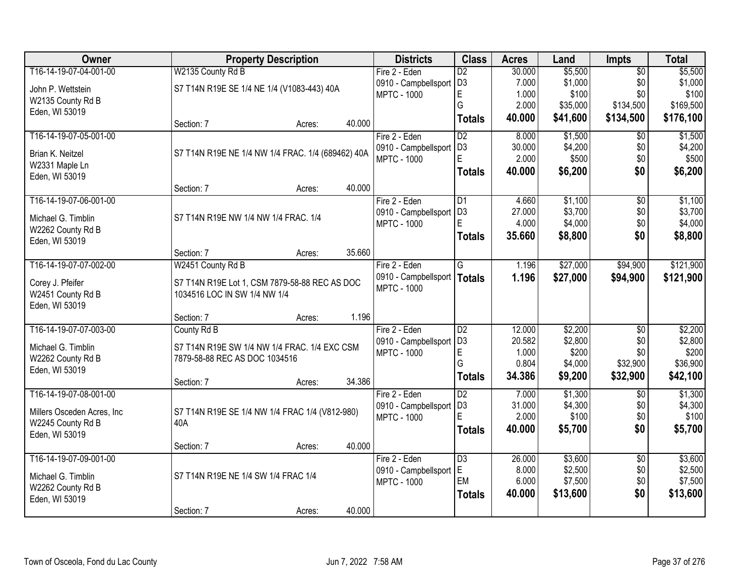| Owner                      |                                                   | <b>Property Description</b> |        | <b>Districts</b>     | <b>Class</b>    | <b>Acres</b> | Land     | Impts           | <b>Total</b> |
|----------------------------|---------------------------------------------------|-----------------------------|--------|----------------------|-----------------|--------------|----------|-----------------|--------------|
| T16-14-19-07-04-001-00     | W2135 County Rd B                                 |                             |        | Fire 2 - Eden        | $\overline{D2}$ | 30.000       | \$5,500  | $\overline{50}$ | \$5,500      |
| John P. Wettstein          | S7 T14N R19E SE 1/4 NE 1/4 (V1083-443) 40A        |                             |        | 0910 - Campbellsport | D <sub>3</sub>  | 7.000        | \$1,000  | \$0             | \$1,000      |
| W2135 County Rd B          |                                                   |                             |        | <b>MPTC - 1000</b>   | E               | 1.000        | \$100    | \$0             | \$100        |
| Eden, WI 53019             |                                                   |                             |        |                      | G               | 2.000        | \$35,000 | \$134,500       | \$169,500    |
|                            | Section: 7                                        | Acres:                      | 40.000 |                      | <b>Totals</b>   | 40.000       | \$41,600 | \$134,500       | \$176,100    |
| T16-14-19-07-05-001-00     |                                                   |                             |        | Fire 2 - Eden        | $\overline{D2}$ | 8.000        | \$1,500  | $\overline{50}$ | \$1,500      |
| Brian K. Neitzel           | S7 T14N R19E NE 1/4 NW 1/4 FRAC. 1/4 (689462) 40A |                             |        | 0910 - Campbellsport | D <sub>3</sub>  | 30.000       | \$4,200  | \$0             | \$4,200      |
| W2331 Maple Ln             |                                                   |                             |        | <b>MPTC - 1000</b>   | E               | 2.000        | \$500    | \$0             | \$500        |
| Eden, WI 53019             |                                                   |                             |        |                      | <b>Totals</b>   | 40.000       | \$6,200  | \$0             | \$6,200      |
|                            | Section: 7                                        | Acres:                      | 40.000 |                      |                 |              |          |                 |              |
| T16-14-19-07-06-001-00     |                                                   |                             |        | Fire 2 - Eden        | $\overline{D1}$ | 4.660        | \$1,100  | $\overline{50}$ | \$1,100      |
| Michael G. Timblin         | S7 T14N R19E NW 1/4 NW 1/4 FRAC. 1/4              |                             |        | 0910 - Campbellsport | D <sub>3</sub>  | 27.000       | \$3,700  | \$0             | \$3,700      |
| W2262 County Rd B          |                                                   |                             |        | <b>MPTC - 1000</b>   | E               | 4.000        | \$4,000  | \$0             | \$4,000      |
| Eden, WI 53019             |                                                   |                             |        |                      | <b>Totals</b>   | 35.660       | \$8,800  | \$0             | \$8,800      |
|                            | Section: 7                                        | Acres:                      | 35.660 |                      |                 |              |          |                 |              |
| T16-14-19-07-07-002-00     | W2451 County Rd B                                 |                             |        | Fire 2 - Eden        | G               | 1.196        | \$27,000 | \$94,900        | \$121,900    |
| Corey J. Pfeifer           | S7 T14N R19E Lot 1, CSM 7879-58-88 REC AS DOC     |                             |        | 0910 - Campbellsport | <b>Totals</b>   | 1.196        | \$27,000 | \$94,900        | \$121,900    |
| W2451 County Rd B          | 1034516 LOC IN SW 1/4 NW 1/4                      |                             |        | <b>MPTC - 1000</b>   |                 |              |          |                 |              |
| Eden, WI 53019             |                                                   |                             |        |                      |                 |              |          |                 |              |
|                            | Section: 7                                        | Acres:                      | 1.196  |                      |                 |              |          |                 |              |
| T16-14-19-07-07-003-00     | County Rd B                                       |                             |        | Fire 2 - Eden        | $\overline{D2}$ | 12.000       | \$2,200  | $\overline{50}$ | \$2,200      |
| Michael G. Timblin         | S7 T14N R19E SW 1/4 NW 1/4 FRAC. 1/4 EXC CSM      |                             |        | 0910 - Campbellsport | D <sub>3</sub>  | 20.582       | \$2,800  | \$0             | \$2,800      |
| W2262 County Rd B          | 7879-58-88 REC AS DOC 1034516                     |                             |        | <b>MPTC - 1000</b>   | E               | 1.000        | \$200    | \$0             | \$200        |
| Eden, WI 53019             |                                                   |                             |        |                      | G               | 0.804        | \$4,000  | \$32,900        | \$36,900     |
|                            | Section: 7                                        | Acres:                      | 34.386 |                      | <b>Totals</b>   | 34.386       | \$9,200  | \$32,900        | \$42,100     |
| T16-14-19-07-08-001-00     |                                                   |                             |        | Fire 2 - Eden        | $\overline{D2}$ | 7.000        | \$1,300  | $\overline{50}$ | \$1,300      |
| Millers Osceden Acres, Inc | S7 T14N R19E SE 1/4 NW 1/4 FRAC 1/4 (V812-980)    |                             |        | 0910 - Campbellsport | D <sub>3</sub>  | 31.000       | \$4,300  | \$0             | \$4,300      |
| W2245 County Rd B          | 40A                                               |                             |        | <b>MPTC - 1000</b>   | E               | 2.000        | \$100    | \$0             | \$100        |
| Eden, WI 53019             |                                                   |                             |        |                      | <b>Totals</b>   | 40.000       | \$5,700  | \$0             | \$5,700      |
|                            | Section: 7                                        | Acres:                      | 40.000 |                      |                 |              |          |                 |              |
| T16-14-19-07-09-001-00     |                                                   |                             |        | Fire 2 - Eden        | $\overline{D3}$ | 26.000       | \$3,600  | $\overline{50}$ | \$3,600      |
| Michael G. Timblin         | S7 T14N R19E NE 1/4 SW 1/4 FRAC 1/4               |                             |        | 0910 - Campbellsport | E               | 8.000        | \$2,500  | \$0             | \$2,500      |
| W2262 County Rd B          |                                                   |                             |        | <b>MPTC - 1000</b>   | EM              | 6.000        | \$7,500  | \$0             | \$7,500      |
| Eden, WI 53019             |                                                   |                             |        |                      | <b>Totals</b>   | 40.000       | \$13,600 | \$0             | \$13,600     |
|                            | Section: 7                                        | Acres:                      | 40.000 |                      |                 |              |          |                 |              |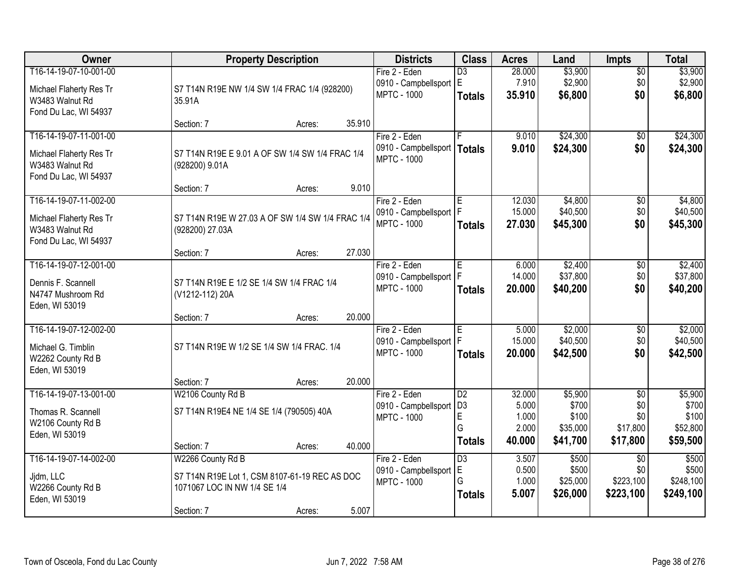| Owner                                   |                                                  | <b>Property Description</b> |        | <b>Districts</b>                                    | <b>Class</b>         | <b>Acres</b>     | Land                | <b>Impts</b>           | <b>Total</b>      |
|-----------------------------------------|--------------------------------------------------|-----------------------------|--------|-----------------------------------------------------|----------------------|------------------|---------------------|------------------------|-------------------|
| T16-14-19-07-10-001-00                  |                                                  |                             |        | Fire 2 - Eden                                       | $\overline{D3}$      | 28.000           | \$3,900             | $\overline{50}$        | \$3,900           |
| Michael Flaherty Res Tr                 | S7 T14N R19E NW 1/4 SW 1/4 FRAC 1/4 (928200)     |                             |        | 0910 - Campbellsport E                              |                      | 7.910            | \$2,900             | \$0                    | \$2,900           |
| W3483 Walnut Rd                         | 35.91A                                           |                             |        | <b>MPTC - 1000</b>                                  | <b>Totals</b>        | 35.910           | \$6,800             | \$0                    | \$6,800           |
| Fond Du Lac, WI 54937                   |                                                  |                             |        |                                                     |                      |                  |                     |                        |                   |
|                                         | Section: 7                                       | Acres:                      | 35.910 |                                                     |                      |                  |                     |                        |                   |
| T16-14-19-07-11-001-00                  |                                                  |                             |        | Fire 2 - Eden                                       |                      | 9.010            | \$24,300            | $\overline{50}$        | \$24,300          |
| Michael Flaherty Res Tr                 | S7 T14N R19E E 9.01 A OF SW 1/4 SW 1/4 FRAC 1/4  |                             |        | 0910 - Campbellsport   Totals<br><b>MPTC - 1000</b> |                      | 9.010            | \$24,300            | \$0                    | \$24,300          |
| W3483 Walnut Rd                         | (928200) 9.01A                                   |                             |        |                                                     |                      |                  |                     |                        |                   |
| Fond Du Lac, WI 54937                   |                                                  |                             |        |                                                     |                      |                  |                     |                        |                   |
| T16-14-19-07-11-002-00                  | Section: 7                                       | Acres:                      | 9.010  |                                                     |                      |                  |                     |                        | \$4,800           |
|                                         |                                                  |                             |        | Fire 2 - Eden<br>0910 - Campbellsport   F           | E                    | 12.030<br>15.000 | \$4,800<br>\$40,500 | \$0<br>\$0             | \$40,500          |
| Michael Flaherty Res Tr                 | S7 T14N R19E W 27.03 A OF SW 1/4 SW 1/4 FRAC 1/4 |                             |        | <b>MPTC - 1000</b>                                  | <b>Totals</b>        | 27.030           | \$45,300            | \$0                    | \$45,300          |
| W3483 Walnut Rd                         | (928200) 27.03A                                  |                             |        |                                                     |                      |                  |                     |                        |                   |
| Fond Du Lac, WI 54937                   | Section: 7                                       | Acres:                      | 27.030 |                                                     |                      |                  |                     |                        |                   |
| T16-14-19-07-12-001-00                  |                                                  |                             |        | Fire 2 - Eden                                       | E                    | 6.000            | \$2,400             | \$0                    | \$2,400           |
|                                         |                                                  |                             |        | 0910 - Campbellsport   F                            |                      | 14.000           | \$37,800            | \$0                    | \$37,800          |
| Dennis F. Scannell<br>N4747 Mushroom Rd | S7 T14N R19E E 1/2 SE 1/4 SW 1/4 FRAC 1/4        |                             |        | <b>MPTC - 1000</b>                                  | <b>Totals</b>        | 20.000           | \$40,200            | \$0                    | \$40,200          |
| Eden, WI 53019                          | (V1212-112) 20A                                  |                             |        |                                                     |                      |                  |                     |                        |                   |
|                                         | Section: 7                                       | Acres:                      | 20.000 |                                                     |                      |                  |                     |                        |                   |
| T16-14-19-07-12-002-00                  |                                                  |                             |        | Fire 2 - Eden                                       | E                    | 5.000            | \$2,000             | $\overline{30}$        | \$2,000           |
| Michael G. Timblin                      | S7 T14N R19E W 1/2 SE 1/4 SW 1/4 FRAC. 1/4       |                             |        | 0910 - Campbellsport                                |                      | 15.000           | \$40,500            | \$0                    | \$40,500          |
| W2262 County Rd B                       |                                                  |                             |        | <b>MPTC - 1000</b>                                  | <b>Totals</b>        | 20.000           | \$42,500            | \$0                    | \$42,500          |
| Eden, WI 53019                          |                                                  |                             |        |                                                     |                      |                  |                     |                        |                   |
|                                         | Section: 7                                       | Acres:                      | 20.000 |                                                     |                      |                  |                     |                        |                   |
| T16-14-19-07-13-001-00                  | W2106 County Rd B                                |                             |        | Fire 2 - Eden                                       | $\overline{D2}$      | 32.000           | \$5,900             | $\overline{50}$        | \$5,900           |
| Thomas R. Scannell                      | S7 T14N R19E4 NE 1/4 SE 1/4 (790505) 40A         |                             |        | 0910 - Campbellsport                                | D <sub>3</sub>       | 5.000            | \$700               | \$0                    | \$700             |
| W2106 County Rd B                       |                                                  |                             |        | <b>MPTC - 1000</b>                                  | E<br>G               | 1.000<br>2.000   | \$100<br>\$35,000   | \$0<br>\$17,800        | \$100<br>\$52,800 |
| Eden, WI 53019                          |                                                  |                             |        |                                                     | <b>Totals</b>        | 40.000           | \$41,700            | \$17,800               | \$59,500          |
|                                         | Section: 7                                       | Acres:                      | 40.000 |                                                     |                      |                  |                     |                        |                   |
| T16-14-19-07-14-002-00                  | W2266 County Rd B                                |                             |        | Fire 2 - Eden                                       | $\overline{D3}$<br>E | 3.507<br>0.500   | \$500<br>\$500      | $\overline{30}$<br>\$0 | \$500<br>\$500    |
| Jjdm, LLC                               | S7 T14N R19E Lot 1, CSM 8107-61-19 REC AS DOC    |                             |        | 0910 - Campbellsport<br><b>MPTC - 1000</b>          | G                    | 1.000            | \$25,000            | \$223,100              | \$248,100         |
| W2266 County Rd B                       | 1071067 LOC IN NW 1/4 SE 1/4                     |                             |        |                                                     | <b>Totals</b>        | 5.007            | \$26,000            | \$223,100              | \$249,100         |
| Eden, WI 53019                          |                                                  |                             |        |                                                     |                      |                  |                     |                        |                   |
|                                         | Section: 7                                       | Acres:                      | 5.007  |                                                     |                      |                  |                     |                        |                   |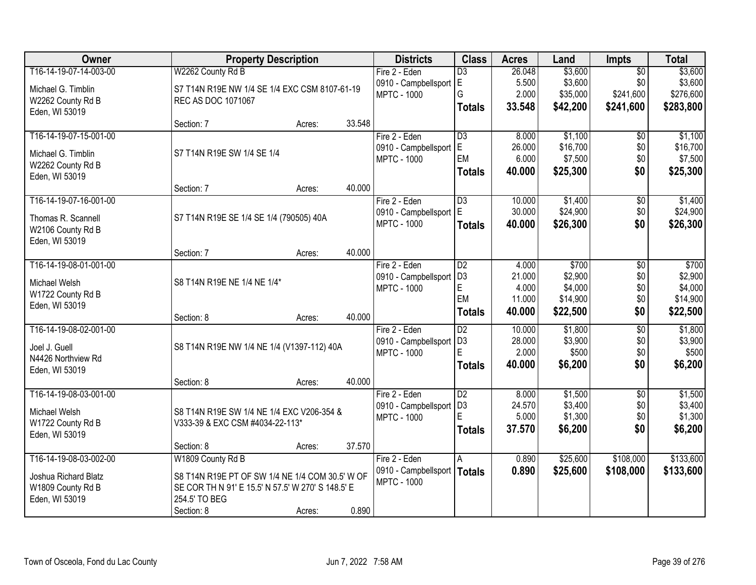| Owner                  |                                                   | <b>Property Description</b> |        | <b>Districts</b>         | <b>Class</b>    | <b>Acres</b> | Land     | <b>Impts</b>    | <b>Total</b> |
|------------------------|---------------------------------------------------|-----------------------------|--------|--------------------------|-----------------|--------------|----------|-----------------|--------------|
| T16-14-19-07-14-003-00 | W2262 County Rd B                                 |                             |        | Fire 2 - Eden            | $\overline{D3}$ | 26.048       | \$3,600  | $\overline{$0}$ | \$3,600      |
| Michael G. Timblin     | S7 T14N R19E NW 1/4 SE 1/4 EXC CSM 8107-61-19     |                             |        | 0910 - Campbellsport     | lE.             | 5.500        | \$3,600  | \$0             | \$3,600      |
| W2262 County Rd B      | REC AS DOC 1071067                                |                             |        | <b>MPTC - 1000</b>       | G               | 2.000        | \$35,000 | \$241,600       | \$276,600    |
| Eden, WI 53019         |                                                   |                             |        |                          | <b>Totals</b>   | 33.548       | \$42,200 | \$241,600       | \$283,800    |
|                        | Section: 7                                        | Acres:                      | 33.548 |                          |                 |              |          |                 |              |
| T16-14-19-07-15-001-00 |                                                   |                             |        | Fire 2 - Eden            | $\overline{D3}$ | 8.000        | \$1,100  | \$0             | \$1,100      |
| Michael G. Timblin     | S7 T14N R19E SW 1/4 SE 1/4                        |                             |        | 0910 - Campbellsport     | E               | 26.000       | \$16,700 | \$0             | \$16,700     |
| W2262 County Rd B      |                                                   |                             |        | <b>MPTC - 1000</b>       | EM              | 6.000        | \$7,500  | \$0             | \$7,500      |
| Eden, WI 53019         |                                                   |                             |        |                          | <b>Totals</b>   | 40.000       | \$25,300 | \$0             | \$25,300     |
|                        | Section: 7                                        | Acres:                      | 40.000 |                          |                 |              |          |                 |              |
| T16-14-19-07-16-001-00 |                                                   |                             |        | Fire 2 - Eden            | D3              | 10.000       | \$1,400  | \$0             | \$1,400      |
| Thomas R. Scannell     | S7 T14N R19E SE 1/4 SE 1/4 (790505) 40A           |                             |        | 0910 - Campbellsport   E |                 | 30.000       | \$24,900 | \$0             | \$24,900     |
| W2106 County Rd B      |                                                   |                             |        | <b>MPTC - 1000</b>       | <b>Totals</b>   | 40.000       | \$26,300 | \$0             | \$26,300     |
| Eden, WI 53019         |                                                   |                             |        |                          |                 |              |          |                 |              |
|                        | Section: 7                                        | Acres:                      | 40.000 |                          |                 |              |          |                 |              |
| T16-14-19-08-01-001-00 |                                                   |                             |        | Fire 2 - Eden            | $\overline{D2}$ | 4.000        | \$700    | \$0             | \$700        |
| Michael Welsh          | S8 T14N R19E NE 1/4 NE 1/4*                       |                             |        | 0910 - Campbellsport     | D <sub>3</sub>  | 21.000       | \$2,900  | \$0             | \$2,900      |
| W1722 County Rd B      |                                                   |                             |        | <b>MPTC - 1000</b>       | $\mathsf E$     | 4.000        | \$4,000  | \$0             | \$4,000      |
| Eden, WI 53019         |                                                   |                             |        |                          | EM              | 11.000       | \$14,900 | \$0             | \$14,900     |
|                        | Section: 8                                        | Acres:                      | 40.000 |                          | <b>Totals</b>   | 40.000       | \$22,500 | \$0             | \$22,500     |
| T16-14-19-08-02-001-00 |                                                   |                             |        | Fire 2 - Eden            | $\overline{D2}$ | 10.000       | \$1,800  | $\overline{50}$ | \$1,800      |
| Joel J. Guell          | S8 T14N R19E NW 1/4 NE 1/4 (V1397-112) 40A        |                             |        | 0910 - Campbellsport     | D <sub>3</sub>  | 28.000       | \$3,900  | \$0             | \$3,900      |
| N4426 Northview Rd     |                                                   |                             |        | <b>MPTC - 1000</b>       | E               | 2.000        | \$500    | \$0             | \$500        |
| Eden, WI 53019         |                                                   |                             |        |                          | <b>Totals</b>   | 40.000       | \$6,200  | \$0             | \$6,200      |
|                        | Section: 8                                        | Acres:                      | 40.000 |                          |                 |              |          |                 |              |
| T16-14-19-08-03-001-00 |                                                   |                             |        | Fire 2 - Eden            | $\overline{D2}$ | 8.000        | \$1,500  | $\overline{50}$ | \$1,500      |
| Michael Welsh          | S8 T14N R19E SW 1/4 NE 1/4 EXC V206-354 &         |                             |        | 0910 - Campbellsport     | D <sub>3</sub>  | 24.570       | \$3,400  | \$0             | \$3,400      |
| W1722 County Rd B      | V333-39 & EXC CSM #4034-22-113*                   |                             |        | <b>MPTC - 1000</b>       | E               | 5.000        | \$1,300  | \$0             | \$1,300      |
| Eden, WI 53019         |                                                   |                             |        |                          | <b>Totals</b>   | 37.570       | \$6,200  | \$0             | \$6,200      |
|                        | Section: 8                                        | Acres:                      | 37.570 |                          |                 |              |          |                 |              |
| T16-14-19-08-03-002-00 | W1809 County Rd B                                 |                             |        | Fire 2 - Eden            | A               | 0.890        | \$25,600 | \$108,000       | \$133,600    |
| Joshua Richard Blatz   | S8 T14N R19E PT OF SW 1/4 NE 1/4 COM 30.5' W OF   |                             |        | 0910 - Campbellsport     | Totals          | 0.890        | \$25,600 | \$108,000       | \$133,600    |
| W1809 County Rd B      | SE COR TH N 91' E 15.5' N 57.5' W 270' S 148.5' E |                             |        | <b>MPTC - 1000</b>       |                 |              |          |                 |              |
| Eden, WI 53019         | 254.5' TO BEG                                     |                             |        |                          |                 |              |          |                 |              |
|                        | Section: 8                                        | Acres:                      | 0.890  |                          |                 |              |          |                 |              |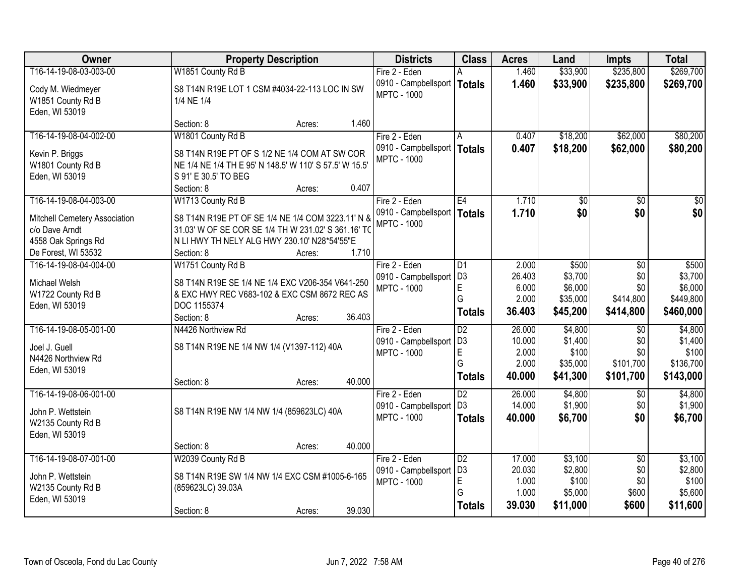| Owner                         | <b>Property Description</b>                            |        | <b>Districts</b>              | <b>Class</b>    | <b>Acres</b> | Land     | <b>Impts</b>    | <b>Total</b> |
|-------------------------------|--------------------------------------------------------|--------|-------------------------------|-----------------|--------------|----------|-----------------|--------------|
| T16-14-19-08-03-003-00        | W1851 County Rd B                                      |        | Fire 2 - Eden                 |                 | 1.460        | \$33,900 | \$235,800       | \$269,700    |
| Cody M. Wiedmeyer             | S8 T14N R19E LOT 1 CSM #4034-22-113 LOC IN SW          |        | 0910 - Campbellsport          | <b>Totals</b>   | 1.460        | \$33,900 | \$235,800       | \$269,700    |
| W1851 County Rd B             | 1/4 NE 1/4                                             |        | <b>MPTC - 1000</b>            |                 |              |          |                 |              |
| Eden, WI 53019                |                                                        |        |                               |                 |              |          |                 |              |
|                               | Section: 8<br>Acres:                                   | 1.460  |                               |                 |              |          |                 |              |
| T16-14-19-08-04-002-00        | W1801 County Rd B                                      |        | Fire 2 - Eden                 | A               | 0.407        | \$18,200 | \$62,000        | \$80,200     |
| Kevin P. Briggs               | S8 T14N R19E PT OF S 1/2 NE 1/4 COM AT SW COR          |        | 0910 - Campbellsport   Totals |                 | 0.407        | \$18,200 | \$62,000        | \$80,200     |
| W1801 County Rd B             | NE 1/4 NE 1/4 TH E 95' N 148.5' W 110' S 57.5' W 15.5' |        | <b>MPTC - 1000</b>            |                 |              |          |                 |              |
| Eden, WI 53019                | S 91' E 30.5' TO BEG                                   |        |                               |                 |              |          |                 |              |
|                               | Section: 8<br>Acres:                                   | 0.407  |                               |                 |              |          |                 |              |
| T16-14-19-08-04-003-00        | W1713 County Rd B                                      |        | Fire 2 - Eden                 | E4              | 1.710        | \$0      | \$0             | \$0          |
| Mitchell Cemetery Association | S8 T14N R19E PT OF SE 1/4 NE 1/4 COM 3223.11' N &      |        | 0910 - Campbellsport   Totals |                 | 1.710        | \$0      | \$0             | \$0          |
| c/o Dave Arndt                | 31.03' W OF SE COR SE 1/4 TH W 231.02' S 361.16' TO    |        | <b>MPTC - 1000</b>            |                 |              |          |                 |              |
| 4558 Oak Springs Rd           | N LI HWY TH NELY ALG HWY 230.10' N28*54'55"E           |        |                               |                 |              |          |                 |              |
| De Forest, WI 53532           | Section: 8<br>Acres:                                   | 1.710  |                               |                 |              |          |                 |              |
| T16-14-19-08-04-004-00        | W1751 County Rd B                                      |        | Fire 2 - Eden                 | $\overline{D1}$ | 2.000        | \$500    | \$0             | \$500        |
| Michael Welsh                 | S8 T14N R19E SE 1/4 NE 1/4 EXC V206-354 V641-250       |        | 0910 - Campbellsport          | D <sub>3</sub>  | 26.403       | \$3,700  | \$0             | \$3,700      |
| W1722 County Rd B             | & EXC HWY REC V683-102 & EXC CSM 8672 REC AS           |        | <b>MPTC - 1000</b>            | E               | 6.000        | \$6,000  | \$0             | \$6,000      |
| Eden, WI 53019                | DOC 1155374                                            |        |                               | G               | 2.000        | \$35,000 | \$414,800       | \$449,800    |
|                               | Section: 8<br>Acres:                                   | 36.403 |                               | <b>Totals</b>   | 36.403       | \$45,200 | \$414,800       | \$460,000    |
| T16-14-19-08-05-001-00        | N4426 Northview Rd                                     |        | Fire 2 - Eden                 | $\overline{D2}$ | 26.000       | \$4,800  | $\overline{60}$ | \$4,800      |
| Joel J. Guell                 | S8 T14N R19E NE 1/4 NW 1/4 (V1397-112) 40A             |        | 0910 - Campbellsport          | D <sub>3</sub>  | 10.000       | \$1,400  | \$0             | \$1,400      |
| N4426 Northview Rd            |                                                        |        | <b>MPTC - 1000</b>            | E               | 2.000        | \$100    | \$0             | \$100        |
| Eden, WI 53019                |                                                        |        |                               | G               | 2.000        | \$35,000 | \$101,700       | \$136,700    |
|                               | Section: 8<br>Acres:                                   | 40.000 |                               | <b>Totals</b>   | 40.000       | \$41,300 | \$101,700       | \$143,000    |
| T16-14-19-08-06-001-00        |                                                        |        | Fire 2 - Eden                 | $\overline{D2}$ | 26.000       | \$4,800  | \$0             | \$4,800      |
| John P. Wettstein             | S8 T14N R19E NW 1/4 NW 1/4 (859623LC) 40A              |        | 0910 - Campbellsport          | D <sub>3</sub>  | 14.000       | \$1,900  | \$0             | \$1,900      |
| W2135 County Rd B             |                                                        |        | <b>MPTC - 1000</b>            | <b>Totals</b>   | 40.000       | \$6,700  | \$0             | \$6,700      |
| Eden, WI 53019                |                                                        |        |                               |                 |              |          |                 |              |
|                               | Section: 8<br>Acres:                                   | 40.000 |                               |                 |              |          |                 |              |
| T16-14-19-08-07-001-00        | W2039 County Rd B                                      |        | Fire 2 - Eden                 | $\overline{D2}$ | 17.000       | \$3,100  | $\overline{30}$ | \$3,100      |
| John P. Wettstein             | S8 T14N R19E SW 1/4 NW 1/4 EXC CSM #1005-6-165         |        | 0910 - Campbellsport          | D <sub>3</sub>  | 20.030       | \$2,800  | \$0             | \$2,800      |
| W2135 County Rd B             | (859623LC) 39.03A                                      |        | <b>MPTC - 1000</b>            | E               | 1.000        | \$100    | \$0             | \$100        |
| Eden, WI 53019                |                                                        |        |                               | G               | 1.000        | \$5,000  | \$600           | \$5,600      |
|                               | Section: 8<br>Acres:                                   | 39.030 |                               | <b>Totals</b>   | 39.030       | \$11,000 | \$600           | \$11,600     |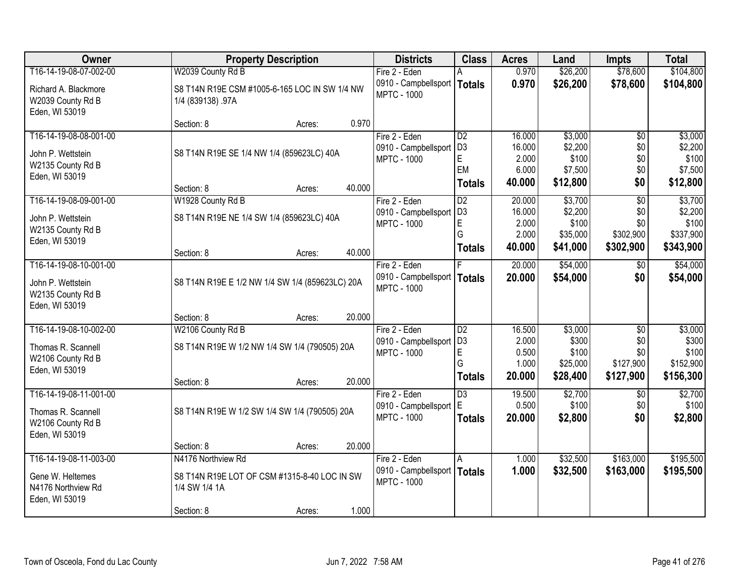| Owner                                                                               | <b>Property Description</b>                                                                       |        |        | <b>Districts</b>                                                     | <b>Class</b>                                                   | <b>Acres</b>                                 | Land                                               | <b>Impts</b>                                            | <b>Total</b>                                        |
|-------------------------------------------------------------------------------------|---------------------------------------------------------------------------------------------------|--------|--------|----------------------------------------------------------------------|----------------------------------------------------------------|----------------------------------------------|----------------------------------------------------|---------------------------------------------------------|-----------------------------------------------------|
| T16-14-19-08-07-002-00                                                              | W2039 County Rd B                                                                                 |        |        | Fire 2 - Eden                                                        |                                                                | 0.970                                        | \$26,200                                           | \$78,600                                                | \$104,800                                           |
| Richard A. Blackmore<br>W2039 County Rd B<br>Eden, WI 53019                         | S8 T14N R19E CSM #1005-6-165 LOC IN SW 1/4 NW<br>1/4 (839138) .97A                                |        |        | 0910 - Campbellsport   Totals<br><b>MPTC - 1000</b>                  |                                                                | 0.970                                        | \$26,200                                           | \$78,600                                                | \$104,800                                           |
|                                                                                     | Section: 8                                                                                        | Acres: | 0.970  |                                                                      |                                                                |                                              |                                                    |                                                         |                                                     |
| T16-14-19-08-08-001-00<br>John P. Wettstein<br>W2135 County Rd B<br>Eden, WI 53019  | S8 T14N R19E SE 1/4 NW 1/4 (859623LC) 40A<br>Section: 8                                           | Acres: | 40.000 | Fire 2 - Eden<br>0910 - Campbellsport<br><b>MPTC - 1000</b>          | $\overline{D2}$<br>D <sub>3</sub><br>E.<br>EM<br><b>Totals</b> | 16.000<br>16.000<br>2.000<br>6.000<br>40.000 | \$3,000<br>\$2,200<br>\$100<br>\$7,500<br>\$12,800 | $\overline{50}$<br>\$0<br>\$0<br>\$0<br>\$0             | \$3,000<br>\$2,200<br>\$100<br>\$7,500<br>\$12,800  |
| T16-14-19-08-09-001-00                                                              | W1928 County Rd B                                                                                 |        |        | Fire 2 - Eden                                                        | $\overline{D2}$                                                | 20.000                                       | \$3,700                                            | $\overline{50}$                                         | \$3,700                                             |
| John P. Wettstein<br>W2135 County Rd B<br>Eden, WI 53019                            | S8 T14N R19E NE 1/4 SW 1/4 (859623LC) 40A                                                         |        |        | 0910 - Campbellsport<br><b>MPTC - 1000</b>                           | D <sub>3</sub><br>E<br>G                                       | 16.000<br>2.000<br>2.000                     | \$2,200<br>\$100<br>\$35,000                       | \$0<br>\$0<br>\$302,900                                 | \$2,200<br>\$100<br>\$337,900                       |
|                                                                                     | Section: 8                                                                                        | Acres: | 40.000 |                                                                      | <b>Totals</b>                                                  | 40.000                                       | \$41,000                                           | \$302,900                                               | \$343,900                                           |
| T16-14-19-08-10-001-00<br>John P. Wettstein<br>W2135 County Rd B<br>Eden, WI 53019  | S8 T14N R19E E 1/2 NW 1/4 SW 1/4 (859623LC) 20A                                                   |        |        | Fire 2 - Eden<br>0910 - Campbellsport<br><b>MPTC - 1000</b>          | Totals                                                         | 20.000<br>20.000                             | \$54,000<br>\$54,000                               | $\sqrt{6}$<br>\$0                                       | \$54,000<br>\$54,000                                |
|                                                                                     | Section: 8                                                                                        | Acres: | 20.000 |                                                                      |                                                                |                                              |                                                    |                                                         |                                                     |
| T16-14-19-08-10-002-00<br>Thomas R. Scannell<br>W2106 County Rd B<br>Eden, WI 53019 | W2106 County Rd B<br>S8 T14N R19E W 1/2 NW 1/4 SW 1/4 (790505) 20A<br>Section: 8                  | Acres: | 20.000 | Fire 2 - Eden<br>0910 - Campbellsport<br><b>MPTC - 1000</b>          | $\overline{D2}$<br>D <sub>3</sub><br>E<br>G<br><b>Totals</b>   | 16.500<br>2.000<br>0.500<br>1.000<br>20.000  | \$3,000<br>\$300<br>\$100<br>\$25,000<br>\$28,400  | $\overline{50}$<br>\$0<br>\$0<br>\$127,900<br>\$127,900 | \$3,000<br>\$300<br>\$100<br>\$152,900<br>\$156,300 |
| T16-14-19-08-11-001-00<br>Thomas R. Scannell<br>W2106 County Rd B<br>Eden, WI 53019 | S8 T14N R19E W 1/2 SW 1/4 SW 1/4 (790505) 20A                                                     |        |        | Fire 2 - Eden<br>0910 - Campbellsport E<br><b>MPTC - 1000</b>        | $\overline{D3}$<br><b>Totals</b>                               | 19.500<br>0.500<br>20.000                    | \$2,700<br>\$100<br>\$2,800                        | \$0<br>\$0<br>\$0                                       | \$2,700<br>\$100<br>\$2,800                         |
|                                                                                     | Section: 8                                                                                        | Acres: | 20.000 |                                                                      |                                                                |                                              |                                                    |                                                         |                                                     |
| T16-14-19-08-11-003-00<br>Gene W. Heltemes<br>N4176 Northview Rd<br>Eden, WI 53019  | N4176 Northview Rd<br>S8 T14N R19E LOT OF CSM #1315-8-40 LOC IN SW<br>1/4 SW 1/4 1A<br>Section: 8 | Acres: | 1.000  | Fire 2 - Eden<br>0910 - Campbellsport   Totals<br><b>MPTC - 1000</b> | A                                                              | 1.000<br>1.000                               | \$32,500<br>\$32,500                               | \$163,000<br>\$163,000                                  | \$195,500<br>\$195,500                              |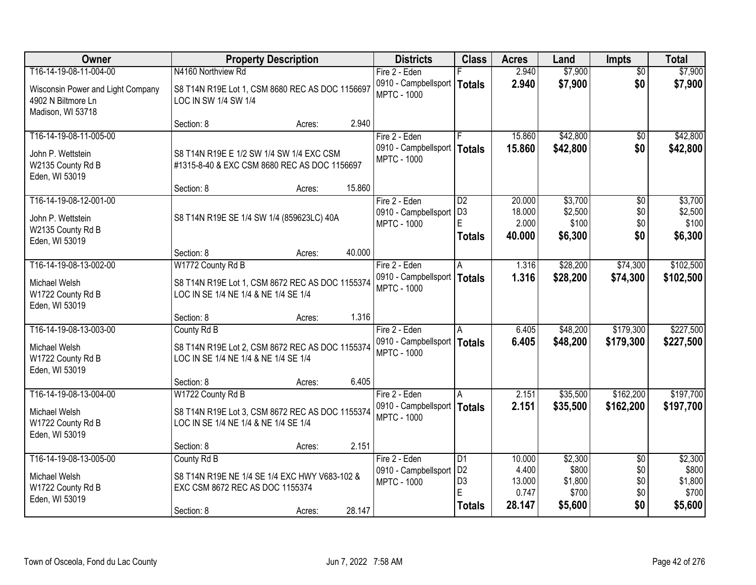| <b>Owner</b>                                                                       |                                                                                                               | <b>Property Description</b> |        | <b>Districts</b>                                            | <b>Class</b>                                                 | <b>Acres</b>                                 | Land                                            | <b>Impts</b>                                | <b>Total</b>                                    |
|------------------------------------------------------------------------------------|---------------------------------------------------------------------------------------------------------------|-----------------------------|--------|-------------------------------------------------------------|--------------------------------------------------------------|----------------------------------------------|-------------------------------------------------|---------------------------------------------|-------------------------------------------------|
| T16-14-19-08-11-004-00                                                             | N4160 Northview Rd                                                                                            |                             |        | Fire 2 - Eden                                               |                                                              | 2.940                                        | \$7,900                                         | $\overline{50}$                             | \$7,900                                         |
| Wisconsin Power and Light Company<br>4902 N Biltmore Ln<br>Madison, WI 53718       | S8 T14N R19E Lot 1, CSM 8680 REC AS DOC 1156697<br>LOC IN SW 1/4 SW 1/4                                       |                             |        | 0910 - Campbellsport<br><b>MPTC - 1000</b>                  | <b>Totals</b>                                                | 2.940                                        | \$7,900                                         | \$0                                         | \$7,900                                         |
|                                                                                    | Section: 8                                                                                                    | Acres:                      | 2.940  |                                                             |                                                              |                                              |                                                 |                                             |                                                 |
| T16-14-19-08-11-005-00<br>John P. Wettstein<br>W2135 County Rd B<br>Eden, WI 53019 | S8 T14N R19E E 1/2 SW 1/4 SW 1/4 EXC CSM<br>#1315-8-40 & EXC CSM 8680 REC AS DOC 1156697                      |                             |        | Fire 2 - Eden<br>0910 - Campbellsport<br><b>MPTC - 1000</b> | Totals                                                       | 15.860<br>15.860                             | \$42,800<br>\$42,800                            | \$0<br>\$0                                  | \$42,800<br>\$42,800                            |
|                                                                                    | Section: 8                                                                                                    | Acres:                      | 15.860 |                                                             |                                                              |                                              |                                                 |                                             |                                                 |
| T16-14-19-08-12-001-00<br>John P. Wettstein<br>W2135 County Rd B<br>Eden, WI 53019 | S8 T14N R19E SE 1/4 SW 1/4 (859623LC) 40A                                                                     |                             |        | Fire 2 - Eden<br>0910 - Campbellsport<br><b>MPTC - 1000</b> | $\overline{D2}$<br>D <sub>3</sub><br>E<br><b>Totals</b>      | 20.000<br>18.000<br>2.000<br>40.000          | \$3,700<br>\$2,500<br>\$100<br>\$6,300          | \$0<br>\$0<br>\$0<br>\$0                    | \$3,700<br>\$2,500<br>\$100<br>\$6,300          |
|                                                                                    | Section: 8                                                                                                    | Acres:                      | 40.000 |                                                             |                                                              |                                              |                                                 |                                             |                                                 |
| T16-14-19-08-13-002-00                                                             | W1772 County Rd B                                                                                             |                             |        | Fire 2 - Eden                                               | l A                                                          | 1.316                                        | \$28,200                                        | \$74,300                                    | \$102,500                                       |
| Michael Welsh<br>W1722 County Rd B<br>Eden, WI 53019                               | S8 T14N R19E Lot 1, CSM 8672 REC AS DOC 1155374<br>LOC IN SE 1/4 NE 1/4 & NE 1/4 SE 1/4                       |                             |        | 0910 - Campbellsport<br><b>MPTC - 1000</b>                  | <b>Totals</b>                                                | 1.316                                        | \$28,200                                        | \$74,300                                    | \$102,500                                       |
|                                                                                    | Section: 8                                                                                                    | Acres:                      | 1.316  |                                                             |                                                              |                                              |                                                 |                                             |                                                 |
| T16-14-19-08-13-003-00<br>Michael Welsh<br>W1722 County Rd B<br>Eden, WI 53019     | County Rd B<br>S8 T14N R19E Lot 2, CSM 8672 REC AS DOC 1155374<br>LOC IN SE 1/4 NE 1/4 & NE 1/4 SE 1/4        |                             |        | Fire 2 - Eden<br>0910 - Campbellsport<br><b>MPTC - 1000</b> | A<br>Totals                                                  | 6.405<br>6.405                               | \$48,200<br>\$48,200                            | \$179,300<br>\$179,300                      | \$227,500<br>\$227,500                          |
|                                                                                    | Section: 8                                                                                                    | Acres:                      | 6.405  |                                                             |                                                              |                                              |                                                 |                                             |                                                 |
| T16-14-19-08-13-004-00<br>Michael Welsh<br>W1722 County Rd B<br>Eden, WI 53019     | W1722 County Rd B<br>S8 T14N R19E Lot 3, CSM 8672 REC AS DOC 1155374<br>LOC IN SE 1/4 NE 1/4 & NE 1/4 SE 1/4  |                             |        | Fire 2 - Eden<br>0910 - Campbellsport<br><b>MPTC - 1000</b> | A<br><b>Totals</b>                                           | 2.151<br>2.151                               | \$35,500<br>\$35,500                            | \$162,200<br>\$162,200                      | \$197,700<br>\$197,700                          |
|                                                                                    | Section: 8                                                                                                    | Acres:                      | 2.151  |                                                             |                                                              |                                              |                                                 |                                             |                                                 |
| T16-14-19-08-13-005-00<br>Michael Welsh<br>W1722 County Rd B<br>Eden, WI 53019     | County Rd B<br>S8 T14N R19E NE 1/4 SE 1/4 EXC HWY V683-102 &<br>EXC CSM 8672 REC AS DOC 1155374<br>Section: 8 | Acres:                      | 28.147 | Fire 2 - Eden<br>0910 - Campbellsport<br><b>MPTC - 1000</b> | D1<br>D <sub>2</sub><br>D <sub>3</sub><br>E<br><b>Totals</b> | 10.000<br>4.400<br>13.000<br>0.747<br>28.147 | \$2,300<br>\$800<br>\$1,800<br>\$700<br>\$5,600 | $\overline{60}$<br>\$0<br>\$0<br>\$0<br>\$0 | \$2,300<br>\$800<br>\$1,800<br>\$700<br>\$5,600 |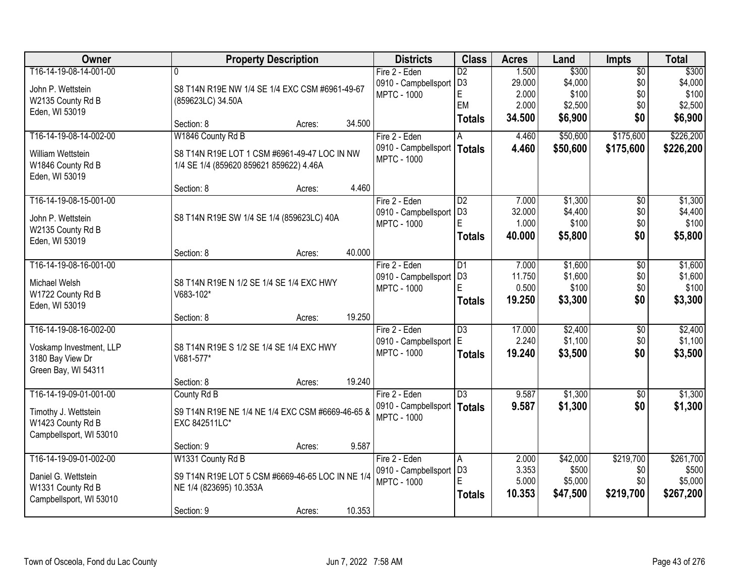| Owner                   | <b>Property Description</b>                      |                  | <b>Districts</b>              | <b>Class</b>    | <b>Acres</b> | Land     | <b>Impts</b>    | <b>Total</b> |
|-------------------------|--------------------------------------------------|------------------|-------------------------------|-----------------|--------------|----------|-----------------|--------------|
| T16-14-19-08-14-001-00  |                                                  |                  | Fire 2 - Eden                 | $\overline{D2}$ | 1.500        | \$300    | $\overline{50}$ | \$300        |
| John P. Wettstein       | S8 T14N R19E NW 1/4 SE 1/4 EXC CSM #6961-49-67   |                  | 0910 - Campbellsport          | D <sub>3</sub>  | 29.000       | \$4,000  | \$0             | \$4,000      |
| W2135 County Rd B       | (859623LC) 34.50A                                |                  | <b>MPTC - 1000</b>            | E               | 2.000        | \$100    | \$0             | \$100        |
| Eden, WI 53019          |                                                  |                  |                               | EM              | 2.000        | \$2,500  | \$0             | \$2,500      |
|                         | Section: 8                                       | 34.500<br>Acres: |                               | <b>Totals</b>   | 34.500       | \$6,900  | \$0             | \$6,900      |
| T16-14-19-08-14-002-00  | W1846 County Rd B                                |                  | Fire 2 - Eden                 |                 | 4.460        | \$50,600 | \$175,600       | \$226,200    |
| William Wettstein       | S8 T14N R19E LOT 1 CSM #6961-49-47 LOC IN NW     |                  | 0910 - Campbellsport   Totals |                 | 4.460        | \$50,600 | \$175,600       | \$226,200    |
| W1846 County Rd B       | 1/4 SE 1/4 (859620 859621 859622) 4.46A          |                  | <b>MPTC - 1000</b>            |                 |              |          |                 |              |
| Eden, WI 53019          |                                                  |                  |                               |                 |              |          |                 |              |
|                         | Section: 8                                       | 4.460<br>Acres:  |                               |                 |              |          |                 |              |
| T16-14-19-08-15-001-00  |                                                  |                  | Fire 2 - Eden                 | $\overline{D2}$ | 7.000        | \$1,300  | \$0             | \$1,300      |
| John P. Wettstein       | S8 T14N R19E SW 1/4 SE 1/4 (859623LC) 40A        |                  | 0910 - Campbellsport          | D <sub>3</sub>  | 32.000       | \$4,400  | \$0             | \$4,400      |
| W2135 County Rd B       |                                                  |                  | <b>MPTC - 1000</b>            | E               | 1.000        | \$100    | \$0             | \$100        |
| Eden, WI 53019          |                                                  |                  |                               | <b>Totals</b>   | 40.000       | \$5,800  | \$0             | \$5,800      |
|                         | Section: 8                                       | 40.000<br>Acres: |                               |                 |              |          |                 |              |
| T16-14-19-08-16-001-00  |                                                  |                  | Fire 2 - Eden                 | D1              | 7.000        | \$1,600  | $\sqrt[6]{3}$   | \$1,600      |
| Michael Welsh           | S8 T14N R19E N 1/2 SE 1/4 SE 1/4 EXC HWY         |                  | 0910 - Campbellsport          | D <sub>3</sub>  | 11.750       | \$1,600  | \$0             | \$1,600      |
| W1722 County Rd B       | V683-102*                                        |                  | <b>MPTC - 1000</b>            | E               | 0.500        | \$100    | \$0             | \$100        |
| Eden, WI 53019          |                                                  |                  |                               | <b>Totals</b>   | 19.250       | \$3,300  | \$0             | \$3,300      |
|                         | Section: 8                                       | 19.250<br>Acres: |                               |                 |              |          |                 |              |
| T16-14-19-08-16-002-00  |                                                  |                  | Fire 2 - Eden                 | $\overline{D3}$ | 17.000       | \$2,400  | $\overline{50}$ | \$2,400      |
| Voskamp Investment, LLP | S8 T14N R19E S 1/2 SE 1/4 SE 1/4 EXC HWY         |                  | 0910 - Campbellsport          | E               | 2.240        | \$1,100  | \$0             | \$1,100      |
| 3180 Bay View Dr        | V681-577*                                        |                  | <b>MPTC - 1000</b>            | <b>Totals</b>   | 19.240       | \$3,500  | \$0             | \$3,500      |
| Green Bay, WI 54311     |                                                  |                  |                               |                 |              |          |                 |              |
|                         | Section: 8                                       | 19.240<br>Acres: |                               |                 |              |          |                 |              |
| T16-14-19-09-01-001-00  | County Rd B                                      |                  | Fire 2 - Eden                 | $\overline{D3}$ | 9.587        | \$1,300  | \$0             | \$1,300      |
| Timothy J. Wettstein    | S9 T14N R19E NE 1/4 NE 1/4 EXC CSM #6669-46-65 & |                  | 0910 - Campbellsport   Totals |                 | 9.587        | \$1,300  | \$0             | \$1,300      |
| W1423 County Rd B       | EXC 842511LC*                                    |                  | <b>MPTC - 1000</b>            |                 |              |          |                 |              |
| Campbellsport, WI 53010 |                                                  |                  |                               |                 |              |          |                 |              |
|                         | Section: 9                                       | 9.587<br>Acres:  |                               |                 |              |          |                 |              |
| T16-14-19-09-01-002-00  | W1331 County Rd B                                |                  | Fire 2 - Eden                 | A               | 2.000        | \$42,000 | \$219,700       | \$261,700    |
| Daniel G. Wettstein     | S9 T14N R19E LOT 5 CSM #6669-46-65 LOC IN NE 1/4 |                  | 0910 - Campbellsport          | D <sub>3</sub>  | 3.353        | \$500    | \$0             | \$500        |
| W1331 County Rd B       | NE 1/4 (823695) 10.353A                          |                  | <b>MPTC - 1000</b>            | E               | 5.000        | \$5,000  | \$0             | \$5,000      |
| Campbellsport, WI 53010 |                                                  |                  |                               | <b>Totals</b>   | 10.353       | \$47,500 | \$219,700       | \$267,200    |
|                         | Section: 9                                       | 10.353<br>Acres: |                               |                 |              |          |                 |              |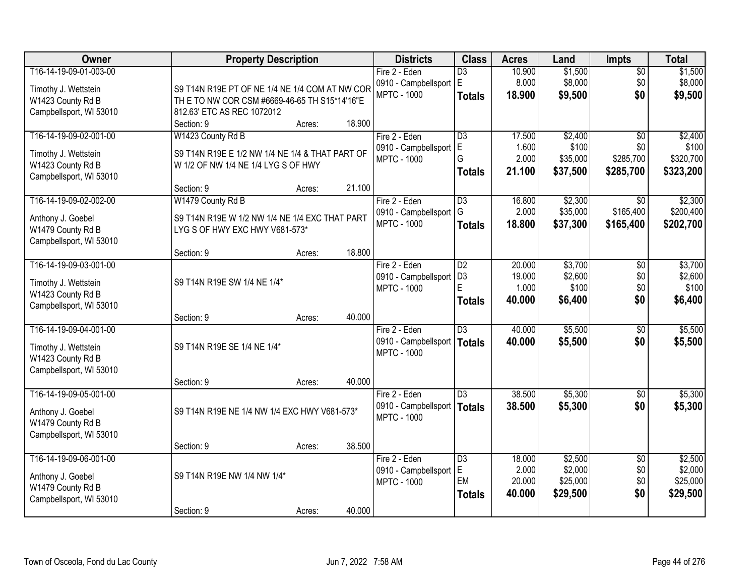| Owner                                     | <b>Property Description</b>                     |        |        | <b>Districts</b>                      | <b>Class</b>    | <b>Acres</b>    | Land               | <b>Impts</b>           | <b>Total</b>       |
|-------------------------------------------|-------------------------------------------------|--------|--------|---------------------------------------|-----------------|-----------------|--------------------|------------------------|--------------------|
| T16-14-19-09-01-003-00                    |                                                 |        |        | Fire 2 - Eden                         | $\overline{D3}$ | 10.900          | \$1,500            | $\overline{50}$        | \$1,500            |
| Timothy J. Wettstein                      | S9 T14N R19E PT OF NE 1/4 NE 1/4 COM AT NW COR  |        |        | 0910 - Campbellsport E                |                 | 8.000           | \$8,000            | \$0                    | \$8,000            |
| W1423 County Rd B                         | TH E TO NW COR CSM #6669-46-65 TH S15*14'16"E   |        |        | <b>MPTC - 1000</b>                    | <b>Totals</b>   | 18.900          | \$9,500            | \$0                    | \$9,500            |
| Campbellsport, WI 53010                   | 812.63' ETC AS REC 1072012                      |        |        |                                       |                 |                 |                    |                        |                    |
|                                           | Section: 9                                      | Acres: | 18.900 |                                       |                 |                 |                    |                        |                    |
| T16-14-19-09-02-001-00                    | W1423 County Rd B                               |        |        | Fire 2 - Eden                         | $\overline{D3}$ | 17.500          | \$2,400            | $\overline{50}$        | \$2,400            |
| Timothy J. Wettstein                      | S9 T14N R19E E 1/2 NW 1/4 NE 1/4 & THAT PART OF |        |        | 0910 - Campbellsport                  | E               | 1.600           | \$100              | \$0                    | \$100              |
| W1423 County Rd B                         | W 1/2 OF NW 1/4 NE 1/4 LYG S OF HWY             |        |        | <b>MPTC - 1000</b>                    | G               | 2.000           | \$35,000           | \$285,700              | \$320,700          |
| Campbellsport, WI 53010                   |                                                 |        |        |                                       | <b>Totals</b>   | 21.100          | \$37,500           | \$285,700              | \$323,200          |
|                                           | Section: 9                                      | Acres: | 21.100 |                                       |                 |                 |                    |                        |                    |
| T16-14-19-09-02-002-00                    | W1479 County Rd B                               |        |        | Fire 2 - Eden                         | $\overline{D3}$ | 16.800          | \$2,300            | $\overline{30}$        | \$2,300            |
| Anthony J. Goebel                         | S9 T14N R19E W 1/2 NW 1/4 NE 1/4 EXC THAT PART  |        |        | 0910 - Campbellsport                  | G               | 2.000           | \$35,000           | \$165,400              | \$200,400          |
| W1479 County Rd B                         | LYG S OF HWY EXC HWY V681-573*                  |        |        | <b>MPTC - 1000</b>                    | <b>Totals</b>   | 18,800          | \$37,300           | \$165,400              | \$202,700          |
| Campbellsport, WI 53010                   |                                                 |        |        |                                       |                 |                 |                    |                        |                    |
|                                           | Section: 9                                      | Acres: | 18.800 |                                       |                 |                 |                    |                        |                    |
| T16-14-19-09-03-001-00                    |                                                 |        |        | Fire 2 - Eden                         | D2              | 20.000          | \$3,700            | \$0                    | \$3,700            |
|                                           | S9 T14N R19E SW 1/4 NE 1/4*                     |        |        | 0910 - Campbellsport                  | D <sub>3</sub>  | 19.000          | \$2,600            | \$0                    | \$2,600            |
| Timothy J. Wettstein<br>W1423 County Rd B |                                                 |        |        | <b>MPTC - 1000</b>                    | E               | 1.000           | \$100              | \$0                    | \$100              |
| Campbellsport, WI 53010                   |                                                 |        |        |                                       | <b>Totals</b>   | 40.000          | \$6,400            | \$0                    | \$6,400            |
|                                           | Section: 9                                      | Acres: | 40.000 |                                       |                 |                 |                    |                        |                    |
| T16-14-19-09-04-001-00                    |                                                 |        |        | Fire 2 - Eden                         | $\overline{D3}$ | 40.000          | \$5,500            | $\overline{30}$        | \$5,500            |
|                                           |                                                 |        |        | 0910 - Campbellsport   Totals         |                 | 40.000          | \$5,500            | \$0                    | \$5,500            |
| Timothy J. Wettstein                      | S9 T14N R19E SE 1/4 NE 1/4*                     |        |        | <b>MPTC - 1000</b>                    |                 |                 |                    |                        |                    |
| W1423 County Rd B                         |                                                 |        |        |                                       |                 |                 |                    |                        |                    |
| Campbellsport, WI 53010                   | Section: 9                                      | Acres: | 40.000 |                                       |                 |                 |                    |                        |                    |
| T16-14-19-09-05-001-00                    |                                                 |        |        | Fire 2 - Eden                         | $\overline{D3}$ | 38.500          | \$5,300            | $\sqrt{6}$             | \$5,300            |
|                                           |                                                 |        |        | 0910 - Campbellsport   Totals         |                 | 38.500          | \$5,300            | \$0                    | \$5,300            |
| Anthony J. Goebel                         | S9 T14N R19E NE 1/4 NW 1/4 EXC HWY V681-573*    |        |        | <b>MPTC - 1000</b>                    |                 |                 |                    |                        |                    |
| W1479 County Rd B                         |                                                 |        |        |                                       |                 |                 |                    |                        |                    |
| Campbellsport, WI 53010                   |                                                 |        |        |                                       |                 |                 |                    |                        |                    |
| T16-14-19-09-06-001-00                    | Section: 9                                      | Acres: | 38.500 |                                       |                 |                 |                    |                        |                    |
|                                           |                                                 |        |        | Fire 2 - Eden<br>0910 - Campbellsport | D3<br>E.        | 18.000<br>2.000 | \$2,500<br>\$2,000 | $\overline{50}$<br>\$0 | \$2,500<br>\$2,000 |
| Anthony J. Goebel                         | S9 T14N R19E NW 1/4 NW 1/4*                     |        |        | <b>MPTC - 1000</b>                    | EM              | 20.000          | \$25,000           | \$0                    | \$25,000           |
| W1479 County Rd B                         |                                                 |        |        |                                       | <b>Totals</b>   | 40.000          | \$29,500           | \$0                    | \$29,500           |
| Campbellsport, WI 53010                   |                                                 |        |        |                                       |                 |                 |                    |                        |                    |
|                                           | Section: 9                                      | Acres: | 40.000 |                                       |                 |                 |                    |                        |                    |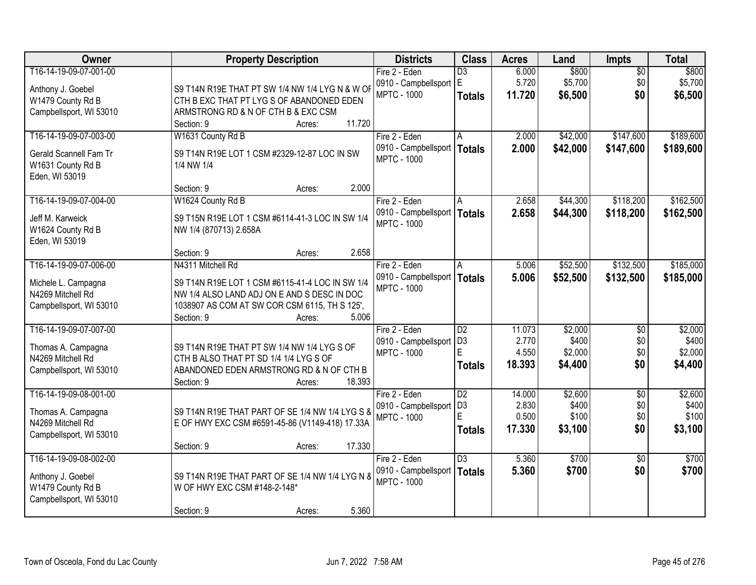| Owner                                    | <b>Property Description</b>                     | <b>Districts</b>                      | <b>Class</b>    | <b>Acres</b> | Land             | <b>Impts</b>           | <b>Total</b>     |
|------------------------------------------|-------------------------------------------------|---------------------------------------|-----------------|--------------|------------------|------------------------|------------------|
| T16-14-19-09-07-001-00                   |                                                 | Fire 2 - Eden                         | $\overline{D3}$ | 6.000        | \$800            | $\overline{50}$        | \$800            |
| Anthony J. Goebel                        | S9 T14N R19E THAT PT SW 1/4 NW 1/4 LYG N & W OF | 0910 - Campbellsport E                |                 | 5.720        | \$5,700          | \$0                    | \$5,700          |
| W1479 County Rd B                        | CTH B EXC THAT PT LYG S OF ABANDONED EDEN       | <b>MPTC - 1000</b>                    | <b>Totals</b>   | 11.720       | \$6,500          | \$0                    | \$6,500          |
| Campbellsport, WI 53010                  | ARMSTRONG RD & N OF CTH B & EXC CSM             |                                       |                 |              |                  |                        |                  |
|                                          | 11.720<br>Section: 9<br>Acres:                  |                                       |                 |              |                  |                        |                  |
| T16-14-19-09-07-003-00                   | W1631 County Rd B                               | Fire 2 - Eden                         | A               | 2.000        | \$42,000         | \$147,600              | \$189,600        |
| Gerald Scannell Fam Tr                   | S9 T14N R19E LOT 1 CSM #2329-12-87 LOC IN SW    | 0910 - Campbellsport                  | Totals          | 2.000        | \$42,000         | \$147,600              | \$189,600        |
| W1631 County Rd B                        | 1/4 NW 1/4                                      | <b>MPTC - 1000</b>                    |                 |              |                  |                        |                  |
| Eden, WI 53019                           |                                                 |                                       |                 |              |                  |                        |                  |
|                                          | 2.000<br>Section: 9<br>Acres:                   |                                       |                 |              |                  |                        |                  |
| T16-14-19-09-07-004-00                   | W1624 County Rd B                               | Fire 2 - Eden                         |                 | 2.658        | \$44,300         | \$118,200              | \$162,500        |
| Jeff M. Karweick                         | S9 T15N R19E LOT 1 CSM #6114-41-3 LOC IN SW 1/4 | 0910 - Campbellsport   Totals         |                 | 2.658        | \$44,300         | \$118,200              | \$162,500        |
| W1624 County Rd B                        | NW 1/4 (870713) 2.658A                          | <b>MPTC - 1000</b>                    |                 |              |                  |                        |                  |
| Eden, WI 53019                           |                                                 |                                       |                 |              |                  |                        |                  |
|                                          | 2.658<br>Section: 9<br>Acres:                   |                                       |                 |              |                  |                        |                  |
| T16-14-19-09-07-006-00                   | N4311 Mitchell Rd                               | Fire 2 - Eden                         | A               | 5.006        | \$52,500         | \$132,500              | \$185,000        |
|                                          | S9 T14N R19E LOT 1 CSM #6115-41-4 LOC IN SW 1/4 | 0910 - Campbellsport                  | <b>Totals</b>   | 5.006        | \$52,500         | \$132,500              | \$185,000        |
| Michele L. Campagna<br>N4269 Mitchell Rd | NW 1/4 ALSO LAND ADJ ON E AND S DESC IN DOC     | <b>MPTC - 1000</b>                    |                 |              |                  |                        |                  |
| Campbellsport, WI 53010                  | 1038907 AS COM AT SW COR CSM 6115, TH S 125',   |                                       |                 |              |                  |                        |                  |
|                                          | 5.006<br>Section: 9<br>Acres:                   |                                       |                 |              |                  |                        |                  |
| T16-14-19-09-07-007-00                   |                                                 | Fire 2 - Eden                         | $\overline{D2}$ | 11.073       | \$2,000          | \$0                    | \$2,000          |
|                                          |                                                 | 0910 - Campbellsport                  | D <sub>3</sub>  | 2.770        | \$400            | \$0                    | \$400            |
| Thomas A. Campagna                       | S9 T14N R19E THAT PT SW 1/4 NW 1/4 LYG S OF     | <b>MPTC - 1000</b>                    | F               | 4.550        | \$2,000          | \$0                    | \$2,000          |
| N4269 Mitchell Rd                        | CTH B ALSO THAT PT SD 1/4 1/4 LYG S OF          |                                       | <b>Totals</b>   | 18.393       | \$4,400          | \$0                    | \$4,400          |
| Campbellsport, WI 53010                  | ABANDONED EDEN ARMSTRONG RD & N OF CTH B        |                                       |                 |              |                  |                        |                  |
| T16-14-19-09-08-001-00                   | Section: 9<br>18.393<br>Acres:                  |                                       | $\overline{D2}$ | 14.000       |                  |                        |                  |
|                                          |                                                 | Fire 2 - Eden<br>0910 - Campbellsport | D <sub>3</sub>  | 2.830        | \$2,600<br>\$400 | $\overline{50}$<br>\$0 | \$2,600<br>\$400 |
| Thomas A. Campagna                       | S9 T14N R19E THAT PART OF SE 1/4 NW 1/4 LYG S & | <b>MPTC - 1000</b>                    | E               | 0.500        | \$100            | \$0                    | \$100            |
| N4269 Mitchell Rd                        | E OF HWY EXC CSM #6591-45-86 (V1149-418) 17.33A |                                       | <b>Totals</b>   | 17.330       | \$3,100          | \$0                    | \$3,100          |
| Campbellsport, WI 53010                  |                                                 |                                       |                 |              |                  |                        |                  |
|                                          | 17.330<br>Section: 9<br>Acres:                  |                                       |                 |              |                  |                        |                  |
| T16-14-19-09-08-002-00                   |                                                 | Fire 2 - Eden                         | $\overline{D3}$ | 5.360        | \$700            | $\overline{50}$        | \$700            |
| Anthony J. Goebel                        | S9 T14N R19E THAT PART OF SE 1/4 NW 1/4 LYG N 8 | 0910 - Campbellsport                  | <b>Totals</b>   | 5.360        | \$700            | \$0                    | \$700            |
| W1479 County Rd B                        | W OF HWY EXC CSM #148-2-148*                    | <b>MPTC - 1000</b>                    |                 |              |                  |                        |                  |
| Campbellsport, WI 53010                  |                                                 |                                       |                 |              |                  |                        |                  |
|                                          | 5.360<br>Section: 9<br>Acres:                   |                                       |                 |              |                  |                        |                  |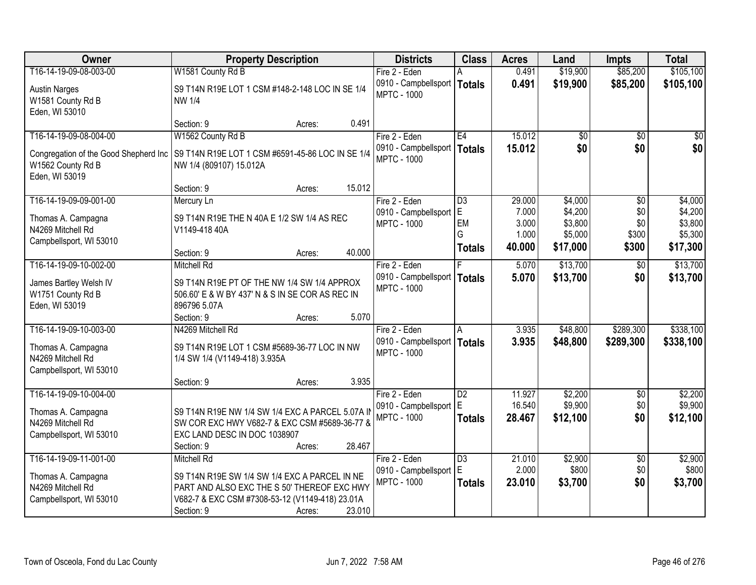| Owner                                                                                        | <b>Property Description</b>                                                                                                                                                       | <b>Districts</b>                                                     | <b>Class</b>                     | <b>Acres</b>               | Land                           | <b>Impts</b>                  | <b>Total</b>                   |
|----------------------------------------------------------------------------------------------|-----------------------------------------------------------------------------------------------------------------------------------------------------------------------------------|----------------------------------------------------------------------|----------------------------------|----------------------------|--------------------------------|-------------------------------|--------------------------------|
| T16-14-19-09-08-003-00                                                                       | W1581 County Rd B                                                                                                                                                                 | Fire 2 - Eden                                                        |                                  | 0.491                      | \$19,900                       | \$85,200                      | \$105,100                      |
| <b>Austin Narges</b><br>W1581 County Rd B<br>Eden, WI 53010                                  | S9 T14N R19E LOT 1 CSM #148-2-148 LOC IN SE 1/4<br><b>NW 1/4</b>                                                                                                                  | 0910 - Campbellsport<br><b>MPTC - 1000</b>                           | <b>Totals</b>                    | 0.491                      | \$19,900                       | \$85,200                      | \$105,100                      |
|                                                                                              | 0.491<br>Section: 9<br>Acres:                                                                                                                                                     |                                                                      |                                  |                            |                                |                               |                                |
| T16-14-19-09-08-004-00                                                                       | W1562 County Rd B                                                                                                                                                                 | Fire 2 - Eden                                                        | E4                               | 15.012                     | \$0                            | $\overline{50}$               | \$0                            |
| Congregation of the Good Shepherd Inc<br>W1562 County Rd B<br>Eden, WI 53019                 | S9 T14N R19E LOT 1 CSM #6591-45-86 LOC IN SE 1/4<br>NW 1/4 (809107) 15.012A                                                                                                       | 0910 - Campbellsport   Totals<br><b>MPTC - 1000</b>                  |                                  | 15.012                     | \$0                            | \$0                           | \$0                            |
|                                                                                              | 15.012<br>Section: 9<br>Acres:                                                                                                                                                    |                                                                      |                                  |                            |                                |                               |                                |
| T16-14-19-09-09-001-00                                                                       | Mercury Ln                                                                                                                                                                        | Fire 2 - Eden                                                        | $\overline{D3}$                  | 29.000                     | \$4,000                        | \$0                           | \$4,000                        |
| Thomas A. Campagna<br>N4269 Mitchell Rd<br>Campbellsport, WI 53010                           | S9 T14N R19E THE N 40A E 1/2 SW 1/4 AS REC<br>V1149-418 40A                                                                                                                       | 0910 - Campbellsport E<br><b>MPTC - 1000</b>                         | EM<br>G                          | 7.000<br>3.000<br>1.000    | \$4,200<br>\$3,800<br>\$5,000  | \$0<br>\$0<br>\$300           | \$4,200<br>\$3,800<br>\$5,300  |
|                                                                                              | 40.000<br>Section: 9<br>Acres:                                                                                                                                                    |                                                                      | <b>Totals</b>                    | 40.000                     | \$17,000                       | \$300                         | \$17,300                       |
| T16-14-19-09-10-002-00                                                                       | <b>Mitchell Rd</b>                                                                                                                                                                | Fire 2 - Eden                                                        |                                  | 5.070                      | \$13,700                       | \$0                           | \$13,700                       |
| James Bartley Welsh IV<br>W1751 County Rd B<br>Eden, WI 53019                                | S9 T14N R19E PT OF THE NW 1/4 SW 1/4 APPROX<br>506.60' E & W BY 437' N & S IN SE COR AS REC IN<br>896796 5.07A                                                                    | 0910 - Campbellsport<br><b>MPTC - 1000</b>                           | <b>Totals</b>                    | 5.070                      | \$13,700                       | \$0                           | \$13,700                       |
|                                                                                              | 5.070<br>Section: 9<br>Acres:                                                                                                                                                     |                                                                      |                                  |                            |                                |                               |                                |
| T16-14-19-09-10-003-00<br>Thomas A. Campagna<br>N4269 Mitchell Rd<br>Campbellsport, WI 53010 | N4269 Mitchell Rd<br>S9 T14N R19E LOT 1 CSM #5689-36-77 LOC IN NW<br>1/4 SW 1/4 (V1149-418) 3.935A                                                                                | Fire 2 - Eden<br>0910 - Campbellsport   Totals<br><b>MPTC - 1000</b> | Α                                | 3.935<br>3.935             | \$48,800<br>\$48,800           | \$289,300<br>\$289,300        | \$338,100<br>\$338,100         |
|                                                                                              | 3.935<br>Section: 9<br>Acres:                                                                                                                                                     |                                                                      |                                  |                            |                                |                               |                                |
| T16-14-19-09-10-004-00<br>Thomas A. Campagna<br>N4269 Mitchell Rd<br>Campbellsport, WI 53010 | S9 T14N R19E NW 1/4 SW 1/4 EXC A PARCEL 5.07A II<br>SW COR EXC HWY V682-7 & EXC CSM #5689-36-77 &<br>EXC LAND DESC IN DOC 1038907<br>28.467<br>Section: 9<br>Acres:               | Fire 2 - Eden<br>0910 - Campbellsport E<br><b>MPTC - 1000</b>        | $\overline{D2}$<br><b>Totals</b> | 11.927<br>16.540<br>28.467 | \$2,200<br>\$9,900<br>\$12,100 | $\overline{60}$<br>\$0<br>\$0 | \$2,200<br>\$9,900<br>\$12,100 |
| T16-14-19-09-11-001-00                                                                       | Mitchell Rd                                                                                                                                                                       | Fire 2 - Eden                                                        | $\overline{D3}$                  | 21.010                     | \$2,900                        | $\overline{30}$               | \$2,900                        |
| Thomas A. Campagna<br>N4269 Mitchell Rd<br>Campbellsport, WI 53010                           | S9 T14N R19E SW 1/4 SW 1/4 EXC A PARCEL IN NE<br>PART AND ALSO EXC THE S 50' THEREOF EXC HWY<br>V682-7 & EXC CSM #7308-53-12 (V1149-418) 23.01A<br>23.010<br>Section: 9<br>Acres: | 0910 - Campbellsport E<br><b>MPTC - 1000</b>                         | <b>Totals</b>                    | 2.000<br>23.010            | \$800<br>\$3,700               | \$0<br>\$0                    | \$800<br>\$3,700               |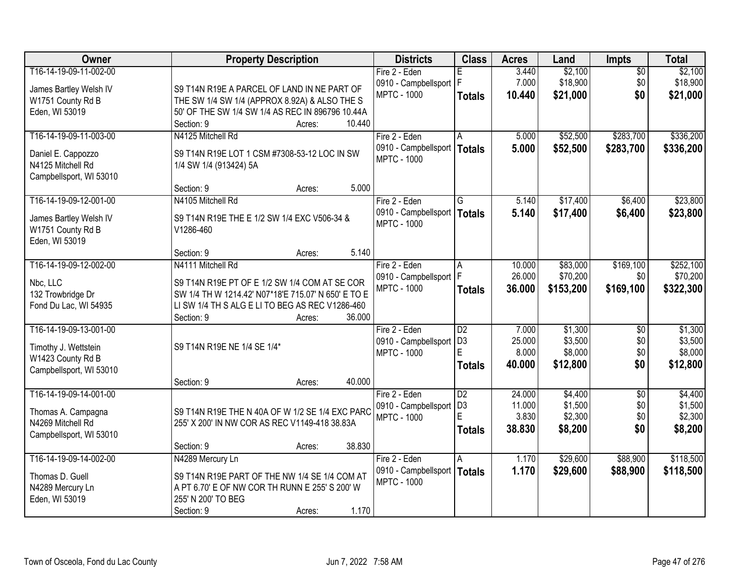| Owner                   | <b>Property Description</b>                         |        | <b>Districts</b>              | <b>Class</b>    | <b>Acres</b> | Land      | <b>Impts</b>    | <b>Total</b> |
|-------------------------|-----------------------------------------------------|--------|-------------------------------|-----------------|--------------|-----------|-----------------|--------------|
| T16-14-19-09-11-002-00  |                                                     |        | Fire 2 - Eden                 | E               | 3.440        | \$2,100   | $\overline{50}$ | \$2,100      |
| James Bartley Welsh IV  | S9 T14N R19E A PARCEL OF LAND IN NE PART OF         |        | 0910 - Campbellsport   F      |                 | 7.000        | \$18,900  | \$0             | \$18,900     |
| W1751 County Rd B       | THE SW 1/4 SW 1/4 (APPROX 8.92A) & ALSO THE S       |        | <b>MPTC - 1000</b>            | <b>Totals</b>   | 10.440       | \$21,000  | \$0             | \$21,000     |
| Eden, WI 53019          | 50' OF THE SW 1/4 SW 1/4 AS REC IN 896796 10.44A    |        |                               |                 |              |           |                 |              |
|                         | Section: 9<br>Acres:                                | 10.440 |                               |                 |              |           |                 |              |
| T16-14-19-09-11-003-00  | N4125 Mitchell Rd                                   |        | Fire 2 - Eden                 | A               | 5.000        | \$52,500  | \$283,700       | \$336,200    |
| Daniel E. Cappozzo      | S9 T14N R19E LOT 1 CSM #7308-53-12 LOC IN SW        |        | 0910 - Campbellsport   Totals |                 | 5.000        | \$52,500  | \$283,700       | \$336,200    |
| N4125 Mitchell Rd       | 1/4 SW 1/4 (913424) 5A                              |        | <b>MPTC - 1000</b>            |                 |              |           |                 |              |
| Campbellsport, WI 53010 |                                                     |        |                               |                 |              |           |                 |              |
|                         | Section: 9<br>Acres:                                | 5.000  |                               |                 |              |           |                 |              |
| T16-14-19-09-12-001-00  | N4105 Mitchell Rd                                   |        | Fire 2 - Eden                 | G               | 5.140        | \$17,400  | \$6,400         | \$23,800     |
| James Bartley Welsh IV  | S9 T14N R19E THE E 1/2 SW 1/4 EXC V506-34 &         |        | 0910 - Campbellsport   Totals |                 | 5.140        | \$17,400  | \$6,400         | \$23,800     |
| W1751 County Rd B       | V1286-460                                           |        | <b>MPTC - 1000</b>            |                 |              |           |                 |              |
| Eden, WI 53019          |                                                     |        |                               |                 |              |           |                 |              |
|                         | Section: 9<br>Acres:                                | 5.140  |                               |                 |              |           |                 |              |
| T16-14-19-09-12-002-00  | N4111 Mitchell Rd                                   |        | Fire 2 - Eden                 | A               | 10.000       | \$83,000  | \$169,100       | \$252,100    |
| Nbc, LLC                | S9 T14N R19E PT OF E 1/2 SW 1/4 COM AT SE COR       |        | 0910 - Campbellsport   F      |                 | 26.000       | \$70,200  | \$0             | \$70,200     |
| 132 Trowbridge Dr       | SW 1/4 TH W 1214.42' N07*18'E 715.07' N 650' E TO E |        | <b>MPTC - 1000</b>            | <b>Totals</b>   | 36.000       | \$153,200 | \$169,100       | \$322,300    |
| Fond Du Lac, WI 54935   | LI SW 1/4 TH S ALG E LI TO BEG AS REC V1286-460     |        |                               |                 |              |           |                 |              |
|                         | Section: 9<br>Acres:                                | 36.000 |                               |                 |              |           |                 |              |
| T16-14-19-09-13-001-00  |                                                     |        | Fire 2 - Eden                 | $\overline{D2}$ | 7.000        | \$1,300   | $\overline{50}$ | \$1,300      |
| Timothy J. Wettstein    | S9 T14N R19E NE 1/4 SE 1/4*                         |        | 0910 - Campbellsport          | D <sub>3</sub>  | 25.000       | \$3,500   | \$0             | \$3,500      |
| W1423 County Rd B       |                                                     |        | <b>MPTC - 1000</b>            | E               | 8.000        | \$8,000   | \$0             | \$8,000      |
| Campbellsport, WI 53010 |                                                     |        |                               | <b>Totals</b>   | 40.000       | \$12,800  | \$0             | \$12,800     |
|                         | Section: 9<br>Acres:                                | 40.000 |                               |                 |              |           |                 |              |
| T16-14-19-09-14-001-00  |                                                     |        | Fire 2 - Eden                 | $\overline{D2}$ | 24,000       | \$4,400   | $\overline{50}$ | \$4,400      |
| Thomas A. Campagna      | S9 T14N R19E THE N 40A OF W 1/2 SE 1/4 EXC PARC     |        | 0910 - Campbellsport          | D <sub>3</sub>  | 11.000       | \$1,500   | \$0             | \$1,500      |
| N4269 Mitchell Rd       | 255' X 200' IN NW COR AS REC V1149-418 38.83A       |        | <b>MPTC - 1000</b>            | E               | 3.830        | \$2,300   | \$0             | \$2,300      |
| Campbellsport, WI 53010 |                                                     |        |                               | <b>Totals</b>   | 38,830       | \$8,200   | \$0             | \$8,200      |
|                         | Section: 9<br>Acres:                                | 38.830 |                               |                 |              |           |                 |              |
| T16-14-19-09-14-002-00  | N4289 Mercury Ln                                    |        | Fire 2 - Eden                 | A               | 1.170        | \$29,600  | \$88,900        | \$118,500    |
| Thomas D. Guell         | S9 T14N R19E PART OF THE NW 1/4 SE 1/4 COM AT       |        | 0910 - Campbellsport   Totals |                 | 1.170        | \$29,600  | \$88,900        | \$118,500    |
| N4289 Mercury Ln        | A PT 6.70' E OF NW COR TH RUNN E 255' S 200' W      |        | <b>MPTC - 1000</b>            |                 |              |           |                 |              |
| Eden, WI 53019          | 255' N 200' TO BEG                                  |        |                               |                 |              |           |                 |              |
|                         | Section: 9<br>Acres:                                | 1.170  |                               |                 |              |           |                 |              |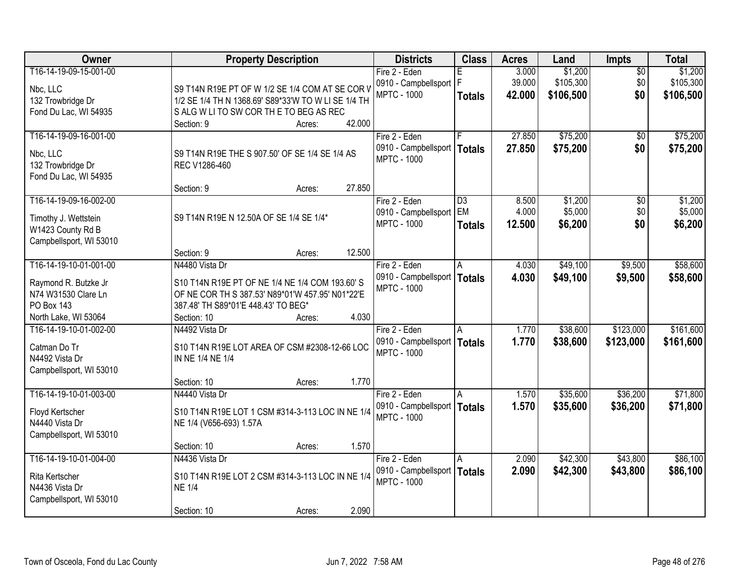| Owner                                     | <b>Property Description</b>                         | <b>Districts</b>                                    | <b>Class</b>    | <b>Acres</b> | Land      | <b>Impts</b>    | <b>Total</b> |
|-------------------------------------------|-----------------------------------------------------|-----------------------------------------------------|-----------------|--------------|-----------|-----------------|--------------|
| T16-14-19-09-15-001-00                    |                                                     | Fire 2 - Eden                                       |                 | 3.000        | \$1,200   | $\overline{30}$ | \$1,200      |
| Nbc, LLC                                  | S9 T14N R19E PT OF W 1/2 SE 1/4 COM AT SE COR V     | 0910 - Campbellsport   F                            |                 | 39.000       | \$105,300 | \$0             | \$105,300    |
| 132 Trowbridge Dr                         | 1/2 SE 1/4 TH N 1368.69' S89*33'W TO W LI SE 1/4 TH | <b>MPTC - 1000</b>                                  | <b>Totals</b>   | 42.000       | \$106,500 | \$0             | \$106,500    |
| Fond Du Lac, WI 54935                     | SALG WLITO SW COR THE TO BEG AS REC                 |                                                     |                 |              |           |                 |              |
|                                           | 42.000<br>Section: 9<br>Acres:                      |                                                     |                 |              |           |                 |              |
| T16-14-19-09-16-001-00                    |                                                     | Fire 2 - Eden                                       | F               | 27.850       | \$75,200  | \$0             | \$75,200     |
| Nbc, LLC                                  | S9 T14N R19E THE S 907.50' OF SE 1/4 SE 1/4 AS      | 0910 - Campbellsport                                | <b>Totals</b>   | 27.850       | \$75,200  | \$0             | \$75,200     |
| 132 Trowbridge Dr                         | REC V1286-460                                       | <b>MPTC - 1000</b>                                  |                 |              |           |                 |              |
| Fond Du Lac, WI 54935                     |                                                     |                                                     |                 |              |           |                 |              |
|                                           | 27.850<br>Section: 9<br>Acres:                      |                                                     |                 |              |           |                 |              |
| T16-14-19-09-16-002-00                    |                                                     | Fire 2 - Eden                                       | $\overline{D3}$ | 8.500        | \$1,200   | \$0             | \$1,200      |
|                                           | S9 T14N R19E N 12.50A OF SE 1/4 SE 1/4*             | 0910 - Campbellsport   EM                           |                 | 4.000        | \$5,000   | \$0             | \$5,000      |
| Timothy J. Wettstein<br>W1423 County Rd B |                                                     | <b>MPTC - 1000</b>                                  | <b>Totals</b>   | 12.500       | \$6,200   | \$0             | \$6,200      |
| Campbellsport, WI 53010                   |                                                     |                                                     |                 |              |           |                 |              |
|                                           | 12.500<br>Section: 9<br>Acres:                      |                                                     |                 |              |           |                 |              |
| T16-14-19-10-01-001-00                    | N4480 Vista Dr                                      | Fire 2 - Eden                                       | A               | 4.030        | \$49,100  | \$9,500         | \$58,600     |
|                                           |                                                     | 0910 - Campbellsport                                | Totals          | 4.030        | \$49,100  | \$9,500         | \$58,600     |
| Raymond R. Butzke Jr                      | S10 T14N R19E PT OF NE 1/4 NE 1/4 COM 193.60' S     | <b>MPTC - 1000</b>                                  |                 |              |           |                 |              |
| N74 W31530 Clare Ln                       | OF NE COR TH S 387.53' N89*01'W 457.95' N01*22'E    |                                                     |                 |              |           |                 |              |
| PO Box 143                                | 387.48' TH S89*01'E 448.43' TO BEG*<br>4.030        |                                                     |                 |              |           |                 |              |
| North Lake, WI 53064                      | Section: 10<br>Acres:                               |                                                     |                 |              |           |                 |              |
| T16-14-19-10-01-002-00                    | N4492 Vista Dr                                      | Fire 2 - Eden                                       | A               | 1.770        | \$38,600  | \$123,000       | \$161,600    |
| Catman Do Tr                              | S10 T14N R19E LOT AREA OF CSM #2308-12-66 LOC       | 0910 - Campbellsport   Totals<br><b>MPTC - 1000</b> |                 | 1.770        | \$38,600  | \$123,000       | \$161,600    |
| N4492 Vista Dr                            | IN NE 1/4 NE 1/4                                    |                                                     |                 |              |           |                 |              |
| Campbellsport, WI 53010                   |                                                     |                                                     |                 |              |           |                 |              |
|                                           | 1.770<br>Section: 10<br>Acres:                      |                                                     |                 |              |           |                 |              |
| T16-14-19-10-01-003-00                    | N4440 Vista Dr                                      | Fire 2 - Eden                                       | A               | 1.570        | \$35,600  | \$36,200        | \$71,800     |
| Floyd Kertscher                           | S10 T14N R19E LOT 1 CSM #314-3-113 LOC IN NE 1/4    | 0910 - Campbellsport   Totals                       |                 | 1.570        | \$35,600  | \$36,200        | \$71,800     |
| N4440 Vista Dr                            | NE 1/4 (V656-693) 1.57A                             | <b>MPTC - 1000</b>                                  |                 |              |           |                 |              |
| Campbellsport, WI 53010                   |                                                     |                                                     |                 |              |           |                 |              |
|                                           | 1.570<br>Section: 10<br>Acres:                      |                                                     |                 |              |           |                 |              |
| T16-14-19-10-01-004-00                    | N4436 Vista Dr                                      | Fire 2 - Eden                                       | A               | 2.090        | \$42,300  | \$43,800        | \$86,100     |
| Rita Kertscher                            | S10 T14N R19E LOT 2 CSM #314-3-113 LOC IN NE 1/4    | 0910 - Campbellsport   Totals                       |                 | 2.090        | \$42,300  | \$43,800        | \$86,100     |
| N4436 Vista Dr                            | <b>NE 1/4</b>                                       | <b>MPTC - 1000</b>                                  |                 |              |           |                 |              |
| Campbellsport, WI 53010                   |                                                     |                                                     |                 |              |           |                 |              |
|                                           | 2.090<br>Section: 10<br>Acres:                      |                                                     |                 |              |           |                 |              |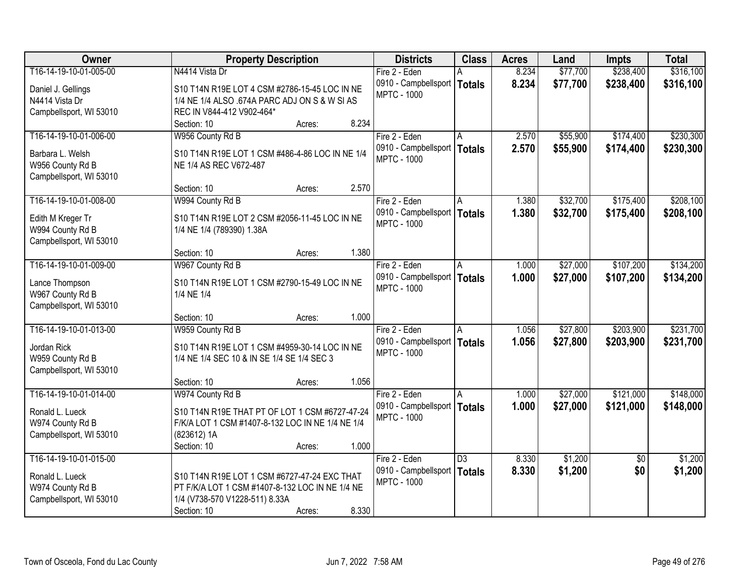| Owner                   | <b>Property Description</b>                      | <b>Districts</b>     | <b>Class</b>    | <b>Acres</b> | Land     | <b>Impts</b>    | <b>Total</b> |
|-------------------------|--------------------------------------------------|----------------------|-----------------|--------------|----------|-----------------|--------------|
| T16-14-19-10-01-005-00  | N4414 Vista Dr                                   | Fire 2 - Eden        |                 | 8.234        | \$77,700 | \$238,400       | \$316,100    |
| Daniel J. Gellings      | S10 T14N R19E LOT 4 CSM #2786-15-45 LOC IN NE    | 0910 - Campbellsport | <b>Totals</b>   | 8.234        | \$77,700 | \$238,400       | \$316,100    |
| N4414 Vista Dr          | 1/4 NE 1/4 ALSO .674A PARC ADJ ON S & W SI AS    | <b>MPTC - 1000</b>   |                 |              |          |                 |              |
| Campbellsport, WI 53010 | REC IN V844-412 V902-464*                        |                      |                 |              |          |                 |              |
|                         | 8.234<br>Section: 10<br>Acres:                   |                      |                 |              |          |                 |              |
| T16-14-19-10-01-006-00  | W956 County Rd B                                 | Fire 2 - Eden        |                 | 2.570        | \$55,900 | \$174,400       | \$230,300    |
| Barbara L. Welsh        | S10 T14N R19E LOT 1 CSM #486-4-86 LOC IN NE 1/4  | 0910 - Campbellsport | <b>Totals</b>   | 2.570        | \$55,900 | \$174,400       | \$230,300    |
| W956 County Rd B        | NE 1/4 AS REC V672-487                           | <b>MPTC - 1000</b>   |                 |              |          |                 |              |
| Campbellsport, WI 53010 |                                                  |                      |                 |              |          |                 |              |
|                         | 2.570<br>Section: 10<br>Acres:                   |                      |                 |              |          |                 |              |
| T16-14-19-10-01-008-00  | W994 County Rd B                                 | Fire 2 - Eden        | A               | 1.380        | \$32,700 | \$175,400       | \$208,100    |
| Edith M Kreger Tr       | S10 T14N R19E LOT 2 CSM #2056-11-45 LOC IN NE    | 0910 - Campbellsport | <b>Totals</b>   | 1.380        | \$32,700 | \$175,400       | \$208,100    |
| W994 County Rd B        | 1/4 NE 1/4 (789390) 1.38A                        | <b>MPTC - 1000</b>   |                 |              |          |                 |              |
| Campbellsport, WI 53010 |                                                  |                      |                 |              |          |                 |              |
|                         | 1.380<br>Section: 10<br>Acres:                   |                      |                 |              |          |                 |              |
| T16-14-19-10-01-009-00  | W967 County Rd B                                 | Fire 2 - Eden        | A               | 1.000        | \$27,000 | \$107,200       | \$134,200    |
| Lance Thompson          | S10 T14N R19E LOT 1 CSM #2790-15-49 LOC IN NE    | 0910 - Campbellsport | <b>Totals</b>   | 1.000        | \$27,000 | \$107,200       | \$134,200    |
| W967 County Rd B        | 1/4 NE 1/4                                       | <b>MPTC - 1000</b>   |                 |              |          |                 |              |
| Campbellsport, WI 53010 |                                                  |                      |                 |              |          |                 |              |
|                         | 1.000<br>Section: 10<br>Acres:                   |                      |                 |              |          |                 |              |
| T16-14-19-10-01-013-00  | W959 County Rd B                                 | Fire 2 - Eden        | A               | 1.056        | \$27,800 | \$203,900       | \$231,700    |
| Jordan Rick             | S10 T14N R19E LOT 1 CSM #4959-30-14 LOC IN NE    | 0910 - Campbellsport | <b>Totals</b>   | 1.056        | \$27,800 | \$203,900       | \$231,700    |
| W959 County Rd B        | 1/4 NE 1/4 SEC 10 & IN SE 1/4 SE 1/4 SEC 3       | <b>MPTC - 1000</b>   |                 |              |          |                 |              |
| Campbellsport, WI 53010 |                                                  |                      |                 |              |          |                 |              |
|                         | 1.056<br>Section: 10<br>Acres:                   |                      |                 |              |          |                 |              |
| T16-14-19-10-01-014-00  | W974 County Rd B                                 | Fire 2 - Eden        | A               | 1.000        | \$27,000 | \$121,000       | \$148,000    |
| Ronald L. Lueck         | S10 T14N R19E THAT PT OF LOT 1 CSM #6727-47-24   | 0910 - Campbellsport | <b>Totals</b>   | 1.000        | \$27,000 | \$121,000       | \$148,000    |
| W974 County Rd B        | F/K/A LOT 1 CSM #1407-8-132 LOC IN NE 1/4 NE 1/4 | <b>MPTC - 1000</b>   |                 |              |          |                 |              |
| Campbellsport, WI 53010 | (823612) 1A                                      |                      |                 |              |          |                 |              |
|                         | 1.000<br>Section: 10<br>Acres:                   |                      |                 |              |          |                 |              |
| T16-14-19-10-01-015-00  |                                                  | Fire 2 - Eden        | $\overline{D3}$ | 8.330        | \$1,200  | $\overline{50}$ | \$1,200      |
| Ronald L. Lueck         | S10 T14N R19E LOT 1 CSM #6727-47-24 EXC THAT     | 0910 - Campbellsport | <b>Totals</b>   | 8.330        | \$1,200  | \$0             | \$1,200      |
| W974 County Rd B        | PT F/K/A LOT 1 CSM #1407-8-132 LOC IN NE 1/4 NE  | <b>MPTC - 1000</b>   |                 |              |          |                 |              |
| Campbellsport, WI 53010 | 1/4 (V738-570 V1228-511) 8.33A                   |                      |                 |              |          |                 |              |
|                         | 8.330<br>Section: 10<br>Acres:                   |                      |                 |              |          |                 |              |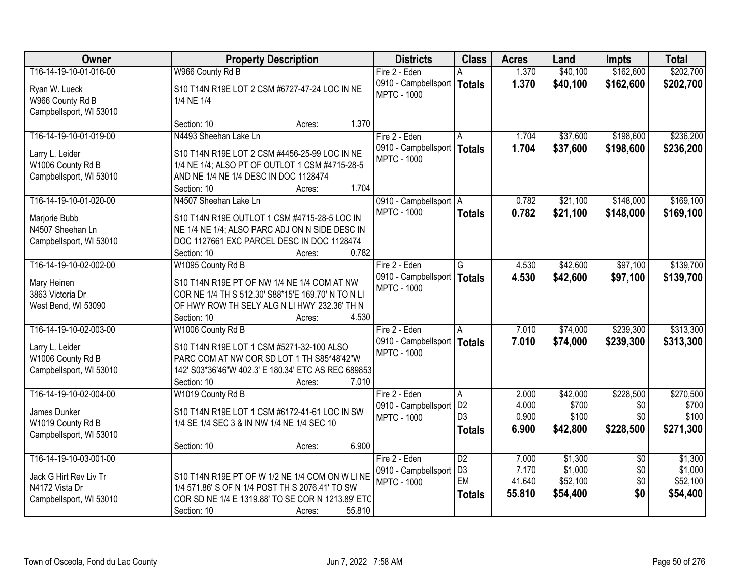| Owner                   | <b>Property Description</b>                         | <b>Districts</b>         | <b>Class</b>    | <b>Acres</b> | Land     | <b>Impts</b>    | <b>Total</b> |
|-------------------------|-----------------------------------------------------|--------------------------|-----------------|--------------|----------|-----------------|--------------|
| T16-14-19-10-01-016-00  | W966 County Rd B                                    | Fire 2 - Eden            |                 | 1.370        | \$40,100 | \$162,600       | \$202,700    |
| Ryan W. Lueck           | S10 T14N R19E LOT 2 CSM #6727-47-24 LOC IN NE       | 0910 - Campbellsport     | <b>Totals</b>   | 1.370        | \$40,100 | \$162,600       | \$202,700    |
| W966 County Rd B        | 1/4 NE 1/4                                          | <b>MPTC - 1000</b>       |                 |              |          |                 |              |
| Campbellsport, WI 53010 |                                                     |                          |                 |              |          |                 |              |
|                         | 1.370<br>Section: 10<br>Acres:                      |                          |                 |              |          |                 |              |
| T16-14-19-10-01-019-00  | N4493 Sheehan Lake Ln                               | Fire 2 - Eden            | A               | 1.704        | \$37,600 | \$198,600       | \$236,200    |
| Larry L. Leider         | S10 T14N R19E LOT 2 CSM #4456-25-99 LOC IN NE       | 0910 - Campbellsport     | <b>Totals</b>   | 1.704        | \$37,600 | \$198,600       | \$236,200    |
| W1006 County Rd B       | 1/4 NE 1/4; ALSO PT OF OUTLOT 1 CSM #4715-28-5      | <b>MPTC - 1000</b>       |                 |              |          |                 |              |
| Campbellsport, WI 53010 | AND NE 1/4 NE 1/4 DESC IN DOC 1128474               |                          |                 |              |          |                 |              |
|                         | 1.704<br>Section: 10<br>Acres:                      |                          |                 |              |          |                 |              |
| T16-14-19-10-01-020-00  | N4507 Sheehan Lake Ln                               | 0910 - Campbellsport   A |                 | 0.782        | \$21,100 | \$148,000       | \$169,100    |
| Marjorie Bubb           | S10 T14N R19E OUTLOT 1 CSM #4715-28-5 LOC IN        | <b>MPTC - 1000</b>       | <b>Totals</b>   | 0.782        | \$21,100 | \$148,000       | \$169,100    |
| N4507 Sheehan Ln        | NE 1/4 NE 1/4; ALSO PARC ADJ ON N SIDE DESC IN      |                          |                 |              |          |                 |              |
| Campbellsport, WI 53010 | DOC 1127661 EXC PARCEL DESC IN DOC 1128474          |                          |                 |              |          |                 |              |
|                         | 0.782<br>Section: 10<br>Acres:                      |                          |                 |              |          |                 |              |
| T16-14-19-10-02-002-00  | W1095 County Rd B                                   | Fire 2 - Eden            | G               | 4.530        | \$42,600 | \$97,100        | \$139,700    |
| Mary Heinen             | S10 T14N R19E PT OF NW 1/4 NE 1/4 COM AT NW         | 0910 - Campbellsport     | <b>Totals</b>   | 4.530        | \$42,600 | \$97,100        | \$139,700    |
| 3863 Victoria Dr        | COR NE 1/4 TH S 512.30' S88*15'E 169.70' N TO N LI  | <b>MPTC - 1000</b>       |                 |              |          |                 |              |
| West Bend, WI 53090     | OF HWY ROW TH SELY ALG N LI HWY 232.36' TH N        |                          |                 |              |          |                 |              |
|                         | 4.530<br>Section: 10<br>Acres:                      |                          |                 |              |          |                 |              |
| T16-14-19-10-02-003-00  | W1006 County Rd B                                   | Fire 2 - Eden            | A               | 7.010        | \$74,000 | \$239,300       | \$313,300    |
| Larry L. Leider         | S10 T14N R19E LOT 1 CSM #5271-32-100 ALSO           | 0910 - Campbellsport     | <b>Totals</b>   | 7.010        | \$74,000 | \$239,300       | \$313,300    |
| W1006 County Rd B       | PARC COM AT NW COR SD LOT 1 TH S85*48'42"W          | <b>MPTC - 1000</b>       |                 |              |          |                 |              |
| Campbellsport, WI 53010 | 142' S03*36'46"W 402.3' E 180.34' ETC AS REC 689853 |                          |                 |              |          |                 |              |
|                         | 7.010<br>Section: 10<br>Acres:                      |                          |                 |              |          |                 |              |
| T16-14-19-10-02-004-00  | W1019 County Rd B                                   | Fire 2 - Eden            | A               | 2.000        | \$42,000 | \$228,500       | \$270,500    |
| James Dunker            | S10 T14N R19E LOT 1 CSM #6172-41-61 LOC IN SW       | 0910 - Campbellsport     | D <sub>2</sub>  | 4.000        | \$700    | \$0             | \$700        |
| W1019 County Rd B       | 1/4 SE 1/4 SEC 3 & IN NW 1/4 NE 1/4 SEC 10          | <b>MPTC - 1000</b>       | D <sub>3</sub>  | 0.900        | \$100    | \$0             | \$100        |
| Campbellsport, WI 53010 |                                                     |                          | <b>Totals</b>   | 6.900        | \$42,800 | \$228,500       | \$271,300    |
|                         | 6.900<br>Section: 10<br>Acres:                      |                          |                 |              |          |                 |              |
| T16-14-19-10-03-001-00  |                                                     | Fire 2 - Eden            | $\overline{D2}$ | 7.000        | \$1,300  | $\overline{50}$ | \$1,300      |
| Jack G Hirt Rev Liv Tr  | S10 T14N R19E PT OF W 1/2 NE 1/4 COM ON W LINE      | 0910 - Campbellsport     | D <sub>3</sub>  | 7.170        | \$1,000  | \$0             | \$1,000      |
| N4172 Vista Dr          | 1/4 571.86' S OF N 1/4 POST TH S 2076.41' TO SW     | <b>MPTC - 1000</b>       | EM              | 41.640       | \$52,100 | \$0             | \$52,100     |
| Campbellsport, WI 53010 | COR SD NE 1/4 E 1319.88' TO SE COR N 1213.89' ETC   |                          | <b>Totals</b>   | 55.810       | \$54,400 | \$0             | \$54,400     |
|                         | 55.810<br>Section: 10<br>Acres:                     |                          |                 |              |          |                 |              |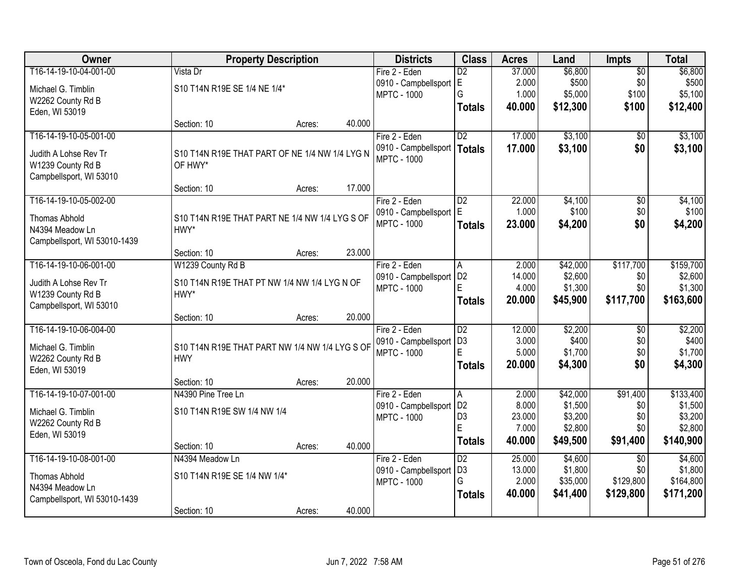| Owner                        |                                                | <b>Property Description</b> |        | <b>Districts</b>          | <b>Class</b>        | <b>Acres</b>    | Land               | <b>Impts</b>    | <b>Total</b>       |
|------------------------------|------------------------------------------------|-----------------------------|--------|---------------------------|---------------------|-----------------|--------------------|-----------------|--------------------|
| T16-14-19-10-04-001-00       | Vista Dr                                       |                             |        | Fire 2 - Eden             | $\overline{D2}$     | 37.000          | \$6,800            | $\overline{50}$ | \$6,800            |
| Michael G. Timblin           | S10 T14N R19E SE 1/4 NE 1/4*                   |                             |        | 0910 - Campbellsport E    |                     | 2.000           | \$500              | \$0             | \$500              |
| W2262 County Rd B            |                                                |                             |        | <b>MPTC - 1000</b>        | G                   | 1.000           | \$5,000            | \$100           | \$5,100            |
| Eden, WI 53019               |                                                |                             |        |                           | <b>Totals</b>       | 40.000          | \$12,300           | \$100           | \$12,400           |
|                              | Section: 10                                    | Acres:                      | 40.000 |                           |                     |                 |                    |                 |                    |
| T16-14-19-10-05-001-00       |                                                |                             |        | Fire 2 - Eden             | $\overline{D2}$     | 17.000          | \$3,100            | $\overline{50}$ | \$3,100            |
| Judith A Lohse Rev Tr        | S10 T14N R19E THAT PART OF NE 1/4 NW 1/4 LYG N |                             |        | 0910 - Campbellsport      | <b>Totals</b>       | 17.000          | \$3,100            | \$0             | \$3,100            |
| W1239 County Rd B            | OF HWY*                                        |                             |        | <b>MPTC - 1000</b>        |                     |                 |                    |                 |                    |
| Campbellsport, WI 53010      |                                                |                             |        |                           |                     |                 |                    |                 |                    |
|                              | Section: 10                                    | Acres:                      | 17.000 |                           |                     |                 |                    |                 |                    |
| T16-14-19-10-05-002-00       |                                                |                             |        | Fire 2 - Eden             | $\overline{D2}$     | 22.000          | \$4,100            | $\overline{50}$ | \$4,100            |
| <b>Thomas Abhold</b>         | S10 T14N R19E THAT PART NE 1/4 NW 1/4 LYG S OF |                             |        | 0910 - Campbellsport E    |                     | 1.000           | \$100              | \$0             | \$100              |
| N4394 Meadow Ln              | HWY*                                           |                             |        | <b>MPTC - 1000</b>        | <b>Totals</b>       | 23,000          | \$4,200            | \$0             | \$4,200            |
| Campbellsport, WI 53010-1439 |                                                |                             |        |                           |                     |                 |                    |                 |                    |
|                              | Section: 10                                    | Acres:                      | 23.000 |                           |                     |                 |                    |                 |                    |
| T16-14-19-10-06-001-00       | W1239 County Rd B                              |                             |        | Fire 2 - Eden             | A                   | 2.000           | \$42,000           | \$117,700       | \$159,700          |
| Judith A Lohse Rev Tr        | S10 T14N R19E THAT PT NW 1/4 NW 1/4 LYG N OF   |                             |        | 0910 - Campbellsport   D2 |                     | 14.000          | \$2,600            | \$0             | \$2,600            |
| W1239 County Rd B            | HWY*                                           |                             |        | <b>MPTC - 1000</b>        | E                   | 4.000           | \$1,300            | \$0             | \$1,300            |
| Campbellsport, WI 53010      |                                                |                             |        |                           | <b>Totals</b>       | 20.000          | \$45,900           | \$117,700       | \$163,600          |
|                              | Section: 10                                    | Acres:                      | 20.000 |                           |                     |                 |                    |                 |                    |
| T16-14-19-10-06-004-00       |                                                |                             |        | Fire 2 - Eden             | $\overline{D2}$     | 12.000          | \$2,200            | $\overline{50}$ | \$2,200            |
| Michael G. Timblin           | S10 T14N R19E THAT PART NW 1/4 NW 1/4 LYG S OF |                             |        | 0910 - Campbellsport      | D <sub>3</sub>      | 3.000           | \$400              | \$0             | \$400              |
| W2262 County Rd B            | <b>HWY</b>                                     |                             |        | <b>MPTC - 1000</b>        | E                   | 5.000           | \$1,700            | \$0             | \$1,700            |
| Eden, WI 53019               |                                                |                             |        |                           | <b>Totals</b>       | 20.000          | \$4,300            | \$0             | \$4,300            |
|                              | Section: 10                                    | Acres:                      | 20.000 |                           |                     |                 |                    |                 |                    |
| T16-14-19-10-07-001-00       | N4390 Pine Tree Ln                             |                             |        | Fire 2 - Eden             | A                   | 2.000           | \$42,000           | \$91,400        | \$133,400          |
| Michael G. Timblin           | S10 T14N R19E SW 1/4 NW 1/4                    |                             |        | 0910 - Campbellsport      | D <sub>2</sub>      | 8.000           | \$1,500            | \$0             | \$1,500            |
| W2262 County Rd B            |                                                |                             |        | <b>MPTC - 1000</b>        | D <sub>3</sub><br>E | 23.000<br>7.000 | \$3,200<br>\$2,800 | \$0<br>\$0      | \$3,200<br>\$2,800 |
| Eden, WI 53019               |                                                |                             |        |                           |                     | 40.000          |                    |                 |                    |
|                              | Section: 10                                    | Acres:                      | 40.000 |                           | <b>Totals</b>       |                 | \$49,500           | \$91,400        | \$140,900          |
| T16-14-19-10-08-001-00       | N4394 Meadow Ln                                |                             |        | Fire 2 - Eden             | $\overline{D2}$     | 25.000          | \$4,600            | $\overline{30}$ | \$4,600            |
| <b>Thomas Abhold</b>         | S10 T14N R19E SE 1/4 NW 1/4*                   |                             |        | 0910 - Campbellsport      | D <sub>3</sub>      | 13.000          | \$1,800            | \$0             | \$1,800            |
| N4394 Meadow Ln              |                                                |                             |        | <b>MPTC - 1000</b>        | G                   | 2.000           | \$35,000           | \$129,800       | \$164,800          |
| Campbellsport, WI 53010-1439 |                                                |                             |        |                           | <b>Totals</b>       | 40.000          | \$41,400           | \$129,800       | \$171,200          |
|                              | Section: 10                                    | Acres:                      | 40.000 |                           |                     |                 |                    |                 |                    |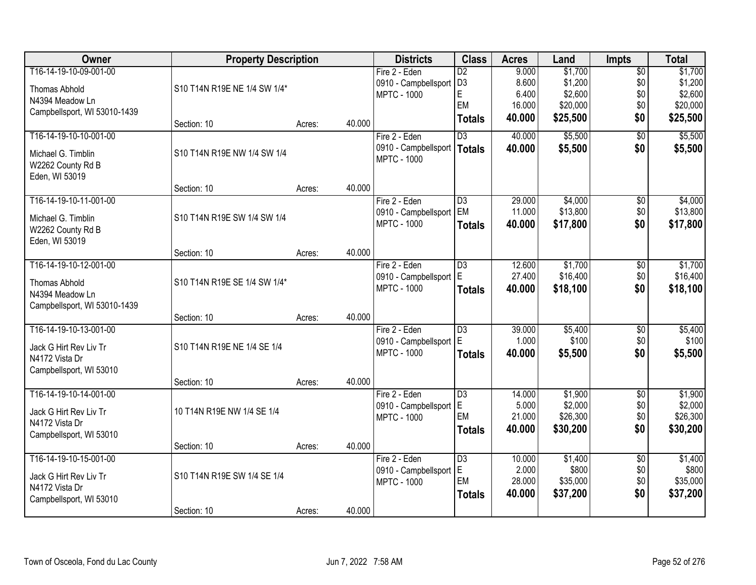| Owner                        | <b>Property Description</b>  |        |        | <b>Districts</b>     | <b>Class</b>    | <b>Acres</b> | Land     | <b>Impts</b>    | <b>Total</b> |
|------------------------------|------------------------------|--------|--------|----------------------|-----------------|--------------|----------|-----------------|--------------|
| T16-14-19-10-09-001-00       |                              |        |        | Fire 2 - Eden        | $\overline{D2}$ | 9.000        | \$1,700  | $\overline{50}$ | \$1,700      |
| Thomas Abhold                | S10 T14N R19E NE 1/4 SW 1/4* |        |        | 0910 - Campbellsport | D <sub>3</sub>  | 8.600        | \$1,200  | \$0             | \$1,200      |
| N4394 Meadow Ln              |                              |        |        | <b>MPTC - 1000</b>   | E               | 6.400        | \$2,600  | \$0             | \$2,600      |
| Campbellsport, WI 53010-1439 |                              |        |        |                      | EM              | 16.000       | \$20,000 | \$0             | \$20,000     |
|                              | Section: 10                  | Acres: | 40.000 |                      | <b>Totals</b>   | 40.000       | \$25,500 | \$0             | \$25,500     |
| T16-14-19-10-10-001-00       |                              |        |        | Fire 2 - Eden        | $\overline{D3}$ | 40.000       | \$5,500  | $\overline{50}$ | \$5,500      |
| Michael G. Timblin           | S10 T14N R19E NW 1/4 SW 1/4  |        |        | 0910 - Campbellsport | <b>Totals</b>   | 40.000       | \$5,500  | \$0             | \$5,500      |
| W2262 County Rd B            |                              |        |        | <b>MPTC - 1000</b>   |                 |              |          |                 |              |
| Eden, WI 53019               |                              |        |        |                      |                 |              |          |                 |              |
|                              | Section: 10                  | Acres: | 40.000 |                      |                 |              |          |                 |              |
| T16-14-19-10-11-001-00       |                              |        |        | Fire 2 - Eden        | $\overline{D3}$ | 29.000       | \$4,000  | $\overline{50}$ | \$4,000      |
| Michael G. Timblin           | S10 T14N R19E SW 1/4 SW 1/4  |        |        | 0910 - Campbellsport | EM              | 11.000       | \$13,800 | \$0             | \$13,800     |
| W2262 County Rd B            |                              |        |        | <b>MPTC - 1000</b>   | <b>Totals</b>   | 40.000       | \$17,800 | \$0             | \$17,800     |
| Eden, WI 53019               |                              |        |        |                      |                 |              |          |                 |              |
|                              | Section: 10                  | Acres: | 40.000 |                      |                 |              |          |                 |              |
| T16-14-19-10-12-001-00       |                              |        |        | Fire 2 - Eden        | $\overline{D3}$ | 12.600       | \$1,700  | \$0             | \$1,700      |
| <b>Thomas Abhold</b>         | S10 T14N R19E SE 1/4 SW 1/4* |        |        | 0910 - Campbellsport | E               | 27.400       | \$16,400 | \$0             | \$16,400     |
| N4394 Meadow Ln              |                              |        |        | <b>MPTC - 1000</b>   | <b>Totals</b>   | 40.000       | \$18,100 | \$0             | \$18,100     |
| Campbellsport, WI 53010-1439 |                              |        |        |                      |                 |              |          |                 |              |
|                              | Section: 10                  | Acres: | 40.000 |                      |                 |              |          |                 |              |
| T16-14-19-10-13-001-00       |                              |        |        | Fire 2 - Eden        | $\overline{D3}$ | 39.000       | \$5,400  | $\overline{50}$ | \$5,400      |
| Jack G Hirt Rev Liv Tr       | S10 T14N R19E NE 1/4 SE 1/4  |        |        | 0910 - Campbellsport | E               | 1.000        | \$100    | \$0             | \$100        |
| N4172 Vista Dr               |                              |        |        | <b>MPTC - 1000</b>   | <b>Totals</b>   | 40.000       | \$5,500  | \$0             | \$5,500      |
| Campbellsport, WI 53010      |                              |        |        |                      |                 |              |          |                 |              |
|                              | Section: 10                  | Acres: | 40.000 |                      |                 |              |          |                 |              |
| T16-14-19-10-14-001-00       |                              |        |        | Fire 2 - Eden        | $\overline{D3}$ | 14.000       | \$1,900  | $\overline{50}$ | \$1,900      |
| Jack G Hirt Rev Liv Tr       | 10 T14N R19E NW 1/4 SE 1/4   |        |        | 0910 - Campbellsport | E               | 5.000        | \$2,000  | \$0             | \$2,000      |
| N4172 Vista Dr               |                              |        |        | <b>MPTC - 1000</b>   | EM              | 21.000       | \$26,300 | \$0             | \$26,300     |
| Campbellsport, WI 53010      |                              |        |        |                      | <b>Totals</b>   | 40.000       | \$30,200 | \$0             | \$30,200     |
|                              | Section: 10                  | Acres: | 40.000 |                      |                 |              |          |                 |              |
| T16-14-19-10-15-001-00       |                              |        |        | Fire 2 - Eden        | $\overline{D3}$ | 10.000       | \$1,400  | $\overline{50}$ | \$1,400      |
| Jack G Hirt Rev Liv Tr       | S10 T14N R19E SW 1/4 SE 1/4  |        |        | 0910 - Campbellsport | E               | 2.000        | \$800    | \$0             | \$800        |
| N4172 Vista Dr               |                              |        |        | <b>MPTC - 1000</b>   | EM              | 28.000       | \$35,000 | \$0             | \$35,000     |
| Campbellsport, WI 53010      |                              |        |        |                      | <b>Totals</b>   | 40.000       | \$37,200 | \$0             | \$37,200     |
|                              | Section: 10                  | Acres: | 40.000 |                      |                 |              |          |                 |              |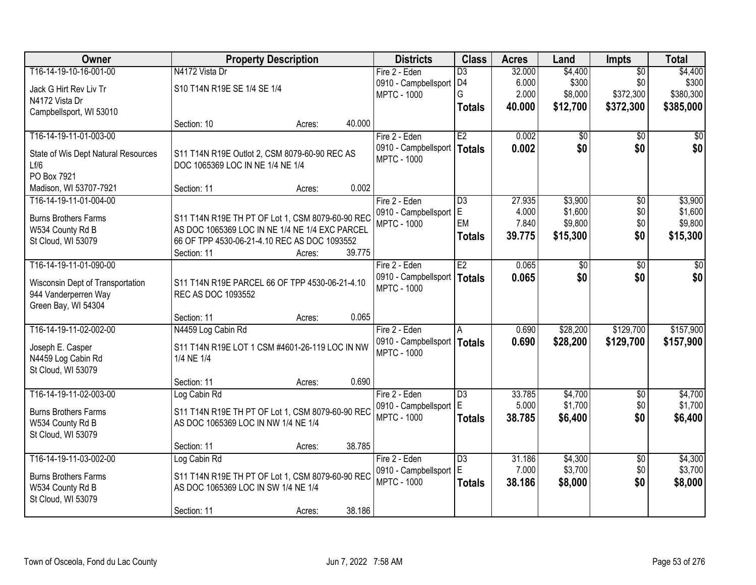| Owner                               | <b>Property Description</b>                      |        | <b>Districts</b>                      | <b>Class</b>    | <b>Acres</b> | Land       | <b>Impts</b>    | <b>Total</b> |
|-------------------------------------|--------------------------------------------------|--------|---------------------------------------|-----------------|--------------|------------|-----------------|--------------|
| T16-14-19-10-16-001-00              | N4172 Vista Dr                                   |        | Fire 2 - Eden                         | $\overline{D3}$ | 32.000       | \$4,400    | $\overline{50}$ | \$4,400      |
| Jack G Hirt Rev Liv Tr              | S10 T14N R19E SE 1/4 SE 1/4                      |        | 0910 - Campbellsport D4               |                 | 6.000        | \$300      | \$0             | \$300        |
| N4172 Vista Dr                      |                                                  |        | <b>MPTC - 1000</b>                    | G               | 2.000        | \$8,000    | \$372,300       | \$380,300    |
| Campbellsport, WI 53010             |                                                  |        |                                       | <b>Totals</b>   | 40.000       | \$12,700   | \$372,300       | \$385,000    |
|                                     | Section: 10<br>Acres:                            | 40.000 |                                       |                 |              |            |                 |              |
| T16-14-19-11-01-003-00              |                                                  |        | Fire 2 - Eden                         | E2              | 0.002        | \$0        | \$0             | \$0          |
| State of Wis Dept Natural Resources | S11 T14N R19E Outlot 2, CSM 8079-60-90 REC AS    |        | 0910 - Campbellsport                  | <b>Totals</b>   | 0.002        | \$0        | \$0             | \$0          |
| Lf/6                                | DOC 1065369 LOC IN NE 1/4 NE 1/4                 |        | <b>MPTC - 1000</b>                    |                 |              |            |                 |              |
| PO Box 7921                         |                                                  |        |                                       |                 |              |            |                 |              |
| Madison, WI 53707-7921              | Section: 11<br>Acres:                            | 0.002  |                                       |                 |              |            |                 |              |
| T16-14-19-11-01-004-00              |                                                  |        | Fire 2 - Eden                         | $\overline{D3}$ | 27.935       | \$3,900    | $\overline{50}$ | \$3,900      |
|                                     |                                                  |        | 0910 - Campbellsport                  | E               | 4.000        | \$1,600    | \$0             | \$1,600      |
| <b>Burns Brothers Farms</b>         | S11 T14N R19E TH PT OF Lot 1, CSM 8079-60-90 REC |        | <b>MPTC - 1000</b>                    | EM              | 7.840        | \$9,800    | \$0             | \$9,800      |
| W534 County Rd B                    | AS DOC 1065369 LOC IN NE 1/4 NE 1/4 EXC PARCEL   |        |                                       | <b>Totals</b>   | 39.775       | \$15,300   | \$0             | \$15,300     |
| St Cloud, WI 53079                  | 66 OF TPP 4530-06-21-4.10 REC AS DOC 1093552     |        |                                       |                 |              |            |                 |              |
| T16-14-19-11-01-090-00              | Section: 11<br>Acres:                            | 39.775 |                                       | E2              |              |            |                 |              |
|                                     |                                                  |        | Fire 2 - Eden<br>0910 - Campbellsport |                 | 0.065        | \$0<br>\$0 | \$0<br>\$0      | \$0          |
| Wisconsin Dept of Transportation    | S11 T14N R19E PARCEL 66 OF TPP 4530-06-21-4.10   |        | <b>MPTC - 1000</b>                    | <b>Totals</b>   | 0.065        |            |                 | \$0          |
| 944 Vanderperren Way                | REC AS DOC 1093552                               |        |                                       |                 |              |            |                 |              |
| Green Bay, WI 54304                 |                                                  |        |                                       |                 |              |            |                 |              |
|                                     | Section: 11<br>Acres:                            | 0.065  |                                       |                 |              |            |                 |              |
| T16-14-19-11-02-002-00              | N4459 Log Cabin Rd                               |        | Fire 2 - Eden                         | A               | 0.690        | \$28,200   | \$129,700       | \$157,900    |
| Joseph E. Casper                    | S11 T14N R19E LOT 1 CSM #4601-26-119 LOC IN NW   |        | 0910 - Campbellsport                  | <b>Totals</b>   | 0.690        | \$28,200   | \$129,700       | \$157,900    |
| N4459 Log Cabin Rd                  | 1/4 NE 1/4                                       |        | <b>MPTC - 1000</b>                    |                 |              |            |                 |              |
| St Cloud, WI 53079                  |                                                  |        |                                       |                 |              |            |                 |              |
|                                     | Section: 11<br>Acres:                            | 0.690  |                                       |                 |              |            |                 |              |
| T16-14-19-11-02-003-00              | Log Cabin Rd                                     |        | Fire 2 - Eden                         | $\overline{D3}$ | 33.785       | \$4,700    | $\overline{50}$ | \$4,700      |
| <b>Burns Brothers Farms</b>         | S11 T14N R19E TH PT OF Lot 1, CSM 8079-60-90 REC |        | 0910 - Campbellsport                  | E               | 5.000        | \$1,700    | \$0             | \$1,700      |
| W534 County Rd B                    | AS DOC 1065369 LOC IN NW 1/4 NE 1/4              |        | <b>MPTC - 1000</b>                    | <b>Totals</b>   | 38.785       | \$6,400    | \$0             | \$6,400      |
| St Cloud, WI 53079                  |                                                  |        |                                       |                 |              |            |                 |              |
|                                     | Section: 11<br>Acres:                            | 38.785 |                                       |                 |              |            |                 |              |
| T16-14-19-11-03-002-00              | Log Cabin Rd                                     |        | Fire 2 - Eden                         | $\overline{D3}$ | 31.186       | \$4,300    | $\overline{50}$ | \$4,300      |
| <b>Burns Brothers Farms</b>         | S11 T14N R19E TH PT OF Lot 1, CSM 8079-60-90 REC |        | 0910 - Campbellsport                  | E               | 7.000        | \$3,700    | \$0             | \$3,700      |
| W534 County Rd B                    | AS DOC 1065369 LOC IN SW 1/4 NE 1/4              |        | <b>MPTC - 1000</b>                    | <b>Totals</b>   | 38.186       | \$8,000    | \$0             | \$8,000      |
| St Cloud, WI 53079                  |                                                  |        |                                       |                 |              |            |                 |              |
|                                     | Section: 11<br>Acres:                            | 38.186 |                                       |                 |              |            |                 |              |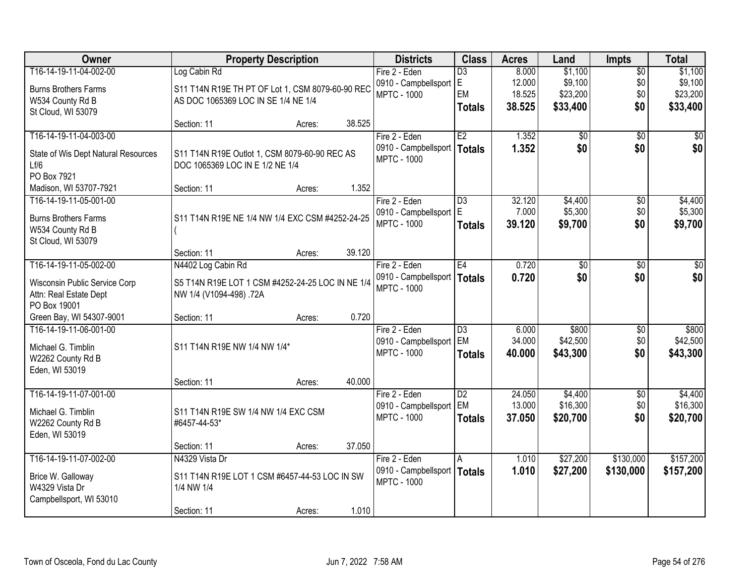| Owner                               | <b>Property Description</b>                      |        |        | <b>Districts</b>         | <b>Class</b>    | <b>Acres</b> | Land            | <b>Impts</b>    | <b>Total</b>    |
|-------------------------------------|--------------------------------------------------|--------|--------|--------------------------|-----------------|--------------|-----------------|-----------------|-----------------|
| T16-14-19-11-04-002-00              | Log Cabin Rd                                     |        |        | Fire 2 - Eden            | D3              | 8.000        | \$1,100         | \$0             | \$1,100         |
| <b>Burns Brothers Farms</b>         | S11 T14N R19E TH PT OF Lot 1, CSM 8079-60-90 REC |        |        | 0910 - Campbellsport     | lE.             | 12.000       | \$9,100         | \$0             | \$9,100         |
| W534 County Rd B                    | AS DOC 1065369 LOC IN SE 1/4 NE 1/4              |        |        | <b>MPTC - 1000</b>       | EM              | 18.525       | \$23,200        | \$0             | \$23,200        |
| St Cloud, WI 53079                  |                                                  |        |        |                          | <b>Totals</b>   | 38.525       | \$33,400        | \$0             | \$33,400        |
|                                     | Section: 11                                      | Acres: | 38.525 |                          |                 |              |                 |                 |                 |
| T16-14-19-11-04-003-00              |                                                  |        |        | Fire 2 - Eden            | E2              | 1.352        | \$0             | $\overline{50}$ | \$0             |
| State of Wis Dept Natural Resources | S11 T14N R19E Outlot 1, CSM 8079-60-90 REC AS    |        |        | 0910 - Campbellsport     | Totals          | 1.352        | \$0             | \$0             | \$0             |
| Lf/6                                | DOC 1065369 LOC IN E 1/2 NE 1/4                  |        |        | <b>MPTC - 1000</b>       |                 |              |                 |                 |                 |
| PO Box 7921                         |                                                  |        |        |                          |                 |              |                 |                 |                 |
| Madison, WI 53707-7921              | Section: 11                                      | Acres: | 1.352  |                          |                 |              |                 |                 |                 |
| T16-14-19-11-05-001-00              |                                                  |        |        | Fire 2 - Eden            | D3              | 32.120       | \$4,400         | $\sqrt[6]{3}$   | \$4,400         |
|                                     |                                                  |        |        | 0910 - Campbellsport   E |                 | 7.000        | \$5,300         | \$0             | \$5,300         |
| <b>Burns Brothers Farms</b>         | S11 T14N R19E NE 1/4 NW 1/4 EXC CSM #4252-24-25  |        |        | <b>MPTC - 1000</b>       | <b>Totals</b>   | 39.120       | \$9,700         | \$0             | \$9,700         |
| W534 County Rd B                    |                                                  |        |        |                          |                 |              |                 |                 |                 |
| St Cloud, WI 53079                  |                                                  |        |        |                          |                 |              |                 |                 |                 |
|                                     | Section: 11                                      | Acres: | 39.120 |                          |                 |              |                 |                 |                 |
| T16-14-19-11-05-002-00              | N4402 Log Cabin Rd                               |        |        | Fire 2 - Eden            | E4              | 0.720        | $\overline{50}$ | \$0             | $\overline{30}$ |
| Wisconsin Public Service Corp       | S5 T14N R19E LOT 1 CSM #4252-24-25 LOC IN NE 1/4 |        |        | 0910 - Campbellsport     | Totals          | 0.720        | \$0             | \$0             | \$0             |
| Attn: Real Estate Dept              | NW 1/4 (V1094-498) .72A                          |        |        | <b>MPTC - 1000</b>       |                 |              |                 |                 |                 |
| PO Box 19001                        |                                                  |        |        |                          |                 |              |                 |                 |                 |
| Green Bay, WI 54307-9001            | Section: 11                                      | Acres: | 0.720  |                          |                 |              |                 |                 |                 |
| T16-14-19-11-06-001-00              |                                                  |        |        | Fire 2 - Eden            | D3              | 6.000        | \$800           | \$0             | \$800           |
| Michael G. Timblin                  | S11 T14N R19E NW 1/4 NW 1/4*                     |        |        | 0910 - Campbellsport     | EM              | 34.000       | \$42,500        | \$0             | \$42,500        |
| W2262 County Rd B                   |                                                  |        |        | <b>MPTC - 1000</b>       | <b>Totals</b>   | 40.000       | \$43,300        | \$0             | \$43,300        |
| Eden, WI 53019                      |                                                  |        |        |                          |                 |              |                 |                 |                 |
|                                     | Section: 11                                      | Acres: | 40.000 |                          |                 |              |                 |                 |                 |
| T16-14-19-11-07-001-00              |                                                  |        |        | Fire 2 - Eden            | $\overline{D2}$ | 24.050       | \$4,400         | \$0             | \$4,400         |
|                                     |                                                  |        |        | 0910 - Campbellsport     | <b>EM</b>       | 13.000       | \$16,300        | \$0             | \$16,300        |
| Michael G. Timblin                  | S11 T14N R19E SW 1/4 NW 1/4 EXC CSM              |        |        | <b>MPTC - 1000</b>       | <b>Totals</b>   | 37.050       | \$20,700        | \$0             | \$20,700        |
| W2262 County Rd B                   | #6457-44-53*                                     |        |        |                          |                 |              |                 |                 |                 |
| Eden, WI 53019                      | Section: 11                                      |        | 37.050 |                          |                 |              |                 |                 |                 |
| T16-14-19-11-07-002-00              | N4329 Vista Dr                                   | Acres: |        | Fire 2 - Eden            |                 | 1.010        | \$27,200        | \$130,000       | \$157,200       |
|                                     |                                                  |        |        | 0910 - Campbellsport     | A               | 1.010        | \$27,200        |                 |                 |
| Brice W. Galloway                   | S11 T14N R19E LOT 1 CSM #6457-44-53 LOC IN SW    |        |        | <b>MPTC - 1000</b>       | Totals          |              |                 | \$130,000       | \$157,200       |
| W4329 Vista Dr                      | 1/4 NW 1/4                                       |        |        |                          |                 |              |                 |                 |                 |
| Campbellsport, WI 53010             |                                                  |        |        |                          |                 |              |                 |                 |                 |
|                                     | Section: 11                                      | Acres: | 1.010  |                          |                 |              |                 |                 |                 |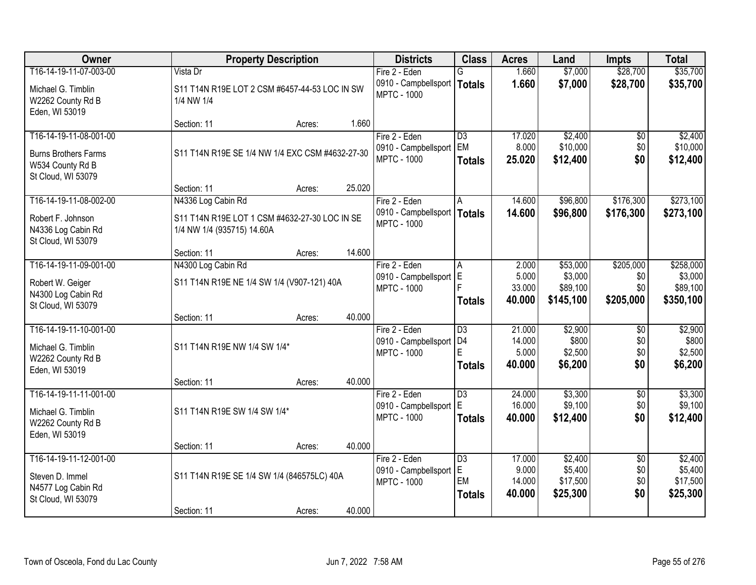| Owner                                                                                           |                                                                                                   | <b>Property Description</b> |        | <b>Districts</b>                                                     | <b>Class</b>                                            | <b>Acres</b>                        | Land                                       | <b>Impts</b>                         | <b>Total</b>                               |
|-------------------------------------------------------------------------------------------------|---------------------------------------------------------------------------------------------------|-----------------------------|--------|----------------------------------------------------------------------|---------------------------------------------------------|-------------------------------------|--------------------------------------------|--------------------------------------|--------------------------------------------|
| T16-14-19-11-07-003-00                                                                          | Vista Dr                                                                                          |                             |        | Fire 2 - Eden                                                        | G.                                                      | 1.660                               | \$7,000                                    | \$28,700                             | \$35,700                                   |
| Michael G. Timblin<br>W2262 County Rd B<br>Eden, WI 53019                                       | S11 T14N R19E LOT 2 CSM #6457-44-53 LOC IN SW<br>1/4 NW 1/4                                       |                             |        | 0910 - Campbellsport   Totals<br><b>MPTC - 1000</b>                  |                                                         | 1.660                               | \$7,000                                    | \$28,700                             | \$35,700                                   |
|                                                                                                 | Section: 11                                                                                       | Acres:                      | 1.660  |                                                                      |                                                         |                                     |                                            |                                      |                                            |
| T16-14-19-11-08-001-00<br><b>Burns Brothers Farms</b><br>W534 County Rd B<br>St Cloud, WI 53079 | S11 T14N R19E SE 1/4 NW 1/4 EXC CSM #4632-27-30                                                   |                             |        | Fire 2 - Eden<br>0910 - Campbellsport<br><b>MPTC - 1000</b>          | $\overline{D3}$<br>EM<br><b>Totals</b>                  | 17.020<br>8.000<br>25.020           | \$2,400<br>\$10,000<br>\$12,400            | $\overline{50}$<br>\$0<br>\$0        | \$2,400<br>\$10,000<br>\$12,400            |
|                                                                                                 | Section: 11                                                                                       | Acres:                      | 25.020 |                                                                      |                                                         |                                     |                                            |                                      |                                            |
| T16-14-19-11-08-002-00<br>Robert F. Johnson<br>N4336 Log Cabin Rd<br>St Cloud, WI 53079         | N4336 Log Cabin Rd<br>S11 T14N R19E LOT 1 CSM #4632-27-30 LOC IN SE<br>1/4 NW 1/4 (935715) 14.60A |                             |        | Fire 2 - Eden<br>0910 - Campbellsport   Totals<br><b>MPTC - 1000</b> | A                                                       | 14.600<br>14.600                    | \$96,800<br>\$96,800                       | \$176,300<br>\$176,300               | \$273,100<br>\$273,100                     |
|                                                                                                 | Section: 11                                                                                       | Acres:                      | 14.600 |                                                                      |                                                         |                                     |                                            |                                      |                                            |
| T16-14-19-11-09-001-00                                                                          | N4300 Log Cabin Rd                                                                                |                             |        | Fire 2 - Eden                                                        | A                                                       | 2.000                               | \$53,000                                   | \$205,000                            | \$258,000                                  |
| Robert W. Geiger<br>N4300 Log Cabin Rd<br>St Cloud, WI 53079                                    | S11 T14N R19E NE 1/4 SW 1/4 (V907-121) 40A                                                        |                             |        | 0910 - Campbellsport E<br><b>MPTC - 1000</b>                         | <b>Totals</b>                                           | 5.000<br>33.000<br>40.000           | \$3,000<br>\$89,100<br>\$145,100           | \$0<br>\$0<br>\$205,000              | \$3,000<br>\$89,100<br>\$350,100           |
|                                                                                                 | Section: 11                                                                                       | Acres:                      | 40.000 |                                                                      |                                                         |                                     |                                            |                                      |                                            |
| T16-14-19-11-10-001-00<br>Michael G. Timblin<br>W2262 County Rd B<br>Eden, WI 53019             | S11 T14N R19E NW 1/4 SW 1/4*                                                                      |                             |        | Fire 2 - Eden<br>0910 - Campbellsport<br><b>MPTC - 1000</b>          | $\overline{D3}$<br>D <sub>4</sub><br>F<br><b>Totals</b> | 21.000<br>14.000<br>5.000<br>40.000 | \$2,900<br>\$800<br>\$2,500<br>\$6,200     | $\overline{30}$<br>\$0<br>\$0<br>\$0 | \$2,900<br>\$800<br>\$2,500<br>\$6,200     |
|                                                                                                 | Section: 11                                                                                       | Acres:                      | 40.000 |                                                                      |                                                         |                                     |                                            |                                      |                                            |
| T16-14-19-11-11-001-00<br>Michael G. Timblin<br>W2262 County Rd B<br>Eden, WI 53019             | S11 T14N R19E SW 1/4 SW 1/4*                                                                      |                             |        | Fire 2 - Eden<br>0910 - Campbellsport<br><b>MPTC - 1000</b>          | $\overline{D3}$<br>E<br><b>Totals</b>                   | 24.000<br>16.000<br>40.000          | \$3,300<br>\$9,100<br>\$12,400             | $\overline{60}$<br>\$0<br>\$0        | \$3,300<br>\$9,100<br>\$12,400             |
|                                                                                                 | Section: 11                                                                                       | Acres:                      | 40.000 |                                                                      |                                                         |                                     |                                            |                                      |                                            |
| T16-14-19-11-12-001-00<br>Steven D. Immel<br>N4577 Log Cabin Rd<br>St Cloud, WI 53079           | S11 T14N R19E SE 1/4 SW 1/4 (846575LC) 40A                                                        |                             |        | Fire 2 - Eden<br>0910 - Campbellsport E<br><b>MPTC - 1000</b>        | $\overline{D3}$<br>EM<br><b>Totals</b>                  | 17.000<br>9.000<br>14.000<br>40.000 | \$2,400<br>\$5,400<br>\$17,500<br>\$25,300 | $\overline{50}$<br>\$0<br>\$0<br>\$0 | \$2,400<br>\$5,400<br>\$17,500<br>\$25,300 |
|                                                                                                 | Section: 11                                                                                       | Acres:                      | 40.000 |                                                                      |                                                         |                                     |                                            |                                      |                                            |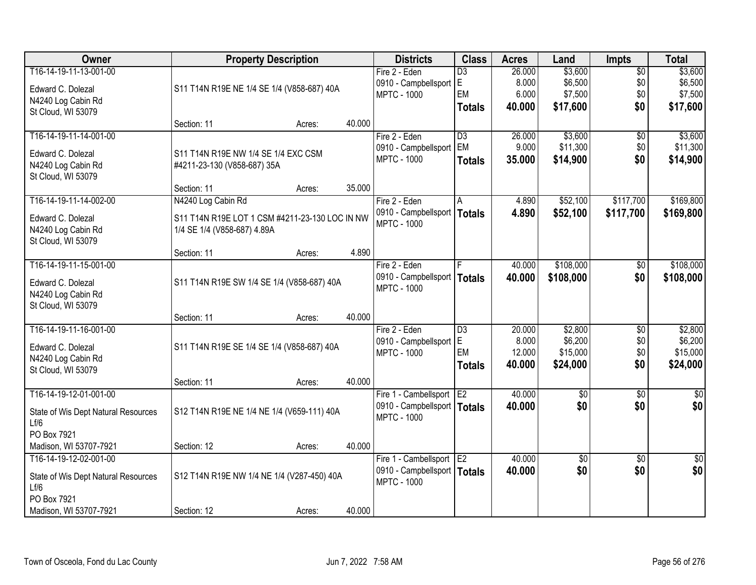| Owner                               |                                                | <b>Property Description</b> |        | <b>Districts</b>              | <b>Class</b>    | <b>Acres</b> | Land            | <b>Impts</b>    | <b>Total</b>    |
|-------------------------------------|------------------------------------------------|-----------------------------|--------|-------------------------------|-----------------|--------------|-----------------|-----------------|-----------------|
| T16-14-19-11-13-001-00              |                                                |                             |        | Fire 2 - Eden                 | $\overline{D3}$ | 26,000       | \$3,600         | $\overline{50}$ | \$3,600         |
| Edward C. Dolezal                   | S11 T14N R19E NE 1/4 SE 1/4 (V858-687) 40A     |                             |        | 0910 - Campbellsport E        |                 | 8.000        | \$6,500         | \$0             | \$6,500         |
| N4240 Log Cabin Rd                  |                                                |                             |        | <b>MPTC - 1000</b>            | EM              | 6.000        | \$7,500         | \$0             | \$7,500         |
| St Cloud, WI 53079                  |                                                |                             |        |                               | <b>Totals</b>   | 40.000       | \$17,600        | \$0             | \$17,600        |
|                                     | Section: 11                                    | Acres:                      | 40.000 |                               |                 |              |                 |                 |                 |
| T16-14-19-11-14-001-00              |                                                |                             |        | Fire 2 - Eden                 | $\overline{D3}$ | 26.000       | \$3,600         | $\overline{50}$ | \$3,600         |
| Edward C. Dolezal                   | S11 T14N R19E NW 1/4 SE 1/4 EXC CSM            |                             |        | 0910 - Campbellsport          | EM              | 9.000        | \$11,300        | \$0             | \$11,300        |
| N4240 Log Cabin Rd                  | #4211-23-130 (V858-687) 35A                    |                             |        | <b>MPTC - 1000</b>            | <b>Totals</b>   | 35.000       | \$14,900        | \$0             | \$14,900        |
| St Cloud, WI 53079                  |                                                |                             |        |                               |                 |              |                 |                 |                 |
|                                     | Section: 11                                    | Acres:                      | 35.000 |                               |                 |              |                 |                 |                 |
| T16-14-19-11-14-002-00              | N4240 Log Cabin Rd                             |                             |        | Fire 2 - Eden                 | A               | 4.890        | \$52,100        | \$117,700       | \$169,800       |
| Edward C. Dolezal                   | S11 T14N R19E LOT 1 CSM #4211-23-130 LOC IN NW |                             |        | 0910 - Campbellsport          | <b>Totals</b>   | 4.890        | \$52,100        | \$117,700       | \$169,800       |
| N4240 Log Cabin Rd                  | 1/4 SE 1/4 (V858-687) 4.89A                    |                             |        | <b>MPTC - 1000</b>            |                 |              |                 |                 |                 |
| St Cloud, WI 53079                  |                                                |                             |        |                               |                 |              |                 |                 |                 |
|                                     | Section: 11                                    | Acres:                      | 4.890  |                               |                 |              |                 |                 |                 |
| T16-14-19-11-15-001-00              |                                                |                             |        | Fire 2 - Eden                 |                 | 40.000       | \$108,000       | \$0             | \$108,000       |
| Edward C. Dolezal                   | S11 T14N R19E SW 1/4 SE 1/4 (V858-687) 40A     |                             |        | 0910 - Campbellsport          | <b>Totals</b>   | 40.000       | \$108,000       | \$0             | \$108,000       |
| N4240 Log Cabin Rd                  |                                                |                             |        | <b>MPTC - 1000</b>            |                 |              |                 |                 |                 |
| St Cloud, WI 53079                  |                                                |                             |        |                               |                 |              |                 |                 |                 |
|                                     | Section: 11                                    | Acres:                      | 40.000 |                               |                 |              |                 |                 |                 |
| T16-14-19-11-16-001-00              |                                                |                             |        | Fire 2 - Eden                 | $\overline{D3}$ | 20.000       | \$2,800         | $\overline{50}$ | \$2,800         |
| Edward C. Dolezal                   | S11 T14N R19E SE 1/4 SE 1/4 (V858-687) 40A     |                             |        | 0910 - Campbellsport          | E               | 8.000        | \$6,200         | \$0             | \$6,200         |
| N4240 Log Cabin Rd                  |                                                |                             |        | <b>MPTC - 1000</b>            | EM              | 12.000       | \$15,000        | \$0             | \$15,000        |
| St Cloud, WI 53079                  |                                                |                             |        |                               | <b>Totals</b>   | 40.000       | \$24,000        | \$0             | \$24,000        |
|                                     | Section: 11                                    | Acres:                      | 40.000 |                               |                 |              |                 |                 |                 |
| T16-14-19-12-01-001-00              |                                                |                             |        | Fire 1 - Cambellsport E2      |                 | 40.000       | $\sqrt{50}$     | $\overline{50}$ | $\overline{50}$ |
| State of Wis Dept Natural Resources | S12 T14N R19E NE 1/4 NE 1/4 (V659-111) 40A     |                             |        | 0910 - Campbellsport   Totals |                 | 40.000       | \$0             | \$0             | \$0             |
| Lf/6                                |                                                |                             |        | <b>MPTC - 1000</b>            |                 |              |                 |                 |                 |
| PO Box 7921                         |                                                |                             |        |                               |                 |              |                 |                 |                 |
| Madison, WI 53707-7921              | Section: 12                                    | Acres:                      | 40.000 |                               |                 |              |                 |                 |                 |
| T16-14-19-12-02-001-00              |                                                |                             |        | Fire 1 - Cambellsport E2      |                 | 40.000       | $\overline{60}$ | $\overline{50}$ | $\overline{50}$ |
| State of Wis Dept Natural Resources | S12 T14N R19E NW 1/4 NE 1/4 (V287-450) 40A     |                             |        | 0910 - Campbellsport   Totals |                 | 40.000       | \$0             | \$0             | \$0             |
| Lf/6                                |                                                |                             |        | <b>MPTC - 1000</b>            |                 |              |                 |                 |                 |
| PO Box 7921                         |                                                |                             |        |                               |                 |              |                 |                 |                 |
| Madison, WI 53707-7921              | Section: 12                                    | Acres:                      | 40.000 |                               |                 |              |                 |                 |                 |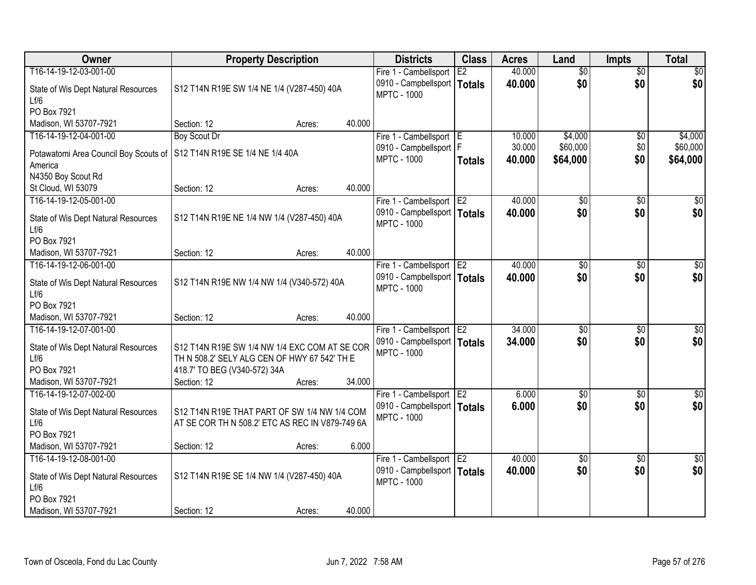| Owner                                       | <b>Property Description</b>                     |        | <b>Districts</b>                                    | <b>Class</b>   | <b>Acres</b> | Land            | <b>Impts</b>    | <b>Total</b>     |
|---------------------------------------------|-------------------------------------------------|--------|-----------------------------------------------------|----------------|--------------|-----------------|-----------------|------------------|
| T16-14-19-12-03-001-00                      |                                                 |        | Fire 1 - Cambellsport                               | E2             | 40.000       | $\overline{50}$ | $\overline{50}$ | \$0              |
| State of Wis Dept Natural Resources<br>Lf/6 | S12 T14N R19E SW 1/4 NE 1/4 (V287-450) 40A      |        | 0910 - Campbellsport<br><b>MPTC - 1000</b>          | Totals         | 40.000       | \$0             | \$0             | \$0              |
| PO Box 7921                                 |                                                 |        |                                                     |                |              |                 |                 |                  |
| Madison, WI 53707-7921                      | Section: 12<br>Acres:                           | 40.000 |                                                     |                |              |                 |                 |                  |
| T16-14-19-12-04-001-00                      | <b>Boy Scout Dr</b>                             |        | Fire 1 - Cambellsport                               | ΤE             | 10.000       | \$4,000         | \$0             | \$4,000          |
| Potawatomi Area Council Boy Scouts of       | S12 T14N R19E SE 1/4 NE 1/4 40A                 |        | 0910 - Campbellsport   F                            |                | 30.000       | \$60,000        | \$0             | \$60,000         |
| America                                     |                                                 |        | <b>MPTC - 1000</b>                                  | <b>Totals</b>  | 40.000       | \$64,000        | \$0             | \$64,000         |
| N4350 Boy Scout Rd                          |                                                 |        |                                                     |                |              |                 |                 |                  |
| St Cloud, WI 53079                          | Section: 12<br>Acres:                           | 40.000 |                                                     |                |              |                 |                 |                  |
| T16-14-19-12-05-001-00                      |                                                 |        | Fire 1 - Cambellsport E2                            |                | 40.000       | \$0             | \$0             | $\sqrt{50}$      |
| State of Wis Dept Natural Resources         | S12 T14N R19E NE 1/4 NW 1/4 (V287-450) 40A      |        | 0910 - Campbellsport   Totals<br><b>MPTC - 1000</b> |                | 40.000       | \$0             | \$0             | \$0              |
| Lf/6                                        |                                                 |        |                                                     |                |              |                 |                 |                  |
| PO Box 7921                                 |                                                 |        |                                                     |                |              |                 |                 |                  |
| Madison, WI 53707-7921                      | Section: 12<br>Acres:                           | 40.000 |                                                     |                |              |                 |                 |                  |
| T16-14-19-12-06-001-00                      |                                                 |        | Fire 1 - Cambellsport                               | E <sub>2</sub> | 40.000       | \$0             | $\sqrt{6}$      | \$0              |
| State of Wis Dept Natural Resources         | S12 T14N R19E NW 1/4 NW 1/4 (V340-572) 40A      |        | 0910 - Campbellsport   Totals<br><b>MPTC - 1000</b> |                | 40.000       | \$0             | \$0             | \$0              |
| Lf/6<br>PO Box 7921                         |                                                 |        |                                                     |                |              |                 |                 |                  |
| Madison, WI 53707-7921                      | Section: 12<br>Acres:                           | 40.000 |                                                     |                |              |                 |                 |                  |
| T16-14-19-12-07-001-00                      |                                                 |        | Fire 1 - Cambellsport                               | E <sub>2</sub> | 34.000       | $\overline{50}$ | $\overline{50}$ | $\overline{50}$  |
|                                             |                                                 |        | 0910 - Campbellsport   Totals                       |                | 34,000       | \$0             | \$0             | \$0              |
| State of Wis Dept Natural Resources         | S12 T14N R19E SW 1/4 NW 1/4 EXC COM AT SE COR   |        | <b>MPTC - 1000</b>                                  |                |              |                 |                 |                  |
| Lf/6                                        | TH N 508.2' SELY ALG CEN OF HWY 67 542' TH E    |        |                                                     |                |              |                 |                 |                  |
| PO Box 7921                                 | 418.7' TO BEG (V340-572) 34A                    |        |                                                     |                |              |                 |                 |                  |
| Madison, WI 53707-7921                      | Section: 12<br>Acres:                           | 34.000 |                                                     |                |              |                 |                 |                  |
| T16-14-19-12-07-002-00                      |                                                 |        | Fire 1 - Cambellsport E2                            |                | 6.000        | $\overline{50}$ | $\overline{30}$ | $\overline{\$0}$ |
| State of Wis Dept Natural Resources         | S12 T14N R19E THAT PART OF SW 1/4 NW 1/4 COM    |        | 0910 - Campbellsport   Totals<br><b>MPTC - 1000</b> |                | 6.000        | \$0             | \$0             | \$0              |
| Lf/6                                        | AT SE COR TH N 508.2' ETC AS REC IN V879-749 6A |        |                                                     |                |              |                 |                 |                  |
| PO Box 7921                                 |                                                 |        |                                                     |                |              |                 |                 |                  |
| Madison, WI 53707-7921                      | Section: 12<br>Acres:                           | 6.000  |                                                     |                |              |                 |                 |                  |
| T16-14-19-12-08-001-00                      |                                                 |        | Fire 1 - Cambellsport E2                            |                | 40.000       | $\overline{50}$ | $\overline{30}$ | $\sqrt{50}$      |
| State of Wis Dept Natural Resources         | S12 T14N R19E SE 1/4 NW 1/4 (V287-450) 40A      |        | 0910 - Campbellsport   Totals                       |                | 40.000       | \$0             | \$0             | \$0              |
| Lf/6                                        |                                                 |        | <b>MPTC - 1000</b>                                  |                |              |                 |                 |                  |
| PO Box 7921                                 |                                                 |        |                                                     |                |              |                 |                 |                  |
| Madison, WI 53707-7921                      | Section: 12<br>Acres:                           | 40.000 |                                                     |                |              |                 |                 |                  |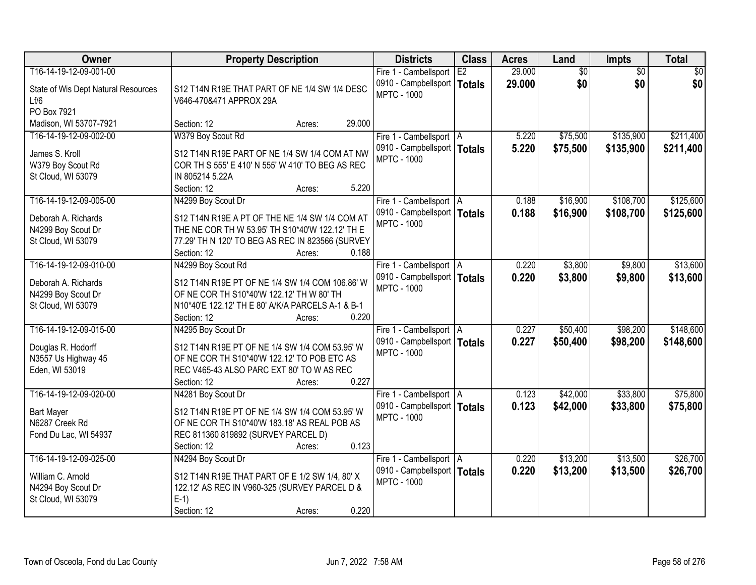| Owner                                    | <b>Property Description</b>                                                                  | <b>Districts</b>                                    | <b>Class</b> | <b>Acres</b> | Land            | <b>Impts</b>    | <b>Total</b>    |
|------------------------------------------|----------------------------------------------------------------------------------------------|-----------------------------------------------------|--------------|--------------|-----------------|-----------------|-----------------|
| T16-14-19-12-09-001-00                   |                                                                                              | Fire 1 - Cambellsport                               | E2           | 29.000       | $\overline{60}$ | $\overline{50}$ | $\overline{50}$ |
| State of Wis Dept Natural Resources      | S12 T14N R19E THAT PART OF NE 1/4 SW 1/4 DESC                                                | 0910 - Campbellsport   Totals                       |              | 29.000       | \$0             | \$0             | \$0             |
| Lf/6                                     | V646-470&471 APPROX 29A                                                                      | <b>MPTC - 1000</b>                                  |              |              |                 |                 |                 |
| PO Box 7921                              |                                                                                              |                                                     |              |              |                 |                 |                 |
| Madison, WI 53707-7921                   | 29.000<br>Section: 12<br>Acres:                                                              |                                                     |              |              |                 |                 |                 |
| T16-14-19-12-09-002-00                   | W379 Boy Scout Rd                                                                            | Fire 1 - Cambellsport   A                           |              | 5.220        | \$75,500        | \$135,900       | \$211,400       |
| James S. Kroll                           | S12 T14N R19E PART OF NE 1/4 SW 1/4 COM AT NW                                                | 0910 - Campbellsport   Totals                       |              | 5.220        | \$75,500        | \$135,900       | \$211,400       |
| W379 Boy Scout Rd                        | COR TH S 555' E 410' N 555' W 410' TO BEG AS REC                                             | <b>MPTC - 1000</b>                                  |              |              |                 |                 |                 |
| St Cloud, WI 53079                       | IN 805214 5.22A                                                                              |                                                     |              |              |                 |                 |                 |
|                                          | 5.220<br>Section: 12<br>Acres:                                                               |                                                     |              |              |                 |                 |                 |
| T16-14-19-12-09-005-00                   | N4299 Boy Scout Dr                                                                           | Fire 1 - Cambellsport   A                           |              | 0.188        | \$16,900        | \$108,700       | \$125,600       |
| Deborah A. Richards                      | S12 T14N R19E A PT OF THE NE 1/4 SW 1/4 COM AT                                               | 0910 - Campbellsport   Totals                       |              | 0.188        | \$16,900        | \$108,700       | \$125,600       |
| N4299 Boy Scout Dr                       | THE NE COR TH W 53.95' TH S10*40'W 122.12' TH E                                              | <b>MPTC - 1000</b>                                  |              |              |                 |                 |                 |
| St Cloud, WI 53079                       | 77.29' TH N 120' TO BEG AS REC IN 823566 (SURVEY                                             |                                                     |              |              |                 |                 |                 |
|                                          | 0.188<br>Section: 12<br>Acres:                                                               |                                                     |              |              |                 |                 |                 |
| T16-14-19-12-09-010-00                   | N4299 Boy Scout Rd                                                                           | Fire 1 - Cambellsport   A                           |              | 0.220        | \$3,800         | \$9,800         | \$13,600        |
|                                          |                                                                                              | 0910 - Campbellsport   Totals                       |              | 0.220        | \$3,800         | \$9,800         | \$13,600        |
| Deborah A. Richards                      | S12 T14N R19E PT OF NE 1/4 SW 1/4 COM 106.86' W<br>OF NE COR TH S10*40'W 122.12' TH W 80' TH | <b>MPTC - 1000</b>                                  |              |              |                 |                 |                 |
| N4299 Boy Scout Dr<br>St Cloud, WI 53079 | N10*40'E 122.12' TH E 80' A/K/A PARCELS A-1 & B-1                                            |                                                     |              |              |                 |                 |                 |
|                                          | 0.220<br>Section: 12<br>Acres:                                                               |                                                     |              |              |                 |                 |                 |
| T16-14-19-12-09-015-00                   | N4295 Boy Scout Dr                                                                           | Fire 1 - Cambellsport   A                           |              | 0.227        | \$50,400        | \$98,200        | \$148,600       |
|                                          |                                                                                              | 0910 - Campbellsport   Totals                       |              | 0.227        | \$50,400        | \$98,200        | \$148,600       |
| Douglas R. Hodorff                       | S12 T14N R19E PT OF NE 1/4 SW 1/4 COM 53.95' W                                               | <b>MPTC - 1000</b>                                  |              |              |                 |                 |                 |
| N3557 Us Highway 45                      | OF NE COR TH S10*40'W 122.12' TO POB ETC AS                                                  |                                                     |              |              |                 |                 |                 |
| Eden, WI 53019                           | REC V465-43 ALSO PARC EXT 80' TO W AS REC                                                    |                                                     |              |              |                 |                 |                 |
|                                          | 0.227<br>Section: 12<br>Acres:                                                               |                                                     |              |              |                 |                 |                 |
| T16-14-19-12-09-020-00                   | N4281 Boy Scout Dr                                                                           | Fire 1 - Cambellsport   A                           |              | 0.123        | \$42,000        | \$33,800        | \$75,800        |
| <b>Bart Mayer</b>                        | S12 T14N R19E PT OF NE 1/4 SW 1/4 COM 53.95' W                                               | 0910 - Campbellsport   Totals<br><b>MPTC - 1000</b> |              | 0.123        | \$42,000        | \$33,800        | \$75,800        |
| N6287 Creek Rd                           | OF NE COR TH S10*40'W 183.18' AS REAL POB AS                                                 |                                                     |              |              |                 |                 |                 |
| Fond Du Lac, WI 54937                    | REC 811360 819892 (SURVEY PARCEL D)                                                          |                                                     |              |              |                 |                 |                 |
|                                          | 0.123<br>Section: 12<br>Acres:                                                               |                                                     |              |              |                 |                 |                 |
| T16-14-19-12-09-025-00                   | N4294 Boy Scout Dr                                                                           | Fire 1 - Cambellsport   A                           |              | 0.220        | \$13,200        | \$13,500        | \$26,700        |
| William C. Arnold                        | S12 T14N R19E THAT PART OF E 1/2 SW 1/4, 80' X                                               | 0910 - Campbellsport   Totals                       |              | 0.220        | \$13,200        | \$13,500        | \$26,700        |
| N4294 Boy Scout Dr                       | 122.12' AS REC IN V960-325 (SURVEY PARCEL D &                                                | <b>MPTC - 1000</b>                                  |              |              |                 |                 |                 |
| St Cloud, WI 53079                       | $E-1$                                                                                        |                                                     |              |              |                 |                 |                 |
|                                          | 0.220<br>Section: 12<br>Acres:                                                               |                                                     |              |              |                 |                 |                 |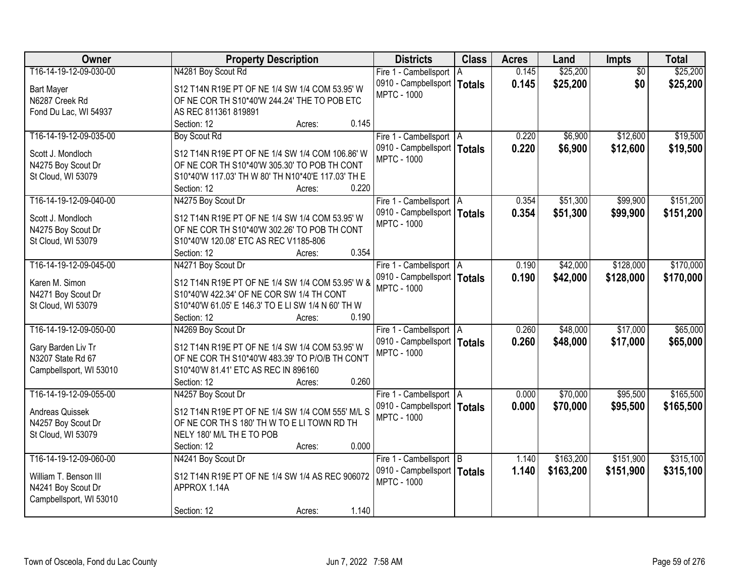| Owner                   | <b>Property Description</b>                        | <b>Districts</b>              | <b>Class</b> | <b>Acres</b> | Land      | Impts           | <b>Total</b> |
|-------------------------|----------------------------------------------------|-------------------------------|--------------|--------------|-----------|-----------------|--------------|
| T16-14-19-12-09-030-00  | N4281 Boy Scout Rd                                 | Fire 1 - Cambellsport   A     |              | 0.145        | \$25,200  | $\overline{50}$ | \$25,200     |
| <b>Bart Mayer</b>       | S12 T14N R19E PT OF NE 1/4 SW 1/4 COM 53.95' W     | 0910 - Campbellsport   Totals |              | 0.145        | \$25,200  | \$0             | \$25,200     |
| N6287 Creek Rd          | OF NE COR TH S10*40'W 244.24' THE TO POB ETC       | <b>MPTC - 1000</b>            |              |              |           |                 |              |
| Fond Du Lac, WI 54937   | AS REC 811361 819891                               |                               |              |              |           |                 |              |
|                         | 0.145<br>Section: 12<br>Acres:                     |                               |              |              |           |                 |              |
| T16-14-19-12-09-035-00  | <b>Boy Scout Rd</b>                                | Fire 1 - Cambellsport   A     |              | 0.220        | \$6,900   | \$12,600        | \$19,500     |
|                         |                                                    | 0910 - Campbellsport   Totals |              | 0.220        | \$6,900   | \$12,600        | \$19,500     |
| Scott J. Mondloch       | S12 T14N R19E PT OF NE 1/4 SW 1/4 COM 106.86' W    | <b>MPTC - 1000</b>            |              |              |           |                 |              |
| N4275 Boy Scout Dr      | OF NE COR TH S10*40'W 305.30' TO POB TH CONT       |                               |              |              |           |                 |              |
| St Cloud, WI 53079      | S10*40'W 117.03' TH W 80' TH N10*40'E 117.03' TH E |                               |              |              |           |                 |              |
|                         | 0.220<br>Section: 12<br>Acres:                     |                               |              |              |           |                 |              |
| T16-14-19-12-09-040-00  | N4275 Boy Scout Dr                                 | Fire 1 - Cambellsport   A     |              | 0.354        | \$51,300  | \$99,900        | \$151,200    |
| Scott J. Mondloch       | S12 T14N R19E PT OF NE 1/4 SW 1/4 COM 53.95' W     | 0910 - Campbellsport   Totals |              | 0.354        | \$51,300  | \$99,900        | \$151,200    |
| N4275 Boy Scout Dr      | OF NE COR TH S10*40'W 302.26' TO POB TH CONT       | <b>MPTC - 1000</b>            |              |              |           |                 |              |
| St Cloud, WI 53079      | S10*40'W 120.08' ETC AS REC V1185-806              |                               |              |              |           |                 |              |
|                         | 0.354<br>Section: 12<br>Acres:                     |                               |              |              |           |                 |              |
| T16-14-19-12-09-045-00  | N4271 Boy Scout Dr                                 | Fire 1 - Cambellsport   A     |              | 0.190        | \$42,000  | \$128,000       | \$170,000    |
|                         |                                                    | 0910 - Campbellsport   Totals |              | 0.190        |           |                 |              |
| Karen M. Simon          | S12 T14N R19E PT OF NE 1/4 SW 1/4 COM 53.95' W &   | <b>MPTC - 1000</b>            |              |              | \$42,000  | \$128,000       | \$170,000    |
| N4271 Boy Scout Dr      | S10*40'W 422.34' OF NE COR SW 1/4 TH CONT          |                               |              |              |           |                 |              |
| St Cloud, WI 53079      | S10*40'W 61.05' E 146.3' TO E LI SW 1/4 N 60' TH W |                               |              |              |           |                 |              |
|                         | 0.190<br>Section: 12<br>Acres:                     |                               |              |              |           |                 |              |
| T16-14-19-12-09-050-00  | N4269 Boy Scout Dr                                 | Fire 1 - Cambellsport   A     |              | 0.260        | \$48,000  | \$17,000        | \$65,000     |
|                         |                                                    | 0910 - Campbellsport   Totals |              | 0.260        | \$48,000  | \$17,000        | \$65,000     |
| Gary Barden Liv Tr      | S12 T14N R19E PT OF NE 1/4 SW 1/4 COM 53.95' W     | <b>MPTC - 1000</b>            |              |              |           |                 |              |
| N3207 State Rd 67       | OF NE COR TH S10*40'W 483.39' TO P/O/B TH CON'T    |                               |              |              |           |                 |              |
| Campbellsport, WI 53010 | S10*40'W 81.41' ETC AS REC IN 896160               |                               |              |              |           |                 |              |
|                         | 0.260<br>Section: 12<br>Acres:                     |                               |              |              |           |                 |              |
| T16-14-19-12-09-055-00  | N4257 Boy Scout Dr                                 | Fire 1 - Cambellsport   A     |              | 0.000        | \$70,000  | \$95,500        | \$165,500    |
| Andreas Quissek         | S12 T14N R19E PT OF NE 1/4 SW 1/4 COM 555' M/L S   | 0910 - Campbellsport   Totals |              | 0.000        | \$70,000  | \$95,500        | \$165,500    |
| N4257 Boy Scout Dr      | OF NE COR TH S 180' TH W TO E LI TOWN RD TH        | <b>MPTC - 1000</b>            |              |              |           |                 |              |
| St Cloud, WI 53079      | NELY 180' M/L TH E TO POB                          |                               |              |              |           |                 |              |
|                         | 0.000<br>Section: 12<br>Acres:                     |                               |              |              |           |                 |              |
| T16-14-19-12-09-060-00  | N4241 Boy Scout Dr                                 | Fire 1 - Cambellsport B       |              | 1.140        | \$163,200 | \$151,900       | \$315,100    |
|                         |                                                    | 0910 - Campbellsport   Totals |              | 1.140        | \$163,200 | \$151,900       | \$315,100    |
| William T. Benson III   | S12 T14N R19E PT OF NE 1/4 SW 1/4 AS REC 906072    | <b>MPTC - 1000</b>            |              |              |           |                 |              |
| N4241 Boy Scout Dr      | APPROX 1.14A                                       |                               |              |              |           |                 |              |
| Campbellsport, WI 53010 |                                                    |                               |              |              |           |                 |              |
|                         | 1.140<br>Section: 12<br>Acres:                     |                               |              |              |           |                 |              |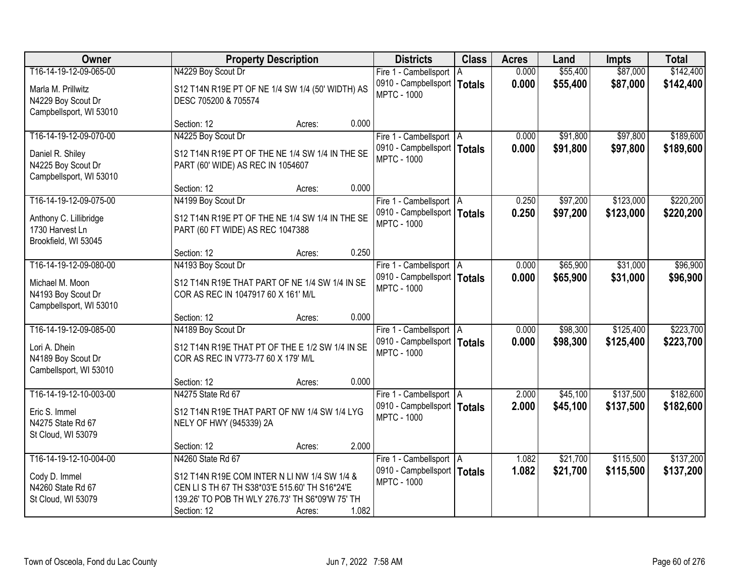| Owner                                                             |                                                                                              | <b>Property Description</b> |       | <b>Districts</b>                                    | <b>Class</b> | <b>Acres</b> | Land     | Impts     | <b>Total</b> |
|-------------------------------------------------------------------|----------------------------------------------------------------------------------------------|-----------------------------|-------|-----------------------------------------------------|--------------|--------------|----------|-----------|--------------|
| T16-14-19-12-09-065-00                                            | N4229 Boy Scout Dr                                                                           |                             |       | Fire 1 - Cambellsport                               | A            | 0.000        | \$55,400 | \$87,000  | \$142,400    |
| Marla M. Prillwitz<br>N4229 Boy Scout Dr                          | S12 T14N R19E PT OF NE 1/4 SW 1/4 (50' WIDTH) AS<br>DESC 705200 & 705574                     |                             |       | 0910 - Campbellsport   Totals<br><b>MPTC - 1000</b> |              | 0.000        | \$55,400 | \$87,000  | \$142,400    |
| Campbellsport, WI 53010                                           |                                                                                              |                             |       |                                                     |              |              |          |           |              |
|                                                                   | Section: 12                                                                                  | Acres:                      | 0.000 |                                                     |              |              |          |           |              |
| T16-14-19-12-09-070-00                                            | N4225 Boy Scout Dr                                                                           |                             |       | Fire 1 - Cambellsport   A                           |              | 0.000        | \$91,800 | \$97,800  | \$189,600    |
| Daniel R. Shiley<br>N4225 Boy Scout Dr<br>Campbellsport, WI 53010 | S12 T14N R19E PT OF THE NE 1/4 SW 1/4 IN THE SE<br>PART (60' WIDE) AS REC IN 1054607         |                             |       | 0910 - Campbellsport   Totals<br><b>MPTC - 1000</b> |              | 0.000        | \$91,800 | \$97,800  | \$189,600    |
|                                                                   | Section: 12                                                                                  | Acres:                      | 0.000 |                                                     |              |              |          |           |              |
| T16-14-19-12-09-075-00                                            | N4199 Boy Scout Dr                                                                           |                             |       | Fire 1 - Cambellsport   A                           |              | 0.250        | \$97,200 | \$123,000 | \$220,200    |
| Anthony C. Lillibridge<br>1730 Harvest Ln<br>Brookfield, WI 53045 | S12 T14N R19E PT OF THE NE 1/4 SW 1/4 IN THE SE<br>PART (60 FT WIDE) AS REC 1047388          |                             |       | 0910 - Campbellsport   Totals<br><b>MPTC - 1000</b> |              | 0.250        | \$97,200 | \$123,000 | \$220,200    |
|                                                                   | Section: 12                                                                                  | Acres:                      | 0.250 |                                                     |              |              |          |           |              |
| T16-14-19-12-09-080-00                                            | N4193 Boy Scout Dr                                                                           |                             |       | Fire 1 - Cambellsport   A                           |              | 0.000        | \$65,900 | \$31,000  | \$96,900     |
|                                                                   |                                                                                              |                             |       | 0910 - Campbellsport   Totals                       |              | 0.000        | \$65,900 | \$31,000  | \$96,900     |
| Michael M. Moon<br>N4193 Boy Scout Dr                             | S12 T14N R19E THAT PART OF NE 1/4 SW 1/4 IN SE<br>COR AS REC IN 1047917 60 X 161' M/L        |                             |       | <b>MPTC - 1000</b>                                  |              |              |          |           |              |
| Campbellsport, WI 53010                                           |                                                                                              |                             |       |                                                     |              |              |          |           |              |
|                                                                   | Section: 12                                                                                  | Acres:                      | 0.000 |                                                     |              |              |          |           |              |
| T16-14-19-12-09-085-00                                            | N4189 Boy Scout Dr                                                                           |                             |       | Fire 1 - Cambellsport   A                           |              | 0.000        | \$98,300 | \$125,400 | \$223,700    |
| Lori A. Dhein                                                     | S12 T14N R19E THAT PT OF THE E 1/2 SW 1/4 IN SE                                              |                             |       | 0910 - Campbellsport   Totals                       |              | 0.000        | \$98,300 | \$125,400 | \$223,700    |
| N4189 Boy Scout Dr<br>Cambellsport, WI 53010                      | COR AS REC IN V773-77 60 X 179' M/L                                                          |                             |       | <b>MPTC - 1000</b>                                  |              |              |          |           |              |
|                                                                   | Section: 12                                                                                  | Acres:                      | 0.000 |                                                     |              |              |          |           |              |
| T16-14-19-12-10-003-00                                            | N4275 State Rd 67                                                                            |                             |       | Fire 1 - Cambellsport   A                           |              | 2.000        | \$45,100 | \$137,500 | \$182,600    |
| Eric S. Immel<br>N4275 State Rd 67<br>St Cloud, WI 53079          | S12 T14N R19E THAT PART OF NW 1/4 SW 1/4 LYG<br>NELY OF HWY (945339) 2A                      |                             |       | 0910 - Campbellsport   Totals<br><b>MPTC - 1000</b> |              | 2.000        | \$45,100 | \$137,500 | \$182,600    |
|                                                                   | Section: 12                                                                                  | Acres:                      | 2.000 |                                                     |              |              |          |           |              |
| T16-14-19-12-10-004-00                                            | N4260 State Rd 67                                                                            |                             |       | Fire 1 - Cambellsport   A                           |              | 1.082        | \$21,700 | \$115,500 | \$137,200    |
|                                                                   |                                                                                              |                             |       | 0910 - Campbellsport   Totals                       |              | 1.082        | \$21,700 | \$115,500 | \$137,200    |
| Cody D. Immel<br>N4260 State Rd 67                                | S12 T14N R19E COM INTER N LI NW 1/4 SW 1/4 &<br>CEN LISTH 67 TH S38*03'E 515.60' TH S16*24'E |                             |       | <b>MPTC - 1000</b>                                  |              |              |          |           |              |
| St Cloud, WI 53079                                                | 139.26' TO POB TH WLY 276.73' TH S6*09'W 75' TH                                              |                             |       |                                                     |              |              |          |           |              |
|                                                                   | Section: 12                                                                                  | Acres:                      | 1.082 |                                                     |              |              |          |           |              |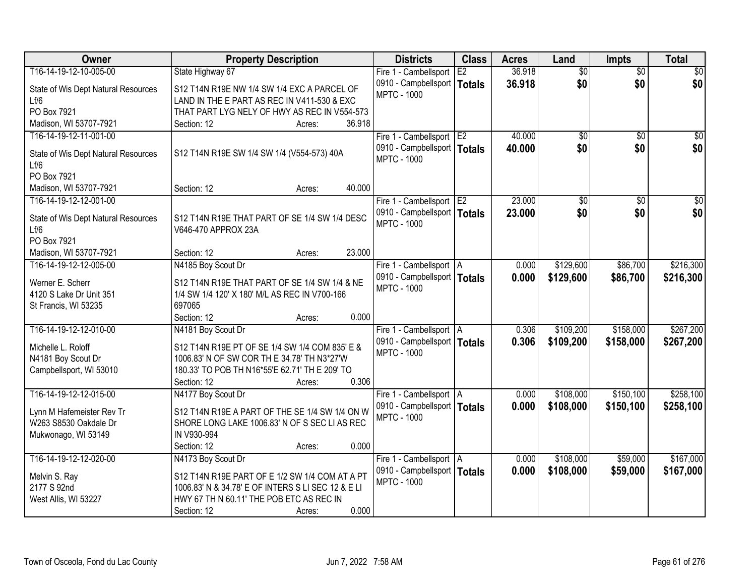| <b>Owner</b>                                | <b>Property Description</b>                        | <b>Districts</b>              | <b>Class</b> | <b>Acres</b> | Land            | <b>Impts</b>    | <b>Total</b>    |
|---------------------------------------------|----------------------------------------------------|-------------------------------|--------------|--------------|-----------------|-----------------|-----------------|
| T16-14-19-12-10-005-00                      | State Highway 67                                   | Fire 1 - Cambellsport         | E2           | 36.918       | $\overline{50}$ | $\overline{50}$ | $\overline{30}$ |
| State of Wis Dept Natural Resources         | S12 T14N R19E NW 1/4 SW 1/4 EXC A PARCEL OF        | 0910 - Campbellsport   Totals |              | 36.918       | \$0             | \$0             | \$0             |
| Lf/6                                        | LAND IN THE E PART AS REC IN V411-530 & EXC        | <b>MPTC - 1000</b>            |              |              |                 |                 |                 |
| PO Box 7921                                 | THAT PART LYG NELY OF HWY AS REC IN V554-573       |                               |              |              |                 |                 |                 |
| Madison, WI 53707-7921                      | 36.918<br>Section: 12<br>Acres:                    |                               |              |              |                 |                 |                 |
| T16-14-19-12-11-001-00                      |                                                    | Fire 1 - Cambellsport E2      |              | 40.000       | \$0             | $\overline{50}$ | \$0             |
|                                             | S12 T14N R19E SW 1/4 SW 1/4 (V554-573) 40A         | 0910 - Campbellsport   Totals |              | 40.000       | \$0             | \$0             | \$0             |
| State of Wis Dept Natural Resources<br>Lf/6 |                                                    | <b>MPTC - 1000</b>            |              |              |                 |                 |                 |
| PO Box 7921                                 |                                                    |                               |              |              |                 |                 |                 |
| Madison, WI 53707-7921                      | 40.000<br>Section: 12<br>Acres:                    |                               |              |              |                 |                 |                 |
| T16-14-19-12-12-001-00                      |                                                    | Fire 1 - Cambellsport E2      |              | 23.000       | $\overline{50}$ | \$0             | $\overline{30}$ |
|                                             |                                                    | 0910 - Campbellsport   Totals |              | 23.000       | \$0             | \$0             | \$0             |
| State of Wis Dept Natural Resources         | S12 T14N R19E THAT PART OF SE 1/4 SW 1/4 DESC      | <b>MPTC - 1000</b>            |              |              |                 |                 |                 |
| Lf/6<br>PO Box 7921                         | V646-470 APPROX 23A                                |                               |              |              |                 |                 |                 |
| Madison, WI 53707-7921                      | 23.000<br>Section: 12<br>Acres:                    |                               |              |              |                 |                 |                 |
| T16-14-19-12-12-005-00                      | N4185 Boy Scout Dr                                 | Fire 1 - Cambellsport   A     |              | 0.000        | \$129,600       | \$86,700        | \$216,300       |
|                                             |                                                    | 0910 - Campbellsport   Totals |              | 0.000        | \$129,600       | \$86,700        | \$216,300       |
| Werner E. Scherr                            | S12 T14N R19E THAT PART OF SE 1/4 SW 1/4 & NE      | <b>MPTC - 1000</b>            |              |              |                 |                 |                 |
| 4120 S Lake Dr Unit 351                     | 1/4 SW 1/4 120' X 180' M/L AS REC IN V700-166      |                               |              |              |                 |                 |                 |
| St Francis, WI 53235                        | 697065                                             |                               |              |              |                 |                 |                 |
|                                             | 0.000<br>Section: 12<br>Acres:                     |                               |              |              |                 |                 |                 |
| T16-14-19-12-12-010-00                      | N4181 Boy Scout Dr                                 | Fire 1 - Cambellsport   A     |              | 0.306        | \$109,200       | \$158,000       | \$267,200       |
| Michelle L. Roloff                          | S12 T14N R19E PT OF SE 1/4 SW 1/4 COM 835' E &     | 0910 - Campbellsport   Totals |              | 0.306        | \$109,200       | \$158,000       | \$267,200       |
| N4181 Boy Scout Dr                          | 1006.83' N OF SW COR TH E 34.78' TH N3*27'W        | <b>MPTC - 1000</b>            |              |              |                 |                 |                 |
| Campbellsport, WI 53010                     | 180.33' TO POB TH N16*55'E 62.71' TH E 209' TO     |                               |              |              |                 |                 |                 |
|                                             | 0.306<br>Section: 12<br>Acres:                     |                               |              |              |                 |                 |                 |
| T16-14-19-12-12-015-00                      | N4177 Boy Scout Dr                                 | Fire 1 - Cambellsport   A     |              | 0.000        | \$108,000       | \$150,100       | \$258,100       |
| Lynn M Hafemeister Rev Tr                   | S12 T14N R19E A PART OF THE SE 1/4 SW 1/4 ON W     | 0910 - Campbellsport   Totals |              | 0.000        | \$108,000       | \$150,100       | \$258,100       |
| W263 S8530 Oakdale Dr                       | SHORE LONG LAKE 1006.83' N OF S SEC LI AS REC      | <b>MPTC - 1000</b>            |              |              |                 |                 |                 |
| Mukwonago, WI 53149                         | IN V930-994                                        |                               |              |              |                 |                 |                 |
|                                             | 0.000<br>Section: 12<br>Acres:                     |                               |              |              |                 |                 |                 |
| T16-14-19-12-12-020-00                      | N4173 Boy Scout Dr                                 | Fire 1 - Cambellsport A       |              | 0.000        | \$108,000       | \$59,000        | \$167,000       |
| Melvin S. Ray                               | S12 T14N R19E PART OF E 1/2 SW 1/4 COM AT A PT     | 0910 - Campbellsport          | Totals       | 0.000        | \$108,000       | \$59,000        | \$167,000       |
| 2177 S 92nd                                 | 1006.83' N & 34.78' E OF INTERS S LI SEC 12 & E LI | <b>MPTC - 1000</b>            |              |              |                 |                 |                 |
| West Allis, WI 53227                        | HWY 67 TH N 60.11' THE POB ETC AS REC IN           |                               |              |              |                 |                 |                 |
|                                             | 0.000<br>Section: 12<br>Acres:                     |                               |              |              |                 |                 |                 |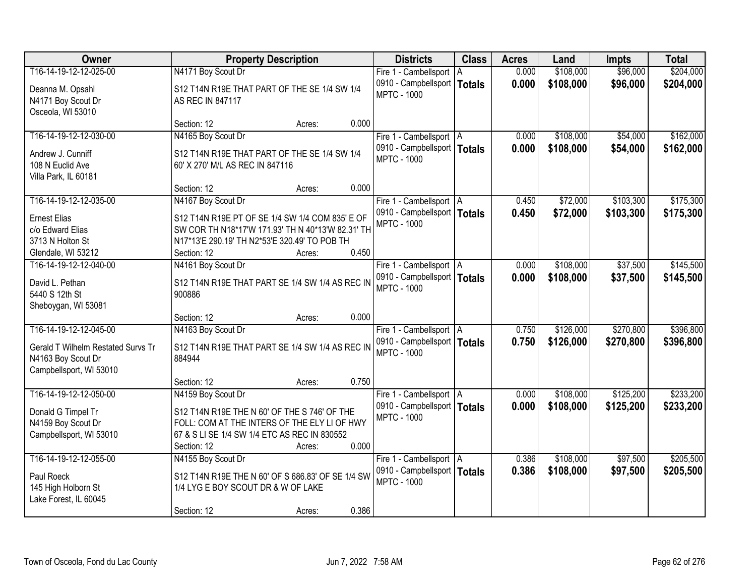| <b>Owner</b>                           |                                                                  | <b>Districts</b><br><b>Property Description</b> |       |                                                     | <b>Class</b>  | <b>Acres</b> | Land      | <b>Impts</b> | <b>Total</b> |
|----------------------------------------|------------------------------------------------------------------|-------------------------------------------------|-------|-----------------------------------------------------|---------------|--------------|-----------|--------------|--------------|
| T16-14-19-12-12-025-00                 | N4171 Boy Scout Dr                                               |                                                 |       | Fire 1 - Cambellsport                               | ΙA            | 0.000        | \$108,000 | \$96,000     | \$204,000    |
| Deanna M. Opsahl<br>N4171 Boy Scout Dr | S12 T14N R19E THAT PART OF THE SE 1/4 SW 1/4<br>AS REC IN 847117 |                                                 |       | 0910 - Campbellsport  <br><b>MPTC - 1000</b>        | <b>Totals</b> | 0.000        | \$108,000 | \$96,000     | \$204,000    |
| Osceola, WI 53010                      |                                                                  |                                                 |       |                                                     |               |              |           |              |              |
|                                        | Section: 12                                                      | Acres:                                          | 0.000 |                                                     |               |              |           |              |              |
| T16-14-19-12-12-030-00                 | N4165 Boy Scout Dr                                               |                                                 |       | Fire 1 - Cambellsport   A                           |               | 0.000        | \$108,000 | \$54,000     | \$162,000    |
| Andrew J. Cunniff                      | S12 T14N R19E THAT PART OF THE SE 1/4 SW 1/4                     |                                                 |       | 0910 - Campbellsport   Totals                       |               | 0.000        | \$108,000 | \$54,000     | \$162,000    |
| 108 N Euclid Ave                       | 60' X 270' M/L AS REC IN 847116                                  |                                                 |       | <b>MPTC - 1000</b>                                  |               |              |           |              |              |
| Villa Park, IL 60181                   |                                                                  |                                                 |       |                                                     |               |              |           |              |              |
|                                        | Section: 12                                                      | Acres:                                          | 0.000 |                                                     |               |              |           |              |              |
| T16-14-19-12-12-035-00                 | N4167 Boy Scout Dr                                               |                                                 |       | Fire 1 - Cambellsport   A                           |               | 0.450        | \$72,000  | \$103,300    | \$175,300    |
| <b>Ernest Elias</b>                    | S12 T14N R19E PT OF SE 1/4 SW 1/4 COM 835' E OF                  |                                                 |       | 0910 - Campbellsport   Totals                       |               | 0.450        | \$72,000  | \$103,300    | \$175,300    |
| c/o Edward Elias                       | SW COR TH N18*17'W 171.93' TH N 40*13'W 82.31' TH                |                                                 |       | <b>MPTC - 1000</b>                                  |               |              |           |              |              |
| 3713 N Holton St                       | N17*13'E 290.19' TH N2*53'E 320.49' TO POB TH                    |                                                 |       |                                                     |               |              |           |              |              |
| Glendale, WI 53212                     | Section: 12                                                      | Acres:                                          | 0.450 |                                                     |               |              |           |              |              |
| T16-14-19-12-12-040-00                 | N4161 Boy Scout Dr                                               |                                                 |       | Fire 1 - Cambellsport   A                           |               | 0.000        | \$108,000 | \$37,500     | \$145,500    |
|                                        |                                                                  |                                                 |       | 0910 - Campbellsport   Totals                       |               | 0.000        | \$108,000 | \$37,500     | \$145,500    |
| David L. Pethan<br>5440 S 12th St      | S12 T14N R19E THAT PART SE 1/4 SW 1/4 AS REC IN<br>900886        |                                                 |       | <b>MPTC - 1000</b>                                  |               |              |           |              |              |
| Sheboygan, WI 53081                    |                                                                  |                                                 |       |                                                     |               |              |           |              |              |
|                                        | Section: 12                                                      | Acres:                                          | 0.000 |                                                     |               |              |           |              |              |
| T16-14-19-12-12-045-00                 | N4163 Boy Scout Dr                                               |                                                 |       | Fire 1 - Cambellsport   A                           |               | 0.750        | \$126,000 | \$270,800    | \$396,800    |
|                                        |                                                                  |                                                 |       | 0910 - Campbellsport   Totals                       |               | 0.750        | \$126,000 | \$270,800    | \$396,800    |
| Gerald T Wilhelm Restated Survs Tr     | S12 T14N R19E THAT PART SE 1/4 SW 1/4 AS REC IN                  |                                                 |       | <b>MPTC - 1000</b>                                  |               |              |           |              |              |
| N4163 Boy Scout Dr                     | 884944                                                           |                                                 |       |                                                     |               |              |           |              |              |
| Campbellsport, WI 53010                |                                                                  |                                                 |       |                                                     |               |              |           |              |              |
|                                        | Section: 12                                                      | Acres:                                          | 0.750 |                                                     |               |              |           |              |              |
| T16-14-19-12-12-050-00                 | N4159 Boy Scout Dr                                               |                                                 |       | Fire 1 - Cambellsport   A                           |               | 0.000        | \$108,000 | \$125,200    | \$233,200    |
| Donald G Timpel Tr                     | S12 T14N R19E THE N 60' OF THE S 746' OF THE                     |                                                 |       | 0910 - Campbellsport   Totals<br><b>MPTC - 1000</b> |               | 0.000        | \$108,000 | \$125,200    | \$233,200    |
| N4159 Boy Scout Dr                     | FOLL: COM AT THE INTERS OF THE ELY LI OF HWY                     |                                                 |       |                                                     |               |              |           |              |              |
| Campbellsport, WI 53010                | 67 & S LI SE 1/4 SW 1/4 ETC AS REC IN 830552                     |                                                 |       |                                                     |               |              |           |              |              |
|                                        | Section: 12                                                      | Acres:                                          | 0.000 |                                                     |               |              |           |              |              |
| T16-14-19-12-12-055-00                 | N4155 Boy Scout Dr                                               |                                                 |       | Fire 1 - Cambellsport   A                           |               | 0.386        | \$108,000 | \$97,500     | \$205,500    |
| Paul Roeck                             | S12 T14N R19E THE N 60' OF S 686.83' OF SE 1/4 SW                |                                                 |       | 0910 - Campbellsport   Totals                       |               | 0.386        | \$108,000 | \$97,500     | \$205,500    |
| 145 High Holborn St                    | 1/4 LYG E BOY SCOUT DR & W OF LAKE                               |                                                 |       | <b>MPTC - 1000</b>                                  |               |              |           |              |              |
| Lake Forest, IL 60045                  |                                                                  |                                                 |       |                                                     |               |              |           |              |              |
|                                        | Section: 12                                                      | Acres:                                          | 0.386 |                                                     |               |              |           |              |              |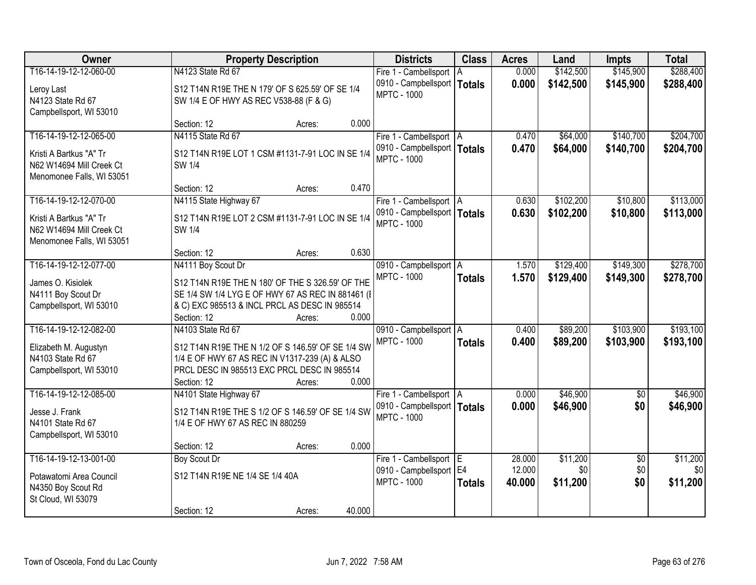| Owner                     | <b>Property Description</b>                       | <b>Districts</b>              | <b>Class</b>  | <b>Acres</b> | Land      | Impts           | <b>Total</b>     |
|---------------------------|---------------------------------------------------|-------------------------------|---------------|--------------|-----------|-----------------|------------------|
| T16-14-19-12-12-060-00    | N4123 State Rd 67                                 | Fire 1 - Cambellsport   A     |               | 0.000        | \$142,500 | \$145,900       | \$288,400        |
| Leroy Last                | S12 T14N R19E THE N 179' OF S 625.59' OF SE 1/4   | 0910 - Campbellsport   Totals |               | 0.000        | \$142,500 | \$145,900       | \$288,400        |
| N4123 State Rd 67         | SW 1/4 E OF HWY AS REC V538-88 (F & G)            | <b>MPTC - 1000</b>            |               |              |           |                 |                  |
| Campbellsport, WI 53010   |                                                   |                               |               |              |           |                 |                  |
|                           | 0.000<br>Section: 12<br>Acres:                    |                               |               |              |           |                 |                  |
| T16-14-19-12-12-065-00    | N4115 State Rd 67                                 | Fire 1 - Cambellsport   A     |               | 0.470        | \$64,000  | \$140,700       | \$204,700        |
| Kristi A Bartkus "A" Tr   | S12 T14N R19E LOT 1 CSM #1131-7-91 LOC IN SE 1/4  | 0910 - Campbellsport   Totals |               | 0.470        | \$64,000  | \$140,700       | \$204,700        |
| N62 W14694 Mill Creek Ct  | SW 1/4                                            | <b>MPTC - 1000</b>            |               |              |           |                 |                  |
| Menomonee Falls, WI 53051 |                                                   |                               |               |              |           |                 |                  |
|                           | 0.470<br>Section: 12<br>Acres:                    |                               |               |              |           |                 |                  |
| T16-14-19-12-12-070-00    | N4115 State Highway 67                            | Fire 1 - Cambellsport   A     |               | 0.630        | \$102,200 | \$10,800        | \$113,000        |
| Kristi A Bartkus "A" Tr   | S12 T14N R19E LOT 2 CSM #1131-7-91 LOC IN SE 1/4  | 0910 - Campbellsport   Totals |               | 0.630        | \$102,200 | \$10,800        | \$113,000        |
| N62 W14694 Mill Creek Ct  | <b>SW 1/4</b>                                     | <b>MPTC - 1000</b>            |               |              |           |                 |                  |
| Menomonee Falls, WI 53051 |                                                   |                               |               |              |           |                 |                  |
|                           | 0.630<br>Section: 12<br>Acres:                    |                               |               |              |           |                 |                  |
| T16-14-19-12-12-077-00    | N4111 Boy Scout Dr                                | 0910 - Campbellsport   A      |               | 1.570        | \$129,400 | \$149,300       | \$278,700        |
| James O. Kisiolek         | S12 T14N R19E THE N 180' OF THE S 326.59' OF THE  | <b>MPTC - 1000</b>            | <b>Totals</b> | 1.570        | \$129,400 | \$149,300       | \$278,700        |
| N4111 Boy Scout Dr        | SE 1/4 SW 1/4 LYG E OF HWY 67 AS REC IN 881461 (I |                               |               |              |           |                 |                  |
| Campbellsport, WI 53010   | & C) EXC 985513 & INCL PRCL AS DESC IN 985514     |                               |               |              |           |                 |                  |
|                           | 0.000<br>Section: 12<br>Acres:                    |                               |               |              |           |                 |                  |
| T16-14-19-12-12-082-00    | N4103 State Rd 67                                 | 0910 - Campbellsport   A      |               | 0.400        | \$89,200  | \$103,900       | \$193,100        |
| Elizabeth M. Augustyn     | S12 T14N R19E THE N 1/2 OF S 146.59' OF SE 1/4 SW | <b>MPTC - 1000</b>            | <b>Totals</b> | 0.400        | \$89,200  | \$103,900       | \$193,100        |
| N4103 State Rd 67         | 1/4 E OF HWY 67 AS REC IN V1317-239 (A) & ALSO    |                               |               |              |           |                 |                  |
| Campbellsport, WI 53010   | PRCL DESC IN 985513 EXC PRCL DESC IN 985514       |                               |               |              |           |                 |                  |
|                           | 0.000<br>Section: 12<br>Acres:                    |                               |               |              |           |                 |                  |
| T16-14-19-12-12-085-00    | N4101 State Highway 67                            | Fire 1 - Cambellsport   A     |               | 0.000        | \$46,900  | $\overline{50}$ | \$46,900         |
| Jesse J. Frank            | S12 T14N R19E THE S 1/2 OF S 146.59' OF SE 1/4 SW | 0910 - Campbellsport   Totals |               | 0.000        | \$46,900  | \$0             | \$46,900         |
| N4101 State Rd 67         | 1/4 E OF HWY 67 AS REC IN 880259                  | <b>MPTC - 1000</b>            |               |              |           |                 |                  |
| Campbellsport, WI 53010   |                                                   |                               |               |              |           |                 |                  |
|                           | 0.000<br>Section: 12<br>Acres:                    |                               |               |              |           |                 |                  |
| T16-14-19-12-13-001-00    | <b>Boy Scout Dr</b>                               | Fire 1 - Cambellsport E       |               | 28.000       | \$11,200  | $\overline{50}$ | \$11,200         |
| Potawatomi Area Council   | S12 T14N R19E NE 1/4 SE 1/4 40A                   | 0910 - Campbellsport   E4     |               | 12.000       | \$0       | \$0             | \$0 <sub>1</sub> |
| N4350 Boy Scout Rd        |                                                   | <b>MPTC - 1000</b>            | <b>Totals</b> | 40.000       | \$11,200  | \$0             | \$11,200         |
| St Cloud, WI 53079        |                                                   |                               |               |              |           |                 |                  |
|                           | 40.000<br>Section: 12<br>Acres:                   |                               |               |              |           |                 |                  |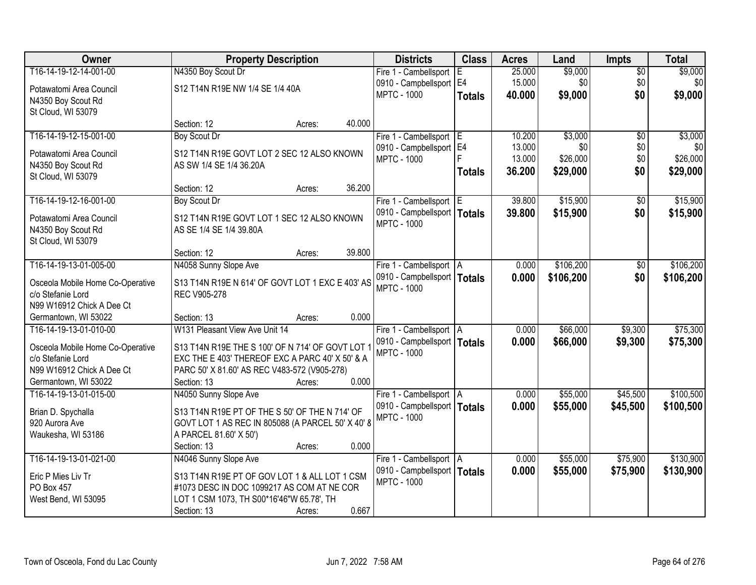| <b>Owner</b>                                   | <b>Property Description</b>                       |        |        | <b>Districts</b>              | <b>Class</b>  | <b>Acres</b> | Land      | <b>Impts</b>    | <b>Total</b> |
|------------------------------------------------|---------------------------------------------------|--------|--------|-------------------------------|---------------|--------------|-----------|-----------------|--------------|
| T16-14-19-12-14-001-00                         | N4350 Boy Scout Dr                                |        |        | Fire 1 - Cambellsport         | ΙEΙ           | 25.000       | \$9,000   | $\overline{$0}$ | \$9,000      |
| Potawatomi Area Council                        | S12 T14N R19E NW 1/4 SE 1/4 40A                   |        |        | 0910 - Campbellsport   E4     |               | 15.000       | \$0       | \$0             | \$0          |
| N4350 Boy Scout Rd                             |                                                   |        |        | <b>MPTC - 1000</b>            | <b>Totals</b> | 40.000       | \$9,000   | \$0             | \$9,000      |
| St Cloud, WI 53079                             |                                                   |        |        |                               |               |              |           |                 |              |
|                                                | Section: 12                                       | Acres: | 40.000 |                               |               |              |           |                 |              |
| T16-14-19-12-15-001-00                         | <b>Boy Scout Dr</b>                               |        |        | Fire 1 - Cambellsport E       |               | 10.200       | \$3,000   | $\overline{50}$ | \$3,000      |
| Potawatomi Area Council                        | S12 T14N R19E GOVT LOT 2 SEC 12 ALSO KNOWN        |        |        | 0910 - Campbellsport   E4     |               | 13.000       | \$0       | \$0             | <b>\$01</b>  |
| N4350 Boy Scout Rd                             | AS SW 1/4 SE 1/4 36.20A                           |        |        | <b>MPTC - 1000</b>            |               | 13.000       | \$26,000  | \$0             | \$26,000     |
| St Cloud, WI 53079                             |                                                   |        |        |                               | <b>Totals</b> | 36.200       | \$29,000  | \$0             | \$29,000     |
|                                                | Section: 12                                       | Acres: | 36.200 |                               |               |              |           |                 |              |
| T16-14-19-12-16-001-00                         | <b>Boy Scout Dr</b>                               |        |        | Fire 1 - Cambellsport E       |               | 39.800       | \$15,900  | \$0             | \$15,900     |
| Potawatomi Area Council                        | S12 T14N R19E GOVT LOT 1 SEC 12 ALSO KNOWN        |        |        | 0910 - Campbellsport   Totals |               | 39.800       | \$15,900  | \$0             | \$15,900     |
| N4350 Boy Scout Rd                             | AS SE 1/4 SE 1/4 39.80A                           |        |        | <b>MPTC - 1000</b>            |               |              |           |                 |              |
| St Cloud, WI 53079                             |                                                   |        |        |                               |               |              |           |                 |              |
|                                                | Section: 12                                       | Acres: | 39.800 |                               |               |              |           |                 |              |
| T16-14-19-13-01-005-00                         | N4058 Sunny Slope Ave                             |        |        | Fire 1 - Cambellsport   A     |               | 0.000        | \$106,200 | $\sqrt[6]{3}$   | \$106,200    |
| Osceola Mobile Home Co-Operative               | S13 T14N R19E N 614' OF GOVT LOT 1 EXC E 403' AS  |        |        | 0910 - Campbellsport   Totals |               | 0.000        | \$106,200 | \$0             | \$106,200    |
| c/o Stefanie Lord                              | REC V905-278                                      |        |        | <b>MPTC - 1000</b>            |               |              |           |                 |              |
| N99 W16912 Chick A Dee Ct                      |                                                   |        |        |                               |               |              |           |                 |              |
| Germantown, WI 53022                           | Section: 13                                       | Acres: | 0.000  |                               |               |              |           |                 |              |
| T16-14-19-13-01-010-00                         | W131 Pleasant View Ave Unit 14                    |        |        | Fire 1 - Cambellsport   A     |               | 0.000        | \$66,000  | \$9,300         | \$75,300     |
|                                                |                                                   |        |        | 0910 - Campbellsport   Totals |               | 0.000        | \$66,000  | \$9,300         | \$75,300     |
| Osceola Mobile Home Co-Operative               | S13 T14N R19E THE S 100' OF N 714' OF GOVT LOT    |        |        | <b>MPTC - 1000</b>            |               |              |           |                 |              |
| c/o Stefanie Lord                              | EXC THE E 403' THEREOF EXC A PARC 40' X 50' & A   |        |        |                               |               |              |           |                 |              |
| N99 W16912 Chick A Dee Ct                      | PARC 50' X 81.60' AS REC V483-572 (V905-278)      |        | 0.000  |                               |               |              |           |                 |              |
| Germantown, WI 53022<br>T16-14-19-13-01-015-00 | Section: 13<br>N4050 Sunny Slope Ave              | Acres: |        | Fire 1 - Cambellsport   A     |               | 0.000        | \$55,000  | \$45,500        | \$100,500    |
|                                                |                                                   |        |        | 0910 - Campbellsport   Totals |               | 0.000        | \$55,000  | \$45,500        | \$100,500    |
| Brian D. Spychalla                             | S13 T14N R19E PT OF THE S 50' OF THE N 714' OF    |        |        | <b>MPTC - 1000</b>            |               |              |           |                 |              |
| 920 Aurora Ave                                 | GOVT LOT 1 AS REC IN 805088 (A PARCEL 50' X 40' 8 |        |        |                               |               |              |           |                 |              |
| Waukesha, WI 53186                             | A PARCEL 81.60' X 50')                            |        |        |                               |               |              |           |                 |              |
|                                                | Section: 13                                       | Acres: | 0.000  |                               |               |              |           |                 |              |
| T16-14-19-13-01-021-00                         | N4046 Sunny Slope Ave                             |        |        | Fire 1 - Cambellsport   A     |               | 0.000        | \$55,000  | \$75,900        | \$130,900    |
| Eric P Mies Liv Tr                             | S13 T14N R19E PT OF GOV LOT 1 & ALL LOT 1 CSM     |        |        | 0910 - Campbellsport   Totals |               | 0.000        | \$55,000  | \$75,900        | \$130,900    |
| PO Box 457                                     | #1073 DESC IN DOC 1099217 AS COM AT NE COR        |        |        | <b>MPTC - 1000</b>            |               |              |           |                 |              |
| West Bend, WI 53095                            | LOT 1 CSM 1073, TH S00*16'46"W 65.78', TH         |        |        |                               |               |              |           |                 |              |
|                                                | Section: 13                                       | Acres: | 0.667  |                               |               |              |           |                 |              |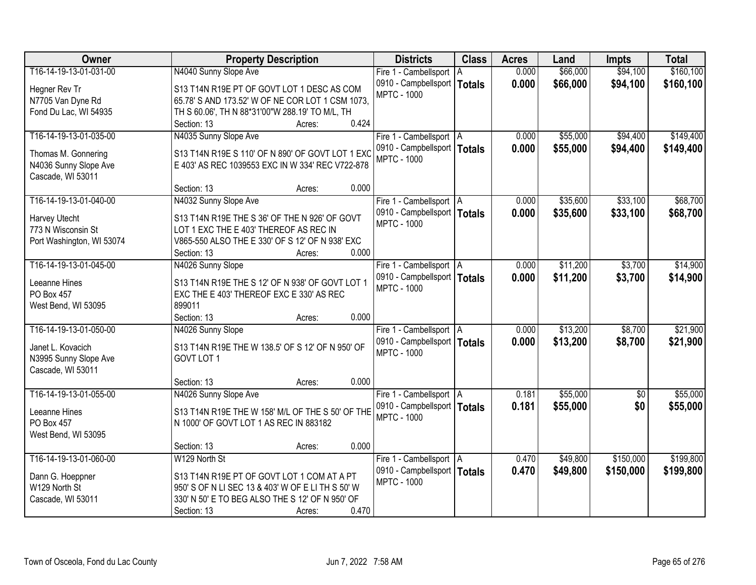| Owner                     | <b>Property Description</b>                       | <b>Districts</b>              | <b>Class</b>  | <b>Acres</b> | Land     | <b>Impts</b>    | <b>Total</b> |
|---------------------------|---------------------------------------------------|-------------------------------|---------------|--------------|----------|-----------------|--------------|
| T16-14-19-13-01-031-00    | N4040 Sunny Slope Ave                             | Fire 1 - Cambellsport   A     |               | 0.000        | \$66,000 | \$94,100        | \$160, 100   |
| Hegner Rev Tr             | S13 T14N R19E PT OF GOVT LOT 1 DESC AS COM        | 0910 - Campbellsport          | <b>Totals</b> | 0.000        | \$66,000 | \$94,100        | \$160,100    |
| N7705 Van Dyne Rd         | 65.78' S AND 173.52' W OF NE COR LOT 1 CSM 1073,  | <b>MPTC - 1000</b>            |               |              |          |                 |              |
| Fond Du Lac, WI 54935     | TH S 60.06', TH N 88*31'00"W 288.19' TO M/L, TH   |                               |               |              |          |                 |              |
|                           | 0.424<br>Section: 13<br>Acres:                    |                               |               |              |          |                 |              |
| T16-14-19-13-01-035-00    | N4035 Sunny Slope Ave                             | Fire 1 - Cambellsport   A     |               | 0.000        | \$55,000 | \$94,400        | \$149,400    |
|                           |                                                   | 0910 - Campbellsport   Totals |               | 0.000        | \$55,000 | \$94,400        | \$149,400    |
| Thomas M. Gonnering       | S13 T14N R19E S 110' OF N 890' OF GOVT LOT 1 EXC  | <b>MPTC - 1000</b>            |               |              |          |                 |              |
| N4036 Sunny Slope Ave     | E 403' AS REC 1039553 EXC IN W 334' REC V722-878  |                               |               |              |          |                 |              |
| Cascade, WI 53011         |                                                   |                               |               |              |          |                 |              |
|                           | 0.000<br>Section: 13<br>Acres:                    |                               |               |              |          |                 |              |
| T16-14-19-13-01-040-00    | N4032 Sunny Slope Ave                             | Fire 1 - Cambellsport   A     |               | 0.000        | \$35,600 | \$33,100        | \$68,700     |
| Harvey Utecht             | S13 T14N R19E THE S 36' OF THE N 926' OF GOVT     | 0910 - Campbellsport   Totals |               | 0.000        | \$35,600 | \$33,100        | \$68,700     |
| 773 N Wisconsin St        | LOT 1 EXC THE E 403' THEREOF AS REC IN            | <b>MPTC - 1000</b>            |               |              |          |                 |              |
| Port Washington, WI 53074 | V865-550 ALSO THE E 330' OF S 12' OF N 938' EXC   |                               |               |              |          |                 |              |
|                           | 0.000<br>Section: 13<br>Acres:                    |                               |               |              |          |                 |              |
| T16-14-19-13-01-045-00    | N4026 Sunny Slope                                 | Fire 1 - Cambellsport   A     |               | 0.000        | \$11,200 | \$3,700         | \$14,900     |
|                           |                                                   | 0910 - Campbellsport   Totals |               | 0.000        | \$11,200 | \$3,700         | \$14,900     |
| Leeanne Hines             | S13 T14N R19E THE S 12' OF N 938' OF GOVT LOT 1   | <b>MPTC - 1000</b>            |               |              |          |                 |              |
| PO Box 457                | EXC THE E 403' THEREOF EXC E 330' AS REC          |                               |               |              |          |                 |              |
| West Bend, WI 53095       | 899011                                            |                               |               |              |          |                 |              |
|                           | 0.000<br>Section: 13<br>Acres:                    |                               |               |              |          |                 |              |
| T16-14-19-13-01-050-00    | N4026 Sunny Slope                                 | Fire 1 - Cambellsport   A     |               | 0.000        | \$13,200 | \$8,700         | \$21,900     |
| Janet L. Kovacich         | S13 T14N R19E THE W 138.5' OF S 12' OF N 950' OF  | 0910 - Campbellsport   Totals |               | 0.000        | \$13,200 | \$8,700         | \$21,900     |
| N3995 Sunny Slope Ave     | GOVT LOT 1                                        | <b>MPTC - 1000</b>            |               |              |          |                 |              |
| Cascade, WI 53011         |                                                   |                               |               |              |          |                 |              |
|                           | 0.000<br>Section: 13<br>Acres:                    |                               |               |              |          |                 |              |
| T16-14-19-13-01-055-00    | N4026 Sunny Slope Ave                             | Fire 1 - Cambellsport   A     |               | 0.181        | \$55,000 | $\overline{60}$ | \$55,000     |
| Leeanne Hines             | S13 T14N R19E THE W 158' M/L OF THE S 50' OF THE  | 0910 - Campbellsport   Totals |               | 0.181        | \$55,000 | \$0             | \$55,000     |
| PO Box 457                | N 1000' OF GOVT LOT 1 AS REC IN 883182            | <b>MPTC - 1000</b>            |               |              |          |                 |              |
| West Bend, WI 53095       |                                                   |                               |               |              |          |                 |              |
|                           | 0.000<br>Section: 13<br>Acres:                    |                               |               |              |          |                 |              |
| T16-14-19-13-01-060-00    | W129 North St                                     | Fire 1 - Cambellsport   A     |               | 0.470        | \$49,800 | \$150,000       | \$199,800    |
|                           |                                                   | 0910 - Campbellsport   Totals |               | 0.470        | \$49,800 | \$150,000       | \$199,800    |
| Dann G. Hoeppner          | S13 T14N R19E PT OF GOVT LOT 1 COM AT A PT        | <b>MPTC - 1000</b>            |               |              |          |                 |              |
| W129 North St             | 950' S OF N LI SEC 13 & 403' W OF E LI TH S 50' W |                               |               |              |          |                 |              |
| Cascade, WI 53011         | 330' N 50' E TO BEG ALSO THE S 12' OF N 950' OF   |                               |               |              |          |                 |              |
|                           | 0.470<br>Section: 13<br>Acres:                    |                               |               |              |          |                 |              |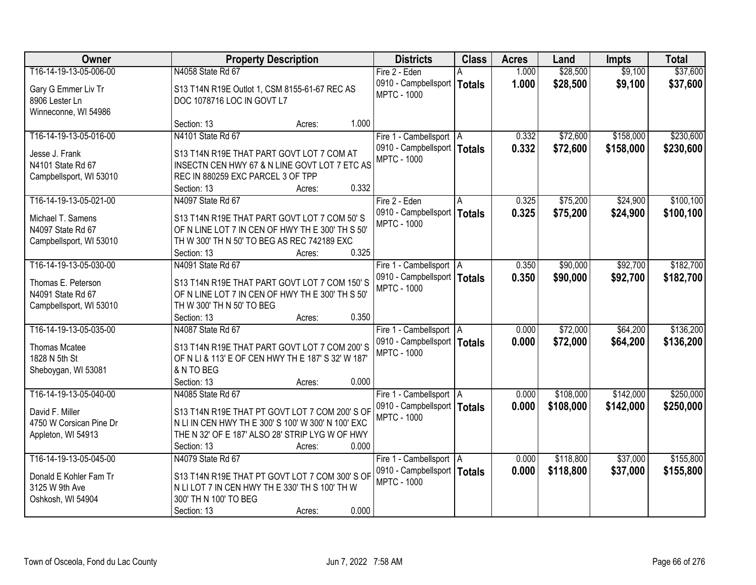| <b>Owner</b>            | <b>Property Description</b>                        | <b>Districts</b>              | <b>Class</b> | <b>Acres</b> | Land      | <b>Impts</b> | <b>Total</b> |
|-------------------------|----------------------------------------------------|-------------------------------|--------------|--------------|-----------|--------------|--------------|
| T16-14-19-13-05-006-00  | N4058 State Rd 67                                  | Fire 2 - Eden                 |              | 1.000        | \$28,500  | \$9,100      | \$37,600     |
| Gary G Emmer Liv Tr     | S13 T14N R19E Outlot 1, CSM 8155-61-67 REC AS      | 0910 - Campbellsport   Totals |              | 1.000        | \$28,500  | \$9,100      | \$37,600     |
| 8906 Lester Ln          | DOC 1078716 LOC IN GOVT L7                         | <b>MPTC - 1000</b>            |              |              |           |              |              |
| Winneconne, WI 54986    |                                                    |                               |              |              |           |              |              |
|                         | 1.000<br>Section: 13<br>Acres:                     |                               |              |              |           |              |              |
| T16-14-19-13-05-016-00  | N4101 State Rd 67                                  | Fire 1 - Cambellsport   A     |              | 0.332        | \$72,600  | \$158,000    | \$230,600    |
| Jesse J. Frank          | S13 T14N R19E THAT PART GOVT LOT 7 COM AT          | 0910 - Campbellsport   Totals |              | 0.332        | \$72,600  | \$158,000    | \$230,600    |
| N4101 State Rd 67       | INSECTN CEN HWY 67 & N LINE GOVT LOT 7 ETC AS      | <b>MPTC - 1000</b>            |              |              |           |              |              |
| Campbellsport, WI 53010 | REC IN 880259 EXC PARCEL 3 OF TPP                  |                               |              |              |           |              |              |
|                         | 0.332<br>Section: 13<br>Acres:                     |                               |              |              |           |              |              |
| T16-14-19-13-05-021-00  | N4097 State Rd 67                                  | Fire 2 - Eden                 | IA.          | 0.325        | \$75,200  | \$24,900     | \$100, 100   |
| Michael T. Samens       | S13 T14N R19E THAT PART GOVT LOT 7 COM 50'S        | 0910 - Campbellsport   Totals |              | 0.325        | \$75,200  | \$24,900     | \$100,100    |
| N4097 State Rd 67       | OF N LINE LOT 7 IN CEN OF HWY TH E 300' TH S 50'   | <b>MPTC - 1000</b>            |              |              |           |              |              |
| Campbellsport, WI 53010 | TH W 300' TH N 50' TO BEG AS REC 742189 EXC        |                               |              |              |           |              |              |
|                         | 0.325<br>Section: 13<br>Acres:                     |                               |              |              |           |              |              |
| T16-14-19-13-05-030-00  | N4091 State Rd 67                                  | Fire 1 - Cambellsport   A     |              | 0.350        | \$90,000  | \$92,700     | \$182,700    |
| Thomas E. Peterson      | S13 T14N R19E THAT PART GOVT LOT 7 COM 150'S       | 0910 - Campbellsport   Totals |              | 0.350        | \$90,000  | \$92,700     | \$182,700    |
| N4091 State Rd 67       | OF N LINE LOT 7 IN CEN OF HWY THE 300' TH S 50'    | <b>MPTC - 1000</b>            |              |              |           |              |              |
| Campbellsport, WI 53010 | TH W 300' TH N 50' TO BEG                          |                               |              |              |           |              |              |
|                         | 0.350<br>Section: 13<br>Acres:                     |                               |              |              |           |              |              |
| T16-14-19-13-05-035-00  | N4087 State Rd 67                                  | Fire 1 - Cambellsport   A     |              | 0.000        | \$72,000  | \$64,200     | \$136,200    |
|                         |                                                    | 0910 - Campbellsport   Totals |              | 0.000        | \$72,000  | \$64,200     | \$136,200    |
| Thomas Mcatee           | S13 T14N R19E THAT PART GOVT LOT 7 COM 200'S       | <b>MPTC - 1000</b>            |              |              |           |              |              |
| 1828 N 5th St           | OF N LI & 113' E OF CEN HWY TH E 187' S 32' W 187' |                               |              |              |           |              |              |
| Sheboygan, WI 53081     | & N TO BEG<br>0.000<br>Section: 13                 |                               |              |              |           |              |              |
| T16-14-19-13-05-040-00  | Acres:<br>N4085 State Rd 67                        | Fire 1 - Cambellsport   A     |              | 0.000        | \$108,000 | \$142,000    | \$250,000    |
|                         |                                                    | 0910 - Campbellsport   Totals |              | 0.000        | \$108,000 | \$142,000    | \$250,000    |
| David F. Miller         | S13 T14N R19E THAT PT GOVT LOT 7 COM 200'S OF      | <b>MPTC - 1000</b>            |              |              |           |              |              |
| 4750 W Corsican Pine Dr | N LI IN CEN HWY TH E 300' S 100' W 300' N 100' EXC |                               |              |              |           |              |              |
| Appleton, WI 54913      | THE N 32' OF E 187' ALSO 28' STRIP LYG W OF HWY    |                               |              |              |           |              |              |
|                         | 0.000<br>Section: 13<br>Acres:                     |                               |              |              |           |              |              |
| T16-14-19-13-05-045-00  | N4079 State Rd 67                                  | Fire 1 - Cambellsport   A     |              | 0.000        | \$118,800 | \$37,000     | \$155,800    |
| Donald E Kohler Fam Tr  | S13 T14N R19E THAT PT GOVT LOT 7 COM 300'S OF      | 0910 - Campbellsport   Totals |              | 0.000        | \$118,800 | \$37,000     | \$155,800    |
| 3125 W 9th Ave          | N LI LOT 7 IN CEN HWY TH E 330' TH S 100' TH W     | <b>MPTC - 1000</b>            |              |              |           |              |              |
| Oshkosh, WI 54904       | 300' TH N 100' TO BEG                              |                               |              |              |           |              |              |
|                         | 0.000<br>Section: 13<br>Acres:                     |                               |              |              |           |              |              |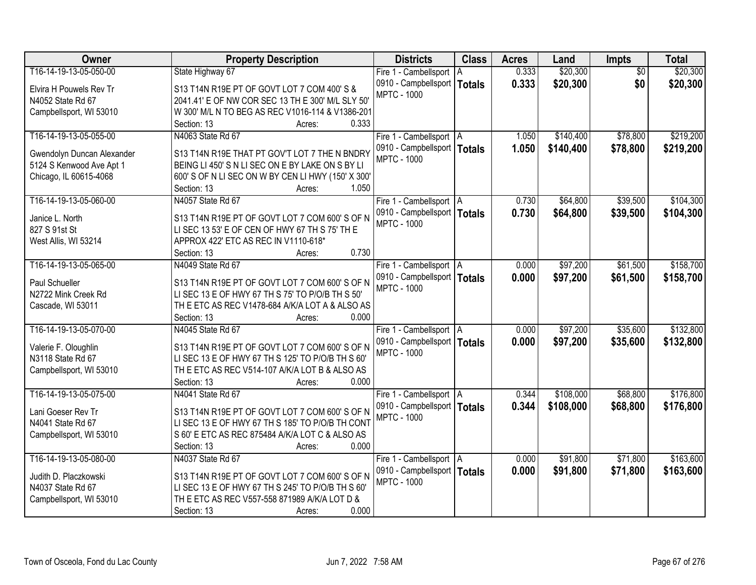| Owner                      | <b>Property Description</b>                        | <b>Districts</b>              | <b>Class</b>  | <b>Acres</b> | Land      | <b>Impts</b>    | <b>Total</b> |
|----------------------------|----------------------------------------------------|-------------------------------|---------------|--------------|-----------|-----------------|--------------|
| T16-14-19-13-05-050-00     | State Highway 67                                   | Fire 1 - Cambellsport   A     |               | 0.333        | \$20,300  | $\overline{50}$ | \$20,300     |
| Elvira H Pouwels Rev Tr    | S13 T14N R19E PT OF GOVT LOT 7 COM 400' S &        | 0910 - Campbellsport          | <b>Totals</b> | 0.333        | \$20,300  | \$0             | \$20,300     |
| N4052 State Rd 67          | 2041.41' E OF NW COR SEC 13 TH E 300' M/L SLY 50'  | <b>MPTC - 1000</b>            |               |              |           |                 |              |
| Campbellsport, WI 53010    | W 300' M/L N TO BEG AS REC V1016-114 & V1386-201   |                               |               |              |           |                 |              |
|                            | 0.333<br>Section: 13<br>Acres:                     |                               |               |              |           |                 |              |
| T16-14-19-13-05-055-00     | N4063 State Rd 67                                  | Fire 1 - Cambellsport   A     |               | 1.050        | \$140,400 | \$78,800        | \$219,200    |
|                            |                                                    | 0910 - Campbellsport   Totals |               | 1.050        | \$140,400 | \$78,800        | \$219,200    |
| Gwendolyn Duncan Alexander | S13 T14N R19E THAT PT GOV'T LOT 7 THE N BNDRY      | <b>MPTC - 1000</b>            |               |              |           |                 |              |
| 5124 S Kenwood Ave Apt 1   | BEING LI 450' S N LI SEC ON E BY LAKE ON S BY LI   |                               |               |              |           |                 |              |
| Chicago, IL 60615-4068     | 600' S OF N LI SEC ON W BY CEN LI HWY (150' X 300' |                               |               |              |           |                 |              |
|                            | 1.050<br>Section: 13<br>Acres:                     |                               |               |              |           |                 |              |
| T16-14-19-13-05-060-00     | N4057 State Rd 67                                  | Fire 1 - Cambellsport   A     |               | 0.730        | \$64,800  | \$39,500        | \$104,300    |
| Janice L. North            | S13 T14N R19E PT OF GOVT LOT 7 COM 600'S OF N      | 0910 - Campbellsport   Totals |               | 0.730        | \$64,800  | \$39,500        | \$104,300    |
| 827 S 91st St              | LI SEC 13 53' E OF CEN OF HWY 67 TH S 75' TH E     | <b>MPTC - 1000</b>            |               |              |           |                 |              |
| West Allis, WI 53214       | APPROX 422' ETC AS REC IN V1110-618*               |                               |               |              |           |                 |              |
|                            | 0.730<br>Section: 13<br>Acres:                     |                               |               |              |           |                 |              |
| T16-14-19-13-05-065-00     | N4049 State Rd 67                                  | Fire 1 - Cambellsport   A     |               | 0.000        | \$97,200  | \$61,500        | \$158,700    |
|                            |                                                    | 0910 - Campbellsport   Totals |               | 0.000        | \$97,200  | \$61,500        | \$158,700    |
| Paul Schueller             | S13 T14N R19E PT OF GOVT LOT 7 COM 600'S OF N      | <b>MPTC - 1000</b>            |               |              |           |                 |              |
| N2722 Mink Creek Rd        | LI SEC 13 E OF HWY 67 TH S 75' TO P/O/B TH S 50'   |                               |               |              |           |                 |              |
| Cascade, WI 53011          | TH E ETC AS REC V1478-684 A/K/A LOT A & ALSO AS    |                               |               |              |           |                 |              |
|                            | 0.000<br>Section: 13<br>Acres:                     |                               |               |              |           |                 |              |
| T16-14-19-13-05-070-00     | N4045 State Rd 67                                  | Fire 1 - Cambellsport   A     |               | 0.000        | \$97,200  | \$35,600        | \$132,800    |
| Valerie F. Oloughlin       | S13 T14N R19E PT OF GOVT LOT 7 COM 600'S OF N      | 0910 - Campbellsport   Totals |               | 0.000        | \$97,200  | \$35,600        | \$132,800    |
| N3118 State Rd 67          | LI SEC 13 E OF HWY 67 TH S 125' TO P/O/B TH S 60'  | <b>MPTC - 1000</b>            |               |              |           |                 |              |
| Campbellsport, WI 53010    | TH E ETC AS REC V514-107 A/K/A LOT B & ALSO AS     |                               |               |              |           |                 |              |
|                            | 0.000<br>Section: 13<br>Acres:                     |                               |               |              |           |                 |              |
| T16-14-19-13-05-075-00     | N4041 State Rd 67                                  | Fire 1 - Cambellsport   A     |               | 0.344        | \$108,000 | \$68,800        | \$176,800    |
|                            | S13 T14N R19E PT OF GOVT LOT 7 COM 600'S OF N      | 0910 - Campbellsport   Totals |               | 0.344        | \$108,000 | \$68,800        | \$176,800    |
| Lani Goeser Rev Tr         | LI SEC 13 E OF HWY 67 TH S 185' TO P/O/B TH CONT   | <b>MPTC - 1000</b>            |               |              |           |                 |              |
| N4041 State Rd 67          |                                                    |                               |               |              |           |                 |              |
| Campbellsport, WI 53010    | S 60' E ETC AS REC 875484 A/K/A LOT C & ALSO AS    |                               |               |              |           |                 |              |
|                            | 0.000<br>Section: 13<br>Acres:                     |                               |               |              |           |                 |              |
| T16-14-19-13-05-080-00     | N4037 State Rd 67                                  | Fire 1 - Cambellsport   A     |               | 0.000        | \$91,800  | \$71,800        | \$163,600    |
| Judith D. Placzkowski      | S13 T14N R19E PT OF GOVT LOT 7 COM 600'S OF N      | 0910 - Campbellsport   Totals |               | 0.000        | \$91,800  | \$71,800        | \$163,600    |
| N4037 State Rd 67          | LI SEC 13 E OF HWY 67 TH S 245' TO P/O/B TH S 60'  | <b>MPTC - 1000</b>            |               |              |           |                 |              |
| Campbellsport, WI 53010    | TH E ETC AS REC V557-558 871989 A/K/A LOT D &      |                               |               |              |           |                 |              |
|                            | 0.000<br>Section: 13<br>Acres:                     |                               |               |              |           |                 |              |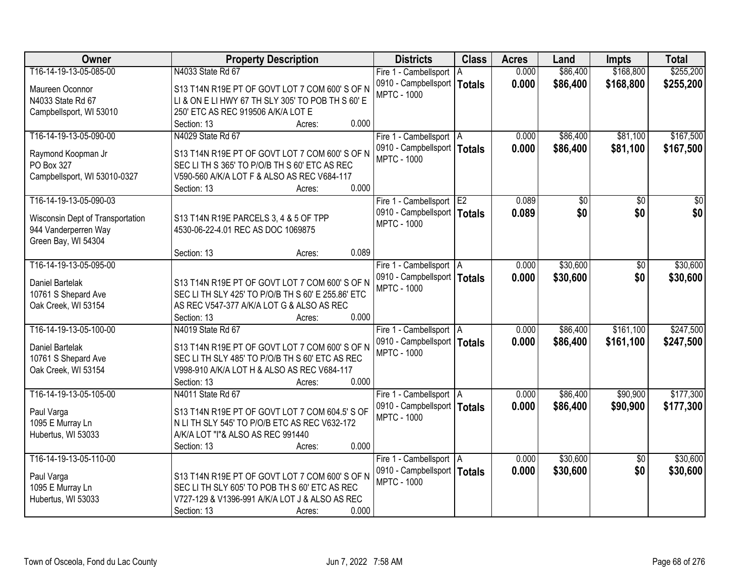| Owner                            | <b>Property Description</b>                        | <b>Districts</b>              | <b>Class</b>  | <b>Acres</b> | Land     | <b>Impts</b>    | <b>Total</b> |
|----------------------------------|----------------------------------------------------|-------------------------------|---------------|--------------|----------|-----------------|--------------|
| T16-14-19-13-05-085-00           | N4033 State Rd 67                                  | Fire 1 - Cambellsport   A     |               | 0.000        | \$86,400 | \$168,800       | \$255,200    |
| Maureen Oconnor                  | S13 T14N R19E PT OF GOVT LOT 7 COM 600'S OF N      | 0910 - Campbellsport          | <b>Totals</b> | 0.000        | \$86,400 | \$168,800       | \$255,200    |
| N4033 State Rd 67                | LI & ON E LI HWY 67 TH SLY 305' TO POB TH S 60' E  | <b>MPTC - 1000</b>            |               |              |          |                 |              |
| Campbellsport, WI 53010          | 250' ETC AS REC 919506 A/K/A LOT E                 |                               |               |              |          |                 |              |
|                                  | 0.000<br>Section: 13<br>Acres:                     |                               |               |              |          |                 |              |
| T16-14-19-13-05-090-00           | N4029 State Rd 67                                  | Fire 1 - Cambellsport   A     |               | 0.000        | \$86,400 | \$81,100        | \$167,500    |
|                                  |                                                    | 0910 - Campbellsport   Totals |               | 0.000        | \$86,400 | \$81,100        | \$167,500    |
| Raymond Koopman Jr               | S13 T14N R19E PT OF GOVT LOT 7 COM 600'S OF N      | <b>MPTC - 1000</b>            |               |              |          |                 |              |
| PO Box 327                       | SEC LITH S 365' TO P/O/B TH S 60' ETC AS REC       |                               |               |              |          |                 |              |
| Campbellsport, WI 53010-0327     | V590-560 A/K/A LOT F & ALSO AS REC V684-117        |                               |               |              |          |                 |              |
|                                  | 0.000<br>Section: 13<br>Acres:                     |                               |               |              |          |                 |              |
| T16-14-19-13-05-090-03           |                                                    | Fire 1 - Cambellsport E2      |               | 0.089        | \$0      | \$0             | \$0          |
| Wisconsin Dept of Transportation | S13 T14N R19E PARCELS 3, 4 & 5 OF TPP              | 0910 - Campbellsport   Totals |               | 0.089        | \$0      | \$0             | \$0          |
| 944 Vanderperren Way             | 4530-06-22-4.01 REC AS DOC 1069875                 | <b>MPTC - 1000</b>            |               |              |          |                 |              |
| Green Bay, WI 54304              |                                                    |                               |               |              |          |                 |              |
|                                  | 0.089<br>Section: 13<br>Acres:                     |                               |               |              |          |                 |              |
| T16-14-19-13-05-095-00           |                                                    | Fire 1 - Cambellsport   A     |               | 0.000        | \$30,600 | \$0             | \$30,600     |
|                                  |                                                    | 0910 - Campbellsport   Totals |               | 0.000        | \$30,600 | \$0             | \$30,600     |
| Daniel Bartelak                  | S13 T14N R19E PT OF GOVT LOT 7 COM 600'S OF N      | <b>MPTC - 1000</b>            |               |              |          |                 |              |
| 10761 S Shepard Ave              | SEC LI TH SLY 425' TO P/O/B TH S 60' E 255.86' ETC |                               |               |              |          |                 |              |
| Oak Creek, WI 53154              | AS REC V547-377 A/K/A LOT G & ALSO AS REC          |                               |               |              |          |                 |              |
|                                  | 0.000<br>Section: 13<br>Acres:                     |                               |               |              |          |                 |              |
| T16-14-19-13-05-100-00           | N4019 State Rd 67                                  | Fire 1 - Cambellsport   A     |               | 0.000        | \$86,400 | \$161,100       | \$247,500    |
| Daniel Bartelak                  | S13 T14N R19E PT OF GOVT LOT 7 COM 600'S OF N      | 0910 - Campbellsport   Totals |               | 0.000        | \$86,400 | \$161,100       | \$247,500    |
| 10761 S Shepard Ave              | SEC LITH SLY 485' TO P/O/B TH S 60' ETC AS REC     | <b>MPTC - 1000</b>            |               |              |          |                 |              |
| Oak Creek, WI 53154              | V998-910 A/K/A LOT H & ALSO AS REC V684-117        |                               |               |              |          |                 |              |
|                                  | 0.000<br>Section: 13<br>Acres:                     |                               |               |              |          |                 |              |
| T16-14-19-13-05-105-00           | N4011 State Rd 67                                  | Fire 1 - Cambellsport A       |               | 0.000        | \$86,400 | \$90,900        | \$177,300    |
|                                  |                                                    | 0910 - Campbellsport   Totals |               | 0.000        | \$86,400 | \$90,900        | \$177,300    |
| Paul Varga                       | S13 T14N R19E PT OF GOVT LOT 7 COM 604.5' S OF     | <b>MPTC - 1000</b>            |               |              |          |                 |              |
| 1095 E Murray Ln                 | N LI TH SLY 545' TO P/O/B ETC AS REC V632-172      |                               |               |              |          |                 |              |
| Hubertus, WI 53033               | A/K/A LOT "I"& ALSO AS REC 991440                  |                               |               |              |          |                 |              |
|                                  | 0.000<br>Section: 13<br>Acres:                     |                               |               |              |          |                 |              |
| T16-14-19-13-05-110-00           |                                                    | Fire 1 - Cambellsport   A     |               | 0.000        | \$30,600 | $\overline{50}$ | \$30,600     |
| Paul Varga                       | S13 T14N R19E PT OF GOVT LOT 7 COM 600'S OF N      | 0910 - Campbellsport   Totals |               | 0.000        | \$30,600 | \$0             | \$30,600     |
| 1095 E Murray Ln                 | SEC LITH SLY 605' TO POB TH S 60' ETC AS REC       | <b>MPTC - 1000</b>            |               |              |          |                 |              |
| Hubertus, WI 53033               | V727-129 & V1396-991 A/K/A LOT J & ALSO AS REC     |                               |               |              |          |                 |              |
|                                  | 0.000<br>Section: 13<br>Acres:                     |                               |               |              |          |                 |              |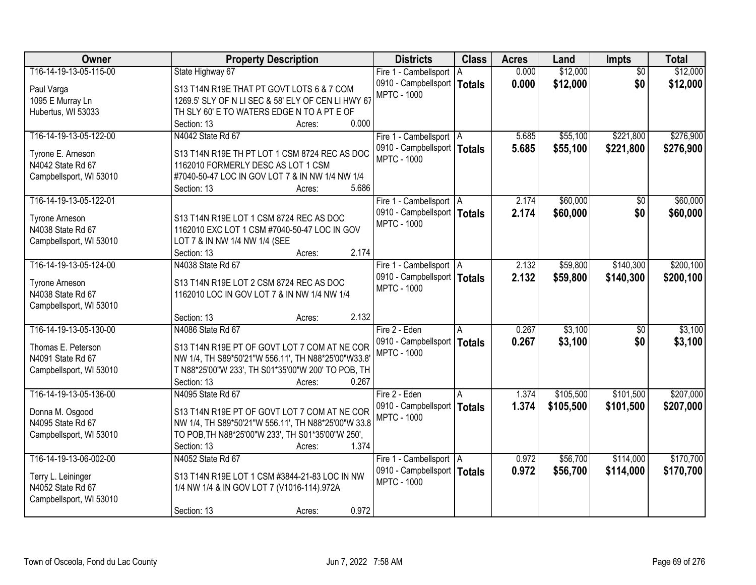| Owner                   | <b>Property Description</b>                         | <b>Districts</b>              | <b>Class</b> | <b>Acres</b> | Land      | <b>Impts</b>    | <b>Total</b> |
|-------------------------|-----------------------------------------------------|-------------------------------|--------------|--------------|-----------|-----------------|--------------|
| T16-14-19-13-05-115-00  | State Highway 67                                    | Fire 1 - Cambellsport   A     |              | 0.000        | \$12,000  | $\overline{50}$ | \$12,000     |
| Paul Varga              | S13 T14N R19E THAT PT GOVT LOTS 6 & 7 COM           | 0910 - Campbellsport   Totals |              | 0.000        | \$12,000  | \$0             | \$12,000     |
| 1095 E Murray Ln        | 1269.5' SLY OF N LI SEC & 58' ELY OF CEN LI HWY 67  | <b>MPTC - 1000</b>            |              |              |           |                 |              |
| Hubertus, WI 53033      | TH SLY 60' E TO WATERS EDGE N TO A PT E OF          |                               |              |              |           |                 |              |
|                         | 0.000<br>Section: 13<br>Acres:                      |                               |              |              |           |                 |              |
| T16-14-19-13-05-122-00  | N4042 State Rd 67                                   | Fire 1 - Cambellsport   A     |              | 5.685        | \$55,100  | \$221,800       | \$276,900    |
|                         |                                                     | 0910 - Campbellsport   Totals |              | 5.685        | \$55,100  | \$221,800       | \$276,900    |
| Tyrone E. Arneson       | S13 T14N R19E TH PT LOT 1 CSM 8724 REC AS DOC       | <b>MPTC - 1000</b>            |              |              |           |                 |              |
| N4042 State Rd 67       | 1162010 FORMERLY DESC AS LOT 1 CSM                  |                               |              |              |           |                 |              |
| Campbellsport, WI 53010 | #7040-50-47 LOC IN GOV LOT 7 & IN NW 1/4 NW 1/4     |                               |              |              |           |                 |              |
|                         | 5.686<br>Section: 13<br>Acres:                      |                               |              |              |           |                 |              |
| T16-14-19-13-05-122-01  |                                                     | Fire 1 - Cambellsport   A     |              | 2.174        | \$60,000  | \$0             | \$60,000     |
| <b>Tyrone Arneson</b>   | S13 T14N R19E LOT 1 CSM 8724 REC AS DOC             | 0910 - Campbellsport   Totals |              | 2.174        | \$60,000  | \$0             | \$60,000     |
| N4038 State Rd 67       | 1162010 EXC LOT 1 CSM #7040-50-47 LOC IN GOV        | <b>MPTC - 1000</b>            |              |              |           |                 |              |
| Campbellsport, WI 53010 | LOT 7 & IN NW 1/4 NW 1/4 (SEE                       |                               |              |              |           |                 |              |
|                         | 2.174<br>Section: 13<br>Acres:                      |                               |              |              |           |                 |              |
| T16-14-19-13-05-124-00  | N4038 State Rd 67                                   | Fire 1 - Cambellsport   A     |              | 2.132        | \$59,800  | \$140,300       | \$200,100    |
|                         |                                                     | 0910 - Campbellsport   Totals |              | 2.132        | \$59,800  | \$140,300       | \$200,100    |
| <b>Tyrone Arneson</b>   | S13 T14N R19E LOT 2 CSM 8724 REC AS DOC             | <b>MPTC - 1000</b>            |              |              |           |                 |              |
| N4038 State Rd 67       | 1162010 LOC IN GOV LOT 7 & IN NW 1/4 NW 1/4         |                               |              |              |           |                 |              |
| Campbellsport, WI 53010 |                                                     |                               |              |              |           |                 |              |
|                         | 2.132<br>Section: 13<br>Acres:                      |                               |              |              |           |                 |              |
| T16-14-19-13-05-130-00  | N4086 State Rd 67                                   | Fire 2 - Eden                 | A            | 0.267        | \$3,100   | $\overline{50}$ | \$3,100      |
| Thomas E. Peterson      | S13 T14N R19E PT OF GOVT LOT 7 COM AT NE COR        | 0910 - Campbellsport   Totals |              | 0.267        | \$3,100   | \$0             | \$3,100      |
| N4091 State Rd 67       | NW 1/4, TH S89*50'21"W 556.11', TH N88*25'00"W33.8' | <b>MPTC - 1000</b>            |              |              |           |                 |              |
| Campbellsport, WI 53010 | T N88*25'00"W 233', TH S01*35'00"W 200' TO POB, TH  |                               |              |              |           |                 |              |
|                         | Section: 13<br>0.267<br>Acres:                      |                               |              |              |           |                 |              |
| T16-14-19-13-05-136-00  | N4095 State Rd 67                                   | Fire 2 - Eden                 |              | 1.374        | \$105,500 | \$101,500       | \$207,000    |
|                         |                                                     | 0910 - Campbellsport   Totals |              | 1.374        | \$105,500 | \$101,500       | \$207,000    |
| Donna M. Osgood         | S13 T14N R19E PT OF GOVT LOT 7 COM AT NE COR        | <b>MPTC - 1000</b>            |              |              |           |                 |              |
| N4095 State Rd 67       | NW 1/4, TH S89*50'21"W 556.11', TH N88*25'00"W 33.8 |                               |              |              |           |                 |              |
| Campbellsport, WI 53010 | TO POB, TH N88*25'00"W 233', TH S01*35'00"W 250',   |                               |              |              |           |                 |              |
|                         | 1.374<br>Section: 13<br>Acres:                      |                               |              |              |           |                 |              |
| T16-14-19-13-06-002-00  | N4052 State Rd 67                                   | Fire 1 - Cambellsport   A     |              | 0.972        | \$56,700  | \$114,000       | \$170,700    |
| Terry L. Leininger      | S13 T14N R19E LOT 1 CSM #3844-21-83 LOC IN NW       | 0910 - Campbellsport   Totals |              | 0.972        | \$56,700  | \$114,000       | \$170,700    |
| N4052 State Rd 67       | 1/4 NW 1/4 & IN GOV LOT 7 (V1016-114).972A          | <b>MPTC - 1000</b>            |              |              |           |                 |              |
| Campbellsport, WI 53010 |                                                     |                               |              |              |           |                 |              |
|                         | 0.972<br>Section: 13<br>Acres:                      |                               |              |              |           |                 |              |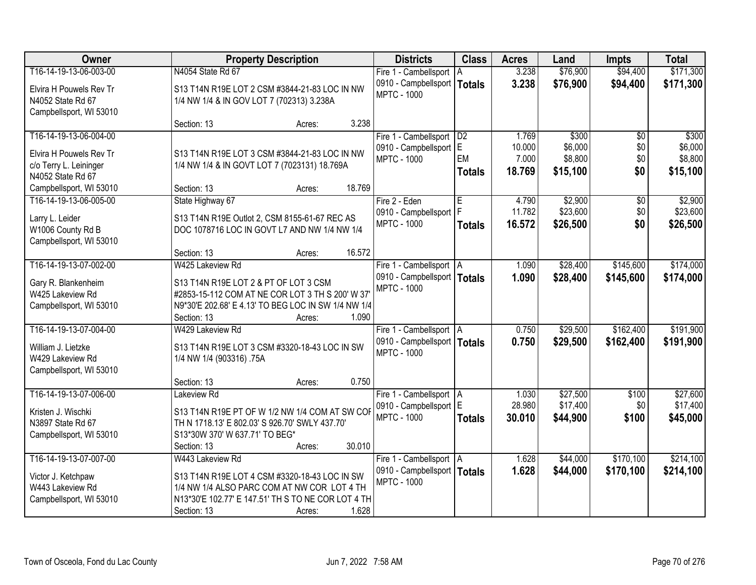| <b>Owner</b>            | <b>Property Description</b>                         | <b>Districts</b>              | <b>Class</b>  | <b>Acres</b> | Land     | <b>Impts</b>    | <b>Total</b> |
|-------------------------|-----------------------------------------------------|-------------------------------|---------------|--------------|----------|-----------------|--------------|
| T16-14-19-13-06-003-00  | N4054 State Rd 67                                   | Fire 1 - Cambellsport         | l A           | 3.238        | \$76,900 | \$94,400        | \$171,300    |
| Elvira H Pouwels Rev Tr | S13 T14N R19E LOT 2 CSM #3844-21-83 LOC IN NW       | 0910 - Campbellsport   Totals |               | 3.238        | \$76,900 | \$94,400        | \$171,300    |
| N4052 State Rd 67       | 1/4 NW 1/4 & IN GOV LOT 7 (702313) 3.238A           | <b>MPTC - 1000</b>            |               |              |          |                 |              |
| Campbellsport, WI 53010 |                                                     |                               |               |              |          |                 |              |
|                         | 3.238<br>Section: 13<br>Acres:                      |                               |               |              |          |                 |              |
| T16-14-19-13-06-004-00  |                                                     | Fire 1 - Cambellsport         | D2            | 1.769        | \$300    | $\overline{30}$ | \$300        |
| Elvira H Pouwels Rev Tr | S13 T14N R19E LOT 3 CSM #3844-21-83 LOC IN NW       | 0910 - Campbellsport          | lE.           | 10.000       | \$6,000  | \$0             | \$6,000      |
| c/o Terry L. Leininger  | 1/4 NW 1/4 & IN GOVT LOT 7 (7023131) 18.769A        | <b>MPTC - 1000</b>            | EM            | 7.000        | \$8,800  | \$0             | \$8,800      |
| N4052 State Rd 67       |                                                     |                               | <b>Totals</b> | 18.769       | \$15,100 | \$0             | \$15,100     |
| Campbellsport, WI 53010 | 18.769<br>Section: 13<br>Acres:                     |                               |               |              |          |                 |              |
| T16-14-19-13-06-005-00  | State Highway 67                                    | Fire 2 - Eden                 | E             | 4.790        | \$2,900  | \$0             | \$2,900      |
| Larry L. Leider         | S13 T14N R19E Outlot 2, CSM 8155-61-67 REC AS       | 0910 - Campbellsport   F      |               | 11.782       | \$23,600 | \$0             | \$23,600     |
| W1006 County Rd B       | DOC 1078716 LOC IN GOVT L7 AND NW 1/4 NW 1/4        | <b>MPTC - 1000</b>            | <b>Totals</b> | 16.572       | \$26,500 | \$0             | \$26,500     |
| Campbellsport, WI 53010 |                                                     |                               |               |              |          |                 |              |
|                         | 16.572<br>Section: 13<br>Acres:                     |                               |               |              |          |                 |              |
| T16-14-19-13-07-002-00  | W425 Lakeview Rd                                    | Fire 1 - Cambellsport   A     |               | 1.090        | \$28,400 | \$145,600       | \$174,000    |
| Gary R. Blankenheim     | S13 T14N R19E LOT 2 & PT OF LOT 3 CSM               | 0910 - Campbellsport   Totals |               | 1.090        | \$28,400 | \$145,600       | \$174,000    |
| W425 Lakeview Rd        | #2853-15-112 COM AT NE COR LOT 3 TH S 200' W 37'    | <b>MPTC - 1000</b>            |               |              |          |                 |              |
| Campbellsport, WI 53010 | N9*30'E 202.68' E 4.13' TO BEG LOC IN SW 1/4 NW 1/4 |                               |               |              |          |                 |              |
|                         | 1.090<br>Section: 13<br>Acres:                      |                               |               |              |          |                 |              |
| T16-14-19-13-07-004-00  | W429 Lakeview Rd                                    | Fire 1 - Cambellsport   A     |               | 0.750        | \$29,500 | \$162,400       | \$191,900    |
| William J. Lietzke      | S13 T14N R19E LOT 3 CSM #3320-18-43 LOC IN SW       | 0910 - Campbellsport   Totals |               | 0.750        | \$29,500 | \$162,400       | \$191,900    |
| W429 Lakeview Rd        | 1/4 NW 1/4 (903316) .75A                            | <b>MPTC - 1000</b>            |               |              |          |                 |              |
| Campbellsport, WI 53010 |                                                     |                               |               |              |          |                 |              |
|                         | 0.750<br>Section: 13<br>Acres:                      |                               |               |              |          |                 |              |
| T16-14-19-13-07-006-00  | Lakeview Rd                                         | Fire 1 - Cambellsport A       |               | 1.030        | \$27,500 | \$100           | \$27,600     |
| Kristen J. Wischki      | S13 T14N R19E PT OF W 1/2 NW 1/4 COM AT SW COF      | 0910 - Campbellsport E        |               | 28.980       | \$17,400 | \$0             | \$17,400     |
| N3897 State Rd 67       | TH N 1718.13' E 802.03' S 926.70' SWLY 437.70'      | <b>MPTC - 1000</b>            | <b>Totals</b> | 30.010       | \$44,900 | \$100           | \$45,000     |
| Campbellsport, WI 53010 | S13*30W 370' W 637.71' TO BEG*                      |                               |               |              |          |                 |              |
|                         | 30.010<br>Section: 13<br>Acres:                     |                               |               |              |          |                 |              |
| T16-14-19-13-07-007-00  | W443 Lakeview Rd                                    | Fire 1 - Cambellsport   A     |               | 1.628        | \$44,000 | \$170,100       | \$214,100    |
| Victor J. Ketchpaw      | S13 T14N R19E LOT 4 CSM #3320-18-43 LOC IN SW       | 0910 - Campbellsport   Totals |               | 1.628        | \$44,000 | \$170,100       | \$214,100    |
| W443 Lakeview Rd        | 1/4 NW 1/4 ALSO PARC COM AT NW COR LOT 4 TH         | <b>MPTC - 1000</b>            |               |              |          |                 |              |
| Campbellsport, WI 53010 | N13*30'E 102.77' E 147.51' TH S TO NE COR LOT 4 TH  |                               |               |              |          |                 |              |
|                         | 1.628<br>Section: 13<br>Acres:                      |                               |               |              |          |                 |              |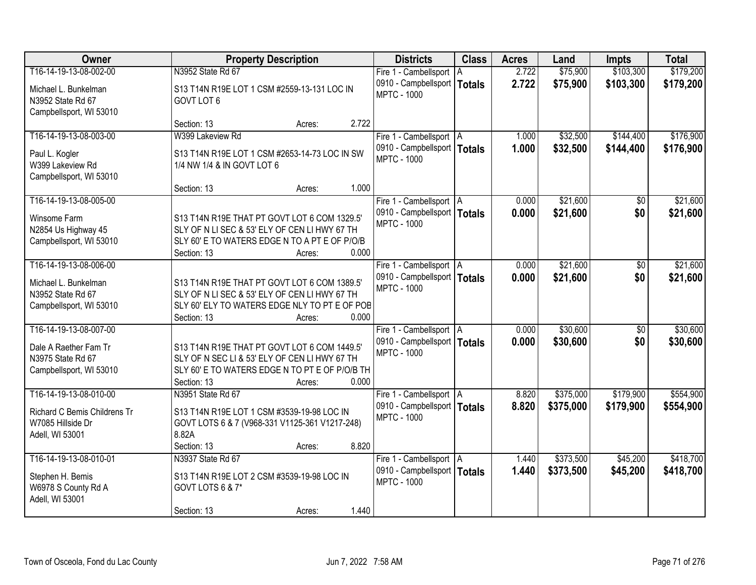| Owner                                                                                           | <b>Property Description</b>                                                                                                                                                       | <b>Districts</b>                                                                 | <b>Class</b> | <b>Acres</b>   | Land                 | Impts                  | <b>Total</b>         |
|-------------------------------------------------------------------------------------------------|-----------------------------------------------------------------------------------------------------------------------------------------------------------------------------------|----------------------------------------------------------------------------------|--------------|----------------|----------------------|------------------------|----------------------|
| T16-14-19-13-08-002-00                                                                          | N3952 State Rd 67                                                                                                                                                                 | Fire 1 - Cambellsport   A                                                        |              | 2.722          | \$75,900             | \$103,300              | \$179,200            |
| Michael L. Bunkelman<br>N3952 State Rd 67<br>Campbellsport, WI 53010                            | S13 T14N R19E LOT 1 CSM #2559-13-131 LOC IN<br>GOVT LOT 6                                                                                                                         | 0910 - Campbellsport   Totals<br><b>MPTC - 1000</b>                              |              | 2.722          | \$75,900             | \$103,300              | \$179,200            |
|                                                                                                 | 2.722<br>Section: 13<br>Acres:                                                                                                                                                    |                                                                                  |              |                |                      |                        |                      |
| T16-14-19-13-08-003-00                                                                          | W399 Lakeview Rd                                                                                                                                                                  | Fire 1 - Cambellsport   A                                                        |              | 1.000          | \$32,500             | \$144,400              | \$176,900            |
| Paul L. Kogler<br>W399 Lakeview Rd<br>Campbellsport, WI 53010                                   | S13 T14N R19E LOT 1 CSM #2653-14-73 LOC IN SW<br>1/4 NW 1/4 & IN GOVT LOT 6                                                                                                       | 0910 - Campbellsport   Totals<br><b>MPTC - 1000</b>                              |              | 1.000          | \$32,500             | \$144,400              | \$176,900            |
|                                                                                                 | 1.000<br>Section: 13<br>Acres:                                                                                                                                                    |                                                                                  |              |                |                      |                        |                      |
| T16-14-19-13-08-005-00                                                                          |                                                                                                                                                                                   | Fire 1 - Cambellsport   A                                                        |              | 0.000          | \$21,600             | \$0                    | \$21,600             |
| Winsome Farm<br>N2854 Us Highway 45<br>Campbellsport, WI 53010                                  | S13 T14N R19E THAT PT GOVT LOT 6 COM 1329.5'<br>SLY OF N LI SEC & 53' ELY OF CEN LI HWY 67 TH<br>SLY 60' E TO WATERS EDGE N TO A PT E OF P/O/B<br>0.000<br>Section: 13            | 0910 - Campbellsport   Totals<br><b>MPTC - 1000</b>                              |              | 0.000          | \$21,600             | \$0                    | \$21,600             |
| T16-14-19-13-08-006-00                                                                          | Acres:                                                                                                                                                                            | Fire 1 - Cambellsport   A                                                        |              | 0.000          | \$21,600             | \$0                    | \$21,600             |
| Michael L. Bunkelman<br>N3952 State Rd 67<br>Campbellsport, WI 53010                            | S13 T14N R19E THAT PT GOVT LOT 6 COM 1389.5'<br>SLY OF N LI SEC & 53' ELY OF CEN LI HWY 67 TH<br>SLY 60' ELY TO WATERS EDGE NLY TO PT E OF POB                                    | 0910 - Campbellsport   Totals<br><b>MPTC - 1000</b>                              |              | 0.000          | \$21,600             | \$0                    | \$21,600             |
|                                                                                                 | 0.000<br>Section: 13<br>Acres:                                                                                                                                                    |                                                                                  |              |                |                      |                        |                      |
| T16-14-19-13-08-007-00<br>Dale A Raether Fam Tr<br>N3975 State Rd 67<br>Campbellsport, WI 53010 | S13 T14N R19E THAT PT GOVT LOT 6 COM 1449.5'<br>SLY OF N SEC LI & 53' ELY OF CEN LI HWY 67 TH<br>SLY 60' E TO WATERS EDGE N TO PT E OF P/O/B TH<br>0.000<br>Section: 13<br>Acres: | Fire 1 - Cambellsport   A<br>0910 - Campbellsport   Totals<br><b>MPTC - 1000</b> |              | 0.000<br>0.000 | \$30,600<br>\$30,600 | $\overline{50}$<br>\$0 | \$30,600<br>\$30,600 |
| T16-14-19-13-08-010-00                                                                          | N3951 State Rd 67                                                                                                                                                                 | Fire 1 - Cambellsport   A                                                        |              | 8.820          | \$375,000            | \$179,900              | \$554,900            |
| Richard C Bemis Childrens Tr<br>W7085 Hillside Dr<br>Adell, WI 53001                            | S13 T14N R19E LOT 1 CSM #3539-19-98 LOC IN<br>GOVT LOTS 6 & 7 (V968-331 V1125-361 V1217-248)<br>8.82A<br>8.820<br>Section: 13<br>Acres:                                           | 0910 - Campbellsport   Totals<br><b>MPTC - 1000</b>                              |              | 8.820          | \$375,000            | \$179,900              | \$554,900            |
| T16-14-19-13-08-010-01                                                                          | N3937 State Rd 67                                                                                                                                                                 | Fire 1 - Cambellsport   A                                                        |              | 1.440          | \$373,500            | \$45,200               | \$418,700            |
| Stephen H. Bemis<br>W6978 S County Rd A<br>Adell, WI 53001                                      | S13 T14N R19E LOT 2 CSM #3539-19-98 LOC IN<br>GOVT LOTS 6 & 7*                                                                                                                    | 0910 - Campbellsport   Totals<br><b>MPTC - 1000</b>                              |              | 1.440          | \$373,500            | \$45,200               | \$418,700            |
|                                                                                                 | 1.440<br>Section: 13<br>Acres:                                                                                                                                                    |                                                                                  |              |                |                      |                        |                      |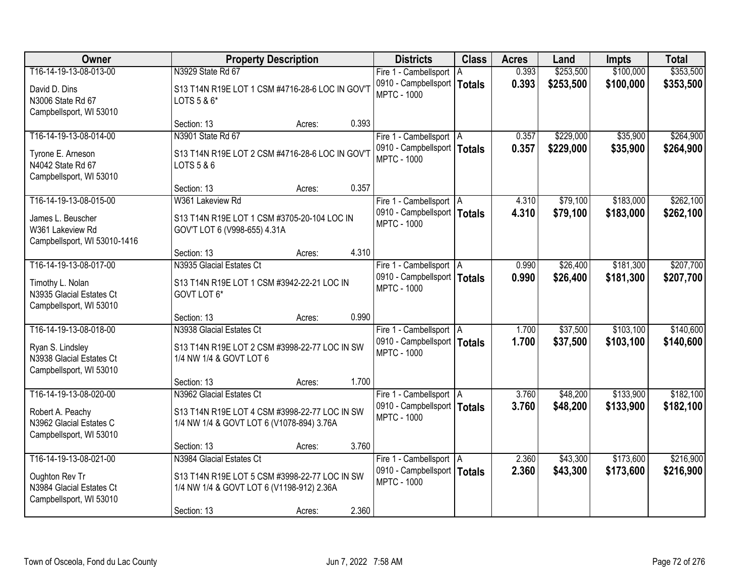| Owner                                                                                             |                                                                                                                                       | <b>Districts</b><br><b>Property Description</b> |       |                                                                                  |  | <b>Acres</b>   | Land                   | <b>Impts</b>           | <b>Total</b>           |
|---------------------------------------------------------------------------------------------------|---------------------------------------------------------------------------------------------------------------------------------------|-------------------------------------------------|-------|----------------------------------------------------------------------------------|--|----------------|------------------------|------------------------|------------------------|
| T16-14-19-13-08-013-00                                                                            | N3929 State Rd 67                                                                                                                     |                                                 |       | Fire 1 - Cambellsport   A                                                        |  | 0.393          | \$253,500              | \$100,000              | \$353,500              |
| David D. Dins<br>N3006 State Rd 67<br>Campbellsport, WI 53010                                     | S13 T14N R19E LOT 1 CSM #4716-28-6 LOC IN GOV'T<br>LOTS 5 & 6*                                                                        |                                                 |       | 0910 - Campbellsport   Totals<br><b>MPTC - 1000</b>                              |  | 0.393          | \$253,500              | \$100,000              | \$353,500              |
|                                                                                                   | Section: 13                                                                                                                           | Acres:                                          | 0.393 |                                                                                  |  |                |                        |                        |                        |
| T16-14-19-13-08-014-00<br>Tyrone E. Arneson<br>N4042 State Rd 67<br>Campbellsport, WI 53010       | N3901 State Rd 67<br>S13 T14N R19E LOT 2 CSM #4716-28-6 LOC IN GOV'T<br>LOTS 5 & 6                                                    |                                                 |       | Fire 1 - Cambellsport   A<br>0910 - Campbellsport   Totals<br><b>MPTC - 1000</b> |  | 0.357<br>0.357 | \$229,000<br>\$229,000 | \$35,900<br>\$35,900   | \$264,900<br>\$264,900 |
|                                                                                                   | Section: 13                                                                                                                           | Acres:                                          | 0.357 |                                                                                  |  |                |                        |                        |                        |
| T16-14-19-13-08-015-00<br>James L. Beuscher<br>W361 Lakeview Rd<br>Campbellsport, WI 53010-1416   | W361 Lakeview Rd<br>S13 T14N R19E LOT 1 CSM #3705-20-104 LOC IN<br>GOV'T LOT 6 (V998-655) 4.31A                                       |                                                 |       | Fire 1 - Cambellsport   A<br>0910 - Campbellsport   Totals<br><b>MPTC - 1000</b> |  | 4.310<br>4.310 | \$79,100<br>\$79,100   | \$183,000<br>\$183,000 | \$262,100<br>\$262,100 |
|                                                                                                   | Section: 13                                                                                                                           | Acres:                                          | 4.310 |                                                                                  |  |                |                        |                        |                        |
| T16-14-19-13-08-017-00                                                                            | N3935 Glacial Estates Ct                                                                                                              |                                                 |       | Fire 1 - Cambellsport   A                                                        |  | 0.990          | \$26,400               | \$181,300              | \$207,700              |
| Timothy L. Nolan<br>N3935 Glacial Estates Ct<br>Campbellsport, WI 53010                           | S13 T14N R19E LOT 1 CSM #3942-22-21 LOC IN<br>GOVT LOT 6*                                                                             |                                                 |       | 0910 - Campbellsport   Totals<br><b>MPTC - 1000</b>                              |  | 0.990          | \$26,400               | \$181,300              | \$207,700              |
|                                                                                                   | Section: 13                                                                                                                           | Acres:                                          | 0.990 |                                                                                  |  |                |                        |                        |                        |
| T16-14-19-13-08-018-00<br>Ryan S. Lindsley<br>N3938 Glacial Estates Ct<br>Campbellsport, WI 53010 | N3938 Glacial Estates Ct<br>S13 T14N R19E LOT 2 CSM #3998-22-77 LOC IN SW<br>1/4 NW 1/4 & GOVT LOT 6                                  |                                                 |       | Fire 1 - Cambellsport   A<br>0910 - Campbellsport   Totals<br><b>MPTC - 1000</b> |  | 1.700<br>1.700 | \$37,500<br>\$37,500   | \$103,100<br>\$103,100 | \$140,600<br>\$140,600 |
|                                                                                                   | Section: 13                                                                                                                           | Acres:                                          | 1.700 |                                                                                  |  |                |                        |                        |                        |
| T16-14-19-13-08-020-00<br>Robert A. Peachy<br>N3962 Glacial Estates C<br>Campbellsport, WI 53010  | N3962 Glacial Estates Ct<br>S13 T14N R19E LOT 4 CSM #3998-22-77 LOC IN SW<br>1/4 NW 1/4 & GOVT LOT 6 (V1078-894) 3.76A                |                                                 |       | Fire 1 - Cambellsport   A<br>0910 - Campbellsport   Totals<br><b>MPTC - 1000</b> |  | 3.760<br>3.760 | \$48,200<br>\$48,200   | \$133,900<br>\$133,900 | \$182,100<br>\$182,100 |
|                                                                                                   | Section: 13                                                                                                                           | Acres:                                          | 3.760 |                                                                                  |  |                |                        |                        |                        |
| T16-14-19-13-08-021-00<br>Oughton Rev Tr<br>N3984 Glacial Estates Ct<br>Campbellsport, WI 53010   | N3984 Glacial Estates Ct<br>S13 T14N R19E LOT 5 CSM #3998-22-77 LOC IN SW<br>1/4 NW 1/4 & GOVT LOT 6 (V1198-912) 2.36A<br>Section: 13 | Acres:                                          | 2.360 | Fire 1 - Cambellsport   A<br>0910 - Campbellsport   Totals<br><b>MPTC - 1000</b> |  | 2.360<br>2.360 | \$43,300<br>\$43,300   | \$173,600<br>\$173,600 | \$216,900<br>\$216,900 |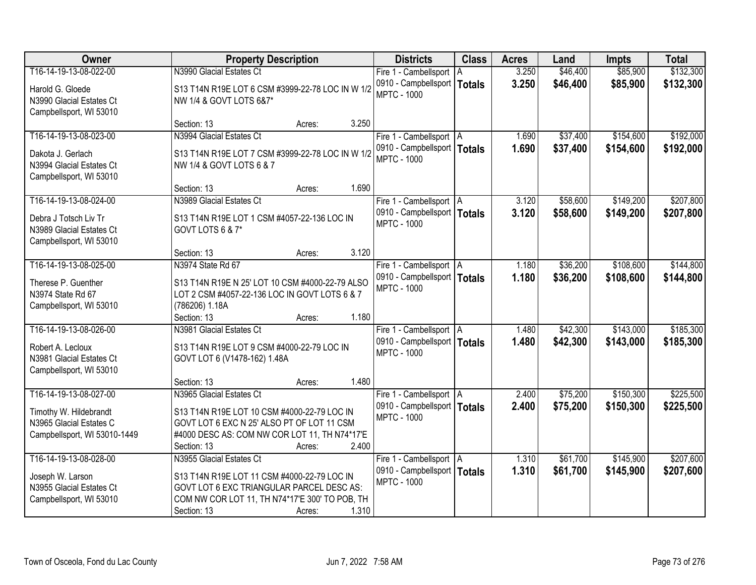| Owner                                                                             | <b>Property Description</b>                                                                                                                                                  | <b>Districts</b>                                                                 | <b>Class</b> | <b>Acres</b>   | Land                 | <b>Impts</b>           | <b>Total</b>           |
|-----------------------------------------------------------------------------------|------------------------------------------------------------------------------------------------------------------------------------------------------------------------------|----------------------------------------------------------------------------------|--------------|----------------|----------------------|------------------------|------------------------|
| T16-14-19-13-08-022-00                                                            | N3990 Glacial Estates Ct                                                                                                                                                     | Fire 1 - Cambellsport A                                                          |              | 3.250          | \$46,400             | \$85,900               | \$132,300              |
| Harold G. Gloede<br>N3990 Glacial Estates Ct<br>Campbellsport, WI 53010           | S13 T14N R19E LOT 6 CSM #3999-22-78 LOC IN W 1/2<br>NW 1/4 & GOVT LOTS 6&7*                                                                                                  | 0910 - Campbellsport   Totals<br><b>MPTC - 1000</b>                              |              | 3.250          | \$46,400             | \$85,900               | \$132,300              |
|                                                                                   | 3.250<br>Section: 13<br>Acres:                                                                                                                                               |                                                                                  |              |                |                      |                        |                        |
| T16-14-19-13-08-023-00                                                            | N3994 Glacial Estates Ct                                                                                                                                                     | Fire 1 - Cambellsport   A                                                        |              | 1.690          | \$37,400             | \$154,600              | \$192,000              |
| Dakota J. Gerlach<br>N3994 Glacial Estates Ct<br>Campbellsport, WI 53010          | S13 T14N R19E LOT 7 CSM #3999-22-78 LOC IN W 1/2<br>NW 1/4 & GOVT LOTS 6 & 7                                                                                                 | 0910 - Campbellsport   Totals<br><b>MPTC - 1000</b>                              |              | 1.690          | \$37,400             | \$154,600              | \$192,000              |
|                                                                                   | 1.690<br>Section: 13<br>Acres:                                                                                                                                               |                                                                                  |              |                |                      |                        |                        |
| T16-14-19-13-08-024-00                                                            | N3989 Glacial Estates Ct                                                                                                                                                     | Fire 1 - Cambellsport   A                                                        |              | 3.120          | \$58,600             | \$149,200              | \$207,800              |
| Debra J Totsch Liv Tr<br>N3989 Glacial Estates Ct<br>Campbellsport, WI 53010      | S13 T14N R19E LOT 1 CSM #4057-22-136 LOC IN<br>GOVT LOTS 6 & 7*                                                                                                              | 0910 - Campbellsport   Totals<br><b>MPTC - 1000</b>                              |              | 3.120          | \$58,600             | \$149,200              | \$207,800              |
|                                                                                   | 3.120<br>Section: 13<br>Acres:                                                                                                                                               |                                                                                  |              |                |                      |                        |                        |
| T16-14-19-13-08-025-00                                                            | N3974 State Rd 67                                                                                                                                                            | Fire 1 - Cambellsport   A                                                        |              | 1.180          | \$36,200             | \$108,600              | \$144,800              |
| Therese P. Guenther<br>N3974 State Rd 67<br>Campbellsport, WI 53010               | S13 T14N R19E N 25' LOT 10 CSM #4000-22-79 ALSO<br>LOT 2 CSM #4057-22-136 LOC IN GOVT LOTS 6 & 7<br>(786206) 1.18A                                                           | 0910 - Campbellsport   Totals<br><b>MPTC - 1000</b>                              |              | 1.180          | \$36,200             | \$108,600              | \$144,800              |
|                                                                                   | 1.180<br>Section: 13<br>Acres:                                                                                                                                               |                                                                                  |              |                |                      |                        |                        |
| T16-14-19-13-08-026-00<br>Robert A. Lecloux<br>N3981 Glacial Estates Ct           | N3981 Glacial Estates Ct<br>S13 T14N R19E LOT 9 CSM #4000-22-79 LOC IN<br>GOVT LOT 6 (V1478-162) 1.48A                                                                       | Fire 1 - Cambellsport   A<br>0910 - Campbellsport   Totals<br><b>MPTC - 1000</b> |              | 1.480<br>1.480 | \$42,300<br>\$42,300 | \$143,000<br>\$143,000 | \$185,300<br>\$185,300 |
| Campbellsport, WI 53010                                                           | 1.480<br>Section: 13<br>Acres:                                                                                                                                               |                                                                                  |              |                |                      |                        |                        |
| T16-14-19-13-08-027-00                                                            | N3965 Glacial Estates Ct                                                                                                                                                     | Fire 1 - Cambellsport   A                                                        |              | 2.400          | \$75,200             | \$150,300              | \$225,500              |
| Timothy W. Hildebrandt<br>N3965 Glacial Estates C<br>Campbellsport, WI 53010-1449 | S13 T14N R19E LOT 10 CSM #4000-22-79 LOC IN<br>GOVT LOT 6 EXC N 25' ALSO PT OF LOT 11 CSM<br>#4000 DESC AS: COM NW COR LOT 11, TH N74*17'E<br>2.400<br>Section: 13<br>Acres: | 0910 - Campbellsport   Totals<br><b>MPTC - 1000</b>                              |              | 2.400          | \$75,200             | \$150,300              | \$225,500              |
| T16-14-19-13-08-028-00                                                            | N3955 Glacial Estates Ct                                                                                                                                                     | Fire 1 - Cambellsport   A                                                        |              | 1.310          | \$61,700             | \$145,900              | \$207,600              |
| Joseph W. Larson<br>N3955 Glacial Estates Ct<br>Campbellsport, WI 53010           | S13 T14N R19E LOT 11 CSM #4000-22-79 LOC IN<br>GOVT LOT 6 EXC TRIANGULAR PARCEL DESC AS:<br>COM NW COR LOT 11, TH N74*17'E 300' TO POB, TH<br>1.310<br>Section: 13<br>Acres: | 0910 - Campbellsport   Totals<br><b>MPTC - 1000</b>                              |              | 1.310          | \$61,700             | \$145,900              | \$207,600              |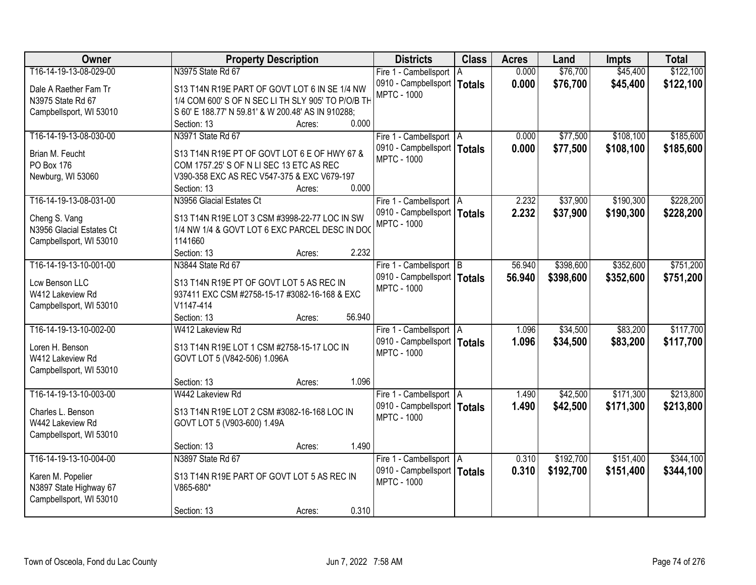| Owner                    | <b>Property Description</b>                        | <b>Districts</b>              | <b>Class</b>  | <b>Acres</b> | Land      | <b>Impts</b> | <b>Total</b> |
|--------------------------|----------------------------------------------------|-------------------------------|---------------|--------------|-----------|--------------|--------------|
| T16-14-19-13-08-029-00   | N3975 State Rd 67                                  | Fire 1 - Cambellsport   A     |               | 0.000        | \$76,700  | \$45,400     | \$122,100    |
| Dale A Raether Fam Tr    | S13 T14N R19E PART OF GOVT LOT 6 IN SE 1/4 NW      | 0910 - Campbellsport          | <b>Totals</b> | 0.000        | \$76,700  | \$45,400     | \$122,100    |
| N3975 State Rd 67        | 1/4 COM 600' S OF N SEC LI TH SLY 905' TO P/O/B TH | <b>MPTC - 1000</b>            |               |              |           |              |              |
| Campbellsport, WI 53010  | S 60' E 188.77' N 59.81' & W 200.48' AS IN 910288; |                               |               |              |           |              |              |
|                          | 0.000<br>Section: 13<br>Acres:                     |                               |               |              |           |              |              |
| T16-14-19-13-08-030-00   | N3971 State Rd 67                                  | Fire 1 - Cambellsport   A     |               | 0.000        | \$77,500  | \$108,100    | \$185,600    |
|                          |                                                    | 0910 - Campbellsport   Totals |               | 0.000        | \$77,500  | \$108,100    | \$185,600    |
| Brian M. Feucht          | S13 T14N R19E PT OF GOVT LOT 6 E OF HWY 67 &       | <b>MPTC - 1000</b>            |               |              |           |              |              |
| PO Box 176               | COM 1757.25' S OF N LI SEC 13 ETC AS REC           |                               |               |              |           |              |              |
| Newburg, WI 53060        | V390-358 EXC AS REC V547-375 & EXC V679-197        |                               |               |              |           |              |              |
|                          | 0.000<br>Section: 13<br>Acres:                     |                               |               |              |           |              |              |
| T16-14-19-13-08-031-00   | N3956 Glacial Estates Ct                           | Fire 1 - Cambellsport   A     |               | 2.232        | \$37,900  | \$190,300    | \$228,200    |
| Cheng S. Vang            | S13 T14N R19E LOT 3 CSM #3998-22-77 LOC IN SW      | 0910 - Campbellsport   Totals |               | 2.232        | \$37,900  | \$190,300    | \$228,200    |
| N3956 Glacial Estates Ct | 1/4 NW 1/4 & GOVT LOT 6 EXC PARCEL DESC IN DO      | <b>MPTC - 1000</b>            |               |              |           |              |              |
| Campbellsport, WI 53010  | 1141660                                            |                               |               |              |           |              |              |
|                          | 2.232<br>Section: 13<br>Acres:                     |                               |               |              |           |              |              |
| T16-14-19-13-10-001-00   | N3844 State Rd 67                                  | Fire 1 - Cambellsport B       |               | 56.940       | \$398,600 | \$352,600    | \$751,200    |
|                          |                                                    | 0910 - Campbellsport   Totals |               | 56.940       | \$398,600 | \$352,600    | \$751,200    |
| Lcw Benson LLC           | S13 T14N R19E PT OF GOVT LOT 5 AS REC IN           | <b>MPTC - 1000</b>            |               |              |           |              |              |
| W412 Lakeview Rd         | 937411 EXC CSM #2758-15-17 #3082-16-168 & EXC      |                               |               |              |           |              |              |
| Campbellsport, WI 53010  | V1147-414                                          |                               |               |              |           |              |              |
|                          | 56.940<br>Section: 13<br>Acres:                    |                               |               |              |           |              |              |
| T16-14-19-13-10-002-00   | W412 Lakeview Rd                                   | Fire 1 - Cambellsport   A     |               | 1.096        | \$34,500  | \$83,200     | \$117,700    |
| Loren H. Benson          | S13 T14N R19E LOT 1 CSM #2758-15-17 LOC IN         | 0910 - Campbellsport   Totals |               | 1.096        | \$34,500  | \$83,200     | \$117,700    |
| W412 Lakeview Rd         | GOVT LOT 5 (V842-506) 1.096A                       | <b>MPTC - 1000</b>            |               |              |           |              |              |
| Campbellsport, WI 53010  |                                                    |                               |               |              |           |              |              |
|                          | 1.096<br>Section: 13<br>Acres:                     |                               |               |              |           |              |              |
| T16-14-19-13-10-003-00   | W442 Lakeview Rd                                   | Fire 1 - Cambellsport   A     |               | 1.490        | \$42,500  | \$171,300    | \$213,800    |
|                          |                                                    | 0910 - Campbellsport   Totals |               | 1.490        | \$42,500  | \$171,300    | \$213,800    |
| Charles L. Benson        | S13 T14N R19E LOT 2 CSM #3082-16-168 LOC IN        | <b>MPTC - 1000</b>            |               |              |           |              |              |
| W442 Lakeview Rd         | GOVT LOT 5 (V903-600) 1.49A                        |                               |               |              |           |              |              |
| Campbellsport, WI 53010  |                                                    |                               |               |              |           |              |              |
|                          | 1.490<br>Section: 13<br>Acres:                     |                               |               |              |           |              |              |
| T16-14-19-13-10-004-00   | N3897 State Rd 67                                  | Fire 1 - Cambellsport   A     |               | 0.310        | \$192,700 | \$151,400    | \$344,100    |
| Karen M. Popelier        | S13 T14N R19E PART OF GOVT LOT 5 AS REC IN         | 0910 - Campbellsport   Totals |               | 0.310        | \$192,700 | \$151,400    | \$344,100    |
| N3897 State Highway 67   | V865-680*                                          | <b>MPTC - 1000</b>            |               |              |           |              |              |
| Campbellsport, WI 53010  |                                                    |                               |               |              |           |              |              |
|                          | 0.310<br>Section: 13<br>Acres:                     |                               |               |              |           |              |              |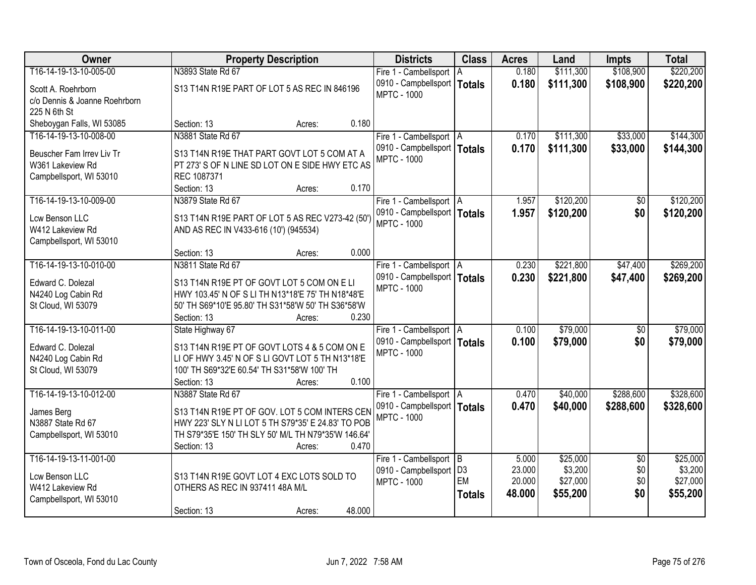| <b>Owner</b>                                 | <b>Property Description</b>                                                                         | <b>Districts</b>              | <b>Class</b>  | <b>Acres</b> | Land      | <b>Impts</b>    | <b>Total</b> |
|----------------------------------------------|-----------------------------------------------------------------------------------------------------|-------------------------------|---------------|--------------|-----------|-----------------|--------------|
| T16-14-19-13-10-005-00                       | N3893 State Rd 67                                                                                   | Fire 1 - Cambellsport         | ΙA            | 0.180        | \$111,300 | \$108,900       | \$220,200    |
| Scott A. Roehrborn                           | S13 T14N R19E PART OF LOT 5 AS REC IN 846196                                                        | 0910 - Campbellsport          | <b>Totals</b> | 0.180        | \$111,300 | \$108,900       | \$220,200    |
| c/o Dennis & Joanne Roehrborn                |                                                                                                     | <b>MPTC - 1000</b>            |               |              |           |                 |              |
| 225 N 6th St                                 |                                                                                                     |                               |               |              |           |                 |              |
| Sheboygan Falls, WI 53085                    | 0.180<br>Section: 13<br>Acres:                                                                      |                               |               |              |           |                 |              |
| T16-14-19-13-10-008-00                       | N3881 State Rd 67                                                                                   | Fire 1 - Cambellsport   A     |               | 0.170        | \$111,300 | \$33,000        | \$144,300    |
| Beuscher Fam Irrev Liv Tr                    | S13 T14N R19E THAT PART GOVT LOT 5 COM AT A                                                         | 0910 - Campbellsport   Totals |               | 0.170        | \$111,300 | \$33,000        | \$144,300    |
| W361 Lakeview Rd                             | PT 273' S OF N LINE SD LOT ON E SIDE HWY ETC AS                                                     | <b>MPTC - 1000</b>            |               |              |           |                 |              |
| Campbellsport, WI 53010                      | REC 1087371                                                                                         |                               |               |              |           |                 |              |
|                                              | Section: 13<br>0.170<br>Acres:                                                                      |                               |               |              |           |                 |              |
| T16-14-19-13-10-009-00                       | N3879 State Rd 67                                                                                   | Fire 1 - Cambellsport   A     |               | 1.957        | \$120,200 | \$0             | \$120,200    |
| Lcw Benson LLC                               | S13 T14N R19E PART OF LOT 5 AS REC V273-42 (50')                                                    | 0910 - Campbellsport   Totals |               | 1.957        | \$120,200 | \$0             | \$120,200    |
| W412 Lakeview Rd                             | AND AS REC IN V433-616 (10') (945534)                                                               | <b>MPTC - 1000</b>            |               |              |           |                 |              |
| Campbellsport, WI 53010                      |                                                                                                     |                               |               |              |           |                 |              |
|                                              | 0.000<br>Section: 13<br>Acres:                                                                      |                               |               |              |           |                 |              |
| T16-14-19-13-10-010-00                       | N3811 State Rd 67                                                                                   | Fire 1 - Cambellsport   A     |               | 0.230        | \$221,800 | \$47,400        | \$269,200    |
| Edward C. Dolezal                            | S13 T14N R19E PT OF GOVT LOT 5 COM ON ELI                                                           | 0910 - Campbellsport   Totals |               | 0.230        | \$221,800 | \$47,400        | \$269,200    |
| N4240 Log Cabin Rd                           | HWY 103.45' N OF S LI TH N13*18'E 75' TH N18*48'E                                                   | <b>MPTC - 1000</b>            |               |              |           |                 |              |
| St Cloud, WI 53079                           | 50' TH S69*10'E 95.80' TH S31*58'W 50' TH S36*58'W                                                  |                               |               |              |           |                 |              |
|                                              | 0.230<br>Section: 13<br>Acres:                                                                      |                               |               |              |           |                 |              |
| T16-14-19-13-10-011-00                       | State Highway 67                                                                                    | Fire 1 - Cambellsport   A     |               | 0.100        | \$79,000  | $\overline{50}$ | \$79,000     |
|                                              |                                                                                                     | 0910 - Campbellsport   Totals |               | 0.100        | \$79,000  | \$0             | \$79,000     |
| Edward C. Dolezal<br>N4240 Log Cabin Rd      | S13 T14N R19E PT OF GOVT LOTS 4 & 5 COM ON E<br>LI OF HWY 3.45' N OF S LI GOVT LOT 5 TH N13*18'E    | <b>MPTC - 1000</b>            |               |              |           |                 |              |
| St Cloud, WI 53079                           | 100' TH S69*32'E 60.54' TH S31*58'W 100' TH                                                         |                               |               |              |           |                 |              |
|                                              | 0.100<br>Section: 13<br>Acres:                                                                      |                               |               |              |           |                 |              |
| T16-14-19-13-10-012-00                       | N3887 State Rd 67                                                                                   | Fire 1 - Cambellsport   A     |               | 0.470        | \$40,000  | \$288,600       | \$328,600    |
|                                              |                                                                                                     | 0910 - Campbellsport   Totals |               | 0.470        | \$40,000  | \$288,600       | \$328,600    |
| James Berg                                   | S13 T14N R19E PT OF GOV. LOT 5 COM INTERS CEN<br>HWY 223' SLY N LI LOT 5 TH S79*35' E 24.83' TO POB | <b>MPTC - 1000</b>            |               |              |           |                 |              |
| N3887 State Rd 67<br>Campbellsport, WI 53010 | TH S79*35'E 150' TH SLY 50' M/L TH N79*35'W 146.64'                                                 |                               |               |              |           |                 |              |
|                                              | 0.470<br>Section: 13<br>Acres:                                                                      |                               |               |              |           |                 |              |
| T16-14-19-13-11-001-00                       |                                                                                                     | Fire 1 - Cambellsport B       |               | 5.000        | \$25,000  | $\overline{50}$ | \$25,000     |
|                                              |                                                                                                     | 0910 - Campbellsport   D3     |               | 23.000       | \$3,200   | \$0             | \$3,200      |
| Lcw Benson LLC                               | S13 T14N R19E GOVT LOT 4 EXC LOTS SOLD TO                                                           | <b>MPTC - 1000</b>            | EM            | 20.000       | \$27,000  | \$0             | \$27,000     |
| W412 Lakeview Rd                             | OTHERS AS REC IN 937411 48A M/L                                                                     |                               | <b>Totals</b> | 48.000       | \$55,200  | \$0             | \$55,200     |
| Campbellsport, WI 53010                      | 48.000<br>Section: 13<br>Acres:                                                                     |                               |               |              |           |                 |              |
|                                              |                                                                                                     |                               |               |              |           |                 |              |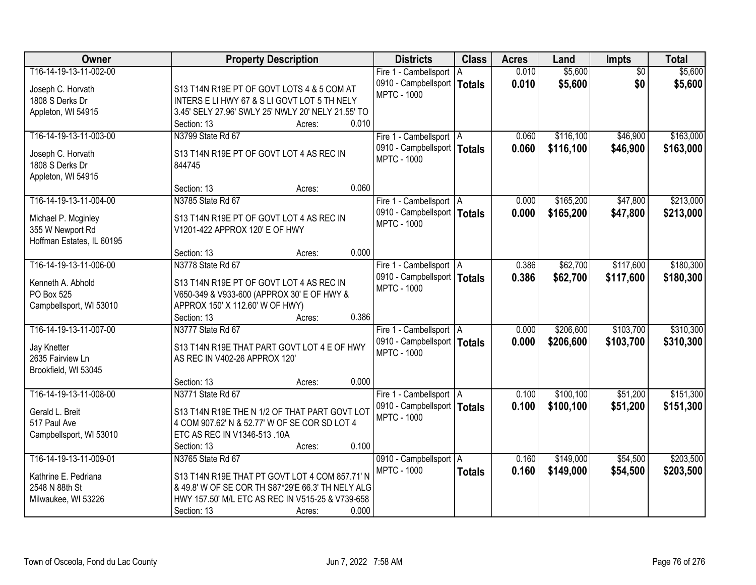| \$5,600<br>T16-14-19-13-11-002-00<br>0.010<br>$\overline{50}$<br>\$5,600<br>Fire 1 - Cambellsport   A<br>0.010<br>\$5,600<br>\$0<br>\$5,600<br>0910 - Campbellsport  <br><b>Totals</b><br>Joseph C. Horvath<br>S13 T14N R19E PT OF GOVT LOTS 4 & 5 COM AT<br><b>MPTC - 1000</b><br>1808 S Derks Dr<br>INTERS E LI HWY 67 & S LI GOVT LOT 5 TH NELY<br>3.45' SELY 27.96' SWLY 25' NWLY 20' NELY 21.55' TO<br>Appleton, WI 54915<br>0.010<br>Section: 13<br>Acres:<br>\$116,100<br>\$163,000<br>T16-14-19-13-11-003-00<br>N3799 State Rd 67<br>\$46,900<br>Fire 1 - Cambellsport   A<br>0.060<br>0910 - Campbellsport   Totals<br>0.060<br>\$116,100<br>\$46,900<br>\$163,000<br>Joseph C. Horvath<br>S13 T14N R19E PT OF GOVT LOT 4 AS REC IN<br><b>MPTC - 1000</b><br>1808 S Derks Dr<br>844745<br>Appleton, WI 54915<br>0.060<br>Section: 13<br>Acres:<br>\$213,000<br>T16-14-19-13-11-004-00<br>N3785 State Rd 67<br>\$165,200<br>\$47,800<br>Fire 1 - Cambellsport   A<br>0.000<br>0910 - Campbellsport   Totals<br>0.000<br>\$165,200<br>\$47,800<br>\$213,000<br>Michael P. Mcginley<br>S13 T14N R19E PT OF GOVT LOT 4 AS REC IN<br><b>MPTC - 1000</b><br>355 W Newport Rd<br>V1201-422 APPROX 120' E OF HWY<br>Hoffman Estates, IL 60195 |
|------------------------------------------------------------------------------------------------------------------------------------------------------------------------------------------------------------------------------------------------------------------------------------------------------------------------------------------------------------------------------------------------------------------------------------------------------------------------------------------------------------------------------------------------------------------------------------------------------------------------------------------------------------------------------------------------------------------------------------------------------------------------------------------------------------------------------------------------------------------------------------------------------------------------------------------------------------------------------------------------------------------------------------------------------------------------------------------------------------------------------------------------------------------------------------------------------------------------------------------------|
|                                                                                                                                                                                                                                                                                                                                                                                                                                                                                                                                                                                                                                                                                                                                                                                                                                                                                                                                                                                                                                                                                                                                                                                                                                                |
|                                                                                                                                                                                                                                                                                                                                                                                                                                                                                                                                                                                                                                                                                                                                                                                                                                                                                                                                                                                                                                                                                                                                                                                                                                                |
|                                                                                                                                                                                                                                                                                                                                                                                                                                                                                                                                                                                                                                                                                                                                                                                                                                                                                                                                                                                                                                                                                                                                                                                                                                                |
|                                                                                                                                                                                                                                                                                                                                                                                                                                                                                                                                                                                                                                                                                                                                                                                                                                                                                                                                                                                                                                                                                                                                                                                                                                                |
|                                                                                                                                                                                                                                                                                                                                                                                                                                                                                                                                                                                                                                                                                                                                                                                                                                                                                                                                                                                                                                                                                                                                                                                                                                                |
|                                                                                                                                                                                                                                                                                                                                                                                                                                                                                                                                                                                                                                                                                                                                                                                                                                                                                                                                                                                                                                                                                                                                                                                                                                                |
|                                                                                                                                                                                                                                                                                                                                                                                                                                                                                                                                                                                                                                                                                                                                                                                                                                                                                                                                                                                                                                                                                                                                                                                                                                                |
|                                                                                                                                                                                                                                                                                                                                                                                                                                                                                                                                                                                                                                                                                                                                                                                                                                                                                                                                                                                                                                                                                                                                                                                                                                                |
|                                                                                                                                                                                                                                                                                                                                                                                                                                                                                                                                                                                                                                                                                                                                                                                                                                                                                                                                                                                                                                                                                                                                                                                                                                                |
|                                                                                                                                                                                                                                                                                                                                                                                                                                                                                                                                                                                                                                                                                                                                                                                                                                                                                                                                                                                                                                                                                                                                                                                                                                                |
|                                                                                                                                                                                                                                                                                                                                                                                                                                                                                                                                                                                                                                                                                                                                                                                                                                                                                                                                                                                                                                                                                                                                                                                                                                                |
|                                                                                                                                                                                                                                                                                                                                                                                                                                                                                                                                                                                                                                                                                                                                                                                                                                                                                                                                                                                                                                                                                                                                                                                                                                                |
|                                                                                                                                                                                                                                                                                                                                                                                                                                                                                                                                                                                                                                                                                                                                                                                                                                                                                                                                                                                                                                                                                                                                                                                                                                                |
|                                                                                                                                                                                                                                                                                                                                                                                                                                                                                                                                                                                                                                                                                                                                                                                                                                                                                                                                                                                                                                                                                                                                                                                                                                                |
| 0.000<br>Section: 13<br>Acres:                                                                                                                                                                                                                                                                                                                                                                                                                                                                                                                                                                                                                                                                                                                                                                                                                                                                                                                                                                                                                                                                                                                                                                                                                 |
| \$180,300<br>T16-14-19-13-11-006-00<br>N3778 State Rd 67<br>\$62,700<br>\$117,600<br>Fire 1 - Cambellsport   A<br>0.386                                                                                                                                                                                                                                                                                                                                                                                                                                                                                                                                                                                                                                                                                                                                                                                                                                                                                                                                                                                                                                                                                                                        |
| 0910 - Campbellsport   Totals<br>0.386<br>\$62,700<br>\$117,600<br>\$180,300                                                                                                                                                                                                                                                                                                                                                                                                                                                                                                                                                                                                                                                                                                                                                                                                                                                                                                                                                                                                                                                                                                                                                                   |
| Kenneth A. Abhold<br>S13 T14N R19E PT OF GOVT LOT 4 AS REC IN<br><b>MPTC - 1000</b>                                                                                                                                                                                                                                                                                                                                                                                                                                                                                                                                                                                                                                                                                                                                                                                                                                                                                                                                                                                                                                                                                                                                                            |
| PO Box 525<br>V650-349 & V933-600 (APPROX 30' E OF HWY &                                                                                                                                                                                                                                                                                                                                                                                                                                                                                                                                                                                                                                                                                                                                                                                                                                                                                                                                                                                                                                                                                                                                                                                       |
| Campbellsport, WI 53010<br>APPROX 150' X 112.60' W OF HWY)                                                                                                                                                                                                                                                                                                                                                                                                                                                                                                                                                                                                                                                                                                                                                                                                                                                                                                                                                                                                                                                                                                                                                                                     |
| 0.386<br>Section: 13<br>Acres:                                                                                                                                                                                                                                                                                                                                                                                                                                                                                                                                                                                                                                                                                                                                                                                                                                                                                                                                                                                                                                                                                                                                                                                                                 |
| \$310,300<br>T16-14-19-13-11-007-00<br>N3777 State Rd 67<br>\$206,600<br>\$103,700<br>0.000<br>Fire 1 - Cambellsport   A                                                                                                                                                                                                                                                                                                                                                                                                                                                                                                                                                                                                                                                                                                                                                                                                                                                                                                                                                                                                                                                                                                                       |
| 0.000<br>\$103,700<br>0910 - Campbellsport   Totals<br>\$206,600<br>\$310,300<br>Jay Knetter<br>S13 T14N R19E THAT PART GOVT LOT 4 E OF HWY                                                                                                                                                                                                                                                                                                                                                                                                                                                                                                                                                                                                                                                                                                                                                                                                                                                                                                                                                                                                                                                                                                    |
| <b>MPTC - 1000</b><br>2635 Fairview Ln<br>AS REC IN V402-26 APPROX 120'                                                                                                                                                                                                                                                                                                                                                                                                                                                                                                                                                                                                                                                                                                                                                                                                                                                                                                                                                                                                                                                                                                                                                                        |
| Brookfield, WI 53045                                                                                                                                                                                                                                                                                                                                                                                                                                                                                                                                                                                                                                                                                                                                                                                                                                                                                                                                                                                                                                                                                                                                                                                                                           |
| 0.000<br>Section: 13<br>Acres:                                                                                                                                                                                                                                                                                                                                                                                                                                                                                                                                                                                                                                                                                                                                                                                                                                                                                                                                                                                                                                                                                                                                                                                                                 |
| \$100, 100<br>\$151,300<br>T16-14-19-13-11-008-00<br>N3771 State Rd 67<br>0.100<br>\$51,200<br>Fire 1 - Cambellsport   A                                                                                                                                                                                                                                                                                                                                                                                                                                                                                                                                                                                                                                                                                                                                                                                                                                                                                                                                                                                                                                                                                                                       |
| 0910 - Campbellsport   Totals<br>0.100<br>\$100,100<br>\$151,300<br>\$51,200<br>Gerald L. Breit<br>S13 T14N R19E THE N 1/2 OF THAT PART GOVT LOT                                                                                                                                                                                                                                                                                                                                                                                                                                                                                                                                                                                                                                                                                                                                                                                                                                                                                                                                                                                                                                                                                               |
| <b>MPTC - 1000</b><br>517 Paul Ave<br>4 COM 907.62' N & 52.77' W OF SE COR SD LOT 4                                                                                                                                                                                                                                                                                                                                                                                                                                                                                                                                                                                                                                                                                                                                                                                                                                                                                                                                                                                                                                                                                                                                                            |
| Campbellsport, WI 53010<br>ETC AS REC IN V1346-513 .10A                                                                                                                                                                                                                                                                                                                                                                                                                                                                                                                                                                                                                                                                                                                                                                                                                                                                                                                                                                                                                                                                                                                                                                                        |
| 0.100<br>Section: 13<br>Acres:                                                                                                                                                                                                                                                                                                                                                                                                                                                                                                                                                                                                                                                                                                                                                                                                                                                                                                                                                                                                                                                                                                                                                                                                                 |
| T16-14-19-13-11-009-01<br>\$149,000<br>\$54,500<br>\$203,500<br>N3765 State Rd 67<br>0910 - Campbellsport   A<br>0.160                                                                                                                                                                                                                                                                                                                                                                                                                                                                                                                                                                                                                                                                                                                                                                                                                                                                                                                                                                                                                                                                                                                         |
| <b>MPTC - 1000</b><br>0.160<br>\$54,500<br>\$149,000<br>\$203,500<br><b>Totals</b><br>Kathrine E. Pedriana<br>S13 T14N R19E THAT PT GOVT LOT 4 COM 857.71' N                                                                                                                                                                                                                                                                                                                                                                                                                                                                                                                                                                                                                                                                                                                                                                                                                                                                                                                                                                                                                                                                                   |
| 2548 N 88th St<br>& 49.8' W OF SE COR TH S87*29'E 66.3' TH NELY ALG                                                                                                                                                                                                                                                                                                                                                                                                                                                                                                                                                                                                                                                                                                                                                                                                                                                                                                                                                                                                                                                                                                                                                                            |
| HWY 157.50' M/L ETC AS REC IN V515-25 & V739-658<br>Milwaukee, WI 53226                                                                                                                                                                                                                                                                                                                                                                                                                                                                                                                                                                                                                                                                                                                                                                                                                                                                                                                                                                                                                                                                                                                                                                        |
| 0.000<br>Section: 13<br>Acres:                                                                                                                                                                                                                                                                                                                                                                                                                                                                                                                                                                                                                                                                                                                                                                                                                                                                                                                                                                                                                                                                                                                                                                                                                 |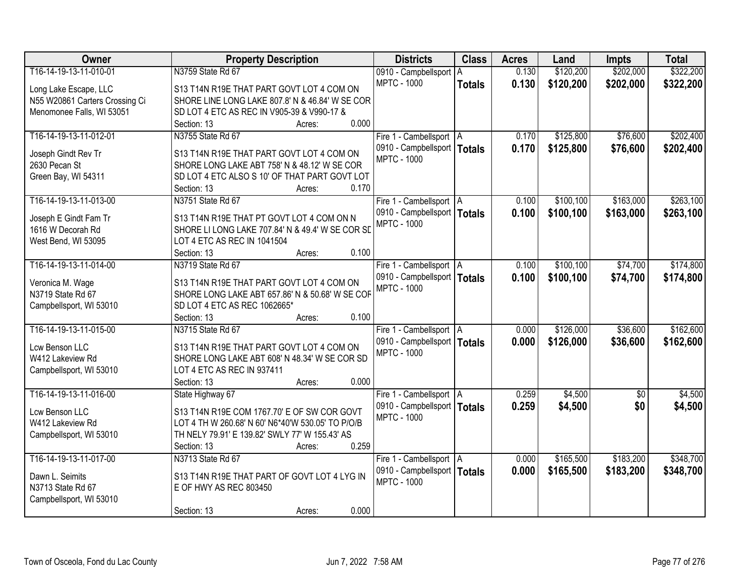| \$202,000<br>\$322,200<br>T16-14-19-13-11-010-01<br>N3759 State Rd 67<br>\$120,200<br>0.130<br>0910 - Campbellsport   A<br><b>MPTC - 1000</b><br>0.130<br>\$120,200<br>\$202,000<br><b>Totals</b><br>S13 T14N R19E THAT PART GOVT LOT 4 COM ON<br>Long Lake Escape, LLC<br>N55 W20861 Carters Crossing Ci<br>SHORE LINE LONG LAKE 807.8' N & 46.84' W SE COR<br>Menomonee Falls, WI 53051<br>SD LOT 4 ETC AS REC IN V905-39 & V990-17 &<br>0.000<br>Section: 13<br>Acres:<br>T16-14-19-13-11-012-01<br>\$125,800<br>\$76,600<br>N3755 State Rd 67<br>0.170<br>Fire 1 - Cambellsport   A<br>0910 - Campbellsport   Totals<br>0.170<br>\$125,800<br>\$76,600<br>Joseph Gindt Rev Tr<br>S13 T14N R19E THAT PART GOVT LOT 4 COM ON<br><b>MPTC - 1000</b><br>2630 Pecan St<br>SHORE LONG LAKE ABT 758' N & 48.12' W SE COR<br>Green Bay, WI 54311<br>SD LOT 4 ETC ALSO S 10' OF THAT PART GOVT LOT<br>0.170<br>Section: 13<br>Acres:<br>T16-14-19-13-11-013-00<br>\$163,000<br>N3751 State Rd 67<br>\$100, 100<br>Fire 1 - Cambellsport   A<br>0.100<br>0910 - Campbellsport   Totals<br>\$163,000<br>0.100<br>\$100,100<br>Joseph E Gindt Fam Tr<br>S13 T14N R19E THAT PT GOVT LOT 4 COM ON N<br><b>MPTC - 1000</b><br>1616 W Decorah Rd<br>SHORE LI LONG LAKE 707.84' N & 49.4' W SE COR SD<br>West Bend, WI 53095<br>LOT 4 ETC AS REC IN 1041504<br>0.100<br>Section: 13<br>Acres:<br>T16-14-19-13-11-014-00<br>\$100,100<br>\$74,700<br>N3719 State Rd 67<br>0.100<br>Fire 1 - Cambellsport   A<br>0910 - Campbellsport   Totals<br>0.100<br>\$100,100<br>\$74,700<br>S13 T14N R19E THAT PART GOVT LOT 4 COM ON<br>Veronica M. Wage<br><b>MPTC - 1000</b><br>N3719 State Rd 67<br>SHORE LONG LAKE ABT 657.86' N & 50.68' W SE COF<br>SD LOT 4 ETC AS REC 1062665*<br>Campbellsport, WI 53010<br>0.100<br>Section: 13<br>Acres:<br>T16-14-19-13-11-015-00<br>N3715 State Rd 67<br>0.000<br>\$126,000<br>\$36,600<br>Fire 1 - Cambellsport   A<br>0910 - Campbellsport   Totals<br>0.000<br>\$126,000<br>\$36,600<br>Lcw Benson LLC<br>S13 T14N R19E THAT PART GOVT LOT 4 COM ON<br><b>MPTC - 1000</b><br>W412 Lakeview Rd<br>SHORE LONG LAKE ABT 608' N 48.34' W SE COR SD<br>LOT 4 ETC AS REC IN 937411<br>Campbellsport, WI 53010<br>0.000<br>Section: 13<br>Acres:<br>\$4,500<br>T16-14-19-13-11-016-00<br>0.259<br>State Highway 67<br>Fire 1 - Cambellsport   A<br>$\overline{50}$<br>0910 - Campbellsport   Totals<br>0.259<br>\$4,500<br>\$0<br>Lcw Benson LLC<br>S13 T14N R19E COM 1767.70' E OF SW COR GOVT<br><b>MPTC - 1000</b><br>LOT 4 TH W 260.68' N 60' N6*40'W 530.05' TO P/O/B<br>W412 Lakeview Rd<br>TH NELY 79.91' E 139.82' SWLY 77' W 155.43' AS<br>Campbellsport, WI 53010<br>0.259<br>Section: 13<br>Acres: | Owner                  | <b>Property Description</b> | <b>Districts</b>          | <b>Class</b> | <b>Acres</b> | Land      | <b>Impts</b> | <b>Total</b> |
|----------------------------------------------------------------------------------------------------------------------------------------------------------------------------------------------------------------------------------------------------------------------------------------------------------------------------------------------------------------------------------------------------------------------------------------------------------------------------------------------------------------------------------------------------------------------------------------------------------------------------------------------------------------------------------------------------------------------------------------------------------------------------------------------------------------------------------------------------------------------------------------------------------------------------------------------------------------------------------------------------------------------------------------------------------------------------------------------------------------------------------------------------------------------------------------------------------------------------------------------------------------------------------------------------------------------------------------------------------------------------------------------------------------------------------------------------------------------------------------------------------------------------------------------------------------------------------------------------------------------------------------------------------------------------------------------------------------------------------------------------------------------------------------------------------------------------------------------------------------------------------------------------------------------------------------------------------------------------------------------------------------------------------------------------------------------------------------------------------------------------------------------------------------------------------------------------------------------------------------------------------------------------------------------------------------------------------------------------------------------------------------------------------------------------------------------------------------------------------------------------------------------------------------------------------------------------------------------------------------------------------------------------------------------------------------------------------------------------------|------------------------|-----------------------------|---------------------------|--------------|--------------|-----------|--------------|--------------|
|                                                                                                                                                                                                                                                                                                                                                                                                                                                                                                                                                                                                                                                                                                                                                                                                                                                                                                                                                                                                                                                                                                                                                                                                                                                                                                                                                                                                                                                                                                                                                                                                                                                                                                                                                                                                                                                                                                                                                                                                                                                                                                                                                                                                                                                                                                                                                                                                                                                                                                                                                                                                                                                                                                                                  |                        |                             |                           |              |              |           |              |              |
| \$202,400                                                                                                                                                                                                                                                                                                                                                                                                                                                                                                                                                                                                                                                                                                                                                                                                                                                                                                                                                                                                                                                                                                                                                                                                                                                                                                                                                                                                                                                                                                                                                                                                                                                                                                                                                                                                                                                                                                                                                                                                                                                                                                                                                                                                                                                                                                                                                                                                                                                                                                                                                                                                                                                                                                                        |                        |                             |                           |              |              |           |              | \$322,200    |
|                                                                                                                                                                                                                                                                                                                                                                                                                                                                                                                                                                                                                                                                                                                                                                                                                                                                                                                                                                                                                                                                                                                                                                                                                                                                                                                                                                                                                                                                                                                                                                                                                                                                                                                                                                                                                                                                                                                                                                                                                                                                                                                                                                                                                                                                                                                                                                                                                                                                                                                                                                                                                                                                                                                                  |                        |                             |                           |              |              |           |              |              |
|                                                                                                                                                                                                                                                                                                                                                                                                                                                                                                                                                                                                                                                                                                                                                                                                                                                                                                                                                                                                                                                                                                                                                                                                                                                                                                                                                                                                                                                                                                                                                                                                                                                                                                                                                                                                                                                                                                                                                                                                                                                                                                                                                                                                                                                                                                                                                                                                                                                                                                                                                                                                                                                                                                                                  |                        |                             |                           |              |              |           |              |              |
|                                                                                                                                                                                                                                                                                                                                                                                                                                                                                                                                                                                                                                                                                                                                                                                                                                                                                                                                                                                                                                                                                                                                                                                                                                                                                                                                                                                                                                                                                                                                                                                                                                                                                                                                                                                                                                                                                                                                                                                                                                                                                                                                                                                                                                                                                                                                                                                                                                                                                                                                                                                                                                                                                                                                  |                        |                             |                           |              |              |           |              |              |
| \$202,400<br>\$263,100<br>\$263,100<br>\$174,800<br>\$174,800<br>\$4,500                                                                                                                                                                                                                                                                                                                                                                                                                                                                                                                                                                                                                                                                                                                                                                                                                                                                                                                                                                                                                                                                                                                                                                                                                                                                                                                                                                                                                                                                                                                                                                                                                                                                                                                                                                                                                                                                                                                                                                                                                                                                                                                                                                                                                                                                                                                                                                                                                                                                                                                                                                                                                                                         |                        |                             |                           |              |              |           |              |              |
|                                                                                                                                                                                                                                                                                                                                                                                                                                                                                                                                                                                                                                                                                                                                                                                                                                                                                                                                                                                                                                                                                                                                                                                                                                                                                                                                                                                                                                                                                                                                                                                                                                                                                                                                                                                                                                                                                                                                                                                                                                                                                                                                                                                                                                                                                                                                                                                                                                                                                                                                                                                                                                                                                                                                  |                        |                             |                           |              |              |           |              |              |
|                                                                                                                                                                                                                                                                                                                                                                                                                                                                                                                                                                                                                                                                                                                                                                                                                                                                                                                                                                                                                                                                                                                                                                                                                                                                                                                                                                                                                                                                                                                                                                                                                                                                                                                                                                                                                                                                                                                                                                                                                                                                                                                                                                                                                                                                                                                                                                                                                                                                                                                                                                                                                                                                                                                                  |                        |                             |                           |              |              |           |              |              |
|                                                                                                                                                                                                                                                                                                                                                                                                                                                                                                                                                                                                                                                                                                                                                                                                                                                                                                                                                                                                                                                                                                                                                                                                                                                                                                                                                                                                                                                                                                                                                                                                                                                                                                                                                                                                                                                                                                                                                                                                                                                                                                                                                                                                                                                                                                                                                                                                                                                                                                                                                                                                                                                                                                                                  |                        |                             |                           |              |              |           |              |              |
|                                                                                                                                                                                                                                                                                                                                                                                                                                                                                                                                                                                                                                                                                                                                                                                                                                                                                                                                                                                                                                                                                                                                                                                                                                                                                                                                                                                                                                                                                                                                                                                                                                                                                                                                                                                                                                                                                                                                                                                                                                                                                                                                                                                                                                                                                                                                                                                                                                                                                                                                                                                                                                                                                                                                  |                        |                             |                           |              |              |           |              |              |
|                                                                                                                                                                                                                                                                                                                                                                                                                                                                                                                                                                                                                                                                                                                                                                                                                                                                                                                                                                                                                                                                                                                                                                                                                                                                                                                                                                                                                                                                                                                                                                                                                                                                                                                                                                                                                                                                                                                                                                                                                                                                                                                                                                                                                                                                                                                                                                                                                                                                                                                                                                                                                                                                                                                                  |                        |                             |                           |              |              |           |              |              |
|                                                                                                                                                                                                                                                                                                                                                                                                                                                                                                                                                                                                                                                                                                                                                                                                                                                                                                                                                                                                                                                                                                                                                                                                                                                                                                                                                                                                                                                                                                                                                                                                                                                                                                                                                                                                                                                                                                                                                                                                                                                                                                                                                                                                                                                                                                                                                                                                                                                                                                                                                                                                                                                                                                                                  |                        |                             |                           |              |              |           |              |              |
|                                                                                                                                                                                                                                                                                                                                                                                                                                                                                                                                                                                                                                                                                                                                                                                                                                                                                                                                                                                                                                                                                                                                                                                                                                                                                                                                                                                                                                                                                                                                                                                                                                                                                                                                                                                                                                                                                                                                                                                                                                                                                                                                                                                                                                                                                                                                                                                                                                                                                                                                                                                                                                                                                                                                  |                        |                             |                           |              |              |           |              |              |
|                                                                                                                                                                                                                                                                                                                                                                                                                                                                                                                                                                                                                                                                                                                                                                                                                                                                                                                                                                                                                                                                                                                                                                                                                                                                                                                                                                                                                                                                                                                                                                                                                                                                                                                                                                                                                                                                                                                                                                                                                                                                                                                                                                                                                                                                                                                                                                                                                                                                                                                                                                                                                                                                                                                                  |                        |                             |                           |              |              |           |              |              |
|                                                                                                                                                                                                                                                                                                                                                                                                                                                                                                                                                                                                                                                                                                                                                                                                                                                                                                                                                                                                                                                                                                                                                                                                                                                                                                                                                                                                                                                                                                                                                                                                                                                                                                                                                                                                                                                                                                                                                                                                                                                                                                                                                                                                                                                                                                                                                                                                                                                                                                                                                                                                                                                                                                                                  |                        |                             |                           |              |              |           |              |              |
|                                                                                                                                                                                                                                                                                                                                                                                                                                                                                                                                                                                                                                                                                                                                                                                                                                                                                                                                                                                                                                                                                                                                                                                                                                                                                                                                                                                                                                                                                                                                                                                                                                                                                                                                                                                                                                                                                                                                                                                                                                                                                                                                                                                                                                                                                                                                                                                                                                                                                                                                                                                                                                                                                                                                  |                        |                             |                           |              |              |           |              |              |
|                                                                                                                                                                                                                                                                                                                                                                                                                                                                                                                                                                                                                                                                                                                                                                                                                                                                                                                                                                                                                                                                                                                                                                                                                                                                                                                                                                                                                                                                                                                                                                                                                                                                                                                                                                                                                                                                                                                                                                                                                                                                                                                                                                                                                                                                                                                                                                                                                                                                                                                                                                                                                                                                                                                                  |                        |                             |                           |              |              |           |              |              |
| \$162,600<br>\$162,600<br>\$4,500                                                                                                                                                                                                                                                                                                                                                                                                                                                                                                                                                                                                                                                                                                                                                                                                                                                                                                                                                                                                                                                                                                                                                                                                                                                                                                                                                                                                                                                                                                                                                                                                                                                                                                                                                                                                                                                                                                                                                                                                                                                                                                                                                                                                                                                                                                                                                                                                                                                                                                                                                                                                                                                                                                |                        |                             |                           |              |              |           |              |              |
|                                                                                                                                                                                                                                                                                                                                                                                                                                                                                                                                                                                                                                                                                                                                                                                                                                                                                                                                                                                                                                                                                                                                                                                                                                                                                                                                                                                                                                                                                                                                                                                                                                                                                                                                                                                                                                                                                                                                                                                                                                                                                                                                                                                                                                                                                                                                                                                                                                                                                                                                                                                                                                                                                                                                  |                        |                             |                           |              |              |           |              |              |
|                                                                                                                                                                                                                                                                                                                                                                                                                                                                                                                                                                                                                                                                                                                                                                                                                                                                                                                                                                                                                                                                                                                                                                                                                                                                                                                                                                                                                                                                                                                                                                                                                                                                                                                                                                                                                                                                                                                                                                                                                                                                                                                                                                                                                                                                                                                                                                                                                                                                                                                                                                                                                                                                                                                                  |                        |                             |                           |              |              |           |              |              |
|                                                                                                                                                                                                                                                                                                                                                                                                                                                                                                                                                                                                                                                                                                                                                                                                                                                                                                                                                                                                                                                                                                                                                                                                                                                                                                                                                                                                                                                                                                                                                                                                                                                                                                                                                                                                                                                                                                                                                                                                                                                                                                                                                                                                                                                                                                                                                                                                                                                                                                                                                                                                                                                                                                                                  |                        |                             |                           |              |              |           |              |              |
|                                                                                                                                                                                                                                                                                                                                                                                                                                                                                                                                                                                                                                                                                                                                                                                                                                                                                                                                                                                                                                                                                                                                                                                                                                                                                                                                                                                                                                                                                                                                                                                                                                                                                                                                                                                                                                                                                                                                                                                                                                                                                                                                                                                                                                                                                                                                                                                                                                                                                                                                                                                                                                                                                                                                  |                        |                             |                           |              |              |           |              |              |
|                                                                                                                                                                                                                                                                                                                                                                                                                                                                                                                                                                                                                                                                                                                                                                                                                                                                                                                                                                                                                                                                                                                                                                                                                                                                                                                                                                                                                                                                                                                                                                                                                                                                                                                                                                                                                                                                                                                                                                                                                                                                                                                                                                                                                                                                                                                                                                                                                                                                                                                                                                                                                                                                                                                                  |                        |                             |                           |              |              |           |              |              |
|                                                                                                                                                                                                                                                                                                                                                                                                                                                                                                                                                                                                                                                                                                                                                                                                                                                                                                                                                                                                                                                                                                                                                                                                                                                                                                                                                                                                                                                                                                                                                                                                                                                                                                                                                                                                                                                                                                                                                                                                                                                                                                                                                                                                                                                                                                                                                                                                                                                                                                                                                                                                                                                                                                                                  |                        |                             |                           |              |              |           |              |              |
|                                                                                                                                                                                                                                                                                                                                                                                                                                                                                                                                                                                                                                                                                                                                                                                                                                                                                                                                                                                                                                                                                                                                                                                                                                                                                                                                                                                                                                                                                                                                                                                                                                                                                                                                                                                                                                                                                                                                                                                                                                                                                                                                                                                                                                                                                                                                                                                                                                                                                                                                                                                                                                                                                                                                  |                        |                             |                           |              |              |           |              |              |
|                                                                                                                                                                                                                                                                                                                                                                                                                                                                                                                                                                                                                                                                                                                                                                                                                                                                                                                                                                                                                                                                                                                                                                                                                                                                                                                                                                                                                                                                                                                                                                                                                                                                                                                                                                                                                                                                                                                                                                                                                                                                                                                                                                                                                                                                                                                                                                                                                                                                                                                                                                                                                                                                                                                                  |                        |                             |                           |              |              |           |              |              |
|                                                                                                                                                                                                                                                                                                                                                                                                                                                                                                                                                                                                                                                                                                                                                                                                                                                                                                                                                                                                                                                                                                                                                                                                                                                                                                                                                                                                                                                                                                                                                                                                                                                                                                                                                                                                                                                                                                                                                                                                                                                                                                                                                                                                                                                                                                                                                                                                                                                                                                                                                                                                                                                                                                                                  |                        |                             |                           |              |              |           |              |              |
|                                                                                                                                                                                                                                                                                                                                                                                                                                                                                                                                                                                                                                                                                                                                                                                                                                                                                                                                                                                                                                                                                                                                                                                                                                                                                                                                                                                                                                                                                                                                                                                                                                                                                                                                                                                                                                                                                                                                                                                                                                                                                                                                                                                                                                                                                                                                                                                                                                                                                                                                                                                                                                                                                                                                  |                        |                             |                           |              |              |           |              |              |
|                                                                                                                                                                                                                                                                                                                                                                                                                                                                                                                                                                                                                                                                                                                                                                                                                                                                                                                                                                                                                                                                                                                                                                                                                                                                                                                                                                                                                                                                                                                                                                                                                                                                                                                                                                                                                                                                                                                                                                                                                                                                                                                                                                                                                                                                                                                                                                                                                                                                                                                                                                                                                                                                                                                                  |                        |                             |                           |              |              |           |              |              |
|                                                                                                                                                                                                                                                                                                                                                                                                                                                                                                                                                                                                                                                                                                                                                                                                                                                                                                                                                                                                                                                                                                                                                                                                                                                                                                                                                                                                                                                                                                                                                                                                                                                                                                                                                                                                                                                                                                                                                                                                                                                                                                                                                                                                                                                                                                                                                                                                                                                                                                                                                                                                                                                                                                                                  |                        |                             |                           |              |              |           |              |              |
|                                                                                                                                                                                                                                                                                                                                                                                                                                                                                                                                                                                                                                                                                                                                                                                                                                                                                                                                                                                                                                                                                                                                                                                                                                                                                                                                                                                                                                                                                                                                                                                                                                                                                                                                                                                                                                                                                                                                                                                                                                                                                                                                                                                                                                                                                                                                                                                                                                                                                                                                                                                                                                                                                                                                  |                        |                             |                           |              |              |           |              |              |
|                                                                                                                                                                                                                                                                                                                                                                                                                                                                                                                                                                                                                                                                                                                                                                                                                                                                                                                                                                                                                                                                                                                                                                                                                                                                                                                                                                                                                                                                                                                                                                                                                                                                                                                                                                                                                                                                                                                                                                                                                                                                                                                                                                                                                                                                                                                                                                                                                                                                                                                                                                                                                                                                                                                                  |                        |                             |                           |              |              |           |              |              |
|                                                                                                                                                                                                                                                                                                                                                                                                                                                                                                                                                                                                                                                                                                                                                                                                                                                                                                                                                                                                                                                                                                                                                                                                                                                                                                                                                                                                                                                                                                                                                                                                                                                                                                                                                                                                                                                                                                                                                                                                                                                                                                                                                                                                                                                                                                                                                                                                                                                                                                                                                                                                                                                                                                                                  |                        |                             |                           |              |              |           |              |              |
|                                                                                                                                                                                                                                                                                                                                                                                                                                                                                                                                                                                                                                                                                                                                                                                                                                                                                                                                                                                                                                                                                                                                                                                                                                                                                                                                                                                                                                                                                                                                                                                                                                                                                                                                                                                                                                                                                                                                                                                                                                                                                                                                                                                                                                                                                                                                                                                                                                                                                                                                                                                                                                                                                                                                  | T16-14-19-13-11-017-00 | N3713 State Rd 67           | Fire 1 - Cambellsport   A |              | 0.000        | \$165,500 | \$183,200    | \$348,700    |
| 0910 - Campbellsport   Totals<br>0.000<br>\$183,200<br>\$348,700<br>\$165,500<br>Dawn L. Seimits<br>S13 T14N R19E THAT PART OF GOVT LOT 4 LYG IN                                                                                                                                                                                                                                                                                                                                                                                                                                                                                                                                                                                                                                                                                                                                                                                                                                                                                                                                                                                                                                                                                                                                                                                                                                                                                                                                                                                                                                                                                                                                                                                                                                                                                                                                                                                                                                                                                                                                                                                                                                                                                                                                                                                                                                                                                                                                                                                                                                                                                                                                                                                 |                        |                             |                           |              |              |           |              |              |
| <b>MPTC - 1000</b><br>N3713 State Rd 67<br>E OF HWY AS REC 803450                                                                                                                                                                                                                                                                                                                                                                                                                                                                                                                                                                                                                                                                                                                                                                                                                                                                                                                                                                                                                                                                                                                                                                                                                                                                                                                                                                                                                                                                                                                                                                                                                                                                                                                                                                                                                                                                                                                                                                                                                                                                                                                                                                                                                                                                                                                                                                                                                                                                                                                                                                                                                                                                |                        |                             |                           |              |              |           |              |              |
| Campbellsport, WI 53010                                                                                                                                                                                                                                                                                                                                                                                                                                                                                                                                                                                                                                                                                                                                                                                                                                                                                                                                                                                                                                                                                                                                                                                                                                                                                                                                                                                                                                                                                                                                                                                                                                                                                                                                                                                                                                                                                                                                                                                                                                                                                                                                                                                                                                                                                                                                                                                                                                                                                                                                                                                                                                                                                                          |                        |                             |                           |              |              |           |              |              |
| 0.000<br>Section: 13<br>Acres:                                                                                                                                                                                                                                                                                                                                                                                                                                                                                                                                                                                                                                                                                                                                                                                                                                                                                                                                                                                                                                                                                                                                                                                                                                                                                                                                                                                                                                                                                                                                                                                                                                                                                                                                                                                                                                                                                                                                                                                                                                                                                                                                                                                                                                                                                                                                                                                                                                                                                                                                                                                                                                                                                                   |                        |                             |                           |              |              |           |              |              |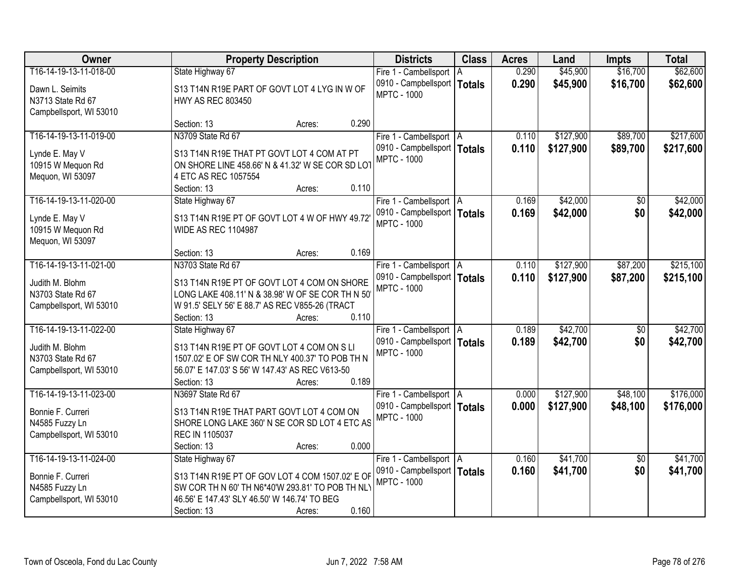| Owner                                | <b>Property Description</b>                                                                      | <b>Districts</b>              | <b>Class</b>  | <b>Acres</b> | Land      | <b>Impts</b>    | <b>Total</b> |
|--------------------------------------|--------------------------------------------------------------------------------------------------|-------------------------------|---------------|--------------|-----------|-----------------|--------------|
| T16-14-19-13-11-018-00               | State Highway 67                                                                                 | Fire 1 - Cambellsport         | ΙA            | 0.290        | \$45,900  | \$16,700        | \$62,600     |
| Dawn L. Seimits                      | S13 T14N R19E PART OF GOVT LOT 4 LYG IN W OF                                                     | 0910 - Campbellsport          | <b>Totals</b> | 0.290        | \$45,900  | \$16,700        | \$62,600     |
| N3713 State Rd 67                    | <b>HWY AS REC 803450</b>                                                                         | <b>MPTC - 1000</b>            |               |              |           |                 |              |
| Campbellsport, WI 53010              |                                                                                                  |                               |               |              |           |                 |              |
|                                      | Section: 13<br>Acres:                                                                            | 0.290                         |               |              |           |                 |              |
| T16-14-19-13-11-019-00               | N3709 State Rd 67                                                                                | Fire 1 - Cambellsport   A     |               | 0.110        | \$127,900 | \$89,700        | \$217,600    |
| Lynde E. May V                       | S13 T14N R19E THAT PT GOVT LOT 4 COM AT PT                                                       | 0910 - Campbellsport   Totals |               | 0.110        | \$127,900 | \$89,700        | \$217,600    |
| 10915 W Mequon Rd                    | ON SHORE LINE 458.66' N & 41.32' W SE COR SD LOT                                                 | <b>MPTC - 1000</b>            |               |              |           |                 |              |
| Mequon, WI 53097                     | 4 ETC AS REC 1057554                                                                             |                               |               |              |           |                 |              |
|                                      | Section: 13<br>Acres:                                                                            | 0.110                         |               |              |           |                 |              |
| T16-14-19-13-11-020-00               | State Highway 67                                                                                 | Fire 1 - Cambellsport   A     |               | 0.169        | \$42,000  | \$0             | \$42,000     |
| Lynde E. May V                       | S13 T14N R19E PT OF GOVT LOT 4 W OF HWY 49.72                                                    | 0910 - Campbellsport   Totals |               | 0.169        | \$42,000  | \$0             | \$42,000     |
| 10915 W Mequon Rd                    | <b>WIDE AS REC 1104987</b>                                                                       | <b>MPTC - 1000</b>            |               |              |           |                 |              |
| Mequon, WI 53097                     |                                                                                                  |                               |               |              |           |                 |              |
|                                      | Section: 13<br>Acres:                                                                            | 0.169                         |               |              |           |                 |              |
| T16-14-19-13-11-021-00               | N3703 State Rd 67                                                                                | Fire 1 - Cambellsport   A     |               | 0.110        | \$127,900 | \$87,200        | \$215,100    |
|                                      |                                                                                                  | 0910 - Campbellsport   Totals |               | 0.110        | \$127,900 | \$87,200        | \$215,100    |
| Judith M. Blohm<br>N3703 State Rd 67 | S13 T14N R19E PT OF GOVT LOT 4 COM ON SHORE<br>LONG LAKE 408.11' N & 38.98' W OF SE COR TH N 50' | <b>MPTC - 1000</b>            |               |              |           |                 |              |
|                                      |                                                                                                  |                               |               |              |           |                 |              |
| Campbellsport, WI 53010              | W 91.5' SELY 56' E 88.7' AS REC V855-26 (TRACT<br>Section: 13<br>Acres:                          | 0.110                         |               |              |           |                 |              |
| T16-14-19-13-11-022-00               | State Highway 67                                                                                 | Fire 1 - Cambellsport   A     |               | 0.189        | \$42,700  | $\overline{50}$ | \$42,700     |
|                                      |                                                                                                  | 0910 - Campbellsport   Totals |               | 0.189        | \$42,700  | \$0             | \$42,700     |
| Judith M. Blohm                      | S13 T14N R19E PT OF GOVT LOT 4 COM ON S LI                                                       | <b>MPTC - 1000</b>            |               |              |           |                 |              |
| N3703 State Rd 67                    | 1507.02' E OF SW COR TH NLY 400.37' TO POB TH N                                                  |                               |               |              |           |                 |              |
| Campbellsport, WI 53010              | 56.07' E 147.03' S 56' W 147.43' AS REC V613-50                                                  |                               |               |              |           |                 |              |
|                                      | Section: 13<br>Acres:                                                                            | 0.189                         |               |              |           |                 |              |
| T16-14-19-13-11-023-00               | N3697 State Rd 67                                                                                | Fire 1 - Cambellsport   A     |               | 0.000        | \$127,900 | \$48,100        | \$176,000    |
| Bonnie F. Curreri                    | S13 T14N R19E THAT PART GOVT LOT 4 COM ON                                                        | 0910 - Campbellsport   Totals |               | 0.000        | \$127,900 | \$48,100        | \$176,000    |
| N4585 Fuzzy Ln                       | SHORE LONG LAKE 360' N SE COR SD LOT 4 ETC AS                                                    | <b>MPTC - 1000</b>            |               |              |           |                 |              |
| Campbellsport, WI 53010              | REC IN 1105037                                                                                   |                               |               |              |           |                 |              |
|                                      | Section: 13<br>Acres:                                                                            | 0.000                         |               |              |           |                 |              |
| T16-14-19-13-11-024-00               | State Highway 67                                                                                 | Fire 1 - Cambellsport   A     |               | 0.160        | \$41,700  | $\overline{50}$ | \$41,700     |
| Bonnie F. Curreri                    | S13 T14N R19E PT OF GOV LOT 4 COM 1507.02' E OF                                                  | 0910 - Campbellsport   Totals |               | 0.160        | \$41,700  | \$0             | \$41,700     |
| N4585 Fuzzy Ln                       | SW COR TH N 60' TH N6*40'W 293.81' TO POB TH NLY                                                 | <b>MPTC - 1000</b>            |               |              |           |                 |              |
| Campbellsport, WI 53010              | 46.56' E 147.43' SLY 46.50' W 146.74' TO BEG                                                     |                               |               |              |           |                 |              |
|                                      | Section: 13<br>Acres:                                                                            | 0.160                         |               |              |           |                 |              |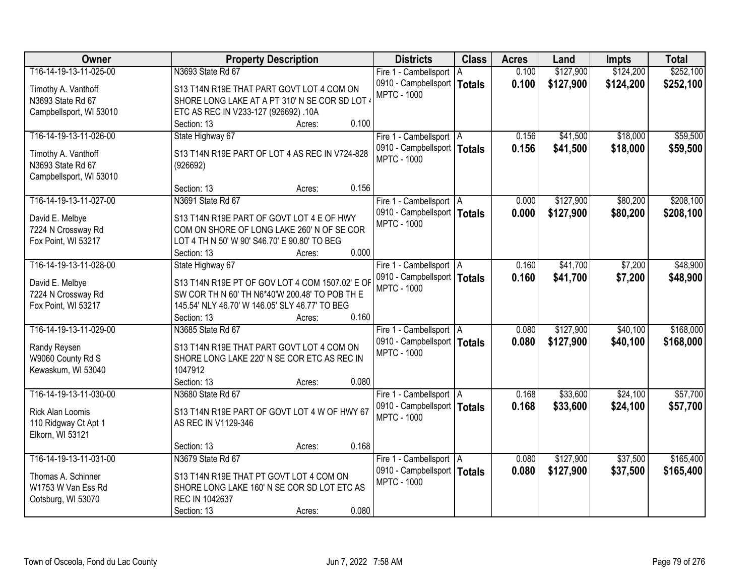| Owner                   | <b>Property Description</b>                     |                 | <b>Districts</b>              | <b>Class</b>  | <b>Acres</b> | Land      | <b>Impts</b> | <b>Total</b> |
|-------------------------|-------------------------------------------------|-----------------|-------------------------------|---------------|--------------|-----------|--------------|--------------|
| T16-14-19-13-11-025-00  | N3693 State Rd 67                               |                 | Fire 1 - Cambellsport   A     |               | 0.100        | \$127,900 | \$124,200    | \$252,100    |
| Timothy A. Vanthoff     | S13 T14N R19E THAT PART GOVT LOT 4 COM ON       |                 | 0910 - Campbellsport          | <b>Totals</b> | 0.100        | \$127,900 | \$124,200    | \$252,100    |
| N3693 State Rd 67       | SHORE LONG LAKE AT A PT 310' N SE COR SD LOT 4  |                 | <b>MPTC - 1000</b>            |               |              |           |              |              |
| Campbellsport, WI 53010 | ETC AS REC IN V233-127 (926692) .10A            |                 |                               |               |              |           |              |              |
|                         | Section: 13                                     | 0.100<br>Acres: |                               |               |              |           |              |              |
| T16-14-19-13-11-026-00  | State Highway 67                                |                 | Fire 1 - Cambellsport   A     |               | 0.156        | \$41,500  | \$18,000     | \$59,500     |
|                         |                                                 |                 | 0910 - Campbellsport   Totals |               | 0.156        | \$41,500  | \$18,000     | \$59,500     |
| Timothy A. Vanthoff     | S13 T14N R19E PART OF LOT 4 AS REC IN V724-828  |                 | <b>MPTC - 1000</b>            |               |              |           |              |              |
| N3693 State Rd 67       | (926692)                                        |                 |                               |               |              |           |              |              |
| Campbellsport, WI 53010 |                                                 |                 |                               |               |              |           |              |              |
|                         | Section: 13                                     | 0.156<br>Acres: |                               |               |              |           |              |              |
| T16-14-19-13-11-027-00  | N3691 State Rd 67                               |                 | Fire 1 - Cambellsport   A     |               | 0.000        | \$127,900 | \$80,200     | \$208,100    |
| David E. Melbye         | S13 T14N R19E PART OF GOVT LOT 4 E OF HWY       |                 | 0910 - Campbellsport   Totals |               | 0.000        | \$127,900 | \$80,200     | \$208,100    |
| 7224 N Crossway Rd      | COM ON SHORE OF LONG LAKE 260' N OF SE COR      |                 | <b>MPTC - 1000</b>            |               |              |           |              |              |
| Fox Point, WI 53217     | LOT 4 TH N 50' W 90' S46.70' E 90.80' TO BEG    |                 |                               |               |              |           |              |              |
|                         | Section: 13                                     | 0.000<br>Acres: |                               |               |              |           |              |              |
| T16-14-19-13-11-028-00  | State Highway 67                                |                 | Fire 1 - Cambellsport   A     |               | 0.160        | \$41,700  | \$7,200      | \$48,900     |
|                         |                                                 |                 | 0910 - Campbellsport   Totals |               | 0.160        | \$41,700  | \$7,200      | \$48,900     |
| David E. Melbye         | S13 T14N R19E PT OF GOV LOT 4 COM 1507.02' E OF |                 | <b>MPTC - 1000</b>            |               |              |           |              |              |
| 7224 N Crossway Rd      | SW COR TH N 60' TH N6*40'W 200.48' TO POB TH E  |                 |                               |               |              |           |              |              |
| Fox Point, WI 53217     | 145.54' NLY 46.70' W 146.05' SLY 46.77' TO BEG  |                 |                               |               |              |           |              |              |
|                         | Section: 13                                     | 0.160<br>Acres: |                               |               |              |           |              |              |
| T16-14-19-13-11-029-00  | N3685 State Rd 67                               |                 | Fire 1 - Cambellsport   A     |               | 0.080        | \$127,900 | \$40,100     | \$168,000    |
| Randy Reysen            | S13 T14N R19E THAT PART GOVT LOT 4 COM ON       |                 | 0910 - Campbellsport   Totals |               | 0.080        | \$127,900 | \$40,100     | \$168,000    |
| W9060 County Rd S       | SHORE LONG LAKE 220' N SE COR ETC AS REC IN     |                 | <b>MPTC - 1000</b>            |               |              |           |              |              |
| Kewaskum, WI 53040      | 1047912                                         |                 |                               |               |              |           |              |              |
|                         | Section: 13                                     | 0.080<br>Acres: |                               |               |              |           |              |              |
| T16-14-19-13-11-030-00  | N3680 State Rd 67                               |                 | Fire 1 - Cambellsport A       |               | 0.168        | \$33,600  | \$24,100     | \$57,700     |
|                         |                                                 |                 | 0910 - Campbellsport   Totals |               | 0.168        | \$33,600  | \$24,100     | \$57,700     |
| <b>Rick Alan Loomis</b> | S13 T14N R19E PART OF GOVT LOT 4 W OF HWY 67    |                 | <b>MPTC - 1000</b>            |               |              |           |              |              |
| 110 Ridgway Ct Apt 1    | AS REC IN V1129-346                             |                 |                               |               |              |           |              |              |
| Elkorn, WI 53121        |                                                 |                 |                               |               |              |           |              |              |
|                         | Section: 13                                     | 0.168<br>Acres: |                               |               |              |           |              |              |
| T16-14-19-13-11-031-00  | N3679 State Rd 67                               |                 | Fire 1 - Cambellsport   A     |               | 0.080        | \$127,900 | \$37,500     | \$165,400    |
| Thomas A. Schinner      | S13 T14N R19E THAT PT GOVT LOT 4 COM ON         |                 | 0910 - Campbellsport   Totals |               | 0.080        | \$127,900 | \$37,500     | \$165,400    |
| W1753 W Van Ess Rd      | SHORE LONG LAKE 160' N SE COR SD LOT ETC AS     |                 | <b>MPTC - 1000</b>            |               |              |           |              |              |
| Ootsburg, WI 53070      | REC IN 1042637                                  |                 |                               |               |              |           |              |              |
|                         | Section: 13                                     | 0.080<br>Acres: |                               |               |              |           |              |              |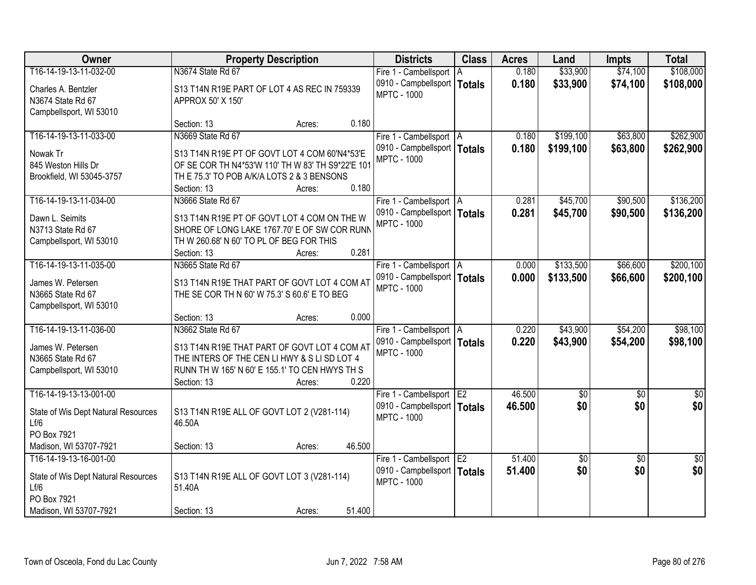| Owner                               | <b>Property Description</b>                       |        |        | <b>Districts</b>              | <b>Class</b> | <b>Acres</b> | Land        | <b>Impts</b>    | <b>Total</b>    |
|-------------------------------------|---------------------------------------------------|--------|--------|-------------------------------|--------------|--------------|-------------|-----------------|-----------------|
| T16-14-19-13-11-032-00              | N3674 State Rd 67                                 |        |        | Fire 1 - Cambellsport A       |              | 0.180        | \$33,900    | \$74,100        | \$108,000       |
| Charles A. Bentzler                 | S13 T14N R19E PART OF LOT 4 AS REC IN 759339      |        |        | 0910 - Campbellsport   Totals |              | 0.180        | \$33,900    | \$74,100        | \$108,000       |
| N3674 State Rd 67                   | APPROX 50' X 150'                                 |        |        | <b>MPTC - 1000</b>            |              |              |             |                 |                 |
| Campbellsport, WI 53010             |                                                   |        |        |                               |              |              |             |                 |                 |
|                                     | Section: 13                                       | Acres: | 0.180  |                               |              |              |             |                 |                 |
| T16-14-19-13-11-033-00              | N3669 State Rd 67                                 |        |        | Fire 1 - Cambellsport   A     |              | 0.180        | \$199,100   | \$63,800        | \$262,900       |
| Nowak Tr                            | S13 T14N R19E PT OF GOVT LOT 4 COM 60'N4*53'E     |        |        | 0910 - Campbellsport   Totals |              | 0.180        | \$199,100   | \$63,800        | \$262,900       |
| 845 Weston Hills Dr                 | OF SE COR TH N4*53'W 110' TH W 83' TH S9*22'E 101 |        |        | <b>MPTC - 1000</b>            |              |              |             |                 |                 |
| Brookfield, WI 53045-3757           | TH E 75.3' TO POB A/K/A LOTS 2 & 3 BENSONS        |        |        |                               |              |              |             |                 |                 |
|                                     | Section: 13                                       | Acres: | 0.180  |                               |              |              |             |                 |                 |
| T16-14-19-13-11-034-00              | N3666 State Rd 67                                 |        |        | Fire 1 - Cambellsport   A     |              | 0.281        | \$45,700    | \$90,500        | \$136,200       |
| Dawn L. Seimits                     | S13 T14N R19E PT OF GOVT LOT 4 COM ON THE W       |        |        | 0910 - Campbellsport   Totals |              | 0.281        | \$45,700    | \$90,500        | \$136,200       |
| N3713 State Rd 67                   | SHORE OF LONG LAKE 1767.70' E OF SW COR RUNN      |        |        | <b>MPTC - 1000</b>            |              |              |             |                 |                 |
| Campbellsport, WI 53010             | TH W 260.68' N 60' TO PL OF BEG FOR THIS          |        |        |                               |              |              |             |                 |                 |
|                                     | Section: 13                                       | Acres: | 0.281  |                               |              |              |             |                 |                 |
| T16-14-19-13-11-035-00              | N3665 State Rd 67                                 |        |        | Fire 1 - Cambellsport   A     |              | 0.000        | \$133,500   | \$66,600        | \$200,100       |
| James W. Petersen                   | S13 T14N R19E THAT PART OF GOVT LOT 4 COM AT      |        |        | 0910 - Campbellsport   Totals |              | 0.000        | \$133,500   | \$66,600        | \$200,100       |
| N3665 State Rd 67                   | THE SE COR TH N 60' W 75.3' S 60.6' E TO BEG      |        |        | <b>MPTC - 1000</b>            |              |              |             |                 |                 |
| Campbellsport, WI 53010             |                                                   |        |        |                               |              |              |             |                 |                 |
|                                     | Section: 13                                       | Acres: | 0.000  |                               |              |              |             |                 |                 |
| T16-14-19-13-11-036-00              | N3662 State Rd 67                                 |        |        | Fire 1 - Cambellsport   A     |              | 0.220        | \$43,900    | \$54,200        | \$98,100        |
| James W. Petersen                   | S13 T14N R19E THAT PART OF GOVT LOT 4 COM AT      |        |        | 0910 - Campbellsport   Totals |              | 0.220        | \$43,900    | \$54,200        | \$98,100        |
| N3665 State Rd 67                   | THE INTERS OF THE CEN LI HWY & S LI SD LOT 4      |        |        | <b>MPTC - 1000</b>            |              |              |             |                 |                 |
| Campbellsport, WI 53010             | RUNN TH W 165' N 60' E 155.1' TO CEN HWYS TH S    |        |        |                               |              |              |             |                 |                 |
|                                     | Section: 13                                       | Acres: | 0.220  |                               |              |              |             |                 |                 |
| T16-14-19-13-13-001-00              |                                                   |        |        | Fire 1 - Cambellsport E2      |              | 46.500       | $\sqrt{50}$ | $\overline{60}$ | $\sqrt{30}$     |
| State of Wis Dept Natural Resources | S13 T14N R19E ALL OF GOVT LOT 2 (V281-114)        |        |        | 0910 - Campbellsport   Totals |              | 46.500       | \$0         | \$0             | \$0             |
| Lf/6                                | 46.50A                                            |        |        | <b>MPTC - 1000</b>            |              |              |             |                 |                 |
| PO Box 7921                         |                                                   |        |        |                               |              |              |             |                 |                 |
| Madison, WI 53707-7921              | Section: 13                                       | Acres: | 46.500 |                               |              |              |             |                 |                 |
| T16-14-19-13-16-001-00              |                                                   |        |        | Fire 1 - Cambellsport E2      |              | 51.400       | \$0         | $\overline{50}$ | $\overline{50}$ |
| State of Wis Dept Natural Resources | S13 T14N R19E ALL OF GOVT LOT 3 (V281-114)        |        |        | 0910 - Campbellsport   Totals |              | 51.400       | \$0         | \$0             | \$0             |
| Lf/6                                | 51.40A                                            |        |        | <b>MPTC - 1000</b>            |              |              |             |                 |                 |
| PO Box 7921                         |                                                   |        |        |                               |              |              |             |                 |                 |
| Madison, WI 53707-7921              | Section: 13                                       | Acres: | 51.400 |                               |              |              |             |                 |                 |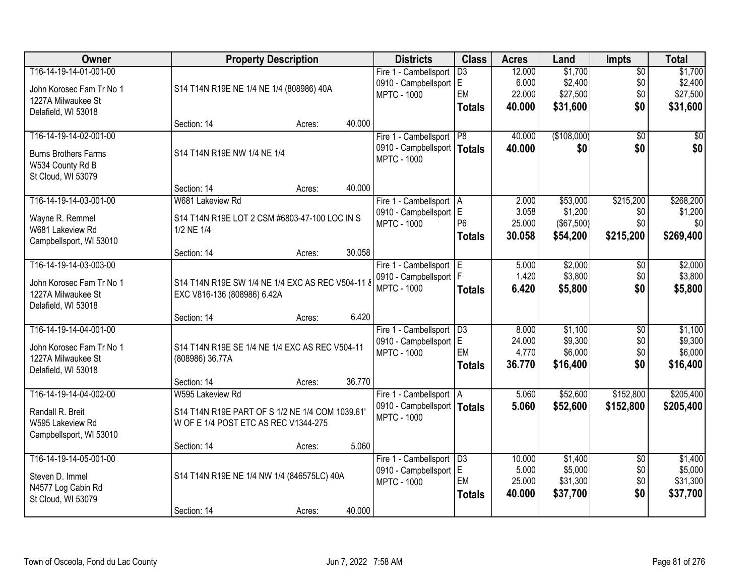| Owner                       | <b>Property Description</b>                      |        |        | <b>Districts</b>              | <b>Class</b>    | <b>Acres</b> | Land        | <b>Impts</b>    | <b>Total</b> |
|-----------------------------|--------------------------------------------------|--------|--------|-------------------------------|-----------------|--------------|-------------|-----------------|--------------|
| T16-14-19-14-01-001-00      |                                                  |        |        | Fire 1 - Cambellsport         | $\overline{D3}$ | 12.000       | \$1,700     | $\overline{50}$ | \$1,700      |
| John Korosec Fam Tr No 1    | S14 T14N R19E NE 1/4 NE 1/4 (808986) 40A         |        |        | 0910 - Campbellsport E        |                 | 6.000        | \$2,400     | \$0             | \$2,400      |
| 1227A Milwaukee St          |                                                  |        |        | <b>MPTC - 1000</b>            | EM              | 22.000       | \$27,500    | \$0             | \$27,500     |
| Delafield, WI 53018         |                                                  |        |        |                               | <b>Totals</b>   | 40.000       | \$31,600    | \$0             | \$31,600     |
|                             | Section: 14                                      | Acres: | 40.000 |                               |                 |              |             |                 |              |
| T16-14-19-14-02-001-00      |                                                  |        |        | Fire 1 - Cambellsport P8      |                 | 40.000       | (\$108,000) | $\overline{50}$ | \$0          |
| <b>Burns Brothers Farms</b> | S14 T14N R19E NW 1/4 NE 1/4                      |        |        | 0910 - Campbellsport          | <b>Totals</b>   | 40.000       | \$0         | \$0             | \$0          |
| W534 County Rd B            |                                                  |        |        | <b>MPTC - 1000</b>            |                 |              |             |                 |              |
| St Cloud, WI 53079          |                                                  |        |        |                               |                 |              |             |                 |              |
|                             | Section: 14                                      | Acres: | 40.000 |                               |                 |              |             |                 |              |
| T16-14-19-14-03-001-00      | W681 Lakeview Rd                                 |        |        | Fire 1 - Cambellsport   A     |                 | 2.000        | \$53,000    | \$215,200       | \$268,200    |
| Wayne R. Remmel             | S14 T14N R19E LOT 2 CSM #6803-47-100 LOC IN S    |        |        | 0910 - Campbellsport E        |                 | 3.058        | \$1,200     | \$0             | \$1,200      |
| W681 Lakeview Rd            | 1/2 NE 1/4                                       |        |        | <b>MPTC - 1000</b>            | P <sub>6</sub>  | 25.000       | (\$67,500)  | \$0             | \$0          |
| Campbellsport, WI 53010     |                                                  |        |        |                               | <b>Totals</b>   | 30.058       | \$54,200    | \$215,200       | \$269,400    |
|                             | Section: 14                                      | Acres: | 30.058 |                               |                 |              |             |                 |              |
| T16-14-19-14-03-003-00      |                                                  |        |        | Fire 1 - Cambellsport E       |                 | 5.000        | \$2,000     | \$0             | \$2,000      |
| John Korosec Fam Tr No 1    | S14 T14N R19E SW 1/4 NE 1/4 EXC AS REC V504-11 & |        |        | 0910 - Campbellsport   F      |                 | 1.420        | \$3,800     | \$0             | \$3,800      |
| 1227A Milwaukee St          | EXC V816-136 (808986) 6.42A                      |        |        | <b>MPTC - 1000</b>            | <b>Totals</b>   | 6.420        | \$5,800     | \$0             | \$5,800      |
| Delafield, WI 53018         |                                                  |        |        |                               |                 |              |             |                 |              |
|                             | Section: 14                                      | Acres: | 6.420  |                               |                 |              |             |                 |              |
| T16-14-19-14-04-001-00      |                                                  |        |        | Fire 1 - Cambellsport   D3    |                 | 8.000        | \$1,100     | $\overline{60}$ | \$1,100      |
| John Korosec Fam Tr No 1    | S14 T14N R19E SE 1/4 NE 1/4 EXC AS REC V504-11   |        |        | 0910 - Campbellsport E        |                 | 24.000       | \$9,300     | \$0             | \$9,300      |
| 1227A Milwaukee St          | (808986) 36.77A                                  |        |        | <b>MPTC - 1000</b>            | EM              | 4.770        | \$6,000     | \$0             | \$6,000      |
| Delafield, WI 53018         |                                                  |        |        |                               | <b>Totals</b>   | 36.770       | \$16,400    | \$0             | \$16,400     |
|                             | Section: 14                                      | Acres: | 36.770 |                               |                 |              |             |                 |              |
| T16-14-19-14-04-002-00      | W595 Lakeview Rd                                 |        |        | Fire 1 - Cambellsport A       |                 | 5.060        | \$52,600    | \$152,800       | \$205,400    |
| Randall R. Breit            | S14 T14N R19E PART OF S 1/2 NE 1/4 COM 1039.61'  |        |        | 0910 - Campbellsport   Totals |                 | 5.060        | \$52,600    | \$152,800       | \$205,400    |
| W595 Lakeview Rd            | W OF E 1/4 POST ETC AS REC V1344-275             |        |        | <b>MPTC - 1000</b>            |                 |              |             |                 |              |
| Campbellsport, WI 53010     |                                                  |        |        |                               |                 |              |             |                 |              |
|                             | Section: 14                                      | Acres: | 5.060  |                               |                 |              |             |                 |              |
| T16-14-19-14-05-001-00      |                                                  |        |        | Fire 1 - Cambellsport   D3    |                 | 10.000       | \$1,400     | $\overline{50}$ | \$1,400      |
| Steven D. Immel             | S14 T14N R19E NE 1/4 NW 1/4 (846575LC) 40A       |        |        | 0910 - Campbellsport          | E               | 5.000        | \$5,000     | \$0             | \$5,000      |
| N4577 Log Cabin Rd          |                                                  |        |        | <b>MPTC - 1000</b>            | EM              | 25.000       | \$31,300    | \$0             | \$31,300     |
| St Cloud, WI 53079          |                                                  |        |        |                               | <b>Totals</b>   | 40.000       | \$37,700    | \$0             | \$37,700     |
|                             | Section: 14                                      | Acres: | 40.000 |                               |                 |              |             |                 |              |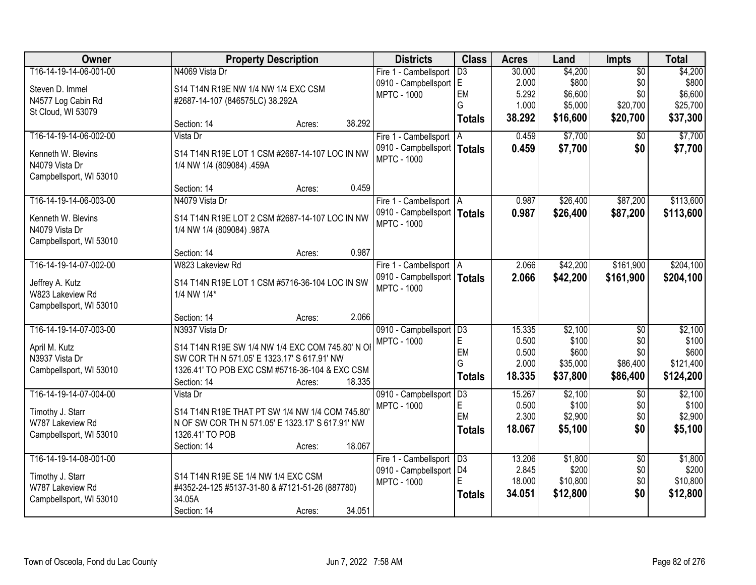| Owner                   | <b>Property Description</b>                                                       | <b>Districts</b>              | <b>Class</b>    | <b>Acres</b> | Land     | Impts           | <b>Total</b> |
|-------------------------|-----------------------------------------------------------------------------------|-------------------------------|-----------------|--------------|----------|-----------------|--------------|
| T16-14-19-14-06-001-00  | N4069 Vista Dr                                                                    | Fire 1 - Cambellsport         | $\overline{D3}$ | 30.000       | \$4,200  | $\overline{50}$ | \$4,200      |
| Steven D. Immel         | S14 T14N R19E NW 1/4 NW 1/4 EXC CSM                                               | 0910 - Campbellsport E        |                 | 2.000        | \$800    | \$0             | \$800        |
| N4577 Log Cabin Rd      | #2687-14-107 (846575LC) 38.292A                                                   | <b>MPTC - 1000</b>            | EM              | 5.292        | \$6,600  | \$0             | \$6,600      |
| St Cloud, WI 53079      |                                                                                   |                               | G               | 1.000        | \$5,000  | \$20,700        | \$25,700     |
|                         | 38.292<br>Section: 14<br>Acres:                                                   |                               | <b>Totals</b>   | 38.292       | \$16,600 | \$20,700        | \$37,300     |
| T16-14-19-14-06-002-00  | Vista Dr                                                                          | Fire 1 - Cambellsport   A     |                 | 0.459        | \$7,700  | $\overline{50}$ | \$7,700      |
| Kenneth W. Blevins      | S14 T14N R19E LOT 1 CSM #2687-14-107 LOC IN NW                                    | 0910 - Campbellsport          | <b>Totals</b>   | 0.459        | \$7,700  | \$0             | \$7,700      |
| N4079 Vista Dr          | 1/4 NW 1/4 (809084) .459A                                                         | <b>MPTC - 1000</b>            |                 |              |          |                 |              |
| Campbellsport, WI 53010 |                                                                                   |                               |                 |              |          |                 |              |
|                         | 0.459<br>Section: 14<br>Acres:                                                    |                               |                 |              |          |                 |              |
| T16-14-19-14-06-003-00  | N4079 Vista Dr                                                                    | Fire 1 - Cambellsport   A     |                 | 0.987        | \$26,400 | \$87,200        | \$113,600    |
| Kenneth W. Blevins      | S14 T14N R19E LOT 2 CSM #2687-14-107 LOC IN NW                                    | 0910 - Campbellsport   Totals |                 | 0.987        | \$26,400 | \$87,200        | \$113,600    |
| N4079 Vista Dr          | 1/4 NW 1/4 (809084) .987A                                                         | <b>MPTC - 1000</b>            |                 |              |          |                 |              |
| Campbellsport, WI 53010 |                                                                                   |                               |                 |              |          |                 |              |
|                         | 0.987<br>Section: 14<br>Acres:                                                    |                               |                 |              |          |                 |              |
| T16-14-19-14-07-002-00  | W823 Lakeview Rd                                                                  | Fire 1 - Cambellsport   A     |                 | 2.066        | \$42,200 | \$161,900       | \$204,100    |
| Jeffrey A. Kutz         | S14 T14N R19E LOT 1 CSM #5716-36-104 LOC IN SW                                    | 0910 - Campbellsport   Totals |                 | 2.066        | \$42,200 | \$161,900       | \$204,100    |
| W823 Lakeview Rd        | 1/4 NW 1/4*                                                                       | <b>MPTC - 1000</b>            |                 |              |          |                 |              |
| Campbellsport, WI 53010 |                                                                                   |                               |                 |              |          |                 |              |
|                         | 2.066<br>Section: 14<br>Acres:                                                    |                               |                 |              |          |                 |              |
| T16-14-19-14-07-003-00  | N3937 Vista Dr                                                                    | 0910 - Campbellsport          | $\overline{D3}$ | 15.335       | \$2,100  | $\overline{50}$ | \$2,100      |
|                         |                                                                                   | <b>MPTC - 1000</b>            | E               | 0.500        | \$100    | \$0             | \$100        |
| April M. Kutz           | S14 T14N R19E SW 1/4 NW 1/4 EXC COM 745.80' N OI                                  |                               | EM              | 0.500        | \$600    | \$0             | \$600        |
| N3937 Vista Dr          | SW COR TH N 571.05' E 1323.17' S 617.91' NW                                       |                               | G               | 2.000        | \$35,000 | \$86,400        | \$121,400    |
| Cambpellsport, WI 53010 | 1326.41' TO POB EXC CSM #5716-36-104 & EXC CSM<br>18.335<br>Section: 14<br>Acres: |                               | <b>Totals</b>   | 18.335       | \$37,800 | \$86,400        | \$124,200    |
| T16-14-19-14-07-004-00  | Vista Dr                                                                          | 0910 - Campbellsport          | $\overline{D3}$ | 15.267       | \$2,100  | $\overline{50}$ | \$2,100      |
|                         |                                                                                   | <b>MPTC - 1000</b>            | E               | 0.500        | \$100    | \$0             | \$100        |
| Timothy J. Starr        | S14 T14N R19E THAT PT SW 1/4 NW 1/4 COM 745.80                                    |                               | EM              | 2.300        | \$2,900  | \$0             | \$2,900      |
| W787 Lakeview Rd        | N OF SW COR TH N 571.05' E 1323.17' S 617.91' NW                                  |                               | <b>Totals</b>   | 18.067       | \$5,100  | \$0             | \$5,100      |
| Campbellsport, WI 53010 | 1326.41' TO POB<br>18.067                                                         |                               |                 |              |          |                 |              |
| T16-14-19-14-08-001-00  | Section: 14<br>Acres:                                                             | Fire 1 - Cambellsport   D3    |                 | 13.206       | \$1,800  | $\overline{50}$ | \$1,800      |
|                         |                                                                                   | 0910 - Campbellsport          | D <sub>4</sub>  | 2.845        | \$200    | \$0             | \$200        |
| Timothy J. Starr        | S14 T14N R19E SE 1/4 NW 1/4 EXC CSM                                               | <b>MPTC - 1000</b>            | E               | 18.000       | \$10,800 | \$0             | \$10,800     |
| W787 Lakeview Rd        | #4352-24-125 #5137-31-80 & #7121-51-26 (887780)                                   |                               | <b>Totals</b>   | 34.051       | \$12,800 | \$0             | \$12,800     |
| Campbellsport, WI 53010 | 34.05A                                                                            |                               |                 |              |          |                 |              |
|                         | Section: 14<br>34.051<br>Acres:                                                   |                               |                 |              |          |                 |              |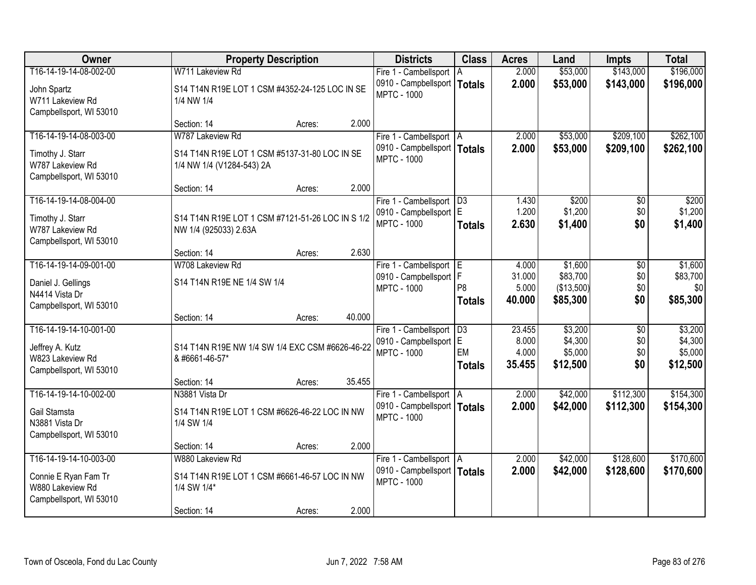| Owner                                                               |                                                                            | <b>Property Description</b> |        | <b>Districts</b>                                    | <b>Class</b>    | <b>Acres</b>   | Land               | <b>Impts</b>    | <b>Total</b>       |
|---------------------------------------------------------------------|----------------------------------------------------------------------------|-----------------------------|--------|-----------------------------------------------------|-----------------|----------------|--------------------|-----------------|--------------------|
| T16-14-19-14-08-002-00                                              | W711 Lakeview Rd                                                           |                             |        | Fire 1 - Cambellsport                               | A               | 2.000          | \$53,000           | \$143,000       | \$196,000          |
| John Spartz<br>W711 Lakeview Rd<br>Campbellsport, WI 53010          | S14 T14N R19E LOT 1 CSM #4352-24-125 LOC IN SE<br>1/4 NW 1/4               |                             |        | 0910 - Campbellsport   Totals<br><b>MPTC - 1000</b> |                 | 2.000          | \$53,000           | \$143,000       | \$196,000          |
|                                                                     | Section: 14                                                                | Acres:                      | 2.000  |                                                     |                 |                |                    |                 |                    |
| T16-14-19-14-08-003-00                                              | W787 Lakeview Rd                                                           |                             |        | Fire 1 - Cambellsport   A                           |                 | 2.000          | \$53,000           | \$209,100       | \$262,100          |
| Timothy J. Starr<br>W787 Lakeview Rd<br>Campbellsport, WI 53010     | S14 T14N R19E LOT 1 CSM #5137-31-80 LOC IN SE<br>1/4 NW 1/4 (V1284-543) 2A |                             |        | 0910 - Campbellsport   Totals<br><b>MPTC - 1000</b> |                 | 2.000          | \$53,000           | \$209,100       | \$262,100          |
|                                                                     | Section: 14                                                                | Acres:                      | 2.000  |                                                     |                 |                |                    |                 |                    |
| T16-14-19-14-08-004-00                                              |                                                                            |                             |        | Fire 1 - Cambellsport   D3                          |                 | 1.430          | \$200              | \$0             | \$200              |
| Timothy J. Starr<br>W787 Lakeview Rd<br>Campbellsport, WI 53010     | S14 T14N R19E LOT 1 CSM #7121-51-26 LOC IN S 1/2<br>NW 1/4 (925033) 2.63A  |                             |        | 0910 - Campbellsport E<br><b>MPTC - 1000</b>        | <b>Totals</b>   | 1.200<br>2.630 | \$1,200<br>\$1,400 | \$0<br>\$0      | \$1,200<br>\$1,400 |
|                                                                     | Section: 14                                                                | Acres:                      | 2.630  |                                                     |                 |                |                    |                 |                    |
| T16-14-19-14-09-001-00                                              | W708 Lakeview Rd                                                           |                             |        | Fire 1 - Cambellsport E                             |                 | 4.000          | \$1,600            | \$0             | \$1,600            |
|                                                                     |                                                                            |                             |        | 0910 - Campbellsport   F                            |                 | 31.000         | \$83,700           | \$0             | \$83,700           |
| Daniel J. Gellings<br>N4414 Vista Dr                                | S14 T14N R19E NE 1/4 SW 1/4                                                |                             |        | <b>MPTC - 1000</b>                                  | P <sub>8</sub>  | 5.000          | (\$13,500)         | \$0             | \$0                |
| Campbellsport, WI 53010                                             |                                                                            |                             |        |                                                     | <b>Totals</b>   | 40.000         | \$85,300           | \$0             | \$85,300           |
|                                                                     | Section: 14                                                                | Acres:                      | 40.000 |                                                     |                 |                |                    |                 |                    |
| T16-14-19-14-10-001-00                                              |                                                                            |                             |        | Fire 1 - Cambellsport                               | $\overline{D3}$ | 23.455         | \$3,200            | $\overline{30}$ | \$3,200            |
| Jeffrey A. Kutz                                                     | S14 T14N R19E NW 1/4 SW 1/4 EXC CSM #6626-46-22                            |                             |        | 0910 - Campbellsport E                              |                 | 8.000          | \$4,300            | \$0             | \$4,300            |
| W823 Lakeview Rd                                                    | & #6661-46-57*                                                             |                             |        | <b>MPTC - 1000</b>                                  | EM              | 4.000          | \$5,000            | \$0             | \$5,000            |
| Campbellsport, WI 53010                                             |                                                                            |                             |        |                                                     | <b>Totals</b>   | 35.455         | \$12,500           | \$0             | \$12,500           |
|                                                                     | Section: 14                                                                | Acres:                      | 35.455 |                                                     |                 |                |                    |                 |                    |
| T16-14-19-14-10-002-00                                              | N3881 Vista Dr                                                             |                             |        | Fire 1 - Cambellsport   A                           |                 | 2.000          | \$42,000           | \$112,300       | \$154,300          |
| Gail Stamsta<br>N3881 Vista Dr<br>Campbellsport, WI 53010           | S14 T14N R19E LOT 1 CSM #6626-46-22 LOC IN NW<br>1/4 SW 1/4                |                             |        | 0910 - Campbellsport   Totals<br><b>MPTC - 1000</b> |                 | 2.000          | \$42,000           | \$112,300       | \$154,300          |
|                                                                     | Section: 14                                                                | Acres:                      | 2.000  |                                                     |                 |                |                    |                 |                    |
| T16-14-19-14-10-003-00                                              | W880 Lakeview Rd                                                           |                             |        | Fire 1 - Cambellsport   A                           |                 | 2.000          | \$42,000           | \$128,600       | \$170,600          |
| Connie E Ryan Fam Tr<br>W880 Lakeview Rd<br>Campbellsport, WI 53010 | S14 T14N R19E LOT 1 CSM #6661-46-57 LOC IN NW<br>1/4 SW 1/4*               |                             |        | 0910 - Campbellsport   Totals<br><b>MPTC - 1000</b> |                 | 2.000          | \$42,000           | \$128,600       | \$170,600          |
|                                                                     | Section: 14                                                                | Acres:                      | 2.000  |                                                     |                 |                |                    |                 |                    |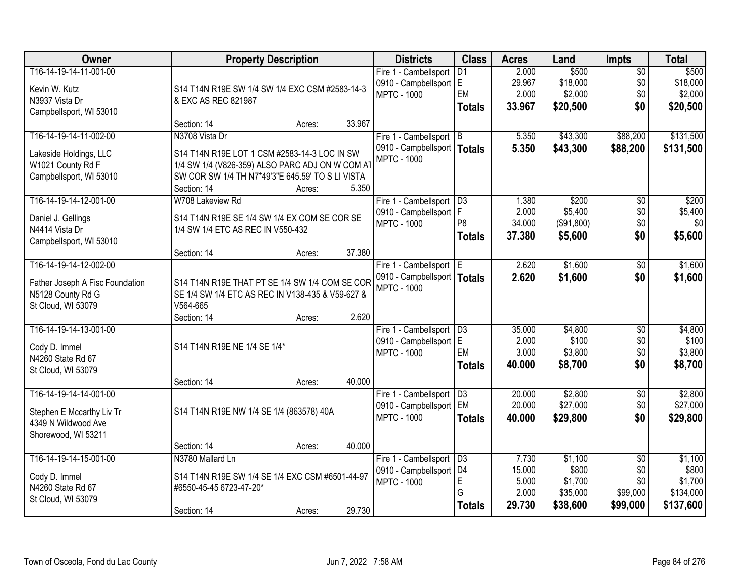| <b>Owner</b>                    |                                                  | <b>Property Description</b> |        | <b>Districts</b>              | <b>Class</b>    | <b>Acres</b>    | Land                | <b>Impts</b>    | <b>Total</b> |
|---------------------------------|--------------------------------------------------|-----------------------------|--------|-------------------------------|-----------------|-----------------|---------------------|-----------------|--------------|
| T16-14-19-14-11-001-00          |                                                  |                             |        | Fire 1 - Cambellsport         | $\overline{D1}$ | 2.000           | \$500               | $\overline{50}$ | \$500        |
| Kevin W. Kutz                   | S14 T14N R19E SW 1/4 SW 1/4 EXC CSM #2583-14-3   |                             |        | 0910 - Campbellsport E        | EM              | 29.967<br>2.000 | \$18,000<br>\$2,000 | \$0             | \$18,000     |
| N3937 Vista Dr                  | & EXC AS REC 821987                              |                             |        | <b>MPTC - 1000</b>            |                 | 33.967          | \$20,500            | \$0<br>\$0      | \$2,000      |
| Campbellsport, WI 53010         |                                                  |                             |        |                               | <b>Totals</b>   |                 |                     |                 | \$20,500     |
|                                 | Section: 14                                      | Acres:                      | 33.967 |                               |                 |                 |                     |                 |              |
| T16-14-19-14-11-002-00          | N3708 Vista Dr                                   |                             |        | Fire 1 - Cambellsport B       |                 | 5.350           | \$43,300            | \$88,200        | \$131,500    |
| Lakeside Holdings, LLC          | S14 T14N R19E LOT 1 CSM #2583-14-3 LOC IN SW     |                             |        | 0910 - Campbellsport   Totals |                 | 5.350           | \$43,300            | \$88,200        | \$131,500    |
| W1021 County Rd F               | 1/4 SW 1/4 (V826-359) ALSO PARC ADJ ON W COM A   |                             |        | <b>MPTC - 1000</b>            |                 |                 |                     |                 |              |
| Campbellsport, WI 53010         | SW COR SW 1/4 TH N7*49'3"E 645.59' TO S LI VISTA |                             |        |                               |                 |                 |                     |                 |              |
|                                 | Section: 14                                      | Acres:                      | 5.350  |                               |                 |                 |                     |                 |              |
| T16-14-19-14-12-001-00          | W708 Lakeview Rd                                 |                             |        | Fire 1 - Cambellsport   D3    |                 | 1.380           | \$200               | $\overline{50}$ | \$200        |
| Daniel J. Gellings              | S14 T14N R19E SE 1/4 SW 1/4 EX COM SE COR SE     |                             |        | 0910 - Campbellsport   F      | P <sub>8</sub>  | 2.000           | \$5,400             | \$0             | \$5,400      |
| N4414 Vista Dr                  | 1/4 SW 1/4 ETC AS REC IN V550-432                |                             |        | <b>MPTC - 1000</b>            |                 | 34.000          | (\$91,800)          | \$0             | \$0          |
| Campbellsport, WI 53010         |                                                  |                             |        |                               | <b>Totals</b>   | 37.380          | \$5,600             | \$0             | \$5,600      |
|                                 | Section: 14                                      | Acres:                      | 37.380 |                               |                 |                 |                     |                 |              |
| T16-14-19-14-12-002-00          |                                                  |                             |        | Fire 1 - Cambellsport E       |                 | 2.620           | \$1,600             | \$0             | \$1,600      |
| Father Joseph A Fisc Foundation | S14 T14N R19E THAT PT SE 1/4 SW 1/4 COM SE COR   |                             |        | 0910 - Campbellsport   Totals |                 | 2.620           | \$1,600             | \$0             | \$1,600      |
| N5128 County Rd G               | SE 1/4 SW 1/4 ETC AS REC IN V138-435 & V59-627 & |                             |        | <b>MPTC - 1000</b>            |                 |                 |                     |                 |              |
| St Cloud, WI 53079              | V564-665                                         |                             |        |                               |                 |                 |                     |                 |              |
|                                 | Section: 14                                      | Acres:                      | 2.620  |                               |                 |                 |                     |                 |              |
| T16-14-19-14-13-001-00          |                                                  |                             |        | Fire 1 - Cambellsport         | D3              | 35.000          | \$4,800             | \$0             | \$4,800      |
| Cody D. Immel                   | S14 T14N R19E NE 1/4 SE 1/4*                     |                             |        | 0910 - Campbellsport E        |                 | 2.000           | \$100               | \$0             | \$100        |
| N4260 State Rd 67               |                                                  |                             |        | <b>MPTC - 1000</b>            | EM              | 3.000           | \$3,800             | \$0             | \$3,800      |
| St Cloud, WI 53079              |                                                  |                             |        |                               | <b>Totals</b>   | 40.000          | \$8,700             | \$0             | \$8,700      |
|                                 | Section: 14                                      | Acres:                      | 40.000 |                               |                 |                 |                     |                 |              |
| T16-14-19-14-14-001-00          |                                                  |                             |        | Fire 1 - Cambellsport   D3    |                 | 20.000          | \$2,800             | $\overline{60}$ | \$2,800      |
| Stephen E Mccarthy Liv Tr       | S14 T14N R19E NW 1/4 SE 1/4 (863578) 40A         |                             |        | 0910 - Campbellsport EM       |                 | 20.000          | \$27,000            | \$0             | \$27,000     |
| 4349 N Wildwood Ave             |                                                  |                             |        | <b>MPTC - 1000</b>            | <b>Totals</b>   | 40.000          | \$29,800            | \$0             | \$29,800     |
| Shorewood, WI 53211             |                                                  |                             |        |                               |                 |                 |                     |                 |              |
|                                 | Section: 14                                      | Acres:                      | 40.000 |                               |                 |                 |                     |                 |              |
| T16-14-19-14-15-001-00          | N3780 Mallard Ln                                 |                             |        | Fire 1 - Cambellsport         | D3              | 7.730           | \$1,100             | $\overline{30}$ | \$1,100      |
| Cody D. Immel                   | S14 T14N R19E SW 1/4 SE 1/4 EXC CSM #6501-44-97  |                             |        | 0910 - Campbellsport   D4     |                 | 15.000          | \$800               | \$0             | \$800        |
| N4260 State Rd 67               | #6550-45-45 6723-47-20*                          |                             |        | <b>MPTC - 1000</b>            | E               | 5.000           | \$1,700             | \$0             | \$1,700      |
| St Cloud, WI 53079              |                                                  |                             |        |                               | G               | 2.000           | \$35,000            | \$99,000        | \$134,000    |
|                                 | Section: 14                                      | Acres:                      | 29.730 |                               | <b>Totals</b>   | 29.730          | \$38,600            | \$99,000        | \$137,600    |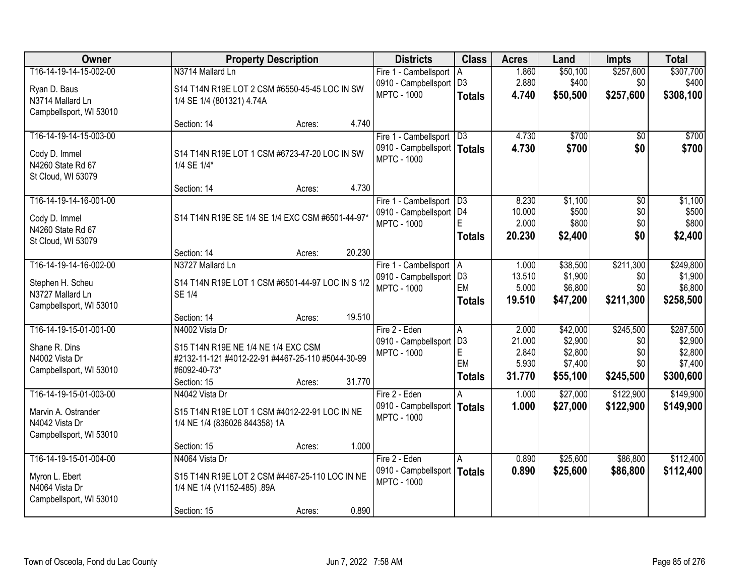| Owner                   |                                                   | <b>Property Description</b> |        | <b>Districts</b>                                | <b>Class</b>                     | <b>Acres</b>    | Land                | <b>Impts</b>     | <b>Total</b>         |
|-------------------------|---------------------------------------------------|-----------------------------|--------|-------------------------------------------------|----------------------------------|-----------------|---------------------|------------------|----------------------|
| T16-14-19-14-15-002-00  | N3714 Mallard Ln                                  |                             |        | Fire 1 - Cambellsport   A                       |                                  | 1.860           | \$50,100            | \$257,600        | \$307,700            |
| Ryan D. Baus            | S14 T14N R19E LOT 2 CSM #6550-45-45 LOC IN SW     |                             |        | 0910 - Campbellsport   D3                       |                                  | 2.880           | \$400               | \$0              | \$400                |
| N3714 Mallard Ln        | 1/4 SE 1/4 (801321) 4.74A                         |                             |        | <b>MPTC - 1000</b>                              | <b>Totals</b>                    | 4.740           | \$50,500            | \$257,600        | \$308,100            |
| Campbellsport, WI 53010 |                                                   |                             |        |                                                 |                                  |                 |                     |                  |                      |
|                         | Section: 14                                       | Acres:                      | 4.740  |                                                 |                                  |                 |                     |                  |                      |
| T16-14-19-14-15-003-00  |                                                   |                             |        | Fire 1 - Cambellsport   D3                      |                                  | 4.730           | \$700               | \$0              | \$700                |
| Cody D. Immel           | S14 T14N R19E LOT 1 CSM #6723-47-20 LOC IN SW     |                             |        | 0910 - Campbellsport   Totals                   |                                  | 4.730           | \$700               | \$0              | \$700                |
| N4260 State Rd 67       | 1/4 SE 1/4*                                       |                             |        | <b>MPTC - 1000</b>                              |                                  |                 |                     |                  |                      |
| St Cloud, WI 53079      |                                                   |                             |        |                                                 |                                  |                 |                     |                  |                      |
|                         | Section: 14                                       | Acres:                      | 4.730  |                                                 |                                  |                 |                     |                  |                      |
| T16-14-19-14-16-001-00  |                                                   |                             |        | Fire 1 - Cambellsport   D3                      |                                  | 8.230           | \$1,100             | $\overline{50}$  | \$1,100              |
| Cody D. Immel           | S14 T14N R19E SE 1/4 SE 1/4 EXC CSM #6501-44-97*  |                             |        | 0910 - Campbellsport   D4<br><b>MPTC - 1000</b> |                                  | 10.000<br>2.000 | \$500<br>\$800      | \$0<br>\$0       | \$500<br>\$800       |
| N4260 State Rd 67       |                                                   |                             |        |                                                 | <b>Totals</b>                    | 20.230          | \$2,400             | \$0              | \$2,400              |
| St Cloud, WI 53079      |                                                   |                             |        |                                                 |                                  |                 |                     |                  |                      |
|                         | Section: 14                                       | Acres:                      | 20.230 |                                                 |                                  |                 |                     |                  |                      |
| T16-14-19-14-16-002-00  | N3727 Mallard Ln                                  |                             |        | Fire 1 - Cambellsport   A                       |                                  | 1.000           | \$38,500            | \$211,300        | \$249,800            |
| Stephen H. Scheu        | S14 T14N R19E LOT 1 CSM #6501-44-97 LOC IN S 1/2  |                             |        | 0910 - Campbellsport   D3<br><b>MPTC - 1000</b> | EM                               | 13.510<br>5.000 | \$1,900<br>\$6,800  | \$0<br>\$0       | \$1,900<br>\$6,800   |
| N3727 Mallard Ln        | <b>SE 1/4</b>                                     |                             |        |                                                 | <b>Totals</b>                    | 19.510          | \$47,200            | \$211,300        | \$258,500            |
| Campbellsport, WI 53010 |                                                   |                             |        |                                                 |                                  |                 |                     |                  |                      |
|                         | Section: 14                                       | Acres:                      | 19.510 |                                                 |                                  |                 |                     |                  |                      |
| T16-14-19-15-01-001-00  | N4002 Vista Dr                                    |                             |        | Fire 2 - Eden                                   | $\overline{A}$<br>D <sub>3</sub> | 2.000<br>21.000 | \$42,000<br>\$2,900 | \$245,500<br>\$0 | \$287,500<br>\$2,900 |
| Shane R. Dins           | S15 T14N R19E NE 1/4 NE 1/4 EXC CSM               |                             |        | 0910 - Campbellsport<br><b>MPTC - 1000</b>      | E                                | 2.840           | \$2,800             | \$0              | \$2,800              |
| N4002 Vista Dr          | #2132-11-121 #4012-22-91 #4467-25-110 #5044-30-99 |                             |        |                                                 | EM                               | 5.930           | \$7,400             | \$0              | \$7,400              |
| Campbellsport, WI 53010 | #6092-40-73*                                      |                             |        |                                                 | <b>Totals</b>                    | 31.770          | \$55,100            | \$245,500        | \$300,600            |
|                         | Section: 15                                       | Acres:                      | 31.770 |                                                 |                                  |                 |                     |                  |                      |
| T16-14-19-15-01-003-00  | N4042 Vista Dr                                    |                             |        | Fire 2 - Eden                                   |                                  | 1.000           | \$27,000            | \$122,900        | \$149,900            |
| Marvin A. Ostrander     | S15 T14N R19E LOT 1 CSM #4012-22-91 LOC IN NE     |                             |        | 0910 - Campbellsport  <br><b>MPTC - 1000</b>    | <b>Totals</b>                    | 1.000           | \$27,000            | \$122,900        | \$149,900            |
| N4042 Vista Dr          | 1/4 NE 1/4 (836026 844358) 1A                     |                             |        |                                                 |                                  |                 |                     |                  |                      |
| Campbellsport, WI 53010 |                                                   |                             |        |                                                 |                                  |                 |                     |                  |                      |
| T16-14-19-15-01-004-00  | Section: 15<br>N4064 Vista Dr                     | Acres:                      | 1.000  |                                                 |                                  |                 | \$25,600            | \$86,800         | \$112,400            |
|                         |                                                   |                             |        | Fire 2 - Eden<br>0910 - Campbellsport           | A                                | 0.890<br>0.890  |                     | \$86,800         |                      |
| Myron L. Ebert          | S15 T14N R19E LOT 2 CSM #4467-25-110 LOC IN NE    |                             |        | <b>MPTC - 1000</b>                              | <b>Totals</b>                    |                 | \$25,600            |                  | \$112,400            |
| N4064 Vista Dr          | 1/4 NE 1/4 (V1152-485) .89A                       |                             |        |                                                 |                                  |                 |                     |                  |                      |
| Campbellsport, WI 53010 |                                                   |                             | 0.890  |                                                 |                                  |                 |                     |                  |                      |
|                         | Section: 15                                       | Acres:                      |        |                                                 |                                  |                 |                     |                  |                      |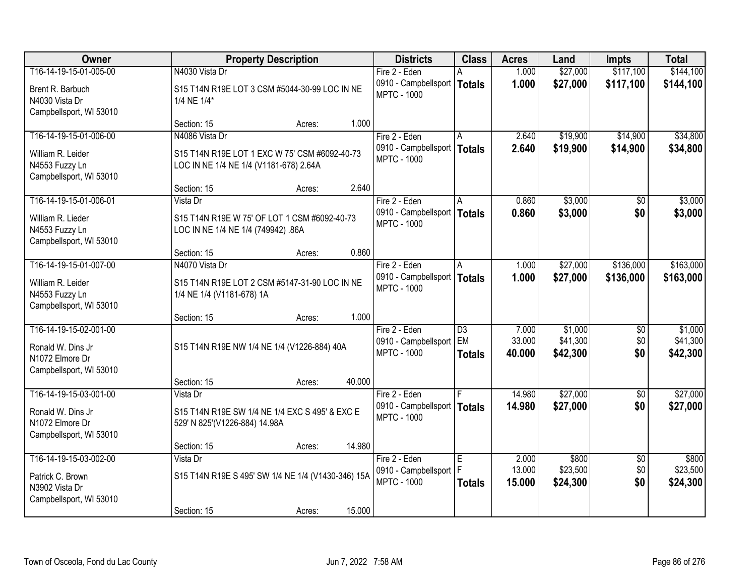| Owner                                                                                     | <b>Property Description</b>                                                                  | <b>Districts</b>                                                     | <b>Class</b>                           | <b>Acres</b>              | Land                            | <b>Impts</b>                  | <b>Total</b>                    |
|-------------------------------------------------------------------------------------------|----------------------------------------------------------------------------------------------|----------------------------------------------------------------------|----------------------------------------|---------------------------|---------------------------------|-------------------------------|---------------------------------|
| T16-14-19-15-01-005-00                                                                    | N4030 Vista Dr                                                                               | Fire 2 - Eden                                                        |                                        | 1.000                     | \$27,000                        | \$117,100                     | \$144,100                       |
| Brent R. Barbuch<br>N4030 Vista Dr<br>Campbellsport, WI 53010                             | S15 T14N R19E LOT 3 CSM #5044-30-99 LOC IN NE<br>1/4 NE 1/4*                                 | 0910 - Campbellsport<br><b>MPTC - 1000</b>                           | <b>Totals</b>                          | 1.000                     | \$27,000                        | \$117,100                     | \$144,100                       |
|                                                                                           | Section: 15<br>Acres:                                                                        | 1.000                                                                |                                        |                           |                                 |                               |                                 |
| T16-14-19-15-01-006-00                                                                    | N4086 Vista Dr                                                                               | Fire 2 - Eden                                                        |                                        | 2.640                     | \$19,900                        | \$14,900                      | \$34,800                        |
| William R. Leider<br>N4553 Fuzzy Ln<br>Campbellsport, WI 53010                            | S15 T14N R19E LOT 1 EXC W 75' CSM #6092-40-73<br>LOC IN NE 1/4 NE 1/4 (V1181-678) 2.64A      | 0910 - Campbellsport<br><b>MPTC - 1000</b>                           | <b>Totals</b>                          | 2.640                     | \$19,900                        | \$14,900                      | \$34,800                        |
|                                                                                           | Section: 15<br>Acres:                                                                        | 2.640                                                                |                                        |                           |                                 |                               |                                 |
| T16-14-19-15-01-006-01                                                                    | Vista Dr                                                                                     | Fire 2 - Eden                                                        | l A                                    | 0.860                     | \$3,000                         | \$0                           | \$3,000                         |
| William R. Lieder<br>N4553 Fuzzy Ln<br>Campbellsport, WI 53010                            | S15 T14N R19E W 75' OF LOT 1 CSM #6092-40-73<br>LOC IN NE 1/4 NE 1/4 (749942) .86A           | 0910 - Campbellsport<br><b>MPTC - 1000</b>                           | <b>Totals</b>                          | 0.860                     | \$3,000                         | \$0                           | \$3,000                         |
|                                                                                           | Section: 15<br>Acres:                                                                        | 0.860                                                                |                                        |                           |                                 |                               |                                 |
| T16-14-19-15-01-007-00                                                                    | N4070 Vista Dr                                                                               | Fire 2 - Eden                                                        | A                                      | 1.000                     | \$27,000                        | \$136,000                     | \$163,000                       |
| William R. Leider<br>N4553 Fuzzy Ln<br>Campbellsport, WI 53010                            | S15 T14N R19E LOT 2 CSM #5147-31-90 LOC IN NE<br>1/4 NE 1/4 (V1181-678) 1A                   | 0910 - Campbellsport<br><b>MPTC - 1000</b>                           | Totals                                 | 1.000                     | \$27,000                        | \$136,000                     | \$163,000                       |
|                                                                                           | Section: 15<br>Acres:                                                                        | 1.000                                                                |                                        |                           |                                 |                               |                                 |
| T16-14-19-15-02-001-00<br>Ronald W. Dins Jr<br>N1072 Elmore Dr<br>Campbellsport, WI 53010 | S15 T14N R19E NW 1/4 NE 1/4 (V1226-884) 40A                                                  | Fire 2 - Eden<br>0910 - Campbellsport<br><b>MPTC - 1000</b>          | $\overline{D3}$<br>EM<br><b>Totals</b> | 7.000<br>33.000<br>40.000 | \$1,000<br>\$41,300<br>\$42,300 | \$0<br>\$0<br>\$0             | \$1,000<br>\$41,300<br>\$42,300 |
|                                                                                           | Section: 15<br>Acres:                                                                        | 40.000                                                               |                                        |                           |                                 |                               |                                 |
| T16-14-19-15-03-001-00<br>Ronald W. Dins Jr<br>N1072 Elmore Dr<br>Campbellsport, WI 53010 | Vista Dr<br>S15 T14N R19E SW 1/4 NE 1/4 EXC S 495' & EXC E<br>529' N 825' (V1226-884) 14.98A | Fire 2 - Eden<br>0910 - Campbellsport   Totals<br><b>MPTC - 1000</b> |                                        | 14.980<br>14.980          | \$27,000<br>\$27,000            | $\overline{50}$<br>\$0        | \$27,000<br>\$27,000            |
|                                                                                           | Section: 15<br>Acres:                                                                        | 14.980                                                               |                                        |                           |                                 |                               |                                 |
| T16-14-19-15-03-002-00<br>Patrick C. Brown<br>N3902 Vista Dr<br>Campbellsport, WI 53010   | Vista Dr<br>S15 T14N R19E S 495' SW 1/4 NE 1/4 (V1430-346) 15A                               | Fire 2 - Eden<br>0910 - Campbellsport<br><b>MPTC - 1000</b>          | E<br>F<br><b>Totals</b>                | 2.000<br>13.000<br>15.000 | \$800<br>\$23,500<br>\$24,300   | $\overline{50}$<br>\$0<br>\$0 | \$800<br>\$23,500<br>\$24,300   |
|                                                                                           | Section: 15<br>Acres:                                                                        | 15.000                                                               |                                        |                           |                                 |                               |                                 |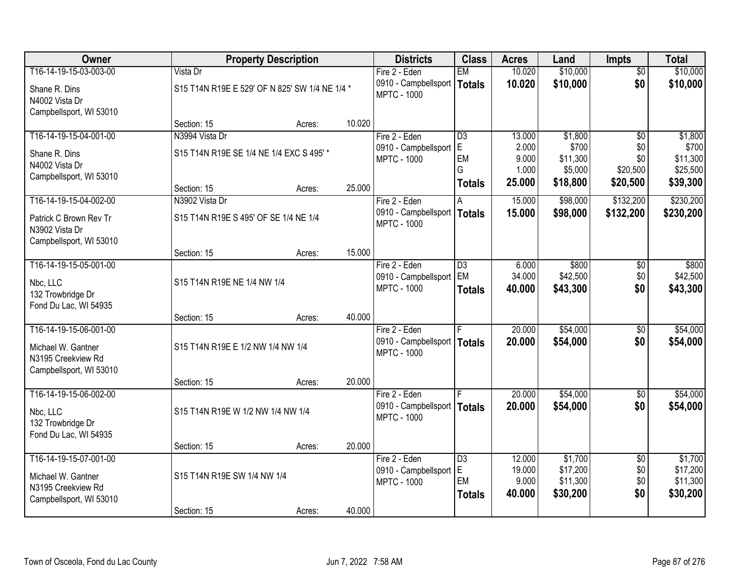| Owner                                                               |                                                | <b>Property Description</b> |        | <b>Districts</b>                                    | <b>Class</b>    | <b>Acres</b> | Land     | <b>Impts</b>    | <b>Total</b> |
|---------------------------------------------------------------------|------------------------------------------------|-----------------------------|--------|-----------------------------------------------------|-----------------|--------------|----------|-----------------|--------------|
| T16-14-19-15-03-003-00                                              | Vista Dr                                       |                             |        | Fire 2 - Eden                                       | <b>EM</b>       | 10.020       | \$10,000 | $\overline{50}$ | \$10,000     |
| Shane R. Dins<br>N4002 Vista Dr                                     | S15 T14N R19E E 529' OF N 825' SW 1/4 NE 1/4 * |                             |        | 0910 - Campbellsport<br><b>MPTC - 1000</b>          | Totals          | 10.020       | \$10,000 | \$0             | \$10,000     |
| Campbellsport, WI 53010                                             | Section: 15                                    | Acres:                      | 10.020 |                                                     |                 |              |          |                 |              |
| T16-14-19-15-04-001-00                                              | N3994 Vista Dr                                 |                             |        | Fire 2 - Eden                                       | $\overline{D3}$ | 13.000       | \$1,800  | $\overline{50}$ | \$1,800      |
|                                                                     |                                                |                             |        | 0910 - Campbellsport                                | E               | 2.000        | \$700    | \$0             | \$700        |
| Shane R. Dins                                                       | S15 T14N R19E SE 1/4 NE 1/4 EXC S 495' *       |                             |        | <b>MPTC - 1000</b>                                  | EM              | 9.000        | \$11,300 | \$0             | \$11,300     |
| N4002 Vista Dr                                                      |                                                |                             |        |                                                     | G               | 1.000        | \$5,000  | \$20,500        | \$25,500     |
| Campbellsport, WI 53010                                             | Section: 15                                    | Acres:                      | 25.000 |                                                     | <b>Totals</b>   | 25.000       | \$18,800 | \$20,500        | \$39,300     |
| T16-14-19-15-04-002-00                                              | N3902 Vista Dr                                 |                             |        | Fire 2 - Eden                                       | A               | 15.000       | \$98,000 | \$132,200       | \$230,200    |
| Patrick C Brown Rev Tr<br>N3902 Vista Dr                            | S15 T14N R19E S 495' OF SE 1/4 NE 1/4          |                             |        | 0910 - Campbellsport<br><b>MPTC - 1000</b>          | Totals          | 15.000       | \$98,000 | \$132,200       | \$230,200    |
| Campbellsport, WI 53010                                             | Section: 15                                    | Acres:                      | 15.000 |                                                     |                 |              |          |                 |              |
| T16-14-19-15-05-001-00                                              |                                                |                             |        | Fire 2 - Eden                                       | D3              | 6.000        | \$800    | \$0             | \$800        |
|                                                                     |                                                |                             |        | 0910 - Campbellsport                                | EM              | 34.000       | \$42,500 | \$0             | \$42,500     |
| Nbc, LLC<br>132 Trowbridge Dr<br>Fond Du Lac, WI 54935              | S15 T14N R19E NE 1/4 NW 1/4                    |                             |        | <b>MPTC - 1000</b>                                  | <b>Totals</b>   | 40.000       | \$43,300 | \$0             | \$43,300     |
|                                                                     | Section: 15                                    | Acres:                      | 40.000 |                                                     |                 |              |          |                 |              |
| T16-14-19-15-06-001-00                                              |                                                |                             |        | Fire 2 - Eden                                       |                 | 20.000       | \$54,000 | $\overline{50}$ | \$54,000     |
| Michael W. Gantner<br>N3195 Creekview Rd<br>Campbellsport, WI 53010 | S15 T14N R19E E 1/2 NW 1/4 NW 1/4              |                             |        | 0910 - Campbellsport   Totals<br><b>MPTC - 1000</b> |                 | 20,000       | \$54,000 | \$0             | \$54,000     |
|                                                                     | Section: 15                                    | Acres:                      | 20.000 |                                                     |                 |              |          |                 |              |
| T16-14-19-15-06-002-00                                              |                                                |                             |        | Fire 2 - Eden                                       |                 | 20.000       | \$54,000 | $\sqrt{6}$      | \$54,000     |
| Nbc, LLC<br>132 Trowbridge Dr                                       | S15 T14N R19E W 1/2 NW 1/4 NW 1/4              |                             |        | 0910 - Campbellsport   Totals<br><b>MPTC - 1000</b> |                 | 20.000       | \$54,000 | \$0             | \$54,000     |
| Fond Du Lac, WI 54935                                               | Section: 15                                    | Acres:                      | 20.000 |                                                     |                 |              |          |                 |              |
| T16-14-19-15-07-001-00                                              |                                                |                             |        | Fire 2 - Eden                                       | D3              | 12.000       | \$1,700  | $\overline{50}$ | \$1,700      |
|                                                                     |                                                |                             |        | 0910 - Campbellsport                                | lE.             | 19.000       | \$17,200 | \$0             | \$17,200     |
| Michael W. Gantner                                                  | S15 T14N R19E SW 1/4 NW 1/4                    |                             |        | <b>MPTC - 1000</b>                                  | <b>EM</b>       | 9.000        | \$11,300 | \$0             | \$11,300     |
| N3195 Creekview Rd<br>Campbellsport, WI 53010                       |                                                |                             |        |                                                     | <b>Totals</b>   | 40.000       | \$30,200 | \$0             | \$30,200     |
|                                                                     | Section: 15                                    | Acres:                      | 40.000 |                                                     |                 |              |          |                 |              |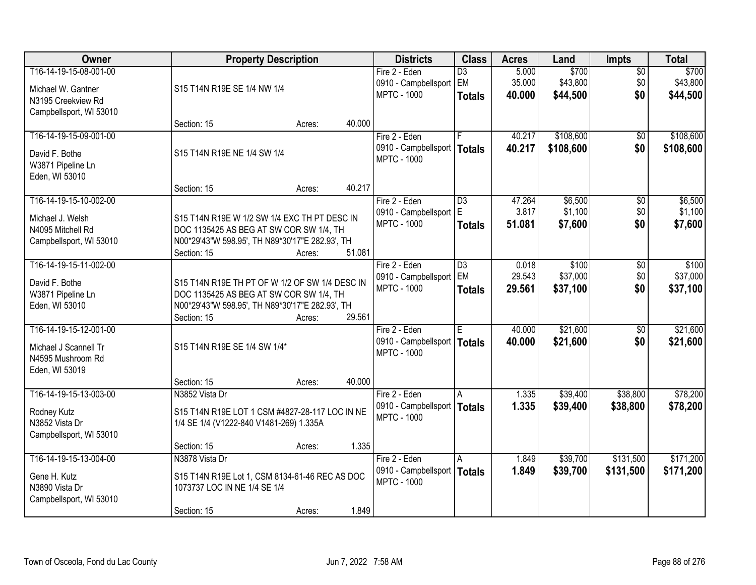| Owner                                                                                         |                                                                                                                                                             | <b>Property Description</b> |        |                                                                      | <b>Class</b>                           | <b>Acres</b>              | Land                          | <b>Impts</b>                  | <b>Total</b>                  |
|-----------------------------------------------------------------------------------------------|-------------------------------------------------------------------------------------------------------------------------------------------------------------|-----------------------------|--------|----------------------------------------------------------------------|----------------------------------------|---------------------------|-------------------------------|-------------------------------|-------------------------------|
| T16-14-19-15-08-001-00<br>Michael W. Gantner<br>N3195 Creekview Rd<br>Campbellsport, WI 53010 | S15 T14N R19E SE 1/4 NW 1/4                                                                                                                                 |                             |        | Fire 2 - Eden<br>0910 - Campbellsport EM<br><b>MPTC - 1000</b>       | $\overline{D3}$<br><b>Totals</b>       | 5.000<br>35.000<br>40.000 | \$700<br>\$43,800<br>\$44,500 | $\overline{50}$<br>\$0<br>\$0 | \$700<br>\$43,800<br>\$44,500 |
|                                                                                               | Section: 15                                                                                                                                                 | Acres:                      | 40.000 |                                                                      |                                        |                           |                               |                               |                               |
| T16-14-19-15-09-001-00<br>David F. Bothe<br>W3871 Pipeline Ln<br>Eden, WI 53010               | S15 T14N R19E NE 1/4 SW 1/4                                                                                                                                 |                             |        | Fire 2 - Eden<br>0910 - Campbellsport<br><b>MPTC - 1000</b>          | F<br><b>Totals</b>                     | 40.217<br>40.217          | \$108,600<br>\$108,600        | $\overline{50}$<br>\$0        | \$108,600<br>\$108,600        |
|                                                                                               | Section: 15                                                                                                                                                 | Acres:                      | 40.217 |                                                                      |                                        |                           |                               |                               |                               |
| T16-14-19-15-10-002-00<br>Michael J. Welsh<br>N4095 Mitchell Rd<br>Campbellsport, WI 53010    | S15 T14N R19E W 1/2 SW 1/4 EXC TH PT DESC IN<br>DOC 1135425 AS BEG AT SW COR SW 1/4, TH<br>N00*29'43"W 598.95', TH N89*30'17"E 282.93', TH<br>Section: 15   | Acres:                      | 51.081 | Fire 2 - Eden<br>0910 - Campbellsport   E<br><b>MPTC - 1000</b>      | $\overline{D3}$<br><b>Totals</b>       | 47.264<br>3.817<br>51.081 | \$6,500<br>\$1,100<br>\$7,600 | \$0<br>\$0<br>\$0             | \$6,500<br>\$1,100<br>\$7,600 |
| T16-14-19-15-11-002-00<br>David F. Bothe<br>W3871 Pipeline Ln<br>Eden, WI 53010               | S15 T14N R19E TH PT OF W 1/2 OF SW 1/4 DESC IN<br>DOC 1135425 AS BEG AT SW COR SW 1/4, TH<br>N00*29'43"W 598.95', TH N89*30'17"E 282.93', TH<br>Section: 15 | Acres:                      | 29.561 | Fire 2 - Eden<br>0910 - Campbellsport<br><b>MPTC - 1000</b>          | $\overline{D3}$<br>EM<br><b>Totals</b> | 0.018<br>29.543<br>29.561 | \$100<br>\$37,000<br>\$37,100 | \$0<br>\$0<br>\$0             | \$100<br>\$37,000<br>\$37,100 |
| T16-14-19-15-12-001-00<br>Michael J Scannell Tr<br>N4595 Mushroom Rd<br>Eden, WI 53019        | S15 T14N R19E SE 1/4 SW 1/4*<br>Section: 15                                                                                                                 | Acres:                      | 40.000 | Fire 2 - Eden<br>0910 - Campbellsport<br><b>MPTC - 1000</b>          | E<br><b>Totals</b>                     | 40.000<br>40.000          | \$21,600<br>\$21,600          | $\overline{50}$<br>\$0        | \$21,600<br>\$21,600          |
| T16-14-19-15-13-003-00<br>Rodney Kutz<br>N3852 Vista Dr<br>Campbellsport, WI 53010            | N3852 Vista Dr<br>S15 T14N R19E LOT 1 CSM #4827-28-117 LOC IN NE<br>1/4 SE 1/4 (V1222-840 V1481-269) 1.335A<br>Section: 15                                  | Acres:                      | 1.335  | Fire 2 - Eden<br>0910 - Campbellsport  <br><b>MPTC - 1000</b>        | A<br><b>Totals</b>                     | 1.335<br>1.335            | \$39,400<br>\$39,400          | \$38,800<br>\$38,800          | \$78,200<br>\$78,200          |
| T16-14-19-15-13-004-00<br>Gene H. Kutz<br>N3890 Vista Dr<br>Campbellsport, WI 53010           | N3878 Vista Dr<br>S15 T14N R19E Lot 1, CSM 8134-61-46 REC AS DOC<br>1073737 LOC IN NE 1/4 SE 1/4<br>Section: 15                                             | Acres:                      | 1.849  | Fire 2 - Eden<br>0910 - Campbellsport   Totals<br><b>MPTC - 1000</b> | A                                      | 1.849<br>1.849            | \$39,700<br>\$39,700          | \$131,500<br>\$131,500        | \$171,200<br>\$171,200        |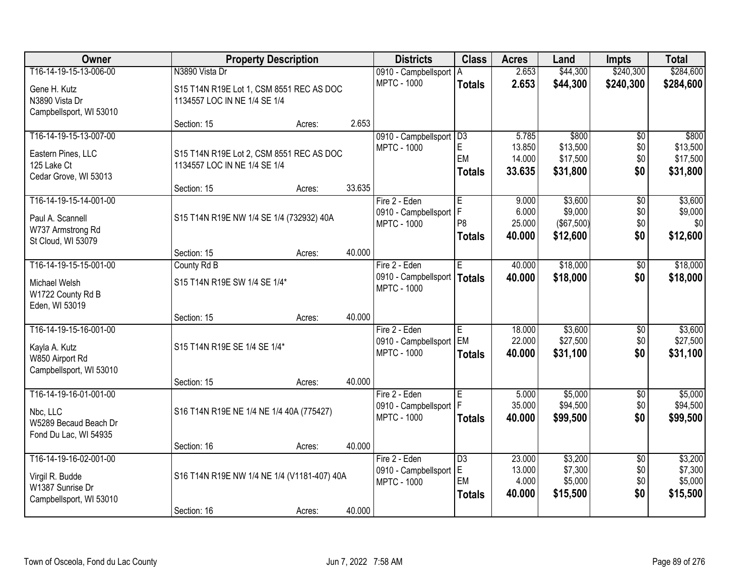| Owner                                       |                                             | <b>Property Description</b> |        | <b>Districts</b>                           | <b>Class</b>         | <b>Acres</b>     | Land                  | <b>Impts</b>    | <b>Total</b>        |
|---------------------------------------------|---------------------------------------------|-----------------------------|--------|--------------------------------------------|----------------------|------------------|-----------------------|-----------------|---------------------|
| T16-14-19-15-13-006-00                      | N3890 Vista Dr                              |                             |        | 0910 - Campbellsport                       | A                    | 2.653            | \$44,300              | \$240,300       | \$284,600           |
| Gene H. Kutz                                | S15 T14N R19E Lot 1, CSM 8551 REC AS DOC    |                             |        | <b>MPTC - 1000</b>                         | <b>Totals</b>        | 2.653            | \$44,300              | \$240,300       | \$284,600           |
| N3890 Vista Dr                              | 1134557 LOC IN NE 1/4 SE 1/4                |                             |        |                                            |                      |                  |                       |                 |                     |
| Campbellsport, WI 53010                     |                                             |                             |        |                                            |                      |                  |                       |                 |                     |
|                                             | Section: 15                                 | Acres:                      | 2.653  |                                            |                      |                  |                       |                 |                     |
| T16-14-19-15-13-007-00                      |                                             |                             |        | 0910 - Campbellsport                       | D3                   | 5.785            | \$800                 | \$0             | \$800               |
| Eastern Pines, LLC                          | S15 T14N R19E Lot 2, CSM 8551 REC AS DOC    |                             |        | <b>MPTC - 1000</b>                         | E<br>EM              | 13.850           | \$13,500              | \$0             | \$13,500            |
| 125 Lake Ct                                 | 1134557 LOC IN NE 1/4 SE 1/4                |                             |        |                                            |                      | 14.000<br>33.635 | \$17,500              | \$0<br>\$0      | \$17,500            |
| Cedar Grove, WI 53013                       |                                             |                             |        |                                            | <b>Totals</b>        |                  | \$31,800              |                 | \$31,800            |
|                                             | Section: 15                                 | Acres:                      | 33.635 |                                            |                      |                  |                       |                 |                     |
| T16-14-19-15-14-001-00                      |                                             |                             |        | Fire 2 - Eden                              | ۱Ē.                  | 9.000            | \$3,600               | \$0             | \$3,600             |
| Paul A. Scannell                            | S15 T14N R19E NW 1/4 SE 1/4 (732932) 40A    |                             |        | 0910 - Campbellsport<br><b>MPTC - 1000</b> | IF<br>P <sub>8</sub> | 6.000<br>25.000  | \$9,000<br>(\$67,500) | \$0<br>\$0      | \$9,000<br>\$0      |
| W737 Armstrong Rd                           |                                             |                             |        |                                            | <b>Totals</b>        | 40.000           | \$12,600              | \$0             | \$12,600            |
| St Cloud, WI 53079                          |                                             |                             |        |                                            |                      |                  |                       |                 |                     |
|                                             | Section: 15                                 | Acres:                      | 40.000 |                                            |                      |                  |                       |                 |                     |
| T16-14-19-15-15-001-00                      | County Rd B                                 |                             |        | Fire 2 - Eden                              | E                    | 40.000           | \$18,000              | \$0             | \$18,000            |
| Michael Welsh                               | S15 T14N R19E SW 1/4 SE 1/4*                |                             |        | 0910 - Campbellsport<br><b>MPTC - 1000</b> | Totals               | 40.000           | \$18,000              | \$0             | \$18,000            |
| W1722 County Rd B                           |                                             |                             |        |                                            |                      |                  |                       |                 |                     |
| Eden, WI 53019                              |                                             |                             |        |                                            |                      |                  |                       |                 |                     |
| T16-14-19-15-16-001-00                      | Section: 15                                 | Acres:                      | 40.000 |                                            |                      |                  |                       |                 |                     |
|                                             |                                             |                             |        | Fire 2 - Eden<br>0910 - Campbellsport      | E<br><b>EM</b>       | 18.000<br>22.000 | \$3,600<br>\$27,500   | \$0<br>\$0      | \$3,600<br>\$27,500 |
| Kayla A. Kutz                               | S15 T14N R19E SE 1/4 SE 1/4*                |                             |        | <b>MPTC - 1000</b>                         | <b>Totals</b>        | 40.000           | \$31,100              | \$0             | \$31,100            |
| W850 Airport Rd                             |                                             |                             |        |                                            |                      |                  |                       |                 |                     |
| Campbellsport, WI 53010                     |                                             |                             |        |                                            |                      |                  |                       |                 |                     |
| T16-14-19-16-01-001-00                      | Section: 15                                 | Acres:                      | 40.000 | Fire 2 - Eden                              | E                    | 5.000            | \$5,000               | $\overline{50}$ | \$5,000             |
|                                             |                                             |                             |        | 0910 - Campbellsport   F                   |                      | 35.000           | \$94,500              | \$0             | \$94,500            |
| Nbc, LLC                                    | S16 T14N R19E NE 1/4 NE 1/4 40A (775427)    |                             |        | <b>MPTC - 1000</b>                         | <b>Totals</b>        | 40.000           | \$99,500              | \$0             | \$99,500            |
| W5289 Becaud Beach Dr                       |                                             |                             |        |                                            |                      |                  |                       |                 |                     |
| Fond Du Lac, WI 54935                       | Section: 16                                 |                             | 40.000 |                                            |                      |                  |                       |                 |                     |
| T16-14-19-16-02-001-00                      |                                             | Acres:                      |        | Fire 2 - Eden                              | $\overline{D3}$      | 23.000           | \$3,200               | $\overline{50}$ | \$3,200             |
|                                             |                                             |                             |        | 0910 - Campbellsport                       | E                    | 13.000           | \$7,300               | \$0             | \$7,300             |
| Virgil R. Budde                             | S16 T14N R19E NW 1/4 NE 1/4 (V1181-407) 40A |                             |        | <b>MPTC - 1000</b>                         | EM                   | 4.000            | \$5,000               | \$0             | \$5,000             |
| W1387 Sunrise Dr<br>Campbellsport, WI 53010 |                                             |                             |        |                                            | <b>Totals</b>        | 40.000           | \$15,500              | \$0             | \$15,500            |
|                                             | Section: 16                                 | Acres:                      | 40.000 |                                            |                      |                  |                       |                 |                     |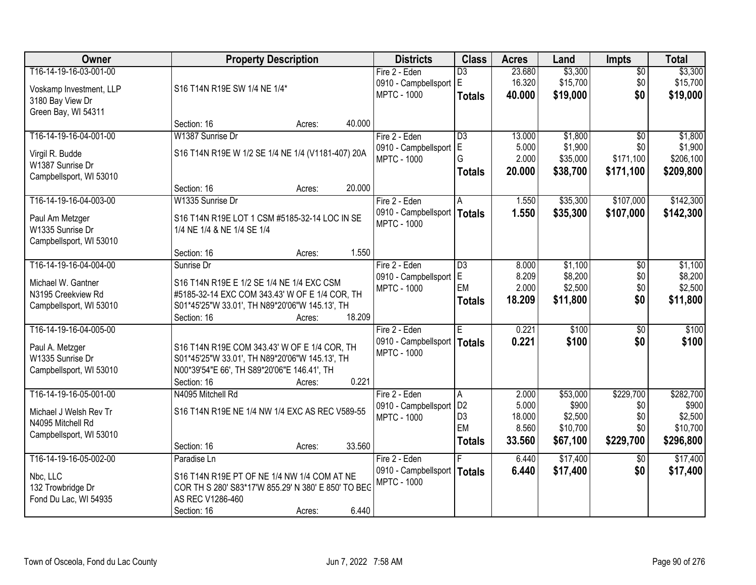| Owner                   |                                                     | <b>Property Description</b> |        | <b>Districts</b>              | <b>Class</b>         | <b>Acres</b>    | Land                | <b>Impts</b>    | <b>Total</b>        |
|-------------------------|-----------------------------------------------------|-----------------------------|--------|-------------------------------|----------------------|-----------------|---------------------|-----------------|---------------------|
| T16-14-19-16-03-001-00  |                                                     |                             |        | Fire 2 - Eden                 | $\overline{D3}$      | 23.680          | \$3,300             | $\sqrt{$0}$     | \$3,300             |
| Voskamp Investment, LLP | S16 T14N R19E SW 1/4 NE 1/4*                        |                             |        | 0910 - Campbellsport          | ΙE                   | 16.320          | \$15,700            | \$0             | \$15,700            |
| 3180 Bay View Dr        |                                                     |                             |        | <b>MPTC - 1000</b>            | <b>Totals</b>        | 40.000          | \$19,000            | \$0             | \$19,000            |
| Green Bay, WI 54311     |                                                     |                             |        |                               |                      |                 |                     |                 |                     |
|                         | Section: 16                                         | Acres:                      | 40.000 |                               |                      |                 |                     |                 |                     |
| T16-14-19-16-04-001-00  | W1387 Sunrise Dr                                    |                             |        | Fire 2 - Eden                 | $\overline{D3}$      | 13.000          | \$1,800             | $\overline{50}$ | \$1,800             |
| Virgil R. Budde         | S16 T14N R19E W 1/2 SE 1/4 NE 1/4 (V1181-407) 20A   |                             |        | 0910 - Campbellsport          | E                    | 5.000           | \$1,900             | \$0             | \$1,900             |
| W1387 Sunrise Dr        |                                                     |                             |        | <b>MPTC - 1000</b>            | G                    | 2.000           | \$35,000            | \$171,100       | \$206,100           |
| Campbellsport, WI 53010 |                                                     |                             |        |                               | <b>Totals</b>        | 20.000          | \$38,700            | \$171,100       | \$209,800           |
|                         | Section: 16                                         | Acres:                      | 20.000 |                               |                      |                 |                     |                 |                     |
| T16-14-19-16-04-003-00  | W1335 Sunrise Dr                                    |                             |        | Fire 2 - Eden                 | A                    | 1.550           | \$35,300            | \$107,000       | \$142,300           |
| Paul Am Metzger         | S16 T14N R19E LOT 1 CSM #5185-32-14 LOC IN SE       |                             |        | 0910 - Campbellsport   Totals |                      | 1.550           | \$35,300            | \$107,000       | \$142,300           |
| W1335 Sunrise Dr        | 1/4 NE 1/4 & NE 1/4 SE 1/4                          |                             |        | <b>MPTC - 1000</b>            |                      |                 |                     |                 |                     |
| Campbellsport, WI 53010 |                                                     |                             |        |                               |                      |                 |                     |                 |                     |
|                         | Section: 16                                         | Acres:                      | 1.550  |                               |                      |                 |                     |                 |                     |
| T16-14-19-16-04-004-00  | Sunrise Dr                                          |                             |        | Fire 2 - Eden                 | D3                   | 8.000           | \$1,100             | $\sqrt[6]{3}$   | \$1,100             |
| Michael W. Gantner      | S16 T14N R19E E 1/2 SE 1/4 NE 1/4 EXC CSM           |                             |        | 0910 - Campbellsport          | lE.                  | 8.209           | \$8,200             | \$0             | \$8,200             |
| N3195 Creekview Rd      | #5185-32-14 EXC COM 343.43' W OF E 1/4 COR, TH      |                             |        | <b>MPTC - 1000</b>            | EM                   | 2.000           | \$2,500             | \$0             | \$2,500             |
| Campbellsport, WI 53010 | S01*45'25"W 33.01', TH N89*20'06"W 145.13', TH      |                             |        |                               | <b>Totals</b>        | 18.209          | \$11,800            | \$0             | \$11,800            |
|                         | Section: 16                                         | Acres:                      | 18.209 |                               |                      |                 |                     |                 |                     |
| T16-14-19-16-04-005-00  |                                                     |                             |        | Fire 2 - Eden                 | Έ                    | 0.221           | \$100               | $\overline{50}$ | \$100               |
| Paul A. Metzger         | S16 T14N R19E COM 343.43' W OF E 1/4 COR, TH        |                             |        | 0910 - Campbellsport   Totals |                      | 0.221           | \$100               | \$0             | \$100               |
| W1335 Sunrise Dr        | S01*45'25"W 33.01', TH N89*20'06"W 145.13', TH      |                             |        | <b>MPTC - 1000</b>            |                      |                 |                     |                 |                     |
| Campbellsport, WI 53010 | N00*39'54"E 66', TH S89*20'06"E 146.41', TH         |                             |        |                               |                      |                 |                     |                 |                     |
|                         | Section: 16                                         | Acres:                      | 0.221  |                               |                      |                 |                     |                 |                     |
| T16-14-19-16-05-001-00  | N4095 Mitchell Rd                                   |                             |        | Fire 2 - Eden                 | A                    | 2.000           | \$53,000            | \$229,700       | \$282,700           |
| Michael J Welsh Rev Tr  | S16 T14N R19E NE 1/4 NW 1/4 EXC AS REC V589-55      |                             |        | 0910 - Campbellsport          | D <sub>2</sub>       | 5.000           | \$900               | \$0             | \$900               |
| N4095 Mitchell Rd       |                                                     |                             |        | <b>MPTC - 1000</b>            | D <sub>3</sub><br>EM | 18.000<br>8.560 | \$2,500<br>\$10,700 | \$0<br>\$0      | \$2,500<br>\$10,700 |
| Campbellsport, WI 53010 |                                                     |                             |        |                               |                      | 33.560          |                     |                 |                     |
|                         | Section: 16                                         | Acres:                      | 33.560 |                               | <b>Totals</b>        |                 | \$67,100            | \$229,700       | \$296,800           |
| T16-14-19-16-05-002-00  | Paradise Ln                                         |                             |        | Fire 2 - Eden                 |                      | 6.440           | \$17,400            | $\overline{50}$ | \$17,400            |
| Nbc, LLC                | S16 T14N R19E PT OF NE 1/4 NW 1/4 COM AT NE         |                             |        | 0910 - Campbellsport          | Totals               | 6.440           | \$17,400            | \$0             | \$17,400            |
| 132 Trowbridge Dr       | COR TH S 280' S83*17'W 855.29' N 380' E 850' TO BEG |                             |        | <b>MPTC - 1000</b>            |                      |                 |                     |                 |                     |
| Fond Du Lac, WI 54935   | AS REC V1286-460                                    |                             |        |                               |                      |                 |                     |                 |                     |
|                         | Section: 16                                         | Acres:                      | 6.440  |                               |                      |                 |                     |                 |                     |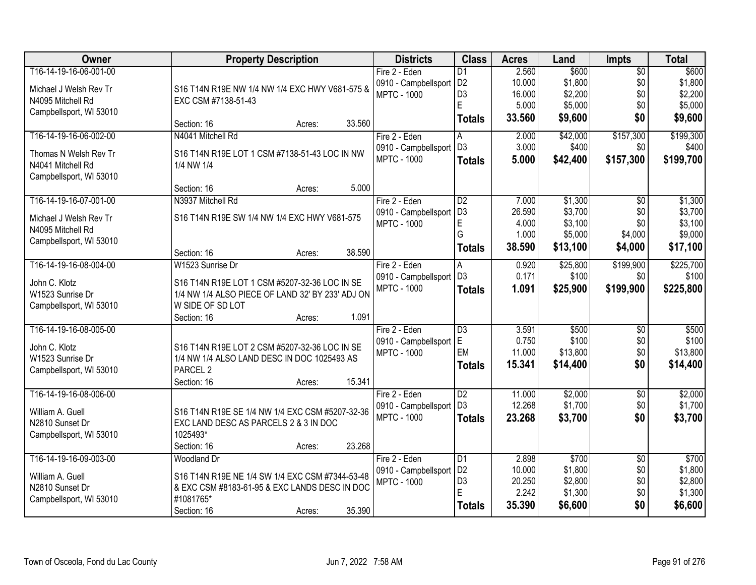| Owner                   | <b>Property Description</b>                                          | <b>Districts</b>     | <b>Class</b>    | <b>Acres</b> | Land     | <b>Impts</b>    | <b>Total</b> |
|-------------------------|----------------------------------------------------------------------|----------------------|-----------------|--------------|----------|-----------------|--------------|
| T16-14-19-16-06-001-00  |                                                                      | Fire 2 - Eden        | D <sub>1</sub>  | 2.560        | \$600    | $\overline{$0}$ | \$600        |
| Michael J Welsh Rev Tr  | S16 T14N R19E NW 1/4 NW 1/4 EXC HWY V681-575 &                       | 0910 - Campbellsport | D <sub>2</sub>  | 10.000       | \$1,800  | \$0             | \$1,800      |
| N4095 Mitchell Rd       | EXC CSM #7138-51-43                                                  | <b>MPTC - 1000</b>   | D <sub>3</sub>  | 16.000       | \$2,200  | \$0             | \$2,200      |
| Campbellsport, WI 53010 |                                                                      |                      | Ė               | 5.000        | \$5,000  | \$0             | \$5,000      |
|                         | 33.560<br>Section: 16<br>Acres:                                      |                      | <b>Totals</b>   | 33.560       | \$9,600  | \$0             | \$9,600      |
| T16-14-19-16-06-002-00  | N4041 Mitchell Rd                                                    | Fire 2 - Eden        | А               | 2.000        | \$42,000 | \$157,300       | \$199,300    |
| Thomas N Welsh Rev Tr   | S16 T14N R19E LOT 1 CSM #7138-51-43 LOC IN NW                        | 0910 - Campbellsport | D <sub>3</sub>  | 3.000        | \$400    | \$0             | \$400        |
| N4041 Mitchell Rd       | 1/4 NW 1/4                                                           | <b>MPTC - 1000</b>   | <b>Totals</b>   | 5.000        | \$42,400 | \$157,300       | \$199,700    |
| Campbellsport, WI 53010 |                                                                      |                      |                 |              |          |                 |              |
|                         | 5.000<br>Section: 16<br>Acres:                                       |                      |                 |              |          |                 |              |
| T16-14-19-16-07-001-00  | N3937 Mitchell Rd                                                    | Fire 2 - Eden        | $\overline{D2}$ | 7.000        | \$1,300  | \$0             | \$1,300      |
| Michael J Welsh Rev Tr  | S16 T14N R19E SW 1/4 NW 1/4 EXC HWY V681-575                         | 0910 - Campbellsport | D <sub>3</sub>  | 26.590       | \$3,700  | \$0             | \$3,700      |
| N4095 Mitchell Rd       |                                                                      | <b>MPTC - 1000</b>   | E               | 4.000        | \$3,100  | \$0             | \$3,100      |
| Campbellsport, WI 53010 |                                                                      |                      | G               | 1.000        | \$5,000  | \$4,000         | \$9,000      |
|                         | 38.590<br>Section: 16<br>Acres:                                      |                      | <b>Totals</b>   | 38.590       | \$13,100 | \$4,000         | \$17,100     |
| T16-14-19-16-08-004-00  | W1523 Sunrise Dr                                                     | Fire 2 - Eden        | A               | 0.920        | \$25,800 | \$199,900       | \$225,700    |
|                         |                                                                      | 0910 - Campbellsport | l D3            | 0.171        | \$100    | \$0             | \$100        |
| John C. Klotz           | S16 T14N R19E LOT 1 CSM #5207-32-36 LOC IN SE                        | <b>MPTC - 1000</b>   | <b>Totals</b>   | 1.091        | \$25,900 | \$199,900       | \$225,800    |
| W1523 Sunrise Dr        | 1/4 NW 1/4 ALSO PIECE OF LAND 32' BY 233' ADJ ON<br>W SIDE OF SD LOT |                      |                 |              |          |                 |              |
| Campbellsport, WI 53010 | 1.091<br>Section: 16<br>Acres:                                       |                      |                 |              |          |                 |              |
| T16-14-19-16-08-005-00  |                                                                      | Fire 2 - Eden        | $\overline{D3}$ | 3.591        | \$500    | $\overline{50}$ | \$500        |
|                         |                                                                      | 0910 - Campbellsport | E               | 0.750        | \$100    | \$0             | \$100        |
| John C. Klotz           | S16 T14N R19E LOT 2 CSM #5207-32-36 LOC IN SE                        | <b>MPTC - 1000</b>   | EM              | 11.000       | \$13,800 | \$0             | \$13,800     |
| W1523 Sunrise Dr        | 1/4 NW 1/4 ALSO LAND DESC IN DOC 1025493 AS                          |                      | <b>Totals</b>   | 15.341       | \$14,400 | \$0             | \$14,400     |
| Campbellsport, WI 53010 | PARCEL <sub>2</sub>                                                  |                      |                 |              |          |                 |              |
|                         | 15.341<br>Section: 16<br>Acres:                                      |                      |                 |              |          |                 |              |
| T16-14-19-16-08-006-00  |                                                                      | Fire 2 - Eden        | $\overline{D2}$ | 11.000       | \$2,000  | $\sqrt{6}$      | \$2,000      |
| William A. Guell        | S16 T14N R19E SE 1/4 NW 1/4 EXC CSM #5207-32-36                      | 0910 - Campbellsport | D <sub>3</sub>  | 12.268       | \$1,700  | \$0             | \$1,700      |
| N2810 Sunset Dr         | EXC LAND DESC AS PARCELS 2 & 3 IN DOC                                | <b>MPTC - 1000</b>   | <b>Totals</b>   | 23.268       | \$3,700  | \$0             | \$3,700      |
| Campbellsport, WI 53010 | 1025493*                                                             |                      |                 |              |          |                 |              |
|                         | 23.268<br>Section: 16<br>Acres:                                      |                      |                 |              |          |                 |              |
| T16-14-19-16-09-003-00  | <b>Woodland Dr</b>                                                   | Fire 2 - Eden        | $\overline{D1}$ | 2.898        | \$700    | $\overline{60}$ | \$700        |
| William A. Guell        | S16 T14N R19E NE 1/4 SW 1/4 EXC CSM #7344-53-48                      | 0910 - Campbellsport | D <sub>2</sub>  | 10.000       | \$1,800  | \$0             | \$1,800      |
| N2810 Sunset Dr         | & EXC CSM #8183-61-95 & EXC LANDS DESC IN DOC                        | <b>MPTC - 1000</b>   | D <sub>3</sub>  | 20.250       | \$2,800  | \$0             | \$2,800      |
| Campbellsport, WI 53010 | #1081765*                                                            |                      | E               | 2.242        | \$1,300  | \$0             | \$1,300      |
|                         | 35.390<br>Section: 16<br>Acres:                                      |                      | <b>Totals</b>   | 35.390       | \$6,600  | \$0             | \$6,600      |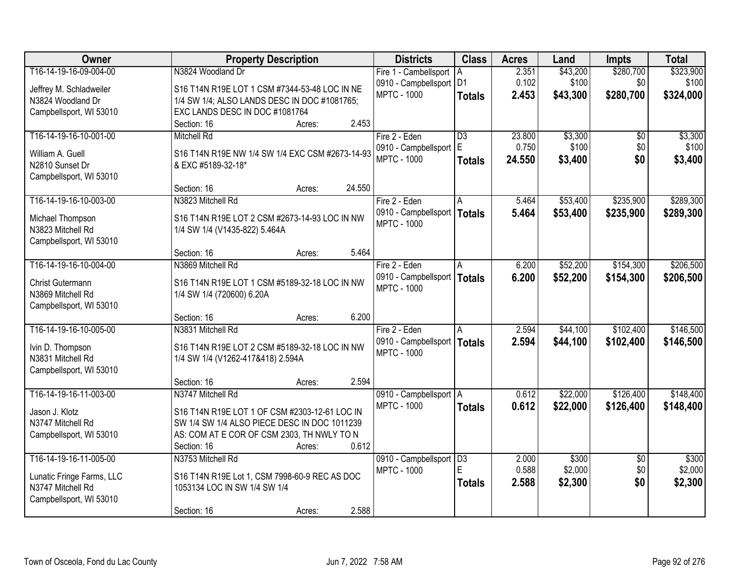| <b>Owner</b>              | <b>Property Description</b>                     | <b>Districts</b>          | <b>Class</b>    | <b>Acres</b> | Land     | Impts           | <b>Total</b> |
|---------------------------|-------------------------------------------------|---------------------------|-----------------|--------------|----------|-----------------|--------------|
| T16-14-19-16-09-004-00    | N3824 Woodland Dr                               | Fire 1 - Cambellsport     | IA.             | 2.351        | \$43,200 | \$280,700       | \$323,900    |
| Jeffrey M. Schladweiler   | S16 T14N R19E LOT 1 CSM #7344-53-48 LOC IN NE   | 0910 - Campbellsport   D1 |                 | 0.102        | \$100    | \$0             | \$100        |
| N3824 Woodland Dr         | 1/4 SW 1/4; ALSO LANDS DESC IN DOC #1081765;    | <b>MPTC - 1000</b>        | <b>Totals</b>   | 2.453        | \$43,300 | \$280,700       | \$324,000    |
| Campbellsport, WI 53010   | EXC LANDS DESC IN DOC #1081764                  |                           |                 |              |          |                 |              |
|                           | 2.453<br>Section: 16<br>Acres:                  |                           |                 |              |          |                 |              |
| T16-14-19-16-10-001-00    | <b>Mitchell Rd</b>                              | Fire 2 - Eden             | $\overline{D3}$ | 23.800       | \$3,300  | \$0             | \$3,300      |
| William A. Guell          | S16 T14N R19E NW 1/4 SW 1/4 EXC CSM #2673-14-93 | 0910 - Campbellsport      | E.              | 0.750        | \$100    | \$0             | \$100        |
| N2810 Sunset Dr           | & EXC #5189-32-18*                              | <b>MPTC - 1000</b>        | <b>Totals</b>   | 24.550       | \$3,400  | \$0             | \$3,400      |
| Campbellsport, WI 53010   |                                                 |                           |                 |              |          |                 |              |
|                           | 24.550<br>Section: 16<br>Acres:                 |                           |                 |              |          |                 |              |
| T16-14-19-16-10-003-00    | N3823 Mitchell Rd                               | Fire 2 - Eden             | A               | 5.464        | \$53,400 | \$235,900       | \$289,300    |
| Michael Thompson          | S16 T14N R19E LOT 2 CSM #2673-14-93 LOC IN NW   | 0910 - Campbellsport      | <b>Totals</b>   | 5.464        | \$53,400 | \$235,900       | \$289,300    |
| N3823 Mitchell Rd         | 1/4 SW 1/4 (V1435-822) 5.464A                   | <b>MPTC - 1000</b>        |                 |              |          |                 |              |
| Campbellsport, WI 53010   |                                                 |                           |                 |              |          |                 |              |
|                           | 5.464<br>Section: 16<br>Acres:                  |                           |                 |              |          |                 |              |
| T16-14-19-16-10-004-00    | N3869 Mitchell Rd                               | Fire 2 - Eden             | A               | 6.200        | \$52,200 | \$154,300       | \$206,500    |
| Christ Gutermann          | S16 T14N R19E LOT 1 CSM #5189-32-18 LOC IN NW   | 0910 - Campbellsport      | <b>Totals</b>   | 6.200        | \$52,200 | \$154,300       | \$206,500    |
| N3869 Mitchell Rd         | 1/4 SW 1/4 (720600) 6.20A                       | <b>MPTC - 1000</b>        |                 |              |          |                 |              |
| Campbellsport, WI 53010   |                                                 |                           |                 |              |          |                 |              |
|                           | 6.200<br>Section: 16<br>Acres:                  |                           |                 |              |          |                 |              |
| T16-14-19-16-10-005-00    | N3831 Mitchell Rd                               | Fire 2 - Eden             | A               | 2.594        | \$44,100 | \$102,400       | \$146,500    |
|                           |                                                 | 0910 - Campbellsport      | Totals          | 2.594        | \$44,100 | \$102,400       | \$146,500    |
| Ivin D. Thompson          | S16 T14N R19E LOT 2 CSM #5189-32-18 LOC IN NW   | <b>MPTC - 1000</b>        |                 |              |          |                 |              |
| N3831 Mitchell Rd         | 1/4 SW 1/4 (V1262-417&418) 2.594A               |                           |                 |              |          |                 |              |
| Campbellsport, WI 53010   | 2.594                                           |                           |                 |              |          |                 |              |
| T16-14-19-16-11-003-00    | Section: 16<br>Acres:<br>N3747 Mitchell Rd      | 0910 - Campbellsport A    |                 | 0.612        | \$22,000 | \$126,400       | \$148,400    |
|                           |                                                 | <b>MPTC - 1000</b>        | <b>Totals</b>   | 0.612        | \$22,000 | \$126,400       | \$148,400    |
| Jason J. Klotz            | S16 T14N R19E LOT 1 OF CSM #2303-12-61 LOC IN   |                           |                 |              |          |                 |              |
| N3747 Mitchell Rd         | SW 1/4 SW 1/4 ALSO PIECE DESC IN DOC 1011239    |                           |                 |              |          |                 |              |
| Campbellsport, WI 53010   | AS: COM AT E COR OF CSM 2303, TH NWLY TO N      |                           |                 |              |          |                 |              |
|                           | 0.612<br>Section: 16<br>Acres:                  |                           |                 |              |          |                 |              |
| T16-14-19-16-11-005-00    | N3753 Mitchell Rd                               | 0910 - Campbellsport      | $\overline{D3}$ | 2.000        | \$300    | $\overline{30}$ | \$300        |
| Lunatic Fringe Farms, LLC | S16 T14N R19E Lot 1, CSM 7998-60-9 REC AS DOC   | <b>MPTC - 1000</b>        | F               | 0.588        | \$2,000  | \$0             | \$2,000      |
| N3747 Mitchell Rd         | 1053134 LOC IN SW 1/4 SW 1/4                    |                           | <b>Totals</b>   | 2.588        | \$2,300  | \$0             | \$2,300      |
| Campbellsport, WI 53010   |                                                 |                           |                 |              |          |                 |              |
|                           | 2.588<br>Section: 16<br>Acres:                  |                           |                 |              |          |                 |              |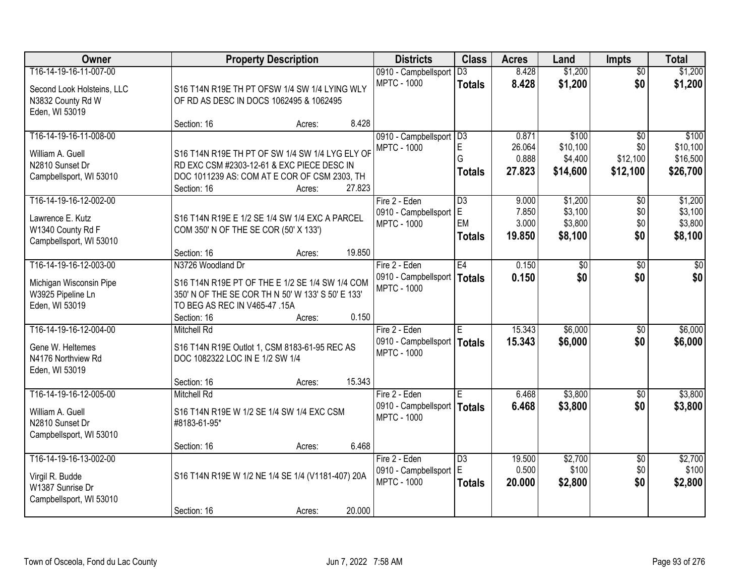| Owner                      |                                                   | <b>Property Description</b> |        | <b>Districts</b>              | <b>Class</b>    | <b>Acres</b> | Land     | <b>Impts</b>    | <b>Total</b> |
|----------------------------|---------------------------------------------------|-----------------------------|--------|-------------------------------|-----------------|--------------|----------|-----------------|--------------|
| T16-14-19-16-11-007-00     |                                                   |                             |        | 0910 - Campbellsport          | $\overline{D3}$ | 8.428        | \$1,200  | $\overline{50}$ | \$1,200      |
| Second Look Holsteins, LLC | S16 T14N R19E TH PT OFSW 1/4 SW 1/4 LYING WLY     |                             |        | <b>MPTC - 1000</b>            | <b>Totals</b>   | 8.428        | \$1,200  | \$0             | \$1,200      |
| N3832 County Rd W          | OF RD AS DESC IN DOCS 1062495 & 1062495           |                             |        |                               |                 |              |          |                 |              |
| Eden, WI 53019             |                                                   |                             |        |                               |                 |              |          |                 |              |
|                            | Section: 16                                       | Acres:                      | 8.428  |                               |                 |              |          |                 |              |
| T16-14-19-16-11-008-00     |                                                   |                             |        | 0910 - Campbellsport          | D3              | 0.871        | \$100    | $\overline{50}$ | \$100        |
| William A. Guell           | S16 T14N R19E TH PT OF SW 1/4 SW 1/4 LYG ELY OF   |                             |        | <b>MPTC - 1000</b>            | $\mathsf E$     | 26.064       | \$10,100 | \$0             | \$10,100     |
| N2810 Sunset Dr            | RD EXC CSM #2303-12-61 & EXC PIECE DESC IN        |                             |        |                               | G               | 0.888        | \$4,400  | \$12,100        | \$16,500     |
| Campbellsport, WI 53010    | DOC 1011239 AS: COM AT E COR OF CSM 2303, TH      |                             |        |                               | <b>Totals</b>   | 27.823       | \$14,600 | \$12,100        | \$26,700     |
|                            | Section: 16                                       | Acres:                      | 27.823 |                               |                 |              |          |                 |              |
| T16-14-19-16-12-002-00     |                                                   |                             |        | Fire 2 - Eden                 | D3              | 9.000        | \$1,200  | \$0             | \$1,200      |
| Lawrence E. Kutz           | S16 T14N R19E E 1/2 SE 1/4 SW 1/4 EXC A PARCEL    |                             |        | 0910 - Campbellsport          | IΕ              | 7.850        | \$3,100  | \$0             | \$3,100      |
| W1340 County Rd F          | COM 350' N OF THE SE COR (50' X 133')             |                             |        | <b>MPTC - 1000</b>            | EM              | 3.000        | \$3,800  | \$0             | \$3,800      |
| Campbellsport, WI 53010    |                                                   |                             |        |                               | Totals          | 19.850       | \$8,100  | \$0             | \$8,100      |
|                            | Section: 16                                       | Acres:                      | 19.850 |                               |                 |              |          |                 |              |
| T16-14-19-16-12-003-00     | N3726 Woodland Dr                                 |                             |        | Fire 2 - Eden                 | E4              | 0.150        | \$0      | $\sqrt[6]{}$    | $\sqrt{50}$  |
| Michigan Wisconsin Pipe    | S16 T14N R19E PT OF THE E 1/2 SE 1/4 SW 1/4 COM   |                             |        | 0910 - Campbellsport          | Totals          | 0.150        | \$0      | \$0             | \$0          |
| W3925 Pipeline Ln          | 350' N OF THE SE COR TH N 50' W 133' S 50' E 133' |                             |        | <b>MPTC - 1000</b>            |                 |              |          |                 |              |
| Eden, WI 53019             | TO BEG AS REC IN V465-47 .15A                     |                             |        |                               |                 |              |          |                 |              |
|                            | Section: 16                                       | Acres:                      | 0.150  |                               |                 |              |          |                 |              |
| T16-14-19-16-12-004-00     | <b>Mitchell Rd</b>                                |                             |        | Fire 2 - Eden                 | E               | 15.343       | \$6,000  | \$0             | \$6,000      |
| Gene W. Heltemes           | S16 T14N R19E Outlot 1, CSM 8183-61-95 REC AS     |                             |        | 0910 - Campbellsport   Totals |                 | 15.343       | \$6,000  | \$0             | \$6,000      |
| N4176 Northview Rd         | DOC 1082322 LOC IN E 1/2 SW 1/4                   |                             |        | <b>MPTC - 1000</b>            |                 |              |          |                 |              |
| Eden, WI 53019             |                                                   |                             |        |                               |                 |              |          |                 |              |
|                            | Section: 16                                       | Acres:                      | 15.343 |                               |                 |              |          |                 |              |
| T16-14-19-16-12-005-00     | <b>Mitchell Rd</b>                                |                             |        | Fire 2 - Eden                 | ΙE              | 6.468        | \$3,800  | $\overline{30}$ | \$3,800      |
| William A. Guell           | S16 T14N R19E W 1/2 SE 1/4 SW 1/4 EXC CSM         |                             |        | 0910 - Campbellsport   Totals |                 | 6.468        | \$3,800  | \$0             | \$3,800      |
| N2810 Sunset Dr            | #8183-61-95*                                      |                             |        | <b>MPTC - 1000</b>            |                 |              |          |                 |              |
| Campbellsport, WI 53010    |                                                   |                             |        |                               |                 |              |          |                 |              |
|                            | Section: 16                                       | Acres:                      | 6.468  |                               |                 |              |          |                 |              |
| T16-14-19-16-13-002-00     |                                                   |                             |        | Fire 2 - Eden                 | D3              | 19.500       | \$2,700  | $\overline{50}$ | \$2,700      |
| Virgil R. Budde            | S16 T14N R19E W 1/2 NE 1/4 SE 1/4 (V1181-407) 20A |                             |        | 0910 - Campbellsport          | E               | 0.500        | \$100    | \$0             | \$100        |
| W1387 Sunrise Dr           |                                                   |                             |        | <b>MPTC - 1000</b>            | <b>Totals</b>   | 20.000       | \$2,800  | \$0             | \$2,800      |
| Campbellsport, WI 53010    |                                                   |                             |        |                               |                 |              |          |                 |              |
|                            | Section: 16                                       | Acres:                      | 20.000 |                               |                 |              |          |                 |              |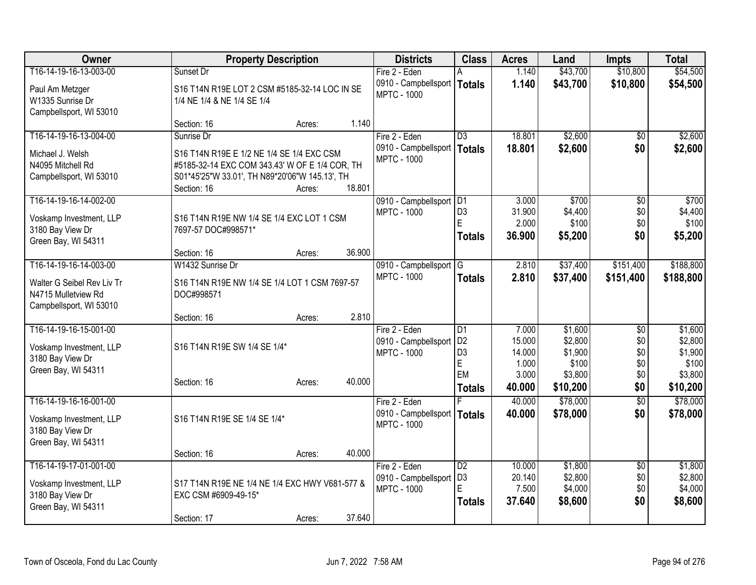| <b>Class</b><br>Owner<br><b>Property Description</b><br><b>Districts</b><br><b>Acres</b><br>Land<br><b>Impts</b>                                     | <b>Total</b>                   |
|------------------------------------------------------------------------------------------------------------------------------------------------------|--------------------------------|
| T16-14-19-16-13-003-00<br>1.140<br>\$43,700<br>Sunset Dr<br>Fire 2 - Eden                                                                            | \$10,800<br>\$54,500           |
| 1.140<br>\$43,700<br>0910 - Campbellsport   Totals<br>S16 T14N R19E LOT 2 CSM #5185-32-14 LOC IN SE<br>Paul Am Metzger                               | \$10,800<br>\$54,500           |
| <b>MPTC - 1000</b><br>W1335 Sunrise Dr<br>1/4 NE 1/4 & NE 1/4 SE 1/4                                                                                 |                                |
| Campbellsport, WI 53010                                                                                                                              |                                |
| 1.140<br>Section: 16<br>Acres:                                                                                                                       |                                |
| T16-14-19-16-13-004-00<br>18.801<br>\$2,600<br>Sunrise Dr<br>Fire 2 - Eden<br>$\overline{D3}$                                                        | \$2,600<br>$\sqrt{50}$         |
| \$2,600<br>0910 - Campbellsport<br>18.801<br>Totals<br>S16 T14N R19E E 1/2 NE 1/4 SE 1/4 EXC CSM<br>Michael J. Welsh                                 | \$0<br>\$2,600                 |
| <b>MPTC - 1000</b><br>N4095 Mitchell Rd<br>#5185-32-14 EXC COM 343.43' W OF E 1/4 COR, TH                                                            |                                |
| S01*45'25"W 33.01', TH N89*20'06"W 145.13', TH<br>Campbellsport, WI 53010                                                                            |                                |
| 18.801<br>Section: 16<br>Acres:                                                                                                                      |                                |
| T16-14-19-16-14-002-00<br>3.000<br>\$700<br>0910 - Campbellsport   D1                                                                                | \$700<br>\$0                   |
| D <sub>3</sub><br>31.900<br>\$4,400<br><b>MPTC - 1000</b><br>S16 T14N R19E NW 1/4 SE 1/4 EXC LOT 1 CSM<br>Voskamp Investment, LLP<br>E               | \$4,400<br>\$0                 |
| 2.000<br>\$100<br>3180 Bay View Dr<br>7697-57 DOC#998571*                                                                                            | \$100<br>\$0                   |
| 36.900<br>\$5,200<br><b>Totals</b><br>Green Bay, WI 54311                                                                                            | \$0<br>\$5,200                 |
| 36.900<br>Section: 16<br>Acres:                                                                                                                      |                                |
| T16-14-19-16-14-003-00<br>W1432 Sunrise Dr<br>2.810<br>\$37,400<br>0910 - Campbellsport G                                                            | \$188,800<br>\$151,400         |
| <b>MPTC - 1000</b><br>2.810<br>\$37,400<br>\$151,400<br><b>Totals</b><br>Walter G Seibel Rev Liv Tr<br>S16 T14N R19E NW 1/4 SE 1/4 LOT 1 CSM 7697-57 | \$188,800                      |
| N4715 Mulletview Rd<br>DOC#998571                                                                                                                    |                                |
| Campbellsport, WI 53010                                                                                                                              |                                |
| 2.810<br>Section: 16<br>Acres:                                                                                                                       |                                |
| T16-14-19-16-15-001-00<br>$\overline{D1}$<br>7.000<br>\$1,600<br>Fire 2 - Eden                                                                       | \$1,600<br>\$0                 |
| D <sub>2</sub><br>15.000<br>\$2,800<br>0910 - Campbellsport<br>S16 T14N R19E SW 1/4 SE 1/4*<br>Voskamp Investment, LLP                               | \$0<br>\$2,800                 |
| D <sub>3</sub><br>14.000<br>\$1,900<br><b>MPTC - 1000</b><br>3180 Bay View Dr<br>E<br>1.000<br>\$100                                                 | \$0<br>\$1,900<br>\$0<br>\$100 |
| Green Bay, WI 54311<br>EM<br>3.000<br>\$3,800                                                                                                        | \$0<br>\$3,800                 |
| 40.000<br>Section: 16<br>Acres:<br>\$10,200<br>40,000<br><b>Totals</b>                                                                               | \$0<br>\$10,200                |
| \$78,000<br>T16-14-19-16-16-001-00<br>40.000<br>Fire 2 - Eden                                                                                        | \$78,000<br>$\overline{50}$    |
| 0910 - Campbellsport   Totals<br>\$78,000<br>40.000                                                                                                  | \$0<br>\$78,000                |
| S16 T14N R19E SE 1/4 SE 1/4*<br>Voskamp Investment, LLP<br><b>MPTC - 1000</b>                                                                        |                                |
| 3180 Bay View Dr<br>Green Bay, WI 54311                                                                                                              |                                |
| 40.000<br>Section: 16<br>Acres:                                                                                                                      |                                |
| T16-14-19-17-01-001-00<br>Fire 2 - Eden<br>D2<br>10.000<br>\$1,800                                                                                   | \$1,800<br>\$0                 |
| \$2,800<br>D <sub>3</sub><br>20.140<br>0910 - Campbellsport                                                                                          | \$2,800<br>\$0                 |
| Voskamp Investment, LLP<br>S17 T14N R19E NE 1/4 NE 1/4 EXC HWY V681-577 &<br>7.500<br>\$4,000<br><b>MPTC - 1000</b>                                  | \$4,000<br>\$0                 |
| 3180 Bay View Dr<br>EXC CSM #6909-49-15*<br>37.640<br>\$8,600<br><b>Totals</b><br>Green Bay, WI 54311                                                | \$0<br>\$8,600                 |
| 37.640<br>Section: 17<br>Acres:                                                                                                                      |                                |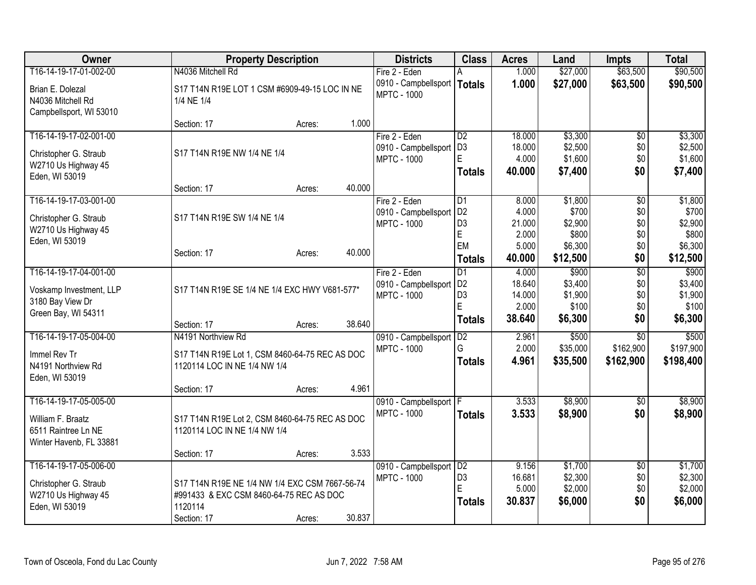| Owner                   | <b>Property Description</b>                    |        |        | <b>Districts</b>                           | <b>Class</b>                     | <b>Acres</b>     | Land               | <b>Impts</b>    | <b>Total</b>       |
|-------------------------|------------------------------------------------|--------|--------|--------------------------------------------|----------------------------------|------------------|--------------------|-----------------|--------------------|
| T16-14-19-17-01-002-00  | N4036 Mitchell Rd                              |        |        | Fire 2 - Eden                              | A                                | 1.000            | \$27,000           | \$63,500        | \$90,500           |
| Brian E. Dolezal        | S17 T14N R19E LOT 1 CSM #6909-49-15 LOC IN NE  |        |        | 0910 - Campbellsport<br><b>MPTC - 1000</b> | Totals                           | 1.000            | \$27,000           | \$63,500        | \$90,500           |
| N4036 Mitchell Rd       | 1/4 NE 1/4                                     |        |        |                                            |                                  |                  |                    |                 |                    |
| Campbellsport, WI 53010 |                                                |        |        |                                            |                                  |                  |                    |                 |                    |
|                         | Section: 17                                    | Acres: | 1.000  |                                            |                                  |                  |                    |                 |                    |
| T16-14-19-17-02-001-00  |                                                |        |        | Fire 2 - Eden                              | D2                               | 18.000           | \$3,300            | $\overline{50}$ | \$3,300            |
| Christopher G. Straub   | S17 T14N R19E NW 1/4 NE 1/4                    |        |        | 0910 - Campbellsport                       | D <sub>3</sub>                   | 18.000           | \$2,500            | \$0             | \$2,500            |
| W2710 Us Highway 45     |                                                |        |        | <b>MPTC - 1000</b>                         | E                                | 4.000            | \$1,600            | \$0             | \$1,600            |
| Eden, WI 53019          |                                                |        |        |                                            | <b>Totals</b>                    | 40.000           | \$7,400            | \$0             | \$7,400            |
|                         | Section: 17                                    | Acres: | 40.000 |                                            |                                  |                  |                    |                 |                    |
| T16-14-19-17-03-001-00  |                                                |        |        | Fire 2 - Eden                              | $\overline{D1}$                  | 8.000            | \$1,800            | $\overline{50}$ | \$1,800            |
| Christopher G. Straub   | S17 T14N R19E SW 1/4 NE 1/4                    |        |        | 0910 - Campbellsport                       | D <sub>2</sub>                   | 4.000            | \$700              | \$0             | \$700              |
| W2710 Us Highway 45     |                                                |        |        | <b>MPTC - 1000</b>                         | D <sub>3</sub>                   | 21.000           | \$2,900            | \$0             | \$2,900            |
| Eden, WI 53019          |                                                |        |        |                                            | E<br>EM                          | 2.000            | \$800              | \$0             | \$800              |
|                         | Section: 17                                    | Acres: | 40.000 |                                            |                                  | 5.000<br>40.000  | \$6,300            | \$0             | \$6,300            |
|                         |                                                |        |        |                                            | Totals                           |                  | \$12,500           | \$0             | \$12,500           |
| T16-14-19-17-04-001-00  |                                                |        |        | Fire 2 - Eden                              | D1                               | 4.000            | \$900              | $\overline{50}$ | \$900              |
| Voskamp Investment, LLP | S17 T14N R19E SE 1/4 NE 1/4 EXC HWY V681-577*  |        |        | 0910 - Campbellsport<br><b>MPTC - 1000</b> | D <sub>2</sub><br>D <sub>3</sub> | 18.640<br>14.000 | \$3,400<br>\$1,900 | \$0<br>\$0      | \$3,400<br>\$1,900 |
| 3180 Bay View Dr        |                                                |        |        |                                            | E                                | 2.000            | \$100              | \$0             | \$100              |
| Green Bay, WI 54311     |                                                |        |        |                                            | <b>Totals</b>                    | 38.640           | \$6,300            | \$0             | \$6,300            |
|                         | Section: 17                                    | Acres: | 38.640 |                                            |                                  |                  |                    |                 |                    |
| T16-14-19-17-05-004-00  | N4191 Northview Rd                             |        |        | 0910 - Campbellsport                       | D2                               | 2.961            | \$500              | $\overline{50}$ | \$500              |
| Immel Rev Tr            | S17 T14N R19E Lot 1, CSM 8460-64-75 REC AS DOC |        |        | <b>MPTC - 1000</b>                         | G                                | 2.000            | \$35,000           | \$162,900       | \$197,900          |
| N4191 Northview Rd      | 1120114 LOC IN NE 1/4 NW 1/4                   |        |        |                                            | <b>Totals</b>                    | 4.961            | \$35,500           | \$162,900       | \$198,400          |
| Eden, WI 53019          |                                                |        |        |                                            |                                  |                  |                    |                 |                    |
|                         | Section: 17                                    | Acres: | 4.961  |                                            |                                  |                  |                    |                 |                    |
| T16-14-19-17-05-005-00  |                                                |        |        | 0910 - Campbellsport   F                   |                                  | 3.533            | \$8,900            | $\sqrt[6]{}$    | \$8,900            |
| William F. Braatz       | S17 T14N R19E Lot 2, CSM 8460-64-75 REC AS DOC |        |        | <b>MPTC - 1000</b>                         | <b>Totals</b>                    | 3.533            | \$8,900            | \$0             | \$8,900            |
| 6511 Raintree Ln NE     | 1120114 LOC IN NE 1/4 NW 1/4                   |        |        |                                            |                                  |                  |                    |                 |                    |
| Winter Havenb, FL 33881 |                                                |        |        |                                            |                                  |                  |                    |                 |                    |
|                         | Section: 17                                    | Acres: | 3.533  |                                            |                                  |                  |                    |                 |                    |
| T16-14-19-17-05-006-00  |                                                |        |        | 0910 - Campbellsport                       | D2                               | 9.156            | \$1,700            | \$0             | \$1,700            |
| Christopher G. Straub   | S17 T14N R19E NE 1/4 NW 1/4 EXC CSM 7667-56-74 |        |        | <b>MPTC - 1000</b>                         | D <sub>3</sub>                   | 16.681           | \$2,300            | \$0             | \$2,300            |
| W2710 Us Highway 45     | #991433 & EXC CSM 8460-64-75 REC AS DOC        |        |        |                                            | E                                | 5.000            | \$2,000            | \$0             | \$2,000            |
| Eden, WI 53019          | 1120114                                        |        |        |                                            | Totals                           | 30.837           | \$6,000            | \$0             | \$6,000            |
|                         | Section: 17                                    | Acres: | 30.837 |                                            |                                  |                  |                    |                 |                    |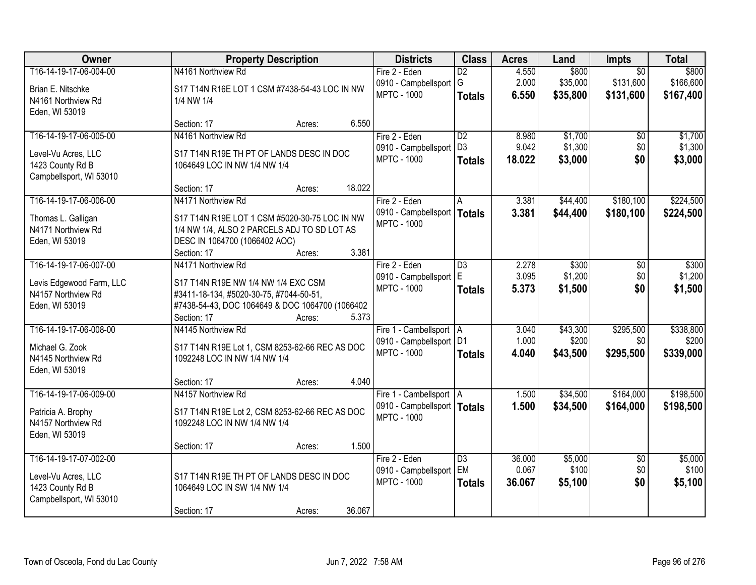| Owner                                 | <b>Property Description</b>                                                    | <b>Districts</b>              | <b>Class</b>    | <b>Acres</b> | Land     | <b>Impts</b>    | <b>Total</b> |
|---------------------------------------|--------------------------------------------------------------------------------|-------------------------------|-----------------|--------------|----------|-----------------|--------------|
| T16-14-19-17-06-004-00                | N4161 Northview Rd                                                             | Fire 2 - Eden                 | $\overline{D2}$ | 4.550        | \$800    | $\overline{30}$ | \$800        |
| Brian E. Nitschke                     | S17 T14N R16E LOT 1 CSM #7438-54-43 LOC IN NW                                  | 0910 - Campbellsport          | G               | 2.000        | \$35,000 | \$131,600       | \$166,600    |
| N4161 Northview Rd                    | 1/4 NW 1/4                                                                     | <b>MPTC - 1000</b>            | <b>Totals</b>   | 6.550        | \$35,800 | \$131,600       | \$167,400    |
| Eden, WI 53019                        |                                                                                |                               |                 |              |          |                 |              |
|                                       | 6.550<br>Section: 17<br>Acres:                                                 |                               |                 |              |          |                 |              |
| T16-14-19-17-06-005-00                | N4161 Northview Rd                                                             | Fire 2 - Eden                 | $\overline{D2}$ | 8.980        | \$1,700  | \$0             | \$1,700      |
| Level-Vu Acres, LLC                   | S17 T14N R19E TH PT OF LANDS DESC IN DOC                                       | 0910 - Campbellsport          | D <sub>3</sub>  | 9.042        | \$1,300  | \$0             | \$1,300      |
| 1423 County Rd B                      | 1064649 LOC IN NW 1/4 NW 1/4                                                   | <b>MPTC - 1000</b>            | <b>Totals</b>   | 18.022       | \$3,000  | \$0             | \$3,000      |
| Campbellsport, WI 53010               |                                                                                |                               |                 |              |          |                 |              |
|                                       | 18.022<br>Section: 17<br>Acres:                                                |                               |                 |              |          |                 |              |
| T16-14-19-17-06-006-00                | N4171 Northview Rd                                                             | Fire 2 - Eden                 | A               | 3.381        | \$44,400 | \$180,100       | \$224,500    |
| Thomas L. Galligan                    | S17 T14N R19E LOT 1 CSM #5020-30-75 LOC IN NW                                  | 0910 - Campbellsport   Totals |                 | 3.381        | \$44,400 | \$180,100       | \$224,500    |
| N4171 Northview Rd                    | 1/4 NW 1/4, ALSO 2 PARCELS ADJ TO SD LOT AS                                    | <b>MPTC - 1000</b>            |                 |              |          |                 |              |
| Eden, WI 53019                        | DESC IN 1064700 (1066402 AOC)                                                  |                               |                 |              |          |                 |              |
|                                       | 3.381<br>Section: 17<br>Acres:                                                 |                               |                 |              |          |                 |              |
| T16-14-19-17-06-007-00                | N4171 Northview Rd                                                             | Fire 2 - Eden                 | $\overline{D3}$ | 2.278        | \$300    | \$0             | \$300        |
| Levis Edgewood Farm, LLC              | S17 T14N R19E NW 1/4 NW 1/4 EXC CSM                                            | 0910 - Campbellsport          | E               | 3.095        | \$1,200  | \$0             | \$1,200      |
| N4157 Northview Rd                    | #3411-18-134, #5020-30-75, #7044-50-51,                                        | <b>MPTC - 1000</b>            | <b>Totals</b>   | 5.373        | \$1,500  | \$0             | \$1,500      |
| Eden, WI 53019                        | #7438-54-43, DOC 1064649 & DOC 1064700 (1066402                                |                               |                 |              |          |                 |              |
|                                       | 5.373<br>Section: 17<br>Acres:                                                 |                               |                 |              |          |                 |              |
| T16-14-19-17-06-008-00                | N4145 Northview Rd                                                             | Fire 1 - Cambellsport   A     |                 | 3.040        | \$43,300 | \$295,500       | \$338,800    |
|                                       |                                                                                | 0910 - Campbellsport   D1     |                 | 1.000        | \$200    | \$0             | \$200        |
| Michael G. Zook<br>N4145 Northview Rd | S17 T14N R19E Lot 1, CSM 8253-62-66 REC AS DOC<br>1092248 LOC IN NW 1/4 NW 1/4 | <b>MPTC - 1000</b>            | <b>Totals</b>   | 4.040        | \$43,500 | \$295,500       | \$339,000    |
| Eden, WI 53019                        |                                                                                |                               |                 |              |          |                 |              |
|                                       | 4.040<br>Section: 17<br>Acres:                                                 |                               |                 |              |          |                 |              |
| T16-14-19-17-06-009-00                | N4157 Northview Rd                                                             | Fire 1 - Cambellsport   A     |                 | 1.500        | \$34,500 | \$164,000       | \$198,500    |
| Patricia A. Brophy                    | S17 T14N R19E Lot 2, CSM 8253-62-66 REC AS DOC                                 | 0910 - Campbellsport   Totals |                 | 1.500        | \$34,500 | \$164,000       | \$198,500    |
| N4157 Northview Rd                    | 1092248 LOC IN NW 1/4 NW 1/4                                                   | <b>MPTC - 1000</b>            |                 |              |          |                 |              |
| Eden, WI 53019                        |                                                                                |                               |                 |              |          |                 |              |
|                                       | 1.500<br>Section: 17<br>Acres:                                                 |                               |                 |              |          |                 |              |
| T16-14-19-17-07-002-00                |                                                                                | Fire 2 - Eden                 | $\overline{D3}$ | 36.000       | \$5,000  | $\overline{50}$ | \$5,000      |
| Level-Vu Acres, LLC                   | S17 T14N R19E TH PT OF LANDS DESC IN DOC                                       | 0910 - Campbellsport          | EM              | 0.067        | \$100    | \$0             | \$100        |
| 1423 County Rd B                      | 1064649 LOC IN SW 1/4 NW 1/4                                                   | <b>MPTC - 1000</b>            | <b>Totals</b>   | 36.067       | \$5,100  | \$0             | \$5,100      |
| Campbellsport, WI 53010               |                                                                                |                               |                 |              |          |                 |              |
|                                       | 36.067<br>Section: 17<br>Acres:                                                |                               |                 |              |          |                 |              |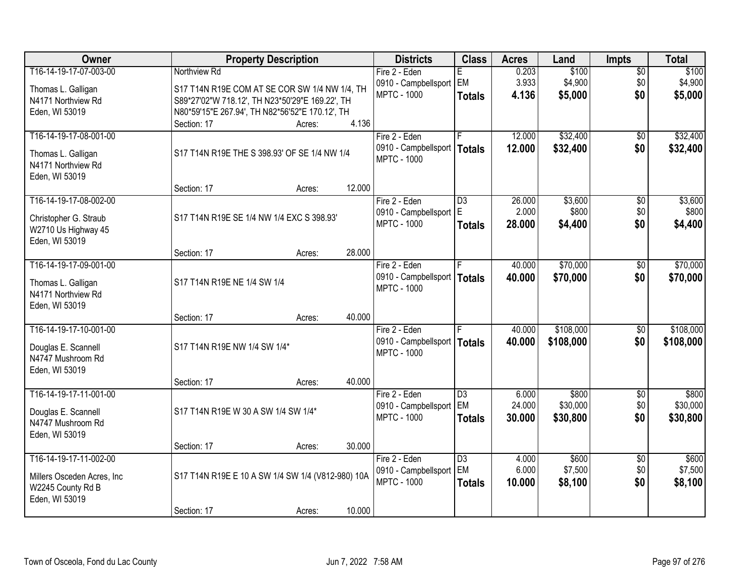| Owner                       |                                                   | <b>Property Description</b> |        | <b>Districts</b>              | <b>Class</b>    | <b>Acres</b> | Land      | <b>Impts</b>    | <b>Total</b> |
|-----------------------------|---------------------------------------------------|-----------------------------|--------|-------------------------------|-----------------|--------------|-----------|-----------------|--------------|
| T16-14-19-17-07-003-00      | Northview Rd                                      |                             |        | Fire 2 - Eden                 | F.              | 0.203        | \$100     | $\overline{60}$ | \$100        |
| Thomas L. Galligan          | S17 T14N R19E COM AT SE COR SW 1/4 NW 1/4, TH     |                             |        | 0910 - Campbellsport EM       |                 | 3.933        | \$4,900   | \$0             | \$4,900      |
| N4171 Northview Rd          | S89*27'02"W 718.12', TH N23*50'29"E 169.22', TH   |                             |        | <b>MPTC - 1000</b>            | <b>Totals</b>   | 4.136        | \$5,000   | \$0             | \$5,000      |
| Eden, WI 53019              | N80*59'15"E 267.94', TH N82*56'52"E 170.12', TH   |                             |        |                               |                 |              |           |                 |              |
|                             | Section: 17                                       | Acres:                      | 4.136  |                               |                 |              |           |                 |              |
| T16-14-19-17-08-001-00      |                                                   |                             |        | Fire 2 - Eden                 |                 | 12.000       | \$32,400  | $\overline{50}$ | \$32,400     |
| Thomas L. Galligan          | S17 T14N R19E THE S 398.93' OF SE 1/4 NW 1/4      |                             |        | 0910 - Campbellsport   Totals |                 | 12.000       | \$32,400  | \$0             | \$32,400     |
| N4171 Northview Rd          |                                                   |                             |        | <b>MPTC - 1000</b>            |                 |              |           |                 |              |
| Eden, WI 53019              |                                                   |                             |        |                               |                 |              |           |                 |              |
|                             | Section: 17                                       | Acres:                      | 12.000 |                               |                 |              |           |                 |              |
| T16-14-19-17-08-002-00      |                                                   |                             |        | Fire 2 - Eden                 | $\overline{D3}$ | 26.000       | \$3,600   | $\sqrt{6}$      | \$3,600      |
| Christopher G. Straub       | S17 T14N R19E SE 1/4 NW 1/4 EXC S 398.93'         |                             |        | 0910 - Campbellsport   E      |                 | 2.000        | \$800     | \$0             | \$800        |
| W2710 Us Highway 45         |                                                   |                             |        | <b>MPTC - 1000</b>            | <b>Totals</b>   | 28.000       | \$4,400   | \$0             | \$4,400      |
| Eden, WI 53019              |                                                   |                             |        |                               |                 |              |           |                 |              |
|                             | Section: 17                                       | Acres:                      | 28.000 |                               |                 |              |           |                 |              |
| T16-14-19-17-09-001-00      |                                                   |                             |        | Fire 2 - Eden                 |                 | 40.000       | \$70,000  | \$0             | \$70,000     |
| Thomas L. Galligan          | S17 T14N R19E NE 1/4 SW 1/4                       |                             |        | 0910 - Campbellsport   Totals |                 | 40.000       | \$70,000  | \$0             | \$70,000     |
| N4171 Northview Rd          |                                                   |                             |        | <b>MPTC - 1000</b>            |                 |              |           |                 |              |
| Eden, WI 53019              |                                                   |                             |        |                               |                 |              |           |                 |              |
|                             | Section: 17                                       | Acres:                      | 40.000 |                               |                 |              |           |                 |              |
| T16-14-19-17-10-001-00      |                                                   |                             |        | Fire 2 - Eden                 |                 | 40.000       | \$108,000 | \$0             | \$108,000    |
| Douglas E. Scannell         | S17 T14N R19E NW 1/4 SW 1/4*                      |                             |        | 0910 - Campbellsport   Totals |                 | 40.000       | \$108,000 | \$0             | \$108,000    |
| N4747 Mushroom Rd           |                                                   |                             |        | <b>MPTC - 1000</b>            |                 |              |           |                 |              |
| Eden, WI 53019              |                                                   |                             |        |                               |                 |              |           |                 |              |
|                             | Section: 17                                       | Acres:                      | 40.000 |                               |                 |              |           |                 |              |
| T16-14-19-17-11-001-00      |                                                   |                             |        | Fire 2 - Eden                 | $\overline{D3}$ | 6.000        | \$800     | $\overline{60}$ | \$800        |
| Douglas E. Scannell         | S17 T14N R19E W 30 A SW 1/4 SW 1/4*               |                             |        | 0910 - Campbellsport EM       |                 | 24.000       | \$30,000  | \$0             | \$30,000     |
| N4747 Mushroom Rd           |                                                   |                             |        | <b>MPTC - 1000</b>            | <b>Totals</b>   | 30.000       | \$30,800  | \$0             | \$30,800     |
| Eden, WI 53019              |                                                   |                             |        |                               |                 |              |           |                 |              |
|                             | Section: 17                                       | Acres:                      | 30.000 |                               |                 |              |           |                 |              |
| T16-14-19-17-11-002-00      |                                                   |                             |        | Fire 2 - Eden                 | $\overline{D3}$ | 4.000        | \$600     | $\overline{30}$ | \$600        |
| Millers Osceden Acres, Inc. | S17 T14N R19E E 10 A SW 1/4 SW 1/4 (V812-980) 10A |                             |        | 0910 - Campbellsport   EM     |                 | 6.000        | \$7,500   | \$0             | \$7,500      |
| W2245 County Rd B           |                                                   |                             |        | <b>MPTC - 1000</b>            | <b>Totals</b>   | 10.000       | \$8,100   | \$0             | \$8,100      |
| Eden, WI 53019              |                                                   |                             |        |                               |                 |              |           |                 |              |
|                             | Section: 17                                       | Acres:                      | 10.000 |                               |                 |              |           |                 |              |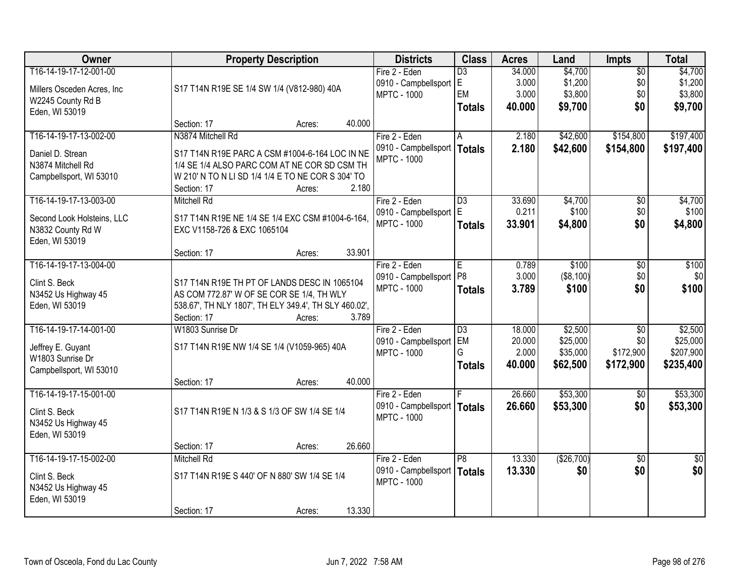| Owner                                 | <b>Property Description</b>                                                     |        | <b>Districts</b>              | <b>Class</b>    | <b>Acres</b> | Land       | <b>Impts</b>    | <b>Total</b>    |
|---------------------------------------|---------------------------------------------------------------------------------|--------|-------------------------------|-----------------|--------------|------------|-----------------|-----------------|
| T16-14-19-17-12-001-00                |                                                                                 |        | Fire 2 - Eden                 | $\overline{D3}$ | 34.000       | \$4,700    | $\overline{50}$ | \$4,700         |
| Millers Osceden Acres, Inc.           | S17 T14N R19E SE 1/4 SW 1/4 (V812-980) 40A                                      |        | 0910 - Campbellsport          | IE.             | 3.000        | \$1,200    | \$0             | \$1,200         |
| W2245 County Rd B                     |                                                                                 |        | <b>MPTC - 1000</b>            | EM              | 3.000        | \$3,800    | \$0             | \$3,800         |
| Eden, WI 53019                        |                                                                                 |        |                               | <b>Totals</b>   | 40.000       | \$9,700    | \$0             | \$9,700         |
|                                       | Section: 17<br>Acres:                                                           | 40.000 |                               |                 |              |            |                 |                 |
| T16-14-19-17-13-002-00                | N3874 Mitchell Rd                                                               |        | Fire 2 - Eden                 | A               | 2.180        | \$42,600   | \$154,800       | \$197,400       |
| Daniel D. Strean                      | S17 T14N R19E PARC A CSM #1004-6-164 LOC IN NE                                  |        | 0910 - Campbellsport          | Totals          | 2.180        | \$42,600   | \$154,800       | \$197,400       |
| N3874 Mitchell Rd                     | 1/4 SE 1/4 ALSO PARC COM AT NE COR SD CSM TH                                    |        | <b>MPTC - 1000</b>            |                 |              |            |                 |                 |
| Campbellsport, WI 53010               | W 210' N TO N LI SD 1/4 1/4 E TO NE COR S 304' TO                               |        |                               |                 |              |            |                 |                 |
|                                       | Section: 17<br>Acres:                                                           | 2.180  |                               |                 |              |            |                 |                 |
| T16-14-19-17-13-003-00                | <b>Mitchell Rd</b>                                                              |        | Fire 2 - Eden                 | $\overline{D3}$ | 33.690       | \$4,700    | $\overline{50}$ | \$4,700         |
|                                       |                                                                                 |        | 0910 - Campbellsport          | E               | 0.211        | \$100      | \$0             | \$100           |
| Second Look Holsteins, LLC            | S17 T14N R19E NE 1/4 SE 1/4 EXC CSM #1004-6-164,<br>EXC V1158-726 & EXC 1065104 |        | <b>MPTC - 1000</b>            | <b>Totals</b>   | 33,901       | \$4,800    | \$0             | \$4,800         |
| N3832 County Rd W<br>Eden, WI 53019   |                                                                                 |        |                               |                 |              |            |                 |                 |
|                                       | Section: 17<br>Acres:                                                           | 33.901 |                               |                 |              |            |                 |                 |
| T16-14-19-17-13-004-00                |                                                                                 |        | Fire 2 - Eden                 | E               | 0.789        | \$100      | \$0             | \$100           |
|                                       |                                                                                 |        | 0910 - Campbellsport          | P <sub>8</sub>  | 3.000        | ( \$8,100) | \$0             | \$0             |
| Clint S. Beck                         | S17 T14N R19E TH PT OF LANDS DESC IN 1065104                                    |        | <b>MPTC - 1000</b>            | <b>Totals</b>   | 3.789        | \$100      | \$0             | \$100           |
| N3452 Us Highway 45                   | AS COM 772.87' W OF SE COR SE 1/4, TH WLY                                       |        |                               |                 |              |            |                 |                 |
| Eden, WI 53019                        | 538.67', TH NLY 1807', TH ELY 349.4', TH SLY 460.02',                           |        |                               |                 |              |            |                 |                 |
|                                       | Section: 17<br>Acres:                                                           | 3.789  |                               |                 |              |            |                 |                 |
| T16-14-19-17-14-001-00                | W1803 Sunrise Dr                                                                |        | Fire 2 - Eden                 | $\overline{D3}$ | 18.000       | \$2,500    | $\overline{50}$ | \$2,500         |
| Jeffrey E. Guyant                     | S17 T14N R19E NW 1/4 SE 1/4 (V1059-965) 40A                                     |        | 0910 - Campbellsport          | EM              | 20.000       | \$25,000   | \$0             | \$25,000        |
| W1803 Sunrise Dr                      |                                                                                 |        | <b>MPTC - 1000</b>            | G               | 2.000        | \$35,000   | \$172,900       | \$207,900       |
| Campbellsport, WI 53010               |                                                                                 |        |                               | <b>Totals</b>   | 40.000       | \$62,500   | \$172,900       | \$235,400       |
|                                       | Section: 17<br>Acres:                                                           | 40.000 |                               |                 |              |            |                 |                 |
| T16-14-19-17-15-001-00                |                                                                                 |        | Fire 2 - Eden                 |                 | 26.660       | \$53,300   | $\overline{50}$ | \$53,300        |
| Clint S. Beck                         | S17 T14N R19E N 1/3 & S 1/3 OF SW 1/4 SE 1/4                                    |        | 0910 - Campbellsport   Totals |                 | 26.660       | \$53,300   | \$0             | \$53,300        |
| N3452 Us Highway 45                   |                                                                                 |        | <b>MPTC - 1000</b>            |                 |              |            |                 |                 |
| Eden, WI 53019                        |                                                                                 |        |                               |                 |              |            |                 |                 |
|                                       | Section: 17<br>Acres:                                                           | 26.660 |                               |                 |              |            |                 |                 |
| T16-14-19-17-15-002-00                | <b>Mitchell Rd</b>                                                              |        | Fire 2 - Eden                 | $\overline{P8}$ | 13.330       | (\$26,700) | $\overline{50}$ | $\overline{50}$ |
|                                       |                                                                                 |        | 0910 - Campbellsport          | Totals          | 13.330       | \$0        | \$0             | \$0             |
| Clint S. Beck                         | S17 T14N R19E S 440' OF N 880' SW 1/4 SE 1/4                                    |        | <b>MPTC - 1000</b>            |                 |              |            |                 |                 |
| N3452 Us Highway 45<br>Eden, WI 53019 |                                                                                 |        |                               |                 |              |            |                 |                 |
|                                       | Section: 17<br>Acres:                                                           | 13.330 |                               |                 |              |            |                 |                 |
|                                       |                                                                                 |        |                               |                 |              |            |                 |                 |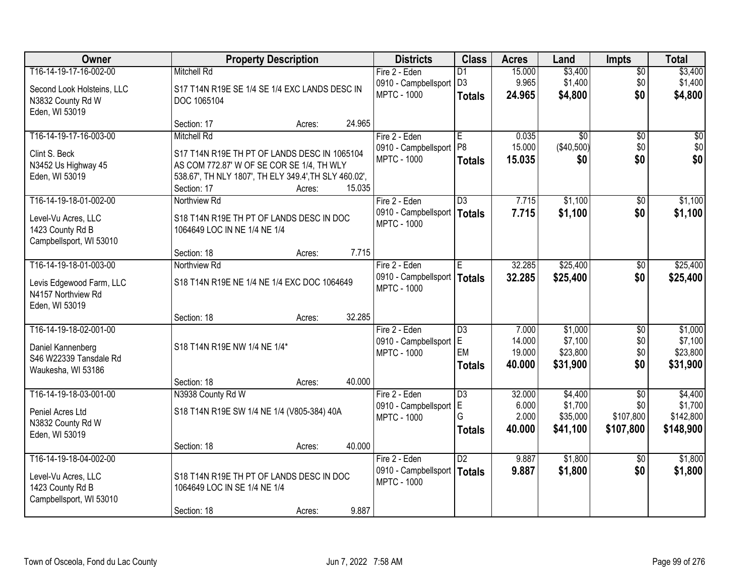| Owner                      |                                                       | <b>Property Description</b> |        |                                            | <b>Class</b>    | <b>Acres</b>     | Land                 | <b>Impts</b>     | <b>Total</b>         |
|----------------------------|-------------------------------------------------------|-----------------------------|--------|--------------------------------------------|-----------------|------------------|----------------------|------------------|----------------------|
| T16-14-19-17-16-002-00     | <b>Mitchell Rd</b>                                    |                             |        | Fire 2 - Eden                              | D <sub>1</sub>  | 15.000           | \$3,400              | $\sqrt{$0}$      | \$3,400              |
| Second Look Holsteins, LLC | S17 T14N R19E SE 1/4 SE 1/4 EXC LANDS DESC IN         |                             |        | 0910 - Campbellsport                       | D <sub>3</sub>  | 9.965            | \$1,400              | \$0              | \$1,400              |
| N3832 County Rd W          | DOC 1065104                                           |                             |        | <b>MPTC - 1000</b>                         | <b>Totals</b>   | 24.965           | \$4,800              | \$0              | \$4,800              |
| Eden, WI 53019             |                                                       |                             |        |                                            |                 |                  |                      |                  |                      |
|                            | Section: 17                                           | Acres:                      | 24.965 |                                            |                 |                  |                      |                  |                      |
| T16-14-19-17-16-003-00     | <b>Mitchell Rd</b>                                    |                             |        | Fire 2 - Eden                              | E               | 0.035            | $\overline{30}$      | $\overline{50}$  | \$0                  |
| Clint S. Beck              | S17 T14N R19E TH PT OF LANDS DESC IN 1065104          |                             |        | 0910 - Campbellsport                       | P <sub>8</sub>  | 15.000           | (\$40,500)           | \$0              | \$0                  |
| N3452 Us Highway 45        | AS COM 772.87' W OF SE COR SE 1/4, TH WLY             |                             |        | <b>MPTC - 1000</b>                         | <b>Totals</b>   | 15.035           | \$0                  | \$0              | \$0                  |
| Eden, WI 53019             | 538.67', TH NLY 1807', TH ELY 349.4', TH SLY 460.02', |                             |        |                                            |                 |                  |                      |                  |                      |
|                            | Section: 17                                           | Acres:                      | 15.035 |                                            |                 |                  |                      |                  |                      |
| T16-14-19-18-01-002-00     | Northview Rd                                          |                             |        | Fire 2 - Eden                              | $\overline{D3}$ | 7.715            | \$1,100              | \$0              | \$1,100              |
| Level-Vu Acres, LLC        | S18 T14N R19E TH PT OF LANDS DESC IN DOC              |                             |        | 0910 - Campbellsport   Totals              |                 | 7.715            | \$1,100              | \$0              | \$1,100              |
| 1423 County Rd B           | 1064649 LOC IN NE 1/4 NE 1/4                          |                             |        | <b>MPTC - 1000</b>                         |                 |                  |                      |                  |                      |
| Campbellsport, WI 53010    |                                                       |                             |        |                                            |                 |                  |                      |                  |                      |
|                            | Section: 18                                           | Acres:                      | 7.715  |                                            |                 |                  |                      |                  |                      |
| T16-14-19-18-01-003-00     | Northview Rd                                          |                             |        | Fire 2 - Eden                              | E               | 32.285           | \$25,400             | $\sqrt[6]{3}$    | \$25,400             |
| Levis Edgewood Farm, LLC   | S18 T14N R19E NE 1/4 NE 1/4 EXC DOC 1064649           |                             |        | 0910 - Campbellsport                       | Totals          | 32.285           | \$25,400             | \$0              | \$25,400             |
| N4157 Northview Rd         |                                                       |                             |        | <b>MPTC - 1000</b>                         |                 |                  |                      |                  |                      |
| Eden, WI 53019             |                                                       |                             |        |                                            |                 |                  |                      |                  |                      |
|                            | Section: 18                                           | Acres:                      | 32.285 |                                            |                 |                  |                      |                  |                      |
| T16-14-19-18-02-001-00     |                                                       |                             |        | Fire 2 - Eden                              | $\overline{D3}$ | 7.000            | \$1,000              | $\overline{50}$  | \$1,000              |
| Daniel Kannenberg          | S18 T14N R19E NW 1/4 NE 1/4*                          |                             |        | 0910 - Campbellsport                       | E<br>EM         | 14.000           | \$7,100              | \$0              | \$7,100              |
| S46 W22339 Tansdale Rd     |                                                       |                             |        | <b>MPTC - 1000</b>                         | <b>Totals</b>   | 19.000<br>40.000 | \$23,800<br>\$31,900 | \$0<br>\$0       | \$23,800<br>\$31,900 |
| Waukesha, WI 53186         |                                                       |                             |        |                                            |                 |                  |                      |                  |                      |
|                            | Section: 18                                           | Acres:                      | 40.000 |                                            |                 |                  |                      |                  |                      |
| T16-14-19-18-03-001-00     | N3938 County Rd W                                     |                             |        | Fire 2 - Eden                              | $\overline{D3}$ | 32,000           | \$4,400              | $\overline{50}$  | \$4,400              |
| Peniel Acres Ltd           | S18 T14N R19E SW 1/4 NE 1/4 (V805-384) 40A            |                             |        | 0910 - Campbellsport<br><b>MPTC - 1000</b> | IΕ<br>G         | 6.000<br>2.000   | \$1,700<br>\$35,000  | \$0<br>\$107,800 | \$1,700<br>\$142,800 |
| N3832 County Rd W          |                                                       |                             |        |                                            | <b>Totals</b>   | 40,000           | \$41,100             | \$107,800        | \$148,900            |
| Eden, WI 53019             |                                                       |                             |        |                                            |                 |                  |                      |                  |                      |
|                            | Section: 18                                           | Acres:                      | 40.000 |                                            |                 |                  |                      |                  |                      |
| T16-14-19-18-04-002-00     |                                                       |                             |        | Fire 2 - Eden                              | D2              | 9.887            | \$1,800              | $\overline{30}$  | \$1,800              |
| Level-Vu Acres, LLC        | S18 T14N R19E TH PT OF LANDS DESC IN DOC              |                             |        | 0910 - Campbellsport<br><b>MPTC - 1000</b> | Totals          | 9.887            | \$1,800              | \$0              | \$1,800              |
| 1423 County Rd B           | 1064649 LOC IN SE 1/4 NE 1/4                          |                             |        |                                            |                 |                  |                      |                  |                      |
| Campbellsport, WI 53010    |                                                       |                             |        |                                            |                 |                  |                      |                  |                      |
|                            | Section: 18                                           | Acres:                      | 9.887  |                                            |                 |                  |                      |                  |                      |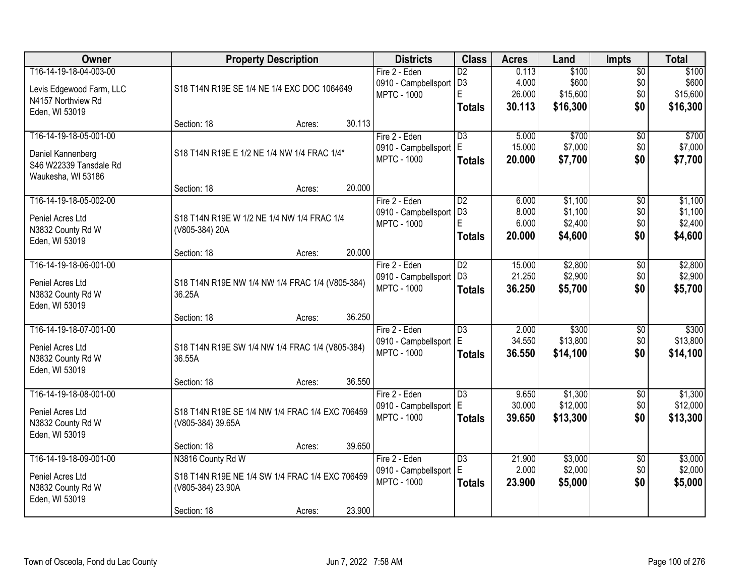| Owner                    | <b>Property Description</b>                     | <b>Districts</b>       | <b>Class</b>    | <b>Acres</b> | Land     | <b>Impts</b>    | <b>Total</b> |
|--------------------------|-------------------------------------------------|------------------------|-----------------|--------------|----------|-----------------|--------------|
| T16-14-19-18-04-003-00   |                                                 | Fire 2 - Eden          | $\overline{D2}$ | 0.113        | \$100    | $\overline{50}$ | \$100        |
| Levis Edgewood Farm, LLC | S18 T14N R19E SE 1/4 NE 1/4 EXC DOC 1064649     | 0910 - Campbellsport   | D <sub>3</sub>  | 4.000        | \$600    | \$0             | \$600        |
| N4157 Northview Rd       |                                                 | <b>MPTC - 1000</b>     | E               | 26.000       | \$15,600 | \$0             | \$15,600     |
| Eden, WI 53019           |                                                 |                        | <b>Totals</b>   | 30.113       | \$16,300 | \$0             | \$16,300     |
|                          | 30.113<br>Section: 18<br>Acres:                 |                        |                 |              |          |                 |              |
| T16-14-19-18-05-001-00   |                                                 | Fire 2 - Eden          | $\overline{D3}$ | 5.000        | \$700    | $\overline{50}$ | \$700        |
| Daniel Kannenberg        | S18 T14N R19E E 1/2 NE 1/4 NW 1/4 FRAC 1/4*     | 0910 - Campbellsport   | E               | 15.000       | \$7,000  | \$0             | \$7,000      |
| S46 W22339 Tansdale Rd   |                                                 | <b>MPTC - 1000</b>     | <b>Totals</b>   | 20.000       | \$7,700  | \$0             | \$7,700      |
| Waukesha, WI 53186       |                                                 |                        |                 |              |          |                 |              |
|                          | 20.000<br>Section: 18<br>Acres:                 |                        |                 |              |          |                 |              |
| T16-14-19-18-05-002-00   |                                                 | Fire 2 - Eden          | $\overline{D2}$ | 6.000        | \$1,100  | \$0             | \$1,100      |
| Peniel Acres Ltd         | S18 T14N R19E W 1/2 NE 1/4 NW 1/4 FRAC 1/4      | 0910 - Campbellsport   | D <sub>3</sub>  | 8.000        | \$1,100  | \$0             | \$1,100      |
| N3832 County Rd W        | (V805-384) 20A                                  | <b>MPTC - 1000</b>     | E               | 6.000        | \$2,400  | \$0             | \$2,400      |
| Eden, WI 53019           |                                                 |                        | <b>Totals</b>   | 20.000       | \$4,600  | \$0             | \$4,600      |
|                          | 20.000<br>Section: 18<br>Acres:                 |                        |                 |              |          |                 |              |
| T16-14-19-18-06-001-00   |                                                 | Fire 2 - Eden          | $\overline{D2}$ | 15.000       | \$2,800  | \$0             | \$2,800      |
| Peniel Acres Ltd         | S18 T14N R19E NW 1/4 NW 1/4 FRAC 1/4 (V805-384) | 0910 - Campbellsport   | D <sub>3</sub>  | 21.250       | \$2,900  | \$0             | \$2,900      |
| N3832 County Rd W        | 36.25A                                          | <b>MPTC - 1000</b>     | <b>Totals</b>   | 36.250       | \$5,700  | \$0             | \$5,700      |
| Eden, WI 53019           |                                                 |                        |                 |              |          |                 |              |
|                          | 36.250<br>Section: 18<br>Acres:                 |                        |                 |              |          |                 |              |
| T16-14-19-18-07-001-00   |                                                 | Fire 2 - Eden          | $\overline{D3}$ | 2.000        | \$300    | $\overline{30}$ | \$300        |
| Peniel Acres Ltd         | S18 T14N R19E SW 1/4 NW 1/4 FRAC 1/4 (V805-384) | 0910 - Campbellsport   | l E             | 34.550       | \$13,800 | \$0             | \$13,800     |
| N3832 County Rd W        | 36.55A                                          | <b>MPTC - 1000</b>     | <b>Totals</b>   | 36.550       | \$14,100 | \$0             | \$14,100     |
| Eden, WI 53019           |                                                 |                        |                 |              |          |                 |              |
|                          | 36.550<br>Section: 18<br>Acres:                 |                        |                 |              |          |                 |              |
| T16-14-19-18-08-001-00   |                                                 | Fire 2 - Eden          | $\overline{D3}$ | 9.650        | \$1,300  | $\sqrt{$0}$     | \$1,300      |
| Peniel Acres Ltd         | S18 T14N R19E SE 1/4 NW 1/4 FRAC 1/4 EXC 706459 | 0910 - Campbellsport E |                 | 30.000       | \$12,000 | \$0             | \$12,000     |
| N3832 County Rd W        | (V805-384) 39.65A                               | <b>MPTC - 1000</b>     | <b>Totals</b>   | 39.650       | \$13,300 | \$0             | \$13,300     |
| Eden, WI 53019           |                                                 |                        |                 |              |          |                 |              |
|                          | 39.650<br>Section: 18<br>Acres:                 |                        |                 |              |          |                 |              |
| T16-14-19-18-09-001-00   | N3816 County Rd W                               | Fire 2 - Eden          | $\overline{D3}$ | 21.900       | \$3,000  | $\overline{60}$ | \$3,000      |
| Peniel Acres Ltd         | S18 T14N R19E NE 1/4 SW 1/4 FRAC 1/4 EXC 706459 | 0910 - Campbellsport E |                 | 2.000        | \$2,000  | \$0             | \$2,000      |
| N3832 County Rd W        | (V805-384) 23.90A                               | <b>MPTC - 1000</b>     | <b>Totals</b>   | 23.900       | \$5,000  | \$0             | \$5,000      |
| Eden, WI 53019           |                                                 |                        |                 |              |          |                 |              |
|                          | 23.900<br>Section: 18<br>Acres:                 |                        |                 |              |          |                 |              |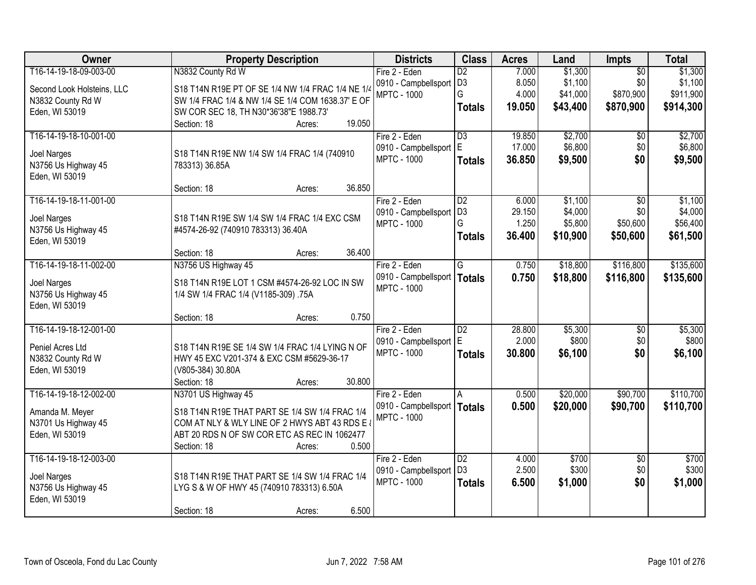| <b>Owner</b>               | <b>Property Description</b>                       | <b>Districts</b>     | <b>Class</b>    | <b>Acres</b> | Land     | <b>Impts</b>    | <b>Total</b> |
|----------------------------|---------------------------------------------------|----------------------|-----------------|--------------|----------|-----------------|--------------|
| T16-14-19-18-09-003-00     | N3832 County Rd W                                 | Fire 2 - Eden        | $\overline{D2}$ | 7.000        | \$1,300  | $\overline{50}$ | \$1,300      |
| Second Look Holsteins, LLC | S18 T14N R19E PT OF SE 1/4 NW 1/4 FRAC 1/4 NE 1/4 | 0910 - Campbellsport | D <sub>3</sub>  | 8.050        | \$1,100  | \$0             | \$1,100      |
| N3832 County Rd W          | SW 1/4 FRAC 1/4 & NW 1/4 SE 1/4 COM 1638.37' E OF | <b>MPTC - 1000</b>   | G               | 4.000        | \$41,000 | \$870,900       | \$911,900    |
| Eden, WI 53019             | SW COR SEC 18, TH N30*36'38"E 1988.73'            |                      | <b>Totals</b>   | 19.050       | \$43,400 | \$870,900       | \$914,300    |
|                            | 19.050<br>Section: 18<br>Acres:                   |                      |                 |              |          |                 |              |
| T16-14-19-18-10-001-00     |                                                   | Fire 2 - Eden        | $\overline{D3}$ | 19.850       | \$2,700  | \$0             | \$2,700      |
| Joel Narges                | S18 T14N R19E NW 1/4 SW 1/4 FRAC 1/4 (740910      | 0910 - Campbellsport | E.              | 17.000       | \$6,800  | \$0             | \$6,800      |
| N3756 Us Highway 45        | 783313) 36.85A                                    | <b>MPTC - 1000</b>   | <b>Totals</b>   | 36.850       | \$9,500  | \$0             | \$9,500      |
| Eden, WI 53019             |                                                   |                      |                 |              |          |                 |              |
|                            | 36.850<br>Section: 18<br>Acres:                   |                      |                 |              |          |                 |              |
| T16-14-19-18-11-001-00     |                                                   | Fire 2 - Eden        | $\overline{D2}$ | 6.000        | \$1,100  | \$0             | \$1,100      |
| Joel Narges                | S18 T14N R19E SW 1/4 SW 1/4 FRAC 1/4 EXC CSM      | 0910 - Campbellsport | D <sub>3</sub>  | 29.150       | \$4,000  | \$0             | \$4,000      |
| N3756 Us Highway 45        | #4574-26-92 (740910 783313) 36.40A                | <b>MPTC - 1000</b>   | G               | 1.250        | \$5,800  | \$50,600        | \$56,400     |
| Eden, WI 53019             |                                                   |                      | <b>Totals</b>   | 36.400       | \$10,900 | \$50,600        | \$61,500     |
|                            | 36.400<br>Section: 18<br>Acres:                   |                      |                 |              |          |                 |              |
| T16-14-19-18-11-002-00     | N3756 US Highway 45                               | Fire 2 - Eden        | G               | 0.750        | \$18,800 | \$116,800       | \$135,600    |
| Joel Narges                | S18 T14N R19E LOT 1 CSM #4574-26-92 LOC IN SW     | 0910 - Campbellsport | <b>Totals</b>   | 0.750        | \$18,800 | \$116,800       | \$135,600    |
| N3756 Us Highway 45        | 1/4 SW 1/4 FRAC 1/4 (V1185-309) .75A              | <b>MPTC - 1000</b>   |                 |              |          |                 |              |
| Eden, WI 53019             |                                                   |                      |                 |              |          |                 |              |
|                            | 0.750<br>Section: 18<br>Acres:                    |                      |                 |              |          |                 |              |
| T16-14-19-18-12-001-00     |                                                   | Fire 2 - Eden        | $\overline{D2}$ | 28.800       | \$5,300  | \$0             | \$5,300      |
| Peniel Acres Ltd           | S18 T14N R19E SE 1/4 SW 1/4 FRAC 1/4 LYING N OF   | 0910 - Campbellsport | E.              | 2.000        | \$800    | \$0             | \$800        |
| N3832 County Rd W          | HWY 45 EXC V201-374 & EXC CSM #5629-36-17         | <b>MPTC - 1000</b>   | <b>Totals</b>   | 30.800       | \$6,100  | \$0             | \$6,100      |
| Eden, WI 53019             | (V805-384) 30.80A                                 |                      |                 |              |          |                 |              |
|                            | 30.800<br>Section: 18<br>Acres:                   |                      |                 |              |          |                 |              |
| T16-14-19-18-12-002-00     | N3701 US Highway 45                               | Fire 2 - Eden        | A               | 0.500        | \$20,000 | \$90,700        | \$110,700    |
| Amanda M. Meyer            | S18 T14N R19E THAT PART SE 1/4 SW 1/4 FRAC 1/4    | 0910 - Campbellsport | <b>Totals</b>   | 0.500        | \$20,000 | \$90,700        | \$110,700    |
| N3701 Us Highway 45        | COM AT NLY & WLY LINE OF 2 HWYS ABT 43 RDS E      | <b>MPTC - 1000</b>   |                 |              |          |                 |              |
| Eden, WI 53019             | ABT 20 RDS N OF SW COR ETC AS REC IN 1062477      |                      |                 |              |          |                 |              |
|                            | 0.500<br>Section: 18<br>Acres:                    |                      |                 |              |          |                 |              |
| T16-14-19-18-12-003-00     |                                                   | Fire 2 - Eden        | $\overline{D2}$ | 4.000        | \$700    | $\overline{50}$ | \$700        |
| Joel Narges                | S18 T14N R19E THAT PART SE 1/4 SW 1/4 FRAC 1/4    | 0910 - Campbellsport | D <sub>3</sub>  | 2.500        | \$300    | \$0             | \$300        |
| N3756 Us Highway 45        | LYG S & W OF HWY 45 (740910 783313) 6.50A         | <b>MPTC - 1000</b>   | <b>Totals</b>   | 6.500        | \$1,000  | \$0             | \$1,000      |
| Eden, WI 53019             |                                                   |                      |                 |              |          |                 |              |
|                            | 6.500<br>Section: 18<br>Acres:                    |                      |                 |              |          |                 |              |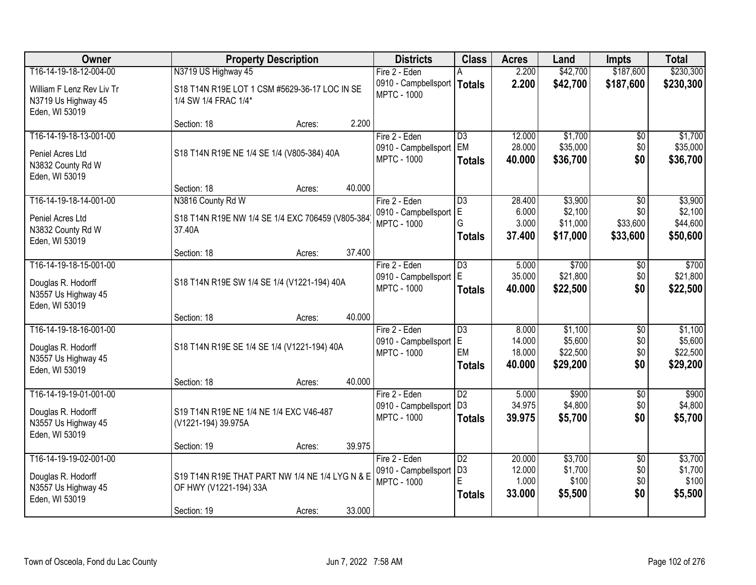| Owner                                                                                 |                                                                                          | <b>Property Description</b>                   |        | <b>Districts</b>                                            | <b>Class</b>                                            | <b>Acres</b>                        | Land                                       | <b>Impts</b>                              | <b>Total</b>                               |
|---------------------------------------------------------------------------------------|------------------------------------------------------------------------------------------|-----------------------------------------------|--------|-------------------------------------------------------------|---------------------------------------------------------|-------------------------------------|--------------------------------------------|-------------------------------------------|--------------------------------------------|
| T16-14-19-18-12-004-00                                                                | N3719 US Highway 45                                                                      |                                               |        | Fire 2 - Eden                                               |                                                         | 2.200                               | \$42,700                                   | \$187,600                                 | \$230,300                                  |
| William F Lenz Rev Liv Tr<br>N3719 Us Highway 45<br>Eden, WI 53019                    | 1/4 SW 1/4 FRAC 1/4*                                                                     | S18 T14N R19E LOT 1 CSM #5629-36-17 LOC IN SE |        | 0910 - Campbellsport<br><b>MPTC - 1000</b>                  | <b>Totals</b>                                           | 2.200                               | \$42,700                                   | \$187,600                                 | \$230,300                                  |
|                                                                                       | Section: 18                                                                              | Acres:                                        | 2.200  |                                                             |                                                         |                                     |                                            |                                           |                                            |
| T16-14-19-18-13-001-00<br>Peniel Acres Ltd<br>N3832 County Rd W<br>Eden, WI 53019     | S18 T14N R19E NE 1/4 SE 1/4 (V805-384) 40A                                               |                                               |        | Fire 2 - Eden<br>0910 - Campbellsport<br><b>MPTC - 1000</b> | $\overline{D3}$<br>EM<br><b>Totals</b>                  | 12.000<br>28.000<br>40.000          | \$1,700<br>\$35,000<br>\$36,700            | $\overline{50}$<br>\$0<br>\$0             | \$1,700<br>\$35,000<br>\$36,700            |
|                                                                                       | Section: 18                                                                              | Acres:                                        | 40.000 |                                                             |                                                         |                                     |                                            |                                           |                                            |
| T16-14-19-18-14-001-00<br>Peniel Acres Ltd<br>N3832 County Rd W<br>Eden, WI 53019     | N3816 County Rd W<br>S18 T14N R19E NW 1/4 SE 1/4 EXC 706459 (V805-384)<br>37.40A         |                                               |        | Fire 2 - Eden<br>0910 - Campbellsport<br><b>MPTC - 1000</b> | $\overline{D3}$<br>ΙE<br>G<br><b>Totals</b>             | 28.400<br>6.000<br>3.000<br>37.400  | \$3,900<br>\$2,100<br>\$11,000<br>\$17,000 | $\sqrt{6}$<br>\$0<br>\$33,600<br>\$33,600 | \$3,900<br>\$2,100<br>\$44,600<br>\$50,600 |
|                                                                                       | Section: 18                                                                              | Acres:                                        | 37.400 |                                                             |                                                         |                                     |                                            |                                           |                                            |
| T16-14-19-18-15-001-00<br>Douglas R. Hodorff<br>N3557 Us Highway 45<br>Eden, WI 53019 | S18 T14N R19E SW 1/4 SE 1/4 (V1221-194) 40A                                              |                                               |        | Fire 2 - Eden<br>0910 - Campbellsport<br><b>MPTC - 1000</b> | $\overline{D3}$<br>ΙE<br><b>Totals</b>                  | 5.000<br>35.000<br>40.000           | \$700<br>\$21,800<br>\$22,500              | \$0<br>\$0<br>\$0                         | \$700<br>\$21,800<br>\$22,500              |
|                                                                                       | Section: 18                                                                              | Acres:                                        | 40.000 |                                                             |                                                         |                                     |                                            |                                           |                                            |
| T16-14-19-18-16-001-00<br>Douglas R. Hodorff<br>N3557 Us Highway 45<br>Eden, WI 53019 | S18 T14N R19E SE 1/4 SE 1/4 (V1221-194) 40A                                              |                                               |        | Fire 2 - Eden<br>0910 - Campbellsport<br><b>MPTC - 1000</b> | $\overline{D3}$<br>E<br>EM<br><b>Totals</b>             | 8.000<br>14.000<br>18.000<br>40.000 | \$1,100<br>\$5,600<br>\$22,500<br>\$29,200 | $\overline{30}$<br>\$0<br>\$0<br>\$0      | \$1,100<br>\$5,600<br>\$22,500<br>\$29,200 |
|                                                                                       | Section: 18                                                                              | Acres:                                        | 40.000 |                                                             |                                                         |                                     |                                            |                                           |                                            |
| T16-14-19-19-01-001-00<br>Douglas R. Hodorff<br>N3557 Us Highway 45<br>Eden, WI 53019 | S19 T14N R19E NE 1/4 NE 1/4 EXC V46-487<br>(V1221-194) 39.975A                           |                                               |        | Fire 2 - Eden<br>0910 - Campbellsport<br><b>MPTC - 1000</b> | $\overline{D2}$<br>D <sub>3</sub><br><b>Totals</b>      | 5.000<br>34.975<br>39.975           | \$900<br>\$4,800<br>\$5,700                | $\overline{60}$<br>\$0<br>\$0             | \$900<br>\$4,800<br>\$5,700                |
|                                                                                       | Section: 19                                                                              | Acres:                                        | 39.975 |                                                             |                                                         |                                     |                                            |                                           |                                            |
| T16-14-19-19-02-001-00<br>Douglas R. Hodorff<br>N3557 Us Highway 45<br>Eden, WI 53019 | S19 T14N R19E THAT PART NW 1/4 NE 1/4 LYG N & E<br>OF HWY (V1221-194) 33A<br>Section: 19 | Acres:                                        | 33.000 | Fire 2 - Eden<br>0910 - Campbellsport<br><b>MPTC - 1000</b> | $\overline{D2}$<br>D <sub>3</sub><br>E<br><b>Totals</b> | 20.000<br>12.000<br>1.000<br>33.000 | \$3,700<br>\$1,700<br>\$100<br>\$5,500     | $\overline{30}$<br>\$0<br>\$0<br>\$0      | \$3,700<br>\$1,700<br>\$100<br>\$5,500     |
|                                                                                       |                                                                                          |                                               |        |                                                             |                                                         |                                     |                                            |                                           |                                            |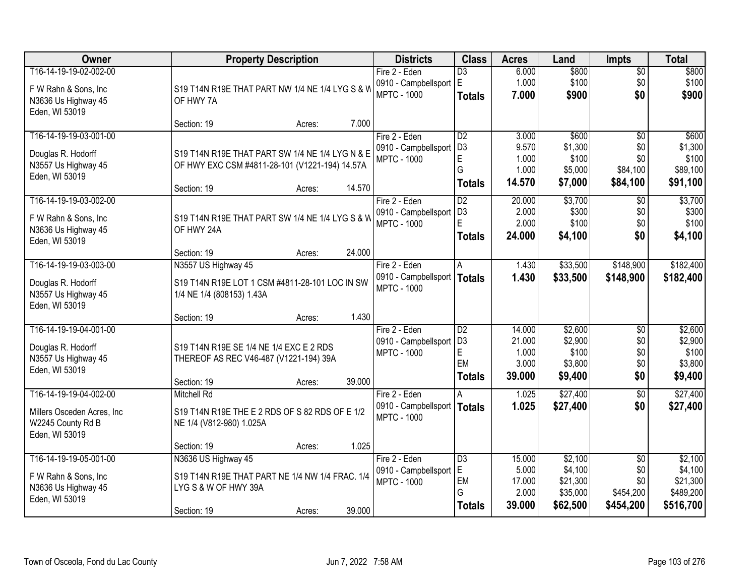| Owner                                                                                       | <b>Property Description</b>                                                                                      |        |        | <b>Districts</b>                                                     | <b>Class</b>                                              | <b>Acres</b>                                 | Land                                                   | <b>Impts</b>                                            | <b>Total</b>                                             |
|---------------------------------------------------------------------------------------------|------------------------------------------------------------------------------------------------------------------|--------|--------|----------------------------------------------------------------------|-----------------------------------------------------------|----------------------------------------------|--------------------------------------------------------|---------------------------------------------------------|----------------------------------------------------------|
| T16-14-19-19-02-002-00<br>F W Rahn & Sons, Inc.<br>N3636 Us Highway 45<br>Eden, WI 53019    | S19 T14N R19E THAT PART NW 1/4 NE 1/4 LYG S & W<br>OF HWY 7A                                                     |        |        | Fire 2 - Eden<br>0910 - Campbellsport<br><b>MPTC - 1000</b>          | $\overline{D3}$<br>ΙE<br><b>Totals</b>                    | 6.000<br>1.000<br>7.000                      | \$800<br>\$100<br>\$900                                | $\sqrt{$0}$<br>\$0<br>\$0                               | \$800<br>\$100<br>\$900                                  |
|                                                                                             | Section: 19                                                                                                      | Acres: | 7.000  |                                                                      |                                                           |                                              |                                                        |                                                         |                                                          |
| T16-14-19-19-03-001-00<br>Douglas R. Hodorff<br>N3557 Us Highway 45<br>Eden, WI 53019       | S19 T14N R19E THAT PART SW 1/4 NE 1/4 LYG N & E<br>OF HWY EXC CSM #4811-28-101 (V1221-194) 14.57A<br>Section: 19 | Acres: | 14.570 | Fire 2 - Eden<br>0910 - Campbellsport<br><b>MPTC - 1000</b>          | D2<br>D <sub>3</sub><br>$\mathsf E$<br>G<br><b>Totals</b> | 3.000<br>9.570<br>1.000<br>1.000<br>14.570   | \$600<br>\$1,300<br>\$100<br>\$5,000<br>\$7,000        | \$0<br>\$0<br>\$0<br>\$84,100<br>\$84,100               | \$600<br>\$1,300<br>\$100<br>\$89,100<br>\$91,100        |
| T16-14-19-19-03-002-00<br>F W Rahn & Sons, Inc<br>N3636 Us Highway 45<br>Eden, WI 53019     | S19 T14N R19E THAT PART SW 1/4 NE 1/4 LYG S & W<br>OF HWY 24A<br>Section: 19                                     | Acres: | 24.000 | Fire 2 - Eden<br>0910 - Campbellsport<br><b>MPTC - 1000</b>          | D <sub>2</sub><br>D <sub>3</sub><br>E<br><b>Totals</b>    | 20.000<br>2.000<br>2.000<br>24.000           | \$3,700<br>\$300<br>\$100<br>\$4,100                   | \$0<br>\$0<br>\$0<br>\$0                                | \$3,700<br>\$300<br>\$100<br>\$4,100                     |
| T16-14-19-19-03-003-00                                                                      | N3557 US Highway 45                                                                                              |        |        | Fire 2 - Eden                                                        | A                                                         | 1.430                                        | \$33,500                                               | \$148,900                                               | \$182,400                                                |
| Douglas R. Hodorff<br>N3557 Us Highway 45<br>Eden, WI 53019                                 | S19 T14N R19E LOT 1 CSM #4811-28-101 LOC IN SW<br>1/4 NE 1/4 (808153) 1.43A                                      |        |        | 0910 - Campbellsport<br><b>MPTC - 1000</b>                           | Totals                                                    | 1.430                                        | \$33,500                                               | \$148,900                                               | \$182,400                                                |
|                                                                                             | Section: 19                                                                                                      | Acres: | 1.430  |                                                                      |                                                           |                                              |                                                        |                                                         |                                                          |
| T16-14-19-19-04-001-00<br>Douglas R. Hodorff<br>N3557 Us Highway 45<br>Eden, WI 53019       | S19 T14N R19E SE 1/4 NE 1/4 EXC E 2 RDS<br>THEREOF AS REC V46-487 (V1221-194) 39A<br>Section: 19                 | Acres: | 39.000 | Fire 2 - Eden<br>0910 - Campbellsport<br><b>MPTC - 1000</b>          | D2<br>D <sub>3</sub><br>E<br>EM<br><b>Totals</b>          | 14.000<br>21.000<br>1.000<br>3.000<br>39.000 | \$2,600<br>\$2,900<br>\$100<br>\$3,800<br>\$9,400      | \$0<br>\$0<br>\$0<br>\$0<br>\$0                         | \$2,600<br>\$2,900<br>\$100<br>\$3,800<br>\$9,400        |
| T16-14-19-19-04-002-00<br>Millers Osceden Acres, Inc<br>W2245 County Rd B<br>Eden, WI 53019 | <b>Mitchell Rd</b><br>S19 T14N R19E THE E 2 RDS OF S 82 RDS OF E 1/2<br>NE 1/4 (V812-980) 1.025A<br>Section: 19  | Acres: | 1.025  | Fire 2 - Eden<br>0910 - Campbellsport   Totals<br><b>MPTC - 1000</b> | A                                                         | 1.025<br>1.025                               | \$27,400<br>\$27,400                                   | $\sqrt{6}$<br>\$0                                       | \$27,400<br>\$27,400                                     |
| T16-14-19-19-05-001-00<br>F W Rahn & Sons, Inc<br>N3636 Us Highway 45<br>Eden, WI 53019     | N3636 US Highway 45<br>S19 T14N R19E THAT PART NE 1/4 NW 1/4 FRAC. 1/4<br>LYG S & W OF HWY 39A<br>Section: 19    | Acres: | 39.000 | Fire 2 - Eden<br>0910 - Campbellsport<br><b>MPTC - 1000</b>          | $\overline{D3}$<br>E.<br>EM<br>G<br><b>Totals</b>         | 15.000<br>5.000<br>17.000<br>2.000<br>39.000 | \$2,100<br>\$4,100<br>\$21,300<br>\$35,000<br>\$62,500 | $\overline{50}$<br>\$0<br>\$0<br>\$454,200<br>\$454,200 | \$2,100<br>\$4,100<br>\$21,300<br>\$489,200<br>\$516,700 |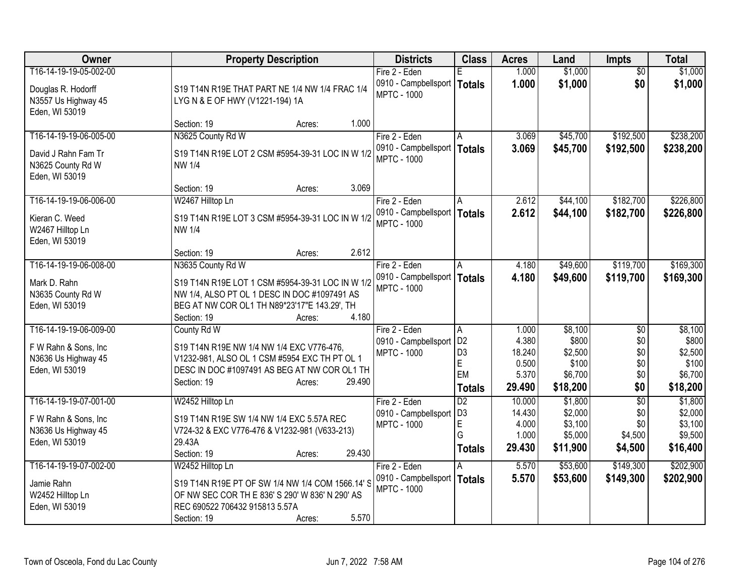| T16-14-19-19-05-002-00<br>1.000<br>\$1,000<br>Fire 2 - Eden<br>$\overline{50}$<br>Е<br>1.000<br>\$1,000<br>\$0<br>0910 - Campbellsport   Totals<br>\$1,000<br>Douglas R. Hodorff<br>S19 T14N R19E THAT PART NE 1/4 NW 1/4 FRAC 1/4<br><b>MPTC - 1000</b><br>N3557 Us Highway 45<br>LYG N & E OF HWY (V1221-194) 1A<br>Eden, WI 53019<br>1.000<br>Section: 19<br>Acres:<br>N3625 County Rd W<br>\$192,500<br>T16-14-19-19-06-005-00<br>Fire 2 - Eden<br>\$45,700<br>3.069<br>A<br>3.069<br>\$45,700<br>0910 - Campbellsport<br>\$192,500<br>Totals<br>David J Rahn Fam Tr<br>S19 T14N R19E LOT 2 CSM #5954-39-31 LOC IN W 1/2<br><b>MPTC - 1000</b><br>N3625 County Rd W<br><b>NW 1/4</b><br>Eden, WI 53019<br>3.069<br>Section: 19<br>Acres:<br>W2467 Hilltop Ln<br>\$44,100<br>\$182,700<br>T16-14-19-19-06-006-00<br>Fire 2 - Eden<br>2.612<br>A<br>0910 - Campbellsport   Totals<br>2.612<br>\$44,100<br>\$182,700<br>Kieran C. Weed<br>S19 T14N R19E LOT 3 CSM #5954-39-31 LOC IN W 1/2<br><b>MPTC - 1000</b><br>W2467 Hilltop Ln<br><b>NW 1/4</b><br>Eden, WI 53019<br>2.612<br>Section: 19<br>Acres:<br>T16-14-19-19-06-008-00<br>N3635 County Rd W<br>\$119,700<br>Fire 2 - Eden<br>4.180<br>\$49,600<br>A<br>0910 - Campbellsport   Totals<br>4.180<br>\$49,600<br>\$119,700<br>S19 T14N R19E LOT 1 CSM #5954-39-31 LOC IN W 1/2<br>Mark D. Rahn<br><b>MPTC - 1000</b><br>NW 1/4, ALSO PT OL 1 DESC IN DOC #1097491 AS<br>N3635 County Rd W<br>BEG AT NW COR OL1 TH N89*23'17"E 143.29', TH<br>Eden, WI 53019<br>4.180<br>Section: 19<br>Acres:<br>T16-14-19-19-06-009-00<br>\$8,100<br>County Rd W<br>Fire 2 - Eden<br>\$0<br>1.000<br>A<br>D <sub>2</sub><br>4.380<br>\$800<br>\$0<br>0910 - Campbellsport<br>F W Rahn & Sons, Inc<br>S19 T14N R19E NW 1/4 NW 1/4 EXC V776-476,<br>D <sub>3</sub><br>18.240<br>\$2,500<br>\$0<br><b>MPTC - 1000</b><br>V1232-981, ALSO OL 1 CSM #5954 EXC TH PT OL 1<br>N3636 Us Highway 45<br>E<br>\$0<br>0.500<br>\$100<br>Eden, WI 53019<br>DESC IN DOC #1097491 AS BEG AT NW COR OL1 TH<br>EM<br>\$6,700<br>5.370<br>\$0<br>Section: 19<br>29.490<br>Acres:<br>\$18,200<br>\$0<br>29.490<br>\$18,200<br><b>Totals</b><br>$\overline{50}$<br>T16-14-19-19-07-001-00<br>W2452 Hilltop Ln<br>$\overline{D2}$<br>\$1,800<br>Fire 2 - Eden<br>10.000<br>D <sub>3</sub><br>\$2,000<br>14.430<br>\$0<br>0910 - Campbellsport<br>F W Rahn & Sons, Inc.<br>S19 T14N R19E SW 1/4 NW 1/4 EXC 5.57A REC<br>$\mathsf E$<br>4.000<br>\$3,100<br>\$0<br><b>MPTC - 1000</b><br>N3636 Us Highway 45<br>V724-32 & EXC V776-476 & V1232-981 (V633-213)<br>G<br>\$5,000<br>1.000<br>\$4,500<br>Eden, WI 53019<br>29.43A<br>29.430<br>\$11,900<br>\$4,500<br>Totals<br>29.430<br>Section: 19<br>Acres:<br>T16-14-19-19-07-002-00<br>5.570<br>\$53,600<br>\$149,300<br>Fire 2 - Eden<br>A | Owner | <b>Property Description</b> | <b>Districts</b> | <b>Class</b> | <b>Acres</b> | Land    | <b>Impts</b> | <b>Total</b> |
|-------------------------------------------------------------------------------------------------------------------------------------------------------------------------------------------------------------------------------------------------------------------------------------------------------------------------------------------------------------------------------------------------------------------------------------------------------------------------------------------------------------------------------------------------------------------------------------------------------------------------------------------------------------------------------------------------------------------------------------------------------------------------------------------------------------------------------------------------------------------------------------------------------------------------------------------------------------------------------------------------------------------------------------------------------------------------------------------------------------------------------------------------------------------------------------------------------------------------------------------------------------------------------------------------------------------------------------------------------------------------------------------------------------------------------------------------------------------------------------------------------------------------------------------------------------------------------------------------------------------------------------------------------------------------------------------------------------------------------------------------------------------------------------------------------------------------------------------------------------------------------------------------------------------------------------------------------------------------------------------------------------------------------------------------------------------------------------------------------------------------------------------------------------------------------------------------------------------------------------------------------------------------------------------------------------------------------------------------------------------------------------------------------------------------------------------------------------------------------------------------------------------------------------------------------------------------------------------------------------------------------------------------------------------------------------------------------------------------------------------------------------------------------------------------------------------|-------|-----------------------------|------------------|--------------|--------------|---------|--------------|--------------|
|                                                                                                                                                                                                                                                                                                                                                                                                                                                                                                                                                                                                                                                                                                                                                                                                                                                                                                                                                                                                                                                                                                                                                                                                                                                                                                                                                                                                                                                                                                                                                                                                                                                                                                                                                                                                                                                                                                                                                                                                                                                                                                                                                                                                                                                                                                                                                                                                                                                                                                                                                                                                                                                                                                                                                                                                                   |       |                             |                  |              |              | \$1,000 |              |              |
|                                                                                                                                                                                                                                                                                                                                                                                                                                                                                                                                                                                                                                                                                                                                                                                                                                                                                                                                                                                                                                                                                                                                                                                                                                                                                                                                                                                                                                                                                                                                                                                                                                                                                                                                                                                                                                                                                                                                                                                                                                                                                                                                                                                                                                                                                                                                                                                                                                                                                                                                                                                                                                                                                                                                                                                                                   |       |                             |                  |              |              |         |              |              |
|                                                                                                                                                                                                                                                                                                                                                                                                                                                                                                                                                                                                                                                                                                                                                                                                                                                                                                                                                                                                                                                                                                                                                                                                                                                                                                                                                                                                                                                                                                                                                                                                                                                                                                                                                                                                                                                                                                                                                                                                                                                                                                                                                                                                                                                                                                                                                                                                                                                                                                                                                                                                                                                                                                                                                                                                                   |       |                             |                  |              |              |         |              |              |
| \$238,200<br>\$238,200                                                                                                                                                                                                                                                                                                                                                                                                                                                                                                                                                                                                                                                                                                                                                                                                                                                                                                                                                                                                                                                                                                                                                                                                                                                                                                                                                                                                                                                                                                                                                                                                                                                                                                                                                                                                                                                                                                                                                                                                                                                                                                                                                                                                                                                                                                                                                                                                                                                                                                                                                                                                                                                                                                                                                                                            |       |                             |                  |              |              |         |              |              |
|                                                                                                                                                                                                                                                                                                                                                                                                                                                                                                                                                                                                                                                                                                                                                                                                                                                                                                                                                                                                                                                                                                                                                                                                                                                                                                                                                                                                                                                                                                                                                                                                                                                                                                                                                                                                                                                                                                                                                                                                                                                                                                                                                                                                                                                                                                                                                                                                                                                                                                                                                                                                                                                                                                                                                                                                                   |       |                             |                  |              |              |         |              |              |
|                                                                                                                                                                                                                                                                                                                                                                                                                                                                                                                                                                                                                                                                                                                                                                                                                                                                                                                                                                                                                                                                                                                                                                                                                                                                                                                                                                                                                                                                                                                                                                                                                                                                                                                                                                                                                                                                                                                                                                                                                                                                                                                                                                                                                                                                                                                                                                                                                                                                                                                                                                                                                                                                                                                                                                                                                   |       |                             |                  |              |              |         |              |              |
|                                                                                                                                                                                                                                                                                                                                                                                                                                                                                                                                                                                                                                                                                                                                                                                                                                                                                                                                                                                                                                                                                                                                                                                                                                                                                                                                                                                                                                                                                                                                                                                                                                                                                                                                                                                                                                                                                                                                                                                                                                                                                                                                                                                                                                                                                                                                                                                                                                                                                                                                                                                                                                                                                                                                                                                                                   |       |                             |                  |              |              |         |              |              |
| \$226,800<br>\$226,800<br>\$169,300<br>\$169,300                                                                                                                                                                                                                                                                                                                                                                                                                                                                                                                                                                                                                                                                                                                                                                                                                                                                                                                                                                                                                                                                                                                                                                                                                                                                                                                                                                                                                                                                                                                                                                                                                                                                                                                                                                                                                                                                                                                                                                                                                                                                                                                                                                                                                                                                                                                                                                                                                                                                                                                                                                                                                                                                                                                                                                  |       |                             |                  |              |              |         |              |              |
|                                                                                                                                                                                                                                                                                                                                                                                                                                                                                                                                                                                                                                                                                                                                                                                                                                                                                                                                                                                                                                                                                                                                                                                                                                                                                                                                                                                                                                                                                                                                                                                                                                                                                                                                                                                                                                                                                                                                                                                                                                                                                                                                                                                                                                                                                                                                                                                                                                                                                                                                                                                                                                                                                                                                                                                                                   |       |                             |                  |              |              |         |              |              |
|                                                                                                                                                                                                                                                                                                                                                                                                                                                                                                                                                                                                                                                                                                                                                                                                                                                                                                                                                                                                                                                                                                                                                                                                                                                                                                                                                                                                                                                                                                                                                                                                                                                                                                                                                                                                                                                                                                                                                                                                                                                                                                                                                                                                                                                                                                                                                                                                                                                                                                                                                                                                                                                                                                                                                                                                                   |       |                             |                  |              |              |         |              |              |
|                                                                                                                                                                                                                                                                                                                                                                                                                                                                                                                                                                                                                                                                                                                                                                                                                                                                                                                                                                                                                                                                                                                                                                                                                                                                                                                                                                                                                                                                                                                                                                                                                                                                                                                                                                                                                                                                                                                                                                                                                                                                                                                                                                                                                                                                                                                                                                                                                                                                                                                                                                                                                                                                                                                                                                                                                   |       |                             |                  |              |              |         |              |              |
|                                                                                                                                                                                                                                                                                                                                                                                                                                                                                                                                                                                                                                                                                                                                                                                                                                                                                                                                                                                                                                                                                                                                                                                                                                                                                                                                                                                                                                                                                                                                                                                                                                                                                                                                                                                                                                                                                                                                                                                                                                                                                                                                                                                                                                                                                                                                                                                                                                                                                                                                                                                                                                                                                                                                                                                                                   |       |                             |                  |              |              |         |              |              |
|                                                                                                                                                                                                                                                                                                                                                                                                                                                                                                                                                                                                                                                                                                                                                                                                                                                                                                                                                                                                                                                                                                                                                                                                                                                                                                                                                                                                                                                                                                                                                                                                                                                                                                                                                                                                                                                                                                                                                                                                                                                                                                                                                                                                                                                                                                                                                                                                                                                                                                                                                                                                                                                                                                                                                                                                                   |       |                             |                  |              |              |         |              |              |
|                                                                                                                                                                                                                                                                                                                                                                                                                                                                                                                                                                                                                                                                                                                                                                                                                                                                                                                                                                                                                                                                                                                                                                                                                                                                                                                                                                                                                                                                                                                                                                                                                                                                                                                                                                                                                                                                                                                                                                                                                                                                                                                                                                                                                                                                                                                                                                                                                                                                                                                                                                                                                                                                                                                                                                                                                   |       |                             |                  |              |              |         |              |              |
|                                                                                                                                                                                                                                                                                                                                                                                                                                                                                                                                                                                                                                                                                                                                                                                                                                                                                                                                                                                                                                                                                                                                                                                                                                                                                                                                                                                                                                                                                                                                                                                                                                                                                                                                                                                                                                                                                                                                                                                                                                                                                                                                                                                                                                                                                                                                                                                                                                                                                                                                                                                                                                                                                                                                                                                                                   |       |                             |                  |              |              |         |              |              |
|                                                                                                                                                                                                                                                                                                                                                                                                                                                                                                                                                                                                                                                                                                                                                                                                                                                                                                                                                                                                                                                                                                                                                                                                                                                                                                                                                                                                                                                                                                                                                                                                                                                                                                                                                                                                                                                                                                                                                                                                                                                                                                                                                                                                                                                                                                                                                                                                                                                                                                                                                                                                                                                                                                                                                                                                                   |       |                             |                  |              |              |         |              |              |
|                                                                                                                                                                                                                                                                                                                                                                                                                                                                                                                                                                                                                                                                                                                                                                                                                                                                                                                                                                                                                                                                                                                                                                                                                                                                                                                                                                                                                                                                                                                                                                                                                                                                                                                                                                                                                                                                                                                                                                                                                                                                                                                                                                                                                                                                                                                                                                                                                                                                                                                                                                                                                                                                                                                                                                                                                   |       |                             |                  |              |              |         |              |              |
| \$8,100<br>\$800<br>\$2,500<br>\$100<br>\$6,700<br>\$1,800<br>\$2,000<br>\$3,100<br>\$9,500<br>\$16,400<br>\$202,900                                                                                                                                                                                                                                                                                                                                                                                                                                                                                                                                                                                                                                                                                                                                                                                                                                                                                                                                                                                                                                                                                                                                                                                                                                                                                                                                                                                                                                                                                                                                                                                                                                                                                                                                                                                                                                                                                                                                                                                                                                                                                                                                                                                                                                                                                                                                                                                                                                                                                                                                                                                                                                                                                              |       |                             |                  |              |              |         |              |              |
|                                                                                                                                                                                                                                                                                                                                                                                                                                                                                                                                                                                                                                                                                                                                                                                                                                                                                                                                                                                                                                                                                                                                                                                                                                                                                                                                                                                                                                                                                                                                                                                                                                                                                                                                                                                                                                                                                                                                                                                                                                                                                                                                                                                                                                                                                                                                                                                                                                                                                                                                                                                                                                                                                                                                                                                                                   |       |                             |                  |              |              |         |              |              |
|                                                                                                                                                                                                                                                                                                                                                                                                                                                                                                                                                                                                                                                                                                                                                                                                                                                                                                                                                                                                                                                                                                                                                                                                                                                                                                                                                                                                                                                                                                                                                                                                                                                                                                                                                                                                                                                                                                                                                                                                                                                                                                                                                                                                                                                                                                                                                                                                                                                                                                                                                                                                                                                                                                                                                                                                                   |       |                             |                  |              |              |         |              |              |
|                                                                                                                                                                                                                                                                                                                                                                                                                                                                                                                                                                                                                                                                                                                                                                                                                                                                                                                                                                                                                                                                                                                                                                                                                                                                                                                                                                                                                                                                                                                                                                                                                                                                                                                                                                                                                                                                                                                                                                                                                                                                                                                                                                                                                                                                                                                                                                                                                                                                                                                                                                                                                                                                                                                                                                                                                   |       |                             |                  |              |              |         |              |              |
|                                                                                                                                                                                                                                                                                                                                                                                                                                                                                                                                                                                                                                                                                                                                                                                                                                                                                                                                                                                                                                                                                                                                                                                                                                                                                                                                                                                                                                                                                                                                                                                                                                                                                                                                                                                                                                                                                                                                                                                                                                                                                                                                                                                                                                                                                                                                                                                                                                                                                                                                                                                                                                                                                                                                                                                                                   |       |                             |                  |              |              |         |              |              |
|                                                                                                                                                                                                                                                                                                                                                                                                                                                                                                                                                                                                                                                                                                                                                                                                                                                                                                                                                                                                                                                                                                                                                                                                                                                                                                                                                                                                                                                                                                                                                                                                                                                                                                                                                                                                                                                                                                                                                                                                                                                                                                                                                                                                                                                                                                                                                                                                                                                                                                                                                                                                                                                                                                                                                                                                                   |       |                             |                  |              |              |         |              |              |
|                                                                                                                                                                                                                                                                                                                                                                                                                                                                                                                                                                                                                                                                                                                                                                                                                                                                                                                                                                                                                                                                                                                                                                                                                                                                                                                                                                                                                                                                                                                                                                                                                                                                                                                                                                                                                                                                                                                                                                                                                                                                                                                                                                                                                                                                                                                                                                                                                                                                                                                                                                                                                                                                                                                                                                                                                   |       |                             |                  |              |              |         |              |              |
|                                                                                                                                                                                                                                                                                                                                                                                                                                                                                                                                                                                                                                                                                                                                                                                                                                                                                                                                                                                                                                                                                                                                                                                                                                                                                                                                                                                                                                                                                                                                                                                                                                                                                                                                                                                                                                                                                                                                                                                                                                                                                                                                                                                                                                                                                                                                                                                                                                                                                                                                                                                                                                                                                                                                                                                                                   |       |                             |                  |              |              |         |              |              |
|                                                                                                                                                                                                                                                                                                                                                                                                                                                                                                                                                                                                                                                                                                                                                                                                                                                                                                                                                                                                                                                                                                                                                                                                                                                                                                                                                                                                                                                                                                                                                                                                                                                                                                                                                                                                                                                                                                                                                                                                                                                                                                                                                                                                                                                                                                                                                                                                                                                                                                                                                                                                                                                                                                                                                                                                                   |       |                             |                  |              |              |         |              |              |
|                                                                                                                                                                                                                                                                                                                                                                                                                                                                                                                                                                                                                                                                                                                                                                                                                                                                                                                                                                                                                                                                                                                                                                                                                                                                                                                                                                                                                                                                                                                                                                                                                                                                                                                                                                                                                                                                                                                                                                                                                                                                                                                                                                                                                                                                                                                                                                                                                                                                                                                                                                                                                                                                                                                                                                                                                   |       |                             |                  |              |              |         |              |              |
|                                                                                                                                                                                                                                                                                                                                                                                                                                                                                                                                                                                                                                                                                                                                                                                                                                                                                                                                                                                                                                                                                                                                                                                                                                                                                                                                                                                                                                                                                                                                                                                                                                                                                                                                                                                                                                                                                                                                                                                                                                                                                                                                                                                                                                                                                                                                                                                                                                                                                                                                                                                                                                                                                                                                                                                                                   |       |                             |                  |              |              |         |              |              |
|                                                                                                                                                                                                                                                                                                                                                                                                                                                                                                                                                                                                                                                                                                                                                                                                                                                                                                                                                                                                                                                                                                                                                                                                                                                                                                                                                                                                                                                                                                                                                                                                                                                                                                                                                                                                                                                                                                                                                                                                                                                                                                                                                                                                                                                                                                                                                                                                                                                                                                                                                                                                                                                                                                                                                                                                                   |       |                             |                  |              |              |         |              |              |
|                                                                                                                                                                                                                                                                                                                                                                                                                                                                                                                                                                                                                                                                                                                                                                                                                                                                                                                                                                                                                                                                                                                                                                                                                                                                                                                                                                                                                                                                                                                                                                                                                                                                                                                                                                                                                                                                                                                                                                                                                                                                                                                                                                                                                                                                                                                                                                                                                                                                                                                                                                                                                                                                                                                                                                                                                   |       |                             |                  |              |              |         |              |              |
|                                                                                                                                                                                                                                                                                                                                                                                                                                                                                                                                                                                                                                                                                                                                                                                                                                                                                                                                                                                                                                                                                                                                                                                                                                                                                                                                                                                                                                                                                                                                                                                                                                                                                                                                                                                                                                                                                                                                                                                                                                                                                                                                                                                                                                                                                                                                                                                                                                                                                                                                                                                                                                                                                                                                                                                                                   |       |                             |                  |              |              |         |              |              |
|                                                                                                                                                                                                                                                                                                                                                                                                                                                                                                                                                                                                                                                                                                                                                                                                                                                                                                                                                                                                                                                                                                                                                                                                                                                                                                                                                                                                                                                                                                                                                                                                                                                                                                                                                                                                                                                                                                                                                                                                                                                                                                                                                                                                                                                                                                                                                                                                                                                                                                                                                                                                                                                                                                                                                                                                                   |       | W2452 Hilltop Ln            |                  |              |              |         |              |              |
| 0910 - Campbellsport<br>5.570<br>Totals<br>\$53,600<br>\$149,300<br>\$202,900<br>S19 T14N R19E PT OF SW 1/4 NW 1/4 COM 1566.14' S<br>Jamie Rahn                                                                                                                                                                                                                                                                                                                                                                                                                                                                                                                                                                                                                                                                                                                                                                                                                                                                                                                                                                                                                                                                                                                                                                                                                                                                                                                                                                                                                                                                                                                                                                                                                                                                                                                                                                                                                                                                                                                                                                                                                                                                                                                                                                                                                                                                                                                                                                                                                                                                                                                                                                                                                                                                   |       |                             |                  |              |              |         |              |              |
| <b>MPTC - 1000</b><br>W2452 Hilltop Ln<br>OF NW SEC COR TH E 836' S 290' W 836' N 290' AS                                                                                                                                                                                                                                                                                                                                                                                                                                                                                                                                                                                                                                                                                                                                                                                                                                                                                                                                                                                                                                                                                                                                                                                                                                                                                                                                                                                                                                                                                                                                                                                                                                                                                                                                                                                                                                                                                                                                                                                                                                                                                                                                                                                                                                                                                                                                                                                                                                                                                                                                                                                                                                                                                                                         |       |                             |                  |              |              |         |              |              |
| REC 690522 706432 915813 5.57A<br>Eden, WI 53019                                                                                                                                                                                                                                                                                                                                                                                                                                                                                                                                                                                                                                                                                                                                                                                                                                                                                                                                                                                                                                                                                                                                                                                                                                                                                                                                                                                                                                                                                                                                                                                                                                                                                                                                                                                                                                                                                                                                                                                                                                                                                                                                                                                                                                                                                                                                                                                                                                                                                                                                                                                                                                                                                                                                                                  |       |                             |                  |              |              |         |              |              |
| 5.570<br>Section: 19<br>Acres:                                                                                                                                                                                                                                                                                                                                                                                                                                                                                                                                                                                                                                                                                                                                                                                                                                                                                                                                                                                                                                                                                                                                                                                                                                                                                                                                                                                                                                                                                                                                                                                                                                                                                                                                                                                                                                                                                                                                                                                                                                                                                                                                                                                                                                                                                                                                                                                                                                                                                                                                                                                                                                                                                                                                                                                    |       |                             |                  |              |              |         |              |              |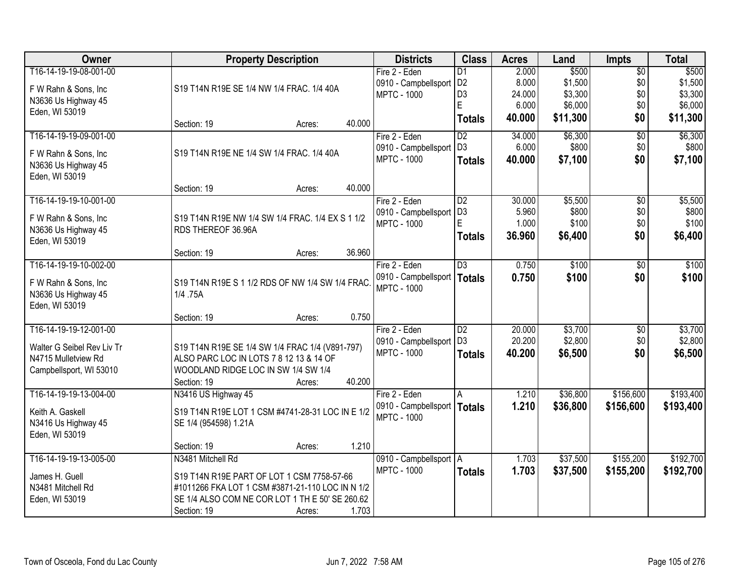| Owner                                 | <b>Property Description</b>                      |        |        | <b>Districts</b>              | <b>Class</b>    | <b>Acres</b> | Land     | <b>Impts</b>    | <b>Total</b> |
|---------------------------------------|--------------------------------------------------|--------|--------|-------------------------------|-----------------|--------------|----------|-----------------|--------------|
| T16-14-19-19-08-001-00                |                                                  |        |        | Fire 2 - Eden                 | D <sub>1</sub>  | 2.000        | \$500    | $\overline{50}$ | \$500        |
| F W Rahn & Sons, Inc                  | S19 T14N R19E SE 1/4 NW 1/4 FRAC. 1/4 40A        |        |        | 0910 - Campbellsport   D2     |                 | 8.000        | \$1,500  | \$0             | \$1,500      |
| N3636 Us Highway 45                   |                                                  |        |        | <b>MPTC - 1000</b>            | D <sub>3</sub>  | 24.000       | \$3,300  | \$0             | \$3,300      |
| Eden, WI 53019                        |                                                  |        |        |                               | Ė               | 6.000        | \$6,000  | \$0             | \$6,000      |
|                                       | Section: 19                                      | Acres: | 40.000 |                               | <b>Totals</b>   | 40.000       | \$11,300 | \$0             | \$11,300     |
| T16-14-19-19-09-001-00                |                                                  |        |        | Fire 2 - Eden                 | $\overline{D2}$ | 34.000       | \$6,300  | $\overline{50}$ | \$6,300      |
| F W Rahn & Sons, Inc                  | S19 T14N R19E NE 1/4 SW 1/4 FRAC. 1/4 40A        |        |        | 0910 - Campbellsport          | D <sub>3</sub>  | 6.000        | \$800    | \$0             | \$800        |
| N3636 Us Highway 45                   |                                                  |        |        | <b>MPTC - 1000</b>            | <b>Totals</b>   | 40.000       | \$7,100  | \$0             | \$7,100      |
| Eden, WI 53019                        | Section: 19                                      | Acres: | 40.000 |                               |                 |              |          |                 |              |
| T16-14-19-19-10-001-00                |                                                  |        |        | Fire 2 - Eden                 | $\overline{D2}$ | 30.000       | \$5,500  | \$0             | \$5,500      |
|                                       |                                                  |        |        | 0910 - Campbellsport          | D <sub>3</sub>  | 5.960        | \$800    | \$0             | \$800        |
| F W Rahn & Sons, Inc.                 | S19 T14N R19E NW 1/4 SW 1/4 FRAC. 1/4 EX S 1 1/2 |        |        | <b>MPTC - 1000</b>            | E               | 1.000        | \$100    | \$0             | \$100        |
| N3636 Us Highway 45                   | RDS THEREOF 36.96A                               |        |        |                               | <b>Totals</b>   | 36,960       | \$6,400  | \$0             | \$6,400      |
| Eden, WI 53019                        | Section: 19                                      | Acres: | 36.960 |                               |                 |              |          |                 |              |
| T16-14-19-19-10-002-00                |                                                  |        |        | Fire 2 - Eden                 | $\overline{D3}$ | 0.750        | \$100    | \$0             | \$100        |
|                                       |                                                  |        |        | 0910 - Campbellsport          | <b>Totals</b>   | 0.750        | \$100    | \$0             | \$100        |
| F W Rahn & Sons, Inc                  | S19 T14N R19E S 1 1/2 RDS OF NW 1/4 SW 1/4 FRAC  |        |        | <b>MPTC - 1000</b>            |                 |              |          |                 |              |
| N3636 Us Highway 45<br>Eden, WI 53019 | 1/4 .75A                                         |        |        |                               |                 |              |          |                 |              |
|                                       | Section: 19                                      | Acres: | 0.750  |                               |                 |              |          |                 |              |
| T16-14-19-19-12-001-00                |                                                  |        |        | Fire 2 - Eden                 | $\overline{D2}$ | 20.000       | \$3,700  | $\overline{50}$ | \$3,700      |
|                                       |                                                  |        |        | 0910 - Campbellsport          | D <sub>3</sub>  | 20.200       | \$2,800  | \$0             | \$2,800      |
| Walter G Seibel Rev Liv Tr            | S19 T14N R19E SE 1/4 SW 1/4 FRAC 1/4 (V891-797)  |        |        | <b>MPTC - 1000</b>            | <b>Totals</b>   | 40.200       | \$6,500  | \$0             | \$6,500      |
| N4715 Mulletview Rd                   | ALSO PARC LOC IN LOTS 7 8 12 13 & 14 OF          |        |        |                               |                 |              |          |                 |              |
| Campbellsport, WI 53010               | WOODLAND RIDGE LOC IN SW 1/4 SW 1/4              |        |        |                               |                 |              |          |                 |              |
|                                       | Section: 19                                      | Acres: | 40.200 |                               |                 |              |          |                 |              |
| T16-14-19-19-13-004-00                | N3416 US Highway 45                              |        |        | Fire 2 - Eden                 | A               | 1.210        | \$36,800 | \$156,600       | \$193,400    |
| Keith A. Gaskell                      | S19 T14N R19E LOT 1 CSM #4741-28-31 LOC IN E 1/2 |        |        | 0910 - Campbellsport   Totals |                 | 1.210        | \$36,800 | \$156,600       | \$193,400    |
| N3416 Us Highway 45                   | SE 1/4 (954598) 1.21A                            |        |        | <b>MPTC - 1000</b>            |                 |              |          |                 |              |
| Eden, WI 53019                        |                                                  |        |        |                               |                 |              |          |                 |              |
|                                       | Section: 19                                      | Acres: | 1.210  |                               |                 |              |          |                 |              |
| T16-14-19-19-13-005-00                | N3481 Mitchell Rd                                |        |        | 0910 - Campbellsport   A      |                 | 1.703        | \$37,500 | \$155,200       | \$192,700    |
| James H. Guell                        | S19 T14N R19E PART OF LOT 1 CSM 7758-57-66       |        |        | <b>MPTC - 1000</b>            | <b>Totals</b>   | 1.703        | \$37,500 | \$155,200       | \$192,700    |
| N3481 Mitchell Rd                     | #1011266 FKA LOT 1 CSM #3871-21-110 LOC IN N 1/2 |        |        |                               |                 |              |          |                 |              |
| Eden, WI 53019                        | SE 1/4 ALSO COM NE COR LOT 1 TH E 50' SE 260.62  |        |        |                               |                 |              |          |                 |              |
|                                       | Section: 19                                      | Acres: | 1.703  |                               |                 |              |          |                 |              |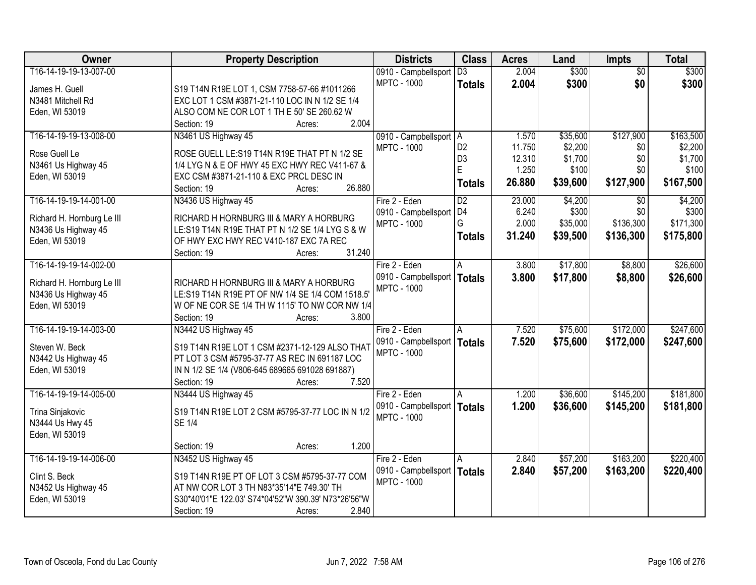| Owner                                 | <b>Property Description</b>                                                                | <b>Districts</b>              | <b>Class</b>    | <b>Acres</b> | Land     | <b>Impts</b>    | <b>Total</b> |
|---------------------------------------|--------------------------------------------------------------------------------------------|-------------------------------|-----------------|--------------|----------|-----------------|--------------|
| T16-14-19-19-13-007-00                |                                                                                            | 0910 - Campbellsport          | $\overline{D3}$ | 2.004        | \$300    | $\overline{50}$ | \$300        |
| James H. Guell                        | S19 T14N R19E LOT 1, CSM 7758-57-66 #1011266                                               | <b>MPTC - 1000</b>            | <b>Totals</b>   | 2.004        | \$300    | \$0             | \$300        |
| N3481 Mitchell Rd                     | EXC LOT 1 CSM #3871-21-110 LOC IN N 1/2 SE 1/4                                             |                               |                 |              |          |                 |              |
| Eden, WI 53019                        | ALSO COM NE COR LOT 1 TH E 50' SE 260.62 W                                                 |                               |                 |              |          |                 |              |
|                                       | 2.004<br>Section: 19<br>Acres:                                                             |                               |                 |              |          |                 |              |
| T16-14-19-19-13-008-00                | N3461 US Highway 45                                                                        | 0910 - Campbellsport   A      |                 | 1.570        | \$35,600 | \$127,900       | \$163,500    |
| Rose Guell Le                         |                                                                                            | <b>MPTC - 1000</b>            | D <sub>2</sub>  | 11.750       | \$2,200  | \$0             | \$2,200      |
|                                       | ROSE GUELL LE: S19 T14N R19E THAT PT N 1/2 SE                                              |                               | D <sub>3</sub>  | 12.310       | \$1,700  | \$0             | \$1,700      |
| N3461 Us Highway 45<br>Eden, WI 53019 | 1/4 LYG N & E OF HWY 45 EXC HWY REC V411-67 &<br>EXC CSM #3871-21-110 & EXC PRCL DESC IN   |                               | E               | 1.250        | \$100    | \$0             | \$100        |
|                                       | 26.880<br>Section: 19<br>Acres:                                                            |                               | <b>Totals</b>   | 26.880       | \$39,600 | \$127,900       | \$167,500    |
| T16-14-19-19-14-001-00                | N3436 US Highway 45                                                                        | Fire 2 - Eden                 | $\overline{D2}$ | 23.000       | \$4,200  | $\sqrt[6]{}$    | \$4,200      |
|                                       |                                                                                            | 0910 - Campbellsport   D4     |                 | 6.240        | \$300    | \$0             | \$300        |
| Richard H. Hornburg Le III            | RICHARD H HORNBURG III & MARY A HORBURG<br>LE:S19 T14N R19E THAT PT N 1/2 SE 1/4 LYG S & W | <b>MPTC - 1000</b>            | G               | 2.000        | \$35,000 | \$136,300       | \$171,300    |
| N3436 Us Highway 45<br>Eden, WI 53019 | OF HWY EXC HWY REC V410-187 EXC 7A REC                                                     |                               | <b>Totals</b>   | 31.240       | \$39,500 | \$136,300       | \$175,800    |
|                                       | 31.240<br>Section: 19<br>Acres:                                                            |                               |                 |              |          |                 |              |
| T16-14-19-19-14-002-00                |                                                                                            | Fire 2 - Eden                 | A               | 3.800        | \$17,800 | \$8,800         | \$26,600     |
|                                       |                                                                                            | 0910 - Campbellsport          | Totals          | 3.800        | \$17,800 | \$8,800         | \$26,600     |
| Richard H. Hornburg Le III            | RICHARD H HORNBURG III & MARY A HORBURG                                                    | <b>MPTC - 1000</b>            |                 |              |          |                 |              |
| N3436 Us Highway 45                   | LE:S19 T14N R19E PT OF NW 1/4 SE 1/4 COM 1518.5'                                           |                               |                 |              |          |                 |              |
| Eden, WI 53019                        | W OF NE COR SE 1/4 TH W 1115' TO NW COR NW 1/4                                             |                               |                 |              |          |                 |              |
|                                       | 3.800<br>Section: 19<br>Acres:                                                             |                               |                 |              |          |                 |              |
| T16-14-19-19-14-003-00                | N3442 US Highway 45                                                                        | Fire 2 - Eden                 | A               | 7.520        | \$75,600 | \$172,000       | \$247,600    |
| Steven W. Beck                        | S19 T14N R19E LOT 1 CSM #2371-12-129 ALSO THAT                                             | 0910 - Campbellsport   Totals |                 | 7.520        | \$75,600 | \$172,000       | \$247,600    |
| N3442 Us Highway 45                   | PT LOT 3 CSM #5795-37-77 AS REC IN 691187 LOC                                              | <b>MPTC - 1000</b>            |                 |              |          |                 |              |
| Eden, WI 53019                        | IN N 1/2 SE 1/4 (V806-645 689665 691028 691887)                                            |                               |                 |              |          |                 |              |
|                                       | 7.520<br>Section: 19<br>Acres:                                                             |                               |                 |              |          |                 |              |
| T16-14-19-19-14-005-00                | N3444 US Highway 45                                                                        | Fire 2 - Eden                 |                 | 1.200        | \$36,600 | \$145,200       | \$181,800    |
| Trina Sinjakovic                      | S19 T14N R19E LOT 2 CSM #5795-37-77 LOC IN N 1/2                                           | 0910 - Campbellsport   Totals |                 | 1.200        | \$36,600 | \$145,200       | \$181,800    |
| N3444 Us Hwy 45                       | <b>SE 1/4</b>                                                                              | <b>MPTC - 1000</b>            |                 |              |          |                 |              |
| Eden, WI 53019                        |                                                                                            |                               |                 |              |          |                 |              |
|                                       | 1.200<br>Section: 19<br>Acres:                                                             |                               |                 |              |          |                 |              |
| T16-14-19-19-14-006-00                | N3452 US Highway 45                                                                        | Fire 2 - Eden                 | A               | 2.840        | \$57,200 | \$163,200       | \$220,400    |
|                                       |                                                                                            | 0910 - Campbellsport   Totals |                 | 2.840        | \$57,200 | \$163,200       | \$220,400    |
| Clint S. Beck                         | S19 T14N R19E PT OF LOT 3 CSM #5795-37-77 COM                                              | <b>MPTC - 1000</b>            |                 |              |          |                 |              |
| N3452 Us Highway 45                   | AT NW COR LOT 3 TH N83*35'14"E 749.30' TH                                                  |                               |                 |              |          |                 |              |
| Eden, WI 53019                        | S30*40'01"E 122.03' S74*04'52"W 390.39' N73*26'56"W                                        |                               |                 |              |          |                 |              |
|                                       | 2.840<br>Section: 19<br>Acres:                                                             |                               |                 |              |          |                 |              |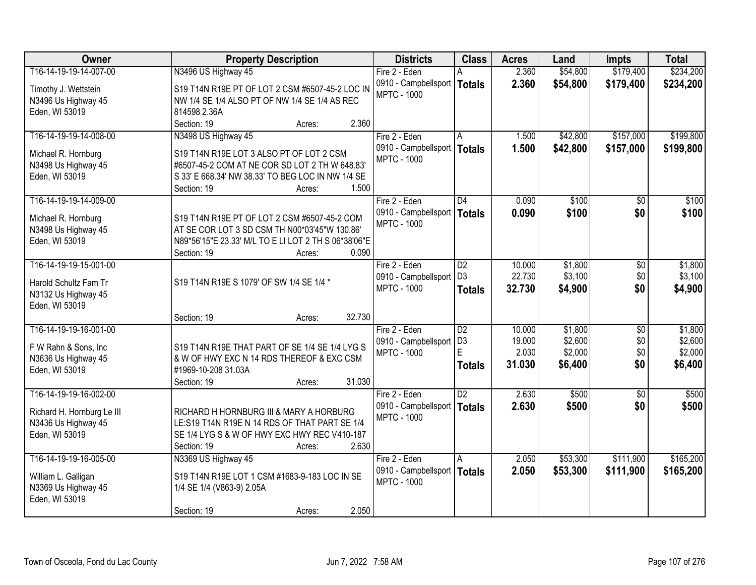| Owner                                 | <b>Property Description</b>                                                                | <b>Districts</b>                           | <b>Class</b>         | <b>Acres</b>     | Land               | <b>Impts</b>    | <b>Total</b>       |
|---------------------------------------|--------------------------------------------------------------------------------------------|--------------------------------------------|----------------------|------------------|--------------------|-----------------|--------------------|
| T16-14-19-19-14-007-00                | N3496 US Highway 45                                                                        | Fire 2 - Eden                              |                      | 2.360            | \$54,800           | \$179,400       | \$234,200          |
| Timothy J. Wettstein                  | S19 T14N R19E PT OF LOT 2 CSM #6507-45-2 LOC IN                                            | 0910 - Campbellsport   Totals              |                      | 2.360            | \$54,800           | \$179,400       | \$234,200          |
| N3496 Us Highway 45                   | NW 1/4 SE 1/4 ALSO PT OF NW 1/4 SE 1/4 AS REC                                              | <b>MPTC - 1000</b>                         |                      |                  |                    |                 |                    |
| Eden, WI 53019                        | 814598 2.36A                                                                               |                                            |                      |                  |                    |                 |                    |
|                                       | 2.360<br>Section: 19<br>Acres:                                                             |                                            |                      |                  |                    |                 |                    |
| T16-14-19-19-14-008-00                | N3498 US Highway 45                                                                        | Fire 2 - Eden                              | A                    | 1.500            | \$42,800           | \$157,000       | \$199,800          |
|                                       |                                                                                            | 0910 - Campbellsport                       | Totals               | 1.500            | \$42,800           | \$157,000       | \$199,800          |
| Michael R. Hornburg                   | S19 T14N R19E LOT 3 ALSO PT OF LOT 2 CSM<br>#6507-45-2 COM AT NE COR SD LOT 2 TH W 648.83' | <b>MPTC - 1000</b>                         |                      |                  |                    |                 |                    |
| N3498 Us Highway 45<br>Eden, WI 53019 | S 33' E 668.34' NW 38.33' TO BEG LOC IN NW 1/4 SE                                          |                                            |                      |                  |                    |                 |                    |
|                                       | 1.500<br>Section: 19<br>Acres:                                                             |                                            |                      |                  |                    |                 |                    |
| T16-14-19-19-14-009-00                |                                                                                            | Fire 2 - Eden                              | $\overline{D4}$      | 0.090            | \$100              | $\overline{50}$ | \$100              |
|                                       |                                                                                            | 0910 - Campbellsport   Totals              |                      | 0.090            | \$100              | \$0             | \$100              |
| Michael R. Hornburg                   | S19 T14N R19E PT OF LOT 2 CSM #6507-45-2 COM                                               | <b>MPTC - 1000</b>                         |                      |                  |                    |                 |                    |
| N3498 Us Highway 45                   | AT SE COR LOT 3 SD CSM TH N00*03'45"W 130.86'                                              |                                            |                      |                  |                    |                 |                    |
| Eden, WI 53019                        | N89*56'15"E 23.33' M/L TO E LI LOT 2 TH S 06*38'06"E                                       |                                            |                      |                  |                    |                 |                    |
|                                       | 0.090<br>Section: 19<br>Acres:                                                             |                                            |                      |                  |                    |                 |                    |
| T16-14-19-19-15-001-00                |                                                                                            | Fire 2 - Eden                              | D2<br>D <sub>3</sub> | 10.000<br>22.730 | \$1,800<br>\$3,100 | \$0<br>\$0      | \$1,800<br>\$3,100 |
| Harold Schultz Fam Tr                 | S19 T14N R19E S 1079' OF SW 1/4 SE 1/4 *                                                   | 0910 - Campbellsport<br><b>MPTC - 1000</b> |                      |                  |                    | \$0             |                    |
| N3132 Us Highway 45                   |                                                                                            |                                            | <b>Totals</b>        | 32.730           | \$4,900            |                 | \$4,900            |
| Eden, WI 53019                        |                                                                                            |                                            |                      |                  |                    |                 |                    |
|                                       | 32.730<br>Section: 19<br>Acres:                                                            |                                            |                      |                  |                    |                 |                    |
| T16-14-19-19-16-001-00                |                                                                                            | Fire 2 - Eden                              | $\overline{D2}$      | 10.000           | \$1,800            | $\overline{50}$ | \$1,800            |
| F W Rahn & Sons, Inc                  | S19 T14N R19E THAT PART OF SE 1/4 SE 1/4 LYG S                                             | 0910 - Campbellsport                       | D <sub>3</sub>       | 19.000           | \$2,600            | \$0             | \$2,600            |
| N3636 Us Highway 45                   | & W OF HWY EXC N 14 RDS THEREOF & EXC CSM                                                  | <b>MPTC - 1000</b>                         | E.                   | 2.030            | \$2,000            | \$0             | \$2,000            |
| Eden, WI 53019                        | #1969-10-208 31.03A                                                                        |                                            | <b>Totals</b>        | 31.030           | \$6,400            | \$0             | \$6,400            |
|                                       | 31.030<br>Section: 19<br>Acres:                                                            |                                            |                      |                  |                    |                 |                    |
| T16-14-19-19-16-002-00                |                                                                                            | Fire 2 - Eden                              | $\overline{D2}$      | 2.630            | \$500              | $\overline{50}$ | \$500              |
| Richard H. Hornburg Le III            | RICHARD H HORNBURG III & MARY A HORBURG                                                    | 0910 - Campbellsport   Totals              |                      | 2.630            | \$500              | \$0             | \$500              |
| N3436 Us Highway 45                   | LE:S19 T14N R19E N 14 RDS OF THAT PART SE 1/4                                              | <b>MPTC - 1000</b>                         |                      |                  |                    |                 |                    |
| Eden, WI 53019                        | SE 1/4 LYG S & W OF HWY EXC HWY REC V410-187                                               |                                            |                      |                  |                    |                 |                    |
|                                       | 2.630<br>Section: 19<br>Acres:                                                             |                                            |                      |                  |                    |                 |                    |
| T16-14-19-19-16-005-00                | N3369 US Highway 45                                                                        | Fire 2 - Eden                              | A                    | 2.050            | \$53,300           | \$111,900       | \$165,200          |
|                                       |                                                                                            | 0910 - Campbellsport   Totals              |                      | 2.050            | \$53,300           | \$111,900       | \$165,200          |
| William L. Galligan                   | S19 T14N R19E LOT 1 CSM #1683-9-183 LOC IN SE                                              | <b>MPTC - 1000</b>                         |                      |                  |                    |                 |                    |
| N3369 Us Highway 45                   | 1/4 SE 1/4 (V863-9) 2.05A                                                                  |                                            |                      |                  |                    |                 |                    |
| Eden, WI 53019                        |                                                                                            |                                            |                      |                  |                    |                 |                    |
|                                       | 2.050<br>Section: 19<br>Acres:                                                             |                                            |                      |                  |                    |                 |                    |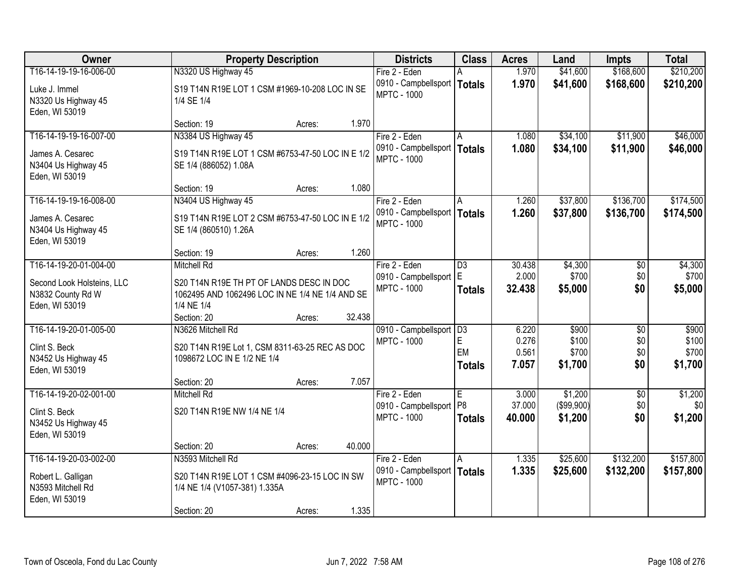| Owner                                                                                       | <b>Property Description</b>                                                                                                     |        |        | <b>Districts</b>                                                     | <b>Class</b>                          | <b>Acres</b>                     | Land                               | <b>Impts</b>                         | <b>Total</b>                       |
|---------------------------------------------------------------------------------------------|---------------------------------------------------------------------------------------------------------------------------------|--------|--------|----------------------------------------------------------------------|---------------------------------------|----------------------------------|------------------------------------|--------------------------------------|------------------------------------|
| T16-14-19-19-16-006-00                                                                      | N3320 US Highway 45                                                                                                             |        |        | Fire 2 - Eden                                                        |                                       | 1.970                            | \$41,600                           | \$168,600                            | \$210,200                          |
| Luke J. Immel<br>N3320 Us Highway 45<br>Eden, WI 53019                                      | S19 T14N R19E LOT 1 CSM #1969-10-208 LOC IN SE<br>1/4 SE 1/4                                                                    |        |        | 0910 - Campbellsport   Totals<br><b>MPTC - 1000</b>                  |                                       | 1.970                            | \$41,600                           | \$168,600                            | \$210,200                          |
|                                                                                             | Section: 19                                                                                                                     | Acres: | 1.970  |                                                                      |                                       |                                  |                                    |                                      |                                    |
| T16-14-19-19-16-007-00<br>James A. Cesarec<br>N3404 Us Highway 45<br>Eden, WI 53019         | N3384 US Highway 45<br>S19 T14N R19E LOT 1 CSM #6753-47-50 LOC IN E 1/2<br>SE 1/4 (886052) 1.08A                                |        |        | Fire 2 - Eden<br>0910 - Campbellsport   Totals<br><b>MPTC - 1000</b> |                                       | 1.080<br>1.080                   | \$34,100<br>\$34,100               | \$11,900<br>\$11,900                 | \$46,000<br>\$46,000               |
|                                                                                             | Section: 19                                                                                                                     | Acres: | 1.080  |                                                                      |                                       |                                  |                                    |                                      |                                    |
| T16-14-19-19-16-008-00                                                                      | N3404 US Highway 45                                                                                                             |        |        | Fire 2 - Eden                                                        | A                                     | 1.260                            | \$37,800                           | \$136,700                            | \$174,500                          |
| James A. Cesarec<br>N3404 Us Highway 45<br>Eden, WI 53019                                   | S19 T14N R19E LOT 2 CSM #6753-47-50 LOC IN E 1/2<br>SE 1/4 (860510) 1.26A                                                       |        |        | 0910 - Campbellsport   Totals<br><b>MPTC - 1000</b>                  |                                       | 1.260                            | \$37,800                           | \$136,700                            | \$174,500                          |
|                                                                                             | Section: 19                                                                                                                     | Acres: | 1.260  |                                                                      |                                       |                                  |                                    |                                      |                                    |
| T16-14-19-20-01-004-00<br>Second Look Holsteins, LLC<br>N3832 County Rd W<br>Eden, WI 53019 | <b>Mitchell Rd</b><br>S20 T14N R19E TH PT OF LANDS DESC IN DOC<br>1062495 AND 1062496 LOC IN NE 1/4 NE 1/4 AND SE<br>1/4 NE 1/4 |        |        | Fire 2 - Eden<br>0910 - Campbellsport<br><b>MPTC - 1000</b>          | $\overline{D3}$<br>E<br><b>Totals</b> | 30.438<br>2.000<br>32.438        | \$4,300<br>\$700<br>\$5,000        | \$0<br>\$0<br>\$0                    | \$4,300<br>\$700<br>\$5,000        |
|                                                                                             | Section: 20                                                                                                                     | Acres: | 32.438 |                                                                      |                                       |                                  |                                    |                                      |                                    |
| T16-14-19-20-01-005-00<br>Clint S. Beck<br>N3452 Us Highway 45<br>Eden, WI 53019            | N3626 Mitchell Rd<br>S20 T14N R19E Lot 1, CSM 8311-63-25 REC AS DOC<br>1098672 LOC IN E 1/2 NE 1/4<br>Section: 20               | Acres: | 7.057  | 0910 - Campbellsport   D3<br><b>MPTC - 1000</b>                      | E<br>EM<br><b>Totals</b>              | 6.220<br>0.276<br>0.561<br>7.057 | \$900<br>\$100<br>\$700<br>\$1,700 | $\overline{50}$<br>\$0<br>\$0<br>\$0 | \$900<br>\$100<br>\$700<br>\$1,700 |
| T16-14-19-20-02-001-00                                                                      | <b>Mitchell Rd</b>                                                                                                              |        |        | Fire 2 - Eden                                                        | E                                     | 3.000                            | \$1,200                            | $\overline{50}$                      | \$1,200                            |
| Clint S. Beck<br>N3452 Us Highway 45<br>Eden, WI 53019                                      | S20 T14N R19E NW 1/4 NE 1/4                                                                                                     |        |        | 0910 - Campbellsport<br><b>MPTC - 1000</b>                           | P <sub>8</sub><br><b>Totals</b>       | 37.000<br>40.000                 | (\$99,900)<br>\$1,200              | \$0<br>\$0                           | \$0<br>\$1,200                     |
|                                                                                             | Section: 20                                                                                                                     | Acres: | 40.000 |                                                                      |                                       |                                  |                                    |                                      |                                    |
| T16-14-19-20-03-002-00<br>Robert L. Galligan<br>N3593 Mitchell Rd<br>Eden, WI 53019         | N3593 Mitchell Rd<br>S20 T14N R19E LOT 1 CSM #4096-23-15 LOC IN SW<br>1/4 NE 1/4 (V1057-381) 1.335A<br>Section: 20              | Acres: | 1.335  | Fire 2 - Eden<br>0910 - Campbellsport   Totals<br><b>MPTC - 1000</b> | l A                                   | 1.335<br>1.335                   | \$25,600<br>\$25,600               | \$132,200<br>\$132,200               | \$157,800<br>\$157,800             |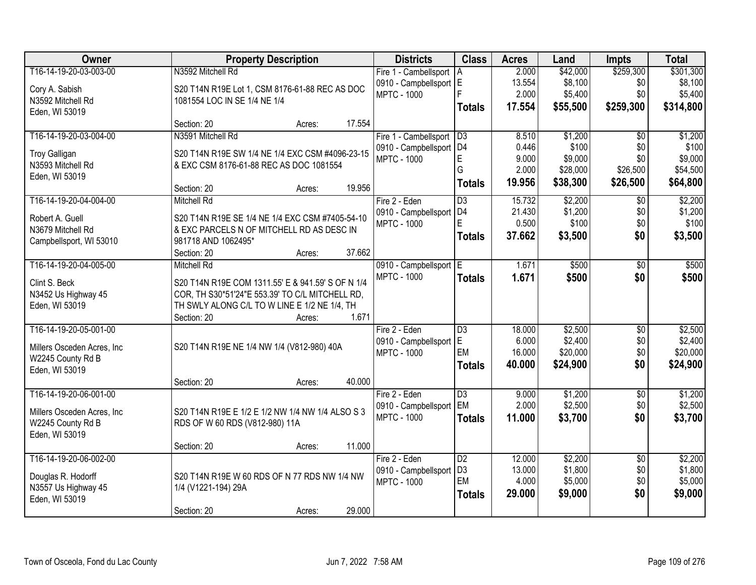| Owner                                            | <b>Property Description</b>                       | <b>Districts</b> | <b>Class</b> | <b>Acres</b>              | Land            | <b>Impts</b> | <b>Total</b> |                 |           |
|--------------------------------------------------|---------------------------------------------------|------------------|--------------|---------------------------|-----------------|--------------|--------------|-----------------|-----------|
| T16-14-19-20-03-003-00                           | N3592 Mitchell Rd                                 |                  |              | Fire 1 - Cambellsport     | A               | 2.000        | \$42,000     | \$259,300       | \$301,300 |
| Cory A. Sabish                                   | S20 T14N R19E Lot 1, CSM 8176-61-88 REC AS DOC    |                  |              | 0910 - Campbellsport E    |                 | 13.554       | \$8,100      | \$0             | \$8,100   |
| N3592 Mitchell Rd                                | 1081554 LOC IN SE 1/4 NE 1/4                      |                  |              | <b>MPTC - 1000</b>        |                 | 2.000        | \$5,400      | \$0             | \$5,400   |
| Eden, WI 53019                                   |                                                   |                  |              |                           | <b>Totals</b>   | 17.554       | \$55,500     | \$259,300       | \$314,800 |
|                                                  | Section: 20                                       | Acres:           | 17.554       |                           |                 |              |              |                 |           |
| T16-14-19-20-03-004-00                           | N3591 Mitchell Rd                                 |                  |              | Fire 1 - Cambellsport     | D3              | 8.510        | \$1,200      | $\overline{50}$ | \$1,200   |
| <b>Troy Galligan</b>                             | S20 T14N R19E SW 1/4 NE 1/4 EXC CSM #4096-23-15   |                  |              | 0910 - Campbellsport   D4 |                 | 0.446        | \$100        | \$0             | \$100     |
| N3593 Mitchell Rd                                | & EXC CSM 8176-61-88 REC AS DOC 1081554           |                  |              | <b>MPTC - 1000</b>        | E               | 9.000        | \$9,000      | \$0             | \$9,000   |
| Eden, WI 53019                                   |                                                   |                  |              |                           | G               | 2.000        | \$28,000     | \$26,500        | \$54,500  |
|                                                  | Section: 20                                       | Acres:           | 19.956       |                           | <b>Totals</b>   | 19.956       | \$38,300     | \$26,500        | \$64,800  |
| T16-14-19-20-04-004-00                           | <b>Mitchell Rd</b>                                |                  |              | Fire 2 - Eden             | $\overline{D3}$ | 15.732       | \$2,200      | $\sqrt{6}$      | \$2,200   |
| Robert A. Guell                                  | S20 T14N R19E SE 1/4 NE 1/4 EXC CSM #7405-54-10   |                  |              | 0910 - Campbellsport   D4 |                 | 21.430       | \$1,200      | \$0             | \$1,200   |
| N3679 Mitchell Rd                                | & EXC PARCELS N OF MITCHELL RD AS DESC IN         |                  |              | <b>MPTC - 1000</b>        | F               | 0.500        | \$100        | \$0             | \$100     |
| Campbellsport, WI 53010                          | 981718 AND 1062495*                               |                  |              |                           | <b>Totals</b>   | 37.662       | \$3,500      | \$0             | \$3,500   |
|                                                  | Section: 20                                       | Acres:           | 37.662       |                           |                 |              |              |                 |           |
| T16-14-19-20-04-005-00                           | <b>Mitchell Rd</b>                                |                  |              | 0910 - Campbellsport E    |                 | 1.671        | \$500        | \$0             | \$500     |
| Clint S. Beck                                    | S20 T14N R19E COM 1311.55' E & 941.59' S OF N 1/4 |                  |              | <b>MPTC - 1000</b>        | <b>Totals</b>   | 1.671        | \$500        | \$0             | \$500     |
| N3452 Us Highway 45                              | COR, TH S30*51'24"E 553.39' TO C/L MITCHELL RD,   |                  |              |                           |                 |              |              |                 |           |
| Eden, WI 53019                                   | TH SWLY ALONG C/L TO W LINE E 1/2 NE 1/4, TH      |                  |              |                           |                 |              |              |                 |           |
|                                                  | Section: 20                                       | Acres:           | 1.671        |                           |                 |              |              |                 |           |
| T16-14-19-20-05-001-00                           |                                                   |                  |              | Fire 2 - Eden             | $\overline{D3}$ | 18.000       | \$2,500      | $\overline{50}$ | \$2,500   |
|                                                  |                                                   |                  |              | 0910 - Campbellsport      | E               | 6.000        | \$2,400      | \$0             | \$2,400   |
| Millers Osceden Acres, Inc.<br>W2245 County Rd B | S20 T14N R19E NE 1/4 NW 1/4 (V812-980) 40A        |                  |              | <b>MPTC - 1000</b>        | EM              | 16.000       | \$20,000     | \$0             | \$20,000  |
| Eden, WI 53019                                   |                                                   |                  |              |                           | <b>Totals</b>   | 40.000       | \$24,900     | \$0             | \$24,900  |
|                                                  | Section: 20                                       | Acres:           | 40.000       |                           |                 |              |              |                 |           |
| T16-14-19-20-06-001-00                           |                                                   |                  |              | Fire 2 - Eden             | $\overline{D3}$ | 9.000        | \$1,200      | $\overline{50}$ | \$1,200   |
| Millers Osceden Acres, Inc.                      | S20 T14N R19E E 1/2 E 1/2 NW 1/4 NW 1/4 ALSO S 3  |                  |              | 0910 - Campbellsport      | EM              | 2.000        | \$2,500      | \$0             | \$2,500   |
| W2245 County Rd B                                | RDS OF W 60 RDS (V812-980) 11A                    |                  |              | <b>MPTC - 1000</b>        | <b>Totals</b>   | 11.000       | \$3,700      | \$0             | \$3,700   |
| Eden, WI 53019                                   |                                                   |                  |              |                           |                 |              |              |                 |           |
|                                                  | Section: 20                                       | Acres:           | 11.000       |                           |                 |              |              |                 |           |
| T16-14-19-20-06-002-00                           |                                                   |                  |              | Fire 2 - Eden             | $\overline{D2}$ | 12.000       | \$2,200      | $\overline{50}$ | \$2,200   |
| Douglas R. Hodorff                               | S20 T14N R19E W 60 RDS OF N 77 RDS NW 1/4 NW      |                  |              | 0910 - Campbellsport      | D <sub>3</sub>  | 13.000       | \$1,800      | \$0             | \$1,800   |
| N3557 Us Highway 45                              | 1/4 (V1221-194) 29A                               |                  |              | <b>MPTC - 1000</b>        | EM              | 4.000        | \$5,000      | \$0             | \$5,000   |
| Eden, WI 53019                                   |                                                   |                  |              |                           | <b>Totals</b>   | 29.000       | \$9,000      | \$0             | \$9,000   |
|                                                  | Section: 20                                       | Acres:           | 29.000       |                           |                 |              |              |                 |           |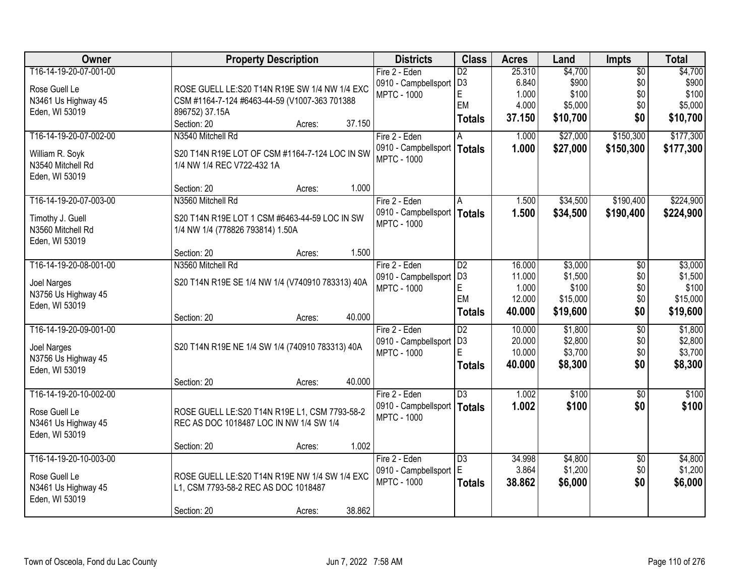| Owner                  | <b>Property Description</b>                      | <b>Districts</b>                             | <b>Class</b>    | <b>Acres</b> | Land     | Impts           | <b>Total</b> |
|------------------------|--------------------------------------------------|----------------------------------------------|-----------------|--------------|----------|-----------------|--------------|
| T16-14-19-20-07-001-00 |                                                  | Fire 2 - Eden                                | $\overline{D2}$ | 25.310       | \$4,700  | $\overline{50}$ | \$4,700      |
| Rose Guell Le          | ROSE GUELL LE:S20 T14N R19E SW 1/4 NW 1/4 EXC    | 0910 - Campbellsport                         | D <sub>3</sub>  | 6.840        | \$900    | \$0             | \$900        |
| N3461 Us Highway 45    | CSM #1164-7-124 #6463-44-59 (V1007-363 701388    | <b>MPTC - 1000</b>                           | E               | 1.000        | \$100    | \$0             | \$100        |
| Eden, WI 53019         | 896752) 37.15A                                   |                                              | EM              | 4.000        | \$5,000  | \$0             | \$5,000      |
|                        | Section: 20<br>37.150<br>Acres:                  |                                              | <b>Totals</b>   | 37.150       | \$10,700 | \$0             | \$10,700     |
| T16-14-19-20-07-002-00 | N3540 Mitchell Rd                                | Fire 2 - Eden                                |                 | 1.000        | \$27,000 | \$150,300       | \$177,300    |
| William R. Soyk        | S20 T14N R19E LOT OF CSM #1164-7-124 LOC IN SW   | 0910 - Campbellsport                         | Totals          | 1.000        | \$27,000 | \$150,300       | \$177,300    |
| N3540 Mitchell Rd      | 1/4 NW 1/4 REC V722-432 1A                       | <b>MPTC - 1000</b>                           |                 |              |          |                 |              |
| Eden, WI 53019         |                                                  |                                              |                 |              |          |                 |              |
|                        | 1.000<br>Section: 20<br>Acres:                   |                                              |                 |              |          |                 |              |
| T16-14-19-20-07-003-00 | N3560 Mitchell Rd                                | Fire 2 - Eden                                | A               | 1.500        | \$34,500 | \$190,400       | \$224,900    |
| Timothy J. Guell       | S20 T14N R19E LOT 1 CSM #6463-44-59 LOC IN SW    | 0910 - Campbellsport                         | <b>Totals</b>   | 1.500        | \$34,500 | \$190,400       | \$224,900    |
| N3560 Mitchell Rd      | 1/4 NW 1/4 (778826 793814) 1.50A                 | <b>MPTC - 1000</b>                           |                 |              |          |                 |              |
| Eden, WI 53019         |                                                  |                                              |                 |              |          |                 |              |
|                        | 1.500<br>Section: 20<br>Acres:                   |                                              |                 |              |          |                 |              |
| T16-14-19-20-08-001-00 | N3560 Mitchell Rd                                | Fire 2 - Eden                                | D2              | 16.000       | \$3,000  | \$0             | \$3,000      |
|                        |                                                  | 0910 - Campbellsport                         | D <sub>3</sub>  | 11.000       | \$1,500  | \$0             | \$1,500      |
| Joel Narges            | S20 T14N R19E SE 1/4 NW 1/4 (V740910 783313) 40A | <b>MPTC - 1000</b>                           | E               | 1.000        | \$100    | \$0             | \$100        |
| N3756 Us Highway 45    |                                                  |                                              | EM              | 12.000       | \$15,000 | \$0             | \$15,000     |
| Eden, WI 53019         | 40.000<br>Section: 20<br>Acres:                  |                                              | <b>Totals</b>   | 40.000       | \$19,600 | \$0             | \$19,600     |
| T16-14-19-20-09-001-00 |                                                  | Fire 2 - Eden                                | $\overline{D2}$ | 10.000       | \$1,800  | $\overline{50}$ | \$1,800      |
|                        |                                                  | 0910 - Campbellsport                         | D <sub>3</sub>  | 20.000       | \$2,800  | \$0             | \$2,800      |
| Joel Narges            | S20 T14N R19E NE 1/4 SW 1/4 (740910 783313) 40A  | <b>MPTC - 1000</b>                           | E               | 10.000       | \$3,700  | \$0             | \$3,700      |
| N3756 Us Highway 45    |                                                  |                                              | <b>Totals</b>   | 40.000       | \$8,300  | \$0             | \$8,300      |
| Eden, WI 53019         |                                                  |                                              |                 |              |          |                 |              |
|                        | 40.000<br>Section: 20<br>Acres:                  |                                              |                 |              |          |                 |              |
| T16-14-19-20-10-002-00 |                                                  | Fire 2 - Eden                                | $\overline{D3}$ | 1.002        | \$100    | $\overline{50}$ | \$100        |
| Rose Guell Le          | ROSE GUELL LE: S20 T14N R19E L1, CSM 7793-58-2   | 0910 - Campbellsport  <br><b>MPTC - 1000</b> | <b>Totals</b>   | 1.002        | \$100    | \$0             | \$100        |
| N3461 Us Highway 45    | REC AS DOC 1018487 LOC IN NW 1/4 SW 1/4          |                                              |                 |              |          |                 |              |
| Eden, WI 53019         |                                                  |                                              |                 |              |          |                 |              |
|                        | 1.002<br>Section: 20<br>Acres:                   |                                              |                 |              |          |                 |              |
| T16-14-19-20-10-003-00 |                                                  | Fire 2 - Eden                                | $\overline{D3}$ | 34.998       | \$4,800  | $\overline{50}$ | \$4,800      |
| Rose Guell Le          | ROSE GUELL LE:S20 T14N R19E NW 1/4 SW 1/4 EXC    | 0910 - Campbellsport                         | E               | 3.864        | \$1,200  | \$0             | \$1,200      |
| N3461 Us Highway 45    | L1, CSM 7793-58-2 REC AS DOC 1018487             | <b>MPTC - 1000</b>                           | <b>Totals</b>   | 38.862       | \$6,000  | \$0             | \$6,000      |
| Eden, WI 53019         |                                                  |                                              |                 |              |          |                 |              |
|                        | 38.862<br>Section: 20<br>Acres:                  |                                              |                 |              |          |                 |              |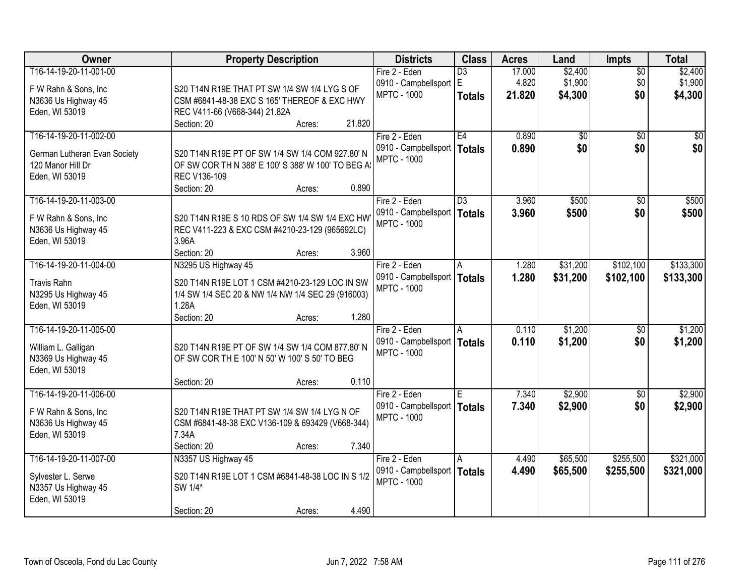| Owner                                        | <b>Property Description</b>                                                                      | <b>Districts</b>                                    | <b>Class</b>    | <b>Acres</b> | Land            | <b>Impts</b>    | <b>Total</b>    |
|----------------------------------------------|--------------------------------------------------------------------------------------------------|-----------------------------------------------------|-----------------|--------------|-----------------|-----------------|-----------------|
| T16-14-19-20-11-001-00                       |                                                                                                  | Fire 2 - Eden                                       | $\overline{D3}$ | 17.000       | \$2,400         | \$0             | \$2,400         |
| F W Rahn & Sons, Inc.                        | S20 T14N R19E THAT PT SW 1/4 SW 1/4 LYG S OF                                                     | 0910 - Campbellsport E                              |                 | 4.820        | \$1,900         | \$0             | \$1,900         |
| N3636 Us Highway 45                          | CSM #6841-48-38 EXC S 165' THEREOF & EXC HWY                                                     | <b>MPTC - 1000</b>                                  | <b>Totals</b>   | 21.820       | \$4,300         | \$0             | \$4,300         |
| Eden, WI 53019                               | REC V411-66 (V668-344) 21.82A                                                                    |                                                     |                 |              |                 |                 |                 |
|                                              | 21.820<br>Section: 20<br>Acres:                                                                  |                                                     |                 |              |                 |                 |                 |
| T16-14-19-20-11-002-00                       |                                                                                                  | Fire 2 - Eden                                       | E4              | 0.890        | $\overline{50}$ | $\overline{50}$ | $\overline{30}$ |
| German Lutheran Evan Society                 | S20 T14N R19E PT OF SW 1/4 SW 1/4 COM 927.80' N                                                  | 0910 - Campbellsport                                | Totals          | 0.890        | \$0             | \$0             | \$0             |
| 120 Manor Hill Dr                            | OF SW COR TH N 388' E 100' S 388' W 100' TO BEG A!                                               | <b>MPTC - 1000</b>                                  |                 |              |                 |                 |                 |
| Eden, WI 53019                               | REC V136-109                                                                                     |                                                     |                 |              |                 |                 |                 |
|                                              | 0.890<br>Section: 20<br>Acres:                                                                   |                                                     |                 |              |                 |                 |                 |
| T16-14-19-20-11-003-00                       |                                                                                                  | Fire 2 - Eden                                       | D3              | 3.960        | \$500           | \$0             | \$500           |
|                                              |                                                                                                  | 0910 - Campbellsport   Totals                       |                 | 3.960        | \$500           | \$0             | \$500           |
| F W Rahn & Sons, Inc.<br>N3636 Us Highway 45 | S20 T14N R19E S 10 RDS OF SW 1/4 SW 1/4 EXC HW<br>REC V411-223 & EXC CSM #4210-23-129 (965692LC) | <b>MPTC - 1000</b>                                  |                 |              |                 |                 |                 |
| Eden, WI 53019                               | 3.96A                                                                                            |                                                     |                 |              |                 |                 |                 |
|                                              | Section: 20<br>3.960<br>Acres:                                                                   |                                                     |                 |              |                 |                 |                 |
| T16-14-19-20-11-004-00                       | N3295 US Highway 45                                                                              | Fire 2 - Eden                                       | A               | 1.280        | \$31,200        | \$102,100       | \$133,300       |
|                                              |                                                                                                  | 0910 - Campbellsport                                | Totals          | 1.280        | \$31,200        | \$102,100       | \$133,300       |
| <b>Travis Rahn</b>                           | S20 T14N R19E LOT 1 CSM #4210-23-129 LOC IN SW                                                   | <b>MPTC - 1000</b>                                  |                 |              |                 |                 |                 |
| N3295 Us Highway 45                          | 1/4 SW 1/4 SEC 20 & NW 1/4 NW 1/4 SEC 29 (916003)<br>1.28A                                       |                                                     |                 |              |                 |                 |                 |
| Eden, WI 53019                               | 1.280<br>Section: 20<br>Acres:                                                                   |                                                     |                 |              |                 |                 |                 |
| T16-14-19-20-11-005-00                       |                                                                                                  | Fire 2 - Eden                                       | A               | 0.110        | \$1,200         | $\overline{50}$ | \$1,200         |
|                                              |                                                                                                  | 0910 - Campbellsport   Totals                       |                 | 0.110        | \$1,200         | \$0             | \$1,200         |
| William L. Galligan                          | S20 T14N R19E PT OF SW 1/4 SW 1/4 COM 877.80' N                                                  | <b>MPTC - 1000</b>                                  |                 |              |                 |                 |                 |
| N3369 Us Highway 45                          | OF SW COR TH E 100' N 50' W 100' S 50' TO BEG                                                    |                                                     |                 |              |                 |                 |                 |
| Eden, WI 53019                               |                                                                                                  |                                                     |                 |              |                 |                 |                 |
|                                              | 0.110<br>Section: 20<br>Acres:                                                                   |                                                     |                 |              |                 |                 |                 |
| T16-14-19-20-11-006-00                       |                                                                                                  | Fire 2 - Eden                                       | ΙE              | 7.340        | \$2,900         | $\overline{50}$ | \$2,900         |
| F W Rahn & Sons, Inc                         | S20 T14N R19E THAT PT SW 1/4 SW 1/4 LYG N OF                                                     | 0910 - Campbellsport   Totals<br><b>MPTC - 1000</b> |                 | 7.340        | \$2,900         | \$0             | \$2,900         |
| N3636 Us Highway 45                          | CSM #6841-48-38 EXC V136-109 & 693429 (V668-344)                                                 |                                                     |                 |              |                 |                 |                 |
| Eden, WI 53019                               | 7.34A                                                                                            |                                                     |                 |              |                 |                 |                 |
|                                              | Section: 20<br>7.340<br>Acres:                                                                   |                                                     |                 |              |                 |                 |                 |
| T16-14-19-20-11-007-00                       | N3357 US Highway 45                                                                              | Fire 2 - Eden                                       | A               | 4.490        | \$65,500        | \$255,500       | \$321,000       |
| Sylvester L. Serwe                           | S20 T14N R19E LOT 1 CSM #6841-48-38 LOC IN S 1/2                                                 | 0910 - Campbellsport                                | Totals          | 4.490        | \$65,500        | \$255,500       | \$321,000       |
| N3357 Us Highway 45                          | SW 1/4*                                                                                          | <b>MPTC - 1000</b>                                  |                 |              |                 |                 |                 |
| Eden, WI 53019                               |                                                                                                  |                                                     |                 |              |                 |                 |                 |
|                                              | 4.490<br>Section: 20<br>Acres:                                                                   |                                                     |                 |              |                 |                 |                 |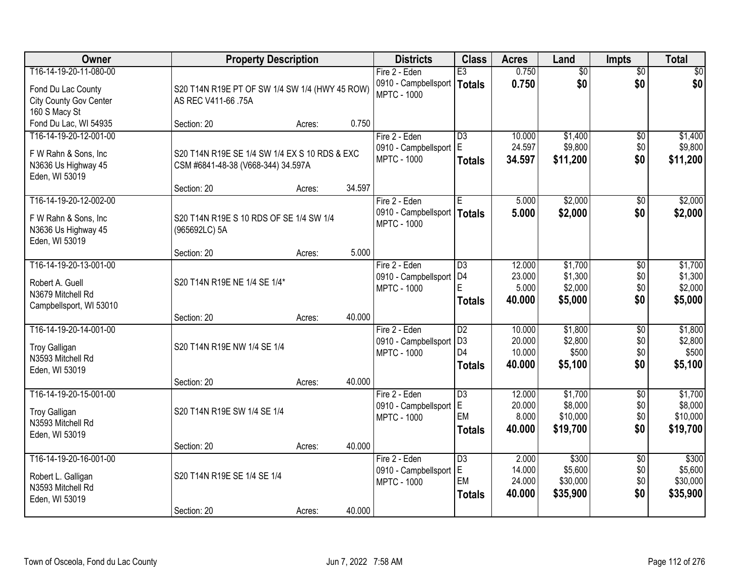| Owner                         | <b>Property Description</b>                    |        |        | <b>Districts</b>              | <b>Class</b>    | <b>Acres</b> | Land            | <b>Impts</b>    | <b>Total</b> |
|-------------------------------|------------------------------------------------|--------|--------|-------------------------------|-----------------|--------------|-----------------|-----------------|--------------|
| T16-14-19-20-11-080-00        |                                                |        |        | Fire 2 - Eden                 | E3              | 0.750        | $\overline{50}$ | $\overline{50}$ | $\sqrt{30}$  |
| Fond Du Lac County            | S20 T14N R19E PT OF SW 1/4 SW 1/4 (HWY 45 ROW) |        |        | 0910 - Campbellsport   Totals |                 | 0.750        | \$0             | \$0             | \$0          |
| <b>City County Gov Center</b> | AS REC V411-66 .75A                            |        |        | <b>MPTC - 1000</b>            |                 |              |                 |                 |              |
| 160 S Macy St                 |                                                |        |        |                               |                 |              |                 |                 |              |
| Fond Du Lac, WI 54935         | Section: 20                                    | Acres: | 0.750  |                               |                 |              |                 |                 |              |
| T16-14-19-20-12-001-00        |                                                |        |        | Fire 2 - Eden                 | $\overline{D3}$ | 10.000       | \$1,400         | \$0             | \$1,400      |
| F W Rahn & Sons, Inc          | S20 T14N R19E SE 1/4 SW 1/4 EX S 10 RDS & EXC  |        |        | 0910 - Campbellsport          | lE.             | 24.597       | \$9,800         | \$0             | \$9,800      |
| N3636 Us Highway 45           | CSM #6841-48-38 (V668-344) 34.597A             |        |        | <b>MPTC - 1000</b>            | <b>Totals</b>   | 34.597       | \$11,200        | \$0             | \$11,200     |
| Eden, WI 53019                |                                                |        |        |                               |                 |              |                 |                 |              |
|                               | Section: 20                                    | Acres: | 34.597 |                               |                 |              |                 |                 |              |
| T16-14-19-20-12-002-00        |                                                |        |        | Fire 2 - Eden                 | E               | 5.000        | \$2,000         | \$0             | \$2,000      |
| F W Rahn & Sons, Inc          | S20 T14N R19E S 10 RDS OF SE 1/4 SW 1/4        |        |        | 0910 - Campbellsport   Totals |                 | 5.000        | \$2,000         | \$0             | \$2,000      |
| N3636 Us Highway 45           | (965692LC) 5A                                  |        |        | <b>MPTC - 1000</b>            |                 |              |                 |                 |              |
| Eden, WI 53019                |                                                |        |        |                               |                 |              |                 |                 |              |
|                               | Section: 20                                    | Acres: | 5.000  |                               |                 |              |                 |                 |              |
| T16-14-19-20-13-001-00        |                                                |        |        | Fire 2 - Eden                 | $\overline{D3}$ | 12.000       | \$1,700         | \$0             | \$1,700      |
| Robert A. Guell               | S20 T14N R19E NE 1/4 SE 1/4*                   |        |        | 0910 - Campbellsport          | D <sub>4</sub>  | 23.000       | \$1,300         | \$0             | \$1,300      |
| N3679 Mitchell Rd             |                                                |        |        | <b>MPTC - 1000</b>            | E               | 5.000        | \$2,000         | \$0             | \$2,000      |
| Campbellsport, WI 53010       |                                                |        |        |                               | <b>Totals</b>   | 40.000       | \$5,000         | \$0             | \$5,000      |
|                               | Section: 20                                    | Acres: | 40.000 |                               |                 |              |                 |                 |              |
| T16-14-19-20-14-001-00        |                                                |        |        | Fire 2 - Eden                 | $\overline{D2}$ | 10.000       | \$1,800         | $\overline{30}$ | \$1,800      |
| <b>Troy Galligan</b>          | S20 T14N R19E NW 1/4 SE 1/4                    |        |        | 0910 - Campbellsport          | D <sub>3</sub>  | 20.000       | \$2,800         | \$0             | \$2,800      |
| N3593 Mitchell Rd             |                                                |        |        | <b>MPTC - 1000</b>            | D <sub>4</sub>  | 10.000       | \$500           | \$0             | \$500        |
| Eden, WI 53019                |                                                |        |        |                               | <b>Totals</b>   | 40.000       | \$5,100         | \$0             | \$5,100      |
|                               | Section: 20                                    | Acres: | 40.000 |                               |                 |              |                 |                 |              |
| T16-14-19-20-15-001-00        |                                                |        |        | Fire 2 - Eden                 | $\overline{D3}$ | 12.000       | \$1,700         | $\sqrt{6}$      | \$1,700      |
| <b>Troy Galligan</b>          | S20 T14N R19E SW 1/4 SE 1/4                    |        |        | 0910 - Campbellsport          | IE.             | 20.000       | \$8,000         | \$0             | \$8,000      |
| N3593 Mitchell Rd             |                                                |        |        | <b>MPTC - 1000</b>            | EM              | 8.000        | \$10,000        | \$0             | \$10,000     |
| Eden, WI 53019                |                                                |        |        |                               | Totals          | 40.000       | \$19,700        | \$0             | \$19,700     |
|                               | Section: 20                                    | Acres: | 40.000 |                               |                 |              |                 |                 |              |
| T16-14-19-20-16-001-00        |                                                |        |        | Fire 2 - Eden                 | $\overline{D3}$ | 2.000        | \$300           | $\overline{50}$ | \$300        |
| Robert L. Galligan            | S20 T14N R19E SE 1/4 SE 1/4                    |        |        | 0910 - Campbellsport          | E.              | 14.000       | \$5,600         | \$0             | \$5,600      |
| N3593 Mitchell Rd             |                                                |        |        | <b>MPTC - 1000</b>            | EM              | 24.000       | \$30,000        | \$0             | \$30,000     |
| Eden, WI 53019                |                                                |        |        |                               | <b>Totals</b>   | 40.000       | \$35,900        | \$0             | \$35,900     |
|                               | Section: 20                                    | Acres: | 40.000 |                               |                 |              |                 |                 |              |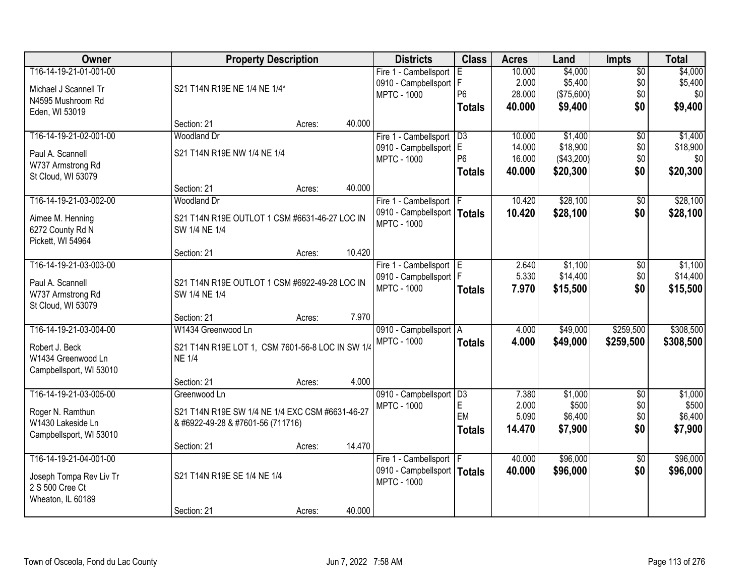| Owner                   |                                                  | <b>Property Description</b> |        | <b>Districts</b>                                    | <b>Class</b>   | <b>Acres</b>   | Land             | <b>Impts</b>    | <b>Total</b>     |
|-------------------------|--------------------------------------------------|-----------------------------|--------|-----------------------------------------------------|----------------|----------------|------------------|-----------------|------------------|
| T16-14-19-21-01-001-00  |                                                  |                             |        | Fire 1 - Cambellsport                               | E.             | 10.000         | \$4,000          | $\overline{50}$ | \$4,000          |
| Michael J Scannell Tr   | S21 T14N R19E NE 1/4 NE 1/4*                     |                             |        | 0910 - Campbellsport   F                            |                | 2.000          | \$5,400          | \$0             | \$5,400          |
| N4595 Mushroom Rd       |                                                  |                             |        | <b>MPTC - 1000</b>                                  | P <sub>6</sub> | 28.000         | (\$75,600)       | \$0             | \$0              |
| Eden, WI 53019          |                                                  |                             |        |                                                     | <b>Totals</b>  | 40.000         | \$9,400          | \$0             | \$9,400          |
|                         | Section: 21                                      | Acres:                      | 40.000 |                                                     |                |                |                  |                 |                  |
| T16-14-19-21-02-001-00  | <b>Woodland Dr</b>                               |                             |        | Fire 1 - Cambellsport                               | D3             | 10.000         | \$1,400          | $\overline{50}$ | \$1,400          |
| Paul A. Scannell        | S21 T14N R19E NW 1/4 NE 1/4                      |                             |        | 0910 - Campbellsport E                              |                | 14.000         | \$18,900         | \$0             | \$18,900         |
| W737 Armstrong Rd       |                                                  |                             |        | <b>MPTC - 1000</b>                                  | P <sub>6</sub> | 16.000         | (\$43,200)       | \$0             | \$0              |
| St Cloud, WI 53079      |                                                  |                             |        |                                                     | <b>Totals</b>  | 40.000         | \$20,300         | \$0             | \$20,300         |
|                         | Section: 21                                      | Acres:                      | 40.000 |                                                     |                |                |                  |                 |                  |
| T16-14-19-21-03-002-00  | <b>Woodland Dr</b>                               |                             |        | Fire 1 - Cambellsport   F                           |                | 10.420         | \$28,100         | \$0             | \$28,100         |
| Aimee M. Henning        | S21 T14N R19E OUTLOT 1 CSM #6631-46-27 LOC IN    |                             |        | 0910 - Campbellsport   Totals                       |                | 10.420         | \$28,100         | \$0             | \$28,100         |
| 6272 County Rd N        | SW 1/4 NE 1/4                                    |                             |        | <b>MPTC - 1000</b>                                  |                |                |                  |                 |                  |
| Pickett, WI 54964       |                                                  |                             |        |                                                     |                |                |                  |                 |                  |
|                         | Section: 21                                      | Acres:                      | 10.420 |                                                     |                |                |                  |                 |                  |
| T16-14-19-21-03-003-00  |                                                  |                             |        | Fire 1 - Cambellsport E                             |                | 2.640          | \$1,100          | \$0             | \$1,100          |
| Paul A. Scannell        | S21 T14N R19E OUTLOT 1 CSM #6922-49-28 LOC IN    |                             |        | 0910 - Campbellsport   F                            |                | 5.330          | \$14,400         | \$0             | \$14,400         |
| W737 Armstrong Rd       | SW 1/4 NE 1/4                                    |                             |        | <b>MPTC - 1000</b>                                  | <b>Totals</b>  | 7.970          | \$15,500         | \$0             | \$15,500         |
| St Cloud, WI 53079      |                                                  |                             |        |                                                     |                |                |                  |                 |                  |
|                         | Section: 21                                      | Acres:                      | 7.970  |                                                     |                |                |                  |                 |                  |
| T16-14-19-21-03-004-00  | W1434 Greenwood Ln                               |                             |        | 0910 - Campbellsport   A                            |                | 4.000          | \$49,000         | \$259,500       | \$308,500        |
| Robert J. Beck          | S21 T14N R19E LOT 1, CSM 7601-56-8 LOC IN SW 1/4 |                             |        | <b>MPTC - 1000</b>                                  | <b>Totals</b>  | 4.000          | \$49,000         | \$259,500       | \$308,500        |
| W1434 Greenwood Ln      | <b>NE 1/4</b>                                    |                             |        |                                                     |                |                |                  |                 |                  |
| Campbellsport, WI 53010 |                                                  |                             |        |                                                     |                |                |                  |                 |                  |
|                         | Section: 21                                      | Acres:                      | 4.000  |                                                     |                |                |                  |                 |                  |
| T16-14-19-21-03-005-00  | Greenwood Ln                                     |                             |        | 0910 - Campbellsport D3                             |                | 7.380          | \$1,000          | $\sqrt{6}$      | \$1,000          |
| Roger N. Ramthun        | S21 T14N R19E SW 1/4 NE 1/4 EXC CSM #6631-46-27  |                             |        | <b>MPTC - 1000</b>                                  | E<br>EM        | 2.000<br>5.090 | \$500<br>\$6,400 | \$0<br>\$0      | \$500<br>\$6,400 |
| W1430 Lakeside Ln       | & #6922-49-28 & #7601-56 (711716)                |                             |        |                                                     | <b>Totals</b>  | 14.470         | \$7,900          | \$0             | \$7,900          |
| Campbellsport, WI 53010 |                                                  |                             |        |                                                     |                |                |                  |                 |                  |
|                         | Section: 21                                      | Acres:                      | 14.470 |                                                     |                |                |                  |                 |                  |
| T16-14-19-21-04-001-00  |                                                  |                             |        | Fire 1 - Cambellsport   F                           |                | 40.000         | \$96,000         | $\overline{50}$ | \$96,000         |
| Joseph Tompa Rev Liv Tr | S21 T14N R19E SE 1/4 NE 1/4                      |                             |        | 0910 - Campbellsport   Totals<br><b>MPTC - 1000</b> |                | 40.000         | \$96,000         | \$0             | \$96,000         |
| 2 S 500 Cree Ct         |                                                  |                             |        |                                                     |                |                |                  |                 |                  |
| Wheaton, IL 60189       |                                                  |                             |        |                                                     |                |                |                  |                 |                  |
|                         | Section: 21                                      | Acres:                      | 40.000 |                                                     |                |                |                  |                 |                  |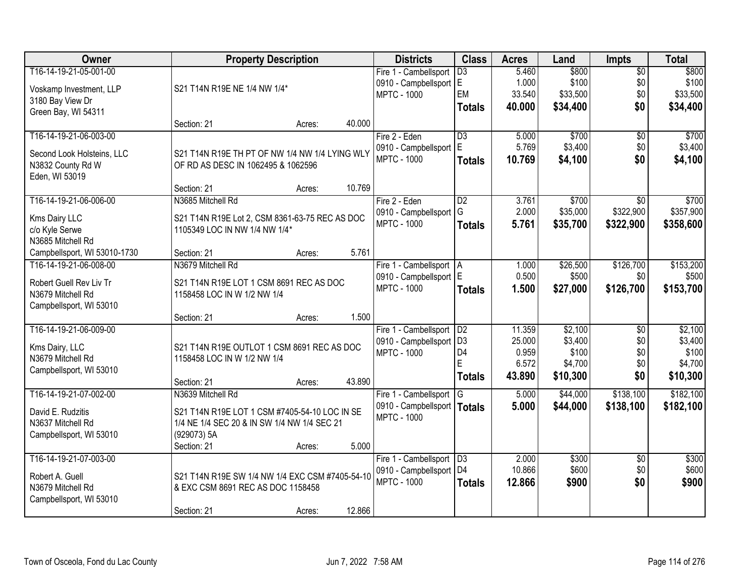| Owner                        | <b>Property Description</b>                     |                  | <b>Districts</b>              | <b>Class</b>         | <b>Acres</b>    | Land             | <b>Impts</b>    | <b>Total</b>     |
|------------------------------|-------------------------------------------------|------------------|-------------------------------|----------------------|-----------------|------------------|-----------------|------------------|
| T16-14-19-21-05-001-00       |                                                 |                  | Fire 1 - Cambellsport         | $\overline{D3}$      | 5.460           | \$800            | $\overline{50}$ | \$800            |
| Voskamp Investment, LLP      | S21 T14N R19E NE 1/4 NW 1/4*                    |                  | 0910 - Campbellsport E        |                      | 1.000           | \$100            | \$0             | \$100            |
| 3180 Bay View Dr             |                                                 |                  | <b>MPTC - 1000</b>            | EM                   | 33.540          | \$33,500         | \$0             | \$33,500         |
| Green Bay, WI 54311          |                                                 |                  |                               | <b>Totals</b>        | 40.000          | \$34,400         | \$0             | \$34,400         |
|                              | Section: 21                                     | 40.000<br>Acres: |                               |                      |                 |                  |                 |                  |
| T16-14-19-21-06-003-00       |                                                 |                  | Fire 2 - Eden                 | $\overline{D3}$      | 5.000           | \$700            | $\overline{50}$ | \$700            |
| Second Look Holsteins, LLC   | S21 T14N R19E TH PT OF NW 1/4 NW 1/4 LYING WLY  |                  | 0910 - Campbellsport          | E                    | 5.769           | \$3,400          | \$0             | \$3,400          |
| N3832 County Rd W            | OF RD AS DESC IN 1062495 & 1062596              |                  | <b>MPTC - 1000</b>            | <b>Totals</b>        | 10.769          | \$4,100          | \$0             | \$4,100          |
| Eden, WI 53019               |                                                 |                  |                               |                      |                 |                  |                 |                  |
|                              | Section: 21                                     | 10.769<br>Acres: |                               |                      |                 |                  |                 |                  |
| T16-14-19-21-06-006-00       | N3685 Mitchell Rd                               |                  | Fire 2 - Eden                 | $\overline{D2}$      | 3.761           | \$700            | $\overline{50}$ | \$700            |
| Kms Dairy LLC                | S21 T14N R19E Lot 2, CSM 8361-63-75 REC AS DOC  |                  | 0910 - Campbellsport          | G                    | 2.000           | \$35,000         | \$322,900       | \$357,900        |
| c/o Kyle Serwe               | 1105349 LOC IN NW 1/4 NW 1/4*                   |                  | <b>MPTC - 1000</b>            | <b>Totals</b>        | 5.761           | \$35,700         | \$322,900       | \$358,600        |
| N3685 Mitchell Rd            |                                                 |                  |                               |                      |                 |                  |                 |                  |
| Campbellsport, WI 53010-1730 | Section: 21                                     | 5.761<br>Acres:  |                               |                      |                 |                  |                 |                  |
| T16-14-19-21-06-008-00       | N3679 Mitchell Rd                               |                  | Fire 1 - Cambellsport   A     |                      | 1.000           | \$26,500         | \$126,700       | \$153,200        |
|                              |                                                 |                  | 0910 - Campbellsport   E      |                      | 0.500           | \$500            | \$0             | \$500            |
| Robert Guell Rev Liv Tr      | S21 T14N R19E LOT 1 CSM 8691 REC AS DOC         |                  | <b>MPTC - 1000</b>            | <b>Totals</b>        | 1.500           | \$27,000         | \$126,700       | \$153,700        |
| N3679 Mitchell Rd            | 1158458 LOC IN W 1/2 NW 1/4                     |                  |                               |                      |                 |                  |                 |                  |
| Campbellsport, WI 53010      |                                                 |                  |                               |                      |                 |                  |                 |                  |
|                              | Section: 21                                     | 1.500<br>Acres:  |                               |                      |                 |                  |                 |                  |
| T16-14-19-21-06-009-00       |                                                 |                  | Fire 1 - Cambellsport         | D <sub>2</sub>       | 11.359          | \$2,100          | $\overline{50}$ | \$2,100          |
| Kms Dairy, LLC               | S21 T14N R19E OUTLOT 1 CSM 8691 REC AS DOC      |                  | 0910 - Campbellsport          | D <sub>3</sub><br>D4 | 25.000<br>0.959 | \$3,400<br>\$100 | \$0<br>\$0      | \$3,400<br>\$100 |
| N3679 Mitchell Rd            | 1158458 LOC IN W 1/2 NW 1/4                     |                  | <b>MPTC - 1000</b>            | E                    | 6.572           | \$4,700          | \$0             | \$4,700          |
| Campbellsport, WI 53010      |                                                 |                  |                               |                      | 43.890          |                  | \$0             |                  |
|                              | Section: 21                                     | 43.890<br>Acres: |                               | <b>Totals</b>        |                 | \$10,300         |                 | \$10,300         |
| T16-14-19-21-07-002-00       | N3639 Mitchell Rd                               |                  | Fire 1 - Cambellsport G       |                      | 5.000           | \$44,000         | \$138,100       | \$182,100        |
| David E. Rudzitis            | S21 T14N R19E LOT 1 CSM #7405-54-10 LOC IN SE   |                  | 0910 - Campbellsport   Totals |                      | 5.000           | \$44,000         | \$138,100       | \$182,100        |
| N3637 Mitchell Rd            | 1/4 NE 1/4 SEC 20 & IN SW 1/4 NW 1/4 SEC 21     |                  | <b>MPTC - 1000</b>            |                      |                 |                  |                 |                  |
| Campbellsport, WI 53010      | (929073) 5A                                     |                  |                               |                      |                 |                  |                 |                  |
|                              | Section: 21                                     | 5.000<br>Acres:  |                               |                      |                 |                  |                 |                  |
| T16-14-19-21-07-003-00       |                                                 |                  | Fire 1 - Cambellsport   D3    |                      | 2.000           | \$300            | $\overline{50}$ | \$300            |
| Robert A. Guell              | S21 T14N R19E SW 1/4 NW 1/4 EXC CSM #7405-54-10 |                  | 0910 - Campbellsport   D4     |                      | 10.866          | \$600            | \$0             | \$600            |
| N3679 Mitchell Rd            | & EXC CSM 8691 REC AS DOC 1158458               |                  | <b>MPTC - 1000</b>            | <b>Totals</b>        | 12.866          | \$900            | \$0             | \$900            |
| Campbellsport, WI 53010      |                                                 |                  |                               |                      |                 |                  |                 |                  |
|                              | Section: 21                                     | 12.866<br>Acres: |                               |                      |                 |                  |                 |                  |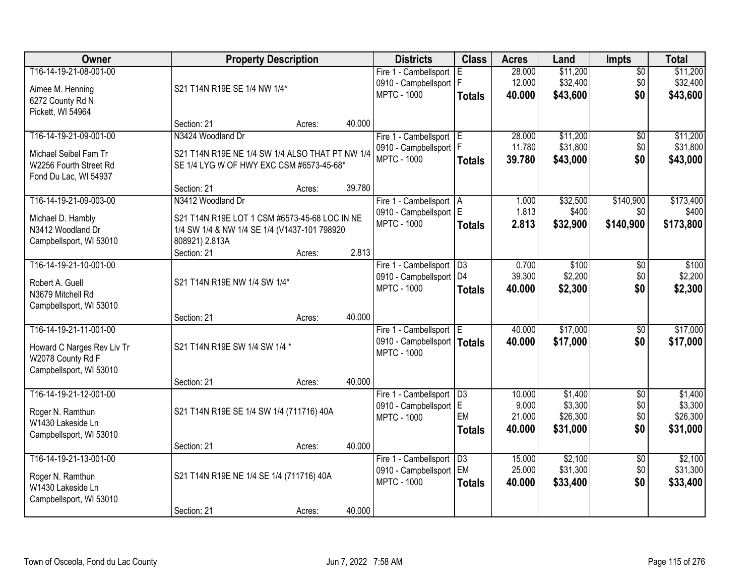| Owner                                                                                                |                                                                                                                 | <b>Property Description</b> |        | <b>Districts</b>                                                                 | <b>Class</b>                           | <b>Acres</b>                        | Land                                       | <b>Impts</b>                    | <b>Total</b>                               |
|------------------------------------------------------------------------------------------------------|-----------------------------------------------------------------------------------------------------------------|-----------------------------|--------|----------------------------------------------------------------------------------|----------------------------------------|-------------------------------------|--------------------------------------------|---------------------------------|--------------------------------------------|
| T16-14-19-21-08-001-00<br>Aimee M. Henning                                                           | S21 T14N R19E SE 1/4 NW 1/4*                                                                                    |                             |        | Fire 1 - Cambellsport<br>0910 - Campbellsport   F<br><b>MPTC - 1000</b>          | Ε<br><b>Totals</b>                     | 28.000<br>12.000<br>40.000          | \$11,200<br>\$32,400<br>\$43,600           | \$0<br>\$0<br>\$0               | \$11,200<br>\$32,400<br>\$43,600           |
| 6272 County Rd N<br>Pickett, WI 54964                                                                | Section: 21                                                                                                     | Acres:                      | 40.000 |                                                                                  |                                        |                                     |                                            |                                 |                                            |
| T16-14-19-21-09-001-00                                                                               | N3424 Woodland Dr                                                                                               |                             |        | Fire 1 - Cambellsport E                                                          |                                        | 28,000                              | \$11,200                                   | \$0                             | \$11,200                                   |
| Michael Seibel Fam Tr<br>W2256 Fourth Street Rd<br>Fond Du Lac, WI 54937                             | S21 T14N R19E NE 1/4 SW 1/4 ALSO THAT PT NW 1/4<br>SE 1/4 LYG W OF HWY EXC CSM #6573-45-68*                     |                             |        | 0910 - Campbellsport   F<br><b>MPTC - 1000</b>                                   | <b>Totals</b>                          | 11.780<br>39.780                    | \$31,800<br>\$43,000                       | \$0<br>\$0                      | \$31,800<br>\$43,000                       |
|                                                                                                      | Section: 21                                                                                                     | Acres:                      | 39.780 |                                                                                  |                                        |                                     |                                            |                                 |                                            |
| T16-14-19-21-09-003-00                                                                               | N3412 Woodland Dr                                                                                               |                             |        | Fire 1 - Cambellsport   A                                                        |                                        | 1.000                               | \$32,500                                   | \$140,900                       | \$173,400                                  |
| Michael D. Hambly<br>N3412 Woodland Dr<br>Campbellsport, WI 53010                                    | S21 T14N R19E LOT 1 CSM #6573-45-68 LOC IN NE<br>1/4 SW 1/4 & NW 1/4 SE 1/4 (V1437-101 798920<br>808921) 2.813A |                             |        | 0910 - Campbellsport E<br><b>MPTC - 1000</b>                                     | <b>Totals</b>                          | 1.813<br>2.813                      | \$400<br>\$32,900                          | \$0<br>\$140,900                | \$400<br>\$173,800                         |
|                                                                                                      | Section: 21                                                                                                     | Acres:                      | 2.813  |                                                                                  |                                        |                                     |                                            |                                 |                                            |
| T16-14-19-21-10-001-00<br>Robert A. Guell<br>N3679 Mitchell Rd                                       | S21 T14N R19E NW 1/4 SW 1/4*                                                                                    |                             |        | Fire 1 - Cambellsport<br>0910 - Campbellsport<br><b>MPTC - 1000</b>              | D3<br>D <sub>4</sub><br><b>Totals</b>  | 0.700<br>39.300<br>40.000           | \$100<br>\$2,200<br>\$2,300                | \$0<br>\$0<br>\$0               | \$100<br>\$2,200<br>\$2,300                |
| Campbellsport, WI 53010                                                                              | Section: 21                                                                                                     | Acres:                      | 40.000 |                                                                                  |                                        |                                     |                                            |                                 |                                            |
| T16-14-19-21-11-001-00<br>Howard C Narges Rev Liv Tr<br>W2078 County Rd F<br>Campbellsport, WI 53010 | S21 T14N R19E SW 1/4 SW 1/4 *                                                                                   |                             |        | Fire 1 - Cambellsport   E<br>0910 - Campbellsport   Totals<br><b>MPTC - 1000</b> |                                        | 40.000<br>40.000                    | \$17,000<br>\$17,000                       | $\overline{50}$<br>\$0          | \$17,000<br>\$17,000                       |
|                                                                                                      | Section: 21                                                                                                     | Acres:                      | 40.000 |                                                                                  |                                        |                                     |                                            |                                 |                                            |
| T16-14-19-21-12-001-00<br>Roger N. Ramthun<br>W1430 Lakeside Ln<br>Campbellsport, WI 53010           | S21 T14N R19E SE 1/4 SW 1/4 (711716) 40A                                                                        |                             |        | Fire 1 - Cambellsport<br>0910 - Campbellsport E<br><b>MPTC - 1000</b>            | $\overline{D3}$<br>EM<br><b>Totals</b> | 10.000<br>9.000<br>21.000<br>40,000 | \$1,400<br>\$3,300<br>\$26,300<br>\$31,000 | $\sqrt{6}$<br>\$0<br>\$0<br>\$0 | \$1,400<br>\$3,300<br>\$26,300<br>\$31,000 |
|                                                                                                      | Section: 21                                                                                                     | Acres:                      | 40.000 |                                                                                  |                                        |                                     |                                            |                                 |                                            |
| T16-14-19-21-13-001-00<br>Roger N. Ramthun<br>W1430 Lakeside Ln<br>Campbellsport, WI 53010           | S21 T14N R19E NE 1/4 SE 1/4 (711716) 40A                                                                        |                             |        | Fire 1 - Cambellsport<br>0910 - Campbellsport<br><b>MPTC - 1000</b>              | D3<br><b>EM</b><br><b>Totals</b>       | 15.000<br>25.000<br>40.000          | \$2,100<br>\$31,300<br>\$33,400            | $\overline{60}$<br>\$0<br>\$0   | \$2,100<br>\$31,300<br>\$33,400            |
|                                                                                                      | Section: 21                                                                                                     | Acres:                      | 40.000 |                                                                                  |                                        |                                     |                                            |                                 |                                            |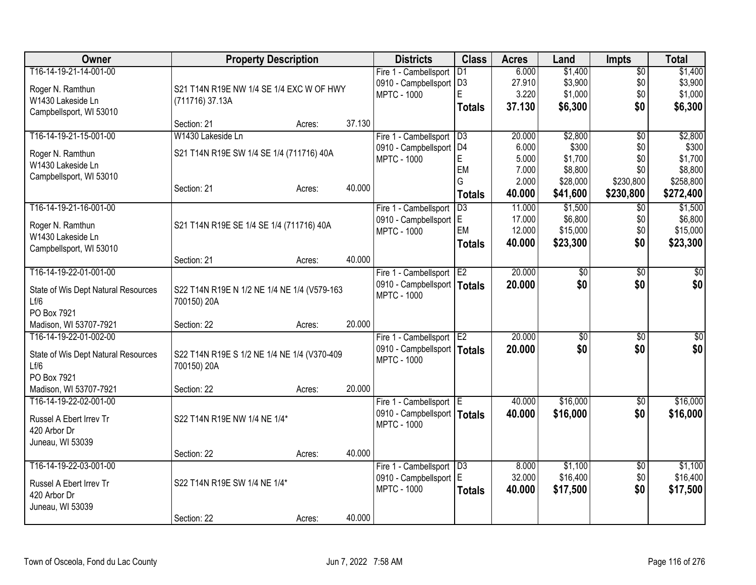| <b>Owner</b>                        | <b>Property Description</b>                 |        |        | <b>Districts</b>              | <b>Class</b>    | <b>Acres</b>     | Land                | <b>Impts</b>    | <b>Total</b>        |
|-------------------------------------|---------------------------------------------|--------|--------|-------------------------------|-----------------|------------------|---------------------|-----------------|---------------------|
| T16-14-19-21-14-001-00              |                                             |        |        | Fire 1 - Cambellsport         | D <sub>1</sub>  | 6.000            | \$1,400             | $\overline{50}$ | \$1,400             |
| Roger N. Ramthun                    | S21 T14N R19E NW 1/4 SE 1/4 EXC W OF HWY    |        |        | 0910 - Campbellsport   D3     |                 | 27.910           | \$3,900             | \$0             | \$3,900             |
| W1430 Lakeside Ln                   | (711716) 37.13A                             |        |        | <b>MPTC - 1000</b>            | E               | 3.220            | \$1,000             | \$0             | \$1,000             |
| Campbellsport, WI 53010             |                                             |        |        |                               | <b>Totals</b>   | 37.130           | \$6,300             | \$0             | \$6,300             |
|                                     | Section: 21                                 | Acres: | 37.130 |                               |                 |                  |                     |                 |                     |
| T16-14-19-21-15-001-00              | W1430 Lakeside Ln                           |        |        | Fire 1 - Cambellsport         | D3              | 20.000           | \$2,800             | $\overline{50}$ | \$2,800             |
| Roger N. Ramthun                    | S21 T14N R19E SW 1/4 SE 1/4 (711716) 40A    |        |        | 0910 - Campbellsport          | D <sub>4</sub>  | 6.000            | \$300               | \$0             | \$300               |
| W1430 Lakeside Ln                   |                                             |        |        | <b>MPTC - 1000</b>            | E               | 5.000            | \$1,700             | \$0             | \$1,700             |
| Campbellsport, WI 53010             |                                             |        |        |                               | EM<br>G         | 7.000            | \$8,800             | \$0             | \$8,800             |
|                                     | Section: 21                                 | Acres: | 40.000 |                               |                 | 2.000            | \$28,000            | \$230,800       | \$258,800           |
|                                     |                                             |        |        |                               | <b>Totals</b>   | 40.000           | \$41,600            | \$230,800       | \$272,400           |
| T16-14-19-21-16-001-00              |                                             |        |        | Fire 1 - Cambellsport         | $\overline{D3}$ | 11.000           | \$1,500             | \$0             | \$1,500             |
| Roger N. Ramthun                    | S21 T14N R19E SE 1/4 SE 1/4 (711716) 40A    |        |        | 0910 - Campbellsport E        | EM              | 17.000<br>12.000 | \$6,800<br>\$15,000 | \$0<br>\$0      | \$6,800<br>\$15,000 |
| W1430 Lakeside Ln                   |                                             |        |        | <b>MPTC - 1000</b>            |                 | 40.000           | \$23,300            | \$0             | \$23,300            |
| Campbellsport, WI 53010             |                                             |        |        |                               | <b>Totals</b>   |                  |                     |                 |                     |
|                                     | Section: 21                                 | Acres: | 40.000 |                               |                 |                  |                     |                 |                     |
| T16-14-19-22-01-001-00              |                                             |        |        | Fire 1 - Cambellsport E2      |                 | 20.000           | $\overline{50}$     | $\overline{50}$ | \$0                 |
| State of Wis Dept Natural Resources | S22 T14N R19E N 1/2 NE 1/4 NE 1/4 (V579-163 |        |        | 0910 - Campbellsport   Totals |                 | 20,000           | \$0                 | \$0             | \$0                 |
| Lf/6                                | 700150) 20A                                 |        |        | <b>MPTC - 1000</b>            |                 |                  |                     |                 |                     |
| PO Box 7921                         |                                             |        |        |                               |                 |                  |                     |                 |                     |
| Madison, WI 53707-7921              | Section: 22                                 | Acres: | 20.000 |                               |                 |                  |                     |                 |                     |
| T16-14-19-22-01-002-00              |                                             |        |        | Fire 1 - Cambellsport         | E <sub>2</sub>  | 20.000           | $\overline{50}$     | $\overline{30}$ | $\sqrt{50}$         |
| State of Wis Dept Natural Resources | S22 T14N R19E S 1/2 NE 1/4 NE 1/4 (V370-409 |        |        | 0910 - Campbellsport   Totals |                 | 20.000           | \$0                 | \$0             | \$0                 |
| Lf/6                                | 700150) 20A                                 |        |        | <b>MPTC - 1000</b>            |                 |                  |                     |                 |                     |
| PO Box 7921                         |                                             |        |        |                               |                 |                  |                     |                 |                     |
| Madison, WI 53707-7921              | Section: 22                                 | Acres: | 20.000 |                               |                 |                  |                     |                 |                     |
| T16-14-19-22-02-001-00              |                                             |        |        | Fire 1 - Cambellsport E       |                 | 40.000           | \$16,000            | $\sqrt{6}$      | \$16,000            |
| Russel A Ebert Irrev Tr             | S22 T14N R19E NW 1/4 NE 1/4*                |        |        | 0910 - Campbellsport   Totals |                 | 40.000           | \$16,000            | \$0             | \$16,000            |
| 420 Arbor Dr                        |                                             |        |        | <b>MPTC - 1000</b>            |                 |                  |                     |                 |                     |
| Juneau, WI 53039                    |                                             |        |        |                               |                 |                  |                     |                 |                     |
|                                     | Section: 22                                 | Acres: | 40.000 |                               |                 |                  |                     |                 |                     |
| T16-14-19-22-03-001-00              |                                             |        |        | Fire 1 - Cambellsport         | D3              | 8.000            | \$1,100             | \$0             | \$1,100             |
| Russel A Ebert Irrev Tr             | S22 T14N R19E SW 1/4 NE 1/4*                |        |        | 0910 - Campbellsport          | ΙE              | 32.000           | \$16,400            | \$0             | \$16,400            |
| 420 Arbor Dr                        |                                             |        |        | <b>MPTC - 1000</b>            | <b>Totals</b>   | 40.000           | \$17,500            | \$0             | \$17,500            |
| Juneau, WI 53039                    |                                             |        |        |                               |                 |                  |                     |                 |                     |
|                                     | Section: 22                                 | Acres: | 40.000 |                               |                 |                  |                     |                 |                     |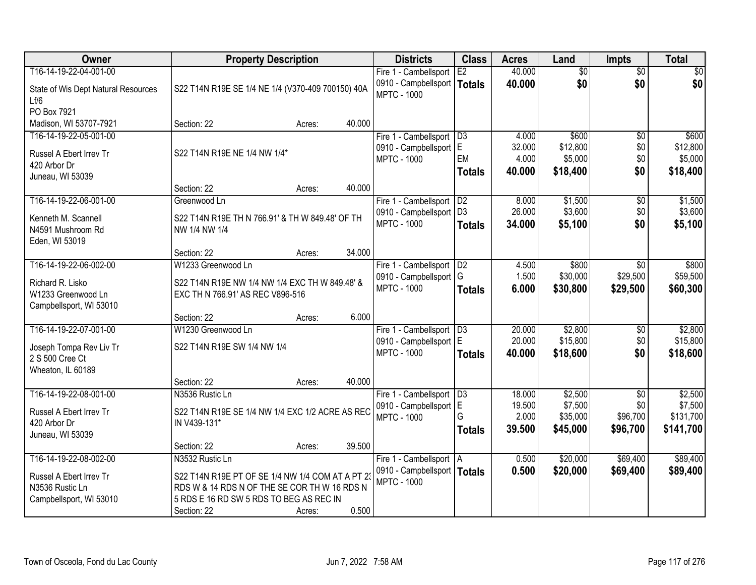| <b>Owner</b>                               | <b>Property Description</b>                       | <b>Districts</b> | <b>Class</b> | <b>Acres</b>                                        | Land            | <b>Impts</b> | <b>Total</b>    |                 |           |
|--------------------------------------------|---------------------------------------------------|------------------|--------------|-----------------------------------------------------|-----------------|--------------|-----------------|-----------------|-----------|
| T16-14-19-22-04-001-00                     |                                                   |                  |              | Fire 1 - Cambellsport                               | E2              | 40.000       | $\overline{50}$ | $\overline{50}$ | \$0       |
| State of Wis Dept Natural Resources        | S22 T14N R19E SE 1/4 NE 1/4 (V370-409 700150) 40A |                  |              | 0910 - Campbellsport   Totals<br><b>MPTC - 1000</b> |                 | 40.000       | \$0             | \$0             | \$0       |
| Lf/6<br>PO Box 7921                        |                                                   |                  |              |                                                     |                 |              |                 |                 |           |
| Madison, WI 53707-7921                     | Section: 22                                       | Acres:           | 40.000       |                                                     |                 |              |                 |                 |           |
| T16-14-19-22-05-001-00                     |                                                   |                  |              | Fire 1 - Cambellsport                               | $\overline{D3}$ | 4.000        | \$600           | $\overline{50}$ | \$600     |
|                                            |                                                   |                  |              | 0910 - Campbellsport E                              |                 | 32.000       | \$12,800        | \$0             | \$12,800  |
| Russel A Ebert Irrev Tr                    | S22 T14N R19E NE 1/4 NW 1/4*                      |                  |              | <b>MPTC - 1000</b>                                  | EM              | 4.000        | \$5,000         | \$0             | \$5,000   |
| 420 Arbor Dr                               |                                                   |                  |              |                                                     | <b>Totals</b>   | 40.000       | \$18,400        | \$0             | \$18,400  |
| Juneau, WI 53039                           |                                                   |                  |              |                                                     |                 |              |                 |                 |           |
|                                            | Section: 22                                       | Acres:           | 40.000       |                                                     |                 |              |                 |                 |           |
| T16-14-19-22-06-001-00                     | Greenwood Ln                                      |                  |              | Fire 1 - Cambellsport                               | D2              | 8.000        | \$1,500         | \$0             | \$1,500   |
| Kenneth M. Scannell                        | S22 T14N R19E TH N 766.91' & TH W 849.48' OF TH   |                  |              | 0910 - Campbellsport   D3                           |                 | 26.000       | \$3,600         | \$0             | \$3,600   |
| N4591 Mushroom Rd                          | NW 1/4 NW 1/4                                     |                  |              | <b>MPTC - 1000</b>                                  | <b>Totals</b>   | 34.000       | \$5,100         | \$0             | \$5,100   |
| Eden, WI 53019                             |                                                   |                  |              |                                                     |                 |              |                 |                 |           |
|                                            | Section: 22                                       | Acres:           | 34.000       |                                                     |                 |              |                 |                 |           |
| T16-14-19-22-06-002-00                     | W1233 Greenwood Ln                                |                  |              | Fire 1 - Cambellsport                               | D2              | 4.500        | \$800           | \$0             | \$800     |
| Richard R. Lisko                           | S22 T14N R19E NW 1/4 NW 1/4 EXC TH W 849.48' &    |                  |              | 0910 - Campbellsport   G                            |                 | 1.500        | \$30,000        | \$29,500        | \$59,500  |
| W1233 Greenwood Ln                         | EXC TH N 766.91' AS REC V896-516                  |                  |              | <b>MPTC - 1000</b>                                  | <b>Totals</b>   | 6.000        | \$30,800        | \$29,500        | \$60,300  |
| Campbellsport, WI 53010                    |                                                   |                  |              |                                                     |                 |              |                 |                 |           |
|                                            | Section: 22                                       | Acres:           | 6.000        |                                                     |                 |              |                 |                 |           |
| T16-14-19-22-07-001-00                     | W1230 Greenwood Ln                                |                  |              | Fire 1 - Cambellsport                               | D3              | 20.000       | \$2,800         | $\overline{50}$ | \$2,800   |
|                                            |                                                   |                  |              | 0910 - Campbellsport E                              |                 | 20.000       | \$15,800        | \$0             | \$15,800  |
| Joseph Tompa Rev Liv Tr<br>2 S 500 Cree Ct | S22 T14N R19E SW 1/4 NW 1/4                       |                  |              | <b>MPTC - 1000</b>                                  | <b>Totals</b>   | 40.000       | \$18,600        | \$0             | \$18,600  |
| Wheaton, IL 60189                          |                                                   |                  |              |                                                     |                 |              |                 |                 |           |
|                                            | Section: 22                                       | Acres:           | 40.000       |                                                     |                 |              |                 |                 |           |
| T16-14-19-22-08-001-00                     | N3536 Rustic Ln                                   |                  |              | Fire 1 - Cambellsport                               | $\overline{D3}$ | 18.000       | \$2,500         | $\overline{50}$ | \$2,500   |
|                                            |                                                   |                  |              | 0910 - Campbellsport E                              |                 | 19.500       | \$7,500         | \$0             | \$7,500   |
| Russel A Ebert Irrev Tr                    | S22 T14N R19E SE 1/4 NW 1/4 EXC 1/2 ACRE AS REC   |                  |              | <b>MPTC - 1000</b>                                  | G               | 2.000        | \$35,000        | \$96,700        | \$131,700 |
| 420 Arbor Dr                               | IN V439-131*                                      |                  |              |                                                     | Totals          | 39.500       | \$45,000        | \$96,700        | \$141,700 |
| Juneau, WI 53039                           |                                                   |                  |              |                                                     |                 |              |                 |                 |           |
|                                            | Section: 22                                       | Acres:           | 39.500       |                                                     |                 |              |                 |                 |           |
| T16-14-19-22-08-002-00                     | N3532 Rustic Ln                                   |                  |              | Fire 1 - Cambellsport   A                           |                 | 0.500        | \$20,000        | \$69,400        | \$89,400  |
| Russel A Ebert Irrev Tr                    | S22 T14N R19E PT OF SE 1/4 NW 1/4 COM AT A PT 23  |                  |              | 0910 - Campbellsport   Totals<br><b>MPTC - 1000</b> |                 | 0.500        | \$20,000        | \$69,400        | \$89,400  |
| N3536 Rustic Ln                            | RDS W & 14 RDS N OF THE SE COR TH W 16 RDS N      |                  |              |                                                     |                 |              |                 |                 |           |
| Campbellsport, WI 53010                    | 5 RDS E 16 RD SW 5 RDS TO BEG AS REC IN           |                  |              |                                                     |                 |              |                 |                 |           |
|                                            | Section: 22                                       | Acres:           | 0.500        |                                                     |                 |              |                 |                 |           |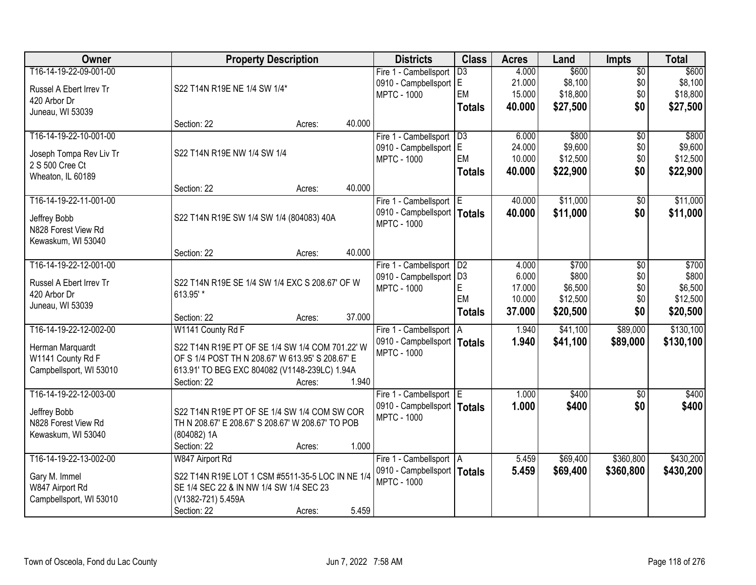| Owner                                 |                                                                                                     | <b>Property Description</b> |        | <b>Districts</b>              | <b>Class</b>    | <b>Acres</b> | Land     | <b>Impts</b>    | <b>Total</b> |
|---------------------------------------|-----------------------------------------------------------------------------------------------------|-----------------------------|--------|-------------------------------|-----------------|--------------|----------|-----------------|--------------|
| T16-14-19-22-09-001-00                |                                                                                                     |                             |        | Fire 1 - Cambellsport         | $\overline{D3}$ | 4.000        | \$600    | $\overline{50}$ | \$600        |
| Russel A Ebert Irrev Tr               | S22 T14N R19E NE 1/4 SW 1/4*                                                                        |                             |        | 0910 - Campbellsport E        |                 | 21.000       | \$8,100  | \$0             | \$8,100      |
| 420 Arbor Dr                          |                                                                                                     |                             |        | <b>MPTC - 1000</b>            | EM              | 15.000       | \$18,800 | \$0             | \$18,800     |
| Juneau, WI 53039                      |                                                                                                     |                             |        |                               | <b>Totals</b>   | 40.000       | \$27,500 | \$0             | \$27,500     |
|                                       | Section: 22                                                                                         | Acres:                      | 40.000 |                               |                 |              |          |                 |              |
| T16-14-19-22-10-001-00                |                                                                                                     |                             |        | Fire 1 - Cambellsport         | $\overline{D3}$ | 6.000        | \$800    | $\overline{50}$ | \$800        |
| Joseph Tompa Rev Liv Tr               | S22 T14N R19E NW 1/4 SW 1/4                                                                         |                             |        | 0910 - Campbellsport E        |                 | 24.000       | \$9,600  | \$0             | \$9,600      |
| 2 S 500 Cree Ct                       |                                                                                                     |                             |        | <b>MPTC - 1000</b>            | EM              | 10.000       | \$12,500 | \$0             | \$12,500     |
| Wheaton, IL 60189                     |                                                                                                     |                             |        |                               | <b>Totals</b>   | 40.000       | \$22,900 | \$0             | \$22,900     |
|                                       | Section: 22                                                                                         | Acres:                      | 40.000 |                               |                 |              |          |                 |              |
| T16-14-19-22-11-001-00                |                                                                                                     |                             |        | Fire 1 - Cambellsport E       |                 | 40.000       | \$11,000 | \$0             | \$11,000     |
| Jeffrey Bobb                          | S22 T14N R19E SW 1/4 SW 1/4 (804083) 40A                                                            |                             |        | 0910 - Campbellsport   Totals |                 | 40.000       | \$11,000 | \$0             | \$11,000     |
| N828 Forest View Rd                   |                                                                                                     |                             |        | <b>MPTC - 1000</b>            |                 |              |          |                 |              |
| Kewaskum, WI 53040                    |                                                                                                     |                             |        |                               |                 |              |          |                 |              |
|                                       | Section: 22                                                                                         | Acres:                      | 40.000 |                               |                 |              |          |                 |              |
| T16-14-19-22-12-001-00                |                                                                                                     |                             |        | Fire 1 - Cambellsport         | D2              | 4.000        | \$700    | \$0             | \$700        |
| Russel A Ebert Irrev Tr               | S22 T14N R19E SE 1/4 SW 1/4 EXC S 208.67' OF W                                                      |                             |        | 0910 - Campbellsport   D3     |                 | 6.000        | \$800    | \$0             | \$800        |
| 420 Arbor Dr                          | 613.95' *                                                                                           |                             |        | <b>MPTC - 1000</b>            | E               | 17.000       | \$6,500  | \$0             | \$6,500      |
| Juneau, WI 53039                      |                                                                                                     |                             |        |                               | EM              | 10.000       | \$12,500 | \$0             | \$12,500     |
|                                       | Section: 22                                                                                         | Acres:                      | 37.000 |                               | <b>Totals</b>   | 37.000       | \$20,500 | \$0             | \$20,500     |
| T16-14-19-22-12-002-00                | W1141 County Rd F                                                                                   |                             |        | Fire 1 - Cambellsport         | I A             | 1.940        | \$41,100 | \$89,000        | \$130,100    |
|                                       |                                                                                                     |                             |        | 0910 - Campbellsport   Totals |                 | 1.940        | \$41,100 | \$89,000        | \$130,100    |
| Herman Marquardt<br>W1141 County Rd F | S22 T14N R19E PT OF SE 1/4 SW 1/4 COM 701.22' W<br>OF S 1/4 POST TH N 208.67' W 613.95' S 208.67' E |                             |        | <b>MPTC - 1000</b>            |                 |              |          |                 |              |
| Campbellsport, WI 53010               | 613.91' TO BEG EXC 804082 (V1148-239LC) 1.94A                                                       |                             |        |                               |                 |              |          |                 |              |
|                                       | Section: 22                                                                                         | Acres:                      | 1.940  |                               |                 |              |          |                 |              |
| T16-14-19-22-12-003-00                |                                                                                                     |                             |        | Fire 1 - Cambellsport E       |                 | 1.000        | \$400    | $\overline{50}$ | \$400        |
|                                       |                                                                                                     |                             |        | 0910 - Campbellsport   Totals |                 | 1.000        | \$400    | \$0             | \$400        |
| Jeffrey Bobb                          | S22 T14N R19E PT OF SE 1/4 SW 1/4 COM SW COR                                                        |                             |        | <b>MPTC - 1000</b>            |                 |              |          |                 |              |
| N828 Forest View Rd                   | TH N 208.67' E 208.67' S 208.67' W 208.67' TO POB                                                   |                             |        |                               |                 |              |          |                 |              |
| Kewaskum, WI 53040                    | (804082) 1A                                                                                         |                             | 1.000  |                               |                 |              |          |                 |              |
| T16-14-19-22-13-002-00                | Section: 22<br>W847 Airport Rd                                                                      | Acres:                      |        | Fire 1 - Cambellsport   A     |                 | 5.459        | \$69,400 | \$360,800       | \$430,200    |
|                                       |                                                                                                     |                             |        | 0910 - Campbellsport   Totals |                 | 5.459        |          |                 |              |
| Gary M. Immel                         | S22 T14N R19E LOT 1 CSM #5511-35-5 LOC IN NE 1/4                                                    |                             |        | <b>MPTC - 1000</b>            |                 |              | \$69,400 | \$360,800       | \$430,200    |
| W847 Airport Rd                       | SE 1/4 SEC 22 & IN NW 1/4 SW 1/4 SEC 23                                                             |                             |        |                               |                 |              |          |                 |              |
| Campbellsport, WI 53010               | (V1382-721) 5.459A                                                                                  |                             |        |                               |                 |              |          |                 |              |
|                                       | Section: 22                                                                                         | Acres:                      | 5.459  |                               |                 |              |          |                 |              |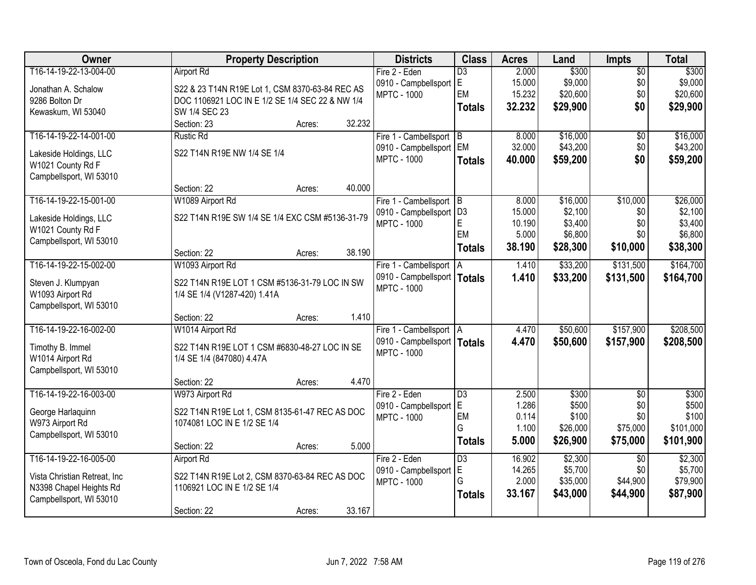| Owner                        | <b>Property Description</b>                     | <b>Districts</b>              | <b>Class</b>    | <b>Acres</b> | Land     | <b>Impts</b>    | <b>Total</b> |
|------------------------------|-------------------------------------------------|-------------------------------|-----------------|--------------|----------|-----------------|--------------|
| T16-14-19-22-13-004-00       | <b>Airport Rd</b>                               | Fire 2 - Eden                 | $\overline{D3}$ | 2.000        | \$300    | $\overline{50}$ | \$300        |
| Jonathan A. Schalow          | S22 & 23 T14N R19E Lot 1, CSM 8370-63-84 REC AS | 0910 - Campbellsport          | E.              | 15.000       | \$9,000  | \$0             | \$9,000      |
| 9286 Bolton Dr               | DOC 1106921 LOC IN E 1/2 SE 1/4 SEC 22 & NW 1/4 | <b>MPTC - 1000</b>            | EM              | 15.232       | \$20,600 | \$0             | \$20,600     |
| Kewaskum, WI 53040           | SW 1/4 SEC 23                                   |                               | <b>Totals</b>   | 32.232       | \$29,900 | \$0             | \$29,900     |
|                              | 32.232<br>Section: 23<br>Acres:                 |                               |                 |              |          |                 |              |
| T16-14-19-22-14-001-00       | <b>Rustic Rd</b>                                | Fire 1 - Cambellsport B       |                 | 8.000        | \$16,000 | \$0             | \$16,000     |
| Lakeside Holdings, LLC       | S22 T14N R19E NW 1/4 SE 1/4                     | 0910 - Campbellsport          | <b>EM</b>       | 32.000       | \$43,200 | \$0             | \$43,200     |
| W1021 County Rd F            |                                                 | <b>MPTC - 1000</b>            | <b>Totals</b>   | 40.000       | \$59,200 | \$0             | \$59,200     |
| Campbellsport, WI 53010      |                                                 |                               |                 |              |          |                 |              |
|                              | 40.000<br>Section: 22<br>Acres:                 |                               |                 |              |          |                 |              |
| T16-14-19-22-15-001-00       | W1089 Airport Rd                                | Fire 1 - Cambellsport B       |                 | 8.000        | \$16,000 | \$10,000        | \$26,000     |
| Lakeside Holdings, LLC       | S22 T14N R19E SW 1/4 SE 1/4 EXC CSM #5136-31-79 | 0910 - Campbellsport   D3     |                 | 15.000       | \$2,100  | \$0             | \$2,100      |
| W1021 County Rd F            |                                                 | <b>MPTC - 1000</b>            | E               | 10.190       | \$3,400  | \$0             | \$3,400      |
| Campbellsport, WI 53010      |                                                 |                               | EM              | 5.000        | \$6,800  | \$0             | \$6,800      |
|                              | 38.190<br>Section: 22<br>Acres:                 |                               | <b>Totals</b>   | 38.190       | \$28,300 | \$10,000        | \$38,300     |
| T16-14-19-22-15-002-00       | W1093 Airport Rd                                | Fire 1 - Cambellsport   A     |                 | 1.410        | \$33,200 | \$131,500       | \$164,700    |
| Steven J. Klumpyan           | S22 T14N R19E LOT 1 CSM #5136-31-79 LOC IN SW   | 0910 - Campbellsport   Totals |                 | 1.410        | \$33,200 | \$131,500       | \$164,700    |
| W1093 Airport Rd             | 1/4 SE 1/4 (V1287-420) 1.41A                    | <b>MPTC - 1000</b>            |                 |              |          |                 |              |
| Campbellsport, WI 53010      |                                                 |                               |                 |              |          |                 |              |
|                              | 1.410<br>Section: 22<br>Acres:                  |                               |                 |              |          |                 |              |
| T16-14-19-22-16-002-00       | W1014 Airport Rd                                | Fire 1 - Cambellsport   A     |                 | 4.470        | \$50,600 | \$157,900       | \$208,500    |
| Timothy B. Immel             | S22 T14N R19E LOT 1 CSM #6830-48-27 LOC IN SE   | 0910 - Campbellsport   Totals |                 | 4.470        | \$50,600 | \$157,900       | \$208,500    |
| W1014 Airport Rd             | 1/4 SE 1/4 (847080) 4.47A                       | <b>MPTC - 1000</b>            |                 |              |          |                 |              |
| Campbellsport, WI 53010      |                                                 |                               |                 |              |          |                 |              |
|                              | 4.470<br>Section: 22<br>Acres:                  |                               |                 |              |          |                 |              |
| T16-14-19-22-16-003-00       | W973 Airport Rd                                 | Fire 2 - Eden                 | $\overline{D3}$ | 2.500        | \$300    | $\overline{50}$ | \$300        |
| George Harlaquinn            | S22 T14N R19E Lot 1, CSM 8135-61-47 REC AS DOC  | 0910 - Campbellsport          | E               | 1.286        | \$500    | \$0             | \$500        |
| W973 Airport Rd              | 1074081 LOC IN E 1/2 SE 1/4                     | <b>MPTC - 1000</b>            | EM              | 0.114        | \$100    | \$0             | \$100        |
| Campbellsport, WI 53010      |                                                 |                               | G               | 1.100        | \$26,000 | \$75,000        | \$101,000    |
|                              | 5.000<br>Section: 22<br>Acres:                  |                               | <b>Totals</b>   | 5.000        | \$26,900 | \$75,000        | \$101,900    |
| T16-14-19-22-16-005-00       | <b>Airport Rd</b>                               | Fire 2 - Eden                 | $\overline{D3}$ | 16.902       | \$2,300  | $\overline{50}$ | \$2,300      |
| Vista Christian Retreat, Inc | S22 T14N R19E Lot 2, CSM 8370-63-84 REC AS DOC  | 0910 - Campbellsport          | E               | 14.265       | \$5,700  | \$0             | \$5,700      |
| N3398 Chapel Heights Rd      | 1106921 LOC IN E 1/2 SE 1/4                     | <b>MPTC - 1000</b>            | G               | 2.000        | \$35,000 | \$44,900        | \$79,900     |
| Campbellsport, WI 53010      |                                                 |                               | <b>Totals</b>   | 33.167       | \$43,000 | \$44,900        | \$87,900     |
|                              | 33.167<br>Section: 22<br>Acres:                 |                               |                 |              |          |                 |              |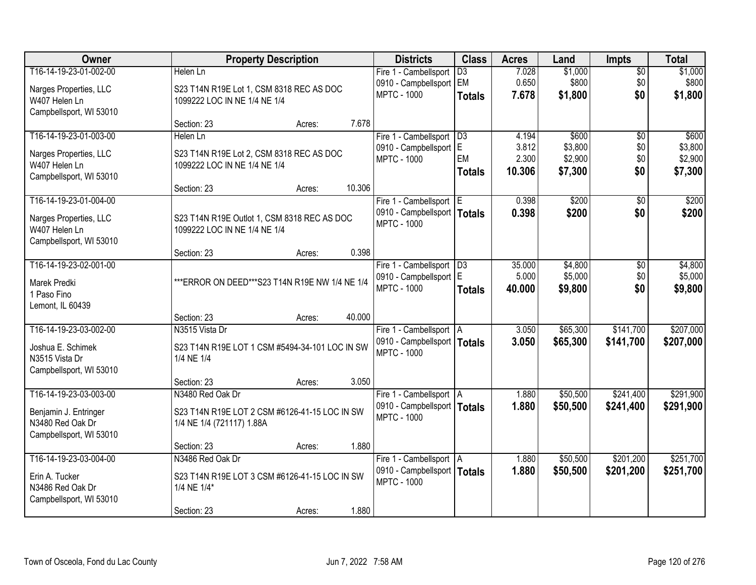| Owner                               |                                                              | <b>Property Description</b> |        | <b>Districts</b>                                         | <b>Class</b>    | <b>Acres</b>   | Land               | <b>Impts</b>    | <b>Total</b>       |
|-------------------------------------|--------------------------------------------------------------|-----------------------------|--------|----------------------------------------------------------|-----------------|----------------|--------------------|-----------------|--------------------|
| T16-14-19-23-01-002-00              | Helen Ln                                                     |                             |        | Fire 1 - Cambellsport                                    | $\overline{D3}$ | 7.028          | \$1,000            | $\sqrt{$0}$     | \$1,000            |
| Narges Properties, LLC              | S23 T14N R19E Lot 1, CSM 8318 REC AS DOC                     |                             |        | 0910 - Campbellsport                                     | EM              | 0.650          | \$800              | \$0             | \$800              |
| W407 Helen Ln                       | 1099222 LOC IN NE 1/4 NE 1/4                                 |                             |        | <b>MPTC - 1000</b>                                       | <b>Totals</b>   | 7.678          | \$1,800            | \$0             | \$1,800            |
| Campbellsport, WI 53010             |                                                              |                             |        |                                                          |                 |                |                    |                 |                    |
|                                     | Section: 23                                                  | Acres:                      | 7.678  |                                                          |                 |                |                    |                 |                    |
| T16-14-19-23-01-003-00              | Helen Ln                                                     |                             |        | Fire 1 - Cambellsport                                    | D3              | 4.194          | \$600              | $\overline{50}$ | \$600              |
| Narges Properties, LLC              | S23 T14N R19E Lot 2, CSM 8318 REC AS DOC                     |                             |        | 0910 - Campbellsport<br><b>MPTC - 1000</b>               | lE.<br>EM       | 3.812<br>2.300 | \$3,800<br>\$2,900 | \$0<br>\$0      | \$3,800<br>\$2,900 |
| W407 Helen Ln                       | 1099222 LOC IN NE 1/4 NE 1/4                                 |                             |        |                                                          | <b>Totals</b>   | 10.306         | \$7,300            | \$0             | \$7,300            |
| Campbellsport, WI 53010             |                                                              |                             |        |                                                          |                 |                |                    |                 |                    |
| T16-14-19-23-01-004-00              | Section: 23                                                  | Acres:                      | 10.306 |                                                          |                 |                | \$200              |                 |                    |
|                                     |                                                              |                             |        | Fire 1 - Cambellsport E<br>0910 - Campbellsport   Totals |                 | 0.398<br>0.398 | \$200              | \$0<br>\$0      | \$200<br>\$200     |
| Narges Properties, LLC              | S23 T14N R19E Outlot 1, CSM 8318 REC AS DOC                  |                             |        | <b>MPTC - 1000</b>                                       |                 |                |                    |                 |                    |
| W407 Helen Ln                       | 1099222 LOC IN NE 1/4 NE 1/4                                 |                             |        |                                                          |                 |                |                    |                 |                    |
| Campbellsport, WI 53010             | Section: 23                                                  |                             | 0.398  |                                                          |                 |                |                    |                 |                    |
| T16-14-19-23-02-001-00              |                                                              | Acres:                      |        | Fire 1 - Cambellsport                                    | D3              | 35.000         | \$4,800            | $\sqrt[6]{3}$   | \$4,800            |
|                                     |                                                              |                             |        | 0910 - Campbellsport E                                   |                 | 5.000          | \$5,000            | \$0             | \$5,000            |
| Marek Predki                        | *** ERROR ON DEED*** S23 T14N R19E NW 1/4 NE 1/4             |                             |        | <b>MPTC - 1000</b>                                       | <b>Totals</b>   | 40.000         | \$9,800            | \$0             | \$9,800            |
| 1 Paso Fino<br>Lemont, IL 60439     |                                                              |                             |        |                                                          |                 |                |                    |                 |                    |
|                                     | Section: 23                                                  | Acres:                      | 40.000 |                                                          |                 |                |                    |                 |                    |
| T16-14-19-23-03-002-00              | N3515 Vista Dr                                               |                             |        | Fire 1 - Cambellsport   A                                |                 | 3.050          | \$65,300           | \$141,700       | \$207,000          |
|                                     |                                                              |                             |        | 0910 - Campbellsport   Totals                            |                 | 3.050          | \$65,300           | \$141,700       | \$207,000          |
| Joshua E. Schimek<br>N3515 Vista Dr | S23 T14N R19E LOT 1 CSM #5494-34-101 LOC IN SW<br>1/4 NE 1/4 |                             |        | <b>MPTC - 1000</b>                                       |                 |                |                    |                 |                    |
| Campbellsport, WI 53010             |                                                              |                             |        |                                                          |                 |                |                    |                 |                    |
|                                     | Section: 23                                                  | Acres:                      | 3.050  |                                                          |                 |                |                    |                 |                    |
| T16-14-19-23-03-003-00              | N3480 Red Oak Dr                                             |                             |        | Fire 1 - Cambellsport   A                                |                 | 1.880          | \$50,500           | \$241,400       | \$291,900          |
| Benjamin J. Entringer               | S23 T14N R19E LOT 2 CSM #6126-41-15 LOC IN SW                |                             |        | 0910 - Campbellsport   Totals                            |                 | 1.880          | \$50,500           | \$241,400       | \$291,900          |
| N3480 Red Oak Dr                    | 1/4 NE 1/4 (721117) 1.88A                                    |                             |        | <b>MPTC - 1000</b>                                       |                 |                |                    |                 |                    |
| Campbellsport, WI 53010             |                                                              |                             |        |                                                          |                 |                |                    |                 |                    |
|                                     | Section: 23                                                  | Acres:                      | 1.880  |                                                          |                 |                |                    |                 |                    |
| T16-14-19-23-03-004-00              | N3486 Red Oak Dr                                             |                             |        | Fire 1 - Cambellsport   A                                |                 | 1.880          | \$50,500           | \$201,200       | \$251,700          |
| Erin A. Tucker                      | S23 T14N R19E LOT 3 CSM #6126-41-15 LOC IN SW                |                             |        | 0910 - Campbellsport   Totals                            |                 | 1.880          | \$50,500           | \$201,200       | \$251,700          |
| N3486 Red Oak Dr                    | 1/4 NE 1/4*                                                  |                             |        | <b>MPTC - 1000</b>                                       |                 |                |                    |                 |                    |
| Campbellsport, WI 53010             |                                                              |                             |        |                                                          |                 |                |                    |                 |                    |
|                                     | Section: 23                                                  | Acres:                      | 1.880  |                                                          |                 |                |                    |                 |                    |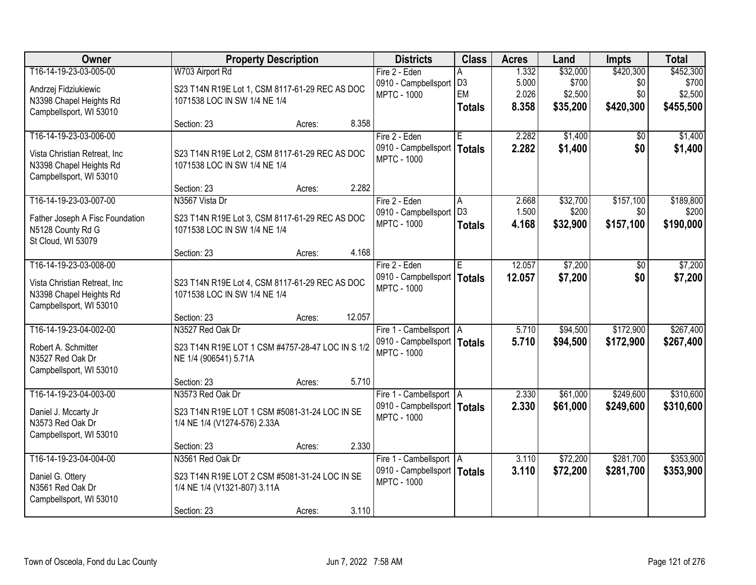| <b>Owner</b>                                                                                                  | <b>Property Description</b>                                                                       |                  | <b>Districts</b>                                                                 | <b>Class</b>                               | <b>Acres</b>                     | Land                                     | <b>Impts</b>                         | <b>Total</b>                               |
|---------------------------------------------------------------------------------------------------------------|---------------------------------------------------------------------------------------------------|------------------|----------------------------------------------------------------------------------|--------------------------------------------|----------------------------------|------------------------------------------|--------------------------------------|--------------------------------------------|
| T16-14-19-23-03-005-00<br>Andrzej Fidziukiewic<br>N3398 Chapel Heights Rd<br>Campbellsport, WI 53010          | W703 Airport Rd<br>S23 T14N R19E Lot 1, CSM 8117-61-29 REC AS DOC<br>1071538 LOC IN SW 1/4 NE 1/4 |                  | Fire 2 - Eden<br>0910 - Campbellsport<br><b>MPTC - 1000</b>                      | А<br>D <sub>3</sub><br>EM<br><b>Totals</b> | 1.332<br>5.000<br>2.026<br>8.358 | \$32,000<br>\$700<br>\$2,500<br>\$35,200 | \$420,300<br>\$0<br>\$0<br>\$420,300 | \$452,300<br>\$700<br>\$2,500<br>\$455,500 |
|                                                                                                               | Section: 23                                                                                       | 8.358<br>Acres:  |                                                                                  |                                            |                                  |                                          |                                      |                                            |
| T16-14-19-23-03-006-00<br>Vista Christian Retreat, Inc<br>N3398 Chapel Heights Rd<br>Campbellsport, WI 53010  | S23 T14N R19E Lot 2, CSM 8117-61-29 REC AS DOC<br>1071538 LOC IN SW 1/4 NE 1/4                    |                  | Fire 2 - Eden<br>0910 - Campbellsport<br><b>MPTC - 1000</b>                      | F.<br>Totals                               | 2.282<br>2.282                   | \$1,400<br>\$1,400                       | \$0<br>\$0                           | \$1,400<br>\$1,400                         |
| T16-14-19-23-03-007-00                                                                                        | Section: 23<br>N3567 Vista Dr                                                                     | 2.282<br>Acres:  | Fire 2 - Eden                                                                    |                                            | 2.668                            | \$32,700                                 | \$157,100                            | \$189,800                                  |
| Father Joseph A Fisc Foundation<br>N5128 County Rd G<br>St Cloud, WI 53079                                    | S23 T14N R19E Lot 3, CSM 8117-61-29 REC AS DOC<br>1071538 LOC IN SW 1/4 NE 1/4                    |                  | 0910 - Campbellsport<br><b>MPTC - 1000</b>                                       | A<br>D <sub>3</sub><br><b>Totals</b>       | 1.500<br>4.168                   | \$200<br>\$32,900                        | \$0<br>\$157,100                     | \$200<br>\$190,000                         |
|                                                                                                               | Section: 23                                                                                       | 4.168<br>Acres:  |                                                                                  |                                            |                                  |                                          |                                      |                                            |
| T16-14-19-23-03-008-00<br>Vista Christian Retreat, Inc.<br>N3398 Chapel Heights Rd<br>Campbellsport, WI 53010 | S23 T14N R19E Lot 4, CSM 8117-61-29 REC AS DOC<br>1071538 LOC IN SW 1/4 NE 1/4                    |                  | Fire 2 - Eden<br>0910 - Campbellsport<br><b>MPTC - 1000</b>                      | E.<br><b>Totals</b>                        | 12.057<br>12.057                 | \$7,200<br>\$7,200                       | $\sqrt[6]{}$<br>\$0                  | \$7,200<br>\$7,200                         |
|                                                                                                               | Section: 23                                                                                       | 12.057<br>Acres: |                                                                                  |                                            |                                  |                                          |                                      |                                            |
| T16-14-19-23-04-002-00<br>Robert A. Schmitter<br>N3527 Red Oak Dr<br>Campbellsport, WI 53010                  | N3527 Red Oak Dr<br>S23 T14N R19E LOT 1 CSM #4757-28-47 LOC IN S 1/2<br>NE 1/4 (906541) 5.71A     |                  | Fire 1 - Cambellsport   A<br>0910 - Campbellsport   Totals<br><b>MPTC - 1000</b> |                                            | 5.710<br>5.710                   | \$94,500<br>\$94,500                     | \$172,900<br>\$172,900               | \$267,400<br>\$267,400                     |
|                                                                                                               | Section: 23                                                                                       | 5.710<br>Acres:  |                                                                                  |                                            |                                  |                                          |                                      |                                            |
| T16-14-19-23-04-003-00<br>Daniel J. Mccarty Jr<br>N3573 Red Oak Dr<br>Campbellsport, WI 53010                 | N3573 Red Oak Dr<br>S23 T14N R19E LOT 1 CSM #5081-31-24 LOC IN SE<br>1/4 NE 1/4 (V1274-576) 2.33A |                  | Fire 1 - Cambellsport   A<br>0910 - Campbellsport   Totals<br><b>MPTC - 1000</b> |                                            | 2.330<br>2.330                   | \$61,000<br>\$61,000                     | \$249,600<br>\$249,600               | \$310,600<br>\$310,600                     |
|                                                                                                               | Section: 23                                                                                       | 2.330<br>Acres:  |                                                                                  |                                            |                                  |                                          |                                      |                                            |
| T16-14-19-23-04-004-00<br>Daniel G. Ottery<br>N3561 Red Oak Dr<br>Campbellsport, WI 53010                     | N3561 Red Oak Dr<br>S23 T14N R19E LOT 2 CSM #5081-31-24 LOC IN SE<br>1/4 NE 1/4 (V1321-807) 3.11A |                  | Fire 1 - Cambellsport   A<br>0910 - Campbellsport   Totals<br><b>MPTC - 1000</b> |                                            | 3.110<br>3.110                   | \$72,200<br>\$72,200                     | \$281,700<br>\$281,700               | \$353,900<br>\$353,900                     |
|                                                                                                               | Section: 23                                                                                       | 3.110<br>Acres:  |                                                                                  |                                            |                                  |                                          |                                      |                                            |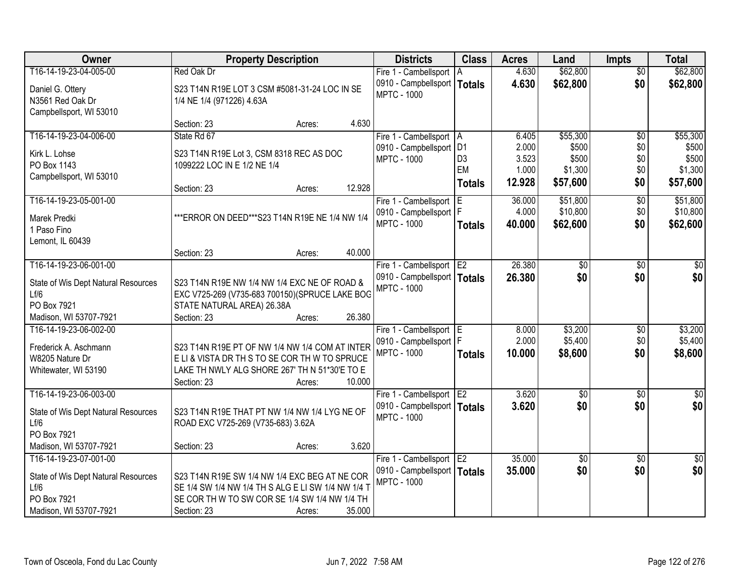| <b>Owner</b>                        | <b>Property Description</b>                        |        |        | <b>Districts</b>              | <b>Class</b>         | <b>Acres</b>    | Land            | <b>Impts</b>    | <b>Total</b>    |
|-------------------------------------|----------------------------------------------------|--------|--------|-------------------------------|----------------------|-----------------|-----------------|-----------------|-----------------|
| T16-14-19-23-04-005-00              | Red Oak Dr                                         |        |        | Fire 1 - Cambellsport         | I A                  | 4.630           | \$62,800        | $\overline{50}$ | \$62,800        |
| Daniel G. Ottery                    | S23 T14N R19E LOT 3 CSM #5081-31-24 LOC IN SE      |        |        | 0910 - Campbellsport   Totals |                      | 4.630           | \$62,800        | \$0             | \$62,800        |
| N3561 Red Oak Dr                    | 1/4 NE 1/4 (971226) 4.63A                          |        |        | <b>MPTC - 1000</b>            |                      |                 |                 |                 |                 |
| Campbellsport, WI 53010             |                                                    |        |        |                               |                      |                 |                 |                 |                 |
|                                     | Section: 23                                        | Acres: | 4.630  |                               |                      |                 |                 |                 |                 |
| T16-14-19-23-04-006-00              | State Rd 67                                        |        |        | Fire 1 - Cambellsport   A     |                      | 6.405           | \$55,300        | $\overline{50}$ | \$55,300        |
| Kirk L. Lohse                       | S23 T14N R19E Lot 3, CSM 8318 REC AS DOC           |        |        | 0910 - Campbellsport          | D1                   | 2.000           | \$500           | \$0             | \$500           |
| PO Box 1143                         | 1099222 LOC IN E 1/2 NE 1/4                        |        |        | <b>MPTC - 1000</b>            | D <sub>3</sub><br>EM | 3.523           | \$500           | \$0             | \$500           |
| Campbellsport, WI 53010             |                                                    |        |        |                               |                      | 1.000<br>12.928 | \$1,300         | \$0             | \$1,300         |
|                                     | Section: 23                                        | Acres: | 12.928 |                               | <b>Totals</b>        |                 | \$57,600        | \$0             | \$57,600        |
| T16-14-19-23-05-001-00              |                                                    |        |        | Fire 1 - Cambellsport         |                      | 36.000          | \$51,800        | $\overline{50}$ | \$51,800        |
| Marek Predki                        | *** ERROR ON DEED*** S23 T14N R19E NE 1/4 NW 1/4   |        |        | 0910 - Campbellsport   F      |                      | 4.000           | \$10,800        | \$0             | \$10,800        |
| 1 Paso Fino                         |                                                    |        |        | <b>MPTC - 1000</b>            | <b>Totals</b>        | 40.000          | \$62,600        | \$0             | \$62,600        |
| Lemont, IL 60439                    |                                                    |        |        |                               |                      |                 |                 |                 |                 |
|                                     | Section: 23                                        | Acres: | 40.000 |                               |                      |                 |                 |                 |                 |
| T16-14-19-23-06-001-00              |                                                    |        |        | Fire 1 - Cambellsport         | E <sub>2</sub>       | 26.380          | \$0             | \$0             | \$0             |
| State of Wis Dept Natural Resources | S23 T14N R19E NW 1/4 NW 1/4 EXC NE OF ROAD &       |        |        | 0910 - Campbellsport   Totals |                      | 26.380          | \$0             | \$0             | \$0             |
| Lf/6                                | EXC V725-269 (V735-683 700150) (SPRUCE LAKE BOG    |        |        | <b>MPTC - 1000</b>            |                      |                 |                 |                 |                 |
| PO Box 7921                         | STATE NATURAL AREA) 26.38A                         |        |        |                               |                      |                 |                 |                 |                 |
| Madison, WI 53707-7921              | Section: 23                                        | Acres: | 26.380 |                               |                      |                 |                 |                 |                 |
| T16-14-19-23-06-002-00              |                                                    |        |        | Fire 1 - Cambellsport E       |                      | 8.000           | \$3,200         | $\overline{30}$ | \$3,200         |
| Frederick A. Aschmann               | S23 T14N R19E PT OF NW 1/4 NW 1/4 COM AT INTER     |        |        | 0910 - Campbellsport   F      |                      | 2.000           | \$5,400         | \$0             | \$5,400         |
| W8205 Nature Dr                     | ELI & VISTA DR TH S TO SE COR TH W TO SPRUCE       |        |        | MPTC - 1000                   | <b>Totals</b>        | 10.000          | \$8,600         | \$0             | \$8,600         |
| Whitewater, WI 53190                | LAKE TH NWLY ALG SHORE 267' TH N 51*30'E TO E      |        |        |                               |                      |                 |                 |                 |                 |
|                                     | Section: 23                                        | Acres: | 10.000 |                               |                      |                 |                 |                 |                 |
| T16-14-19-23-06-003-00              |                                                    |        |        | Fire 1 - Cambellsport E2      |                      | 3.620           | $\overline{50}$ | $\overline{50}$ | $\overline{30}$ |
| State of Wis Dept Natural Resources | S23 T14N R19E THAT PT NW 1/4 NW 1/4 LYG NE OF      |        |        | 0910 - Campbellsport   Totals |                      | 3.620           | \$0             | \$0             | \$0             |
| Lf/6                                | ROAD EXC V725-269 (V735-683) 3.62A                 |        |        | <b>MPTC - 1000</b>            |                      |                 |                 |                 |                 |
| PO Box 7921                         |                                                    |        |        |                               |                      |                 |                 |                 |                 |
| Madison, WI 53707-7921              | Section: 23                                        | Acres: | 3.620  |                               |                      |                 |                 |                 |                 |
| T16-14-19-23-07-001-00              |                                                    |        |        | Fire 1 - Cambellsport         | E <sub>2</sub>       | 35.000          | $\overline{50}$ | $\overline{30}$ | $\overline{30}$ |
| State of Wis Dept Natural Resources | S23 T14N R19E SW 1/4 NW 1/4 EXC BEG AT NE COR      |        |        | 0910 - Campbellsport   Totals |                      | 35.000          | \$0             | \$0             | \$0             |
| Lf/6                                | SE 1/4 SW 1/4 NW 1/4 TH S ALG E LI SW 1/4 NW 1/4 T |        |        | <b>MPTC - 1000</b>            |                      |                 |                 |                 |                 |
| PO Box 7921                         | SE COR TH W TO SW COR SE 1/4 SW 1/4 NW 1/4 TH      |        |        |                               |                      |                 |                 |                 |                 |
| Madison, WI 53707-7921              | Section: 23                                        | Acres: | 35.000 |                               |                      |                 |                 |                 |                 |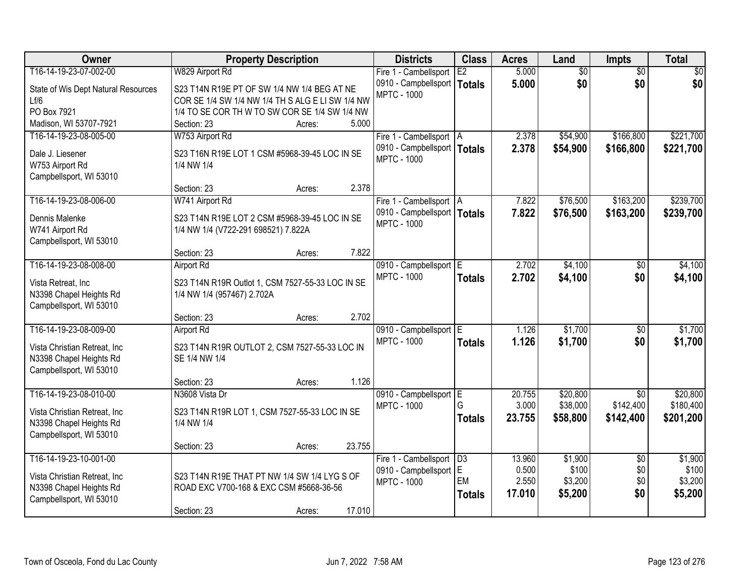| Owner                                                    | <b>Property Description</b>                                 | <b>Districts</b>              | <b>Class</b>    | <b>Acres</b> | Land            | <b>Impts</b>    | <b>Total</b> |
|----------------------------------------------------------|-------------------------------------------------------------|-------------------------------|-----------------|--------------|-----------------|-----------------|--------------|
| T16-14-19-23-07-002-00                                   | W829 Airport Rd                                             | Fire 1 - Cambellsport         | E2              | 5.000        | $\overline{60}$ | $\overline{50}$ | \$0          |
| State of Wis Dept Natural Resources                      | S23 T14N R19E PT OF SW 1/4 NW 1/4 BEG AT NE                 | 0910 - Campbellsport   Totals |                 | 5.000        | \$0             | \$0             | \$0          |
| Lf/6                                                     | COR SE 1/4 SW 1/4 NW 1/4 TH S ALG E LI SW 1/4 NW            | <b>MPTC - 1000</b>            |                 |              |                 |                 |              |
| PO Box 7921                                              | 1/4 TO SE COR TH W TO SW COR SE 1/4 SW 1/4 NW               |                               |                 |              |                 |                 |              |
| Madison, WI 53707-7921                                   | 5.000<br>Section: 23<br>Acres:                              |                               |                 |              |                 |                 |              |
| T16-14-19-23-08-005-00                                   | W753 Airport Rd                                             | Fire 1 - Cambellsport   A     |                 | 2.378        | \$54,900        | \$166,800       | \$221,700    |
|                                                          |                                                             | 0910 - Campbellsport   Totals |                 | 2.378        | \$54,900        | \$166,800       | \$221,700    |
| Dale J. Liesener                                         | S23 T16N R19E LOT 1 CSM #5968-39-45 LOC IN SE               | <b>MPTC - 1000</b>            |                 |              |                 |                 |              |
| W753 Airport Rd<br>Campbellsport, WI 53010               | 1/4 NW 1/4                                                  |                               |                 |              |                 |                 |              |
|                                                          | 2.378<br>Section: 23<br>Acres:                              |                               |                 |              |                 |                 |              |
| T16-14-19-23-08-006-00                                   | W741 Airport Rd                                             | Fire 1 - Cambellsport   A     |                 | 7.822        | \$76,500        | \$163,200       | \$239,700    |
|                                                          |                                                             | 0910 - Campbellsport   Totals |                 | 7.822        | \$76,500        | \$163,200       | \$239,700    |
| Dennis Malenke                                           | S23 T14N R19E LOT 2 CSM #5968-39-45 LOC IN SE               | <b>MPTC - 1000</b>            |                 |              |                 |                 |              |
| W741 Airport Rd                                          | 1/4 NW 1/4 (V722-291 698521) 7.822A                         |                               |                 |              |                 |                 |              |
| Campbellsport, WI 53010                                  |                                                             |                               |                 |              |                 |                 |              |
|                                                          | 7.822<br>Section: 23<br>Acres:                              |                               |                 |              |                 |                 |              |
| T16-14-19-23-08-008-00                                   | <b>Airport Rd</b>                                           | 0910 - Campbellsport E        |                 | 2.702        | \$4,100         | $\sqrt[6]{}$    | \$4,100      |
| Vista Retreat, Inc                                       | S23 T14N R19R Outlot 1, CSM 7527-55-33 LOC IN SE            | <b>MPTC - 1000</b>            | <b>Totals</b>   | 2.702        | \$4,100         | \$0             | \$4,100      |
| N3398 Chapel Heights Rd                                  | 1/4 NW 1/4 (957467) 2.702A                                  |                               |                 |              |                 |                 |              |
| Campbellsport, WI 53010                                  |                                                             |                               |                 |              |                 |                 |              |
|                                                          | 2.702<br>Section: 23<br>Acres:                              |                               |                 |              |                 |                 |              |
| T16-14-19-23-08-009-00                                   | <b>Airport Rd</b>                                           | 0910 - Campbellsport E        |                 | 1.126        | \$1,700         | $\overline{50}$ | \$1,700      |
| Vista Christian Retreat, Inc                             | S23 T14N R19R OUTLOT 2, CSM 7527-55-33 LOC IN               | <b>MPTC - 1000</b>            | <b>Totals</b>   | 1.126        | \$1,700         | \$0             | \$1,700      |
| N3398 Chapel Heights Rd                                  | SE 1/4 NW 1/4                                               |                               |                 |              |                 |                 |              |
| Campbellsport, WI 53010                                  |                                                             |                               |                 |              |                 |                 |              |
|                                                          | 1.126<br>Section: 23<br>Acres:                              |                               |                 |              |                 |                 |              |
| T16-14-19-23-08-010-00                                   | N3608 Vista Dr                                              | 0910 - Campbellsport E        |                 | 20.755       | \$20,800        | $\overline{50}$ | \$20,800     |
|                                                          |                                                             | <b>MPTC - 1000</b>            | G               | 3.000        | \$38,000        | \$142,400       | \$180,400    |
| Vista Christian Retreat, Inc.<br>N3398 Chapel Heights Rd | S23 T14N R19R LOT 1, CSM 7527-55-33 LOC IN SE<br>1/4 NW 1/4 |                               | <b>Totals</b>   | 23.755       | \$58,800        | \$142,400       | \$201,200    |
| Campbellsport, WI 53010                                  |                                                             |                               |                 |              |                 |                 |              |
|                                                          | 23.755<br>Section: 23<br>Acres:                             |                               |                 |              |                 |                 |              |
| T16-14-19-23-10-001-00                                   |                                                             | Fire 1 - Cambellsport         | $\overline{D3}$ | 13.960       | \$1,900         | $\overline{50}$ | \$1,900      |
|                                                          |                                                             | 0910 - Campbellsport E        |                 | 0.500        | \$100           | \$0             | \$100        |
| Vista Christian Retreat, Inc.                            | S23 T14N R19E THAT PT NW 1/4 SW 1/4 LYG S OF                | <b>MPTC - 1000</b>            | EM              | 2.550        | \$3,200         | \$0             | \$3,200      |
| N3398 Chapel Heights Rd                                  | ROAD EXC V700-168 & EXC CSM #5668-36-56                     |                               | <b>Totals</b>   | 17.010       | \$5,200         | \$0             | \$5,200      |
| Campbellsport, WI 53010                                  |                                                             |                               |                 |              |                 |                 |              |
|                                                          | 17.010<br>Section: 23<br>Acres:                             |                               |                 |              |                 |                 |              |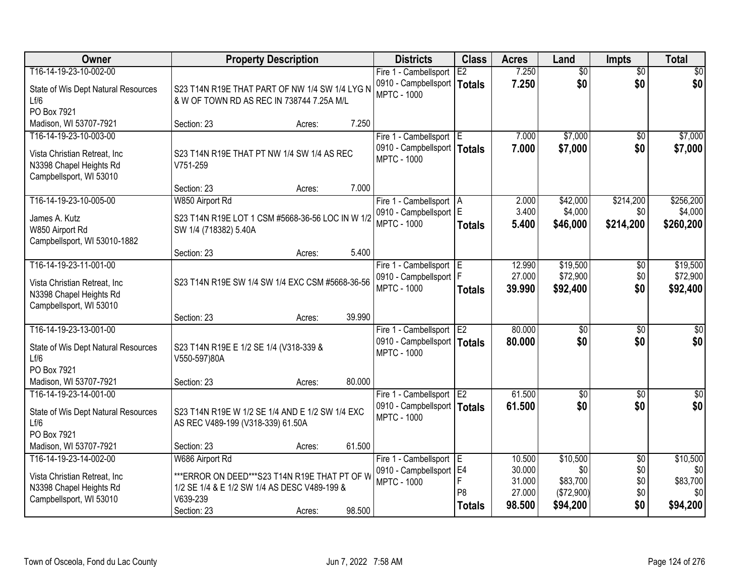| Owner                               |                                                  | <b>Property Description</b> |        | <b>Districts</b>                                    | <b>Class</b>   | <b>Acres</b>   | Land            | <b>Impts</b>    | <b>Total</b>    |
|-------------------------------------|--------------------------------------------------|-----------------------------|--------|-----------------------------------------------------|----------------|----------------|-----------------|-----------------|-----------------|
| T16-14-19-23-10-002-00              |                                                  |                             |        | Fire 1 - Cambellsport                               | E2             | 7.250          | $\overline{50}$ | $\overline{50}$ | $\overline{30}$ |
| State of Wis Dept Natural Resources | S23 T14N R19E THAT PART OF NW 1/4 SW 1/4 LYG N   |                             |        | 0910 - Campbellsport   Totals<br><b>MPTC - 1000</b> |                | 7.250          | \$0             | \$0             | \$0             |
| Lf/6                                | & W OF TOWN RD AS REC IN 738744 7.25A M/L        |                             |        |                                                     |                |                |                 |                 |                 |
| PO Box 7921                         |                                                  |                             |        |                                                     |                |                |                 |                 |                 |
| Madison, WI 53707-7921              | Section: 23                                      | Acres:                      | 7.250  |                                                     |                |                |                 |                 |                 |
| T16-14-19-23-10-003-00              |                                                  |                             |        | Fire 1 - Cambellsport E                             |                | 7.000          | \$7,000         | $\overline{50}$ | \$7,000         |
| Vista Christian Retreat, Inc.       | S23 T14N R19E THAT PT NW 1/4 SW 1/4 AS REC       |                             |        | 0910 - Campbellsport   Totals<br><b>MPTC - 1000</b> |                | 7.000          | \$7,000         | \$0             | \$7,000         |
| N3398 Chapel Heights Rd             | V751-259                                         |                             |        |                                                     |                |                |                 |                 |                 |
| Campbellsport, WI 53010             |                                                  |                             |        |                                                     |                |                |                 |                 |                 |
|                                     | Section: 23                                      | Acres:                      | 7.000  |                                                     |                |                |                 |                 |                 |
| T16-14-19-23-10-005-00              | W850 Airport Rd                                  |                             |        | Fire 1 - Cambellsport   A                           |                | 2.000          | \$42,000        | \$214,200       | \$256,200       |
| James A. Kutz                       | S23 T14N R19E LOT 1 CSM #5668-36-56 LOC IN W 1/2 |                             |        | 0910 - Campbellsport E<br><b>MPTC - 1000</b>        |                | 3.400<br>5.400 | \$4,000         | \$0             | \$4,000         |
| W850 Airport Rd                     | SW 1/4 (718382) 5.40A                            |                             |        |                                                     | <b>Totals</b>  |                | \$46,000        | \$214,200       | \$260,200       |
| Campbellsport, WI 53010-1882        |                                                  |                             |        |                                                     |                |                |                 |                 |                 |
|                                     | Section: 23                                      | Acres:                      | 5.400  |                                                     |                |                |                 |                 |                 |
| T16-14-19-23-11-001-00              |                                                  |                             |        | Fire 1 - Cambellsport E                             |                | 12.990         | \$19,500        | \$0             | \$19,500        |
| Vista Christian Retreat, Inc.       | S23 T14N R19E SW 1/4 SW 1/4 EXC CSM #5668-36-56  |                             |        | 0910 - Campbellsport   F                            |                | 27.000         | \$72,900        | \$0             | \$72,900        |
| N3398 Chapel Heights Rd             |                                                  |                             |        | <b>MPTC - 1000</b>                                  | <b>Totals</b>  | 39.990         | \$92,400        | \$0             | \$92,400        |
| Campbellsport, WI 53010             |                                                  |                             |        |                                                     |                |                |                 |                 |                 |
|                                     | Section: 23                                      | Acres:                      | 39.990 |                                                     |                |                |                 |                 |                 |
| T16-14-19-23-13-001-00              |                                                  |                             |        | Fire 1 - Cambellsport E2                            |                | 80.000         | $\overline{30}$ | $\overline{30}$ | $\overline{50}$ |
| State of Wis Dept Natural Resources | S23 T14N R19E E 1/2 SE 1/4 (V318-339 &           |                             |        | 0910 - Campbellsport   Totals                       |                | 80,000         | \$0             | \$0             | \$0             |
| Lf/6                                | V550-597)80A                                     |                             |        | <b>MPTC - 1000</b>                                  |                |                |                 |                 |                 |
| PO Box 7921                         |                                                  |                             |        |                                                     |                |                |                 |                 |                 |
| Madison, WI 53707-7921              | Section: 23                                      | Acres:                      | 80.000 |                                                     |                |                |                 |                 |                 |
| T16-14-19-23-14-001-00              |                                                  |                             |        | Fire 1 - Cambellsport E2                            |                | 61.500         | $\overline{60}$ | $\overline{50}$ | $\sqrt{50}$     |
| State of Wis Dept Natural Resources | S23 T14N R19E W 1/2 SE 1/4 AND E 1/2 SW 1/4 EXC  |                             |        | 0910 - Campbellsport   Totals                       |                | 61.500         | \$0             | \$0             | \$0             |
| Lf/6                                | AS REC V489-199 (V318-339) 61.50A                |                             |        | <b>MPTC - 1000</b>                                  |                |                |                 |                 |                 |
| PO Box 7921                         |                                                  |                             |        |                                                     |                |                |                 |                 |                 |
| Madison, WI 53707-7921              | Section: 23                                      | Acres:                      | 61.500 |                                                     |                |                |                 |                 |                 |
| T16-14-19-23-14-002-00              | W686 Airport Rd                                  |                             |        | Fire 1 - Cambellsport E                             |                | 10.500         | \$10,500        | $\overline{50}$ | \$10,500        |
| Vista Christian Retreat, Inc        | *** ERROR ON DEED*** \$23 T14N R19E THAT PT OF W |                             |        | 0910 - Campbellsport   E4                           |                | 30.000         | \$0             | \$0             | \$0             |
| N3398 Chapel Heights Rd             | 1/2 SE 1/4 & E 1/2 SW 1/4 AS DESC V489-199 &     |                             |        | <b>MPTC - 1000</b>                                  | F              | 31.000         | \$83,700        | \$0             | \$83,700        |
| Campbellsport, WI 53010             | V639-239                                         |                             |        |                                                     | P <sub>8</sub> | 27.000         | (\$72,900)      | \$0             | \$0             |
|                                     | Section: 23                                      | Acres:                      | 98.500 |                                                     | <b>Totals</b>  | 98.500         | \$94,200        | \$0             | \$94,200        |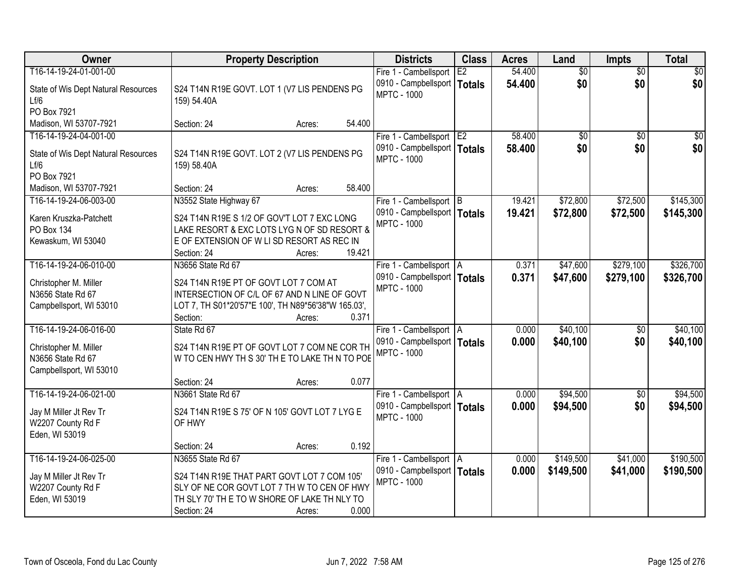| Owner                                       | <b>Property Description</b>                                                                | <b>Districts</b>                                       | <b>Class</b> | <b>Acres</b>     | Land                   | <b>Impts</b>           | <b>Total</b>           |
|---------------------------------------------|--------------------------------------------------------------------------------------------|--------------------------------------------------------|--------------|------------------|------------------------|------------------------|------------------------|
| T16-14-19-24-01-001-00                      |                                                                                            | Fire 1 - Cambellsport<br>0910 - Campbellsport   Totals | E2           | 54.400<br>54.400 | $\overline{50}$<br>\$0 | $\overline{50}$<br>\$0 | $\overline{30}$<br>\$0 |
| State of Wis Dept Natural Resources<br>Lf/6 | S24 T14N R19E GOVT. LOT 1 (V7 LIS PENDENS PG<br>159) 54.40A                                | <b>MPTC - 1000</b>                                     |              |                  |                        |                        |                        |
| PO Box 7921                                 |                                                                                            |                                                        |              |                  |                        |                        |                        |
| Madison, WI 53707-7921                      | 54.400<br>Section: 24<br>Acres:                                                            |                                                        |              |                  |                        |                        |                        |
| T16-14-19-24-04-001-00                      |                                                                                            | Fire 1 - Cambellsport E2                               |              | 58.400           | \$0                    | $\overline{50}$        | \$0                    |
| State of Wis Dept Natural Resources         | S24 T14N R19E GOVT. LOT 2 (V7 LIS PENDENS PG                                               | 0910 - Campbellsport   Totals                          |              | 58.400           | \$0                    | \$0                    | \$0                    |
| Lf/6                                        | 159) 58.40A                                                                                | <b>MPTC - 1000</b>                                     |              |                  |                        |                        |                        |
| PO Box 7921                                 |                                                                                            |                                                        |              |                  |                        |                        |                        |
| Madison, WI 53707-7921                      | 58.400<br>Section: 24<br>Acres:                                                            |                                                        |              |                  |                        |                        |                        |
| T16-14-19-24-06-003-00                      | N3552 State Highway 67                                                                     | Fire 1 - Cambellsport B                                |              | 19.421           | \$72,800               | \$72,500               | \$145,300              |
|                                             |                                                                                            | 0910 - Campbellsport   Totals                          |              | 19.421           | \$72,800               | \$72,500               | \$145,300              |
| Karen Kruszka-Patchett<br>PO Box 134        | S24 T14N R19E S 1/2 OF GOV'T LOT 7 EXC LONG<br>LAKE RESORT & EXC LOTS LYG N OF SD RESORT & | <b>MPTC - 1000</b>                                     |              |                  |                        |                        |                        |
| Kewaskum, WI 53040                          | E OF EXTENSION OF W LI SD RESORT AS REC IN                                                 |                                                        |              |                  |                        |                        |                        |
|                                             | Section: 24<br>19.421<br>Acres:                                                            |                                                        |              |                  |                        |                        |                        |
| T16-14-19-24-06-010-00                      | N3656 State Rd 67                                                                          | Fire 1 - Cambellsport   A                              |              | 0.371            | \$47,600               | \$279,100              | \$326,700              |
|                                             |                                                                                            | 0910 - Campbellsport   Totals                          |              | 0.371            | \$47,600               | \$279,100              | \$326,700              |
| Christopher M. Miller                       | S24 T14N R19E PT OF GOVT LOT 7 COM AT                                                      | <b>MPTC - 1000</b>                                     |              |                  |                        |                        |                        |
| N3656 State Rd 67                           | INTERSECTION OF C/L OF 67 AND N LINE OF GOVT                                               |                                                        |              |                  |                        |                        |                        |
| Campbellsport, WI 53010                     | LOT 7, TH S01*20'57"E 100', TH N89*56'38"W 165.03',                                        |                                                        |              |                  |                        |                        |                        |
|                                             | 0.371<br>Section:<br>Acres:                                                                |                                                        |              |                  |                        |                        |                        |
| T16-14-19-24-06-016-00                      | State Rd 67                                                                                | Fire 1 - Cambellsport   A                              |              | 0.000            | \$40,100               | \$0                    | \$40,100               |
| Christopher M. Miller                       | S24 T14N R19E PT OF GOVT LOT 7 COM NE COR TH                                               | 0910 - Campbellsport   Totals                          |              | 0.000            | \$40,100               | \$0                    | \$40,100               |
| N3656 State Rd 67                           | W TO CEN HWY TH S 30' TH E TO LAKE TH N TO POE                                             | <b>MPTC - 1000</b>                                     |              |                  |                        |                        |                        |
| Campbellsport, WI 53010                     |                                                                                            |                                                        |              |                  |                        |                        |                        |
|                                             | 0.077<br>Section: 24<br>Acres:                                                             |                                                        |              |                  |                        |                        |                        |
| T16-14-19-24-06-021-00                      | N3661 State Rd 67                                                                          | Fire 1 - Cambellsport   A                              |              | 0.000            | \$94,500               | \$0                    | \$94,500               |
|                                             | S24 T14N R19E S 75' OF N 105' GOVT LOT 7 LYG E                                             | 0910 - Campbellsport   Totals                          |              | 0.000            | \$94,500               | \$0                    | \$94,500               |
| Jay M Miller Jt Rev Tr<br>W2207 County Rd F | OF HWY                                                                                     | <b>MPTC - 1000</b>                                     |              |                  |                        |                        |                        |
| Eden, WI 53019                              |                                                                                            |                                                        |              |                  |                        |                        |                        |
|                                             | 0.192<br>Section: 24<br>Acres:                                                             |                                                        |              |                  |                        |                        |                        |
| T16-14-19-24-06-025-00                      | N3655 State Rd 67                                                                          | Fire 1 - Cambellsport   A                              |              | 0.000            | \$149,500              | \$41,000               | \$190,500              |
|                                             |                                                                                            | 0910 - Campbellsport   Totals                          |              | 0.000            | \$149,500              | \$41,000               | \$190,500              |
| Jay M Miller Jt Rev Tr                      | S24 T14N R19E THAT PART GOVT LOT 7 COM 105'                                                | <b>MPTC - 1000</b>                                     |              |                  |                        |                        |                        |
| W2207 County Rd F                           | SLY OF NE COR GOVT LOT 7 TH W TO CEN OF HWY                                                |                                                        |              |                  |                        |                        |                        |
| Eden, WI 53019                              | TH SLY 70' TH E TO W SHORE OF LAKE TH NLY TO                                               |                                                        |              |                  |                        |                        |                        |
|                                             | 0.000<br>Section: 24<br>Acres:                                                             |                                                        |              |                  |                        |                        |                        |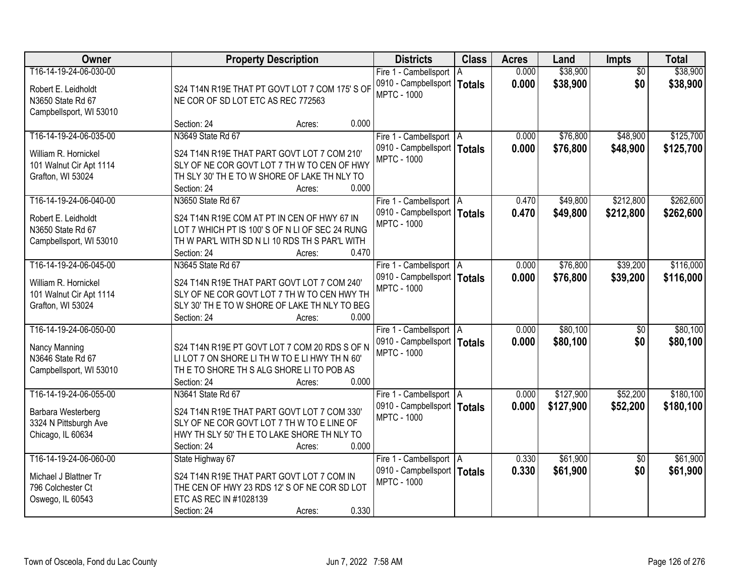| Owner                   | <b>Property Description</b>                                           | <b>Districts</b>              | <b>Class</b>  | <b>Acres</b> | Land      | Impts           | <b>Total</b> |
|-------------------------|-----------------------------------------------------------------------|-------------------------------|---------------|--------------|-----------|-----------------|--------------|
| T16-14-19-24-06-030-00  |                                                                       | Fire 1 - Cambellsport   A     |               | 0.000        | \$38,900  | $\overline{50}$ | \$38,900     |
| Robert E. Leidholdt     | S24 T14N R19E THAT PT GOVT LOT 7 COM 175' S OF                        | 0910 - Campbellsport          | <b>Totals</b> | 0.000        | \$38,900  | \$0             | \$38,900     |
| N3650 State Rd 67       | NE COR OF SD LOT ETC AS REC 772563                                    | <b>MPTC - 1000</b>            |               |              |           |                 |              |
| Campbellsport, WI 53010 |                                                                       |                               |               |              |           |                 |              |
|                         | 0.000<br>Section: 24<br>Acres:                                        |                               |               |              |           |                 |              |
| T16-14-19-24-06-035-00  | N3649 State Rd 67                                                     | Fire 1 - Cambellsport   A     |               | 0.000        | \$76,800  | \$48,900        | \$125,700    |
| William R. Hornickel    | S24 T14N R19E THAT PART GOVT LOT 7 COM 210'                           | 0910 - Campbellsport          | <b>Totals</b> | 0.000        | \$76,800  | \$48,900        | \$125,700    |
| 101 Walnut Cir Apt 1114 | SLY OF NE COR GOVT LOT 7 TH W TO CEN OF HWY                           | <b>MPTC - 1000</b>            |               |              |           |                 |              |
| Grafton, WI 53024       | TH SLY 30' TH E TO W SHORE OF LAKE TH NLY TO                          |                               |               |              |           |                 |              |
|                         | 0.000<br>Section: 24<br>Acres:                                        |                               |               |              |           |                 |              |
| T16-14-19-24-06-040-00  | N3650 State Rd 67                                                     | Fire 1 - Cambellsport   A     |               | 0.470        | \$49,800  | \$212,800       | \$262,600    |
| Robert E. Leidholdt     | S24 T14N R19E COM AT PT IN CEN OF HWY 67 IN                           | 0910 - Campbellsport   Totals |               | 0.470        | \$49,800  | \$212,800       | \$262,600    |
| N3650 State Rd 67       | LOT 7 WHICH PT IS 100'S OF N LI OF SEC 24 RUNG                        | <b>MPTC - 1000</b>            |               |              |           |                 |              |
| Campbellsport, WI 53010 | TH W PAR'L WITH SD N LI 10 RDS TH S PAR'L WITH                        |                               |               |              |           |                 |              |
|                         | Section: 24<br>0.470<br>Acres:                                        |                               |               |              |           |                 |              |
| T16-14-19-24-06-045-00  | N3645 State Rd 67                                                     | Fire 1 - Cambellsport   A     |               | 0.000        | \$76,800  | \$39,200        | \$116,000    |
|                         |                                                                       | 0910 - Campbellsport   Totals |               | 0.000        | \$76,800  | \$39,200        | \$116,000    |
| William R. Hornickel    | S24 T14N R19E THAT PART GOVT LOT 7 COM 240'                           | <b>MPTC - 1000</b>            |               |              |           |                 |              |
| 101 Walnut Cir Apt 1114 | SLY OF NE COR GOVT LOT 7 TH W TO CEN HWY TH                           |                               |               |              |           |                 |              |
| Grafton, WI 53024       | SLY 30' TH E TO W SHORE OF LAKE TH NLY TO BEG<br>0.000<br>Section: 24 |                               |               |              |           |                 |              |
| T16-14-19-24-06-050-00  | Acres:                                                                | Fire 1 - Cambellsport   A     |               | 0.000        | \$80,100  | $\overline{50}$ | \$80,100     |
|                         |                                                                       | 0910 - Campbellsport   Totals |               | 0.000        | \$80,100  | \$0             |              |
| Nancy Manning           | S24 T14N R19E PT GOVT LOT 7 COM 20 RDS S OF N                         | <b>MPTC - 1000</b>            |               |              |           |                 | \$80,100     |
| N3646 State Rd 67       | LILOT 7 ON SHORE LITH W TO E LIHWY TH N 60'                           |                               |               |              |           |                 |              |
| Campbellsport, WI 53010 | THE TO SHORE THIS ALG SHORE LITO POB AS                               |                               |               |              |           |                 |              |
|                         | 0.000<br>Section: 24<br>Acres:                                        |                               |               |              |           |                 |              |
| T16-14-19-24-06-055-00  | N3641 State Rd 67                                                     | Fire 1 - Cambellsport   A     |               | 0.000        | \$127,900 | \$52,200        | \$180,100    |
| Barbara Westerberg      | S24 T14N R19E THAT PART GOVT LOT 7 COM 330'                           | 0910 - Campbellsport   Totals |               | 0.000        | \$127,900 | \$52,200        | \$180,100    |
| 3324 N Pittsburgh Ave   | SLY OF NE COR GOVT LOT 7 TH W TO E LINE OF                            | <b>MPTC - 1000</b>            |               |              |           |                 |              |
| Chicago, IL 60634       | HWY TH SLY 50' TH E TO LAKE SHORE TH NLY TO                           |                               |               |              |           |                 |              |
|                         | 0.000<br>Section: 24<br>Acres:                                        |                               |               |              |           |                 |              |
| T16-14-19-24-06-060-00  | State Highway 67                                                      | Fire 1 - Cambellsport   A     |               | 0.330        | \$61,900  | $\overline{50}$ | \$61,900     |
| Michael J Blattner Tr   | S24 T14N R19E THAT PART GOVT LOT 7 COM IN                             | 0910 - Campbellsport   Totals |               | 0.330        | \$61,900  | \$0             | \$61,900     |
| 796 Colchester Ct       | THE CEN OF HWY 23 RDS 12' S OF NE COR SD LOT                          | <b>MPTC - 1000</b>            |               |              |           |                 |              |
| Oswego, IL 60543        | ETC AS REC IN #1028139                                                |                               |               |              |           |                 |              |
|                         | 0.330<br>Section: 24<br>Acres:                                        |                               |               |              |           |                 |              |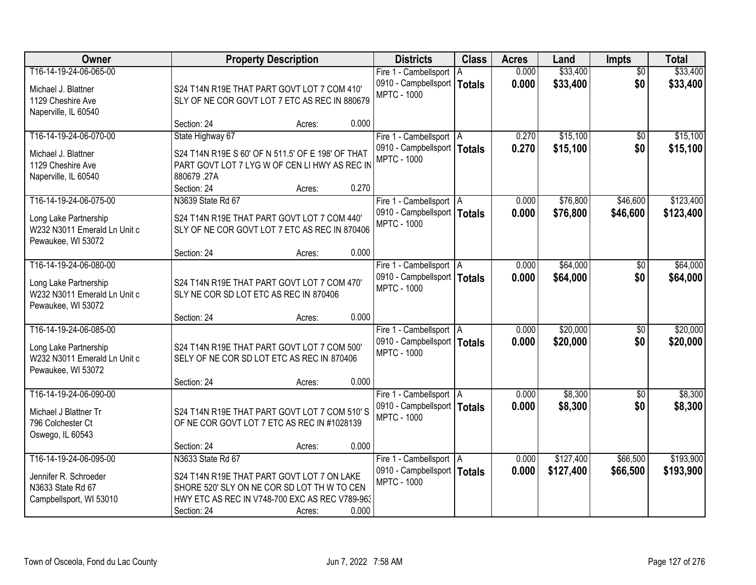| Owner                                                                                                 |                                                                                                                                                                                 | <b>Property Description</b> |       | <b>Districts</b>                                                                 | <b>Class</b> | <b>Acres</b>   | Land                   | <b>Impts</b>           | <b>Total</b>           |
|-------------------------------------------------------------------------------------------------------|---------------------------------------------------------------------------------------------------------------------------------------------------------------------------------|-----------------------------|-------|----------------------------------------------------------------------------------|--------------|----------------|------------------------|------------------------|------------------------|
| T16-14-19-24-06-065-00<br>Michael J. Blattner<br>1129 Cheshire Ave<br>Naperville, IL 60540            | S24 T14N R19E THAT PART GOVT LOT 7 COM 410'<br>SLY OF NE COR GOVT LOT 7 ETC AS REC IN 880679                                                                                    |                             |       | Fire 1 - Cambellsport<br>0910 - Campbellsport   Totals<br><b>MPTC - 1000</b>     | l A          | 0.000<br>0.000 | \$33,400<br>\$33,400   | $\overline{30}$<br>\$0 | \$33,400<br>\$33,400   |
|                                                                                                       | Section: 24                                                                                                                                                                     | Acres:                      | 0.000 |                                                                                  |              |                |                        |                        |                        |
| T16-14-19-24-06-070-00<br>Michael J. Blattner<br>1129 Cheshire Ave<br>Naperville, IL 60540            | State Highway 67<br>S24 T14N R19E S 60' OF N 511.5' OF E 198' OF THAT<br>PART GOVT LOT 7 LYG W OF CEN LI HWY AS REC IN<br>880679.27A                                            |                             | 0.270 | Fire 1 - Cambellsport   A<br>0910 - Campbellsport   Totals<br><b>MPTC - 1000</b> |              | 0.270<br>0.270 | \$15,100<br>\$15,100   | $\overline{50}$<br>\$0 | \$15,100<br>\$15,100   |
| T16-14-19-24-06-075-00                                                                                | Section: 24<br>N3639 State Rd 67                                                                                                                                                | Acres:                      |       | Fire 1 - Cambellsport   A                                                        |              | 0.000          | \$76,800               | \$46,600               | \$123,400              |
| Long Lake Partnership<br>W232 N3011 Emerald Ln Unit c<br>Pewaukee, WI 53072                           | S24 T14N R19E THAT PART GOVT LOT 7 COM 440'<br>SLY OF NE COR GOVT LOT 7 ETC AS REC IN 870406                                                                                    |                             |       | 0910 - Campbellsport   Totals<br><b>MPTC - 1000</b>                              |              | 0.000          | \$76,800               | \$46,600               | \$123,400              |
|                                                                                                       | Section: 24                                                                                                                                                                     | Acres:                      | 0.000 |                                                                                  |              |                |                        |                        |                        |
| T16-14-19-24-06-080-00<br>Long Lake Partnership<br>W232 N3011 Emerald Ln Unit c<br>Pewaukee, WI 53072 | S24 T14N R19E THAT PART GOVT LOT 7 COM 470'<br>SLY NE COR SD LOT ETC AS REC IN 870406                                                                                           |                             |       | Fire 1 - Cambellsport   A<br>0910 - Campbellsport   Totals<br><b>MPTC - 1000</b> |              | 0.000<br>0.000 | \$64,000<br>\$64,000   | $\sqrt[6]{}$<br>\$0    | \$64,000<br>\$64,000   |
|                                                                                                       | Section: 24                                                                                                                                                                     | Acres:                      | 0.000 |                                                                                  |              |                |                        |                        |                        |
| T16-14-19-24-06-085-00<br>Long Lake Partnership<br>W232 N3011 Emerald Ln Unit c<br>Pewaukee, WI 53072 | S24 T14N R19E THAT PART GOVT LOT 7 COM 500'<br>SELY OF NE COR SD LOT ETC AS REC IN 870406                                                                                       |                             |       | Fire 1 - Cambellsport   A<br>0910 - Campbellsport   Totals<br><b>MPTC - 1000</b> |              | 0.000<br>0.000 | \$20,000<br>\$20,000   | \$0<br>\$0             | \$20,000<br>\$20,000   |
|                                                                                                       | Section: 24                                                                                                                                                                     | Acres:                      | 0.000 |                                                                                  |              |                |                        |                        |                        |
| T16-14-19-24-06-090-00<br>Michael J Blattner Tr<br>796 Colchester Ct<br>Oswego, IL 60543              | S24 T14N R19E THAT PART GOVT LOT 7 COM 510'S<br>OF NE COR GOVT LOT 7 ETC AS REC IN #1028139                                                                                     |                             |       | Fire 1 - Cambellsport   A<br>0910 - Campbellsport   Totals<br><b>MPTC - 1000</b> |              | 0.000<br>0.000 | \$8,300<br>\$8,300     | \$0<br>\$0             | \$8,300<br>\$8,300     |
|                                                                                                       | Section: 24                                                                                                                                                                     | Acres:                      | 0.000 |                                                                                  |              |                |                        |                        |                        |
| T16-14-19-24-06-095-00<br>Jennifer R. Schroeder<br>N3633 State Rd 67<br>Campbellsport, WI 53010       | N3633 State Rd 67<br>S24 T14N R19E THAT PART GOVT LOT 7 ON LAKE<br>SHORE 520' SLY ON NE COR SD LOT TH W TO CEN<br>HWY ETC AS REC IN V748-700 EXC AS REC V789-963<br>Section: 24 | Acres:                      | 0.000 | Fire 1 - Cambellsport   A<br>0910 - Campbellsport   Totals<br><b>MPTC - 1000</b> |              | 0.000<br>0.000 | \$127,400<br>\$127,400 | \$66,500<br>\$66,500   | \$193,900<br>\$193,900 |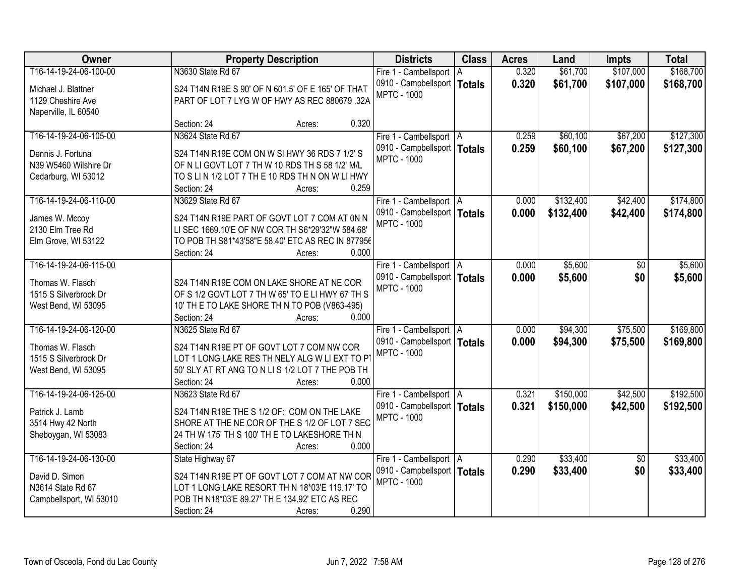| Owner                                        | <b>Property Description</b>                                                                        | <b>Districts</b>                                         | <b>Class</b>  | <b>Acres</b> | Land      | <b>Impts</b>    | <b>Total</b> |
|----------------------------------------------|----------------------------------------------------------------------------------------------------|----------------------------------------------------------|---------------|--------------|-----------|-----------------|--------------|
| T16-14-19-24-06-100-00                       | N3630 State Rd 67                                                                                  | Fire 1 - Cambellsport   A                                |               | 0.320        | \$61,700  | \$107,000       | \$168,700    |
| Michael J. Blattner                          | S24 T14N R19E S 90' OF N 601.5' OF E 165' OF THAT                                                  | 0910 - Campbellsport                                     | <b>Totals</b> | 0.320        | \$61,700  | \$107,000       | \$168,700    |
| 1129 Cheshire Ave                            | PART OF LOT 7 LYG W OF HWY AS REC 880679 .32A                                                      | <b>MPTC - 1000</b>                                       |               |              |           |                 |              |
| Naperville, IL 60540                         |                                                                                                    |                                                          |               |              |           |                 |              |
|                                              | 0.320<br>Section: 24<br>Acres:                                                                     |                                                          |               |              |           |                 |              |
| T16-14-19-24-06-105-00                       | N3624 State Rd 67                                                                                  | Fire 1 - Cambellsport   A                                |               | 0.259        | \$60,100  | \$67,200        | \$127,300    |
| Dennis J. Fortuna                            | S24 T14N R19E COM ON W SI HWY 36 RDS 7 1/2' S                                                      | 0910 - Campbellsport   Totals                            |               | 0.259        | \$60,100  | \$67,200        | \$127,300    |
| N39 W5460 Wilshire Dr                        | OF N LI GOVT LOT 7 TH W 10 RDS TH S 58 1/2' M/L                                                    | <b>MPTC - 1000</b>                                       |               |              |           |                 |              |
| Cedarburg, WI 53012                          | TO SLIN 1/2 LOT 7 TH E 10 RDS TH N ON W LI HWY                                                     |                                                          |               |              |           |                 |              |
|                                              | 0.259<br>Section: 24<br>Acres:                                                                     |                                                          |               |              |           |                 |              |
| T16-14-19-24-06-110-00                       | N3629 State Rd 67                                                                                  | Fire 1 - Cambellsport   A                                |               | 0.000        | \$132,400 | \$42,400        | \$174,800    |
| James W. Mccoy                               | S24 T14N R19E PART OF GOVT LOT 7 COM AT 0N N                                                       | 0910 - Campbellsport   Totals                            |               | 0.000        | \$132,400 | \$42,400        | \$174,800    |
| 2130 Elm Tree Rd                             | LI SEC 1669.10'E OF NW COR TH S6*29'32"W 584.68'                                                   | <b>MPTC - 1000</b>                                       |               |              |           |                 |              |
| Elm Grove, WI 53122                          | TO POB TH S81*43'58"E 58.40' ETC AS REC IN 877956                                                  |                                                          |               |              |           |                 |              |
|                                              | 0.000<br>Section: 24<br>Acres:                                                                     |                                                          |               |              |           |                 |              |
| T16-14-19-24-06-115-00                       |                                                                                                    | Fire 1 - Cambellsport   A                                |               | 0.000        | \$5,600   | $\sqrt[6]{}$    | \$5,600      |
|                                              |                                                                                                    | 0910 - Campbellsport   Totals                            |               | 0.000        | \$5,600   | \$0             | \$5,600      |
| Thomas W. Flasch<br>1515 S Silverbrook Dr    | S24 T14N R19E COM ON LAKE SHORE AT NE COR<br>OF S 1/2 GOVT LOT 7 TH W 65' TO E LI HWY 67 TH S      | <b>MPTC - 1000</b>                                       |               |              |           |                 |              |
| West Bend, WI 53095                          | 10' TH E TO LAKE SHORE TH N TO POB (V863-495)                                                      |                                                          |               |              |           |                 |              |
|                                              | 0.000<br>Section: 24<br>Acres:                                                                     |                                                          |               |              |           |                 |              |
| T16-14-19-24-06-120-00                       | N3625 State Rd 67                                                                                  | Fire 1 - Cambellsport   A                                |               | 0.000        | \$94,300  | \$75,500        | \$169,800    |
|                                              |                                                                                                    | 0910 - Campbellsport   Totals                            |               | 0.000        | \$94,300  | \$75,500        | \$169,800    |
| Thomas W. Flasch                             | S24 T14N R19E PT OF GOVT LOT 7 COM NW COR                                                          | <b>MPTC - 1000</b>                                       |               |              |           |                 |              |
| 1515 S Silverbrook Dr<br>West Bend, WI 53095 | LOT 1 LONG LAKE RES TH NELY ALG W LI EXT TO PT<br>50' SLY AT RT ANG TO N LI S 1/2 LOT 7 THE POB TH |                                                          |               |              |           |                 |              |
|                                              | 0.000<br>Section: 24<br>Acres:                                                                     |                                                          |               |              |           |                 |              |
| T16-14-19-24-06-125-00                       | N3623 State Rd 67                                                                                  | Fire 1 - Cambellsport   A                                |               | 0.321        | \$150,000 | \$42,500        | \$192,500    |
|                                              |                                                                                                    | 0910 - Campbellsport   Totals                            |               | 0.321        | \$150,000 | \$42,500        | \$192,500    |
| Patrick J. Lamb                              | S24 T14N R19E THE S 1/2 OF: COM ON THE LAKE                                                        | <b>MPTC - 1000</b>                                       |               |              |           |                 |              |
| 3514 Hwy 42 North                            | SHORE AT THE NE COR OF THE S 1/2 OF LOT 7 SEC                                                      |                                                          |               |              |           |                 |              |
| Sheboygan, WI 53083                          | 24 TH W 175' TH S 100' TH E TO LAKESHORE TH N<br>0.000                                             |                                                          |               |              |           |                 |              |
| T16-14-19-24-06-130-00                       | Section: 24<br>Acres:<br>State Highway 67                                                          |                                                          |               | 0.290        | \$33,400  | $\overline{50}$ | \$33,400     |
|                                              |                                                                                                    | Fire 1 - Cambellsport A<br>0910 - Campbellsport   Totals |               | 0.290        | \$33,400  | \$0             | \$33,400     |
| David D. Simon                               | S24 T14N R19E PT OF GOVT LOT 7 COM AT NW COR                                                       | <b>MPTC - 1000</b>                                       |               |              |           |                 |              |
| N3614 State Rd 67                            | LOT 1 LONG LAKE RESORT TH N 18*03'E 119.17' TO                                                     |                                                          |               |              |           |                 |              |
| Campbellsport, WI 53010                      | POB TH N18*03'E 89.27' TH E 134.92' ETC AS REC                                                     |                                                          |               |              |           |                 |              |
|                                              | 0.290<br>Section: 24<br>Acres:                                                                     |                                                          |               |              |           |                 |              |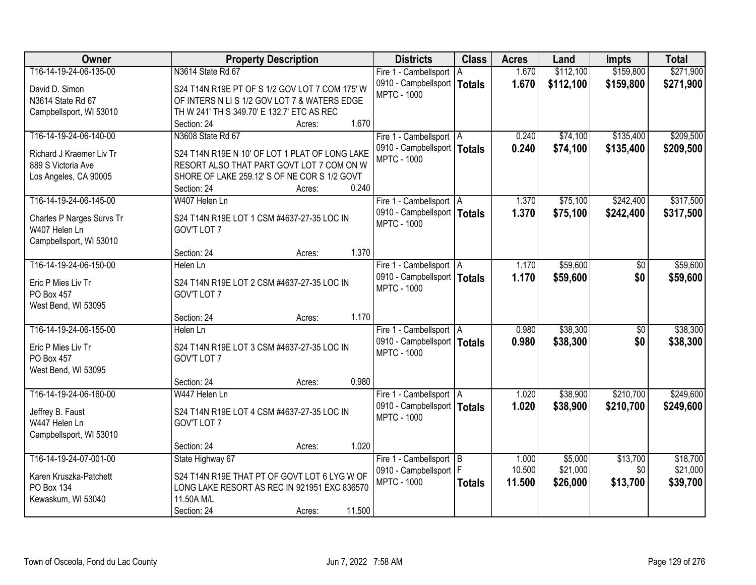| Owner                     | <b>Property Description</b>                                                                 | <b>Districts</b>                                    | <b>Class</b>  | <b>Acres</b> | Land      | <b>Impts</b> | <b>Total</b> |
|---------------------------|---------------------------------------------------------------------------------------------|-----------------------------------------------------|---------------|--------------|-----------|--------------|--------------|
| T16-14-19-24-06-135-00    | N3614 State Rd 67                                                                           | Fire 1 - Cambellsport                               | l A           | 1.670        | \$112,100 | \$159,800    | \$271,900    |
| David D. Simon            | S24 T14N R19E PT OF S 1/2 GOV LOT 7 COM 175' W                                              | 0910 - Campbellsport   Totals                       |               | 1.670        | \$112,100 | \$159,800    | \$271,900    |
| N3614 State Rd 67         | OF INTERS N LI S 1/2 GOV LOT 7 & WATERS EDGE                                                | <b>MPTC - 1000</b>                                  |               |              |           |              |              |
| Campbellsport, WI 53010   | TH W 241' TH S 349.70' E 132.7' ETC AS REC                                                  |                                                     |               |              |           |              |              |
|                           | 1.670<br>Section: 24<br>Acres:                                                              |                                                     |               |              |           |              |              |
| T16-14-19-24-06-140-00    | N3608 State Rd 67                                                                           | Fire 1 - Cambellsport   A                           |               | 0.240        | \$74,100  | \$135,400    | \$209,500    |
| Richard J Kraemer Liv Tr  |                                                                                             | 0910 - Campbellsport   Totals                       |               | 0.240        | \$74,100  | \$135,400    | \$209,500    |
| 889 S Victoria Ave        | S24 T14N R19E N 10' OF LOT 1 PLAT OF LONG LAKE<br>RESORT ALSO THAT PART GOVT LOT 7 COM ON W | <b>MPTC - 1000</b>                                  |               |              |           |              |              |
| Los Angeles, CA 90005     | SHORE OF LAKE 259.12' S OF NE COR S 1/2 GOVT                                                |                                                     |               |              |           |              |              |
|                           | 0.240<br>Section: 24<br>Acres:                                                              |                                                     |               |              |           |              |              |
| T16-14-19-24-06-145-00    | W407 Helen Ln                                                                               | Fire 1 - Cambellsport   A                           |               | 1.370        | \$75,100  | \$242,400    | \$317,500    |
|                           |                                                                                             | 0910 - Campbellsport   Totals                       |               | 1.370        | \$75,100  | \$242,400    | \$317,500    |
| Charles P Narges Survs Tr | S24 T14N R19E LOT 1 CSM #4637-27-35 LOC IN                                                  | <b>MPTC - 1000</b>                                  |               |              |           |              |              |
| W407 Helen Ln             | GOV'T LOT 7                                                                                 |                                                     |               |              |           |              |              |
| Campbellsport, WI 53010   |                                                                                             |                                                     |               |              |           |              |              |
|                           | 1.370<br>Section: 24<br>Acres:                                                              |                                                     |               |              |           |              |              |
| T16-14-19-24-06-150-00    | Helen Ln                                                                                    | Fire 1 - Cambellsport   A                           |               | 1.170        | \$59,600  | $\sqrt[6]{}$ | \$59,600     |
| Eric P Mies Liv Tr        | S24 T14N R19E LOT 2 CSM #4637-27-35 LOC IN                                                  | 0910 - Campbellsport   Totals<br><b>MPTC - 1000</b> |               | 1.170        | \$59,600  | \$0          | \$59,600     |
| PO Box 457                | GOV'T LOT 7                                                                                 |                                                     |               |              |           |              |              |
| West Bend, WI 53095       |                                                                                             |                                                     |               |              |           |              |              |
|                           | 1.170<br>Section: 24<br>Acres:                                                              |                                                     |               |              |           |              |              |
| T16-14-19-24-06-155-00    | Helen Ln                                                                                    | Fire 1 - Cambellsport   A                           |               | 0.980        | \$38,300  | \$0          | \$38,300     |
| Eric P Mies Liv Tr        | S24 T14N R19E LOT 3 CSM #4637-27-35 LOC IN                                                  | 0910 - Campbellsport   Totals                       |               | 0.980        | \$38,300  | \$0          | \$38,300     |
| PO Box 457                | GOV'T LOT 7                                                                                 | <b>MPTC - 1000</b>                                  |               |              |           |              |              |
| West Bend, WI 53095       |                                                                                             |                                                     |               |              |           |              |              |
|                           | 0.980<br>Section: 24<br>Acres:                                                              |                                                     |               |              |           |              |              |
| T16-14-19-24-06-160-00    | W447 Helen Ln                                                                               | Fire 1 - Cambellsport   A                           |               | 1.020        | \$38,900  | \$210,700    | \$249,600    |
| Jeffrey B. Faust          | S24 T14N R19E LOT 4 CSM #4637-27-35 LOC IN                                                  | 0910 - Campbellsport   Totals                       |               | 1.020        | \$38,900  | \$210,700    | \$249,600    |
| W447 Helen Ln             | GOV'T LOT 7                                                                                 | <b>MPTC - 1000</b>                                  |               |              |           |              |              |
| Campbellsport, WI 53010   |                                                                                             |                                                     |               |              |           |              |              |
|                           | 1.020<br>Section: 24<br>Acres:                                                              |                                                     |               |              |           |              |              |
| T16-14-19-24-07-001-00    | State Highway 67                                                                            | Fire 1 - Cambellsport B                             |               | 1.000        | \$5,000   | \$13,700     | \$18,700     |
|                           |                                                                                             | 0910 - Campbellsport   F                            |               | 10.500       | \$21,000  | \$0          | \$21,000     |
| Karen Kruszka-Patchett    | S24 T14N R19E THAT PT OF GOVT LOT 6 LYG W OF                                                | <b>MPTC - 1000</b>                                  | <b>Totals</b> | 11.500       | \$26,000  | \$13,700     | \$39,700     |
| PO Box 134                | LONG LAKE RESORT AS REC IN 921951 EXC 836570                                                |                                                     |               |              |           |              |              |
| Kewaskum, WI 53040        | 11.50A M/L                                                                                  |                                                     |               |              |           |              |              |
|                           | 11.500<br>Section: 24<br>Acres:                                                             |                                                     |               |              |           |              |              |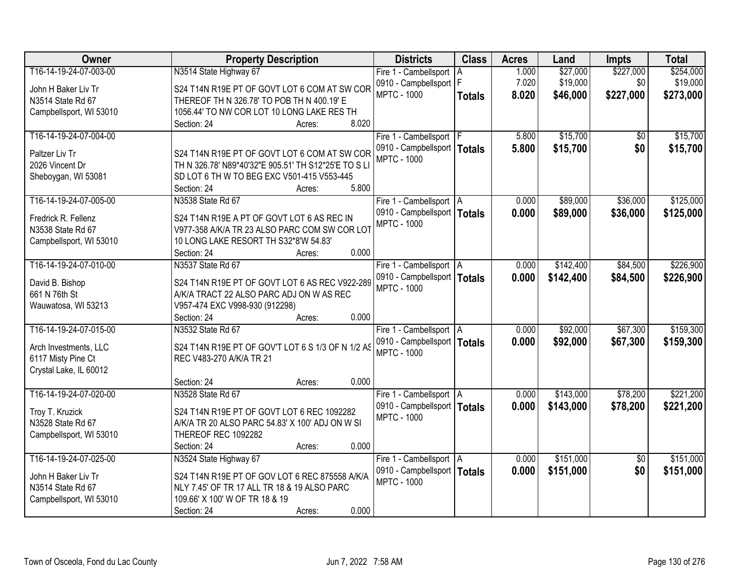| Owner                   | <b>Property Description</b>                          | <b>Districts</b>              | <b>Class</b>  | <b>Acres</b> | Land      | <b>Impts</b>    | <b>Total</b> |
|-------------------------|------------------------------------------------------|-------------------------------|---------------|--------------|-----------|-----------------|--------------|
| T16-14-19-24-07-003-00  | N3514 State Highway 67                               | Fire 1 - Cambellsport         | ΙA            | 1.000        | \$27,000  | \$227,000       | \$254,000    |
| John H Baker Liv Tr     | S24 T14N R19E PT OF GOVT LOT 6 COM AT SW COR         | 0910 - Campbellsport   F      |               | 7.020        | \$19,000  | \$0             | \$19,000     |
| N3514 State Rd 67       | THEREOF TH N 326.78' TO POB TH N 400.19' E           | <b>MPTC - 1000</b>            | <b>Totals</b> | 8.020        | \$46,000  | \$227,000       | \$273,000    |
| Campbellsport, WI 53010 | 1056.44' TO NW COR LOT 10 LONG LAKE RES TH           |                               |               |              |           |                 |              |
|                         | 8.020<br>Section: 24<br>Acres:                       |                               |               |              |           |                 |              |
| T16-14-19-24-07-004-00  |                                                      | Fire 1 - Cambellsport   F     |               | 5.800        | \$15,700  | \$0             | \$15,700     |
|                         |                                                      | 0910 - Campbellsport          | <b>Totals</b> | 5.800        | \$15,700  | \$0             | \$15,700     |
| Paltzer Liv Tr          | S24 T14N R19E PT OF GOVT LOT 6 COM AT SW COR         | <b>MPTC - 1000</b>            |               |              |           |                 |              |
| 2026 Vincent Dr         | TH N 326.78' N89*40'32"E 905.51' TH S12*25'E TO S LI |                               |               |              |           |                 |              |
| Sheboygan, WI 53081     | SD LOT 6 TH W TO BEG EXC V501-415 V553-445           |                               |               |              |           |                 |              |
|                         | 5.800<br>Section: 24<br>Acres:                       |                               |               |              |           |                 |              |
| T16-14-19-24-07-005-00  | N3538 State Rd 67                                    | Fire 1 - Cambellsport   A     |               | 0.000        | \$89,000  | \$36,000        | \$125,000    |
| Fredrick R. Fellenz     | S24 T14N R19E A PT OF GOVT LOT 6 AS REC IN           | 0910 - Campbellsport   Totals |               | 0.000        | \$89,000  | \$36,000        | \$125,000    |
| N3538 State Rd 67       | V977-358 A/K/A TR 23 ALSO PARC COM SW COR LOT        | <b>MPTC - 1000</b>            |               |              |           |                 |              |
| Campbellsport, WI 53010 | 10 LONG LAKE RESORT TH S32*8'W 54.83'                |                               |               |              |           |                 |              |
|                         | 0.000<br>Section: 24<br>Acres:                       |                               |               |              |           |                 |              |
| T16-14-19-24-07-010-00  | N3537 State Rd 67                                    | Fire 1 - Cambellsport   A     |               | 0.000        | \$142,400 | \$84,500        | \$226,900    |
|                         |                                                      | 0910 - Campbellsport   Totals |               | 0.000        | \$142,400 | \$84,500        | \$226,900    |
| David B. Bishop         | S24 T14N R19E PT OF GOVT LOT 6 AS REC V922-289       | <b>MPTC - 1000</b>            |               |              |           |                 |              |
| 661 N 76th St           | A/K/A TRACT 22 ALSO PARC ADJ ON W AS REC             |                               |               |              |           |                 |              |
| Wauwatosa, WI 53213     | V957-474 EXC V998-930 (912298)                       |                               |               |              |           |                 |              |
|                         | 0.000<br>Section: 24<br>Acres:                       |                               |               |              |           |                 |              |
| T16-14-19-24-07-015-00  | N3532 State Rd 67                                    | Fire 1 - Cambellsport   A     |               | 0.000        | \$92,000  | \$67,300        | \$159,300    |
| Arch Investments, LLC   | S24 T14N R19E PT OF GOV'T LOT 6 S 1/3 OF N 1/2 AS    | 0910 - Campbellsport   Totals |               | 0.000        | \$92,000  | \$67,300        | \$159,300    |
| 6117 Misty Pine Ct      | REC V483-270 A/K/A TR 21                             | <b>MPTC - 1000</b>            |               |              |           |                 |              |
| Crystal Lake, IL 60012  |                                                      |                               |               |              |           |                 |              |
|                         | 0.000<br>Section: 24<br>Acres:                       |                               |               |              |           |                 |              |
| T16-14-19-24-07-020-00  | N3528 State Rd 67                                    | Fire 1 - Cambellsport   A     |               | 0.000        | \$143,000 | \$78,200        | \$221,200    |
|                         |                                                      | 0910 - Campbellsport   Totals |               | 0.000        | \$143,000 | \$78,200        | \$221,200    |
| Troy T. Kruzick         | S24 T14N R19E PT OF GOVT LOT 6 REC 1092282           | <b>MPTC - 1000</b>            |               |              |           |                 |              |
| N3528 State Rd 67       | A/K/A TR 20 ALSO PARC 54.83' X 100' ADJ ON W SI      |                               |               |              |           |                 |              |
| Campbellsport, WI 53010 | THEREOF REC 1092282                                  |                               |               |              |           |                 |              |
|                         | 0.000<br>Section: 24<br>Acres:                       |                               |               |              |           |                 |              |
| T16-14-19-24-07-025-00  | N3524 State Highway 67                               | Fire 1 - Cambellsport A       |               | 0.000        | \$151,000 | $\overline{50}$ | \$151,000    |
| John H Baker Liv Tr     | S24 T14N R19E PT OF GOV LOT 6 REC 875558 A/K/A       | 0910 - Campbellsport   Totals |               | 0.000        | \$151,000 | \$0             | \$151,000    |
| N3514 State Rd 67       | NLY 7.45' OF TR 17 ALL TR 18 & 19 ALSO PARC          | <b>MPTC - 1000</b>            |               |              |           |                 |              |
| Campbellsport, WI 53010 | 109.66' X 100' W OF TR 18 & 19                       |                               |               |              |           |                 |              |
|                         | 0.000<br>Section: 24<br>Acres:                       |                               |               |              |           |                 |              |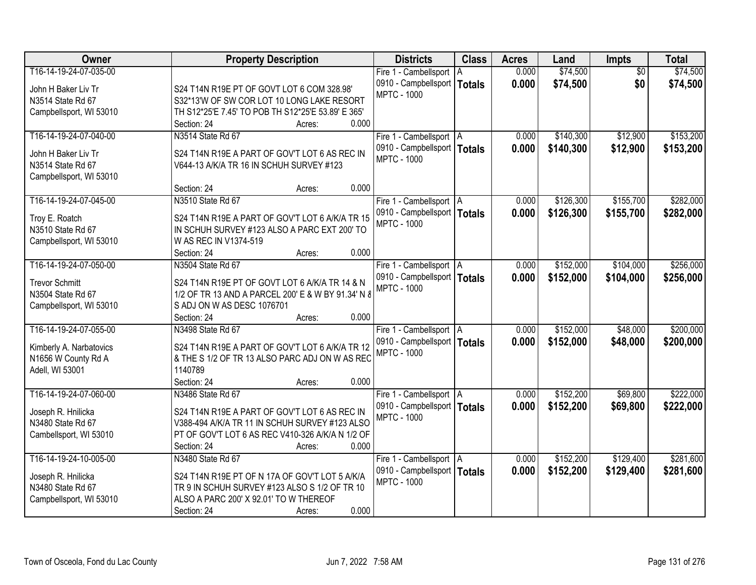| Owner                   | <b>Property Description</b>                        | <b>Districts</b>              | <b>Class</b>  | <b>Acres</b> | Land      | Impts           | <b>Total</b> |
|-------------------------|----------------------------------------------------|-------------------------------|---------------|--------------|-----------|-----------------|--------------|
| T16-14-19-24-07-035-00  |                                                    | Fire 1 - Cambellsport   A     |               | 0.000        | \$74,500  | $\overline{50}$ | \$74,500     |
| John H Baker Liv Tr     | S24 T14N R19E PT OF GOVT LOT 6 COM 328.98'         | 0910 - Campbellsport          | <b>Totals</b> | 0.000        | \$74,500  | \$0             | \$74,500     |
| N3514 State Rd 67       | S32*13'W OF SW COR LOT 10 LONG LAKE RESORT         | <b>MPTC - 1000</b>            |               |              |           |                 |              |
| Campbellsport, WI 53010 | TH S12*25'E 7.45' TO POB TH S12*25'E 53.89' E 365' |                               |               |              |           |                 |              |
|                         | 0.000<br>Section: 24<br>Acres:                     |                               |               |              |           |                 |              |
| T16-14-19-24-07-040-00  | N3514 State Rd 67                                  | Fire 1 - Cambellsport   A     |               | 0.000        | \$140,300 | \$12,900        | \$153,200    |
|                         |                                                    | 0910 - Campbellsport          | <b>Totals</b> | 0.000        | \$140,300 | \$12,900        | \$153,200    |
| John H Baker Liv Tr     | S24 T14N R19E A PART OF GOV'T LOT 6 AS REC IN      | <b>MPTC - 1000</b>            |               |              |           |                 |              |
| N3514 State Rd 67       | V644-13 A/K/A TR 16 IN SCHUH SURVEY #123           |                               |               |              |           |                 |              |
| Campbellsport, WI 53010 |                                                    |                               |               |              |           |                 |              |
|                         | 0.000<br>Section: 24<br>Acres:                     |                               |               |              |           |                 |              |
| T16-14-19-24-07-045-00  | N3510 State Rd 67                                  | Fire 1 - Cambellsport   A     |               | 0.000        | \$126,300 | \$155,700       | \$282,000    |
| Troy E. Roatch          | S24 T14N R19E A PART OF GOV'T LOT 6 A/K/A TR 15    | 0910 - Campbellsport   Totals |               | 0.000        | \$126,300 | \$155,700       | \$282,000    |
| N3510 State Rd 67       | IN SCHUH SURVEY #123 ALSO A PARC EXT 200' TO       | <b>MPTC - 1000</b>            |               |              |           |                 |              |
| Campbellsport, WI 53010 | W AS REC IN V1374-519                              |                               |               |              |           |                 |              |
|                         | 0.000<br>Section: 24<br>Acres:                     |                               |               |              |           |                 |              |
| T16-14-19-24-07-050-00  | N3504 State Rd 67                                  | Fire 1 - Cambellsport   A     |               | 0.000        | \$152,000 | \$104,000       | \$256,000    |
|                         |                                                    | 0910 - Campbellsport   Totals |               | 0.000        | \$152,000 | \$104,000       | \$256,000    |
| <b>Trevor Schmitt</b>   | S24 T14N R19E PT OF GOVT LOT 6 A/K/A TR 14 & N     | <b>MPTC - 1000</b>            |               |              |           |                 |              |
| N3504 State Rd 67       | 1/2 OF TR 13 AND A PARCEL 200' E & W BY 91.34' N & |                               |               |              |           |                 |              |
| Campbellsport, WI 53010 | S ADJ ON W AS DESC 1076701                         |                               |               |              |           |                 |              |
|                         | 0.000<br>Section: 24<br>Acres:                     |                               |               |              |           |                 |              |
| T16-14-19-24-07-055-00  | N3498 State Rd 67                                  | Fire 1 - Cambellsport   A     |               | 0.000        | \$152,000 | \$48,000        | \$200,000    |
| Kimberly A. Narbatovics | S24 T14N R19E A PART OF GOV'T LOT 6 A/K/A TR 12    | 0910 - Campbellsport   Totals |               | 0.000        | \$152,000 | \$48,000        | \$200,000    |
| N1656 W County Rd A     | & THE S 1/2 OF TR 13 ALSO PARC ADJ ON W AS REC     | <b>MPTC - 1000</b>            |               |              |           |                 |              |
| Adell, WI 53001         | 1140789                                            |                               |               |              |           |                 |              |
|                         | 0.000<br>Section: 24<br>Acres:                     |                               |               |              |           |                 |              |
| T16-14-19-24-07-060-00  | N3486 State Rd 67                                  | Fire 1 - Cambellsport   A     |               | 0.000        | \$152,200 | \$69,800        | \$222,000    |
| Joseph R. Hnilicka      | S24 T14N R19E A PART OF GOV'T LOT 6 AS REC IN      | 0910 - Campbellsport   Totals |               | 0.000        | \$152,200 | \$69,800        | \$222,000    |
| N3480 State Rd 67       | V388-494 A/K/A TR 11 IN SCHUH SURVEY #123 ALSO     | <b>MPTC - 1000</b>            |               |              |           |                 |              |
| Cambellsport, WI 53010  | PT OF GOV'T LOT 6 AS REC V410-326 A/K/A N 1/2 OF   |                               |               |              |           |                 |              |
|                         | 0.000<br>Section: 24<br>Acres:                     |                               |               |              |           |                 |              |
| T16-14-19-24-10-005-00  | N3480 State Rd 67                                  | Fire 1 - Cambellsport   A     |               | 0.000        | \$152,200 | \$129,400       | \$281,600    |
|                         |                                                    | 0910 - Campbellsport   Totals |               | 0.000        | \$152,200 | \$129,400       | \$281,600    |
| Joseph R. Hnilicka      | S24 T14N R19E PT OF N 17A OF GOV'T LOT 5 A/K/A     | <b>MPTC - 1000</b>            |               |              |           |                 |              |
| N3480 State Rd 67       | TR 9 IN SCHUH SURVEY #123 ALSO S 1/2 OF TR 10      |                               |               |              |           |                 |              |
| Campbellsport, WI 53010 | ALSO A PARC 200' X 92.01' TO W THEREOF             |                               |               |              |           |                 |              |
|                         | 0.000<br>Section: 24<br>Acres:                     |                               |               |              |           |                 |              |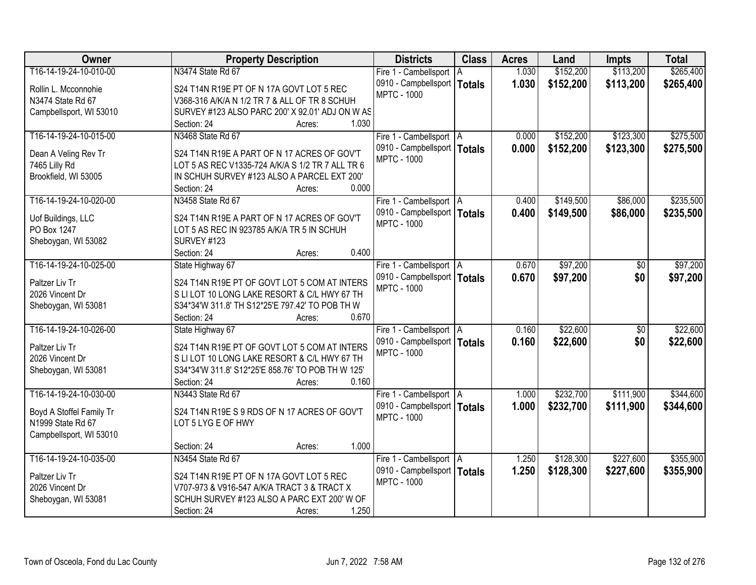| Owner                    | <b>Property Description</b>                       | <b>Districts</b>                                    | <b>Class</b>  | <b>Acres</b> | Land      | <b>Impts</b>    | <b>Total</b> |
|--------------------------|---------------------------------------------------|-----------------------------------------------------|---------------|--------------|-----------|-----------------|--------------|
| T16-14-19-24-10-010-00   | N3474 State Rd 67                                 | Fire 1 - Cambellsport   A                           |               | 1.030        | \$152,200 | \$113,200       | \$265,400    |
| Rollin L. Mcconnohie     | S24 T14N R19E PT OF N 17A GOVT LOT 5 REC          | 0910 - Campbellsport                                | <b>Totals</b> | 1.030        | \$152,200 | \$113,200       | \$265,400    |
| N3474 State Rd 67        | V368-316 A/K/A N 1/2 TR 7 & ALL OF TR 8 SCHUH     | <b>MPTC - 1000</b>                                  |               |              |           |                 |              |
| Campbellsport, WI 53010  | SURVEY #123 ALSO PARC 200' X 92.01' ADJ ON W AS   |                                                     |               |              |           |                 |              |
|                          | 1.030<br>Section: 24<br>Acres:                    |                                                     |               |              |           |                 |              |
| T16-14-19-24-10-015-00   | N3468 State Rd 67                                 |                                                     |               | 0.000        | \$152,200 | \$123,300       | \$275,500    |
|                          |                                                   | Fire 1 - Cambellsport   A                           |               |              |           |                 |              |
| Dean A Veling Rev Tr     | S24 T14N R19E A PART OF N 17 ACRES OF GOV'T       | 0910 - Campbellsport   Totals<br><b>MPTC - 1000</b> |               | 0.000        | \$152,200 | \$123,300       | \$275,500    |
| 7465 Lilly Rd            | LOT 5 AS REC V1335-724 A/K/A S 1/2 TR 7 ALL TR 6  |                                                     |               |              |           |                 |              |
| Brookfield, WI 53005     | IN SCHUH SURVEY #123 ALSO A PARCEL EXT 200'       |                                                     |               |              |           |                 |              |
|                          | 0.000<br>Section: 24<br>Acres:                    |                                                     |               |              |           |                 |              |
| T16-14-19-24-10-020-00   | N3458 State Rd 67                                 | Fire 1 - Cambellsport   A                           |               | 0.400        | \$149,500 | \$86,000        | \$235,500    |
|                          |                                                   | 0910 - Campbellsport   Totals                       |               | 0.400        | \$149,500 | \$86,000        | \$235,500    |
| Uof Buildings, LLC       | S24 T14N R19E A PART OF N 17 ACRES OF GOV'T       | <b>MPTC - 1000</b>                                  |               |              |           |                 |              |
| PO Box 1247              | LOT 5 AS REC IN 923785 A/K/A TR 5 IN SCHUH        |                                                     |               |              |           |                 |              |
| Sheboygan, WI 53082      | SURVEY #123                                       |                                                     |               |              |           |                 |              |
|                          | 0.400<br>Section: 24<br>Acres:                    |                                                     |               |              |           |                 |              |
| T16-14-19-24-10-025-00   | State Highway 67                                  | Fire 1 - Cambellsport   A                           |               | 0.670        | \$97,200  | \$0             | \$97,200     |
| Paltzer Liv Tr           | S24 T14N R19E PT OF GOVT LOT 5 COM AT INTERS      | 0910 - Campbellsport   Totals                       |               | 0.670        | \$97,200  | \$0             | \$97,200     |
| 2026 Vincent Dr          | S LI LOT 10 LONG LAKE RESORT & C/L HWY 67 TH      | <b>MPTC - 1000</b>                                  |               |              |           |                 |              |
| Sheboygan, WI 53081      | S34*34'W 311.8' TH S12*25'E 797.42' TO POB TH W   |                                                     |               |              |           |                 |              |
|                          | 0.670<br>Section: 24<br>Acres:                    |                                                     |               |              |           |                 |              |
| T16-14-19-24-10-026-00   | State Highway 67                                  | Fire 1 - Cambellsport   A                           |               | 0.160        | \$22,600  | $\overline{50}$ | \$22,600     |
|                          |                                                   | 0910 - Campbellsport   Totals                       |               | 0.160        | \$22,600  | \$0             | \$22,600     |
| Paltzer Liv Tr           | S24 T14N R19E PT OF GOVT LOT 5 COM AT INTERS      | <b>MPTC - 1000</b>                                  |               |              |           |                 |              |
| 2026 Vincent Dr          | S LI LOT 10 LONG LAKE RESORT & C/L HWY 67 TH      |                                                     |               |              |           |                 |              |
| Sheboygan, WI 53081      | S34*34'W 311.8' S12*25'E 858.76' TO POB TH W 125' |                                                     |               |              |           |                 |              |
|                          | 0.160<br>Section: 24<br>Acres:                    |                                                     |               |              |           |                 |              |
| T16-14-19-24-10-030-00   | N3443 State Rd 67                                 | Fire 1 - Cambellsport   A                           |               | 1.000        | \$232,700 | \$111,900       | \$344,600    |
| Boyd A Stoffel Family Tr | S24 T14N R19E S 9 RDS OF N 17 ACRES OF GOV'T      | 0910 - Campbellsport   Totals                       |               | 1.000        | \$232,700 | \$111,900       | \$344,600    |
| N1999 State Rd 67        | LOT 5 LYG E OF HWY                                | <b>MPTC - 1000</b>                                  |               |              |           |                 |              |
| Campbellsport, WI 53010  |                                                   |                                                     |               |              |           |                 |              |
|                          | 1.000<br>Section: 24<br>Acres:                    |                                                     |               |              |           |                 |              |
| T16-14-19-24-10-035-00   | N3454 State Rd 67                                 |                                                     |               | 1.250        | \$128,300 | \$227,600       | \$355,900    |
|                          |                                                   | Fire 1 - Cambellsport   A                           |               |              |           |                 |              |
| Paltzer Liv Tr           | S24 T14N R19E PT OF N 17A GOVT LOT 5 REC          | 0910 - Campbellsport   Totals<br><b>MPTC - 1000</b> |               | 1.250        | \$128,300 | \$227,600       | \$355,900    |
| 2026 Vincent Dr          | V707-973 & V916-547 A/K/A TRACT 3 & TRACT X       |                                                     |               |              |           |                 |              |
| Sheboygan, WI 53081      | SCHUH SURVEY #123 ALSO A PARC EXT 200' W OF       |                                                     |               |              |           |                 |              |
|                          | 1.250<br>Section: 24<br>Acres:                    |                                                     |               |              |           |                 |              |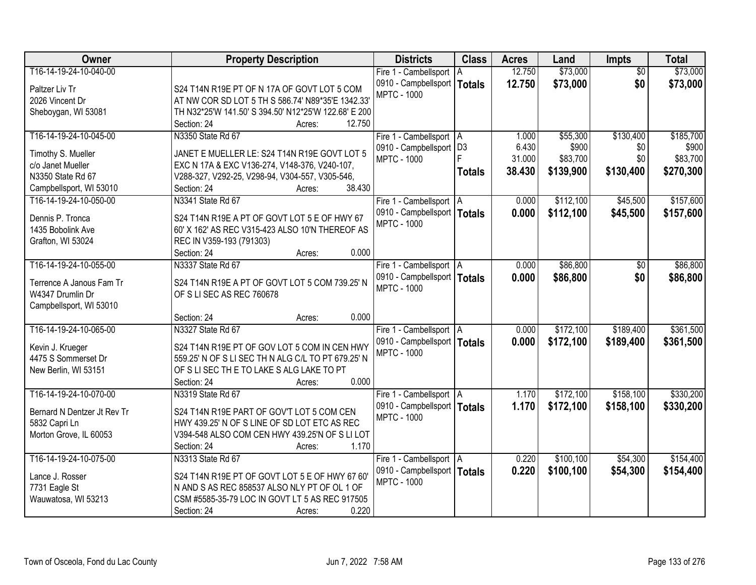| Owner                       | <b>Property Description</b>                          | <b>Districts</b>              | <b>Class</b>  | <b>Acres</b> | Land      | Impts           | <b>Total</b> |
|-----------------------------|------------------------------------------------------|-------------------------------|---------------|--------------|-----------|-----------------|--------------|
| T16-14-19-24-10-040-00      |                                                      | Fire 1 - Cambellsport   A     |               | 12.750       | \$73,000  | $\overline{50}$ | \$73,000     |
| Paltzer Liv Tr              | S24 T14N R19E PT OF N 17A OF GOVT LOT 5 COM          | 0910 - Campbellsport   Totals |               | 12.750       | \$73,000  | \$0             | \$73,000     |
| 2026 Vincent Dr             | AT NW COR SD LOT 5 TH S 586.74' N89*35'E 1342.33'    | <b>MPTC - 1000</b>            |               |              |           |                 |              |
| Sheboygan, WI 53081         | TH N32*25'W 141.50' S 394.50' N12*25'W 122.68' E 200 |                               |               |              |           |                 |              |
|                             | 12.750<br>Section: 24<br>Acres:                      |                               |               |              |           |                 |              |
| T16-14-19-24-10-045-00      | N3350 State Rd 67                                    | Fire 1 - Cambellsport   A     |               | 1.000        | \$55,300  | \$130,400       | \$185,700    |
|                             |                                                      | 0910 - Campbellsport   D3     |               | 6.430        | \$900     | \$0             | \$900        |
| Timothy S. Mueller          | JANET E MUELLER LE: S24 T14N R19E GOVT LOT 5         | <b>MPTC - 1000</b>            |               | 31.000       | \$83,700  | \$0             | \$83,700     |
| c/o Janet Mueller           | EXC N 17A & EXC V136-274, V148-376, V240-107,        |                               | <b>Totals</b> | 38.430       | \$139,900 | \$130,400       | \$270,300    |
| N3350 State Rd 67           | V288-327, V292-25, V298-94, V304-557, V305-546,      |                               |               |              |           |                 |              |
| Campbellsport, WI 53010     | 38.430<br>Section: 24<br>Acres:                      |                               |               |              |           |                 |              |
| T16-14-19-24-10-050-00      | N3341 State Rd 67                                    | Fire 1 - Cambellsport   A     |               | 0.000        | \$112,100 | \$45,500        | \$157,600    |
| Dennis P. Tronca            | S24 T14N R19E A PT OF GOVT LOT 5 E OF HWY 67         | 0910 - Campbellsport   Totals |               | 0.000        | \$112,100 | \$45,500        | \$157,600    |
| 1435 Bobolink Ave           | 60' X 162' AS REC V315-423 ALSO 10'N THEREOF AS      | <b>MPTC - 1000</b>            |               |              |           |                 |              |
| Grafton, WI 53024           | REC IN V359-193 (791303)                             |                               |               |              |           |                 |              |
|                             | Section: 24<br>0.000<br>Acres:                       |                               |               |              |           |                 |              |
| T16-14-19-24-10-055-00      | N3337 State Rd 67                                    | Fire 1 - Cambellsport   A     |               | 0.000        | \$86,800  | $\sqrt[6]{}$    | \$86,800     |
|                             |                                                      | 0910 - Campbellsport   Totals |               | 0.000        | \$86,800  | \$0             | \$86,800     |
| Terrence A Janous Fam Tr    | S24 T14N R19E A PT OF GOVT LOT 5 COM 739.25' N       | <b>MPTC - 1000</b>            |               |              |           |                 |              |
| W4347 Drumlin Dr            | OF S LI SEC AS REC 760678                            |                               |               |              |           |                 |              |
| Campbellsport, WI 53010     |                                                      |                               |               |              |           |                 |              |
|                             | 0.000<br>Section: 24<br>Acres:                       |                               |               |              |           |                 |              |
| T16-14-19-24-10-065-00      | N3327 State Rd 67                                    | Fire 1 - Cambellsport   A     |               | 0.000        | \$172,100 | \$189,400       | \$361,500    |
| Kevin J. Krueger            | S24 T14N R19E PT OF GOV LOT 5 COM IN CEN HWY         | 0910 - Campbellsport   Totals |               | 0.000        | \$172,100 | \$189,400       | \$361,500    |
| 4475 S Sommerset Dr         | 559.25' N OF S LI SEC TH N ALG C/L TO PT 679.25' N   | <b>MPTC - 1000</b>            |               |              |           |                 |              |
| New Berlin, WI 53151        | OF S LI SEC TH E TO LAKE S ALG LAKE TO PT            |                               |               |              |           |                 |              |
|                             | Section: 24<br>0.000<br>Acres:                       |                               |               |              |           |                 |              |
| T16-14-19-24-10-070-00      | N3319 State Rd 67                                    | Fire 1 - Cambellsport   A     |               | 1.170        | \$172,100 | \$158,100       | \$330,200    |
|                             |                                                      | 0910 - Campbellsport   Totals |               | 1.170        | \$172,100 | \$158,100       | \$330,200    |
| Bernard N Dentzer Jt Rev Tr | S24 T14N R19E PART OF GOV'T LOT 5 COM CEN            | <b>MPTC - 1000</b>            |               |              |           |                 |              |
| 5832 Capri Ln               | HWY 439.25' N OF S LINE OF SD LOT ETC AS REC         |                               |               |              |           |                 |              |
| Morton Grove, IL 60053      | V394-548 ALSO COM CEN HWY 439.25'N OF S LI LOT       |                               |               |              |           |                 |              |
|                             | 1.170<br>Section: 24<br>Acres:                       |                               |               |              |           |                 |              |
| T16-14-19-24-10-075-00      | N3313 State Rd 67                                    | Fire 1 - Cambellsport   A     |               | 0.220        | \$100,100 | \$54,300        | \$154,400    |
| Lance J. Rosser             | S24 T14N R19E PT OF GOVT LOT 5 E OF HWY 67 60'       | 0910 - Campbellsport   Totals |               | 0.220        | \$100,100 | \$54,300        | \$154,400    |
| 7731 Eagle St               | N AND S AS REC 858537 ALSO NLY PT OF OL 1 OF         | <b>MPTC - 1000</b>            |               |              |           |                 |              |
| Wauwatosa, WI 53213         | CSM #5585-35-79 LOC IN GOVT LT 5 AS REC 917505       |                               |               |              |           |                 |              |
|                             | 0.220<br>Section: 24<br>Acres:                       |                               |               |              |           |                 |              |
|                             |                                                      |                               |               |              |           |                 |              |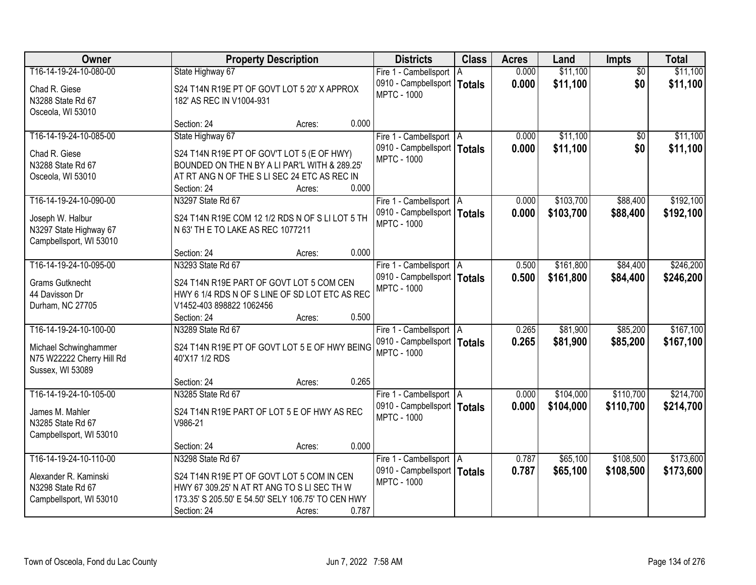| T16-14-19-24-10-080-00<br>\$11,100<br>State Highway 67<br>0.000<br>$\overline{50}$<br>\$11,100<br>Fire 1 - Cambellsport   A<br>0.000<br>\$11,100<br>\$0<br>0910 - Campbellsport   Totals<br>\$11,100<br>S24 T14N R19E PT OF GOVT LOT 5 20' X APPROX<br>Chad R. Giese<br><b>MPTC - 1000</b><br>N3288 State Rd 67<br>182' AS REC IN V1004-931<br>Osceola, WI 53010<br>0.000<br>Section: 24<br>Acres:<br>\$11,100<br>\$11,100<br>T16-14-19-24-10-085-00<br>State Highway 67<br>Fire 1 - Cambellsport   A<br>0.000<br>\$0<br>0910 - Campbellsport   Totals<br>0.000<br>\$11,100<br>\$0<br>\$11,100<br>S24 T14N R19E PT OF GOV'T LOT 5 (E OF HWY)<br>Chad R. Giese<br><b>MPTC - 1000</b><br>BOUNDED ON THE N BY A LI PAR'L WITH & 289.25'<br>N3288 State Rd 67<br>AT RT ANG N OF THE S LI SEC 24 ETC AS REC IN<br>Osceola, WI 53010<br>0.000<br>Section: 24<br>Acres:<br>T16-14-19-24-10-090-00<br>\$103,700<br>\$88,400<br>\$192,100<br>N3297 State Rd 67<br>Fire 1 - Cambellsport   A<br>0.000<br>0910 - Campbellsport   Totals<br>0.000<br>\$103,700<br>\$88,400<br>\$192,100<br>S24 T14N R19E COM 12 1/2 RDS N OF S LI LOT 5 TH<br>Joseph W. Halbur<br><b>MPTC - 1000</b><br>N 63' TH E TO LAKE AS REC 1077211<br>N3297 State Highway 67<br>Campbellsport, WI 53010<br>0.000<br>Section: 24<br>Acres:<br>T16-14-19-24-10-095-00<br>N3293 State Rd 67<br>\$161,800<br>\$84,400<br>\$246,200<br>0.500<br>Fire 1 - Cambellsport   A<br>0910 - Campbellsport   Totals<br>0.500<br>\$161,800<br>\$84,400<br>\$246,200<br><b>Grams Gutknecht</b><br>S24 T14N R19E PART OF GOVT LOT 5 COM CEN<br><b>MPTC - 1000</b><br>HWY 6 1/4 RDS N OF S LINE OF SD LOT ETC AS REC<br>44 Davisson Dr<br>Durham, NC 27705<br>V1452-403 898822 1062456<br>0.500<br>Section: 24<br>Acres:<br>\$167,100<br>T16-14-19-24-10-100-00<br>\$81,900<br>\$85,200<br>N3289 State Rd 67<br>0.265<br>Fire 1 - Cambellsport   A<br>0910 - Campbellsport   Totals<br>0.265<br>\$81,900<br>\$85,200<br>\$167,100<br>S24 T14N R19E PT OF GOVT LOT 5 E OF HWY BEING<br>Michael Schwinghammer<br><b>MPTC - 1000</b><br>N75 W22222 Cherry Hill Rd<br>40'X17 1/2 RDS<br>Sussex, WI 53089<br>0.265<br>Section: 24<br>Acres:<br>\$110,700<br>\$214,700<br>T16-14-19-24-10-105-00<br>0.000<br>\$104,000<br>N3285 State Rd 67<br>Fire 1 - Cambellsport   A<br>0910 - Campbellsport   Totals<br>0.000<br>\$104,000<br>\$110,700<br>\$214,700<br>S24 T14N R19E PART OF LOT 5 E OF HWY AS REC<br>James M. Mahler<br><b>MPTC - 1000</b><br>V986-21<br>N3285 State Rd 67<br>Campbellsport, WI 53010<br>0.000<br>Section: 24<br>Acres:<br>T16-14-19-24-10-110-00<br>\$65,100<br>\$108,500<br>\$173,600<br>N3298 State Rd 67<br>0.787<br>Fire 1 - Cambellsport   A<br>0.787<br>0910 - Campbellsport   Totals<br>\$65,100<br>\$108,500<br>\$173,600<br>Alexander R. Kaminski<br>S24 T14N R19E PT OF GOVT LOT 5 COM IN CEN<br><b>MPTC - 1000</b><br>N3298 State Rd 67<br>HWY 67 309.25' N AT RT ANG TO S LI SEC TH W<br>173.35' S 205.50' E 54.50' SELY 106.75' TO CEN HWY<br>Campbellsport, WI 53010<br>0.787 | <b>Owner</b> |             | <b>Property Description</b> | <b>Districts</b> | <b>Class</b> | <b>Acres</b> | Land | <b>Impts</b> | <b>Total</b> |
|--------------------------------------------------------------------------------------------------------------------------------------------------------------------------------------------------------------------------------------------------------------------------------------------------------------------------------------------------------------------------------------------------------------------------------------------------------------------------------------------------------------------------------------------------------------------------------------------------------------------------------------------------------------------------------------------------------------------------------------------------------------------------------------------------------------------------------------------------------------------------------------------------------------------------------------------------------------------------------------------------------------------------------------------------------------------------------------------------------------------------------------------------------------------------------------------------------------------------------------------------------------------------------------------------------------------------------------------------------------------------------------------------------------------------------------------------------------------------------------------------------------------------------------------------------------------------------------------------------------------------------------------------------------------------------------------------------------------------------------------------------------------------------------------------------------------------------------------------------------------------------------------------------------------------------------------------------------------------------------------------------------------------------------------------------------------------------------------------------------------------------------------------------------------------------------------------------------------------------------------------------------------------------------------------------------------------------------------------------------------------------------------------------------------------------------------------------------------------------------------------------------------------------------------------------------------------------------------------------------------------------------------------------------------------------------------------------------------------------------------------------------------------------------------------------------------------------------------------------------------------------------------------------------------------------------------------------------------------------------------------------------------------------------------------------|--------------|-------------|-----------------------------|------------------|--------------|--------------|------|--------------|--------------|
|                                                                                                                                                                                                                                                                                                                                                                                                                                                                                                                                                                                                                                                                                                                                                                                                                                                                                                                                                                                                                                                                                                                                                                                                                                                                                                                                                                                                                                                                                                                                                                                                                                                                                                                                                                                                                                                                                                                                                                                                                                                                                                                                                                                                                                                                                                                                                                                                                                                                                                                                                                                                                                                                                                                                                                                                                                                                                                                                                                                                                                                        |              |             |                             |                  |              |              |      |              |              |
|                                                                                                                                                                                                                                                                                                                                                                                                                                                                                                                                                                                                                                                                                                                                                                                                                                                                                                                                                                                                                                                                                                                                                                                                                                                                                                                                                                                                                                                                                                                                                                                                                                                                                                                                                                                                                                                                                                                                                                                                                                                                                                                                                                                                                                                                                                                                                                                                                                                                                                                                                                                                                                                                                                                                                                                                                                                                                                                                                                                                                                                        |              |             |                             |                  |              |              |      |              |              |
|                                                                                                                                                                                                                                                                                                                                                                                                                                                                                                                                                                                                                                                                                                                                                                                                                                                                                                                                                                                                                                                                                                                                                                                                                                                                                                                                                                                                                                                                                                                                                                                                                                                                                                                                                                                                                                                                                                                                                                                                                                                                                                                                                                                                                                                                                                                                                                                                                                                                                                                                                                                                                                                                                                                                                                                                                                                                                                                                                                                                                                                        |              |             |                             |                  |              |              |      |              |              |
|                                                                                                                                                                                                                                                                                                                                                                                                                                                                                                                                                                                                                                                                                                                                                                                                                                                                                                                                                                                                                                                                                                                                                                                                                                                                                                                                                                                                                                                                                                                                                                                                                                                                                                                                                                                                                                                                                                                                                                                                                                                                                                                                                                                                                                                                                                                                                                                                                                                                                                                                                                                                                                                                                                                                                                                                                                                                                                                                                                                                                                                        |              |             |                             |                  |              |              |      |              |              |
|                                                                                                                                                                                                                                                                                                                                                                                                                                                                                                                                                                                                                                                                                                                                                                                                                                                                                                                                                                                                                                                                                                                                                                                                                                                                                                                                                                                                                                                                                                                                                                                                                                                                                                                                                                                                                                                                                                                                                                                                                                                                                                                                                                                                                                                                                                                                                                                                                                                                                                                                                                                                                                                                                                                                                                                                                                                                                                                                                                                                                                                        |              |             |                             |                  |              |              |      |              |              |
|                                                                                                                                                                                                                                                                                                                                                                                                                                                                                                                                                                                                                                                                                                                                                                                                                                                                                                                                                                                                                                                                                                                                                                                                                                                                                                                                                                                                                                                                                                                                                                                                                                                                                                                                                                                                                                                                                                                                                                                                                                                                                                                                                                                                                                                                                                                                                                                                                                                                                                                                                                                                                                                                                                                                                                                                                                                                                                                                                                                                                                                        |              |             |                             |                  |              |              |      |              |              |
|                                                                                                                                                                                                                                                                                                                                                                                                                                                                                                                                                                                                                                                                                                                                                                                                                                                                                                                                                                                                                                                                                                                                                                                                                                                                                                                                                                                                                                                                                                                                                                                                                                                                                                                                                                                                                                                                                                                                                                                                                                                                                                                                                                                                                                                                                                                                                                                                                                                                                                                                                                                                                                                                                                                                                                                                                                                                                                                                                                                                                                                        |              |             |                             |                  |              |              |      |              |              |
|                                                                                                                                                                                                                                                                                                                                                                                                                                                                                                                                                                                                                                                                                                                                                                                                                                                                                                                                                                                                                                                                                                                                                                                                                                                                                                                                                                                                                                                                                                                                                                                                                                                                                                                                                                                                                                                                                                                                                                                                                                                                                                                                                                                                                                                                                                                                                                                                                                                                                                                                                                                                                                                                                                                                                                                                                                                                                                                                                                                                                                                        |              |             |                             |                  |              |              |      |              |              |
|                                                                                                                                                                                                                                                                                                                                                                                                                                                                                                                                                                                                                                                                                                                                                                                                                                                                                                                                                                                                                                                                                                                                                                                                                                                                                                                                                                                                                                                                                                                                                                                                                                                                                                                                                                                                                                                                                                                                                                                                                                                                                                                                                                                                                                                                                                                                                                                                                                                                                                                                                                                                                                                                                                                                                                                                                                                                                                                                                                                                                                                        |              |             |                             |                  |              |              |      |              |              |
|                                                                                                                                                                                                                                                                                                                                                                                                                                                                                                                                                                                                                                                                                                                                                                                                                                                                                                                                                                                                                                                                                                                                                                                                                                                                                                                                                                                                                                                                                                                                                                                                                                                                                                                                                                                                                                                                                                                                                                                                                                                                                                                                                                                                                                                                                                                                                                                                                                                                                                                                                                                                                                                                                                                                                                                                                                                                                                                                                                                                                                                        |              |             |                             |                  |              |              |      |              |              |
|                                                                                                                                                                                                                                                                                                                                                                                                                                                                                                                                                                                                                                                                                                                                                                                                                                                                                                                                                                                                                                                                                                                                                                                                                                                                                                                                                                                                                                                                                                                                                                                                                                                                                                                                                                                                                                                                                                                                                                                                                                                                                                                                                                                                                                                                                                                                                                                                                                                                                                                                                                                                                                                                                                                                                                                                                                                                                                                                                                                                                                                        |              |             |                             |                  |              |              |      |              |              |
|                                                                                                                                                                                                                                                                                                                                                                                                                                                                                                                                                                                                                                                                                                                                                                                                                                                                                                                                                                                                                                                                                                                                                                                                                                                                                                                                                                                                                                                                                                                                                                                                                                                                                                                                                                                                                                                                                                                                                                                                                                                                                                                                                                                                                                                                                                                                                                                                                                                                                                                                                                                                                                                                                                                                                                                                                                                                                                                                                                                                                                                        |              |             |                             |                  |              |              |      |              |              |
|                                                                                                                                                                                                                                                                                                                                                                                                                                                                                                                                                                                                                                                                                                                                                                                                                                                                                                                                                                                                                                                                                                                                                                                                                                                                                                                                                                                                                                                                                                                                                                                                                                                                                                                                                                                                                                                                                                                                                                                                                                                                                                                                                                                                                                                                                                                                                                                                                                                                                                                                                                                                                                                                                                                                                                                                                                                                                                                                                                                                                                                        |              |             |                             |                  |              |              |      |              |              |
|                                                                                                                                                                                                                                                                                                                                                                                                                                                                                                                                                                                                                                                                                                                                                                                                                                                                                                                                                                                                                                                                                                                                                                                                                                                                                                                                                                                                                                                                                                                                                                                                                                                                                                                                                                                                                                                                                                                                                                                                                                                                                                                                                                                                                                                                                                                                                                                                                                                                                                                                                                                                                                                                                                                                                                                                                                                                                                                                                                                                                                                        |              |             |                             |                  |              |              |      |              |              |
|                                                                                                                                                                                                                                                                                                                                                                                                                                                                                                                                                                                                                                                                                                                                                                                                                                                                                                                                                                                                                                                                                                                                                                                                                                                                                                                                                                                                                                                                                                                                                                                                                                                                                                                                                                                                                                                                                                                                                                                                                                                                                                                                                                                                                                                                                                                                                                                                                                                                                                                                                                                                                                                                                                                                                                                                                                                                                                                                                                                                                                                        |              |             |                             |                  |              |              |      |              |              |
|                                                                                                                                                                                                                                                                                                                                                                                                                                                                                                                                                                                                                                                                                                                                                                                                                                                                                                                                                                                                                                                                                                                                                                                                                                                                                                                                                                                                                                                                                                                                                                                                                                                                                                                                                                                                                                                                                                                                                                                                                                                                                                                                                                                                                                                                                                                                                                                                                                                                                                                                                                                                                                                                                                                                                                                                                                                                                                                                                                                                                                                        |              |             |                             |                  |              |              |      |              |              |
|                                                                                                                                                                                                                                                                                                                                                                                                                                                                                                                                                                                                                                                                                                                                                                                                                                                                                                                                                                                                                                                                                                                                                                                                                                                                                                                                                                                                                                                                                                                                                                                                                                                                                                                                                                                                                                                                                                                                                                                                                                                                                                                                                                                                                                                                                                                                                                                                                                                                                                                                                                                                                                                                                                                                                                                                                                                                                                                                                                                                                                                        |              |             |                             |                  |              |              |      |              |              |
|                                                                                                                                                                                                                                                                                                                                                                                                                                                                                                                                                                                                                                                                                                                                                                                                                                                                                                                                                                                                                                                                                                                                                                                                                                                                                                                                                                                                                                                                                                                                                                                                                                                                                                                                                                                                                                                                                                                                                                                                                                                                                                                                                                                                                                                                                                                                                                                                                                                                                                                                                                                                                                                                                                                                                                                                                                                                                                                                                                                                                                                        |              |             |                             |                  |              |              |      |              |              |
|                                                                                                                                                                                                                                                                                                                                                                                                                                                                                                                                                                                                                                                                                                                                                                                                                                                                                                                                                                                                                                                                                                                                                                                                                                                                                                                                                                                                                                                                                                                                                                                                                                                                                                                                                                                                                                                                                                                                                                                                                                                                                                                                                                                                                                                                                                                                                                                                                                                                                                                                                                                                                                                                                                                                                                                                                                                                                                                                                                                                                                                        |              |             |                             |                  |              |              |      |              |              |
|                                                                                                                                                                                                                                                                                                                                                                                                                                                                                                                                                                                                                                                                                                                                                                                                                                                                                                                                                                                                                                                                                                                                                                                                                                                                                                                                                                                                                                                                                                                                                                                                                                                                                                                                                                                                                                                                                                                                                                                                                                                                                                                                                                                                                                                                                                                                                                                                                                                                                                                                                                                                                                                                                                                                                                                                                                                                                                                                                                                                                                                        |              |             |                             |                  |              |              |      |              |              |
|                                                                                                                                                                                                                                                                                                                                                                                                                                                                                                                                                                                                                                                                                                                                                                                                                                                                                                                                                                                                                                                                                                                                                                                                                                                                                                                                                                                                                                                                                                                                                                                                                                                                                                                                                                                                                                                                                                                                                                                                                                                                                                                                                                                                                                                                                                                                                                                                                                                                                                                                                                                                                                                                                                                                                                                                                                                                                                                                                                                                                                                        |              |             |                             |                  |              |              |      |              |              |
|                                                                                                                                                                                                                                                                                                                                                                                                                                                                                                                                                                                                                                                                                                                                                                                                                                                                                                                                                                                                                                                                                                                                                                                                                                                                                                                                                                                                                                                                                                                                                                                                                                                                                                                                                                                                                                                                                                                                                                                                                                                                                                                                                                                                                                                                                                                                                                                                                                                                                                                                                                                                                                                                                                                                                                                                                                                                                                                                                                                                                                                        |              |             |                             |                  |              |              |      |              |              |
|                                                                                                                                                                                                                                                                                                                                                                                                                                                                                                                                                                                                                                                                                                                                                                                                                                                                                                                                                                                                                                                                                                                                                                                                                                                                                                                                                                                                                                                                                                                                                                                                                                                                                                                                                                                                                                                                                                                                                                                                                                                                                                                                                                                                                                                                                                                                                                                                                                                                                                                                                                                                                                                                                                                                                                                                                                                                                                                                                                                                                                                        |              |             |                             |                  |              |              |      |              |              |
|                                                                                                                                                                                                                                                                                                                                                                                                                                                                                                                                                                                                                                                                                                                                                                                                                                                                                                                                                                                                                                                                                                                                                                                                                                                                                                                                                                                                                                                                                                                                                                                                                                                                                                                                                                                                                                                                                                                                                                                                                                                                                                                                                                                                                                                                                                                                                                                                                                                                                                                                                                                                                                                                                                                                                                                                                                                                                                                                                                                                                                                        |              |             |                             |                  |              |              |      |              |              |
|                                                                                                                                                                                                                                                                                                                                                                                                                                                                                                                                                                                                                                                                                                                                                                                                                                                                                                                                                                                                                                                                                                                                                                                                                                                                                                                                                                                                                                                                                                                                                                                                                                                                                                                                                                                                                                                                                                                                                                                                                                                                                                                                                                                                                                                                                                                                                                                                                                                                                                                                                                                                                                                                                                                                                                                                                                                                                                                                                                                                                                                        |              |             |                             |                  |              |              |      |              |              |
|                                                                                                                                                                                                                                                                                                                                                                                                                                                                                                                                                                                                                                                                                                                                                                                                                                                                                                                                                                                                                                                                                                                                                                                                                                                                                                                                                                                                                                                                                                                                                                                                                                                                                                                                                                                                                                                                                                                                                                                                                                                                                                                                                                                                                                                                                                                                                                                                                                                                                                                                                                                                                                                                                                                                                                                                                                                                                                                                                                                                                                                        |              |             |                             |                  |              |              |      |              |              |
|                                                                                                                                                                                                                                                                                                                                                                                                                                                                                                                                                                                                                                                                                                                                                                                                                                                                                                                                                                                                                                                                                                                                                                                                                                                                                                                                                                                                                                                                                                                                                                                                                                                                                                                                                                                                                                                                                                                                                                                                                                                                                                                                                                                                                                                                                                                                                                                                                                                                                                                                                                                                                                                                                                                                                                                                                                                                                                                                                                                                                                                        |              |             |                             |                  |              |              |      |              |              |
|                                                                                                                                                                                                                                                                                                                                                                                                                                                                                                                                                                                                                                                                                                                                                                                                                                                                                                                                                                                                                                                                                                                                                                                                                                                                                                                                                                                                                                                                                                                                                                                                                                                                                                                                                                                                                                                                                                                                                                                                                                                                                                                                                                                                                                                                                                                                                                                                                                                                                                                                                                                                                                                                                                                                                                                                                                                                                                                                                                                                                                                        |              |             |                             |                  |              |              |      |              |              |
|                                                                                                                                                                                                                                                                                                                                                                                                                                                                                                                                                                                                                                                                                                                                                                                                                                                                                                                                                                                                                                                                                                                                                                                                                                                                                                                                                                                                                                                                                                                                                                                                                                                                                                                                                                                                                                                                                                                                                                                                                                                                                                                                                                                                                                                                                                                                                                                                                                                                                                                                                                                                                                                                                                                                                                                                                                                                                                                                                                                                                                                        |              |             |                             |                  |              |              |      |              |              |
|                                                                                                                                                                                                                                                                                                                                                                                                                                                                                                                                                                                                                                                                                                                                                                                                                                                                                                                                                                                                                                                                                                                                                                                                                                                                                                                                                                                                                                                                                                                                                                                                                                                                                                                                                                                                                                                                                                                                                                                                                                                                                                                                                                                                                                                                                                                                                                                                                                                                                                                                                                                                                                                                                                                                                                                                                                                                                                                                                                                                                                                        |              |             |                             |                  |              |              |      |              |              |
|                                                                                                                                                                                                                                                                                                                                                                                                                                                                                                                                                                                                                                                                                                                                                                                                                                                                                                                                                                                                                                                                                                                                                                                                                                                                                                                                                                                                                                                                                                                                                                                                                                                                                                                                                                                                                                                                                                                                                                                                                                                                                                                                                                                                                                                                                                                                                                                                                                                                                                                                                                                                                                                                                                                                                                                                                                                                                                                                                                                                                                                        |              |             |                             |                  |              |              |      |              |              |
|                                                                                                                                                                                                                                                                                                                                                                                                                                                                                                                                                                                                                                                                                                                                                                                                                                                                                                                                                                                                                                                                                                                                                                                                                                                                                                                                                                                                                                                                                                                                                                                                                                                                                                                                                                                                                                                                                                                                                                                                                                                                                                                                                                                                                                                                                                                                                                                                                                                                                                                                                                                                                                                                                                                                                                                                                                                                                                                                                                                                                                                        |              |             |                             |                  |              |              |      |              |              |
|                                                                                                                                                                                                                                                                                                                                                                                                                                                                                                                                                                                                                                                                                                                                                                                                                                                                                                                                                                                                                                                                                                                                                                                                                                                                                                                                                                                                                                                                                                                                                                                                                                                                                                                                                                                                                                                                                                                                                                                                                                                                                                                                                                                                                                                                                                                                                                                                                                                                                                                                                                                                                                                                                                                                                                                                                                                                                                                                                                                                                                                        |              |             |                             |                  |              |              |      |              |              |
|                                                                                                                                                                                                                                                                                                                                                                                                                                                                                                                                                                                                                                                                                                                                                                                                                                                                                                                                                                                                                                                                                                                                                                                                                                                                                                                                                                                                                                                                                                                                                                                                                                                                                                                                                                                                                                                                                                                                                                                                                                                                                                                                                                                                                                                                                                                                                                                                                                                                                                                                                                                                                                                                                                                                                                                                                                                                                                                                                                                                                                                        |              |             |                             |                  |              |              |      |              |              |
|                                                                                                                                                                                                                                                                                                                                                                                                                                                                                                                                                                                                                                                                                                                                                                                                                                                                                                                                                                                                                                                                                                                                                                                                                                                                                                                                                                                                                                                                                                                                                                                                                                                                                                                                                                                                                                                                                                                                                                                                                                                                                                                                                                                                                                                                                                                                                                                                                                                                                                                                                                                                                                                                                                                                                                                                                                                                                                                                                                                                                                                        |              |             |                             |                  |              |              |      |              |              |
|                                                                                                                                                                                                                                                                                                                                                                                                                                                                                                                                                                                                                                                                                                                                                                                                                                                                                                                                                                                                                                                                                                                                                                                                                                                                                                                                                                                                                                                                                                                                                                                                                                                                                                                                                                                                                                                                                                                                                                                                                                                                                                                                                                                                                                                                                                                                                                                                                                                                                                                                                                                                                                                                                                                                                                                                                                                                                                                                                                                                                                                        |              | Section: 24 | Acres:                      |                  |              |              |      |              |              |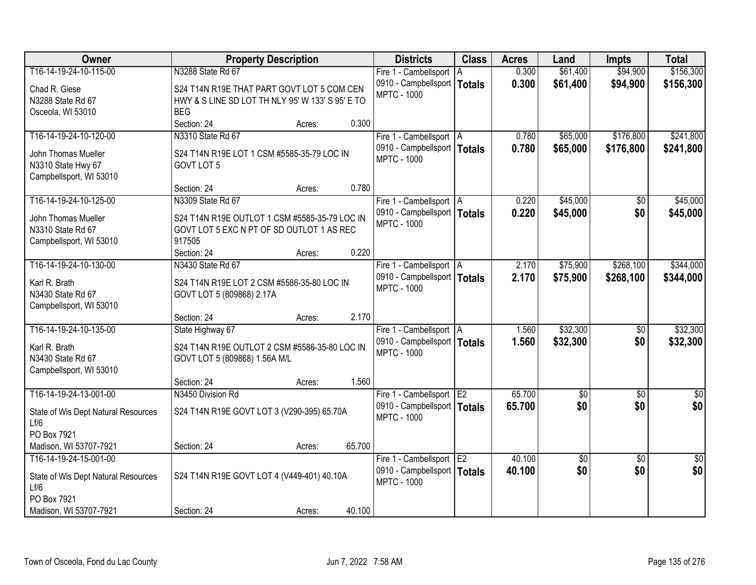| <b>Owner</b>                                 | <b>Property Description</b>                      | <b>Districts</b>                                    | <b>Class</b> | <b>Acres</b> | Land               | <b>Impts</b>    | <b>Total</b>    |
|----------------------------------------------|--------------------------------------------------|-----------------------------------------------------|--------------|--------------|--------------------|-----------------|-----------------|
| T16-14-19-24-10-115-00                       | N3288 State Rd 67                                | Fire 1 - Cambellsport   A                           |              | 0.300        | \$61,400           | \$94,900        | \$156,300       |
| Chad R. Giese                                | S24 T14N R19E THAT PART GOVT LOT 5 COM CEN       | 0910 - Campbellsport   Totals                       |              | 0.300        | \$61,400           | \$94,900        | \$156,300       |
| N3288 State Rd 67                            | HWY & S LINE SD LOT TH NLY 95' W 133' S 95' E TO | <b>MPTC - 1000</b>                                  |              |              |                    |                 |                 |
| Osceola, WI 53010                            | <b>BEG</b>                                       |                                                     |              |              |                    |                 |                 |
|                                              | Section: 24<br>0.300<br>Acres:                   |                                                     |              |              |                    |                 |                 |
| T16-14-19-24-10-120-00                       | N3310 State Rd 67                                | Fire 1 - Cambellsport   A                           |              | 0.780        | \$65,000           | \$176,800       | \$241,800       |
| John Thomas Mueller                          | S24 T14N R19E LOT 1 CSM #5585-35-79 LOC IN       | 0910 - Campbellsport   Totals                       |              | 0.780        | \$65,000           | \$176,800       | \$241,800       |
| N3310 State Hwy 67                           | GOVT LOT 5                                       | <b>MPTC - 1000</b>                                  |              |              |                    |                 |                 |
| Campbellsport, WI 53010                      |                                                  |                                                     |              |              |                    |                 |                 |
|                                              | 0.780<br>Section: 24<br>Acres:                   |                                                     |              |              |                    |                 |                 |
| T16-14-19-24-10-125-00                       | N3309 State Rd 67                                | Fire 1 - Cambellsport   A                           |              | 0.220        | \$45,000           | \$0             | \$45,000        |
| John Thomas Mueller                          | S24 T14N R19E OUTLOT 1 CSM #5585-35-79 LOC IN    | 0910 - Campbellsport   Totals                       |              | 0.220        | \$45,000           | \$0             | \$45,000        |
| N3310 State Rd 67                            | GOVT LOT 5 EXC N PT OF SD OUTLOT 1 AS REC        | <b>MPTC - 1000</b>                                  |              |              |                    |                 |                 |
| Campbellsport, WI 53010                      | 917505                                           |                                                     |              |              |                    |                 |                 |
|                                              | 0.220<br>Section: 24<br>Acres:                   |                                                     |              |              |                    |                 |                 |
| T16-14-19-24-10-130-00                       | N3430 State Rd 67                                | Fire 1 - Cambellsport   A                           |              | 2.170        | \$75,900           | \$268,100       | \$344,000       |
|                                              |                                                  | 0910 - Campbellsport   Totals                       |              | 2.170        | \$75,900           | \$268,100       | \$344,000       |
| Karl R. Brath                                | S24 T14N R19E LOT 2 CSM #5586-35-80 LOC IN       | <b>MPTC - 1000</b>                                  |              |              |                    |                 |                 |
| N3430 State Rd 67<br>Campbellsport, WI 53010 | GOVT LOT 5 (809868) 2.17A                        |                                                     |              |              |                    |                 |                 |
|                                              | 2.170<br>Section: 24<br>Acres:                   |                                                     |              |              |                    |                 |                 |
| T16-14-19-24-10-135-00                       | State Highway 67                                 | Fire 1 - Cambellsport   A                           |              | 1.560        | \$32,300           | $\overline{50}$ | \$32,300        |
|                                              |                                                  | 0910 - Campbellsport   Totals                       |              | 1.560        | \$32,300           | \$0             | \$32,300        |
| Karl R. Brath                                | S24 T14N R19E OUTLOT 2 CSM #5586-35-80 LOC IN    | <b>MPTC - 1000</b>                                  |              |              |                    |                 |                 |
| N3430 State Rd 67                            | GOVT LOT 5 (809868) 1.56A M/L                    |                                                     |              |              |                    |                 |                 |
| Campbellsport, WI 53010                      |                                                  |                                                     |              |              |                    |                 |                 |
|                                              | 1.560<br>Section: 24<br>Acres:                   |                                                     |              |              |                    |                 |                 |
| T16-14-19-24-13-001-00                       | N3450 Division Rd                                | Fire 1 - Cambellsport E2                            |              | 65.700       | $\sqrt{50}$<br>\$0 | $\overline{60}$ | $\overline{50}$ |
| State of Wis Dept Natural Resources          | S24 T14N R19E GOVT LOT 3 (V290-395) 65.70A       | 0910 - Campbellsport   Totals<br><b>MPTC - 1000</b> |              | 65.700       |                    | \$0             | \$0             |
| Lf/6                                         |                                                  |                                                     |              |              |                    |                 |                 |
| PO Box 7921                                  |                                                  |                                                     |              |              |                    |                 |                 |
| Madison, WI 53707-7921                       | 65.700<br>Section: 24<br>Acres:                  |                                                     |              |              |                    |                 |                 |
| T16-14-19-24-15-001-00                       |                                                  | Fire 1 - Cambellsport E2                            |              | 40.100       | $\sqrt{$0}$        | $\overline{50}$ | $\sqrt{50}$     |
| State of Wis Dept Natural Resources          | S24 T14N R19E GOVT LOT 4 (V449-401) 40.10A       | 0910 - Campbellsport   Totals                       |              | 40.100       | \$0                | \$0             | \$0             |
| Lf/6                                         |                                                  | <b>MPTC - 1000</b>                                  |              |              |                    |                 |                 |
| PO Box 7921                                  |                                                  |                                                     |              |              |                    |                 |                 |
| Madison, WI 53707-7921                       | 40.100<br>Section: 24<br>Acres:                  |                                                     |              |              |                    |                 |                 |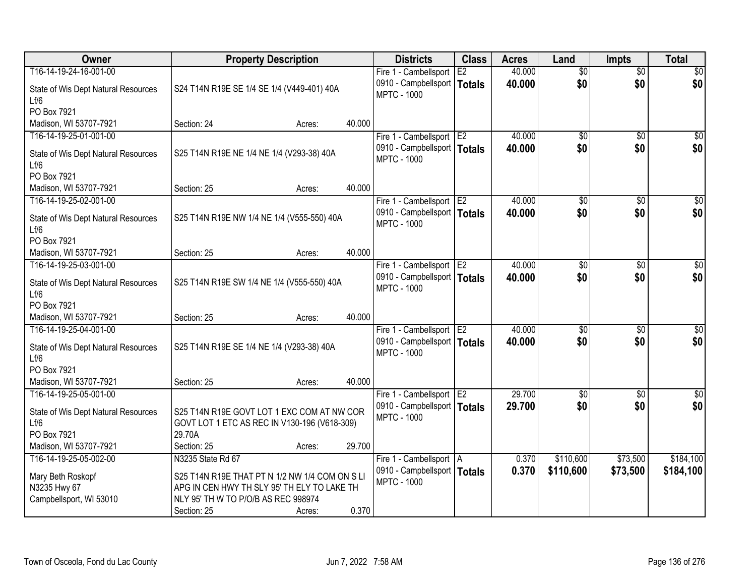| Owner                                       | <b>Property Description</b>                                                                |        |        | <b>Districts</b>                                    | <b>Class</b>    | <b>Acres</b> | Land            | <b>Impts</b>    | <b>Total</b>    |
|---------------------------------------------|--------------------------------------------------------------------------------------------|--------|--------|-----------------------------------------------------|-----------------|--------------|-----------------|-----------------|-----------------|
| T16-14-19-24-16-001-00                      |                                                                                            |        |        | Fire 1 - Cambellsport                               | E2              | 40.000       | $\overline{50}$ | $\overline{50}$ | \$0             |
| State of Wis Dept Natural Resources<br>Lf/6 | S24 T14N R19E SE 1/4 SE 1/4 (V449-401) 40A                                                 |        |        | 0910 - Campbellsport<br><b>MPTC - 1000</b>          | Totals          | 40.000       | \$0             | \$0             | \$0             |
| PO Box 7921                                 |                                                                                            |        |        |                                                     |                 |              |                 |                 |                 |
| Madison, WI 53707-7921                      | Section: 24                                                                                | Acres: | 40.000 |                                                     |                 |              |                 |                 |                 |
| T16-14-19-25-01-001-00                      |                                                                                            |        |        | Fire 1 - Cambellsport                               | TE <sub>2</sub> | 40.000       | \$0             | \$0             | \$0             |
| State of Wis Dept Natural Resources<br>Lf/6 | S25 T14N R19E NE 1/4 NE 1/4 (V293-38) 40A                                                  |        |        | 0910 - Campbellsport   Totals<br><b>MPTC - 1000</b> |                 | 40.000       | \$0             | \$0             | \$0             |
| PO Box 7921                                 |                                                                                            |        |        |                                                     |                 |              |                 |                 |                 |
| Madison, WI 53707-7921                      | Section: 25                                                                                | Acres: | 40.000 |                                                     |                 |              |                 |                 |                 |
| T16-14-19-25-02-001-00                      |                                                                                            |        |        | Fire 1 - Cambellsport E2                            |                 | 40.000       | \$0             | \$0             | $\overline{50}$ |
| State of Wis Dept Natural Resources<br>Lf/6 | S25 T14N R19E NW 1/4 NE 1/4 (V555-550) 40A                                                 |        |        | 0910 - Campbellsport   Totals<br><b>MPTC - 1000</b> |                 | 40.000       | \$0             | \$0             | \$0             |
| PO Box 7921                                 |                                                                                            |        |        |                                                     |                 |              |                 |                 |                 |
| Madison, WI 53707-7921                      | Section: 25                                                                                | Acres: | 40.000 |                                                     |                 |              |                 |                 |                 |
| T16-14-19-25-03-001-00                      |                                                                                            |        |        | Fire 1 - Cambellsport                               | E <sub>2</sub>  | 40.000       | \$0             | $\sqrt{6}$      | \$0             |
| State of Wis Dept Natural Resources<br>Lf/6 | S25 T14N R19E SW 1/4 NE 1/4 (V555-550) 40A                                                 |        |        | 0910 - Campbellsport   Totals<br><b>MPTC - 1000</b> |                 | 40,000       | \$0             | \$0             | \$0             |
| PO Box 7921                                 |                                                                                            |        |        |                                                     |                 |              |                 |                 |                 |
| Madison, WI 53707-7921                      | Section: 25                                                                                | Acres: | 40.000 |                                                     |                 |              |                 |                 |                 |
| T16-14-19-25-04-001-00                      |                                                                                            |        |        | Fire 1 - Cambellsport                               | E <sub>2</sub>  | 40.000       | $\overline{50}$ | $\overline{50}$ | $\overline{50}$ |
| State of Wis Dept Natural Resources<br>Lf/6 | S25 T14N R19E SE 1/4 NE 1/4 (V293-38) 40A                                                  |        |        | 0910 - Campbellsport   Totals<br><b>MPTC - 1000</b> |                 | 40.000       | \$0             | \$0             | \$0             |
| PO Box 7921                                 |                                                                                            |        |        |                                                     |                 |              |                 |                 |                 |
| Madison, WI 53707-7921                      | Section: 25                                                                                | Acres: | 40.000 |                                                     |                 |              |                 |                 |                 |
| T16-14-19-25-05-001-00                      |                                                                                            |        |        | Fire 1 - Cambellsport E2                            |                 | 29.700       | $\overline{50}$ | $\overline{30}$ | \$0             |
| State of Wis Dept Natural Resources<br>Lf/6 | S25 T14N R19E GOVT LOT 1 EXC COM AT NW COR<br>GOVT LOT 1 ETC AS REC IN V130-196 (V618-309) |        |        | 0910 - Campbellsport   Totals<br><b>MPTC - 1000</b> |                 | 29.700       | \$0             | \$0             | \$0             |
| PO Box 7921                                 | 29.70A                                                                                     |        |        |                                                     |                 |              |                 |                 |                 |
| Madison, WI 53707-7921                      | Section: 25                                                                                | Acres: | 29.700 |                                                     |                 |              |                 |                 |                 |
| T16-14-19-25-05-002-00                      | N3235 State Rd 67                                                                          |        |        | Fire 1 - Cambellsport   A                           |                 | 0.370        | \$110,600       | \$73,500        | \$184,100       |
|                                             |                                                                                            |        |        | 0910 - Campbellsport   Totals                       |                 | 0.370        | \$110,600       | \$73,500        | \$184,100       |
| Mary Beth Roskopf                           | S25 T14N R19E THAT PT N 1/2 NW 1/4 COM ON S LI                                             |        |        | <b>MPTC - 1000</b>                                  |                 |              |                 |                 |                 |
| N3235 Hwy 67                                | APG IN CEN HWY TH SLY 95' TH ELY TO LAKE TH                                                |        |        |                                                     |                 |              |                 |                 |                 |
| Campbellsport, WI 53010                     | NLY 95' TH W TO P/O/B AS REC 998974                                                        |        |        |                                                     |                 |              |                 |                 |                 |
|                                             | Section: 25                                                                                | Acres: | 0.370  |                                                     |                 |              |                 |                 |                 |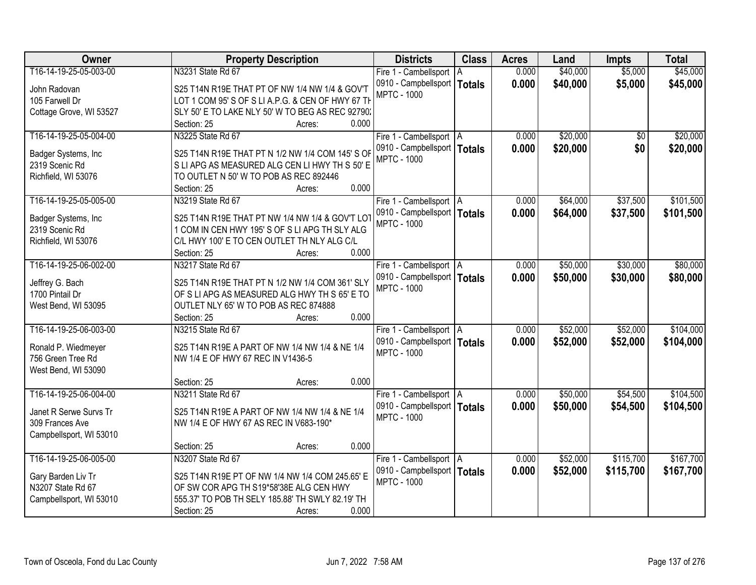| Owner                   | <b>Property Description</b>                       | <b>Districts</b>              | <b>Class</b> | <b>Acres</b> | Land     | <b>Impts</b> | <b>Total</b> |
|-------------------------|---------------------------------------------------|-------------------------------|--------------|--------------|----------|--------------|--------------|
| T16-14-19-25-05-003-00  | N3231 State Rd 67                                 | Fire 1 - Cambellsport   A     |              | 0.000        | \$40,000 | \$5,000      | \$45,000     |
| John Radovan            | S25 T14N R19E THAT PT OF NW 1/4 NW 1/4 & GOV'T    | 0910 - Campbellsport   Totals |              | 0.000        | \$40,000 | \$5,000      | \$45,000     |
| 105 Farwell Dr          | LOT 1 COM 95' S OF S LI A.P.G. & CEN OF HWY 67 TH | <b>MPTC - 1000</b>            |              |              |          |              |              |
| Cottage Grove, WI 53527 | SLY 50' E TO LAKE NLY 50' W TO BEG AS REC 92790.  |                               |              |              |          |              |              |
|                         | 0.000<br>Section: 25<br>Acres:                    |                               |              |              |          |              |              |
| T16-14-19-25-05-004-00  | N3225 State Rd 67                                 | Fire 1 - Cambellsport   A     |              | 0.000        | \$20,000 | \$0          | \$20,000     |
|                         |                                                   | 0910 - Campbellsport   Totals |              | 0.000        | \$20,000 | \$0          | \$20,000     |
| Badger Systems, Inc     | S25 T14N R19E THAT PT N 1/2 NW 1/4 COM 145' S OF  | <b>MPTC - 1000</b>            |              |              |          |              |              |
| 2319 Scenic Rd          | S LI APG AS MEASURED ALG CEN LI HWY TH S 50' E    |                               |              |              |          |              |              |
| Richfield, WI 53076     | TO OUTLET N 50' W TO POB AS REC 892446            |                               |              |              |          |              |              |
|                         | 0.000<br>Section: 25<br>Acres:                    |                               |              |              |          |              |              |
| T16-14-19-25-05-005-00  | N3219 State Rd 67                                 | Fire 1 - Cambellsport   A     |              | 0.000        | \$64,000 | \$37,500     | \$101,500    |
| Badger Systems, Inc.    | S25 T14N R19E THAT PT NW 1/4 NW 1/4 & GOV'T LOT   | 0910 - Campbellsport   Totals |              | 0.000        | \$64,000 | \$37,500     | \$101,500    |
| 2319 Scenic Rd          | 1 COM IN CEN HWY 195'S OF S LI APG TH SLY ALG     | <b>MPTC - 1000</b>            |              |              |          |              |              |
| Richfield, WI 53076     | C/L HWY 100' E TO CEN OUTLET TH NLY ALG C/L       |                               |              |              |          |              |              |
|                         | 0.000<br>Section: 25<br>Acres:                    |                               |              |              |          |              |              |
| T16-14-19-25-06-002-00  | N3217 State Rd 67                                 | Fire 1 - Cambellsport   A     |              | 0.000        | \$50,000 | \$30,000     | \$80,000     |
|                         |                                                   | 0910 - Campbellsport   Totals |              | 0.000        | \$50,000 | \$30,000     | \$80,000     |
| Jeffrey G. Bach         | S25 T14N R19E THAT PT N 1/2 NW 1/4 COM 361' SLY   | <b>MPTC - 1000</b>            |              |              |          |              |              |
| 1700 Pintail Dr         | OF S LI APG AS MEASURED ALG HWY TH S 65' E TO     |                               |              |              |          |              |              |
| West Bend, WI 53095     | OUTLET NLY 65' W TO POB AS REC 874888             |                               |              |              |          |              |              |
|                         | 0.000<br>Section: 25<br>Acres:                    |                               |              |              |          |              |              |
| T16-14-19-25-06-003-00  | N3215 State Rd 67                                 | Fire 1 - Cambellsport   A     |              | 0.000        | \$52,000 | \$52,000     | \$104,000    |
| Ronald P. Wiedmeyer     | S25 T14N R19E A PART OF NW 1/4 NW 1/4 & NE 1/4    | 0910 - Campbellsport   Totals |              | 0.000        | \$52,000 | \$52,000     | \$104,000    |
| 756 Green Tree Rd       | NW 1/4 E OF HWY 67 REC IN V1436-5                 | <b>MPTC - 1000</b>            |              |              |          |              |              |
| West Bend, WI 53090     |                                                   |                               |              |              |          |              |              |
|                         | 0.000<br>Section: 25<br>Acres:                    |                               |              |              |          |              |              |
| T16-14-19-25-06-004-00  | N3211 State Rd 67                                 | Fire 1 - Cambellsport   A     |              | 0.000        | \$50,000 | \$54,500     | \$104,500    |
|                         |                                                   | 0910 - Campbellsport   Totals |              | 0.000        | \$50,000 | \$54,500     | \$104,500    |
| Janet R Serwe Survs Tr  | S25 T14N R19E A PART OF NW 1/4 NW 1/4 & NE 1/4    | <b>MPTC - 1000</b>            |              |              |          |              |              |
| 309 Frances Ave         | NW 1/4 E OF HWY 67 AS REC IN V683-190*            |                               |              |              |          |              |              |
| Campbellsport, WI 53010 |                                                   |                               |              |              |          |              |              |
|                         | 0.000<br>Section: 25<br>Acres:                    |                               |              |              |          |              |              |
| T16-14-19-25-06-005-00  | N3207 State Rd 67                                 | Fire 1 - Cambellsport   A     |              | 0.000        | \$52,000 | \$115,700    | \$167,700    |
| Gary Barden Liv Tr      | S25 T14N R19E PT OF NW 1/4 NW 1/4 COM 245.65' E   | 0910 - Campbellsport   Totals |              | 0.000        | \$52,000 | \$115,700    | \$167,700    |
| N3207 State Rd 67       | OF SW COR APG TH S19*58'38E ALG CEN HWY           | <b>MPTC - 1000</b>            |              |              |          |              |              |
| Campbellsport, WI 53010 | 555.37' TO POB TH SELY 185.88' TH SWLY 82.19' TH  |                               |              |              |          |              |              |
|                         | 0.000<br>Section: 25<br>Acres:                    |                               |              |              |          |              |              |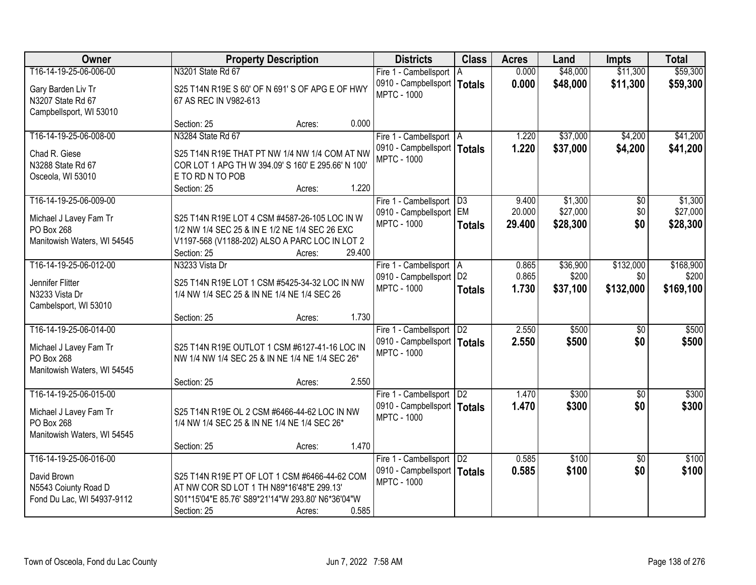| Owner                       | <b>Property Description</b>                        |        | <b>Districts</b>              | <b>Class</b>  | <b>Acres</b> | Land     | <b>Impts</b>    | <b>Total</b> |
|-----------------------------|----------------------------------------------------|--------|-------------------------------|---------------|--------------|----------|-----------------|--------------|
| T16-14-19-25-06-006-00      | N3201 State Rd 67                                  |        | Fire 1 - Cambellsport   A     |               | 0.000        | \$48,000 | \$11,300        | \$59,300     |
| Gary Barden Liv Tr          | S25 T14N R19E S 60' OF N 691' S OF APG E OF HWY    |        | 0910 - Campbellsport          | <b>Totals</b> | 0.000        | \$48,000 | \$11,300        | \$59,300     |
| N3207 State Rd 67           | 67 AS REC IN V982-613                              |        | <b>MPTC - 1000</b>            |               |              |          |                 |              |
| Campbellsport, WI 53010     |                                                    |        |                               |               |              |          |                 |              |
|                             | Section: 25<br>Acres:                              | 0.000  |                               |               |              |          |                 |              |
| T16-14-19-25-06-008-00      | N3284 State Rd 67                                  |        | Fire 1 - Cambellsport   A     |               | 1.220        | \$37,000 | \$4,200         | \$41,200     |
| Chad R. Giese               | S25 T14N R19E THAT PT NW 1/4 NW 1/4 COM AT NW      |        | 0910 - Campbellsport   Totals |               | 1.220        | \$37,000 | \$4,200         | \$41,200     |
| N3288 State Rd 67           | COR LOT 1 APG TH W 394.09' S 160' E 295.66' N 100' |        | <b>MPTC - 1000</b>            |               |              |          |                 |              |
| Osceola, WI 53010           | E TO RD N TO POB                                   |        |                               |               |              |          |                 |              |
|                             | Section: 25<br>Acres:                              | 1.220  |                               |               |              |          |                 |              |
| T16-14-19-25-06-009-00      |                                                    |        | Fire 1 - Cambellsport   D3    |               | 9.400        | \$1,300  | \$0             | \$1,300      |
| Michael J Lavey Fam Tr      | S25 T14N R19E LOT 4 CSM #4587-26-105 LOC IN W      |        | 0910 - Campbellsport   EM     |               | 20.000       | \$27,000 | \$0             | \$27,000     |
| PO Box 268                  | 1/2 NW 1/4 SEC 25 & IN E 1/2 NE 1/4 SEC 26 EXC     |        | <b>MPTC - 1000</b>            | <b>Totals</b> | 29.400       | \$28,300 | \$0             | \$28,300     |
| Manitowish Waters, WI 54545 | V1197-568 (V1188-202) ALSO A PARC LOC IN LOT 2     |        |                               |               |              |          |                 |              |
|                             | Section: 25<br>Acres:                              | 29.400 |                               |               |              |          |                 |              |
| T16-14-19-25-06-012-00      | N3233 Vista Dr                                     |        | Fire 1 - Cambellsport   A     |               | 0.865        | \$36,900 | \$132,000       | \$168,900    |
| Jennifer Flitter            | S25 T14N R19E LOT 1 CSM #5425-34-32 LOC IN NW      |        | 0910 - Campbellsport   D2     |               | 0.865        | \$200    | \$0             | \$200        |
| N3233 Vista Dr              | 1/4 NW 1/4 SEC 25 & IN NE 1/4 NE 1/4 SEC 26        |        | <b>MPTC - 1000</b>            | <b>Totals</b> | 1.730        | \$37,100 | \$132,000       | \$169,100    |
| Cambelsport, WI 53010       |                                                    |        |                               |               |              |          |                 |              |
|                             | Section: 25<br>Acres:                              | 1.730  |                               |               |              |          |                 |              |
| T16-14-19-25-06-014-00      |                                                    |        | Fire 1 - Cambellsport   D2    |               | 2.550        | \$500    | $\overline{50}$ | \$500        |
| Michael J Lavey Fam Tr      | S25 T14N R19E OUTLOT 1 CSM #6127-41-16 LOC IN      |        | 0910 - Campbellsport   Totals |               | 2.550        | \$500    | \$0             | \$500        |
| PO Box 268                  | NW 1/4 NW 1/4 SEC 25 & IN NE 1/4 NE 1/4 SEC 26*    |        | <b>MPTC - 1000</b>            |               |              |          |                 |              |
| Manitowish Waters, WI 54545 |                                                    |        |                               |               |              |          |                 |              |
|                             | Section: 25<br>Acres:                              | 2.550  |                               |               |              |          |                 |              |
| T16-14-19-25-06-015-00      |                                                    |        | Fire 1 - Cambellsport   D2    |               | 1.470        | \$300    | $\overline{50}$ | \$300        |
| Michael J Lavey Fam Tr      | S25 T14N R19E OL 2 CSM #6466-44-62 LOC IN NW       |        | 0910 - Campbellsport   Totals |               | 1.470        | \$300    | \$0             | \$300        |
| PO Box 268                  | 1/4 NW 1/4 SEC 25 & IN NE 1/4 NE 1/4 SEC 26*       |        | <b>MPTC - 1000</b>            |               |              |          |                 |              |
| Manitowish Waters, WI 54545 |                                                    |        |                               |               |              |          |                 |              |
|                             | Section: 25<br>Acres:                              | 1.470  |                               |               |              |          |                 |              |
| T16-14-19-25-06-016-00      |                                                    |        | Fire 1 - Cambellsport   D2    |               | 0.585        | \$100    | $\overline{50}$ | \$100        |
| David Brown                 | S25 T14N R19E PT OF LOT 1 CSM #6466-44-62 COM      |        | 0910 - Campbellsport   Totals |               | 0.585        | \$100    | \$0             | \$100        |
| N5543 Coiunty Road D        | AT NW COR SD LOT 1 TH N89*16'48"E 299.13"          |        | <b>MPTC - 1000</b>            |               |              |          |                 |              |
| Fond Du Lac, WI 54937-9112  | S01*15'04"E 85.76' S89*21'14"W 293.80' N6*36'04"W  |        |                               |               |              |          |                 |              |
|                             | Section: 25<br>Acres:                              | 0.585  |                               |               |              |          |                 |              |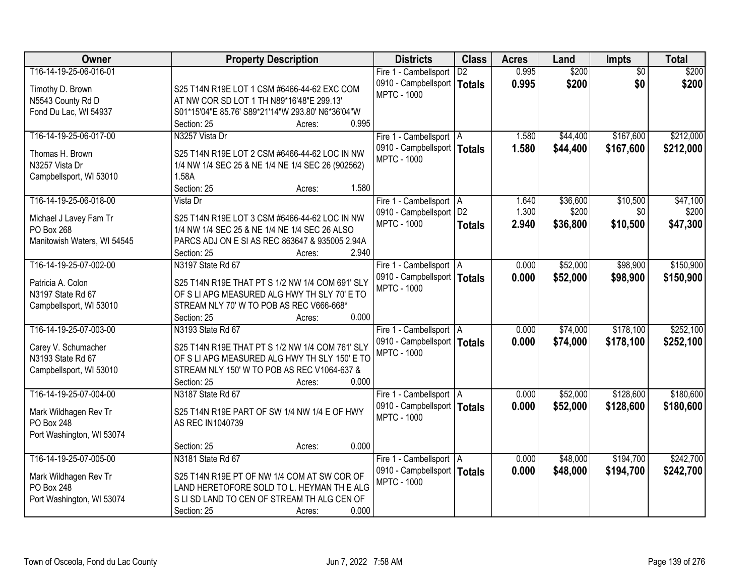| Owner                                    | <b>Property Description</b>                                | <b>Districts</b>              | <b>Class</b>    | <b>Acres</b> | Land     | <b>Impts</b>    | <b>Total</b> |
|------------------------------------------|------------------------------------------------------------|-------------------------------|-----------------|--------------|----------|-----------------|--------------|
| T16-14-19-25-06-016-01                   |                                                            | Fire 1 - Cambellsport         | $\overline{D2}$ | 0.995        | \$200    | $\overline{50}$ | \$200        |
| Timothy D. Brown                         | S25 T14N R19E LOT 1 CSM #6466-44-62 EXC COM                | 0910 - Campbellsport   Totals |                 | 0.995        | \$200    | \$0             | \$200        |
| N5543 County Rd D                        | AT NW COR SD LOT 1 TH N89*16'48"E 299.13'                  | <b>MPTC - 1000</b>            |                 |              |          |                 |              |
| Fond Du Lac, WI 54937                    | S01*15'04"E 85.76' S89*21'14"W 293.80' N6*36'04"W          |                               |                 |              |          |                 |              |
|                                          | 0.995<br>Section: 25<br>Acres:                             |                               |                 |              |          |                 |              |
| T16-14-19-25-06-017-00                   | N3257 Vista Dr                                             | Fire 1 - Cambellsport   A     |                 | 1.580        | \$44,400 | \$167,600       | \$212,000    |
| Thomas H. Brown                          | S25 T14N R19E LOT 2 CSM #6466-44-62 LOC IN NW              | 0910 - Campbellsport   Totals |                 | 1.580        | \$44,400 | \$167,600       | \$212,000    |
| N3257 Vista Dr                           |                                                            | <b>MPTC - 1000</b>            |                 |              |          |                 |              |
| Campbellsport, WI 53010                  | 1/4 NW 1/4 SEC 25 & NE 1/4 NE 1/4 SEC 26 (902562)<br>1.58A |                               |                 |              |          |                 |              |
|                                          | 1.580<br>Section: 25<br>Acres:                             |                               |                 |              |          |                 |              |
| T16-14-19-25-06-018-00                   | Vista Dr                                                   | Fire 1 - Cambellsport   A     |                 | 1.640        | \$36,600 | \$10,500        | \$47,100     |
|                                          |                                                            | 0910 - Campbellsport   D2     |                 | 1.300        | \$200    | \$0             | \$200        |
| Michael J Lavey Fam Tr                   | S25 T14N R19E LOT 3 CSM #6466-44-62 LOC IN NW              | <b>MPTC - 1000</b>            | <b>Totals</b>   | 2.940        | \$36,800 | \$10,500        | \$47,300     |
| PO Box 268                               | 1/4 NW 1/4 SEC 25 & NE 1/4 NE 1/4 SEC 26 ALSO              |                               |                 |              |          |                 |              |
| Manitowish Waters, WI 54545              | PARCS ADJ ON E SI AS REC 863647 & 935005 2.94A             |                               |                 |              |          |                 |              |
|                                          | 2.940<br>Section: 25<br>Acres:                             |                               |                 |              |          |                 |              |
| T16-14-19-25-07-002-00                   | N3197 State Rd 67                                          | Fire 1 - Cambellsport   A     |                 | 0.000        | \$52,000 | \$98,900        | \$150,900    |
| Patricia A. Colon                        | S25 T14N R19E THAT PT S 1/2 NW 1/4 COM 691' SLY            | 0910 - Campbellsport   Totals |                 | 0.000        | \$52,000 | \$98,900        | \$150,900    |
| N3197 State Rd 67                        | OF S LI APG MEASURED ALG HWY TH SLY 70' E TO               | <b>MPTC - 1000</b>            |                 |              |          |                 |              |
| Campbellsport, WI 53010                  | STREAM NLY 70' W TO POB AS REC V666-668*                   |                               |                 |              |          |                 |              |
|                                          | 0.000<br>Section: 25<br>Acres:                             |                               |                 |              |          |                 |              |
| T16-14-19-25-07-003-00                   | N3193 State Rd 67                                          | Fire 1 - Cambellsport   A     |                 | 0.000        | \$74,000 | \$178,100       | \$252,100    |
|                                          | S25 T14N R19E THAT PT S 1/2 NW 1/4 COM 761' SLY            | 0910 - Campbellsport   Totals |                 | 0.000        | \$74,000 | \$178,100       | \$252,100    |
| Carey V. Schumacher<br>N3193 State Rd 67 | OF S LI APG MEASURED ALG HWY TH SLY 150' E TO              | <b>MPTC - 1000</b>            |                 |              |          |                 |              |
| Campbellsport, WI 53010                  | STREAM NLY 150' W TO POB AS REC V1064-637 &                |                               |                 |              |          |                 |              |
|                                          | 0.000<br>Section: 25<br>Acres:                             |                               |                 |              |          |                 |              |
| T16-14-19-25-07-004-00                   | N3187 State Rd 67                                          | Fire 1 - Cambellsport   A     |                 | 0.000        | \$52,000 | \$128,600       | \$180,600    |
|                                          |                                                            | 0910 - Campbellsport   Totals |                 | 0.000        | \$52,000 | \$128,600       | \$180,600    |
| Mark Wildhagen Rev Tr                    | S25 T14N R19E PART OF SW 1/4 NW 1/4 E OF HWY               | <b>MPTC - 1000</b>            |                 |              |          |                 |              |
| PO Box 248                               | AS REC IN1040739                                           |                               |                 |              |          |                 |              |
| Port Washington, WI 53074                |                                                            |                               |                 |              |          |                 |              |
|                                          | 0.000<br>Section: 25<br>Acres:                             |                               |                 |              |          |                 |              |
| T16-14-19-25-07-005-00                   | N3181 State Rd 67                                          | Fire 1 - Cambellsport   A     |                 | 0.000        | \$48,000 | \$194,700       | \$242,700    |
| Mark Wildhagen Rev Tr                    | S25 T14N R19E PT OF NW 1/4 COM AT SW COR OF                | 0910 - Campbellsport   Totals |                 | 0.000        | \$48,000 | \$194,700       | \$242,700    |
| PO Box 248                               | LAND HERETOFORE SOLD TO L. HEYMAN TH E ALG                 | <b>MPTC - 1000</b>            |                 |              |          |                 |              |
| Port Washington, WI 53074                | S LI SD LAND TO CEN OF STREAM TH ALG CEN OF                |                               |                 |              |          |                 |              |
|                                          | 0.000<br>Section: 25<br>Acres:                             |                               |                 |              |          |                 |              |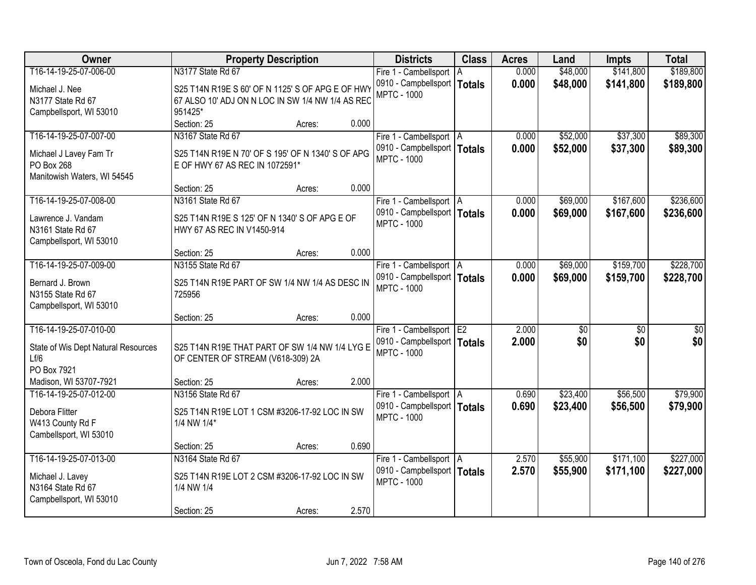| Owner                               |                                                   | <b>Property Description</b> |       | <b>Districts</b>                                    | <b>Class</b>   | <b>Acres</b> | Land     | <b>Impts</b>    | <b>Total</b> |
|-------------------------------------|---------------------------------------------------|-----------------------------|-------|-----------------------------------------------------|----------------|--------------|----------|-----------------|--------------|
| T16-14-19-25-07-006-00              | N3177 State Rd 67                                 |                             |       | Fire 1 - Cambellsport   A                           |                | 0.000        | \$48,000 | \$141,800       | \$189,800    |
| Michael J. Nee                      | S25 T14N R19E S 60' OF N 1125' S OF APG E OF HWY  |                             |       | 0910 - Campbellsport   Totals                       |                | 0.000        | \$48,000 | \$141,800       | \$189,800    |
| N3177 State Rd 67                   | 67 ALSO 10' ADJ ON N LOC IN SW 1/4 NW 1/4 AS REC  |                             |       | <b>MPTC - 1000</b>                                  |                |              |          |                 |              |
| Campbellsport, WI 53010             | 951425*                                           |                             |       |                                                     |                |              |          |                 |              |
|                                     | Section: 25                                       | Acres:                      | 0.000 |                                                     |                |              |          |                 |              |
| T16-14-19-25-07-007-00              | N3167 State Rd 67                                 |                             |       | Fire 1 - Cambellsport   A                           |                | 0.000        | \$52,000 | \$37,300        | \$89,300     |
|                                     |                                                   |                             |       | 0910 - Campbellsport   Totals                       |                | 0.000        | \$52,000 | \$37,300        | \$89,300     |
| Michael J Lavey Fam Tr              | S25 T14N R19E N 70' OF S 195' OF N 1340' S OF APG |                             |       | <b>MPTC - 1000</b>                                  |                |              |          |                 |              |
| PO Box 268                          | E OF HWY 67 AS REC IN 1072591*                    |                             |       |                                                     |                |              |          |                 |              |
| Manitowish Waters, WI 54545         | Section: 25                                       |                             | 0.000 |                                                     |                |              |          |                 |              |
| T16-14-19-25-07-008-00              | N3161 State Rd 67                                 | Acres:                      |       |                                                     |                | 0.000        | \$69,000 | \$167,600       | \$236,600    |
|                                     |                                                   |                             |       | Fire 1 - Cambellsport   A                           |                |              |          |                 |              |
| Lawrence J. Vandam                  | S25 T14N R19E S 125' OF N 1340' S OF APG E OF     |                             |       | 0910 - Campbellsport   Totals<br><b>MPTC - 1000</b> |                | 0.000        | \$69,000 | \$167,600       | \$236,600    |
| N3161 State Rd 67                   | HWY 67 AS REC IN V1450-914                        |                             |       |                                                     |                |              |          |                 |              |
| Campbellsport, WI 53010             |                                                   |                             |       |                                                     |                |              |          |                 |              |
|                                     | Section: 25                                       | Acres:                      | 0.000 |                                                     |                |              |          |                 |              |
| T16-14-19-25-07-009-00              | N3155 State Rd 67                                 |                             |       | Fire 1 - Cambellsport   A                           |                | 0.000        | \$69,000 | \$159,700       | \$228,700    |
| Bernard J. Brown                    | S25 T14N R19E PART OF SW 1/4 NW 1/4 AS DESC IN    |                             |       | 0910 - Campbellsport   Totals                       |                | 0.000        | \$69,000 | \$159,700       | \$228,700    |
| N3155 State Rd 67                   | 725956                                            |                             |       | <b>MPTC - 1000</b>                                  |                |              |          |                 |              |
| Campbellsport, WI 53010             |                                                   |                             |       |                                                     |                |              |          |                 |              |
|                                     | Section: 25                                       | Acres:                      | 0.000 |                                                     |                |              |          |                 |              |
| T16-14-19-25-07-010-00              |                                                   |                             |       | Fire 1 - Cambellsport                               | E <sub>2</sub> | 2.000        | \$0      | $\overline{50}$ | \$0          |
|                                     |                                                   |                             |       | 0910 - Campbellsport   Totals                       |                | 2.000        | \$0      | \$0             | \$0          |
| State of Wis Dept Natural Resources | S25 T14N R19E THAT PART OF SW 1/4 NW 1/4 LYG E    |                             |       | <b>MPTC - 1000</b>                                  |                |              |          |                 |              |
| Lf/6                                | OF CENTER OF STREAM (V618-309) 2A                 |                             |       |                                                     |                |              |          |                 |              |
| PO Box 7921                         |                                                   |                             |       |                                                     |                |              |          |                 |              |
| Madison, WI 53707-7921              | Section: 25                                       | Acres:                      | 2.000 |                                                     |                |              |          |                 |              |
| T16-14-19-25-07-012-00              | N3156 State Rd 67                                 |                             |       | Fire 1 - Cambellsport A                             |                | 0.690        | \$23,400 | \$56,500        | \$79,900     |
| Debora Flitter                      | S25 T14N R19E LOT 1 CSM #3206-17-92 LOC IN SW     |                             |       | 0910 - Campbellsport   Totals                       |                | 0.690        | \$23,400 | \$56,500        | \$79,900     |
| W413 County Rd F                    | 1/4 NW 1/4*                                       |                             |       | <b>MPTC - 1000</b>                                  |                |              |          |                 |              |
| Cambellsport, WI 53010              |                                                   |                             |       |                                                     |                |              |          |                 |              |
|                                     | Section: 25                                       | Acres:                      | 0.690 |                                                     |                |              |          |                 |              |
| T16-14-19-25-07-013-00              | N3164 State Rd 67                                 |                             |       | Fire 1 - Cambellsport   A                           |                | 2.570        | \$55,900 | \$171,100       | \$227,000    |
| Michael J. Lavey                    | S25 T14N R19E LOT 2 CSM #3206-17-92 LOC IN SW     |                             |       | 0910 - Campbellsport   Totals                       |                | 2.570        | \$55,900 | \$171,100       | \$227,000    |
| N3164 State Rd 67                   | 1/4 NW 1/4                                        |                             |       | <b>MPTC - 1000</b>                                  |                |              |          |                 |              |
| Campbellsport, WI 53010             |                                                   |                             |       |                                                     |                |              |          |                 |              |
|                                     | Section: 25                                       | Acres:                      | 2.570 |                                                     |                |              |          |                 |              |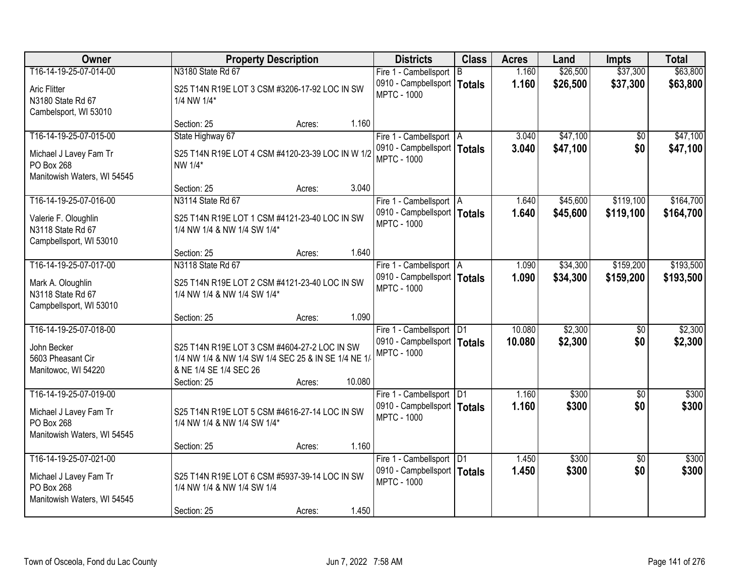| <b>Owner</b>                                                                                  | <b>Property Description</b>                                                                                                                  |        |        | <b>Districts</b>                                                                  | <b>Class</b> | <b>Acres</b>     | Land               | <b>Impts</b>           | <b>Total</b>       |
|-----------------------------------------------------------------------------------------------|----------------------------------------------------------------------------------------------------------------------------------------------|--------|--------|-----------------------------------------------------------------------------------|--------------|------------------|--------------------|------------------------|--------------------|
| T16-14-19-25-07-014-00                                                                        | N3180 State Rd 67                                                                                                                            |        |        | Fire 1 - Cambellsport B                                                           |              | 1.160            | \$26,500           | \$37,300               | \$63,800           |
| <b>Aric Flitter</b><br>N3180 State Rd 67<br>Cambelsport, WI 53010                             | S25 T14N R19E LOT 3 CSM #3206-17-92 LOC IN SW<br>1/4 NW 1/4*                                                                                 |        |        | 0910 - Campbellsport   Totals<br><b>MPTC - 1000</b>                               |              | 1.160            | \$26,500           | \$37,300               | \$63,800           |
|                                                                                               | Section: 25                                                                                                                                  | Acres: | 1.160  |                                                                                   |              |                  |                    |                        |                    |
| T16-14-19-25-07-015-00                                                                        | State Highway 67                                                                                                                             |        |        | Fire 1 - Cambellsport   A                                                         |              | 3.040            | \$47,100           | \$0                    | \$47,100           |
| Michael J Lavey Fam Tr<br>PO Box 268<br>Manitowish Waters, WI 54545                           | S25 T14N R19E LOT 4 CSM #4120-23-39 LOC IN W 1/2<br>NW 1/4*                                                                                  |        |        | 0910 - Campbellsport   Totals<br><b>MPTC - 1000</b>                               |              | 3.040            | \$47,100           | \$0                    | \$47,100           |
|                                                                                               | Section: 25                                                                                                                                  | Acres: | 3.040  |                                                                                   |              |                  |                    |                        |                    |
| T16-14-19-25-07-016-00                                                                        | N3114 State Rd 67                                                                                                                            |        |        | Fire 1 - Cambellsport   A                                                         |              | 1.640            | \$45,600           | \$119,100              | \$164,700          |
| Valerie F. Oloughlin<br>N3118 State Rd 67<br>Campbellsport, WI 53010                          | S25 T14N R19E LOT 1 CSM #4121-23-40 LOC IN SW<br>1/4 NW 1/4 & NW 1/4 SW 1/4*                                                                 |        |        | 0910 - Campbellsport   Totals<br><b>MPTC - 1000</b>                               |              | 1.640            | \$45,600           | \$119,100              | \$164,700          |
|                                                                                               | Section: 25                                                                                                                                  | Acres: | 1.640  |                                                                                   |              |                  |                    |                        |                    |
| T16-14-19-25-07-017-00                                                                        | N3118 State Rd 67                                                                                                                            |        |        | Fire 1 - Cambellsport   A                                                         |              | 1.090            | \$34,300           | \$159,200              | \$193,500          |
| Mark A. Oloughlin<br>N3118 State Rd 67<br>Campbellsport, WI 53010                             | S25 T14N R19E LOT 2 CSM #4121-23-40 LOC IN SW<br>1/4 NW 1/4 & NW 1/4 SW 1/4*                                                                 |        |        | 0910 - Campbellsport   Totals<br><b>MPTC - 1000</b>                               |              | 1.090            | \$34,300           | \$159,200              | \$193,500          |
|                                                                                               | Section: 25                                                                                                                                  | Acres: | 1.090  |                                                                                   |              |                  |                    |                        |                    |
| T16-14-19-25-07-018-00<br>John Becker<br>5603 Pheasant Cir<br>Manitowoc, WI 54220             | S25 T14N R19E LOT 3 CSM #4604-27-2 LOC IN SW<br>1/4 NW 1/4 & NW 1/4 SW 1/4 SEC 25 & IN SE 1/4 NE 1/<br>& NE 1/4 SE 1/4 SEC 26<br>Section: 25 | Acres: | 10.080 | Fire 1 - Cambellsport   D1<br>0910 - Campbellsport   Totals<br><b>MPTC - 1000</b> |              | 10.080<br>10.080 | \$2,300<br>\$2,300 | $\overline{50}$<br>\$0 | \$2,300<br>\$2,300 |
| T16-14-19-25-07-019-00                                                                        |                                                                                                                                              |        |        | Fire 1 - Cambellsport   D1                                                        |              | 1.160            | \$300              | $\overline{50}$        | \$300              |
| Michael J Lavey Fam Tr<br>PO Box 268<br>Manitowish Waters, WI 54545                           | S25 T14N R19E LOT 5 CSM #4616-27-14 LOC IN SW<br>1/4 NW 1/4 & NW 1/4 SW 1/4*                                                                 |        |        | 0910 - Campbellsport   Totals<br><b>MPTC - 1000</b>                               |              | 1.160            | \$300              | \$0                    | \$300              |
|                                                                                               | Section: 25                                                                                                                                  | Acres: | 1.160  |                                                                                   |              |                  |                    |                        |                    |
| T16-14-19-25-07-021-00<br>Michael J Lavey Fam Tr<br>PO Box 268<br>Manitowish Waters, WI 54545 | S25 T14N R19E LOT 6 CSM #5937-39-14 LOC IN SW<br>1/4 NW 1/4 & NW 1/4 SW 1/4<br>Section: 25                                                   | Acres: | 1.450  | Fire 1 - Cambellsport   D1<br>0910 - Campbellsport   Totals<br><b>MPTC - 1000</b> |              | 1.450<br>1.450   | \$300<br>\$300     | $\overline{50}$<br>\$0 | \$300<br>\$300     |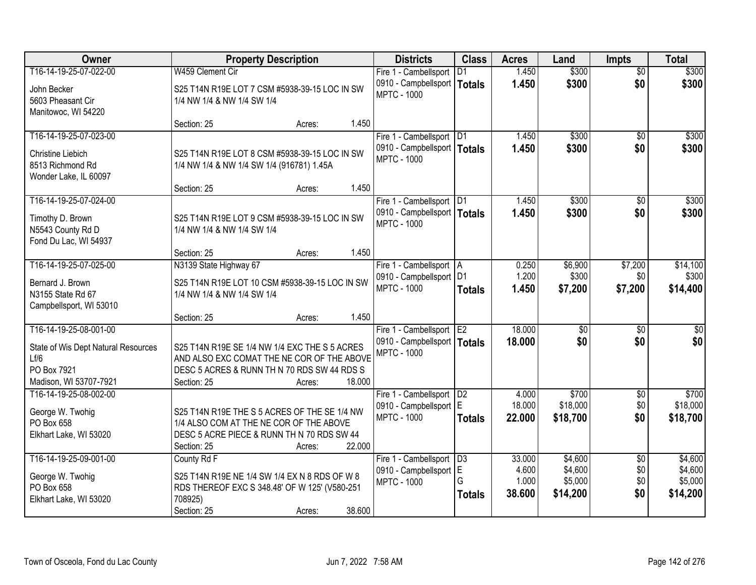| Owner                               | <b>Property Description</b>                    |        |        | <b>Districts</b>              | <b>Class</b>    | <b>Acres</b> | Land            | <b>Impts</b>    | <b>Total</b>    |
|-------------------------------------|------------------------------------------------|--------|--------|-------------------------------|-----------------|--------------|-----------------|-----------------|-----------------|
| T16-14-19-25-07-022-00              | W459 Clement Cir                               |        |        | Fire 1 - Cambellsport         | D <sub>1</sub>  | 1.450        | \$300           | $\overline{50}$ | \$300           |
| John Becker                         | S25 T14N R19E LOT 7 CSM #5938-39-15 LOC IN SW  |        |        | 0910 - Campbellsport   Totals |                 | 1.450        | \$300           | \$0             | \$300           |
| 5603 Pheasant Cir                   | 1/4 NW 1/4 & NW 1/4 SW 1/4                     |        |        | <b>MPTC - 1000</b>            |                 |              |                 |                 |                 |
| Manitowoc, WI 54220                 |                                                |        |        |                               |                 |              |                 |                 |                 |
|                                     | Section: 25                                    | Acres: | 1.450  |                               |                 |              |                 |                 |                 |
| T16-14-19-25-07-023-00              |                                                |        |        | Fire 1 - Cambellsport         | $\overline{D1}$ | 1.450        | \$300           | \$0             | \$300           |
| Christine Liebich                   | S25 T14N R19E LOT 8 CSM #5938-39-15 LOC IN SW  |        |        | 0910 - Campbellsport   Totals |                 | 1.450        | \$300           | \$0             | \$300           |
| 8513 Richmond Rd                    | 1/4 NW 1/4 & NW 1/4 SW 1/4 (916781) 1.45A      |        |        | <b>MPTC - 1000</b>            |                 |              |                 |                 |                 |
| Wonder Lake, IL 60097               |                                                |        |        |                               |                 |              |                 |                 |                 |
|                                     | Section: 25                                    | Acres: | 1.450  |                               |                 |              |                 |                 |                 |
| T16-14-19-25-07-024-00              |                                                |        |        | Fire 1 - Cambellsport   D1    |                 | 1.450        | \$300           | \$0             | \$300           |
| Timothy D. Brown                    | S25 T14N R19E LOT 9 CSM #5938-39-15 LOC IN SW  |        |        | 0910 - Campbellsport   Totals |                 | 1.450        | \$300           | \$0             | \$300           |
| N5543 County Rd D                   | 1/4 NW 1/4 & NW 1/4 SW 1/4                     |        |        | <b>MPTC - 1000</b>            |                 |              |                 |                 |                 |
| Fond Du Lac, WI 54937               |                                                |        |        |                               |                 |              |                 |                 |                 |
|                                     | Section: 25                                    | Acres: | 1.450  |                               |                 |              |                 |                 |                 |
| T16-14-19-25-07-025-00              | N3139 State Highway 67                         |        |        | Fire 1 - Cambellsport   A     |                 | 0.250        | \$6,900         | \$7,200         | \$14,100        |
| Bernard J. Brown                    | S25 T14N R19E LOT 10 CSM #5938-39-15 LOC IN SW |        |        | 0910 - Campbellsport   D1     |                 | 1.200        | \$300           | \$0             | \$300           |
| N3155 State Rd 67                   | 1/4 NW 1/4 & NW 1/4 SW 1/4                     |        |        | <b>MPTC - 1000</b>            | <b>Totals</b>   | 1.450        | \$7,200         | \$7,200         | \$14,400        |
| Campbellsport, WI 53010             |                                                |        |        |                               |                 |              |                 |                 |                 |
|                                     | Section: 25                                    | Acres: | 1.450  |                               |                 |              |                 |                 |                 |
| T16-14-19-25-08-001-00              |                                                |        |        | Fire 1 - Cambellsport         | E <sub>2</sub>  | 18.000       | $\overline{50}$ | \$0             | $\overline{50}$ |
| State of Wis Dept Natural Resources | S25 T14N R19E SE 1/4 NW 1/4 EXC THE S 5 ACRES  |        |        | 0910 - Campbellsport   Totals |                 | 18.000       | \$0             | \$0             | \$0             |
| Lf/6                                | AND ALSO EXC COMAT THE NE COR OF THE ABOVE     |        |        | <b>MPTC - 1000</b>            |                 |              |                 |                 |                 |
| PO Box 7921                         | DESC 5 ACRES & RUNN TH N 70 RDS SW 44 RDS S    |        |        |                               |                 |              |                 |                 |                 |
| Madison, WI 53707-7921              | Section: 25                                    | Acres: | 18,000 |                               |                 |              |                 |                 |                 |
| T16-14-19-25-08-002-00              |                                                |        |        | Fire 1 - Cambellsport         | D2              | 4.000        | \$700           | \$0             | \$700           |
| George W. Twohig                    | S25 T14N R19E THE S 5 ACRES OF THE SE 1/4 NW   |        |        | 0910 - Campbellsport   E      |                 | 18.000       | \$18,000        | \$0             | \$18,000        |
| PO Box 658                          | 1/4 ALSO COM AT THE NE COR OF THE ABOVE        |        |        | <b>MPTC - 1000</b>            | <b>Totals</b>   | 22.000       | \$18,700        | \$0             | \$18,700        |
| Elkhart Lake, WI 53020              | DESC 5 ACRE PIECE & RUNN TH N 70 RDS SW 44     |        |        |                               |                 |              |                 |                 |                 |
|                                     | Section: 25                                    | Acres: | 22.000 |                               |                 |              |                 |                 |                 |
| T16-14-19-25-09-001-00              | County Rd F                                    |        |        | Fire 1 - Cambellsport         | D3              | 33.000       | \$4,600         | $\overline{60}$ | \$4,600         |
| George W. Twohig                    | S25 T14N R19E NE 1/4 SW 1/4 EX N 8 RDS OF W 8  |        |        | 0910 - Campbellsport          | IE.             | 4.600        | \$4,600         | \$0             | \$4,600         |
| PO Box 658                          | RDS THEREOF EXC S 348.48' OF W 125' (V580-251  |        |        | <b>MPTC - 1000</b>            | G               | 1.000        | \$5,000         | \$0             | \$5,000         |
| Elkhart Lake, WI 53020              | 708925)                                        |        |        |                               | <b>Totals</b>   | 38.600       | \$14,200        | \$0             | \$14,200        |
|                                     | Section: 25                                    | Acres: | 38.600 |                               |                 |              |                 |                 |                 |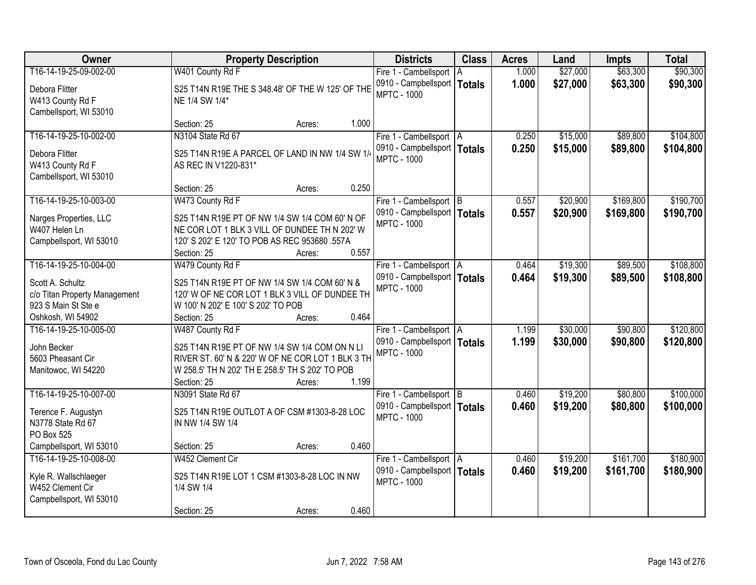| Owner                                                               | <b>Property Description</b>                                                                                                                                          |        |       | <b>Districts</b>                                                                 | <b>Class</b>  | <b>Acres</b>   | Land                 | <b>Impts</b>           | <b>Total</b>           |
|---------------------------------------------------------------------|----------------------------------------------------------------------------------------------------------------------------------------------------------------------|--------|-------|----------------------------------------------------------------------------------|---------------|----------------|----------------------|------------------------|------------------------|
| T16-14-19-25-09-002-00                                              | W401 County Rd F                                                                                                                                                     |        |       | Fire 1 - Cambellsport   A                                                        |               | 1.000          | \$27,000             | \$63,300               | \$90,300               |
| Debora Flitter<br>W413 County Rd F<br>Cambellsport, WI 53010        | S25 T14N R19E THE S 348.48' OF THE W 125' OF THE<br>NE 1/4 SW 1/4*                                                                                                   |        |       | 0910 - Campbellsport  <br><b>MPTC - 1000</b>                                     | <b>Totals</b> | 1.000          | \$27,000             | \$63,300               | \$90,300               |
|                                                                     | Section: 25                                                                                                                                                          | Acres: | 1.000 |                                                                                  |               |                |                      |                        |                        |
| T16-14-19-25-10-002-00                                              | N3104 State Rd 67                                                                                                                                                    |        |       | Fire 1 - Cambellsport   A                                                        |               | 0.250          | \$15,000             | \$89,800               | \$104,800              |
| Debora Flitter<br>W413 County Rd F<br>Cambellsport, WI 53010        | S25 T14N R19E A PARCEL OF LAND IN NW 1/4 SW 1/<br>AS REC IN V1220-831*                                                                                               |        |       | 0910 - Campbellsport   Totals<br><b>MPTC - 1000</b>                              |               | 0.250          | \$15,000             | \$89,800               | \$104,800              |
|                                                                     | Section: 25                                                                                                                                                          | Acres: | 0.250 |                                                                                  |               |                |                      |                        |                        |
| T16-14-19-25-10-003-00                                              | W473 County Rd F                                                                                                                                                     |        |       | Fire 1 - Cambellsport B                                                          |               | 0.557          | \$20,900             | \$169,800              | \$190,700              |
| Narges Properties, LLC<br>W407 Helen Ln<br>Campbellsport, WI 53010  | S25 T14N R19E PT OF NW 1/4 SW 1/4 COM 60' N OF<br>NE COR LOT 1 BLK 3 VILL OF DUNDEE TH N 202' W<br>120' S 202' E 120' TO POB AS REC 953680 .557A                     |        |       | 0910 - Campbellsport   Totals<br><b>MPTC - 1000</b>                              |               | 0.557          | \$20,900             | \$169,800              | \$190,700              |
|                                                                     | Section: 25                                                                                                                                                          | Acres: | 0.557 |                                                                                  |               |                |                      |                        |                        |
| T16-14-19-25-10-004-00                                              | W479 County Rd F                                                                                                                                                     |        |       | Fire 1 - Cambellsport   A                                                        |               | 0.464          | \$19,300             | \$89,500               | \$108,800              |
| Scott A. Schultz<br>c/o Titan Property Management                   | S25 T14N R19E PT OF NW 1/4 SW 1/4 COM 60' N &<br>120' W OF NE COR LOT 1 BLK 3 VILL OF DUNDEE TH                                                                      |        |       | 0910 - Campbellsport   Totals<br><b>MPTC - 1000</b>                              |               | 0.464          | \$19,300             | \$89,500               | \$108,800              |
| 923 S Main St Ste e<br>Oshkosh, WI 54902                            | W 100' N 202' E 100' S 202' TO POB<br>Section: 25                                                                                                                    | Acres: | 0.464 |                                                                                  |               |                |                      |                        |                        |
| T16-14-19-25-10-005-00                                              | W487 County Rd F                                                                                                                                                     |        |       | Fire 1 - Cambellsport   A<br>0910 - Campbellsport   Totals                       |               | 1.199<br>1.199 | \$30,000<br>\$30,000 | \$90,800<br>\$90,800   | \$120,800<br>\$120,800 |
| John Becker<br>5603 Pheasant Cir<br>Manitowoc, WI 54220             | S25 T14N R19E PT OF NW 1/4 SW 1/4 COM ON N LI<br>RIVER ST. 60' N & 220' W OF NE COR LOT 1 BLK 3 TH<br>W 258.5' TH N 202' TH E 258.5' TH S 202' TO POB<br>Section: 25 | Acres: | 1.199 | <b>MPTC - 1000</b>                                                               |               |                |                      |                        |                        |
| T16-14-19-25-10-007-00                                              | N3091 State Rd 67                                                                                                                                                    |        |       | Fire 1 - Cambellsport B                                                          |               | 0.460          | \$19,200             | \$80,800               | \$100,000              |
| Terence F. Augustyn<br>N3778 State Rd 67<br>PO Box 525              | S25 T14N R19E OUTLOT A OF CSM #1303-8-28 LOC<br>IN NW 1/4 SW 1/4                                                                                                     |        |       | 0910 - Campbellsport   Totals<br><b>MPTC - 1000</b>                              |               | 0.460          | \$19,200             | \$80,800               | \$100,000              |
| Campbellsport, WI 53010                                             | Section: 25                                                                                                                                                          | Acres: | 0.460 |                                                                                  |               |                |                      |                        |                        |
| T16-14-19-25-10-008-00<br>Kyle R. Wallschlaeger<br>W452 Clement Cir | W452 Clement Cir<br>S25 T14N R19E LOT 1 CSM #1303-8-28 LOC IN NW<br>1/4 SW 1/4                                                                                       |        |       | Fire 1 - Cambellsport   A<br>0910 - Campbellsport   Totals<br><b>MPTC - 1000</b> |               | 0.460<br>0.460 | \$19,200<br>\$19,200 | \$161,700<br>\$161,700 | \$180,900<br>\$180,900 |
| Campbellsport, WI 53010                                             | Section: 25                                                                                                                                                          | Acres: | 0.460 |                                                                                  |               |                |                      |                        |                        |
|                                                                     |                                                                                                                                                                      |        |       |                                                                                  |               |                |                      |                        |                        |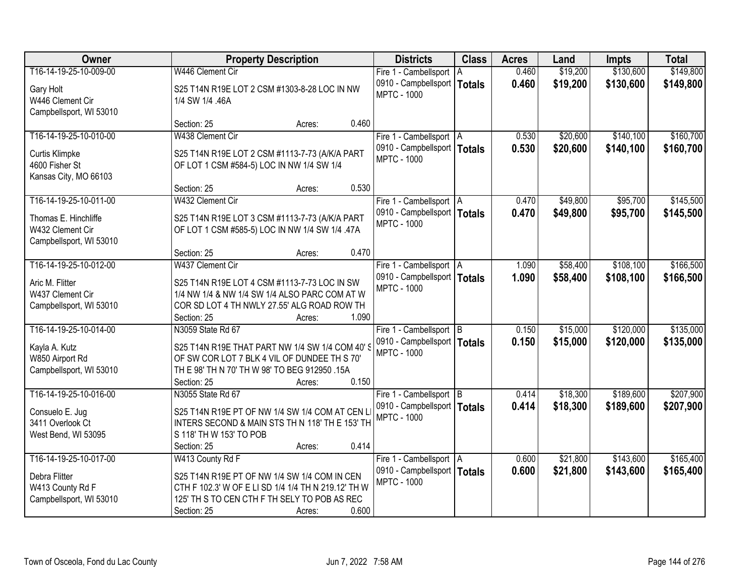| Owner                   | <b>Property Description</b>                         | <b>Districts</b>              | <b>Class</b> | <b>Acres</b> | Land     | <b>Impts</b> | <b>Total</b> |
|-------------------------|-----------------------------------------------------|-------------------------------|--------------|--------------|----------|--------------|--------------|
| T16-14-19-25-10-009-00  | W446 Clement Cir                                    | Fire 1 - Cambellsport   A     |              | 0.460        | \$19,200 | \$130,600    | \$149,800    |
| Gary Holt               | S25 T14N R19E LOT 2 CSM #1303-8-28 LOC IN NW        | 0910 - Campbellsport   Totals |              | 0.460        | \$19,200 | \$130,600    | \$149,800    |
| W446 Clement Cir        | 1/4 SW 1/4 .46A                                     | <b>MPTC - 1000</b>            |              |              |          |              |              |
| Campbellsport, WI 53010 |                                                     |                               |              |              |          |              |              |
|                         | 0.460<br>Section: 25<br>Acres:                      |                               |              |              |          |              |              |
| T16-14-19-25-10-010-00  | W438 Clement Cir                                    | Fire 1 - Cambellsport   A     |              | 0.530        | \$20,600 | \$140,100    | \$160,700    |
| Curtis Klimpke          | S25 T14N R19E LOT 2 CSM #1113-7-73 (A/K/A PART      | 0910 - Campbellsport   Totals |              | 0.530        | \$20,600 | \$140,100    | \$160,700    |
| 4600 Fisher St          | OF LOT 1 CSM #584-5) LOC IN NW 1/4 SW 1/4           | <b>MPTC - 1000</b>            |              |              |          |              |              |
| Kansas City, MO 66103   |                                                     |                               |              |              |          |              |              |
|                         | 0.530<br>Section: 25<br>Acres:                      |                               |              |              |          |              |              |
| T16-14-19-25-10-011-00  | W432 Clement Cir                                    | Fire 1 - Cambellsport   A     |              | 0.470        | \$49,800 | \$95,700     | \$145,500    |
| Thomas E. Hinchliffe    | S25 T14N R19E LOT 3 CSM #1113-7-73 (A/K/A PART      | 0910 - Campbellsport   Totals |              | 0.470        | \$49,800 | \$95,700     | \$145,500    |
| W432 Clement Cir        | OF LOT 1 CSM #585-5) LOC IN NW 1/4 SW 1/4 .47A      | <b>MPTC - 1000</b>            |              |              |          |              |              |
| Campbellsport, WI 53010 |                                                     |                               |              |              |          |              |              |
|                         | 0.470<br>Section: 25<br>Acres:                      |                               |              |              |          |              |              |
| T16-14-19-25-10-012-00  | W437 Clement Cir                                    | Fire 1 - Cambellsport   A     |              | 1.090        | \$58,400 | \$108,100    | \$166,500    |
| Aric M. Flitter         | S25 T14N R19E LOT 4 CSM #1113-7-73 LOC IN SW        | 0910 - Campbellsport   Totals |              | 1.090        | \$58,400 | \$108,100    | \$166,500    |
| W437 Clement Cir        | 1/4 NW 1/4 & NW 1/4 SW 1/4 ALSO PARC COM AT W       | <b>MPTC - 1000</b>            |              |              |          |              |              |
| Campbellsport, WI 53010 | COR SD LOT 4 TH NWLY 27.55' ALG ROAD ROW TH         |                               |              |              |          |              |              |
|                         | 1.090<br>Section: 25<br>Acres:                      |                               |              |              |          |              |              |
| T16-14-19-25-10-014-00  | N3059 State Rd 67                                   | Fire 1 - Cambellsport B       |              | 0.150        | \$15,000 | \$120,000    | \$135,000    |
| Kayla A. Kutz           | S25 T14N R19E THAT PART NW 1/4 SW 1/4 COM 40'S      | 0910 - Campbellsport   Totals |              | 0.150        | \$15,000 | \$120,000    | \$135,000    |
| W850 Airport Rd         | OF SW COR LOT 7 BLK 4 VIL OF DUNDEE TH S 70'        | <b>MPTC - 1000</b>            |              |              |          |              |              |
| Campbellsport, WI 53010 | TH E 98' TH N 70' TH W 98' TO BEG 912950 .15A       |                               |              |              |          |              |              |
|                         | 0.150<br>Section: 25<br>Acres:                      |                               |              |              |          |              |              |
| T16-14-19-25-10-016-00  | N3055 State Rd 67                                   | Fire 1 - Cambellsport B       |              | 0.414        | \$18,300 | \$189,600    | \$207,900    |
| Consuelo E. Jug         | S25 T14N R19E PT OF NW 1/4 SW 1/4 COM AT CEN L      | 0910 - Campbellsport   Totals |              | 0.414        | \$18,300 | \$189,600    | \$207,900    |
| 3411 Overlook Ct        | INTERS SECOND & MAIN STS TH N 118' TH E 153' TH     | <b>MPTC - 1000</b>            |              |              |          |              |              |
| West Bend, WI 53095     | S 118' TH W 153' TO POB                             |                               |              |              |          |              |              |
|                         | 0.414<br>Section: 25<br>Acres:                      |                               |              |              |          |              |              |
| T16-14-19-25-10-017-00  | W413 County Rd F                                    | Fire 1 - Cambellsport   A     |              | 0.600        | \$21,800 | \$143,600    | \$165,400    |
| Debra Flitter           | S25 T14N R19E PT OF NW 1/4 SW 1/4 COM IN CEN        | 0910 - Campbellsport   Totals |              | 0.600        | \$21,800 | \$143,600    | \$165,400    |
| W413 County Rd F        | CTH F 102.3' W OF E LI SD 1/4 1/4 TH N 219.12' TH W | <b>MPTC - 1000</b>            |              |              |          |              |              |
| Campbellsport, WI 53010 | 125' TH S TO CEN CTH F TH SELY TO POB AS REC        |                               |              |              |          |              |              |
|                         | 0.600<br>Section: 25<br>Acres:                      |                               |              |              |          |              |              |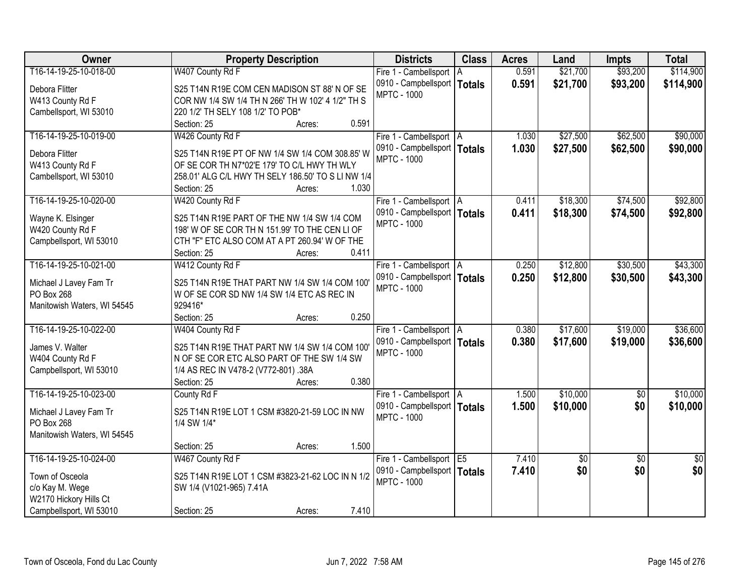| <b>Owner</b>                | <b>Property Description</b>                        | <b>Districts</b>                                    | <b>Class</b> | <b>Acres</b> | Land       | <b>Impts</b>    | <b>Total</b>    |
|-----------------------------|----------------------------------------------------|-----------------------------------------------------|--------------|--------------|------------|-----------------|-----------------|
| T16-14-19-25-10-018-00      | W407 County Rd F                                   | Fire 1 - Cambellsport   A                           |              | 0.591        | \$21,700   | \$93,200        | \$114,900       |
| Debora Flitter              | S25 T14N R19E COM CEN MADISON ST 88' N OF SE       | 0910 - Campbellsport   Totals                       |              | 0.591        | \$21,700   | \$93,200        | \$114,900       |
| W413 County Rd F            | COR NW 1/4 SW 1/4 TH N 266' TH W 102' 4 1/2" TH S  | <b>MPTC - 1000</b>                                  |              |              |            |                 |                 |
| Cambellsport, WI 53010      | 220 1/2' TH SELY 108 1/2' TO POB*                  |                                                     |              |              |            |                 |                 |
|                             | 0.591<br>Section: 25<br>Acres:                     |                                                     |              |              |            |                 |                 |
| T16-14-19-25-10-019-00      | W426 County Rd F                                   | Fire 1 - Cambellsport   A                           |              | 1.030        | \$27,500   | \$62,500        | \$90,000        |
|                             |                                                    | 0910 - Campbellsport   Totals                       |              | 1.030        | \$27,500   | \$62,500        | \$90,000        |
| Debora Flitter              | S25 T14N R19E PT OF NW 1/4 SW 1/4 COM 308.85' W    | <b>MPTC - 1000</b>                                  |              |              |            |                 |                 |
| W413 County Rd F            | OF SE COR TH N7*02'E 179' TO C/L HWY TH WLY        |                                                     |              |              |            |                 |                 |
| Cambellsport, WI 53010      | 258.01' ALG C/L HWY TH SELY 186.50' TO S LI NW 1/4 |                                                     |              |              |            |                 |                 |
|                             | 1.030<br>Section: 25<br>Acres:                     |                                                     |              |              |            |                 |                 |
| T16-14-19-25-10-020-00      | W420 County Rd F                                   | Fire 1 - Cambellsport   A                           |              | 0.411        | \$18,300   | \$74,500        | \$92,800        |
| Wayne K. Elsinger           | S25 T14N R19E PART OF THE NW 1/4 SW 1/4 COM        | 0910 - Campbellsport   Totals                       |              | 0.411        | \$18,300   | \$74,500        | \$92,800        |
| W420 County Rd F            | 198' W OF SE COR TH N 151.99' TO THE CEN LI OF     | <b>MPTC - 1000</b>                                  |              |              |            |                 |                 |
| Campbellsport, WI 53010     | CTH "F" ETC ALSO COM AT A PT 260.94' W OF THE      |                                                     |              |              |            |                 |                 |
|                             | 0.411<br>Section: 25<br>Acres:                     |                                                     |              |              |            |                 |                 |
| T16-14-19-25-10-021-00      | W412 County Rd F                                   | Fire 1 - Cambellsport   A                           |              | 0.250        | \$12,800   | \$30,500        | \$43,300        |
|                             |                                                    | 0910 - Campbellsport   Totals                       |              | 0.250        | \$12,800   | \$30,500        | \$43,300        |
| Michael J Lavey Fam Tr      | S25 T14N R19E THAT PART NW 1/4 SW 1/4 COM 100'     | <b>MPTC - 1000</b>                                  |              |              |            |                 |                 |
| PO Box 268                  | W OF SE COR SD NW 1/4 SW 1/4 ETC AS REC IN         |                                                     |              |              |            |                 |                 |
| Manitowish Waters, WI 54545 | 929416*                                            |                                                     |              |              |            |                 |                 |
|                             | 0.250<br>Section: 25<br>Acres:                     |                                                     |              |              |            |                 |                 |
| T16-14-19-25-10-022-00      | W404 County Rd F                                   | Fire 1 - Cambellsport   A                           |              | 0.380        | \$17,600   | \$19,000        | \$36,600        |
| James V. Walter             | S25 T14N R19E THAT PART NW 1/4 SW 1/4 COM 100'     | 0910 - Campbellsport   Totals                       |              | 0.380        | \$17,600   | \$19,000        | \$36,600        |
| W404 County Rd F            | N OF SE COR ETC ALSO PART OF THE SW 1/4 SW         | <b>MPTC - 1000</b>                                  |              |              |            |                 |                 |
| Campbellsport, WI 53010     | 1/4 AS REC IN V478-2 (V772-801) .38A               |                                                     |              |              |            |                 |                 |
|                             | 0.380<br>Section: 25<br>Acres:                     |                                                     |              |              |            |                 |                 |
| T16-14-19-25-10-023-00      | County Rd F                                        | Fire 1 - Cambellsport   A                           |              | 1.500        | \$10,000   | $\overline{50}$ | \$10,000        |
|                             |                                                    |                                                     |              |              |            |                 |                 |
| Michael J Lavey Fam Tr      | S25 T14N R19E LOT 1 CSM #3820-21-59 LOC IN NW      | 0910 - Campbellsport   Totals<br><b>MPTC - 1000</b> |              | 1.500        | \$10,000   | \$0             | \$10,000        |
| PO Box 268                  | 1/4 SW 1/4*                                        |                                                     |              |              |            |                 |                 |
| Manitowish Waters, WI 54545 |                                                    |                                                     |              |              |            |                 |                 |
|                             | 1.500<br>Section: 25<br>Acres:                     |                                                     |              |              |            |                 |                 |
| T16-14-19-25-10-024-00      | W467 County Rd F                                   | Fire 1 - Cambellsport E5                            |              | 7.410        | $\sqrt{6}$ | $\overline{30}$ | $\overline{50}$ |
| Town of Osceola             | S25 T14N R19E LOT 1 CSM #3823-21-62 LOC IN N 1/2   | 0910 - Campbellsport   Totals                       |              | 7.410        | \$0        | \$0             | \$0             |
|                             |                                                    | <b>MPTC - 1000</b>                                  |              |              |            |                 |                 |
| c/o Kay M. Wege             | SW 1/4 (V1021-965) 7.41A                           |                                                     |              |              |            |                 |                 |
| W2170 Hickory Hills Ct      |                                                    |                                                     |              |              |            |                 |                 |
| Campbellsport, WI 53010     | 7.410<br>Section: 25<br>Acres:                     |                                                     |              |              |            |                 |                 |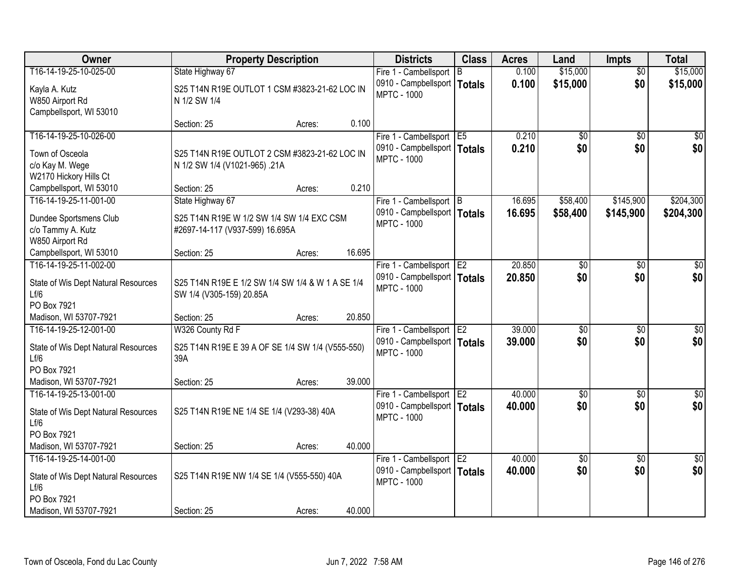| Owner                                       |                                                  | <b>Property Description</b> |        | <b>Districts</b>                                    | <b>Class</b> | <b>Acres</b> | Land            | <b>Impts</b>    | <b>Total</b>     |
|---------------------------------------------|--------------------------------------------------|-----------------------------|--------|-----------------------------------------------------|--------------|--------------|-----------------|-----------------|------------------|
| T16-14-19-25-10-025-00                      | State Highway 67                                 |                             |        | Fire 1 - Cambellsport                               | B            | 0.100        | \$15,000        | $\overline{30}$ | \$15,000         |
| Kayla A. Kutz                               | S25 T14N R19E OUTLOT 1 CSM #3823-21-62 LOC IN    |                             |        | 0910 - Campbellsport   Totals                       |              | 0.100        | \$15,000        | \$0             | \$15,000         |
| W850 Airport Rd                             | N 1/2 SW 1/4                                     |                             |        | <b>MPTC - 1000</b>                                  |              |              |                 |                 |                  |
| Campbellsport, WI 53010                     |                                                  |                             |        |                                                     |              |              |                 |                 |                  |
|                                             | Section: 25                                      | Acres:                      | 0.100  |                                                     |              |              |                 |                 |                  |
| T16-14-19-25-10-026-00                      |                                                  |                             |        | Fire 1 - Cambellsport E5                            |              | 0.210        | $\overline{50}$ | $\overline{30}$ | $\overline{\$0}$ |
| Town of Osceola                             | S25 T14N R19E OUTLOT 2 CSM #3823-21-62 LOC IN    |                             |        | 0910 - Campbellsport   Totals                       |              | 0.210        | \$0             | \$0             | \$0              |
| c/o Kay M. Wege                             | N 1/2 SW 1/4 (V1021-965) .21A                    |                             |        | <b>MPTC - 1000</b>                                  |              |              |                 |                 |                  |
| W2170 Hickory Hills Ct                      |                                                  |                             |        |                                                     |              |              |                 |                 |                  |
| Campbellsport, WI 53010                     | Section: 25                                      | Acres:                      | 0.210  |                                                     |              |              |                 |                 |                  |
| T16-14-19-25-11-001-00                      | State Highway 67                                 |                             |        | Fire 1 - Cambellsport B                             |              | 16.695       | \$58,400        | \$145,900       | \$204,300        |
| Dundee Sportsmens Club                      | S25 T14N R19E W 1/2 SW 1/4 SW 1/4 EXC CSM        |                             |        | 0910 - Campbellsport   Totals                       |              | 16.695       | \$58,400        | \$145,900       | \$204,300        |
| c/o Tammy A. Kutz                           | #2697-14-117 (V937-599) 16.695A                  |                             |        | <b>MPTC - 1000</b>                                  |              |              |                 |                 |                  |
| W850 Airport Rd                             |                                                  |                             |        |                                                     |              |              |                 |                 |                  |
| Campbellsport, WI 53010                     | Section: 25                                      | Acres:                      | 16.695 |                                                     |              |              |                 |                 |                  |
| T16-14-19-25-11-002-00                      |                                                  |                             |        | Fire 1 - Cambellsport E2                            |              | 20.850       | \$0             | $\sqrt{6}$      | \$0              |
|                                             |                                                  |                             |        | 0910 - Campbellsport   Totals                       |              | 20.850       | \$0             | \$0             | \$0              |
| State of Wis Dept Natural Resources<br>Lf/6 | S25 T14N R19E E 1/2 SW 1/4 SW 1/4 & W 1 A SE 1/4 |                             |        | <b>MPTC - 1000</b>                                  |              |              |                 |                 |                  |
| PO Box 7921                                 | SW 1/4 (V305-159) 20.85A                         |                             |        |                                                     |              |              |                 |                 |                  |
| Madison, WI 53707-7921                      | Section: 25                                      | Acres:                      | 20.850 |                                                     |              |              |                 |                 |                  |
| T16-14-19-25-12-001-00                      | W326 County Rd F                                 |                             |        | Fire 1 - Cambellsport E2                            |              | 39.000       | $\overline{50}$ | $\overline{50}$ | $\sqrt{50}$      |
|                                             |                                                  |                             |        | 0910 - Campbellsport   Totals                       |              | 39.000       | \$0             | \$0             | \$0              |
| State of Wis Dept Natural Resources         | S25 T14N R19E E 39 A OF SE 1/4 SW 1/4 (V555-550) |                             |        | <b>MPTC - 1000</b>                                  |              |              |                 |                 |                  |
| 1 f/6                                       | 39A                                              |                             |        |                                                     |              |              |                 |                 |                  |
| PO Box 7921                                 |                                                  |                             |        |                                                     |              |              |                 |                 |                  |
| Madison, WI 53707-7921                      | Section: 25                                      | Acres:                      | 39.000 |                                                     |              |              |                 |                 |                  |
| T16-14-19-25-13-001-00                      |                                                  |                             |        | Fire 1 - Cambellsport E2                            |              | 40.000       | $\sqrt{6}$      | $\sqrt{6}$      | $\sqrt{50}$      |
| State of Wis Dept Natural Resources         | S25 T14N R19E NE 1/4 SE 1/4 (V293-38) 40A        |                             |        | 0910 - Campbellsport   Totals<br><b>MPTC - 1000</b> |              | 40.000       | \$0             | \$0             | \$0              |
| Lf/6                                        |                                                  |                             |        |                                                     |              |              |                 |                 |                  |
| PO Box 7921                                 |                                                  |                             |        |                                                     |              |              |                 |                 |                  |
| Madison, WI 53707-7921                      | Section: 25                                      | Acres:                      | 40.000 |                                                     |              |              |                 |                 |                  |
| T16-14-19-25-14-001-00                      |                                                  |                             |        | Fire 1 - Cambellsport   E2                          |              | 40.000       | $\overline{50}$ | $\overline{30}$ | $\overline{50}$  |
| State of Wis Dept Natural Resources         | S25 T14N R19E NW 1/4 SE 1/4 (V555-550) 40A       |                             |        | 0910 - Campbellsport   Totals                       |              | 40.000       | \$0             | \$0             | \$0              |
| Lf/6                                        |                                                  |                             |        | <b>MPTC - 1000</b>                                  |              |              |                 |                 |                  |
| PO Box 7921                                 |                                                  |                             |        |                                                     |              |              |                 |                 |                  |
| Madison, WI 53707-7921                      | Section: 25                                      | Acres:                      | 40.000 |                                                     |              |              |                 |                 |                  |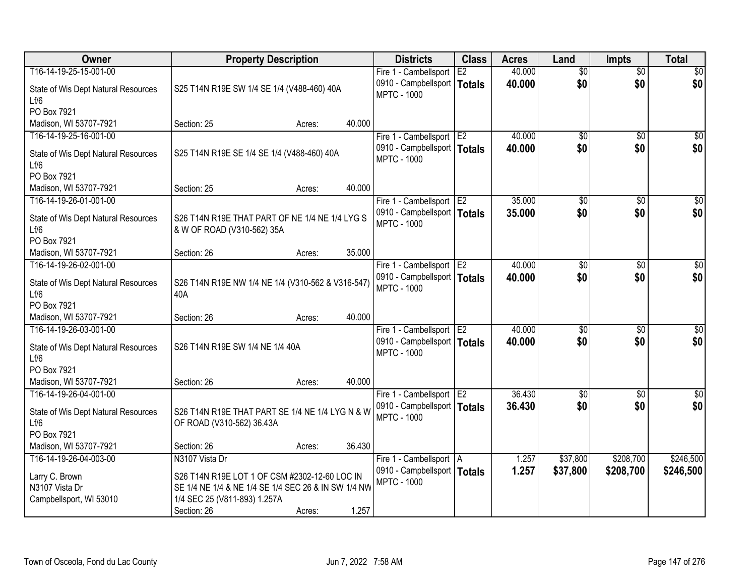| Owner                                       |                                                                              | <b>Property Description</b> |        | <b>Districts</b>                                    | <b>Class</b>    | <b>Acres</b> | Land            | <b>Impts</b>    | <b>Total</b>    |
|---------------------------------------------|------------------------------------------------------------------------------|-----------------------------|--------|-----------------------------------------------------|-----------------|--------------|-----------------|-----------------|-----------------|
| T16-14-19-25-15-001-00                      |                                                                              |                             |        | Fire 1 - Cambellsport                               | E2              | 40.000       | $\overline{50}$ | $\overline{50}$ | \$0             |
| State of Wis Dept Natural Resources<br>Lf/6 | S25 T14N R19E SW 1/4 SE 1/4 (V488-460) 40A                                   |                             |        | 0910 - Campbellsport<br><b>MPTC - 1000</b>          | Totals          | 40.000       | \$0             | \$0             | \$0             |
| PO Box 7921                                 |                                                                              |                             |        |                                                     |                 |              |                 |                 |                 |
| Madison, WI 53707-7921                      | Section: 25                                                                  | Acres:                      | 40.000 |                                                     |                 |              |                 |                 |                 |
| T16-14-19-25-16-001-00                      |                                                                              |                             |        | Fire 1 - Cambellsport                               | TE <sub>2</sub> | 40.000       | \$0             | $\overline{50}$ | \$0             |
| State of Wis Dept Natural Resources<br>Lf/6 | S25 T14N R19E SE 1/4 SE 1/4 (V488-460) 40A                                   |                             |        | 0910 - Campbellsport   Totals<br><b>MPTC - 1000</b> |                 | 40.000       | \$0             | \$0             | \$0             |
| PO Box 7921                                 |                                                                              |                             |        |                                                     |                 |              |                 |                 |                 |
| Madison, WI 53707-7921                      | Section: 25                                                                  | Acres:                      | 40.000 |                                                     |                 |              |                 |                 |                 |
| T16-14-19-26-01-001-00                      |                                                                              |                             |        | Fire 1 - Cambellsport E2                            |                 | 35.000       | \$0             | \$0             | $\overline{50}$ |
| State of Wis Dept Natural Resources<br>Lf/6 | S26 T14N R19E THAT PART OF NE 1/4 NE 1/4 LYG S<br>& W OF ROAD (V310-562) 35A |                             |        | 0910 - Campbellsport   Totals<br><b>MPTC - 1000</b> |                 | 35.000       | \$0             | \$0             | \$0             |
| PO Box 7921                                 |                                                                              |                             |        |                                                     |                 |              |                 |                 |                 |
| Madison, WI 53707-7921                      | Section: 26                                                                  | Acres:                      | 35.000 |                                                     |                 |              |                 |                 |                 |
| T16-14-19-26-02-001-00                      |                                                                              |                             |        | Fire 1 - Cambellsport                               | E <sub>2</sub>  | 40.000       | \$0             | $\sqrt{6}$      | \$0             |
| State of Wis Dept Natural Resources<br>Lf/6 | S26 T14N R19E NW 1/4 NE 1/4 (V310-562 & V316-547)<br>40A                     |                             |        | 0910 - Campbellsport   Totals<br><b>MPTC - 1000</b> |                 | 40,000       | \$0             | \$0             | \$0             |
| PO Box 7921                                 |                                                                              |                             |        |                                                     |                 |              |                 |                 |                 |
| Madison, WI 53707-7921                      | Section: 26                                                                  | Acres:                      | 40.000 |                                                     |                 |              |                 |                 |                 |
| T16-14-19-26-03-001-00                      |                                                                              |                             |        | Fire 1 - Cambellsport                               | E <sub>2</sub>  | 40.000       | $\overline{50}$ | $\overline{30}$ | $\overline{50}$ |
| State of Wis Dept Natural Resources<br>Lf/6 | S26 T14N R19E SW 1/4 NE 1/4 40A                                              |                             |        | 0910 - Campbellsport   Totals<br><b>MPTC - 1000</b> |                 | 40.000       | \$0             | \$0             | \$0             |
| PO Box 7921                                 |                                                                              |                             |        |                                                     |                 |              |                 |                 |                 |
| Madison, WI 53707-7921                      | Section: 26                                                                  | Acres:                      | 40.000 |                                                     |                 |              |                 |                 |                 |
| T16-14-19-26-04-001-00                      |                                                                              |                             |        | Fire 1 - Cambellsport E2                            |                 | 36.430       | $\sqrt{6}$      | $\overline{30}$ | \$0             |
| State of Wis Dept Natural Resources<br>Lf/6 | S26 T14N R19E THAT PART SE 1/4 NE 1/4 LYG N & W<br>OF ROAD (V310-562) 36.43A |                             |        | 0910 - Campbellsport   Totals<br><b>MPTC - 1000</b> |                 | 36.430       | \$0             | \$0             | \$0             |
| PO Box 7921                                 |                                                                              |                             |        |                                                     |                 |              |                 |                 |                 |
| Madison, WI 53707-7921                      | Section: 26                                                                  | Acres:                      | 36.430 |                                                     |                 |              |                 |                 |                 |
| T16-14-19-26-04-003-00                      | N3107 Vista Dr                                                               |                             |        | Fire 1 - Cambellsport   A                           |                 | 1.257        | \$37,800        | \$208,700       | \$246,500       |
| Larry C. Brown                              | S26 T14N R19E LOT 1 OF CSM #2302-12-60 LOC IN                                |                             |        | 0910 - Campbellsport   Totals                       |                 | 1.257        | \$37,800        | \$208,700       | \$246,500       |
| N3107 Vista Dr                              | SE 1/4 NE 1/4 & NE 1/4 SE 1/4 SEC 26 & IN SW 1/4 NW                          |                             |        | <b>MPTC - 1000</b>                                  |                 |              |                 |                 |                 |
| Campbellsport, WI 53010                     | 1/4 SEC 25 (V811-893) 1.257A                                                 |                             |        |                                                     |                 |              |                 |                 |                 |
|                                             | Section: 26                                                                  | Acres:                      | 1.257  |                                                     |                 |              |                 |                 |                 |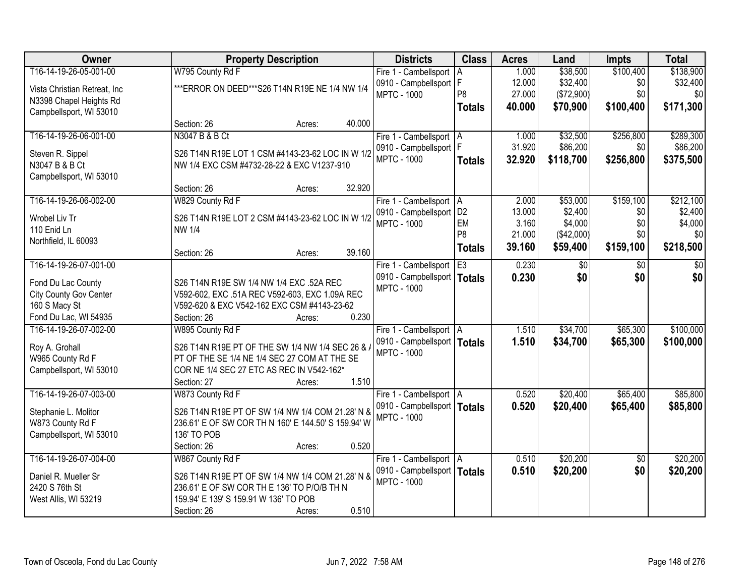| Owner                              | <b>Property Description</b>                                                          | <b>Districts</b>              | <b>Class</b>   | <b>Acres</b> | Land          | <b>Impts</b>    | <b>Total</b> |
|------------------------------------|--------------------------------------------------------------------------------------|-------------------------------|----------------|--------------|---------------|-----------------|--------------|
| T16-14-19-26-05-001-00             | W795 County Rd F                                                                     | Fire 1 - Cambellsport         | A              | 1.000        | \$38,500      | \$100,400       | \$138,900    |
| Vista Christian Retreat, Inc       | *** ERROR ON DEED*** S26 T14N R19E NE 1/4 NW 1/4                                     | 0910 - Campbellsport   F      |                | 12.000       | \$32,400      | \$0             | \$32,400     |
| N3398 Chapel Heights Rd            |                                                                                      | <b>MPTC - 1000</b>            | P <sub>8</sub> | 27.000       | (\$72,900)    | \$0             | \$0          |
| Campbellsport, WI 53010            |                                                                                      |                               | <b>Totals</b>  | 40.000       | \$70,900      | \$100,400       | \$171,300    |
|                                    | 40.000<br>Section: 26<br>Acres:                                                      |                               |                |              |               |                 |              |
| T16-14-19-26-06-001-00             | N3047 B & B Ct                                                                       | Fire 1 - Cambellsport   A     |                | 1.000        | \$32,500      | \$256,800       | \$289,300    |
|                                    | S26 T14N R19E LOT 1 CSM #4143-23-62 LOC IN W 1/2                                     | 0910 - Campbellsport   F      |                | 31.920       | \$86,200      | \$0             | \$86,200     |
| Steven R. Sippel<br>N3047 B & B Ct | NW 1/4 EXC CSM #4732-28-22 & EXC V1237-910                                           | <b>MPTC - 1000</b>            | <b>Totals</b>  | 32.920       | \$118,700     | \$256,800       | \$375,500    |
| Campbellsport, WI 53010            |                                                                                      |                               |                |              |               |                 |              |
|                                    | 32.920<br>Section: 26<br>Acres:                                                      |                               |                |              |               |                 |              |
| T16-14-19-26-06-002-00             | W829 County Rd F                                                                     | Fire 1 - Cambellsport   A     |                | 2.000        | \$53,000      | \$159,100       | \$212,100    |
| Wrobel Liv Tr                      |                                                                                      | 0910 - Campbellsport   D2     |                | 13.000       | \$2,400       | \$0             | \$2,400      |
| 110 Enid Ln                        | S26 T14N R19E LOT 2 CSM #4143-23-62 LOC IN W 1/2<br><b>NW 1/4</b>                    | <b>MPTC - 1000</b>            | EM             | 3.160        | \$4,000       | \$0             | \$4,000      |
| Northfield, IL 60093               |                                                                                      |                               | P <sub>8</sub> | 21.000       | (\$42,000)    | \$0             | \$0          |
|                                    | 39.160<br>Section: 26<br>Acres:                                                      |                               | <b>Totals</b>  | 39.160       | \$59,400      | \$159,100       | \$218,500    |
| T16-14-19-26-07-001-00             |                                                                                      | Fire 1 - Cambellsport         | E3             | 0.230        | $\sqrt[6]{3}$ | \$0             | \$0          |
|                                    |                                                                                      | 0910 - Campbellsport   Totals |                | 0.230        | \$0           | \$0             | \$0          |
| Fond Du Lac County                 | S26 T14N R19E SW 1/4 NW 1/4 EXC .52A REC                                             | <b>MPTC - 1000</b>            |                |              |               |                 |              |
| City County Gov Center             | V592-602, EXC .51A REC V592-603, EXC 1.09A REC                                       |                               |                |              |               |                 |              |
| 160 S Macy St                      | V592-620 & EXC V542-162 EXC CSM #4143-23-62                                          |                               |                |              |               |                 |              |
| Fond Du Lac, WI 54935              | 0.230<br>Section: 26<br>Acres:                                                       |                               |                |              |               |                 |              |
| T16-14-19-26-07-002-00             | W895 County Rd F                                                                     | Fire 1 - Cambellsport   A     |                | 1.510        | \$34,700      | \$65,300        | \$100,000    |
| Roy A. Grohall                     | S26 T14N R19E PT OF THE SW 1/4 NW 1/4 SEC 26 & /                                     | 0910 - Campbellsport   Totals |                | 1.510        | \$34,700      | \$65,300        | \$100,000    |
| W965 County Rd F                   | PT OF THE SE 1/4 NE 1/4 SEC 27 COM AT THE SE                                         | <b>MPTC - 1000</b>            |                |              |               |                 |              |
| Campbellsport, WI 53010            | COR NE 1/4 SEC 27 ETC AS REC IN V542-162*                                            |                               |                |              |               |                 |              |
|                                    | 1.510<br>Section: 27<br>Acres:                                                       |                               |                |              |               |                 |              |
| T16-14-19-26-07-003-00             | W873 County Rd F                                                                     | Fire 1 - Cambellsport   A     |                | 0.520        | \$20,400      | \$65,400        | \$85,800     |
| Stephanie L. Molitor               | S26 T14N R19E PT OF SW 1/4 NW 1/4 COM 21.28' N &                                     | 0910 - Campbellsport   Totals |                | 0.520        | \$20,400      | \$65,400        | \$85,800     |
| W873 County Rd F                   | 236.61' E OF SW COR TH N 160' E 144.50' S 159.94' W                                  | <b>MPTC - 1000</b>            |                |              |               |                 |              |
| Campbellsport, WI 53010            | 136' TO POB                                                                          |                               |                |              |               |                 |              |
|                                    | 0.520<br>Section: 26<br>Acres:                                                       |                               |                |              |               |                 |              |
| T16-14-19-26-07-004-00             | W867 County Rd F                                                                     | Fire 1 - Cambellsport   A     |                | 0.510        | \$20,200      | $\overline{50}$ | \$20,200     |
|                                    |                                                                                      | 0910 - Campbellsport   Totals |                | 0.510        | \$20,200      | \$0             | \$20,200     |
| Daniel R. Mueller Sr               | S26 T14N R19E PT OF SW 1/4 NW 1/4 COM 21.28' N &                                     | <b>MPTC - 1000</b>            |                |              |               |                 |              |
| 2420 S 76th St                     | 236.61' E OF SW COR TH E 136' TO P/O/B TH N<br>159.94' E 139' S 159.91 W 136' TO POB |                               |                |              |               |                 |              |
| West Allis, WI 53219               | 0.510                                                                                |                               |                |              |               |                 |              |
|                                    | Section: 26<br>Acres:                                                                |                               |                |              |               |                 |              |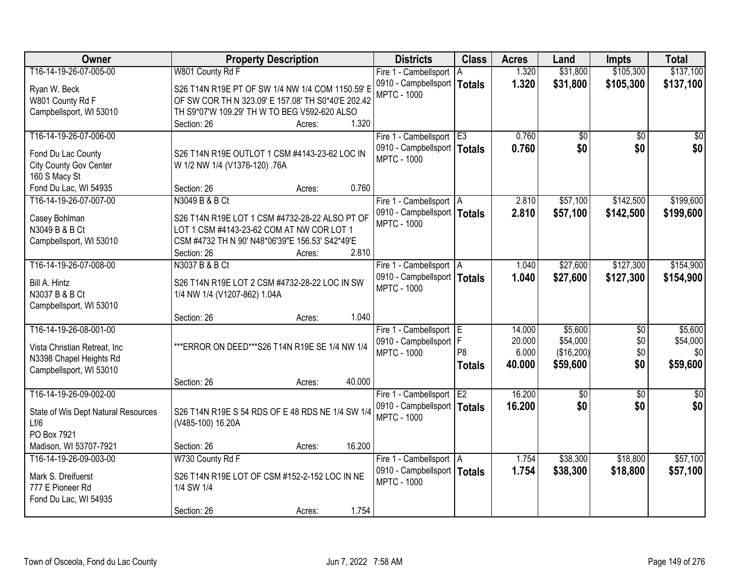| \$137,100<br>T16-14-19-26-07-005-00<br>W801 County Rd F<br>\$31,800<br>\$105,300<br>1.320<br>Fire 1 - Cambellsport   A<br>0910 - Campbellsport   Totals<br>1.320<br>\$31,800<br>\$105,300<br>\$137,100<br>S26 T14N R19E PT OF SW 1/4 NW 1/4 COM 1150.59' E<br>Ryan W. Beck<br><b>MPTC - 1000</b><br>W801 County Rd F<br>OF SW COR TH N 323.09' E 157.08' TH S0*40'E 202.42<br>TH S9*07'W 109.29' TH W TO BEG V592-620 ALSO<br>Campbellsport, WI 53010<br>1.320<br>Section: 26<br>Acres:<br>T16-14-19-26-07-006-00<br>Fire 1 - Cambellsport E3<br>0.760<br>$\overline{50}$<br>\$0<br>\$0<br>0.760<br>\$0<br>0910 - Campbellsport   Totals<br>Fond Du Lac County<br>S26 T14N R19E OUTLOT 1 CSM #4143-23-62 LOC IN<br><b>MPTC - 1000</b><br>City County Gov Center<br>W 1/2 NW 1/4 (V1376-120) .76A<br>160 S Macy St<br>0.760<br>Fond Du Lac, WI 54935<br>Section: 26<br>Acres:<br>\$57,100<br>\$142,500<br>T16-14-19-26-07-007-00<br>N3049 B & B Ct<br>2.810<br>Fire 1 - Cambellsport   A<br>0910 - Campbellsport   Totals<br>2.810<br>\$57,100<br>\$142,500<br>S26 T14N R19E LOT 1 CSM #4732-28-22 ALSO PT OF<br>Casey Bohlman<br><b>MPTC - 1000</b><br>N3049 B & B Ct<br>LOT 1 CSM #4143-23-62 COM AT NW COR LOT 1<br>CSM #4732 TH N 90' N48*06'39"E 156.53' S42*49'E<br>Campbellsport, WI 53010<br>2.810<br>Section: 26<br>Acres:<br>T16-14-19-26-07-008-00<br>N3037 B & B Ct<br>\$27,600<br>\$127,300<br>Fire 1 - Cambellsport   A<br>1.040<br>0910 - Campbellsport   Totals<br>1.040<br>\$27,600<br>\$127,300<br>Bill A. Hintz<br>S26 T14N R19E LOT 2 CSM #4732-28-22 LOC IN SW<br><b>MPTC - 1000</b><br>N3037 B & B Ct<br>1/4 NW 1/4 (V1207-862) 1.04A<br>Campbellsport, WI 53010<br>1.040<br>Section: 26<br>Acres:<br>T16-14-19-26-08-001-00<br>\$5,600<br>$\overline{50}$<br>\$5,600<br>14.000<br>Fire 1 - Cambellsport E<br>F<br>\$54,000<br>\$0<br>20.000<br>0910 - Campbellsport<br>*** ERROR ON DEED*** S26 T14N R19E SE 1/4 NW 1/4<br>Vista Christian Retreat, Inc.<br>P <sub>8</sub><br>\$0<br>6.000<br>(\$16,200)<br>\$0<br><b>MPTC - 1000</b><br>N3398 Chapel Heights Rd<br>\$0<br>\$59,600<br>40.000<br>\$59,600<br><b>Totals</b><br>Campbellsport, WI 53010<br>40.000<br>Section: 26<br>Acres:<br>16.200<br>$\overline{50}$<br>T16-14-19-26-09-002-00<br>Fire 1 - Cambellsport E2<br>$\sqrt{50}$<br>$\overline{30}$<br>\$0<br>16.200<br>\$0<br>0910 - Campbellsport   Totals<br>State of Wis Dept Natural Resources<br>S26 T14N R19E S 54 RDS OF E 48 RDS NE 1/4 SW 1/4<br><b>MPTC - 1000</b><br>Lf/6<br>(V485-100) 16.20A<br>PO Box 7921<br>16.200<br>Madison, WI 53707-7921<br>Section: 26<br>Acres:<br>W730 County Rd F<br>\$38,300<br>\$18,800<br>T16-14-19-26-09-003-00<br>1.754<br>Fire 1 - Cambellsport   A<br>0910 - Campbellsport   Totals<br>1.754<br>\$38,300<br>\$18,800<br>Mark S. Dreifuerst<br>S26 T14N R19E LOT OF CSM #152-2-152 LOC IN NE<br><b>MPTC - 1000</b><br>777 E Pioneer Rd<br>1/4 SW 1/4 | Owner                 | <b>Property Description</b> | <b>Districts</b> | <b>Class</b> | <b>Acres</b> | Land | <b>Impts</b> | <b>Total</b> |
|-------------------------------------------------------------------------------------------------------------------------------------------------------------------------------------------------------------------------------------------------------------------------------------------------------------------------------------------------------------------------------------------------------------------------------------------------------------------------------------------------------------------------------------------------------------------------------------------------------------------------------------------------------------------------------------------------------------------------------------------------------------------------------------------------------------------------------------------------------------------------------------------------------------------------------------------------------------------------------------------------------------------------------------------------------------------------------------------------------------------------------------------------------------------------------------------------------------------------------------------------------------------------------------------------------------------------------------------------------------------------------------------------------------------------------------------------------------------------------------------------------------------------------------------------------------------------------------------------------------------------------------------------------------------------------------------------------------------------------------------------------------------------------------------------------------------------------------------------------------------------------------------------------------------------------------------------------------------------------------------------------------------------------------------------------------------------------------------------------------------------------------------------------------------------------------------------------------------------------------------------------------------------------------------------------------------------------------------------------------------------------------------------------------------------------------------------------------------------------------------------------------------------------------------------------------------------------------------------------------------------------------------------------------------------------------------------------------------------------------------------------------------------------------------------------------------------------------------------------------------------------------------------------------------------------------|-----------------------|-----------------------------|------------------|--------------|--------------|------|--------------|--------------|
|                                                                                                                                                                                                                                                                                                                                                                                                                                                                                                                                                                                                                                                                                                                                                                                                                                                                                                                                                                                                                                                                                                                                                                                                                                                                                                                                                                                                                                                                                                                                                                                                                                                                                                                                                                                                                                                                                                                                                                                                                                                                                                                                                                                                                                                                                                                                                                                                                                                                                                                                                                                                                                                                                                                                                                                                                                                                                                                                     |                       |                             |                  |              |              |      |              |              |
|                                                                                                                                                                                                                                                                                                                                                                                                                                                                                                                                                                                                                                                                                                                                                                                                                                                                                                                                                                                                                                                                                                                                                                                                                                                                                                                                                                                                                                                                                                                                                                                                                                                                                                                                                                                                                                                                                                                                                                                                                                                                                                                                                                                                                                                                                                                                                                                                                                                                                                                                                                                                                                                                                                                                                                                                                                                                                                                                     |                       |                             |                  |              |              |      |              |              |
|                                                                                                                                                                                                                                                                                                                                                                                                                                                                                                                                                                                                                                                                                                                                                                                                                                                                                                                                                                                                                                                                                                                                                                                                                                                                                                                                                                                                                                                                                                                                                                                                                                                                                                                                                                                                                                                                                                                                                                                                                                                                                                                                                                                                                                                                                                                                                                                                                                                                                                                                                                                                                                                                                                                                                                                                                                                                                                                                     |                       |                             |                  |              |              |      |              |              |
| $\overline{50}$                                                                                                                                                                                                                                                                                                                                                                                                                                                                                                                                                                                                                                                                                                                                                                                                                                                                                                                                                                                                                                                                                                                                                                                                                                                                                                                                                                                                                                                                                                                                                                                                                                                                                                                                                                                                                                                                                                                                                                                                                                                                                                                                                                                                                                                                                                                                                                                                                                                                                                                                                                                                                                                                                                                                                                                                                                                                                                                     |                       |                             |                  |              |              |      |              |              |
|                                                                                                                                                                                                                                                                                                                                                                                                                                                                                                                                                                                                                                                                                                                                                                                                                                                                                                                                                                                                                                                                                                                                                                                                                                                                                                                                                                                                                                                                                                                                                                                                                                                                                                                                                                                                                                                                                                                                                                                                                                                                                                                                                                                                                                                                                                                                                                                                                                                                                                                                                                                                                                                                                                                                                                                                                                                                                                                                     |                       |                             |                  |              |              |      |              |              |
| \$0<br>\$199,600<br>\$199,600<br>\$154,900<br>\$154,900<br>\$54,000<br>\$0<br>\$57,100<br>\$57,100                                                                                                                                                                                                                                                                                                                                                                                                                                                                                                                                                                                                                                                                                                                                                                                                                                                                                                                                                                                                                                                                                                                                                                                                                                                                                                                                                                                                                                                                                                                                                                                                                                                                                                                                                                                                                                                                                                                                                                                                                                                                                                                                                                                                                                                                                                                                                                                                                                                                                                                                                                                                                                                                                                                                                                                                                                  |                       |                             |                  |              |              |      |              |              |
|                                                                                                                                                                                                                                                                                                                                                                                                                                                                                                                                                                                                                                                                                                                                                                                                                                                                                                                                                                                                                                                                                                                                                                                                                                                                                                                                                                                                                                                                                                                                                                                                                                                                                                                                                                                                                                                                                                                                                                                                                                                                                                                                                                                                                                                                                                                                                                                                                                                                                                                                                                                                                                                                                                                                                                                                                                                                                                                                     |                       |                             |                  |              |              |      |              |              |
|                                                                                                                                                                                                                                                                                                                                                                                                                                                                                                                                                                                                                                                                                                                                                                                                                                                                                                                                                                                                                                                                                                                                                                                                                                                                                                                                                                                                                                                                                                                                                                                                                                                                                                                                                                                                                                                                                                                                                                                                                                                                                                                                                                                                                                                                                                                                                                                                                                                                                                                                                                                                                                                                                                                                                                                                                                                                                                                                     |                       |                             |                  |              |              |      |              |              |
|                                                                                                                                                                                                                                                                                                                                                                                                                                                                                                                                                                                                                                                                                                                                                                                                                                                                                                                                                                                                                                                                                                                                                                                                                                                                                                                                                                                                                                                                                                                                                                                                                                                                                                                                                                                                                                                                                                                                                                                                                                                                                                                                                                                                                                                                                                                                                                                                                                                                                                                                                                                                                                                                                                                                                                                                                                                                                                                                     |                       |                             |                  |              |              |      |              |              |
|                                                                                                                                                                                                                                                                                                                                                                                                                                                                                                                                                                                                                                                                                                                                                                                                                                                                                                                                                                                                                                                                                                                                                                                                                                                                                                                                                                                                                                                                                                                                                                                                                                                                                                                                                                                                                                                                                                                                                                                                                                                                                                                                                                                                                                                                                                                                                                                                                                                                                                                                                                                                                                                                                                                                                                                                                                                                                                                                     |                       |                             |                  |              |              |      |              |              |
|                                                                                                                                                                                                                                                                                                                                                                                                                                                                                                                                                                                                                                                                                                                                                                                                                                                                                                                                                                                                                                                                                                                                                                                                                                                                                                                                                                                                                                                                                                                                                                                                                                                                                                                                                                                                                                                                                                                                                                                                                                                                                                                                                                                                                                                                                                                                                                                                                                                                                                                                                                                                                                                                                                                                                                                                                                                                                                                                     |                       |                             |                  |              |              |      |              |              |
|                                                                                                                                                                                                                                                                                                                                                                                                                                                                                                                                                                                                                                                                                                                                                                                                                                                                                                                                                                                                                                                                                                                                                                                                                                                                                                                                                                                                                                                                                                                                                                                                                                                                                                                                                                                                                                                                                                                                                                                                                                                                                                                                                                                                                                                                                                                                                                                                                                                                                                                                                                                                                                                                                                                                                                                                                                                                                                                                     |                       |                             |                  |              |              |      |              |              |
|                                                                                                                                                                                                                                                                                                                                                                                                                                                                                                                                                                                                                                                                                                                                                                                                                                                                                                                                                                                                                                                                                                                                                                                                                                                                                                                                                                                                                                                                                                                                                                                                                                                                                                                                                                                                                                                                                                                                                                                                                                                                                                                                                                                                                                                                                                                                                                                                                                                                                                                                                                                                                                                                                                                                                                                                                                                                                                                                     |                       |                             |                  |              |              |      |              |              |
|                                                                                                                                                                                                                                                                                                                                                                                                                                                                                                                                                                                                                                                                                                                                                                                                                                                                                                                                                                                                                                                                                                                                                                                                                                                                                                                                                                                                                                                                                                                                                                                                                                                                                                                                                                                                                                                                                                                                                                                                                                                                                                                                                                                                                                                                                                                                                                                                                                                                                                                                                                                                                                                                                                                                                                                                                                                                                                                                     |                       |                             |                  |              |              |      |              |              |
|                                                                                                                                                                                                                                                                                                                                                                                                                                                                                                                                                                                                                                                                                                                                                                                                                                                                                                                                                                                                                                                                                                                                                                                                                                                                                                                                                                                                                                                                                                                                                                                                                                                                                                                                                                                                                                                                                                                                                                                                                                                                                                                                                                                                                                                                                                                                                                                                                                                                                                                                                                                                                                                                                                                                                                                                                                                                                                                                     |                       |                             |                  |              |              |      |              |              |
|                                                                                                                                                                                                                                                                                                                                                                                                                                                                                                                                                                                                                                                                                                                                                                                                                                                                                                                                                                                                                                                                                                                                                                                                                                                                                                                                                                                                                                                                                                                                                                                                                                                                                                                                                                                                                                                                                                                                                                                                                                                                                                                                                                                                                                                                                                                                                                                                                                                                                                                                                                                                                                                                                                                                                                                                                                                                                                                                     |                       |                             |                  |              |              |      |              |              |
|                                                                                                                                                                                                                                                                                                                                                                                                                                                                                                                                                                                                                                                                                                                                                                                                                                                                                                                                                                                                                                                                                                                                                                                                                                                                                                                                                                                                                                                                                                                                                                                                                                                                                                                                                                                                                                                                                                                                                                                                                                                                                                                                                                                                                                                                                                                                                                                                                                                                                                                                                                                                                                                                                                                                                                                                                                                                                                                                     |                       |                             |                  |              |              |      |              |              |
|                                                                                                                                                                                                                                                                                                                                                                                                                                                                                                                                                                                                                                                                                                                                                                                                                                                                                                                                                                                                                                                                                                                                                                                                                                                                                                                                                                                                                                                                                                                                                                                                                                                                                                                                                                                                                                                                                                                                                                                                                                                                                                                                                                                                                                                                                                                                                                                                                                                                                                                                                                                                                                                                                                                                                                                                                                                                                                                                     |                       |                             |                  |              |              |      |              |              |
|                                                                                                                                                                                                                                                                                                                                                                                                                                                                                                                                                                                                                                                                                                                                                                                                                                                                                                                                                                                                                                                                                                                                                                                                                                                                                                                                                                                                                                                                                                                                                                                                                                                                                                                                                                                                                                                                                                                                                                                                                                                                                                                                                                                                                                                                                                                                                                                                                                                                                                                                                                                                                                                                                                                                                                                                                                                                                                                                     |                       |                             |                  |              |              |      |              |              |
|                                                                                                                                                                                                                                                                                                                                                                                                                                                                                                                                                                                                                                                                                                                                                                                                                                                                                                                                                                                                                                                                                                                                                                                                                                                                                                                                                                                                                                                                                                                                                                                                                                                                                                                                                                                                                                                                                                                                                                                                                                                                                                                                                                                                                                                                                                                                                                                                                                                                                                                                                                                                                                                                                                                                                                                                                                                                                                                                     |                       |                             |                  |              |              |      |              |              |
|                                                                                                                                                                                                                                                                                                                                                                                                                                                                                                                                                                                                                                                                                                                                                                                                                                                                                                                                                                                                                                                                                                                                                                                                                                                                                                                                                                                                                                                                                                                                                                                                                                                                                                                                                                                                                                                                                                                                                                                                                                                                                                                                                                                                                                                                                                                                                                                                                                                                                                                                                                                                                                                                                                                                                                                                                                                                                                                                     |                       |                             |                  |              |              |      |              |              |
|                                                                                                                                                                                                                                                                                                                                                                                                                                                                                                                                                                                                                                                                                                                                                                                                                                                                                                                                                                                                                                                                                                                                                                                                                                                                                                                                                                                                                                                                                                                                                                                                                                                                                                                                                                                                                                                                                                                                                                                                                                                                                                                                                                                                                                                                                                                                                                                                                                                                                                                                                                                                                                                                                                                                                                                                                                                                                                                                     |                       |                             |                  |              |              |      |              |              |
|                                                                                                                                                                                                                                                                                                                                                                                                                                                                                                                                                                                                                                                                                                                                                                                                                                                                                                                                                                                                                                                                                                                                                                                                                                                                                                                                                                                                                                                                                                                                                                                                                                                                                                                                                                                                                                                                                                                                                                                                                                                                                                                                                                                                                                                                                                                                                                                                                                                                                                                                                                                                                                                                                                                                                                                                                                                                                                                                     |                       |                             |                  |              |              |      |              |              |
|                                                                                                                                                                                                                                                                                                                                                                                                                                                                                                                                                                                                                                                                                                                                                                                                                                                                                                                                                                                                                                                                                                                                                                                                                                                                                                                                                                                                                                                                                                                                                                                                                                                                                                                                                                                                                                                                                                                                                                                                                                                                                                                                                                                                                                                                                                                                                                                                                                                                                                                                                                                                                                                                                                                                                                                                                                                                                                                                     |                       |                             |                  |              |              |      |              |              |
|                                                                                                                                                                                                                                                                                                                                                                                                                                                                                                                                                                                                                                                                                                                                                                                                                                                                                                                                                                                                                                                                                                                                                                                                                                                                                                                                                                                                                                                                                                                                                                                                                                                                                                                                                                                                                                                                                                                                                                                                                                                                                                                                                                                                                                                                                                                                                                                                                                                                                                                                                                                                                                                                                                                                                                                                                                                                                                                                     |                       |                             |                  |              |              |      |              |              |
|                                                                                                                                                                                                                                                                                                                                                                                                                                                                                                                                                                                                                                                                                                                                                                                                                                                                                                                                                                                                                                                                                                                                                                                                                                                                                                                                                                                                                                                                                                                                                                                                                                                                                                                                                                                                                                                                                                                                                                                                                                                                                                                                                                                                                                                                                                                                                                                                                                                                                                                                                                                                                                                                                                                                                                                                                                                                                                                                     |                       |                             |                  |              |              |      |              |              |
|                                                                                                                                                                                                                                                                                                                                                                                                                                                                                                                                                                                                                                                                                                                                                                                                                                                                                                                                                                                                                                                                                                                                                                                                                                                                                                                                                                                                                                                                                                                                                                                                                                                                                                                                                                                                                                                                                                                                                                                                                                                                                                                                                                                                                                                                                                                                                                                                                                                                                                                                                                                                                                                                                                                                                                                                                                                                                                                                     |                       |                             |                  |              |              |      |              |              |
|                                                                                                                                                                                                                                                                                                                                                                                                                                                                                                                                                                                                                                                                                                                                                                                                                                                                                                                                                                                                                                                                                                                                                                                                                                                                                                                                                                                                                                                                                                                                                                                                                                                                                                                                                                                                                                                                                                                                                                                                                                                                                                                                                                                                                                                                                                                                                                                                                                                                                                                                                                                                                                                                                                                                                                                                                                                                                                                                     |                       |                             |                  |              |              |      |              |              |
|                                                                                                                                                                                                                                                                                                                                                                                                                                                                                                                                                                                                                                                                                                                                                                                                                                                                                                                                                                                                                                                                                                                                                                                                                                                                                                                                                                                                                                                                                                                                                                                                                                                                                                                                                                                                                                                                                                                                                                                                                                                                                                                                                                                                                                                                                                                                                                                                                                                                                                                                                                                                                                                                                                                                                                                                                                                                                                                                     |                       |                             |                  |              |              |      |              |              |
|                                                                                                                                                                                                                                                                                                                                                                                                                                                                                                                                                                                                                                                                                                                                                                                                                                                                                                                                                                                                                                                                                                                                                                                                                                                                                                                                                                                                                                                                                                                                                                                                                                                                                                                                                                                                                                                                                                                                                                                                                                                                                                                                                                                                                                                                                                                                                                                                                                                                                                                                                                                                                                                                                                                                                                                                                                                                                                                                     |                       |                             |                  |              |              |      |              |              |
|                                                                                                                                                                                                                                                                                                                                                                                                                                                                                                                                                                                                                                                                                                                                                                                                                                                                                                                                                                                                                                                                                                                                                                                                                                                                                                                                                                                                                                                                                                                                                                                                                                                                                                                                                                                                                                                                                                                                                                                                                                                                                                                                                                                                                                                                                                                                                                                                                                                                                                                                                                                                                                                                                                                                                                                                                                                                                                                                     |                       |                             |                  |              |              |      |              |              |
|                                                                                                                                                                                                                                                                                                                                                                                                                                                                                                                                                                                                                                                                                                                                                                                                                                                                                                                                                                                                                                                                                                                                                                                                                                                                                                                                                                                                                                                                                                                                                                                                                                                                                                                                                                                                                                                                                                                                                                                                                                                                                                                                                                                                                                                                                                                                                                                                                                                                                                                                                                                                                                                                                                                                                                                                                                                                                                                                     |                       |                             |                  |              |              |      |              |              |
|                                                                                                                                                                                                                                                                                                                                                                                                                                                                                                                                                                                                                                                                                                                                                                                                                                                                                                                                                                                                                                                                                                                                                                                                                                                                                                                                                                                                                                                                                                                                                                                                                                                                                                                                                                                                                                                                                                                                                                                                                                                                                                                                                                                                                                                                                                                                                                                                                                                                                                                                                                                                                                                                                                                                                                                                                                                                                                                                     |                       |                             |                  |              |              |      |              |              |
|                                                                                                                                                                                                                                                                                                                                                                                                                                                                                                                                                                                                                                                                                                                                                                                                                                                                                                                                                                                                                                                                                                                                                                                                                                                                                                                                                                                                                                                                                                                                                                                                                                                                                                                                                                                                                                                                                                                                                                                                                                                                                                                                                                                                                                                                                                                                                                                                                                                                                                                                                                                                                                                                                                                                                                                                                                                                                                                                     |                       |                             |                  |              |              |      |              |              |
|                                                                                                                                                                                                                                                                                                                                                                                                                                                                                                                                                                                                                                                                                                                                                                                                                                                                                                                                                                                                                                                                                                                                                                                                                                                                                                                                                                                                                                                                                                                                                                                                                                                                                                                                                                                                                                                                                                                                                                                                                                                                                                                                                                                                                                                                                                                                                                                                                                                                                                                                                                                                                                                                                                                                                                                                                                                                                                                                     |                       |                             |                  |              |              |      |              |              |
|                                                                                                                                                                                                                                                                                                                                                                                                                                                                                                                                                                                                                                                                                                                                                                                                                                                                                                                                                                                                                                                                                                                                                                                                                                                                                                                                                                                                                                                                                                                                                                                                                                                                                                                                                                                                                                                                                                                                                                                                                                                                                                                                                                                                                                                                                                                                                                                                                                                                                                                                                                                                                                                                                                                                                                                                                                                                                                                                     |                       |                             |                  |              |              |      |              |              |
|                                                                                                                                                                                                                                                                                                                                                                                                                                                                                                                                                                                                                                                                                                                                                                                                                                                                                                                                                                                                                                                                                                                                                                                                                                                                                                                                                                                                                                                                                                                                                                                                                                                                                                                                                                                                                                                                                                                                                                                                                                                                                                                                                                                                                                                                                                                                                                                                                                                                                                                                                                                                                                                                                                                                                                                                                                                                                                                                     | Fond Du Lac, WI 54935 |                             |                  |              |              |      |              |              |
| 1.754<br>Section: 26<br>Acres:                                                                                                                                                                                                                                                                                                                                                                                                                                                                                                                                                                                                                                                                                                                                                                                                                                                                                                                                                                                                                                                                                                                                                                                                                                                                                                                                                                                                                                                                                                                                                                                                                                                                                                                                                                                                                                                                                                                                                                                                                                                                                                                                                                                                                                                                                                                                                                                                                                                                                                                                                                                                                                                                                                                                                                                                                                                                                                      |                       |                             |                  |              |              |      |              |              |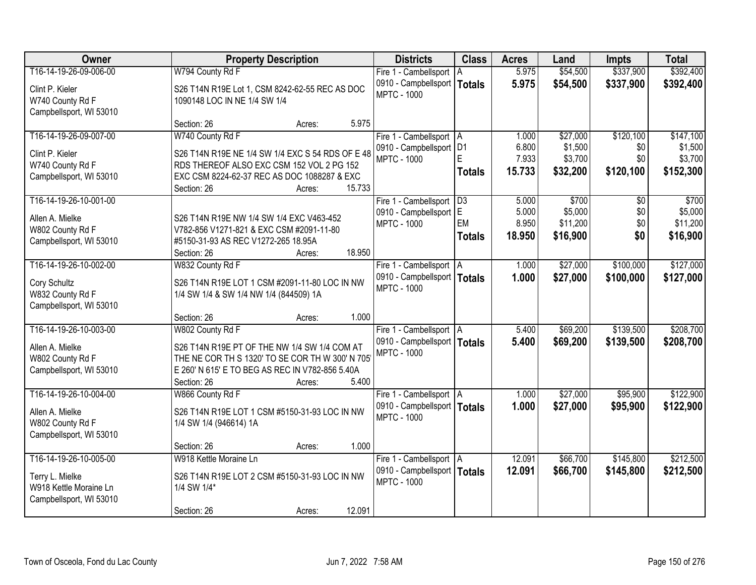| <b>Owner</b>            | <b>Property Description</b>                      | <b>Districts</b>                                    | <b>Class</b>  | <b>Acres</b> | Land     | <b>Impts</b>    | <b>Total</b> |
|-------------------------|--------------------------------------------------|-----------------------------------------------------|---------------|--------------|----------|-----------------|--------------|
| T16-14-19-26-09-006-00  | W794 County Rd F                                 | Fire 1 - Cambellsport                               | ΙA            | 5.975        | \$54,500 | \$337,900       | \$392,400    |
| Clint P. Kieler         | S26 T14N R19E Lot 1, CSM 8242-62-55 REC AS DOC   | 0910 - Campbellsport                                | <b>Totals</b> | 5.975        | \$54,500 | \$337,900       | \$392,400    |
| W740 County Rd F        | 1090148 LOC IN NE 1/4 SW 1/4                     | <b>MPTC - 1000</b>                                  |               |              |          |                 |              |
| Campbellsport, WI 53010 |                                                  |                                                     |               |              |          |                 |              |
|                         | 5.975<br>Section: 26<br>Acres:                   |                                                     |               |              |          |                 |              |
| T16-14-19-26-09-007-00  | W740 County Rd F                                 | Fire 1 - Cambellsport   A                           |               | 1.000        | \$27,000 | \$120,100       | \$147,100    |
| Clint P. Kieler         | S26 T14N R19E NE 1/4 SW 1/4 EXC S 54 RDS OF E 48 | 0910 - Campbellsport   D1                           |               | 6.800        | \$1,500  | \$0             | \$1,500      |
| W740 County Rd F        | RDS THEREOF ALSO EXC CSM 152 VOL 2 PG 152        | <b>MPTC - 1000</b>                                  | F.            | 7.933        | \$3,700  | \$0             | \$3,700      |
| Campbellsport, WI 53010 | EXC CSM 8224-62-37 REC AS DOC 1088287 & EXC      |                                                     | <b>Totals</b> | 15.733       | \$32,200 | \$120,100       | \$152,300    |
|                         | 15.733<br>Section: 26<br>Acres:                  |                                                     |               |              |          |                 |              |
| T16-14-19-26-10-001-00  |                                                  | Fire 1 - Cambellsport   D3                          |               | 5.000        | \$700    | $\overline{50}$ | \$700        |
| Allen A. Mielke         | S26 T14N R19E NW 1/4 SW 1/4 EXC V463-452         | 0910 - Campbellsport E                              | EM            | 5.000        | \$5,000  | \$0             | \$5,000      |
| W802 County Rd F        | V782-856 V1271-821 & EXC CSM #2091-11-80         | <b>MPTC - 1000</b>                                  |               | 8.950        | \$11,200 | \$0<br>\$0      | \$11,200     |
| Campbellsport, WI 53010 | #5150-31-93 AS REC V1272-265 18.95A              |                                                     | <b>Totals</b> | 18.950       | \$16,900 |                 | \$16,900     |
|                         | 18.950<br>Section: 26<br>Acres:                  |                                                     |               |              |          |                 |              |
| T16-14-19-26-10-002-00  | W832 County Rd F                                 | Fire 1 - Cambellsport   A                           |               | 1.000        | \$27,000 | \$100,000       | \$127,000    |
| Cory Schultz            | S26 T14N R19E LOT 1 CSM #2091-11-80 LOC IN NW    | 0910 - Campbellsport   Totals                       |               | 1.000        | \$27,000 | \$100,000       | \$127,000    |
| W832 County Rd F        | 1/4 SW 1/4 & SW 1/4 NW 1/4 (844509) 1A           | <b>MPTC - 1000</b>                                  |               |              |          |                 |              |
| Campbellsport, WI 53010 |                                                  |                                                     |               |              |          |                 |              |
|                         | 1.000<br>Section: 26<br>Acres:                   |                                                     |               |              |          |                 |              |
| T16-14-19-26-10-003-00  | W802 County Rd F                                 | Fire 1 - Cambellsport   A                           |               | 5.400        | \$69,200 | \$139,500       | \$208,700    |
| Allen A. Mielke         | S26 T14N R19E PT OF THE NW 1/4 SW 1/4 COM AT     | 0910 - Campbellsport   Totals<br><b>MPTC - 1000</b> |               | 5.400        | \$69,200 | \$139,500       | \$208,700    |
| W802 County Rd F        | THE NE COR TH S 1320' TO SE COR TH W 300' N 705  |                                                     |               |              |          |                 |              |
| Campbellsport, WI 53010 | E 260' N 615' E TO BEG AS REC IN V782-856 5.40A  |                                                     |               |              |          |                 |              |
|                         | 5.400<br>Section: 26<br>Acres:                   |                                                     |               |              |          |                 |              |
| T16-14-19-26-10-004-00  | W866 County Rd F                                 | Fire 1 - Cambellsport   A                           |               | 1.000        | \$27,000 | \$95,900        | \$122,900    |
| Allen A. Mielke         | S26 T14N R19E LOT 1 CSM #5150-31-93 LOC IN NW    | 0910 - Campbellsport   Totals<br><b>MPTC - 1000</b> |               | 1.000        | \$27,000 | \$95,900        | \$122,900    |
| W802 County Rd F        | 1/4 SW 1/4 (946614) 1A                           |                                                     |               |              |          |                 |              |
| Campbellsport, WI 53010 |                                                  |                                                     |               |              |          |                 |              |
|                         | 1.000<br>Section: 26<br>Acres:                   |                                                     |               |              |          |                 |              |
| T16-14-19-26-10-005-00  | W918 Kettle Moraine Ln                           | Fire 1 - Cambellsport   A                           |               | 12.091       | \$66,700 | \$145,800       | \$212,500    |
| Terry L. Mielke         | S26 T14N R19E LOT 2 CSM #5150-31-93 LOC IN NW    | 0910 - Campbellsport   Totals<br><b>MPTC - 1000</b> |               | 12.091       | \$66,700 | \$145,800       | \$212,500    |
| W918 Kettle Moraine Ln  | 1/4 SW 1/4*                                      |                                                     |               |              |          |                 |              |
| Campbellsport, WI 53010 |                                                  |                                                     |               |              |          |                 |              |
|                         | 12.091<br>Section: 26<br>Acres:                  |                                                     |               |              |          |                 |              |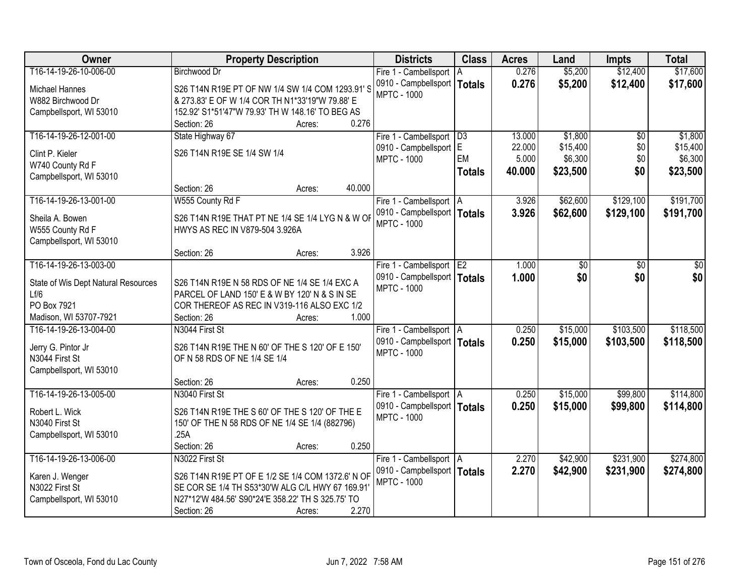| Owner                               | <b>Property Description</b>                       | <b>Districts</b>                                    | <b>Class</b>    | <b>Acres</b> | Land     | <b>Impts</b>    | <b>Total</b> |
|-------------------------------------|---------------------------------------------------|-----------------------------------------------------|-----------------|--------------|----------|-----------------|--------------|
| T16-14-19-26-10-006-00              | <b>Birchwood Dr</b>                               | Fire 1 - Cambellsport                               | l A             | 0.276        | \$5,200  | \$12,400        | \$17,600     |
| Michael Hannes                      | S26 T14N R19E PT OF NW 1/4 SW 1/4 COM 1293.91'S   | 0910 - Campbellsport   Totals                       |                 | 0.276        | \$5,200  | \$12,400        | \$17,600     |
| W882 Birchwood Dr                   | & 273.83' E OF W 1/4 COR TH N1*33'19"W 79.88' E   | <b>MPTC - 1000</b>                                  |                 |              |          |                 |              |
| Campbellsport, WI 53010             | 152.92' S1*51'47"W 79.93' TH W 148.16' TO BEG AS  |                                                     |                 |              |          |                 |              |
|                                     | 0.276<br>Section: 26<br>Acres:                    |                                                     |                 |              |          |                 |              |
| T16-14-19-26-12-001-00              | State Highway 67                                  | Fire 1 - Cambellsport                               | $\overline{D3}$ | 13.000       | \$1,800  | $\overline{50}$ | \$1,800      |
|                                     |                                                   | 0910 - Campbellsport E                              |                 | 22.000       | \$15,400 | \$0             | \$15,400     |
| Clint P. Kieler                     | S26 T14N R19E SE 1/4 SW 1/4                       | <b>MPTC - 1000</b>                                  | EM              | 5.000        | \$6,300  | \$0             | \$6,300      |
| W740 County Rd F                    |                                                   |                                                     | <b>Totals</b>   | 40.000       | \$23,500 | \$0             | \$23,500     |
| Campbellsport, WI 53010             | 40.000                                            |                                                     |                 |              |          |                 |              |
| T16-14-19-26-13-001-00              | Section: 26<br>Acres:                             |                                                     |                 | 3.926        | \$62,600 | \$129,100       | \$191,700    |
|                                     | W555 County Rd F                                  | Fire 1 - Cambellsport   A                           |                 |              |          |                 |              |
| Sheila A. Bowen                     | S26 T14N R19E THAT PT NE 1/4 SE 1/4 LYG N & W OF  | 0910 - Campbellsport   Totals<br><b>MPTC - 1000</b> |                 | 3.926        | \$62,600 | \$129,100       | \$191,700    |
| W555 County Rd F                    | HWYS AS REC IN V879-504 3.926A                    |                                                     |                 |              |          |                 |              |
| Campbellsport, WI 53010             |                                                   |                                                     |                 |              |          |                 |              |
|                                     | 3.926<br>Section: 26<br>Acres:                    |                                                     |                 |              |          |                 |              |
| T16-14-19-26-13-003-00              |                                                   | Fire 1 - Cambellsport E2                            |                 | 1.000        | \$0      | \$0             | \$0          |
| State of Wis Dept Natural Resources | S26 T14N R19E N 58 RDS OF NE 1/4 SE 1/4 EXC A     | 0910 - Campbellsport   Totals                       |                 | 1.000        | \$0      | \$0             | \$0          |
| Lf/6                                | PARCEL OF LAND 150' E & W BY 120' N & S IN SE     | <b>MPTC - 1000</b>                                  |                 |              |          |                 |              |
| PO Box 7921                         | COR THEREOF AS REC IN V319-116 ALSO EXC 1/2       |                                                     |                 |              |          |                 |              |
| Madison, WI 53707-7921              | 1.000<br>Section: 26<br>Acres:                    |                                                     |                 |              |          |                 |              |
| T16-14-19-26-13-004-00              | N3044 First St                                    |                                                     |                 | 0.250        | \$15,000 | \$103,500       | \$118,500    |
|                                     |                                                   | Fire 1 - Cambellsport   A                           |                 |              |          |                 |              |
| Jerry G. Pintor Jr                  | S26 T14N R19E THE N 60' OF THE S 120' OF E 150'   | 0910 - Campbellsport   Totals<br><b>MPTC - 1000</b> |                 | 0.250        | \$15,000 | \$103,500       | \$118,500    |
| N3044 First St                      | OF N 58 RDS OF NE 1/4 SE 1/4                      |                                                     |                 |              |          |                 |              |
| Campbellsport, WI 53010             |                                                   |                                                     |                 |              |          |                 |              |
|                                     | 0.250<br>Section: 26<br>Acres:                    |                                                     |                 |              |          |                 |              |
| T16-14-19-26-13-005-00              | N3040 First St                                    | Fire 1 - Cambellsport   A                           |                 | 0.250        | \$15,000 | \$99,800        | \$114,800    |
| Robert L. Wick                      | S26 T14N R19E THE S 60' OF THE S 120' OF THE E    | 0910 - Campbellsport   Totals                       |                 | 0.250        | \$15,000 | \$99,800        | \$114,800    |
| N3040 First St                      | 150' OF THE N 58 RDS OF NE 1/4 SE 1/4 (882796)    | <b>MPTC - 1000</b>                                  |                 |              |          |                 |              |
| Campbellsport, WI 53010             | .25A                                              |                                                     |                 |              |          |                 |              |
|                                     | 0.250<br>Section: 26<br>Acres:                    |                                                     |                 |              |          |                 |              |
| T16-14-19-26-13-006-00              | N3022 First St                                    | Fire 1 - Cambellsport   A                           |                 | 2.270        | \$42,900 | \$231,900       | \$274,800    |
|                                     |                                                   | 0910 - Campbellsport   Totals                       |                 | 2.270        | \$42,900 | \$231,900       | \$274,800    |
| Karen J. Wenger                     | S26 T14N R19E PT OF E 1/2 SE 1/4 COM 1372.6' N OF | <b>MPTC - 1000</b>                                  |                 |              |          |                 |              |
| N3022 First St                      | SE COR SE 1/4 TH S53*30'W ALG C/L HWY 67 169.91'  |                                                     |                 |              |          |                 |              |
| Campbellsport, WI 53010             | N27*12'W 484.56' S90*24'E 358.22' TH S 325.75' TO |                                                     |                 |              |          |                 |              |
|                                     | 2.270<br>Section: 26<br>Acres:                    |                                                     |                 |              |          |                 |              |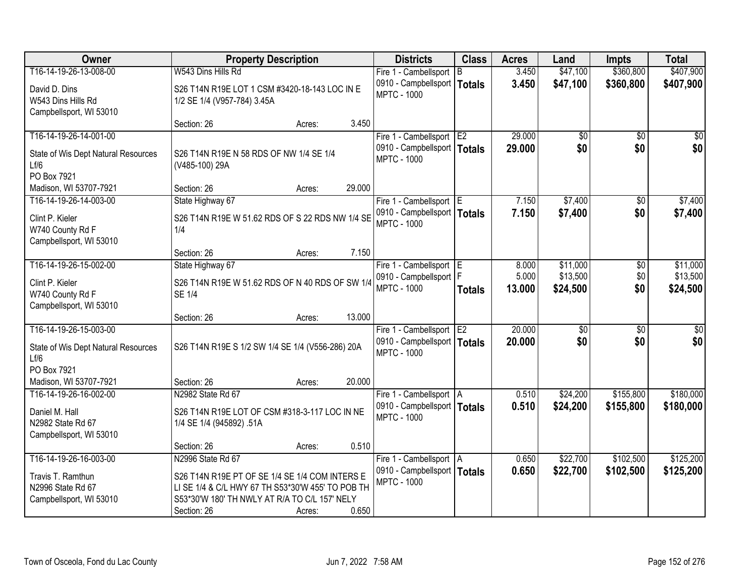| <b>Owner</b>                        |                                                   | <b>Property Description</b> |        | <b>Districts</b>              | <b>Class</b>  | <b>Acres</b> | Land            | <b>Impts</b>    | <b>Total</b> |
|-------------------------------------|---------------------------------------------------|-----------------------------|--------|-------------------------------|---------------|--------------|-----------------|-----------------|--------------|
| T16-14-19-26-13-008-00              | W543 Dins Hills Rd                                |                             |        | Fire 1 - Cambellsport         | l B           | 3.450        | \$47,100        | \$360,800       | \$407,900    |
| David D. Dins                       | S26 T14N R19E LOT 1 CSM #3420-18-143 LOC IN E     |                             |        | 0910 - Campbellsport          | <b>Totals</b> | 3.450        | \$47,100        | \$360,800       | \$407,900    |
| W543 Dins Hills Rd                  | 1/2 SE 1/4 (V957-784) 3.45A                       |                             |        | <b>MPTC - 1000</b>            |               |              |                 |                 |              |
| Campbellsport, WI 53010             |                                                   |                             |        |                               |               |              |                 |                 |              |
|                                     | Section: 26                                       | Acres:                      | 3.450  |                               |               |              |                 |                 |              |
| T16-14-19-26-14-001-00              |                                                   |                             |        | Fire 1 - Cambellsport E2      |               | 29.000       | \$0             | \$0             | \$0          |
| State of Wis Dept Natural Resources | S26 T14N R19E N 58 RDS OF NW 1/4 SE 1/4           |                             |        | 0910 - Campbellsport   Totals |               | 29.000       | \$0             | \$0             | \$0          |
| Lf/6                                | (V485-100) 29A                                    |                             |        | <b>MPTC - 1000</b>            |               |              |                 |                 |              |
| PO Box 7921                         |                                                   |                             |        |                               |               |              |                 |                 |              |
| Madison, WI 53707-7921              | Section: 26                                       | Acres:                      | 29.000 |                               |               |              |                 |                 |              |
| T16-14-19-26-14-003-00              | State Highway 67                                  |                             |        | Fire 1 - Cambellsport E       |               | 7.150        | \$7,400         | \$0             | \$7,400      |
| Clint P. Kieler                     | S26 T14N R19E W 51.62 RDS OF S 22 RDS NW 1/4 SE   |                             |        | 0910 - Campbellsport   Totals |               | 7.150        | \$7,400         | \$0             | \$7,400      |
| W740 County Rd F                    | 1/4                                               |                             |        | <b>MPTC - 1000</b>            |               |              |                 |                 |              |
| Campbellsport, WI 53010             |                                                   |                             |        |                               |               |              |                 |                 |              |
|                                     | Section: 26                                       | Acres:                      | 7.150  |                               |               |              |                 |                 |              |
| T16-14-19-26-15-002-00              | State Highway 67                                  |                             |        | Fire 1 - Cambellsport E       |               | 8.000        | \$11,000        | \$0             | \$11,000     |
| Clint P. Kieler                     | S26 T14N R19E W 51.62 RDS OF N 40 RDS OF SW 1/4   |                             |        | 0910 - Campbellsport   F      |               | 5.000        | \$13,500        | \$0             | \$13,500     |
| W740 County Rd F                    | <b>SE 1/4</b>                                     |                             |        | <b>MPTC - 1000</b>            | <b>Totals</b> | 13.000       | \$24,500        | \$0             | \$24,500     |
| Campbellsport, WI 53010             |                                                   |                             |        |                               |               |              |                 |                 |              |
|                                     | Section: 26                                       | Acres:                      | 13.000 |                               |               |              |                 |                 |              |
| T16-14-19-26-15-003-00              |                                                   |                             |        | Fire 1 - Cambellsport E2      |               | 20.000       | $\overline{50}$ | $\overline{50}$ | \$0          |
| State of Wis Dept Natural Resources | S26 T14N R19E S 1/2 SW 1/4 SE 1/4 (V556-286) 20A  |                             |        | 0910 - Campbellsport   Totals |               | 20.000       | \$0             | \$0             | \$0          |
| Lf/6                                |                                                   |                             |        | <b>MPTC - 1000</b>            |               |              |                 |                 |              |
| PO Box 7921                         |                                                   |                             |        |                               |               |              |                 |                 |              |
| Madison, WI 53707-7921              | Section: 26                                       | Acres:                      | 20.000 |                               |               |              |                 |                 |              |
| T16-14-19-26-16-002-00              | N2982 State Rd 67                                 |                             |        | Fire 1 - Cambellsport   A     |               | 0.510        | \$24,200        | \$155,800       | \$180,000    |
| Daniel M. Hall                      | S26 T14N R19E LOT OF CSM #318-3-117 LOC IN NE     |                             |        | 0910 - Campbellsport   Totals |               | 0.510        | \$24,200        | \$155,800       | \$180,000    |
| N2982 State Rd 67                   | 1/4 SE 1/4 (945892) .51A                          |                             |        | <b>MPTC - 1000</b>            |               |              |                 |                 |              |
| Campbellsport, WI 53010             |                                                   |                             |        |                               |               |              |                 |                 |              |
|                                     | Section: 26                                       | Acres:                      | 0.510  |                               |               |              |                 |                 |              |
| T16-14-19-26-16-003-00              | N2996 State Rd 67                                 |                             |        | Fire 1 - Cambellsport   A     |               | 0.650        | \$22,700        | \$102,500       | \$125,200    |
| Travis T. Ramthun                   | S26 T14N R19E PT OF SE 1/4 SE 1/4 COM INTERS E    |                             |        | 0910 - Campbellsport   Totals |               | 0.650        | \$22,700        | \$102,500       | \$125,200    |
| N2996 State Rd 67                   | LI SE 1/4 & C/L HWY 67 TH S53*30'W 455' TO POB TH |                             |        | <b>MPTC - 1000</b>            |               |              |                 |                 |              |
| Campbellsport, WI 53010             | S53*30'W 180' TH NWLY AT R/A TO C/L 157' NELY     |                             |        |                               |               |              |                 |                 |              |
|                                     | Section: 26                                       | Acres:                      | 0.650  |                               |               |              |                 |                 |              |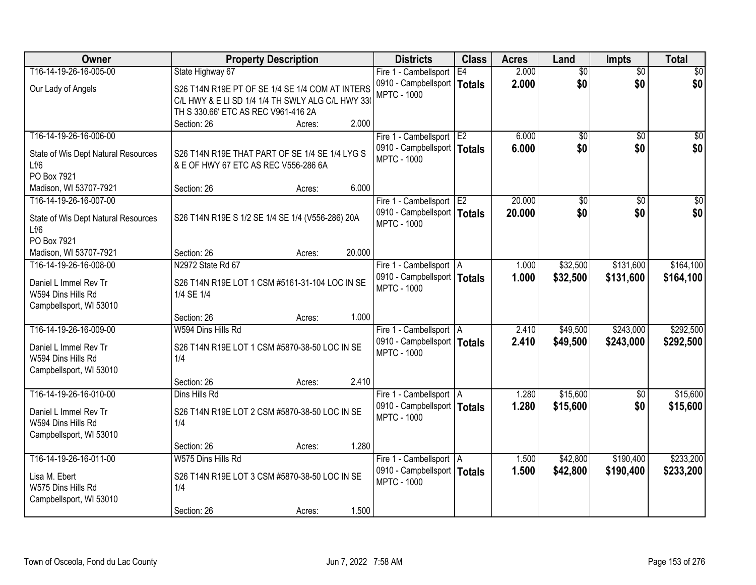| Owner                               | <b>Property Description</b>                       |        |        | <b>Districts</b>              | <b>Class</b>   | <b>Acres</b> | Land            | <b>Impts</b>    | <b>Total</b>    |
|-------------------------------------|---------------------------------------------------|--------|--------|-------------------------------|----------------|--------------|-----------------|-----------------|-----------------|
| T16-14-19-26-16-005-00              | State Highway 67                                  |        |        | Fire 1 - Cambellsport         | E4             | 2.000        | $\overline{50}$ | $\overline{50}$ | $\overline{30}$ |
| Our Lady of Angels                  | S26 T14N R19E PT OF SE 1/4 SE 1/4 COM AT INTERS   |        |        | 0910 - Campbellsport   Totals |                | 2.000        | \$0             | \$0             | \$0             |
|                                     | C/L HWY & E LI SD 1/4 1/4 TH SWLY ALG C/L HWY 330 |        |        | <b>MPTC - 1000</b>            |                |              |                 |                 |                 |
|                                     | TH S 330.66' ETC AS REC V961-416 2A               |        |        |                               |                |              |                 |                 |                 |
|                                     | Section: 26                                       | Acres: | 2.000  |                               |                |              |                 |                 |                 |
| T16-14-19-26-16-006-00              |                                                   |        |        | Fire 1 - Cambellsport         | E <sub>2</sub> | 6.000        | $\overline{50}$ | $\overline{50}$ | $\sqrt{50}$     |
| State of Wis Dept Natural Resources | S26 T14N R19E THAT PART OF SE 1/4 SE 1/4 LYG S    |        |        | 0910 - Campbellsport   Totals |                | 6.000        | \$0             | \$0             | \$0             |
| Lf/6                                | & E OF HWY 67 ETC AS REC V556-286 6A              |        |        | <b>MPTC - 1000</b>            |                |              |                 |                 |                 |
| PO Box 7921                         |                                                   |        |        |                               |                |              |                 |                 |                 |
| Madison, WI 53707-7921              | Section: 26                                       | Acres: | 6.000  |                               |                |              |                 |                 |                 |
| T16-14-19-26-16-007-00              |                                                   |        |        | Fire 1 - Cambellsport E2      |                | 20.000       | $\overline{50}$ | $\overline{50}$ | $\overline{30}$ |
| State of Wis Dept Natural Resources | S26 T14N R19E S 1/2 SE 1/4 SE 1/4 (V556-286) 20A  |        |        | 0910 - Campbellsport   Totals |                | 20.000       | \$0             | \$0             | \$0             |
| Lf/6                                |                                                   |        |        | <b>MPTC - 1000</b>            |                |              |                 |                 |                 |
| PO Box 7921                         |                                                   |        |        |                               |                |              |                 |                 |                 |
| Madison, WI 53707-7921              | Section: 26                                       | Acres: | 20.000 |                               |                |              |                 |                 |                 |
| T16-14-19-26-16-008-00              | N2972 State Rd 67                                 |        |        | Fire 1 - Cambellsport   A     |                | 1.000        | \$32,500        | \$131,600       | \$164,100       |
| Daniel L Immel Rev Tr               | S26 T14N R19E LOT 1 CSM #5161-31-104 LOC IN SE    |        |        | 0910 - Campbellsport   Totals |                | 1.000        | \$32,500        | \$131,600       | \$164,100       |
| W594 Dins Hills Rd                  | 1/4 SE 1/4                                        |        |        | <b>MPTC - 1000</b>            |                |              |                 |                 |                 |
| Campbellsport, WI 53010             |                                                   |        |        |                               |                |              |                 |                 |                 |
|                                     | Section: 26                                       | Acres: | 1.000  |                               |                |              |                 |                 |                 |
| T16-14-19-26-16-009-00              | W594 Dins Hills Rd                                |        |        | Fire 1 - Cambellsport   A     |                | 2.410        | \$49,500        | \$243,000       | \$292,500       |
| Daniel L Immel Rev Tr               | S26 T14N R19E LOT 1 CSM #5870-38-50 LOC IN SE     |        |        | 0910 - Campbellsport   Totals |                | 2.410        | \$49,500        | \$243,000       | \$292,500       |
| W594 Dins Hills Rd                  | 1/4                                               |        |        | <b>MPTC - 1000</b>            |                |              |                 |                 |                 |
| Campbellsport, WI 53010             |                                                   |        |        |                               |                |              |                 |                 |                 |
|                                     | Section: 26                                       | Acres: | 2.410  |                               |                |              |                 |                 |                 |
| T16-14-19-26-16-010-00              | Dins Hills Rd                                     |        |        | Fire 1 - Cambellsport   A     |                | 1.280        | \$15,600        | \$0             | \$15,600        |
| Daniel L Immel Rev Tr               | S26 T14N R19E LOT 2 CSM #5870-38-50 LOC IN SE     |        |        | 0910 - Campbellsport   Totals |                | 1.280        | \$15,600        | \$0             | \$15,600        |
| W594 Dins Hills Rd                  | 1/4                                               |        |        | <b>MPTC - 1000</b>            |                |              |                 |                 |                 |
| Campbellsport, WI 53010             |                                                   |        |        |                               |                |              |                 |                 |                 |
|                                     | Section: 26                                       | Acres: | 1.280  |                               |                |              |                 |                 |                 |
| T16-14-19-26-16-011-00              | W575 Dins Hills Rd                                |        |        | Fire 1 - Cambellsport A       |                | 1.500        | \$42,800        | \$190,400       | \$233,200       |
| Lisa M. Ebert                       | S26 T14N R19E LOT 3 CSM #5870-38-50 LOC IN SE     |        |        | 0910 - Campbellsport   Totals |                | 1.500        | \$42,800        | \$190,400       | \$233,200       |
| W575 Dins Hills Rd                  | 1/4                                               |        |        | <b>MPTC - 1000</b>            |                |              |                 |                 |                 |
| Campbellsport, WI 53010             |                                                   |        |        |                               |                |              |                 |                 |                 |
|                                     | Section: 26                                       | Acres: | 1.500  |                               |                |              |                 |                 |                 |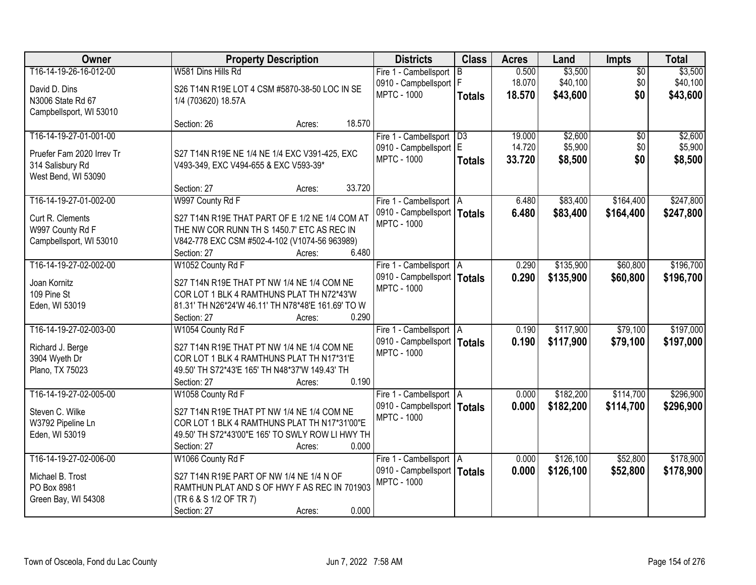| Owner                     | <b>Property Description</b>                        | <b>Districts</b>              | <b>Class</b>  | <b>Acres</b> | Land      | <b>Impts</b>    | <b>Total</b> |
|---------------------------|----------------------------------------------------|-------------------------------|---------------|--------------|-----------|-----------------|--------------|
| T16-14-19-26-16-012-00    | W581 Dins Hills Rd                                 | Fire 1 - Cambellsport         | B.            | 0.500        | \$3,500   | $\overline{50}$ | \$3,500      |
| David D. Dins             | S26 T14N R19E LOT 4 CSM #5870-38-50 LOC IN SE      | 0910 - Campbellsport   F      |               | 18.070       | \$40,100  | \$0             | \$40,100     |
| N3006 State Rd 67         | 1/4 (703620) 18.57A                                | <b>MPTC - 1000</b>            | <b>Totals</b> | 18.570       | \$43,600  | \$0             | \$43,600     |
| Campbellsport, WI 53010   |                                                    |                               |               |              |           |                 |              |
|                           | 18.570<br>Section: 26<br>Acres:                    |                               |               |              |           |                 |              |
| T16-14-19-27-01-001-00    |                                                    | Fire 1 - Cambellsport   D3    |               | 19.000       | \$2,600   | $\overline{50}$ | \$2,600      |
| Pruefer Fam 2020 Irrev Tr | S27 T14N R19E NE 1/4 NE 1/4 EXC V391-425, EXC      | 0910 - Campbellsport E        |               | 14.720       | \$5,900   | \$0             | \$5,900      |
| 314 Salisbury Rd          | V493-349, EXC V494-655 & EXC V593-39*              | <b>MPTC - 1000</b>            | <b>Totals</b> | 33.720       | \$8,500   | \$0             | \$8,500      |
| West Bend, WI 53090       |                                                    |                               |               |              |           |                 |              |
|                           | 33.720<br>Section: 27<br>Acres:                    |                               |               |              |           |                 |              |
| T16-14-19-27-01-002-00    | W997 County Rd F                                   | Fire 1 - Cambellsport   A     |               | 6.480        | \$83,400  | \$164,400       | \$247,800    |
| Curt R. Clements          | S27 T14N R19E THAT PART OF E 1/2 NE 1/4 COM AT     | 0910 - Campbellsport   Totals |               | 6.480        | \$83,400  | \$164,400       | \$247,800    |
| W997 County Rd F          | THE NW COR RUNN TH S 1450.7' ETC AS REC IN         | <b>MPTC - 1000</b>            |               |              |           |                 |              |
| Campbellsport, WI 53010   | V842-778 EXC CSM #502-4-102 (V1074-56 963989)      |                               |               |              |           |                 |              |
|                           | 6.480<br>Section: 27<br>Acres:                     |                               |               |              |           |                 |              |
| T16-14-19-27-02-002-00    | W1052 County Rd F                                  | Fire 1 - Cambellsport   A     |               | 0.290        | \$135,900 | \$60,800        | \$196,700    |
| Joan Kornitz              | S27 T14N R19E THAT PT NW 1/4 NE 1/4 COM NE         | 0910 - Campbellsport   Totals |               | 0.290        | \$135,900 | \$60,800        | \$196,700    |
| 109 Pine St               | COR LOT 1 BLK 4 RAMTHUNS PLAT TH N72*43'W          | <b>MPTC - 1000</b>            |               |              |           |                 |              |
| Eden, WI 53019            | 81.31' TH N26*24'W 46.11' TH N78*48'E 161.69' TO W |                               |               |              |           |                 |              |
|                           | 0.290<br>Section: 27<br>Acres:                     |                               |               |              |           |                 |              |
| T16-14-19-27-02-003-00    | W1054 County Rd F                                  | Fire 1 - Cambellsport   A     |               | 0.190        | \$117,900 | \$79,100        | \$197,000    |
| Richard J. Berge          | S27 T14N R19E THAT PT NW 1/4 NE 1/4 COM NE         | 0910 - Campbellsport   Totals |               | 0.190        | \$117,900 | \$79,100        | \$197,000    |
| 3904 Wyeth Dr             | COR LOT 1 BLK 4 RAMTHUNS PLAT TH N17*31'E          | <b>MPTC - 1000</b>            |               |              |           |                 |              |
| Plano, TX 75023           | 49.50' TH S72*43'E 165' TH N48*37'W 149.43' TH     |                               |               |              |           |                 |              |
|                           | 0.190<br>Section: 27<br>Acres:                     |                               |               |              |           |                 |              |
| T16-14-19-27-02-005-00    | W1058 County Rd F                                  | Fire 1 - Cambellsport   A     |               | 0.000        | \$182,200 | \$114,700       | \$296,900    |
| Steven C. Wilke           | S27 T14N R19E THAT PT NW 1/4 NE 1/4 COM NE         | 0910 - Campbellsport   Totals |               | 0.000        | \$182,200 | \$114,700       | \$296,900    |
| W3792 Pipeline Ln         | COR LOT 1 BLK 4 RAMTHUNS PLAT TH N17*31'00"E       | <b>MPTC - 1000</b>            |               |              |           |                 |              |
| Eden, WI 53019            | 49.50' TH S72*43'00"E 165' TO SWLY ROW LI HWY TH   |                               |               |              |           |                 |              |
|                           | 0.000<br>Section: 27<br>Acres:                     |                               |               |              |           |                 |              |
| T16-14-19-27-02-006-00    | W1066 County Rd F                                  | Fire 1 - Cambellsport   A     |               | 0.000        | \$126,100 | \$52,800        | \$178,900    |
| Michael B. Trost          | S27 T14N R19E PART OF NW 1/4 NE 1/4 N OF           | 0910 - Campbellsport   Totals |               | 0.000        | \$126,100 | \$52,800        | \$178,900    |
| PO Box 8981               | RAMTHUN PLAT AND S OF HWY F AS REC IN 701903       | <b>MPTC - 1000</b>            |               |              |           |                 |              |
| Green Bay, WI 54308       | (TR 6 & S 1/2 OF TR 7)                             |                               |               |              |           |                 |              |
|                           | 0.000<br>Section: 27<br>Acres:                     |                               |               |              |           |                 |              |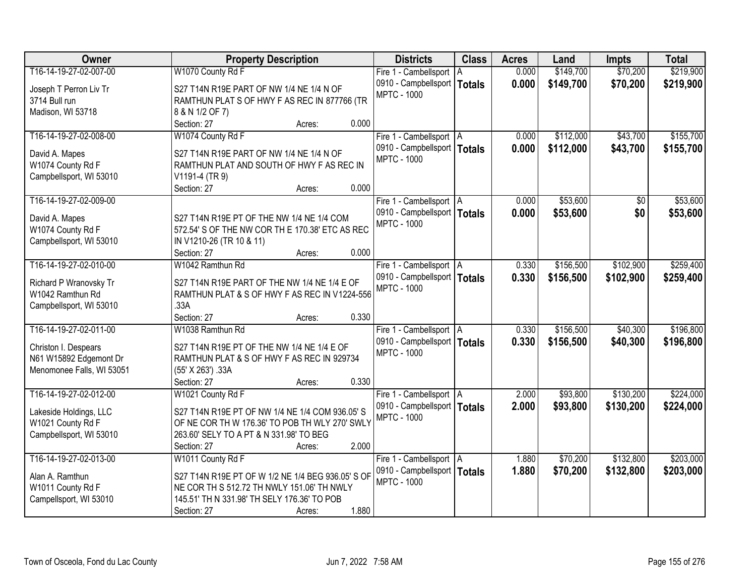| Owner                     | <b>Property Description</b>                       | <b>Districts</b>              | <b>Class</b>  | <b>Acres</b> | Land      | <b>Impts</b> | <b>Total</b> |
|---------------------------|---------------------------------------------------|-------------------------------|---------------|--------------|-----------|--------------|--------------|
| T16-14-19-27-02-007-00    | W1070 County Rd F                                 | Fire 1 - Cambellsport   A     |               | 0.000        | \$149,700 | \$70,200     | \$219,900    |
| Joseph T Perron Liv Tr    | S27 T14N R19E PART OF NW 1/4 NE 1/4 N OF          | 0910 - Campbellsport          | <b>Totals</b> | 0.000        | \$149,700 | \$70,200     | \$219,900    |
| 3714 Bull run             | RAMTHUN PLAT S OF HWY F AS REC IN 877766 (TR      | <b>MPTC - 1000</b>            |               |              |           |              |              |
| Madison, WI 53718         | 8 & N 1/2 OF 7)                                   |                               |               |              |           |              |              |
|                           | 0.000<br>Section: 27<br>Acres:                    |                               |               |              |           |              |              |
| T16-14-19-27-02-008-00    | W1074 County Rd F                                 | Fire 1 - Cambellsport   A     |               | 0.000        | \$112,000 | \$43,700     | \$155,700    |
|                           |                                                   | 0910 - Campbellsport   Totals |               | 0.000        | \$112,000 | \$43,700     | \$155,700    |
| David A. Mapes            | S27 T14N R19E PART OF NW 1/4 NE 1/4 N OF          | <b>MPTC - 1000</b>            |               |              |           |              |              |
| W1074 County Rd F         | RAMTHUN PLAT AND SOUTH OF HWY F AS REC IN         |                               |               |              |           |              |              |
| Campbellsport, WI 53010   | V1191-4 (TR 9)                                    |                               |               |              |           |              |              |
|                           | Section: 27<br>0.000<br>Acres:                    |                               |               |              |           |              |              |
| T16-14-19-27-02-009-00    |                                                   | Fire 1 - Cambellsport   A     |               | 0.000        | \$53,600  | \$0          | \$53,600     |
| David A. Mapes            | S27 T14N R19E PT OF THE NW 1/4 NE 1/4 COM         | 0910 - Campbellsport   Totals |               | 0.000        | \$53,600  | \$0          | \$53,600     |
| W1074 County Rd F         | 572.54' S OF THE NW COR TH E 170.38' ETC AS REC   | <b>MPTC - 1000</b>            |               |              |           |              |              |
| Campbellsport, WI 53010   | IN V1210-26 (TR 10 & 11)                          |                               |               |              |           |              |              |
|                           | 0.000<br>Section: 27<br>Acres:                    |                               |               |              |           |              |              |
| T16-14-19-27-02-010-00    | W1042 Ramthun Rd                                  | Fire 1 - Cambellsport   A     |               | 0.330        | \$156,500 | \$102,900    | \$259,400    |
|                           |                                                   | 0910 - Campbellsport   Totals |               | 0.330        | \$156,500 | \$102,900    | \$259,400    |
| Richard P Wranovsky Tr    | S27 T14N R19E PART OF THE NW 1/4 NE 1/4 E OF      | <b>MPTC - 1000</b>            |               |              |           |              |              |
| W1042 Ramthun Rd          | RAMTHUN PLAT & S OF HWY F AS REC IN V1224-556     |                               |               |              |           |              |              |
| Campbellsport, WI 53010   | .33A                                              |                               |               |              |           |              |              |
|                           | 0.330<br>Section: 27<br>Acres:                    |                               |               |              |           |              |              |
| T16-14-19-27-02-011-00    | W1038 Ramthun Rd                                  | Fire 1 - Cambellsport   A     |               | 0.330        | \$156,500 | \$40,300     | \$196,800    |
| Christon I. Despears      | S27 T14N R19E PT OF THE NW 1/4 NE 1/4 E OF        | 0910 - Campbellsport   Totals |               | 0.330        | \$156,500 | \$40,300     | \$196,800    |
| N61 W15892 Edgemont Dr    | RAMTHUN PLAT & S OF HWY F AS REC IN 929734        | <b>MPTC - 1000</b>            |               |              |           |              |              |
| Menomonee Falls, WI 53051 | (55' X 263') .33A                                 |                               |               |              |           |              |              |
|                           | 0.330<br>Section: 27<br>Acres:                    |                               |               |              |           |              |              |
| T16-14-19-27-02-012-00    | W1021 County Rd F                                 | Fire 1 - Cambellsport   A     |               | 2.000        | \$93,800  | \$130,200    | \$224,000    |
|                           |                                                   | 0910 - Campbellsport   Totals |               | 2.000        | \$93,800  | \$130,200    | \$224,000    |
| Lakeside Holdings, LLC    | S27 T14N R19E PT OF NW 1/4 NE 1/4 COM 936.05' S   | <b>MPTC - 1000</b>            |               |              |           |              |              |
| W1021 County Rd F         | OF NE COR TH W 176.36' TO POB TH WLY 270' SWLY    |                               |               |              |           |              |              |
| Campbellsport, WI 53010   | 263.60' SELY TO A PT & N 331.98' TO BEG           |                               |               |              |           |              |              |
|                           | 2.000<br>Section: 27<br>Acres:                    |                               |               |              |           |              |              |
| T16-14-19-27-02-013-00    | W1011 County Rd F                                 | Fire 1 - Cambellsport   A     |               | 1.880        | \$70,200  | \$132,800    | \$203,000    |
| Alan A. Ramthun           | S27 T14N R19E PT OF W 1/2 NE 1/4 BEG 936.05' S OF | 0910 - Campbellsport   Totals |               | 1.880        | \$70,200  | \$132,800    | \$203,000    |
| W1011 County Rd F         | NE COR TH S 512.72 TH NWLY 151.06' TH NWLY        | <b>MPTC - 1000</b>            |               |              |           |              |              |
| Campellsport, WI 53010    | 145.51' TH N 331.98' TH SELY 176.36' TO POB       |                               |               |              |           |              |              |
|                           | 1.880<br>Section: 27<br>Acres:                    |                               |               |              |           |              |              |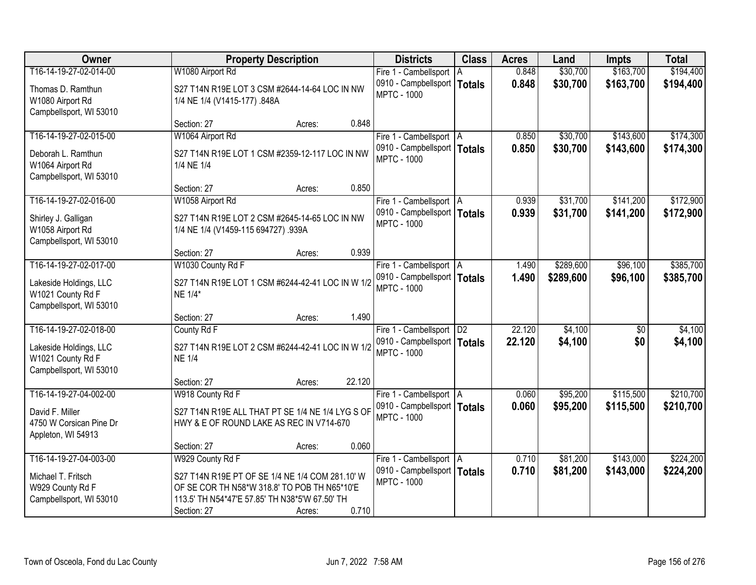| Owner                                                                  |                                                                                      | <b>Property Description</b>                      |        | <b>Districts</b>                                           | <b>Class</b>  | <b>Acres</b> | Land      | <b>Impts</b>    | <b>Total</b> |
|------------------------------------------------------------------------|--------------------------------------------------------------------------------------|--------------------------------------------------|--------|------------------------------------------------------------|---------------|--------------|-----------|-----------------|--------------|
| T16-14-19-27-02-014-00                                                 | W1080 Airport Rd                                                                     |                                                  |        | Fire 1 - Cambellsport   A                                  |               | 0.848        | \$30,700  | \$163,700       | \$194,400    |
| Thomas D. Ramthun<br>W1080 Airport Rd                                  | 1/4 NE 1/4 (V1415-177) .848A                                                         | S27 T14N R19E LOT 3 CSM #2644-14-64 LOC IN NW    |        | 0910 - Campbellsport  <br><b>MPTC - 1000</b>               | <b>Totals</b> | 0.848        | \$30,700  | \$163,700       | \$194,400    |
| Campbellsport, WI 53010                                                | Section: 27                                                                          | Acres:                                           | 0.848  |                                                            |               |              |           |                 |              |
| T16-14-19-27-02-015-00                                                 | W1064 Airport Rd                                                                     |                                                  |        | Fire 1 - Cambellsport   A                                  |               | 0.850        | \$30,700  | \$143,600       | \$174,300    |
|                                                                        |                                                                                      |                                                  |        | 0910 - Campbellsport   Totals                              |               | 0.850        | \$30,700  | \$143,600       | \$174,300    |
| Deborah L. Ramthun<br>W1064 Airport Rd                                 | S27 T14N R19E LOT 1 CSM #2359-12-117 LOC IN NW<br>1/4 NE 1/4                         |                                                  |        | <b>MPTC - 1000</b>                                         |               |              |           |                 |              |
| Campbellsport, WI 53010                                                | Section: 27                                                                          | Acres:                                           | 0.850  |                                                            |               |              |           |                 |              |
| T16-14-19-27-02-016-00                                                 | W1058 Airport Rd                                                                     |                                                  |        | Fire 1 - Cambellsport   A                                  |               | 0.939        | \$31,700  | \$141,200       | \$172,900    |
| Shirley J. Galligan<br>W1058 Airport Rd                                | S27 T14N R19E LOT 2 CSM #2645-14-65 LOC IN NW<br>1/4 NE 1/4 (V1459-115 694727) .939A |                                                  |        | 0910 - Campbellsport   Totals<br><b>MPTC - 1000</b>        |               | 0.939        | \$31,700  | \$141,200       | \$172,900    |
| Campbellsport, WI 53010                                                |                                                                                      |                                                  |        |                                                            |               |              |           |                 |              |
| T16-14-19-27-02-017-00                                                 | Section: 27<br>W1030 County Rd F                                                     | Acres:                                           | 0.939  |                                                            |               | 1.490        | \$289,600 | \$96,100        | \$385,700    |
|                                                                        |                                                                                      |                                                  |        | Fire 1 - Cambellsport   A<br>0910 - Campbellsport   Totals |               | 1.490        | \$289,600 | \$96,100        | \$385,700    |
| Lakeside Holdings, LLC<br>W1021 County Rd F<br>Campbellsport, WI 53010 | NE 1/4*                                                                              | S27 T14N R19E LOT 1 CSM #6244-42-41 LOC IN W 1/2 |        | <b>MPTC - 1000</b>                                         |               |              |           |                 |              |
|                                                                        | Section: 27                                                                          | Acres:                                           | 1.490  |                                                            |               |              |           |                 |              |
| T16-14-19-27-02-018-00                                                 | County Rd F                                                                          |                                                  |        | Fire 1 - Cambellsport   D2                                 |               | 22.120       | \$4,100   | $\overline{50}$ | \$4,100      |
| Lakeside Holdings, LLC<br>W1021 County Rd F<br>Campbellsport, WI 53010 | S27 T14N R19E LOT 2 CSM #6244-42-41 LOC IN W 1/2<br><b>NE 1/4</b>                    |                                                  |        | 0910 - Campbellsport   Totals<br><b>MPTC - 1000</b>        |               | 22.120       | \$4,100   | \$0             | \$4,100      |
|                                                                        | Section: 27                                                                          | Acres:                                           | 22.120 |                                                            |               |              |           |                 |              |
| T16-14-19-27-04-002-00                                                 | W918 County Rd F                                                                     |                                                  |        | Fire 1 - Cambellsport A                                    |               | 0.060        | \$95,200  | \$115,500       | \$210,700    |
| David F. Miller                                                        | S27 T14N R19E ALL THAT PT SE 1/4 NE 1/4 LYG S OF                                     |                                                  |        | 0910 - Campbellsport   Totals                              |               | 0.060        | \$95,200  | \$115,500       | \$210,700    |
| 4750 W Corsican Pine Dr<br>Appleton, WI 54913                          | HWY & E OF ROUND LAKE AS REC IN V714-670                                             |                                                  |        | <b>MPTC - 1000</b>                                         |               |              |           |                 |              |
|                                                                        | Section: 27                                                                          | Acres:                                           | 0.060  |                                                            |               |              |           |                 |              |
| T16-14-19-27-04-003-00                                                 | W929 County Rd F                                                                     |                                                  |        | Fire 1 - Cambellsport   A                                  |               | 0.710        | \$81,200  | \$143,000       | \$224,200    |
| Michael T. Fritsch                                                     |                                                                                      | S27 T14N R19E PT OF SE 1/4 NE 1/4 COM 281.10' W  |        | 0910 - Campbellsport   Totals                              |               | 0.710        | \$81,200  | \$143,000       | \$224,200    |
| W929 County Rd F                                                       | OF SE COR TH N58*W 318.8' TO POB TH N65*10'E                                         |                                                  |        | <b>MPTC - 1000</b>                                         |               |              |           |                 |              |
| Campbellsport, WI 53010                                                | 113.5' TH N54*47'E 57.85' TH N38*5'W 67.50' TH                                       |                                                  |        |                                                            |               |              |           |                 |              |
|                                                                        | Section: 27                                                                          | Acres:                                           | 0.710  |                                                            |               |              |           |                 |              |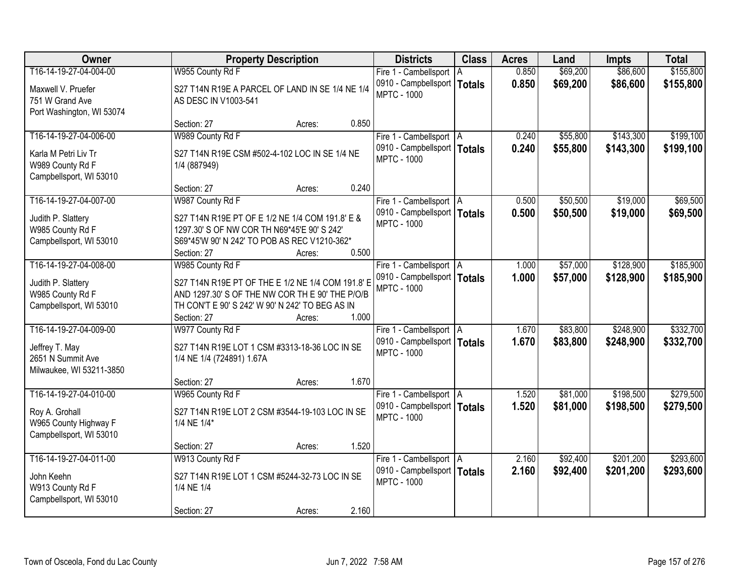| Owner                                       |                                                                                                    | <b>Property Description</b> |       | <b>Districts</b>                             | <b>Class</b>  | <b>Acres</b> | Land     | <b>Impts</b> | <b>Total</b> |
|---------------------------------------------|----------------------------------------------------------------------------------------------------|-----------------------------|-------|----------------------------------------------|---------------|--------------|----------|--------------|--------------|
| T16-14-19-27-04-004-00                      | W955 County Rd F                                                                                   |                             |       | Fire 1 - Cambellsport   A                    |               | 0.850        | \$69,200 | \$86,600     | \$155,800    |
| Maxwell V. Pruefer<br>751 W Grand Ave       | S27 T14N R19E A PARCEL OF LAND IN SE 1/4 NE 1/4<br>AS DESC IN V1003-541                            |                             |       | 0910 - Campbellsport  <br><b>MPTC - 1000</b> | <b>Totals</b> | 0.850        | \$69,200 | \$86,600     | \$155,800    |
| Port Washington, WI 53074                   |                                                                                                    |                             |       |                                              |               |              |          |              |              |
|                                             | Section: 27                                                                                        | Acres:                      | 0.850 |                                              |               |              |          |              |              |
| T16-14-19-27-04-006-00                      | W989 County Rd F                                                                                   |                             |       | Fire 1 - Cambellsport   A                    |               | 0.240        | \$55,800 | \$143,300    | \$199,100    |
| Karla M Petri Liv Tr                        | S27 T14N R19E CSM #502-4-102 LOC IN SE 1/4 NE                                                      |                             |       | 0910 - Campbellsport   Totals                |               | 0.240        | \$55,800 | \$143,300    | \$199,100    |
| W989 County Rd F                            | 1/4 (887949)                                                                                       |                             |       | <b>MPTC - 1000</b>                           |               |              |          |              |              |
| Campbellsport, WI 53010                     |                                                                                                    |                             |       |                                              |               |              |          |              |              |
|                                             | Section: 27                                                                                        | Acres:                      | 0.240 |                                              |               |              |          |              |              |
| T16-14-19-27-04-007-00                      | W987 County Rd F                                                                                   |                             |       | Fire 1 - Cambellsport   A                    |               | 0.500        | \$50,500 | \$19,000     | \$69,500     |
| Judith P. Slattery                          | S27 T14N R19E PT OF E 1/2 NE 1/4 COM 191.8' E &                                                    |                             |       | 0910 - Campbellsport   Totals                |               | 0.500        | \$50,500 | \$19,000     | \$69,500     |
| W985 County Rd F                            | 1297.30' S OF NW COR TH N69*45'E 90' S 242'                                                        |                             |       | <b>MPTC - 1000</b>                           |               |              |          |              |              |
| Campbellsport, WI 53010                     | S69*45'W 90' N 242' TO POB AS REC V1210-362*                                                       |                             |       |                                              |               |              |          |              |              |
|                                             | Section: 27                                                                                        | Acres:                      | 0.500 |                                              |               |              |          |              |              |
| T16-14-19-27-04-008-00                      | W985 County Rd F                                                                                   |                             |       | Fire 1 - Cambellsport   A                    |               | 1.000        | \$57,000 | \$128,900    | \$185,900    |
|                                             |                                                                                                    |                             |       | 0910 - Campbellsport   Totals                |               | 1.000        | \$57,000 | \$128,900    | \$185,900    |
| Judith P. Slattery                          | S27 T14N R19E PT OF THE E 1/2 NE 1/4 COM 191.8' E                                                  |                             |       | <b>MPTC - 1000</b>                           |               |              |          |              |              |
| W985 County Rd F<br>Campbellsport, WI 53010 | AND 1297.30' S OF THE NW COR TH E 90' THE P/O/B<br>TH CON'T E 90' S 242' W 90' N 242' TO BEG AS IN |                             |       |                                              |               |              |          |              |              |
|                                             | Section: 27                                                                                        | Acres:                      | 1.000 |                                              |               |              |          |              |              |
| T16-14-19-27-04-009-00                      | W977 County Rd F                                                                                   |                             |       | Fire 1 - Cambellsport   A                    |               | 1.670        | \$83,800 | \$248,900    | \$332,700    |
|                                             |                                                                                                    |                             |       | 0910 - Campbellsport   Totals                |               | 1.670        | \$83,800 | \$248,900    | \$332,700    |
| Jeffrey T. May                              | S27 T14N R19E LOT 1 CSM #3313-18-36 LOC IN SE                                                      |                             |       | <b>MPTC - 1000</b>                           |               |              |          |              |              |
| 2651 N Summit Ave                           | 1/4 NE 1/4 (724891) 1.67A                                                                          |                             |       |                                              |               |              |          |              |              |
| Milwaukee, WI 53211-3850                    |                                                                                                    |                             |       |                                              |               |              |          |              |              |
|                                             | Section: 27                                                                                        | Acres:                      | 1.670 |                                              |               |              |          |              |              |
| T16-14-19-27-04-010-00                      | W965 County Rd F                                                                                   |                             |       | Fire 1 - Cambellsport A                      |               | 1.520        | \$81,000 | \$198,500    | \$279,500    |
| Roy A. Grohall                              | S27 T14N R19E LOT 2 CSM #3544-19-103 LOC IN SE                                                     |                             |       | 0910 - Campbellsport   Totals                |               | 1.520        | \$81,000 | \$198,500    | \$279,500    |
| W965 County Highway F                       | 1/4 NE 1/4*                                                                                        |                             |       | <b>MPTC - 1000</b>                           |               |              |          |              |              |
| Campbellsport, WI 53010                     |                                                                                                    |                             |       |                                              |               |              |          |              |              |
|                                             | Section: 27                                                                                        | Acres:                      | 1.520 |                                              |               |              |          |              |              |
| T16-14-19-27-04-011-00                      | W913 County Rd F                                                                                   |                             |       | Fire 1 - Cambellsport   A                    |               | 2.160        | \$92,400 | \$201,200    | \$293,600    |
| John Keehn                                  | S27 T14N R19E LOT 1 CSM #5244-32-73 LOC IN SE                                                      |                             |       | 0910 - Campbellsport   Totals                |               | 2.160        | \$92,400 | \$201,200    | \$293,600    |
| W913 County Rd F                            | 1/4 NE 1/4                                                                                         |                             |       | <b>MPTC - 1000</b>                           |               |              |          |              |              |
| Campbellsport, WI 53010                     |                                                                                                    |                             |       |                                              |               |              |          |              |              |
|                                             | Section: 27                                                                                        | Acres:                      | 2.160 |                                              |               |              |          |              |              |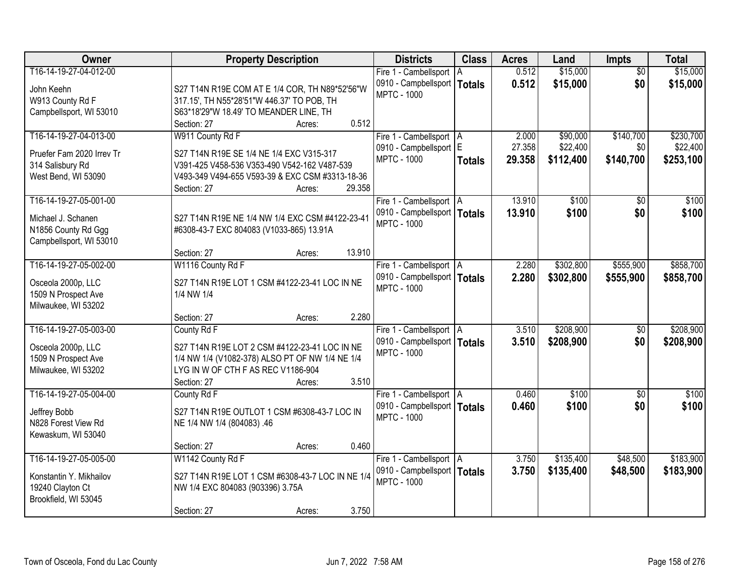| Owner                                     | <b>Property Description</b>                      | <b>Districts</b>                                    | <b>Class</b>  | <b>Acres</b> | Land      | <b>Impts</b>      | <b>Total</b> |
|-------------------------------------------|--------------------------------------------------|-----------------------------------------------------|---------------|--------------|-----------|-------------------|--------------|
| T16-14-19-27-04-012-00                    |                                                  | Fire 1 - Cambellsport                               | I A           | 0.512        | \$15,000  | $\overline{50}$   | \$15,000     |
| John Keehn                                | S27 T14N R19E COM AT E 1/4 COR, TH N89*52'56"W   | 0910 - Campbellsport   Totals                       |               | 0.512        | \$15,000  | \$0               | \$15,000     |
| W913 County Rd F                          | 317.15', TH N55*28'51"W 446.37' TO POB, TH       | <b>MPTC - 1000</b>                                  |               |              |           |                   |              |
| Campbellsport, WI 53010                   | S63*18'29"W 18.49' TO MEANDER LINE, TH           |                                                     |               |              |           |                   |              |
|                                           | 0.512<br>Section: 27<br>Acres:                   |                                                     |               |              |           |                   |              |
| T16-14-19-27-04-013-00                    | W911 County Rd F                                 | Fire 1 - Cambellsport   A                           |               | 2.000        | \$90,000  | \$140,700         | \$230,700    |
| Pruefer Fam 2020 Irrev Tr                 | S27 T14N R19E SE 1/4 NE 1/4 EXC V315-317         | 0910 - Campbellsport E                              |               | 27.358       | \$22,400  | \$0               | \$22,400     |
| 314 Salisbury Rd                          | V391-425 V458-536 V353-490 V542-162 V487-539     | <b>MPTC - 1000</b>                                  | <b>Totals</b> | 29.358       | \$112,400 | \$140,700         | \$253,100    |
| West Bend, WI 53090                       | V493-349 V494-655 V593-39 & EXC CSM #3313-18-36  |                                                     |               |              |           |                   |              |
|                                           | 29.358<br>Section: 27<br>Acres:                  |                                                     |               |              |           |                   |              |
| T16-14-19-27-05-001-00                    |                                                  | Fire 1 - Cambellsport   A                           |               | 13.910       | \$100     | \$0               | \$100        |
| Michael J. Schanen                        | S27 T14N R19E NE 1/4 NW 1/4 EXC CSM #4122-23-41  | 0910 - Campbellsport   Totals                       |               | 13.910       | \$100     | \$0               | \$100        |
| N1856 County Rd Ggg                       | #6308-43-7 EXC 804083 (V1033-865) 13.91A         | <b>MPTC - 1000</b>                                  |               |              |           |                   |              |
| Campbellsport, WI 53010                   |                                                  |                                                     |               |              |           |                   |              |
|                                           | 13.910<br>Section: 27<br>Acres:                  |                                                     |               |              |           |                   |              |
| T16-14-19-27-05-002-00                    | W1116 County Rd F                                | Fire 1 - Cambellsport   A                           |               | 2.280        | \$302,800 | \$555,900         | \$858,700    |
|                                           | S27 T14N R19E LOT 1 CSM #4122-23-41 LOC IN NE    | 0910 - Campbellsport   Totals                       |               | 2.280        | \$302,800 | \$555,900         | \$858,700    |
| Osceola 2000p, LLC<br>1509 N Prospect Ave | 1/4 NW 1/4                                       | <b>MPTC - 1000</b>                                  |               |              |           |                   |              |
| Milwaukee, WI 53202                       |                                                  |                                                     |               |              |           |                   |              |
|                                           | 2.280<br>Section: 27<br>Acres:                   |                                                     |               |              |           |                   |              |
| T16-14-19-27-05-003-00                    | County Rd F                                      | Fire 1 - Cambellsport   A                           |               | 3.510        | \$208,900 | $\overline{50}$   | \$208,900    |
|                                           |                                                  | 0910 - Campbellsport   Totals                       |               | 3.510        | \$208,900 | \$0               | \$208,900    |
| Osceola 2000p, LLC                        | S27 T14N R19E LOT 2 CSM #4122-23-41 LOC IN NE    | <b>MPTC - 1000</b>                                  |               |              |           |                   |              |
| 1509 N Prospect Ave                       | 1/4 NW 1/4 (V1082-378) ALSO PT OF NW 1/4 NE 1/4  |                                                     |               |              |           |                   |              |
| Milwaukee, WI 53202                       | LYG IN W OF CTH F AS REC V1186-904               |                                                     |               |              |           |                   |              |
| T16-14-19-27-05-004-00                    | 3.510<br>Section: 27<br>Acres:                   |                                                     |               | 0.460        |           |                   | \$100        |
|                                           | County Rd F                                      | Fire 1 - Cambellsport   A                           |               | 0.460        | \$100     | $\sqrt{6}$<br>\$0 |              |
| Jeffrey Bobb                              | S27 T14N R19E OUTLOT 1 CSM #6308-43-7 LOC IN     | 0910 - Campbellsport   Totals<br><b>MPTC - 1000</b> |               |              | \$100     |                   | \$100        |
| N828 Forest View Rd                       | NE 1/4 NW 1/4 (804083) .46                       |                                                     |               |              |           |                   |              |
| Kewaskum, WI 53040                        |                                                  |                                                     |               |              |           |                   |              |
|                                           | 0.460<br>Section: 27<br>Acres:                   |                                                     |               |              |           |                   |              |
| T16-14-19-27-05-005-00                    | W1142 County Rd F                                | Fire 1 - Cambellsport   A                           |               | 3.750        | \$135,400 | \$48,500          | \$183,900    |
| Konstantin Y. Mikhailov                   | S27 T14N R19E LOT 1 CSM #6308-43-7 LOC IN NE 1/4 | 0910 - Campbellsport   Totals                       |               | 3.750        | \$135,400 | \$48,500          | \$183,900    |
| 19240 Clayton Ct                          | NW 1/4 EXC 804083 (903396) 3.75A                 | <b>MPTC - 1000</b>                                  |               |              |           |                   |              |
| Brookfield, WI 53045                      |                                                  |                                                     |               |              |           |                   |              |
|                                           | 3.750<br>Section: 27<br>Acres:                   |                                                     |               |              |           |                   |              |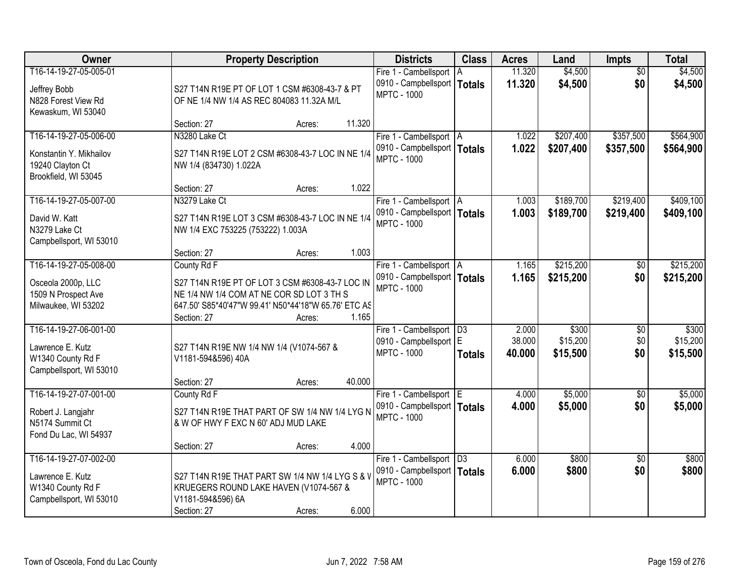| Owner                                                                                         | <b>Property Description</b>                                                                                                                                                                           | <b>Districts</b>                                                                  | <b>Class</b>        | <b>Acres</b>              | Land                          | <b>Impts</b>                  | <b>Total</b>                  |
|-----------------------------------------------------------------------------------------------|-------------------------------------------------------------------------------------------------------------------------------------------------------------------------------------------------------|-----------------------------------------------------------------------------------|---------------------|---------------------------|-------------------------------|-------------------------------|-------------------------------|
| T16-14-19-27-05-005-01<br>Jeffrey Bobb<br>N828 Forest View Rd<br>Kewaskum, WI 53040           | S27 T14N R19E PT OF LOT 1 CSM #6308-43-7 & PT<br>OF NE 1/4 NW 1/4 AS REC 804083 11.32A M/L                                                                                                            | Fire 1 - Cambellsport<br>0910 - Campbellsport   Totals<br><b>MPTC - 1000</b>      | l A                 | 11.320<br>11.320          | \$4,500<br>\$4,500            | $\overline{30}$<br>\$0        | \$4,500<br>\$4,500            |
|                                                                                               | 11.320<br>Section: 27<br>Acres:                                                                                                                                                                       |                                                                                   |                     |                           |                               |                               |                               |
| T16-14-19-27-05-006-00<br>Konstantin Y. Mikhailov<br>19240 Clayton Ct<br>Brookfield, WI 53045 | N3280 Lake Ct<br>S27 T14N R19E LOT 2 CSM #6308-43-7 LOC IN NE 1/4<br>NW 1/4 (834730) 1.022A                                                                                                           | Fire 1 - Cambellsport   A<br>0910 - Campbellsport   Totals<br><b>MPTC - 1000</b>  |                     | 1.022<br>1.022            | \$207,400<br>\$207,400        | \$357,500<br>\$357,500        | \$564,900<br>\$564,900        |
| T16-14-19-27-05-007-00                                                                        | 1.022<br>Section: 27<br>Acres:<br>N3279 Lake Ct                                                                                                                                                       |                                                                                   |                     | 1.003                     | \$189,700                     | \$219,400                     | \$409,100                     |
| David W. Katt<br>N3279 Lake Ct<br>Campbellsport, WI 53010                                     | S27 T14N R19E LOT 3 CSM #6308-43-7 LOC IN NE 1/4<br>NW 1/4 EXC 753225 (753222) 1.003A                                                                                                                 | Fire 1 - Cambellsport   A<br>0910 - Campbellsport   Totals<br><b>MPTC - 1000</b>  |                     | 1.003                     | \$189,700                     | \$219,400                     | \$409,100                     |
|                                                                                               | 1.003<br>Section: 27<br>Acres:                                                                                                                                                                        |                                                                                   |                     |                           |                               |                               |                               |
| T16-14-19-27-05-008-00<br>Osceola 2000p, LLC<br>1509 N Prospect Ave<br>Milwaukee, WI 53202    | County Rd F<br>S27 T14N R19E PT OF LOT 3 CSM #6308-43-7 LOC IN<br>NE 1/4 NW 1/4 COM AT NE COR SD LOT 3 TH S<br>647.50' S85*40'47"W 99.41' N50*44'18"W 65.76' ETC AS<br>1.165<br>Section: 27<br>Acres: | Fire 1 - Cambellsport   A<br>0910 - Campbellsport   Totals<br><b>MPTC - 1000</b>  |                     | 1.165<br>1.165            | \$215,200<br>\$215,200        | $\sqrt[6]{}$<br>\$0           | \$215,200<br>\$215,200        |
| T16-14-19-27-06-001-00<br>Lawrence E. Kutz<br>W1340 County Rd F<br>Campbellsport, WI 53010    | S27 T14N R19E NW 1/4 NW 1/4 (V1074-567 &<br>V1181-594&596) 40A<br>40.000<br>Section: 27<br>Acres:                                                                                                     | Fire 1 - Cambellsport<br>0910 - Campbellsport E<br><b>MPTC - 1000</b>             | D3<br><b>Totals</b> | 2.000<br>38.000<br>40.000 | \$300<br>\$15,200<br>\$15,500 | $\overline{50}$<br>\$0<br>\$0 | \$300<br>\$15,200<br>\$15,500 |
| T16-14-19-27-07-001-00<br>Robert J. Langjahr<br>N5174 Summit Ct<br>Fond Du Lac, WI 54937      | County Rd F<br>S27 T14N R19E THAT PART OF SW 1/4 NW 1/4 LYG N<br>& W OF HWY F EXC N 60' ADJ MUD LAKE<br>4.000<br>Section: 27<br>Acres:                                                                | Fire 1 - Cambellsport E<br>0910 - Campbellsport   Totals<br><b>MPTC - 1000</b>    |                     | 4.000<br>4.000            | \$5,000<br>\$5,000            | $\overline{50}$<br>\$0        | \$5,000<br>\$5,000            |
| T16-14-19-27-07-002-00<br>Lawrence E. Kutz<br>W1340 County Rd F<br>Campbellsport, WI 53010    | S27 T14N R19E THAT PART SW 1/4 NW 1/4 LYG S & V<br>KRUEGERS ROUND LAKE HAVEN (V1074-567 &<br>V1181-594&596) 6A<br>6.000<br>Section: 27<br>Acres:                                                      | Fire 1 - Cambellsport   D3<br>0910 - Campbellsport   Totals<br><b>MPTC - 1000</b> |                     | 6.000<br>6.000            | \$800<br>\$800                | $\overline{50}$<br>\$0        | \$800<br>\$800                |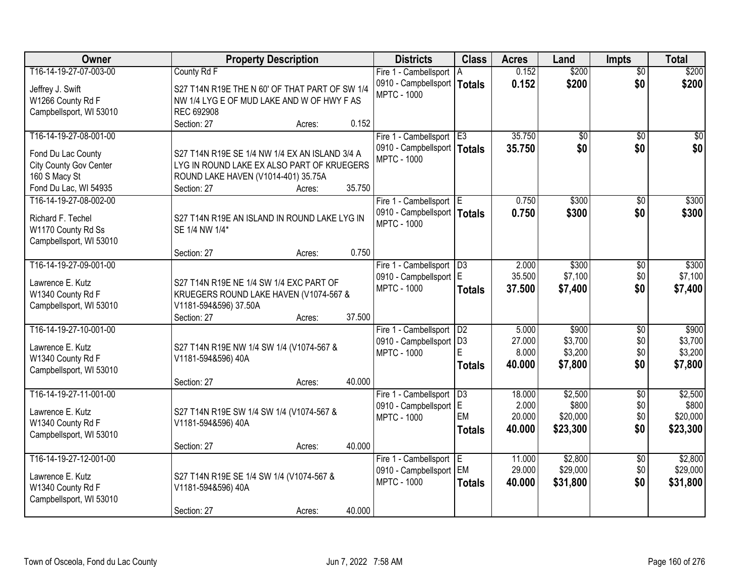| Owner                         | <b>Property Description</b>                    | <b>Districts</b>                             | <b>Class</b>    | <b>Acres</b>    | Land             | <b>Impts</b>    | <b>Total</b>     |
|-------------------------------|------------------------------------------------|----------------------------------------------|-----------------|-----------------|------------------|-----------------|------------------|
| T16-14-19-27-07-003-00        | County Rd F                                    | Fire 1 - Cambellsport                        | ΙA              | 0.152           | \$200            | $\overline{50}$ | \$200            |
| Jeffrey J. Swift              | S27 T14N R19E THE N 60' OF THAT PART OF SW 1/4 | 0910 - Campbellsport   Totals                |                 | 0.152           | \$200            | \$0             | \$200            |
| W1266 County Rd F             | NW 1/4 LYG E OF MUD LAKE AND W OF HWY F AS     | <b>MPTC - 1000</b>                           |                 |                 |                  |                 |                  |
| Campbellsport, WI 53010       | REC 692908                                     |                                              |                 |                 |                  |                 |                  |
|                               | 0.152<br>Section: 27<br>Acres:                 |                                              |                 |                 |                  |                 |                  |
| T16-14-19-27-08-001-00        |                                                | Fire 1 - Cambellsport E3                     |                 | 35.750          | \$0              | $\overline{50}$ | \$0              |
| Fond Du Lac County            | S27 T14N R19E SE 1/4 NW 1/4 EX AN ISLAND 3/4 A | 0910 - Campbellsport   Totals                |                 | 35.750          | \$0              | \$0             | \$0              |
| <b>City County Gov Center</b> | LYG IN ROUND LAKE EX ALSO PART OF KRUEGERS     | <b>MPTC - 1000</b>                           |                 |                 |                  |                 |                  |
| 160 S Macy St                 | ROUND LAKE HAVEN (V1014-401) 35.75A            |                                              |                 |                 |                  |                 |                  |
| Fond Du Lac, WI 54935         | 35.750<br>Section: 27<br>Acres:                |                                              |                 |                 |                  |                 |                  |
| T16-14-19-27-08-002-00        |                                                | Fire 1 - Cambellsport E                      |                 | 0.750           | \$300            | \$0             | \$300            |
|                               |                                                | 0910 - Campbellsport   Totals                |                 | 0.750           | \$300            | \$0             | \$300            |
| Richard F. Techel             | S27 T14N R19E AN ISLAND IN ROUND LAKE LYG IN   | <b>MPTC - 1000</b>                           |                 |                 |                  |                 |                  |
| W1170 County Rd Ss            | SE 1/4 NW 1/4*                                 |                                              |                 |                 |                  |                 |                  |
| Campbellsport, WI 53010       | 0.750                                          |                                              |                 |                 |                  |                 |                  |
| T16-14-19-27-09-001-00        | Section: 27<br>Acres:                          |                                              |                 |                 |                  |                 |                  |
|                               |                                                | Fire 1 - Cambellsport                        | D3              | 2.000<br>35.500 | \$300<br>\$7,100 | \$0<br>\$0      | \$300<br>\$7,100 |
| Lawrence E. Kutz              | S27 T14N R19E NE 1/4 SW 1/4 EXC PART OF        | 0910 - Campbellsport E<br><b>MPTC - 1000</b> |                 |                 |                  |                 |                  |
| W1340 County Rd F             | KRUEGERS ROUND LAKE HAVEN (V1074-567 &         |                                              | <b>Totals</b>   | 37.500          | \$7,400          | \$0             | \$7,400          |
| Campbellsport, WI 53010       | V1181-594&596) 37.50A                          |                                              |                 |                 |                  |                 |                  |
|                               | 37.500<br>Section: 27<br>Acres:                |                                              |                 |                 |                  |                 |                  |
| T16-14-19-27-10-001-00        |                                                | Fire 1 - Cambellsport                        | D2              | 5.000           | \$900            | $\overline{50}$ | \$900            |
| Lawrence E. Kutz              | S27 T14N R19E NW 1/4 SW 1/4 (V1074-567 &       | 0910 - Campbellsport   D3                    |                 | 27,000          | \$3,700          | \$0             | \$3,700          |
| W1340 County Rd F             | V1181-594&596) 40A                             | <b>MPTC - 1000</b>                           | E               | 8.000           | \$3,200          | \$0             | \$3,200          |
| Campbellsport, WI 53010       |                                                |                                              | <b>Totals</b>   | 40.000          | \$7,800          | \$0             | \$7,800          |
|                               | 40.000<br>Section: 27<br>Acres:                |                                              |                 |                 |                  |                 |                  |
| T16-14-19-27-11-001-00        |                                                | Fire 1 - Cambellsport                        | $\overline{D3}$ | 18.000          | \$2,500          | $\sqrt{$0}$     | \$2,500          |
| Lawrence E. Kutz              | S27 T14N R19E SW 1/4 SW 1/4 (V1074-567 &       | 0910 - Campbellsport E                       |                 | 2.000           | \$800            | \$0             | \$800            |
| W1340 County Rd F             | V1181-594&596) 40A                             | <b>MPTC - 1000</b>                           | EM              | 20.000          | \$20,000         | \$0             | \$20,000         |
| Campbellsport, WI 53010       |                                                |                                              | <b>Totals</b>   | 40,000          | \$23,300         | \$0             | \$23,300         |
|                               | 40.000<br>Section: 27<br>Acres:                |                                              |                 |                 |                  |                 |                  |
| T16-14-19-27-12-001-00        |                                                | Fire 1 - Cambellsport E                      |                 | 11.000          | \$2,800          | $\overline{60}$ | \$2,800          |
|                               |                                                | 0910 - Campbellsport EM                      |                 | 29.000          | \$29,000         | \$0             | \$29,000         |
| Lawrence E. Kutz              | S27 T14N R19E SE 1/4 SW 1/4 (V1074-567 &       | <b>MPTC - 1000</b>                           | <b>Totals</b>   | 40.000          | \$31,800         | \$0             | \$31,800         |
| W1340 County Rd F             | V1181-594&596) 40A                             |                                              |                 |                 |                  |                 |                  |
| Campbellsport, WI 53010       | 40.000<br>Section: 27                          |                                              |                 |                 |                  |                 |                  |
|                               | Acres:                                         |                                              |                 |                 |                  |                 |                  |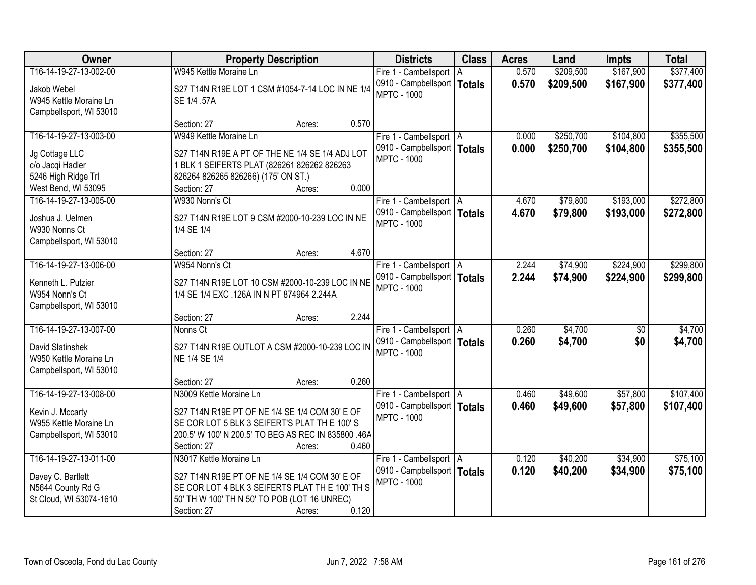| Owner                   | <b>Property Description</b>                         | <b>Districts</b>              | <b>Class</b>  | <b>Acres</b> | Land      | <b>Impts</b>    | <b>Total</b> |
|-------------------------|-----------------------------------------------------|-------------------------------|---------------|--------------|-----------|-----------------|--------------|
| T16-14-19-27-13-002-00  | W945 Kettle Moraine Ln                              | Fire 1 - Cambellsport   A     |               | 0.570        | \$209,500 | \$167,900       | \$377,400    |
| Jakob Webel             | S27 T14N R19E LOT 1 CSM #1054-7-14 LOC IN NE 1/4    | 0910 - Campbellsport          | <b>Totals</b> | 0.570        | \$209,500 | \$167,900       | \$377,400    |
| W945 Kettle Moraine Ln  | SE 1/4 .57A                                         | <b>MPTC - 1000</b>            |               |              |           |                 |              |
| Campbellsport, WI 53010 |                                                     |                               |               |              |           |                 |              |
|                         | 0.570<br>Section: 27<br>Acres:                      |                               |               |              |           |                 |              |
| T16-14-19-27-13-003-00  | W949 Kettle Moraine Ln                              | Fire 1 - Cambellsport   A     |               | 0.000        | \$250,700 | \$104,800       | \$355,500    |
| Jg Cottage LLC          | S27 T14N R19E A PT OF THE NE 1/4 SE 1/4 ADJ LOT     | 0910 - Campbellsport   Totals |               | 0.000        | \$250,700 | \$104,800       | \$355,500    |
| c/o Jacqi Hadler        | 1 BLK 1 SEIFERTS PLAT (826261 826262 826263         | <b>MPTC - 1000</b>            |               |              |           |                 |              |
| 5246 High Ridge Trl     | 826264 826265 826266) (175' ON ST.)                 |                               |               |              |           |                 |              |
| West Bend, WI 53095     | 0.000<br>Section: 27<br>Acres:                      |                               |               |              |           |                 |              |
| T16-14-19-27-13-005-00  | W930 Nonn's Ct                                      | Fire 1 - Cambellsport   A     |               | 4.670        | \$79,800  | \$193,000       | \$272,800    |
| Joshua J. Uelmen        | S27 T14N R19E LOT 9 CSM #2000-10-239 LOC IN NE      | 0910 - Campbellsport   Totals |               | 4.670        | \$79,800  | \$193,000       | \$272,800    |
| W930 Nonns Ct           | 1/4 SE 1/4                                          | <b>MPTC - 1000</b>            |               |              |           |                 |              |
| Campbellsport, WI 53010 |                                                     |                               |               |              |           |                 |              |
|                         | 4.670<br>Section: 27<br>Acres:                      |                               |               |              |           |                 |              |
| T16-14-19-27-13-006-00  | W954 Nonn's Ct                                      | Fire 1 - Cambellsport   A     |               | 2.244        | \$74,900  | \$224,900       | \$299,800    |
| Kenneth L. Putzier      | S27 T14N R19E LOT 10 CSM #2000-10-239 LOC IN NE     | 0910 - Campbellsport   Totals |               | 2.244        | \$74,900  | \$224,900       | \$299,800    |
| W954 Nonn's Ct          | 1/4 SE 1/4 EXC .126A IN N PT 874964 2.244A          | <b>MPTC - 1000</b>            |               |              |           |                 |              |
| Campbellsport, WI 53010 |                                                     |                               |               |              |           |                 |              |
|                         | 2.244<br>Section: 27<br>Acres:                      |                               |               |              |           |                 |              |
| T16-14-19-27-13-007-00  | Nonns Ct                                            | Fire 1 - Cambellsport   A     |               | 0.260        | \$4,700   | $\overline{50}$ | \$4,700      |
| David Slatinshek        | S27 T14N R19E OUTLOT A CSM #2000-10-239 LOC IN      | 0910 - Campbellsport   Totals |               | 0.260        | \$4,700   | \$0             | \$4,700      |
| W950 Kettle Moraine Ln  | NE 1/4 SE 1/4                                       | <b>MPTC - 1000</b>            |               |              |           |                 |              |
| Campbellsport, WI 53010 |                                                     |                               |               |              |           |                 |              |
|                         | 0.260<br>Section: 27<br>Acres:                      |                               |               |              |           |                 |              |
| T16-14-19-27-13-008-00  | N3009 Kettle Moraine Ln                             | Fire 1 - Cambellsport   A     |               | 0.460        | \$49,600  | \$57,800        | \$107,400    |
| Kevin J. Mccarty        | S27 T14N R19E PT OF NE 1/4 SE 1/4 COM 30' E OF      | 0910 - Campbellsport   Totals |               | 0.460        | \$49,600  | \$57,800        | \$107,400    |
| W955 Kettle Moraine Ln  | SE COR LOT 5 BLK 3 SEIFERT'S PLAT THE 100'S         | <b>MPTC - 1000</b>            |               |              |           |                 |              |
| Campbellsport, WI 53010 | 200.5' W 100' N 200.5' TO BEG AS REC IN 835800 .46A |                               |               |              |           |                 |              |
|                         | 0.460<br>Section: 27<br>Acres:                      |                               |               |              |           |                 |              |
| T16-14-19-27-13-011-00  | N3017 Kettle Moraine Ln                             | Fire 1 - Cambellsport   A     |               | 0.120        | \$40,200  | \$34,900        | \$75,100     |
| Davey C. Bartlett       | S27 T14N R19E PT OF NE 1/4 SE 1/4 COM 30' E OF      | 0910 - Campbellsport   Totals |               | 0.120        | \$40,200  | \$34,900        | \$75,100     |
| N5644 County Rd G       | SE COR LOT 4 BLK 3 SEIFERTS PLAT THE 100' TH S      | <b>MPTC - 1000</b>            |               |              |           |                 |              |
| St Cloud, WI 53074-1610 | 50' TH W 100' TH N 50' TO POB (LOT 16 UNREC)        |                               |               |              |           |                 |              |
|                         | 0.120<br>Section: 27<br>Acres:                      |                               |               |              |           |                 |              |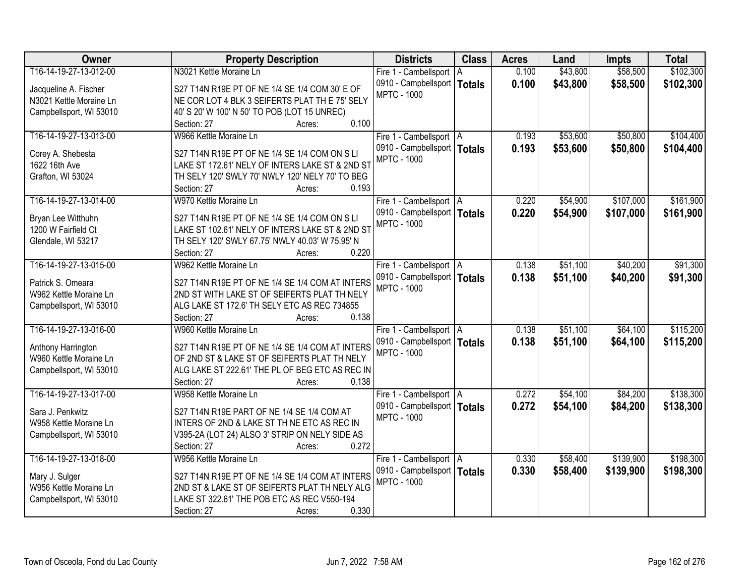| Owner                   | <b>Property Description</b>                     | <b>Districts</b>              | <b>Class</b>  | <b>Acres</b> | Land     | <b>Impts</b> | <b>Total</b> |
|-------------------------|-------------------------------------------------|-------------------------------|---------------|--------------|----------|--------------|--------------|
| T16-14-19-27-13-012-00  | N3021 Kettle Moraine Ln                         | Fire 1 - Cambellsport   A     |               | 0.100        | \$43,800 | \$58,500     | \$102,300    |
| Jacqueline A. Fischer   | S27 T14N R19E PT OF NE 1/4 SE 1/4 COM 30' E OF  | 0910 - Campbellsport          | <b>Totals</b> | 0.100        | \$43,800 | \$58,500     | \$102,300    |
| N3021 Kettle Moraine Ln | NE COR LOT 4 BLK 3 SEIFERTS PLAT THE 75' SELY   | <b>MPTC - 1000</b>            |               |              |          |              |              |
| Campbellsport, WI 53010 | 40' S 20' W 100' N 50' TO POB (LOT 15 UNREC)    |                               |               |              |          |              |              |
|                         | 0.100<br>Section: 27<br>Acres:                  |                               |               |              |          |              |              |
| T16-14-19-27-13-013-00  | W966 Kettle Moraine Ln                          | Fire 1 - Cambellsport   A     |               | 0.193        | \$53,600 | \$50,800     | \$104,400    |
|                         |                                                 | 0910 - Campbellsport   Totals |               | 0.193        | \$53,600 | \$50,800     | \$104,400    |
| Corey A. Shebesta       | S27 T14N R19E PT OF NE 1/4 SE 1/4 COM ON S LI   | <b>MPTC - 1000</b>            |               |              |          |              |              |
| 1622 16th Ave           | LAKE ST 172.61' NELY OF INTERS LAKE ST & 2ND ST |                               |               |              |          |              |              |
| Grafton, WI 53024       | TH SELY 120' SWLY 70' NWLY 120' NELY 70' TO BEG |                               |               |              |          |              |              |
|                         | 0.193<br>Section: 27<br>Acres:                  |                               |               |              |          |              |              |
| T16-14-19-27-13-014-00  | W970 Kettle Moraine Ln                          | Fire 1 - Cambellsport   A     |               | 0.220        | \$54,900 | \$107,000    | \$161,900    |
| Bryan Lee Witthuhn      | S27 T14N R19E PT OF NE 1/4 SE 1/4 COM ON S LI   | 0910 - Campbellsport   Totals |               | 0.220        | \$54,900 | \$107,000    | \$161,900    |
| 1200 W Fairfield Ct     | LAKE ST 102.61' NELY OF INTERS LAKE ST & 2ND ST | <b>MPTC - 1000</b>            |               |              |          |              |              |
| Glendale, WI 53217      | TH SELY 120' SWLY 67.75' NWLY 40.03' W 75.95' N |                               |               |              |          |              |              |
|                         | 0.220<br>Section: 27<br>Acres:                  |                               |               |              |          |              |              |
| T16-14-19-27-13-015-00  | W962 Kettle Moraine Ln                          | Fire 1 - Cambellsport   A     |               | 0.138        | \$51,100 | \$40,200     | \$91,300     |
|                         |                                                 | 0910 - Campbellsport   Totals |               | 0.138        | \$51,100 | \$40,200     | \$91,300     |
| Patrick S. Omeara       | S27 T14N R19E PT OF NE 1/4 SE 1/4 COM AT INTERS | <b>MPTC - 1000</b>            |               |              |          |              |              |
| W962 Kettle Moraine Ln  | 2ND ST WITH LAKE ST OF SEIFERTS PLAT TH NELY    |                               |               |              |          |              |              |
| Campbellsport, WI 53010 | ALG LAKE ST 172.6' TH SELY ETC AS REC 734855    |                               |               |              |          |              |              |
|                         | 0.138<br>Section: 27<br>Acres:                  |                               |               |              |          |              |              |
| T16-14-19-27-13-016-00  | W960 Kettle Moraine Ln                          | Fire 1 - Cambellsport   A     |               | 0.138        | \$51,100 | \$64,100     | \$115,200    |
| Anthony Harrington      | S27 T14N R19E PT OF NE 1/4 SE 1/4 COM AT INTERS | 0910 - Campbellsport   Totals |               | 0.138        | \$51,100 | \$64,100     | \$115,200    |
| W960 Kettle Moraine Ln  | OF 2ND ST & LAKE ST OF SEIFERTS PLAT TH NELY    | <b>MPTC - 1000</b>            |               |              |          |              |              |
| Campbellsport, WI 53010 | ALG LAKE ST 222.61' THE PL OF BEG ETC AS REC IN |                               |               |              |          |              |              |
|                         | 0.138<br>Section: 27<br>Acres:                  |                               |               |              |          |              |              |
| T16-14-19-27-13-017-00  | W958 Kettle Moraine Ln                          | Fire 1 - Cambellsport A       |               | 0.272        | \$54,100 | \$84,200     | \$138,300    |
|                         |                                                 | 0910 - Campbellsport   Totals |               | 0.272        | \$54,100 | \$84,200     | \$138,300    |
| Sara J. Penkwitz        | S27 T14N R19E PART OF NE 1/4 SE 1/4 COM AT      | <b>MPTC - 1000</b>            |               |              |          |              |              |
| W958 Kettle Moraine Ln  | INTERS OF 2ND & LAKE ST TH NE ETC AS REC IN     |                               |               |              |          |              |              |
| Campbellsport, WI 53010 | V395-2A (LOT 24) ALSO 3' STRIP ON NELY SIDE AS  |                               |               |              |          |              |              |
|                         | 0.272<br>Section: 27<br>Acres:                  |                               |               |              |          |              |              |
| T16-14-19-27-13-018-00  | W956 Kettle Moraine Ln                          | Fire 1 - Cambellsport   A     |               | 0.330        | \$58,400 | \$139,900    | \$198,300    |
| Mary J. Sulger          | S27 T14N R19E PT OF NE 1/4 SE 1/4 COM AT INTERS | 0910 - Campbellsport   Totals |               | 0.330        | \$58,400 | \$139,900    | \$198,300    |
| W956 Kettle Moraine Ln  | 2ND ST & LAKE ST OF SEIFERTS PLAT TH NELY ALG   | <b>MPTC - 1000</b>            |               |              |          |              |              |
| Campbellsport, WI 53010 | LAKE ST 322.61' THE POB ETC AS REC V550-194     |                               |               |              |          |              |              |
|                         | 0.330<br>Section: 27<br>Acres:                  |                               |               |              |          |              |              |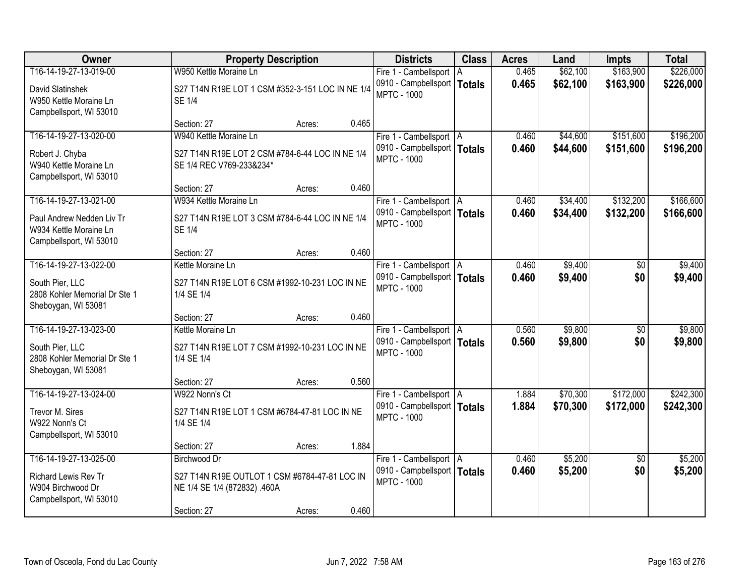| Owner                                                                                             |                                                                                   | <b>Property Description</b> |       | <b>Districts</b>                                                                 | <b>Class</b> | <b>Acres</b>   | Land               | <b>Impts</b>           | <b>Total</b>       |
|---------------------------------------------------------------------------------------------------|-----------------------------------------------------------------------------------|-----------------------------|-------|----------------------------------------------------------------------------------|--------------|----------------|--------------------|------------------------|--------------------|
| T16-14-19-27-13-019-00                                                                            | W950 Kettle Moraine Ln                                                            |                             |       | Fire 1 - Cambellsport   A                                                        |              | 0.465          | \$62,100           | \$163,900              | \$226,000          |
| David Slatinshek<br>W950 Kettle Moraine Ln<br>Campbellsport, WI 53010                             | S27 T14N R19E LOT 1 CSM #352-3-151 LOC IN NE 1/4<br><b>SE 1/4</b>                 |                             |       | 0910 - Campbellsport   Totals<br><b>MPTC - 1000</b>                              |              | 0.465          | \$62,100           | \$163,900              | \$226,000          |
|                                                                                                   | Section: 27                                                                       | Acres:                      | 0.465 |                                                                                  |              |                |                    |                        |                    |
| T16-14-19-27-13-020-00                                                                            | W940 Kettle Moraine Ln                                                            |                             |       | Fire 1 - Cambellsport   A                                                        |              | 0.460          | \$44,600           | \$151,600              | \$196,200          |
| Robert J. Chyba<br>W940 Kettle Moraine Ln<br>Campbellsport, WI 53010                              | S27 T14N R19E LOT 2 CSM #784-6-44 LOC IN NE 1/4<br>SE 1/4 REC V769-233&234*       |                             |       | 0910 - Campbellsport   Totals<br><b>MPTC - 1000</b>                              |              | 0.460          | \$44,600           | \$151,600              | \$196,200          |
|                                                                                                   | Section: 27                                                                       | Acres:                      | 0.460 |                                                                                  |              |                |                    |                        |                    |
| T16-14-19-27-13-021-00                                                                            | W934 Kettle Moraine Ln                                                            |                             |       | Fire 1 - Cambellsport   A                                                        |              | 0.460          | \$34,400           | \$132,200              | \$166,600          |
| Paul Andrew Nedden Liv Tr<br>W934 Kettle Moraine Ln<br>Campbellsport, WI 53010                    | S27 T14N R19E LOT 3 CSM #784-6-44 LOC IN NE 1/4<br><b>SE 1/4</b>                  |                             |       | 0910 - Campbellsport   Totals<br><b>MPTC - 1000</b>                              |              | 0.460          | \$34,400           | \$132,200              | \$166,600          |
|                                                                                                   | Section: 27                                                                       | Acres:                      | 0.460 |                                                                                  |              |                |                    |                        |                    |
| T16-14-19-27-13-022-00                                                                            | Kettle Moraine Ln                                                                 |                             |       | Fire 1 - Cambellsport   A                                                        |              | 0.460          | \$9,400            | $\sqrt[6]{}$           | \$9,400            |
| South Pier, LLC<br>2808 Kohler Memorial Dr Ste 1<br>Sheboygan, WI 53081                           | S27 T14N R19E LOT 6 CSM #1992-10-231 LOC IN NE<br>1/4 SE 1/4                      |                             |       | 0910 - Campbellsport   Totals<br><b>MPTC - 1000</b>                              |              | 0.460          | \$9,400            | \$0                    | \$9,400            |
|                                                                                                   | Section: 27                                                                       | Acres:                      | 0.460 |                                                                                  |              |                |                    |                        |                    |
| T16-14-19-27-13-023-00<br>South Pier, LLC<br>2808 Kohler Memorial Dr Ste 1<br>Sheboygan, WI 53081 | Kettle Moraine Ln<br>S27 T14N R19E LOT 7 CSM #1992-10-231 LOC IN NE<br>1/4 SE 1/4 |                             |       | Fire 1 - Cambellsport   A<br>0910 - Campbellsport   Totals<br><b>MPTC - 1000</b> |              | 0.560<br>0.560 | \$9,800<br>\$9,800 | $\overline{30}$<br>\$0 | \$9,800<br>\$9,800 |
|                                                                                                   | Section: 27                                                                       | Acres:                      | 0.560 |                                                                                  |              |                |                    |                        |                    |
| T16-14-19-27-13-024-00                                                                            | W922 Nonn's Ct                                                                    |                             |       | Fire 1 - Cambellsport   A                                                        |              | 1.884          | \$70,300           | \$172,000              | \$242,300          |
| Trevor M. Sires<br>W922 Nonn's Ct<br>Campbellsport, WI 53010                                      | S27 T14N R19E LOT 1 CSM #6784-47-81 LOC IN NE<br>1/4 SE 1/4                       |                             |       | 0910 - Campbellsport   Totals<br><b>MPTC - 1000</b>                              |              | 1.884          | \$70,300           | \$172,000              | \$242,300          |
|                                                                                                   | Section: 27                                                                       | Acres:                      | 1.884 |                                                                                  |              |                |                    |                        |                    |
| T16-14-19-27-13-025-00                                                                            | <b>Birchwood Dr</b>                                                               |                             |       | Fire 1 - Cambellsport   A                                                        |              | 0.460          | \$5,200            | $\overline{50}$        | \$5,200            |
| Richard Lewis Rev Tr<br>W904 Birchwood Dr<br>Campbellsport, WI 53010                              | S27 T14N R19E OUTLOT 1 CSM #6784-47-81 LOC IN<br>NE 1/4 SE 1/4 (872832) .460A     |                             |       | 0910 - Campbellsport   Totals<br><b>MPTC - 1000</b>                              |              | 0.460          | \$5,200            | \$0                    | \$5,200            |
|                                                                                                   | Section: 27                                                                       | Acres:                      | 0.460 |                                                                                  |              |                |                    |                        |                    |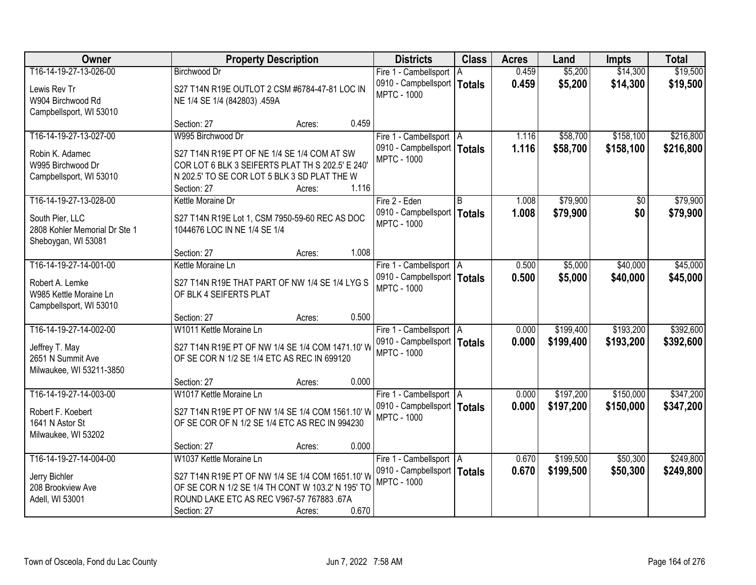| Owner                         | <b>Property Description</b>                       |                 | <b>Districts</b>              | <b>Class</b>  | <b>Acres</b> | Land      | <b>Impts</b> | <b>Total</b> |
|-------------------------------|---------------------------------------------------|-----------------|-------------------------------|---------------|--------------|-----------|--------------|--------------|
| T16-14-19-27-13-026-00        | <b>Birchwood Dr</b>                               |                 | Fire 1 - Cambellsport   A     |               | 0.459        | \$5,200   | \$14,300     | \$19,500     |
| Lewis Rev Tr                  | S27 T14N R19E OUTLOT 2 CSM #6784-47-81 LOC IN     |                 | 0910 - Campbellsport          | <b>Totals</b> | 0.459        | \$5,200   | \$14,300     | \$19,500     |
| W904 Birchwood Rd             | NE 1/4 SE 1/4 (842803) .459A                      |                 | <b>MPTC - 1000</b>            |               |              |           |              |              |
| Campbellsport, WI 53010       |                                                   |                 |                               |               |              |           |              |              |
|                               | Section: 27                                       | 0.459<br>Acres: |                               |               |              |           |              |              |
| T16-14-19-27-13-027-00        | W995 Birchwood Dr                                 |                 | Fire 1 - Cambellsport   A     |               | 1.116        | \$58,700  | \$158,100    | \$216,800    |
| Robin K. Adamec               | S27 T14N R19E PT OF NE 1/4 SE 1/4 COM AT SW       |                 | 0910 - Campbellsport   Totals |               | 1.116        | \$58,700  | \$158,100    | \$216,800    |
| W995 Birchwood Dr             | COR LOT 6 BLK 3 SEIFERTS PLAT TH S 202.5' E 240'  |                 | <b>MPTC - 1000</b>            |               |              |           |              |              |
| Campbellsport, WI 53010       | N 202.5' TO SE COR LOT 5 BLK 3 SD PLAT THE W      |                 |                               |               |              |           |              |              |
|                               | Section: 27                                       | 1.116<br>Acres: |                               |               |              |           |              |              |
| T16-14-19-27-13-028-00        | Kettle Moraine Dr                                 |                 | Fire 2 - Eden                 | B             | 1.008        | \$79,900  | \$0          | \$79,900     |
| South Pier, LLC               | S27 T14N R19E Lot 1, CSM 7950-59-60 REC AS DOC    |                 | 0910 - Campbellsport          | <b>Totals</b> | 1.008        | \$79,900  | \$0          | \$79,900     |
| 2808 Kohler Memorial Dr Ste 1 | 1044676 LOC IN NE 1/4 SE 1/4                      |                 | <b>MPTC - 1000</b>            |               |              |           |              |              |
| Sheboygan, WI 53081           |                                                   |                 |                               |               |              |           |              |              |
|                               | Section: 27                                       | 1.008<br>Acres: |                               |               |              |           |              |              |
| T16-14-19-27-14-001-00        | Kettle Moraine Ln                                 |                 | Fire 1 - Cambellsport   A     |               | 0.500        | \$5,000   | \$40,000     | \$45,000     |
| Robert A. Lemke               | S27 T14N R19E THAT PART OF NW 1/4 SE 1/4 LYG S    |                 | 0910 - Campbellsport   Totals |               | 0.500        | \$5,000   | \$40,000     | \$45,000     |
| W985 Kettle Moraine Ln        | OF BLK 4 SEIFERTS PLAT                            |                 | <b>MPTC - 1000</b>            |               |              |           |              |              |
| Campbellsport, WI 53010       |                                                   |                 |                               |               |              |           |              |              |
|                               | Section: 27                                       | 0.500<br>Acres: |                               |               |              |           |              |              |
| T16-14-19-27-14-002-00        | W1011 Kettle Moraine Ln                           |                 | Fire 1 - Cambellsport   A     |               | 0.000        | \$199,400 | \$193,200    | \$392,600    |
| Jeffrey T. May                | S27 T14N R19E PT OF NW 1/4 SE 1/4 COM 1471.10' W  |                 | 0910 - Campbellsport   Totals |               | 0.000        | \$199,400 | \$193,200    | \$392,600    |
| 2651 N Summit Ave             | OF SE COR N 1/2 SE 1/4 ETC AS REC IN 699120       |                 | <b>MPTC - 1000</b>            |               |              |           |              |              |
| Milwaukee, WI 53211-3850      |                                                   |                 |                               |               |              |           |              |              |
|                               | Section: 27                                       | 0.000<br>Acres: |                               |               |              |           |              |              |
| T16-14-19-27-14-003-00        | W1017 Kettle Moraine Ln                           |                 | Fire 1 - Cambellsport   A     |               | 0.000        | \$197,200 | \$150,000    | \$347,200    |
| Robert F. Koebert             | S27 T14N R19E PT OF NW 1/4 SE 1/4 COM 1561.10' W  |                 | 0910 - Campbellsport   Totals |               | 0.000        | \$197,200 | \$150,000    | \$347,200    |
| 1641 N Astor St               | OF SE COR OF N 1/2 SE 1/4 ETC AS REC IN 994230    |                 | <b>MPTC - 1000</b>            |               |              |           |              |              |
| Milwaukee, WI 53202           |                                                   |                 |                               |               |              |           |              |              |
|                               | Section: 27                                       | 0.000<br>Acres: |                               |               |              |           |              |              |
| T16-14-19-27-14-004-00        | W1037 Kettle Moraine Ln                           |                 | Fire 1 - Cambellsport   A     |               | 0.670        | \$199,500 | \$50,300     | \$249,800    |
| Jerry Bichler                 | S27 T14N R19E PT OF NW 1/4 SE 1/4 COM 1651.10' W  |                 | 0910 - Campbellsport   Totals |               | 0.670        | \$199,500 | \$50,300     | \$249,800    |
| 208 Brookview Ave             | OF SE COR N 1/2 SE 1/4 TH CONT W 103.2' N 195' TO |                 | <b>MPTC - 1000</b>            |               |              |           |              |              |
| Adell, WI 53001               | ROUND LAKE ETC AS REC V967-57 767883 .67A         |                 |                               |               |              |           |              |              |
|                               | Section: 27                                       | 0.670<br>Acres: |                               |               |              |           |              |              |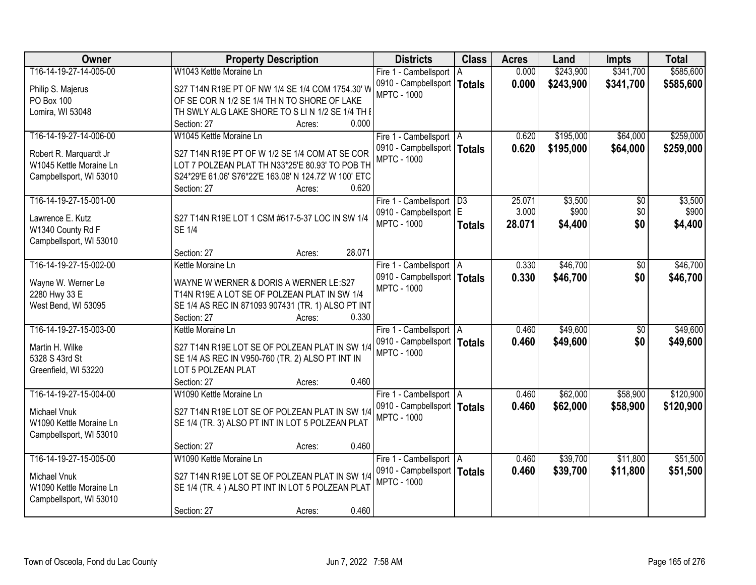| Owner                   | <b>Property Description</b>                           | <b>Districts</b>              | <b>Class</b>  | <b>Acres</b> | Land      | <b>Impts</b>    | <b>Total</b> |
|-------------------------|-------------------------------------------------------|-------------------------------|---------------|--------------|-----------|-----------------|--------------|
| T16-14-19-27-14-005-00  | W1043 Kettle Moraine Ln                               | Fire 1 - Cambellsport         | ΙA            | 0.000        | \$243,900 | \$341,700       | \$585,600    |
| Philip S. Majerus       | S27 T14N R19E PT OF NW 1/4 SE 1/4 COM 1754.30' W      | 0910 - Campbellsport   Totals |               | 0.000        | \$243,900 | \$341,700       | \$585,600    |
| PO Box 100              | OF SE COR N 1/2 SE 1/4 TH N TO SHORE OF LAKE          | <b>MPTC - 1000</b>            |               |              |           |                 |              |
| Lomira, WI 53048        | TH SWLY ALG LAKE SHORE TO S LIN 1/2 SE 1/4 TH I       |                               |               |              |           |                 |              |
|                         | 0.000<br>Section: 27<br>Acres:                        |                               |               |              |           |                 |              |
| T16-14-19-27-14-006-00  | W1045 Kettle Moraine Ln                               | Fire 1 - Cambellsport   A     |               | 0.620        | \$195,000 | \$64,000        | \$259,000    |
|                         |                                                       | 0910 - Campbellsport   Totals |               | 0.620        | \$195,000 | \$64,000        | \$259,000    |
| Robert R. Marquardt Jr  | S27 T14N R19E PT OF W 1/2 SE 1/4 COM AT SE COR        | <b>MPTC - 1000</b>            |               |              |           |                 |              |
| W1045 Kettle Moraine Ln | LOT 7 POLZEAN PLAT TH N33*25'E 80.93' TO POB TH       |                               |               |              |           |                 |              |
| Campbellsport, WI 53010 | S24*29'E 61.06' S76*22'E 163.08' N 124.72' W 100' ETC |                               |               |              |           |                 |              |
|                         | 0.620<br>Section: 27<br>Acres:                        |                               |               |              |           |                 |              |
| T16-14-19-27-15-001-00  |                                                       | Fire 1 - Cambellsport   D3    |               | 25.071       | \$3,500   | \$0             | \$3,500      |
| Lawrence E. Kutz        | S27 T14N R19E LOT 1 CSM #617-5-37 LOC IN SW 1/4       | 0910 - Campbellsport   E      |               | 3.000        | \$900     | \$0             | \$900        |
| W1340 County Rd F       | <b>SE 1/4</b>                                         | <b>MPTC - 1000</b>            | <b>Totals</b> | 28.071       | \$4,400   | \$0             | \$4,400      |
| Campbellsport, WI 53010 |                                                       |                               |               |              |           |                 |              |
|                         | 28.071<br>Section: 27<br>Acres:                       |                               |               |              |           |                 |              |
| T16-14-19-27-15-002-00  | Kettle Moraine Ln                                     | Fire 1 - Cambellsport   A     |               | 0.330        | \$46,700  | \$0             | \$46,700     |
|                         |                                                       | 0910 - Campbellsport   Totals |               | 0.330        | \$46,700  | \$0             | \$46,700     |
| Wayne W. Werner Le      | WAYNE W WERNER & DORIS A WERNER LE:S27                | <b>MPTC - 1000</b>            |               |              |           |                 |              |
| 2280 Hwy 33 E           | T14N R19E A LOT SE OF POLZEAN PLAT IN SW 1/4          |                               |               |              |           |                 |              |
| West Bend, WI 53095     | SE 1/4 AS REC IN 871093 907431 (TR. 1) ALSO PT INT    |                               |               |              |           |                 |              |
|                         | Section: 27<br>0.330<br>Acres:                        |                               |               |              |           |                 |              |
| T16-14-19-27-15-003-00  | Kettle Moraine Ln                                     | Fire 1 - Cambellsport   A     |               | 0.460        | \$49,600  | $\overline{50}$ | \$49,600     |
| Martin H. Wilke         | S27 T14N R19E LOT SE OF POLZEAN PLAT IN SW 1/4        | 0910 - Campbellsport   Totals |               | 0.460        | \$49,600  | \$0             | \$49,600     |
| 5328 S 43rd St          | SE 1/4 AS REC IN V950-760 (TR. 2) ALSO PT INT IN      | <b>MPTC - 1000</b>            |               |              |           |                 |              |
| Greenfield, WI 53220    | LOT 5 POLZEAN PLAT                                    |                               |               |              |           |                 |              |
|                         | 0.460<br>Section: 27<br>Acres:                        |                               |               |              |           |                 |              |
| T16-14-19-27-15-004-00  | W1090 Kettle Moraine Ln                               | Fire 1 - Cambellsport   A     |               | 0.460        | \$62,000  | \$58,900        | \$120,900    |
|                         |                                                       | 0910 - Campbellsport   Totals |               | 0.460        | \$62,000  | \$58,900        | \$120,900    |
| Michael Vnuk            | S27 T14N R19E LOT SE OF POLZEAN PLAT IN SW 1/4        | <b>MPTC - 1000</b>            |               |              |           |                 |              |
| W1090 Kettle Moraine Ln | SE 1/4 (TR. 3) ALSO PT INT IN LOT 5 POLZEAN PLAT      |                               |               |              |           |                 |              |
| Campbellsport, WI 53010 |                                                       |                               |               |              |           |                 |              |
|                         | 0.460<br>Section: 27<br>Acres:                        |                               |               |              |           |                 |              |
| T16-14-19-27-15-005-00  | W1090 Kettle Moraine Ln                               | Fire 1 - Cambellsport   A     |               | 0.460        | \$39,700  | \$11,800        | \$51,500     |
| <b>Michael Vnuk</b>     | S27 T14N R19E LOT SE OF POLZEAN PLAT IN SW 1/4        | 0910 - Campbellsport   Totals |               | 0.460        | \$39,700  | \$11,800        | \$51,500     |
| W1090 Kettle Moraine Ln | SE 1/4 (TR. 4) ALSO PT INT IN LOT 5 POLZEAN PLAT      | <b>MPTC - 1000</b>            |               |              |           |                 |              |
| Campbellsport, WI 53010 |                                                       |                               |               |              |           |                 |              |
|                         | 0.460<br>Section: 27<br>Acres:                        |                               |               |              |           |                 |              |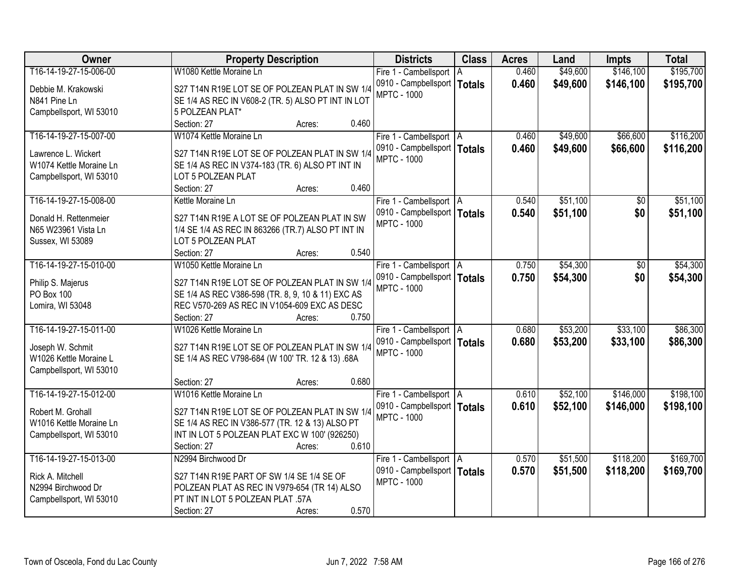| Owner                   | <b>Property Description</b>                        | <b>Districts</b>              | <b>Class</b> | <b>Acres</b> | Land     | <b>Impts</b> | <b>Total</b> |
|-------------------------|----------------------------------------------------|-------------------------------|--------------|--------------|----------|--------------|--------------|
| T16-14-19-27-15-006-00  | W1080 Kettle Moraine Ln                            | Fire 1 - Cambellsport   A     |              | 0.460        | \$49,600 | \$146,100    | \$195,700    |
| Debbie M. Krakowski     | S27 T14N R19E LOT SE OF POLZEAN PLAT IN SW 1/4     | 0910 - Campbellsport   Totals |              | 0.460        | \$49,600 | \$146,100    | \$195,700    |
| N841 Pine Ln            | SE 1/4 AS REC IN V608-2 (TR. 5) ALSO PT INT IN LOT | <b>MPTC - 1000</b>            |              |              |          |              |              |
| Campbellsport, WI 53010 | 5 POLZEAN PLAT*                                    |                               |              |              |          |              |              |
|                         | 0.460<br>Section: 27<br>Acres:                     |                               |              |              |          |              |              |
| T16-14-19-27-15-007-00  | W1074 Kettle Moraine Ln                            | Fire 1 - Cambellsport   A     |              | 0.460        | \$49,600 | \$66,600     | \$116,200    |
|                         |                                                    | 0910 - Campbellsport   Totals |              | 0.460        | \$49,600 | \$66,600     | \$116,200    |
| Lawrence L. Wickert     | S27 T14N R19E LOT SE OF POLZEAN PLAT IN SW 1/4     | <b>MPTC - 1000</b>            |              |              |          |              |              |
| W1074 Kettle Moraine Ln | SE 1/4 AS REC IN V374-183 (TR. 6) ALSO PT INT IN   |                               |              |              |          |              |              |
| Campbellsport, WI 53010 | LOT 5 POLZEAN PLAT                                 |                               |              |              |          |              |              |
|                         | 0.460<br>Section: 27<br>Acres:                     |                               |              |              |          |              |              |
| T16-14-19-27-15-008-00  | Kettle Moraine Ln                                  | Fire 1 - Cambellsport   A     |              | 0.540        | \$51,100 | \$0          | \$51,100     |
| Donald H. Rettenmeier   | S27 T14N R19E A LOT SE OF POLZEAN PLAT IN SW       | 0910 - Campbellsport   Totals |              | 0.540        | \$51,100 | \$0          | \$51,100     |
| N65 W23961 Vista Ln     | 1/4 SE 1/4 AS REC IN 863266 (TR.7) ALSO PT INT IN  | <b>MPTC - 1000</b>            |              |              |          |              |              |
| Sussex, WI 53089        | LOT 5 POLZEAN PLAT                                 |                               |              |              |          |              |              |
|                         | 0.540<br>Section: 27<br>Acres:                     |                               |              |              |          |              |              |
| T16-14-19-27-15-010-00  | W1050 Kettle Moraine Ln                            | Fire 1 - Cambellsport   A     |              | 0.750        | \$54,300 | \$0          | \$54,300     |
|                         |                                                    | 0910 - Campbellsport   Totals |              | 0.750        | \$54,300 | \$0          | \$54,300     |
| Philip S. Majerus       | S27 T14N R19E LOT SE OF POLZEAN PLAT IN SW 1/4     | <b>MPTC - 1000</b>            |              |              |          |              |              |
| PO Box 100              | SE 1/4 AS REC V386-598 (TR. 8, 9, 10 & 11) EXC AS  |                               |              |              |          |              |              |
| Lomira, WI 53048        | REC V570-269 AS REC IN V1054-609 EXC AS DESC       |                               |              |              |          |              |              |
|                         | 0.750<br>Section: 27<br>Acres:                     |                               |              |              |          |              |              |
| T16-14-19-27-15-011-00  | W1026 Kettle Moraine Ln                            | Fire 1 - Cambellsport   A     |              | 0.680        | \$53,200 | \$33,100     | \$86,300     |
| Joseph W. Schmit        | S27 T14N R19E LOT SE OF POLZEAN PLAT IN SW 1/4     | 0910 - Campbellsport   Totals |              | 0.680        | \$53,200 | \$33,100     | \$86,300     |
| W1026 Kettle Moraine L  | SE 1/4 AS REC V798-684 (W 100' TR. 12 & 13) .68A   | <b>MPTC - 1000</b>            |              |              |          |              |              |
| Campbellsport, WI 53010 |                                                    |                               |              |              |          |              |              |
|                         | 0.680<br>Section: 27<br>Acres:                     |                               |              |              |          |              |              |
| T16-14-19-27-15-012-00  | W1016 Kettle Moraine Ln                            | Fire 1 - Cambellsport   A     |              | 0.610        | \$52,100 | \$146,000    | \$198,100    |
|                         |                                                    | 0910 - Campbellsport   Totals |              | 0.610        | \$52,100 | \$146,000    | \$198,100    |
| Robert M. Grohall       | S27 T14N R19E LOT SE OF POLZEAN PLAT IN SW 1/4     | <b>MPTC - 1000</b>            |              |              |          |              |              |
| W1016 Kettle Moraine Ln | SE 1/4 AS REC IN V386-577 (TR. 12 & 13) ALSO PT    |                               |              |              |          |              |              |
| Campbellsport, WI 53010 | INT IN LOT 5 POLZEAN PLAT EXC W 100' (926250)      |                               |              |              |          |              |              |
|                         | 0.610<br>Section: 27<br>Acres:                     |                               |              |              |          |              |              |
| T16-14-19-27-15-013-00  | N2994 Birchwood Dr                                 | Fire 1 - Cambellsport   A     |              | 0.570        | \$51,500 | \$118,200    | \$169,700    |
| Rick A. Mitchell        | S27 T14N R19E PART OF SW 1/4 SE 1/4 SE OF          | 0910 - Campbellsport   Totals |              | 0.570        | \$51,500 | \$118,200    | \$169,700    |
| N2994 Birchwood Dr      | POLZEAN PLAT AS REC IN V979-654 (TR 14) ALSO       | <b>MPTC - 1000</b>            |              |              |          |              |              |
| Campbellsport, WI 53010 | PT INT IN LOT 5 POLZEAN PLAT .57A                  |                               |              |              |          |              |              |
|                         | 0.570<br>Section: 27<br>Acres:                     |                               |              |              |          |              |              |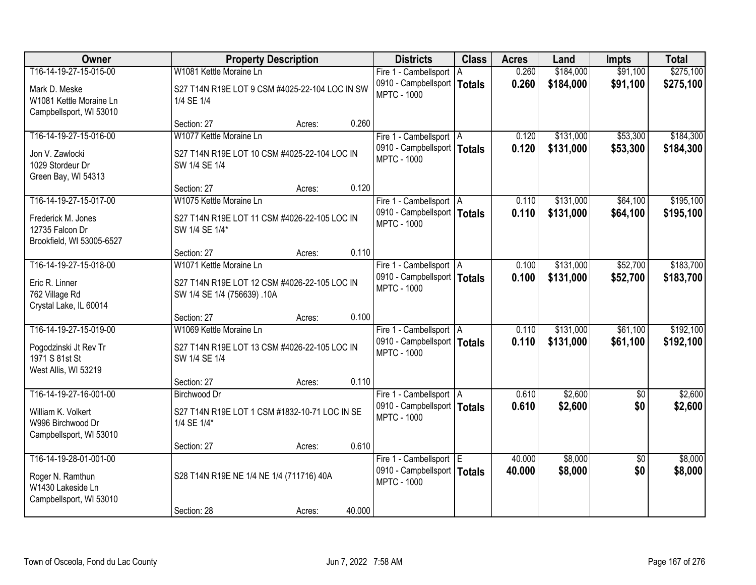| <b>Owner</b>                                                                               | <b>Property Description</b>                                                              | <b>Districts</b>                                                                 | <b>Class</b> | <b>Acres</b>     | Land                   | <b>Impts</b>           | <b>Total</b>           |
|--------------------------------------------------------------------------------------------|------------------------------------------------------------------------------------------|----------------------------------------------------------------------------------|--------------|------------------|------------------------|------------------------|------------------------|
| T16-14-19-27-15-015-00                                                                     | W1081 Kettle Moraine Ln                                                                  | Fire 1 - Cambellsport   A                                                        |              | 0.260            | \$184,000              | \$91,100               | \$275,100              |
| Mark D. Meske<br>W1081 Kettle Moraine Ln<br>Campbellsport, WI 53010                        | S27 T14N R19E LOT 9 CSM #4025-22-104 LOC IN SW<br>1/4 SE 1/4                             | 0910 - Campbellsport   Totals<br><b>MPTC - 1000</b>                              |              | 0.260            | \$184,000              | \$91,100               | \$275,100              |
|                                                                                            | 0.260<br>Section: 27<br>Acres:                                                           |                                                                                  |              |                  |                        |                        |                        |
| T16-14-19-27-15-016-00                                                                     | W1077 Kettle Moraine Ln                                                                  | Fire 1 - Cambellsport   A                                                        |              | 0.120            | \$131,000              | \$53,300               | \$184,300              |
| Jon V. Zawlocki<br>1029 Stordeur Dr<br>Green Bay, WI 54313                                 | S27 T14N R19E LOT 10 CSM #4025-22-104 LOC IN<br>SW 1/4 SE 1/4                            | 0910 - Campbellsport   Totals<br><b>MPTC - 1000</b>                              |              | 0.120            | \$131,000              | \$53,300               | \$184,300              |
|                                                                                            | 0.120<br>Section: 27<br>Acres:                                                           |                                                                                  |              |                  |                        |                        |                        |
| T16-14-19-27-15-017-00                                                                     | W1075 Kettle Moraine Ln                                                                  | Fire 1 - Cambellsport   A                                                        |              | 0.110            | \$131,000              | \$64,100               | \$195,100              |
| Frederick M. Jones<br>12735 Falcon Dr<br>Brookfield, WI 53005-6527                         | S27 T14N R19E LOT 11 CSM #4026-22-105 LOC IN<br>SW 1/4 SE 1/4*                           | 0910 - Campbellsport   Totals<br><b>MPTC - 1000</b>                              |              | 0.110            | \$131,000              | \$64,100               | \$195,100              |
|                                                                                            | 0.110<br>Section: 27<br>Acres:                                                           |                                                                                  |              |                  |                        |                        |                        |
| T16-14-19-27-15-018-00                                                                     | W1071 Kettle Moraine Ln                                                                  | Fire 1 - Cambellsport   A                                                        |              | 0.100            | \$131,000              | \$52,700               | \$183,700              |
| Eric R. Linner<br>762 Village Rd<br>Crystal Lake, IL 60014                                 | S27 T14N R19E LOT 12 CSM #4026-22-105 LOC IN<br>SW 1/4 SE 1/4 (756639) .10A              | 0910 - Campbellsport   Totals<br><b>MPTC - 1000</b>                              |              | 0.100            | \$131,000              | \$52,700               | \$183,700              |
|                                                                                            | 0.100<br>Section: 27<br>Acres:                                                           |                                                                                  |              |                  |                        |                        |                        |
| T16-14-19-27-15-019-00<br>Pogodzinski Jt Rev Tr<br>1971 S 81st St<br>West Allis, WI 53219  | W1069 Kettle Moraine Ln<br>S27 T14N R19E LOT 13 CSM #4026-22-105 LOC IN<br>SW 1/4 SE 1/4 | Fire 1 - Cambellsport   A<br>0910 - Campbellsport   Totals<br><b>MPTC - 1000</b> |              | 0.110<br>0.110   | \$131,000<br>\$131,000 | \$61,100<br>\$61,100   | \$192,100<br>\$192,100 |
|                                                                                            | 0.110<br>Section: 27<br>Acres:                                                           |                                                                                  |              |                  |                        |                        |                        |
| T16-14-19-27-16-001-00                                                                     | <b>Birchwood Dr</b>                                                                      | Fire 1 - Cambellsport   A                                                        |              | 0.610            | \$2,600                | $\overline{50}$        | \$2,600                |
| William K. Volkert<br>W996 Birchwood Dr<br>Campbellsport, WI 53010                         | S27 T14N R19E LOT 1 CSM #1832-10-71 LOC IN SE<br>1/4 SE 1/4*                             | 0910 - Campbellsport   Totals<br><b>MPTC - 1000</b>                              |              | 0.610            | \$2,600                | \$0                    | \$2,600                |
|                                                                                            | 0.610<br>Section: 27<br>Acres:                                                           |                                                                                  |              |                  |                        |                        |                        |
| T16-14-19-28-01-001-00<br>Roger N. Ramthun<br>W1430 Lakeside Ln<br>Campbellsport, WI 53010 | S28 T14N R19E NE 1/4 NE 1/4 (711716) 40A                                                 | Fire 1 - Cambellsport E<br>0910 - Campbellsport   Totals<br><b>MPTC - 1000</b>   |              | 40.000<br>40.000 | \$8,000<br>\$8,000     | $\overline{50}$<br>\$0 | \$8,000<br>\$8,000     |
|                                                                                            | 40.000<br>Section: 28<br>Acres:                                                          |                                                                                  |              |                  |                        |                        |                        |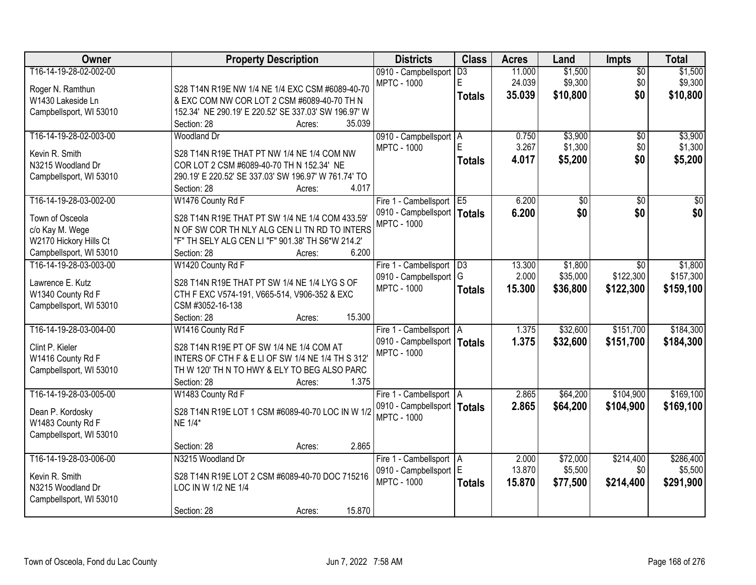| Owner                   | <b>Property Description</b>                                                  | <b>Districts</b>                                    | <b>Class</b>    | <b>Acres</b> | Land     | <b>Impts</b>    | <b>Total</b>     |
|-------------------------|------------------------------------------------------------------------------|-----------------------------------------------------|-----------------|--------------|----------|-----------------|------------------|
| T16-14-19-28-02-002-00  |                                                                              | 0910 - Campbellsport                                | $\overline{D3}$ | 11.000       | \$1,500  | $\overline{50}$ | \$1,500          |
| Roger N. Ramthun        | S28 T14N R19E NW 1/4 NE 1/4 EXC CSM #6089-40-70                              | <b>MPTC - 1000</b>                                  | E               | 24.039       | \$9,300  | \$0             | \$9,300          |
| W1430 Lakeside Ln       | & EXC COM NW COR LOT 2 CSM #6089-40-70 TH N                                  |                                                     | <b>Totals</b>   | 35.039       | \$10,800 | \$0             | \$10,800         |
| Campbellsport, WI 53010 | 152.34' NE 290.19' E 220.52' SE 337.03' SW 196.97' W                         |                                                     |                 |              |          |                 |                  |
|                         | 35.039<br>Section: 28<br>Acres:                                              |                                                     |                 |              |          |                 |                  |
| T16-14-19-28-02-003-00  | Woodland Dr                                                                  | 0910 - Campbellsport   A                            |                 | 0.750        | \$3,900  | $\overline{50}$ | \$3,900          |
|                         |                                                                              | <b>MPTC - 1000</b>                                  | E               | 3.267        | \$1,300  | \$0             | \$1,300          |
| Kevin R. Smith          | S28 T14N R19E THAT PT NW 1/4 NE 1/4 COM NW                                   |                                                     | <b>Totals</b>   | 4.017        | \$5,200  | \$0             | \$5,200          |
| N3215 Woodland Dr       | COR LOT 2 CSM #6089-40-70 TH N 152.34' NE                                    |                                                     |                 |              |          |                 |                  |
| Campbellsport, WI 53010 | 290.19' E 220.52' SE 337.03' SW 196.97' W 761.74' TO<br>4.017<br>Section: 28 |                                                     |                 |              |          |                 |                  |
| T16-14-19-28-03-002-00  | Acres:                                                                       |                                                     |                 | 6.200        |          |                 | $\overline{\$0}$ |
|                         | W1476 County Rd F                                                            | Fire 1 - Cambellsport E5                            |                 |              | \$0      | \$0             |                  |
| Town of Osceola         | S28 T14N R19E THAT PT SW 1/4 NE 1/4 COM 433.59'                              | 0910 - Campbellsport   Totals<br><b>MPTC - 1000</b> |                 | 6.200        | \$0      | \$0             | \$0              |
| c/o Kay M. Wege         | N OF SW COR TH NLY ALG CEN LI TN RD TO INTERS                                |                                                     |                 |              |          |                 |                  |
| W2170 Hickory Hills Ct  | "F" TH SELY ALG CEN LI "F" 901.38' TH S6*W 214.2'                            |                                                     |                 |              |          |                 |                  |
| Campbellsport, WI 53010 | 6.200<br>Section: 28<br>Acres:                                               |                                                     |                 |              |          |                 |                  |
| T16-14-19-28-03-003-00  | W1420 County Rd F                                                            | Fire 1 - Cambellsport                               | D3              | 13.300       | \$1,800  | $\overline{30}$ | \$1,800          |
|                         |                                                                              | 0910 - Campbellsport   G                            |                 | 2.000        | \$35,000 | \$122,300       | \$157,300        |
| Lawrence E. Kutz        | S28 T14N R19E THAT PT SW 1/4 NE 1/4 LYG S OF                                 | <b>MPTC - 1000</b>                                  | <b>Totals</b>   | 15.300       | \$36,800 | \$122,300       | \$159,100        |
| W1340 County Rd F       | CTH F EXC V574-191, V665-514, V906-352 & EXC                                 |                                                     |                 |              |          |                 |                  |
| Campbellsport, WI 53010 | CSM #3052-16-138                                                             |                                                     |                 |              |          |                 |                  |
|                         | 15.300<br>Section: 28<br>Acres:                                              |                                                     |                 |              |          |                 |                  |
| T16-14-19-28-03-004-00  | W1416 County Rd F                                                            | Fire 1 - Cambellsport   A                           |                 | 1.375        | \$32,600 | \$151,700       | \$184,300        |
| Clint P. Kieler         | S28 T14N R19E PT OF SW 1/4 NE 1/4 COM AT                                     | 0910 - Campbellsport   Totals                       |                 | 1.375        | \$32,600 | \$151,700       | \$184,300        |
| W1416 County Rd F       | INTERS OF CTH F & E LI OF SW 1/4 NE 1/4 TH S 312'                            | <b>MPTC - 1000</b>                                  |                 |              |          |                 |                  |
| Campbellsport, WI 53010 | TH W 120' TH N TO HWY & ELY TO BEG ALSO PARC                                 |                                                     |                 |              |          |                 |                  |
|                         | 1.375<br>Section: 28<br>Acres:                                               |                                                     |                 |              |          |                 |                  |
| T16-14-19-28-03-005-00  | W1483 County Rd F                                                            | Fire 1 - Cambellsport   A                           |                 | 2.865        | \$64,200 | \$104,900       | \$169,100        |
| Dean P. Kordosky        | S28 T14N R19E LOT 1 CSM #6089-40-70 LOC IN W 1/2                             | 0910 - Campbellsport   Totals                       |                 | 2.865        | \$64,200 | \$104,900       | \$169,100        |
| W1483 County Rd F       | NE 1/4*                                                                      | <b>MPTC - 1000</b>                                  |                 |              |          |                 |                  |
| Campbellsport, WI 53010 |                                                                              |                                                     |                 |              |          |                 |                  |
|                         | 2.865<br>Section: 28<br>Acres:                                               |                                                     |                 |              |          |                 |                  |
| T16-14-19-28-03-006-00  | N3215 Woodland Dr                                                            | Fire 1 - Cambellsport   A                           |                 | 2.000        | \$72,000 | \$214,400       | \$286,400        |
|                         |                                                                              | 0910 - Campbellsport E                              |                 | 13.870       | \$5,500  | \$0             | \$5,500          |
| Kevin R. Smith          | S28 T14N R19E LOT 2 CSM #6089-40-70 DOC 715216                               | <b>MPTC - 1000</b>                                  |                 | 15,870       |          |                 |                  |
| N3215 Woodland Dr       | LOC IN W 1/2 NE 1/4                                                          |                                                     | <b>Totals</b>   |              | \$77,500 | \$214,400       | \$291,900        |
| Campbellsport, WI 53010 |                                                                              |                                                     |                 |              |          |                 |                  |
|                         | 15.870<br>Section: 28<br>Acres:                                              |                                                     |                 |              |          |                 |                  |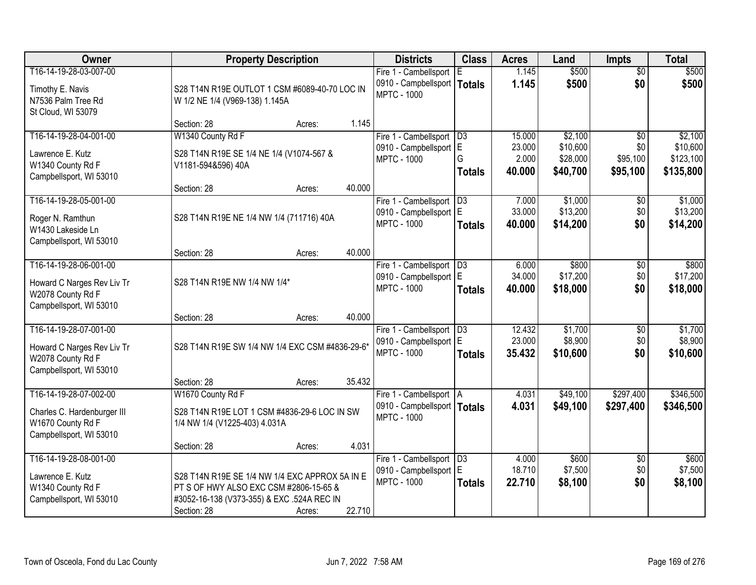| Owner                                                                                                 | <b>Property Description</b>                                                                                                                           |                  | <b>Districts</b>                                                                 | <b>Class</b>               | <b>Acres</b>                        | Land                                        | <b>Impts</b>                                   | <b>Total</b>                                  |
|-------------------------------------------------------------------------------------------------------|-------------------------------------------------------------------------------------------------------------------------------------------------------|------------------|----------------------------------------------------------------------------------|----------------------------|-------------------------------------|---------------------------------------------|------------------------------------------------|-----------------------------------------------|
| T16-14-19-28-03-007-00<br>Timothy E. Navis<br>N7536 Palm Tree Rd<br>St Cloud, WI 53079                | S28 T14N R19E OUTLOT 1 CSM #6089-40-70 LOC IN<br>W 1/2 NE 1/4 (V969-138) 1.145A                                                                       |                  | Fire 1 - Cambellsport<br>0910 - Campbellsport   Totals<br><b>MPTC - 1000</b>     | IE.                        | 1.145<br>1.145                      | \$500<br>\$500                              | $\overline{50}$<br>\$0                         | \$500<br>\$500                                |
|                                                                                                       | Section: 28                                                                                                                                           | 1.145<br>Acres:  |                                                                                  |                            |                                     |                                             |                                                |                                               |
| T16-14-19-28-04-001-00<br>Lawrence E. Kutz<br>W1340 County Rd F<br>Campbellsport, WI 53010            | W1340 County Rd F<br>S28 T14N R19E SE 1/4 NE 1/4 (V1074-567 &<br>V1181-594&596) 40A                                                                   |                  | Fire 1 - Cambellsport<br>0910 - Campbellsport E<br><b>MPTC - 1000</b>            | D3<br>G<br><b>Totals</b>   | 15,000<br>23.000<br>2.000<br>40.000 | \$2,100<br>\$10,600<br>\$28,000<br>\$40,700 | $\overline{50}$<br>\$0<br>\$95,100<br>\$95,100 | \$2,100<br>\$10,600<br>\$123,100<br>\$135,800 |
| T16-14-19-28-05-001-00                                                                                | Section: 28                                                                                                                                           | 40.000<br>Acres: |                                                                                  | D3                         | 7.000                               | \$1,000                                     |                                                | \$1,000                                       |
| Roger N. Ramthun<br>W1430 Lakeside Ln<br>Campbellsport, WI 53010                                      | S28 T14N R19E NE 1/4 NW 1/4 (711716) 40A                                                                                                              |                  | Fire 1 - Cambellsport<br>0910 - Campbellsport   E<br><b>MPTC - 1000</b>          | <b>Totals</b>              | 33.000<br>40.000                    | \$13,200<br>\$14,200                        | \$0<br>\$0<br>\$0                              | \$13,200<br>\$14,200                          |
|                                                                                                       | Section: 28                                                                                                                                           | 40.000<br>Acres: |                                                                                  |                            |                                     |                                             |                                                |                                               |
| T16-14-19-28-06-001-00<br>Howard C Narges Rev Liv Tr<br>W2078 County Rd F<br>Campbellsport, WI 53010  | S28 T14N R19E NW 1/4 NW 1/4*                                                                                                                          |                  | Fire 1 - Cambellsport<br>0910 - Campbellsport E<br><b>MPTC - 1000</b>            | D3<br><b>Totals</b>        | 6.000<br>34.000<br>40.000           | \$800<br>\$17,200<br>\$18,000               | \$0<br>\$0<br>\$0                              | \$800<br>\$17,200<br>\$18,000                 |
|                                                                                                       | Section: 28                                                                                                                                           | 40.000<br>Acres: |                                                                                  |                            |                                     |                                             |                                                |                                               |
| T16-14-19-28-07-001-00<br>Howard C Narges Rev Liv Tr<br>W2078 County Rd F<br>Campbellsport, WI 53010  | S28 T14N R19E SW 1/4 NW 1/4 EXC CSM #4836-29-6*                                                                                                       |                  | Fire 1 - Cambellsport<br>0910 - Campbellsport   E<br><b>MPTC - 1000</b>          | D3<br><b>Totals</b>        | 12.432<br>23.000<br>35.432          | \$1,700<br>\$8,900<br>\$10,600              | \$0<br>\$0<br>\$0                              | \$1,700<br>\$8,900<br>\$10,600                |
|                                                                                                       | Section: 28                                                                                                                                           | 35.432<br>Acres: |                                                                                  |                            |                                     |                                             |                                                |                                               |
| T16-14-19-28-07-002-00<br>Charles C. Hardenburger III<br>W1670 County Rd F<br>Campbellsport, WI 53010 | W1670 County Rd F<br>S28 T14N R19E LOT 1 CSM #4836-29-6 LOC IN SW<br>1/4 NW 1/4 (V1225-403) 4.031A                                                    |                  | Fire 1 - Cambellsport   A<br>0910 - Campbellsport   Totals<br><b>MPTC - 1000</b> |                            | 4.031<br>4.031                      | \$49,100<br>\$49,100                        | \$297,400<br>\$297,400                         | \$346,500<br>\$346,500                        |
|                                                                                                       | Section: 28                                                                                                                                           | 4.031<br>Acres:  |                                                                                  |                            |                                     |                                             |                                                |                                               |
| T16-14-19-28-08-001-00<br>Lawrence E. Kutz<br>W1340 County Rd F<br>Campbellsport, WI 53010            | S28 T14N R19E SE 1/4 NW 1/4 EXC APPROX 5A IN E<br>PT S OF HWY ALSO EXC CSM #2806-15-65 &<br>#3052-16-138 (V373-355) & EXC .524A REC IN<br>Section: 28 | 22.710<br>Acres: | Fire 1 - Cambellsport<br>0910 - Campbellsport<br><b>MPTC - 1000</b>              | D3<br>IE.<br><b>Totals</b> | 4.000<br>18.710<br>22.710           | \$600<br>\$7,500<br>\$8,100                 | $\overline{60}$<br>\$0<br>\$0                  | \$600<br>\$7,500<br>\$8,100                   |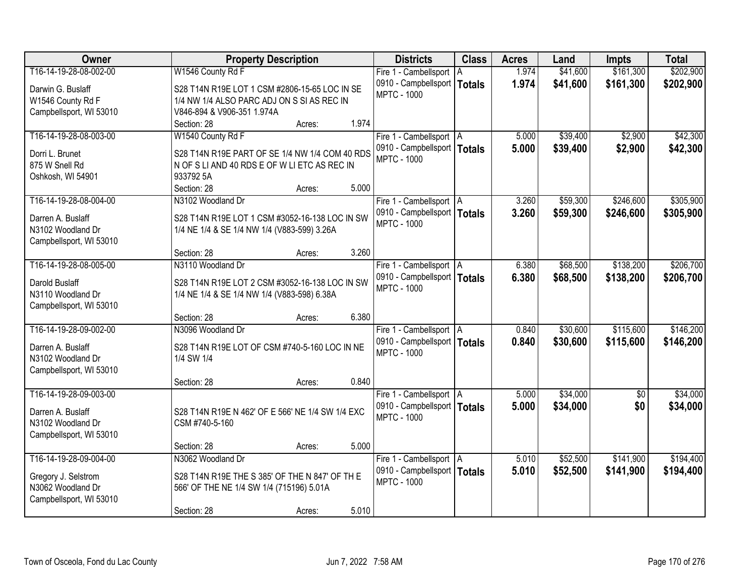| \$161,300<br>T16-14-19-28-08-002-00<br>W1546 County Rd F<br>1.974<br>\$41,600<br>Fire 1 - Cambellsport<br>ΙA                                    | \$202,900 |
|-------------------------------------------------------------------------------------------------------------------------------------------------|-----------|
|                                                                                                                                                 |           |
| 0910 - Campbellsport  <br>1.974<br>\$41,600<br>\$161,300<br><b>Totals</b><br>Darwin G. Buslaff<br>S28 T14N R19E LOT 1 CSM #2806-15-65 LOC IN SE | \$202,900 |
| <b>MPTC - 1000</b><br>W1546 County Rd F<br>1/4 NW 1/4 ALSO PARC ADJ ON S SI AS REC IN                                                           |           |
| Campbellsport, WI 53010<br>V846-894 & V906-351 1.974A                                                                                           |           |
| 1.974<br>Section: 28<br>Acres:                                                                                                                  |           |
| T16-14-19-28-08-003-00<br>W1540 County Rd F<br>\$39,400<br>\$2,900<br>Fire 1 - Cambellsport   A<br>5.000                                        | \$42,300  |
| 5.000<br>\$39,400<br>0910 - Campbellsport   Totals<br>\$2,900<br>Dorri L. Brunet<br>S28 T14N R19E PART OF SE 1/4 NW 1/4 COM 40 RDS              | \$42,300  |
| <b>MPTC - 1000</b><br>875 W Snell Rd<br>N OF S LI AND 40 RDS E OF W LI ETC AS REC IN                                                            |           |
| 933792 5A<br>Oshkosh, WI 54901                                                                                                                  |           |
| 5.000<br>Section: 28<br>Acres:                                                                                                                  |           |
| T16-14-19-28-08-004-00<br>\$59,300<br>\$246,600<br>N3102 Woodland Dr<br>3.260<br>Fire 1 - Cambellsport   A                                      | \$305,900 |
| 0910 - Campbellsport   Totals<br>3.260<br>\$59,300<br>\$246,600                                                                                 | \$305,900 |
| Darren A. Buslaff<br>S28 T14N R19E LOT 1 CSM #3052-16-138 LOC IN SW<br><b>MPTC - 1000</b>                                                       |           |
| 1/4 NE 1/4 & SE 1/4 NW 1/4 (V883-599) 3.26A<br>N3102 Woodland Dr                                                                                |           |
| Campbellsport, WI 53010<br>3.260<br>Section: 28<br>Acres:                                                                                       |           |
| T16-14-19-28-08-005-00<br>\$68,500<br>\$138,200<br>N3110 Woodland Dr<br>Fire 1 - Cambellsport   A<br>6.380                                      | \$206,700 |
| 0910 - Campbellsport   Totals<br>6.380<br>\$68,500<br>\$138,200                                                                                 | \$206,700 |
| Darold Buslaff<br>S28 T14N R19E LOT 2 CSM #3052-16-138 LOC IN SW<br><b>MPTC - 1000</b>                                                          |           |
| N3110 Woodland Dr<br>1/4 NE 1/4 & SE 1/4 NW 1/4 (V883-598) 6.38A                                                                                |           |
| Campbellsport, WI 53010                                                                                                                         |           |
| 6.380<br>Section: 28<br>Acres:                                                                                                                  |           |
| T16-14-19-28-09-002-00<br>N3096 Woodland Dr<br>\$30,600<br>\$115,600<br>0.840<br>Fire 1 - Cambellsport   A                                      | \$146,200 |
| 0.840<br>0910 - Campbellsport   Totals<br>\$30,600<br>\$115,600<br>S28 T14N R19E LOT OF CSM #740-5-160 LOC IN NE<br>Darren A. Buslaff           | \$146,200 |
| <b>MPTC - 1000</b><br>N3102 Woodland Dr<br>1/4 SW 1/4                                                                                           |           |
| Campbellsport, WI 53010                                                                                                                         |           |
| 0.840<br>Section: 28<br>Acres:                                                                                                                  |           |
| \$34,000<br>T16-14-19-28-09-003-00<br>Fire 1 - Cambellsport   A<br>5.000<br>$\overline{50}$                                                     | \$34,000  |
| 5.000<br>\$34,000<br>\$0<br>0910 - Campbellsport   Totals<br>Darren A. Buslaff<br>S28 T14N R19E N 462' OF E 566' NE 1/4 SW 1/4 EXC              | \$34,000  |
| <b>MPTC - 1000</b><br>CSM #740-5-160<br>N3102 Woodland Dr                                                                                       |           |
| Campbellsport, WI 53010                                                                                                                         |           |
| 5.000<br>Section: 28<br>Acres:                                                                                                                  |           |
| T16-14-19-28-09-004-00<br>\$52,500<br>N3062 Woodland Dr<br>5.010<br>\$141,900<br>Fire 1 - Cambellsport   A                                      | \$194,400 |
| 0910 - Campbellsport   Totals<br>5.010<br>\$52,500<br>\$141,900<br>S28 T14N R19E THE S 385' OF THE N 847' OF TH E                               | \$194,400 |
| Gregory J. Selstrom<br><b>MPTC - 1000</b><br>N3062 Woodland Dr                                                                                  |           |
| 566' OF THE NE 1/4 SW 1/4 (715196) 5.01A<br>Campbellsport, WI 53010                                                                             |           |
| 5.010<br>Section: 28<br>Acres:                                                                                                                  |           |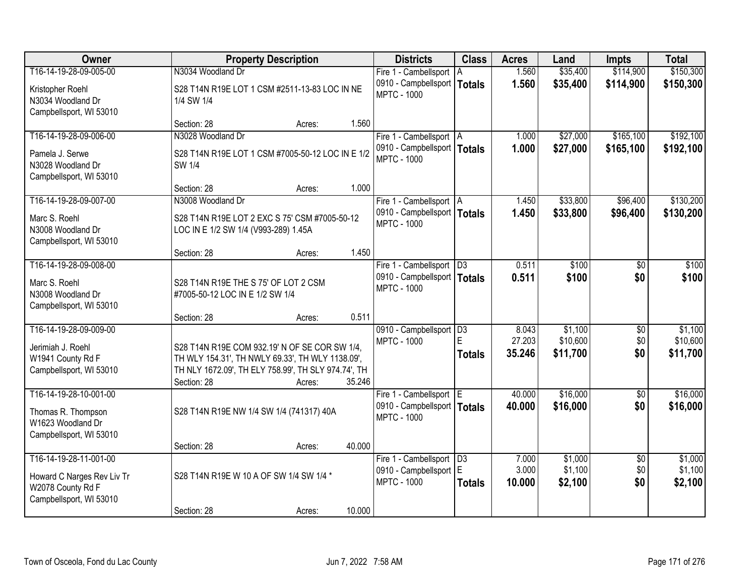| <b>Owner</b>                                                                                         |                                                                                                                                                                         | <b>Property Description</b> |        | <b>Districts</b>                                                           | <b>Class</b>                           | <b>Acres</b>              | Land                            | <b>Impts</b>                  | <b>Total</b>                    |
|------------------------------------------------------------------------------------------------------|-------------------------------------------------------------------------------------------------------------------------------------------------------------------------|-----------------------------|--------|----------------------------------------------------------------------------|----------------------------------------|---------------------------|---------------------------------|-------------------------------|---------------------------------|
| T16-14-19-28-09-005-00                                                                               | N3034 Woodland Dr                                                                                                                                                       |                             |        | Fire 1 - Cambellsport                                                      | ΙA                                     | 1.560                     | \$35,400                        | \$114,900                     | \$150,300                       |
| Kristopher Roehl<br>N3034 Woodland Dr                                                                | S28 T14N R19E LOT 1 CSM #2511-13-83 LOC IN NE<br>1/4 SW 1/4                                                                                                             |                             |        | 0910 - Campbellsport<br><b>MPTC - 1000</b>                                 | <b>Totals</b>                          | 1.560                     | \$35,400                        | \$114,900                     | \$150,300                       |
| Campbellsport, WI 53010                                                                              | Section: 28                                                                                                                                                             | Acres:                      | 1.560  |                                                                            |                                        |                           |                                 |                               |                                 |
| T16-14-19-28-09-006-00                                                                               | N3028 Woodland Dr                                                                                                                                                       |                             |        | Fire 1 - Cambellsport   A                                                  |                                        | 1.000                     | \$27,000                        | \$165,100                     | \$192,100                       |
| Pamela J. Serwe<br>N3028 Woodland Dr<br>Campbellsport, WI 53010                                      | S28 T14N R19E LOT 1 CSM #7005-50-12 LOC IN E 1/2<br>SW 1/4                                                                                                              |                             |        | 0910 - Campbellsport   Totals<br><b>MPTC - 1000</b>                        |                                        | 1.000                     | \$27,000                        | \$165,100                     | \$192,100                       |
|                                                                                                      | Section: 28                                                                                                                                                             | Acres:                      | 1.000  |                                                                            |                                        |                           |                                 |                               |                                 |
| T16-14-19-28-09-007-00                                                                               | N3008 Woodland Dr                                                                                                                                                       |                             |        | Fire 1 - Cambellsport   A                                                  |                                        | 1.450                     | \$33,800                        | \$96,400                      | \$130,200                       |
| Marc S. Roehl<br>N3008 Woodland Dr<br>Campbellsport, WI 53010                                        | S28 T14N R19E LOT 2 EXC S 75' CSM #7005-50-12<br>LOC IN E 1/2 SW 1/4 (V993-289) 1.45A                                                                                   |                             |        | 0910 - Campbellsport   Totals<br><b>MPTC - 1000</b>                        |                                        | 1.450                     | \$33,800                        | \$96,400                      | \$130,200                       |
|                                                                                                      | Section: 28                                                                                                                                                             | Acres:                      | 1.450  |                                                                            |                                        |                           |                                 |                               |                                 |
| T16-14-19-28-09-008-00                                                                               |                                                                                                                                                                         |                             |        | Fire 1 - Cambellsport   D3                                                 |                                        | 0.511                     | \$100                           | \$0                           | \$100                           |
| Marc S. Roehl<br>N3008 Woodland Dr<br>Campbellsport, WI 53010                                        | S28 T14N R19E THE S 75' OF LOT 2 CSM<br>#7005-50-12 LOC IN E 1/2 SW 1/4                                                                                                 |                             |        | 0910 - Campbellsport   Totals<br><b>MPTC - 1000</b>                        |                                        | 0.511                     | \$100                           | \$0                           | \$100                           |
|                                                                                                      | Section: 28                                                                                                                                                             | Acres:                      | 0.511  |                                                                            |                                        |                           |                                 |                               |                                 |
| T16-14-19-28-09-009-00<br>Jerimiah J. Roehl<br>W1941 County Rd F<br>Campbellsport, WI 53010          | S28 T14N R19E COM 932.19' N OF SE COR SW 1/4,<br>TH WLY 154.31', TH NWLY 69.33', TH WLY 1138.09',<br>TH NLY 1672.09', TH ELY 758.99', TH SLY 974.74', TH<br>Section: 28 | Acres:                      | 35.246 | 0910 - Campbellsport<br><b>MPTC - 1000</b>                                 | $\overline{D3}$<br>E.<br><b>Totals</b> | 8.043<br>27.203<br>35.246 | \$1,100<br>\$10,600<br>\$11,700 | \$0<br>\$0<br>\$0             | \$1,100<br>\$10,600<br>\$11,700 |
| T16-14-19-28-10-001-00                                                                               |                                                                                                                                                                         |                             |        | Fire 1 - Cambellsport E                                                    |                                        | 40.000                    | \$16,000                        | $\overline{50}$               | \$16,000                        |
| Thomas R. Thompson<br>W1623 Woodland Dr<br>Campbellsport, WI 53010                                   | S28 T14N R19E NW 1/4 SW 1/4 (741317) 40A                                                                                                                                |                             |        | 0910 - Campbellsport   Totals<br><b>MPTC - 1000</b>                        |                                        | 40.000                    | \$16,000                        | \$0                           | \$16,000                        |
|                                                                                                      | Section: 28                                                                                                                                                             | Acres:                      | 40.000 |                                                                            |                                        |                           |                                 |                               |                                 |
| T16-14-19-28-11-001-00<br>Howard C Narges Rev Liv Tr<br>W2078 County Rd F<br>Campbellsport, WI 53010 | S28 T14N R19E W 10 A OF SW 1/4 SW 1/4 *                                                                                                                                 |                             |        | Fire 1 - Cambellsport   D3<br>0910 - Campbellsport E<br><b>MPTC - 1000</b> | <b>Totals</b>                          | 7.000<br>3.000<br>10.000  | \$1,000<br>\$1,100<br>\$2,100   | $\overline{50}$<br>\$0<br>\$0 | \$1,000<br>\$1,100<br>\$2,100   |
|                                                                                                      | Section: 28                                                                                                                                                             | Acres:                      | 10.000 |                                                                            |                                        |                           |                                 |                               |                                 |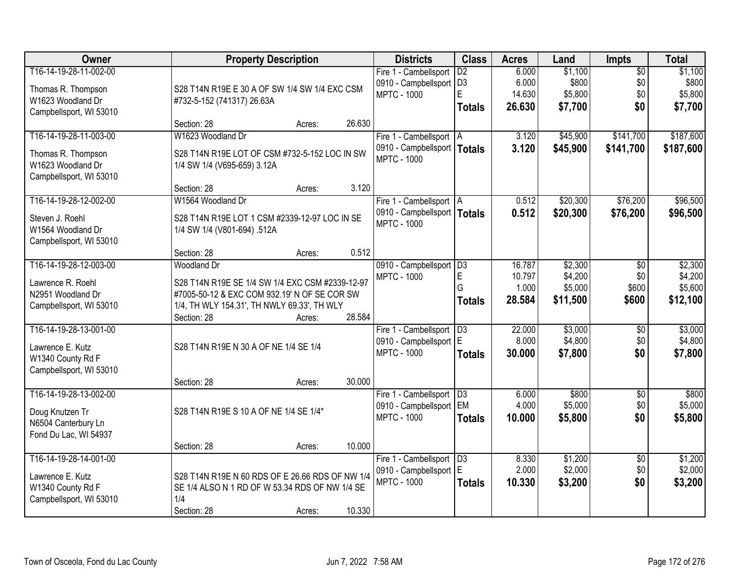| Owner                                                                                        | <b>Property Description</b>                                                                                                                                                                             | <b>Districts</b>                                                              | <b>Class</b>                               | <b>Acres</b>                        | Land                                      | <b>Impts</b>                           | <b>Total</b>                              |
|----------------------------------------------------------------------------------------------|---------------------------------------------------------------------------------------------------------------------------------------------------------------------------------------------------------|-------------------------------------------------------------------------------|--------------------------------------------|-------------------------------------|-------------------------------------------|----------------------------------------|-------------------------------------------|
| T16-14-19-28-11-002-00<br>Thomas R. Thompson<br>W1623 Woodland Dr<br>Campbellsport, WI 53010 | S28 T14N R19E E 30 A OF SW 1/4 SW 1/4 EXC CSM<br>#732-5-152 (741317) 26.63A                                                                                                                             | Fire 1 - Cambellsport<br>0910 - Campbellsport   D3<br><b>MPTC - 1000</b>      | $\overline{D2}$<br>E<br><b>Totals</b>      | 6.000<br>6.000<br>14.630<br>26.630  | \$1,100<br>\$800<br>\$5,800<br>\$7,700    | $\overline{50}$<br>\$0<br>\$0<br>\$0   | \$1,100<br>\$800<br>\$5,800<br>\$7,700    |
|                                                                                              | 26.630<br>Section: 28<br>Acres:                                                                                                                                                                         |                                                                               |                                            |                                     |                                           |                                        |                                           |
| T16-14-19-28-11-003-00<br>Thomas R. Thompson<br>W1623 Woodland Dr<br>Campbellsport, WI 53010 | W1623 Woodland Dr<br>S28 T14N R19E LOT OF CSM #732-5-152 LOC IN SW<br>1/4 SW 1/4 (V695-659) 3.12A                                                                                                       | Fire 1 - Cambellsport   A<br>0910 - Campbellsport  <br><b>MPTC - 1000</b>     | <b>Totals</b>                              | 3.120<br>3.120                      | \$45,900<br>\$45,900                      | \$141,700<br>\$141,700                 | \$187,600<br>\$187,600                    |
| T16-14-19-28-12-002-00                                                                       | 3.120<br>Section: 28<br>Acres:<br>W1564 Woodland Dr                                                                                                                                                     | Fire 1 - Cambellsport   A                                                     |                                            | 0.512                               | \$20,300                                  | \$76,200                               | \$96,500                                  |
| Steven J. Roehl<br>W1564 Woodland Dr<br>Campbellsport, WI 53010                              | S28 T14N R19E LOT 1 CSM #2339-12-97 LOC IN SE<br>1/4 SW 1/4 (V801-694) .512A                                                                                                                            | 0910 - Campbellsport   Totals<br><b>MPTC - 1000</b>                           |                                            | 0.512                               | \$20,300                                  | \$76,200                               | \$96,500                                  |
|                                                                                              | 0.512<br>Section: 28<br>Acres:                                                                                                                                                                          |                                                                               |                                            |                                     |                                           |                                        |                                           |
| T16-14-19-28-12-003-00<br>Lawrence R. Roehl<br>N2951 Woodland Dr<br>Campbellsport, WI 53010  | <b>Woodland Dr</b><br>S28 T14N R19E SE 1/4 SW 1/4 EXC CSM #2339-12-97<br>#7005-50-12 & EXC COM 932.19' N OF SE COR SW<br>1/4, TH WLY 154.31', TH NWLY 69.33', TH WLY<br>28.584<br>Section: 28<br>Acres: | 0910 - Campbellsport<br><b>MPTC - 1000</b>                                    | $\overline{D3}$<br>E<br>G<br><b>Totals</b> | 16.787<br>10.797<br>1.000<br>28.584 | \$2,300<br>\$4,200<br>\$5,000<br>\$11,500 | $\sqrt[6]{3}$<br>\$0<br>\$600<br>\$600 | \$2,300<br>\$4,200<br>\$5,600<br>\$12,100 |
| T16-14-19-28-13-001-00<br>Lawrence E. Kutz<br>W1340 County Rd F<br>Campbellsport, WI 53010   | S28 T14N R19E N 30 A OF NE 1/4 SE 1/4<br>30.000<br>Section: 28<br>Acres:                                                                                                                                | Fire 1 - Cambellsport<br>0910 - Campbellsport E<br><b>MPTC - 1000</b>         | $\overline{D3}$<br><b>Totals</b>           | 22.000<br>8.000<br>30.000           | \$3,000<br>\$4,800<br>\$7,800             | $\overline{50}$<br>\$0<br>\$0          | \$3,000<br>\$4,800<br>\$7,800             |
| T16-14-19-28-13-002-00<br>Doug Knutzen Tr<br>N6504 Canterbury Ln<br>Fond Du Lac, WI 54937    | S28 T14N R19E S 10 A OF NE 1/4 SE 1/4*<br>10.000                                                                                                                                                        | Fire 1 - Cambellsport   D3<br>0910 - Campbellsport   EM<br><b>MPTC - 1000</b> | <b>Totals</b>                              | 6.000<br>4.000<br>10.000            | \$800<br>\$5,000<br>\$5,800               | $\overline{60}$<br>\$0<br>\$0          | \$800<br>\$5,000<br>\$5,800               |
| T16-14-19-28-14-001-00<br>Lawrence E. Kutz<br>W1340 County Rd F<br>Campbellsport, WI 53010   | Section: 28<br>Acres:<br>S28 T14N R19E N 60 RDS OF E 26.66 RDS OF NW 1/4<br>SE 1/4 ALSO N 1 RD OF W 53.34 RDS OF NW 1/4 SE<br>1/4<br>Section: 28<br>10.330<br>Acres:                                    | Fire 1 - Cambellsport   D3<br>0910 - Campbellsport E<br><b>MPTC - 1000</b>    | <b>Totals</b>                              | 8.330<br>2.000<br>10.330            | \$1,200<br>\$2,000<br>\$3,200             | $\overline{50}$<br>\$0<br>\$0          | \$1,200<br>\$2,000<br>\$3,200             |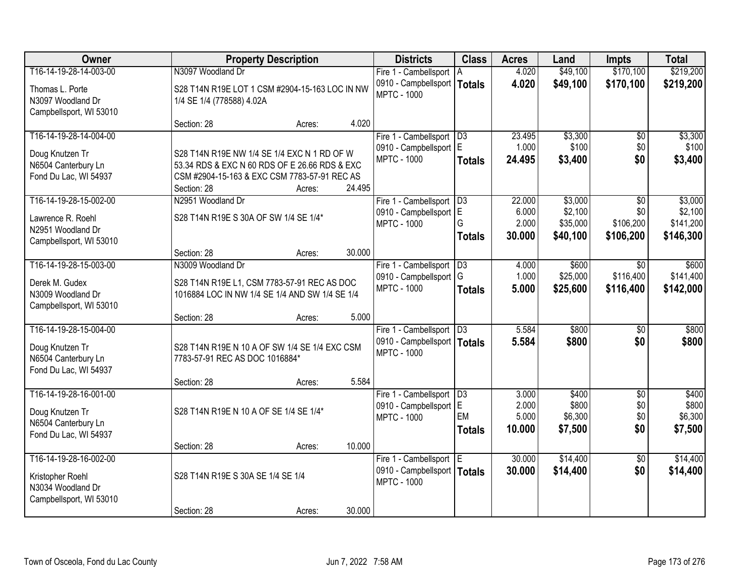| Owner                   |                                                | <b>Property Description</b> |        | <b>Districts</b>                                    | <b>Class</b>    | <b>Acres</b>   | Land             | <b>Impts</b>    | <b>Total</b>     |
|-------------------------|------------------------------------------------|-----------------------------|--------|-----------------------------------------------------|-----------------|----------------|------------------|-----------------|------------------|
| T16-14-19-28-14-003-00  | N3097 Woodland Dr                              |                             |        | Fire 1 - Cambellsport   A                           |                 | 4.020          | \$49,100         | \$170,100       | \$219,200        |
| Thomas L. Porte         | S28 T14N R19E LOT 1 CSM #2904-15-163 LOC IN NW |                             |        | 0910 - Campbellsport                                | <b>Totals</b>   | 4.020          | \$49,100         | \$170,100       | \$219,200        |
| N3097 Woodland Dr       | 1/4 SE 1/4 (778588) 4.02A                      |                             |        | <b>MPTC - 1000</b>                                  |                 |                |                  |                 |                  |
| Campbellsport, WI 53010 |                                                |                             |        |                                                     |                 |                |                  |                 |                  |
|                         | Section: 28                                    | Acres:                      | 4.020  |                                                     |                 |                |                  |                 |                  |
| T16-14-19-28-14-004-00  |                                                |                             |        | Fire 1 - Cambellsport   D3                          |                 | 23.495         | \$3,300          | \$0             | \$3,300          |
| Doug Knutzen Tr         | S28 T14N R19E NW 1/4 SE 1/4 EXC N 1 RD OF W    |                             |        | 0910 - Campbellsport E                              |                 | 1.000          | \$100            | \$0             | \$100            |
| N6504 Canterbury Ln     | 53.34 RDS & EXC N 60 RDS OF E 26.66 RDS & EXC  |                             |        | <b>MPTC - 1000</b>                                  | <b>Totals</b>   | 24.495         | \$3,400          | \$0             | \$3,400          |
| Fond Du Lac, WI 54937   | CSM #2904-15-163 & EXC CSM 7783-57-91 REC AS   |                             |        |                                                     |                 |                |                  |                 |                  |
|                         | Section: 28                                    | Acres:                      | 24.495 |                                                     |                 |                |                  |                 |                  |
| T16-14-19-28-15-002-00  | N2951 Woodland Dr                              |                             |        | Fire 1 - Cambellsport   D3                          |                 | 22.000         | \$3,000          | \$0             | \$3,000          |
| Lawrence R. Roehl       | S28 T14N R19E S 30A OF SW 1/4 SE 1/4*          |                             |        | 0910 - Campbellsport   E                            |                 | 6.000          | \$2,100          | \$0             | \$2,100          |
| N2951 Woodland Dr       |                                                |                             |        | <b>MPTC - 1000</b>                                  | G               | 2.000          | \$35,000         | \$106,200       | \$141,200        |
| Campbellsport, WI 53010 |                                                |                             |        |                                                     | <b>Totals</b>   | 30,000         | \$40,100         | \$106,200       | \$146,300        |
|                         | Section: 28                                    | Acres:                      | 30.000 |                                                     |                 |                |                  |                 |                  |
| T16-14-19-28-15-003-00  | N3009 Woodland Dr                              |                             |        | Fire 1 - Cambellsport                               | $\overline{D3}$ | 4.000          | \$600            | $\sqrt{6}$      | \$600            |
| Derek M. Gudex          | S28 T14N R19E L1, CSM 7783-57-91 REC AS DOC    |                             |        | 0910 - Campbellsport G                              |                 | 1.000          | \$25,000         | \$116,400       | \$141,400        |
| N3009 Woodland Dr       | 1016884 LOC IN NW 1/4 SE 1/4 AND SW 1/4 SE 1/4 |                             |        | <b>MPTC - 1000</b>                                  | <b>Totals</b>   | 5.000          | \$25,600         | \$116,400       | \$142,000        |
| Campbellsport, WI 53010 |                                                |                             |        |                                                     |                 |                |                  |                 |                  |
|                         | Section: 28                                    | Acres:                      | 5.000  |                                                     |                 |                |                  |                 |                  |
| T16-14-19-28-15-004-00  |                                                |                             |        | Fire 1 - Cambellsport   D3                          |                 | 5.584          | \$800            | $\overline{30}$ | \$800            |
| Doug Knutzen Tr         | S28 T14N R19E N 10 A OF SW 1/4 SE 1/4 EXC CSM  |                             |        | 0910 - Campbellsport   Totals                       |                 | 5.584          | \$800            | \$0             | \$800            |
| N6504 Canterbury Ln     | 7783-57-91 REC AS DOC 1016884*                 |                             |        | <b>MPTC - 1000</b>                                  |                 |                |                  |                 |                  |
| Fond Du Lac, WI 54937   |                                                |                             |        |                                                     |                 |                |                  |                 |                  |
|                         | Section: 28                                    | Acres:                      | 5.584  |                                                     |                 |                |                  |                 |                  |
| T16-14-19-28-16-001-00  |                                                |                             |        | Fire 1 - Cambellsport   D3                          |                 | 3.000          | \$400            | $\overline{50}$ | \$400            |
| Doug Knutzen Tr         | S28 T14N R19E N 10 A OF SE 1/4 SE 1/4*         |                             |        | 0910 - Campbellsport E                              | EM              | 2.000<br>5.000 | \$800<br>\$6,300 | \$0<br>\$0      | \$800<br>\$6,300 |
| N6504 Canterbury Ln     |                                                |                             |        | <b>MPTC - 1000</b>                                  | <b>Totals</b>   | 10.000         | \$7,500          | \$0             | \$7,500          |
| Fond Du Lac, WI 54937   |                                                |                             |        |                                                     |                 |                |                  |                 |                  |
|                         | Section: 28                                    | Acres:                      | 10.000 |                                                     |                 |                |                  |                 |                  |
| T16-14-19-28-16-002-00  |                                                |                             |        | Fire 1 - Cambellsport E                             |                 | 30.000         | \$14,400         | $\overline{30}$ | \$14,400         |
| Kristopher Roehl        | S28 T14N R19E S 30A SE 1/4 SE 1/4              |                             |        | 0910 - Campbellsport   Totals<br><b>MPTC - 1000</b> |                 | 30.000         | \$14,400         | \$0             | \$14,400         |
| N3034 Woodland Dr       |                                                |                             |        |                                                     |                 |                |                  |                 |                  |
| Campbellsport, WI 53010 |                                                |                             |        |                                                     |                 |                |                  |                 |                  |
|                         | Section: 28                                    | Acres:                      | 30.000 |                                                     |                 |                |                  |                 |                  |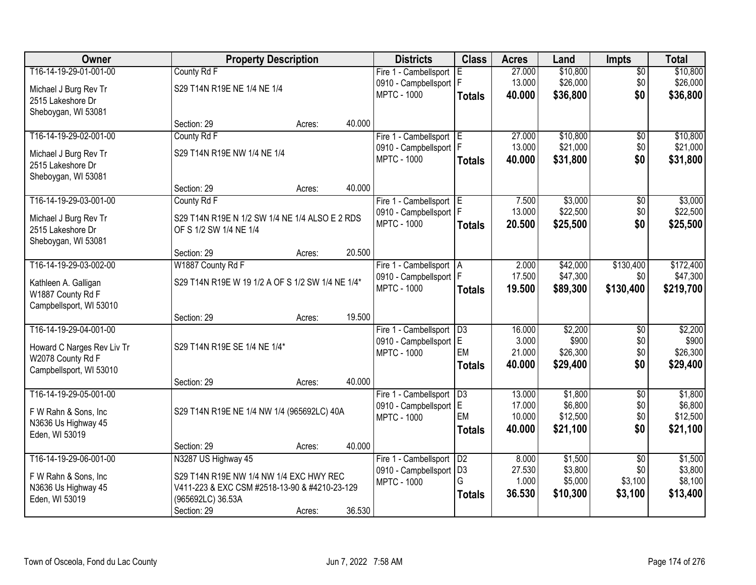| Owner                      |                                                  | <b>Property Description</b> |        | <b>Districts</b>         | <b>Class</b>    | <b>Acres</b> | Land     | <b>Impts</b>    | <b>Total</b> |
|----------------------------|--------------------------------------------------|-----------------------------|--------|--------------------------|-----------------|--------------|----------|-----------------|--------------|
| T16-14-19-29-01-001-00     | County Rd F                                      |                             |        | Fire 1 - Cambellsport    | E               | 27.000       | \$10,800 | \$0             | \$10,800     |
| Michael J Burg Rev Tr      | S29 T14N R19E NE 1/4 NE 1/4                      |                             |        | 0910 - Campbellsport   F |                 | 13.000       | \$26,000 | \$0             | \$26,000     |
| 2515 Lakeshore Dr          |                                                  |                             |        | <b>MPTC - 1000</b>       | <b>Totals</b>   | 40.000       | \$36,800 | \$0             | \$36,800     |
| Sheboygan, WI 53081        |                                                  |                             |        |                          |                 |              |          |                 |              |
|                            | Section: 29                                      | Acres:                      | 40.000 |                          |                 |              |          |                 |              |
| T16-14-19-29-02-001-00     | County Rd F                                      |                             |        | Fire 1 - Cambellsport E  |                 | 27.000       | \$10,800 | \$0             | \$10,800     |
| Michael J Burg Rev Tr      | S29 T14N R19E NW 1/4 NE 1/4                      |                             |        | 0910 - Campbellsport     | l F             | 13.000       | \$21,000 | \$0             | \$21,000     |
| 2515 Lakeshore Dr          |                                                  |                             |        | <b>MPTC - 1000</b>       | <b>Totals</b>   | 40.000       | \$31,800 | \$0             | \$31,800     |
| Sheboygan, WI 53081        |                                                  |                             |        |                          |                 |              |          |                 |              |
|                            | Section: 29                                      | Acres:                      | 40.000 |                          |                 |              |          |                 |              |
| T16-14-19-29-03-001-00     | County Rd F                                      |                             |        | Fire 1 - Cambellsport E  |                 | 7.500        | \$3,000  | \$0             | \$3,000      |
| Michael J Burg Rev Tr      | S29 T14N R19E N 1/2 SW 1/4 NE 1/4 ALSO E 2 RDS   |                             |        | 0910 - Campbellsport   F |                 | 13.000       | \$22,500 | \$0             | \$22,500     |
| 2515 Lakeshore Dr          | OF S 1/2 SW 1/4 NE 1/4                           |                             |        | <b>MPTC - 1000</b>       | <b>Totals</b>   | 20.500       | \$25,500 | \$0             | \$25,500     |
| Sheboygan, WI 53081        |                                                  |                             |        |                          |                 |              |          |                 |              |
|                            | Section: 29                                      | Acres:                      | 20.500 |                          |                 |              |          |                 |              |
| T16-14-19-29-03-002-00     | W1887 County Rd F                                |                             |        | Fire 1 - Cambellsport    | IA.             | 2.000        | \$42,000 | \$130,400       | \$172,400    |
| Kathleen A. Galligan       | S29 T14N R19E W 19 1/2 A OF S 1/2 SW 1/4 NE 1/4* |                             |        | 0910 - Campbellsport   F |                 | 17.500       | \$47,300 | \$0             | \$47,300     |
| W1887 County Rd F          |                                                  |                             |        | <b>MPTC - 1000</b>       | <b>Totals</b>   | 19.500       | \$89,300 | \$130,400       | \$219,700    |
| Campbellsport, WI 53010    |                                                  |                             |        |                          |                 |              |          |                 |              |
|                            | Section: 29                                      | Acres:                      | 19.500 |                          |                 |              |          |                 |              |
| T16-14-19-29-04-001-00     |                                                  |                             |        | Fire 1 - Cambellsport    | $\overline{D3}$ | 16.000       | \$2,200  | $\overline{50}$ | \$2,200      |
| Howard C Narges Rev Liv Tr | S29 T14N R19E SE 1/4 NE 1/4*                     |                             |        | 0910 - Campbellsport     | lE.             | 3.000        | \$900    | \$0             | \$900        |
| W2078 County Rd F          |                                                  |                             |        | <b>MPTC - 1000</b>       | EM              | 21.000       | \$26,300 | \$0             | \$26,300     |
| Campbellsport, WI 53010    |                                                  |                             |        |                          | <b>Totals</b>   | 40.000       | \$29,400 | \$0             | \$29,400     |
|                            | Section: 29                                      | Acres:                      | 40.000 |                          |                 |              |          |                 |              |
| T16-14-19-29-05-001-00     |                                                  |                             |        | Fire 1 - Cambellsport    | D3              | 13.000       | \$1,800  | $\overline{50}$ | \$1,800      |
| F W Rahn & Sons, Inc       | S29 T14N R19E NE 1/4 NW 1/4 (965692LC) 40A       |                             |        | 0910 - Campbellsport E   |                 | 17.000       | \$6,800  | \$0             | \$6,800      |
| N3636 Us Highway 45        |                                                  |                             |        | <b>MPTC - 1000</b>       | EM              | 10.000       | \$12,500 | \$0             | \$12,500     |
| Eden, WI 53019             |                                                  |                             |        |                          | <b>Totals</b>   | 40.000       | \$21,100 | \$0             | \$21,100     |
|                            | Section: 29                                      | Acres:                      | 40.000 |                          |                 |              |          |                 |              |
| T16-14-19-29-06-001-00     | N3287 US Highway 45                              |                             |        | Fire 1 - Cambellsport    | D2              | 8.000        | \$1,500  | $\overline{50}$ | \$1,500      |
| F W Rahn & Sons, Inc       | S29 T14N R19E NW 1/4 NW 1/4 EXC HWY REC          |                             |        | 0910 - Campbellsport     | D <sub>3</sub>  | 27.530       | \$3,800  | \$0             | \$3,800      |
| N3636 Us Highway 45        | V411-223 & EXC CSM #2518-13-90 & #4210-23-129    |                             |        | <b>MPTC - 1000</b>       | G               | 1.000        | \$5,000  | \$3,100         | \$8,100      |
| Eden, WI 53019             | (965692LC) 36.53A                                |                             |        |                          | <b>Totals</b>   | 36.530       | \$10,300 | \$3,100         | \$13,400     |
|                            | Section: 29                                      | Acres:                      | 36.530 |                          |                 |              |          |                 |              |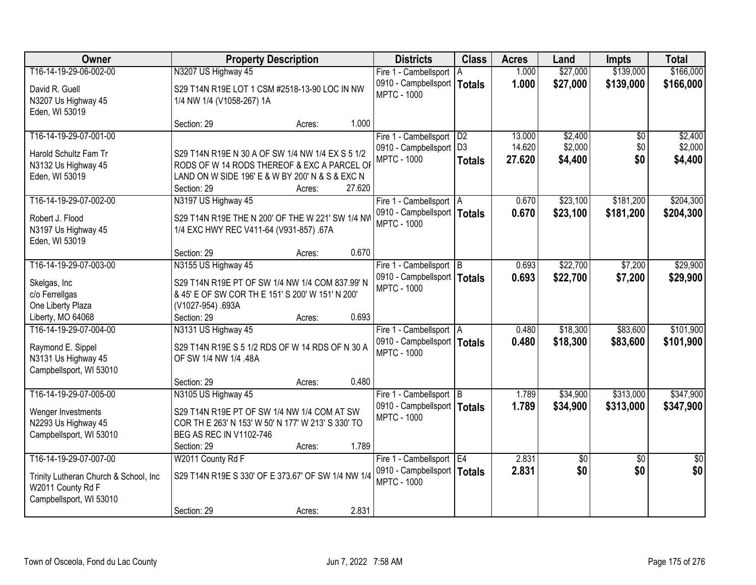| Owner                                  |                                                                                                | <b>Property Description</b> |        | <b>Districts</b>                                    | <b>Class</b>   | <b>Acres</b> | Land            | <b>Impts</b>    | <b>Total</b>    |
|----------------------------------------|------------------------------------------------------------------------------------------------|-----------------------------|--------|-----------------------------------------------------|----------------|--------------|-----------------|-----------------|-----------------|
| T16-14-19-29-06-002-00                 | N3207 US Highway 45                                                                            |                             |        | Fire 1 - Cambellsport   A                           |                | 1.000        | \$27,000        | \$139,000       | \$166,000       |
| David R. Guell                         | S29 T14N R19E LOT 1 CSM #2518-13-90 LOC IN NW                                                  |                             |        | 0910 - Campbellsport   Totals<br><b>MPTC - 1000</b> |                | 1.000        | \$27,000        | \$139,000       | \$166,000       |
| N3207 Us Highway 45                    | 1/4 NW 1/4 (V1058-267) 1A                                                                      |                             |        |                                                     |                |              |                 |                 |                 |
| Eden, WI 53019                         | Section: 29                                                                                    | Acres:                      | 1.000  |                                                     |                |              |                 |                 |                 |
| T16-14-19-29-07-001-00                 |                                                                                                |                             |        | Fire 1 - Cambellsport   D2                          |                | 13.000       | \$2,400         | $\overline{50}$ | \$2,400         |
|                                        |                                                                                                |                             |        | 0910 - Campbellsport                                | D <sub>3</sub> | 14.620       | \$2,000         | \$0             | \$2,000         |
| Harold Schultz Fam Tr                  | S29 T14N R19E N 30 A OF SW 1/4 NW 1/4 EX S 5 1/2                                               |                             |        | <b>MPTC - 1000</b>                                  | <b>Totals</b>  | 27.620       | \$4,400         | \$0             | \$4,400         |
| N3132 Us Highway 45                    | RODS OF W 14 RODS THEREOF & EXC A PARCEL OF<br>LAND ON W SIDE 196' E & W BY 200' N & S & EXC N |                             |        |                                                     |                |              |                 |                 |                 |
| Eden, WI 53019                         | Section: 29                                                                                    | Acres:                      | 27.620 |                                                     |                |              |                 |                 |                 |
| T16-14-19-29-07-002-00                 | N3197 US Highway 45                                                                            |                             |        | Fire 1 - Cambellsport   A                           |                | 0.670        | \$23,100        | \$181,200       | \$204,300       |
| Robert J. Flood                        | S29 T14N R19E THE N 200' OF THE W 221' SW 1/4 NW                                               |                             |        | 0910 - Campbellsport   Totals                       |                | 0.670        | \$23,100        | \$181,200       | \$204,300       |
| N3197 Us Highway 45                    | 1/4 EXC HWY REC V411-64 (V931-857) .67A                                                        |                             |        | <b>MPTC - 1000</b>                                  |                |              |                 |                 |                 |
| Eden, WI 53019                         |                                                                                                |                             |        |                                                     |                |              |                 |                 |                 |
|                                        | Section: 29                                                                                    | Acres:                      | 0.670  |                                                     |                |              |                 |                 |                 |
| T16-14-19-29-07-003-00                 | N3155 US Highway 45                                                                            |                             |        | Fire 1 - Cambellsport B                             |                | 0.693        | \$22,700        | \$7,200         | \$29,900        |
| Skelgas, Inc.                          | S29 T14N R19E PT OF SW 1/4 NW 1/4 COM 837.99' N                                                |                             |        | 0910 - Campbellsport   Totals                       |                | 0.693        | \$22,700        | \$7,200         | \$29,900        |
| c/o Ferrellgas                         | & 45' E OF SW COR TH E 151' S 200' W 151' N 200'                                               |                             |        | <b>MPTC - 1000</b>                                  |                |              |                 |                 |                 |
| One Liberty Plaza                      | (V1027-954).693A                                                                               |                             |        |                                                     |                |              |                 |                 |                 |
| Liberty, MO 64068                      | Section: 29                                                                                    | Acres:                      | 0.693  |                                                     |                |              |                 |                 |                 |
| T16-14-19-29-07-004-00                 | N3131 US Highway 45                                                                            |                             |        | Fire 1 - Cambellsport   A                           |                | 0.480        | \$18,300        | \$83,600        | \$101,900       |
| Raymond E. Sippel                      | S29 T14N R19E S 5 1/2 RDS OF W 14 RDS OF N 30 A                                                |                             |        | 0910 - Campbellsport   Totals                       |                | 0.480        | \$18,300        | \$83,600        | \$101,900       |
| N3131 Us Highway 45                    | OF SW 1/4 NW 1/4 .48A                                                                          |                             |        | <b>MPTC - 1000</b>                                  |                |              |                 |                 |                 |
| Campbellsport, WI 53010                |                                                                                                |                             |        |                                                     |                |              |                 |                 |                 |
|                                        | Section: 29                                                                                    | Acres:                      | 0.480  |                                                     |                |              |                 |                 |                 |
| T16-14-19-29-07-005-00                 | N3105 US Highway 45                                                                            |                             |        | Fire 1 - Cambellsport B                             |                | 1.789        | \$34,900        | \$313,000       | \$347,900       |
| Wenger Investments                     | S29 T14N R19E PT OF SW 1/4 NW 1/4 COM AT SW                                                    |                             |        | 0910 - Campbellsport   Totals                       |                | 1.789        | \$34,900        | \$313,000       | \$347,900       |
| N2293 Us Highway 45                    | COR TH E 263' N 153' W 50' N 177' W 213' S 330' TO                                             |                             |        | <b>MPTC - 1000</b>                                  |                |              |                 |                 |                 |
| Campbellsport, WI 53010                | BEG AS REC IN V1102-746                                                                        |                             |        |                                                     |                |              |                 |                 |                 |
|                                        | Section: 29                                                                                    | Acres:                      | 1.789  |                                                     |                |              |                 |                 |                 |
| T16-14-19-29-07-007-00                 | W2011 County Rd F                                                                              |                             |        | Fire 1 - Cambellsport   E4                          |                | 2.831        | $\overline{50}$ | $\overline{50}$ | $\overline{30}$ |
| Trinity Lutheran Church & School, Inc. | S29 T14N R19E S 330' OF E 373.67' OF SW 1/4 NW 1/4                                             |                             |        | 0910 - Campbellsport   Totals                       |                | 2.831        | \$0             | \$0             | \$0             |
| W2011 County Rd F                      |                                                                                                |                             |        | <b>MPTC - 1000</b>                                  |                |              |                 |                 |                 |
| Campbellsport, WI 53010                |                                                                                                |                             |        |                                                     |                |              |                 |                 |                 |
|                                        | Section: 29                                                                                    | Acres:                      | 2.831  |                                                     |                |              |                 |                 |                 |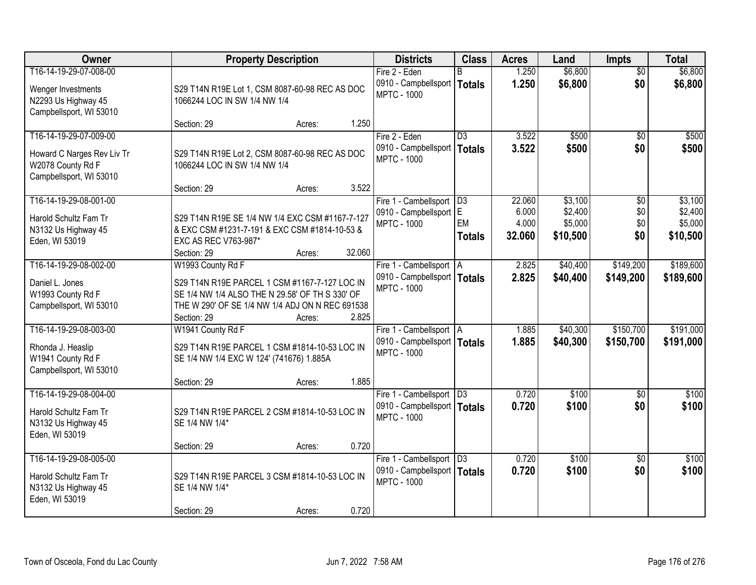| Owner                      |                                                 | <b>Property Description</b> |        | <b>Districts</b>                                           | <b>Class</b>    | <b>Acres</b>    | Land                 | <b>Impts</b>           | <b>Total</b>       |
|----------------------------|-------------------------------------------------|-----------------------------|--------|------------------------------------------------------------|-----------------|-----------------|----------------------|------------------------|--------------------|
| T16-14-19-29-07-008-00     |                                                 |                             |        | Fire 2 - Eden                                              |                 | 1.250           | \$6,800              | $\overline{50}$        | \$6,800            |
| Wenger Investments         | S29 T14N R19E Lot 1, CSM 8087-60-98 REC AS DOC  |                             |        | 0910 - Campbellsport   Totals<br><b>MPTC - 1000</b>        |                 | 1.250           | \$6,800              | \$0                    | \$6,800            |
| N2293 Us Highway 45        | 1066244 LOC IN SW 1/4 NW 1/4                    |                             |        |                                                            |                 |                 |                      |                        |                    |
| Campbellsport, WI 53010    |                                                 |                             |        |                                                            |                 |                 |                      |                        |                    |
|                            | Section: 29                                     | Acres:                      | 1.250  |                                                            |                 |                 |                      |                        |                    |
| T16-14-19-29-07-009-00     |                                                 |                             |        | Fire 2 - Eden                                              | $\overline{D3}$ | 3.522<br>3.522  | \$500<br>\$500       | $\overline{50}$<br>\$0 | \$500              |
| Howard C Narges Rev Liv Tr | S29 T14N R19E Lot 2, CSM 8087-60-98 REC AS DOC  |                             |        | 0910 - Campbellsport   Totals<br><b>MPTC - 1000</b>        |                 |                 |                      |                        | \$500              |
| W2078 County Rd F          | 1066244 LOC IN SW 1/4 NW 1/4                    |                             |        |                                                            |                 |                 |                      |                        |                    |
| Campbellsport, WI 53010    |                                                 |                             |        |                                                            |                 |                 |                      |                        |                    |
|                            | Section: 29                                     | Acres:                      | 3.522  |                                                            |                 |                 |                      |                        |                    |
| T16-14-19-29-08-001-00     |                                                 |                             |        | Fire 1 - Cambellsport   D3<br>0910 - Campbellsport E       |                 | 22.060<br>6.000 | \$3,100<br>\$2,400   | $\overline{50}$<br>\$0 | \$3,100<br>\$2,400 |
| Harold Schultz Fam Tr      | S29 T14N R19E SE 1/4 NW 1/4 EXC CSM #1167-7-127 |                             |        | <b>MPTC - 1000</b>                                         | EM              | 4.000           | \$5,000              | \$0                    | \$5,000            |
| N3132 Us Highway 45        | & EXC CSM #1231-7-191 & EXC CSM #1814-10-53 &   |                             |        |                                                            | <b>Totals</b>   | 32.060          | \$10,500             | \$0                    | \$10,500           |
| Eden, WI 53019             | EXC AS REC V763-987*                            |                             |        |                                                            |                 |                 |                      |                        |                    |
| T16-14-19-29-08-002-00     | Section: 29                                     | Acres:                      | 32.060 |                                                            |                 |                 |                      | \$149,200              | \$189,600          |
|                            | W1993 County Rd F                               |                             |        | Fire 1 - Cambellsport   A<br>0910 - Campbellsport   Totals |                 | 2.825<br>2.825  | \$40,400<br>\$40,400 |                        |                    |
| Daniel L. Jones            | S29 T14N R19E PARCEL 1 CSM #1167-7-127 LOC IN   |                             |        | <b>MPTC - 1000</b>                                         |                 |                 |                      | \$149,200              | \$189,600          |
| W1993 County Rd F          | SE 1/4 NW 1/4 ALSO THE N 29.58' OF TH S 330' OF |                             |        |                                                            |                 |                 |                      |                        |                    |
| Campbellsport, WI 53010    | THE W 290' OF SE 1/4 NW 1/4 ADJ ON N REC 691538 |                             |        |                                                            |                 |                 |                      |                        |                    |
| T16-14-19-29-08-003-00     | Section: 29<br>W1941 County Rd F                | Acres:                      | 2.825  |                                                            |                 | 1.885           | \$40,300             | \$150,700              | \$191,000          |
|                            |                                                 |                             |        | Fire 1 - Cambellsport   A<br>0910 - Campbellsport   Totals |                 | 1.885           | \$40,300             | \$150,700              | \$191,000          |
| Rhonda J. Heaslip          | S29 T14N R19E PARCEL 1 CSM #1814-10-53 LOC IN   |                             |        | <b>MPTC - 1000</b>                                         |                 |                 |                      |                        |                    |
| W1941 County Rd F          | SE 1/4 NW 1/4 EXC W 124' (741676) 1.885A        |                             |        |                                                            |                 |                 |                      |                        |                    |
| Campbellsport, WI 53010    |                                                 |                             | 1.885  |                                                            |                 |                 |                      |                        |                    |
| T16-14-19-29-08-004-00     | Section: 29                                     | Acres:                      |        | Fire 1 - Cambellsport   D3                                 |                 | 0.720           | \$100                | $\sqrt{6}$             | \$100              |
|                            |                                                 |                             |        | 0910 - Campbellsport   Totals                              |                 | 0.720           | \$100                | \$0                    | \$100              |
| Harold Schultz Fam Tr      | S29 T14N R19E PARCEL 2 CSM #1814-10-53 LOC IN   |                             |        | <b>MPTC - 1000</b>                                         |                 |                 |                      |                        |                    |
| N3132 Us Highway 45        | SE 1/4 NW 1/4*                                  |                             |        |                                                            |                 |                 |                      |                        |                    |
| Eden, WI 53019             | Section: 29                                     |                             | 0.720  |                                                            |                 |                 |                      |                        |                    |
| T16-14-19-29-08-005-00     |                                                 | Acres:                      |        | Fire 1 - Cambellsport                                      | $\overline{D3}$ | 0.720           | \$100                | $\overline{30}$        | \$100              |
|                            |                                                 |                             |        | 0910 - Campbellsport   Totals                              |                 | 0.720           | \$100                | \$0                    | \$100              |
| Harold Schultz Fam Tr      | S29 T14N R19E PARCEL 3 CSM #1814-10-53 LOC IN   |                             |        | <b>MPTC - 1000</b>                                         |                 |                 |                      |                        |                    |
| N3132 Us Highway 45        | SE 1/4 NW 1/4*                                  |                             |        |                                                            |                 |                 |                      |                        |                    |
| Eden, WI 53019             | Section: 29                                     | Acres:                      | 0.720  |                                                            |                 |                 |                      |                        |                    |
|                            |                                                 |                             |        |                                                            |                 |                 |                      |                        |                    |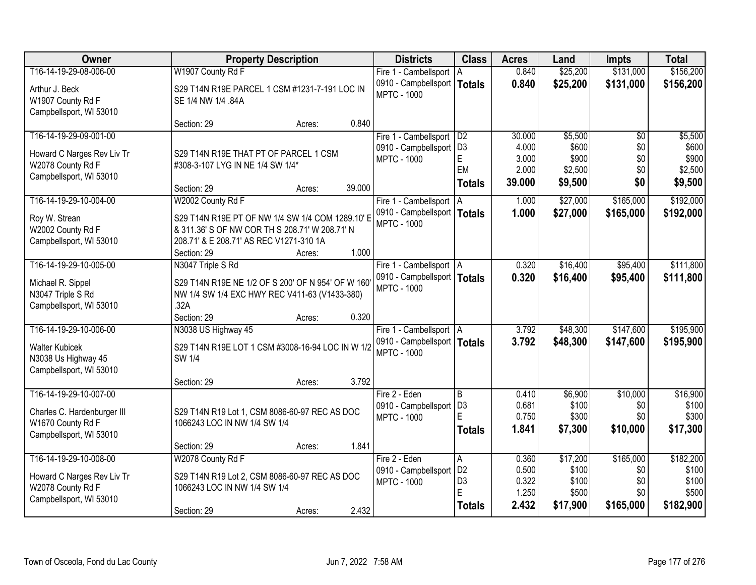| Owner                       |                                                    | <b>Property Description</b> |        | <b>Districts</b>                                    | <b>Class</b>        | <b>Acres</b>   | Land                 | <b>Impts</b>    | <b>Total</b>   |
|-----------------------------|----------------------------------------------------|-----------------------------|--------|-----------------------------------------------------|---------------------|----------------|----------------------|-----------------|----------------|
| T16-14-19-29-08-006-00      | W1907 County Rd F                                  |                             |        | Fire 1 - Cambellsport                               | A                   | 0.840          | \$25,200             | \$131,000       | \$156,200      |
| Arthur J. Beck              | S29 T14N R19E PARCEL 1 CSM #1231-7-191 LOC IN      |                             |        | 0910 - Campbellsport                                | Totals              | 0.840          | \$25,200             | \$131,000       | \$156,200      |
| W1907 County Rd F           | SE 1/4 NW 1/4 .84A                                 |                             |        | <b>MPTC - 1000</b>                                  |                     |                |                      |                 |                |
| Campbellsport, WI 53010     |                                                    |                             |        |                                                     |                     |                |                      |                 |                |
|                             | Section: 29                                        | Acres:                      | 0.840  |                                                     |                     |                |                      |                 |                |
| T16-14-19-29-09-001-00      |                                                    |                             |        | Fire 1 - Cambellsport                               | D2                  | 30.000         | \$5,500              | $\overline{50}$ | \$5,500        |
| Howard C Narges Rev Liv Tr  | S29 T14N R19E THAT PT OF PARCEL 1 CSM              |                             |        | 0910 - Campbellsport                                | D <sub>3</sub><br>E | 4.000<br>3.000 | \$600<br>\$900       | \$0<br>\$0      | \$600<br>\$900 |
| W2078 County Rd F           | #308-3-107 LYG IN NE 1/4 SW 1/4*                   |                             |        | <b>MPTC - 1000</b>                                  | EM                  | 2.000          | \$2,500              | \$0             | \$2,500        |
| Campbellsport, WI 53010     |                                                    |                             |        |                                                     | <b>Totals</b>       | 39.000         | \$9,500              | \$0             | \$9,500        |
|                             | Section: 29                                        | Acres:                      | 39.000 |                                                     |                     |                |                      |                 |                |
| T16-14-19-29-10-004-00      | W2002 County Rd F                                  |                             |        | Fire 1 - Cambellsport                               | ΙA                  | 1.000          | \$27,000             | \$165,000       | \$192,000      |
| Roy W. Strean               | S29 T14N R19E PT OF NW 1/4 SW 1/4 COM 1289.10' E   |                             |        | 0910 - Campbellsport   Totals<br><b>MPTC - 1000</b> |                     | 1.000          | \$27,000             | \$165,000       | \$192,000      |
| W2002 County Rd F           | & 311.36' S OF NW COR TH S 208.71' W 208.71' N     |                             |        |                                                     |                     |                |                      |                 |                |
| Campbellsport, WI 53010     | 208.71' & E 208.71' AS REC V1271-310 1A            |                             |        |                                                     |                     |                |                      |                 |                |
|                             | Section: 29                                        | Acres:                      | 1.000  |                                                     |                     |                |                      |                 |                |
| T16-14-19-29-10-005-00      | N3047 Triple S Rd                                  |                             |        | Fire 1 - Cambellsport   A                           |                     | 0.320          | \$16,400             | \$95,400        | \$111,800      |
| Michael R. Sippel           | S29 T14N R19E NE 1/2 OF S 200' OF N 954' OF W 160' |                             |        | 0910 - Campbellsport   Totals<br><b>MPTC - 1000</b> |                     | 0.320          | \$16,400             | \$95,400        | \$111,800      |
| N3047 Triple S Rd           | NW 1/4 SW 1/4 EXC HWY REC V411-63 (V1433-380)      |                             |        |                                                     |                     |                |                      |                 |                |
| Campbellsport, WI 53010     | .32A                                               |                             |        |                                                     |                     |                |                      |                 |                |
| T16-14-19-29-10-006-00      | Section: 29                                        | Acres:                      | 0.320  |                                                     |                     |                |                      | \$147,600       | \$195,900      |
|                             | N3038 US Highway 45                                |                             |        | Fire 1 - Cambellsport   A                           |                     | 3.792<br>3.792 | \$48,300<br>\$48,300 |                 | \$195,900      |
| <b>Walter Kubicek</b>       | S29 T14N R19E LOT 1 CSM #3008-16-94 LOC IN W 1/2   |                             |        | 0910 - Campbellsport   Totals<br><b>MPTC - 1000</b> |                     |                |                      | \$147,600       |                |
| N3038 Us Highway 45         | <b>SW 1/4</b>                                      |                             |        |                                                     |                     |                |                      |                 |                |
| Campbellsport, WI 53010     |                                                    |                             |        |                                                     |                     |                |                      |                 |                |
| T16-14-19-29-10-007-00      | Section: 29                                        | Acres:                      | 3.792  | Fire 2 - Eden                                       | $\overline{B}$      | 0.410          | \$6,900              | \$10,000        | \$16,900       |
|                             |                                                    |                             |        | 0910 - Campbellsport                                | D <sub>3</sub>      | 0.681          | \$100                | \$0             | \$100          |
| Charles C. Hardenburger III | S29 T14N R19 Lot 1, CSM 8086-60-97 REC AS DOC      |                             |        | <b>MPTC - 1000</b>                                  | E                   | 0.750          | \$300                | \$0             | \$300          |
| W1670 County Rd F           | 1066243 LOC IN NW 1/4 SW 1/4                       |                             |        |                                                     | Totals              | 1.841          | \$7,300              | \$10,000        | \$17,300       |
| Campbellsport, WI 53010     | Section: 29                                        |                             | 1.841  |                                                     |                     |                |                      |                 |                |
| T16-14-19-29-10-008-00      | W2078 County Rd F                                  | Acres:                      |        | Fire 2 - Eden                                       | A                   | 0.360          | \$17,200             | \$165,000       | \$182,200      |
|                             |                                                    |                             |        | 0910 - Campbellsport                                | D <sub>2</sub>      | 0.500          | \$100                | \$0             | \$100          |
| Howard C Narges Rev Liv Tr  | S29 T14N R19 Lot 2, CSM 8086-60-97 REC AS DOC      |                             |        | <b>MPTC - 1000</b>                                  | D <sub>3</sub>      | 0.322          | \$100                | \$0             | \$100          |
| W2078 County Rd F           | 1066243 LOC IN NW 1/4 SW 1/4                       |                             |        |                                                     | E                   | 1.250          | \$500                | \$0             | \$500          |
| Campbellsport, WI 53010     | Section: 29                                        | Acres:                      | 2.432  |                                                     | <b>Totals</b>       | 2.432          | \$17,900             | \$165,000       | \$182,900      |
|                             |                                                    |                             |        |                                                     |                     |                |                      |                 |                |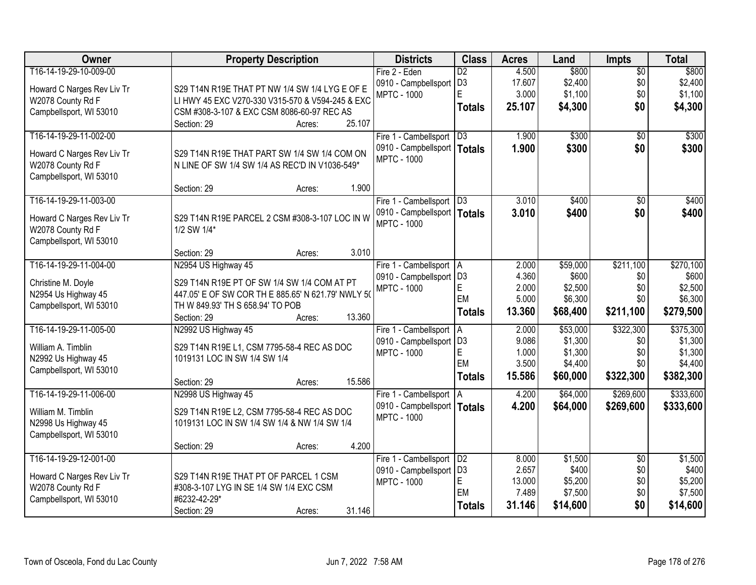| Owner                      | <b>Property Description</b>                        | <b>Districts</b>              | <b>Class</b>      | <b>Acres</b>    | Land               | <b>Impts</b>    | <b>Total</b>       |
|----------------------------|----------------------------------------------------|-------------------------------|-------------------|-----------------|--------------------|-----------------|--------------------|
| T16-14-19-29-10-009-00     |                                                    | Fire 2 - Eden                 | $\overline{D2}$   | 4.500           | \$800              | $\overline{50}$ | \$800              |
| Howard C Narges Rev Liv Tr | S29 T14N R19E THAT PT NW 1/4 SW 1/4 LYG E OF E     | 0910 - Campbellsport          | D <sub>3</sub>    | 17.607          | \$2,400            | \$0             | \$2,400            |
| W2078 County Rd F          | LI HWY 45 EXC V270-330 V315-570 & V594-245 & EXC   | <b>MPTC - 1000</b>            | E                 | 3.000           | \$1,100            | \$0             | \$1,100            |
| Campbellsport, WI 53010    | CSM #308-3-107 & EXC CSM 8086-60-97 REC AS         |                               | <b>Totals</b>     | 25.107          | \$4,300            | \$0             | \$4,300            |
|                            | 25.107<br>Section: 29<br>Acres:                    |                               |                   |                 |                    |                 |                    |
| T16-14-19-29-11-002-00     |                                                    | Fire 1 - Cambellsport         | D3                | 1.900           | \$300              | \$0             | \$300              |
| Howard C Narges Rev Liv Tr | S29 T14N R19E THAT PART SW 1/4 SW 1/4 COM ON       | 0910 - Campbellsport   Totals |                   | 1.900           | \$300              | \$0             | \$300              |
| W2078 County Rd F          | N LINE OF SW 1/4 SW 1/4 AS REC'D IN V1036-549*     | <b>MPTC - 1000</b>            |                   |                 |                    |                 |                    |
| Campbellsport, WI 53010    |                                                    |                               |                   |                 |                    |                 |                    |
|                            | 1.900<br>Section: 29<br>Acres:                     |                               |                   |                 |                    |                 |                    |
| T16-14-19-29-11-003-00     |                                                    | Fire 1 - Cambellsport   D3    |                   | 3.010           | \$400              | \$0             | \$400              |
| Howard C Narges Rev Liv Tr | S29 T14N R19E PARCEL 2 CSM #308-3-107 LOC IN W     | 0910 - Campbellsport   Totals |                   | 3.010           | \$400              | \$0             | \$400              |
| W2078 County Rd F          | 1/2 SW 1/4*                                        | <b>MPTC - 1000</b>            |                   |                 |                    |                 |                    |
| Campbellsport, WI 53010    |                                                    |                               |                   |                 |                    |                 |                    |
|                            | 3.010<br>Section: 29<br>Acres:                     |                               |                   |                 |                    |                 |                    |
| T16-14-19-29-11-004-00     | N2954 US Highway 45                                | Fire 1 - Cambellsport   A     |                   | 2.000           | \$59,000           | \$211,100       | \$270,100          |
| Christine M. Doyle         | S29 T14N R19E PT OF SW 1/4 SW 1/4 COM AT PT        | 0910 - Campbellsport   D3     |                   | 4.360           | \$600              | \$0             | \$600              |
| N2954 Us Highway 45        | 447.05' E OF SW COR TH E 885.65' N 621.79' NWLY 50 | <b>MPTC - 1000</b>            | $\mathsf E$<br>EM | 2.000           | \$2,500            | \$0             | \$2,500            |
| Campbellsport, WI 53010    | TH W 849.93' TH S 658.94' TO POB                   |                               |                   | 5.000           | \$6,300            | \$0             | \$6,300            |
|                            | 13.360<br>Section: 29<br>Acres:                    |                               | Totals            | 13.360          | \$68,400           | \$211,100       | \$279,500          |
| T16-14-19-29-11-005-00     | N2992 US Highway 45                                | Fire 1 - Cambellsport         | A                 | 2.000           | \$53,000           | \$322,300       | \$375,300          |
| William A. Timblin         | S29 T14N R19E L1, CSM 7795-58-4 REC AS DOC         | 0910 - Campbellsport          | D <sub>3</sub>    | 9.086           | \$1,300            | \$0             | \$1,300            |
| N2992 Us Highway 45        | 1019131 LOC IN SW 1/4 SW 1/4                       | <b>MPTC - 1000</b>            | $\mathsf E$<br>EM | 1.000           | \$1,300            | \$0             | \$1,300            |
| Campbellsport, WI 53010    |                                                    |                               |                   | 3.500           | \$4,400            | \$0             | \$4,400            |
|                            | 15.586<br>Section: 29<br>Acres:                    |                               | <b>Totals</b>     | 15.586          | \$60,000           | \$322,300       | \$382,300          |
| T16-14-19-29-11-006-00     | N2998 US Highway 45                                | Fire 1 - Cambellsport   A     |                   | 4.200           | \$64,000           | \$269,600       | \$333,600          |
| William M. Timblin         | S29 T14N R19E L2, CSM 7795-58-4 REC AS DOC         | 0910 - Campbellsport   Totals |                   | 4.200           | \$64,000           | \$269,600       | \$333,600          |
| N2998 Us Highway 45        | 1019131 LOC IN SW 1/4 SW 1/4 & NW 1/4 SW 1/4       | <b>MPTC - 1000</b>            |                   |                 |                    |                 |                    |
| Campbellsport, WI 53010    |                                                    |                               |                   |                 |                    |                 |                    |
|                            | 4.200<br>Section: 29<br>Acres:                     |                               |                   |                 |                    |                 |                    |
| T16-14-19-29-12-001-00     |                                                    | Fire 1 - Cambellsport         | D2                | 8.000           | \$1,500            | $\overline{50}$ | \$1,500            |
| Howard C Narges Rev Liv Tr | S29 T14N R19E THAT PT OF PARCEL 1 CSM              | 0910 - Campbellsport          | D <sub>3</sub>    | 2.657           | \$400              | \$0             | \$400              |
| W2078 County Rd F          | #308-3-107 LYG IN SE 1/4 SW 1/4 EXC CSM            | <b>MPTC - 1000</b>            | E<br>EM           | 13.000<br>7.489 | \$5,200<br>\$7,500 | \$0<br>\$0      | \$5,200<br>\$7,500 |
| Campbellsport, WI 53010    | #6232-42-29*                                       |                               | <b>Totals</b>     | 31.146          | \$14,600           | \$0             | \$14,600           |
|                            | 31.146<br>Section: 29<br>Acres:                    |                               |                   |                 |                    |                 |                    |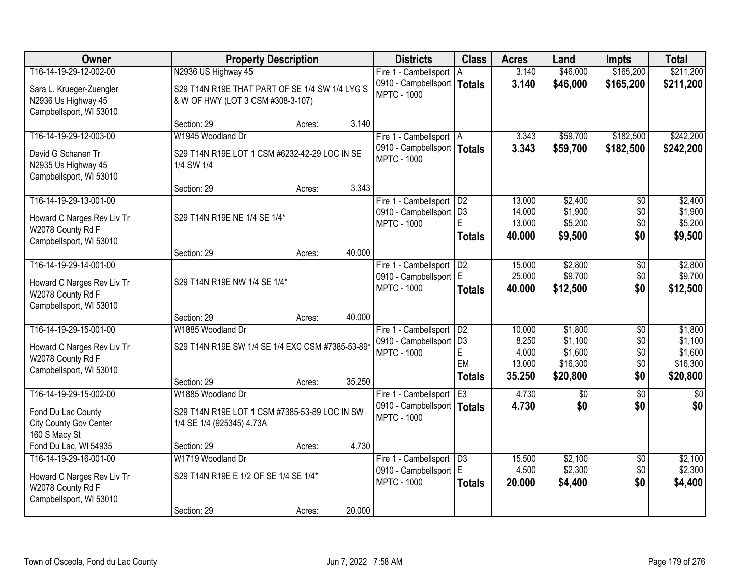| Owner                                                                      |                                                                                     | <b>Property Description</b> |        | <b>Districts</b>                                    | <b>Class</b>   | <b>Acres</b>     | Land                | <b>Impts</b>    | <b>Total</b>        |
|----------------------------------------------------------------------------|-------------------------------------------------------------------------------------|-----------------------------|--------|-----------------------------------------------------|----------------|------------------|---------------------|-----------------|---------------------|
| T16-14-19-29-12-002-00                                                     | N2936 US Highway 45                                                                 |                             |        | Fire 1 - Cambellsport                               | l A            | 3.140            | \$46,000            | \$165,200       | \$211,200           |
| Sara L. Krueger-Zuengler<br>N2936 Us Highway 45<br>Campbellsport, WI 53010 | S29 T14N R19E THAT PART OF SE 1/4 SW 1/4 LYG S<br>& W OF HWY (LOT 3 CSM #308-3-107) |                             |        | 0910 - Campbellsport   Totals<br><b>MPTC - 1000</b> |                | 3.140            | \$46,000            | \$165,200       | \$211,200           |
|                                                                            | Section: 29                                                                         | Acres:                      | 3.140  |                                                     |                |                  |                     |                 |                     |
| T16-14-19-29-12-003-00                                                     | W1945 Woodland Dr                                                                   |                             |        | Fire 1 - Cambellsport   A                           |                | 3.343            | \$59,700            | \$182,500       | \$242,200           |
| David G Schanen Tr<br>N2935 Us Highway 45<br>Campbellsport, WI 53010       | S29 T14N R19E LOT 1 CSM #6232-42-29 LOC IN SE<br>1/4 SW 1/4                         |                             |        | 0910 - Campbellsport   Totals<br><b>MPTC - 1000</b> |                | 3.343            | \$59,700            | \$182,500       | \$242,200           |
|                                                                            | Section: 29                                                                         | Acres:                      | 3.343  |                                                     |                |                  |                     |                 |                     |
| T16-14-19-29-13-001-00                                                     |                                                                                     |                             |        | Fire 1 - Cambellsport   D2                          |                | 13.000           | \$2,400             | \$0             | \$2,400             |
| Howard C Narges Rev Liv Tr                                                 | S29 T14N R19E NE 1/4 SE 1/4*                                                        |                             |        | 0910 - Campbellsport   D3<br><b>MPTC - 1000</b>     | F              | 14.000<br>13.000 | \$1,900<br>\$5,200  | \$0<br>\$0      | \$1,900<br>\$5,200  |
| W2078 County Rd F                                                          |                                                                                     |                             |        |                                                     | Totals         | 40.000           | \$9,500             | \$0             | \$9,500             |
| Campbellsport, WI 53010                                                    |                                                                                     |                             |        |                                                     |                |                  |                     |                 |                     |
|                                                                            | Section: 29                                                                         | Acres:                      | 40.000 |                                                     |                |                  |                     |                 |                     |
| T16-14-19-29-14-001-00                                                     |                                                                                     |                             |        | Fire 1 - Cambellsport                               | D <sub>2</sub> | 15.000           | \$2,800             | \$0             | \$2,800             |
| Howard C Narges Rev Liv Tr<br>W2078 County Rd F                            | S29 T14N R19E NW 1/4 SE 1/4*                                                        |                             |        | 0910 - Campbellsport   E<br><b>MPTC - 1000</b>      | <b>Totals</b>  | 25.000<br>40.000 | \$9,700<br>\$12,500 | \$0<br>\$0      | \$9,700<br>\$12,500 |
| Campbellsport, WI 53010                                                    |                                                                                     |                             |        |                                                     |                |                  |                     |                 |                     |
|                                                                            | Section: 29                                                                         | Acres:                      | 40.000 |                                                     |                |                  |                     |                 |                     |
| T16-14-19-29-15-001-00                                                     | W1885 Woodland Dr                                                                   |                             |        | Fire 1 - Cambellsport                               | D2             | 10.000           | \$1,800             | \$0             | \$1,800             |
| Howard C Narges Rev Liv Tr                                                 | S29 T14N R19E SW 1/4 SE 1/4 EXC CSM #7385-53-89*                                    |                             |        | 0910 - Campbellsport                                | D <sub>3</sub> | 8.250            | \$1,100             | \$0             | \$1,100             |
| W2078 County Rd F                                                          |                                                                                     |                             |        | <b>MPTC - 1000</b>                                  | E              | 4.000            | \$1,600             | \$0             | \$1,600             |
| Campbellsport, WI 53010                                                    |                                                                                     |                             |        |                                                     | EM             | 13.000           | \$16,300            | \$0             | \$16,300            |
|                                                                            | Section: 29                                                                         | Acres:                      | 35.250 |                                                     | <b>Totals</b>  | 35.250           | \$20,800            | \$0             | \$20,800            |
| T16-14-19-29-15-002-00                                                     | W1885 Woodland Dr                                                                   |                             |        | Fire 1 - Cambellsport                               | E <sub>3</sub> | 4.730            | \$0                 | $\overline{50}$ | $\overline{\$0}$    |
| Fond Du Lac County                                                         | S29 T14N R19E LOT 1 CSM #7385-53-89 LOC IN SW                                       |                             |        | 0910 - Campbellsport   Totals                       |                | 4.730            | \$0                 | \$0             | \$0                 |
| City County Gov Center                                                     | 1/4 SE 1/4 (925345) 4.73A                                                           |                             |        | <b>MPTC - 1000</b>                                  |                |                  |                     |                 |                     |
| 160 S Macy St                                                              |                                                                                     |                             |        |                                                     |                |                  |                     |                 |                     |
| Fond Du Lac, WI 54935                                                      | Section: 29                                                                         | Acres:                      | 4.730  |                                                     |                |                  |                     |                 |                     |
| T16-14-19-29-16-001-00                                                     | W1719 Woodland Dr                                                                   |                             |        | Fire 1 - Cambellsport                               | D3             | 15.500           | \$2,100             | $\overline{60}$ | \$2,100             |
| Howard C Narges Rev Liv Tr                                                 | S29 T14N R19E E 1/2 OF SE 1/4 SE 1/4*                                               |                             |        | 0910 - Campbellsport                                | IE.            | 4.500            | \$2,300             | \$0             | \$2,300             |
| W2078 County Rd F                                                          |                                                                                     |                             |        | <b>MPTC - 1000</b>                                  | <b>Totals</b>  | 20,000           | \$4,400             | \$0             | \$4,400             |
| Campbellsport, WI 53010                                                    |                                                                                     |                             |        |                                                     |                |                  |                     |                 |                     |
|                                                                            | Section: 29                                                                         | Acres:                      | 20.000 |                                                     |                |                  |                     |                 |                     |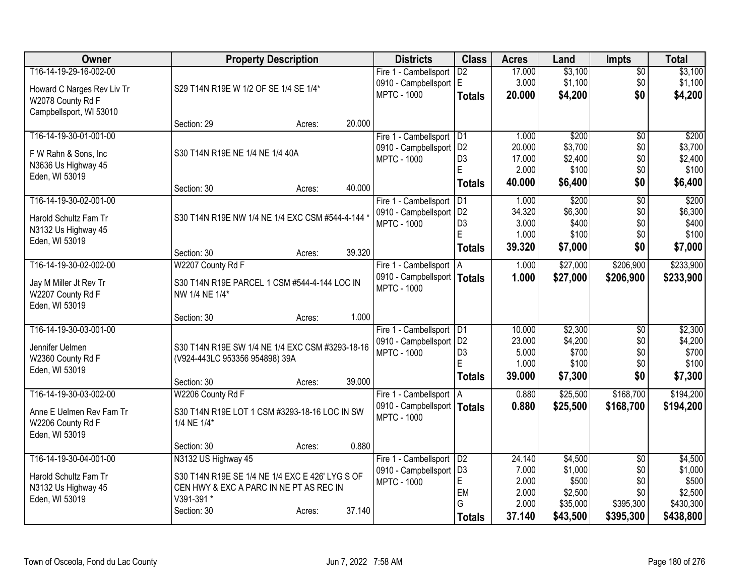| Owner                      | <b>Property Description</b>                      | <b>Districts</b>                                    | <b>Class</b>                      | <b>Acres</b>    | Land             | <b>Impts</b>    | <b>Total</b>     |
|----------------------------|--------------------------------------------------|-----------------------------------------------------|-----------------------------------|-----------------|------------------|-----------------|------------------|
| T16-14-19-29-16-002-00     |                                                  | Fire 1 - Cambellsport                               | $\overline{D2}$                   | 17.000          | \$3,100          | $\overline{50}$ | \$3,100          |
| Howard C Narges Rev Liv Tr | S29 T14N R19E W 1/2 OF SE 1/4 SE 1/4*            | 0910 - Campbellsport E                              |                                   | 3.000           | \$1,100          | \$0             | \$1,100          |
| W2078 County Rd F          |                                                  | <b>MPTC - 1000</b>                                  | <b>Totals</b>                     | 20.000          | \$4,200          | \$0             | \$4,200          |
| Campbellsport, WI 53010    |                                                  |                                                     |                                   |                 |                  |                 |                  |
|                            | 20.000<br>Section: 29<br>Acres:                  |                                                     |                                   |                 |                  |                 |                  |
| T16-14-19-30-01-001-00     |                                                  | Fire 1 - Cambellsport                               | D1                                | 1.000           | \$200            | \$0             | \$200            |
| F W Rahn & Sons, Inc       | S30 T14N R19E NE 1/4 NE 1/4 40A                  | 0910 - Campbellsport                                | D <sub>2</sub>                    | 20.000          | \$3,700          | \$0             | \$3,700          |
| N3636 Us Highway 45        |                                                  | <b>MPTC - 1000</b>                                  | D <sub>3</sub><br>E               | 17.000<br>2.000 | \$2,400<br>\$100 | \$0             | \$2,400<br>\$100 |
| Eden, WI 53019             |                                                  |                                                     |                                   | 40.000          | \$6,400          | \$0<br>\$0      | \$6,400          |
|                            | 40.000<br>Section: 30<br>Acres:                  |                                                     | <b>Totals</b>                     |                 |                  |                 |                  |
| T16-14-19-30-02-001-00     |                                                  | Fire 1 - Cambellsport                               | $\overline{D1}$                   | 1.000           | \$200            | $\overline{50}$ | \$200            |
| Harold Schultz Fam Tr      | S30 T14N R19E NW 1/4 NE 1/4 EXC CSM #544-4-144 * | 0910 - Campbellsport                                | D <sub>2</sub>                    | 34.320          | \$6,300          | \$0             | \$6,300          |
| N3132 Us Highway 45        |                                                  | <b>MPTC - 1000</b>                                  | D <sub>3</sub><br>E               | 3.000<br>1.000  | \$400<br>\$100   | \$0<br>\$0      | \$400<br>\$100   |
| Eden, WI 53019             |                                                  |                                                     |                                   | 39.320          | \$7,000          | \$0             | \$7,000          |
|                            | 39.320<br>Section: 30<br>Acres:                  |                                                     | <b>Totals</b>                     |                 |                  |                 |                  |
| T16-14-19-30-02-002-00     | W2207 County Rd F                                | Fire 1 - Cambellsport   A                           |                                   | 1.000           | \$27,000         | \$206,900       | \$233,900        |
| Jay M Miller Jt Rev Tr     | S30 T14N R19E PARCEL 1 CSM #544-4-144 LOC IN     | 0910 - Campbellsport   Totals                       |                                   | 1.000           | \$27,000         | \$206,900       | \$233,900        |
| W2207 County Rd F          | NW 1/4 NE 1/4*                                   | <b>MPTC - 1000</b>                                  |                                   |                 |                  |                 |                  |
| Eden, WI 53019             |                                                  |                                                     |                                   |                 |                  |                 |                  |
|                            | 1.000<br>Section: 30<br>Acres:                   |                                                     |                                   |                 |                  |                 |                  |
| T16-14-19-30-03-001-00     |                                                  | Fire 1 - Cambellsport   D1                          |                                   | 10.000          | \$2,300          | $\overline{50}$ | \$2,300          |
| Jennifer Uelmen            | S30 T14N R19E SW 1/4 NE 1/4 EXC CSM #3293-18-16  | 0910 - Campbellsport   D2                           |                                   | 23.000          | \$4,200          | \$0             | \$4,200          |
| W2360 County Rd F          | (V924-443LC 953356 954898) 39A                   | <b>MPTC - 1000</b>                                  | D <sub>3</sub><br>F               | 5.000<br>1.000  | \$700<br>\$100   | \$0<br>\$0      | \$700<br>\$100   |
| Eden, WI 53019             |                                                  |                                                     | <b>Totals</b>                     | 39.000          | \$7,300          | \$0             | \$7,300          |
|                            | 39.000<br>Section: 30<br>Acres:                  |                                                     |                                   |                 |                  |                 |                  |
| T16-14-19-30-03-002-00     | W2206 County Rd F                                | Fire 1 - Cambellsport   A                           |                                   | 0.880           | \$25,500         | \$168,700       | \$194,200        |
| Anne E Uelmen Rev Fam Tr   | S30 T14N R19E LOT 1 CSM #3293-18-16 LOC IN SW    | 0910 - Campbellsport   Totals<br><b>MPTC - 1000</b> |                                   | 0.880           | \$25,500         | \$168,700       | \$194,200        |
| W2206 County Rd F          | 1/4 NE 1/4*                                      |                                                     |                                   |                 |                  |                 |                  |
| Eden, WI 53019             |                                                  |                                                     |                                   |                 |                  |                 |                  |
|                            | 0.880<br>Section: 30<br>Acres:                   |                                                     |                                   |                 |                  |                 |                  |
| T16-14-19-30-04-001-00     | N3132 US Highway 45                              | Fire 1 - Cambellsport                               | $\overline{D2}$<br>D <sub>3</sub> | 24.140          | \$4,500          | $\overline{50}$ | \$4,500          |
| Harold Schultz Fam Tr      | S30 T14N R19E SE 1/4 NE 1/4 EXC E 426' LYG S OF  | 0910 - Campbellsport<br><b>MPTC - 1000</b>          | E                                 | 7.000<br>2.000  | \$1,000<br>\$500 | \$0<br>\$0      | \$1,000<br>\$500 |
| N3132 Us Highway 45        | CEN HWY & EXC A PARC IN NE PT AS REC IN          |                                                     | EM                                | 2.000           | \$2,500          | \$0             | \$2,500          |
| Eden, WI 53019             | V391-391 *                                       |                                                     | G                                 | 2.000           | \$35,000         | \$395,300       | \$430,300        |
|                            | 37.140<br>Section: 30<br>Acres:                  |                                                     | <b>Totals</b>                     | 37.140          | \$43,500         | \$395,300       | \$438,800        |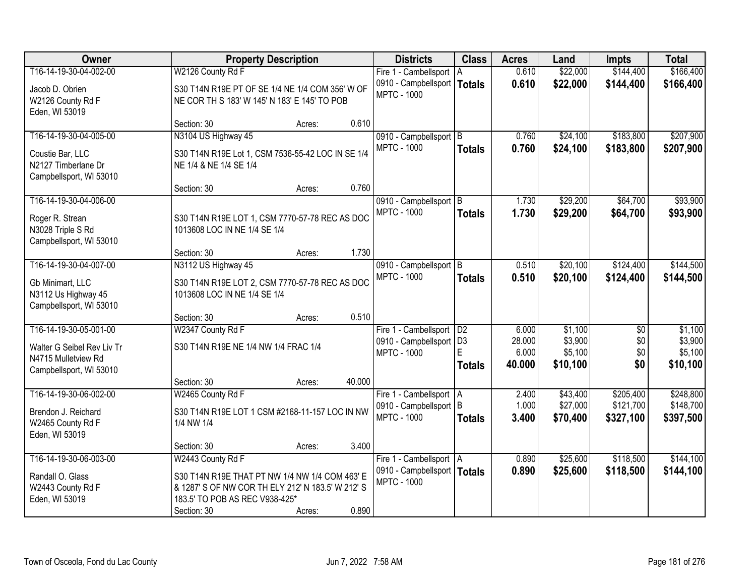| Owner                      |                                                   | <b>Property Description</b> |        | <b>Districts</b>                                    | <b>Class</b>        | <b>Acres</b>    | Land                 | <b>Impts</b>           | <b>Total</b>           |
|----------------------------|---------------------------------------------------|-----------------------------|--------|-----------------------------------------------------|---------------------|-----------------|----------------------|------------------------|------------------------|
| T16-14-19-30-04-002-00     | W2126 County Rd F                                 |                             |        | Fire 1 - Cambellsport   A                           |                     | 0.610           | \$22,000             | \$144,400              | \$166,400              |
| Jacob D. Obrien            | S30 T14N R19E PT OF SE 1/4 NE 1/4 COM 356' W OF   |                             |        | 0910 - Campbellsport                                | <b>Totals</b>       | 0.610           | \$22,000             | \$144,400              | \$166,400              |
| W2126 County Rd F          | NE COR TH S 183' W 145' N 183' E 145' TO POB      |                             |        | <b>MPTC - 1000</b>                                  |                     |                 |                      |                        |                        |
| Eden, WI 53019             |                                                   |                             |        |                                                     |                     |                 |                      |                        |                        |
|                            | Section: 30                                       | Acres:                      | 0.610  |                                                     |                     |                 |                      |                        |                        |
| T16-14-19-30-04-005-00     | N3104 US Highway 45                               |                             |        | 0910 - Campbellsport B                              |                     | 0.760           | \$24,100             | \$183,800              | \$207,900              |
| Coustie Bar, LLC           | S30 T14N R19E Lot 1, CSM 7536-55-42 LOC IN SE 1/4 |                             |        | <b>MPTC - 1000</b>                                  | <b>Totals</b>       | 0.760           | \$24,100             | \$183,800              | \$207,900              |
| N2127 Timberlane Dr        | NE 1/4 & NE 1/4 SE 1/4                            |                             |        |                                                     |                     |                 |                      |                        |                        |
| Campbellsport, WI 53010    |                                                   |                             |        |                                                     |                     |                 |                      |                        |                        |
|                            | Section: 30                                       | Acres:                      | 0.760  |                                                     |                     |                 |                      |                        |                        |
| T16-14-19-30-04-006-00     |                                                   |                             |        | 0910 - Campbellsport B                              |                     | 1.730           | \$29,200             | \$64,700               | \$93,900               |
| Roger R. Strean            | S30 T14N R19E LOT 1, CSM 7770-57-78 REC AS DOC    |                             |        | <b>MPTC - 1000</b>                                  | <b>Totals</b>       | 1.730           | \$29,200             | \$64,700               | \$93,900               |
| N3028 Triple S Rd          | 1013608 LOC IN NE 1/4 SE 1/4                      |                             |        |                                                     |                     |                 |                      |                        |                        |
| Campbellsport, WI 53010    |                                                   |                             |        |                                                     |                     |                 |                      |                        |                        |
|                            | Section: 30                                       | Acres:                      | 1.730  |                                                     |                     |                 |                      |                        |                        |
| T16-14-19-30-04-007-00     | N3112 US Highway 45                               |                             |        | 0910 - Campbellsport B                              |                     | 0.510           | \$20,100             | \$124,400              | \$144,500              |
| Gb Minimart, LLC           | S30 T14N R19E LOT 2, CSM 7770-57-78 REC AS DOC    |                             |        | <b>MPTC - 1000</b>                                  | <b>Totals</b>       | 0.510           | \$20,100             | \$124,400              | \$144,500              |
| N3112 Us Highway 45        | 1013608 LOC IN NE 1/4 SE 1/4                      |                             |        |                                                     |                     |                 |                      |                        |                        |
| Campbellsport, WI 53010    |                                                   |                             |        |                                                     |                     |                 |                      |                        |                        |
|                            | Section: 30                                       | Acres:                      | 0.510  |                                                     |                     |                 |                      |                        |                        |
| T16-14-19-30-05-001-00     | W2347 County Rd F                                 |                             |        | Fire 1 - Cambellsport   D2                          |                     | 6.000           | \$1,100              | $\overline{50}$        | \$1,100                |
| Walter G Seibel Rev Liv Tr | S30 T14N R19E NE 1/4 NW 1/4 FRAC 1/4              |                             |        | 0910 - Campbellsport<br><b>MPTC - 1000</b>          | D <sub>3</sub><br>E | 28.000<br>6.000 | \$3,900<br>\$5,100   | \$0<br>\$0             | \$3,900<br>\$5,100     |
| N4715 Mulletview Rd        |                                                   |                             |        |                                                     | <b>Totals</b>       | 40.000          | \$10,100             | \$0                    | \$10,100               |
| Campbellsport, WI 53010    |                                                   |                             |        |                                                     |                     |                 |                      |                        |                        |
|                            | Section: 30                                       | Acres:                      | 40.000 |                                                     |                     |                 |                      |                        |                        |
| T16-14-19-30-06-002-00     | W2465 County Rd F                                 |                             |        | Fire 1 - Cambellsport A                             |                     | 2.400<br>1.000  | \$43,400<br>\$27,000 | \$205,400<br>\$121,700 | \$248,800              |
| Brendon J. Reichard        | S30 T14N R19E LOT 1 CSM #2168-11-157 LOC IN NW    |                             |        | 0910 - Campbellsport B<br><b>MPTC - 1000</b>        |                     | 3.400           | \$70,400             | \$327,100              | \$148,700<br>\$397,500 |
| W2465 County Rd F          | 1/4 NW 1/4                                        |                             |        |                                                     | <b>Totals</b>       |                 |                      |                        |                        |
| Eden, WI 53019             |                                                   |                             |        |                                                     |                     |                 |                      |                        |                        |
|                            | Section: 30                                       | Acres:                      | 3.400  |                                                     |                     |                 |                      |                        |                        |
| T16-14-19-30-06-003-00     | W2443 County Rd F                                 |                             |        | Fire 1 - Cambellsport   A                           |                     | 0.890           | \$25,600             | \$118,500              | \$144,100              |
| Randall O. Glass           | S30 T14N R19E THAT PT NW 1/4 NW 1/4 COM 463' E    |                             |        | 0910 - Campbellsport   Totals<br><b>MPTC - 1000</b> |                     | 0.890           | \$25,600             | \$118,500              | \$144,100              |
| W2443 County Rd F          | & 1287' S OF NW COR TH ELY 212' N 183.5' W 212' S |                             |        |                                                     |                     |                 |                      |                        |                        |
| Eden, WI 53019             | 183.5' TO POB AS REC V938-425*                    |                             |        |                                                     |                     |                 |                      |                        |                        |
|                            | Section: 30                                       | Acres:                      | 0.890  |                                                     |                     |                 |                      |                        |                        |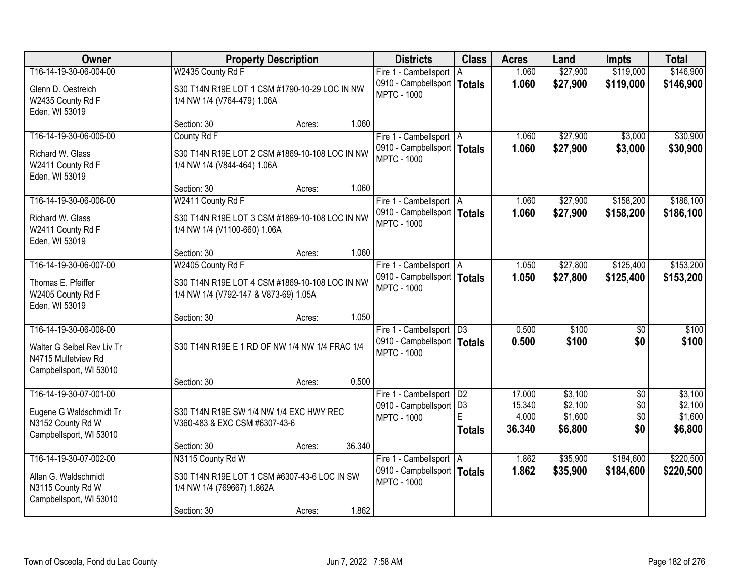| Owner                                                                                                  |                                                                                                                | <b>Property Description</b> |        | <b>Districts</b>                                                                  | <b>Class</b>       | <b>Acres</b>                        | Land                                     | <b>Impts</b>                         | <b>Total</b>                             |
|--------------------------------------------------------------------------------------------------------|----------------------------------------------------------------------------------------------------------------|-----------------------------|--------|-----------------------------------------------------------------------------------|--------------------|-------------------------------------|------------------------------------------|--------------------------------------|------------------------------------------|
| T16-14-19-30-06-004-00                                                                                 | W2435 County Rd F                                                                                              |                             |        | Fire 1 - Cambellsport                                                             | A                  | 1.060                               | \$27,900                                 | \$119,000                            | \$146,900                                |
| Glenn D. Oestreich<br>W2435 County Rd F<br>Eden, WI 53019                                              | S30 T14N R19E LOT 1 CSM #1790-10-29 LOC IN NW<br>1/4 NW 1/4 (V764-479) 1.06A                                   |                             |        | 0910 - Campbellsport   Totals<br><b>MPTC - 1000</b>                               |                    | 1.060                               | \$27,900                                 | \$119,000                            | \$146,900                                |
|                                                                                                        | Section: 30                                                                                                    | Acres:                      | 1.060  |                                                                                   |                    |                                     |                                          |                                      |                                          |
| T16-14-19-30-06-005-00                                                                                 | County Rd F                                                                                                    |                             |        | Fire 1 - Cambellsport   A                                                         |                    | 1.060                               | \$27,900                                 | \$3,000                              | \$30,900                                 |
| Richard W. Glass<br>W2411 County Rd F<br>Eden, WI 53019                                                | S30 T14N R19E LOT 2 CSM #1869-10-108 LOC IN NW<br>1/4 NW 1/4 (V844-464) 1.06A                                  |                             |        | 0910 - Campbellsport   Totals<br><b>MPTC - 1000</b>                               |                    | 1.060                               | \$27,900                                 | \$3,000                              | \$30,900                                 |
|                                                                                                        | Section: 30                                                                                                    | Acres:                      | 1.060  |                                                                                   |                    |                                     |                                          |                                      |                                          |
| T16-14-19-30-06-006-00                                                                                 | W2411 County Rd F                                                                                              |                             |        | Fire 1 - Cambellsport   A                                                         |                    | 1.060                               | \$27,900                                 | \$158,200                            | \$186,100                                |
| Richard W. Glass<br>W2411 County Rd F<br>Eden, WI 53019                                                | S30 T14N R19E LOT 3 CSM #1869-10-108 LOC IN NW<br>1/4 NW 1/4 (V1100-660) 1.06A                                 |                             |        | 0910 - Campbellsport   Totals<br><b>MPTC - 1000</b>                               |                    | 1.060                               | \$27,900                                 | \$158,200                            | \$186,100                                |
|                                                                                                        | Section: 30                                                                                                    | Acres:                      | 1.060  |                                                                                   |                    |                                     |                                          |                                      |                                          |
| T16-14-19-30-06-007-00                                                                                 | W2405 County Rd F                                                                                              |                             |        | Fire 1 - Cambellsport   A                                                         |                    | 1.050                               | \$27,800                                 | \$125,400                            | \$153,200                                |
| Thomas E. Pfeiffer<br>W2405 County Rd F<br>Eden, WI 53019                                              | S30 T14N R19E LOT 4 CSM #1869-10-108 LOC IN NW<br>1/4 NW 1/4 (V792-147 & V873-69) 1.05A                        |                             |        | 0910 - Campbellsport   Totals<br><b>MPTC - 1000</b>                               |                    | 1.050                               | \$27,800                                 | \$125,400                            | \$153,200                                |
|                                                                                                        | Section: 30                                                                                                    | Acres:                      | 1.050  |                                                                                   |                    |                                     |                                          |                                      |                                          |
| T16-14-19-30-06-008-00<br>Walter G Seibel Rev Liv Tr<br>N4715 Mulletview Rd<br>Campbellsport, WI 53010 | S30 T14N R19E E 1 RD OF NW 1/4 NW 1/4 FRAC 1/4                                                                 |                             |        | Fire 1 - Cambellsport   D3<br>0910 - Campbellsport   Totals<br><b>MPTC - 1000</b> |                    | 0.500<br>0.500                      | \$100<br>\$100                           | \$0<br>\$0                           | \$100<br>\$100                           |
|                                                                                                        | Section: 30                                                                                                    | Acres:                      | 0.500  |                                                                                   |                    |                                     |                                          |                                      |                                          |
| T16-14-19-30-07-001-00<br>Eugene G Waldschmidt Tr<br>N3152 County Rd W<br>Campbellsport, WI 53010      | S30 T14N R19E SW 1/4 NW 1/4 EXC HWY REC<br>V360-483 & EXC CSM #6307-43-6                                       |                             |        | Fire 1 - Cambellsport   D2<br>0910 - Campbellsport   D3<br><b>MPTC - 1000</b>     | E<br><b>Totals</b> | 17.000<br>15.340<br>4.000<br>36.340 | \$3,100<br>\$2,100<br>\$1,600<br>\$6,800 | $\overline{50}$<br>\$0<br>\$0<br>\$0 | \$3,100<br>\$2,100<br>\$1,600<br>\$6,800 |
|                                                                                                        | Section: 30                                                                                                    | Acres:                      | 36.340 |                                                                                   |                    |                                     |                                          |                                      |                                          |
| T16-14-19-30-07-002-00<br>Allan G. Waldschmidt<br>N3115 County Rd W<br>Campbellsport, WI 53010         | N3115 County Rd W<br>S30 T14N R19E LOT 1 CSM #6307-43-6 LOC IN SW<br>1/4 NW 1/4 (769667) 1.862A<br>Section: 30 | Acres:                      | 1.862  | Fire 1 - Cambellsport   A<br>0910 - Campbellsport   Totals<br><b>MPTC - 1000</b>  |                    | 1.862<br>1.862                      | \$35,900<br>\$35,900                     | \$184,600<br>\$184,600               | \$220,500<br>\$220,500                   |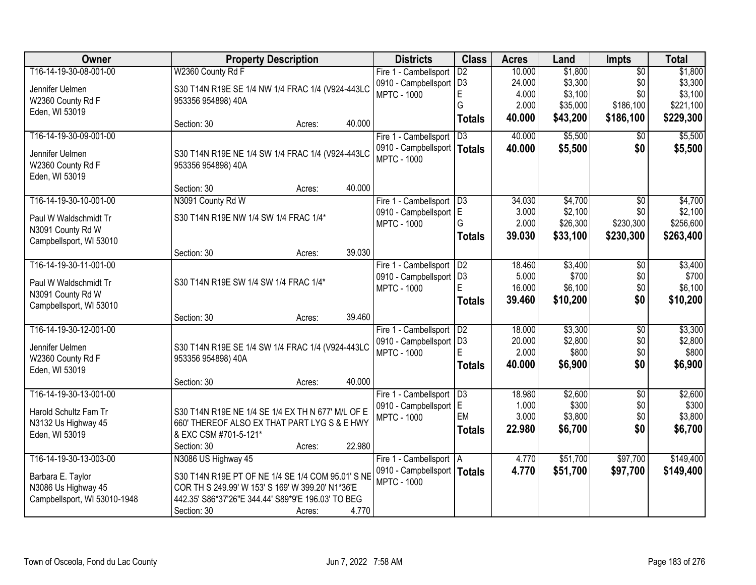| Owner                        | <b>Property Description</b>                                            |                  | <b>Districts</b>                                | <b>Class</b>    | <b>Acres</b>    | Land             | Impts           | <b>Total</b>     |
|------------------------------|------------------------------------------------------------------------|------------------|-------------------------------------------------|-----------------|-----------------|------------------|-----------------|------------------|
| T16-14-19-30-08-001-00       | W2360 County Rd F                                                      |                  | Fire 1 - Cambellsport                           | $\overline{D2}$ | 10.000          | \$1,800          | $\overline{50}$ | \$1,800          |
| Jennifer Uelmen              | S30 T14N R19E SE 1/4 NW 1/4 FRAC 1/4 (V924-443LC                       |                  | 0910 - Campbellsport D3                         |                 | 24.000          | \$3,300          | \$0             | \$3,300          |
| W2360 County Rd F            | 953356 954898) 40A                                                     |                  | <b>MPTC - 1000</b>                              | E               | 4.000           | \$3,100          | \$0             | \$3,100          |
| Eden, WI 53019               |                                                                        |                  |                                                 | G               | 2.000           | \$35,000         | \$186,100       | \$221,100        |
|                              | Section: 30                                                            | 40.000<br>Acres: |                                                 | <b>Totals</b>   | 40.000          | \$43,200         | \$186,100       | \$229,300        |
| T16-14-19-30-09-001-00       |                                                                        |                  | Fire 1 - Cambellsport                           | $\overline{D3}$ | 40.000          | \$5,500          | \$0             | \$5,500          |
| Jennifer Uelmen              |                                                                        |                  | 0910 - Campbellsport                            | <b>Totals</b>   | 40.000          | \$5,500          | \$0             | \$5,500          |
| W2360 County Rd F            | S30 T14N R19E NE 1/4 SW 1/4 FRAC 1/4 (V924-443LC<br>953356 954898) 40A |                  | <b>MPTC - 1000</b>                              |                 |                 |                  |                 |                  |
| Eden, WI 53019               |                                                                        |                  |                                                 |                 |                 |                  |                 |                  |
|                              | Section: 30                                                            | 40.000<br>Acres: |                                                 |                 |                 |                  |                 |                  |
| T16-14-19-30-10-001-00       | N3091 County Rd W                                                      |                  | Fire 1 - Cambellsport   D3                      |                 | 34.030          | \$4,700          | $\overline{50}$ | \$4,700          |
|                              |                                                                        |                  | 0910 - Campbellsport   E                        |                 | 3.000           | \$2,100          | \$0             | \$2,100          |
| Paul W Waldschmidt Tr        | S30 T14N R19E NW 1/4 SW 1/4 FRAC 1/4*                                  |                  | <b>MPTC - 1000</b>                              | G               | 2.000           | \$26,300         | \$230,300       | \$256,600        |
| N3091 County Rd W            |                                                                        |                  |                                                 | <b>Totals</b>   | 39.030          | \$33,100         | \$230,300       | \$263,400        |
| Campbellsport, WI 53010      |                                                                        | 39.030           |                                                 |                 |                 |                  |                 |                  |
|                              | Section: 30                                                            | Acres:           |                                                 |                 |                 |                  |                 |                  |
| T16-14-19-30-11-001-00       |                                                                        |                  | Fire 1 - Cambellsport                           | D2              | 18.460<br>5.000 | \$3,400<br>\$700 | \$0<br>\$0      | \$3,400<br>\$700 |
| Paul W Waldschmidt Tr        | S30 T14N R19E SW 1/4 SW 1/4 FRAC 1/4*                                  |                  | 0910 - Campbellsport   D3<br><b>MPTC - 1000</b> | E               | 16.000          | \$6,100          | \$0             | \$6,100          |
| N3091 County Rd W            |                                                                        |                  |                                                 |                 |                 |                  | \$0             |                  |
| Campbellsport, WI 53010      |                                                                        |                  |                                                 | <b>Totals</b>   | 39.460          | \$10,200         |                 | \$10,200         |
|                              | Section: 30                                                            | 39.460<br>Acres: |                                                 |                 |                 |                  |                 |                  |
| T16-14-19-30-12-001-00       |                                                                        |                  | Fire 1 - Cambellsport                           | D2              | 18.000          | \$3,300          | $\overline{50}$ | \$3,300          |
| Jennifer Uelmen              | S30 T14N R19E SE 1/4 SW 1/4 FRAC 1/4 (V924-443LC                       |                  | 0910 - Campbellsport                            | D <sub>3</sub>  | 20.000          | \$2,800          | \$0             | \$2,800          |
| W2360 County Rd F            | 953356 954898) 40A                                                     |                  | <b>MPTC - 1000</b>                              | E               | 2.000           | \$800            | \$0             | \$800            |
| Eden, WI 53019               |                                                                        |                  |                                                 | <b>Totals</b>   | 40.000          | \$6,900          | \$0             | \$6,900          |
|                              | Section: 30                                                            | 40.000<br>Acres: |                                                 |                 |                 |                  |                 |                  |
| T16-14-19-30-13-001-00       |                                                                        |                  | Fire 1 - Cambellsport   D3                      |                 | 18.980          | \$2,600          | $\overline{50}$ | \$2,600          |
| Harold Schultz Fam Tr        | S30 T14N R19E NE 1/4 SE 1/4 EX TH N 677' M/L OF E                      |                  | 0910 - Campbellsport E                          |                 | 1.000           | \$300            | \$0             | \$300            |
| N3132 Us Highway 45          | 660' THEREOF ALSO EX THAT PART LYG S & E HWY                           |                  | <b>MPTC - 1000</b>                              | EM              | 3.000           | \$3,800          | \$0             | \$3,800          |
| Eden, WI 53019               | & EXC CSM #701-5-121*                                                  |                  |                                                 | <b>Totals</b>   | 22,980          | \$6,700          | \$0             | \$6,700          |
|                              | Section: 30                                                            | 22.980<br>Acres: |                                                 |                 |                 |                  |                 |                  |
| T16-14-19-30-13-003-00       | N3086 US Highway 45                                                    |                  | Fire 1 - Cambellsport   A                       |                 | 4.770           | \$51,700         | \$97,700        | \$149,400        |
|                              |                                                                        |                  | 0910 - Campbellsport   Totals                   |                 | 4.770           | \$51,700         | \$97,700        | \$149,400        |
| Barbara E. Taylor            | S30 T14N R19E PT OF NE 1/4 SE 1/4 COM 95.01' S NE                      |                  | <b>MPTC - 1000</b>                              |                 |                 |                  |                 |                  |
| N3086 Us Highway 45          | COR TH S 249.99' W 153' S 169' W 399.20' N1*36'E                       |                  |                                                 |                 |                 |                  |                 |                  |
| Campbellsport, WI 53010-1948 | 442.35' S86*37'26"E 344.44' S89*9'E 196.03' TO BEG                     |                  |                                                 |                 |                 |                  |                 |                  |
|                              | Section: 30                                                            | 4.770<br>Acres:  |                                                 |                 |                 |                  |                 |                  |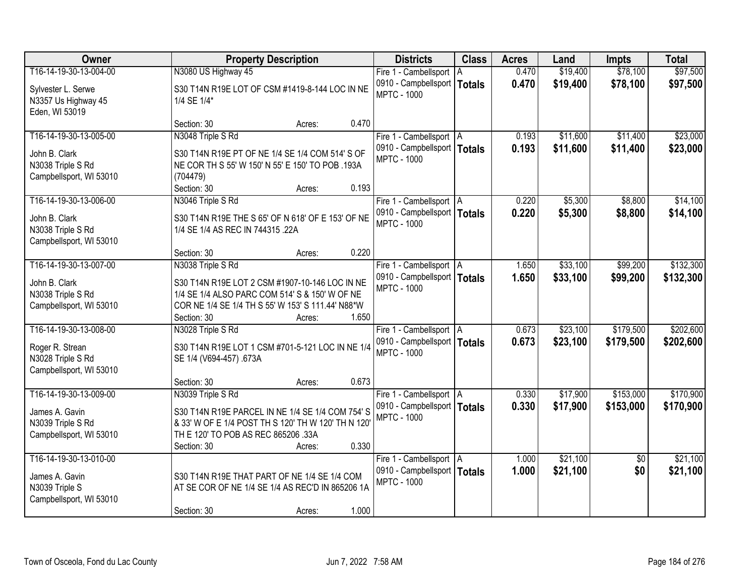| Owner                                                                                    | <b>Property Description</b>                                                                                                                                                                          | <b>Districts</b>                                                                 | <b>Class</b>  | <b>Acres</b>   | Land                 | <b>Impts</b>           | <b>Total</b>           |
|------------------------------------------------------------------------------------------|------------------------------------------------------------------------------------------------------------------------------------------------------------------------------------------------------|----------------------------------------------------------------------------------|---------------|----------------|----------------------|------------------------|------------------------|
| T16-14-19-30-13-004-00                                                                   | N3080 US Highway 45                                                                                                                                                                                  | Fire 1 - Cambellsport   A                                                        |               | 0.470          | \$19,400             | \$78,100               | \$97,500               |
| Sylvester L. Serwe<br>N3357 Us Highway 45<br>Eden, WI 53019                              | S30 T14N R19E LOT OF CSM #1419-8-144 LOC IN NE<br>1/4 SE 1/4*                                                                                                                                        | 0910 - Campbellsport<br><b>MPTC - 1000</b>                                       | <b>Totals</b> | 0.470          | \$19,400             | \$78,100               | \$97,500               |
|                                                                                          | 0.470<br>Section: 30<br>Acres:                                                                                                                                                                       |                                                                                  |               |                |                      |                        |                        |
| T16-14-19-30-13-005-00                                                                   | N3048 Triple S Rd                                                                                                                                                                                    | Fire 1 - Cambellsport   A                                                        |               | 0.193          | \$11,600             | \$11,400               | \$23,000               |
| John B. Clark<br>N3038 Triple S Rd<br>Campbellsport, WI 53010                            | S30 T14N R19E PT OF NE 1/4 SE 1/4 COM 514' S OF<br>NE COR TH S 55' W 150' N 55' E 150' TO POB .193A<br>(704479)<br>Section: 30<br>0.193<br>Acres:                                                    | 0910 - Campbellsport   Totals<br><b>MPTC - 1000</b>                              |               | 0.193          | \$11,600             | \$11,400               | \$23,000               |
| T16-14-19-30-13-006-00                                                                   | N3046 Triple S Rd                                                                                                                                                                                    | Fire 1 - Cambellsport   A                                                        |               | 0.220          | \$5,300              | \$8,800                | \$14,100               |
| John B. Clark<br>N3038 Triple S Rd<br>Campbellsport, WI 53010                            | S30 T14N R19E THE S 65' OF N 618' OF E 153' OF NE<br>1/4 SE 1/4 AS REC IN 744315 .22A                                                                                                                | 0910 - Campbellsport   Totals<br><b>MPTC - 1000</b>                              |               | 0.220          | \$5,300              | \$8,800                | \$14,100               |
|                                                                                          | 0.220<br>Section: 30<br>Acres:                                                                                                                                                                       |                                                                                  |               |                |                      |                        |                        |
| T16-14-19-30-13-007-00                                                                   | N3038 Triple S Rd                                                                                                                                                                                    | Fire 1 - Cambellsport   A                                                        |               | 1.650          | \$33,100             | \$99,200               | \$132,300              |
| John B. Clark<br>N3038 Triple S Rd<br>Campbellsport, WI 53010                            | S30 T14N R19E LOT 2 CSM #1907-10-146 LOC IN NE<br>1/4 SE 1/4 ALSO PARC COM 514' S & 150' W OF NE<br>COR NE 1/4 SE 1/4 TH S 55' W 153' S 111.44' N88*W<br>1.650<br>Section: 30<br>Acres:              | 0910 - Campbellsport   Totals<br><b>MPTC - 1000</b>                              |               | 1.650          | \$33,100             | \$99,200               | \$132,300              |
| T16-14-19-30-13-008-00                                                                   | N3028 Triple S Rd                                                                                                                                                                                    | Fire 1 - Cambellsport   A                                                        |               | 0.673          | \$23,100             | \$179,500              | \$202,600              |
| Roger R. Strean<br>N3028 Triple S Rd<br>Campbellsport, WI 53010                          | S30 T14N R19E LOT 1 CSM #701-5-121 LOC IN NE 1/4<br>SE 1/4 (V694-457) .673A                                                                                                                          | 0910 - Campbellsport   Totals<br><b>MPTC - 1000</b>                              |               | 0.673          | \$23,100             | \$179,500              | \$202,600              |
|                                                                                          | 0.673<br>Section: 30<br>Acres:                                                                                                                                                                       |                                                                                  |               |                |                      |                        |                        |
| T16-14-19-30-13-009-00<br>James A. Gavin<br>N3039 Triple S Rd<br>Campbellsport, WI 53010 | N3039 Triple S Rd<br>S30 T14N R19E PARCEL IN NE 1/4 SE 1/4 COM 754' S<br>& 33' W OF E 1/4 POST TH S 120' TH W 120' TH N 120<br>TH E 120' TO POB AS REC 865206 .33A<br>0.330<br>Section: 30<br>Acres: | Fire 1 - Cambellsport   A<br>0910 - Campbellsport   Totals<br><b>MPTC - 1000</b> |               | 0.330<br>0.330 | \$17,900<br>\$17,900 | \$153,000<br>\$153,000 | \$170,900<br>\$170,900 |
| T16-14-19-30-13-010-00                                                                   |                                                                                                                                                                                                      | Fire 1 - Cambellsport   A                                                        |               | 1.000          | \$21,100             | $\overline{50}$        | \$21,100               |
| James A. Gavin<br>N3039 Triple S<br>Campbellsport, WI 53010                              | S30 T14N R19E THAT PART OF NE 1/4 SE 1/4 COM<br>AT SE COR OF NE 1/4 SE 1/4 AS REC'D IN 865206 1A                                                                                                     | 0910 - Campbellsport   Totals<br><b>MPTC - 1000</b>                              |               | 1.000          | \$21,100             | \$0                    | \$21,100               |
|                                                                                          | 1.000<br>Section: 30<br>Acres:                                                                                                                                                                       |                                                                                  |               |                |                      |                        |                        |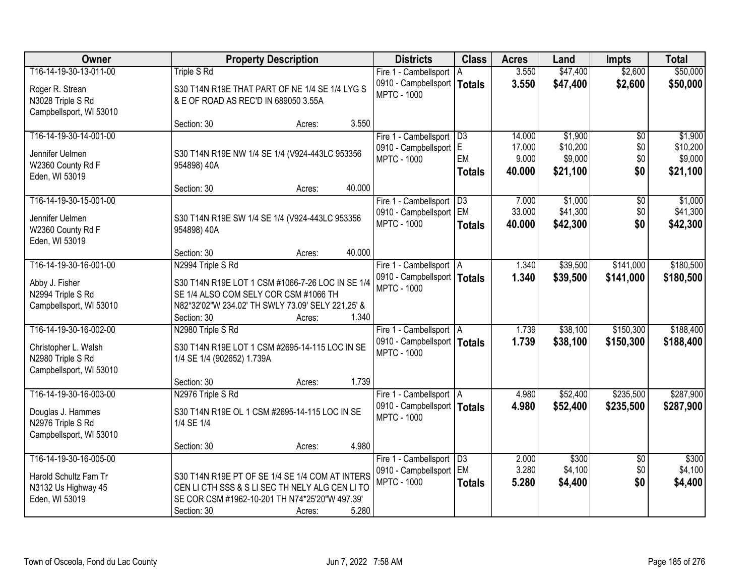| Owner                   | <b>Property Description</b>                       |                  | <b>Districts</b>              | <b>Class</b>  | <b>Acres</b> | Land     | <b>Impts</b>    | <b>Total</b> |
|-------------------------|---------------------------------------------------|------------------|-------------------------------|---------------|--------------|----------|-----------------|--------------|
| T16-14-19-30-13-011-00  | <b>Triple S Rd</b>                                |                  | Fire 1 - Cambellsport   A     |               | 3.550        | \$47,400 | \$2,600         | \$50,000     |
| Roger R. Strean         | S30 T14N R19E THAT PART OF NE 1/4 SE 1/4 LYG S    |                  | 0910 - Campbellsport          | <b>Totals</b> | 3.550        | \$47,400 | \$2,600         | \$50,000     |
| N3028 Triple S Rd       | & E OF ROAD AS REC'D IN 689050 3.55A              |                  | <b>MPTC - 1000</b>            |               |              |          |                 |              |
| Campbellsport, WI 53010 |                                                   |                  |                               |               |              |          |                 |              |
|                         | Section: 30                                       | 3.550<br>Acres:  |                               |               |              |          |                 |              |
| T16-14-19-30-14-001-00  |                                                   |                  | Fire 1 - Cambellsport   D3    |               | 14.000       | \$1,900  | \$0             | \$1,900      |
| Jennifer Uelmen         | S30 T14N R19E NW 1/4 SE 1/4 (V924-443LC 953356    |                  | 0910 - Campbellsport E        |               | 17.000       | \$10,200 | \$0             | \$10,200     |
| W2360 County Rd F       | 954898) 40A                                       |                  | <b>MPTC - 1000</b>            | EM            | 9.000        | \$9,000  | \$0             | \$9,000      |
| Eden, WI 53019          |                                                   |                  |                               | <b>Totals</b> | 40.000       | \$21,100 | \$0             | \$21,100     |
|                         | Section: 30                                       | 40.000<br>Acres: |                               |               |              |          |                 |              |
| T16-14-19-30-15-001-00  |                                                   |                  | Fire 1 - Cambellsport   D3    |               | 7.000        | \$1,000  | \$0             | \$1,000      |
| Jennifer Uelmen         | S30 T14N R19E SW 1/4 SE 1/4 (V924-443LC 953356    |                  | 0910 - Campbellsport   EM     |               | 33.000       | \$41,300 | \$0             | \$41,300     |
| W2360 County Rd F       | 954898) 40A                                       |                  | <b>MPTC - 1000</b>            | <b>Totals</b> | 40.000       | \$42,300 | \$0             | \$42,300     |
| Eden, WI 53019          |                                                   |                  |                               |               |              |          |                 |              |
|                         | Section: 30                                       | 40.000<br>Acres: |                               |               |              |          |                 |              |
| T16-14-19-30-16-001-00  | N2994 Triple S Rd                                 |                  | Fire 1 - Cambellsport   A     |               | 1.340        | \$39,500 | \$141,000       | \$180,500    |
| Abby J. Fisher          | S30 T14N R19E LOT 1 CSM #1066-7-26 LOC IN SE 1/4  |                  | 0910 - Campbellsport   Totals |               | 1.340        | \$39,500 | \$141,000       | \$180,500    |
| N2994 Triple S Rd       | SE 1/4 ALSO COM SELY COR CSM #1066 TH             |                  | <b>MPTC - 1000</b>            |               |              |          |                 |              |
| Campbellsport, WI 53010 | N82*32'02"W 234.02' TH SWLY 73.09' SELY 221.25' & |                  |                               |               |              |          |                 |              |
|                         | Section: 30                                       | 1.340<br>Acres:  |                               |               |              |          |                 |              |
| T16-14-19-30-16-002-00  | N2980 Triple S Rd                                 |                  | Fire 1 - Cambellsport   A     |               | 1.739        | \$38,100 | \$150,300       | \$188,400    |
|                         |                                                   |                  | 0910 - Campbellsport   Totals |               | 1.739        | \$38,100 | \$150,300       | \$188,400    |
| Christopher L. Walsh    | S30 T14N R19E LOT 1 CSM #2695-14-115 LOC IN SE    |                  | <b>MPTC - 1000</b>            |               |              |          |                 |              |
| N2980 Triple S Rd       | 1/4 SE 1/4 (902652) 1.739A                        |                  |                               |               |              |          |                 |              |
| Campbellsport, WI 53010 |                                                   |                  |                               |               |              |          |                 |              |
|                         | Section: 30                                       | 1.739<br>Acres:  |                               |               |              |          |                 |              |
| T16-14-19-30-16-003-00  | N2976 Triple S Rd                                 |                  | Fire 1 - Cambellsport A       |               | 4.980        | \$52,400 | \$235,500       | \$287,900    |
| Douglas J. Hammes       | S30 T14N R19E OL 1 CSM #2695-14-115 LOC IN SE     |                  | 0910 - Campbellsport   Totals |               | 4.980        | \$52,400 | \$235,500       | \$287,900    |
| N2976 Triple S Rd       | 1/4 SE 1/4                                        |                  | <b>MPTC - 1000</b>            |               |              |          |                 |              |
| Campbellsport, WI 53010 |                                                   |                  |                               |               |              |          |                 |              |
|                         | Section: 30                                       | 4.980<br>Acres:  |                               |               |              |          |                 |              |
| T16-14-19-30-16-005-00  |                                                   |                  | Fire 1 - Cambellsport D3      |               | 2.000        | \$300    | $\overline{30}$ | \$300        |
| Harold Schultz Fam Tr   | S30 T14N R19E PT OF SE 1/4 SE 1/4 COM AT INTERS   |                  | 0910 - Campbellsport          | EM            | 3.280        | \$4,100  | \$0             | \$4,100      |
| N3132 Us Highway 45     | CEN LI CTH SSS & S LI SEC TH NELY ALG CEN LI TO   |                  | <b>MPTC - 1000</b>            | <b>Totals</b> | 5.280        | \$4,400  | \$0             | \$4,400      |
| Eden, WI 53019          | SE COR CSM #1962-10-201 TH N74*25'20"W 497.39'    |                  |                               |               |              |          |                 |              |
|                         | Section: 30                                       | 5.280<br>Acres:  |                               |               |              |          |                 |              |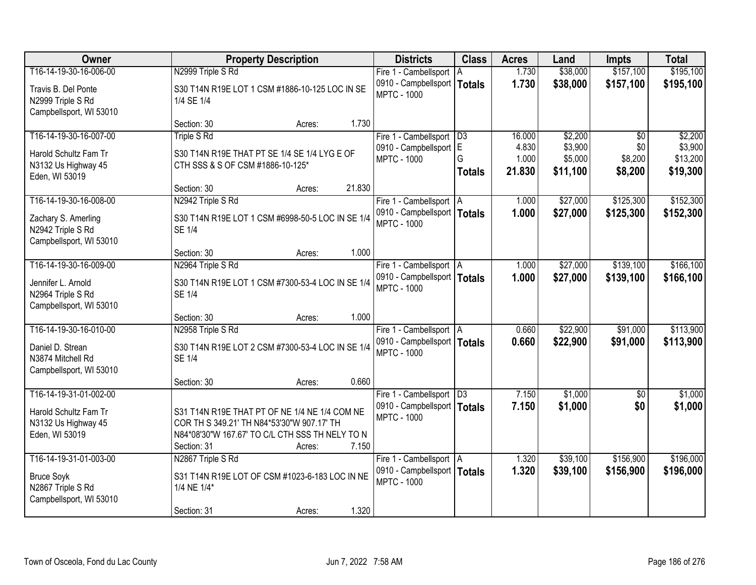| Owner                                                                                      | <b>Property Description</b>                                                                                                                                                      | <b>Districts</b>                                                                  | <b>Class</b>       | <b>Acres</b>             | Land                           | <b>Impts</b>              | <b>Total</b>                    |
|--------------------------------------------------------------------------------------------|----------------------------------------------------------------------------------------------------------------------------------------------------------------------------------|-----------------------------------------------------------------------------------|--------------------|--------------------------|--------------------------------|---------------------------|---------------------------------|
| T16-14-19-30-16-006-00                                                                     | N2999 Triple S Rd                                                                                                                                                                | Fire 1 - Cambellsport   A                                                         |                    | 1.730                    | \$38,000                       | \$157,100                 | \$195,100                       |
| Travis B. Del Ponte<br>N2999 Triple S Rd<br>Campbellsport, WI 53010                        | S30 T14N R19E LOT 1 CSM #1886-10-125 LOC IN SE<br>1/4 SE 1/4                                                                                                                     | 0910 - Campbellsport   Totals<br><b>MPTC - 1000</b>                               |                    | 1.730                    | \$38,000                       | \$157,100                 | \$195,100                       |
|                                                                                            | 1.730<br>Section: 30<br>Acres:                                                                                                                                                   |                                                                                   |                    |                          |                                |                           |                                 |
| T16-14-19-30-16-007-00                                                                     | <b>Triple S Rd</b>                                                                                                                                                               | Fire 1 - Cambellsport   D3                                                        |                    | 16.000                   | \$2,200                        | \$0                       | \$2,200                         |
| Harold Schultz Fam Tr<br>N3132 Us Highway 45                                               | S30 T14N R19E THAT PT SE 1/4 SE 1/4 LYG E OF<br>CTH SSS & S OF CSM #1886-10-125*                                                                                                 | 0910 - Campbellsport E<br><b>MPTC - 1000</b>                                      | G<br><b>Totals</b> | 4.830<br>1.000<br>21.830 | \$3,900<br>\$5,000<br>\$11,100 | \$0<br>\$8,200<br>\$8,200 | \$3,900<br>\$13,200<br>\$19,300 |
| Eden, WI 53019                                                                             |                                                                                                                                                                                  |                                                                                   |                    |                          |                                |                           |                                 |
| T16-14-19-30-16-008-00                                                                     | 21.830<br>Section: 30<br>Acres:<br>N2942 Triple S Rd                                                                                                                             |                                                                                   |                    | 1.000                    | \$27,000                       | \$125,300                 | \$152,300                       |
| Zachary S. Amerling<br>N2942 Triple S Rd                                                   | S30 T14N R19E LOT 1 CSM #6998-50-5 LOC IN SE 1/4<br><b>SE 1/4</b>                                                                                                                | Fire 1 - Cambellsport   A<br>0910 - Campbellsport   Totals<br><b>MPTC - 1000</b>  |                    | 1.000                    | \$27,000                       | \$125,300                 | \$152,300                       |
| Campbellsport, WI 53010                                                                    | 1.000<br>Section: 30                                                                                                                                                             |                                                                                   |                    |                          |                                |                           |                                 |
| T16-14-19-30-16-009-00                                                                     | Acres:<br>N2964 Triple S Rd                                                                                                                                                      | Fire 1 - Cambellsport   A                                                         |                    | 1.000                    | \$27,000                       | \$139,100                 | \$166,100                       |
| Jennifer L. Arnold<br>N2964 Triple S Rd<br>Campbellsport, WI 53010                         | S30 T14N R19E LOT 1 CSM #7300-53-4 LOC IN SE 1/4<br><b>SE 1/4</b>                                                                                                                | 0910 - Campbellsport   Totals<br><b>MPTC - 1000</b>                               |                    | 1.000                    | \$27,000                       | \$139,100                 | \$166,100                       |
|                                                                                            | 1.000<br>Section: 30<br>Acres:                                                                                                                                                   |                                                                                   |                    |                          |                                |                           |                                 |
| T16-14-19-30-16-010-00<br>Daniel D. Strean<br>N3874 Mitchell Rd<br>Campbellsport, WI 53010 | N2958 Triple S Rd<br>S30 T14N R19E LOT 2 CSM #7300-53-4 LOC IN SE 1/4<br><b>SE 1/4</b>                                                                                           | Fire 1 - Cambellsport   A<br>0910 - Campbellsport   Totals<br><b>MPTC - 1000</b>  |                    | 0.660<br>0.660           | \$22,900<br>\$22,900           | \$91,000<br>\$91,000      | \$113,900<br>\$113,900          |
|                                                                                            | 0.660<br>Section: 30<br>Acres:                                                                                                                                                   |                                                                                   |                    |                          |                                |                           |                                 |
| T16-14-19-31-01-002-00<br>Harold Schultz Fam Tr<br>N3132 Us Highway 45<br>Eden, WI 53019   | S31 T14N R19E THAT PT OF NE 1/4 NE 1/4 COM NE<br>COR TH S 349.21' TH N84*53'30"W 907.17' TH<br>N84*08'30"W 167.67' TO C/L CTH SSS TH NELY TO N<br>7.150<br>Section: 31<br>Acres: | Fire 1 - Cambellsport   D3<br>0910 - Campbellsport   Totals<br><b>MPTC - 1000</b> |                    | 7.150<br>7.150           | \$1,000<br>\$1,000             | $\sqrt{6}$<br>\$0         | \$1,000<br>\$1,000              |
| T16-14-19-31-01-003-00                                                                     | N2867 Triple S Rd                                                                                                                                                                | Fire 1 - Cambellsport   A                                                         |                    | 1.320                    | \$39,100                       | \$156,900                 | \$196,000                       |
| <b>Bruce Soyk</b><br>N2867 Triple S Rd<br>Campbellsport, WI 53010                          | S31 T14N R19E LOT OF CSM #1023-6-183 LOC IN NE<br>1/4 NE 1/4*                                                                                                                    | 0910 - Campbellsport   Totals<br><b>MPTC - 1000</b>                               |                    | 1.320                    | \$39,100                       | \$156,900                 | \$196,000                       |
|                                                                                            | 1.320<br>Section: 31<br>Acres:                                                                                                                                                   |                                                                                   |                    |                          |                                |                           |                                 |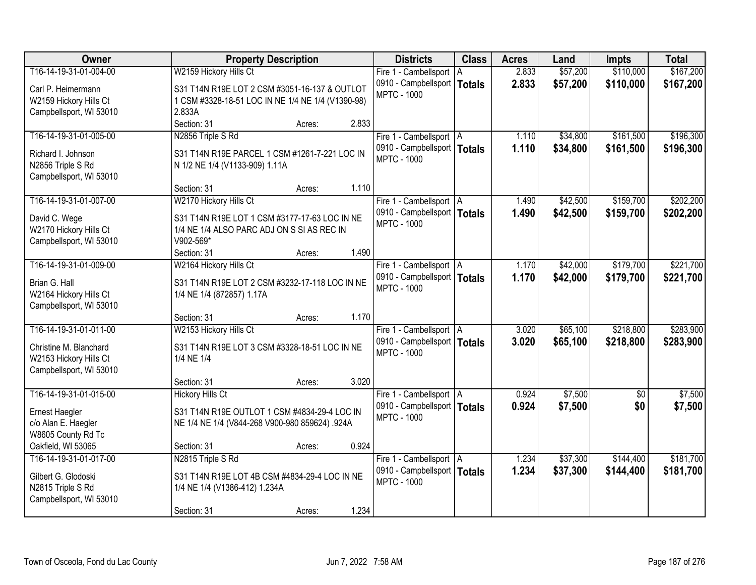| Owner                   | <b>Property Description</b>                       |       | <b>Districts</b>              | <b>Class</b> | <b>Acres</b> | Land     | <b>Impts</b>    | <b>Total</b> |
|-------------------------|---------------------------------------------------|-------|-------------------------------|--------------|--------------|----------|-----------------|--------------|
| T16-14-19-31-01-004-00  | W2159 Hickory Hills Ct                            |       | Fire 1 - Cambellsport   A     |              | 2.833        | \$57,200 | \$110,000       | \$167,200    |
| Carl P. Heimermann      | S31 T14N R19E LOT 2 CSM #3051-16-137 & OUTLOT     |       | 0910 - Campbellsport   Totals |              | 2.833        | \$57,200 | \$110,000       | \$167,200    |
| W2159 Hickory Hills Ct  | 1 CSM #3328-18-51 LOC IN NE 1/4 NE 1/4 (V1390-98) |       | <b>MPTC - 1000</b>            |              |              |          |                 |              |
| Campbellsport, WI 53010 | 2.833A                                            |       |                               |              |              |          |                 |              |
|                         | Section: 31<br>Acres:                             | 2.833 |                               |              |              |          |                 |              |
| T16-14-19-31-01-005-00  | N2856 Triple S Rd                                 |       | Fire 1 - Cambellsport   A     |              | 1.110        | \$34,800 | \$161,500       | \$196,300    |
| Richard I. Johnson      | S31 T14N R19E PARCEL 1 CSM #1261-7-221 LOC IN     |       | 0910 - Campbellsport   Totals |              | 1.110        | \$34,800 | \$161,500       | \$196,300    |
| N2856 Triple S Rd       | N 1/2 NE 1/4 (V1133-909) 1.11A                    |       | <b>MPTC - 1000</b>            |              |              |          |                 |              |
| Campbellsport, WI 53010 |                                                   |       |                               |              |              |          |                 |              |
|                         | Section: 31<br>Acres:                             | 1.110 |                               |              |              |          |                 |              |
| T16-14-19-31-01-007-00  | W2170 Hickory Hills Ct                            |       | Fire 1 - Cambellsport   A     |              | 1.490        | \$42,500 | \$159,700       | \$202,200    |
| David C. Wege           | S31 T14N R19E LOT 1 CSM #3177-17-63 LOC IN NE     |       | 0910 - Campbellsport   Totals |              | 1.490        | \$42,500 | \$159,700       | \$202,200    |
| W2170 Hickory Hills Ct  | 1/4 NE 1/4 ALSO PARC ADJ ON S SI AS REC IN        |       | <b>MPTC - 1000</b>            |              |              |          |                 |              |
| Campbellsport, WI 53010 | V902-569*                                         |       |                               |              |              |          |                 |              |
|                         | Section: 31<br>Acres:                             | 1.490 |                               |              |              |          |                 |              |
| T16-14-19-31-01-009-00  | W2164 Hickory Hills Ct                            |       | Fire 1 - Cambellsport   A     |              | 1.170        | \$42,000 | \$179,700       | \$221,700    |
| Brian G. Hall           | S31 T14N R19E LOT 2 CSM #3232-17-118 LOC IN NE    |       | 0910 - Campbellsport   Totals |              | 1.170        | \$42,000 | \$179,700       | \$221,700    |
| W2164 Hickory Hills Ct  | 1/4 NE 1/4 (872857) 1.17A                         |       | <b>MPTC - 1000</b>            |              |              |          |                 |              |
| Campbellsport, WI 53010 |                                                   |       |                               |              |              |          |                 |              |
|                         | Section: 31<br>Acres:                             | 1.170 |                               |              |              |          |                 |              |
| T16-14-19-31-01-011-00  | W2153 Hickory Hills Ct                            |       | Fire 1 - Cambellsport   A     |              | 3.020        | \$65,100 | \$218,800       | \$283,900    |
| Christine M. Blanchard  | S31 T14N R19E LOT 3 CSM #3328-18-51 LOC IN NE     |       | 0910 - Campbellsport   Totals |              | 3.020        | \$65,100 | \$218,800       | \$283,900    |
| W2153 Hickory Hills Ct  | 1/4 NE 1/4                                        |       | <b>MPTC - 1000</b>            |              |              |          |                 |              |
| Campbellsport, WI 53010 |                                                   |       |                               |              |              |          |                 |              |
|                         | Section: 31<br>Acres:                             | 3.020 |                               |              |              |          |                 |              |
| T16-14-19-31-01-015-00  | <b>Hickory Hills Ct</b>                           |       | Fire 1 - Cambellsport   A     |              | 0.924        | \$7,500  | $\overline{60}$ | \$7,500      |
| Ernest Haegler          | S31 T14N R19E OUTLOT 1 CSM #4834-29-4 LOC IN      |       | 0910 - Campbellsport   Totals |              | 0.924        | \$7,500  | \$0             | \$7,500      |
| c/o Alan E. Haegler     | NE 1/4 NE 1/4 (V844-268 V900-980 859624) .924A    |       | <b>MPTC - 1000</b>            |              |              |          |                 |              |
| W8605 County Rd Tc      |                                                   |       |                               |              |              |          |                 |              |
| Oakfield, WI 53065      | Section: 31<br>Acres:                             | 0.924 |                               |              |              |          |                 |              |
| T16-14-19-31-01-017-00  | N2815 Triple S Rd                                 |       | Fire 1 - Cambellsport   A     |              | 1.234        | \$37,300 | \$144,400       | \$181,700    |
| Gilbert G. Glodoski     | S31 T14N R19E LOT 4B CSM #4834-29-4 LOC IN NE     |       | 0910 - Campbellsport   Totals |              | 1.234        | \$37,300 | \$144,400       | \$181,700    |
| N2815 Triple S Rd       | 1/4 NE 1/4 (V1386-412) 1.234A                     |       | <b>MPTC - 1000</b>            |              |              |          |                 |              |
| Campbellsport, WI 53010 |                                                   |       |                               |              |              |          |                 |              |
|                         | Section: 31<br>Acres:                             | 1.234 |                               |              |              |          |                 |              |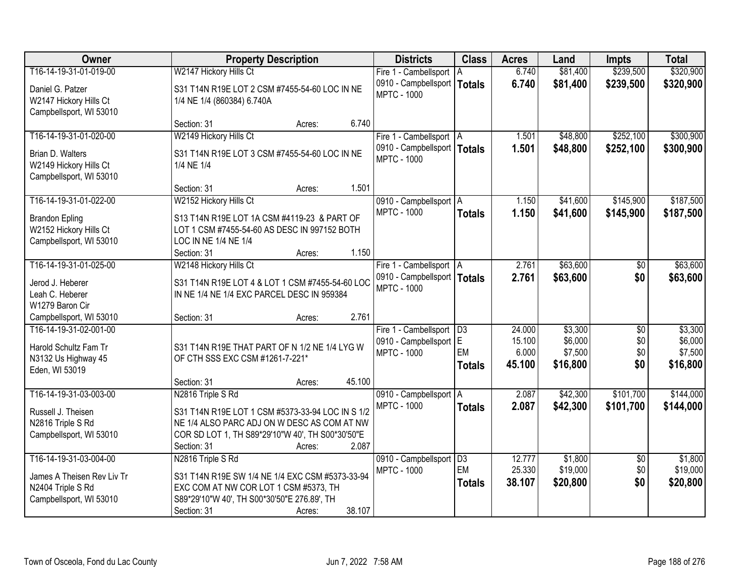| Owner                      | <b>Property Description</b>                      | <b>Districts</b>              | <b>Class</b>    | <b>Acres</b> | Land     | <b>Impts</b>    | <b>Total</b> |
|----------------------------|--------------------------------------------------|-------------------------------|-----------------|--------------|----------|-----------------|--------------|
| T16-14-19-31-01-019-00     | W2147 Hickory Hills Ct                           | Fire 1 - Cambellsport         | I A             | 6.740        | \$81,400 | \$239,500       | \$320,900    |
| Daniel G. Patzer           | S31 T14N R19E LOT 2 CSM #7455-54-60 LOC IN NE    | 0910 - Campbellsport          | <b>Totals</b>   | 6.740        | \$81,400 | \$239,500       | \$320,900    |
| W2147 Hickory Hills Ct     | 1/4 NE 1/4 (860384) 6.740A                       | <b>MPTC - 1000</b>            |                 |              |          |                 |              |
| Campbellsport, WI 53010    |                                                  |                               |                 |              |          |                 |              |
|                            | 6.740<br>Section: 31<br>Acres:                   |                               |                 |              |          |                 |              |
| T16-14-19-31-01-020-00     | W2149 Hickory Hills Ct                           | Fire 1 - Cambellsport   A     |                 | 1.501        | \$48,800 | \$252,100       | \$300,900    |
| Brian D. Walters           | S31 T14N R19E LOT 3 CSM #7455-54-60 LOC IN NE    | 0910 - Campbellsport   Totals |                 | 1.501        | \$48,800 | \$252,100       | \$300,900    |
| W2149 Hickory Hills Ct     | 1/4 NE 1/4                                       | <b>MPTC - 1000</b>            |                 |              |          |                 |              |
| Campbellsport, WI 53010    |                                                  |                               |                 |              |          |                 |              |
|                            | 1.501<br>Section: 31<br>Acres:                   |                               |                 |              |          |                 |              |
| T16-14-19-31-01-022-00     | W2152 Hickory Hills Ct                           | 0910 - Campbellsport   A      |                 | 1.150        | \$41,600 | \$145,900       | \$187,500    |
| <b>Brandon Epling</b>      | S13 T14N R19E LOT 1A CSM #4119-23 & PART OF      | <b>MPTC - 1000</b>            | <b>Totals</b>   | 1.150        | \$41,600 | \$145,900       | \$187,500    |
| W2152 Hickory Hills Ct     | LOT 1 CSM #7455-54-60 AS DESC IN 997152 BOTH     |                               |                 |              |          |                 |              |
| Campbellsport, WI 53010    | LOC IN NE 1/4 NE 1/4                             |                               |                 |              |          |                 |              |
|                            | 1.150<br>Section: 31<br>Acres:                   |                               |                 |              |          |                 |              |
| T16-14-19-31-01-025-00     | W2148 Hickory Hills Ct                           | Fire 1 - Cambellsport   A     |                 | 2.761        | \$63,600 | \$0             | \$63,600     |
| Jerod J. Heberer           | S31 T14N R19E LOT 4 & LOT 1 CSM #7455-54-60 LOC  | 0910 - Campbellsport   Totals |                 | 2.761        | \$63,600 | \$0             | \$63,600     |
| Leah C. Heberer            | IN NE 1/4 NE 1/4 EXC PARCEL DESC IN 959384       | <b>MPTC - 1000</b>            |                 |              |          |                 |              |
| W1279 Baron Cir            |                                                  |                               |                 |              |          |                 |              |
| Campbellsport, WI 53010    | 2.761<br>Section: 31<br>Acres:                   |                               |                 |              |          |                 |              |
| T16-14-19-31-02-001-00     |                                                  | Fire 1 - Cambellsport   D3    |                 | 24.000       | \$3,300  | $\overline{50}$ | \$3,300      |
| Harold Schultz Fam Tr      | S31 T14N R19E THAT PART OF N 1/2 NE 1/4 LYG W    | 0910 - Campbellsport E        |                 | 15.100       | \$6,000  | \$0             | \$6,000      |
| N3132 Us Highway 45        | OF CTH SSS EXC CSM #1261-7-221*                  | <b>MPTC - 1000</b>            | EM              | 6.000        | \$7,500  | \$0             | \$7,500      |
| Eden, WI 53019             |                                                  |                               | <b>Totals</b>   | 45.100       | \$16,800 | \$0             | \$16,800     |
|                            | 45.100<br>Section: 31<br>Acres:                  |                               |                 |              |          |                 |              |
| T16-14-19-31-03-003-00     | N2816 Triple S Rd                                | 0910 - Campbellsport A        |                 | 2.087        | \$42,300 | \$101,700       | \$144,000    |
| Russell J. Theisen         | S31 T14N R19E LOT 1 CSM #5373-33-94 LOC IN S 1/2 | <b>MPTC - 1000</b>            | <b>Totals</b>   | 2.087        | \$42,300 | \$101,700       | \$144,000    |
| N2816 Triple S Rd          | NE 1/4 ALSO PARC ADJ ON W DESC AS COM AT NW      |                               |                 |              |          |                 |              |
| Campbellsport, WI 53010    | COR SD LOT 1, TH S89*29'10"W 40', TH S00*30'50"E |                               |                 |              |          |                 |              |
|                            | 2.087<br>Section: 31<br>Acres:                   |                               |                 |              |          |                 |              |
| T16-14-19-31-03-004-00     | N2816 Triple S Rd                                | 0910 - Campbellsport          | $\overline{D3}$ | 12.777       | \$1,800  | $\overline{50}$ | \$1,800      |
| James A Theisen Rev Liv Tr | S31 T14N R19E SW 1/4 NE 1/4 EXC CSM #5373-33-94  | <b>MPTC - 1000</b>            | EM              | 25.330       | \$19,000 | \$0             | \$19,000     |
| N2404 Triple S Rd          | EXC COM AT NW COR LOT 1 CSM #5373, TH            |                               | <b>Totals</b>   | 38.107       | \$20,800 | \$0             | \$20,800     |
| Campbellsport, WI 53010    | S89*29'10"W 40', TH S00*30'50"E 276.89', TH      |                               |                 |              |          |                 |              |
|                            | 38.107<br>Section: 31<br>Acres:                  |                               |                 |              |          |                 |              |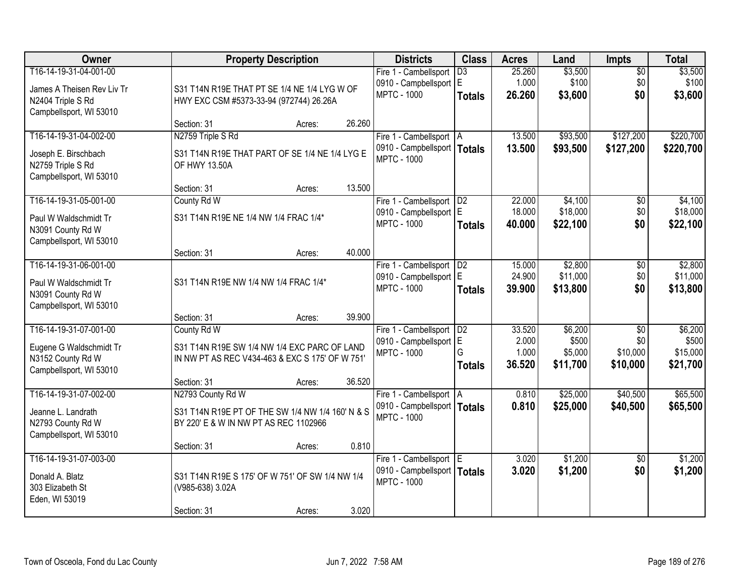| Owner                                                                                                |                                                                                                                               | <b>Property Description</b> |        | <b>Districts</b>                                                                 | <b>Class</b>                     | <b>Acres</b>                       | Land                                    | <b>Impts</b>                                   | <b>Total</b>                             |
|------------------------------------------------------------------------------------------------------|-------------------------------------------------------------------------------------------------------------------------------|-----------------------------|--------|----------------------------------------------------------------------------------|----------------------------------|------------------------------------|-----------------------------------------|------------------------------------------------|------------------------------------------|
| T16-14-19-31-04-001-00<br>James A Theisen Rev Liv Tr<br>N2404 Triple S Rd<br>Campbellsport, WI 53010 | S31 T14N R19E THAT PT SE 1/4 NE 1/4 LYG W OF<br>HWY EXC CSM #5373-33-94 (972744) 26.26A                                       |                             |        | Fire 1 - Cambellsport<br>0910 - Campbellsport E<br><b>MPTC - 1000</b>            | $\overline{D3}$<br><b>Totals</b> | 25.260<br>1.000<br>26.260          | \$3,500<br>\$100<br>\$3,600             | $\overline{50}$<br>\$0<br>\$0                  | \$3,500<br>\$100<br>\$3,600              |
|                                                                                                      | Section: 31                                                                                                                   | Acres:                      | 26.260 |                                                                                  |                                  |                                    |                                         |                                                |                                          |
| T16-14-19-31-04-002-00<br>Joseph E. Birschbach<br>N2759 Triple S Rd<br>Campbellsport, WI 53010       | N2759 Triple S Rd<br>S31 T14N R19E THAT PART OF SE 1/4 NE 1/4 LYG E<br>OF HWY 13.50A                                          |                             |        | Fire 1 - Cambellsport   A<br>0910 - Campbellsport   Totals<br><b>MPTC - 1000</b> |                                  | 13.500<br>13.500                   | \$93,500<br>\$93,500                    | \$127,200<br>\$127,200                         | \$220,700<br>\$220,700                   |
|                                                                                                      | Section: 31                                                                                                                   | Acres:                      | 13.500 |                                                                                  |                                  |                                    |                                         |                                                |                                          |
| T16-14-19-31-05-001-00<br>Paul W Waldschmidt Tr<br>N3091 County Rd W<br>Campbellsport, WI 53010      | County Rd W<br>S31 T14N R19E NE 1/4 NW 1/4 FRAC 1/4*                                                                          |                             |        | Fire 1 - Cambellsport   D2<br>0910 - Campbellsport   E<br><b>MPTC - 1000</b>     | <b>Totals</b>                    | 22.000<br>18.000<br>40.000         | \$4,100<br>\$18,000<br>\$22,100         | $\sqrt[6]{}$<br>\$0<br>\$0                     | \$4,100<br>\$18,000<br>\$22,100          |
|                                                                                                      | Section: 31                                                                                                                   | Acres:                      | 40.000 |                                                                                  |                                  |                                    |                                         |                                                |                                          |
| T16-14-19-31-06-001-00<br>Paul W Waldschmidt Tr<br>N3091 County Rd W<br>Campbellsport, WI 53010      | S31 T14N R19E NW 1/4 NW 1/4 FRAC 1/4*                                                                                         |                             |        | Fire 1 - Cambellsport<br>0910 - Campbellsport   E<br><b>MPTC - 1000</b>          | D <sub>2</sub><br><b>Totals</b>  | 15.000<br>24.900<br>39.900         | \$2,800<br>\$11,000<br>\$13,800         | \$0<br>\$0<br>\$0                              | \$2,800<br>\$11,000<br>\$13,800          |
|                                                                                                      | Section: 31                                                                                                                   | Acres:                      | 39.900 |                                                                                  |                                  |                                    |                                         |                                                |                                          |
| T16-14-19-31-07-001-00<br>Eugene G Waldschmidt Tr<br>N3152 County Rd W<br>Campbellsport, WI 53010    | County Rd W<br>S31 T14N R19E SW 1/4 NW 1/4 EXC PARC OF LAND<br>IN NW PT AS REC V434-463 & EXC S 175' OF W 751'<br>Section: 31 | Acres:                      | 36.520 | Fire 1 - Cambellsport<br>0910 - Campbellsport E<br><b>MPTC - 1000</b>            | D2<br>G<br><b>Totals</b>         | 33.520<br>2.000<br>1.000<br>36.520 | \$6,200<br>\$500<br>\$5,000<br>\$11,700 | $\overline{50}$<br>\$0<br>\$10,000<br>\$10,000 | \$6,200<br>\$500<br>\$15,000<br>\$21,700 |
| T16-14-19-31-07-002-00<br>Jeanne L. Landrath<br>N2793 County Rd W<br>Campbellsport, WI 53010         | N2793 County Rd W<br>S31 T14N R19E PT OF THE SW 1/4 NW 1/4 160' N & S<br>BY 220' E & W IN NW PT AS REC 1102966<br>Section: 31 | Acres:                      | 0.810  | Fire 1 - Cambellsport   A<br>0910 - Campbellsport   Totals<br><b>MPTC - 1000</b> |                                  | 0.810<br>0.810                     | \$25,000<br>\$25,000                    | \$40,500<br>\$40,500                           | \$65,500<br>\$65,500                     |
| T16-14-19-31-07-003-00<br>Donald A. Blatz<br>303 Elizabeth St<br>Eden, WI 53019                      | S31 T14N R19E S 175' OF W 751' OF SW 1/4 NW 1/4<br>(V985-638) 3.02A<br>Section: 31                                            | Acres:                      | 3.020  | Fire 1 - Cambellsport E<br>0910 - Campbellsport   Totals<br><b>MPTC - 1000</b>   |                                  | 3.020<br>3.020                     | \$1,200<br>\$1,200                      | $\overline{30}$<br>\$0                         | \$1,200<br>\$1,200                       |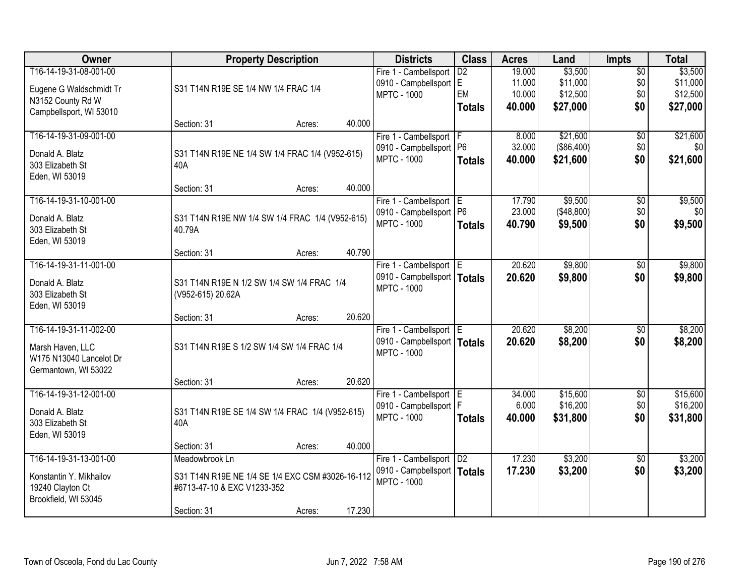| Owner                   |                                                  | <b>Property Description</b> |        | <b>Districts</b>              | <b>Class</b>    | <b>Acres</b> | Land       | <b>Impts</b>    | <b>Total</b> |
|-------------------------|--------------------------------------------------|-----------------------------|--------|-------------------------------|-----------------|--------------|------------|-----------------|--------------|
| T16-14-19-31-08-001-00  |                                                  |                             |        | Fire 1 - Cambellsport         | $\overline{D2}$ | 19.000       | \$3,500    | $\overline{50}$ | \$3,500      |
| Eugene G Waldschmidt Tr | S31 T14N R19E SE 1/4 NW 1/4 FRAC 1/4             |                             |        | 0910 - Campbellsport E        |                 | 11.000       | \$11,000   | \$0             | \$11,000     |
| N3152 County Rd W       |                                                  |                             |        | <b>MPTC - 1000</b>            | EM              | 10.000       | \$12,500   | \$0             | \$12,500     |
| Campbellsport, WI 53010 |                                                  |                             |        |                               | <b>Totals</b>   | 40.000       | \$27,000   | \$0             | \$27,000     |
|                         | Section: 31                                      | Acres:                      | 40.000 |                               |                 |              |            |                 |              |
| T16-14-19-31-09-001-00  |                                                  |                             |        | Fire 1 - Cambellsport   F     |                 | 8.000        | \$21,600   | \$0             | \$21,600     |
| Donald A. Blatz         | S31 T14N R19E NE 1/4 SW 1/4 FRAC 1/4 (V952-615)  |                             |        | 0910 - Campbellsport   P6     |                 | 32.000       | (\$86,400) | \$0             | \$0          |
| 303 Elizabeth St        | 40A                                              |                             |        | <b>MPTC - 1000</b>            | <b>Totals</b>   | 40.000       | \$21,600   | \$0             | \$21,600     |
| Eden, WI 53019          |                                                  |                             |        |                               |                 |              |            |                 |              |
|                         | Section: 31                                      | Acres:                      | 40.000 |                               |                 |              |            |                 |              |
| T16-14-19-31-10-001-00  |                                                  |                             |        | Fire 1 - Cambellsport E       |                 | 17.790       | \$9,500    | $\sqrt[6]{30}$  | \$9,500      |
| Donald A. Blatz         | S31 T14N R19E NW 1/4 SW 1/4 FRAC 1/4 (V952-615)  |                             |        | 0910 - Campbellsport   P6     |                 | 23.000       | (\$48,800) | \$0             | \$0          |
| 303 Elizabeth St        | 40.79A                                           |                             |        | <b>MPTC - 1000</b>            | <b>Totals</b>   | 40.790       | \$9,500    | \$0             | \$9,500      |
| Eden, WI 53019          |                                                  |                             |        |                               |                 |              |            |                 |              |
|                         | Section: 31                                      | Acres:                      | 40.790 |                               |                 |              |            |                 |              |
| T16-14-19-31-11-001-00  |                                                  |                             |        | Fire 1 - Cambellsport E       |                 | 20.620       | \$9,800    | \$0             | \$9,800      |
| Donald A. Blatz         | S31 T14N R19E N 1/2 SW 1/4 SW 1/4 FRAC 1/4       |                             |        | 0910 - Campbellsport   Totals |                 | 20.620       | \$9,800    | \$0             | \$9,800      |
| 303 Elizabeth St        | (V952-615) 20.62A                                |                             |        | <b>MPTC - 1000</b>            |                 |              |            |                 |              |
| Eden, WI 53019          |                                                  |                             |        |                               |                 |              |            |                 |              |
|                         | Section: 31                                      | Acres:                      | 20.620 |                               |                 |              |            |                 |              |
| T16-14-19-31-11-002-00  |                                                  |                             |        | Fire 1 - Cambellsport E       |                 | 20.620       | \$8,200    | \$0             | \$8,200      |
| Marsh Haven, LLC        | S31 T14N R19E S 1/2 SW 1/4 SW 1/4 FRAC 1/4       |                             |        | 0910 - Campbellsport   Totals |                 | 20.620       | \$8,200    | \$0             | \$8,200      |
| W175 N13040 Lancelot Dr |                                                  |                             |        | <b>MPTC - 1000</b>            |                 |              |            |                 |              |
| Germantown, WI 53022    |                                                  |                             |        |                               |                 |              |            |                 |              |
|                         | Section: 31                                      | Acres:                      | 20.620 |                               |                 |              |            |                 |              |
| T16-14-19-31-12-001-00  |                                                  |                             |        | Fire 1 - Cambellsport E       |                 | 34.000       | \$15,600   | $\overline{60}$ | \$15,600     |
| Donald A. Blatz         | S31 T14N R19E SE 1/4 SW 1/4 FRAC 1/4 (V952-615)  |                             |        | 0910 - Campbellsport   F      |                 | 6.000        | \$16,200   | \$0             | \$16,200     |
| 303 Elizabeth St        | 40A                                              |                             |        | <b>MPTC - 1000</b>            | <b>Totals</b>   | 40.000       | \$31,800   | \$0             | \$31,800     |
| Eden, WI 53019          |                                                  |                             |        |                               |                 |              |            |                 |              |
|                         | Section: 31                                      | Acres:                      | 40.000 |                               |                 |              |            |                 |              |
| T16-14-19-31-13-001-00  | Meadowbrook Ln                                   |                             |        | Fire 1 - Cambellsport   D2    |                 | 17.230       | \$3,200    | $\overline{30}$ | \$3,200      |
| Konstantin Y. Mikhailov | S31 T14N R19E NE 1/4 SE 1/4 EXC CSM #3026-16-112 |                             |        | 0910 - Campbellsport   Totals |                 | 17.230       | \$3,200    | \$0             | \$3,200      |
| 19240 Clayton Ct        | #6713-47-10 & EXC V1233-352                      |                             |        | <b>MPTC - 1000</b>            |                 |              |            |                 |              |
| Brookfield, WI 53045    |                                                  |                             |        |                               |                 |              |            |                 |              |
|                         | Section: 31                                      | Acres:                      | 17.230 |                               |                 |              |            |                 |              |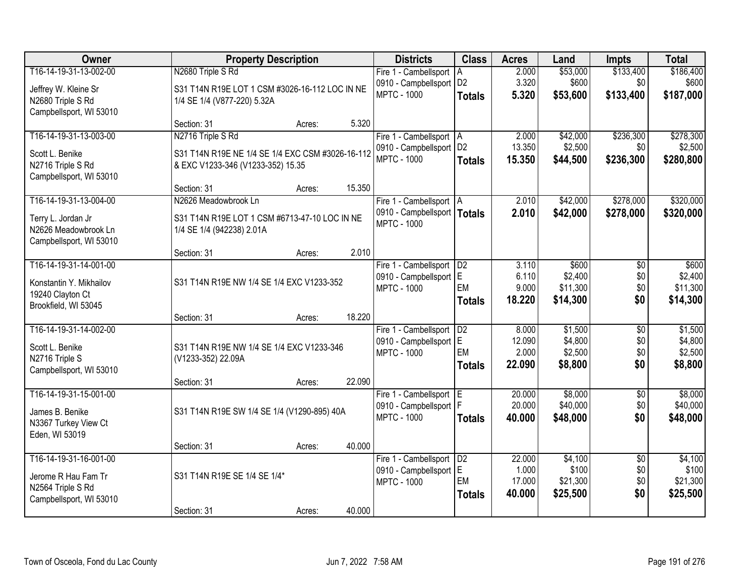| Owner                                           | <b>Property Description</b>                      |        |        | <b>Districts</b>                               | <b>Class</b>    | <b>Acres</b>     | Land                | <b>Impts</b>           | <b>Total</b>         |
|-------------------------------------------------|--------------------------------------------------|--------|--------|------------------------------------------------|-----------------|------------------|---------------------|------------------------|----------------------|
| T16-14-19-31-13-002-00                          | N2680 Triple S Rd                                |        |        | Fire 1 - Cambellsport                          | ΙA              | 2.000            | \$53,000            | \$133,400              | \$186,400            |
| Jeffrey W. Kleine Sr                            | S31 T14N R19E LOT 1 CSM #3026-16-112 LOC IN NE   |        |        | 0910 - Campbellsport   D2                      |                 | 3.320            | \$600               | \$0                    | \$600                |
| N2680 Triple S Rd                               | 1/4 SE 1/4 (V877-220) 5.32A                      |        |        | <b>MPTC - 1000</b>                             | <b>Totals</b>   | 5.320            | \$53,600            | \$133,400              | \$187,000            |
| Campbellsport, WI 53010                         |                                                  |        |        |                                                |                 |                  |                     |                        |                      |
|                                                 | Section: 31                                      | Acres: | 5.320  |                                                |                 |                  |                     |                        |                      |
| T16-14-19-31-13-003-00                          | N2716 Triple S Rd                                |        |        | Fire 1 - Cambellsport   A                      | D <sub>2</sub>  | 2.000<br>13.350  | \$42,000<br>\$2,500 | \$236,300<br>\$0       | \$278,300<br>\$2,500 |
| Scott L. Benike                                 | S31 T14N R19E NE 1/4 SE 1/4 EXC CSM #3026-16-112 |        |        | 0910 - Campbellsport<br><b>MPTC - 1000</b>     | <b>Totals</b>   | 15.350           | \$44,500            | \$236,300              | \$280,800            |
| N2716 Triple S Rd                               | & EXC V1233-346 (V1233-352) 15.35                |        |        |                                                |                 |                  |                     |                        |                      |
| Campbellsport, WI 53010                         |                                                  |        | 15.350 |                                                |                 |                  |                     |                        |                      |
| T16-14-19-31-13-004-00                          | Section: 31<br>N2626 Meadowbrook Ln              | Acres: |        | Fire 1 - Cambellsport   A                      |                 | 2.010            | \$42,000            | \$278,000              | \$320,000            |
|                                                 |                                                  |        |        | 0910 - Campbellsport   Totals                  |                 | 2.010            | \$42,000            | \$278,000              | \$320,000            |
| Terry L. Jordan Jr                              | S31 T14N R19E LOT 1 CSM #6713-47-10 LOC IN NE    |        |        | <b>MPTC - 1000</b>                             |                 |                  |                     |                        |                      |
| N2626 Meadowbrook Ln<br>Campbellsport, WI 53010 | 1/4 SE 1/4 (942238) 2.01A                        |        |        |                                                |                 |                  |                     |                        |                      |
|                                                 | Section: 31                                      | Acres: | 2.010  |                                                |                 |                  |                     |                        |                      |
| T16-14-19-31-14-001-00                          |                                                  |        |        | Fire 1 - Cambellsport                          | D2              | 3.110            | \$600               | \$0                    | \$600                |
| Konstantin Y. Mikhailov                         | S31 T14N R19E NW 1/4 SE 1/4 EXC V1233-352        |        |        | 0910 - Campbellsport E                         |                 | 6.110            | \$2,400             | \$0                    | \$2,400              |
| 19240 Clayton Ct                                |                                                  |        |        | <b>MPTC - 1000</b>                             | EM              | 9.000            | \$11,300            | \$0                    | \$11,300             |
| Brookfield, WI 53045                            |                                                  |        |        |                                                | <b>Totals</b>   | 18.220           | \$14,300            | \$0                    | \$14,300             |
|                                                 | Section: 31                                      | Acres: | 18.220 |                                                |                 |                  |                     |                        |                      |
| T16-14-19-31-14-002-00                          |                                                  |        |        | Fire 1 - Cambellsport                          | D2              | 8.000            | \$1,500             | $\overline{50}$        | \$1,500              |
| Scott L. Benike                                 | S31 T14N R19E NW 1/4 SE 1/4 EXC V1233-346        |        |        | 0910 - Campbellsport E                         |                 | 12.090           | \$4,800             | \$0                    | \$4,800              |
| N2716 Triple S                                  | (V1233-352) 22.09A                               |        |        | <b>MPTC - 1000</b>                             | EM              | 2.000<br>22.090  | \$2,500             | \$0<br>\$0             | \$2,500<br>\$8,800   |
| Campbellsport, WI 53010                         |                                                  |        |        |                                                | <b>Totals</b>   |                  | \$8,800             |                        |                      |
|                                                 | Section: 31                                      | Acres: | 22.090 |                                                |                 |                  |                     |                        |                      |
| T16-14-19-31-15-001-00                          |                                                  |        |        | Fire 1 - Cambellsport E                        |                 | 20.000<br>20.000 | \$8,000<br>\$40,000 | $\overline{50}$<br>\$0 | \$8,000<br>\$40,000  |
| James B. Benike                                 | S31 T14N R19E SW 1/4 SE 1/4 (V1290-895) 40A      |        |        | 0910 - Campbellsport   F<br><b>MPTC - 1000</b> | <b>Totals</b>   | 40.000           | \$48,000            | \$0                    | \$48,000             |
| N3367 Turkey View Ct                            |                                                  |        |        |                                                |                 |                  |                     |                        |                      |
| Eden, WI 53019                                  |                                                  |        |        |                                                |                 |                  |                     |                        |                      |
| T16-14-19-31-16-001-00                          | Section: 31                                      | Acres: | 40.000 | Fire 1 - Cambellsport                          | $\overline{D2}$ | 22.000           | \$4,100             | $\overline{50}$        | \$4,100              |
|                                                 |                                                  |        |        | 0910 - Campbellsport                           | E               | 1.000            | \$100               | \$0                    | \$100                |
| Jerome R Hau Fam Tr                             | S31 T14N R19E SE 1/4 SE 1/4*                     |        |        | <b>MPTC - 1000</b>                             | EM              | 17.000           | \$21,300            | \$0                    | \$21,300             |
| N2564 Triple S Rd<br>Campbellsport, WI 53010    |                                                  |        |        |                                                | <b>Totals</b>   | 40.000           | \$25,500            | \$0                    | \$25,500             |
|                                                 | Section: 31                                      | Acres: | 40.000 |                                                |                 |                  |                     |                        |                      |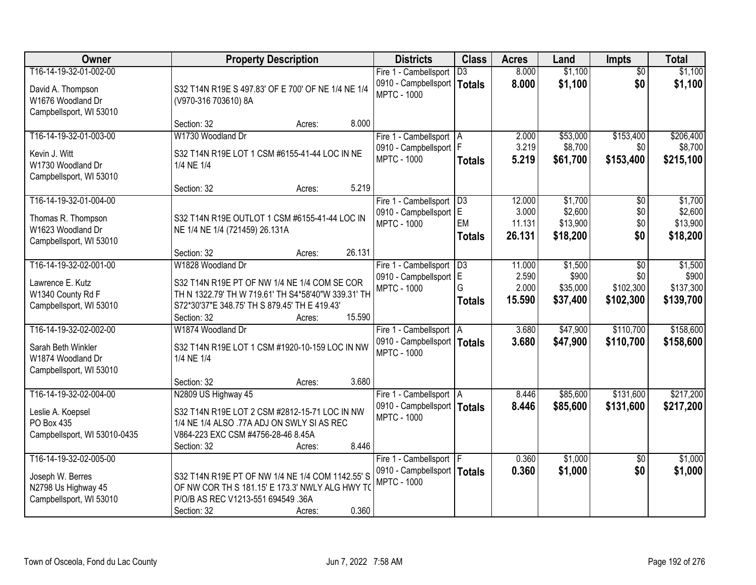| Owner                                                                                        | <b>Property Description</b>                                                                                                                                                                                  | <b>Districts</b>                                                                 | <b>Class</b>                     | <b>Acres</b>                        | Land                                       | <b>Impts</b>                         | <b>Total</b>                               |
|----------------------------------------------------------------------------------------------|--------------------------------------------------------------------------------------------------------------------------------------------------------------------------------------------------------------|----------------------------------------------------------------------------------|----------------------------------|-------------------------------------|--------------------------------------------|--------------------------------------|--------------------------------------------|
| T16-14-19-32-01-002-00<br>David A. Thompson<br>W1676 Woodland Dr<br>Campbellsport, WI 53010  | S32 T14N R19E S 497.83' OF E 700' OF NE 1/4 NE 1/4<br>(V970-316 703610) 8A                                                                                                                                   | Fire 1 - Cambellsport<br>0910 - Campbellsport<br><b>MPTC - 1000</b>              | $\overline{D3}$<br><b>Totals</b> | 8.000<br>8.000                      | \$1,100<br>\$1,100                         | $\overline{50}$<br>\$0               | \$1,100<br>\$1,100                         |
|                                                                                              | 8.000<br>Section: 32<br>Acres:                                                                                                                                                                               |                                                                                  |                                  |                                     |                                            |                                      |                                            |
| T16-14-19-32-01-003-00<br>Kevin J. Witt<br>W1730 Woodland Dr<br>Campbellsport, WI 53010      | W1730 Woodland Dr<br>S32 T14N R19E LOT 1 CSM #6155-41-44 LOC IN NE<br>1/4 NE 1/4                                                                                                                             | Fire 1 - Cambellsport   A<br>0910 - Campbellsport   F<br><b>MPTC - 1000</b>      | <b>Totals</b>                    | 2.000<br>3.219<br>5.219             | \$53,000<br>\$8,700<br>\$61,700            | \$153,400<br>\$0<br>\$153,400        | \$206,400<br>\$8,700<br>\$215,100          |
|                                                                                              | 5.219<br>Section: 32<br>Acres:                                                                                                                                                                               |                                                                                  |                                  |                                     |                                            |                                      |                                            |
| T16-14-19-32-01-004-00<br>Thomas R. Thompson<br>W1623 Woodland Dr<br>Campbellsport, WI 53010 | S32 T14N R19E OUTLOT 1 CSM #6155-41-44 LOC IN<br>NE 1/4 NE 1/4 (721459) 26.131A                                                                                                                              | Fire 1 - Cambellsport   D3<br>0910 - Campbellsport E<br><b>MPTC - 1000</b>       | EM<br><b>Totals</b>              | 12.000<br>3.000<br>11.131<br>26.131 | \$1,700<br>\$2,600<br>\$13,900<br>\$18,200 | $\overline{50}$<br>\$0<br>\$0<br>\$0 | \$1,700<br>\$2,600<br>\$13,900<br>\$18,200 |
|                                                                                              | 26.131<br>Section: 32<br>Acres:                                                                                                                                                                              |                                                                                  |                                  |                                     |                                            |                                      |                                            |
| T16-14-19-32-02-001-00<br>Lawrence E. Kutz<br>W1340 County Rd F<br>Campbellsport, WI 53010   | W1828 Woodland Dr<br>S32 T14N R19E PT OF NW 1/4 NE 1/4 COM SE COR<br>TH N 1322.79' TH W 719.61' TH S4*58'40"W 339.31' TH<br>S72*30'37"E 348.75' TH S 879.45' TH E 419.43'<br>15.590<br>Section: 32<br>Acres: | Fire 1 - Cambellsport<br>0910 - Campbellsport E<br><b>MPTC - 1000</b>            | D3<br>G<br><b>Totals</b>         | 11.000<br>2.590<br>2.000<br>15.590  | \$1,500<br>\$900<br>\$35,000<br>\$37,400   | \$0<br>\$0<br>\$102,300<br>\$102,300 | \$1,500<br>\$900<br>\$137,300<br>\$139,700 |
| T16-14-19-32-02-002-00<br>Sarah Beth Winkler<br>W1874 Woodland Dr<br>Campbellsport, WI 53010 | W1874 Woodland Dr<br>S32 T14N R19E LOT 1 CSM #1920-10-159 LOC IN NW<br>1/4 NE 1/4<br>3.680<br>Section: 32<br>Acres:                                                                                          | Fire 1 - Cambellsport   A<br>0910 - Campbellsport   Totals<br><b>MPTC - 1000</b> |                                  | 3.680<br>3.680                      | \$47,900<br>\$47,900                       | \$110,700<br>\$110,700               | \$158,600<br>\$158,600                     |
| T16-14-19-32-02-004-00<br>Leslie A. Koepsel<br>PO Box 435<br>Campbellsport, WI 53010-0435    | N2809 US Highway 45<br>S32 T14N R19E LOT 2 CSM #2812-15-71 LOC IN NW<br>1/4 NE 1/4 ALSO .77A ADJ ON SWLY SI AS REC<br>V864-223 EXC CSM #4756-28-46 8.45A<br>8.446<br>Section: 32<br>Acres:                   | Fire 1 - Cambellsport   A<br>0910 - Campbellsport   Totals<br><b>MPTC - 1000</b> |                                  | 8.446<br>8.446                      | \$85,600<br>\$85,600                       | \$131,600<br>\$131,600               | \$217,200<br>\$217,200                     |
| T16-14-19-32-02-005-00<br>Joseph W. Berres<br>N2798 Us Highway 45<br>Campbellsport, WI 53010 | S32 T14N R19E PT OF NW 1/4 NE 1/4 COM 1142.55' S<br>OF NW COR TH S 181.15' E 173.3' NWLY ALG HWY TO<br>P/O/B AS REC V1213-551 694549 .36A<br>0.360<br>Section: 32<br>Acres:                                  | Fire 1 - Cambellsport   F<br>0910 - Campbellsport   Totals<br><b>MPTC - 1000</b> |                                  | 0.360<br>0.360                      | \$1,000<br>\$1,000                         | $\overline{50}$<br>\$0               | \$1,000<br>\$1,000                         |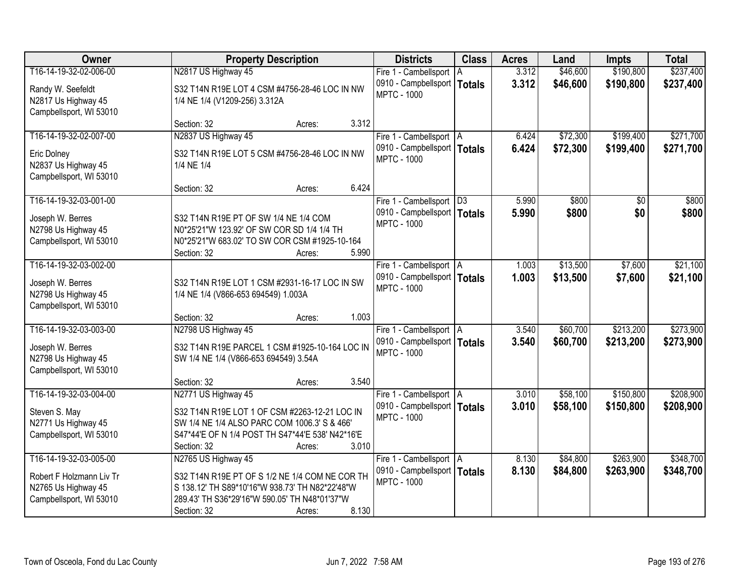| Owner                    | <b>Property Description</b>                      | <b>Districts</b>                                    | <b>Class</b>  | <b>Acres</b> | Land     | <b>Impts</b> | <b>Total</b> |
|--------------------------|--------------------------------------------------|-----------------------------------------------------|---------------|--------------|----------|--------------|--------------|
| T16-14-19-32-02-006-00   | N2817 US Highway 45                              | Fire 1 - Cambellsport   A                           |               | 3.312        | \$46,600 | \$190,800    | \$237,400    |
| Randy W. Seefeldt        | S32 T14N R19E LOT 4 CSM #4756-28-46 LOC IN NW    | 0910 - Campbellsport  <br><b>MPTC - 1000</b>        | <b>Totals</b> | 3.312        | \$46,600 | \$190,800    | \$237,400    |
| N2817 Us Highway 45      | 1/4 NE 1/4 (V1209-256) 3.312A                    |                                                     |               |              |          |              |              |
| Campbellsport, WI 53010  |                                                  |                                                     |               |              |          |              |              |
|                          | 3.312<br>Section: 32<br>Acres:                   |                                                     |               |              |          |              |              |
| T16-14-19-32-02-007-00   | N2837 US Highway 45                              | Fire 1 - Cambellsport   A                           |               | 6.424        | \$72,300 | \$199,400    | \$271,700    |
| Eric Dolney              | S32 T14N R19E LOT 5 CSM #4756-28-46 LOC IN NW    | 0910 - Campbellsport   Totals<br><b>MPTC - 1000</b> |               | 6.424        | \$72,300 | \$199,400    | \$271,700    |
| N2837 Us Highway 45      | 1/4 NE 1/4                                       |                                                     |               |              |          |              |              |
| Campbellsport, WI 53010  |                                                  |                                                     |               |              |          |              |              |
|                          | 6.424<br>Section: 32<br>Acres:                   |                                                     |               |              |          |              |              |
| T16-14-19-32-03-001-00   |                                                  | Fire 1 - Cambellsport   D3                          |               | 5.990        | \$800    | \$0          | \$800        |
| Joseph W. Berres         | S32 T14N R19E PT OF SW 1/4 NE 1/4 COM            | 0910 - Campbellsport   Totals<br><b>MPTC - 1000</b> |               | 5.990        | \$800    | \$0          | \$800        |
| N2798 Us Highway 45      | N0*25'21"W 123.92' OF SW COR SD 1/4 1/4 TH       |                                                     |               |              |          |              |              |
| Campbellsport, WI 53010  | N0*25'21"W 683.02' TO SW COR CSM #1925-10-164    |                                                     |               |              |          |              |              |
|                          | Section: 32<br>5.990<br>Acres:                   |                                                     |               |              |          |              |              |
| T16-14-19-32-03-002-00   |                                                  | Fire 1 - Cambellsport   A                           |               | 1.003        | \$13,500 | \$7,600      | \$21,100     |
| Joseph W. Berres         | S32 T14N R19E LOT 1 CSM #2931-16-17 LOC IN SW    | 0910 - Campbellsport   Totals                       |               | 1.003        | \$13,500 | \$7,600      | \$21,100     |
| N2798 Us Highway 45      | 1/4 NE 1/4 (V866-653 694549) 1.003A              | <b>MPTC - 1000</b>                                  |               |              |          |              |              |
| Campbellsport, WI 53010  |                                                  |                                                     |               |              |          |              |              |
|                          | 1.003<br>Section: 32<br>Acres:                   |                                                     |               |              |          |              |              |
| T16-14-19-32-03-003-00   | N2798 US Highway 45                              | Fire 1 - Cambellsport   A                           |               | 3.540        | \$60,700 | \$213,200    | \$273,900    |
| Joseph W. Berres         | S32 T14N R19E PARCEL 1 CSM #1925-10-164 LOC IN   | 0910 - Campbellsport   Totals                       |               | 3.540        | \$60,700 | \$213,200    | \$273,900    |
| N2798 Us Highway 45      | SW 1/4 NE 1/4 (V866-653 694549) 3.54A            | <b>MPTC - 1000</b>                                  |               |              |          |              |              |
| Campbellsport, WI 53010  |                                                  |                                                     |               |              |          |              |              |
|                          | 3.540<br>Section: 32<br>Acres:                   |                                                     |               |              |          |              |              |
| T16-14-19-32-03-004-00   | N2771 US Highway 45                              | Fire 1 - Cambellsport A                             |               | 3.010        | \$58,100 | \$150,800    | \$208,900    |
| Steven S. May            | S32 T14N R19E LOT 1 OF CSM #2263-12-21 LOC IN    | 0910 - Campbellsport   Totals                       |               | 3.010        | \$58,100 | \$150,800    | \$208,900    |
| N2771 Us Highway 45      | SW 1/4 NE 1/4 ALSO PARC COM 1006.3' S & 466'     | <b>MPTC - 1000</b>                                  |               |              |          |              |              |
| Campbellsport, WI 53010  | S47*44'E OF N 1/4 POST TH S47*44'E 538' N42*16'E |                                                     |               |              |          |              |              |
|                          | 3.010<br>Section: 32<br>Acres:                   |                                                     |               |              |          |              |              |
| T16-14-19-32-03-005-00   | N2765 US Highway 45                              | Fire 1 - Cambellsport   A                           |               | 8.130        | \$84,800 | \$263,900    | \$348,700    |
| Robert F Holzmann Liv Tr | S32 T14N R19E PT OF S 1/2 NE 1/4 COM NE COR TH   | 0910 - Campbellsport   Totals                       |               | 8.130        | \$84,800 | \$263,900    | \$348,700    |
| N2765 Us Highway 45      | S 138.12' TH S89*10'16"W 938.73' TH N82*22'48"W  | <b>MPTC - 1000</b>                                  |               |              |          |              |              |
| Campbellsport, WI 53010  | 289.43' TH S36*29'16"W 590.05' TH N48*01'37"W    |                                                     |               |              |          |              |              |
|                          | 8.130<br>Section: 32<br>Acres:                   |                                                     |               |              |          |              |              |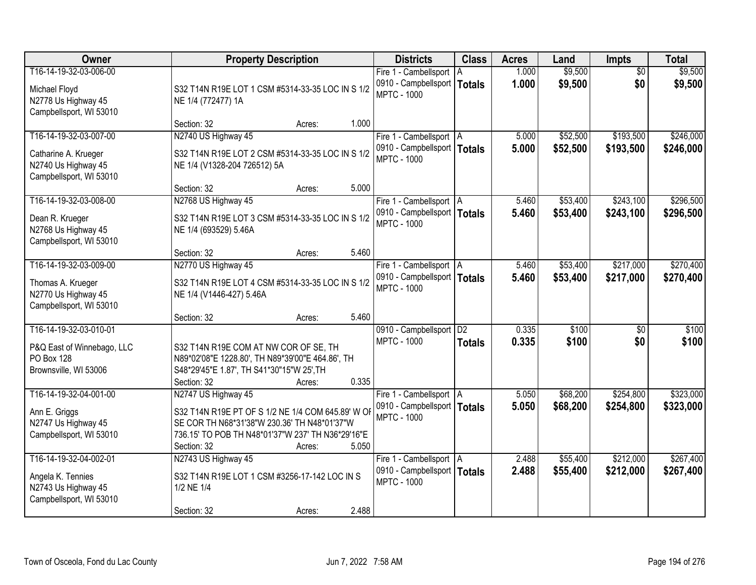| Owner                                                                                              | <b>Property Description</b>                                                                                                                                                                                     | <b>Districts</b>                                                                 | <b>Class</b>                     | <b>Acres</b>   | Land                 | <b>Impts</b>           | <b>Total</b>           |
|----------------------------------------------------------------------------------------------------|-----------------------------------------------------------------------------------------------------------------------------------------------------------------------------------------------------------------|----------------------------------------------------------------------------------|----------------------------------|----------------|----------------------|------------------------|------------------------|
| T16-14-19-32-03-006-00<br>Michael Floyd<br>N2778 Us Highway 45<br>Campbellsport, WI 53010          | S32 T14N R19E LOT 1 CSM #5314-33-35 LOC IN S 1/2<br>NE 1/4 (772477) 1A                                                                                                                                          | Fire 1 - Cambellsport<br>0910 - Campbellsport   Totals<br><b>MPTC - 1000</b>     | ΙA                               | 1.000<br>1.000 | \$9,500<br>\$9,500   | $\overline{30}$<br>\$0 | \$9,500<br>\$9,500     |
|                                                                                                    | 1.000<br>Section: 32<br>Acres:                                                                                                                                                                                  |                                                                                  |                                  |                |                      |                        |                        |
| T16-14-19-32-03-007-00<br>Catharine A. Krueger<br>N2740 Us Highway 45<br>Campbellsport, WI 53010   | N2740 US Highway 45<br>S32 T14N R19E LOT 2 CSM #5314-33-35 LOC IN S 1/2<br>NE 1/4 (V1328-204 726512) 5A                                                                                                         | Fire 1 - Cambellsport   A<br>0910 - Campbellsport   Totals<br><b>MPTC - 1000</b> |                                  | 5.000<br>5.000 | \$52,500<br>\$52,500 | \$193,500<br>\$193,500 | \$246,000<br>\$246,000 |
|                                                                                                    | 5.000<br>Section: 32<br>Acres:                                                                                                                                                                                  |                                                                                  |                                  |                |                      |                        |                        |
| T16-14-19-32-03-008-00<br>Dean R. Krueger<br>N2768 Us Highway 45<br>Campbellsport, WI 53010        | N2768 US Highway 45<br>S32 T14N R19E LOT 3 CSM #5314-33-35 LOC IN S 1/2<br>NE 1/4 (693529) 5.46A                                                                                                                | Fire 1 - Cambellsport   A<br>0910 - Campbellsport   Totals<br><b>MPTC - 1000</b> |                                  | 5.460<br>5.460 | \$53,400<br>\$53,400 | \$243,100<br>\$243,100 | \$296,500<br>\$296,500 |
|                                                                                                    | 5.460<br>Section: 32<br>Acres:                                                                                                                                                                                  |                                                                                  |                                  |                |                      |                        |                        |
| T16-14-19-32-03-009-00<br>Thomas A. Krueger<br>N2770 Us Highway 45<br>Campbellsport, WI 53010      | N2770 US Highway 45<br>S32 T14N R19E LOT 4 CSM #5314-33-35 LOC IN S 1/2<br>NE 1/4 (V1446-427) 5.46A                                                                                                             | Fire 1 - Cambellsport   A<br>0910 - Campbellsport   Totals<br><b>MPTC - 1000</b> |                                  | 5.460<br>5.460 | \$53,400<br>\$53,400 | \$217,000<br>\$217,000 | \$270,400<br>\$270,400 |
|                                                                                                    | 5.460<br>Section: 32<br>Acres:                                                                                                                                                                                  |                                                                                  |                                  |                |                      |                        |                        |
| T16-14-19-32-03-010-01<br>P&Q East of Winnebago, LLC<br><b>PO Box 128</b><br>Brownsville, WI 53006 | S32 T14N R19E COM AT NW COR OF SE, TH<br>N89*02'08"E 1228.80', TH N89*39'00"E 464.86', TH<br>S48*29'45"E 1.87', TH S41*30"15"W 25', TH<br>0.335<br>Section: 32<br>Acres:                                        | 0910 - Campbellsport<br><b>MPTC - 1000</b>                                       | $\overline{D2}$<br><b>Totals</b> | 0.335<br>0.335 | \$100<br>\$100       | $\overline{50}$<br>\$0 | \$100<br>\$100         |
| T16-14-19-32-04-001-00<br>Ann E. Griggs<br>N2747 Us Highway 45<br>Campbellsport, WI 53010          | N2747 US Highway 45<br>S32 T14N R19E PT OF S 1/2 NE 1/4 COM 645.89' W OF<br>SE COR TH N68*31'38"W 230.36' TH N48*01'37"W<br>736.15' TO POB TH N48*01'37"W 237' TH N36*29'16"E<br>5.050<br>Section: 32<br>Acres: | Fire 1 - Cambellsport   A<br>0910 - Campbellsport   Totals<br><b>MPTC - 1000</b> |                                  | 5.050<br>5.050 | \$68,200<br>\$68,200 | \$254,800<br>\$254,800 | \$323,000<br>\$323,000 |
| T16-14-19-32-04-002-01<br>Angela K. Tennies<br>N2743 Us Highway 45<br>Campbellsport, WI 53010      | N2743 US Highway 45<br>S32 T14N R19E LOT 1 CSM #3256-17-142 LOC IN S<br>1/2 NE 1/4<br>2.488<br>Section: 32<br>Acres:                                                                                            | Fire 1 - Cambellsport   A<br>0910 - Campbellsport   Totals<br><b>MPTC - 1000</b> |                                  | 2.488<br>2.488 | \$55,400<br>\$55,400 | \$212,000<br>\$212,000 | \$267,400<br>\$267,400 |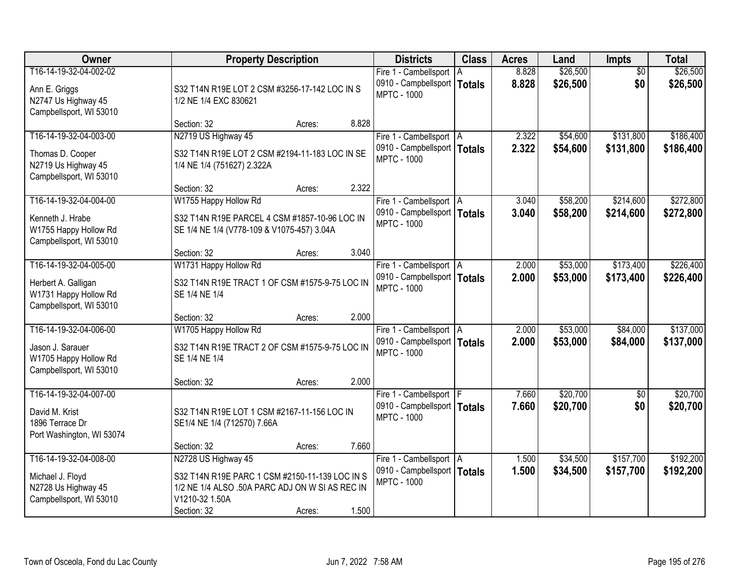| Owner                                                                                             | <b>Property Description</b>                                                                                                                                                  | <b>Districts</b>                                                                 | <b>Class</b> | <b>Acres</b>   | Land                 | <b>Impts</b>           | <b>Total</b>           |
|---------------------------------------------------------------------------------------------------|------------------------------------------------------------------------------------------------------------------------------------------------------------------------------|----------------------------------------------------------------------------------|--------------|----------------|----------------------|------------------------|------------------------|
| T16-14-19-32-04-002-02<br>Ann E. Griggs<br>N2747 Us Highway 45<br>Campbellsport, WI 53010         | S32 T14N R19E LOT 2 CSM #3256-17-142 LOC IN S<br>1/2 NE 1/4 EXC 830621                                                                                                       | Fire 1 - Cambellsport<br>0910 - Campbellsport   Totals<br><b>MPTC - 1000</b>     | l A          | 8.828<br>8.828 | \$26,500<br>\$26,500 | $\overline{50}$<br>\$0 | \$26,500<br>\$26,500   |
|                                                                                                   | 8.828<br>Section: 32<br>Acres:                                                                                                                                               |                                                                                  |              |                |                      |                        |                        |
| T16-14-19-32-04-003-00<br>Thomas D. Cooper<br>N2719 Us Highway 45<br>Campbellsport, WI 53010      | N2719 US Highway 45<br>S32 T14N R19E LOT 2 CSM #2194-11-183 LOC IN SE<br>1/4 NE 1/4 (751627) 2.322A                                                                          | Fire 1 - Cambellsport   A<br>0910 - Campbellsport   Totals<br><b>MPTC - 1000</b> |              | 2.322<br>2.322 | \$54,600<br>\$54,600 | \$131,800<br>\$131,800 | \$186,400<br>\$186,400 |
|                                                                                                   | 2.322<br>Section: 32<br>Acres:                                                                                                                                               |                                                                                  |              |                |                      |                        |                        |
| T16-14-19-32-04-004-00<br>Kenneth J. Hrabe<br>W1755 Happy Hollow Rd<br>Campbellsport, WI 53010    | W1755 Happy Hollow Rd<br>S32 T14N R19E PARCEL 4 CSM #1857-10-96 LOC IN<br>SE 1/4 NE 1/4 (V778-109 & V1075-457) 3.04A                                                         | Fire 1 - Cambellsport   A<br>0910 - Campbellsport   Totals<br><b>MPTC - 1000</b> |              | 3.040<br>3.040 | \$58,200<br>\$58,200 | \$214,600<br>\$214,600 | \$272,800<br>\$272,800 |
|                                                                                                   | 3.040<br>Section: 32<br>Acres:                                                                                                                                               |                                                                                  |              |                |                      |                        |                        |
| T16-14-19-32-04-005-00<br>Herbert A. Galligan<br>W1731 Happy Hollow Rd<br>Campbellsport, WI 53010 | W1731 Happy Hollow Rd<br>S32 T14N R19E TRACT 1 OF CSM #1575-9-75 LOC IN<br>SE 1/4 NE 1/4                                                                                     | Fire 1 - Cambellsport   A<br>0910 - Campbellsport   Totals<br><b>MPTC - 1000</b> |              | 2.000<br>2.000 | \$53,000<br>\$53,000 | \$173,400<br>\$173,400 | \$226,400<br>\$226,400 |
|                                                                                                   | 2.000<br>Section: 32<br>Acres:                                                                                                                                               |                                                                                  |              |                |                      |                        |                        |
| T16-14-19-32-04-006-00<br>Jason J. Sarauer<br>W1705 Happy Hollow Rd<br>Campbellsport, WI 53010    | W1705 Happy Hollow Rd<br>S32 T14N R19E TRACT 2 OF CSM #1575-9-75 LOC IN<br>SE 1/4 NE 1/4                                                                                     | Fire 1 - Cambellsport   A<br>0910 - Campbellsport   Totals<br><b>MPTC - 1000</b> |              | 2.000<br>2.000 | \$53,000<br>\$53,000 | \$84,000<br>\$84,000   | \$137,000<br>\$137,000 |
|                                                                                                   | 2.000<br>Section: 32<br>Acres:                                                                                                                                               |                                                                                  |              |                |                      |                        |                        |
| T16-14-19-32-04-007-00<br>David M. Krist<br>1896 Terrace Dr<br>Port Washington, WI 53074          | S32 T14N R19E LOT 1 CSM #2167-11-156 LOC IN<br>SE1/4 NE 1/4 (712570) 7.66A                                                                                                   | Fire 1 - Cambellsport   F<br>0910 - Campbellsport   Totals<br><b>MPTC - 1000</b> |              | 7.660<br>7.660 | \$20,700<br>\$20,700 | $\sqrt{$0}$<br>\$0     | \$20,700<br>\$20,700   |
|                                                                                                   | 7.660<br>Section: 32<br>Acres:                                                                                                                                               |                                                                                  |              |                |                      |                        |                        |
| T16-14-19-32-04-008-00<br>Michael J. Floyd<br>N2728 Us Highway 45<br>Campbellsport, WI 53010      | N2728 US Highway 45<br>S32 T14N R19E PARC 1 CSM #2150-11-139 LOC IN S<br>1/2 NE 1/4 ALSO .50A PARC ADJ ON W SI AS REC IN<br>V1210-32 1.50A<br>1.500<br>Section: 32<br>Acres: | Fire 1 - Cambellsport   A<br>0910 - Campbellsport   Totals<br><b>MPTC - 1000</b> |              | 1.500<br>1.500 | \$34,500<br>\$34,500 | \$157,700<br>\$157,700 | \$192,200<br>\$192,200 |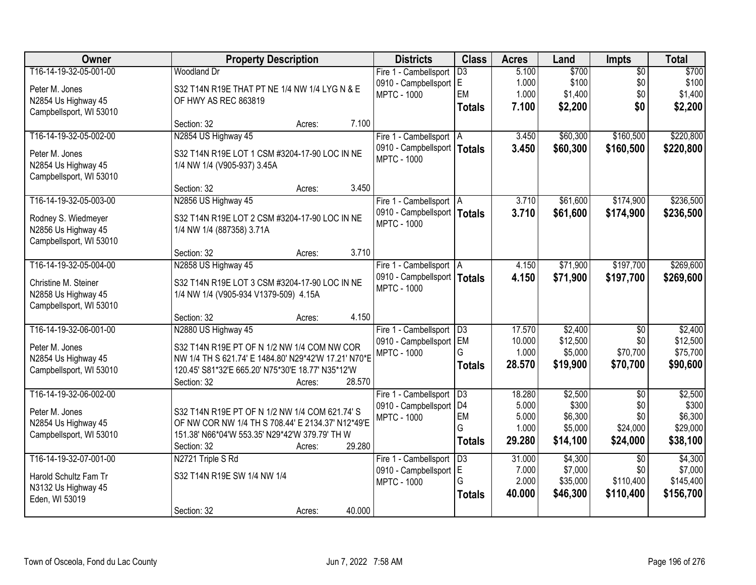| Owner                   | <b>Property Description</b>                          | <b>Districts</b>              | <b>Class</b>    | <b>Acres</b> | Land     | <b>Impts</b>    | <b>Total</b> |
|-------------------------|------------------------------------------------------|-------------------------------|-----------------|--------------|----------|-----------------|--------------|
| T16-14-19-32-05-001-00  | <b>Woodland Dr</b>                                   | Fire 1 - Cambellsport         | $\overline{D3}$ | 5.100        | \$700    | $\overline{50}$ | \$700        |
| Peter M. Jones          | S32 T14N R19E THAT PT NE 1/4 NW 1/4 LYG N & E        | 0910 - Campbellsport E        |                 | 1.000        | \$100    | \$0             | \$100        |
| N2854 Us Highway 45     | OF HWY AS REC 863819                                 | <b>MPTC - 1000</b>            | EM              | 1.000        | \$1,400  | \$0             | \$1,400      |
| Campbellsport, WI 53010 |                                                      |                               | <b>Totals</b>   | 7.100        | \$2,200  | \$0             | \$2,200      |
|                         | Section: 32<br>7.100<br>Acres:                       |                               |                 |              |          |                 |              |
| T16-14-19-32-05-002-00  | N2854 US Highway 45                                  | Fire 1 - Cambellsport   A     |                 | 3.450        | \$60,300 | \$160,500       | \$220,800    |
| Peter M. Jones          | S32 T14N R19E LOT 1 CSM #3204-17-90 LOC IN NE        | 0910 - Campbellsport          | <b>Totals</b>   | 3.450        | \$60,300 | \$160,500       | \$220,800    |
| N2854 Us Highway 45     | 1/4 NW 1/4 (V905-937) 3.45A                          | <b>MPTC - 1000</b>            |                 |              |          |                 |              |
| Campbellsport, WI 53010 |                                                      |                               |                 |              |          |                 |              |
|                         | 3.450<br>Section: 32<br>Acres:                       |                               |                 |              |          |                 |              |
| T16-14-19-32-05-003-00  | N2856 US Highway 45                                  | Fire 1 - Cambellsport   A     |                 | 3.710        | \$61,600 | \$174,900       | \$236,500    |
| Rodney S. Wiedmeyer     | S32 T14N R19E LOT 2 CSM #3204-17-90 LOC IN NE        | 0910 - Campbellsport   Totals |                 | 3.710        | \$61,600 | \$174,900       | \$236,500    |
| N2856 Us Highway 45     | 1/4 NW 1/4 (887358) 3.71A                            | <b>MPTC - 1000</b>            |                 |              |          |                 |              |
| Campbellsport, WI 53010 |                                                      |                               |                 |              |          |                 |              |
|                         | 3.710<br>Section: 32<br>Acres:                       |                               |                 |              |          |                 |              |
| T16-14-19-32-05-004-00  | N2858 US Highway 45                                  | Fire 1 - Cambellsport   A     |                 | 4.150        | \$71,900 | \$197,700       | \$269,600    |
| Christine M. Steiner    | S32 T14N R19E LOT 3 CSM #3204-17-90 LOC IN NE        | 0910 - Campbellsport   Totals |                 | 4.150        | \$71,900 | \$197,700       | \$269,600    |
| N2858 Us Highway 45     | 1/4 NW 1/4 (V905-934 V1379-509) 4.15A                | <b>MPTC - 1000</b>            |                 |              |          |                 |              |
| Campbellsport, WI 53010 |                                                      |                               |                 |              |          |                 |              |
|                         | 4.150<br>Section: 32<br>Acres:                       |                               |                 |              |          |                 |              |
| T16-14-19-32-06-001-00  | N2880 US Highway 45                                  | Fire 1 - Cambellsport         | $\overline{D3}$ | 17.570       | \$2,400  | \$0             | \$2,400      |
| Peter M. Jones          | S32 T14N R19E PT OF N 1/2 NW 1/4 COM NW COR          | 0910 - Campbellsport EM       |                 | 10.000       | \$12,500 | \$0             | \$12,500     |
| N2854 Us Highway 45     | NW 1/4 TH S 621.74' E 1484.80' N29*42'W 17.21' N70*E | <b>MPTC - 1000</b>            | G               | 1.000        | \$5,000  | \$70,700        | \$75,700     |
| Campbellsport, WI 53010 | 120.45' S81*32'E 665.20' N75*30'E 18.77' N35*12'W    |                               | <b>Totals</b>   | 28.570       | \$19,900 | \$70,700        | \$90,600     |
|                         | 28.570<br>Section: 32<br>Acres:                      |                               |                 |              |          |                 |              |
| T16-14-19-32-06-002-00  |                                                      | Fire 1 - Cambellsport   D3    |                 | 18.280       | \$2,500  | $\overline{50}$ | \$2,500      |
| Peter M. Jones          | S32 T14N R19E PT OF N 1/2 NW 1/4 COM 621.74' S       | 0910 - Campbellsport          | D <sub>4</sub>  | 5.000        | \$300    | \$0             | \$300        |
| N2854 Us Highway 45     | OF NW COR NW 1/4 TH S 708.44' E 2134.37' N12*49'E    | <b>MPTC - 1000</b>            | EM              | 5.000        | \$6,300  | \$0             | \$6,300      |
| Campbellsport, WI 53010 | 151.38' N66*04'W 553.35' N29*42'W 379.79' TH W       |                               | G               | 1.000        | \$5,000  | \$24,000        | \$29,000     |
|                         | 29.280<br>Section: 32<br>Acres:                      |                               | <b>Totals</b>   | 29.280       | \$14,100 | \$24,000        | \$38,100     |
| T16-14-19-32-07-001-00  | N2721 Triple S Rd                                    | Fire 1 - Cambellsport         | $\overline{D3}$ | 31.000       | \$4,300  | $\overline{50}$ | \$4,300      |
| Harold Schultz Fam Tr   | S32 T14N R19E SW 1/4 NW 1/4                          | 0910 - Campbellsport          | E               | 7.000        | \$7,000  | \$0             | \$7,000      |
| N3132 Us Highway 45     |                                                      | <b>MPTC - 1000</b>            | G               | 2.000        | \$35,000 | \$110,400       | \$145,400    |
| Eden, WI 53019          |                                                      |                               | <b>Totals</b>   | 40.000       | \$46,300 | \$110,400       | \$156,700    |
|                         | 40.000<br>Section: 32<br>Acres:                      |                               |                 |              |          |                 |              |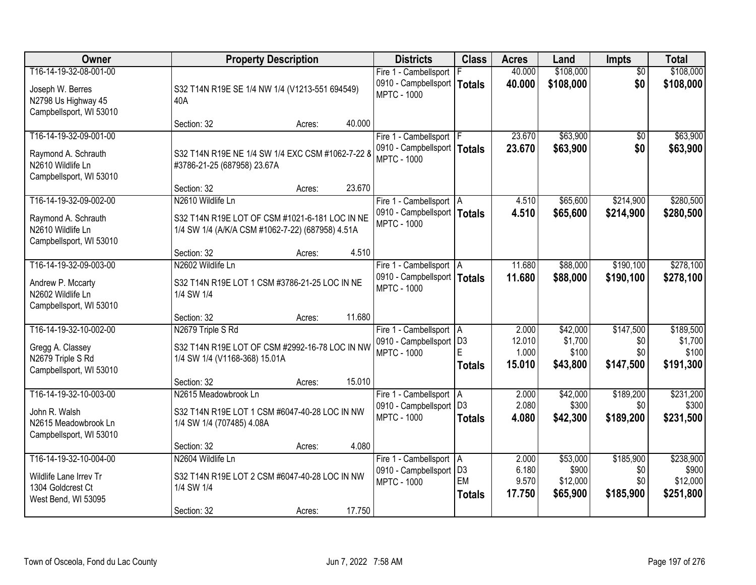| Owner                                                                                         | <b>Property Description</b>                                                                          | <b>Districts</b>                                                                 | <b>Class</b>                          | <b>Acres</b>                       | Land                                      | <b>Impts</b>                         | <b>Total</b>                                |
|-----------------------------------------------------------------------------------------------|------------------------------------------------------------------------------------------------------|----------------------------------------------------------------------------------|---------------------------------------|------------------------------------|-------------------------------------------|--------------------------------------|---------------------------------------------|
| T16-14-19-32-08-001-00<br>Joseph W. Berres<br>N2798 Us Highway 45<br>Campbellsport, WI 53010  | S32 T14N R19E SE 1/4 NW 1/4 (V1213-551 694549)<br>40A                                                | Fire 1 - Cambellsport<br>0910 - Campbellsport<br><b>MPTC - 1000</b>              | <b>Totals</b>                         | 40.000<br>40.000                   | \$108,000<br>\$108,000                    | $\overline{50}$<br>\$0               | \$108,000<br>\$108,000                      |
|                                                                                               | 40.000<br>Section: 32<br>Acres:                                                                      |                                                                                  |                                       |                                    |                                           |                                      |                                             |
| T16-14-19-32-09-001-00<br>Raymond A. Schrauth<br>N2610 Wildlife Ln<br>Campbellsport, WI 53010 | S32 T14N R19E NE 1/4 SW 1/4 EXC CSM #1062-7-22 8<br>#3786-21-25 (687958) 23.67A                      | Fire 1 - Cambellsport   F<br>0910 - Campbellsport   Totals<br><b>MPTC - 1000</b> |                                       | 23.670<br>23.670                   | \$63,900<br>\$63,900                      | \$0<br>\$0                           | \$63,900<br>\$63,900                        |
| T16-14-19-32-09-002-00                                                                        | 23.670<br>Section: 32<br>Acres:<br>N2610 Wildlife Ln                                                 |                                                                                  |                                       |                                    | \$65,600                                  | \$214,900                            |                                             |
| Raymond A. Schrauth<br>N2610 Wildlife Ln<br>Campbellsport, WI 53010                           | S32 T14N R19E LOT OF CSM #1021-6-181 LOC IN NE<br>1/4 SW 1/4 (A/K/A CSM #1062-7-22) (687958) 4.51A   | Fire 1 - Cambellsport   A<br>0910 - Campbellsport   Totals<br><b>MPTC - 1000</b> |                                       | 4.510<br>4.510                     | \$65,600                                  | \$214,900                            | \$280,500<br>\$280,500                      |
|                                                                                               | 4.510<br>Section: 32<br>Acres:                                                                       |                                                                                  |                                       |                                    |                                           |                                      |                                             |
| T16-14-19-32-09-003-00<br>Andrew P. Mccarty<br>N2602 Wildlife Ln<br>Campbellsport, WI 53010   | N2602 Wildlife Ln<br>S32 T14N R19E LOT 1 CSM #3786-21-25 LOC IN NE<br>1/4 SW 1/4                     | Fire 1 - Cambellsport   A<br>0910 - Campbellsport   Totals<br><b>MPTC - 1000</b> |                                       | 11.680<br>11.680                   | \$88,000<br>\$88,000                      | \$190,100<br>\$190,100               | \$278,100<br>\$278,100                      |
|                                                                                               | 11.680<br>Section: 32<br>Acres:                                                                      |                                                                                  |                                       |                                    |                                           |                                      |                                             |
| T16-14-19-32-10-002-00<br>Gregg A. Classey<br>N2679 Triple S Rd<br>Campbellsport, WI 53010    | N2679 Triple S Rd<br>S32 T14N R19E LOT OF CSM #2992-16-78 LOC IN NW<br>1/4 SW 1/4 (V1168-368) 15.01A | Fire 1 - Cambellsport   A<br>0910 - Campbellsport<br><b>MPTC - 1000</b>          | D <sub>3</sub><br>E<br><b>Totals</b>  | 2.000<br>12.010<br>1.000<br>15.010 | \$42,000<br>\$1,700<br>\$100<br>\$43,800  | \$147,500<br>\$0<br>\$0<br>\$147,500 | \$189,500<br>\$1,700<br>\$100<br>\$191,300  |
|                                                                                               | 15.010<br>Section: 32<br>Acres:                                                                      |                                                                                  |                                       |                                    |                                           |                                      |                                             |
| T16-14-19-32-10-003-00<br>John R. Walsh<br>N2615 Meadowbrook Ln<br>Campbellsport, WI 53010    | N2615 Meadowbrook Ln<br>S32 T14N R19E LOT 1 CSM #6047-40-28 LOC IN NW<br>1/4 SW 1/4 (707485) 4.08A   | Fire 1 - Cambellsport A<br>0910 - Campbellsport   D3<br><b>MPTC - 1000</b>       | <b>Totals</b>                         | 2.000<br>2.080<br>4.080            | \$42,000<br>\$300<br>\$42,300             | \$189,200<br>\$0<br>\$189,200        | \$231,200<br>\$300<br>\$231,500             |
|                                                                                               | 4.080<br>Section: 32<br>Acres:                                                                       |                                                                                  |                                       |                                    |                                           |                                      |                                             |
| T16-14-19-32-10-004-00<br>Wildlife Lane Irrev Tr<br>1304 Goldcrest Ct<br>West Bend, WI 53095  | N2604 Wildlife Ln<br>S32 T14N R19E LOT 2 CSM #6047-40-28 LOC IN NW<br>1/4 SW 1/4                     | Fire 1 - Cambellsport   A<br>0910 - Campbellsport<br><b>MPTC - 1000</b>          | D <sub>3</sub><br>EM<br><b>Totals</b> | 2.000<br>6.180<br>9.570<br>17.750  | \$53,000<br>\$900<br>\$12,000<br>\$65,900 | \$185,900<br>\$0<br>\$0<br>\$185,900 | \$238,900<br>\$900<br>\$12,000<br>\$251,800 |
|                                                                                               | 17.750<br>Section: 32<br>Acres:                                                                      |                                                                                  |                                       |                                    |                                           |                                      |                                             |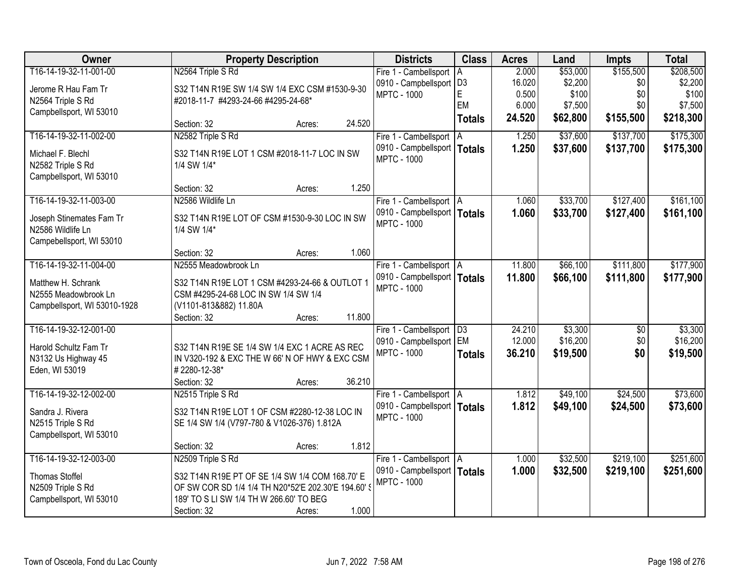| Owner                        |                                                                                                         | <b>Property Description</b> |        | <b>Districts</b>              | <b>Class</b>    | <b>Acres</b> | Land     | Impts           | <b>Total</b> |
|------------------------------|---------------------------------------------------------------------------------------------------------|-----------------------------|--------|-------------------------------|-----------------|--------------|----------|-----------------|--------------|
| T16-14-19-32-11-001-00       | N2564 Triple S Rd                                                                                       |                             |        | Fire 1 - Cambellsport   A     |                 | 2.000        | \$53,000 | \$155,500       | \$208,500    |
| Jerome R Hau Fam Tr          | S32 T14N R19E SW 1/4 SW 1/4 EXC CSM #1530-9-30                                                          |                             |        | 0910 - Campbellsport   D3     |                 | 16.020       | \$2,200  | \$0             | \$2,200      |
| N2564 Triple S Rd            | #2018-11-7 #4293-24-66 #4295-24-68*                                                                     |                             |        | <b>MPTC - 1000</b>            | E               | 0.500        | \$100    | \$0             | \$100        |
| Campbellsport, WI 53010      |                                                                                                         |                             |        |                               | EM              | 6.000        | \$7,500  | \$0             | \$7,500      |
|                              | Section: 32                                                                                             | Acres:                      | 24.520 |                               | <b>Totals</b>   | 24.520       | \$62,800 | \$155,500       | \$218,300    |
| T16-14-19-32-11-002-00       | N2582 Triple S Rd                                                                                       |                             |        | Fire 1 - Cambellsport   A     |                 | 1.250        | \$37,600 | \$137,700       | \$175,300    |
| Michael F. Blechl            | S32 T14N R19E LOT 1 CSM #2018-11-7 LOC IN SW                                                            |                             |        | 0910 - Campbellsport          | <b>Totals</b>   | 1.250        | \$37,600 | \$137,700       | \$175,300    |
| N2582 Triple S Rd            | 1/4 SW 1/4*                                                                                             |                             |        | <b>MPTC - 1000</b>            |                 |              |          |                 |              |
| Campbellsport, WI 53010      |                                                                                                         |                             |        |                               |                 |              |          |                 |              |
|                              | Section: 32                                                                                             | Acres:                      | 1.250  |                               |                 |              |          |                 |              |
| T16-14-19-32-11-003-00       | N2586 Wildlife Ln                                                                                       |                             |        | Fire 1 - Cambellsport   A     |                 | 1.060        | \$33,700 | \$127,400       | \$161,100    |
| Joseph Stinemates Fam Tr     | S32 T14N R19E LOT OF CSM #1530-9-30 LOC IN SW                                                           |                             |        | 0910 - Campbellsport   Totals |                 | 1.060        | \$33,700 | \$127,400       | \$161,100    |
| N2586 Wildlife Ln            | 1/4 SW 1/4*                                                                                             |                             |        | <b>MPTC - 1000</b>            |                 |              |          |                 |              |
| Campebellsport, WI 53010     |                                                                                                         |                             |        |                               |                 |              |          |                 |              |
|                              | Section: 32                                                                                             | Acres:                      | 1.060  |                               |                 |              |          |                 |              |
| T16-14-19-32-11-004-00       | N2555 Meadowbrook Ln                                                                                    |                             |        | Fire 1 - Cambellsport   A     |                 | 11.800       | \$66,100 | \$111,800       | \$177,900    |
| Matthew H. Schrank           | S32 T14N R19E LOT 1 CSM #4293-24-66 & OUTLOT 1                                                          |                             |        | 0910 - Campbellsport   Totals |                 | 11.800       | \$66,100 | \$111,800       | \$177,900    |
| N2555 Meadowbrook Ln         | CSM #4295-24-68 LOC IN SW 1/4 SW 1/4                                                                    |                             |        | <b>MPTC - 1000</b>            |                 |              |          |                 |              |
| Campbellsport, WI 53010-1928 | (V1101-813&882) 11.80A                                                                                  |                             |        |                               |                 |              |          |                 |              |
|                              | Section: 32                                                                                             | Acres:                      | 11.800 |                               |                 |              |          |                 |              |
| T16-14-19-32-12-001-00       |                                                                                                         |                             |        | Fire 1 - Cambellsport         | $\overline{D3}$ | 24.210       | \$3,300  | $\overline{50}$ | \$3,300      |
| Harold Schultz Fam Tr        | S32 T14N R19E SE 1/4 SW 1/4 EXC 1 ACRE AS REC                                                           |                             |        | 0910 - Campbellsport          | EM              | 12.000       | \$16,200 | \$0             | \$16,200     |
| N3132 Us Highway 45          | IN V320-192 & EXC THE W 66' N OF HWY & EXC CSM                                                          |                             |        | <b>MPTC - 1000</b>            | <b>Totals</b>   | 36.210       | \$19,500 | \$0             | \$19,500     |
| Eden, WI 53019               | #2280-12-38*                                                                                            |                             |        |                               |                 |              |          |                 |              |
|                              | Section: 32                                                                                             | Acres:                      | 36.210 |                               |                 |              |          |                 |              |
| T16-14-19-32-12-002-00       | N2515 Triple S Rd                                                                                       |                             |        | Fire 1 - Cambellsport   A     |                 | 1.812        | \$49,100 | \$24,500        | \$73,600     |
| Sandra J. Rivera             | S32 T14N R19E LOT 1 OF CSM #2280-12-38 LOC IN                                                           |                             |        | 0910 - Campbellsport   Totals |                 | 1.812        | \$49,100 | \$24,500        | \$73,600     |
| N2515 Triple S Rd            | SE 1/4 SW 1/4 (V797-780 & V1026-376) 1.812A                                                             |                             |        | <b>MPTC - 1000</b>            |                 |              |          |                 |              |
| Campbellsport, WI 53010      |                                                                                                         |                             |        |                               |                 |              |          |                 |              |
|                              | Section: 32                                                                                             | Acres:                      | 1.812  |                               |                 |              |          |                 |              |
| T16-14-19-32-12-003-00       | N2509 Triple S Rd                                                                                       |                             |        | Fire 1 - Cambellsport   A     |                 | 1.000        | \$32,500 | \$219,100       | \$251,600    |
| <b>Thomas Stoffel</b>        |                                                                                                         |                             |        | 0910 - Campbellsport   Totals |                 | 1.000        | \$32,500 | \$219,100       | \$251,600    |
| N2509 Triple S Rd            | S32 T14N R19E PT OF SE 1/4 SW 1/4 COM 168.70' E<br>OF SW COR SD 1/4 1/4 TH N20*52'E 202.30'E 194.60' \$ |                             |        | <b>MPTC - 1000</b>            |                 |              |          |                 |              |
| Campbellsport, WI 53010      | 189' TO S LI SW 1/4 TH W 266.60' TO BEG                                                                 |                             |        |                               |                 |              |          |                 |              |
|                              | Section: 32                                                                                             | Acres:                      | 1.000  |                               |                 |              |          |                 |              |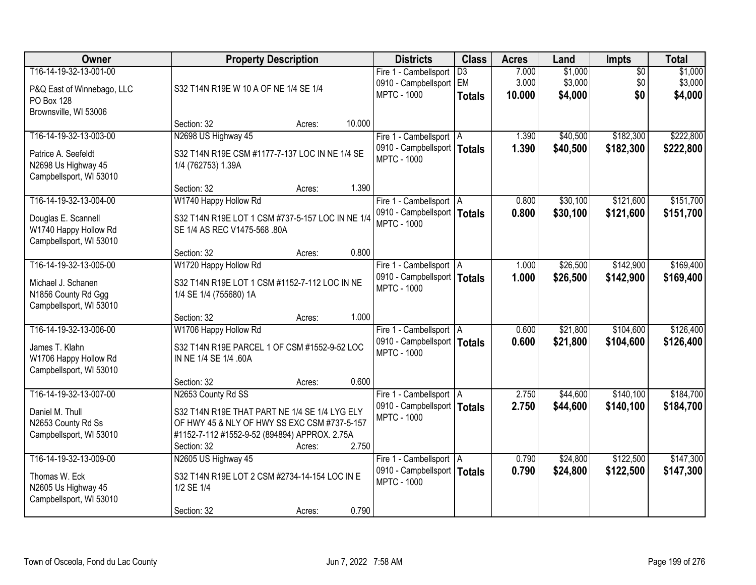| Owner                                                                 | <b>Property Description</b>                                                      | <b>Districts</b>                                    | <b>Class</b>          | <b>Acres</b>   | Land               | <b>Impts</b>           | <b>Total</b>       |
|-----------------------------------------------------------------------|----------------------------------------------------------------------------------|-----------------------------------------------------|-----------------------|----------------|--------------------|------------------------|--------------------|
| T16-14-19-32-13-001-00                                                |                                                                                  | Fire 1 - Cambellsport<br>0910 - Campbellsport       | $\overline{D3}$<br>EM | 7.000<br>3.000 | \$1,000<br>\$3,000 | $\overline{50}$<br>\$0 | \$1,000<br>\$3,000 |
| P&Q East of Winnebago, LLC<br><b>PO Box 128</b>                       | S32 T14N R19E W 10 A OF NE 1/4 SE 1/4                                            | <b>MPTC - 1000</b>                                  | <b>Totals</b>         | 10,000         | \$4,000            | \$0                    | \$4,000            |
| Brownsville, WI 53006                                                 | 10.000<br>Section: 32<br>Acres:                                                  |                                                     |                       |                |                    |                        |                    |
| T16-14-19-32-13-003-00                                                | N2698 US Highway 45                                                              | Fire 1 - Cambellsport   A                           |                       | 1.390          | \$40,500           | \$182,300              | \$222,800          |
| Patrice A. Seefeldt<br>N2698 Us Highway 45<br>Campbellsport, WI 53010 | S32 T14N R19E CSM #1177-7-137 LOC IN NE 1/4 SE<br>1/4 (762753) 1.39A             | 0910 - Campbellsport   Totals<br><b>MPTC - 1000</b> |                       | 1.390          | \$40,500           | \$182,300              | \$222,800          |
|                                                                       | Section: 32<br>1.390<br>Acres:                                                   |                                                     |                       |                |                    |                        |                    |
| T16-14-19-32-13-004-00                                                | W1740 Happy Hollow Rd                                                            | Fire 1 - Cambellsport   A                           |                       | 0.800          | \$30,100           | \$121,600              | \$151,700          |
| Douglas E. Scannell<br>W1740 Happy Hollow Rd                          | S32 T14N R19E LOT 1 CSM #737-5-157 LOC IN NE 1/4<br>SE 1/4 AS REC V1475-568 .80A | 0910 - Campbellsport   Totals<br><b>MPTC - 1000</b> |                       | 0.800          | \$30,100           | \$121,600              | \$151,700          |
| Campbellsport, WI 53010                                               | 0.800<br>Section: 32<br>Acres:                                                   |                                                     |                       |                |                    |                        |                    |
| T16-14-19-32-13-005-00                                                | W1720 Happy Hollow Rd                                                            | Fire 1 - Cambellsport   A                           |                       | 1.000          | \$26,500           | \$142,900              | \$169,400          |
|                                                                       |                                                                                  | 0910 - Campbellsport   Totals                       |                       | 1.000          | \$26,500           | \$142,900              | \$169,400          |
| Michael J. Schanen<br>N1856 County Rd Ggg<br>Campbellsport, WI 53010  | S32 T14N R19E LOT 1 CSM #1152-7-112 LOC IN NE<br>1/4 SE 1/4 (755680) 1A          | <b>MPTC - 1000</b>                                  |                       |                |                    |                        |                    |
|                                                                       | 1.000<br>Section: 32<br>Acres:                                                   |                                                     |                       |                |                    |                        |                    |
| T16-14-19-32-13-006-00                                                | W1706 Happy Hollow Rd                                                            | Fire 1 - Cambellsport   A                           |                       | 0.600          | \$21,800           | \$104,600              | \$126,400          |
| James T. Klahn                                                        | S32 T14N R19E PARCEL 1 OF CSM #1552-9-52 LOC                                     | 0910 - Campbellsport   Totals                       |                       | 0.600          | \$21,800           | \$104,600              | \$126,400          |
| W1706 Happy Hollow Rd<br>Campbellsport, WI 53010                      | IN NE 1/4 SE 1/4 .60A                                                            | <b>MPTC - 1000</b>                                  |                       |                |                    |                        |                    |
|                                                                       | 0.600<br>Section: 32<br>Acres:                                                   |                                                     |                       |                |                    |                        |                    |
| T16-14-19-32-13-007-00                                                | N2653 County Rd SS                                                               | Fire 1 - Cambellsport   A                           |                       | 2.750          | \$44,600           | \$140,100              | \$184,700          |
| Daniel M. Thull                                                       | S32 T14N R19E THAT PART NE 1/4 SE 1/4 LYG ELY                                    | 0910 - Campbellsport   Totals                       |                       | 2.750          | \$44,600           | \$140,100              | \$184,700          |
| N2653 County Rd Ss                                                    | OF HWY 45 & NLY OF HWY SS EXC CSM #737-5-157                                     | <b>MPTC - 1000</b>                                  |                       |                |                    |                        |                    |
| Campbellsport, WI 53010                                               | #1152-7-112 #1552-9-52 (894894) APPROX. 2.75A                                    |                                                     |                       |                |                    |                        |                    |
|                                                                       | 2.750<br>Section: 32<br>Acres:                                                   |                                                     |                       |                |                    |                        |                    |
| T16-14-19-32-13-009-00                                                | N2605 US Highway 45                                                              | Fire 1 - Cambellsport   A                           |                       | 0.790          | \$24,800           | \$122,500              | \$147,300          |
| Thomas W. Eck<br>N2605 Us Highway 45                                  | S32 T14N R19E LOT 2 CSM #2734-14-154 LOC IN E<br>1/2 SE 1/4                      | 0910 - Campbellsport   Totals<br><b>MPTC - 1000</b> |                       | 0.790          | \$24,800           | \$122,500              | \$147,300          |
| Campbellsport, WI 53010                                               |                                                                                  |                                                     |                       |                |                    |                        |                    |
|                                                                       | 0.790<br>Section: 32<br>Acres:                                                   |                                                     |                       |                |                    |                        |                    |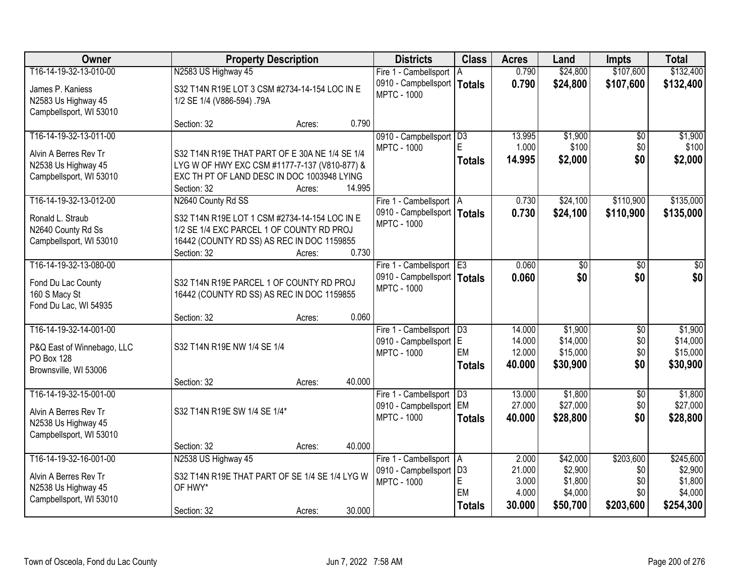| Owner                      | <b>Property Description</b>                    |        |        | <b>Districts</b>                                | <b>Class</b>    | <b>Acres</b>     | Land                 | <b>Impts</b>    | <b>Total</b>         |
|----------------------------|------------------------------------------------|--------|--------|-------------------------------------------------|-----------------|------------------|----------------------|-----------------|----------------------|
| T16-14-19-32-13-010-00     | N2583 US Highway 45                            |        |        | Fire 1 - Cambellsport   A                       |                 | 0.790            | \$24,800             | \$107,600       | \$132,400            |
| James P. Kaniess           | S32 T14N R19E LOT 3 CSM #2734-14-154 LOC IN E  |        |        | 0910 - Campbellsport                            | <b>Totals</b>   | 0.790            | \$24,800             | \$107,600       | \$132,400            |
| N2583 Us Highway 45        | 1/2 SE 1/4 (V886-594) .79A                     |        |        | <b>MPTC - 1000</b>                              |                 |                  |                      |                 |                      |
| Campbellsport, WI 53010    |                                                |        |        |                                                 |                 |                  |                      |                 |                      |
|                            | Section: 32                                    | Acres: | 0.790  |                                                 |                 |                  |                      |                 |                      |
| T16-14-19-32-13-011-00     |                                                |        |        | 0910 - Campbellsport   D3                       |                 | 13.995           | \$1,900              | \$0             | \$1,900              |
| Alvin A Berres Rev Tr      | S32 T14N R19E THAT PART OF E 30A NE 1/4 SE 1/4 |        |        | <b>MPTC - 1000</b>                              | F.              | 1.000            | \$100                | \$0             | \$100                |
| N2538 Us Highway 45        | LYG W OF HWY EXC CSM #1177-7-137 (V810-877) &  |        |        |                                                 | <b>Totals</b>   | 14.995           | \$2,000              | \$0             | \$2,000              |
| Campbellsport, WI 53010    | EXC TH PT OF LAND DESC IN DOC 1003948 LYING    |        |        |                                                 |                 |                  |                      |                 |                      |
|                            | Section: 32                                    | Acres: | 14.995 |                                                 |                 |                  |                      |                 |                      |
| T16-14-19-32-13-012-00     | N2640 County Rd SS                             |        |        | Fire 1 - Cambellsport   A                       |                 | 0.730            | \$24,100             | \$110,900       | \$135,000            |
| Ronald L. Straub           | S32 T14N R19E LOT 1 CSM #2734-14-154 LOC IN E  |        |        | 0910 - Campbellsport   Totals                   |                 | 0.730            | \$24,100             | \$110,900       | \$135,000            |
| N2640 County Rd Ss         | 1/2 SE 1/4 EXC PARCEL 1 OF COUNTY RD PROJ      |        |        | <b>MPTC - 1000</b>                              |                 |                  |                      |                 |                      |
| Campbellsport, WI 53010    | 16442 (COUNTY RD SS) AS REC IN DOC 1159855     |        |        |                                                 |                 |                  |                      |                 |                      |
|                            | Section: 32                                    | Acres: | 0.730  |                                                 |                 |                  |                      |                 |                      |
| T16-14-19-32-13-080-00     |                                                |        |        | Fire 1 - Cambellsport E3                        |                 | 0.060            | \$0                  | \$0             | \$0                  |
| Fond Du Lac County         | S32 T14N R19E PARCEL 1 OF COUNTY RD PROJ       |        |        | 0910 - Campbellsport   Totals                   |                 | 0.060            | \$0                  | \$0             | \$0                  |
| 160 S Macy St              | 16442 (COUNTY RD SS) AS REC IN DOC 1159855     |        |        | <b>MPTC - 1000</b>                              |                 |                  |                      |                 |                      |
| Fond Du Lac, WI 54935      |                                                |        |        |                                                 |                 |                  |                      |                 |                      |
|                            | Section: 32                                    | Acres: | 0.060  |                                                 |                 |                  |                      |                 |                      |
| T16-14-19-32-14-001-00     |                                                |        |        | Fire 1 - Cambellsport                           | $\overline{D3}$ | 14.000           | \$1,900              | $\overline{50}$ | \$1,900              |
| P&Q East of Winnebago, LLC | S32 T14N R19E NW 1/4 SE 1/4                    |        |        | 0910 - Campbellsport E                          | EM              | 14.000<br>12.000 | \$14,000<br>\$15,000 | \$0<br>\$0      | \$14,000<br>\$15,000 |
| <b>PO Box 128</b>          |                                                |        |        | <b>MPTC - 1000</b>                              | <b>Totals</b>   | 40.000           | \$30,900             | \$0             | \$30,900             |
| Brownsville, WI 53006      |                                                |        |        |                                                 |                 |                  |                      |                 |                      |
|                            | Section: 32                                    | Acres: | 40.000 |                                                 |                 |                  |                      |                 |                      |
| T16-14-19-32-15-001-00     |                                                |        |        | Fire 1 - Cambellsport   D3                      |                 | 13.000           | \$1,800              | $\overline{50}$ | \$1,800              |
| Alvin A Berres Rev Tr      | S32 T14N R19E SW 1/4 SE 1/4*                   |        |        | 0910 - Campbellsport EM<br><b>MPTC - 1000</b>   |                 | 27.000           | \$27,000             | \$0             | \$27,000             |
| N2538 Us Highway 45        |                                                |        |        |                                                 | <b>Totals</b>   | 40.000           | \$28,800             | \$0             | \$28,800             |
| Campbellsport, WI 53010    |                                                |        |        |                                                 |                 |                  |                      |                 |                      |
|                            | Section: 32                                    | Acres: | 40.000 |                                                 |                 |                  |                      |                 |                      |
| T16-14-19-32-16-001-00     | N2538 US Highway 45                            |        |        | Fire 1 - Cambellsport   A                       |                 | 2.000            | \$42,000             | \$203,600       | \$245,600            |
| Alvin A Berres Rev Tr      | S32 T14N R19E THAT PART OF SE 1/4 SE 1/4 LYG W |        |        | 0910 - Campbellsport   D3<br><b>MPTC - 1000</b> | E               | 21.000<br>3.000  | \$2,900<br>\$1,800   | \$0<br>\$0      | \$2,900<br>\$1,800   |
| N2538 Us Highway 45        | OF HWY*                                        |        |        |                                                 | EM              | 4.000            | \$4,000              | \$0             | \$4,000              |
| Campbellsport, WI 53010    |                                                |        |        |                                                 | <b>Totals</b>   | 30.000           | \$50,700             | \$203,600       | \$254,300            |
|                            | Section: 32                                    | Acres: | 30.000 |                                                 |                 |                  |                      |                 |                      |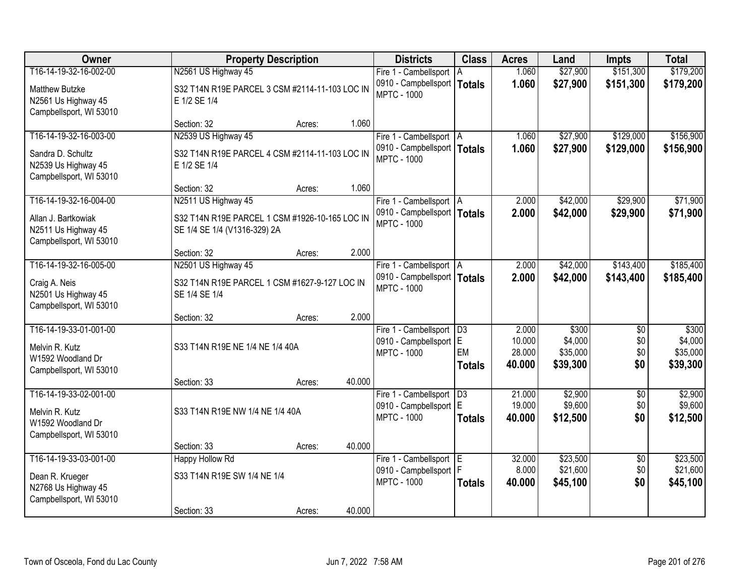| Owner                                                                                    |                                                                                | <b>Property Description</b> |        | <b>Districts</b>                                                           | <b>Class</b>        | <b>Acres</b>                        | Land                                     | <b>Impts</b>                  | <b>Total</b>                             |
|------------------------------------------------------------------------------------------|--------------------------------------------------------------------------------|-----------------------------|--------|----------------------------------------------------------------------------|---------------------|-------------------------------------|------------------------------------------|-------------------------------|------------------------------------------|
| T16-14-19-32-16-002-00                                                                   | N2561 US Highway 45                                                            |                             |        | Fire 1 - Cambellsport   A                                                  |                     | 1.060                               | \$27,900                                 | \$151,300                     | \$179,200                                |
| Matthew Butzke<br>N2561 Us Highway 45<br>Campbellsport, WI 53010                         | S32 T14N R19E PARCEL 3 CSM #2114-11-103 LOC IN<br>E 1/2 SE 1/4                 |                             |        | 0910 - Campbellsport   Totals<br><b>MPTC - 1000</b>                        |                     | 1.060                               | \$27,900                                 | \$151,300                     | \$179,200                                |
|                                                                                          | Section: 32                                                                    | Acres:                      | 1.060  |                                                                            |                     |                                     |                                          |                               |                                          |
| T16-14-19-32-16-003-00                                                                   | N2539 US Highway 45                                                            |                             |        | Fire 1 - Cambellsport   A                                                  |                     | 1.060                               | \$27,900                                 | \$129,000                     | \$156,900                                |
| Sandra D. Schultz<br>N2539 Us Highway 45<br>Campbellsport, WI 53010                      | S32 T14N R19E PARCEL 4 CSM #2114-11-103 LOC IN<br>E 1/2 SE 1/4                 |                             |        | 0910 - Campbellsport   Totals<br><b>MPTC - 1000</b>                        |                     | 1.060                               | \$27,900                                 | \$129,000                     | \$156,900                                |
|                                                                                          | Section: 32                                                                    | Acres:                      | 1.060  |                                                                            |                     |                                     |                                          |                               |                                          |
| T16-14-19-32-16-004-00                                                                   | N2511 US Highway 45                                                            |                             |        | Fire 1 - Cambellsport   A                                                  |                     | 2.000                               | \$42,000                                 | \$29,900                      | \$71,900                                 |
| Allan J. Bartkowiak<br>N2511 Us Highway 45<br>Campbellsport, WI 53010                    | S32 T14N R19E PARCEL 1 CSM #1926-10-165 LOC IN<br>SE 1/4 SE 1/4 (V1316-329) 2A |                             |        | 0910 - Campbellsport   Totals<br><b>MPTC - 1000</b>                        |                     | 2.000                               | \$42,000                                 | \$29,900                      | \$71,900                                 |
|                                                                                          | Section: 32                                                                    | Acres:                      | 2.000  |                                                                            |                     |                                     |                                          |                               |                                          |
| T16-14-19-32-16-005-00                                                                   | N2501 US Highway 45                                                            |                             |        | Fire 1 - Cambellsport   A                                                  |                     | 2.000                               | \$42,000                                 | \$143,400                     | \$185,400                                |
| Craig A. Neis<br>N2501 Us Highway 45<br>Campbellsport, WI 53010                          | S32 T14N R19E PARCEL 1 CSM #1627-9-127 LOC IN<br>SE 1/4 SE 1/4                 |                             |        | 0910 - Campbellsport   Totals<br><b>MPTC - 1000</b>                        |                     | 2.000                               | \$42,000                                 | \$143,400                     | \$185,400                                |
|                                                                                          | Section: 32                                                                    | Acres:                      | 2.000  |                                                                            |                     |                                     |                                          |                               |                                          |
| T16-14-19-33-01-001-00<br>Melvin R. Kutz<br>W1592 Woodland Dr<br>Campbellsport, WI 53010 | S33 T14N R19E NE 1/4 NE 1/4 40A                                                |                             |        | Fire 1 - Cambellsport   D3<br>0910 - Campbellsport E<br><b>MPTC - 1000</b> | EM<br><b>Totals</b> | 2.000<br>10.000<br>28.000<br>40.000 | \$300<br>\$4,000<br>\$35,000<br>\$39,300 | \$0<br>\$0<br>\$0<br>\$0      | \$300<br>\$4,000<br>\$35,000<br>\$39,300 |
|                                                                                          | Section: 33                                                                    | Acres:                      | 40.000 |                                                                            |                     |                                     |                                          |                               |                                          |
| T16-14-19-33-02-001-00<br>Melvin R. Kutz<br>W1592 Woodland Dr<br>Campbellsport, WI 53010 | S33 T14N R19E NW 1/4 NE 1/4 40A                                                |                             |        | Fire 1 - Cambellsport   D3<br>0910 - Campbellsport E<br><b>MPTC - 1000</b> | <b>Totals</b>       | 21.000<br>19.000<br>40.000          | \$2,900<br>\$9,600<br>\$12,500           | $\overline{50}$<br>\$0<br>\$0 | \$2,900<br>\$9,600<br>\$12,500           |
|                                                                                          | Section: 33                                                                    | Acres:                      | 40.000 |                                                                            |                     |                                     |                                          |                               |                                          |
| T16-14-19-33-03-001-00                                                                   | <b>Happy Hollow Rd</b>                                                         |                             |        | Fire 1 - Cambellsport E                                                    |                     | 32.000                              | \$23,500                                 | $\overline{50}$               | \$23,500                                 |
| Dean R. Krueger<br>N2768 Us Highway 45<br>Campbellsport, WI 53010                        | S33 T14N R19E SW 1/4 NE 1/4                                                    |                             |        | 0910 - Campbellsport<br><b>MPTC - 1000</b>                                 | F<br><b>Totals</b>  | 8.000<br>40.000                     | \$21,600<br>\$45,100                     | \$0<br>\$0                    | \$21,600<br>\$45,100                     |
|                                                                                          | Section: 33                                                                    | Acres:                      | 40.000 |                                                                            |                     |                                     |                                          |                               |                                          |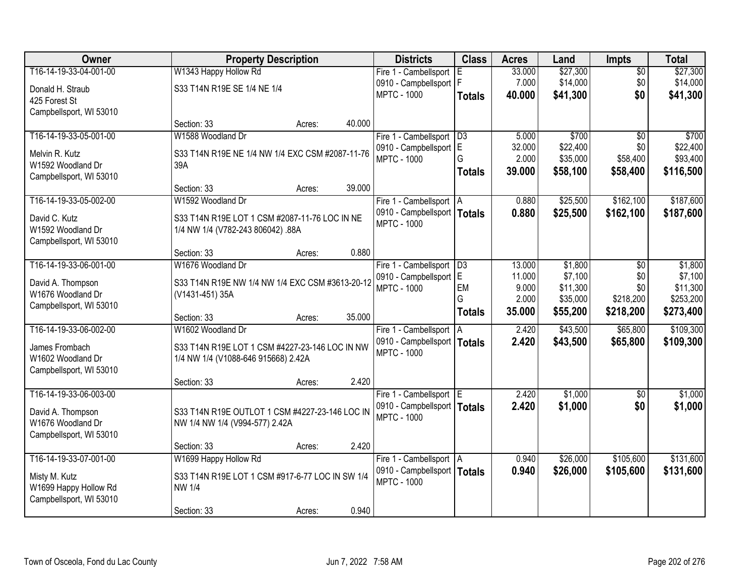| Owner                   | <b>Property Description</b>                     | <b>Districts</b>                                    | <b>Class</b>    | <b>Acres</b>    | Land                 | <b>Impts</b>    | <b>Total</b>         |
|-------------------------|-------------------------------------------------|-----------------------------------------------------|-----------------|-----------------|----------------------|-----------------|----------------------|
| T16-14-19-33-04-001-00  | W1343 Happy Hollow Rd                           | Fire 1 - Cambellsport                               | E               | 33.000          | \$27,300             | $\overline{50}$ | \$27,300             |
| Donald H. Straub        | S33 T14N R19E SE 1/4 NE 1/4                     | 0910 - Campbellsport   F                            |                 | 7.000           | \$14,000             | \$0             | \$14,000             |
| 425 Forest St           |                                                 | <b>MPTC - 1000</b>                                  | <b>Totals</b>   | 40.000          | \$41,300             | \$0             | \$41,300             |
| Campbellsport, WI 53010 |                                                 |                                                     |                 |                 |                      |                 |                      |
|                         | 40.000<br>Section: 33<br>Acres:                 |                                                     |                 |                 |                      |                 |                      |
| T16-14-19-33-05-001-00  | W1588 Woodland Dr                               | Fire 1 - Cambellsport                               | $\overline{D3}$ | 5.000           | \$700                | $\overline{50}$ | \$700                |
| Melvin R. Kutz          | S33 T14N R19E NE 1/4 NW 1/4 EXC CSM #2087-11-76 | 0910 - Campbellsport E                              | G               | 32.000<br>2.000 | \$22,400<br>\$35,000 | \$0<br>\$58,400 | \$22,400<br>\$93,400 |
| W1592 Woodland Dr       | 39A                                             | <b>MPTC - 1000</b>                                  |                 | 39.000          |                      |                 |                      |
| Campbellsport, WI 53010 |                                                 |                                                     | <b>Totals</b>   |                 | \$58,100             | \$58,400        | \$116,500            |
|                         | 39.000<br>Section: 33<br>Acres:                 |                                                     |                 |                 |                      |                 |                      |
| T16-14-19-33-05-002-00  | W1592 Woodland Dr                               | Fire 1 - Cambellsport   A                           |                 | 0.880           | \$25,500             | \$162,100       | \$187,600            |
| David C. Kutz           | S33 T14N R19E LOT 1 CSM #2087-11-76 LOC IN NE   | 0910 - Campbellsport   Totals<br><b>MPTC - 1000</b> |                 | 0.880           | \$25,500             | \$162,100       | \$187,600            |
| W1592 Woodland Dr       | 1/4 NW 1/4 (V782-243 806042) .88A               |                                                     |                 |                 |                      |                 |                      |
| Campbellsport, WI 53010 |                                                 |                                                     |                 |                 |                      |                 |                      |
|                         | 0.880<br>Section: 33<br>Acres:                  |                                                     |                 |                 |                      |                 |                      |
| T16-14-19-33-06-001-00  | W1676 Woodland Dr                               | Fire 1 - Cambellsport                               | $\overline{D3}$ | 13.000          | \$1,800              | $\sqrt{6}$      | \$1,800              |
| David A. Thompson       | S33 T14N R19E NW 1/4 NW 1/4 EXC CSM #3613-20-12 | 0910 - Campbellsport E<br><b>MPTC - 1000</b>        | EM              | 11.000<br>9.000 | \$7,100<br>\$11,300  | \$0<br>\$0      | \$7,100<br>\$11,300  |
| W1676 Woodland Dr       | (V1431-451) 35A                                 |                                                     | G               | 2.000           | \$35,000             | \$218,200       | \$253,200            |
| Campbellsport, WI 53010 |                                                 |                                                     | <b>Totals</b>   | 35.000          | \$55,200             | \$218,200       | \$273,400            |
|                         | 35.000<br>Section: 33<br>Acres:                 |                                                     |                 |                 |                      |                 |                      |
| T16-14-19-33-06-002-00  | W1602 Woodland Dr                               | Fire 1 - Cambellsport                               | ΙA              | 2.420           | \$43,500             | \$65,800        | \$109,300            |
| James Frombach          | S33 T14N R19E LOT 1 CSM #4227-23-146 LOC IN NW  | 0910 - Campbellsport   Totals<br><b>MPTC - 1000</b> |                 | 2.420           | \$43,500             | \$65,800        | \$109,300            |
| W1602 Woodland Dr       | 1/4 NW 1/4 (V1088-646 915668) 2.42A             |                                                     |                 |                 |                      |                 |                      |
| Campbellsport, WI 53010 |                                                 |                                                     |                 |                 |                      |                 |                      |
|                         | 2.420<br>Section: 33<br>Acres:                  |                                                     |                 |                 |                      |                 |                      |
| T16-14-19-33-06-003-00  |                                                 | Fire 1 - Cambellsport E                             |                 | 2.420           | \$1,000              | $\sqrt{6}$      | \$1,000              |
| David A. Thompson       | S33 T14N R19E OUTLOT 1 CSM #4227-23-146 LOC IN  | 0910 - Campbellsport   Totals<br><b>MPTC - 1000</b> |                 | 2.420           | \$1,000              | \$0             | \$1,000              |
| W1676 Woodland Dr       | NW 1/4 NW 1/4 (V994-577) 2.42A                  |                                                     |                 |                 |                      |                 |                      |
| Campbellsport, WI 53010 |                                                 |                                                     |                 |                 |                      |                 |                      |
|                         | 2.420<br>Section: 33<br>Acres:                  |                                                     |                 |                 |                      |                 |                      |
| T16-14-19-33-07-001-00  | W1699 Happy Hollow Rd                           | Fire 1 - Cambellsport   A                           |                 | 0.940           | \$26,000             | \$105,600       | \$131,600            |
| Misty M. Kutz           | S33 T14N R19E LOT 1 CSM #917-6-77 LOC IN SW 1/4 | 0910 - Campbellsport   Totals<br><b>MPTC - 1000</b> |                 | 0.940           | \$26,000             | \$105,600       | \$131,600            |
| W1699 Happy Hollow Rd   | <b>NW 1/4</b>                                   |                                                     |                 |                 |                      |                 |                      |
| Campbellsport, WI 53010 |                                                 |                                                     |                 |                 |                      |                 |                      |
|                         | 0.940<br>Section: 33<br>Acres:                  |                                                     |                 |                 |                      |                 |                      |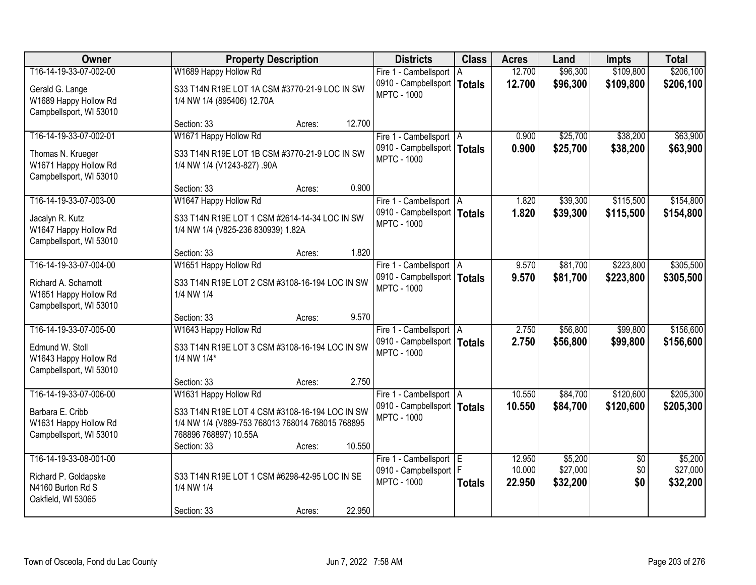| Owner                   | <b>Property Description</b>                      | <b>Districts</b>              | <b>Class</b>  | <b>Acres</b> | Land     | <b>Impts</b>    | <b>Total</b> |
|-------------------------|--------------------------------------------------|-------------------------------|---------------|--------------|----------|-----------------|--------------|
| T16-14-19-33-07-002-00  | W1689 Happy Hollow Rd                            | Fire 1 - Cambellsport   A     |               | 12.700       | \$96,300 | \$109,800       | \$206,100    |
| Gerald G. Lange         | S33 T14N R19E LOT 1A CSM #3770-21-9 LOC IN SW    | 0910 - Campbellsport          | <b>Totals</b> | 12.700       | \$96,300 | \$109,800       | \$206,100    |
| W1689 Happy Hollow Rd   | 1/4 NW 1/4 (895406) 12.70A                       | <b>MPTC - 1000</b>            |               |              |          |                 |              |
| Campbellsport, WI 53010 |                                                  |                               |               |              |          |                 |              |
|                         | 12.700<br>Section: 33<br>Acres:                  |                               |               |              |          |                 |              |
| T16-14-19-33-07-002-01  | W1671 Happy Hollow Rd                            | Fire 1 - Cambellsport   A     |               | 0.900        | \$25,700 | \$38,200        | \$63,900     |
| Thomas N. Krueger       | S33 T14N R19E LOT 1B CSM #3770-21-9 LOC IN SW    | 0910 - Campbellsport   Totals |               | 0.900        | \$25,700 | \$38,200        | \$63,900     |
| W1671 Happy Hollow Rd   | 1/4 NW 1/4 (V1243-827) .90A                      | <b>MPTC - 1000</b>            |               |              |          |                 |              |
| Campbellsport, WI 53010 |                                                  |                               |               |              |          |                 |              |
|                         | 0.900<br>Section: 33<br>Acres:                   |                               |               |              |          |                 |              |
| T16-14-19-33-07-003-00  | W1647 Happy Hollow Rd                            | Fire 1 - Cambellsport   A     |               | 1.820        | \$39,300 | \$115,500       | \$154,800    |
| Jacalyn R. Kutz         | S33 T14N R19E LOT 1 CSM #2614-14-34 LOC IN SW    | 0910 - Campbellsport   Totals |               | 1.820        | \$39,300 | \$115,500       | \$154,800    |
| W1647 Happy Hollow Rd   | 1/4 NW 1/4 (V825-236 830939) 1.82A               | <b>MPTC - 1000</b>            |               |              |          |                 |              |
| Campbellsport, WI 53010 |                                                  |                               |               |              |          |                 |              |
|                         | 1.820<br>Section: 33<br>Acres:                   |                               |               |              |          |                 |              |
| T16-14-19-33-07-004-00  | W1651 Happy Hollow Rd                            | Fire 1 - Cambellsport   A     |               | 9.570        | \$81,700 | \$223,800       | \$305,500    |
| Richard A. Scharnott    | S33 T14N R19E LOT 2 CSM #3108-16-194 LOC IN SW   | 0910 - Campbellsport   Totals |               | 9.570        | \$81,700 | \$223,800       | \$305,500    |
| W1651 Happy Hollow Rd   | 1/4 NW 1/4                                       | <b>MPTC - 1000</b>            |               |              |          |                 |              |
| Campbellsport, WI 53010 |                                                  |                               |               |              |          |                 |              |
|                         | 9.570<br>Section: 33<br>Acres:                   |                               |               |              |          |                 |              |
| T16-14-19-33-07-005-00  | W1643 Happy Hollow Rd                            | Fire 1 - Cambellsport   A     |               | 2.750        | \$56,800 | \$99,800        | \$156,600    |
| Edmund W. Stoll         | S33 T14N R19E LOT 3 CSM #3108-16-194 LOC IN SW   | 0910 - Campbellsport   Totals |               | 2.750        | \$56,800 | \$99,800        | \$156,600    |
| W1643 Happy Hollow Rd   | 1/4 NW 1/4*                                      | <b>MPTC - 1000</b>            |               |              |          |                 |              |
| Campbellsport, WI 53010 |                                                  |                               |               |              |          |                 |              |
|                         | 2.750<br>Section: 33<br>Acres:                   |                               |               |              |          |                 |              |
| T16-14-19-33-07-006-00  | W1631 Happy Hollow Rd                            | Fire 1 - Cambellsport A       |               | 10.550       | \$84,700 | \$120,600       | \$205,300    |
| Barbara E. Cribb        | S33 T14N R19E LOT 4 CSM #3108-16-194 LOC IN SW   | 0910 - Campbellsport   Totals |               | 10.550       | \$84,700 | \$120,600       | \$205,300    |
| W1631 Happy Hollow Rd   | 1/4 NW 1/4 (V889-753 768013 768014 768015 768895 | <b>MPTC - 1000</b>            |               |              |          |                 |              |
| Campbellsport, WI 53010 | 768896 768897) 10.55A                            |                               |               |              |          |                 |              |
|                         | 10.550<br>Section: 33<br>Acres:                  |                               |               |              |          |                 |              |
| T16-14-19-33-08-001-00  |                                                  | Fire 1 - Cambellsport E       |               | 12.950       | \$5,200  | $\overline{30}$ | \$5,200      |
| Richard P. Goldapske    | S33 T14N R19E LOT 1 CSM #6298-42-95 LOC IN SE    | 0910 - Campbellsport   F      |               | 10.000       | \$27,000 | \$0             | \$27,000     |
| N4160 Burton Rd S       | 1/4 NW 1/4                                       | <b>MPTC - 1000</b>            | <b>Totals</b> | 22.950       | \$32,200 | \$0             | \$32,200     |
| Oakfield, WI 53065      |                                                  |                               |               |              |          |                 |              |
|                         | 22.950<br>Section: 33<br>Acres:                  |                               |               |              |          |                 |              |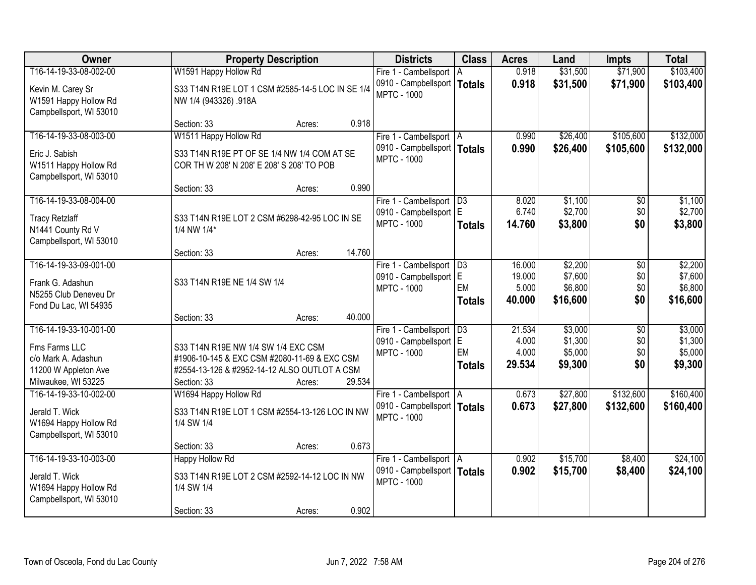| Owner                                                                 |                                                                           | <b>Property Description</b> |        | <b>Districts</b>                                           | <b>Class</b>    | <b>Acres</b>   | Land                 | <b>Impts</b>           | <b>Total</b>           |
|-----------------------------------------------------------------------|---------------------------------------------------------------------------|-----------------------------|--------|------------------------------------------------------------|-----------------|----------------|----------------------|------------------------|------------------------|
| T16-14-19-33-08-002-00                                                | W1591 Happy Hollow Rd                                                     |                             |        | Fire 1 - Cambellsport   A                                  |                 | 0.918          | \$31,500             | \$71,900               | \$103,400              |
| Kevin M. Carey Sr<br>W1591 Happy Hollow Rd<br>Campbellsport, WI 53010 | S33 T14N R19E LOT 1 CSM #2585-14-5 LOC IN SE 1/4<br>NW 1/4 (943326) .918A |                             |        | 0910 - Campbellsport  <br><b>MPTC - 1000</b>               | <b>Totals</b>   | 0.918          | \$31,500             | \$71,900               | \$103,400              |
|                                                                       | Section: 33                                                               | Acres:                      | 0.918  |                                                            |                 |                |                      |                        |                        |
| T16-14-19-33-08-003-00<br>Eric J. Sabish                              | W1511 Happy Hollow Rd<br>S33 T14N R19E PT OF SE 1/4 NW 1/4 COM AT SE      |                             |        | Fire 1 - Cambellsport   A<br>0910 - Campbellsport   Totals |                 | 0.990<br>0.990 | \$26,400<br>\$26,400 | \$105,600<br>\$105,600 | \$132,000<br>\$132,000 |
| W1511 Happy Hollow Rd<br>Campbellsport, WI 53010                      | COR TH W 208' N 208' E 208' S 208' TO POB                                 |                             |        | <b>MPTC - 1000</b>                                         |                 |                |                      |                        |                        |
|                                                                       | Section: 33                                                               | Acres:                      | 0.990  |                                                            |                 |                |                      |                        |                        |
| T16-14-19-33-08-004-00                                                |                                                                           |                             |        | Fire 1 - Cambellsport   D3<br>0910 - Campbellsport E       |                 | 8.020<br>6.740 | \$1,100<br>\$2,700   | \$0<br>\$0             | \$1,100<br>\$2,700     |
| <b>Tracy Retzlaff</b><br>N1441 County Rd V                            | S33 T14N R19E LOT 2 CSM #6298-42-95 LOC IN SE<br>1/4 NW 1/4*              |                             |        | <b>MPTC - 1000</b>                                         | <b>Totals</b>   | 14.760         | \$3,800              | \$0                    | \$3,800                |
| Campbellsport, WI 53010                                               | Section: 33                                                               | Acres:                      | 14.760 |                                                            |                 |                |                      |                        |                        |
| T16-14-19-33-09-001-00                                                |                                                                           |                             |        | Fire 1 - Cambellsport                                      | $\overline{D3}$ | 16.000         | \$2,200              | \$0                    | \$2,200                |
|                                                                       |                                                                           |                             |        | 0910 - Campbellsport E                                     |                 | 19.000         | \$7,600              | \$0                    | \$7,600                |
| Frank G. Adashun<br>N5255 Club Deneveu Dr                             | S33 T14N R19E NE 1/4 SW 1/4                                               |                             |        | <b>MPTC - 1000</b>                                         | EM              | 5.000          | \$6,800              | \$0                    | \$6,800                |
| Fond Du Lac, WI 54935                                                 |                                                                           |                             |        |                                                            | <b>Totals</b>   | 40.000         | \$16,600             | \$0                    | \$16,600               |
|                                                                       | Section: 33                                                               | Acres:                      | 40.000 |                                                            |                 |                |                      |                        |                        |
| T16-14-19-33-10-001-00                                                |                                                                           |                             |        | Fire 1 - Cambellsport                                      | $\overline{D3}$ | 21.534         | \$3,000              | $\overline{50}$        | \$3,000                |
| Fms Farms LLC                                                         | S33 T14N R19E NW 1/4 SW 1/4 EXC CSM                                       |                             |        | 0910 - Campbellsport E                                     |                 | 4.000          | \$1,300              | \$0                    | \$1,300                |
| c/o Mark A. Adashun                                                   | #1906-10-145 & EXC CSM #2080-11-69 & EXC CSM                              |                             |        | <b>MPTC - 1000</b>                                         | EM              | 4.000          | \$5,000              | \$0                    | \$5,000                |
| 11200 W Appleton Ave                                                  | #2554-13-126 & #2952-14-12 ALSO OUTLOT A CSM                              |                             |        |                                                            | <b>Totals</b>   | 29.534         | \$9,300              | \$0                    | \$9,300                |
| Milwaukee, WI 53225                                                   | Section: 33                                                               | Acres:                      | 29.534 |                                                            |                 |                |                      |                        |                        |
| T16-14-19-33-10-002-00                                                | W1694 Happy Hollow Rd                                                     |                             |        | Fire 1 - Cambellsport A                                    |                 | 0.673          | \$27,800             | \$132,600              | \$160,400              |
| Jerald T. Wick<br>W1694 Happy Hollow Rd                               | S33 T14N R19E LOT 1 CSM #2554-13-126 LOC IN NW<br>1/4 SW 1/4              |                             |        | 0910 - Campbellsport   Totals<br><b>MPTC - 1000</b>        |                 | 0.673          | \$27,800             | \$132,600              | \$160,400              |
| Campbellsport, WI 53010                                               |                                                                           |                             |        |                                                            |                 |                |                      |                        |                        |
| T16-14-19-33-10-003-00                                                | Section: 33                                                               | Acres:                      | 0.673  |                                                            |                 | 0.902          | \$15,700             | \$8,400                | \$24,100               |
|                                                                       | <b>Happy Hollow Rd</b>                                                    |                             |        | Fire 1 - Cambellsport   A<br>0910 - Campbellsport   Totals |                 | 0.902          | \$15,700             |                        |                        |
| Jerald T. Wick                                                        | S33 T14N R19E LOT 2 CSM #2592-14-12 LOC IN NW                             |                             |        | <b>MPTC - 1000</b>                                         |                 |                |                      | \$8,400                | \$24,100               |
| W1694 Happy Hollow Rd                                                 | 1/4 SW 1/4                                                                |                             |        |                                                            |                 |                |                      |                        |                        |
| Campbellsport, WI 53010                                               | Section: 33                                                               |                             | 0.902  |                                                            |                 |                |                      |                        |                        |
|                                                                       |                                                                           | Acres:                      |        |                                                            |                 |                |                      |                        |                        |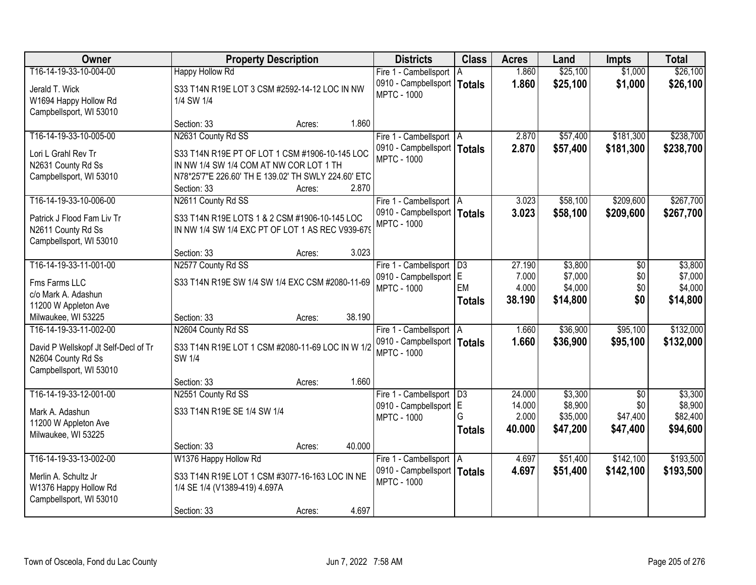| T16-14-19-33-10-004-00<br>\$25,100<br><b>Happy Hollow Rd</b><br>1.860<br>\$1,000<br>Fire 1 - Cambellsport<br>I A<br>0910 - Campbellsport   Totals<br>1.860<br>\$25,100<br>\$1,000<br>\$26,100<br>S33 T14N R19E LOT 3 CSM #2592-14-12 LOC IN NW<br>Jerald T. Wick<br><b>MPTC - 1000</b><br>W1694 Happy Hollow Rd<br>1/4 SW 1/4<br>Campbellsport, WI 53010<br>1.860<br>Section: 33<br>Acres:<br>N2631 County Rd SS<br>\$181,300<br>\$238,700<br>T16-14-19-33-10-005-00<br>2.870<br>\$57,400<br>Fire 1 - Cambellsport   A<br>0910 - Campbellsport   Totals<br>2.870<br>\$57,400<br>\$181,300<br>\$238,700<br>Lori L Grahl Rev Tr<br>S33 T14N R19E PT OF LOT 1 CSM #1906-10-145 LOC<br><b>MPTC - 1000</b><br>N2631 County Rd Ss<br>IN NW 1/4 SW 1/4 COM AT NW COR LOT 1 TH<br>N78*25'7"E 226.60' TH E 139.02' TH SWLY 224.60' ETC<br>Campbellsport, WI 53010<br>2.870<br>Section: 33<br>Acres:<br>\$267,700<br>T16-14-19-33-10-006-00<br>\$58,100<br>\$209,600<br>N2611 County Rd SS<br>3.023<br>Fire 1 - Cambellsport   A<br>0910 - Campbellsport   Totals<br>3.023<br>\$58,100<br>\$209,600<br>\$267,700<br>Patrick J Flood Fam Liv Tr<br>S33 T14N R19E LOTS 1 & 2 CSM #1906-10-145 LOC<br><b>MPTC - 1000</b><br>IN NW 1/4 SW 1/4 EXC PT OF LOT 1 AS REC V939-679<br>N2611 County Rd Ss<br>Campbellsport, WI 53010<br>3.023<br>Section: 33<br>Acres:<br>T16-14-19-33-11-001-00<br>N2577 County Rd SS<br>27.190<br>\$3,800<br>\$3,800<br>Fire 1 - Cambellsport<br>D3<br>\$0<br>lE.<br>\$7,000<br>7.000<br>\$7,000<br>\$0<br>0910 - Campbellsport<br>S33 T14N R19E SW 1/4 SW 1/4 EXC CSM #2080-11-69<br>Fms Farms LLC<br>EM<br>4.000<br>\$4,000<br>\$0<br>\$4,000<br><b>MPTC - 1000</b><br>c/o Mark A. Adashun<br>38.190<br>\$14,800<br>\$0<br>\$14,800<br><b>Totals</b><br>11200 W Appleton Ave<br>38.190<br>Milwaukee, WI 53225<br>Section: 33<br>Acres:<br>T16-14-19-33-11-002-00<br>N2604 County Rd SS<br>\$36,900<br>\$95,100<br>\$132,000<br>1.660<br>Fire 1 - Cambellsport   A<br>1.660<br>\$36,900<br>\$95,100<br>\$132,000<br>0910 - Campbellsport   Totals<br>David P Wellskopf Jt Self-Decl of Tr<br>S33 T14N R19E LOT 1 CSM #2080-11-69 LOC IN W 1/2<br><b>MPTC - 1000</b><br>SW 1/4<br>N2604 County Rd Ss<br>Campbellsport, WI 53010<br>1.660<br>Section: 33<br>Acres: | Owner                  | <b>Property Description</b> | <b>Districts</b> | <b>Class</b>    | <b>Acres</b> | Land    | Impts | <b>Total</b> |
|---------------------------------------------------------------------------------------------------------------------------------------------------------------------------------------------------------------------------------------------------------------------------------------------------------------------------------------------------------------------------------------------------------------------------------------------------------------------------------------------------------------------------------------------------------------------------------------------------------------------------------------------------------------------------------------------------------------------------------------------------------------------------------------------------------------------------------------------------------------------------------------------------------------------------------------------------------------------------------------------------------------------------------------------------------------------------------------------------------------------------------------------------------------------------------------------------------------------------------------------------------------------------------------------------------------------------------------------------------------------------------------------------------------------------------------------------------------------------------------------------------------------------------------------------------------------------------------------------------------------------------------------------------------------------------------------------------------------------------------------------------------------------------------------------------------------------------------------------------------------------------------------------------------------------------------------------------------------------------------------------------------------------------------------------------------------------------------------------------------------------------------------------------------------------------------------------------------------------------------------------------------------------------|------------------------|-----------------------------|------------------|-----------------|--------------|---------|-------|--------------|
|                                                                                                                                                                                                                                                                                                                                                                                                                                                                                                                                                                                                                                                                                                                                                                                                                                                                                                                                                                                                                                                                                                                                                                                                                                                                                                                                                                                                                                                                                                                                                                                                                                                                                                                                                                                                                                                                                                                                                                                                                                                                                                                                                                                                                                                                                 |                        |                             |                  |                 |              |         |       | \$26,100     |
|                                                                                                                                                                                                                                                                                                                                                                                                                                                                                                                                                                                                                                                                                                                                                                                                                                                                                                                                                                                                                                                                                                                                                                                                                                                                                                                                                                                                                                                                                                                                                                                                                                                                                                                                                                                                                                                                                                                                                                                                                                                                                                                                                                                                                                                                                 |                        |                             |                  |                 |              |         |       |              |
|                                                                                                                                                                                                                                                                                                                                                                                                                                                                                                                                                                                                                                                                                                                                                                                                                                                                                                                                                                                                                                                                                                                                                                                                                                                                                                                                                                                                                                                                                                                                                                                                                                                                                                                                                                                                                                                                                                                                                                                                                                                                                                                                                                                                                                                                                 |                        |                             |                  |                 |              |         |       |              |
|                                                                                                                                                                                                                                                                                                                                                                                                                                                                                                                                                                                                                                                                                                                                                                                                                                                                                                                                                                                                                                                                                                                                                                                                                                                                                                                                                                                                                                                                                                                                                                                                                                                                                                                                                                                                                                                                                                                                                                                                                                                                                                                                                                                                                                                                                 |                        |                             |                  |                 |              |         |       |              |
|                                                                                                                                                                                                                                                                                                                                                                                                                                                                                                                                                                                                                                                                                                                                                                                                                                                                                                                                                                                                                                                                                                                                                                                                                                                                                                                                                                                                                                                                                                                                                                                                                                                                                                                                                                                                                                                                                                                                                                                                                                                                                                                                                                                                                                                                                 |                        |                             |                  |                 |              |         |       |              |
|                                                                                                                                                                                                                                                                                                                                                                                                                                                                                                                                                                                                                                                                                                                                                                                                                                                                                                                                                                                                                                                                                                                                                                                                                                                                                                                                                                                                                                                                                                                                                                                                                                                                                                                                                                                                                                                                                                                                                                                                                                                                                                                                                                                                                                                                                 |                        |                             |                  |                 |              |         |       |              |
|                                                                                                                                                                                                                                                                                                                                                                                                                                                                                                                                                                                                                                                                                                                                                                                                                                                                                                                                                                                                                                                                                                                                                                                                                                                                                                                                                                                                                                                                                                                                                                                                                                                                                                                                                                                                                                                                                                                                                                                                                                                                                                                                                                                                                                                                                 |                        |                             |                  |                 |              |         |       |              |
|                                                                                                                                                                                                                                                                                                                                                                                                                                                                                                                                                                                                                                                                                                                                                                                                                                                                                                                                                                                                                                                                                                                                                                                                                                                                                                                                                                                                                                                                                                                                                                                                                                                                                                                                                                                                                                                                                                                                                                                                                                                                                                                                                                                                                                                                                 |                        |                             |                  |                 |              |         |       |              |
|                                                                                                                                                                                                                                                                                                                                                                                                                                                                                                                                                                                                                                                                                                                                                                                                                                                                                                                                                                                                                                                                                                                                                                                                                                                                                                                                                                                                                                                                                                                                                                                                                                                                                                                                                                                                                                                                                                                                                                                                                                                                                                                                                                                                                                                                                 |                        |                             |                  |                 |              |         |       |              |
|                                                                                                                                                                                                                                                                                                                                                                                                                                                                                                                                                                                                                                                                                                                                                                                                                                                                                                                                                                                                                                                                                                                                                                                                                                                                                                                                                                                                                                                                                                                                                                                                                                                                                                                                                                                                                                                                                                                                                                                                                                                                                                                                                                                                                                                                                 |                        |                             |                  |                 |              |         |       |              |
|                                                                                                                                                                                                                                                                                                                                                                                                                                                                                                                                                                                                                                                                                                                                                                                                                                                                                                                                                                                                                                                                                                                                                                                                                                                                                                                                                                                                                                                                                                                                                                                                                                                                                                                                                                                                                                                                                                                                                                                                                                                                                                                                                                                                                                                                                 |                        |                             |                  |                 |              |         |       |              |
|                                                                                                                                                                                                                                                                                                                                                                                                                                                                                                                                                                                                                                                                                                                                                                                                                                                                                                                                                                                                                                                                                                                                                                                                                                                                                                                                                                                                                                                                                                                                                                                                                                                                                                                                                                                                                                                                                                                                                                                                                                                                                                                                                                                                                                                                                 |                        |                             |                  |                 |              |         |       |              |
|                                                                                                                                                                                                                                                                                                                                                                                                                                                                                                                                                                                                                                                                                                                                                                                                                                                                                                                                                                                                                                                                                                                                                                                                                                                                                                                                                                                                                                                                                                                                                                                                                                                                                                                                                                                                                                                                                                                                                                                                                                                                                                                                                                                                                                                                                 |                        |                             |                  |                 |              |         |       |              |
|                                                                                                                                                                                                                                                                                                                                                                                                                                                                                                                                                                                                                                                                                                                                                                                                                                                                                                                                                                                                                                                                                                                                                                                                                                                                                                                                                                                                                                                                                                                                                                                                                                                                                                                                                                                                                                                                                                                                                                                                                                                                                                                                                                                                                                                                                 |                        |                             |                  |                 |              |         |       |              |
|                                                                                                                                                                                                                                                                                                                                                                                                                                                                                                                                                                                                                                                                                                                                                                                                                                                                                                                                                                                                                                                                                                                                                                                                                                                                                                                                                                                                                                                                                                                                                                                                                                                                                                                                                                                                                                                                                                                                                                                                                                                                                                                                                                                                                                                                                 |                        |                             |                  |                 |              |         |       |              |
|                                                                                                                                                                                                                                                                                                                                                                                                                                                                                                                                                                                                                                                                                                                                                                                                                                                                                                                                                                                                                                                                                                                                                                                                                                                                                                                                                                                                                                                                                                                                                                                                                                                                                                                                                                                                                                                                                                                                                                                                                                                                                                                                                                                                                                                                                 |                        |                             |                  |                 |              |         |       |              |
|                                                                                                                                                                                                                                                                                                                                                                                                                                                                                                                                                                                                                                                                                                                                                                                                                                                                                                                                                                                                                                                                                                                                                                                                                                                                                                                                                                                                                                                                                                                                                                                                                                                                                                                                                                                                                                                                                                                                                                                                                                                                                                                                                                                                                                                                                 |                        |                             |                  |                 |              |         |       |              |
|                                                                                                                                                                                                                                                                                                                                                                                                                                                                                                                                                                                                                                                                                                                                                                                                                                                                                                                                                                                                                                                                                                                                                                                                                                                                                                                                                                                                                                                                                                                                                                                                                                                                                                                                                                                                                                                                                                                                                                                                                                                                                                                                                                                                                                                                                 |                        |                             |                  |                 |              |         |       |              |
|                                                                                                                                                                                                                                                                                                                                                                                                                                                                                                                                                                                                                                                                                                                                                                                                                                                                                                                                                                                                                                                                                                                                                                                                                                                                                                                                                                                                                                                                                                                                                                                                                                                                                                                                                                                                                                                                                                                                                                                                                                                                                                                                                                                                                                                                                 |                        |                             |                  |                 |              |         |       |              |
|                                                                                                                                                                                                                                                                                                                                                                                                                                                                                                                                                                                                                                                                                                                                                                                                                                                                                                                                                                                                                                                                                                                                                                                                                                                                                                                                                                                                                                                                                                                                                                                                                                                                                                                                                                                                                                                                                                                                                                                                                                                                                                                                                                                                                                                                                 |                        |                             |                  |                 |              |         |       |              |
|                                                                                                                                                                                                                                                                                                                                                                                                                                                                                                                                                                                                                                                                                                                                                                                                                                                                                                                                                                                                                                                                                                                                                                                                                                                                                                                                                                                                                                                                                                                                                                                                                                                                                                                                                                                                                                                                                                                                                                                                                                                                                                                                                                                                                                                                                 |                        |                             |                  |                 |              |         |       |              |
|                                                                                                                                                                                                                                                                                                                                                                                                                                                                                                                                                                                                                                                                                                                                                                                                                                                                                                                                                                                                                                                                                                                                                                                                                                                                                                                                                                                                                                                                                                                                                                                                                                                                                                                                                                                                                                                                                                                                                                                                                                                                                                                                                                                                                                                                                 |                        |                             |                  |                 |              |         |       |              |
|                                                                                                                                                                                                                                                                                                                                                                                                                                                                                                                                                                                                                                                                                                                                                                                                                                                                                                                                                                                                                                                                                                                                                                                                                                                                                                                                                                                                                                                                                                                                                                                                                                                                                                                                                                                                                                                                                                                                                                                                                                                                                                                                                                                                                                                                                 |                        |                             |                  |                 |              |         |       |              |
|                                                                                                                                                                                                                                                                                                                                                                                                                                                                                                                                                                                                                                                                                                                                                                                                                                                                                                                                                                                                                                                                                                                                                                                                                                                                                                                                                                                                                                                                                                                                                                                                                                                                                                                                                                                                                                                                                                                                                                                                                                                                                                                                                                                                                                                                                 |                        |                             |                  |                 |              |         |       |              |
|                                                                                                                                                                                                                                                                                                                                                                                                                                                                                                                                                                                                                                                                                                                                                                                                                                                                                                                                                                                                                                                                                                                                                                                                                                                                                                                                                                                                                                                                                                                                                                                                                                                                                                                                                                                                                                                                                                                                                                                                                                                                                                                                                                                                                                                                                 | T16-14-19-33-12-001-00 |                             |                  | $\overline{D3}$ | 24.000       | \$3,300 |       | \$3,300      |
| N2551 County Rd SS<br>Fire 1 - Cambellsport<br>$\overline{30}$<br>0910 - Campbellsport E<br>14.000<br>\$8,900<br>\$0                                                                                                                                                                                                                                                                                                                                                                                                                                                                                                                                                                                                                                                                                                                                                                                                                                                                                                                                                                                                                                                                                                                                                                                                                                                                                                                                                                                                                                                                                                                                                                                                                                                                                                                                                                                                                                                                                                                                                                                                                                                                                                                                                            |                        |                             |                  |                 |              |         |       | \$8,900      |
| S33 T14N R19E SE 1/4 SW 1/4<br>Mark A. Adashun<br>G<br>2.000<br>\$35,000<br>\$47,400<br><b>MPTC - 1000</b>                                                                                                                                                                                                                                                                                                                                                                                                                                                                                                                                                                                                                                                                                                                                                                                                                                                                                                                                                                                                                                                                                                                                                                                                                                                                                                                                                                                                                                                                                                                                                                                                                                                                                                                                                                                                                                                                                                                                                                                                                                                                                                                                                                      |                        |                             |                  |                 |              |         |       | \$82,400     |
| 11200 W Appleton Ave<br>40.000<br>\$47,200<br>\$47,400<br><b>Totals</b>                                                                                                                                                                                                                                                                                                                                                                                                                                                                                                                                                                                                                                                                                                                                                                                                                                                                                                                                                                                                                                                                                                                                                                                                                                                                                                                                                                                                                                                                                                                                                                                                                                                                                                                                                                                                                                                                                                                                                                                                                                                                                                                                                                                                         |                        |                             |                  |                 |              |         |       | \$94,600     |
| Milwaukee, WI 53225<br>40.000                                                                                                                                                                                                                                                                                                                                                                                                                                                                                                                                                                                                                                                                                                                                                                                                                                                                                                                                                                                                                                                                                                                                                                                                                                                                                                                                                                                                                                                                                                                                                                                                                                                                                                                                                                                                                                                                                                                                                                                                                                                                                                                                                                                                                                                   |                        |                             |                  |                 |              |         |       |              |
| Section: 33<br>Acres:<br>W1376 Happy Hollow Rd<br>\$142,100<br>T16-14-19-33-13-002-00<br>\$51,400<br>4.697<br>Fire 1 - Cambellsport   A                                                                                                                                                                                                                                                                                                                                                                                                                                                                                                                                                                                                                                                                                                                                                                                                                                                                                                                                                                                                                                                                                                                                                                                                                                                                                                                                                                                                                                                                                                                                                                                                                                                                                                                                                                                                                                                                                                                                                                                                                                                                                                                                         |                        |                             |                  |                 |              |         |       | \$193,500    |
| 0910 - Campbellsport   Totals<br>4.697<br>\$51,400<br>\$142,100                                                                                                                                                                                                                                                                                                                                                                                                                                                                                                                                                                                                                                                                                                                                                                                                                                                                                                                                                                                                                                                                                                                                                                                                                                                                                                                                                                                                                                                                                                                                                                                                                                                                                                                                                                                                                                                                                                                                                                                                                                                                                                                                                                                                                 |                        |                             |                  |                 |              |         |       | \$193,500    |
| S33 T14N R19E LOT 1 CSM #3077-16-163 LOC IN NE<br>Merlin A. Schultz Jr<br><b>MPTC - 1000</b>                                                                                                                                                                                                                                                                                                                                                                                                                                                                                                                                                                                                                                                                                                                                                                                                                                                                                                                                                                                                                                                                                                                                                                                                                                                                                                                                                                                                                                                                                                                                                                                                                                                                                                                                                                                                                                                                                                                                                                                                                                                                                                                                                                                    |                        |                             |                  |                 |              |         |       |              |
| W1376 Happy Hollow Rd<br>1/4 SE 1/4 (V1389-419) 4.697A                                                                                                                                                                                                                                                                                                                                                                                                                                                                                                                                                                                                                                                                                                                                                                                                                                                                                                                                                                                                                                                                                                                                                                                                                                                                                                                                                                                                                                                                                                                                                                                                                                                                                                                                                                                                                                                                                                                                                                                                                                                                                                                                                                                                                          |                        |                             |                  |                 |              |         |       |              |
| Campbellsport, WI 53010<br>4.697<br>Section: 33<br>Acres:                                                                                                                                                                                                                                                                                                                                                                                                                                                                                                                                                                                                                                                                                                                                                                                                                                                                                                                                                                                                                                                                                                                                                                                                                                                                                                                                                                                                                                                                                                                                                                                                                                                                                                                                                                                                                                                                                                                                                                                                                                                                                                                                                                                                                       |                        |                             |                  |                 |              |         |       |              |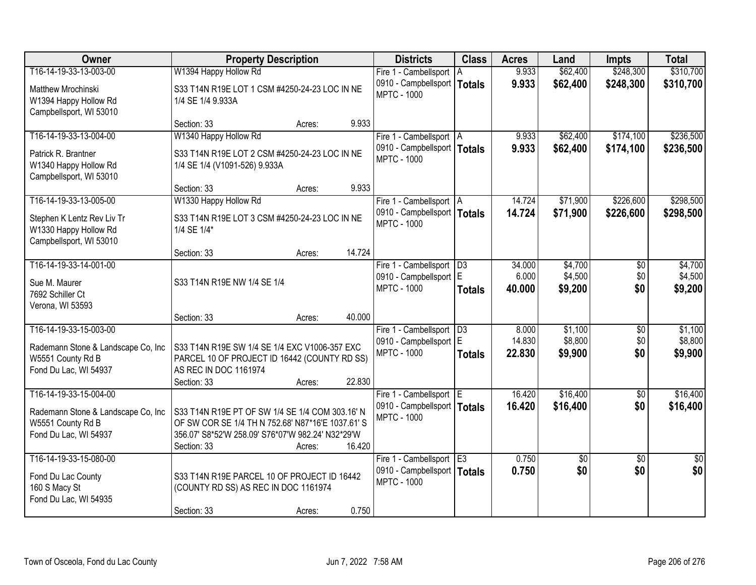| <b>Owner</b>                                     | <b>Property Description</b>                                           |                  | <b>Districts</b>                                     | <b>Class</b>  | <b>Acres</b>    | Land               | <b>Impts</b>           | <b>Total</b>       |
|--------------------------------------------------|-----------------------------------------------------------------------|------------------|------------------------------------------------------|---------------|-----------------|--------------------|------------------------|--------------------|
| T16-14-19-33-13-003-00                           | W1394 Happy Hollow Rd                                                 |                  | Fire 1 - Cambellsport                                | ΙA            | 9.933           | \$62,400           | \$248,300              | \$310,700          |
| Matthew Mrochinski                               | S33 T14N R19E LOT 1 CSM #4250-24-23 LOC IN NE                         |                  | 0910 - Campbellsport  <br><b>MPTC - 1000</b>         | <b>Totals</b> | 9.933           | \$62,400           | \$248,300              | \$310,700          |
| W1394 Happy Hollow Rd<br>Campbellsport, WI 53010 | 1/4 SE 1/4 9.933A                                                     |                  |                                                      |               |                 |                    |                        |                    |
|                                                  | Section: 33                                                           | 9.933<br>Acres:  |                                                      |               |                 |                    |                        |                    |
| T16-14-19-33-13-004-00                           | W1340 Happy Hollow Rd                                                 |                  | Fire 1 - Cambellsport   A                            |               | 9.933           | \$62,400           | \$174,100              | \$236,500          |
| Patrick R. Brantner                              | S33 T14N R19E LOT 2 CSM #4250-24-23 LOC IN NE                         |                  | 0910 - Campbellsport   Totals<br><b>MPTC - 1000</b>  |               | 9.933           | \$62,400           | \$174,100              | \$236,500          |
| W1340 Happy Hollow Rd                            | 1/4 SE 1/4 (V1091-526) 9.933A                                         |                  |                                                      |               |                 |                    |                        |                    |
| Campbellsport, WI 53010                          |                                                                       |                  |                                                      |               |                 |                    |                        |                    |
| T16-14-19-33-13-005-00                           | Section: 33<br>W1330 Happy Hollow Rd                                  | 9.933<br>Acres:  | Fire 1 - Cambellsport   A                            |               | 14.724          | \$71,900           | \$226,600              | \$298,500          |
|                                                  |                                                                       |                  | 0910 - Campbellsport   Totals                        |               | 14.724          | \$71,900           | \$226,600              | \$298,500          |
| Stephen K Lentz Rev Liv Tr                       | S33 T14N R19E LOT 3 CSM #4250-24-23 LOC IN NE                         |                  | <b>MPTC - 1000</b>                                   |               |                 |                    |                        |                    |
| W1330 Happy Hollow Rd<br>Campbellsport, WI 53010 | 1/4 SE 1/4*                                                           |                  |                                                      |               |                 |                    |                        |                    |
|                                                  | Section: 33                                                           | 14.724<br>Acres: |                                                      |               |                 |                    |                        |                    |
| T16-14-19-33-14-001-00                           |                                                                       |                  | Fire 1 - Cambellsport                                | D3            | 34.000          | \$4,700            | \$0                    | \$4,700            |
| Sue M. Maurer                                    | S33 T14N R19E NW 1/4 SE 1/4                                           |                  | 0910 - Campbellsport   E                             |               | 6.000           | \$4,500            | \$0                    | \$4,500            |
| 7692 Schiller Ct                                 |                                                                       |                  | <b>MPTC - 1000</b>                                   | <b>Totals</b> | 40.000          | \$9,200            | \$0                    | \$9,200            |
| Verona, WI 53593                                 |                                                                       |                  |                                                      |               |                 |                    |                        |                    |
|                                                  | Section: 33                                                           | 40.000<br>Acres: |                                                      |               |                 |                    |                        |                    |
| T16-14-19-33-15-003-00                           |                                                                       |                  | Fire 1 - Cambellsport   D3<br>0910 - Campbellsport E |               | 8.000<br>14.830 | \$1,100<br>\$8,800 | $\overline{50}$<br>\$0 | \$1,100<br>\$8,800 |
| Rademann Stone & Landscape Co, Inc               | S33 T14N R19E SW 1/4 SE 1/4 EXC V1006-357 EXC                         |                  | <b>MPTC - 1000</b>                                   | <b>Totals</b> | 22.830          | \$9,900            | \$0                    | \$9,900            |
| W5551 County Rd B<br>Fond Du Lac, WI 54937       | PARCEL 10 OF PROJECT ID 16442 (COUNTY RD SS)<br>AS REC IN DOC 1161974 |                  |                                                      |               |                 |                    |                        |                    |
|                                                  | Section: 33                                                           | 22.830<br>Acres: |                                                      |               |                 |                    |                        |                    |
| T16-14-19-33-15-004-00                           |                                                                       |                  | Fire 1 - Cambellsport E                              |               | 16.420          | \$16,400           | $\overline{50}$        | \$16,400           |
| Rademann Stone & Landscape Co, Inc               | S33 T14N R19E PT OF SW 1/4 SE 1/4 COM 303.16' N                       |                  | 0910 - Campbellsport   Totals                        |               | 16.420          | \$16,400           | \$0                    | \$16,400           |
| W5551 County Rd B                                | OF SW COR SE 1/4 TH N 752.68' N87*16'E 1037.61' S                     |                  | <b>MPTC - 1000</b>                                   |               |                 |                    |                        |                    |
| Fond Du Lac, WI 54937                            | 356.07' S8*52'W 258.09' S76*07'W 982.24' N32*29'W                     |                  |                                                      |               |                 |                    |                        |                    |
|                                                  | Section: 33                                                           | 16.420<br>Acres: |                                                      |               |                 |                    |                        |                    |
| T16-14-19-33-15-080-00                           |                                                                       |                  | Fire 1 - Cambellsport E3                             |               | 0.750           | \$0                | $\overline{50}$        | $\overline{50}$    |
| Fond Du Lac County                               | S33 T14N R19E PARCEL 10 OF PROJECT ID 16442                           |                  | 0910 - Campbellsport   Totals<br><b>MPTC - 1000</b>  |               | 0.750           | \$0                | \$0                    | \$0                |
| 160 S Macy St                                    | (COUNTY RD SS) AS REC IN DOC 1161974                                  |                  |                                                      |               |                 |                    |                        |                    |
| Fond Du Lac, WI 54935                            | Section: 33                                                           | 0.750            |                                                      |               |                 |                    |                        |                    |
|                                                  |                                                                       | Acres:           |                                                      |               |                 |                    |                        |                    |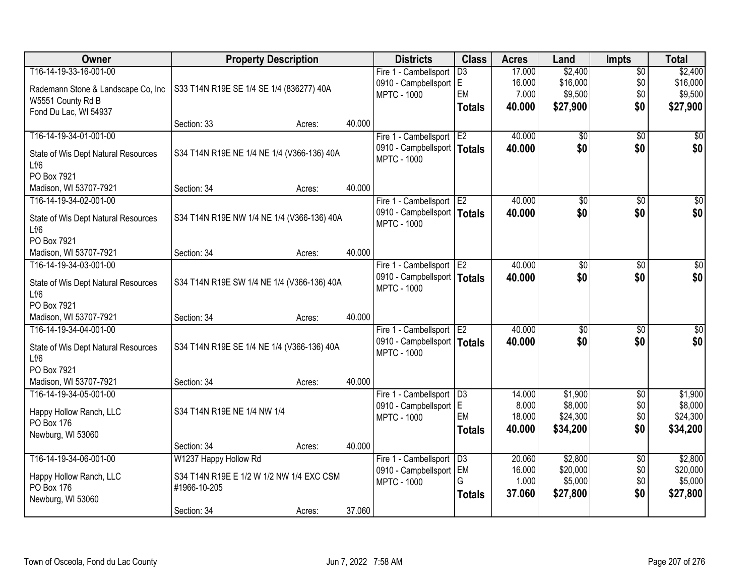| <b>Owner</b>                                | <b>Property Description</b>                |        |        | <b>Districts</b>                              | <b>Class</b>    | <b>Acres</b> | Land            | <b>Impts</b>           | <b>Total</b>     |
|---------------------------------------------|--------------------------------------------|--------|--------|-----------------------------------------------|-----------------|--------------|-----------------|------------------------|------------------|
| T16-14-19-33-16-001-00                      |                                            |        |        | Fire 1 - Cambellsport                         | $\overline{D3}$ | 17.000       | \$2,400         | $\overline{30}$        | \$2,400          |
| Rademann Stone & Landscape Co, Inc          | S33 T14N R19E SE 1/4 SE 1/4 (836277) 40A   |        |        | 0910 - Campbellsport                          | lE.             | 16.000       | \$16,000        | \$0                    | \$16,000         |
| W5551 County Rd B                           |                                            |        |        | <b>MPTC - 1000</b>                            | <b>EM</b>       | 7.000        | \$9,500         | \$0                    | \$9,500          |
| Fond Du Lac, WI 54937                       |                                            |        |        |                                               | <b>Totals</b>   | 40.000       | \$27,900        | \$0                    | \$27,900         |
|                                             | Section: 33                                | Acres: | 40.000 |                                               |                 |              |                 |                        |                  |
| T16-14-19-34-01-001-00                      |                                            |        |        | Fire 1 - Cambellsport                         | E <sub>2</sub>  | 40.000       | $\overline{50}$ | $\overline{30}$        | $\overline{50}$  |
| State of Wis Dept Natural Resources         | S34 T14N R19E NE 1/4 NE 1/4 (V366-136) 40A |        |        | 0910 - Campbellsport   Totals                 |                 | 40.000       | \$0             | \$0                    | \$0              |
| Lf/6                                        |                                            |        |        | <b>MPTC - 1000</b>                            |                 |              |                 |                        |                  |
| PO Box 7921                                 |                                            |        |        |                                               |                 |              |                 |                        |                  |
| Madison, WI 53707-7921                      | Section: 34                                | Acres: | 40.000 |                                               |                 |              |                 |                        |                  |
| T16-14-19-34-02-001-00                      |                                            |        |        | Fire 1 - Cambellsport E2                      |                 | 40.000       | \$0             | \$0                    | $\overline{\$0}$ |
|                                             |                                            |        |        | 0910 - Campbellsport   Totals                 |                 | 40.000       | \$0             | \$0                    | \$0              |
| State of Wis Dept Natural Resources<br>Lf/6 | S34 T14N R19E NW 1/4 NE 1/4 (V366-136) 40A |        |        | <b>MPTC - 1000</b>                            |                 |              |                 |                        |                  |
| PO Box 7921                                 |                                            |        |        |                                               |                 |              |                 |                        |                  |
| Madison, WI 53707-7921                      | Section: 34                                | Acres: | 40.000 |                                               |                 |              |                 |                        |                  |
| T16-14-19-34-03-001-00                      |                                            |        |        | Fire 1 - Cambellsport                         | E <sub>2</sub>  | 40.000       | \$0             | \$0                    | \$0              |
|                                             |                                            |        |        | 0910 - Campbellsport   Totals                 |                 | 40.000       | \$0             | \$0                    | \$0              |
| State of Wis Dept Natural Resources<br>Lf/6 | S34 T14N R19E SW 1/4 NE 1/4 (V366-136) 40A |        |        | <b>MPTC - 1000</b>                            |                 |              |                 |                        |                  |
| PO Box 7921                                 |                                            |        |        |                                               |                 |              |                 |                        |                  |
| Madison, WI 53707-7921                      | Section: 34                                | Acres: | 40.000 |                                               |                 |              |                 |                        |                  |
| T16-14-19-34-04-001-00                      |                                            |        |        | Fire 1 - Cambellsport                         | E <sub>2</sub>  | 40.000       | $\overline{30}$ | $\overline{30}$        | $\overline{30}$  |
|                                             |                                            |        |        | 0910 - Campbellsport   Totals                 |                 | 40.000       | \$0             | \$0                    | \$0              |
| State of Wis Dept Natural Resources         | S34 T14N R19E SE 1/4 NE 1/4 (V366-136) 40A |        |        | <b>MPTC - 1000</b>                            |                 |              |                 |                        |                  |
| Lf/6<br>PO Box 7921                         |                                            |        |        |                                               |                 |              |                 |                        |                  |
| Madison, WI 53707-7921                      | Section: 34                                | Acres: | 40.000 |                                               |                 |              |                 |                        |                  |
| T16-14-19-34-05-001-00                      |                                            |        |        | Fire 1 - Cambellsport                         | D3              | 14.000       | \$1,900         | $\overline{60}$        | \$1,900          |
|                                             |                                            |        |        | 0910 - Campbellsport E                        |                 | 8.000        | \$8,000         | \$0                    | \$8,000          |
| Happy Hollow Ranch, LLC                     | S34 T14N R19E NE 1/4 NW 1/4                |        |        | <b>MPTC - 1000</b>                            | EM              | 18.000       | \$24,300        | \$0                    | \$24,300         |
| PO Box 176                                  |                                            |        |        |                                               | Totals          | 40.000       | \$34,200        | \$0                    | \$34,200         |
| Newburg, WI 53060                           | Section: 34                                |        | 40.000 |                                               |                 |              |                 |                        |                  |
| T16-14-19-34-06-001-00                      | W1237 Happy Hollow Rd                      | Acres: |        |                                               | D3              | 20.060       | \$2,800         |                        | \$2,800          |
|                                             |                                            |        |        | Fire 1 - Cambellsport<br>0910 - Campbellsport | <b>EM</b>       | 16.000       | \$20,000        | $\overline{30}$<br>\$0 | \$20,000         |
| Happy Hollow Ranch, LLC                     | S34 T14N R19E E 1/2 W 1/2 NW 1/4 EXC CSM   |        |        | <b>MPTC - 1000</b>                            | G               | 1.000        | \$5,000         | \$0                    | \$5,000          |
| PO Box 176                                  | #1966-10-205                               |        |        |                                               | <b>Totals</b>   | 37.060       | \$27,800        | \$0                    | \$27,800         |
| Newburg, WI 53060                           |                                            |        |        |                                               |                 |              |                 |                        |                  |
|                                             | Section: 34                                | Acres: | 37.060 |                                               |                 |              |                 |                        |                  |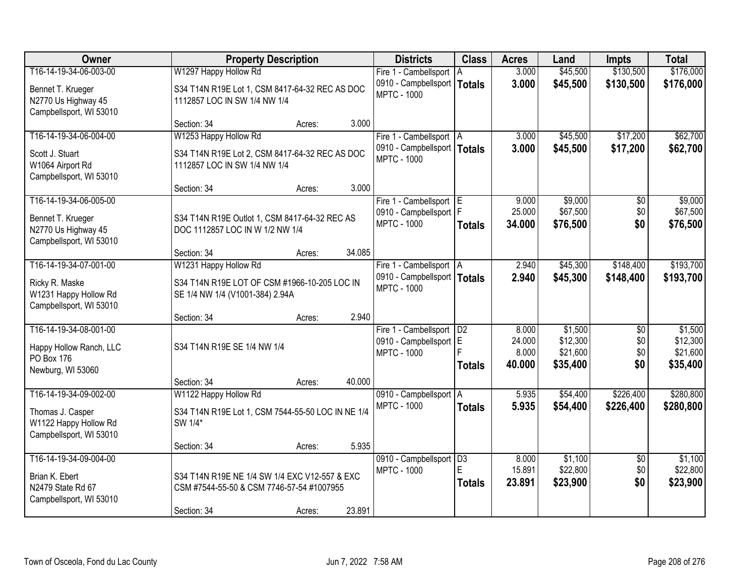| Owner                                                                                          | <b>Property Description</b>                                                                               |        |        | <b>Districts</b>                                                          | <b>Class</b>                           | <b>Acres</b>                       | Land                                        | <b>Impts</b>                         | <b>Total</b>                                |
|------------------------------------------------------------------------------------------------|-----------------------------------------------------------------------------------------------------------|--------|--------|---------------------------------------------------------------------------|----------------------------------------|------------------------------------|---------------------------------------------|--------------------------------------|---------------------------------------------|
| T16-14-19-34-06-003-00                                                                         | W1297 Happy Hollow Rd                                                                                     |        |        | Fire 1 - Cambellsport   A                                                 |                                        | 3.000                              | \$45,500                                    | \$130,500                            | \$176,000                                   |
| Bennet T. Krueger<br>N2770 Us Highway 45<br>Campbellsport, WI 53010                            | S34 T14N R19E Lot 1, CSM 8417-64-32 REC AS DOC<br>1112857 LOC IN SW 1/4 NW 1/4                            |        |        | 0910 - Campbellsport   Totals<br><b>MPTC - 1000</b>                       |                                        | 3.000                              | \$45,500                                    | \$130,500                            | \$176,000                                   |
|                                                                                                | Section: 34                                                                                               | Acres: | 3.000  |                                                                           |                                        |                                    |                                             |                                      |                                             |
| T16-14-19-34-06-004-00<br>Scott J. Stuart<br>W1064 Airport Rd<br>Campbellsport, WI 53010       | W1253 Happy Hollow Rd<br>S34 T14N R19E Lot 2, CSM 8417-64-32 REC AS DOC<br>1112857 LOC IN SW 1/4 NW 1/4   |        |        | Fire 1 - Cambellsport   A<br>0910 - Campbellsport  <br><b>MPTC - 1000</b> | <b>Totals</b>                          | 3.000<br>3.000                     | \$45,500<br>\$45,500                        | \$17,200<br>\$17,200                 | \$62,700<br>\$62,700                        |
|                                                                                                | Section: 34                                                                                               | Acres: | 3.000  |                                                                           |                                        |                                    |                                             |                                      |                                             |
| T16-14-19-34-06-005-00<br>Bennet T. Krueger<br>N2770 Us Highway 45<br>Campbellsport, WI 53010  | S34 T14N R19E Outlot 1, CSM 8417-64-32 REC AS<br>DOC 1112857 LOC IN W 1/2 NW 1/4                          |        |        | Fire 1 - Cambellsport E<br>0910 - Campbellsport   F<br><b>MPTC - 1000</b> | <b>Totals</b>                          | 9.000<br>25.000<br>34.000          | \$9,000<br>\$67,500<br>\$76,500             | \$0<br>\$0<br>\$0                    | \$9,000<br>\$67,500<br>\$76,500             |
|                                                                                                | Section: 34                                                                                               | Acres: | 34.085 |                                                                           |                                        |                                    |                                             |                                      |                                             |
| T16-14-19-34-07-001-00                                                                         | W1231 Happy Hollow Rd                                                                                     |        |        | Fire 1 - Cambellsport   A                                                 |                                        | 2.940                              | \$45,300                                    | \$148,400                            | \$193,700                                   |
| Ricky R. Maske<br>W1231 Happy Hollow Rd<br>Campbellsport, WI 53010                             | S34 T14N R19E LOT OF CSM #1966-10-205 LOC IN<br>SE 1/4 NW 1/4 (V1001-384) 2.94A                           |        |        | 0910 - Campbellsport   Totals<br><b>MPTC - 1000</b>                       |                                        | 2.940                              | \$45,300                                    | \$148,400                            | \$193,700                                   |
|                                                                                                | Section: 34                                                                                               | Acres: | 2.940  |                                                                           |                                        |                                    |                                             |                                      |                                             |
| T16-14-19-34-08-001-00<br>Happy Hollow Ranch, LLC<br>PO Box 176<br>Newburg, WI 53060           | S34 T14N R19E SE 1/4 NW 1/4                                                                               |        |        | Fire 1 - Cambellsport<br>0910 - Campbellsport E<br><b>MPTC - 1000</b>     | D <sub>2</sub><br><b>Totals</b>        | 8.000<br>24.000<br>8.000<br>40.000 | \$1,500<br>\$12,300<br>\$21,600<br>\$35,400 | $\overline{50}$<br>\$0<br>\$0<br>\$0 | \$1,500<br>\$12,300<br>\$21,600<br>\$35,400 |
|                                                                                                | Section: 34                                                                                               | Acres: | 40.000 |                                                                           |                                        |                                    |                                             |                                      |                                             |
| T16-14-19-34-09-002-00<br>Thomas J. Casper<br>W1122 Happy Hollow Rd<br>Campbellsport, WI 53010 | W1122 Happy Hollow Rd<br>S34 T14N R19E Lot 1, CSM 7544-55-50 LOC IN NE 1/4<br>SW 1/4*                     |        |        | 0910 - Campbellsport A<br><b>MPTC - 1000</b>                              | <b>Totals</b>                          | 5.935<br>5.935                     | \$54,400<br>\$54,400                        | \$226,400<br>\$226,400               | \$280,800<br>\$280,800                      |
|                                                                                                | Section: 34                                                                                               | Acres: | 5.935  |                                                                           |                                        |                                    |                                             |                                      |                                             |
| T16-14-19-34-09-004-00<br>Brian K. Ebert<br>N2479 State Rd 67<br>Campbellsport, WI 53010       | S34 T14N R19E NE 1/4 SW 1/4 EXC V12-557 & EXC<br>CSM #7544-55-50 & CSM 7746-57-54 #1007955<br>Section: 34 | Acres: | 23.891 | 0910 - Campbellsport<br><b>MPTC - 1000</b>                                | $\overline{D3}$<br>F.<br><b>Totals</b> | 8.000<br>15.891<br>23.891          | \$1,100<br>\$22,800<br>\$23,900             | $\overline{30}$<br>\$0<br>\$0        | \$1,100<br>\$22,800<br>\$23,900             |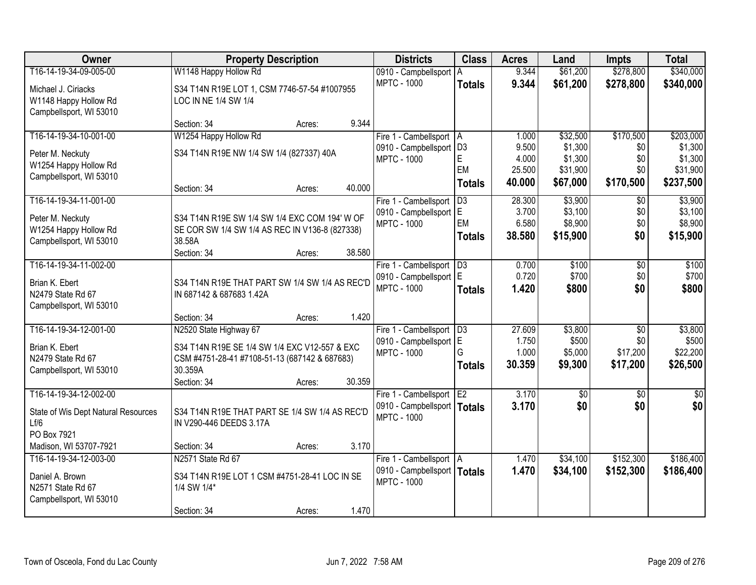| Owner                               | <b>Property Description</b>                                                | <b>Districts</b>                                    | <b>Class</b>        | <b>Acres</b>   | Land               | <b>Impts</b>      | <b>Total</b>       |
|-------------------------------------|----------------------------------------------------------------------------|-----------------------------------------------------|---------------------|----------------|--------------------|-------------------|--------------------|
| T16-14-19-34-09-005-00              | W1148 Happy Hollow Rd                                                      | 0910 - Campbellsport                                | ΙA                  | 9.344          | \$61,200           | \$278,800         | \$340,000          |
| Michael J. Ciriacks                 | S34 T14N R19E LOT 1, CSM 7746-57-54 #1007955                               | <b>MPTC - 1000</b>                                  | <b>Totals</b>       | 9.344          | \$61,200           | \$278,800         | \$340,000          |
| W1148 Happy Hollow Rd               | LOC IN NE 1/4 SW 1/4                                                       |                                                     |                     |                |                    |                   |                    |
| Campbellsport, WI 53010             |                                                                            |                                                     |                     |                |                    |                   |                    |
|                                     | 9.344<br>Section: 34<br>Acres:                                             |                                                     |                     |                |                    |                   |                    |
| T16-14-19-34-10-001-00              | W1254 Happy Hollow Rd                                                      | Fire 1 - Cambellsport   A                           |                     | 1.000          | \$32,500           | \$170,500         | \$203,000          |
| Peter M. Neckuty                    | S34 T14N R19E NW 1/4 SW 1/4 (827337) 40A                                   | 0910 - Campbellsport<br><b>MPTC - 1000</b>          | D <sub>3</sub><br>E | 9.500<br>4.000 | \$1,300<br>\$1,300 | \$0<br>\$0        | \$1,300<br>\$1,300 |
| W1254 Happy Hollow Rd               |                                                                            |                                                     | EM                  | 25.500         | \$31,900           | \$0               | \$31,900           |
| Campbellsport, WI 53010             |                                                                            |                                                     | <b>Totals</b>       | 40.000         | \$67,000           | \$170,500         | \$237,500          |
| T16-14-19-34-11-001-00              | 40.000<br>Section: 34<br>Acres:                                            |                                                     | D3                  | 28.300         | \$3,900            |                   | \$3,900            |
|                                     |                                                                            | Fire 1 - Cambellsport<br>0910 - Campbellsport E     |                     | 3.700          | \$3,100            | $\sqrt{6}$<br>\$0 | \$3,100            |
| Peter M. Neckuty                    | S34 T14N R19E SW 1/4 SW 1/4 EXC COM 194' W OF                              | <b>MPTC - 1000</b>                                  | EM                  | 6.580          | \$8,900            | \$0               | \$8,900            |
| W1254 Happy Hollow Rd               | SE COR SW 1/4 SW 1/4 AS REC IN V136-8 (827338)                             |                                                     | <b>Totals</b>       | 38,580         | \$15,900           | \$0               | \$15,900           |
| Campbellsport, WI 53010             | 38.58A<br>38.580<br>Section: 34<br>Acres:                                  |                                                     |                     |                |                    |                   |                    |
| T16-14-19-34-11-002-00              |                                                                            | Fire 1 - Cambellsport                               | D3                  | 0.700          | \$100              | \$0               | \$100              |
|                                     |                                                                            | 0910 - Campbellsport   E                            |                     | 0.720          | \$700              | \$0               | \$700              |
| Brian K. Ebert<br>N2479 State Rd 67 | S34 T14N R19E THAT PART SW 1/4 SW 1/4 AS REC'D<br>IN 687142 & 687683 1.42A | <b>MPTC - 1000</b>                                  | <b>Totals</b>       | 1.420          | \$800              | \$0               | \$800              |
| Campbellsport, WI 53010             |                                                                            |                                                     |                     |                |                    |                   |                    |
|                                     | 1.420<br>Section: 34<br>Acres:                                             |                                                     |                     |                |                    |                   |                    |
| T16-14-19-34-12-001-00              | N2520 State Highway 67                                                     | Fire 1 - Cambellsport                               | D3                  | 27.609         | \$3,800            | \$0               | \$3,800            |
| Brian K. Ebert                      | S34 T14N R19E SE 1/4 SW 1/4 EXC V12-557 & EXC                              | 0910 - Campbellsport E                              |                     | 1.750          | \$500              | \$0               | \$500              |
| N2479 State Rd 67                   | CSM #4751-28-41 #7108-51-13 (687142 & 687683)                              | <b>MPTC - 1000</b>                                  | G                   | 1.000          | \$5,000            | \$17,200          | \$22,200           |
| Campbellsport, WI 53010             | 30.359A                                                                    |                                                     | <b>Totals</b>       | 30.359         | \$9,300            | \$17,200          | \$26,500           |
|                                     | Section: 34<br>30.359<br>Acres:                                            |                                                     |                     |                |                    |                   |                    |
| T16-14-19-34-12-002-00              |                                                                            | Fire 1 - Cambellsport                               | E <sub>2</sub>      | 3.170          | $\overline{50}$    | \$0               | \$0                |
| State of Wis Dept Natural Resources | S34 T14N R19E THAT PART SE 1/4 SW 1/4 AS REC'D                             | 0910 - Campbellsport   Totals                       |                     | 3.170          | \$0                | \$0               | \$0                |
| Lf/6                                | IN V290-446 DEEDS 3.17A                                                    | <b>MPTC - 1000</b>                                  |                     |                |                    |                   |                    |
| PO Box 7921                         |                                                                            |                                                     |                     |                |                    |                   |                    |
| Madison, WI 53707-7921              | 3.170<br>Section: 34<br>Acres:                                             |                                                     |                     |                |                    |                   |                    |
| T16-14-19-34-12-003-00              | N2571 State Rd 67                                                          | Fire 1 - Cambellsport   A                           |                     | 1.470          | \$34,100           | \$152,300         | \$186,400          |
| Daniel A. Brown                     | S34 T14N R19E LOT 1 CSM #4751-28-41 LOC IN SE                              | 0910 - Campbellsport   Totals<br><b>MPTC - 1000</b> |                     | 1.470          | \$34,100           | \$152,300         | \$186,400          |
| N2571 State Rd 67                   | 1/4 SW 1/4*                                                                |                                                     |                     |                |                    |                   |                    |
| Campbellsport, WI 53010             |                                                                            |                                                     |                     |                |                    |                   |                    |
|                                     | 1.470<br>Section: 34<br>Acres:                                             |                                                     |                     |                |                    |                   |                    |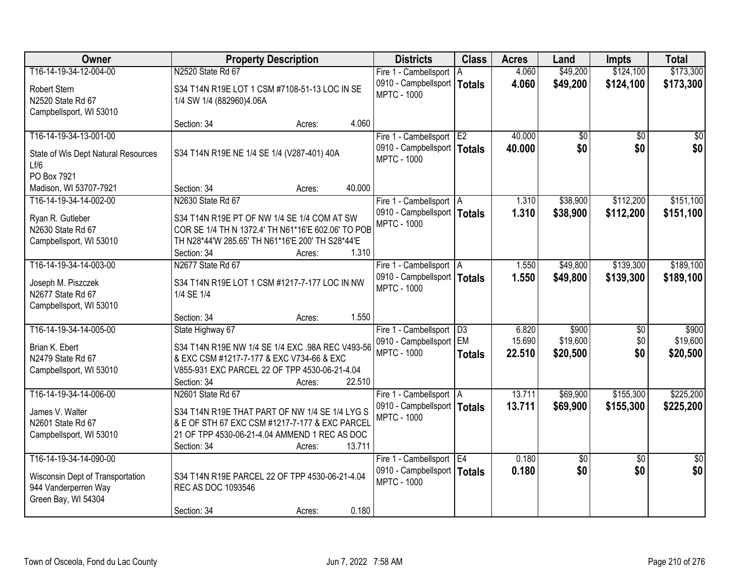| Owner                               | <b>Property Description</b>                        | <b>Districts</b>              | <b>Class</b>    | <b>Acres</b> | Land     | <b>Impts</b>    | <b>Total</b>    |
|-------------------------------------|----------------------------------------------------|-------------------------------|-----------------|--------------|----------|-----------------|-----------------|
| T16-14-19-34-12-004-00              | N2520 State Rd 67                                  | Fire 1 - Cambellsport   A     |                 | 4.060        | \$49,200 | \$124,100       | \$173,300       |
| Robert Stern                        | S34 T14N R19E LOT 1 CSM #7108-51-13 LOC IN SE      | 0910 - Campbellsport          | <b>Totals</b>   | 4.060        | \$49,200 | \$124,100       | \$173,300       |
| N2520 State Rd 67                   | 1/4 SW 1/4 (882960)4.06A                           | <b>MPTC - 1000</b>            |                 |              |          |                 |                 |
| Campbellsport, WI 53010             |                                                    |                               |                 |              |          |                 |                 |
|                                     | 4.060<br>Section: 34<br>Acres:                     |                               |                 |              |          |                 |                 |
| T16-14-19-34-13-001-00              |                                                    | Fire 1 - Cambellsport E2      |                 | 40.000       | \$0      | \$0             | \$0             |
| State of Wis Dept Natural Resources | S34 T14N R19E NE 1/4 SE 1/4 (V287-401) 40A         | 0910 - Campbellsport   Totals |                 | 40.000       | \$0      | \$0             | \$0             |
| Lf/6                                |                                                    | <b>MPTC - 1000</b>            |                 |              |          |                 |                 |
| PO Box 7921                         |                                                    |                               |                 |              |          |                 |                 |
| Madison, WI 53707-7921              | 40.000<br>Section: 34<br>Acres:                    |                               |                 |              |          |                 |                 |
| T16-14-19-34-14-002-00              | N2630 State Rd 67                                  | Fire 1 - Cambellsport   A     |                 | 1.310        | \$38,900 | \$112,200       | \$151,100       |
| Ryan R. Gutleber                    | S34 T14N R19E PT OF NW 1/4 SE 1/4 COM AT SW        | 0910 - Campbellsport   Totals |                 | 1.310        | \$38,900 | \$112,200       | \$151,100       |
| N2630 State Rd 67                   | COR SE 1/4 TH N 1372.4' TH N61*16'E 602.06' TO POB | <b>MPTC - 1000</b>            |                 |              |          |                 |                 |
| Campbellsport, WI 53010             | TH N28*44'W 285.65' TH N61*16'E 200' TH S28*44'E   |                               |                 |              |          |                 |                 |
|                                     | Section: 34<br>1.310<br>Acres:                     |                               |                 |              |          |                 |                 |
| T16-14-19-34-14-003-00              | N2677 State Rd 67                                  | Fire 1 - Cambellsport   A     |                 | 1.550        | \$49,800 | \$139,300       | \$189,100       |
| Joseph M. Piszczek                  | S34 T14N R19E LOT 1 CSM #1217-7-177 LOC IN NW      | 0910 - Campbellsport   Totals |                 | 1.550        | \$49,800 | \$139,300       | \$189,100       |
| N2677 State Rd 67                   | 1/4 SE 1/4                                         | <b>MPTC - 1000</b>            |                 |              |          |                 |                 |
| Campbellsport, WI 53010             |                                                    |                               |                 |              |          |                 |                 |
|                                     | 1.550<br>Section: 34<br>Acres:                     |                               |                 |              |          |                 |                 |
| T16-14-19-34-14-005-00              | State Highway 67                                   | Fire 1 - Cambellsport         | $\overline{D3}$ | 6.820        | \$900    | $\overline{50}$ | \$900           |
| Brian K. Ebert                      | S34 T14N R19E NW 1/4 SE 1/4 EXC .98A REC V493-56   | 0910 - Campbellsport EM       |                 | 15.690       | \$19,600 | \$0             | \$19,600        |
| N2479 State Rd 67                   | & EXC CSM #1217-7-177 & EXC V734-66 & EXC          | <b>MPTC - 1000</b>            | <b>Totals</b>   | 22.510       | \$20,500 | \$0             | \$20,500        |
| Campbellsport, WI 53010             | V855-931 EXC PARCEL 22 OF TPP 4530-06-21-4.04      |                               |                 |              |          |                 |                 |
|                                     | 22.510<br>Section: 34<br>Acres:                    |                               |                 |              |          |                 |                 |
| T16-14-19-34-14-006-00              | N2601 State Rd 67                                  | Fire 1 - Cambellsport   A     |                 | 13.711       | \$69,900 | \$155,300       | \$225,200       |
| James V. Walter                     | S34 T14N R19E THAT PART OF NW 1/4 SE 1/4 LYG S     | 0910 - Campbellsport   Totals |                 | 13.711       | \$69,900 | \$155,300       | \$225,200       |
| N2601 State Rd 67                   | & E OF STH 67 EXC CSM #1217-7-177 & EXC PARCEL     | <b>MPTC - 1000</b>            |                 |              |          |                 |                 |
| Campbellsport, WI 53010             | 21 OF TPP 4530-06-21-4.04 AMMEND 1 REC AS DOC      |                               |                 |              |          |                 |                 |
|                                     | 13.711<br>Section: 34<br>Acres:                    |                               |                 |              |          |                 |                 |
| T16-14-19-34-14-090-00              |                                                    | Fire 1 - Cambellsport E4      |                 | 0.180        | \$0      | $\overline{30}$ | $\overline{50}$ |
| Wisconsin Dept of Transportation    | S34 T14N R19E PARCEL 22 OF TPP 4530-06-21-4.04     | 0910 - Campbellsport   Totals |                 | 0.180        | \$0      | \$0             | \$0             |
| 944 Vanderperren Way                | REC AS DOC 1093546                                 | <b>MPTC - 1000</b>            |                 |              |          |                 |                 |
| Green Bay, WI 54304                 |                                                    |                               |                 |              |          |                 |                 |
|                                     | 0.180<br>Section: 34<br>Acres:                     |                               |                 |              |          |                 |                 |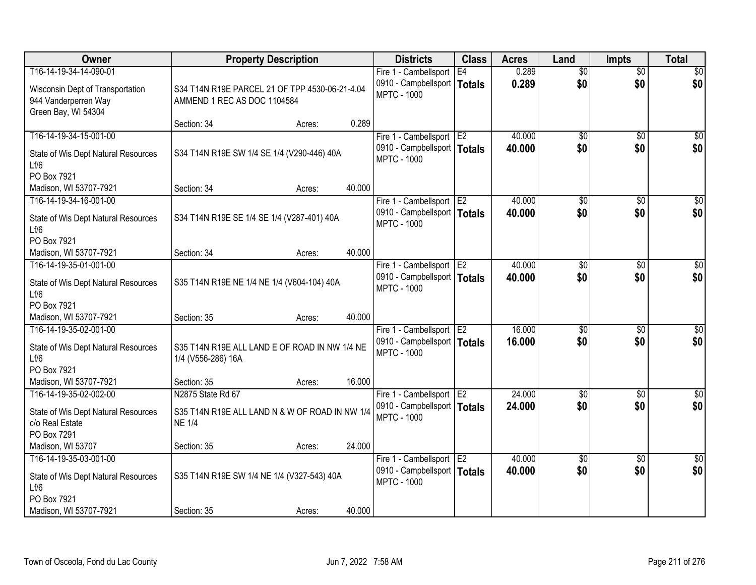| Owner                                                                           |                                                                               | <b>Property Description</b> |        | <b>Districts</b>                                    | <b>Class</b>    | <b>Acres</b> | Land            | <b>Impts</b>    | <b>Total</b>    |
|---------------------------------------------------------------------------------|-------------------------------------------------------------------------------|-----------------------------|--------|-----------------------------------------------------|-----------------|--------------|-----------------|-----------------|-----------------|
| T16-14-19-34-14-090-01                                                          |                                                                               |                             |        | Fire 1 - Cambellsport                               | E4              | 0.289        | $\overline{50}$ | $\overline{50}$ | \$0             |
| Wisconsin Dept of Transportation<br>944 Vanderperren Way<br>Green Bay, WI 54304 | S34 T14N R19E PARCEL 21 OF TPP 4530-06-21-4.04<br>AMMEND 1 REC AS DOC 1104584 |                             |        | 0910 - Campbellsport   Totals<br><b>MPTC - 1000</b> |                 | 0.289        | \$0             | \$0             | \$0             |
|                                                                                 | Section: 34                                                                   | Acres:                      | 0.289  |                                                     |                 |              |                 |                 |                 |
| T16-14-19-34-15-001-00                                                          |                                                                               |                             |        | Fire 1 - Cambellsport                               | E <sub>2</sub>  | 40.000       | \$0             | $\overline{50}$ | \$0             |
| State of Wis Dept Natural Resources<br>Lf/6                                     | S34 T14N R19E SW 1/4 SE 1/4 (V290-446) 40A                                    |                             |        | 0910 - Campbellsport   Totals<br><b>MPTC - 1000</b> |                 | 40.000       | \$0             | \$0             | \$0             |
| PO Box 7921                                                                     |                                                                               |                             |        |                                                     |                 |              |                 |                 |                 |
| Madison, WI 53707-7921                                                          | Section: 34                                                                   | Acres:                      | 40.000 |                                                     |                 |              |                 |                 |                 |
| T16-14-19-34-16-001-00                                                          |                                                                               |                             |        | Fire 1 - Cambellsport E2                            |                 | 40.000       | $\overline{50}$ | \$0             | $\overline{50}$ |
| State of Wis Dept Natural Resources<br>Lf/6                                     | S34 T14N R19E SE 1/4 SE 1/4 (V287-401) 40A                                    |                             |        | 0910 - Campbellsport   Totals<br><b>MPTC - 1000</b> |                 | 40.000       | \$0             | \$0             | \$0             |
| PO Box 7921                                                                     |                                                                               |                             |        |                                                     |                 |              |                 |                 |                 |
| Madison, WI 53707-7921                                                          | Section: 34                                                                   | Acres:                      | 40.000 |                                                     |                 |              |                 |                 |                 |
| T16-14-19-35-01-001-00                                                          |                                                                               |                             |        | Fire 1 - Cambellsport                               | E <sub>2</sub>  | 40.000       | \$0             | \$0             | \$0             |
| State of Wis Dept Natural Resources<br>Lf/6                                     | S35 T14N R19E NE 1/4 NE 1/4 (V604-104) 40A                                    |                             |        | 0910 - Campbellsport   Totals<br><b>MPTC - 1000</b> |                 | 40.000       | \$0             | \$0             | \$0             |
| PO Box 7921                                                                     |                                                                               |                             |        |                                                     |                 |              |                 |                 |                 |
| Madison, WI 53707-7921                                                          | Section: 35                                                                   | Acres:                      | 40.000 |                                                     |                 |              |                 |                 |                 |
| T16-14-19-35-02-001-00                                                          |                                                                               |                             |        | Fire 1 - Cambellsport                               | TE <sub>2</sub> | 16.000       | $\overline{50}$ | $\overline{50}$ | $\overline{50}$ |
| State of Wis Dept Natural Resources<br>Lf/6                                     | S35 T14N R19E ALL LAND E OF ROAD IN NW 1/4 NE<br>1/4 (V556-286) 16A           |                             |        | 0910 - Campbellsport   Totals<br><b>MPTC - 1000</b> |                 | 16,000       | \$0             | \$0             | \$0             |
| PO Box 7921                                                                     |                                                                               |                             |        |                                                     |                 |              |                 |                 |                 |
| Madison, WI 53707-7921                                                          | Section: 35                                                                   | Acres:                      | 16.000 |                                                     |                 |              |                 |                 |                 |
| T16-14-19-35-02-002-00                                                          | N2875 State Rd 67                                                             |                             |        | Fire 1 - Cambellsport E2                            |                 | 24.000       | $\overline{50}$ | $\overline{30}$ | $\overline{50}$ |
| State of Wis Dept Natural Resources<br>c/o Real Estate<br>PO Box 7291           | S35 T14N R19E ALL LAND N & W OF ROAD IN NW 1/4<br><b>NE 1/4</b>               |                             |        | 0910 - Campbellsport   Totals<br><b>MPTC - 1000</b> |                 | 24.000       | \$0             | \$0             | \$0             |
| Madison, WI 53707                                                               | Section: 35                                                                   | Acres:                      | 24.000 |                                                     |                 |              |                 |                 |                 |
| T16-14-19-35-03-001-00                                                          |                                                                               |                             |        | Fire 1 - Cambellsport E2                            |                 | 40.000       | $\overline{50}$ | \$0             | $\overline{50}$ |
| State of Wis Dept Natural Resources<br>Lf/6                                     | S35 T14N R19E SW 1/4 NE 1/4 (V327-543) 40A                                    |                             |        | 0910 - Campbellsport   Totals<br><b>MPTC - 1000</b> |                 | 40.000       | \$0             | \$0             | \$0             |
| PO Box 7921                                                                     |                                                                               |                             |        |                                                     |                 |              |                 |                 |                 |
| Madison, WI 53707-7921                                                          | Section: 35                                                                   | Acres:                      | 40.000 |                                                     |                 |              |                 |                 |                 |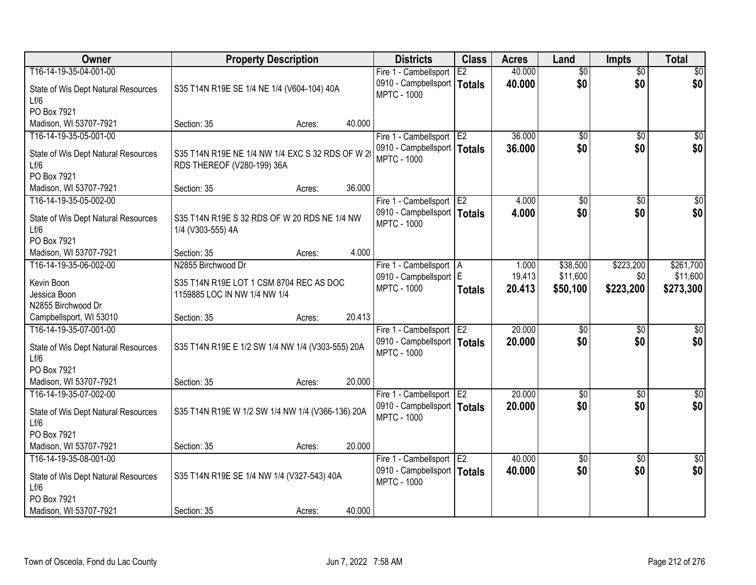| Owner                                            |                                                                               | <b>Property Description</b> |        | <b>Districts</b>                                            | <b>Class</b>   | <b>Acres</b> | Land            | <b>Impts</b>           | <b>Total</b>    |
|--------------------------------------------------|-------------------------------------------------------------------------------|-----------------------------|--------|-------------------------------------------------------------|----------------|--------------|-----------------|------------------------|-----------------|
| T16-14-19-35-04-001-00                           |                                                                               |                             |        | Fire 1 - Cambellsport                                       | E2             | 40.000       | $\overline{50}$ | $\overline{50}$        | \$0             |
| State of Wis Dept Natural Resources<br>Lf/6      | S35 T14N R19E SE 1/4 NE 1/4 (V604-104) 40A                                    |                             |        | 0910 - Campbellsport<br><b>MPTC - 1000</b>                  | Totals         | 40.000       | \$0             | \$0                    | \$0             |
| PO Box 7921                                      |                                                                               |                             |        |                                                             |                |              |                 |                        |                 |
| Madison, WI 53707-7921                           | Section: 35                                                                   | Acres:                      | 40.000 |                                                             |                |              |                 |                        |                 |
| T16-14-19-35-05-001-00                           |                                                                               |                             |        | Fire 1 - Cambellsport                                       | E2             | 36.000       | $\overline{50}$ | $\overline{50}$        | \$0             |
| State of Wis Dept Natural Resources<br>Lf/6      | S35 T14N R19E NE 1/4 NW 1/4 EXC S 32 RDS OF W 2<br>RDS THEREOF (V280-199) 36A |                             |        | 0910 - Campbellsport   Totals<br><b>MPTC - 1000</b>         |                | 36,000       | \$0             | \$0                    | \$0             |
| PO Box 7921                                      |                                                                               |                             |        |                                                             |                |              |                 |                        |                 |
| Madison, WI 53707-7921                           | Section: 35                                                                   | Acres:                      | 36.000 |                                                             |                |              |                 |                        |                 |
| T16-14-19-35-05-002-00                           |                                                                               |                             |        | Fire 1 - Cambellsport E2                                    |                | 4.000        | $\overline{50}$ | \$0                    | $\overline{50}$ |
| State of Wis Dept Natural Resources<br>Lf/6      | S35 T14N R19E S 32 RDS OF W 20 RDS NE 1/4 NW<br>1/4 (V303-555) 4A             |                             |        | 0910 - Campbellsport   Totals<br><b>MPTC - 1000</b>         |                | 4.000        | \$0             | \$0                    | \$0             |
| PO Box 7921                                      |                                                                               |                             |        |                                                             |                |              |                 |                        |                 |
| Madison, WI 53707-7921                           | Section: 35                                                                   | Acres:                      | 4.000  |                                                             |                |              |                 |                        |                 |
| T16-14-19-35-06-002-00                           | N2855 Birchwood Dr                                                            |                             |        | Fire 1 - Cambellsport   A                                   |                | 1.000        | \$38,500        | \$223,200              | \$261,700       |
| Kevin Boon                                       | S35 T14N R19E LOT 1 CSM 8704 REC AS DOC                                       |                             |        | 0910 - Campbellsport E                                      |                | 19.413       | \$11,600        | \$0                    | \$11,600        |
| Jessica Boon                                     | 1159885 LOC IN NW 1/4 NW 1/4                                                  |                             |        | <b>MPTC - 1000</b>                                          | <b>Totals</b>  | 20.413       | \$50,100        | \$223,200              | \$273,300       |
| N2855 Birchwood Dr                               |                                                                               |                             |        |                                                             |                |              |                 |                        |                 |
| Campbellsport, WI 53010                          | Section: 35                                                                   | Acres:                      | 20.413 |                                                             |                |              |                 |                        |                 |
| T16-14-19-35-07-001-00                           |                                                                               |                             |        | Fire 1 - Cambellsport                                       | E <sub>2</sub> | 20.000       | $\overline{50}$ | \$0                    | $\overline{50}$ |
|                                                  |                                                                               |                             |        | 0910 - Campbellsport   Totals                               |                | 20,000       | \$0             | \$0                    | \$0             |
| State of Wis Dept Natural Resources<br>Lf/6      | S35 T14N R19E E 1/2 SW 1/4 NW 1/4 (V303-555) 20A                              |                             |        | <b>MPTC - 1000</b>                                          |                |              |                 |                        |                 |
| PO Box 7921                                      |                                                                               |                             |        |                                                             |                |              |                 |                        |                 |
| Madison, WI 53707-7921                           | Section: 35                                                                   | Acres:                      | 20.000 |                                                             |                |              |                 |                        |                 |
| T16-14-19-35-07-002-00                           |                                                                               |                             |        | Fire 1 - Cambellsport E2                                    |                | 20.000       | $\sqrt{6}$      | $\overline{50}$        | \$0             |
|                                                  |                                                                               |                             |        | 0910 - Campbellsport   Totals                               |                | 20.000       | \$0             | \$0                    | \$0             |
| State of Wis Dept Natural Resources              | S35 T14N R19E W 1/2 SW 1/4 NW 1/4 (V366-136) 20A                              |                             |        | <b>MPTC - 1000</b>                                          |                |              |                 |                        |                 |
| Lf/6                                             |                                                                               |                             |        |                                                             |                |              |                 |                        |                 |
| PO Box 7921                                      |                                                                               |                             | 20.000 |                                                             |                |              |                 |                        |                 |
| Madison, WI 53707-7921<br>T16-14-19-35-08-001-00 | Section: 35                                                                   | Acres:                      |        |                                                             |                | 40.000       | $\overline{50}$ |                        | $\overline{50}$ |
|                                                  |                                                                               |                             |        | Fire 1 - Cambellsport   E2<br>0910 - Campbellsport   Totals |                |              | \$0             | $\overline{30}$<br>\$0 | \$0             |
| State of Wis Dept Natural Resources              | S35 T14N R19E SE 1/4 NW 1/4 (V327-543) 40A                                    |                             |        | <b>MPTC - 1000</b>                                          |                | 40.000       |                 |                        |                 |
| Lf/6                                             |                                                                               |                             |        |                                                             |                |              |                 |                        |                 |
| PO Box 7921                                      |                                                                               |                             |        |                                                             |                |              |                 |                        |                 |
| Madison, WI 53707-7921                           | Section: 35                                                                   | Acres:                      | 40.000 |                                                             |                |              |                 |                        |                 |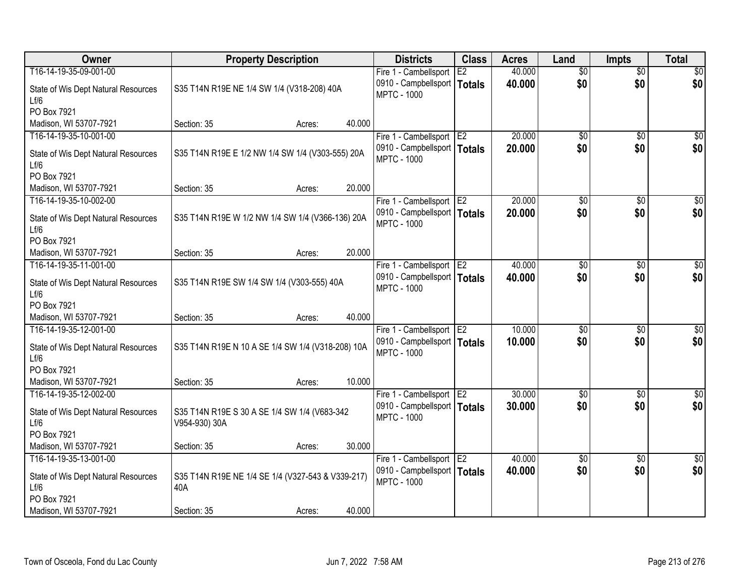| Owner                                       | <b>Property Description</b>                                   | <b>Districts</b>                                    | <b>Class</b>    | <b>Acres</b> | Land            | <b>Impts</b>    | <b>Total</b>    |
|---------------------------------------------|---------------------------------------------------------------|-----------------------------------------------------|-----------------|--------------|-----------------|-----------------|-----------------|
| T16-14-19-35-09-001-00                      |                                                               | Fire 1 - Cambellsport                               | E2              | 40.000       | $\overline{50}$ | $\overline{50}$ | \$0             |
| State of Wis Dept Natural Resources<br>Lf/6 | S35 T14N R19E NE 1/4 SW 1/4 (V318-208) 40A                    | 0910 - Campbellsport<br><b>MPTC - 1000</b>          | Totals          | 40.000       | \$0             | \$0             | \$0             |
| PO Box 7921                                 |                                                               |                                                     |                 |              |                 |                 |                 |
| Madison, WI 53707-7921                      | Section: 35<br>Acres:                                         | 40.000                                              |                 |              |                 |                 |                 |
| T16-14-19-35-10-001-00                      |                                                               | Fire 1 - Cambellsport                               | IE <sub>2</sub> | 20.000       | $\overline{50}$ | $\overline{50}$ | $\sqrt{50}$     |
| State of Wis Dept Natural Resources<br>Lf/6 | S35 T14N R19E E 1/2 NW 1/4 SW 1/4 (V303-555) 20A              | 0910 - Campbellsport   Totals<br><b>MPTC - 1000</b> |                 | 20,000       | \$0             | \$0             | \$0             |
| PO Box 7921                                 |                                                               |                                                     |                 |              |                 |                 |                 |
| Madison, WI 53707-7921                      | Section: 35<br>Acres:                                         | 20.000                                              |                 |              |                 |                 |                 |
| T16-14-19-35-10-002-00                      |                                                               | Fire 1 - Cambellsport E2                            |                 | 20.000       | $\overline{50}$ | \$0             | $\overline{50}$ |
| State of Wis Dept Natural Resources<br>Lf/6 | S35 T14N R19E W 1/2 NW 1/4 SW 1/4 (V366-136) 20A              | 0910 - Campbellsport   Totals<br><b>MPTC - 1000</b> |                 | 20.000       | \$0             | \$0             | \$0             |
| PO Box 7921                                 |                                                               |                                                     |                 |              |                 |                 |                 |
| Madison, WI 53707-7921                      | Section: 35<br>Acres:                                         | 20.000                                              |                 |              |                 |                 |                 |
| T16-14-19-35-11-001-00                      |                                                               | Fire 1 - Cambellsport                               | E <sub>2</sub>  | 40.000       | $\overline{50}$ | \$0             | $\overline{30}$ |
| State of Wis Dept Natural Resources<br>Lf/6 | S35 T14N R19E SW 1/4 SW 1/4 (V303-555) 40A                    | 0910 - Campbellsport   Totals<br><b>MPTC - 1000</b> |                 | 40.000       | \$0             | \$0             | \$0             |
| PO Box 7921                                 |                                                               |                                                     |                 |              |                 |                 |                 |
| Madison, WI 53707-7921                      | Section: 35<br>Acres:                                         | 40.000                                              |                 |              |                 |                 |                 |
| T16-14-19-35-12-001-00                      |                                                               | Fire 1 - Cambellsport                               | E <sub>2</sub>  | 10.000       | $\overline{50}$ | $\overline{50}$ | $\overline{50}$ |
| State of Wis Dept Natural Resources<br>Lf/6 | S35 T14N R19E N 10 A SE 1/4 SW 1/4 (V318-208) 10A             | 0910 - Campbellsport   Totals<br><b>MPTC - 1000</b> |                 | 10,000       | \$0             | \$0             | \$0             |
| PO Box 7921                                 |                                                               |                                                     |                 |              |                 |                 |                 |
| Madison, WI 53707-7921                      | Section: 35<br>Acres:                                         | 10.000                                              |                 |              |                 |                 |                 |
| T16-14-19-35-12-002-00                      |                                                               | Fire 1 - Cambellsport E2                            |                 | 30.000       | $\overline{50}$ | $\overline{50}$ | $\sqrt{50}$     |
| State of Wis Dept Natural Resources<br>Lf/6 | S35 T14N R19E S 30 A SE 1/4 SW 1/4 (V683-342<br>V954-930) 30A | 0910 - Campbellsport   Totals<br><b>MPTC - 1000</b> |                 | 30.000       | \$0             | \$0             | \$0             |
| PO Box 7921                                 |                                                               |                                                     |                 |              |                 |                 |                 |
| Madison, WI 53707-7921                      | Section: 35<br>Acres:                                         | 30.000                                              |                 |              |                 |                 |                 |
| T16-14-19-35-13-001-00                      |                                                               | Fire 1 - Cambellsport                               | E <sub>2</sub>  | 40.000       | \$0             | \$0             | $\sqrt{50}$     |
| State of Wis Dept Natural Resources<br>Lf/6 | S35 T14N R19E NE 1/4 SE 1/4 (V327-543 & V339-217)<br>40A      | 0910 - Campbellsport   Totals<br><b>MPTC - 1000</b> |                 | 40.000       | \$0             | \$0             | \$0             |
| PO Box 7921                                 |                                                               |                                                     |                 |              |                 |                 |                 |
| Madison, WI 53707-7921                      | Section: 35<br>Acres:                                         | 40.000                                              |                 |              |                 |                 |                 |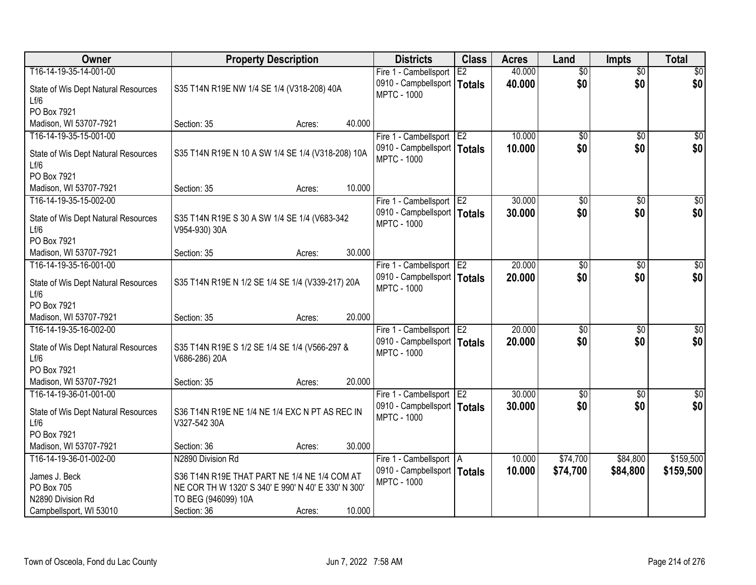| Owner                                       | <b>Property Description</b>                                    |        |        | <b>Districts</b>                                    | <b>Class</b>    | <b>Acres</b> | Land            | <b>Impts</b>    | <b>Total</b>    |
|---------------------------------------------|----------------------------------------------------------------|--------|--------|-----------------------------------------------------|-----------------|--------------|-----------------|-----------------|-----------------|
| T16-14-19-35-14-001-00                      |                                                                |        |        | Fire 1 - Cambellsport                               | E2              | 40.000       | $\overline{50}$ | $\overline{50}$ | \$0             |
| State of Wis Dept Natural Resources<br>Lf/6 | S35 T14N R19E NW 1/4 SE 1/4 (V318-208) 40A                     |        |        | 0910 - Campbellsport<br><b>MPTC - 1000</b>          | Totals          | 40.000       | \$0             | \$0             | \$0             |
| PO Box 7921                                 |                                                                |        |        |                                                     |                 |              |                 |                 |                 |
| Madison, WI 53707-7921                      | Section: 35                                                    | Acres: | 40.000 |                                                     |                 |              |                 |                 |                 |
| T16-14-19-35-15-001-00                      |                                                                |        |        | Fire 1 - Cambellsport E2                            |                 | 10.000       | $\overline{50}$ | $\overline{50}$ | \$0             |
| State of Wis Dept Natural Resources<br>Lf/6 | S35 T14N R19E N 10 A SW 1/4 SE 1/4 (V318-208) 10A              |        |        | 0910 - Campbellsport   Totals<br><b>MPTC - 1000</b> |                 | 10,000       | \$0             | \$0             | \$0             |
| PO Box 7921                                 |                                                                |        |        |                                                     |                 |              |                 |                 |                 |
| Madison, WI 53707-7921                      | Section: 35                                                    | Acres: | 10.000 |                                                     |                 |              |                 |                 |                 |
| T16-14-19-35-15-002-00                      |                                                                |        |        | Fire 1 - Cambellsport E2                            |                 | 30.000       | \$0             | \$0             | $\overline{50}$ |
| State of Wis Dept Natural Resources<br>Lf/6 | S35 T14N R19E S 30 A SW 1/4 SE 1/4 (V683-342<br>V954-930) 30A  |        |        | 0910 - Campbellsport   Totals<br><b>MPTC - 1000</b> |                 | 30.000       | \$0             | \$0             | \$0             |
| PO Box 7921                                 |                                                                |        |        |                                                     |                 |              |                 |                 |                 |
| Madison, WI 53707-7921                      | Section: 35                                                    | Acres: | 30.000 |                                                     |                 |              |                 |                 |                 |
| T16-14-19-35-16-001-00                      |                                                                |        |        | Fire 1 - Cambellsport E2                            |                 | 20.000       | \$0             | $\sqrt{6}$      | \$0             |
| State of Wis Dept Natural Resources<br>Lf/6 | S35 T14N R19E N 1/2 SE 1/4 SE 1/4 (V339-217) 20A               |        |        | 0910 - Campbellsport   Totals<br><b>MPTC - 1000</b> |                 | 20,000       | \$0             | \$0             | \$0             |
| PO Box 7921                                 |                                                                |        |        |                                                     |                 |              |                 |                 |                 |
| Madison, WI 53707-7921                      | Section: 35                                                    | Acres: | 20.000 |                                                     |                 |              |                 |                 |                 |
| T16-14-19-35-16-002-00                      |                                                                |        |        | Fire 1 - Cambellsport                               | TE <sub>2</sub> | 20.000       | $\overline{50}$ | $\overline{50}$ | $\overline{50}$ |
| State of Wis Dept Natural Resources<br>Lf/6 | S35 T14N R19E S 1/2 SE 1/4 SE 1/4 (V566-297 &<br>V686-286) 20A |        |        | 0910 - Campbellsport   Totals<br><b>MPTC - 1000</b> |                 | 20,000       | \$0             | \$0             | \$0             |
| PO Box 7921                                 |                                                                |        |        |                                                     |                 |              |                 |                 |                 |
| Madison, WI 53707-7921                      | Section: 35                                                    | Acres: | 20.000 |                                                     |                 |              |                 |                 |                 |
| T16-14-19-36-01-001-00                      |                                                                |        |        | Fire 1 - Cambellsport E2                            |                 | 30.000       | $\overline{50}$ | $\overline{30}$ | $\overline{50}$ |
| State of Wis Dept Natural Resources<br>Lf/6 | S36 T14N R19E NE 1/4 NE 1/4 EXC N PT AS REC IN<br>V327-542 30A |        |        | 0910 - Campbellsport   Totals<br><b>MPTC - 1000</b> |                 | 30.000       | \$0             | \$0             | \$0             |
| PO Box 7921                                 |                                                                |        |        |                                                     |                 |              |                 |                 |                 |
| Madison, WI 53707-7921                      | Section: 36                                                    | Acres: | 30.000 |                                                     |                 |              |                 |                 |                 |
| T16-14-19-36-01-002-00                      | N2890 Division Rd                                              |        |        | Fire 1 - Cambellsport   A                           |                 | 10.000       | \$74,700        | \$84,800        | \$159,500       |
| James J. Beck                               | S36 T14N R19E THAT PART NE 1/4 NE 1/4 COM AT                   |        |        | 0910 - Campbellsport   Totals                       |                 | 10.000       | \$74,700        | \$84,800        | \$159,500       |
| PO Box 705                                  | NE COR TH W 1320' S 340' E 990' N 40' E 330' N 300'            |        |        | <b>MPTC - 1000</b>                                  |                 |              |                 |                 |                 |
| N2890 Division Rd                           | TO BEG (946099) 10A                                            |        |        |                                                     |                 |              |                 |                 |                 |
| Campbellsport, WI 53010                     | Section: 36                                                    | Acres: | 10.000 |                                                     |                 |              |                 |                 |                 |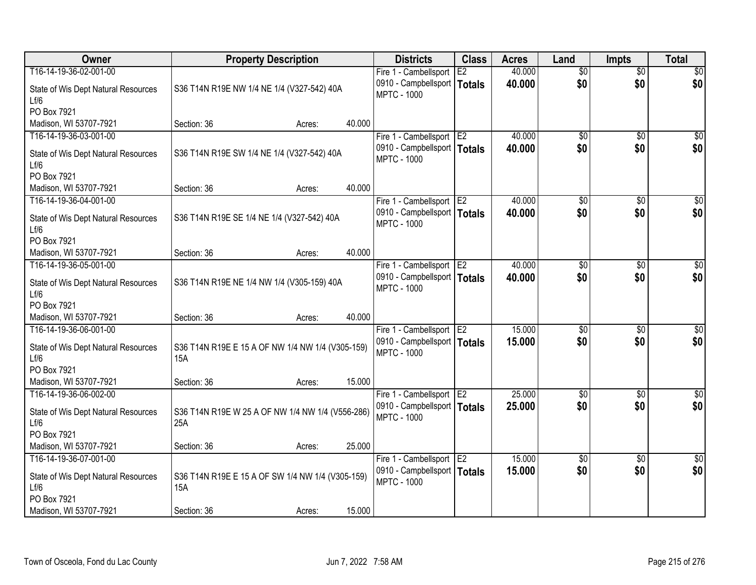| Owner                                       |                                                         | <b>Property Description</b> |        | <b>Districts</b>                                    | <b>Class</b>    | <b>Acres</b> | Land            | <b>Impts</b>    | <b>Total</b>    |
|---------------------------------------------|---------------------------------------------------------|-----------------------------|--------|-----------------------------------------------------|-----------------|--------------|-----------------|-----------------|-----------------|
| T16-14-19-36-02-001-00                      |                                                         |                             |        | Fire 1 - Cambellsport                               | E2              | 40.000       | $\overline{50}$ | $\overline{50}$ | \$0             |
| State of Wis Dept Natural Resources<br>Lf/6 | S36 T14N R19E NW 1/4 NE 1/4 (V327-542) 40A              |                             |        | 0910 - Campbellsport   Totals<br><b>MPTC - 1000</b> |                 | 40.000       | \$0             | \$0             | \$0             |
| PO Box 7921                                 |                                                         |                             |        |                                                     |                 |              |                 |                 |                 |
| Madison, WI 53707-7921                      | Section: 36                                             | Acres:                      | 40.000 |                                                     |                 |              |                 |                 |                 |
| T16-14-19-36-03-001-00                      |                                                         |                             |        | Fire 1 - Cambellsport                               | E <sub>2</sub>  | 40.000       | \$0             | \$0             | \$0             |
| State of Wis Dept Natural Resources<br>Lf/6 | S36 T14N R19E SW 1/4 NE 1/4 (V327-542) 40A              |                             |        | 0910 - Campbellsport   Totals<br><b>MPTC - 1000</b> |                 | 40.000       | \$0             | \$0             | \$0             |
| PO Box 7921                                 |                                                         |                             |        |                                                     |                 |              |                 |                 |                 |
| Madison, WI 53707-7921                      | Section: 36                                             | Acres:                      | 40.000 |                                                     |                 |              |                 |                 |                 |
| T16-14-19-36-04-001-00                      |                                                         |                             |        | Fire 1 - Cambellsport E2                            |                 | 40.000       | $\overline{50}$ | \$0             | $\overline{50}$ |
| State of Wis Dept Natural Resources<br>Lf/6 | S36 T14N R19E SE 1/4 NE 1/4 (V327-542) 40A              |                             |        | 0910 - Campbellsport   Totals<br><b>MPTC - 1000</b> |                 | 40.000       | \$0             | \$0             | \$0             |
| PO Box 7921                                 |                                                         |                             |        |                                                     |                 |              |                 |                 |                 |
| Madison, WI 53707-7921                      | Section: 36                                             | Acres:                      | 40.000 |                                                     |                 |              |                 |                 |                 |
| T16-14-19-36-05-001-00                      |                                                         |                             |        | Fire 1 - Cambellsport                               | E <sub>2</sub>  | 40.000       | \$0             | $\sqrt[6]{3}$   | \$0             |
| State of Wis Dept Natural Resources<br>Lf/6 | S36 T14N R19E NE 1/4 NW 1/4 (V305-159) 40A              |                             |        | 0910 - Campbellsport   Totals<br><b>MPTC - 1000</b> |                 | 40.000       | \$0             | \$0             | \$0             |
| PO Box 7921                                 |                                                         |                             |        |                                                     |                 |              |                 |                 |                 |
| Madison, WI 53707-7921                      | Section: 36                                             | Acres:                      | 40.000 |                                                     |                 |              |                 |                 |                 |
| T16-14-19-36-06-001-00                      |                                                         |                             |        | Fire 1 - Cambellsport                               | TE <sub>2</sub> | 15.000       | $\overline{50}$ | $\overline{50}$ | $\overline{50}$ |
| State of Wis Dept Natural Resources         | S36 T14N R19E E 15 A OF NW 1/4 NW 1/4 (V305-159)        |                             |        | 0910 - Campbellsport   Totals                       |                 | 15,000       | \$0             | \$0             | \$0             |
| Lf/6                                        | 15A                                                     |                             |        | <b>MPTC - 1000</b>                                  |                 |              |                 |                 |                 |
| PO Box 7921                                 |                                                         |                             |        |                                                     |                 |              |                 |                 |                 |
| Madison, WI 53707-7921                      | Section: 36                                             | Acres:                      | 15.000 |                                                     |                 |              |                 |                 |                 |
| T16-14-19-36-06-002-00                      |                                                         |                             |        | Fire 1 - Cambellsport E2                            |                 | 25.000       | $\overline{60}$ | $\overline{30}$ | $\overline{50}$ |
| State of Wis Dept Natural Resources<br>Lf/6 | S36 T14N R19E W 25 A OF NW 1/4 NW 1/4 (V556-286)<br>25A |                             |        | 0910 - Campbellsport   Totals<br><b>MPTC - 1000</b> |                 | 25.000       | \$0             | \$0             | \$0             |
| PO Box 7921                                 |                                                         |                             |        |                                                     |                 |              |                 |                 |                 |
| Madison, WI 53707-7921                      | Section: 36                                             | Acres:                      | 25.000 |                                                     |                 |              |                 |                 |                 |
| T16-14-19-36-07-001-00                      |                                                         |                             |        | Fire 1 - Cambellsport E2                            |                 | 15.000       | $\overline{50}$ | \$0             | $\overline{50}$ |
| State of Wis Dept Natural Resources         | S36 T14N R19E E 15 A OF SW 1/4 NW 1/4 (V305-159)        |                             |        | 0910 - Campbellsport   Totals                       |                 | 15.000       | \$0             | \$0             | \$0             |
| Lf/6                                        | <b>15A</b>                                              |                             |        | <b>MPTC - 1000</b>                                  |                 |              |                 |                 |                 |
| PO Box 7921                                 |                                                         |                             |        |                                                     |                 |              |                 |                 |                 |
| Madison, WI 53707-7921                      | Section: 36                                             | Acres:                      | 15.000 |                                                     |                 |              |                 |                 |                 |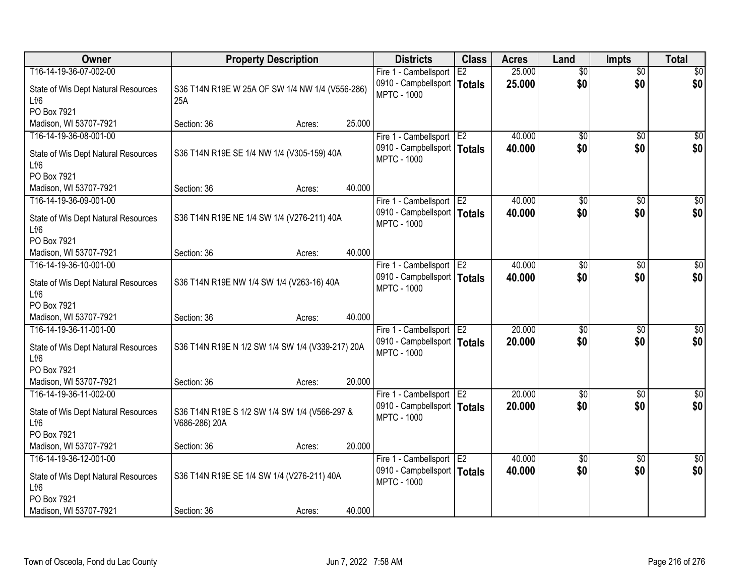| Owner                                       | <b>Property Description</b>                                    |        |        | <b>Districts</b>                                    | <b>Class</b>    | <b>Acres</b> | Land            | <b>Impts</b>    | <b>Total</b>    |
|---------------------------------------------|----------------------------------------------------------------|--------|--------|-----------------------------------------------------|-----------------|--------------|-----------------|-----------------|-----------------|
| T16-14-19-36-07-002-00                      |                                                                |        |        | Fire 1 - Cambellsport                               | E2              | 25.000       | $\overline{50}$ | $\overline{50}$ | \$0             |
| State of Wis Dept Natural Resources<br>Lf/6 | S36 T14N R19E W 25A OF SW 1/4 NW 1/4 (V556-286)<br>25A         |        |        | 0910 - Campbellsport<br><b>MPTC - 1000</b>          | Totals          | 25.000       | \$0             | \$0             | \$0             |
| PO Box 7921                                 |                                                                |        |        |                                                     |                 |              |                 |                 |                 |
| Madison, WI 53707-7921                      | Section: 36                                                    | Acres: | 25.000 |                                                     |                 |              |                 |                 |                 |
| T16-14-19-36-08-001-00                      |                                                                |        |        | Fire 1 - Cambellsport                               | E <sub>2</sub>  | 40.000       | $\overline{50}$ | $\overline{50}$ | \$0             |
| State of Wis Dept Natural Resources<br>Lf/6 | S36 T14N R19E SE 1/4 NW 1/4 (V305-159) 40A                     |        |        | 0910 - Campbellsport   Totals<br><b>MPTC - 1000</b> |                 | 40.000       | \$0             | \$0             | \$0             |
| PO Box 7921                                 |                                                                |        |        |                                                     |                 |              |                 |                 |                 |
| Madison, WI 53707-7921                      | Section: 36                                                    | Acres: | 40.000 |                                                     |                 |              |                 |                 |                 |
| T16-14-19-36-09-001-00                      |                                                                |        |        | Fire 1 - Cambellsport E2                            |                 | 40.000       | $\overline{50}$ | \$0             | $\overline{50}$ |
| State of Wis Dept Natural Resources<br>Lf/6 | S36 T14N R19E NE 1/4 SW 1/4 (V276-211) 40A                     |        |        | 0910 - Campbellsport   Totals<br><b>MPTC - 1000</b> |                 | 40.000       | \$0             | \$0             | \$0             |
| PO Box 7921                                 |                                                                |        |        |                                                     |                 |              |                 |                 |                 |
| Madison, WI 53707-7921                      | Section: 36                                                    | Acres: | 40.000 |                                                     |                 |              |                 |                 |                 |
| T16-14-19-36-10-001-00                      |                                                                |        |        | Fire 1 - Cambellsport                               | E <sub>2</sub>  | 40.000       | \$0             | $\sqrt{6}$      | $\sqrt{50}$     |
| State of Wis Dept Natural Resources<br>Lf/6 | S36 T14N R19E NW 1/4 SW 1/4 (V263-16) 40A                      |        |        | 0910 - Campbellsport   Totals<br><b>MPTC - 1000</b> |                 | 40.000       | \$0             | \$0             | \$0             |
| PO Box 7921                                 |                                                                |        |        |                                                     |                 |              |                 |                 |                 |
| Madison, WI 53707-7921                      | Section: 36                                                    | Acres: | 40.000 |                                                     |                 |              |                 |                 |                 |
| T16-14-19-36-11-001-00                      |                                                                |        |        | Fire 1 - Cambellsport                               | TE <sub>2</sub> | 20.000       | $\overline{50}$ | \$0             | $\sqrt{50}$     |
| State of Wis Dept Natural Resources<br>Lf/6 | S36 T14N R19E N 1/2 SW 1/4 SW 1/4 (V339-217) 20A               |        |        | 0910 - Campbellsport   Totals<br><b>MPTC - 1000</b> |                 | 20,000       | \$0             | \$0             | \$0             |
| PO Box 7921                                 |                                                                |        |        |                                                     |                 |              |                 |                 |                 |
| Madison, WI 53707-7921                      | Section: 36                                                    | Acres: | 20.000 |                                                     |                 |              |                 |                 |                 |
| T16-14-19-36-11-002-00                      |                                                                |        |        | Fire 1 - Cambellsport E2                            |                 | 20.000       | $\sqrt{50}$     | $\overline{50}$ | \$0             |
| State of Wis Dept Natural Resources<br>Lf/6 | S36 T14N R19E S 1/2 SW 1/4 SW 1/4 (V566-297 &<br>V686-286) 20A |        |        | 0910 - Campbellsport   Totals<br><b>MPTC - 1000</b> |                 | 20.000       | \$0             | \$0             | \$0             |
| PO Box 7921                                 |                                                                |        |        |                                                     |                 |              |                 |                 |                 |
| Madison, WI 53707-7921                      | Section: 36                                                    | Acres: | 20.000 |                                                     |                 |              |                 |                 |                 |
| T16-14-19-36-12-001-00                      |                                                                |        |        | Fire 1 - Cambellsport E2                            |                 | 40.000       | $\sqrt{6}$      | $\overline{30}$ | \$0             |
| State of Wis Dept Natural Resources<br>Lf/6 | S36 T14N R19E SE 1/4 SW 1/4 (V276-211) 40A                     |        |        | 0910 - Campbellsport   Totals<br><b>MPTC - 1000</b> |                 | 40.000       | \$0             | \$0             | \$0             |
| PO Box 7921                                 |                                                                |        |        |                                                     |                 |              |                 |                 |                 |
| Madison, WI 53707-7921                      | Section: 36                                                    | Acres: | 40.000 |                                                     |                 |              |                 |                 |                 |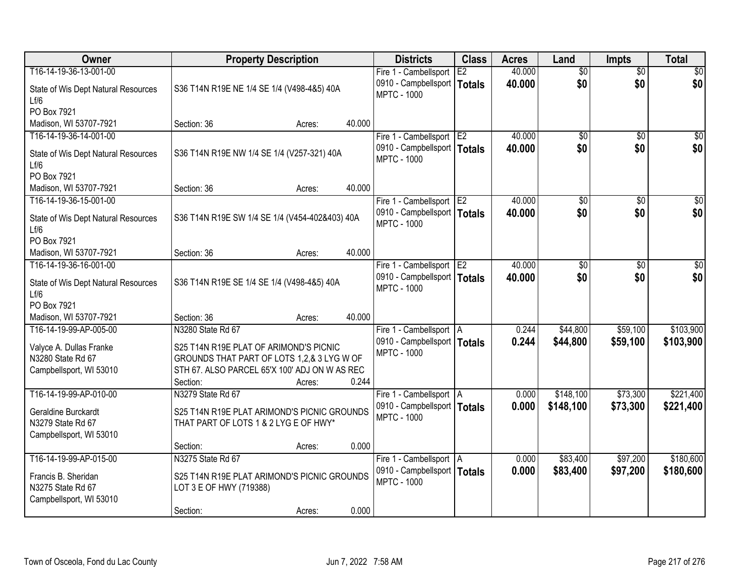| Owner                                       | <b>Property Description</b>                    |        |        | <b>Districts</b>                                    | <b>Class</b>   | <b>Acres</b> | Land            | <b>Impts</b>    | <b>Total</b>    |
|---------------------------------------------|------------------------------------------------|--------|--------|-----------------------------------------------------|----------------|--------------|-----------------|-----------------|-----------------|
| T16-14-19-36-13-001-00                      |                                                |        |        | Fire 1 - Cambellsport                               | E2             | 40.000       | $\overline{50}$ | $\overline{50}$ | \$0             |
| State of Wis Dept Natural Resources<br>Lf/6 | S36 T14N R19E NE 1/4 SE 1/4 (V498-4&5) 40A     |        |        | 0910 - Campbellsport   Totals<br><b>MPTC - 1000</b> |                | 40.000       | \$0             | \$0             | \$0             |
| PO Box 7921                                 |                                                |        |        |                                                     |                |              |                 |                 |                 |
| Madison, WI 53707-7921                      | Section: 36                                    | Acres: | 40.000 |                                                     |                |              |                 |                 |                 |
| T16-14-19-36-14-001-00                      |                                                |        |        | Fire 1 - Cambellsport                               | E <sub>2</sub> | 40.000       | \$0             | \$0             | \$0             |
| State of Wis Dept Natural Resources<br>Lf/6 | S36 T14N R19E NW 1/4 SE 1/4 (V257-321) 40A     |        |        | 0910 - Campbellsport   Totals<br><b>MPTC - 1000</b> |                | 40.000       | \$0             | \$0             | \$0             |
| PO Box 7921                                 |                                                |        |        |                                                     |                |              |                 |                 |                 |
| Madison, WI 53707-7921                      | Section: 36                                    | Acres: | 40.000 |                                                     |                |              |                 |                 |                 |
| T16-14-19-36-15-001-00                      |                                                |        |        | Fire 1 - Cambellsport E2                            |                | 40.000       | \$0             | \$0             | $\overline{30}$ |
| State of Wis Dept Natural Resources<br>Lf/6 | S36 T14N R19E SW 1/4 SE 1/4 (V454-402&403) 40A |        |        | 0910 - Campbellsport   Totals<br><b>MPTC - 1000</b> |                | 40.000       | \$0             | \$0             | \$0             |
| PO Box 7921                                 |                                                |        |        |                                                     |                |              |                 |                 |                 |
| Madison, WI 53707-7921                      | Section: 36                                    | Acres: | 40.000 |                                                     |                |              |                 |                 |                 |
| T16-14-19-36-16-001-00                      |                                                |        |        | Fire 1 - Cambellsport                               | E <sub>2</sub> | 40.000       | \$0             | $\sqrt[6]{3}$   | $\overline{30}$ |
| State of Wis Dept Natural Resources<br>Lf/6 | S36 T14N R19E SE 1/4 SE 1/4 (V498-4&5) 40A     |        |        | 0910 - Campbellsport   Totals<br><b>MPTC - 1000</b> |                | 40.000       | \$0             | \$0             | \$0             |
| PO Box 7921                                 |                                                |        |        |                                                     |                |              |                 |                 |                 |
| Madison, WI 53707-7921                      | Section: 36                                    | Acres: | 40.000 |                                                     |                |              |                 |                 |                 |
| T16-14-19-99-AP-005-00                      | N3280 State Rd 67                              |        |        | Fire 1 - Cambellsport   A                           |                | 0.244        | \$44,800        | \$59,100        | \$103,900       |
| Valyce A. Dullas Franke                     | S25 T14N R19E PLAT OF ARIMOND'S PICNIC         |        |        | 0910 - Campbellsport   Totals                       |                | 0.244        | \$44,800        | \$59,100        | \$103,900       |
| N3280 State Rd 67                           | GROUNDS THAT PART OF LOTS 1,2,& 3 LYG W OF     |        |        | <b>MPTC - 1000</b>                                  |                |              |                 |                 |                 |
| Campbellsport, WI 53010                     | STH 67. ALSO PARCEL 65'X 100' ADJ ON W AS REC  |        |        |                                                     |                |              |                 |                 |                 |
|                                             | Section:                                       | Acres: | 0.244  |                                                     |                |              |                 |                 |                 |
| T16-14-19-99-AP-010-00                      | N3279 State Rd 67                              |        |        | Fire 1 - Cambellsport   A                           |                | 0.000        | \$148,100       | \$73,300        | \$221,400       |
| Geraldine Burckardt                         | S25 T14N R19E PLAT ARIMOND'S PICNIC GROUNDS    |        |        | 0910 - Campbellsport   Totals                       |                | 0.000        | \$148,100       | \$73,300        | \$221,400       |
| N3279 State Rd 67                           | THAT PART OF LOTS 1 & 2 LYG E OF HWY*          |        |        | <b>MPTC - 1000</b>                                  |                |              |                 |                 |                 |
| Campbellsport, WI 53010                     |                                                |        |        |                                                     |                |              |                 |                 |                 |
|                                             | Section:                                       | Acres: | 0.000  |                                                     |                |              |                 |                 |                 |
| T16-14-19-99-AP-015-00                      | N3275 State Rd 67                              |        |        | Fire 1 - Cambellsport A                             |                | 0.000        | \$83,400        | \$97,200        | \$180,600       |
| Francis B. Sheridan                         | S25 T14N R19E PLAT ARIMOND'S PICNIC GROUNDS    |        |        | 0910 - Campbellsport   Totals                       |                | 0.000        | \$83,400        | \$97,200        | \$180,600       |
| N3275 State Rd 67                           | LOT 3 E OF HWY (719388)                        |        |        | <b>MPTC - 1000</b>                                  |                |              |                 |                 |                 |
| Campbellsport, WI 53010                     |                                                |        |        |                                                     |                |              |                 |                 |                 |
|                                             | Section:                                       | Acres: | 0.000  |                                                     |                |              |                 |                 |                 |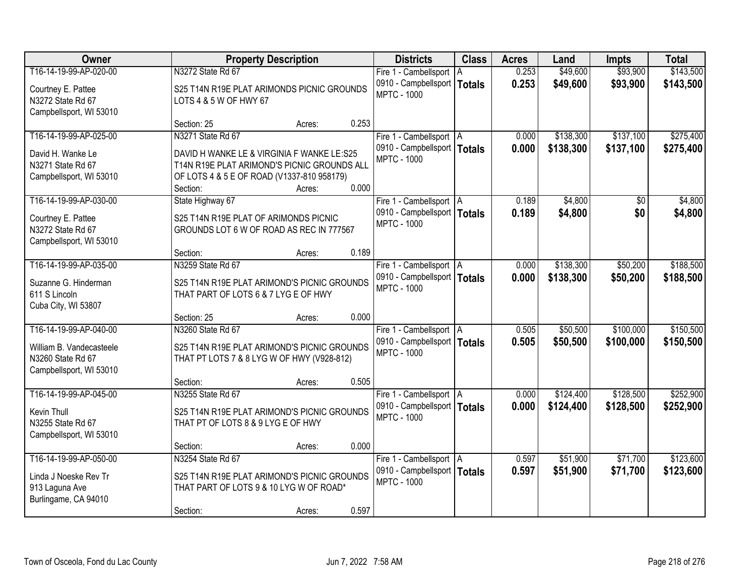| Owner                    |                                             | <b>Property Description</b> |       | <b>Districts</b>              | <b>Class</b> | <b>Acres</b> | Land      | <b>Impts</b> | <b>Total</b> |
|--------------------------|---------------------------------------------|-----------------------------|-------|-------------------------------|--------------|--------------|-----------|--------------|--------------|
| T16-14-19-99-AP-020-00   | N3272 State Rd 67                           |                             |       | Fire 1 - Cambellsport   A     |              | 0.253        | \$49,600  | \$93,900     | \$143,500    |
| Courtney E. Pattee       | S25 T14N R19E PLAT ARIMONDS PICNIC GROUNDS  |                             |       | 0910 - Campbellsport   Totals |              | 0.253        | \$49,600  | \$93,900     | \$143,500    |
| N3272 State Rd 67        | LOTS 4 & 5 W OF HWY 67                      |                             |       | <b>MPTC - 1000</b>            |              |              |           |              |              |
| Campbellsport, WI 53010  |                                             |                             |       |                               |              |              |           |              |              |
|                          | Section: 25                                 | Acres:                      | 0.253 |                               |              |              |           |              |              |
| T16-14-19-99-AP-025-00   | N3271 State Rd 67                           |                             |       | Fire 1 - Cambellsport   A     |              | 0.000        | \$138,300 | \$137,100    | \$275,400    |
| David H. Wanke Le        | DAVID H WANKE LE & VIRGINIA F WANKE LE:S25  |                             |       | 0910 - Campbellsport   Totals |              | 0.000        | \$138,300 | \$137,100    | \$275,400    |
| N3271 State Rd 67        | T14N R19E PLAT ARIMOND'S PICNIC GROUNDS ALL |                             |       | <b>MPTC - 1000</b>            |              |              |           |              |              |
| Campbellsport, WI 53010  | OF LOTS 4 & 5 E OF ROAD (V1337-810 958179)  |                             |       |                               |              |              |           |              |              |
|                          | Section:                                    | Acres:                      | 0.000 |                               |              |              |           |              |              |
| T16-14-19-99-AP-030-00   | State Highway 67                            |                             |       | Fire 1 - Cambellsport   A     |              | 0.189        | \$4,800   | \$0          | \$4,800      |
| Courtney E. Pattee       | S25 T14N R19E PLAT OF ARIMONDS PICNIC       |                             |       | 0910 - Campbellsport   Totals |              | 0.189        | \$4,800   | \$0          | \$4,800      |
| N3272 State Rd 67        | GROUNDS LOT 6 W OF ROAD AS REC IN 777567    |                             |       | <b>MPTC - 1000</b>            |              |              |           |              |              |
| Campbellsport, WI 53010  |                                             |                             |       |                               |              |              |           |              |              |
|                          | Section:                                    | Acres:                      | 0.189 |                               |              |              |           |              |              |
| T16-14-19-99-AP-035-00   | N3259 State Rd 67                           |                             |       | Fire 1 - Cambellsport   A     |              | 0.000        | \$138,300 | \$50,200     | \$188,500    |
| Suzanne G. Hinderman     | S25 T14N R19E PLAT ARIMOND'S PICNIC GROUNDS |                             |       | 0910 - Campbellsport   Totals |              | 0.000        | \$138,300 | \$50,200     | \$188,500    |
| 611 S Lincoln            | THAT PART OF LOTS 6 & 7 LYG E OF HWY        |                             |       | <b>MPTC - 1000</b>            |              |              |           |              |              |
| Cuba City, WI 53807      |                                             |                             |       |                               |              |              |           |              |              |
|                          | Section: 25                                 | Acres:                      | 0.000 |                               |              |              |           |              |              |
| T16-14-19-99-AP-040-00   | N3260 State Rd 67                           |                             |       | Fire 1 - Cambellsport   A     |              | 0.505        | \$50,500  | \$100,000    | \$150,500    |
| William B. Vandecasteele | S25 T14N R19E PLAT ARIMOND'S PICNIC GROUNDS |                             |       | 0910 - Campbellsport   Totals |              | 0.505        | \$50,500  | \$100,000    | \$150,500    |
| N3260 State Rd 67        | THAT PT LOTS 7 & 8 LYG W OF HWY (V928-812)  |                             |       | <b>MPTC - 1000</b>            |              |              |           |              |              |
| Campbellsport, WI 53010  |                                             |                             |       |                               |              |              |           |              |              |
|                          | Section:                                    | Acres:                      | 0.505 |                               |              |              |           |              |              |
| T16-14-19-99-AP-045-00   | N3255 State Rd 67                           |                             |       | Fire 1 - Cambellsport   A     |              | 0.000        | \$124,400 | \$128,500    | \$252,900    |
| Kevin Thull              | S25 T14N R19E PLAT ARIMOND'S PICNIC GROUNDS |                             |       | 0910 - Campbellsport   Totals |              | 0.000        | \$124,400 | \$128,500    | \$252,900    |
| N3255 State Rd 67        | THAT PT OF LOTS 8 & 9 LYG E OF HWY          |                             |       | <b>MPTC - 1000</b>            |              |              |           |              |              |
| Campbellsport, WI 53010  |                                             |                             |       |                               |              |              |           |              |              |
|                          | Section:                                    | Acres:                      | 0.000 |                               |              |              |           |              |              |
| T16-14-19-99-AP-050-00   | N3254 State Rd 67                           |                             |       | Fire 1 - Cambellsport   A     |              | 0.597        | \$51,900  | \$71,700     | \$123,600    |
| Linda J Noeske Rev Tr    | S25 T14N R19E PLAT ARIMOND'S PICNIC GROUNDS |                             |       | 0910 - Campbellsport   Totals |              | 0.597        | \$51,900  | \$71,700     | \$123,600    |
| 913 Laguna Ave           | THAT PART OF LOTS 9 & 10 LYG W OF ROAD*     |                             |       | <b>MPTC - 1000</b>            |              |              |           |              |              |
| Burlingame, CA 94010     |                                             |                             |       |                               |              |              |           |              |              |
|                          | Section:                                    | Acres:                      | 0.597 |                               |              |              |           |              |              |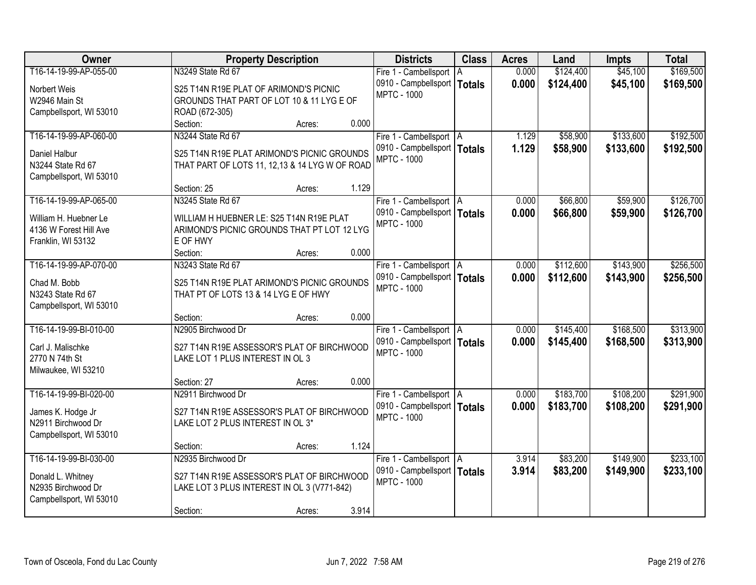| Owner                              | <b>Property Description</b>                             |                 | <b>Districts</b>              | <b>Class</b> | <b>Acres</b> | Land      | <b>Impts</b> | <b>Total</b> |
|------------------------------------|---------------------------------------------------------|-----------------|-------------------------------|--------------|--------------|-----------|--------------|--------------|
| T16-14-19-99-AP-055-00             | N3249 State Rd 67                                       |                 | Fire 1 - Cambellsport   A     |              | 0.000        | \$124,400 | \$45,100     | \$169,500    |
| Norbert Weis                       | S25 T14N R19E PLAT OF ARIMOND'S PICNIC                  |                 | 0910 - Campbellsport   Totals |              | 0.000        | \$124,400 | \$45,100     | \$169,500    |
| W2946 Main St                      | GROUNDS THAT PART OF LOT 10 & 11 LYG E OF               |                 | <b>MPTC - 1000</b>            |              |              |           |              |              |
| Campbellsport, WI 53010            | ROAD (672-305)                                          |                 |                               |              |              |           |              |              |
|                                    | Section:                                                | 0.000<br>Acres: |                               |              |              |           |              |              |
| T16-14-19-99-AP-060-00             | N3244 State Rd 67                                       |                 | Fire 1 - Cambellsport   A     |              | 1.129        | \$58,900  | \$133,600    | \$192,500    |
|                                    | S25 T14N R19E PLAT ARIMOND'S PICNIC GROUNDS             |                 | 0910 - Campbellsport   Totals |              | 1.129        | \$58,900  | \$133,600    | \$192,500    |
| Daniel Halbur<br>N3244 State Rd 67 | THAT PART OF LOTS 11, 12,13 & 14 LYG W OF ROAD          |                 | <b>MPTC - 1000</b>            |              |              |           |              |              |
| Campbellsport, WI 53010            |                                                         |                 |                               |              |              |           |              |              |
|                                    | Section: 25                                             | 1.129<br>Acres: |                               |              |              |           |              |              |
| T16-14-19-99-AP-065-00             | N3245 State Rd 67                                       |                 | Fire 1 - Cambellsport   A     |              | 0.000        | \$66,800  | \$59,900     | \$126,700    |
|                                    |                                                         |                 | 0910 - Campbellsport   Totals |              | 0.000        | \$66,800  | \$59,900     | \$126,700    |
| William H. Huebner Le              | WILLIAM H HUEBNER LE: S25 T14N R19E PLAT                |                 | <b>MPTC - 1000</b>            |              |              |           |              |              |
| 4136 W Forest Hill Ave             | ARIMOND'S PICNIC GROUNDS THAT PT LOT 12 LYG<br>E OF HWY |                 |                               |              |              |           |              |              |
| Franklin, WI 53132                 | Section:                                                | 0.000<br>Acres: |                               |              |              |           |              |              |
| T16-14-19-99-AP-070-00             | N3243 State Rd 67                                       |                 | Fire 1 - Cambellsport   A     |              | 0.000        | \$112,600 | \$143,900    | \$256,500    |
|                                    |                                                         |                 | 0910 - Campbellsport   Totals |              | 0.000        | \$112,600 | \$143,900    | \$256,500    |
| Chad M. Bobb                       | S25 T14N R19E PLAT ARIMOND'S PICNIC GROUNDS             |                 | <b>MPTC - 1000</b>            |              |              |           |              |              |
| N3243 State Rd 67                  | THAT PT OF LOTS 13 & 14 LYG E OF HWY                    |                 |                               |              |              |           |              |              |
| Campbellsport, WI 53010            |                                                         |                 |                               |              |              |           |              |              |
|                                    | Section:                                                | 0.000<br>Acres: |                               |              |              |           |              |              |
| T16-14-19-99-BI-010-00             | N2905 Birchwood Dr                                      |                 | Fire 1 - Cambellsport   A     |              | 0.000        | \$145,400 | \$168,500    | \$313,900    |
| Carl J. Malischke                  | S27 T14N R19E ASSESSOR'S PLAT OF BIRCHWOOD              |                 | 0910 - Campbellsport   Totals |              | 0.000        | \$145,400 | \$168,500    | \$313,900    |
| 2770 N 74th St                     | LAKE LOT 1 PLUS INTEREST IN OL 3                        |                 | <b>MPTC - 1000</b>            |              |              |           |              |              |
| Milwaukee, WI 53210                |                                                         |                 |                               |              |              |           |              |              |
|                                    | Section: 27                                             | 0.000<br>Acres: |                               |              |              |           |              |              |
| T16-14-19-99-BI-020-00             | N2911 Birchwood Dr                                      |                 | Fire 1 - Cambellsport   A     |              | 0.000        | \$183,700 | \$108,200    | \$291,900    |
| James K. Hodge Jr                  | S27 T14N R19E ASSESSOR'S PLAT OF BIRCHWOOD              |                 | 0910 - Campbellsport   Totals |              | 0.000        | \$183,700 | \$108,200    | \$291,900    |
| N2911 Birchwood Dr                 | LAKE LOT 2 PLUS INTEREST IN OL 3*                       |                 | <b>MPTC - 1000</b>            |              |              |           |              |              |
| Campbellsport, WI 53010            |                                                         |                 |                               |              |              |           |              |              |
|                                    | Section:                                                | 1.124<br>Acres: |                               |              |              |           |              |              |
| T16-14-19-99-BI-030-00             | N2935 Birchwood Dr                                      |                 | Fire 1 - Cambellsport   A     |              | 3.914        | \$83,200  | \$149,900    | \$233,100    |
| Donald L. Whitney                  | S27 T14N R19E ASSESSOR'S PLAT OF BIRCHWOOD              |                 | 0910 - Campbellsport   Totals |              | 3.914        | \$83,200  | \$149,900    | \$233,100    |
| N2935 Birchwood Dr                 | LAKE LOT 3 PLUS INTEREST IN OL 3 (V771-842)             |                 | <b>MPTC - 1000</b>            |              |              |           |              |              |
| Campbellsport, WI 53010            |                                                         |                 |                               |              |              |           |              |              |
|                                    | Section:                                                | 3.914<br>Acres: |                               |              |              |           |              |              |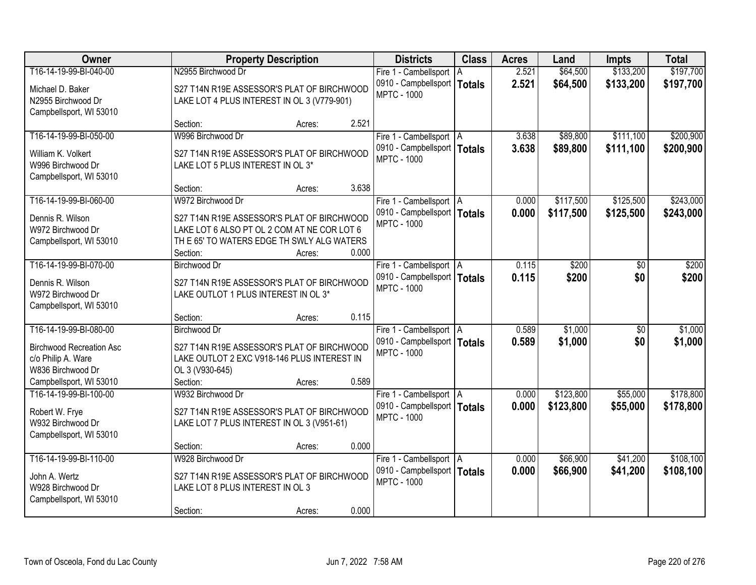| Owner                           |                                             | <b>Property Description</b> |       | <b>Districts</b>                                           | <b>Class</b> | <b>Acres</b>   | Land                 | <b>Impts</b>         | <b>Total</b>           |
|---------------------------------|---------------------------------------------|-----------------------------|-------|------------------------------------------------------------|--------------|----------------|----------------------|----------------------|------------------------|
| T16-14-19-99-BI-040-00          | N2955 Birchwood Dr                          |                             |       | Fire 1 - Cambellsport   A                                  |              | 2.521          | \$64,500             | \$133,200            | \$197,700              |
| Michael D. Baker                | S27 T14N R19E ASSESSOR'S PLAT OF BIRCHWOOD  |                             |       | 0910 - Campbellsport   Totals                              |              | 2.521          | \$64,500             | \$133,200            | \$197,700              |
| N2955 Birchwood Dr              | LAKE LOT 4 PLUS INTEREST IN OL 3 (V779-901) |                             |       | <b>MPTC - 1000</b>                                         |              |                |                      |                      |                        |
| Campbellsport, WI 53010         |                                             |                             |       |                                                            |              |                |                      |                      |                        |
|                                 | Section:                                    | Acres:                      | 2.521 |                                                            |              |                |                      |                      |                        |
| T16-14-19-99-BI-050-00          | W996 Birchwood Dr                           |                             |       | Fire 1 - Cambellsport   A                                  |              | 3.638          | \$89,800             | \$111,100            | \$200,900              |
| William K. Volkert              | S27 T14N R19E ASSESSOR'S PLAT OF BIRCHWOOD  |                             |       | 0910 - Campbellsport   Totals<br><b>MPTC - 1000</b>        |              | 3.638          | \$89,800             | \$111,100            | \$200,900              |
| W996 Birchwood Dr               | LAKE LOT 5 PLUS INTEREST IN OL 3*           |                             |       |                                                            |              |                |                      |                      |                        |
| Campbellsport, WI 53010         |                                             |                             |       |                                                            |              |                |                      |                      |                        |
|                                 | Section:                                    | Acres:                      | 3.638 |                                                            |              |                |                      |                      |                        |
| T16-14-19-99-BI-060-00          | W972 Birchwood Dr                           |                             |       | Fire 1 - Cambellsport   A                                  |              | 0.000          | \$117,500            | \$125,500            | \$243,000              |
| Dennis R. Wilson                | S27 T14N R19E ASSESSOR'S PLAT OF BIRCHWOOD  |                             |       | 0910 - Campbellsport   Totals<br><b>MPTC - 1000</b>        |              | 0.000          | \$117,500            | \$125,500            | \$243,000              |
| W972 Birchwood Dr               | LAKE LOT 6 ALSO PT OL 2 COM AT NE COR LOT 6 |                             |       |                                                            |              |                |                      |                      |                        |
| Campbellsport, WI 53010         | TH E 65' TO WATERS EDGE TH SWLY ALG WATERS  |                             |       |                                                            |              |                |                      |                      |                        |
|                                 | Section:                                    | Acres:                      | 0.000 |                                                            |              |                |                      |                      |                        |
| T16-14-19-99-BI-070-00          | <b>Birchwood Dr</b>                         |                             |       | Fire 1 - Cambellsport   A                                  |              | 0.115          | \$200                | \$0                  | \$200                  |
| Dennis R. Wilson                | S27 T14N R19E ASSESSOR'S PLAT OF BIRCHWOOD  |                             |       | 0910 - Campbellsport   Totals<br><b>MPTC - 1000</b>        |              | 0.115          | \$200                | \$0                  | \$200                  |
| W972 Birchwood Dr               | LAKE OUTLOT 1 PLUS INTEREST IN OL 3*        |                             |       |                                                            |              |                |                      |                      |                        |
| Campbellsport, WI 53010         |                                             |                             |       |                                                            |              |                |                      |                      |                        |
|                                 | Section:                                    | Acres:                      | 0.115 |                                                            |              |                |                      |                      |                        |
| T16-14-19-99-BI-080-00          | <b>Birchwood Dr</b>                         |                             |       | Fire 1 - Cambellsport   A                                  |              | 0.589          | \$1,000              | $\overline{50}$      | \$1,000                |
| <b>Birchwood Recreation Asc</b> | S27 T14N R19E ASSESSOR'S PLAT OF BIRCHWOOD  |                             |       | 0910 - Campbellsport   Totals<br><b>MPTC - 1000</b>        |              | 0.589          | \$1,000              | \$0                  | \$1,000                |
| c/o Philip A. Ware              | LAKE OUTLOT 2 EXC V918-146 PLUS INTEREST IN |                             |       |                                                            |              |                |                      |                      |                        |
| W836 Birchwood Dr               | OL 3 (V930-645)                             |                             |       |                                                            |              |                |                      |                      |                        |
| Campbellsport, WI 53010         | Section:                                    | Acres:                      | 0.589 |                                                            |              |                |                      |                      |                        |
| T16-14-19-99-BI-100-00          | W932 Birchwood Dr                           |                             |       | Fire 1 - Cambellsport   A                                  |              | 0.000          | \$123,800            | \$55,000             | \$178,800              |
| Robert W. Frye                  | S27 T14N R19E ASSESSOR'S PLAT OF BIRCHWOOD  |                             |       | 0910 - Campbellsport   Totals<br><b>MPTC - 1000</b>        |              | 0.000          | \$123,800            | \$55,000             | \$178,800              |
| W932 Birchwood Dr               | LAKE LOT 7 PLUS INTEREST IN OL 3 (V951-61)  |                             |       |                                                            |              |                |                      |                      |                        |
| Campbellsport, WI 53010         |                                             |                             |       |                                                            |              |                |                      |                      |                        |
|                                 | Section:                                    | Acres:                      | 0.000 |                                                            |              |                |                      |                      |                        |
| T16-14-19-99-BI-110-00          | W928 Birchwood Dr                           |                             |       | Fire 1 - Cambellsport   A<br>0910 - Campbellsport   Totals |              | 0.000<br>0.000 | \$66,900<br>\$66,900 | \$41,200<br>\$41,200 | \$108,100<br>\$108,100 |
| John A. Wertz                   | S27 T14N R19E ASSESSOR'S PLAT OF BIRCHWOOD  |                             |       | <b>MPTC - 1000</b>                                         |              |                |                      |                      |                        |
| W928 Birchwood Dr               | LAKE LOT 8 PLUS INTEREST IN OL 3            |                             |       |                                                            |              |                |                      |                      |                        |
| Campbellsport, WI 53010         |                                             |                             |       |                                                            |              |                |                      |                      |                        |
|                                 | Section:                                    | Acres:                      | 0.000 |                                                            |              |                |                      |                      |                        |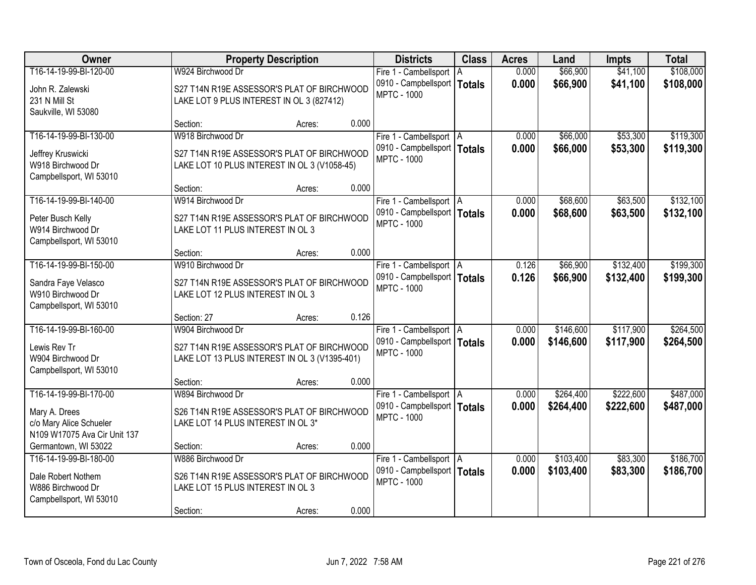| Owner                        |                                               | <b>Property Description</b> |       | <b>Districts</b>                                           | <b>Class</b>  | <b>Acres</b>   | Land      | <b>Impts</b>         | <b>Total</b> |
|------------------------------|-----------------------------------------------|-----------------------------|-------|------------------------------------------------------------|---------------|----------------|-----------|----------------------|--------------|
| T16-14-19-99-BI-120-00       | W924 Birchwood Dr                             |                             |       | Fire 1 - Cambellsport   A                                  |               | 0.000          | \$66,900  | \$41,100             | \$108,000    |
| John R. Zalewski             | S27 T14N R19E ASSESSOR'S PLAT OF BIRCHWOOD    |                             |       | 0910 - Campbellsport                                       | <b>Totals</b> | 0.000          | \$66,900  | \$41,100             | \$108,000    |
| 231 N Mill St                | LAKE LOT 9 PLUS INTEREST IN OL 3 (827412)     |                             |       | <b>MPTC - 1000</b>                                         |               |                |           |                      |              |
| Saukville, WI 53080          |                                               |                             |       |                                                            |               |                |           |                      |              |
|                              | Section:                                      | Acres:                      | 0.000 |                                                            |               |                |           |                      |              |
| T16-14-19-99-BI-130-00       | W918 Birchwood Dr                             |                             |       | Fire 1 - Cambellsport   A                                  |               | 0.000          | \$66,000  | \$53,300             | \$119,300    |
| Jeffrey Kruswicki            | S27 T14N R19E ASSESSOR'S PLAT OF BIRCHWOOD    |                             |       | 0910 - Campbellsport   Totals                              |               | 0.000          | \$66,000  | \$53,300             | \$119,300    |
| W918 Birchwood Dr            | LAKE LOT 10 PLUS INTEREST IN OL 3 (V1058-45)  |                             |       | <b>MPTC - 1000</b>                                         |               |                |           |                      |              |
| Campbellsport, WI 53010      |                                               |                             |       |                                                            |               |                |           |                      |              |
|                              | Section:                                      | Acres:                      | 0.000 |                                                            |               |                |           |                      |              |
| T16-14-19-99-BI-140-00       | W914 Birchwood Dr                             |                             |       | Fire 1 - Cambellsport   A                                  |               | 0.000          | \$68,600  | \$63,500             | \$132,100    |
| Peter Busch Kelly            | S27 T14N R19E ASSESSOR'S PLAT OF BIRCHWOOD    |                             |       | 0910 - Campbellsport   Totals<br><b>MPTC - 1000</b>        |               | 0.000          | \$68,600  | \$63,500             | \$132,100    |
| W914 Birchwood Dr            | LAKE LOT 11 PLUS INTEREST IN OL 3             |                             |       |                                                            |               |                |           |                      |              |
| Campbellsport, WI 53010      |                                               |                             |       |                                                            |               |                |           |                      |              |
|                              | Section:                                      | Acres:                      | 0.000 |                                                            |               |                |           |                      |              |
| T16-14-19-99-BI-150-00       | W910 Birchwood Dr                             |                             |       | Fire 1 - Cambellsport   A                                  |               | 0.126          | \$66,900  | \$132,400            | \$199,300    |
| Sandra Faye Velasco          | S27 T14N R19E ASSESSOR'S PLAT OF BIRCHWOOD    |                             |       | 0910 - Campbellsport   Totals<br><b>MPTC - 1000</b>        |               | 0.126          | \$66,900  | \$132,400            | \$199,300    |
| W910 Birchwood Dr            | LAKE LOT 12 PLUS INTEREST IN OL 3             |                             |       |                                                            |               |                |           |                      |              |
| Campbellsport, WI 53010      |                                               |                             |       |                                                            |               |                |           |                      |              |
|                              | Section: 27                                   | Acres:                      | 0.126 |                                                            |               |                |           |                      |              |
| T16-14-19-99-BI-160-00       | W904 Birchwood Dr                             |                             |       | Fire 1 - Cambellsport   A                                  |               | 0.000          | \$146,600 | \$117,900            | \$264,500    |
| Lewis Rev Tr                 | S27 T14N R19E ASSESSOR'S PLAT OF BIRCHWOOD    |                             |       | 0910 - Campbellsport   Totals<br><b>MPTC - 1000</b>        |               | 0.000          | \$146,600 | \$117,900            | \$264,500    |
| W904 Birchwood Dr            | LAKE LOT 13 PLUS INTEREST IN OL 3 (V1395-401) |                             |       |                                                            |               |                |           |                      |              |
| Campbellsport, WI 53010      |                                               |                             |       |                                                            |               |                |           |                      |              |
|                              | Section:                                      | Acres:                      | 0.000 |                                                            |               |                |           |                      |              |
| T16-14-19-99-BI-170-00       | W894 Birchwood Dr                             |                             |       | Fire 1 - Cambellsport   A                                  |               | 0.000          | \$264,400 | \$222,600            | \$487,000    |
| Mary A. Drees                | S26 T14N R19E ASSESSOR'S PLAT OF BIRCHWOOD    |                             |       | 0910 - Campbellsport   Totals<br><b>MPTC - 1000</b>        |               | 0.000          | \$264,400 | \$222,600            | \$487,000    |
| c/o Mary Alice Schueler      | LAKE LOT 14 PLUS INTEREST IN OL 3*            |                             |       |                                                            |               |                |           |                      |              |
| N109 W17075 Ava Cir Unit 137 |                                               |                             |       |                                                            |               |                |           |                      |              |
| Germantown, WI 53022         | Section:                                      | Acres:                      | 0.000 |                                                            |               |                |           |                      |              |
| T16-14-19-99-BI-180-00       | W886 Birchwood Dr                             |                             |       | Fire 1 - Cambellsport   A<br>0910 - Campbellsport   Totals |               | 0.000<br>0.000 | \$103,400 | \$83,300<br>\$83,300 | \$186,700    |
| Dale Robert Nothem           | S26 T14N R19E ASSESSOR'S PLAT OF BIRCHWOOD    |                             |       | <b>MPTC - 1000</b>                                         |               |                | \$103,400 |                      | \$186,700    |
| W886 Birchwood Dr            | LAKE LOT 15 PLUS INTEREST IN OL 3             |                             |       |                                                            |               |                |           |                      |              |
| Campbellsport, WI 53010      |                                               |                             |       |                                                            |               |                |           |                      |              |
|                              | Section:                                      | Acres:                      | 0.000 |                                                            |               |                |           |                      |              |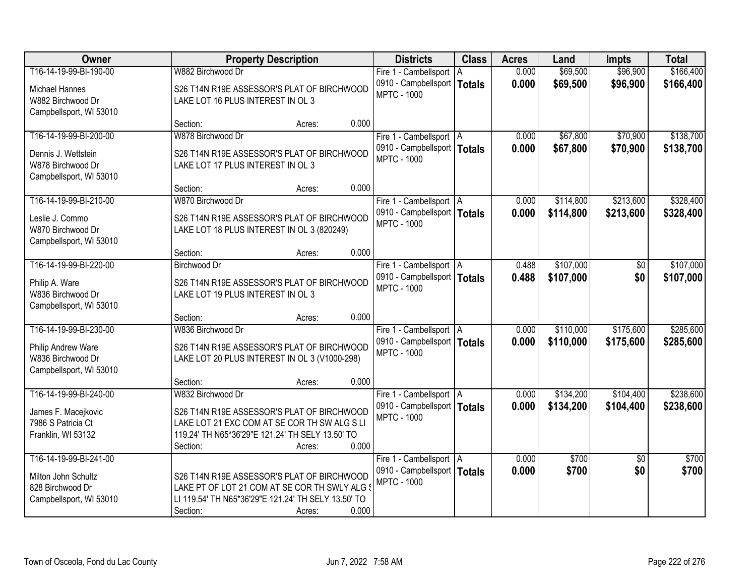| Owner                   | <b>Property Description</b>                         |                 | <b>Districts</b>              | <b>Class</b>  | <b>Acres</b> | Land      | <b>Impts</b>    | <b>Total</b> |
|-------------------------|-----------------------------------------------------|-----------------|-------------------------------|---------------|--------------|-----------|-----------------|--------------|
| T16-14-19-99-BI-190-00  | W882 Birchwood Dr                                   |                 | Fire 1 - Cambellsport   A     |               | 0.000        | \$69,500  | \$96,900        | \$166,400    |
| Michael Hannes          | S26 T14N R19E ASSESSOR'S PLAT OF BIRCHWOOD          |                 | 0910 - Campbellsport          | <b>Totals</b> | 0.000        | \$69,500  | \$96,900        | \$166,400    |
| W882 Birchwood Dr       | LAKE LOT 16 PLUS INTEREST IN OL 3                   |                 | <b>MPTC - 1000</b>            |               |              |           |                 |              |
| Campbellsport, WI 53010 |                                                     |                 |                               |               |              |           |                 |              |
|                         | Section:                                            | 0.000<br>Acres: |                               |               |              |           |                 |              |
| T16-14-19-99-BI-200-00  | W878 Birchwood Dr                                   |                 | Fire 1 - Cambellsport   A     |               | 0.000        | \$67,800  | \$70,900        | \$138,700    |
| Dennis J. Wettstein     | S26 T14N R19E ASSESSOR'S PLAT OF BIRCHWOOD          |                 | 0910 - Campbellsport   Totals |               | 0.000        | \$67,800  | \$70,900        | \$138,700    |
| W878 Birchwood Dr       | LAKE LOT 17 PLUS INTEREST IN OL 3                   |                 | <b>MPTC - 1000</b>            |               |              |           |                 |              |
| Campbellsport, WI 53010 |                                                     |                 |                               |               |              |           |                 |              |
|                         | Section:                                            | 0.000<br>Acres: |                               |               |              |           |                 |              |
| T16-14-19-99-BI-210-00  | W870 Birchwood Dr                                   |                 | Fire 1 - Cambellsport   A     |               | 0.000        | \$114,800 | \$213,600       | \$328,400    |
| Leslie J. Commo         | S26 T14N R19E ASSESSOR'S PLAT OF BIRCHWOOD          |                 | 0910 - Campbellsport   Totals |               | 0.000        | \$114,800 | \$213,600       | \$328,400    |
| W870 Birchwood Dr       | LAKE LOT 18 PLUS INTEREST IN OL 3 (820249)          |                 | <b>MPTC - 1000</b>            |               |              |           |                 |              |
| Campbellsport, WI 53010 |                                                     |                 |                               |               |              |           |                 |              |
|                         | Section:                                            | 0.000<br>Acres: |                               |               |              |           |                 |              |
| T16-14-19-99-BI-220-00  | <b>Birchwood Dr</b>                                 |                 | Fire 1 - Cambellsport   A     |               | 0.488        | \$107,000 | \$0             | \$107,000    |
| Philip A. Ware          | S26 T14N R19E ASSESSOR'S PLAT OF BIRCHWOOD          |                 | 0910 - Campbellsport   Totals |               | 0.488        | \$107,000 | \$0             | \$107,000    |
| W836 Birchwood Dr       | LAKE LOT 19 PLUS INTEREST IN OL 3                   |                 | <b>MPTC - 1000</b>            |               |              |           |                 |              |
| Campbellsport, WI 53010 |                                                     |                 |                               |               |              |           |                 |              |
|                         | Section:                                            | 0.000<br>Acres: |                               |               |              |           |                 |              |
| T16-14-19-99-BI-230-00  | W836 Birchwood Dr                                   |                 | Fire 1 - Cambellsport   A     |               | 0.000        | \$110,000 | \$175,600       | \$285,600    |
| Philip Andrew Ware      | S26 T14N R19E ASSESSOR'S PLAT OF BIRCHWOOD          |                 | 0910 - Campbellsport   Totals |               | 0.000        | \$110,000 | \$175,600       | \$285,600    |
| W836 Birchwood Dr       | LAKE LOT 20 PLUS INTEREST IN OL 3 (V1000-298)       |                 | <b>MPTC - 1000</b>            |               |              |           |                 |              |
| Campbellsport, WI 53010 |                                                     |                 |                               |               |              |           |                 |              |
|                         | Section:                                            | 0.000<br>Acres: |                               |               |              |           |                 |              |
| T16-14-19-99-BI-240-00  | W832 Birchwood Dr                                   |                 | Fire 1 - Cambellsport   A     |               | 0.000        | \$134,200 | \$104,400       | \$238,600    |
| James F. Macejkovic     | S26 T14N R19E ASSESSOR'S PLAT OF BIRCHWOOD          |                 | 0910 - Campbellsport   Totals |               | 0.000        | \$134,200 | \$104,400       | \$238,600    |
| 7986 S Patricia Ct      | LAKE LOT 21 EXC COM AT SE COR TH SW ALG S LI        |                 | <b>MPTC - 1000</b>            |               |              |           |                 |              |
| Franklin, WI 53132      | 119.24' TH N65*36'29"E 121.24' TH SELY 13.50' TO    |                 |                               |               |              |           |                 |              |
|                         | Section:                                            | 0.000<br>Acres: |                               |               |              |           |                 |              |
| T16-14-19-99-BI-241-00  |                                                     |                 | Fire 1 - Cambellsport   A     |               | 0.000        | \$700     | $\overline{50}$ | \$700        |
| Milton John Schultz     | S26 T14N R19E ASSESSOR'S PLAT OF BIRCHWOOD          |                 | 0910 - Campbellsport   Totals |               | 0.000        | \$700     | \$0             | \$700        |
| 828 Birchwood Dr        | LAKE PT OF LOT 21 COM AT SE COR TH SWLY ALG \$      |                 | <b>MPTC - 1000</b>            |               |              |           |                 |              |
| Campbellsport, WI 53010 | LI 119.54' TH N65*36'29"E 121.24' TH SELY 13.50' TO |                 |                               |               |              |           |                 |              |
|                         | Section:                                            | 0.000<br>Acres: |                               |               |              |           |                 |              |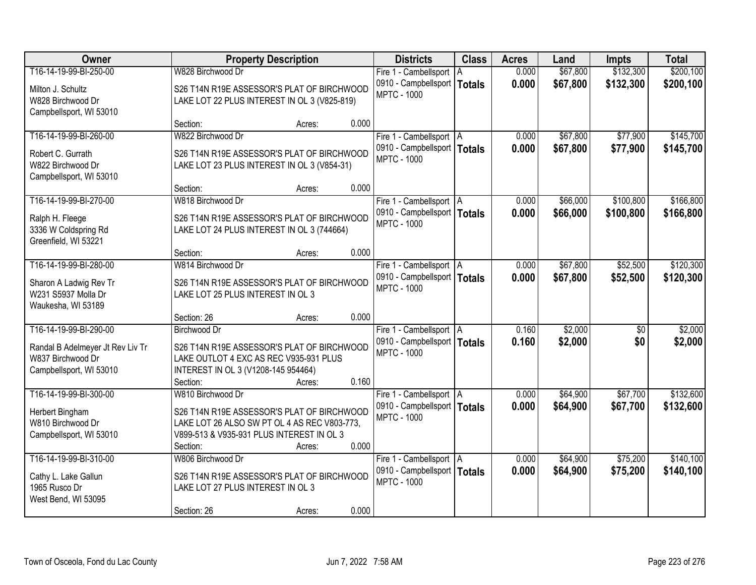| Owner                            |                                              | <b>Property Description</b> |       | <b>Districts</b>                                           | <b>Class</b> | <b>Acres</b>   | Land     | <b>Impts</b>           | <b>Total</b> |
|----------------------------------|----------------------------------------------|-----------------------------|-------|------------------------------------------------------------|--------------|----------------|----------|------------------------|--------------|
| T16-14-19-99-BI-250-00           | W828 Birchwood Dr                            |                             |       | Fire 1 - Cambellsport   A                                  |              | 0.000          | \$67,800 | \$132,300              | \$200,100    |
| Milton J. Schultz                | S26 T14N R19E ASSESSOR'S PLAT OF BIRCHWOOD   |                             |       | 0910 - Campbellsport   Totals                              |              | 0.000          | \$67,800 | \$132,300              | \$200,100    |
| W828 Birchwood Dr                | LAKE LOT 22 PLUS INTEREST IN OL 3 (V825-819) |                             |       | <b>MPTC - 1000</b>                                         |              |                |          |                        |              |
| Campbellsport, WI 53010          |                                              |                             |       |                                                            |              |                |          |                        |              |
|                                  | Section:                                     | Acres:                      | 0.000 |                                                            |              |                |          |                        |              |
| T16-14-19-99-BI-260-00           | W822 Birchwood Dr                            |                             |       | Fire 1 - Cambellsport   A                                  |              | 0.000          | \$67,800 | \$77,900               | \$145,700    |
| Robert C. Gurrath                | S26 T14N R19E ASSESSOR'S PLAT OF BIRCHWOOD   |                             |       | 0910 - Campbellsport   Totals<br><b>MPTC - 1000</b>        |              | 0.000          | \$67,800 | \$77,900               | \$145,700    |
| W822 Birchwood Dr                | LAKE LOT 23 PLUS INTEREST IN OL 3 (V854-31)  |                             |       |                                                            |              |                |          |                        |              |
| Campbellsport, WI 53010          |                                              |                             |       |                                                            |              |                |          |                        |              |
|                                  | Section:                                     | Acres:                      | 0.000 |                                                            |              |                |          |                        |              |
| T16-14-19-99-BI-270-00           | W818 Birchwood Dr                            |                             |       | Fire 1 - Cambellsport   A                                  |              | 0.000          | \$66,000 | \$100,800              | \$166,800    |
| Ralph H. Fleege                  | S26 T14N R19E ASSESSOR'S PLAT OF BIRCHWOOD   |                             |       | 0910 - Campbellsport   Totals<br><b>MPTC - 1000</b>        |              | 0.000          | \$66,000 | \$100,800              | \$166,800    |
| 3336 W Coldspring Rd             | LAKE LOT 24 PLUS INTEREST IN OL 3 (744664)   |                             |       |                                                            |              |                |          |                        |              |
| Greenfield, WI 53221             |                                              |                             |       |                                                            |              |                |          |                        |              |
|                                  | Section:                                     | Acres:                      | 0.000 |                                                            |              |                |          |                        |              |
| T16-14-19-99-BI-280-00           | W814 Birchwood Dr                            |                             |       | Fire 1 - Cambellsport   A                                  |              | 0.000          | \$67,800 | \$52,500               | \$120,300    |
| Sharon A Ladwig Rev Tr           | S26 T14N R19E ASSESSOR'S PLAT OF BIRCHWOOD   |                             |       | 0910 - Campbellsport   Totals<br><b>MPTC - 1000</b>        |              | 0.000          | \$67,800 | \$52,500               | \$120,300    |
| W231 S5937 Molla Dr              | LAKE LOT 25 PLUS INTEREST IN OL 3            |                             |       |                                                            |              |                |          |                        |              |
| Waukesha, WI 53189               |                                              |                             |       |                                                            |              |                |          |                        |              |
|                                  | Section: 26                                  | Acres:                      | 0.000 |                                                            |              |                |          |                        |              |
| T16-14-19-99-BI-290-00           | Birchwood Dr                                 |                             |       | Fire 1 - Cambellsport   A<br>0910 - Campbellsport   Totals |              | 0.160<br>0.160 | \$2,000  | $\overline{50}$<br>\$0 | \$2,000      |
| Randal B Adelmeyer Jt Rev Liv Tr | S26 T14N R19E ASSESSOR'S PLAT OF BIRCHWOOD   |                             |       | <b>MPTC - 1000</b>                                         |              |                | \$2,000  |                        | \$2,000      |
| W837 Birchwood Dr                | LAKE OUTLOT 4 EXC AS REC V935-931 PLUS       |                             |       |                                                            |              |                |          |                        |              |
| Campbellsport, WI 53010          | INTEREST IN OL 3 (V1208-145 954464)          |                             |       |                                                            |              |                |          |                        |              |
| T16-14-19-99-BI-300-00           | Section:<br>W810 Birchwood Dr                | Acres:                      | 0.160 |                                                            |              | 0.000          | \$64,900 | \$67,700               | \$132,600    |
|                                  |                                              |                             |       | Fire 1 - Cambellsport   A<br>0910 - Campbellsport   Totals |              | 0.000          | \$64,900 | \$67,700               | \$132,600    |
| Herbert Bingham                  | S26 T14N R19E ASSESSOR'S PLAT OF BIRCHWOOD   |                             |       | <b>MPTC - 1000</b>                                         |              |                |          |                        |              |
| W810 Birchwood Dr                | LAKE LOT 26 ALSO SW PT OL 4 AS REC V803-773. |                             |       |                                                            |              |                |          |                        |              |
| Campbellsport, WI 53010          | V899-513 & V935-931 PLUS INTEREST IN OL 3    |                             | 0.000 |                                                            |              |                |          |                        |              |
| T16-14-19-99-BI-310-00           | Section:<br>W806 Birchwood Dr                | Acres:                      |       |                                                            |              | 0.000          | \$64,900 | \$75,200               | \$140,100    |
|                                  |                                              |                             |       | Fire 1 - Cambellsport   A<br>0910 - Campbellsport   Totals |              | 0.000          | \$64,900 | \$75,200               | \$140,100    |
| Cathy L. Lake Gallun             | S26 T14N R19E ASSESSOR'S PLAT OF BIRCHWOOD   |                             |       | <b>MPTC - 1000</b>                                         |              |                |          |                        |              |
| 1965 Rusco Dr                    | LAKE LOT 27 PLUS INTEREST IN OL 3            |                             |       |                                                            |              |                |          |                        |              |
| West Bend, WI 53095              | Section: 26                                  |                             | 0.000 |                                                            |              |                |          |                        |              |
|                                  |                                              | Acres:                      |       |                                                            |              |                |          |                        |              |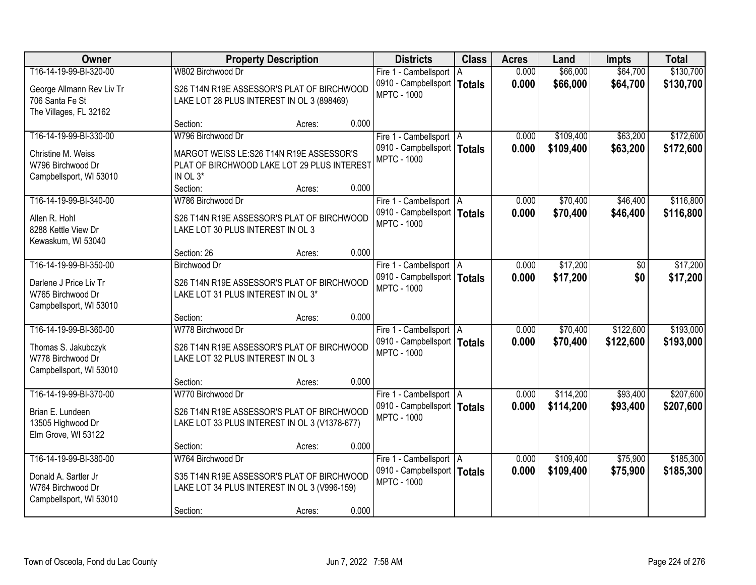| Owner                     |                                               | <b>Property Description</b> |       | <b>Districts</b>              | <b>Class</b> | <b>Acres</b> | Land      | <b>Impts</b> | <b>Total</b> |
|---------------------------|-----------------------------------------------|-----------------------------|-------|-------------------------------|--------------|--------------|-----------|--------------|--------------|
| T16-14-19-99-BI-320-00    | W802 Birchwood Dr                             |                             |       | Fire 1 - Cambellsport   A     |              | 0.000        | \$66,000  | \$64,700     | \$130,700    |
| George Allmann Rev Liv Tr | S26 T14N R19E ASSESSOR'S PLAT OF BIRCHWOOD    |                             |       | 0910 - Campbellsport   Totals |              | 0.000        | \$66,000  | \$64,700     | \$130,700    |
| 706 Santa Fe St           | LAKE LOT 28 PLUS INTEREST IN OL 3 (898469)    |                             |       | <b>MPTC - 1000</b>            |              |              |           |              |              |
| The Villages, FL 32162    |                                               |                             |       |                               |              |              |           |              |              |
|                           | Section:                                      | Acres:                      | 0.000 |                               |              |              |           |              |              |
| T16-14-19-99-BI-330-00    | W796 Birchwood Dr                             |                             |       | Fire 1 - Cambellsport   A     |              | 0.000        | \$109,400 | \$63,200     | \$172,600    |
| Christine M. Weiss        | MARGOT WEISS LE:S26 T14N R19E ASSESSOR'S      |                             |       | 0910 - Campbellsport   Totals |              | 0.000        | \$109,400 | \$63,200     | \$172,600    |
| W796 Birchwood Dr         | PLAT OF BIRCHWOOD LAKE LOT 29 PLUS INTEREST   |                             |       | <b>MPTC - 1000</b>            |              |              |           |              |              |
| Campbellsport, WI 53010   | IN OL 3*                                      |                             |       |                               |              |              |           |              |              |
|                           | Section:                                      | Acres:                      | 0.000 |                               |              |              |           |              |              |
| T16-14-19-99-BI-340-00    | W786 Birchwood Dr                             |                             |       | Fire 1 - Cambellsport   A     |              | 0.000        | \$70,400  | \$46,400     | \$116,800    |
| Allen R. Hohl             | S26 T14N R19E ASSESSOR'S PLAT OF BIRCHWOOD    |                             |       | 0910 - Campbellsport   Totals |              | 0.000        | \$70,400  | \$46,400     | \$116,800    |
| 8288 Kettle View Dr       | LAKE LOT 30 PLUS INTEREST IN OL 3             |                             |       | <b>MPTC - 1000</b>            |              |              |           |              |              |
| Kewaskum, WI 53040        |                                               |                             |       |                               |              |              |           |              |              |
|                           | Section: 26                                   | Acres:                      | 0.000 |                               |              |              |           |              |              |
| T16-14-19-99-BI-350-00    | <b>Birchwood Dr</b>                           |                             |       | Fire 1 - Cambellsport   A     |              | 0.000        | \$17,200  | \$0          | \$17,200     |
| Darlene J Price Liv Tr    | S26 T14N R19E ASSESSOR'S PLAT OF BIRCHWOOD    |                             |       | 0910 - Campbellsport   Totals |              | 0.000        | \$17,200  | \$0          | \$17,200     |
| W765 Birchwood Dr         | LAKE LOT 31 PLUS INTEREST IN OL 3*            |                             |       | <b>MPTC - 1000</b>            |              |              |           |              |              |
| Campbellsport, WI 53010   |                                               |                             |       |                               |              |              |           |              |              |
|                           | Section:                                      | Acres:                      | 0.000 |                               |              |              |           |              |              |
| T16-14-19-99-BI-360-00    | W778 Birchwood Dr                             |                             |       | Fire 1 - Cambellsport   A     |              | 0.000        | \$70,400  | \$122,600    | \$193,000    |
| Thomas S. Jakubczyk       | S26 T14N R19E ASSESSOR'S PLAT OF BIRCHWOOD    |                             |       | 0910 - Campbellsport   Totals |              | 0.000        | \$70,400  | \$122,600    | \$193,000    |
| W778 Birchwood Dr         | LAKE LOT 32 PLUS INTEREST IN OL 3             |                             |       | <b>MPTC - 1000</b>            |              |              |           |              |              |
| Campbellsport, WI 53010   |                                               |                             |       |                               |              |              |           |              |              |
|                           | Section:                                      | Acres:                      | 0.000 |                               |              |              |           |              |              |
| T16-14-19-99-BI-370-00    | W770 Birchwood Dr                             |                             |       | Fire 1 - Cambellsport   A     |              | 0.000        | \$114,200 | \$93,400     | \$207,600    |
| Brian E. Lundeen          | S26 T14N R19E ASSESSOR'S PLAT OF BIRCHWOOD    |                             |       | 0910 - Campbellsport   Totals |              | 0.000        | \$114,200 | \$93,400     | \$207,600    |
| 13505 Highwood Dr         | LAKE LOT 33 PLUS INTEREST IN OL 3 (V1378-677) |                             |       | <b>MPTC - 1000</b>            |              |              |           |              |              |
| Elm Grove, WI 53122       |                                               |                             |       |                               |              |              |           |              |              |
|                           | Section:                                      | Acres:                      | 0.000 |                               |              |              |           |              |              |
| T16-14-19-99-BI-380-00    | W764 Birchwood Dr                             |                             |       | Fire 1 - Cambellsport   A     |              | 0.000        | \$109,400 | \$75,900     | \$185,300    |
| Donald A. Sartler Jr      | S35 T14N R19E ASSESSOR'S PLAT OF BIRCHWOOD    |                             |       | 0910 - Campbellsport   Totals |              | 0.000        | \$109,400 | \$75,900     | \$185,300    |
| W764 Birchwood Dr         | LAKE LOT 34 PLUS INTEREST IN OL 3 (V996-159)  |                             |       | <b>MPTC - 1000</b>            |              |              |           |              |              |
| Campbellsport, WI 53010   |                                               |                             |       |                               |              |              |           |              |              |
|                           | Section:                                      | Acres:                      | 0.000 |                               |              |              |           |              |              |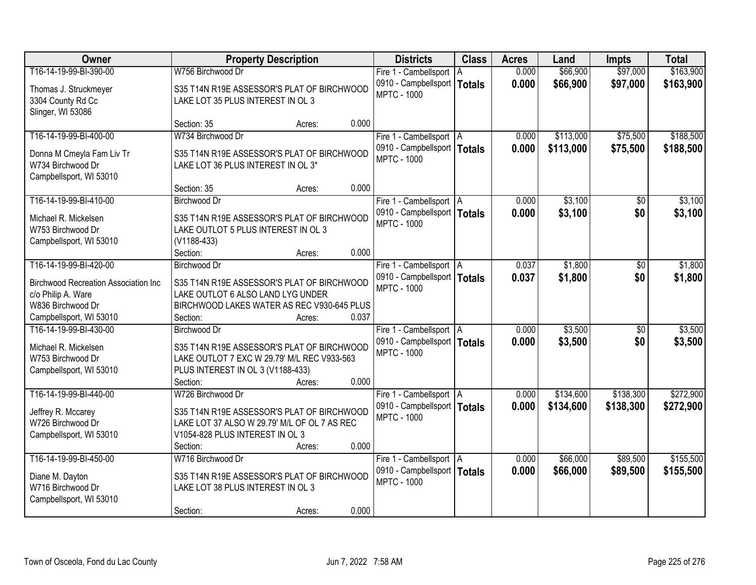| Owner                                                                                        | <b>Property Description</b>                                                                                                                                                       | <b>Districts</b>                                                                 | <b>Class</b> | <b>Acres</b>   | Land                   | <b>Impts</b>           | <b>Total</b>           |
|----------------------------------------------------------------------------------------------|-----------------------------------------------------------------------------------------------------------------------------------------------------------------------------------|----------------------------------------------------------------------------------|--------------|----------------|------------------------|------------------------|------------------------|
| T16-14-19-99-BI-390-00                                                                       | W756 Birchwood Dr                                                                                                                                                                 | Fire 1 - Cambellsport                                                            | l A          | 0.000          | \$66,900               | \$97,000               | \$163,900              |
| Thomas J. Struckmeyer<br>3304 County Rd Cc<br>Slinger, WI 53086                              | S35 T14N R19E ASSESSOR'S PLAT OF BIRCHWOOD<br>LAKE LOT 35 PLUS INTEREST IN OL 3                                                                                                   | 0910 - Campbellsport   Totals<br><b>MPTC - 1000</b>                              |              | 0.000          | \$66,900               | \$97,000               | \$163,900              |
|                                                                                              | 0.000<br>Section: 35<br>Acres:                                                                                                                                                    |                                                                                  |              |                |                        |                        |                        |
| T16-14-19-99-BI-400-00                                                                       | W734 Birchwood Dr                                                                                                                                                                 | Fire 1 - Cambellsport   A                                                        |              | 0.000          | \$113,000              | \$75,500               | \$188,500              |
| Donna M Cmeyla Fam Liv Tr<br>W734 Birchwood Dr<br>Campbellsport, WI 53010                    | S35 T14N R19E ASSESSOR'S PLAT OF BIRCHWOOD<br>LAKE LOT 36 PLUS INTEREST IN OL 3*                                                                                                  | 0910 - Campbellsport   Totals<br><b>MPTC - 1000</b>                              |              | 0.000          | \$113,000              | \$75,500               | \$188,500              |
|                                                                                              | 0.000<br>Section: 35<br>Acres:                                                                                                                                                    |                                                                                  |              |                |                        |                        |                        |
| T16-14-19-99-BI-410-00                                                                       | <b>Birchwood Dr</b>                                                                                                                                                               | Fire 1 - Cambellsport   A                                                        |              | 0.000          | \$3,100                | $\sqrt[6]{}$           | \$3,100                |
| Michael R. Mickelsen<br>W753 Birchwood Dr<br>Campbellsport, WI 53010                         | S35 T14N R19E ASSESSOR'S PLAT OF BIRCHWOOD<br>LAKE OUTLOT 5 PLUS INTEREST IN OL 3<br>$(V1188-433)$                                                                                | 0910 - Campbellsport   Totals<br><b>MPTC - 1000</b>                              |              | 0.000          | \$3,100                | \$0                    | \$3,100                |
|                                                                                              | 0.000<br>Section:<br>Acres:                                                                                                                                                       |                                                                                  |              |                |                        |                        |                        |
| T16-14-19-99-BI-420-00                                                                       | Birchwood Dr                                                                                                                                                                      | Fire 1 - Cambellsport   A                                                        |              | 0.037          | \$1,800                | \$0                    | \$1,800                |
| <b>Birchwood Recreation Association Inc</b><br>c/o Philip A. Ware                            | S35 T14N R19E ASSESSOR'S PLAT OF BIRCHWOOD<br>LAKE OUTLOT 6 ALSO LAND LYG UNDER                                                                                                   | 0910 - Campbellsport   Totals<br><b>MPTC - 1000</b>                              |              | 0.037          | \$1,800                | \$0                    | \$1,800                |
| W836 Birchwood Dr                                                                            | BIRCHWOOD LAKES WATER AS REC V930-645 PLUS                                                                                                                                        |                                                                                  |              |                |                        |                        |                        |
| Campbellsport, WI 53010<br>T16-14-19-99-BI-430-00                                            | 0.037<br>Section:<br>Acres:<br>Birchwood Dr                                                                                                                                       |                                                                                  |              | 0.000          | \$3,500                | $\overline{50}$        | \$3,500                |
| Michael R. Mickelsen<br>W753 Birchwood Dr<br>Campbellsport, WI 53010                         | S35 T14N R19E ASSESSOR'S PLAT OF BIRCHWOOD<br>LAKE OUTLOT 7 EXC W 29.79' M/L REC V933-563<br>PLUS INTEREST IN OL 3 (V1188-433)                                                    | Fire 1 - Cambellsport   A<br>0910 - Campbellsport   Totals<br><b>MPTC - 1000</b> |              | 0.000          | \$3,500                | \$0                    | \$3,500                |
|                                                                                              | 0.000<br>Section:<br>Acres:                                                                                                                                                       |                                                                                  |              |                |                        |                        |                        |
| T16-14-19-99-BI-440-00<br>Jeffrey R. Mccarey<br>W726 Birchwood Dr<br>Campbellsport, WI 53010 | W726 Birchwood Dr<br>S35 T14N R19E ASSESSOR'S PLAT OF BIRCHWOOD<br>LAKE LOT 37 ALSO W 29.79' M/L OF OL 7 AS REC<br>V1054-828 PLUS INTEREST IN OL 3<br>0.000<br>Section:<br>Acres: | Fire 1 - Cambellsport   A<br>0910 - Campbellsport   Totals<br><b>MPTC - 1000</b> |              | 0.000<br>0.000 | \$134,600<br>\$134,600 | \$138,300<br>\$138,300 | \$272,900<br>\$272,900 |
| T16-14-19-99-BI-450-00                                                                       | W716 Birchwood Dr                                                                                                                                                                 | Fire 1 - Cambellsport   A                                                        |              | 0.000          | \$66,000               | \$89,500               | \$155,500              |
| Diane M. Dayton<br>W716 Birchwood Dr<br>Campbellsport, WI 53010                              | S35 T14N R19E ASSESSOR'S PLAT OF BIRCHWOOD<br>LAKE LOT 38 PLUS INTEREST IN OL 3                                                                                                   | 0910 - Campbellsport   Totals<br><b>MPTC - 1000</b>                              |              | 0.000          | \$66,000               | \$89,500               | \$155,500              |
|                                                                                              | 0.000<br>Section:<br>Acres:                                                                                                                                                       |                                                                                  |              |                |                        |                        |                        |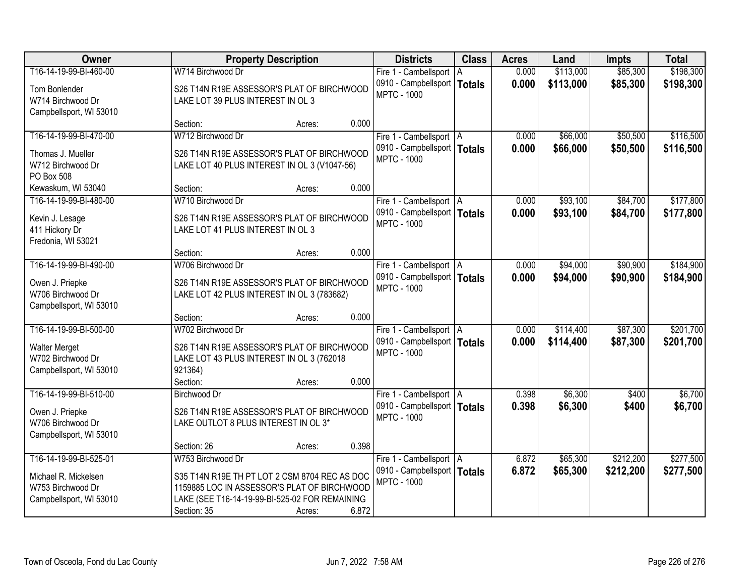| Owner                   |                                                | <b>Property Description</b> |       | <b>Districts</b>              | <b>Class</b> | <b>Acres</b> | Land      | <b>Impts</b> | <b>Total</b> |
|-------------------------|------------------------------------------------|-----------------------------|-------|-------------------------------|--------------|--------------|-----------|--------------|--------------|
| T16-14-19-99-BI-460-00  | W714 Birchwood Dr                              |                             |       | Fire 1 - Cambellsport   A     |              | 0.000        | \$113,000 | \$85,300     | \$198,300    |
| Tom Bonlender           | S26 T14N R19E ASSESSOR'S PLAT OF BIRCHWOOD     |                             |       | 0910 - Campbellsport   Totals |              | 0.000        | \$113,000 | \$85,300     | \$198,300    |
| W714 Birchwood Dr       | LAKE LOT 39 PLUS INTEREST IN OL 3              |                             |       | <b>MPTC - 1000</b>            |              |              |           |              |              |
| Campbellsport, WI 53010 |                                                |                             |       |                               |              |              |           |              |              |
|                         | Section:                                       | Acres:                      | 0.000 |                               |              |              |           |              |              |
| T16-14-19-99-BI-470-00  | W712 Birchwood Dr                              |                             |       | Fire 1 - Cambellsport   A     |              | 0.000        | \$66,000  | \$50,500     | \$116,500    |
| Thomas J. Mueller       | S26 T14N R19E ASSESSOR'S PLAT OF BIRCHWOOD     |                             |       | 0910 - Campbellsport   Totals |              | 0.000        | \$66,000  | \$50,500     | \$116,500    |
| W712 Birchwood Dr       | LAKE LOT 40 PLUS INTEREST IN OL 3 (V1047-56)   |                             |       | <b>MPTC - 1000</b>            |              |              |           |              |              |
| PO Box 508              |                                                |                             |       |                               |              |              |           |              |              |
| Kewaskum, WI 53040      | Section:                                       | Acres:                      | 0.000 |                               |              |              |           |              |              |
| T16-14-19-99-BI-480-00  | W710 Birchwood Dr                              |                             |       | Fire 1 - Cambellsport   A     |              | 0.000        | \$93,100  | \$84,700     | \$177,800    |
| Kevin J. Lesage         | S26 T14N R19E ASSESSOR'S PLAT OF BIRCHWOOD     |                             |       | 0910 - Campbellsport   Totals |              | 0.000        | \$93,100  | \$84,700     | \$177,800    |
| 411 Hickory Dr          | LAKE LOT 41 PLUS INTEREST IN OL 3              |                             |       | <b>MPTC - 1000</b>            |              |              |           |              |              |
| Fredonia, WI 53021      |                                                |                             |       |                               |              |              |           |              |              |
|                         | Section:                                       | Acres:                      | 0.000 |                               |              |              |           |              |              |
| T16-14-19-99-BI-490-00  | W706 Birchwood Dr                              |                             |       | Fire 1 - Cambellsport   A     |              | 0.000        | \$94,000  | \$90,900     | \$184,900    |
| Owen J. Priepke         | S26 T14N R19E ASSESSOR'S PLAT OF BIRCHWOOD     |                             |       | 0910 - Campbellsport   Totals |              | 0.000        | \$94,000  | \$90,900     | \$184,900    |
| W706 Birchwood Dr       | LAKE LOT 42 PLUS INTEREST IN OL 3 (783682)     |                             |       | <b>MPTC - 1000</b>            |              |              |           |              |              |
| Campbellsport, WI 53010 |                                                |                             |       |                               |              |              |           |              |              |
|                         | Section:                                       | Acres:                      | 0.000 |                               |              |              |           |              |              |
| T16-14-19-99-BI-500-00  | W702 Birchwood Dr                              |                             |       | Fire 1 - Cambellsport   A     |              | 0.000        | \$114,400 | \$87,300     | \$201,700    |
| <b>Walter Merget</b>    | S26 T14N R19E ASSESSOR'S PLAT OF BIRCHWOOD     |                             |       | 0910 - Campbellsport   Totals |              | 0.000        | \$114,400 | \$87,300     | \$201,700    |
| W702 Birchwood Dr       | LAKE LOT 43 PLUS INTEREST IN OL 3 (762018      |                             |       | <b>MPTC - 1000</b>            |              |              |           |              |              |
| Campbellsport, WI 53010 | 921364)                                        |                             |       |                               |              |              |           |              |              |
|                         | Section:                                       | Acres:                      | 0.000 |                               |              |              |           |              |              |
| T16-14-19-99-BI-510-00  | <b>Birchwood Dr</b>                            |                             |       | Fire 1 - Cambellsport   A     |              | 0.398        | \$6,300   | \$400        | \$6,700      |
| Owen J. Priepke         | S26 T14N R19E ASSESSOR'S PLAT OF BIRCHWOOD     |                             |       | 0910 - Campbellsport   Totals |              | 0.398        | \$6,300   | \$400        | \$6,700      |
| W706 Birchwood Dr       | LAKE OUTLOT 8 PLUS INTEREST IN OL 3*           |                             |       | <b>MPTC - 1000</b>            |              |              |           |              |              |
| Campbellsport, WI 53010 |                                                |                             |       |                               |              |              |           |              |              |
|                         | Section: 26                                    | Acres:                      | 0.398 |                               |              |              |           |              |              |
| T16-14-19-99-BI-525-01  | W753 Birchwood Dr                              |                             |       | Fire 1 - Cambellsport   A     |              | 6.872        | \$65,300  | \$212,200    | \$277,500    |
| Michael R. Mickelsen    | S35 T14N R19E TH PT LOT 2 CSM 8704 REC AS DOC  |                             |       | 0910 - Campbellsport   Totals |              | 6.872        | \$65,300  | \$212,200    | \$277,500    |
| W753 Birchwood Dr       | 1159885 LOC IN ASSESSOR'S PLAT OF BIRCHWOOD    |                             |       | <b>MPTC - 1000</b>            |              |              |           |              |              |
| Campbellsport, WI 53010 | LAKE (SEE T16-14-19-99-BI-525-02 FOR REMAINING |                             |       |                               |              |              |           |              |              |
|                         | Section: 35                                    | Acres:                      | 6.872 |                               |              |              |           |              |              |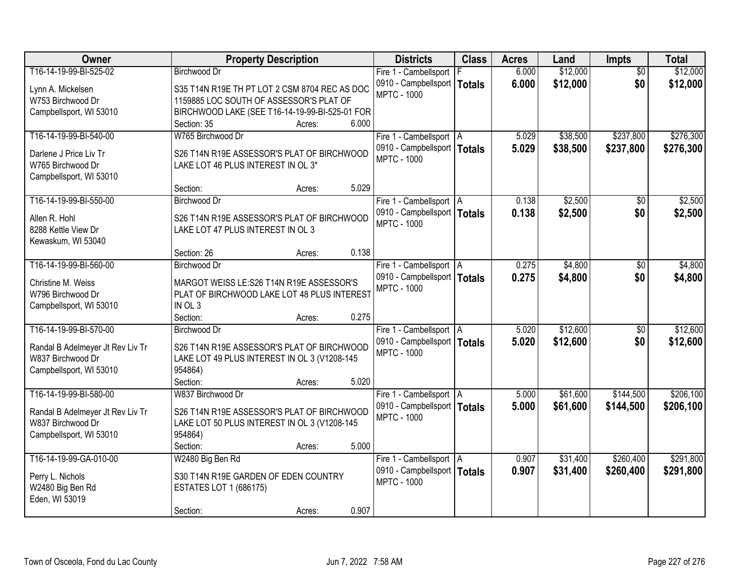| Owner                                                 | <b>Property Description</b>                                                      |        |       | <b>Districts</b>                                    | <b>Class</b> | <b>Acres</b> | Land     | <b>Impts</b>    | <b>Total</b> |
|-------------------------------------------------------|----------------------------------------------------------------------------------|--------|-------|-----------------------------------------------------|--------------|--------------|----------|-----------------|--------------|
| T16-14-19-99-BI-525-02                                | <b>Birchwood Dr</b>                                                              |        |       | Fire 1 - Cambellsport                               |              | 6.000        | \$12,000 | $\overline{30}$ | \$12,000     |
| Lynn A. Mickelsen                                     | S35 T14N R19E TH PT LOT 2 CSM 8704 REC AS DOC                                    |        |       | 0910 - Campbellsport   Totals                       |              | 6.000        | \$12,000 | \$0             | \$12,000     |
| W753 Birchwood Dr                                     | 1159885 LOC SOUTH OF ASSESSOR'S PLAT OF                                          |        |       | <b>MPTC - 1000</b>                                  |              |              |          |                 |              |
| Campbellsport, WI 53010                               | BIRCHWOOD LAKE (SEE T16-14-19-99-BI-525-01 FOR                                   |        |       |                                                     |              |              |          |                 |              |
|                                                       | Section: 35                                                                      | Acres: | 6.000 |                                                     |              |              |          |                 |              |
| T16-14-19-99-BI-540-00                                | W765 Birchwood Dr                                                                |        |       | Fire 1 - Cambellsport   A                           |              | 5.029        | \$38,500 | \$237,800       | \$276,300    |
| Darlene J Price Liv Tr                                |                                                                                  |        |       | 0910 - Campbellsport   Totals                       |              | 5.029        | \$38,500 | \$237,800       | \$276,300    |
| W765 Birchwood Dr                                     | S26 T14N R19E ASSESSOR'S PLAT OF BIRCHWOOD<br>LAKE LOT 46 PLUS INTEREST IN OL 3* |        |       | <b>MPTC - 1000</b>                                  |              |              |          |                 |              |
| Campbellsport, WI 53010                               |                                                                                  |        |       |                                                     |              |              |          |                 |              |
|                                                       | Section:                                                                         | Acres: | 5.029 |                                                     |              |              |          |                 |              |
| T16-14-19-99-BI-550-00                                | <b>Birchwood Dr</b>                                                              |        |       | Fire 1 - Cambellsport   A                           |              | 0.138        | \$2,500  | \$0             | \$2,500      |
|                                                       |                                                                                  |        |       | 0910 - Campbellsport   Totals                       |              | 0.138        | \$2,500  | \$0             | \$2,500      |
| Allen R. Hohl                                         | S26 T14N R19E ASSESSOR'S PLAT OF BIRCHWOOD                                       |        |       | <b>MPTC - 1000</b>                                  |              |              |          |                 |              |
| 8288 Kettle View Dr                                   | LAKE LOT 47 PLUS INTEREST IN OL 3                                                |        |       |                                                     |              |              |          |                 |              |
| Kewaskum, WI 53040                                    | Section: 26                                                                      |        | 0.138 |                                                     |              |              |          |                 |              |
| T16-14-19-99-BI-560-00                                | <b>Birchwood Dr</b>                                                              | Acres: |       |                                                     |              |              |          |                 |              |
|                                                       |                                                                                  |        |       | Fire 1 - Cambellsport   A                           |              | 0.275        | \$4,800  | $\sqrt[6]{}$    | \$4,800      |
| Christine M. Weiss                                    | MARGOT WEISS LE:S26 T14N R19E ASSESSOR'S                                         |        |       | 0910 - Campbellsport   Totals<br><b>MPTC - 1000</b> |              | 0.275        | \$4,800  | \$0             | \$4,800      |
| W796 Birchwood Dr                                     | PLAT OF BIRCHWOOD LAKE LOT 48 PLUS INTEREST                                      |        |       |                                                     |              |              |          |                 |              |
| Campbellsport, WI 53010                               | IN OL 3                                                                          |        |       |                                                     |              |              |          |                 |              |
|                                                       | Section:                                                                         | Acres: | 0.275 |                                                     |              |              |          |                 |              |
| T16-14-19-99-BI-570-00                                | <b>Birchwood Dr</b>                                                              |        |       | Fire 1 - Cambellsport   A                           |              | 5.020        | \$12,600 | \$0             | \$12,600     |
| Randal B Adelmeyer Jt Rev Liv Tr                      | S26 T14N R19E ASSESSOR'S PLAT OF BIRCHWOOD                                       |        |       | 0910 - Campbellsport   Totals                       |              | 5.020        | \$12,600 | \$0             | \$12,600     |
| W837 Birchwood Dr                                     | LAKE LOT 49 PLUS INTEREST IN OL 3 (V1208-145                                     |        |       | <b>MPTC - 1000</b>                                  |              |              |          |                 |              |
| Campbellsport, WI 53010                               | 954864)                                                                          |        |       |                                                     |              |              |          |                 |              |
|                                                       | Section:                                                                         | Acres: | 5.020 |                                                     |              |              |          |                 |              |
| T16-14-19-99-BI-580-00                                | W837 Birchwood Dr                                                                |        |       | Fire 1 - Cambellsport   A                           |              | 5.000        | \$61,600 | \$144,500       | \$206,100    |
|                                                       | S26 T14N R19E ASSESSOR'S PLAT OF BIRCHWOOD                                       |        |       | 0910 - Campbellsport   Totals                       |              | 5.000        | \$61,600 | \$144,500       | \$206,100    |
| Randal B Adelmeyer Jt Rev Liv Tr<br>W837 Birchwood Dr | LAKE LOT 50 PLUS INTEREST IN OL 3 (V1208-145                                     |        |       | <b>MPTC - 1000</b>                                  |              |              |          |                 |              |
| Campbellsport, WI 53010                               | 954864)                                                                          |        |       |                                                     |              |              |          |                 |              |
|                                                       | Section:                                                                         | Acres: | 5.000 |                                                     |              |              |          |                 |              |
| T16-14-19-99-GA-010-00                                | W2480 Big Ben Rd                                                                 |        |       | Fire 1 - Cambellsport   A                           |              | 0.907        | \$31,400 | \$260,400       | \$291,800    |
|                                                       |                                                                                  |        |       | 0910 - Campbellsport   Totals                       |              | 0.907        | \$31,400 | \$260,400       | \$291,800    |
| Perry L. Nichols                                      | S30 T14N R19E GARDEN OF EDEN COUNTRY                                             |        |       | <b>MPTC - 1000</b>                                  |              |              |          |                 |              |
| W2480 Big Ben Rd                                      | <b>ESTATES LOT 1 (686175)</b>                                                    |        |       |                                                     |              |              |          |                 |              |
| Eden, WI 53019                                        |                                                                                  |        |       |                                                     |              |              |          |                 |              |
|                                                       | Section:                                                                         | Acres: | 0.907 |                                                     |              |              |          |                 |              |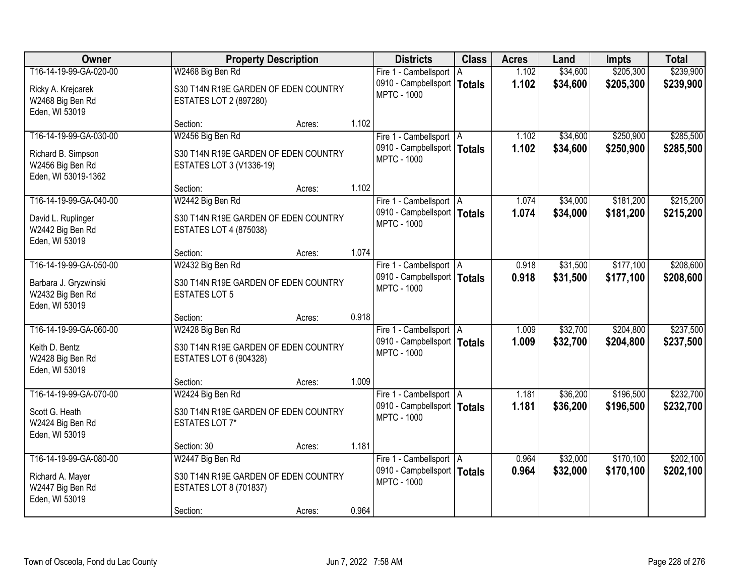| Owner                                                                                   | <b>Property Description</b>                                                                           |                 | <b>Districts</b>                                                                 | <b>Class</b> | <b>Acres</b>   | Land                 | <b>Impts</b>           | <b>Total</b>           |
|-----------------------------------------------------------------------------------------|-------------------------------------------------------------------------------------------------------|-----------------|----------------------------------------------------------------------------------|--------------|----------------|----------------------|------------------------|------------------------|
| T16-14-19-99-GA-020-00                                                                  | W2468 Big Ben Rd                                                                                      |                 | Fire 1 - Cambellsport   A                                                        |              | 1.102          | \$34,600             | \$205,300              | \$239,900              |
| Ricky A. Krejcarek<br>W2468 Big Ben Rd<br>Eden, WI 53019                                | S30 T14N R19E GARDEN OF EDEN COUNTRY<br><b>ESTATES LOT 2 (897280)</b>                                 |                 | 0910 - Campbellsport   Totals<br><b>MPTC - 1000</b>                              |              | 1.102          | \$34,600             | \$205,300              | \$239,900              |
|                                                                                         | Section:                                                                                              | 1.102<br>Acres: |                                                                                  |              |                |                      |                        |                        |
| T16-14-19-99-GA-030-00<br>Richard B. Simpson<br>W2456 Big Ben Rd<br>Eden, WI 53019-1362 | W2456 Big Ben Rd<br>S30 T14N R19E GARDEN OF EDEN COUNTRY<br>ESTATES LOT 3 (V1336-19)                  |                 | Fire 1 - Cambellsport   A<br>0910 - Campbellsport   Totals<br><b>MPTC - 1000</b> |              | 1.102<br>1.102 | \$34,600<br>\$34,600 | \$250,900<br>\$250,900 | \$285,500<br>\$285,500 |
|                                                                                         | Section:                                                                                              | 1.102<br>Acres: |                                                                                  |              |                |                      |                        |                        |
| T16-14-19-99-GA-040-00                                                                  | W2442 Big Ben Rd                                                                                      |                 | Fire 1 - Cambellsport   A                                                        |              | 1.074          | \$34,000             | \$181,200              | \$215,200              |
| David L. Ruplinger<br>W2442 Big Ben Rd<br>Eden, WI 53019                                | S30 T14N R19E GARDEN OF EDEN COUNTRY<br><b>ESTATES LOT 4 (875038)</b>                                 |                 | 0910 - Campbellsport   Totals<br><b>MPTC - 1000</b>                              |              | 1.074          | \$34,000             | \$181,200              | \$215,200              |
|                                                                                         | Section:                                                                                              | 1.074<br>Acres: |                                                                                  |              |                |                      |                        |                        |
| T16-14-19-99-GA-050-00                                                                  | W2432 Big Ben Rd                                                                                      |                 | Fire 1 - Cambellsport   A                                                        |              | 0.918          | \$31,500             | \$177,100              | \$208,600              |
| Barbara J. Gryzwinski<br>W2432 Big Ben Rd<br>Eden, WI 53019                             | S30 T14N R19E GARDEN OF EDEN COUNTRY<br><b>ESTATES LOT 5</b>                                          |                 | 0910 - Campbellsport   Totals<br><b>MPTC - 1000</b>                              |              | 0.918          | \$31,500             | \$177,100              | \$208,600              |
|                                                                                         | Section:                                                                                              | 0.918<br>Acres: |                                                                                  |              |                |                      |                        |                        |
| T16-14-19-99-GA-060-00<br>Keith D. Bentz<br>W2428 Big Ben Rd<br>Eden, WI 53019          | W2428 Big Ben Rd<br>S30 T14N R19E GARDEN OF EDEN COUNTRY<br><b>ESTATES LOT 6 (904328)</b>             |                 | Fire 1 - Cambellsport   A<br>0910 - Campbellsport   Totals<br><b>MPTC - 1000</b> |              | 1.009<br>1.009 | \$32,700<br>\$32,700 | \$204,800<br>\$204,800 | \$237,500<br>\$237,500 |
|                                                                                         | Section:                                                                                              | 1.009<br>Acres: |                                                                                  |              |                |                      |                        |                        |
| T16-14-19-99-GA-070-00<br>Scott G. Heath<br>W2424 Big Ben Rd<br>Eden, WI 53019          | W2424 Big Ben Rd<br>S30 T14N R19E GARDEN OF EDEN COUNTRY<br><b>ESTATES LOT 7*</b>                     |                 | Fire 1 - Cambellsport   A<br>0910 - Campbellsport   Totals<br><b>MPTC - 1000</b> |              | 1.181<br>1.181 | \$36,200<br>\$36,200 | \$196,500<br>\$196,500 | \$232,700<br>\$232,700 |
|                                                                                         | Section: 30                                                                                           | 1.181<br>Acres: |                                                                                  |              |                |                      |                        |                        |
| T16-14-19-99-GA-080-00<br>Richard A. Mayer<br>W2447 Big Ben Rd<br>Eden, WI 53019        | W2447 Big Ben Rd<br>S30 T14N R19E GARDEN OF EDEN COUNTRY<br><b>ESTATES LOT 8 (701837)</b><br>Section: | 0.964<br>Acres: | Fire 1 - Cambellsport   A<br>0910 - Campbellsport   Totals<br><b>MPTC - 1000</b> |              | 0.964<br>0.964 | \$32,000<br>\$32,000 | \$170,100<br>\$170,100 | \$202,100<br>\$202,100 |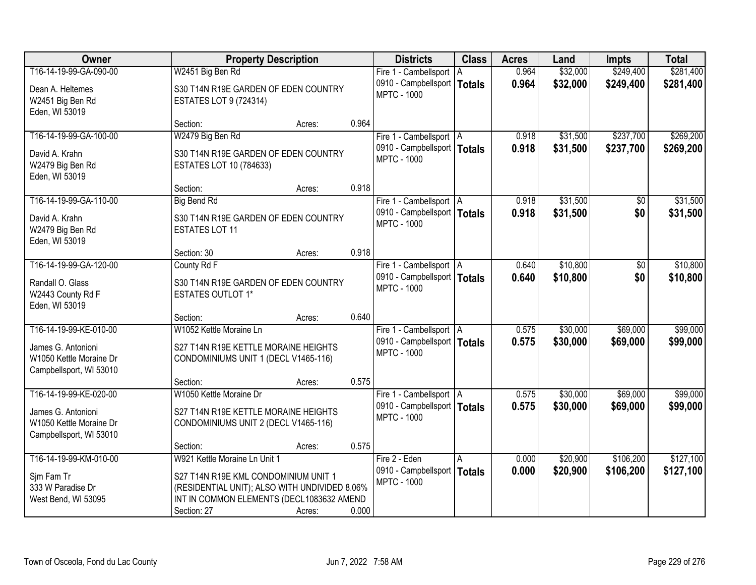| Owner                   |                                               | <b>Property Description</b> |       | <b>Districts</b>                                    | <b>Class</b> | <b>Acres</b> | Land     | <b>Impts</b> | <b>Total</b> |
|-------------------------|-----------------------------------------------|-----------------------------|-------|-----------------------------------------------------|--------------|--------------|----------|--------------|--------------|
| T16-14-19-99-GA-090-00  | W2451 Big Ben Rd                              |                             |       | Fire 1 - Cambellsport                               | l A          | 0.964        | \$32,000 | \$249,400    | \$281,400    |
| Dean A. Heltemes        | S30 T14N R19E GARDEN OF EDEN COUNTRY          |                             |       | 0910 - Campbellsport   Totals                       |              | 0.964        | \$32,000 | \$249,400    | \$281,400    |
| W2451 Big Ben Rd        | <b>ESTATES LOT 9 (724314)</b>                 |                             |       | <b>MPTC - 1000</b>                                  |              |              |          |              |              |
| Eden, WI 53019          |                                               |                             |       |                                                     |              |              |          |              |              |
|                         | Section:                                      | Acres:                      | 0.964 |                                                     |              |              |          |              |              |
| T16-14-19-99-GA-100-00  | W2479 Big Ben Rd                              |                             |       | Fire 1 - Cambellsport   A                           |              | 0.918        | \$31,500 | \$237,700    | \$269,200    |
| David A. Krahn          | S30 T14N R19E GARDEN OF EDEN COUNTRY          |                             |       | 0910 - Campbellsport   Totals<br><b>MPTC - 1000</b> |              | 0.918        | \$31,500 | \$237,700    | \$269,200    |
| W2479 Big Ben Rd        | ESTATES LOT 10 (784633)                       |                             |       |                                                     |              |              |          |              |              |
| Eden, WI 53019          |                                               |                             |       |                                                     |              |              |          |              |              |
|                         | Section:                                      | Acres:                      | 0.918 |                                                     |              |              |          |              |              |
| T16-14-19-99-GA-110-00  | <b>Big Bend Rd</b>                            |                             |       | Fire 1 - Cambellsport   A                           |              | 0.918        | \$31,500 | $\sqrt[6]{}$ | \$31,500     |
| David A. Krahn          | S30 T14N R19E GARDEN OF EDEN COUNTRY          |                             |       | 0910 - Campbellsport   Totals<br><b>MPTC - 1000</b> |              | 0.918        | \$31,500 | \$0          | \$31,500     |
| W2479 Big Ben Rd        | <b>ESTATES LOT 11</b>                         |                             |       |                                                     |              |              |          |              |              |
| Eden, WI 53019          |                                               |                             |       |                                                     |              |              |          |              |              |
|                         | Section: 30                                   | Acres:                      | 0.918 |                                                     |              |              |          |              |              |
| T16-14-19-99-GA-120-00  | County Rd F                                   |                             |       | Fire 1 - Cambellsport   A                           |              | 0.640        | \$10,800 | \$0          | \$10,800     |
| Randall O. Glass        | S30 T14N R19E GARDEN OF EDEN COUNTRY          |                             |       | 0910 - Campbellsport   Totals<br><b>MPTC - 1000</b> |              | 0.640        | \$10,800 | \$0          | \$10,800     |
| W2443 County Rd F       | <b>ESTATES OUTLOT 1*</b>                      |                             |       |                                                     |              |              |          |              |              |
| Eden, WI 53019          |                                               |                             |       |                                                     |              |              |          |              |              |
|                         | Section:                                      | Acres:                      | 0.640 |                                                     |              |              |          |              |              |
| T16-14-19-99-KE-010-00  | W1052 Kettle Moraine Ln                       |                             |       | Fire 1 - Cambellsport   A                           |              | 0.575        | \$30,000 | \$69,000     | \$99,000     |
| James G. Antonioni      | S27 T14N R19E KETTLE MORAINE HEIGHTS          |                             |       | 0910 - Campbellsport   Totals<br><b>MPTC - 1000</b> |              | 0.575        | \$30,000 | \$69,000     | \$99,000     |
| W1050 Kettle Moraine Dr | CONDOMINIUMS UNIT 1 (DECL V1465-116)          |                             |       |                                                     |              |              |          |              |              |
| Campbellsport, WI 53010 |                                               |                             |       |                                                     |              |              |          |              |              |
|                         | Section:                                      | Acres:                      | 0.575 |                                                     |              |              |          |              |              |
| T16-14-19-99-KE-020-00  | W1050 Kettle Moraine Dr                       |                             |       | Fire 1 - Cambellsport   A                           |              | 0.575        | \$30,000 | \$69,000     | \$99,000     |
| James G. Antonioni      | S27 T14N R19E KETTLE MORAINE HEIGHTS          |                             |       | 0910 - Campbellsport   Totals<br><b>MPTC - 1000</b> |              | 0.575        | \$30,000 | \$69,000     | \$99,000     |
| W1050 Kettle Moraine Dr | CONDOMINIUMS UNIT 2 (DECL V1465-116)          |                             |       |                                                     |              |              |          |              |              |
| Campbellsport, WI 53010 |                                               |                             |       |                                                     |              |              |          |              |              |
| T16-14-19-99-KM-010-00  | Section:<br>W921 Kettle Moraine Ln Unit 1     | Acres:                      | 0.575 | Fire 2 - Eden                                       | A            | 0.000        | \$20,900 | \$106,200    | \$127,100    |
|                         |                                               |                             |       | 0910 - Campbellsport   Totals                       |              | 0.000        | \$20,900 | \$106,200    | \$127,100    |
| Sim Fam Tr              | S27 T14N R19E KML CONDOMINIUM UNIT 1          |                             |       | <b>MPTC - 1000</b>                                  |              |              |          |              |              |
| 333 W Paradise Dr       | (RESIDENTIAL UNIT); ALSO WITH UNDIVIDED 8.06% |                             |       |                                                     |              |              |          |              |              |
| West Bend, WI 53095     | INT IN COMMON ELEMENTS (DECL1083632 AMEND     |                             |       |                                                     |              |              |          |              |              |
|                         | Section: 27                                   | Acres:                      | 0.000 |                                                     |              |              |          |              |              |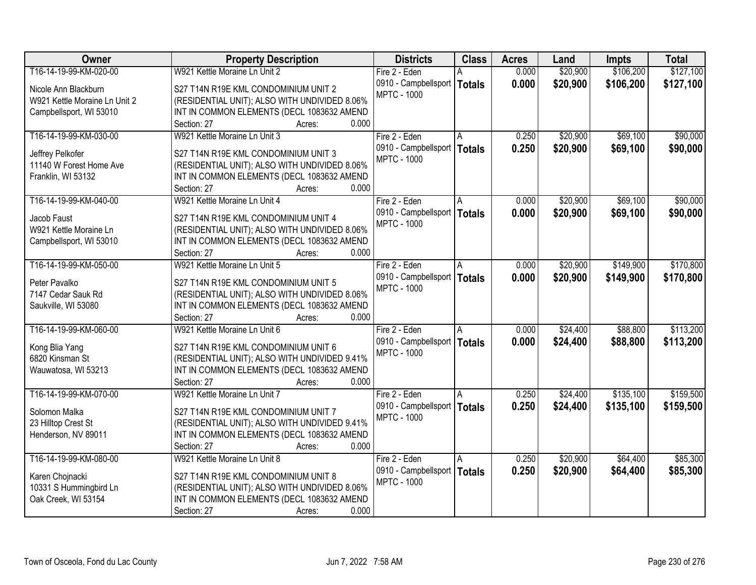| Owner                         | <b>Property Description</b>                   | <b>Districts</b>              | <b>Class</b>  | <b>Acres</b> | Land     | <b>Impts</b> | <b>Total</b> |
|-------------------------------|-----------------------------------------------|-------------------------------|---------------|--------------|----------|--------------|--------------|
| T16-14-19-99-KM-020-00        | W921 Kettle Moraine Ln Unit 2                 | Fire 2 - Eden                 |               | 0.000        | \$20,900 | \$106,200    | \$127,100    |
| Nicole Ann Blackburn          | S27 T14N R19E KML CONDOMINIUM UNIT 2          | 0910 - Campbellsport          | <b>Totals</b> | 0.000        | \$20,900 | \$106,200    | \$127,100    |
| W921 Kettle Moraine Ln Unit 2 | (RESIDENTIAL UNIT); ALSO WITH UNDIVIDED 8.06% | <b>MPTC - 1000</b>            |               |              |          |              |              |
| Campbellsport, WI 53010       | INT IN COMMON ELEMENTS (DECL 1083632 AMEND    |                               |               |              |          |              |              |
|                               | 0.000<br>Section: 27<br>Acres:                |                               |               |              |          |              |              |
| T16-14-19-99-KM-030-00        | W921 Kettle Moraine Ln Unit 3                 | Fire 2 - Eden                 | A             | 0.250        | \$20,900 | \$69,100     | \$90,000     |
|                               |                                               | 0910 - Campbellsport          | <b>Totals</b> | 0.250        | \$20,900 | \$69,100     | \$90,000     |
| Jeffrey Pelkofer              | S27 T14N R19E KML CONDOMINIUM UNIT 3          | <b>MPTC - 1000</b>            |               |              |          |              |              |
| 11140 W Forest Home Ave       | (RESIDENTIAL UNIT); ALSO WITH UNDIVIDED 8.06% |                               |               |              |          |              |              |
| Franklin, WI 53132            | INT IN COMMON ELEMENTS (DECL 1083632 AMEND    |                               |               |              |          |              |              |
|                               | 0.000<br>Section: 27<br>Acres:                |                               |               |              |          |              |              |
| T16-14-19-99-KM-040-00        | W921 Kettle Moraine Ln Unit 4                 | Fire 2 - Eden                 |               | 0.000        | \$20,900 | \$69,100     | \$90,000     |
| Jacob Faust                   | S27 T14N R19E KML CONDOMINIUM UNIT 4          | 0910 - Campbellsport          | <b>Totals</b> | 0.000        | \$20,900 | \$69,100     | \$90,000     |
| W921 Kettle Moraine Ln        | (RESIDENTIAL UNIT); ALSO WITH UNDIVIDED 8.06% | <b>MPTC - 1000</b>            |               |              |          |              |              |
| Campbellsport, WI 53010       | INT IN COMMON ELEMENTS (DECL 1083632 AMEND    |                               |               |              |          |              |              |
|                               | 0.000<br>Section: 27<br>Acres:                |                               |               |              |          |              |              |
| T16-14-19-99-KM-050-00        | W921 Kettle Moraine Ln Unit 5                 | Fire 2 - Eden                 | A             | 0.000        | \$20,900 | \$149,900    | \$170,800    |
|                               |                                               | 0910 - Campbellsport          | <b>Totals</b> | 0.000        | \$20,900 | \$149,900    | \$170,800    |
| Peter Pavalko                 | S27 T14N R19E KML CONDOMINIUM UNIT 5          | <b>MPTC - 1000</b>            |               |              |          |              |              |
| 7147 Cedar Sauk Rd            | (RESIDENTIAL UNIT); ALSO WITH UNDIVIDED 8.06% |                               |               |              |          |              |              |
| Saukville, WI 53080           | INT IN COMMON ELEMENTS (DECL 1083632 AMEND    |                               |               |              |          |              |              |
|                               | 0.000<br>Section: 27<br>Acres:                |                               |               |              |          |              |              |
| T16-14-19-99-KM-060-00        | W921 Kettle Moraine Ln Unit 6                 | Fire 2 - Eden                 | A             | 0.000        | \$24,400 | \$88,800     | \$113,200    |
| Kong Blia Yang                | S27 T14N R19E KML CONDOMINIUM UNIT 6          | 0910 - Campbellsport          | <b>Totals</b> | 0.000        | \$24,400 | \$88,800     | \$113,200    |
| 6820 Kinsman St               | (RESIDENTIAL UNIT); ALSO WITH UNDIVIDED 9.41% | <b>MPTC - 1000</b>            |               |              |          |              |              |
| Wauwatosa, WI 53213           | INT IN COMMON ELEMENTS (DECL 1083632 AMEND    |                               |               |              |          |              |              |
|                               | Section: 27<br>0.000<br>Acres:                |                               |               |              |          |              |              |
| T16-14-19-99-KM-070-00        | W921 Kettle Moraine Ln Unit 7                 | Fire 2 - Eden                 | A             | 0.250        | \$24,400 | \$135,100    | \$159,500    |
|                               |                                               | 0910 - Campbellsport   Totals |               | 0.250        | \$24,400 | \$135,100    | \$159,500    |
| Solomon Malka                 | S27 T14N R19E KML CONDOMINIUM UNIT 7          | <b>MPTC - 1000</b>            |               |              |          |              |              |
| 23 Hilltop Crest St           | (RESIDENTIAL UNIT); ALSO WITH UNDIVIDED 9.41% |                               |               |              |          |              |              |
| Henderson, NV 89011           | INT IN COMMON ELEMENTS (DECL 1083632 AMEND    |                               |               |              |          |              |              |
|                               | 0.000<br>Section: 27<br>Acres:                |                               |               |              |          |              |              |
| T16-14-19-99-KM-080-00        | W921 Kettle Moraine Ln Unit 8                 | Fire 2 - Eden                 | A             | 0.250        | \$20,900 | \$64,400     | \$85,300     |
| Karen Chojnacki               | S27 T14N R19E KML CONDOMINIUM UNIT 8          | 0910 - Campbellsport          | <b>Totals</b> | 0.250        | \$20,900 | \$64,400     | \$85,300     |
| 10331 S Hummingbird Ln        | (RESIDENTIAL UNIT); ALSO WITH UNDIVIDED 8.06% | <b>MPTC - 1000</b>            |               |              |          |              |              |
| Oak Creek, WI 53154           | INT IN COMMON ELEMENTS (DECL 1083632 AMEND    |                               |               |              |          |              |              |
|                               | 0.000<br>Section: 27<br>Acres:                |                               |               |              |          |              |              |
|                               |                                               |                               |               |              |          |              |              |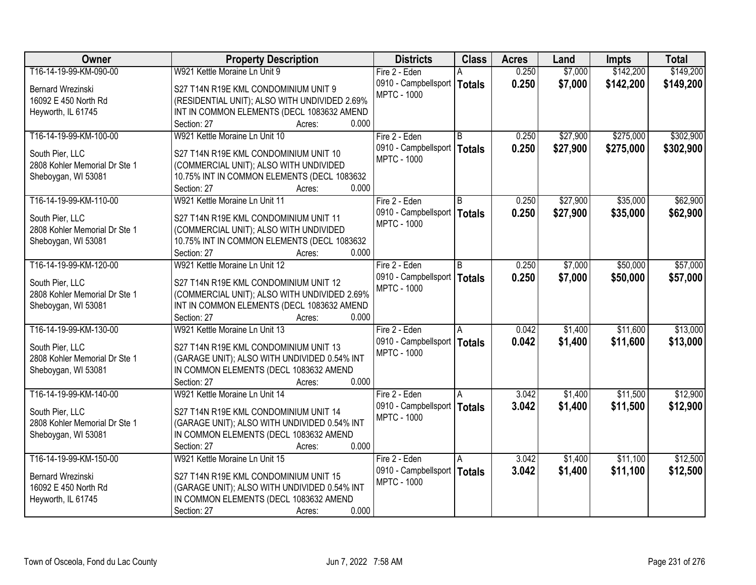| Owner                         | <b>Property Description</b>                   | <b>Districts</b>              | <b>Class</b>  | <b>Acres</b> | Land     | <b>Impts</b> | <b>Total</b> |
|-------------------------------|-----------------------------------------------|-------------------------------|---------------|--------------|----------|--------------|--------------|
| T16-14-19-99-KM-090-00        | W921 Kettle Moraine Ln Unit 9                 | Fire 2 - Eden                 |               | 0.250        | \$7,000  | \$142,200    | \$149,200    |
| Bernard Wrezinski             | S27 T14N R19E KML CONDOMINIUM UNIT 9          | 0910 - Campbellsport          | <b>Totals</b> | 0.250        | \$7,000  | \$142,200    | \$149,200    |
| 16092 E 450 North Rd          | (RESIDENTIAL UNIT); ALSO WITH UNDIVIDED 2.69% | <b>MPTC - 1000</b>            |               |              |          |              |              |
| Heyworth, IL 61745            | INT IN COMMON ELEMENTS (DECL 1083632 AMEND    |                               |               |              |          |              |              |
|                               | 0.000<br>Section: 27<br>Acres:                |                               |               |              |          |              |              |
| T16-14-19-99-KM-100-00        | W921 Kettle Moraine Ln Unit 10                | Fire 2 - Eden                 | R.            | 0.250        | \$27,900 | \$275,000    | \$302,900    |
|                               |                                               | 0910 - Campbellsport          | <b>Totals</b> | 0.250        | \$27,900 | \$275,000    | \$302,900    |
| South Pier, LLC               | S27 T14N R19E KML CONDOMINIUM UNIT 10         | <b>MPTC - 1000</b>            |               |              |          |              |              |
| 2808 Kohler Memorial Dr Ste 1 | (COMMERCIAL UNIT); ALSO WITH UNDIVIDED        |                               |               |              |          |              |              |
| Sheboygan, WI 53081           | 10.75% INT IN COMMON ELEMENTS (DECL 1083632   |                               |               |              |          |              |              |
|                               | 0.000<br>Section: 27<br>Acres:                |                               |               |              |          |              |              |
| T16-14-19-99-KM-110-00        | W921 Kettle Moraine Ln Unit 11                | Fire 2 - Eden                 | B             | 0.250        | \$27,900 | \$35,000     | \$62,900     |
| South Pier, LLC               | S27 T14N R19E KML CONDOMINIUM UNIT 11         | 0910 - Campbellsport          | <b>Totals</b> | 0.250        | \$27,900 | \$35,000     | \$62,900     |
| 2808 Kohler Memorial Dr Ste 1 | (COMMERCIAL UNIT); ALSO WITH UNDIVIDED        | <b>MPTC - 1000</b>            |               |              |          |              |              |
| Sheboygan, WI 53081           | 10.75% INT IN COMMON ELEMENTS (DECL 1083632   |                               |               |              |          |              |              |
|                               | 0.000<br>Section: 27<br>Acres:                |                               |               |              |          |              |              |
| T16-14-19-99-KM-120-00        | W921 Kettle Moraine Ln Unit 12                | Fire 2 - Eden                 | B             | 0.250        | \$7,000  | \$50,000     | \$57,000     |
|                               |                                               | 0910 - Campbellsport          | <b>Totals</b> | 0.250        | \$7,000  | \$50,000     | \$57,000     |
| South Pier, LLC               | S27 T14N R19E KML CONDOMINIUM UNIT 12         | <b>MPTC - 1000</b>            |               |              |          |              |              |
| 2808 Kohler Memorial Dr Ste 1 | (COMMERCIAL UNIT); ALSO WITH UNDIVIDED 2.69%  |                               |               |              |          |              |              |
| Sheboygan, WI 53081           | INT IN COMMON ELEMENTS (DECL 1083632 AMEND    |                               |               |              |          |              |              |
|                               | 0.000<br>Section: 27<br>Acres:                |                               |               |              |          |              |              |
| T16-14-19-99-KM-130-00        | W921 Kettle Moraine Ln Unit 13                | Fire 2 - Eden                 | A             | 0.042        | \$1,400  | \$11,600     | \$13,000     |
| South Pier, LLC               | S27 T14N R19E KML CONDOMINIUM UNIT 13         | 0910 - Campbellsport          | <b>Totals</b> | 0.042        | \$1,400  | \$11,600     | \$13,000     |
| 2808 Kohler Memorial Dr Ste 1 | (GARAGE UNIT); ALSO WITH UNDIVIDED 0.54% INT  | <b>MPTC - 1000</b>            |               |              |          |              |              |
| Sheboygan, WI 53081           | IN COMMON ELEMENTS (DECL 1083632 AMEND        |                               |               |              |          |              |              |
|                               | 0.000<br>Section: 27<br>Acres:                |                               |               |              |          |              |              |
| T16-14-19-99-KM-140-00        | W921 Kettle Moraine Ln Unit 14                | Fire 2 - Eden                 | A             | 3.042        | \$1,400  | \$11,500     | \$12,900     |
| South Pier, LLC               | S27 T14N R19E KML CONDOMINIUM UNIT 14         | 0910 - Campbellsport   Totals |               | 3.042        | \$1,400  | \$11,500     | \$12,900     |
| 2808 Kohler Memorial Dr Ste 1 | (GARAGE UNIT); ALSO WITH UNDIVIDED 0.54% INT  | <b>MPTC - 1000</b>            |               |              |          |              |              |
| Sheboygan, WI 53081           | IN COMMON ELEMENTS (DECL 1083632 AMEND        |                               |               |              |          |              |              |
|                               | 0.000<br>Section: 27<br>Acres:                |                               |               |              |          |              |              |
| T16-14-19-99-KM-150-00        | W921 Kettle Moraine Ln Unit 15                | Fire 2 - Eden                 | A             | 3.042        | \$1,400  | \$11,100     | \$12,500     |
|                               |                                               | 0910 - Campbellsport          | <b>Totals</b> | 3.042        | \$1,400  | \$11,100     | \$12,500     |
| <b>Bernard Wrezinski</b>      | S27 T14N R19E KML CONDOMINIUM UNIT 15         | <b>MPTC - 1000</b>            |               |              |          |              |              |
| 16092 E 450 North Rd          | (GARAGE UNIT); ALSO WITH UNDIVIDED 0.54% INT  |                               |               |              |          |              |              |
| Heyworth, IL 61745            | IN COMMON ELEMENTS (DECL 1083632 AMEND        |                               |               |              |          |              |              |
|                               | 0.000<br>Section: 27<br>Acres:                |                               |               |              |          |              |              |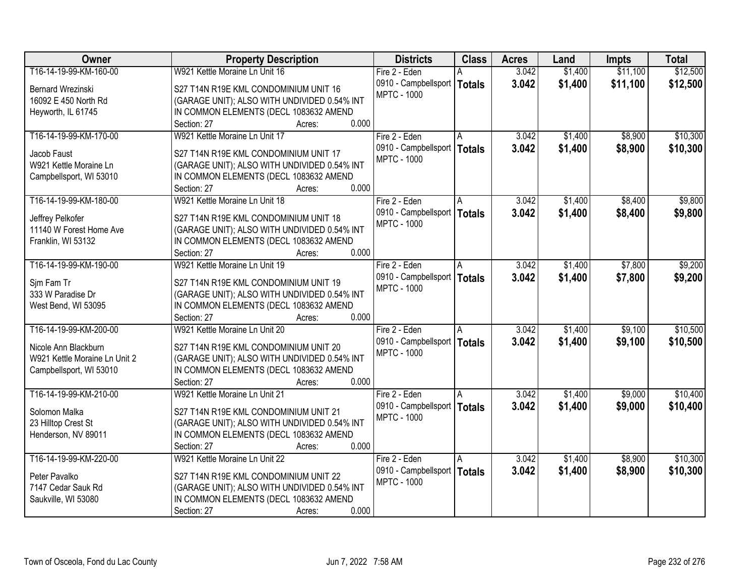| Owner                         | <b>Property Description</b>                  | <b>Districts</b>              | <b>Class</b>  | <b>Acres</b> | Land    | <b>Impts</b> | <b>Total</b> |
|-------------------------------|----------------------------------------------|-------------------------------|---------------|--------------|---------|--------------|--------------|
| T16-14-19-99-KM-160-00        | W921 Kettle Moraine Ln Unit 16               | Fire 2 - Eden                 |               | 3.042        | \$1,400 | \$11,100     | \$12,500     |
| Bernard Wrezinski             | S27 T14N R19E KML CONDOMINIUM UNIT 16        | 0910 - Campbellsport          | <b>Totals</b> | 3.042        | \$1,400 | \$11,100     | \$12,500     |
| 16092 E 450 North Rd          | (GARAGE UNIT); ALSO WITH UNDIVIDED 0.54% INT | <b>MPTC - 1000</b>            |               |              |         |              |              |
| Heyworth, IL 61745            | IN COMMON ELEMENTS (DECL 1083632 AMEND       |                               |               |              |         |              |              |
|                               | 0.000<br>Section: 27<br>Acres:               |                               |               |              |         |              |              |
| T16-14-19-99-KM-170-00        | W921 Kettle Moraine Ln Unit 17               | Fire 2 - Eden                 |               | 3.042        | \$1,400 | \$8,900      | \$10,300     |
|                               |                                              | 0910 - Campbellsport          | <b>Totals</b> | 3.042        | \$1,400 | \$8,900      | \$10,300     |
| Jacob Faust                   | S27 T14N R19E KML CONDOMINIUM UNIT 17        | <b>MPTC - 1000</b>            |               |              |         |              |              |
| W921 Kettle Moraine Ln        | (GARAGE UNIT); ALSO WITH UNDIVIDED 0.54% INT |                               |               |              |         |              |              |
| Campbellsport, WI 53010       | IN COMMON ELEMENTS (DECL 1083632 AMEND       |                               |               |              |         |              |              |
|                               | 0.000<br>Section: 27<br>Acres:               |                               |               |              |         |              |              |
| T16-14-19-99-KM-180-00        | W921 Kettle Moraine Ln Unit 18               | Fire 2 - Eden                 |               | 3.042        | \$1,400 | \$8,400      | \$9,800      |
| Jeffrey Pelkofer              | S27 T14N R19E KML CONDOMINIUM UNIT 18        | 0910 - Campbellsport          | <b>Totals</b> | 3.042        | \$1,400 | \$8,400      | \$9,800      |
| 11140 W Forest Home Ave       | (GARAGE UNIT); ALSO WITH UNDIVIDED 0.54% INT | <b>MPTC - 1000</b>            |               |              |         |              |              |
| Franklin, WI 53132            | IN COMMON ELEMENTS (DECL 1083632 AMEND       |                               |               |              |         |              |              |
|                               | 0.000<br>Section: 27<br>Acres:               |                               |               |              |         |              |              |
| T16-14-19-99-KM-190-00        | W921 Kettle Moraine Ln Unit 19               | Fire 2 - Eden                 | A             | 3.042        | \$1,400 | \$7,800      | \$9,200      |
|                               |                                              | 0910 - Campbellsport          | <b>Totals</b> | 3.042        | \$1,400 | \$7,800      | \$9,200      |
| Sjm Fam Tr                    | S27 T14N R19E KML CONDOMINIUM UNIT 19        | <b>MPTC - 1000</b>            |               |              |         |              |              |
| 333 W Paradise Dr             | (GARAGE UNIT); ALSO WITH UNDIVIDED 0.54% INT |                               |               |              |         |              |              |
| West Bend, WI 53095           | IN COMMON ELEMENTS (DECL 1083632 AMEND       |                               |               |              |         |              |              |
|                               | Section: 27<br>0.000<br>Acres:               |                               |               |              |         |              |              |
| T16-14-19-99-KM-200-00        | W921 Kettle Moraine Ln Unit 20               | Fire 2 - Eden                 | A             | 3.042        | \$1,400 | \$9,100      | \$10,500     |
| Nicole Ann Blackburn          | S27 T14N R19E KML CONDOMINIUM UNIT 20        | 0910 - Campbellsport          | <b>Totals</b> | 3.042        | \$1,400 | \$9,100      | \$10,500     |
| W921 Kettle Moraine Ln Unit 2 | (GARAGE UNIT); ALSO WITH UNDIVIDED 0.54% INT | <b>MPTC - 1000</b>            |               |              |         |              |              |
| Campbellsport, WI 53010       | IN COMMON ELEMENTS (DECL 1083632 AMEND       |                               |               |              |         |              |              |
|                               | Section: 27<br>0.000<br>Acres:               |                               |               |              |         |              |              |
| T16-14-19-99-KM-210-00        | W921 Kettle Moraine Ln Unit 21               | Fire 2 - Eden                 | A             | 3.042        | \$1,400 | \$9,000      | \$10,400     |
|                               |                                              | 0910 - Campbellsport   Totals |               | 3.042        | \$1,400 | \$9,000      | \$10,400     |
| Solomon Malka                 | S27 T14N R19E KML CONDOMINIUM UNIT 21        | <b>MPTC - 1000</b>            |               |              |         |              |              |
| 23 Hilltop Crest St           | (GARAGE UNIT); ALSO WITH UNDIVIDED 0.54% INT |                               |               |              |         |              |              |
| Henderson, NV 89011           | IN COMMON ELEMENTS (DECL 1083632 AMEND       |                               |               |              |         |              |              |
|                               | 0.000<br>Section: 27<br>Acres:               |                               |               |              |         |              |              |
| T16-14-19-99-KM-220-00        | W921 Kettle Moraine Ln Unit 22               | Fire 2 - Eden                 | A             | 3.042        | \$1,400 | \$8,900      | \$10,300     |
| Peter Pavalko                 | S27 T14N R19E KML CONDOMINIUM UNIT 22        | 0910 - Campbellsport          | <b>Totals</b> | 3.042        | \$1,400 | \$8,900      | \$10,300     |
| 7147 Cedar Sauk Rd            | (GARAGE UNIT); ALSO WITH UNDIVIDED 0.54% INT | <b>MPTC - 1000</b>            |               |              |         |              |              |
| Saukville, WI 53080           | IN COMMON ELEMENTS (DECL 1083632 AMEND       |                               |               |              |         |              |              |
|                               | 0.000<br>Section: 27<br>Acres:               |                               |               |              |         |              |              |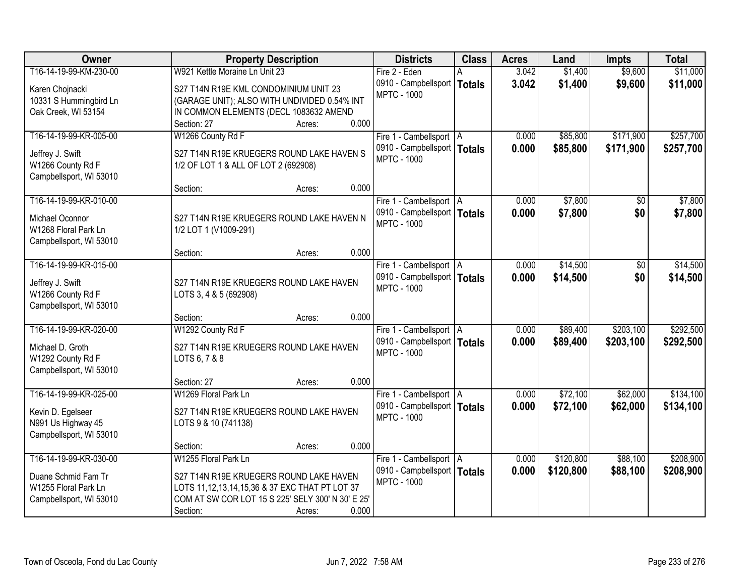| Owner                                   | <b>Property Description</b>                         | <b>Districts</b>                                    | <b>Class</b>  | <b>Acres</b> | Land      | <b>Impts</b> | <b>Total</b> |
|-----------------------------------------|-----------------------------------------------------|-----------------------------------------------------|---------------|--------------|-----------|--------------|--------------|
| T16-14-19-99-KM-230-00                  | W921 Kettle Moraine Ln Unit 23                      | Fire 2 - Eden                                       |               | 3.042        | \$1,400   | \$9,600      | \$11,000     |
| Karen Chojnacki                         | S27 T14N R19E KML CONDOMINIUM UNIT 23               | 0910 - Campbellsport                                | <b>Totals</b> | 3.042        | \$1,400   | \$9,600      | \$11,000     |
| 10331 S Hummingbird Ln                  | (GARAGE UNIT); ALSO WITH UNDIVIDED 0.54% INT        | <b>MPTC - 1000</b>                                  |               |              |           |              |              |
| Oak Creek, WI 53154                     | IN COMMON ELEMENTS (DECL 1083632 AMEND              |                                                     |               |              |           |              |              |
|                                         | 0.000<br>Section: 27<br>Acres:                      |                                                     |               |              |           |              |              |
| T16-14-19-99-KR-005-00                  | W1266 County Rd F                                   | Fire 1 - Cambellsport   A                           |               | 0.000        | \$85,800  | \$171,900    | \$257,700    |
|                                         | S27 T14N R19E KRUEGERS ROUND LAKE HAVEN S           | 0910 - Campbellsport   Totals                       |               | 0.000        | \$85,800  | \$171,900    | \$257,700    |
| Jeffrey J. Swift<br>W1266 County Rd F   | 1/2 OF LOT 1 & ALL OF LOT 2 (692908)                | <b>MPTC - 1000</b>                                  |               |              |           |              |              |
| Campbellsport, WI 53010                 |                                                     |                                                     |               |              |           |              |              |
|                                         | 0.000<br>Section:<br>Acres:                         |                                                     |               |              |           |              |              |
| T16-14-19-99-KR-010-00                  |                                                     | Fire 1 - Cambellsport   A                           |               | 0.000        | \$7,800   | \$0          | \$7,800      |
|                                         |                                                     | 0910 - Campbellsport   Totals                       |               | 0.000        | \$7,800   | \$0          | \$7,800      |
| Michael Oconnor<br>W1268 Floral Park Ln | S27 T14N R19E KRUEGERS ROUND LAKE HAVEN N           | <b>MPTC - 1000</b>                                  |               |              |           |              |              |
| Campbellsport, WI 53010                 | 1/2 LOT 1 (V1009-291)                               |                                                     |               |              |           |              |              |
|                                         | 0.000<br>Section:<br>Acres:                         |                                                     |               |              |           |              |              |
| T16-14-19-99-KR-015-00                  |                                                     | Fire 1 - Cambellsport   A                           |               | 0.000        | \$14,500  | \$0          | \$14,500     |
|                                         |                                                     | 0910 - Campbellsport   Totals                       |               | 0.000        | \$14,500  | \$0          | \$14,500     |
| Jeffrey J. Swift                        | S27 T14N R19E KRUEGERS ROUND LAKE HAVEN             | <b>MPTC - 1000</b>                                  |               |              |           |              |              |
| W1266 County Rd F                       | LOTS 3, 4 & 5 (692908)                              |                                                     |               |              |           |              |              |
| Campbellsport, WI 53010                 | 0.000                                               |                                                     |               |              |           |              |              |
| T16-14-19-99-KR-020-00                  | Section:<br>Acres:<br>W1292 County Rd F             |                                                     |               | 0.000        | \$89,400  | \$203,100    | \$292,500    |
|                                         |                                                     | Fire 1 - Cambellsport   A                           |               |              |           |              |              |
| Michael D. Groth                        | S27 T14N R19E KRUEGERS ROUND LAKE HAVEN             | 0910 - Campbellsport   Totals<br><b>MPTC - 1000</b> |               | 0.000        | \$89,400  | \$203,100    | \$292,500    |
| W1292 County Rd F                       | LOTS 6, 7 & 8                                       |                                                     |               |              |           |              |              |
| Campbellsport, WI 53010                 |                                                     |                                                     |               |              |           |              |              |
|                                         | 0.000<br>Section: 27<br>Acres:                      |                                                     |               |              |           |              |              |
| T16-14-19-99-KR-025-00                  | W1269 Floral Park Ln                                | Fire 1 - Cambellsport A                             |               | 0.000        | \$72,100  | \$62,000     | \$134,100    |
| Kevin D. Egelseer                       | S27 T14N R19E KRUEGERS ROUND LAKE HAVEN             | 0910 - Campbellsport   Totals                       |               | 0.000        | \$72,100  | \$62,000     | \$134,100    |
| N991 Us Highway 45                      | LOTS 9 & 10 (741138)                                | <b>MPTC - 1000</b>                                  |               |              |           |              |              |
| Campbellsport, WI 53010                 |                                                     |                                                     |               |              |           |              |              |
|                                         | 0.000<br>Section:<br>Acres:                         |                                                     |               |              |           |              |              |
| T16-14-19-99-KR-030-00                  | W1255 Floral Park Ln                                | Fire 1 - Cambellsport   A                           |               | 0.000        | \$120,800 | \$88,100     | \$208,900    |
| Duane Schmid Fam Tr                     | S27 T14N R19E KRUEGERS ROUND LAKE HAVEN             | 0910 - Campbellsport   Totals                       |               | 0.000        | \$120,800 | \$88,100     | \$208,900    |
| W1255 Floral Park Ln                    | LOTS 11, 12, 13, 14, 15, 36 & 37 EXC THAT PT LOT 37 | <b>MPTC - 1000</b>                                  |               |              |           |              |              |
| Campbellsport, WI 53010                 | COM AT SW COR LOT 15 S 225' SELY 300' N 30' E 25'   |                                                     |               |              |           |              |              |
|                                         | 0.000<br>Section:<br>Acres:                         |                                                     |               |              |           |              |              |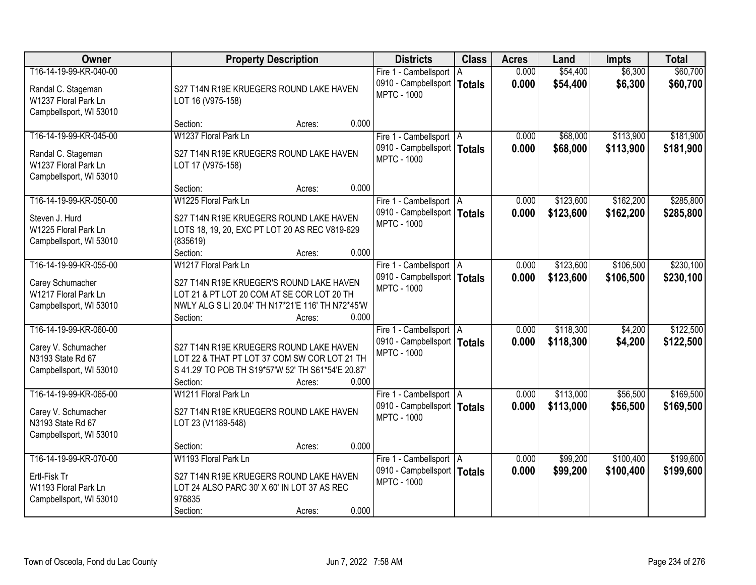| Owner                                                                                           | <b>Property Description</b>                                                                                                                                                  | <b>Districts</b>                                                                 | <b>Class</b>  | <b>Acres</b>   | Land                   | <b>Impts</b>           | <b>Total</b>           |
|-------------------------------------------------------------------------------------------------|------------------------------------------------------------------------------------------------------------------------------------------------------------------------------|----------------------------------------------------------------------------------|---------------|----------------|------------------------|------------------------|------------------------|
| T16-14-19-99-KR-040-00<br>Randal C. Stageman<br>W1237 Floral Park Ln<br>Campbellsport, WI 53010 | S27 T14N R19E KRUEGERS ROUND LAKE HAVEN<br>LOT 16 (V975-158)                                                                                                                 | Fire 1 - Cambellsport   A<br>0910 - Campbellsport  <br><b>MPTC - 1000</b>        | <b>Totals</b> | 0.000<br>0.000 | \$54,400<br>\$54,400   | \$6,300<br>\$6,300     | \$60,700<br>\$60,700   |
|                                                                                                 | 0.000<br>Section:<br>Acres:                                                                                                                                                  |                                                                                  |               |                |                        |                        |                        |
| T16-14-19-99-KR-045-00<br>Randal C. Stageman<br>W1237 Floral Park Ln<br>Campbellsport, WI 53010 | W1237 Floral Park Ln<br>S27 T14N R19E KRUEGERS ROUND LAKE HAVEN<br>LOT 17 (V975-158)                                                                                         | Fire 1 - Cambellsport   A<br>0910 - Campbellsport   Totals<br><b>MPTC - 1000</b> |               | 0.000<br>0.000 | \$68,000<br>\$68,000   | \$113,900<br>\$113,900 | \$181,900<br>\$181,900 |
| T16-14-19-99-KR-050-00                                                                          | 0.000<br>Section:<br>Acres:<br>W1225 Floral Park Ln                                                                                                                          |                                                                                  |               | 0.000          | \$123,600              | \$162,200              | \$285,800              |
| Steven J. Hurd<br>W1225 Floral Park Ln<br>Campbellsport, WI 53010                               | S27 T14N R19E KRUEGERS ROUND LAKE HAVEN<br>LOTS 18, 19, 20, EXC PT LOT 20 AS REC V819-629<br>(835619)<br>0.000                                                               | Fire 1 - Cambellsport   A<br>0910 - Campbellsport   Totals<br><b>MPTC - 1000</b> |               | 0.000          | \$123,600              | \$162,200              | \$285,800              |
| T16-14-19-99-KR-055-00                                                                          | Section:<br>Acres:<br>W1217 Floral Park Ln                                                                                                                                   | Fire 1 - Cambellsport   A                                                        |               | 0.000          | \$123,600              | \$106,500              | \$230,100              |
| Carey Schumacher<br>W1217 Floral Park Ln<br>Campbellsport, WI 53010                             | S27 T14N R19E KRUEGER'S ROUND LAKE HAVEN<br>LOT 21 & PT LOT 20 COM AT SE COR LOT 20 TH<br>NWLY ALG S LI 20.04' TH N17*21'E 116' TH N72*45'W<br>0.000<br>Section:<br>Acres:   | 0910 - Campbellsport   Totals<br><b>MPTC - 1000</b>                              |               | 0.000          | \$123,600              | \$106,500              | \$230,100              |
| T16-14-19-99-KR-060-00<br>Carey V. Schumacher<br>N3193 State Rd 67<br>Campbellsport, WI 53010   | S27 T14N R19E KRUEGERS ROUND LAKE HAVEN<br>LOT 22 & THAT PT LOT 37 COM SW COR LOT 21 TH<br>S 41.29' TO POB TH S19*57'W 52' TH S61*54'E 20.87'<br>0.000<br>Section:<br>Acres: | Fire 1 - Cambellsport   A<br>0910 - Campbellsport   Totals<br><b>MPTC - 1000</b> |               | 0.000<br>0.000 | \$118,300<br>\$118,300 | \$4,200<br>\$4,200     | \$122,500<br>\$122,500 |
| T16-14-19-99-KR-065-00<br>Carey V. Schumacher<br>N3193 State Rd 67<br>Campbellsport, WI 53010   | W1211 Floral Park Ln<br>S27 T14N R19E KRUEGERS ROUND LAKE HAVEN<br>LOT 23 (V1189-548)<br>0.000<br>Section:<br>Acres:                                                         | Fire 1 - Cambellsport   A<br>0910 - Campbellsport   Totals<br><b>MPTC - 1000</b> |               | 0.000<br>0.000 | \$113,000<br>\$113,000 | \$56,500<br>\$56,500   | \$169,500<br>\$169,500 |
| T16-14-19-99-KR-070-00<br>Ertl-Fisk Tr<br>W1193 Floral Park Ln<br>Campbellsport, WI 53010       | W1193 Floral Park Ln<br>S27 T14N R19E KRUEGERS ROUND LAKE HAVEN<br>LOT 24 ALSO PARC 30' X 60' IN LOT 37 AS REC<br>976835<br>0.000<br>Section:<br>Acres:                      | Fire 1 - Cambellsport   A<br>0910 - Campbellsport   Totals<br><b>MPTC - 1000</b> |               | 0.000<br>0.000 | \$99,200<br>\$99,200   | \$100,400<br>\$100,400 | \$199,600<br>\$199,600 |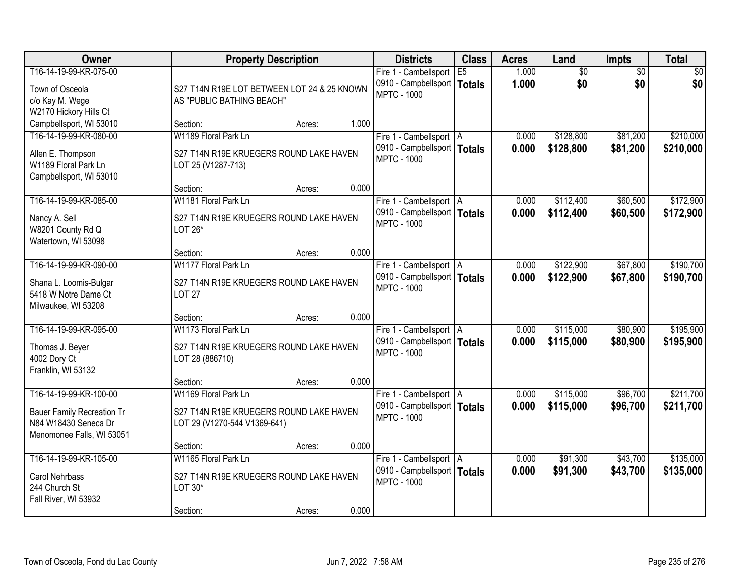| Owner                                                                                                            | <b>Property Description</b>                                                                       |        |       | <b>Districts</b>                                                                 | <b>Class</b> | <b>Acres</b>   | Land                   | <b>Impts</b>           | <b>Total</b>           |
|------------------------------------------------------------------------------------------------------------------|---------------------------------------------------------------------------------------------------|--------|-------|----------------------------------------------------------------------------------|--------------|----------------|------------------------|------------------------|------------------------|
| T16-14-19-99-KR-075-00<br>Town of Osceola<br>c/o Kay M. Wege<br>W2170 Hickory Hills Ct                           | S27 T14N R19E LOT BETWEEN LOT 24 & 25 KNOWN<br>AS "PUBLIC BATHING BEACH"                          |        |       | Fire 1 - Cambellsport<br>0910 - Campbellsport   Totals<br><b>MPTC - 1000</b>     | E5           | 1.000<br>1.000 | $\overline{60}$<br>\$0 | $\overline{50}$<br>\$0 | \$0<br>\$0             |
| Campbellsport, WI 53010                                                                                          | Section:                                                                                          | Acres: | 1.000 |                                                                                  |              |                |                        |                        |                        |
| T16-14-19-99-KR-080-00<br>Allen E. Thompson<br>W1189 Floral Park Ln<br>Campbellsport, WI 53010                   | W1189 Floral Park Ln<br>S27 T14N R19E KRUEGERS ROUND LAKE HAVEN<br>LOT 25 (V1287-713)<br>Section: |        | 0.000 | Fire 1 - Cambellsport   A<br>0910 - Campbellsport   Totals<br><b>MPTC - 1000</b> |              | 0.000<br>0.000 | \$128,800<br>\$128,800 | \$81,200<br>\$81,200   | \$210,000<br>\$210,000 |
| T16-14-19-99-KR-085-00                                                                                           | W1181 Floral Park Ln                                                                              | Acres: |       | Fire 1 - Cambellsport   A                                                        |              | 0.000          | \$112,400              | \$60,500               | \$172,900              |
| Nancy A. Sell<br>W8201 County Rd Q<br>Watertown, WI 53098                                                        | S27 T14N R19E KRUEGERS ROUND LAKE HAVEN<br>LOT 26*                                                |        |       | 0910 - Campbellsport   Totals<br><b>MPTC - 1000</b>                              |              | 0.000          | \$112,400              | \$60,500               | \$172,900              |
|                                                                                                                  | Section:                                                                                          | Acres: | 0.000 |                                                                                  |              |                |                        |                        |                        |
| T16-14-19-99-KR-090-00<br>Shana L. Loomis-Bulgar<br>5418 W Notre Dame Ct<br>Milwaukee, WI 53208                  | W1177 Floral Park Ln<br>S27 T14N R19E KRUEGERS ROUND LAKE HAVEN<br><b>LOT 27</b>                  |        |       | Fire 1 - Cambellsport   A<br>0910 - Campbellsport   Totals<br><b>MPTC - 1000</b> |              | 0.000<br>0.000 | \$122,900<br>\$122,900 | \$67,800<br>\$67,800   | \$190,700<br>\$190,700 |
|                                                                                                                  | Section:                                                                                          | Acres: | 0.000 |                                                                                  |              |                |                        |                        |                        |
| T16-14-19-99-KR-095-00<br>Thomas J. Beyer<br>4002 Dory Ct<br>Franklin, WI 53132                                  | W1173 Floral Park Ln<br>S27 T14N R19E KRUEGERS ROUND LAKE HAVEN<br>LOT 28 (886710)                |        |       | Fire 1 - Cambellsport   A<br>0910 - Campbellsport   Totals<br><b>MPTC - 1000</b> |              | 0.000<br>0.000 | \$115,000<br>\$115,000 | \$80,900<br>\$80,900   | \$195,900<br>\$195,900 |
|                                                                                                                  | Section:                                                                                          | Acres: | 0.000 |                                                                                  |              |                |                        |                        |                        |
| T16-14-19-99-KR-100-00<br><b>Bauer Family Recreation Tr</b><br>N84 W18430 Seneca Dr<br>Menomonee Falls, WI 53051 | W1169 Floral Park Ln<br>S27 T14N R19E KRUEGERS ROUND LAKE HAVEN<br>LOT 29 (V1270-544 V1369-641)   |        |       | Fire 1 - Cambellsport   A<br>0910 - Campbellsport   Totals<br><b>MPTC - 1000</b> |              | 0.000<br>0.000 | \$115,000<br>\$115,000 | \$96,700<br>\$96,700   | \$211,700<br>\$211,700 |
|                                                                                                                  | Section:                                                                                          | Acres: | 0.000 |                                                                                  |              |                |                        |                        |                        |
| T16-14-19-99-KR-105-00<br>Carol Nehrbass<br>244 Church St<br>Fall River, WI 53932                                | W1165 Floral Park Ln<br>S27 T14N R19E KRUEGERS ROUND LAKE HAVEN<br>LOT 30*                        |        | 0.000 | Fire 1 - Cambellsport   A<br>0910 - Campbellsport   Totals<br><b>MPTC - 1000</b> |              | 0.000<br>0.000 | \$91,300<br>\$91,300   | \$43,700<br>\$43,700   | \$135,000<br>\$135,000 |
|                                                                                                                  | Section:                                                                                          | Acres: |       |                                                                                  |              |                |                        |                        |                        |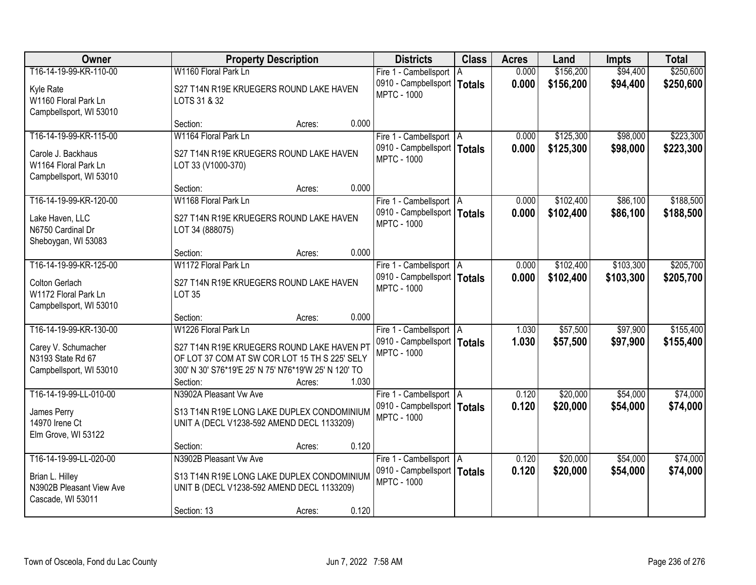| Owner                                                                                           | <b>Property Description</b>                                                                                                                                                             |        |       | <b>Districts</b>                                                                 | <b>Class</b> | <b>Acres</b>   | Land                   | <b>Impts</b>         | <b>Total</b>           |
|-------------------------------------------------------------------------------------------------|-----------------------------------------------------------------------------------------------------------------------------------------------------------------------------------------|--------|-------|----------------------------------------------------------------------------------|--------------|----------------|------------------------|----------------------|------------------------|
| T16-14-19-99-KR-110-00<br>Kyle Rate<br>W1160 Floral Park Ln<br>Campbellsport, WI 53010          | W1160 Floral Park Ln<br>S27 T14N R19E KRUEGERS ROUND LAKE HAVEN<br>LOTS 31 & 32                                                                                                         |        |       | Fire 1 - Cambellsport   A<br>0910 - Campbellsport   Totals<br><b>MPTC - 1000</b> |              | 0.000<br>0.000 | \$156,200<br>\$156,200 | \$94,400<br>\$94,400 | \$250,600<br>\$250,600 |
|                                                                                                 | Section:                                                                                                                                                                                | Acres: | 0.000 |                                                                                  |              |                |                        |                      |                        |
| T16-14-19-99-KR-115-00<br>Carole J. Backhaus<br>W1164 Floral Park Ln<br>Campbellsport, WI 53010 | W1164 Floral Park Ln<br>S27 T14N R19E KRUEGERS ROUND LAKE HAVEN<br>LOT 33 (V1000-370)<br>Section:                                                                                       | Acres: | 0.000 | Fire 1 - Cambellsport   A<br>0910 - Campbellsport   Totals<br><b>MPTC - 1000</b> |              | 0.000<br>0.000 | \$125,300<br>\$125,300 | \$98,000<br>\$98,000 | \$223,300<br>\$223,300 |
| T16-14-19-99-KR-120-00                                                                          | W1168 Floral Park Ln                                                                                                                                                                    |        |       | Fire 1 - Cambellsport   A                                                        |              | 0.000          | \$102,400              | \$86,100             | \$188,500              |
| Lake Haven, LLC<br>N6750 Cardinal Dr<br>Sheboygan, WI 53083                                     | S27 T14N R19E KRUEGERS ROUND LAKE HAVEN<br>LOT 34 (888075)                                                                                                                              |        |       | 0910 - Campbellsport   Totals<br><b>MPTC - 1000</b>                              |              | 0.000          | \$102,400              | \$86,100             | \$188,500              |
|                                                                                                 | Section:                                                                                                                                                                                | Acres: | 0.000 |                                                                                  |              |                |                        |                      |                        |
| T16-14-19-99-KR-125-00                                                                          | W1172 Floral Park Ln                                                                                                                                                                    |        |       | Fire 1 - Cambellsport   A                                                        |              | 0.000          | \$102,400              | \$103,300            | \$205,700              |
| Colton Gerlach<br>W1172 Floral Park Ln<br>Campbellsport, WI 53010                               | S27 T14N R19E KRUEGERS ROUND LAKE HAVEN<br><b>LOT 35</b>                                                                                                                                |        |       | 0910 - Campbellsport   Totals<br><b>MPTC - 1000</b>                              |              | 0.000          | \$102,400              | \$103,300            | \$205,700              |
|                                                                                                 | Section:                                                                                                                                                                                | Acres: | 0.000 |                                                                                  |              |                |                        |                      |                        |
| T16-14-19-99-KR-130-00<br>Carey V. Schumacher<br>N3193 State Rd 67<br>Campbellsport, WI 53010   | W1226 Floral Park Ln<br>S27 T14N R19E KRUEGERS ROUND LAKE HAVEN PT<br>OF LOT 37 COM AT SW COR LOT 15 TH S 225' SELY<br>300' N 30' S76*19'E 25' N 75' N76*19'W 25' N 120' TO<br>Section: | Acres: | 1.030 | Fire 1 - Cambellsport   A<br>0910 - Campbellsport   Totals<br><b>MPTC - 1000</b> |              | 1.030<br>1.030 | \$57,500<br>\$57,500   | \$97,900<br>\$97,900 | \$155,400<br>\$155,400 |
| T16-14-19-99-LL-010-00<br>James Perry<br>14970 Irene Ct<br>Elm Grove, WI 53122                  | N3902A Pleasant Vw Ave<br>S13 T14N R19E LONG LAKE DUPLEX CONDOMINIUM<br>UNIT A (DECL V1238-592 AMEND DECL 1133209)                                                                      |        |       | Fire 1 - Cambellsport   A<br>0910 - Campbellsport   Totals<br><b>MPTC - 1000</b> |              | 0.120<br>0.120 | \$20,000<br>\$20,000   | \$54,000<br>\$54,000 | \$74,000<br>\$74,000   |
| T16-14-19-99-LL-020-00                                                                          | Section:<br>N3902B Pleasant Vw Ave                                                                                                                                                      | Acres: | 0.120 | Fire 1 - Cambellsport   A                                                        |              | 0.120          | \$20,000               | \$54,000             | \$74,000               |
| Brian L. Hilley<br>N3902B Pleasant View Ave<br>Cascade, WI 53011                                | S13 T14N R19E LONG LAKE DUPLEX CONDOMINIUM<br>UNIT B (DECL V1238-592 AMEND DECL 1133209)<br>Section: 13                                                                                 | Acres: | 0.120 | 0910 - Campbellsport   Totals<br><b>MPTC - 1000</b>                              |              | 0.120          | \$20,000               | \$54,000             | \$74,000               |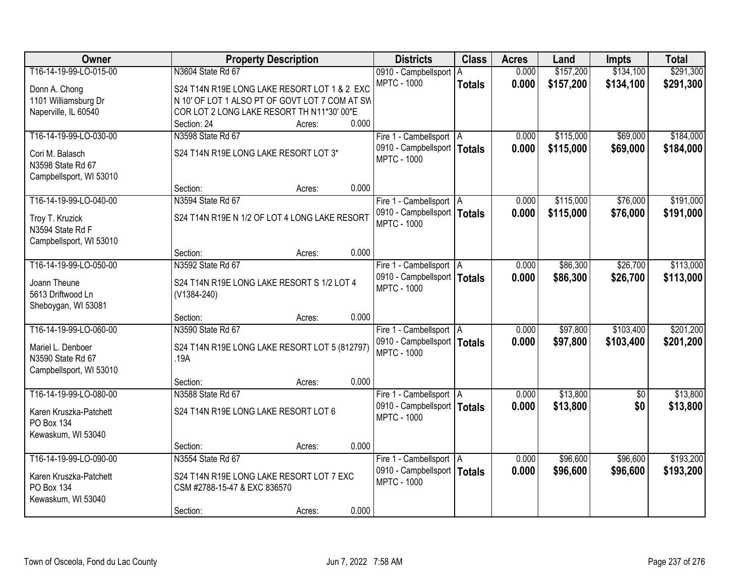| Owner                                  | <b>Property Description</b>                               | <b>Districts</b>              | <b>Class</b>  | <b>Acres</b> | Land      | <b>Impts</b>    | <b>Total</b> |
|----------------------------------------|-----------------------------------------------------------|-------------------------------|---------------|--------------|-----------|-----------------|--------------|
| T16-14-19-99-LO-015-00                 | N3604 State Rd 67                                         | 0910 - Campbellsport   A      |               | 0.000        | \$157,200 | \$134,100       | \$291,300    |
| Donn A. Chong                          | S24 T14N R19E LONG LAKE RESORT LOT 1 & 2 EXC              | <b>MPTC - 1000</b>            | <b>Totals</b> | 0.000        | \$157,200 | \$134,100       | \$291,300    |
| 1101 Williamsburg Dr                   | N 10' OF LOT 1 ALSO PT OF GOVT LOT 7 COM AT SW            |                               |               |              |           |                 |              |
| Naperville, IL 60540                   | COR LOT 2 LONG LAKE RESORT TH N11*30' 00"E                |                               |               |              |           |                 |              |
|                                        | 0.000<br>Section: 24<br>Acres:                            |                               |               |              |           |                 |              |
| T16-14-19-99-LO-030-00                 | N3598 State Rd 67                                         | Fire 1 - Cambellsport   A     |               | 0.000        | \$115,000 | \$69,000        | \$184,000    |
| Cori M. Balasch                        | S24 T14N R19E LONG LAKE RESORT LOT 3*                     | 0910 - Campbellsport   Totals |               | 0.000        | \$115,000 | \$69,000        | \$184,000    |
| N3598 State Rd 67                      |                                                           | <b>MPTC - 1000</b>            |               |              |           |                 |              |
| Campbellsport, WI 53010                |                                                           |                               |               |              |           |                 |              |
|                                        | 0.000<br>Section:<br>Acres:                               |                               |               |              |           |                 |              |
| T16-14-19-99-LO-040-00                 | N3594 State Rd 67                                         | Fire 1 - Cambellsport   A     |               | 0.000        | \$115,000 | \$76,000        | \$191,000    |
| Troy T. Kruzick                        | S24 T14N R19E N 1/2 OF LOT 4 LONG LAKE RESORT             | 0910 - Campbellsport   Totals |               | 0.000        | \$115,000 | \$76,000        | \$191,000    |
| N3594 State Rd F                       |                                                           | <b>MPTC - 1000</b>            |               |              |           |                 |              |
| Campbellsport, WI 53010                |                                                           |                               |               |              |           |                 |              |
|                                        | 0.000<br>Section:<br>Acres:                               |                               |               |              |           |                 |              |
| T16-14-19-99-LO-050-00                 | N3592 State Rd 67                                         | Fire 1 - Cambellsport   A     |               | 0.000        | \$86,300  | \$26,700        | \$113,000    |
|                                        |                                                           | 0910 - Campbellsport   Totals |               | 0.000        | \$86,300  | \$26,700        | \$113,000    |
| Joann Theune<br>5613 Driftwood Ln      | S24 T14N R19E LONG LAKE RESORT S 1/2 LOT 4<br>(V1384-240) | <b>MPTC - 1000</b>            |               |              |           |                 |              |
| Sheboygan, WI 53081                    |                                                           |                               |               |              |           |                 |              |
|                                        | 0.000<br>Section:<br>Acres:                               |                               |               |              |           |                 |              |
| T16-14-19-99-LO-060-00                 | N3590 State Rd 67                                         | Fire 1 - Cambellsport   A     |               | 0.000        | \$97,800  | \$103,400       | \$201,200    |
|                                        |                                                           | 0910 - Campbellsport   Totals |               | 0.000        | \$97,800  | \$103,400       | \$201,200    |
| Mariel L. Denboer<br>N3590 State Rd 67 | S24 T14N R19E LONG LAKE RESORT LOT 5 (812797)<br>.19A     | <b>MPTC - 1000</b>            |               |              |           |                 |              |
| Campbellsport, WI 53010                |                                                           |                               |               |              |           |                 |              |
|                                        | 0.000<br>Section:<br>Acres:                               |                               |               |              |           |                 |              |
| T16-14-19-99-LO-080-00                 | N3588 State Rd 67                                         | Fire 1 - Cambellsport   A     |               | 0.000        | \$13,800  | $\overline{50}$ | \$13,800     |
|                                        | S24 T14N R19E LONG LAKE RESORT LOT 6                      | 0910 - Campbellsport   Totals |               | 0.000        | \$13,800  | \$0             | \$13,800     |
| Karen Kruszka-Patchett<br>PO Box 134   |                                                           | <b>MPTC - 1000</b>            |               |              |           |                 |              |
| Kewaskum, WI 53040                     |                                                           |                               |               |              |           |                 |              |
|                                        | 0.000<br>Section:<br>Acres:                               |                               |               |              |           |                 |              |
| T16-14-19-99-LO-090-00                 | N3554 State Rd 67                                         | Fire 1 - Cambellsport   A     |               | 0.000        | \$96,600  | \$96,600        | \$193,200    |
| Karen Kruszka-Patchett                 | S24 T14N R19E LONG LAKE RESORT LOT 7 EXC                  | 0910 - Campbellsport   Totals |               | 0.000        | \$96,600  | \$96,600        | \$193,200    |
| PO Box 134                             | CSM #2788-15-47 & EXC 836570                              | <b>MPTC - 1000</b>            |               |              |           |                 |              |
| Kewaskum, WI 53040                     |                                                           |                               |               |              |           |                 |              |
|                                        | 0.000<br>Section:<br>Acres:                               |                               |               |              |           |                 |              |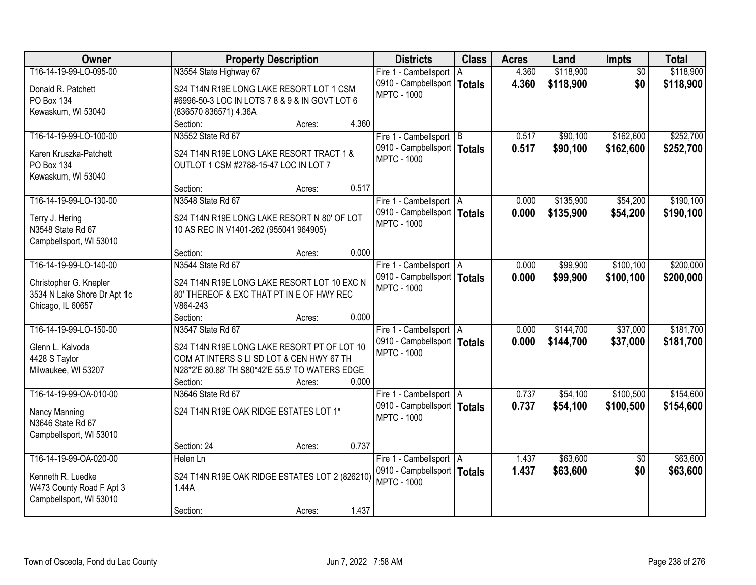| Owner                                | <b>Property Description</b>                                                       | <b>Districts</b>              | <b>Class</b>  | <b>Acres</b> | Land      | <b>Impts</b>    | <b>Total</b> |
|--------------------------------------|-----------------------------------------------------------------------------------|-------------------------------|---------------|--------------|-----------|-----------------|--------------|
| T16-14-19-99-LO-095-00               | N3554 State Highway 67                                                            | Fire 1 - Cambellsport   A     |               | 4.360        | \$118,900 | $\overline{50}$ | \$118,900    |
| Donald R. Patchett                   | S24 T14N R19E LONG LAKE RESORT LOT 1 CSM                                          | 0910 - Campbellsport          | <b>Totals</b> | 4.360        | \$118,900 | \$0             | \$118,900    |
| PO Box 134                           | #6996-50-3 LOC IN LOTS 7 8 & 9 & IN GOVT LOT 6                                    | <b>MPTC - 1000</b>            |               |              |           |                 |              |
| Kewaskum, WI 53040                   | (836570 836571) 4.36A                                                             |                               |               |              |           |                 |              |
|                                      | 4.360<br>Section:<br>Acres:                                                       |                               |               |              |           |                 |              |
| T16-14-19-99-LO-100-00               | N3552 State Rd 67                                                                 | Fire 1 - Cambellsport B       |               | 0.517        | \$90,100  | \$162,600       | \$252,700    |
|                                      |                                                                                   | 0910 - Campbellsport   Totals |               | 0.517        | \$90,100  | \$162,600       | \$252,700    |
| Karen Kruszka-Patchett<br>PO Box 134 | S24 T14N R19E LONG LAKE RESORT TRACT 1 &<br>OUTLOT 1 CSM #2788-15-47 LOC IN LOT 7 | <b>MPTC - 1000</b>            |               |              |           |                 |              |
| Kewaskum, WI 53040                   |                                                                                   |                               |               |              |           |                 |              |
|                                      | 0.517<br>Section:<br>Acres:                                                       |                               |               |              |           |                 |              |
| T16-14-19-99-LO-130-00               | N3548 State Rd 67                                                                 | Fire 1 - Cambellsport   A     |               | 0.000        | \$135,900 | \$54,200        | \$190,100    |
|                                      |                                                                                   | 0910 - Campbellsport   Totals |               | 0.000        | \$135,900 | \$54,200        | \$190,100    |
| Terry J. Hering<br>N3548 State Rd 67 | S24 T14N R19E LONG LAKE RESORT N 80' OF LOT                                       | <b>MPTC - 1000</b>            |               |              |           |                 |              |
|                                      | 10 AS REC IN V1401-262 (955041 964905)                                            |                               |               |              |           |                 |              |
| Campbellsport, WI 53010              | 0.000<br>Section:<br>Acres:                                                       |                               |               |              |           |                 |              |
| T16-14-19-99-LO-140-00               | N3544 State Rd 67                                                                 | Fire 1 - Cambellsport   A     |               | 0.000        | \$99,900  | \$100,100       | \$200,000    |
|                                      |                                                                                   | 0910 - Campbellsport   Totals |               | 0.000        | \$99,900  | \$100,100       | \$200,000    |
| Christopher G. Knepler               | S24 T14N R19E LONG LAKE RESORT LOT 10 EXC N                                       | <b>MPTC - 1000</b>            |               |              |           |                 |              |
| 3534 N Lake Shore Dr Apt 1c          | 80' THEREOF & EXC THAT PT IN E OF HWY REC                                         |                               |               |              |           |                 |              |
| Chicago, IL 60657                    | V864-243                                                                          |                               |               |              |           |                 |              |
|                                      | 0.000<br>Section:<br>Acres:                                                       |                               |               |              |           |                 |              |
| T16-14-19-99-LO-150-00               | N3547 State Rd 67                                                                 | Fire 1 - Cambellsport   A     |               | 0.000        | \$144,700 | \$37,000        | \$181,700    |
| Glenn L. Kalvoda                     | S24 T14N R19E LONG LAKE RESORT PT OF LOT 10                                       | 0910 - Campbellsport   Totals |               | 0.000        | \$144,700 | \$37,000        | \$181,700    |
| 4428 S Taylor                        | COM AT INTERS S LI SD LOT & CEN HWY 67 TH                                         | <b>MPTC - 1000</b>            |               |              |           |                 |              |
| Milwaukee, WI 53207                  | N28*2'E 80.88' TH S80*42'E 55.5' TO WATERS EDGE                                   |                               |               |              |           |                 |              |
|                                      | 0.000<br>Section:<br>Acres:                                                       |                               |               |              |           |                 |              |
| T16-14-19-99-OA-010-00               | N3646 State Rd 67                                                                 | Fire 1 - Cambellsport A       |               | 0.737        | \$54,100  | \$100,500       | \$154,600    |
| Nancy Manning                        | S24 T14N R19E OAK RIDGE ESTATES LOT 1*                                            | 0910 - Campbellsport   Totals |               | 0.737        | \$54,100  | \$100,500       | \$154,600    |
| N3646 State Rd 67                    |                                                                                   | <b>MPTC - 1000</b>            |               |              |           |                 |              |
| Campbellsport, WI 53010              |                                                                                   |                               |               |              |           |                 |              |
|                                      | 0.737<br>Section: 24<br>Acres:                                                    |                               |               |              |           |                 |              |
| T16-14-19-99-OA-020-00               | Helen Ln                                                                          | Fire 1 - Cambellsport   A     |               | 1.437        | \$63,600  | $\overline{50}$ | \$63,600     |
|                                      |                                                                                   | 0910 - Campbellsport   Totals |               | 1.437        | \$63,600  | \$0             | \$63,600     |
| Kenneth R. Luedke                    | S24 T14N R19E OAK RIDGE ESTATES LOT 2 (826210)                                    | <b>MPTC - 1000</b>            |               |              |           |                 |              |
| W473 County Road F Apt 3             | 1.44A                                                                             |                               |               |              |           |                 |              |
| Campbellsport, WI 53010              | 1.437                                                                             |                               |               |              |           |                 |              |
|                                      | Section:<br>Acres:                                                                |                               |               |              |           |                 |              |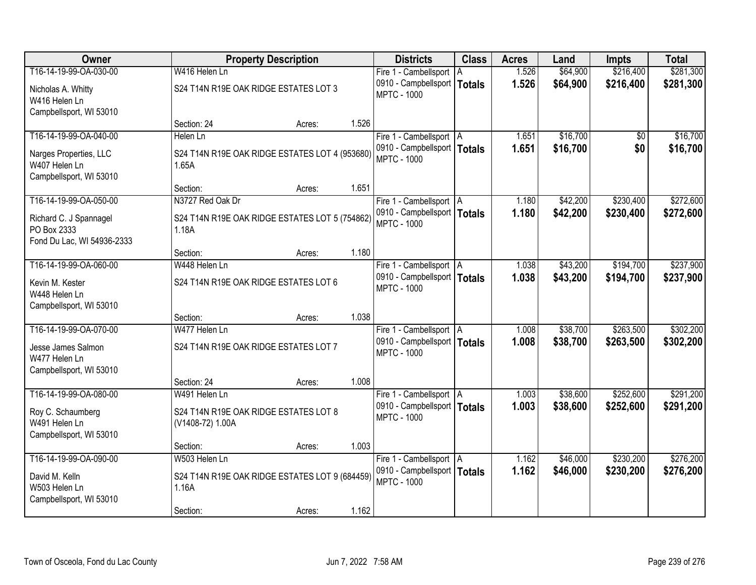| <b>Owner</b>                                                  |                                                           | <b>Property Description</b> |       | <b>Districts</b>                                           | <b>Class</b> | <b>Acres</b>   | Land                 | <b>Impts</b> | <b>Total</b> |
|---------------------------------------------------------------|-----------------------------------------------------------|-----------------------------|-------|------------------------------------------------------------|--------------|----------------|----------------------|--------------|--------------|
| T16-14-19-99-OA-030-00                                        | W416 Helen Ln                                             |                             |       | Fire 1 - Cambellsport   A                                  |              | 1.526          | \$64,900             | \$216,400    | \$281,300    |
| Nicholas A. Whitty<br>W416 Helen Ln                           | S24 T14N R19E OAK RIDGE ESTATES LOT 3                     |                             |       | 0910 - Campbellsport   Totals<br><b>MPTC - 1000</b>        |              | 1.526          | \$64,900             | \$216,400    | \$281,300    |
| Campbellsport, WI 53010                                       |                                                           |                             |       |                                                            |              |                |                      |              |              |
|                                                               | Section: 24                                               | Acres:                      | 1.526 |                                                            |              |                |                      |              |              |
| T16-14-19-99-OA-040-00                                        | Helen Ln                                                  |                             |       | Fire 1 - Cambellsport   A                                  |              | 1.651          | \$16,700             | \$0          | \$16,700     |
| Narges Properties, LLC<br>W407 Helen Ln                       | S24 T14N R19E OAK RIDGE ESTATES LOT 4 (953680)<br>1.65A   |                             |       | 0910 - Campbellsport   Totals<br><b>MPTC - 1000</b>        |              | 1.651          | \$16,700             | \$0          | \$16,700     |
| Campbellsport, WI 53010                                       | Section:                                                  | Acres:                      | 1.651 |                                                            |              |                |                      |              |              |
| T16-14-19-99-OA-050-00                                        | N3727 Red Oak Dr                                          |                             |       | Fire 1 - Cambellsport   A                                  |              | 1.180          | \$42,200             | \$230,400    | \$272,600    |
| Richard C. J Spannagel<br>PO Box 2333                         | S24 T14N R19E OAK RIDGE ESTATES LOT 5 (754862)<br>1.18A   |                             |       | 0910 - Campbellsport   Totals<br><b>MPTC - 1000</b>        |              | 1.180          | \$42,200             | \$230,400    | \$272,600    |
| Fond Du Lac, WI 54936-2333                                    |                                                           |                             |       |                                                            |              |                |                      |              |              |
|                                                               | Section:                                                  | Acres:                      | 1.180 |                                                            |              |                |                      |              |              |
| T16-14-19-99-OA-060-00                                        | W448 Helen Ln                                             |                             |       | Fire 1 - Cambellsport   A<br>0910 - Campbellsport   Totals |              | 1.038<br>1.038 | \$43,200<br>\$43,200 | \$194,700    | \$237,900    |
| Kevin M. Kester<br>W448 Helen Ln                              | S24 T14N R19E OAK RIDGE ESTATES LOT 6                     |                             |       | <b>MPTC - 1000</b>                                         |              |                |                      | \$194,700    | \$237,900    |
| Campbellsport, WI 53010                                       |                                                           |                             |       |                                                            |              |                |                      |              |              |
|                                                               | Section:                                                  | Acres:                      | 1.038 |                                                            |              |                |                      |              |              |
| T16-14-19-99-OA-070-00                                        | W477 Helen Ln                                             |                             |       | Fire 1 - Cambellsport   A                                  |              | 1.008          | \$38,700             | \$263,500    | \$302,200    |
| Jesse James Salmon<br>W477 Helen Ln                           | S24 T14N R19E OAK RIDGE ESTATES LOT 7                     |                             |       | 0910 - Campbellsport   Totals<br><b>MPTC - 1000</b>        |              | 1.008          | \$38,700             | \$263,500    | \$302,200    |
| Campbellsport, WI 53010                                       |                                                           |                             |       |                                                            |              |                |                      |              |              |
|                                                               | Section: 24                                               | Acres:                      | 1.008 |                                                            |              |                |                      |              |              |
| T16-14-19-99-OA-080-00                                        | W491 Helen Ln                                             |                             |       | Fire 1 - Cambellsport   A                                  |              | 1.003          | \$38,600             | \$252,600    | \$291,200    |
| Roy C. Schaumberg<br>W491 Helen Ln<br>Campbellsport, WI 53010 | S24 T14N R19E OAK RIDGE ESTATES LOT 8<br>(V1408-72) 1.00A |                             |       | 0910 - Campbellsport   Totals<br><b>MPTC - 1000</b>        |              | 1.003          | \$38,600             | \$252,600    | \$291,200    |
|                                                               | Section:                                                  | Acres:                      | 1.003 |                                                            |              |                |                      |              |              |
| T16-14-19-99-OA-090-00                                        | W503 Helen Ln                                             |                             |       | Fire 1 - Cambellsport   A                                  |              | 1.162          | \$46,000             | \$230,200    | \$276,200    |
| David M. Kelln<br>W503 Helen Ln                               | S24 T14N R19E OAK RIDGE ESTATES LOT 9 (684459)<br>1.16A   |                             |       | 0910 - Campbellsport   Totals<br><b>MPTC - 1000</b>        |              | 1.162          | \$46,000             | \$230,200    | \$276,200    |
| Campbellsport, WI 53010                                       | Section:                                                  | Acres:                      | 1.162 |                                                            |              |                |                      |              |              |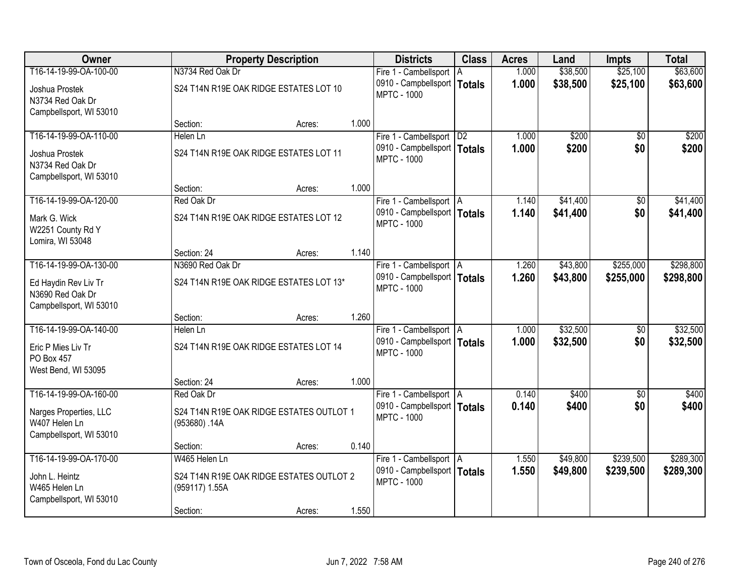| Owner                                                              |                  | <b>Property Description</b>              |       | <b>Districts</b>                                    | <b>Class</b> | <b>Acres</b> | Land     | Impts           | <b>Total</b> |
|--------------------------------------------------------------------|------------------|------------------------------------------|-------|-----------------------------------------------------|--------------|--------------|----------|-----------------|--------------|
| T16-14-19-99-OA-100-00                                             | N3734 Red Oak Dr |                                          |       | Fire 1 - Cambellsport                               | A            | 1.000        | \$38,500 | \$25,100        | \$63,600     |
| Joshua Prostek<br>N3734 Red Oak Dr                                 |                  | S24 T14N R19E OAK RIDGE ESTATES LOT 10   |       | 0910 - Campbellsport   Totals<br><b>MPTC - 1000</b> |              | 1.000        | \$38,500 | \$25,100        | \$63,600     |
| Campbellsport, WI 53010                                            |                  |                                          |       |                                                     |              |              |          |                 |              |
|                                                                    | Section:         | Acres:                                   | 1.000 |                                                     |              |              |          |                 |              |
| T16-14-19-99-OA-110-00                                             | Helen Ln         |                                          |       | Fire 1 - Cambellsport   D2                          |              | 1.000        | \$200    | $\overline{50}$ | \$200        |
| Joshua Prostek<br>N3734 Red Oak Dr<br>Campbellsport, WI 53010      |                  | S24 T14N R19E OAK RIDGE ESTATES LOT 11   |       | 0910 - Campbellsport   Totals<br><b>MPTC - 1000</b> |              | 1.000        | \$200    | \$0             | \$200        |
|                                                                    | Section:         | Acres:                                   | 1.000 |                                                     |              |              |          |                 |              |
| T16-14-19-99-OA-120-00                                             | Red Oak Dr       |                                          |       | Fire 1 - Cambellsport   A                           |              | 1.140        | \$41,400 | $\sqrt[6]{30}$  | \$41,400     |
| Mark G. Wick<br>W2251 County Rd Y<br>Lomira, WI 53048              |                  | S24 T14N R19E OAK RIDGE ESTATES LOT 12   |       | 0910 - Campbellsport   Totals<br><b>MPTC - 1000</b> |              | 1.140        | \$41,400 | \$0             | \$41,400     |
|                                                                    | Section: 24      | Acres:                                   | 1.140 |                                                     |              |              |          |                 |              |
| T16-14-19-99-OA-130-00                                             | N3690 Red Oak Dr |                                          |       | Fire 1 - Cambellsport   A                           |              | 1.260        | \$43,800 | \$255,000       | \$298,800    |
| Ed Haydin Rev Liv Tr<br>N3690 Red Oak Dr                           |                  | S24 T14N R19E OAK RIDGE ESTATES LOT 13*  |       | 0910 - Campbellsport   Totals<br><b>MPTC - 1000</b> |              | 1.260        | \$43,800 | \$255,000       | \$298,800    |
| Campbellsport, WI 53010                                            | Section:         | Acres:                                   | 1.260 |                                                     |              |              |          |                 |              |
| T16-14-19-99-OA-140-00                                             | Helen Ln         |                                          |       | Fire 1 - Cambellsport   A                           |              | 1.000        | \$32,500 | \$0             | \$32,500     |
|                                                                    |                  | S24 T14N R19E OAK RIDGE ESTATES LOT 14   |       | 0910 - Campbellsport   Totals                       |              | 1.000        | \$32,500 | \$0             | \$32,500     |
| Eric P Mies Liv Tr<br>PO Box 457                                   |                  |                                          |       | <b>MPTC - 1000</b>                                  |              |              |          |                 |              |
| West Bend, WI 53095                                                |                  |                                          |       |                                                     |              |              |          |                 |              |
|                                                                    | Section: 24      | Acres:                                   | 1.000 |                                                     |              |              |          |                 |              |
| T16-14-19-99-OA-160-00                                             | Red Oak Dr       |                                          |       | Fire 1 - Cambellsport   A                           |              | 0.140        | \$400    | $\overline{50}$ | \$400        |
| Narges Properties, LLC<br>W407 Helen Ln<br>Campbellsport, WI 53010 | (953680).14A     | S24 T14N R19E OAK RIDGE ESTATES OUTLOT 1 |       | 0910 - Campbellsport   Totals<br><b>MPTC - 1000</b> |              | 0.140        | \$400    | \$0             | \$400        |
|                                                                    | Section:         | Acres:                                   | 0.140 |                                                     |              |              |          |                 |              |
| T16-14-19-99-OA-170-00                                             | W465 Helen Ln    |                                          |       | Fire 1 - Cambellsport   A                           |              | 1.550        | \$49,800 | \$239,500       | \$289,300    |
| John L. Heintz<br>W465 Helen Ln                                    | (959117) 1.55A   | S24 T14N R19E OAK RIDGE ESTATES OUTLOT 2 |       | 0910 - Campbellsport   Totals<br><b>MPTC - 1000</b> |              | 1.550        | \$49,800 | \$239,500       | \$289,300    |
| Campbellsport, WI 53010                                            | Section:         | Acres:                                   | 1.550 |                                                     |              |              |          |                 |              |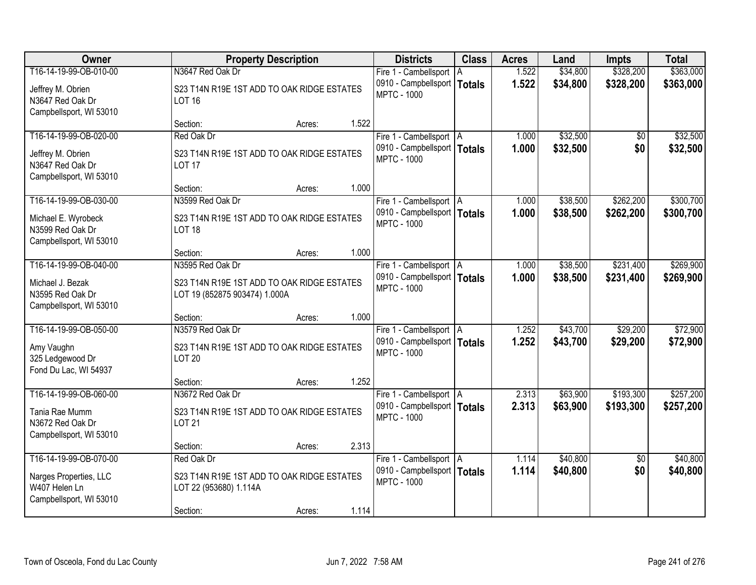| Owner                                                                                   | <b>Property Description</b>                                                     |       | <b>Districts</b>                                                                 | <b>Class</b> | <b>Acres</b>   | Land                 | <b>Impts</b>           | <b>Total</b>           |
|-----------------------------------------------------------------------------------------|---------------------------------------------------------------------------------|-------|----------------------------------------------------------------------------------|--------------|----------------|----------------------|------------------------|------------------------|
| T16-14-19-99-OB-010-00                                                                  | N3647 Red Oak Dr                                                                |       | Fire 1 - Cambellsport   A                                                        |              | 1.522          | \$34,800             | \$328,200              | \$363,000              |
| Jeffrey M. Obrien<br>N3647 Red Oak Dr<br>Campbellsport, WI 53010                        | S23 T14N R19E 1ST ADD TO OAK RIDGE ESTATES<br><b>LOT 16</b>                     |       | 0910 - Campbellsport   Totals<br><b>MPTC - 1000</b>                              |              | 1.522          | \$34,800             | \$328,200              | \$363,000              |
|                                                                                         | Section:<br>Acres:                                                              | 1.522 |                                                                                  |              |                |                      |                        |                        |
| T16-14-19-99-OB-020-00                                                                  | Red Oak Dr                                                                      |       | Fire 1 - Cambellsport   A                                                        |              | 1.000          | \$32,500             | \$0                    | \$32,500               |
| Jeffrey M. Obrien<br>N3647 Red Oak Dr<br>Campbellsport, WI 53010                        | S23 T14N R19E 1ST ADD TO OAK RIDGE ESTATES<br><b>LOT 17</b>                     |       | 0910 - Campbellsport   Totals<br><b>MPTC - 1000</b>                              |              | 1.000          | \$32,500             | \$0                    | \$32,500               |
|                                                                                         | Section:<br>Acres:                                                              | 1.000 |                                                                                  |              |                |                      |                        |                        |
| T16-14-19-99-OB-030-00                                                                  | N3599 Red Oak Dr                                                                |       | Fire 1 - Cambellsport   A                                                        |              | 1.000          | \$38,500             | \$262,200              | \$300,700              |
| Michael E. Wyrobeck<br>N3599 Red Oak Dr<br>Campbellsport, WI 53010                      | S23 T14N R19E 1ST ADD TO OAK RIDGE ESTATES<br><b>LOT 18</b>                     |       | 0910 - Campbellsport   Totals<br><b>MPTC - 1000</b>                              |              | 1.000          | \$38,500             | \$262,200              | \$300,700              |
|                                                                                         | Section:<br>Acres:                                                              | 1.000 |                                                                                  |              |                |                      |                        |                        |
| T16-14-19-99-OB-040-00                                                                  | N3595 Red Oak Dr                                                                |       | Fire 1 - Cambellsport   A                                                        |              | 1.000          | \$38,500             | \$231,400              | \$269,900              |
| Michael J. Bezak<br>N3595 Red Oak Dr<br>Campbellsport, WI 53010                         | S23 T14N R19E 1ST ADD TO OAK RIDGE ESTATES<br>LOT 19 (852875 903474) 1.000A     |       | 0910 - Campbellsport   Totals<br><b>MPTC - 1000</b>                              |              | 1.000          | \$38,500             | \$231,400              | \$269,900              |
|                                                                                         | Section:<br>Acres:                                                              | 1.000 |                                                                                  |              |                |                      |                        |                        |
| T16-14-19-99-OB-050-00<br>Amy Vaughn<br>325 Ledgewood Dr<br>Fond Du Lac, WI 54937       | N3579 Red Oak Dr<br>S23 T14N R19E 1ST ADD TO OAK RIDGE ESTATES<br><b>LOT 20</b> |       | Fire 1 - Cambellsport   A<br>0910 - Campbellsport   Totals<br><b>MPTC - 1000</b> |              | 1.252<br>1.252 | \$43,700<br>\$43,700 | \$29,200<br>\$29,200   | \$72,900<br>\$72,900   |
|                                                                                         | Section:<br>Acres:                                                              | 1.252 |                                                                                  |              |                |                      |                        |                        |
| T16-14-19-99-OB-060-00<br>Tania Rae Mumm<br>N3672 Red Oak Dr<br>Campbellsport, WI 53010 | N3672 Red Oak Dr<br>S23 T14N R19E 1ST ADD TO OAK RIDGE ESTATES<br><b>LOT 21</b> |       | Fire 1 - Cambellsport   A<br>0910 - Campbellsport   Totals<br><b>MPTC - 1000</b> |              | 2.313<br>2.313 | \$63,900<br>\$63,900 | \$193,300<br>\$193,300 | \$257,200<br>\$257,200 |
|                                                                                         | Section:<br>Acres:                                                              | 2.313 |                                                                                  |              |                |                      |                        |                        |
| T16-14-19-99-OB-070-00<br>Narges Properties, LLC                                        | Red Oak Dr<br>S23 T14N R19E 1ST ADD TO OAK RIDGE ESTATES                        |       | Fire 1 - Cambellsport   A<br>0910 - Campbellsport   Totals<br><b>MPTC - 1000</b> |              | 1.114<br>1.114 | \$40,800<br>\$40,800 | $\overline{50}$<br>\$0 | \$40,800<br>\$40,800   |
| W407 Helen Ln<br>Campbellsport, WI 53010                                                | LOT 22 (953680) 1.114A<br>Section:<br>Acres:                                    | 1.114 |                                                                                  |              |                |                      |                        |                        |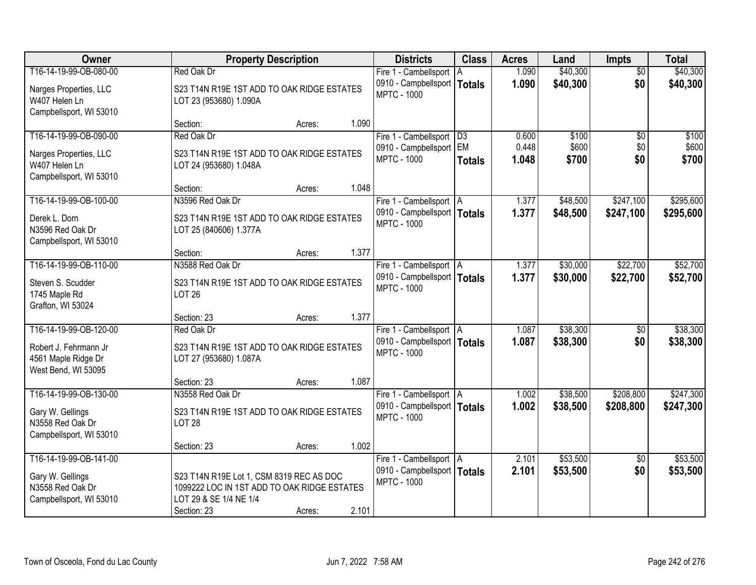| Owner                                                                                         | <b>Property Description</b>                                                                                                      |        |       | <b>Districts</b>                                                                 | <b>Class</b>               | <b>Acres</b>   | Land                 | <b>Impts</b>           | <b>Total</b>           |
|-----------------------------------------------------------------------------------------------|----------------------------------------------------------------------------------------------------------------------------------|--------|-------|----------------------------------------------------------------------------------|----------------------------|----------------|----------------------|------------------------|------------------------|
| T16-14-19-99-OB-080-00                                                                        | Red Oak Dr                                                                                                                       |        |       | Fire 1 - Cambellsport                                                            | l A                        | 1.090          | \$40,300             | $\overline{50}$        | \$40,300               |
| Narges Properties, LLC<br>W407 Helen Ln<br>Campbellsport, WI 53010                            | S23 T14N R19E 1ST ADD TO OAK RIDGE ESTATES<br>LOT 23 (953680) 1.090A                                                             |        |       | 0910 - Campbellsport   Totals<br><b>MPTC - 1000</b>                              |                            | 1.090          | \$40,300             | \$0                    | \$40,300               |
|                                                                                               | Section:                                                                                                                         | Acres: | 1.090 |                                                                                  |                            |                |                      |                        |                        |
| T16-14-19-99-OB-090-00                                                                        | Red Oak Dr                                                                                                                       |        |       | Fire 1 - Cambellsport                                                            | D3                         | 0.600          | \$100                | \$0                    | \$100                  |
| Narges Properties, LLC<br>W407 Helen Ln<br>Campbellsport, WI 53010                            | S23 T14N R19E 1ST ADD TO OAK RIDGE ESTATES<br>LOT 24 (953680) 1.048A                                                             |        |       | 0910 - Campbellsport<br><b>MPTC - 1000</b>                                       | <b>EM</b><br><b>Totals</b> | 0.448<br>1.048 | \$600<br>\$700       | \$0<br>\$0             | \$600<br>\$700         |
|                                                                                               | Section:                                                                                                                         | Acres: | 1.048 |                                                                                  |                            |                |                      |                        |                        |
| T16-14-19-99-OB-100-00                                                                        | N3596 Red Oak Dr                                                                                                                 |        |       | Fire 1 - Cambellsport   A                                                        |                            | 1.377          | \$48,500             | \$247,100              | \$295,600              |
| Derek L. Dorn<br>N3596 Red Oak Dr<br>Campbellsport, WI 53010                                  | S23 T14N R19E 1ST ADD TO OAK RIDGE ESTATES<br>LOT 25 (840606) 1.377A                                                             |        |       | 0910 - Campbellsport   Totals<br><b>MPTC - 1000</b>                              |                            | 1.377          | \$48,500             | \$247,100              | \$295,600              |
|                                                                                               | Section:                                                                                                                         | Acres: | 1.377 |                                                                                  |                            |                |                      |                        |                        |
| T16-14-19-99-OB-110-00                                                                        | N3588 Red Oak Dr                                                                                                                 |        |       | Fire 1 - Cambellsport   A                                                        |                            | 1.377          | \$30,000             | \$22,700               | \$52,700               |
| Steven S. Scudder<br>1745 Maple Rd<br>Grafton, WI 53024                                       | S23 T14N R19E 1ST ADD TO OAK RIDGE ESTATES<br><b>LOT 26</b>                                                                      |        |       | 0910 - Campbellsport   Totals<br><b>MPTC - 1000</b>                              |                            | 1.377          | \$30,000             | \$22,700               | \$52,700               |
|                                                                                               | Section: 23                                                                                                                      | Acres: | 1.377 |                                                                                  |                            |                |                      |                        |                        |
| T16-14-19-99-OB-120-00<br>Robert J. Fehrmann Jr<br>4561 Maple Ridge Dr<br>West Bend, WI 53095 | Red Oak Dr<br>S23 T14N R19E 1ST ADD TO OAK RIDGE ESTATES<br>LOT 27 (953680) 1.087A                                               |        |       | Fire 1 - Cambellsport   A<br>0910 - Campbellsport   Totals<br><b>MPTC - 1000</b> |                            | 1.087<br>1.087 | \$38,300<br>\$38,300 | \$0<br>\$0             | \$38,300<br>\$38,300   |
|                                                                                               | Section: 23                                                                                                                      | Acres: | 1.087 |                                                                                  |                            |                |                      |                        |                        |
| T16-14-19-99-OB-130-00<br>Gary W. Gellings<br>N3558 Red Oak Dr<br>Campbellsport, WI 53010     | N3558 Red Oak Dr<br>S23 T14N R19E 1ST ADD TO OAK RIDGE ESTATES<br><b>LOT 28</b>                                                  |        |       | Fire 1 - Cambellsport   A<br>0910 - Campbellsport   Totals<br><b>MPTC - 1000</b> |                            | 1.002<br>1.002 | \$38,500<br>\$38,500 | \$208,800<br>\$208,800 | \$247,300<br>\$247,300 |
|                                                                                               | Section: 23                                                                                                                      | Acres: | 1.002 |                                                                                  |                            |                |                      |                        |                        |
| T16-14-19-99-OB-141-00<br>Gary W. Gellings<br>N3558 Red Oak Dr<br>Campbellsport, WI 53010     | S23 T14N R19E Lot 1, CSM 8319 REC AS DOC<br>1099222 LOC IN 1ST ADD TO OAK RIDGE ESTATES<br>LOT 29 & SE 1/4 NE 1/4<br>Section: 23 | Acres: | 2.101 | Fire 1 - Cambellsport A<br>0910 - Campbellsport   Totals<br><b>MPTC - 1000</b>   |                            | 2.101<br>2.101 | \$53,500<br>\$53,500 | $\overline{30}$<br>\$0 | \$53,500<br>\$53,500   |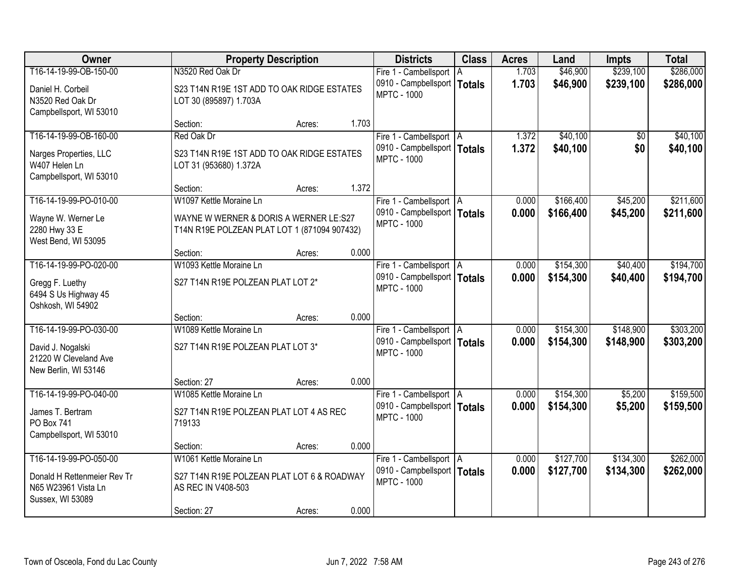| <b>Owner</b>                                                                                 | <b>Property Description</b>                                                            |        |       | <b>Districts</b>                                                                 | <b>Class</b> | <b>Acres</b>   | Land                   | <b>Impts</b>           | <b>Total</b>           |
|----------------------------------------------------------------------------------------------|----------------------------------------------------------------------------------------|--------|-------|----------------------------------------------------------------------------------|--------------|----------------|------------------------|------------------------|------------------------|
| T16-14-19-99-OB-150-00                                                                       | N3520 Red Oak Dr                                                                       |        |       | Fire 1 - Cambellsport   A                                                        |              | 1.703          | \$46,900               | \$239,100              | \$286,000              |
| Daniel H. Corbeil<br>N3520 Red Oak Dr<br>Campbellsport, WI 53010                             | S23 T14N R19E 1ST ADD TO OAK RIDGE ESTATES<br>LOT 30 (895897) 1.703A                   |        |       | 0910 - Campbellsport   Totals<br><b>MPTC - 1000</b>                              |              | 1.703          | \$46,900               | \$239,100              | \$286,000              |
|                                                                                              | Section:                                                                               | Acres: | 1.703 |                                                                                  |              |                |                        |                        |                        |
| T16-14-19-99-OB-160-00                                                                       | Red Oak Dr                                                                             |        |       | Fire 1 - Cambellsport   A                                                        |              | 1.372          | \$40,100               | \$0                    | \$40,100               |
| Narges Properties, LLC<br>W407 Helen Ln<br>Campbellsport, WI 53010                           | S23 T14N R19E 1ST ADD TO OAK RIDGE ESTATES<br>LOT 31 (953680) 1.372A                   |        |       | 0910 - Campbellsport   Totals<br><b>MPTC - 1000</b>                              |              | 1.372          | \$40,100               | \$0                    | \$40,100               |
|                                                                                              | Section:                                                                               | Acres: | 1.372 |                                                                                  |              |                |                        |                        |                        |
| T16-14-19-99-PO-010-00                                                                       | W1097 Kettle Moraine Ln                                                                |        |       | Fire 1 - Cambellsport   A                                                        |              | 0.000          | \$166,400              | \$45,200               | \$211,600              |
| Wayne W. Werner Le<br>2280 Hwy 33 E<br>West Bend, WI 53095                                   | WAYNE W WERNER & DORIS A WERNER LE:S27<br>T14N R19E POLZEAN PLAT LOT 1 (871094 907432) |        |       | 0910 - Campbellsport   Totals<br><b>MPTC - 1000</b>                              |              | 0.000          | \$166,400              | \$45,200               | \$211,600              |
|                                                                                              | Section:                                                                               | Acres: | 0.000 |                                                                                  |              |                |                        |                        |                        |
| T16-14-19-99-PO-020-00                                                                       | W1093 Kettle Moraine Ln                                                                |        |       | Fire 1 - Cambellsport   A                                                        |              | 0.000          | \$154,300              | \$40,400               | \$194,700              |
| Gregg F. Luethy<br>6494 S Us Highway 45<br>Oshkosh, WI 54902                                 | S27 T14N R19E POLZEAN PLAT LOT 2*                                                      |        |       | 0910 - Campbellsport   Totals<br><b>MPTC - 1000</b>                              |              | 0.000          | \$154,300              | \$40,400               | \$194,700              |
|                                                                                              | Section:                                                                               | Acres: | 0.000 |                                                                                  |              |                |                        |                        |                        |
| T16-14-19-99-PO-030-00<br>David J. Nogalski<br>21220 W Cleveland Ave<br>New Berlin, WI 53146 | W1089 Kettle Moraine Ln<br>S27 T14N R19E POLZEAN PLAT LOT 3*                           |        |       | Fire 1 - Cambellsport   A<br>0910 - Campbellsport   Totals<br><b>MPTC - 1000</b> |              | 0.000<br>0.000 | \$154,300<br>\$154,300 | \$148,900<br>\$148,900 | \$303,200<br>\$303,200 |
|                                                                                              | Section: 27                                                                            | Acres: | 0.000 |                                                                                  |              |                |                        |                        |                        |
| T16-14-19-99-PO-040-00                                                                       | W1085 Kettle Moraine Ln                                                                |        |       | Fire 1 - Cambellsport   A                                                        |              | 0.000          | \$154,300              | \$5,200                | \$159,500              |
| James T. Bertram<br>PO Box 741<br>Campbellsport, WI 53010                                    | S27 T14N R19E POLZEAN PLAT LOT 4 AS REC<br>719133                                      |        |       | 0910 - Campbellsport   Totals<br><b>MPTC - 1000</b>                              |              | 0.000          | \$154,300              | \$5,200                | \$159,500              |
|                                                                                              | Section:                                                                               | Acres: | 0.000 |                                                                                  |              |                |                        |                        |                        |
| T16-14-19-99-PO-050-00                                                                       | W1061 Kettle Moraine Ln                                                                |        |       | Fire 1 - Cambellsport   A                                                        |              | 0.000          | \$127,700              | \$134,300              | \$262,000              |
| Donald H Rettenmeier Rev Tr<br>N65 W23961 Vista Ln<br>Sussex, WI 53089                       | S27 T14N R19E POLZEAN PLAT LOT 6 & ROADWAY<br>AS REC IN V408-503                       |        |       | 0910 - Campbellsport   Totals<br><b>MPTC - 1000</b>                              |              | 0.000          | \$127,700              | \$134,300              | \$262,000              |
|                                                                                              | Section: 27                                                                            | Acres: | 0.000 |                                                                                  |              |                |                        |                        |                        |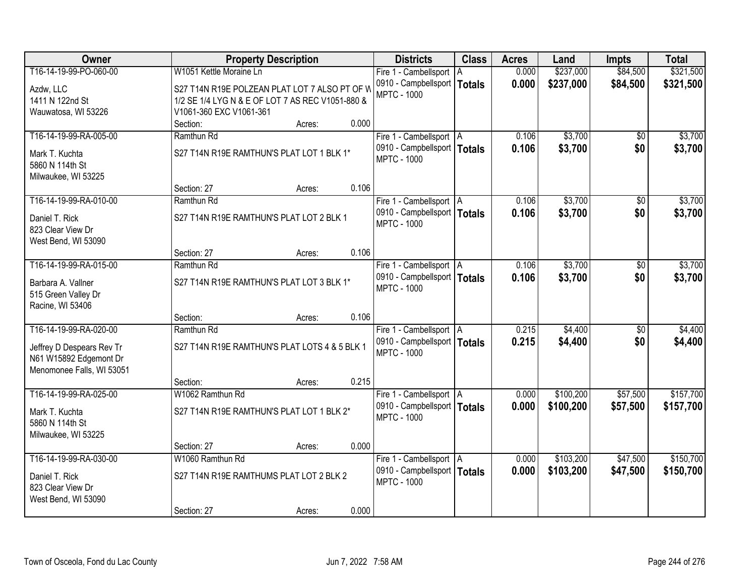| T16-14-19-99-PO-060-00<br>W1051 Kettle Moraine Ln<br>\$237,000<br>0.000<br>\$84,500<br>Fire 1 - Cambellsport   A<br>0.000<br>0910 - Campbellsport   Totals<br>\$237,000<br>\$84,500<br>S27 T14N R19E POLZEAN PLAT LOT 7 ALSO PT OF W<br>Azdw, LLC<br><b>MPTC - 1000</b><br>1411 N 122nd St<br>1/2 SE 1/4 LYG N & E OF LOT 7 AS REC V1051-880 &<br>V1061-360 EXC V1061-361<br>Wauwatosa, WI 53226<br>0.000<br>Section:<br>Acres: | \$321,500<br>\$321,500<br>\$3,700<br>\$3,700 |
|---------------------------------------------------------------------------------------------------------------------------------------------------------------------------------------------------------------------------------------------------------------------------------------------------------------------------------------------------------------------------------------------------------------------------------|----------------------------------------------|
|                                                                                                                                                                                                                                                                                                                                                                                                                                 |                                              |
|                                                                                                                                                                                                                                                                                                                                                                                                                                 |                                              |
|                                                                                                                                                                                                                                                                                                                                                                                                                                 |                                              |
|                                                                                                                                                                                                                                                                                                                                                                                                                                 |                                              |
|                                                                                                                                                                                                                                                                                                                                                                                                                                 |                                              |
| T16-14-19-99-RA-005-00<br>\$3,700<br>Ramthun Rd<br>Fire 1 - Cambellsport   A<br>0.106<br>$\overline{30}$                                                                                                                                                                                                                                                                                                                        |                                              |
| \$3,700<br>0910 - Campbellsport   Totals<br>0.106<br>\$0<br>S27 T14N R19E RAMTHUN'S PLAT LOT 1 BLK 1*<br>Mark T. Kuchta                                                                                                                                                                                                                                                                                                         |                                              |
| <b>MPTC - 1000</b><br>5860 N 114th St                                                                                                                                                                                                                                                                                                                                                                                           |                                              |
| Milwaukee, WI 53225                                                                                                                                                                                                                                                                                                                                                                                                             |                                              |
| 0.106<br>Section: 27<br>Acres:                                                                                                                                                                                                                                                                                                                                                                                                  |                                              |
| \$3,700<br>T16-14-19-99-RA-010-00<br>Ramthun Rd<br>0.106<br>\$0<br>Fire 1 - Cambellsport   A                                                                                                                                                                                                                                                                                                                                    | \$3,700                                      |
| 0910 - Campbellsport   Totals<br>0.106<br>\$3,700<br>\$0<br>S27 T14N R19E RAMTHUN'S PLAT LOT 2 BLK 1<br>Daniel T. Rick                                                                                                                                                                                                                                                                                                          | \$3,700                                      |
| <b>MPTC - 1000</b><br>823 Clear View Dr                                                                                                                                                                                                                                                                                                                                                                                         |                                              |
| West Bend, WI 53090                                                                                                                                                                                                                                                                                                                                                                                                             |                                              |
| 0.106<br>Section: 27<br>Acres:                                                                                                                                                                                                                                                                                                                                                                                                  |                                              |
| T16-14-19-99-RA-015-00<br>\$3,700<br>Ramthun Rd<br>Fire 1 - Cambellsport   A<br>0.106<br>\$0                                                                                                                                                                                                                                                                                                                                    | \$3,700                                      |
| 0910 - Campbellsport   Totals<br>0.106<br>\$3,700<br>\$0<br>S27 T14N R19E RAMTHUN'S PLAT LOT 3 BLK 1*<br>Barbara A. Vallner                                                                                                                                                                                                                                                                                                     | \$3,700                                      |
| <b>MPTC - 1000</b><br>515 Green Valley Dr                                                                                                                                                                                                                                                                                                                                                                                       |                                              |
| Racine, WI 53406                                                                                                                                                                                                                                                                                                                                                                                                                |                                              |
| 0.106<br>Section:<br>Acres:                                                                                                                                                                                                                                                                                                                                                                                                     |                                              |
| T16-14-19-99-RA-020-00<br>Ramthun Rd<br>0.215<br>\$4,400<br>\$0<br>Fire 1 - Cambellsport   A                                                                                                                                                                                                                                                                                                                                    | \$4,400                                      |
| 0910 - Campbellsport   Totals<br>0.215<br>\$4,400<br>\$0                                                                                                                                                                                                                                                                                                                                                                        | \$4,400                                      |
| S27 T14N R19E RAMTHUN'S PLAT LOTS 4 & 5 BLK 1<br>Jeffrey D Despears Rev Tr<br><b>MPTC - 1000</b>                                                                                                                                                                                                                                                                                                                                |                                              |
| N61 W15892 Edgemont Dr<br>Menomonee Falls, WI 53051                                                                                                                                                                                                                                                                                                                                                                             |                                              |
| 0.215<br>Section:<br>Acres:                                                                                                                                                                                                                                                                                                                                                                                                     |                                              |
| T16-14-19-99-RA-025-00<br>W1062 Ramthun Rd<br>\$100,200<br>\$57,500<br>Fire 1 - Cambellsport   A<br>0.000                                                                                                                                                                                                                                                                                                                       | \$157,700                                    |
| 0910 - Campbellsport   Totals<br>0.000<br>\$100,200<br>\$57,500                                                                                                                                                                                                                                                                                                                                                                 | \$157,700                                    |
| S27 T14N R19E RAMTHUN'S PLAT LOT 1 BLK 2*<br>Mark T. Kuchta<br><b>MPTC - 1000</b><br>5860 N 114th St                                                                                                                                                                                                                                                                                                                            |                                              |
| Milwaukee, WI 53225                                                                                                                                                                                                                                                                                                                                                                                                             |                                              |
| 0.000<br>Section: 27<br>Acres:                                                                                                                                                                                                                                                                                                                                                                                                  |                                              |
| T16-14-19-99-RA-030-00<br>\$103,200<br>W1060 Ramthun Rd<br>0.000<br>\$47,500<br>Fire 1 - Cambellsport   A                                                                                                                                                                                                                                                                                                                       | \$150,700                                    |
| 0910 - Campbellsport   Totals<br>0.000<br>\$103,200<br>\$47,500                                                                                                                                                                                                                                                                                                                                                                 | \$150,700                                    |
| S27 T14N R19E RAMTHUMS PLAT LOT 2 BLK 2<br>Daniel T. Rick<br><b>MPTC - 1000</b><br>823 Clear View Dr                                                                                                                                                                                                                                                                                                                            |                                              |
| West Bend, WI 53090                                                                                                                                                                                                                                                                                                                                                                                                             |                                              |
| 0.000<br>Section: 27<br>Acres:                                                                                                                                                                                                                                                                                                                                                                                                  |                                              |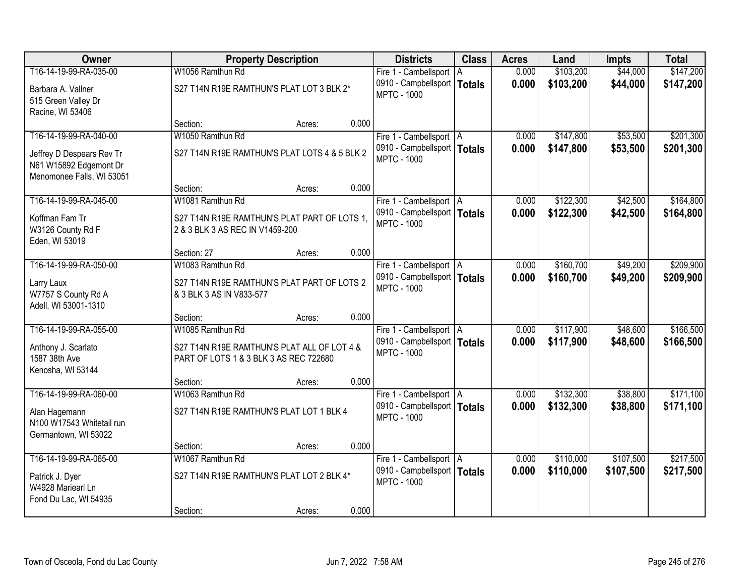| Owner                     |                                               | <b>Property Description</b> |       | <b>Districts</b>                                    | <b>Class</b> | <b>Acres</b> | Land      | <b>Impts</b> | <b>Total</b> |
|---------------------------|-----------------------------------------------|-----------------------------|-------|-----------------------------------------------------|--------------|--------------|-----------|--------------|--------------|
| T16-14-19-99-RA-035-00    | W1056 Ramthun Rd                              |                             |       | Fire 1 - Cambellsport   A                           |              | 0.000        | \$103,200 | \$44,000     | \$147,200    |
| Barbara A. Vallner        | S27 T14N R19E RAMTHUN'S PLAT LOT 3 BLK 2*     |                             |       | 0910 - Campbellsport   Totals                       |              | 0.000        | \$103,200 | \$44,000     | \$147,200    |
| 515 Green Valley Dr       |                                               |                             |       | <b>MPTC - 1000</b>                                  |              |              |           |              |              |
| Racine, WI 53406          |                                               |                             |       |                                                     |              |              |           |              |              |
|                           | Section:                                      | Acres:                      | 0.000 |                                                     |              |              |           |              |              |
| T16-14-19-99-RA-040-00    | W1050 Ramthun Rd                              |                             |       | Fire 1 - Cambellsport   A                           |              | 0.000        | \$147,800 | \$53,500     | \$201,300    |
| Jeffrey D Despears Rev Tr | S27 T14N R19E RAMTHUN'S PLAT LOTS 4 & 5 BLK 2 |                             |       | 0910 - Campbellsport   Totals                       |              | 0.000        | \$147,800 | \$53,500     | \$201,300    |
| N61 W15892 Edgemont Dr    |                                               |                             |       | <b>MPTC - 1000</b>                                  |              |              |           |              |              |
| Menomonee Falls, WI 53051 |                                               |                             |       |                                                     |              |              |           |              |              |
|                           | Section:                                      | Acres:                      | 0.000 |                                                     |              |              |           |              |              |
| T16-14-19-99-RA-045-00    | W1081 Ramthun Rd                              |                             |       | Fire 1 - Cambellsport   A                           |              | 0.000        | \$122,300 | \$42,500     | \$164,800    |
| Koffman Fam Tr            | S27 T14N R19E RAMTHUN'S PLAT PART OF LOTS 1,  |                             |       | 0910 - Campbellsport   Totals                       |              | 0.000        | \$122,300 | \$42,500     | \$164,800    |
| W3126 County Rd F         | 2 & 3 BLK 3 AS REC IN V1459-200               |                             |       | <b>MPTC - 1000</b>                                  |              |              |           |              |              |
| Eden, WI 53019            |                                               |                             |       |                                                     |              |              |           |              |              |
|                           | Section: 27                                   | Acres:                      | 0.000 |                                                     |              |              |           |              |              |
| T16-14-19-99-RA-050-00    | W1083 Ramthun Rd                              |                             |       | Fire 1 - Cambellsport   A                           |              | 0.000        | \$160,700 | \$49,200     | \$209,900    |
| Larry Laux                | S27 T14N R19E RAMTHUN'S PLAT PART OF LOTS 2   |                             |       | 0910 - Campbellsport   Totals                       |              | 0.000        | \$160,700 | \$49,200     | \$209,900    |
| W7757 S County Rd A       | & 3 BLK 3 AS IN V833-577                      |                             |       | <b>MPTC - 1000</b>                                  |              |              |           |              |              |
| Adell, WI 53001-1310      |                                               |                             |       |                                                     |              |              |           |              |              |
|                           | Section:                                      | Acres:                      | 0.000 |                                                     |              |              |           |              |              |
| T16-14-19-99-RA-055-00    | W1085 Ramthun Rd                              |                             |       | Fire 1 - Cambellsport   A                           |              | 0.000        | \$117,900 | \$48,600     | \$166,500    |
| Anthony J. Scarlato       | S27 T14N R19E RAMTHUN'S PLAT ALL OF LOT 4 &   |                             |       | 0910 - Campbellsport   Totals                       |              | 0.000        | \$117,900 | \$48,600     | \$166,500    |
| 1587 38th Ave             | PART OF LOTS 1 & 3 BLK 3 AS REC 722680        |                             |       | <b>MPTC - 1000</b>                                  |              |              |           |              |              |
| Kenosha, WI 53144         |                                               |                             |       |                                                     |              |              |           |              |              |
|                           | Section:                                      | Acres:                      | 0.000 |                                                     |              |              |           |              |              |
| T16-14-19-99-RA-060-00    | W1063 Ramthun Rd                              |                             |       | Fire 1 - Cambellsport   A                           |              | 0.000        | \$132,300 | \$38,800     | \$171,100    |
| Alan Hagemann             | S27 T14N R19E RAMTHUN'S PLAT LOT 1 BLK 4      |                             |       | 0910 - Campbellsport   Totals<br><b>MPTC - 1000</b> |              | 0.000        | \$132,300 | \$38,800     | \$171,100    |
| N100 W17543 Whitetail run |                                               |                             |       |                                                     |              |              |           |              |              |
| Germantown, WI 53022      |                                               |                             |       |                                                     |              |              |           |              |              |
|                           | Section:                                      | Acres:                      | 0.000 |                                                     |              |              |           |              |              |
| T16-14-19-99-RA-065-00    | W1067 Ramthun Rd                              |                             |       | Fire 1 - Cambellsport   A                           |              | 0.000        | \$110,000 | \$107,500    | \$217,500    |
| Patrick J. Dyer           | S27 T14N R19E RAMTHUN'S PLAT LOT 2 BLK 4*     |                             |       | 0910 - Campbellsport   Totals<br><b>MPTC - 1000</b> |              | 0.000        | \$110,000 | \$107,500    | \$217,500    |
| W4928 Mariearl Ln         |                                               |                             |       |                                                     |              |              |           |              |              |
| Fond Du Lac, WI 54935     |                                               |                             |       |                                                     |              |              |           |              |              |
|                           | Section:                                      | Acres:                      | 0.000 |                                                     |              |              |           |              |              |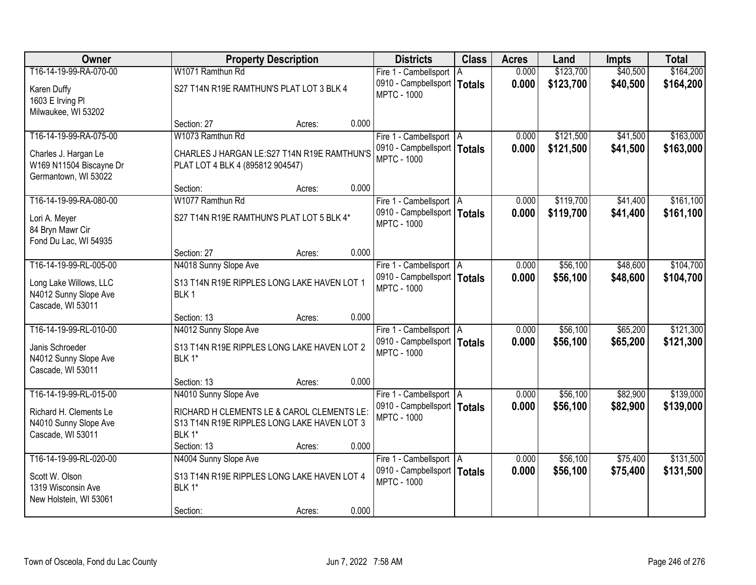| Owner                   |                                             | <b>Property Description</b> |       | <b>Districts</b>              | <b>Class</b> | <b>Acres</b> | Land      | <b>Impts</b> | <b>Total</b> |
|-------------------------|---------------------------------------------|-----------------------------|-------|-------------------------------|--------------|--------------|-----------|--------------|--------------|
| T16-14-19-99-RA-070-00  | W1071 Ramthun Rd                            |                             |       | Fire 1 - Cambellsport   A     |              | 0.000        | \$123,700 | \$40,500     | \$164,200    |
| Karen Duffy             | S27 T14N R19E RAMTHUN'S PLAT LOT 3 BLK 4    |                             |       | 0910 - Campbellsport   Totals |              | 0.000        | \$123,700 | \$40,500     | \$164,200    |
| 1603 E Irving Pl        |                                             |                             |       | <b>MPTC - 1000</b>            |              |              |           |              |              |
| Milwaukee, WI 53202     |                                             |                             |       |                               |              |              |           |              |              |
|                         | Section: 27                                 | Acres:                      | 0.000 |                               |              |              |           |              |              |
| T16-14-19-99-RA-075-00  | W1073 Ramthun Rd                            |                             |       | Fire 1 - Cambellsport   A     |              | 0.000        | \$121,500 | \$41,500     | \$163,000    |
| Charles J. Hargan Le    | CHARLES J HARGAN LE:S27 T14N R19E RAMTHUN'S |                             |       | 0910 - Campbellsport   Totals |              | 0.000        | \$121,500 | \$41,500     | \$163,000    |
| W169 N11504 Biscayne Dr | PLAT LOT 4 BLK 4 (895812 904547)            |                             |       | <b>MPTC - 1000</b>            |              |              |           |              |              |
| Germantown, WI 53022    |                                             |                             |       |                               |              |              |           |              |              |
|                         | Section:                                    | Acres:                      | 0.000 |                               |              |              |           |              |              |
| T16-14-19-99-RA-080-00  | W1077 Ramthun Rd                            |                             |       | Fire 1 - Cambellsport   A     |              | 0.000        | \$119,700 | \$41,400     | \$161,100    |
| Lori A. Meyer           | S27 T14N R19E RAMTHUN'S PLAT LOT 5 BLK 4*   |                             |       | 0910 - Campbellsport   Totals |              | 0.000        | \$119,700 | \$41,400     | \$161,100    |
| 84 Bryn Mawr Cir        |                                             |                             |       | <b>MPTC - 1000</b>            |              |              |           |              |              |
| Fond Du Lac, WI 54935   |                                             |                             |       |                               |              |              |           |              |              |
|                         | Section: 27                                 | Acres:                      | 0.000 |                               |              |              |           |              |              |
| T16-14-19-99-RL-005-00  | N4018 Sunny Slope Ave                       |                             |       | Fire 1 - Cambellsport   A     |              | 0.000        | \$56,100  | \$48,600     | \$104,700    |
| Long Lake Willows, LLC  | S13 T14N R19E RIPPLES LONG LAKE HAVEN LOT 1 |                             |       | 0910 - Campbellsport   Totals |              | 0.000        | \$56,100  | \$48,600     | \$104,700    |
| N4012 Sunny Slope Ave   | BLK <sub>1</sub>                            |                             |       | <b>MPTC - 1000</b>            |              |              |           |              |              |
| Cascade, WI 53011       |                                             |                             |       |                               |              |              |           |              |              |
|                         | Section: 13                                 | Acres:                      | 0.000 |                               |              |              |           |              |              |
| T16-14-19-99-RL-010-00  | N4012 Sunny Slope Ave                       |                             |       | Fire 1 - Cambellsport   A     |              | 0.000        | \$56,100  | \$65,200     | \$121,300    |
| Janis Schroeder         | S13 T14N R19E RIPPLES LONG LAKE HAVEN LOT 2 |                             |       | 0910 - Campbellsport   Totals |              | 0.000        | \$56,100  | \$65,200     | \$121,300    |
| N4012 Sunny Slope Ave   | BLK 1*                                      |                             |       | <b>MPTC - 1000</b>            |              |              |           |              |              |
| Cascade, WI 53011       |                                             |                             |       |                               |              |              |           |              |              |
|                         | Section: 13                                 | Acres:                      | 0.000 |                               |              |              |           |              |              |
| T16-14-19-99-RL-015-00  | N4010 Sunny Slope Ave                       |                             |       | Fire 1 - Cambellsport   A     |              | 0.000        | \$56,100  | \$82,900     | \$139,000    |
| Richard H. Clements Le  | RICHARD H CLEMENTS LE & CAROL CLEMENTS LE:  |                             |       | 0910 - Campbellsport   Totals |              | 0.000        | \$56,100  | \$82,900     | \$139,000    |
| N4010 Sunny Slope Ave   | S13 T14N R19E RIPPLES LONG LAKE HAVEN LOT 3 |                             |       | <b>MPTC - 1000</b>            |              |              |           |              |              |
| Cascade, WI 53011       | BLK 1*                                      |                             |       |                               |              |              |           |              |              |
|                         | Section: 13                                 | Acres:                      | 0.000 |                               |              |              |           |              |              |
| T16-14-19-99-RL-020-00  | N4004 Sunny Slope Ave                       |                             |       | Fire 1 - Cambellsport   A     |              | 0.000        | \$56,100  | \$75,400     | \$131,500    |
| Scott W. Olson          | S13 T14N R19E RIPPLES LONG LAKE HAVEN LOT 4 |                             |       | 0910 - Campbellsport   Totals |              | 0.000        | \$56,100  | \$75,400     | \$131,500    |
| 1319 Wisconsin Ave      | BLK 1*                                      |                             |       | <b>MPTC - 1000</b>            |              |              |           |              |              |
| New Holstein, WI 53061  |                                             |                             |       |                               |              |              |           |              |              |
|                         | Section:                                    | Acres:                      | 0.000 |                               |              |              |           |              |              |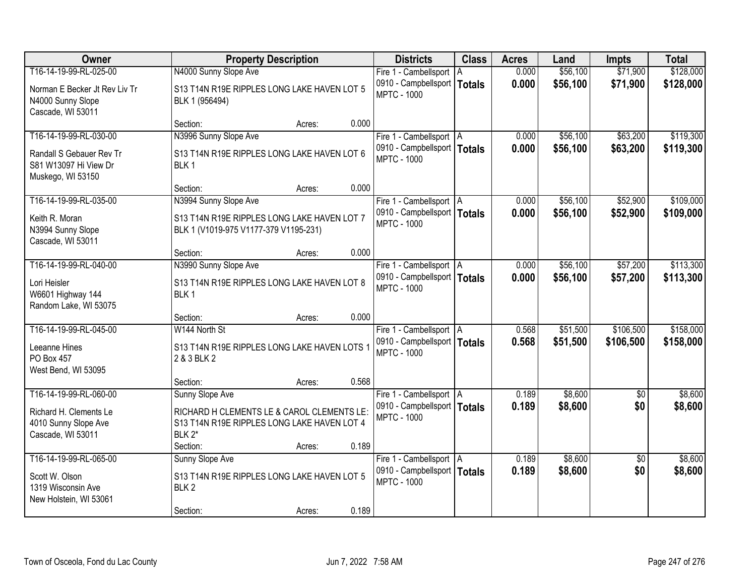| <b>Owner</b>                                                                        | <b>Property Description</b>                                                                                                        | <b>Districts</b>                                                                 | <b>Class</b> | <b>Acres</b>   | Land                 | <b>Impts</b>           | <b>Total</b>           |
|-------------------------------------------------------------------------------------|------------------------------------------------------------------------------------------------------------------------------------|----------------------------------------------------------------------------------|--------------|----------------|----------------------|------------------------|------------------------|
| T16-14-19-99-RL-025-00                                                              | N4000 Sunny Slope Ave                                                                                                              | Fire 1 - Cambellsport                                                            | A            | 0.000          | \$56,100             | \$71,900               | \$128,000              |
| Norman E Becker Jt Rev Liv Tr<br>N4000 Sunny Slope<br>Cascade, WI 53011             | S13 T14N R19E RIPPLES LONG LAKE HAVEN LOT 5<br>BLK 1 (956494)                                                                      | 0910 - Campbellsport   Totals<br><b>MPTC - 1000</b>                              |              | 0.000          | \$56,100             | \$71,900               | \$128,000              |
|                                                                                     | 0.000<br>Section:<br>Acres:                                                                                                        |                                                                                  |              |                |                      |                        |                        |
| T16-14-19-99-RL-030-00                                                              | N3996 Sunny Slope Ave                                                                                                              | Fire 1 - Cambellsport   A                                                        |              | 0.000          | \$56,100             | \$63,200               | \$119,300              |
| Randall S Gebauer Rev Tr<br>S81 W13097 Hi View Dr<br>Muskego, WI 53150              | S13 T14N R19E RIPPLES LONG LAKE HAVEN LOT 6<br>BLK <sub>1</sub>                                                                    | 0910 - Campbellsport   Totals<br><b>MPTC - 1000</b>                              |              | 0.000          | \$56,100             | \$63,200               | \$119,300              |
|                                                                                     | 0.000<br>Section:<br>Acres:                                                                                                        |                                                                                  |              |                |                      |                        |                        |
| T16-14-19-99-RL-035-00                                                              | N3994 Sunny Slope Ave                                                                                                              | Fire 1 - Cambellsport   A                                                        |              | 0.000          | \$56,100             | \$52,900               | \$109,000              |
| Keith R. Moran<br>N3994 Sunny Slope<br>Cascade, WI 53011                            | S13 T14N R19E RIPPLES LONG LAKE HAVEN LOT 7<br>BLK 1 (V1019-975 V1177-379 V1195-231)                                               | 0910 - Campbellsport   Totals<br><b>MPTC - 1000</b>                              |              | 0.000          | \$56,100             | \$52,900               | \$109,000              |
|                                                                                     | 0.000<br>Section:<br>Acres:                                                                                                        |                                                                                  |              |                |                      |                        |                        |
| T16-14-19-99-RL-040-00                                                              | N3990 Sunny Slope Ave                                                                                                              | Fire 1 - Cambellsport   A                                                        |              | 0.000          | \$56,100             | \$57,200               | \$113,300              |
| Lori Heisler<br>W6601 Highway 144<br>Random Lake, WI 53075                          | S13 T14N R19E RIPPLES LONG LAKE HAVEN LOT 8<br>BLK <sub>1</sub>                                                                    | 0910 - Campbellsport   Totals<br><b>MPTC - 1000</b>                              |              | 0.000          | \$56,100             | \$57,200               | \$113,300              |
|                                                                                     | 0.000<br>Section:<br>Acres:                                                                                                        |                                                                                  |              |                |                      |                        |                        |
| T16-14-19-99-RL-045-00<br>Leeanne Hines<br><b>PO Box 457</b><br>West Bend, WI 53095 | W144 North St<br>S13 T14N R19E RIPPLES LONG LAKE HAVEN LOTS 1<br>2 & 3 BLK 2                                                       | Fire 1 - Cambellsport   A<br>0910 - Campbellsport   Totals<br><b>MPTC - 1000</b> |              | 0.568<br>0.568 | \$51,500<br>\$51,500 | \$106,500<br>\$106,500 | \$158,000<br>\$158,000 |
|                                                                                     | 0.568<br>Section:<br>Acres:                                                                                                        |                                                                                  |              |                |                      |                        |                        |
| T16-14-19-99-RL-060-00                                                              | Sunny Slope Ave                                                                                                                    | Fire 1 - Cambellsport   A                                                        |              | 0.189          | \$8,600              | $\overline{50}$        | \$8,600                |
| Richard H. Clements Le<br>4010 Sunny Slope Ave<br>Cascade, WI 53011                 | RICHARD H CLEMENTS LE & CAROL CLEMENTS LE:<br>S13 T14N R19E RIPPLES LONG LAKE HAVEN LOT 4<br>BLK 2*<br>0.189<br>Section:<br>Acres: | 0910 - Campbellsport   Totals<br><b>MPTC - 1000</b>                              |              | 0.189          | \$8,600              | \$0                    | \$8,600                |
| T16-14-19-99-RL-065-00                                                              | Sunny Slope Ave                                                                                                                    | Fire 1 - Cambellsport   A                                                        |              | 0.189          | \$8,600              | $\overline{50}$        | \$8,600                |
| Scott W. Olson<br>1319 Wisconsin Ave<br>New Holstein, WI 53061                      | S13 T14N R19E RIPPLES LONG LAKE HAVEN LOT 5<br>BLK <sub>2</sub>                                                                    | 0910 - Campbellsport   Totals<br><b>MPTC - 1000</b>                              |              | 0.189          | \$8,600              | \$0                    | \$8,600                |
|                                                                                     | 0.189<br>Section:<br>Acres:                                                                                                        |                                                                                  |              |                |                      |                        |                        |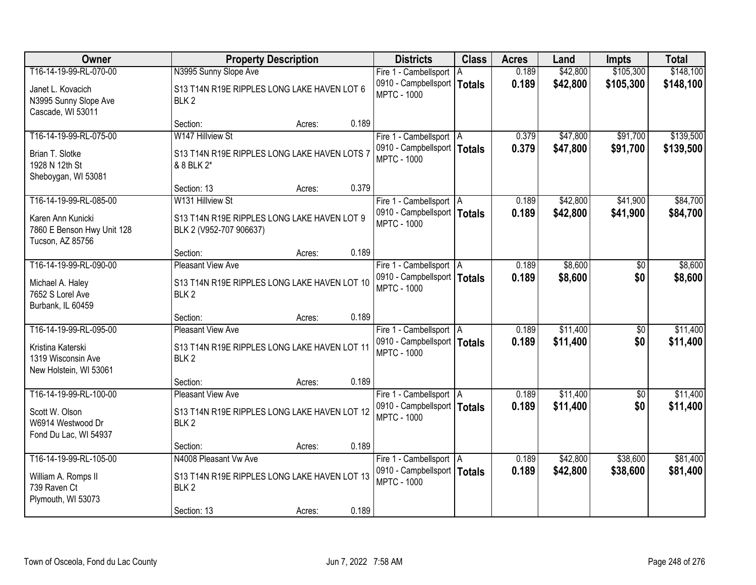| Owner                                                               | <b>Property Description</b>                                            | <b>Districts</b>                                    | <b>Class</b> | <b>Acres</b> | Land     | <b>Impts</b>    | <b>Total</b> |
|---------------------------------------------------------------------|------------------------------------------------------------------------|-----------------------------------------------------|--------------|--------------|----------|-----------------|--------------|
| T16-14-19-99-RL-070-00                                              | N3995 Sunny Slope Ave                                                  | Fire 1 - Cambellsport   A                           |              | 0.189        | \$42,800 | \$105,300       | \$148,100    |
| Janet L. Kovacich<br>N3995 Sunny Slope Ave<br>Cascade, WI 53011     | S13 T14N R19E RIPPLES LONG LAKE HAVEN LOT 6<br>BLK <sub>2</sub>        | 0910 - Campbellsport   Totals<br><b>MPTC - 1000</b> |              | 0.189        | \$42,800 | \$105,300       | \$148,100    |
|                                                                     | 0.189<br>Section:<br>Acres:                                            |                                                     |              |              |          |                 |              |
| T16-14-19-99-RL-075-00                                              | W147 Hillview St                                                       | Fire 1 - Cambellsport   A                           |              | 0.379        | \$47,800 | \$91,700        | \$139,500    |
| Brian T. Slotke<br>1928 N 12th St<br>Sheboygan, WI 53081            | S13 T14N R19E RIPPLES LONG LAKE HAVEN LOTS 7<br>& 8 BLK 2*             | 0910 - Campbellsport   Totals<br><b>MPTC - 1000</b> |              | 0.379        | \$47,800 | \$91,700        | \$139,500    |
|                                                                     | 0.379<br>Section: 13<br>Acres:                                         |                                                     |              |              |          |                 |              |
| T16-14-19-99-RL-085-00                                              | W131 Hillview St                                                       | Fire 1 - Cambellsport   A                           |              | 0.189        | \$42,800 | \$41,900        | \$84,700     |
| Karen Ann Kunicki<br>7860 E Benson Hwy Unit 128<br>Tucson, AZ 85756 | S13 T14N R19E RIPPLES LONG LAKE HAVEN LOT 9<br>BLK 2 (V952-707 906637) | 0910 - Campbellsport   Totals<br><b>MPTC - 1000</b> |              | 0.189        | \$42,800 | \$41,900        | \$84,700     |
|                                                                     | 0.189<br>Section:<br>Acres:                                            |                                                     |              |              |          |                 |              |
| T16-14-19-99-RL-090-00                                              | <b>Pleasant View Ave</b>                                               | Fire 1 - Cambellsport   A                           |              | 0.189        | \$8,600  | \$0             | \$8,600      |
| Michael A. Haley<br>7652 S Lorel Ave<br>Burbank, IL 60459           | S13 T14N R19E RIPPLES LONG LAKE HAVEN LOT 10<br>BLK <sub>2</sub>       | 0910 - Campbellsport   Totals<br><b>MPTC - 1000</b> |              | 0.189        | \$8,600  | \$0             | \$8,600      |
|                                                                     | 0.189<br>Section:<br>Acres:                                            |                                                     |              |              |          |                 |              |
| T16-14-19-99-RL-095-00                                              | <b>Pleasant View Ave</b>                                               | Fire 1 - Cambellsport   A                           |              | 0.189        | \$11,400 | $\overline{50}$ | \$11,400     |
| Kristina Katerski<br>1319 Wisconsin Ave<br>New Holstein, WI 53061   | S13 T14N R19E RIPPLES LONG LAKE HAVEN LOT 11<br>BLK <sub>2</sub>       | 0910 - Campbellsport   Totals<br><b>MPTC - 1000</b> |              | 0.189        | \$11,400 | \$0             | \$11,400     |
|                                                                     | 0.189<br>Section:<br>Acres:                                            |                                                     |              |              |          |                 |              |
| T16-14-19-99-RL-100-00                                              | <b>Pleasant View Ave</b>                                               | Fire 1 - Cambellsport   A                           |              | 0.189        | \$11,400 | $\sqrt{6}$      | \$11,400     |
| Scott W. Olson<br>W6914 Westwood Dr<br>Fond Du Lac, WI 54937        | S13 T14N R19E RIPPLES LONG LAKE HAVEN LOT 12<br>BLK <sub>2</sub>       | 0910 - Campbellsport   Totals<br><b>MPTC - 1000</b> |              | 0.189        | \$11,400 | \$0             | \$11,400     |
|                                                                     | 0.189<br>Section:<br>Acres:                                            |                                                     |              |              |          |                 |              |
| T16-14-19-99-RL-105-00                                              | N4008 Pleasant Vw Ave                                                  | Fire 1 - Cambellsport   A                           |              | 0.189        | \$42,800 | \$38,600        | \$81,400     |
| William A. Romps II<br>739 Raven Ct<br>Plymouth, WI 53073           | S13 T14N R19E RIPPLES LONG LAKE HAVEN LOT 13<br>BLK <sub>2</sub>       | 0910 - Campbellsport   Totals<br><b>MPTC - 1000</b> |              | 0.189        | \$42,800 | \$38,600        | \$81,400     |
|                                                                     | 0.189<br>Section: 13<br>Acres:                                         |                                                     |              |              |          |                 |              |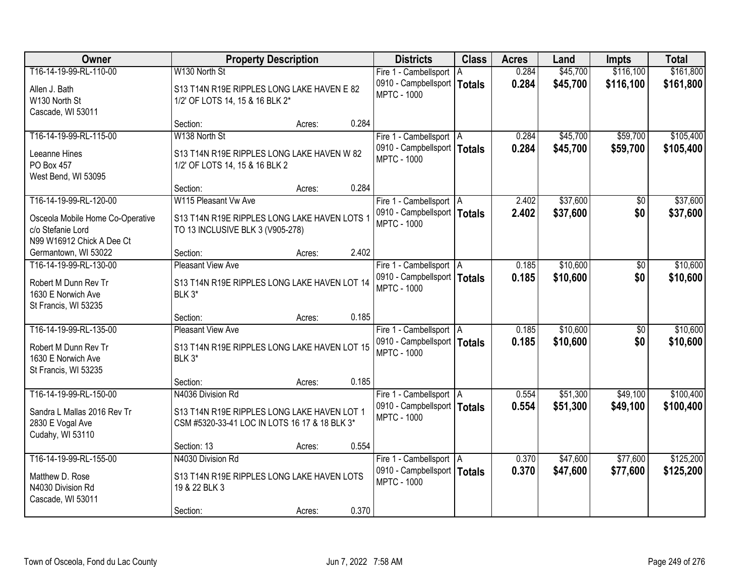| <b>Owner</b>                                      |                                               | <b>Property Description</b> |       | <b>Districts</b>                                    | <b>Class</b> | <b>Acres</b> | Land     | <b>Impts</b> | <b>Total</b> |
|---------------------------------------------------|-----------------------------------------------|-----------------------------|-------|-----------------------------------------------------|--------------|--------------|----------|--------------|--------------|
| T16-14-19-99-RL-110-00                            | W130 North St                                 |                             |       | Fire 1 - Cambellsport   A                           |              | 0.284        | \$45,700 | \$116,100    | \$161,800    |
| Allen J. Bath                                     | S13 T14N R19E RIPPLES LONG LAKE HAVEN E 82    |                             |       | 0910 - Campbellsport   Totals<br><b>MPTC - 1000</b> |              | 0.284        | \$45,700 | \$116,100    | \$161,800    |
| W130 North St                                     | 1/2' OF LOTS 14, 15 & 16 BLK 2*               |                             |       |                                                     |              |              |          |              |              |
| Cascade, WI 53011                                 | Section:                                      | Acres:                      | 0.284 |                                                     |              |              |          |              |              |
| T16-14-19-99-RL-115-00                            | W138 North St                                 |                             |       | Fire 1 - Cambellsport   A                           |              | 0.284        | \$45,700 | \$59,700     | \$105,400    |
| Leeanne Hines                                     | S13 T14N R19E RIPPLES LONG LAKE HAVEN W 82    |                             |       | 0910 - Campbellsport   Totals                       |              | 0.284        | \$45,700 | \$59,700     | \$105,400    |
| PO Box 457                                        | 1/2' OF LOTS 14, 15 & 16 BLK 2                |                             |       | <b>MPTC - 1000</b>                                  |              |              |          |              |              |
| West Bend, WI 53095                               |                                               |                             |       |                                                     |              |              |          |              |              |
|                                                   | Section:                                      | Acres:                      | 0.284 |                                                     |              |              |          |              |              |
| T16-14-19-99-RL-120-00                            | W115 Pleasant Vw Ave                          |                             |       | Fire 1 - Cambellsport   A                           |              | 2.402        | \$37,600 | \$0          | \$37,600     |
| Osceola Mobile Home Co-Operative                  | S13 T14N R19E RIPPLES LONG LAKE HAVEN LOTS 1  |                             |       | 0910 - Campbellsport   Totals<br><b>MPTC - 1000</b> |              | 2.402        | \$37,600 | \$0          | \$37,600     |
| c/o Stefanie Lord                                 | TO 13 INCLUSIVE BLK 3 (V905-278)              |                             |       |                                                     |              |              |          |              |              |
| N99 W16912 Chick A Dee Ct<br>Germantown, WI 53022 | Section:                                      | Acres:                      | 2.402 |                                                     |              |              |          |              |              |
| T16-14-19-99-RL-130-00                            | <b>Pleasant View Ave</b>                      |                             |       | Fire 1 - Cambellsport   A                           |              | 0.185        | \$10,600 | \$0          | \$10,600     |
| Robert M Dunn Rev Tr                              | S13 T14N R19E RIPPLES LONG LAKE HAVEN LOT 14  |                             |       | 0910 - Campbellsport   Totals                       |              | 0.185        | \$10,600 | \$0          | \$10,600     |
| 1630 E Norwich Ave                                | BLK 3*                                        |                             |       | <b>MPTC - 1000</b>                                  |              |              |          |              |              |
| St Francis, WI 53235                              |                                               |                             |       |                                                     |              |              |          |              |              |
|                                                   | Section:                                      | Acres:                      | 0.185 |                                                     |              |              |          |              |              |
| T16-14-19-99-RL-135-00                            | <b>Pleasant View Ave</b>                      |                             |       | Fire 1 - Cambellsport   A                           |              | 0.185        | \$10,600 | \$0          | \$10,600     |
| Robert M Dunn Rev Tr                              | S13 T14N R19E RIPPLES LONG LAKE HAVEN LOT 15  |                             |       | 0910 - Campbellsport   Totals<br><b>MPTC - 1000</b> |              | 0.185        | \$10,600 | \$0          | \$10,600     |
| 1630 E Norwich Ave                                | BLK 3*                                        |                             |       |                                                     |              |              |          |              |              |
| St Francis, WI 53235                              | Section:                                      | Acres:                      | 0.185 |                                                     |              |              |          |              |              |
| T16-14-19-99-RL-150-00                            | N4036 Division Rd                             |                             |       | Fire 1 - Cambellsport   A                           |              | 0.554        | \$51,300 | \$49,100     | \$100,400    |
| Sandra L Mallas 2016 Rev Tr                       | S13 T14N R19E RIPPLES LONG LAKE HAVEN LOT 1   |                             |       | 0910 - Campbellsport   Totals                       |              | 0.554        | \$51,300 | \$49,100     | \$100,400    |
| 2830 E Vogal Ave                                  | CSM #5320-33-41 LOC IN LOTS 16 17 & 18 BLK 3* |                             |       | <b>MPTC - 1000</b>                                  |              |              |          |              |              |
| Cudahy, WI 53110                                  |                                               |                             |       |                                                     |              |              |          |              |              |
|                                                   | Section: 13                                   | Acres:                      | 0.554 |                                                     |              |              |          |              |              |
| T16-14-19-99-RL-155-00                            | N4030 Division Rd                             |                             |       | Fire 1 - Cambellsport   A                           |              | 0.370        | \$47,600 | \$77,600     | \$125,200    |
| Matthew D. Rose                                   | S13 T14N R19E RIPPLES LONG LAKE HAVEN LOTS    |                             |       | 0910 - Campbellsport   Totals<br><b>MPTC - 1000</b> |              | 0.370        | \$47,600 | \$77,600     | \$125,200    |
| N4030 Division Rd<br>Cascade, WI 53011            | 19 & 22 BLK 3                                 |                             |       |                                                     |              |              |          |              |              |
|                                                   | Section:                                      | Acres:                      | 0.370 |                                                     |              |              |          |              |              |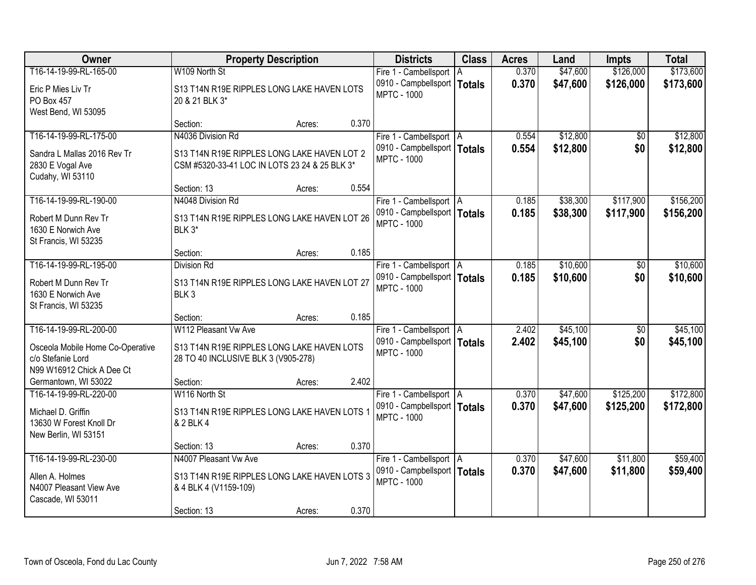| <b>Owner</b>                     | <b>Property Description</b>                   |                 | <b>Districts</b>              | <b>Class</b> | <b>Acres</b> | Land     | <b>Impts</b>    | <b>Total</b> |
|----------------------------------|-----------------------------------------------|-----------------|-------------------------------|--------------|--------------|----------|-----------------|--------------|
| T16-14-19-99-RL-165-00           | W109 North St                                 |                 | Fire 1 - Cambellsport   A     |              | 0.370        | \$47,600 | \$126,000       | \$173,600    |
| Eric P Mies Liv Tr               | S13 T14N R19E RIPPLES LONG LAKE HAVEN LOTS    |                 | 0910 - Campbellsport   Totals |              | 0.370        | \$47,600 | \$126,000       | \$173,600    |
| PO Box 457                       | 20 & 21 BLK 3*                                |                 | <b>MPTC - 1000</b>            |              |              |          |                 |              |
| West Bend, WI 53095              |                                               |                 |                               |              |              |          |                 |              |
|                                  | Section:                                      | 0.370<br>Acres: |                               |              |              |          |                 |              |
| T16-14-19-99-RL-175-00           | N4036 Division Rd                             |                 | Fire 1 - Cambellsport   A     |              | 0.554        | \$12,800 | \$0             | \$12,800     |
| Sandra L Mallas 2016 Rev Tr      | S13 T14N R19E RIPPLES LONG LAKE HAVEN LOT 2   |                 | 0910 - Campbellsport   Totals |              | 0.554        | \$12,800 | \$0             | \$12,800     |
| 2830 E Vogal Ave                 | CSM #5320-33-41 LOC IN LOTS 23 24 & 25 BLK 3* |                 | <b>MPTC - 1000</b>            |              |              |          |                 |              |
| Cudahy, WI 53110                 |                                               |                 |                               |              |              |          |                 |              |
|                                  | Section: 13                                   | 0.554<br>Acres: |                               |              |              |          |                 |              |
| T16-14-19-99-RL-190-00           | N4048 Division Rd                             |                 | Fire 1 - Cambellsport   A     |              | 0.185        | \$38,300 | \$117,900       | \$156,200    |
| Robert M Dunn Rev Tr             | S13 T14N R19E RIPPLES LONG LAKE HAVEN LOT 26  |                 | 0910 - Campbellsport   Totals |              | 0.185        | \$38,300 | \$117,900       | \$156,200    |
| 1630 E Norwich Ave               | BLK 3*                                        |                 | <b>MPTC - 1000</b>            |              |              |          |                 |              |
| St Francis, WI 53235             |                                               |                 |                               |              |              |          |                 |              |
|                                  | Section:                                      | 0.185<br>Acres: |                               |              |              |          |                 |              |
| T16-14-19-99-RL-195-00           | <b>Division Rd</b>                            |                 | Fire 1 - Cambellsport   A     |              | 0.185        | \$10,600 | \$0             | \$10,600     |
| Robert M Dunn Rev Tr             | S13 T14N R19E RIPPLES LONG LAKE HAVEN LOT 27  |                 | 0910 - Campbellsport   Totals |              | 0.185        | \$10,600 | \$0             | \$10,600     |
| 1630 E Norwich Ave               | BLK <sub>3</sub>                              |                 | <b>MPTC - 1000</b>            |              |              |          |                 |              |
| St Francis, WI 53235             |                                               |                 |                               |              |              |          |                 |              |
|                                  | Section:                                      | 0.185<br>Acres: |                               |              |              |          |                 |              |
| T16-14-19-99-RL-200-00           | W112 Pleasant Vw Ave                          |                 | Fire 1 - Cambellsport   A     |              | 2.402        | \$45,100 | $\overline{50}$ | \$45,100     |
| Osceola Mobile Home Co-Operative | S13 T14N R19E RIPPLES LONG LAKE HAVEN LOTS    |                 | 0910 - Campbellsport   Totals |              | 2.402        | \$45,100 | \$0             | \$45,100     |
| c/o Stefanie Lord                | 28 TO 40 INCLUSIVE BLK 3 (V905-278)           |                 | <b>MPTC - 1000</b>            |              |              |          |                 |              |
| N99 W16912 Chick A Dee Ct        |                                               |                 |                               |              |              |          |                 |              |
| Germantown, WI 53022             | Section:                                      | 2.402<br>Acres: |                               |              |              |          |                 |              |
| T16-14-19-99-RL-220-00           | W116 North St                                 |                 | Fire 1 - Cambellsport   A     |              | 0.370        | \$47,600 | \$125,200       | \$172,800    |
| Michael D. Griffin               | S13 T14N R19E RIPPLES LONG LAKE HAVEN LOTS 1  |                 | 0910 - Campbellsport   Totals |              | 0.370        | \$47,600 | \$125,200       | \$172,800    |
| 13630 W Forest Knoll Dr          | & 2 BLK 4                                     |                 | <b>MPTC - 1000</b>            |              |              |          |                 |              |
| New Berlin, WI 53151             |                                               |                 |                               |              |              |          |                 |              |
|                                  | Section: 13                                   | 0.370<br>Acres: |                               |              |              |          |                 |              |
| T16-14-19-99-RL-230-00           | N4007 Pleasant Vw Ave                         |                 | Fire 1 - Cambellsport   A     |              | 0.370        | \$47,600 | \$11,800        | \$59,400     |
| Allen A. Holmes                  | S13 T14N R19E RIPPLES LONG LAKE HAVEN LOTS 3  |                 | 0910 - Campbellsport   Totals |              | 0.370        | \$47,600 | \$11,800        | \$59,400     |
| N4007 Pleasant View Ave          | & 4 BLK 4 (V1159-109)                         |                 | <b>MPTC - 1000</b>            |              |              |          |                 |              |
| Cascade, WI 53011                |                                               |                 |                               |              |              |          |                 |              |
|                                  | Section: 13                                   | 0.370<br>Acres: |                               |              |              |          |                 |              |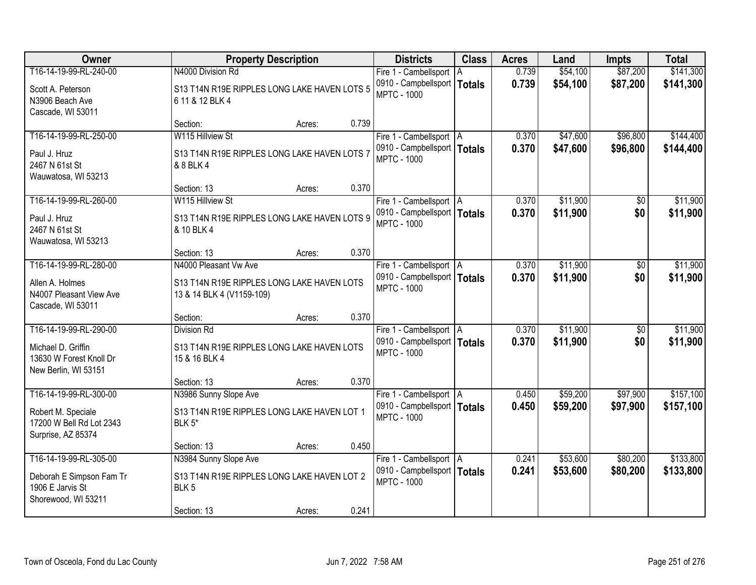| Owner                                                                                           | <b>Property Description</b>                                                                             |        |       | <b>Districts</b>                                                                 | <b>Class</b> | <b>Acres</b>   | Land                 | <b>Impts</b>           | <b>Total</b>           |
|-------------------------------------------------------------------------------------------------|---------------------------------------------------------------------------------------------------------|--------|-------|----------------------------------------------------------------------------------|--------------|----------------|----------------------|------------------------|------------------------|
| T16-14-19-99-RL-240-00                                                                          | N4000 Division Rd                                                                                       |        |       | Fire 1 - Cambellsport   A                                                        |              | 0.739          | \$54,100             | \$87,200               | \$141,300              |
| Scott A. Peterson<br>N3906 Beach Ave<br>Cascade, WI 53011                                       | S13 T14N R19E RIPPLES LONG LAKE HAVEN LOTS 5<br>6 11 & 12 BLK 4                                         |        |       | 0910 - Campbellsport   Totals<br><b>MPTC - 1000</b>                              |              | 0.739          | \$54,100             | \$87,200               | \$141,300              |
|                                                                                                 | Section:                                                                                                | Acres: | 0.739 |                                                                                  |              |                |                      |                        |                        |
| T16-14-19-99-RL-250-00<br>Paul J. Hruz<br>2467 N 61st St<br>Wauwatosa, WI 53213                 | W115 Hillview St<br>S13 T14N R19E RIPPLES LONG LAKE HAVEN LOTS 7<br>& 8 BLK 4                           |        |       | Fire 1 - Cambellsport   A<br>0910 - Campbellsport   Totals<br><b>MPTC - 1000</b> |              | 0.370<br>0.370 | \$47,600<br>\$47,600 | \$96,800<br>\$96,800   | \$144,400<br>\$144,400 |
|                                                                                                 | Section: 13                                                                                             | Acres: | 0.370 |                                                                                  |              |                |                      |                        |                        |
| T16-14-19-99-RL-260-00<br>Paul J. Hruz<br>2467 N 61st St<br>Wauwatosa, WI 53213                 | W115 Hillview St<br>S13 T14N R19E RIPPLES LONG LAKE HAVEN LOTS 9<br>& 10 BLK 4                          |        |       | Fire 1 - Cambellsport   A<br>0910 - Campbellsport   Totals<br><b>MPTC - 1000</b> |              | 0.370<br>0.370 | \$11,900<br>\$11,900 | \$0<br>\$0             | \$11,900<br>\$11,900   |
|                                                                                                 | Section: 13                                                                                             | Acres: | 0.370 |                                                                                  |              |                |                      |                        |                        |
| T16-14-19-99-RL-280-00<br>Allen A. Holmes<br>N4007 Pleasant View Ave<br>Cascade, WI 53011       | N4000 Pleasant Vw Ave<br>S13 T14N R19E RIPPLES LONG LAKE HAVEN LOTS<br>13 & 14 BLK 4 (V1159-109)        |        |       | Fire 1 - Cambellsport   A<br>0910 - Campbellsport   Totals<br><b>MPTC - 1000</b> |              | 0.370<br>0.370 | \$11,900<br>\$11,900 | \$0<br>\$0             | \$11,900<br>\$11,900   |
|                                                                                                 | Section:                                                                                                | Acres: | 0.370 |                                                                                  |              |                |                      |                        |                        |
| T16-14-19-99-RL-290-00<br>Michael D. Griffin<br>13630 W Forest Knoll Dr<br>New Berlin, WI 53151 | <b>Division Rd</b><br>S13 T14N R19E RIPPLES LONG LAKE HAVEN LOTS<br>15 & 16 BLK 4                       |        |       | Fire 1 - Cambellsport   A<br>0910 - Campbellsport   Totals<br><b>MPTC - 1000</b> |              | 0.370<br>0.370 | \$11,900<br>\$11,900 | $\overline{50}$<br>\$0 | \$11,900<br>\$11,900   |
|                                                                                                 | Section: 13                                                                                             | Acres: | 0.370 |                                                                                  |              |                |                      |                        |                        |
| T16-14-19-99-RL-300-00<br>Robert M. Speciale<br>17200 W Bell Rd Lot 2343<br>Surprise, AZ 85374  | N3986 Sunny Slope Ave<br>S13 T14N R19E RIPPLES LONG LAKE HAVEN LOT 1<br>BLK 5*                          |        |       | Fire 1 - Cambellsport A<br>0910 - Campbellsport   Totals<br><b>MPTC - 1000</b>   |              | 0.450<br>0.450 | \$59,200<br>\$59,200 | \$97,900<br>\$97,900   | \$157,100<br>\$157,100 |
|                                                                                                 | Section: 13                                                                                             | Acres: | 0.450 |                                                                                  |              |                |                      |                        |                        |
| T16-14-19-99-RL-305-00<br>Deborah E Simpson Fam Tr<br>1906 E Jarvis St<br>Shorewood, WI 53211   | N3984 Sunny Slope Ave<br>S13 T14N R19E RIPPLES LONG LAKE HAVEN LOT 2<br>BLK <sub>5</sub><br>Section: 13 | Acres: | 0.241 | Fire 1 - Cambellsport   A<br>0910 - Campbellsport   Totals<br><b>MPTC - 1000</b> |              | 0.241<br>0.241 | \$53,600<br>\$53,600 | \$80,200<br>\$80,200   | \$133,800<br>\$133,800 |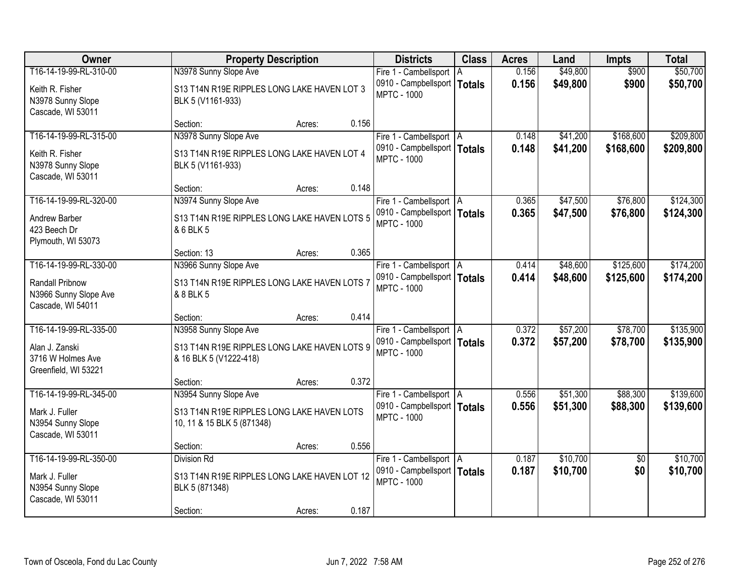| <b>Owner</b>                                                                          | <b>Property Description</b>                                                                          | <b>Districts</b>                                                                 | <b>Class</b>        | <b>Acres</b>   | Land                 | <b>Impts</b>           | <b>Total</b>           |
|---------------------------------------------------------------------------------------|------------------------------------------------------------------------------------------------------|----------------------------------------------------------------------------------|---------------------|----------------|----------------------|------------------------|------------------------|
| T16-14-19-99-RL-310-00<br>Keith R. Fisher<br>N3978 Sunny Slope                        | N3978 Sunny Slope Ave<br>S13 T14N R19E RIPPLES LONG LAKE HAVEN LOT 3<br>BLK 5 (V1161-933)            | Fire 1 - Cambellsport<br>0910 - Campbellsport  <br><b>MPTC - 1000</b>            | ΙA<br><b>Totals</b> | 0.156<br>0.156 | \$49,800<br>\$49,800 | \$900<br>\$900         | \$50,700<br>\$50,700   |
| Cascade, WI 53011                                                                     | 0.156<br>Section:<br>Acres:                                                                          |                                                                                  |                     |                |                      |                        |                        |
| T16-14-19-99-RL-315-00<br>Keith R. Fisher<br>N3978 Sunny Slope<br>Cascade, WI 53011   | N3978 Sunny Slope Ave<br>S13 T14N R19E RIPPLES LONG LAKE HAVEN LOT 4<br>BLK 5 (V1161-933)            | Fire 1 - Cambellsport   A<br>0910 - Campbellsport   Totals<br><b>MPTC - 1000</b> |                     | 0.148<br>0.148 | \$41,200<br>\$41,200 | \$168,600<br>\$168,600 | \$209,800<br>\$209,800 |
| T16-14-19-99-RL-320-00<br>Andrew Barber                                               | 0.148<br>Section:<br>Acres:<br>N3974 Sunny Slope Ave<br>S13 T14N R19E RIPPLES LONG LAKE HAVEN LOTS 5 | Fire 1 - Cambellsport   A<br>0910 - Campbellsport   Totals<br><b>MPTC - 1000</b> |                     | 0.365<br>0.365 | \$47,500<br>\$47,500 | \$76,800<br>\$76,800   | \$124,300<br>\$124,300 |
| 423 Beech Dr<br>Plymouth, WI 53073<br>T16-14-19-99-RL-330-00                          | & 6 BLK 5<br>0.365<br>Section: 13<br>Acres:<br>N3966 Sunny Slope Ave                                 | Fire 1 - Cambellsport   A                                                        |                     | 0.414          | \$48,600             | \$125,600              | \$174,200              |
| Randall Pribnow<br>N3966 Sunny Slope Ave<br>Cascade, WI 54011                         | S13 T14N R19E RIPPLES LONG LAKE HAVEN LOTS 7<br>& 8 BLK 5                                            | 0910 - Campbellsport   Totals<br><b>MPTC - 1000</b>                              |                     | 0.414          | \$48,600             | \$125,600              | \$174,200              |
|                                                                                       | 0.414<br>Section:<br>Acres:                                                                          |                                                                                  |                     |                |                      |                        |                        |
| T16-14-19-99-RL-335-00<br>Alan J. Zanski<br>3716 W Holmes Ave<br>Greenfield, WI 53221 | N3958 Sunny Slope Ave<br>S13 T14N R19E RIPPLES LONG LAKE HAVEN LOTS 9<br>& 16 BLK 5 (V1222-418)      | Fire 1 - Cambellsport   A<br>0910 - Campbellsport   Totals<br><b>MPTC - 1000</b> |                     | 0.372<br>0.372 | \$57,200<br>\$57,200 | \$78,700<br>\$78,700   | \$135,900<br>\$135,900 |
|                                                                                       | 0.372<br>Section:<br>Acres:                                                                          |                                                                                  |                     |                |                      |                        |                        |
| T16-14-19-99-RL-345-00<br>Mark J. Fuller<br>N3954 Sunny Slope<br>Cascade, WI 53011    | N3954 Sunny Slope Ave<br>S13 T14N R19E RIPPLES LONG LAKE HAVEN LOTS<br>10, 11 & 15 BLK 5 (871348)    | Fire 1 - Cambellsport   A<br>0910 - Campbellsport   Totals<br><b>MPTC - 1000</b> |                     | 0.556<br>0.556 | \$51,300<br>\$51,300 | \$88,300<br>\$88,300   | \$139,600<br>\$139,600 |
|                                                                                       | 0.556<br>Section:<br>Acres:                                                                          |                                                                                  |                     |                |                      |                        |                        |
| T16-14-19-99-RL-350-00<br>Mark J. Fuller<br>N3954 Sunny Slope<br>Cascade, WI 53011    | <b>Division Rd</b><br>S13 T14N R19E RIPPLES LONG LAKE HAVEN LOT 12<br>BLK 5 (871348)                 | Fire 1 - Cambellsport   A<br>0910 - Campbellsport   Totals<br><b>MPTC - 1000</b> |                     | 0.187<br>0.187 | \$10,700<br>\$10,700 | $\overline{50}$<br>\$0 | \$10,700<br>\$10,700   |
|                                                                                       | 0.187<br>Section:<br>Acres:                                                                          |                                                                                  |                     |                |                      |                        |                        |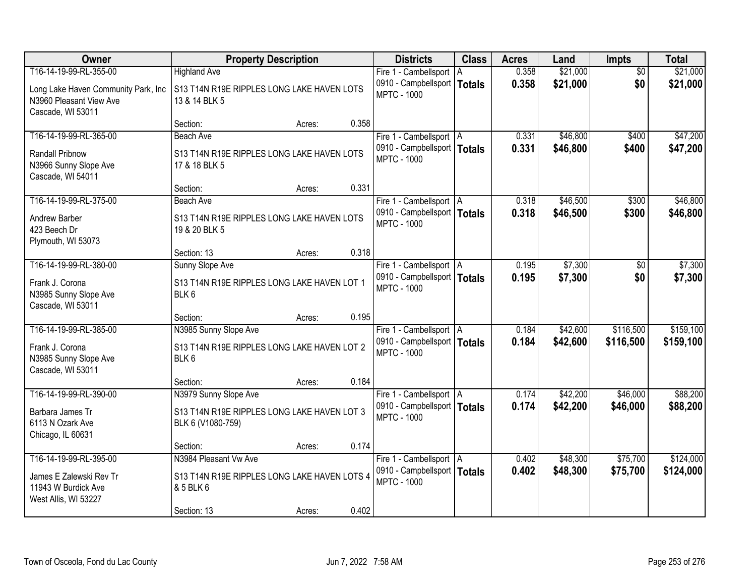| <b>Owner</b>                                                                                                  | <b>Property Description</b>                                                               | <b>Districts</b>                                                                 | <b>Class</b> | <b>Acres</b>   | Land                 | <b>Impts</b>           | <b>Total</b>           |
|---------------------------------------------------------------------------------------------------------------|-------------------------------------------------------------------------------------------|----------------------------------------------------------------------------------|--------------|----------------|----------------------|------------------------|------------------------|
| T16-14-19-99-RL-355-00<br>Long Lake Haven Community Park, Inc<br>N3960 Pleasant View Ave<br>Cascade, WI 53011 | <b>Highland Ave</b><br>S13 T14N R19E RIPPLES LONG LAKE HAVEN LOTS<br>13 & 14 BLK 5        | Fire 1 - Cambellsport<br>0910 - Campbellsport   Totals<br><b>MPTC - 1000</b>     | l A          | 0.358<br>0.358 | \$21,000<br>\$21,000 | $\overline{50}$<br>\$0 | \$21,000<br>\$21,000   |
|                                                                                                               | 0.358<br>Section:<br>Acres:                                                               |                                                                                  |              |                |                      |                        |                        |
| T16-14-19-99-RL-365-00<br>Randall Pribnow<br>N3966 Sunny Slope Ave<br>Cascade, WI 54011                       | <b>Beach Ave</b><br>S13 T14N R19E RIPPLES LONG LAKE HAVEN LOTS<br>17 & 18 BLK 5           | Fire 1 - Cambellsport   A<br>0910 - Campbellsport   Totals<br><b>MPTC - 1000</b> |              | 0.331<br>0.331 | \$46,800<br>\$46,800 | \$400<br>\$400         | \$47,200<br>\$47,200   |
|                                                                                                               | 0.331<br>Section:<br>Acres:                                                               |                                                                                  |              |                |                      |                        |                        |
| T16-14-19-99-RL-375-00<br>Andrew Barber<br>423 Beech Dr<br>Plymouth, WI 53073                                 | <b>Beach Ave</b><br>S13 T14N R19E RIPPLES LONG LAKE HAVEN LOTS<br>19 & 20 BLK 5           | Fire 1 - Cambellsport   A<br>0910 - Campbellsport   Totals<br><b>MPTC - 1000</b> |              | 0.318<br>0.318 | \$46,500<br>\$46,500 | \$300<br>\$300         | \$46,800<br>\$46,800   |
|                                                                                                               | 0.318<br>Section: 13<br>Acres:                                                            |                                                                                  |              |                |                      |                        |                        |
| T16-14-19-99-RL-380-00<br>Frank J. Corona<br>N3985 Sunny Slope Ave<br>Cascade, WI 53011                       | <b>Sunny Slope Ave</b><br>S13 T14N R19E RIPPLES LONG LAKE HAVEN LOT 1<br>BLK6             | Fire 1 - Cambellsport   A<br>0910 - Campbellsport   Totals<br><b>MPTC - 1000</b> |              | 0.195<br>0.195 | \$7,300<br>\$7,300   | \$0<br>\$0             | \$7,300<br>\$7,300     |
|                                                                                                               | 0.195<br>Section:<br>Acres:                                                               |                                                                                  |              |                |                      |                        |                        |
| T16-14-19-99-RL-385-00<br>Frank J. Corona<br>N3985 Sunny Slope Ave<br>Cascade, WI 53011                       | N3985 Sunny Slope Ave<br>S13 T14N R19E RIPPLES LONG LAKE HAVEN LOT 2<br>BLK <sub>6</sub>  | Fire 1 - Cambellsport   A<br>0910 - Campbellsport   Totals<br><b>MPTC - 1000</b> |              | 0.184<br>0.184 | \$42,600<br>\$42,600 | \$116,500<br>\$116,500 | \$159,100<br>\$159,100 |
|                                                                                                               | 0.184<br>Section:<br>Acres:                                                               |                                                                                  |              |                |                      |                        |                        |
| T16-14-19-99-RL-390-00<br>Barbara James Tr<br>6113 N Ozark Ave<br>Chicago, IL 60631                           | N3979 Sunny Slope Ave<br>S13 T14N R19E RIPPLES LONG LAKE HAVEN LOT 3<br>BLK 6 (V1080-759) | Fire 1 - Cambellsport A<br>0910 - Campbellsport   Totals<br><b>MPTC - 1000</b>   |              | 0.174<br>0.174 | \$42,200<br>\$42,200 | \$46,000<br>\$46,000   | \$88,200<br>\$88,200   |
|                                                                                                               | 0.174<br>Section:<br>Acres:                                                               |                                                                                  |              |                |                      |                        |                        |
| T16-14-19-99-RL-395-00<br>James E Zalewski Rev Tr<br>11943 W Burdick Ave<br>West Allis, WI 53227              | N3984 Pleasant Vw Ave<br>S13 T14N R19E RIPPLES LONG LAKE HAVEN LOTS 4<br>& 5 BLK 6        | Fire 1 - Cambellsport A<br>0910 - Campbellsport   Totals<br><b>MPTC - 1000</b>   |              | 0.402<br>0.402 | \$48,300<br>\$48,300 | \$75,700<br>\$75,700   | \$124,000<br>\$124,000 |
|                                                                                                               | 0.402<br>Section: 13<br>Acres:                                                            |                                                                                  |              |                |                      |                        |                        |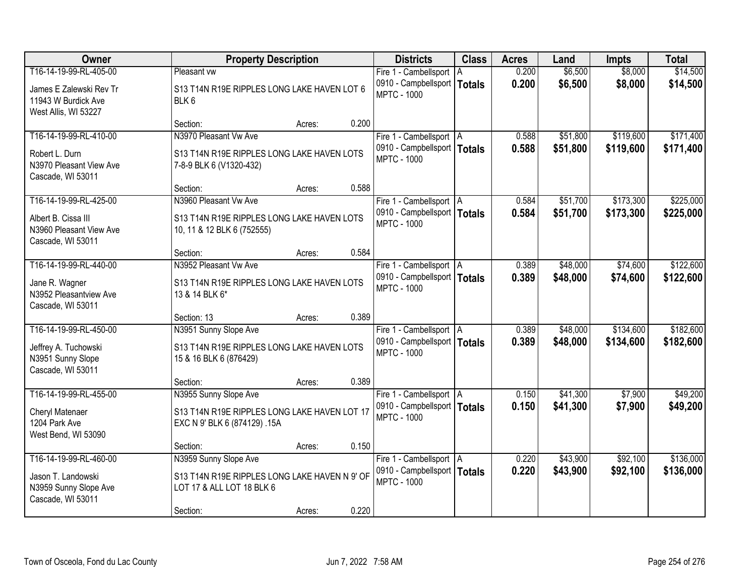| <b>Owner</b>                                                                               | <b>Property Description</b>                                                                           | <b>Districts</b>                                                                 | <b>Class</b> | <b>Acres</b>   | Land                 | <b>Impts</b>           | <b>Total</b>           |
|--------------------------------------------------------------------------------------------|-------------------------------------------------------------------------------------------------------|----------------------------------------------------------------------------------|--------------|----------------|----------------------|------------------------|------------------------|
| T16-14-19-99-RL-405-00                                                                     | Pleasant vw                                                                                           | Fire 1 - Cambellsport                                                            | A            | 0.200          | \$6,500              | \$8,000                | \$14,500               |
| James E Zalewski Rev Tr<br>11943 W Burdick Ave<br>West Allis, WI 53227                     | S13 T14N R19E RIPPLES LONG LAKE HAVEN LOT 6<br>BLK <sub>6</sub>                                       | 0910 - Campbellsport   Totals<br><b>MPTC - 1000</b>                              |              | 0.200          | \$6,500              | \$8,000                | \$14,500               |
|                                                                                            | 0.200<br>Section:<br>Acres:                                                                           |                                                                                  |              |                |                      |                        |                        |
| T16-14-19-99-RL-410-00                                                                     | N3970 Pleasant Vw Ave                                                                                 | Fire 1 - Cambellsport   A                                                        |              | 0.588          | \$51,800             | \$119,600              | \$171,400              |
| Robert L. Durn<br>N3970 Pleasant View Ave<br>Cascade, WI 53011                             | S13 T14N R19E RIPPLES LONG LAKE HAVEN LOTS<br>7-8-9 BLK 6 (V1320-432)                                 | 0910 - Campbellsport   Totals<br><b>MPTC - 1000</b>                              |              | 0.588          | \$51,800             | \$119,600              | \$171,400              |
|                                                                                            | Section:<br>0.588<br>Acres:                                                                           |                                                                                  |              |                |                      |                        |                        |
| T16-14-19-99-RL-425-00                                                                     | N3960 Pleasant Vw Ave                                                                                 | Fire 1 - Cambellsport   A                                                        |              | 0.584          | \$51,700             | \$173,300              | \$225,000              |
| Albert B. Cissa III<br>N3960 Pleasant View Ave<br>Cascade, WI 53011                        | S13 T14N R19E RIPPLES LONG LAKE HAVEN LOTS<br>10, 11 & 12 BLK 6 (752555)                              | 0910 - Campbellsport   Totals<br><b>MPTC - 1000</b>                              |              | 0.584          | \$51,700             | \$173,300              | \$225,000              |
|                                                                                            | 0.584<br>Section:<br>Acres:                                                                           |                                                                                  |              |                |                      |                        |                        |
| T16-14-19-99-RL-440-00                                                                     | N3952 Pleasant Vw Ave                                                                                 | Fire 1 - Cambellsport   A                                                        |              | 0.389          | \$48,000             | \$74,600               | \$122,600              |
| Jane R. Wagner<br>N3952 Pleasantview Ave<br>Cascade, WI 53011                              | S13 T14N R19E RIPPLES LONG LAKE HAVEN LOTS<br>13 & 14 BLK 6*                                          | 0910 - Campbellsport   Totals<br><b>MPTC - 1000</b>                              |              | 0.389          | \$48,000             | \$74,600               | \$122,600              |
|                                                                                            | 0.389<br>Section: 13<br>Acres:                                                                        |                                                                                  |              |                |                      |                        |                        |
| T16-14-19-99-RL-450-00<br>Jeffrey A. Tuchowski<br>N3951 Sunny Slope<br>Cascade, WI 53011   | N3951 Sunny Slope Ave<br>S13 T14N R19E RIPPLES LONG LAKE HAVEN LOTS<br>15 & 16 BLK 6 (876429)         | Fire 1 - Cambellsport   A<br>0910 - Campbellsport   Totals<br><b>MPTC - 1000</b> |              | 0.389<br>0.389 | \$48,000<br>\$48,000 | \$134,600<br>\$134,600 | \$182,600<br>\$182,600 |
|                                                                                            | 0.389<br>Section:<br>Acres:                                                                           |                                                                                  |              |                |                      |                        |                        |
| T16-14-19-99-RL-455-00<br>Cheryl Matenaer<br>1204 Park Ave<br>West Bend, WI 53090          | N3955 Sunny Slope Ave<br>S13 T14N R19E RIPPLES LONG LAKE HAVEN LOT 17<br>EXC N 9' BLK 6 (874129) .15A | Fire 1 - Cambellsport   A<br>0910 - Campbellsport   Totals<br><b>MPTC - 1000</b> |              | 0.150<br>0.150 | \$41,300<br>\$41,300 | \$7,900<br>\$7,900     | \$49,200<br>\$49,200   |
|                                                                                            | 0.150<br>Section:<br>Acres:                                                                           |                                                                                  |              |                |                      |                        |                        |
| T16-14-19-99-RL-460-00<br>Jason T. Landowski<br>N3959 Sunny Slope Ave<br>Cascade, WI 53011 | N3959 Sunny Slope Ave<br>S13 T14N R19E RIPPLES LONG LAKE HAVEN N 9' OF<br>LOT 17 & ALL LOT 18 BLK 6   | Fire 1 - Cambellsport   A<br>0910 - Campbellsport   Totals<br><b>MPTC - 1000</b> |              | 0.220<br>0.220 | \$43,900<br>\$43,900 | \$92,100<br>\$92,100   | \$136,000<br>\$136,000 |
|                                                                                            | 0.220<br>Section:<br>Acres:                                                                           |                                                                                  |              |                |                      |                        |                        |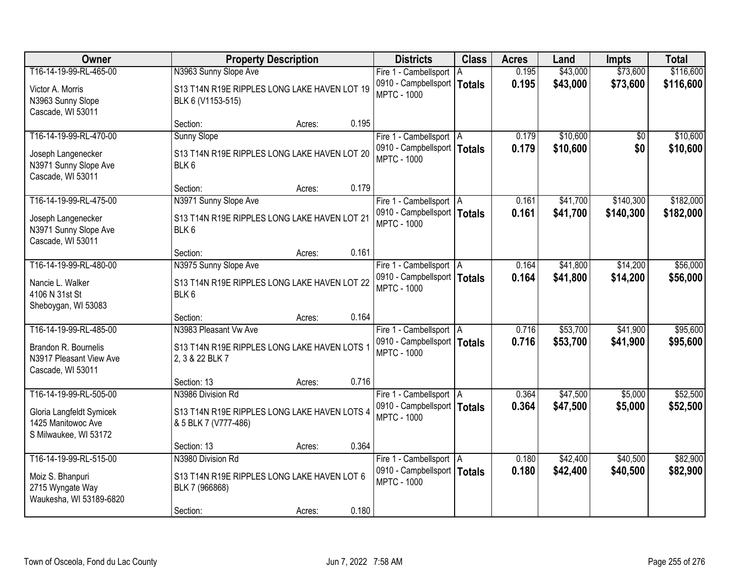| Owner                                                                                             | <b>Property Description</b>                                                                    |        | <b>Districts</b>                                                                          | <b>Class</b> | <b>Acres</b>   | Land                 | <b>Impts</b>           | <b>Total</b>         |
|---------------------------------------------------------------------------------------------------|------------------------------------------------------------------------------------------------|--------|-------------------------------------------------------------------------------------------|--------------|----------------|----------------------|------------------------|----------------------|
| T16-14-19-99-RL-465-00                                                                            | N3963 Sunny Slope Ave                                                                          |        | Fire 1 - Cambellsport   A                                                                 |              | 0.195          | \$43,000             | \$73,600               | \$116,600            |
| Victor A. Morris<br>N3963 Sunny Slope<br>Cascade, WI 53011                                        | S13 T14N R19E RIPPLES LONG LAKE HAVEN LOT 19<br>BLK 6 (V1153-515)                              |        | 0910 - Campbellsport   Totals<br><b>MPTC - 1000</b>                                       |              | 0.195          | \$43,000             | \$73,600               | \$116,600            |
|                                                                                                   | Section:                                                                                       | Acres: | 0.195                                                                                     |              |                |                      |                        |                      |
| T16-14-19-99-RL-470-00<br>Joseph Langenecker<br>N3971 Sunny Slope Ave<br>Cascade, WI 53011        | <b>Sunny Slope</b><br>S13 T14N R19E RIPPLES LONG LAKE HAVEN LOT 20<br>BLK6                     |        | Fire 1 - Cambellsport   A<br>0910 - Campbellsport   Totals<br><b>MPTC - 1000</b>          |              | 0.179<br>0.179 | \$10,600<br>\$10,600 | $\overline{30}$<br>\$0 | \$10,600<br>\$10,600 |
|                                                                                                   | Section:                                                                                       | Acres: | 0.179                                                                                     |              |                |                      |                        |                      |
| T16-14-19-99-RL-475-00                                                                            | N3971 Sunny Slope Ave                                                                          |        | Fire 1 - Cambellsport   A                                                                 |              | 0.161          | \$41,700             | \$140,300              | \$182,000            |
| Joseph Langenecker<br>N3971 Sunny Slope Ave<br>Cascade, WI 53011                                  | S13 T14N R19E RIPPLES LONG LAKE HAVEN LOT 21<br>BLK <sub>6</sub>                               |        | 0910 - Campbellsport   Totals<br><b>MPTC - 1000</b>                                       |              | 0.161          | \$41,700             | \$140,300              | \$182,000            |
|                                                                                                   | Section:                                                                                       | Acres: | 0.161                                                                                     |              |                |                      |                        |                      |
| T16-14-19-99-RL-480-00                                                                            | N3975 Sunny Slope Ave                                                                          |        | Fire 1 - Cambellsport   A                                                                 |              | 0.164          | \$41,800             | \$14,200               | \$56,000             |
| Nancie L. Walker<br>4106 N 31st St<br>Sheboygan, WI 53083                                         | S13 T14N R19E RIPPLES LONG LAKE HAVEN LOT 22<br>BLK <sub>6</sub>                               |        | 0910 - Campbellsport   Totals<br><b>MPTC - 1000</b>                                       |              | 0.164          | \$41,800             | \$14,200               | \$56,000             |
|                                                                                                   | Section:                                                                                       | Acres: | 0.164                                                                                     |              |                |                      |                        |                      |
| T16-14-19-99-RL-485-00<br>Brandon R. Bournelis<br>N3917 Pleasant View Ave<br>Cascade, WI 53011    | N3983 Pleasant Vw Ave<br>S13 T14N R19E RIPPLES LONG LAKE HAVEN LOTS 1<br>2, 3 & 22 BLK 7       |        | Fire 1 - Cambellsport   A<br>0910 - Campbellsport   Totals<br><b>MPTC - 1000</b>          |              | 0.716<br>0.716 | \$53,700<br>\$53,700 | \$41,900<br>\$41,900   | \$95,600<br>\$95,600 |
|                                                                                                   | Section: 13                                                                                    | Acres: | 0.716                                                                                     |              |                |                      |                        |                      |
| T16-14-19-99-RL-505-00<br>Gloria Langfeldt Symicek<br>1425 Manitowoc Ave<br>S Milwaukee, WI 53172 | N3986 Division Rd<br>S13 T14N R19E RIPPLES LONG LAKE HAVEN LOTS 4<br>& 5 BLK 7 (V777-486)      |        | Fire 1 - Cambellsport   A<br>0910 - Campbellsport   Totals<br><b>MPTC - 1000</b>          |              | 0.364<br>0.364 | \$47,500<br>\$47,500 | \$5,000<br>\$5,000     | \$52,500<br>\$52,500 |
|                                                                                                   | Section: 13                                                                                    | Acres: | 0.364                                                                                     |              |                |                      |                        |                      |
| T16-14-19-99-RL-515-00<br>Moiz S. Bhanpuri<br>2715 Wyngate Way<br>Waukesha, WI 53189-6820         | N3980 Division Rd<br>S13 T14N R19E RIPPLES LONG LAKE HAVEN LOT 6<br>BLK 7 (966868)<br>Section: |        | Fire 1 - Cambellsport   A<br>0910 - Campbellsport   Totals<br><b>MPTC - 1000</b><br>0.180 |              | 0.180<br>0.180 | \$42,400<br>\$42,400 | \$40,500<br>\$40,500   | \$82,900<br>\$82,900 |
|                                                                                                   |                                                                                                | Acres: |                                                                                           |              |                |                      |                        |                      |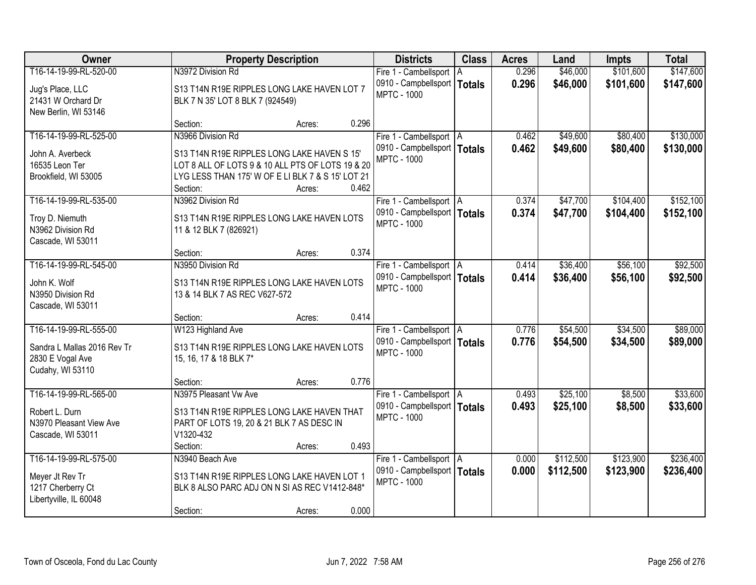| <b>Owner</b>                                    | <b>Property Description</b>                                                                  |        |       | <b>Districts</b>              | <b>Class</b>  | <b>Acres</b> | Land      | <b>Impts</b> | <b>Total</b> |
|-------------------------------------------------|----------------------------------------------------------------------------------------------|--------|-------|-------------------------------|---------------|--------------|-----------|--------------|--------------|
| T16-14-19-99-RL-520-00                          | N3972 Division Rd                                                                            |        |       | Fire 1 - Cambellsport         | ΙA            | 0.296        | \$46,000  | \$101,600    | \$147,600    |
| Jug's Place, LLC                                | S13 T14N R19E RIPPLES LONG LAKE HAVEN LOT 7                                                  |        |       | 0910 - Campbellsport          | <b>Totals</b> | 0.296        | \$46,000  | \$101,600    | \$147,600    |
| 21431 W Orchard Dr                              | BLK 7 N 35' LOT 8 BLK 7 (924549)                                                             |        |       | <b>MPTC - 1000</b>            |               |              |           |              |              |
| New Berlin, WI 53146                            |                                                                                              |        |       |                               |               |              |           |              |              |
|                                                 | Section:                                                                                     | Acres: | 0.296 |                               |               |              |           |              |              |
| T16-14-19-99-RL-525-00                          | N3966 Division Rd                                                                            |        |       | Fire 1 - Cambellsport   A     |               | 0.462        | \$49,600  | \$80,400     | \$130,000    |
| John A. Averbeck                                | S13 T14N R19E RIPPLES LONG LAKE HAVEN S 15'                                                  |        |       | 0910 - Campbellsport   Totals |               | 0.462        | \$49,600  | \$80,400     | \$130,000    |
| 16535 Leon Ter                                  | LOT 8 ALL OF LOTS 9 & 10 ALL PTS OF LOTS 19 & 20                                             |        |       | <b>MPTC - 1000</b>            |               |              |           |              |              |
| Brookfield, WI 53005                            | LYG LESS THAN 175' W OF E LI BLK 7 & S 15' LOT 21                                            |        |       |                               |               |              |           |              |              |
|                                                 | Section:                                                                                     | Acres: | 0.462 |                               |               |              |           |              |              |
| T16-14-19-99-RL-535-00                          | N3962 Division Rd                                                                            |        |       | Fire 1 - Cambellsport   A     |               | 0.374        | \$47,700  | \$104,400    | \$152,100    |
| Troy D. Niemuth                                 | S13 T14N R19E RIPPLES LONG LAKE HAVEN LOTS                                                   |        |       | 0910 - Campbellsport   Totals |               | 0.374        | \$47,700  | \$104,400    | \$152,100    |
| N3962 Division Rd                               | 11 & 12 BLK 7 (826921)                                                                       |        |       | <b>MPTC - 1000</b>            |               |              |           |              |              |
| Cascade, WI 53011                               |                                                                                              |        |       |                               |               |              |           |              |              |
|                                                 | Section:                                                                                     | Acres: | 0.374 |                               |               |              |           |              |              |
| T16-14-19-99-RL-545-00                          | N3950 Division Rd                                                                            |        |       | Fire 1 - Cambellsport   A     |               | 0.414        | \$36,400  | \$56,100     | \$92,500     |
| John K. Wolf                                    | S13 T14N R19E RIPPLES LONG LAKE HAVEN LOTS                                                   |        |       | 0910 - Campbellsport   Totals |               | 0.414        | \$36,400  | \$56,100     | \$92,500     |
| N3950 Division Rd                               | 13 & 14 BLK 7 AS REC V627-572                                                                |        |       | <b>MPTC - 1000</b>            |               |              |           |              |              |
| Cascade, WI 53011                               |                                                                                              |        |       |                               |               |              |           |              |              |
|                                                 | Section:                                                                                     | Acres: | 0.414 |                               |               |              |           |              |              |
| T16-14-19-99-RL-555-00                          | W123 Highland Ave                                                                            |        |       | Fire 1 - Cambellsport   A     |               | 0.776        | \$54,500  | \$34,500     | \$89,000     |
|                                                 |                                                                                              |        |       | 0910 - Campbellsport   Totals |               | 0.776        | \$54,500  | \$34,500     | \$89,000     |
| Sandra L Mallas 2016 Rev Tr<br>2830 E Vogal Ave | S13 T14N R19E RIPPLES LONG LAKE HAVEN LOTS<br>15, 16, 17 & 18 BLK 7*                         |        |       | <b>MPTC - 1000</b>            |               |              |           |              |              |
| Cudahy, WI 53110                                |                                                                                              |        |       |                               |               |              |           |              |              |
|                                                 | Section:                                                                                     | Acres: | 0.776 |                               |               |              |           |              |              |
| T16-14-19-99-RL-565-00                          | N3975 Pleasant Vw Ave                                                                        |        |       | Fire 1 - Cambellsport   A     |               | 0.493        | \$25,100  | \$8,500      | \$33,600     |
|                                                 |                                                                                              |        |       | 0910 - Campbellsport   Totals |               | 0.493        | \$25,100  | \$8,500      | \$33,600     |
| Robert L. Durn<br>N3970 Pleasant View Ave       | S13 T14N R19E RIPPLES LONG LAKE HAVEN THAT<br>PART OF LOTS 19, 20 & 21 BLK 7 AS DESC IN      |        |       | <b>MPTC - 1000</b>            |               |              |           |              |              |
| Cascade, WI 53011                               | V1320-432                                                                                    |        |       |                               |               |              |           |              |              |
|                                                 | Section:                                                                                     | Acres: | 0.493 |                               |               |              |           |              |              |
| T16-14-19-99-RL-575-00                          | N3940 Beach Ave                                                                              |        |       | Fire 1 - Cambellsport   A     |               | 0.000        | \$112,500 | \$123,900    | \$236,400    |
|                                                 |                                                                                              |        |       | 0910 - Campbellsport   Totals |               | 0.000        | \$112,500 | \$123,900    | \$236,400    |
| Meyer Jt Rev Tr<br>1217 Cherberry Ct            | S13 T14N R19E RIPPLES LONG LAKE HAVEN LOT 1<br>BLK 8 ALSO PARC ADJ ON N SI AS REC V1412-848* |        |       | <b>MPTC - 1000</b>            |               |              |           |              |              |
| Libertyville, IL 60048                          |                                                                                              |        |       |                               |               |              |           |              |              |
|                                                 | Section:                                                                                     | Acres: | 0.000 |                               |               |              |           |              |              |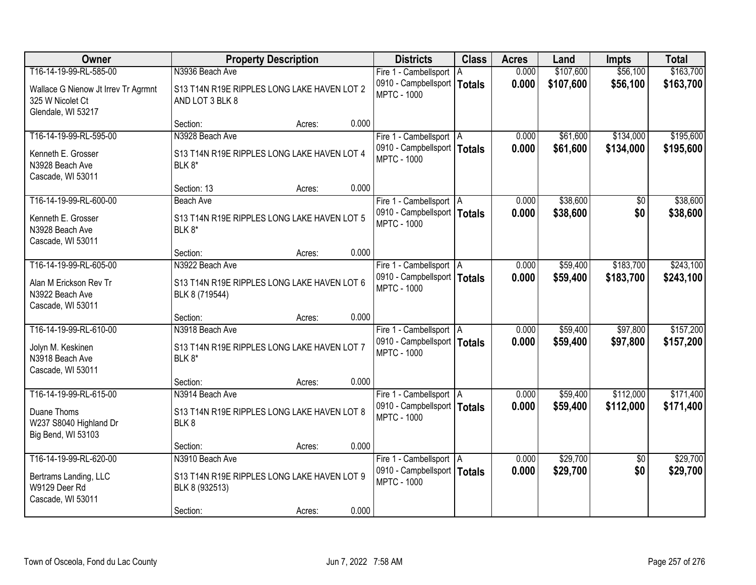| Owner                                                                               | <b>Property Description</b>                                              |        |       | <b>Districts</b>                                                                 | <b>Class</b> | <b>Acres</b>   | Land                 | <b>Impts</b>         | <b>Total</b>           |
|-------------------------------------------------------------------------------------|--------------------------------------------------------------------------|--------|-------|----------------------------------------------------------------------------------|--------------|----------------|----------------------|----------------------|------------------------|
| T16-14-19-99-RL-585-00                                                              | N3936 Beach Ave                                                          |        |       | Fire 1 - Cambellsport   A                                                        |              | 0.000          | \$107,600            | \$56,100             | \$163,700              |
| Wallace G Nienow Jt Irrev Tr Agrmnt<br>325 W Nicolet Ct<br>Glendale, WI 53217       | S13 T14N R19E RIPPLES LONG LAKE HAVEN LOT 2<br>AND LOT 3 BLK 8           |        |       | 0910 - Campbellsport   Totals<br><b>MPTC - 1000</b>                              |              | 0.000          | \$107,600            | \$56,100             | \$163,700              |
|                                                                                     | Section:                                                                 | Acres: | 0.000 |                                                                                  |              |                |                      |                      |                        |
| T16-14-19-99-RL-595-00                                                              | N3928 Beach Ave                                                          |        |       | Fire 1 - Cambellsport   A                                                        |              | 0.000          | \$61,600             | \$134,000            | \$195,600              |
| Kenneth E. Grosser<br>N3928 Beach Ave<br>Cascade, WI 53011                          | S13 T14N R19E RIPPLES LONG LAKE HAVEN LOT 4<br>BLK 8*                    |        |       | 0910 - Campbellsport   Totals<br><b>MPTC - 1000</b>                              |              | 0.000          | \$61,600             | \$134,000            | \$195,600              |
|                                                                                     | Section: 13                                                              | Acres: | 0.000 |                                                                                  |              |                |                      |                      |                        |
| T16-14-19-99-RL-600-00                                                              | Beach Ave                                                                |        |       | Fire 1 - Cambellsport   A                                                        |              | 0.000          | \$38,600             | \$0                  | \$38,600               |
| Kenneth E. Grosser<br>N3928 Beach Ave<br>Cascade, WI 53011                          | S13 T14N R19E RIPPLES LONG LAKE HAVEN LOT 5<br>BLK 8*                    |        |       | 0910 - Campbellsport   Totals<br><b>MPTC - 1000</b>                              |              | 0.000          | \$38,600             | \$0                  | \$38,600               |
|                                                                                     | Section:                                                                 | Acres: | 0.000 |                                                                                  |              |                |                      |                      |                        |
| T16-14-19-99-RL-605-00                                                              | N3922 Beach Ave                                                          |        |       | Fire 1 - Cambellsport   A                                                        |              | 0.000          | \$59,400             | \$183,700            | \$243,100              |
| Alan M Erickson Rev Tr<br>N3922 Beach Ave<br>Cascade, WI 53011                      | S13 T14N R19E RIPPLES LONG LAKE HAVEN LOT 6<br>BLK 8 (719544)            |        |       | 0910 - Campbellsport   Totals<br><b>MPTC - 1000</b>                              |              | 0.000          | \$59,400             | \$183,700            | \$243,100              |
|                                                                                     | Section:                                                                 | Acres: | 0.000 |                                                                                  |              |                |                      |                      |                        |
| T16-14-19-99-RL-610-00<br>Jolyn M. Keskinen<br>N3918 Beach Ave<br>Cascade, WI 53011 | N3918 Beach Ave<br>S13 T14N R19E RIPPLES LONG LAKE HAVEN LOT 7<br>BLK 8* |        |       | Fire 1 - Cambellsport   A<br>0910 - Campbellsport   Totals<br><b>MPTC - 1000</b> |              | 0.000<br>0.000 | \$59,400<br>\$59,400 | \$97,800<br>\$97,800 | \$157,200<br>\$157,200 |
|                                                                                     | Section:                                                                 | Acres: | 0.000 |                                                                                  |              |                |                      |                      |                        |
| T16-14-19-99-RL-615-00                                                              | N3914 Beach Ave                                                          |        |       | Fire 1 - Cambellsport A                                                          |              | 0.000          | \$59,400             | \$112,000            | \$171,400              |
| Duane Thoms<br>W237 S8040 Highland Dr<br>Big Bend, WI 53103                         | S13 T14N R19E RIPPLES LONG LAKE HAVEN LOT 8<br>BLK8                      |        |       | 0910 - Campbellsport   Totals<br><b>MPTC - 1000</b>                              |              | 0.000          | \$59,400             | \$112,000            | \$171,400              |
|                                                                                     | Section:                                                                 | Acres: | 0.000 |                                                                                  |              |                |                      |                      |                        |
| T16-14-19-99-RL-620-00                                                              | N3910 Beach Ave                                                          |        |       | Fire 1 - Cambellsport   A                                                        |              | 0.000          | \$29,700             | $\overline{50}$      | \$29,700               |
| Bertrams Landing, LLC<br>W9129 Deer Rd<br>Cascade, WI 53011                         | S13 T14N R19E RIPPLES LONG LAKE HAVEN LOT 9<br>BLK 8 (932513)            |        |       | 0910 - Campbellsport   Totals<br><b>MPTC - 1000</b>                              |              | 0.000          | \$29,700             | \$0                  | \$29,700               |
|                                                                                     | Section:                                                                 | Acres: | 0.000 |                                                                                  |              |                |                      |                      |                        |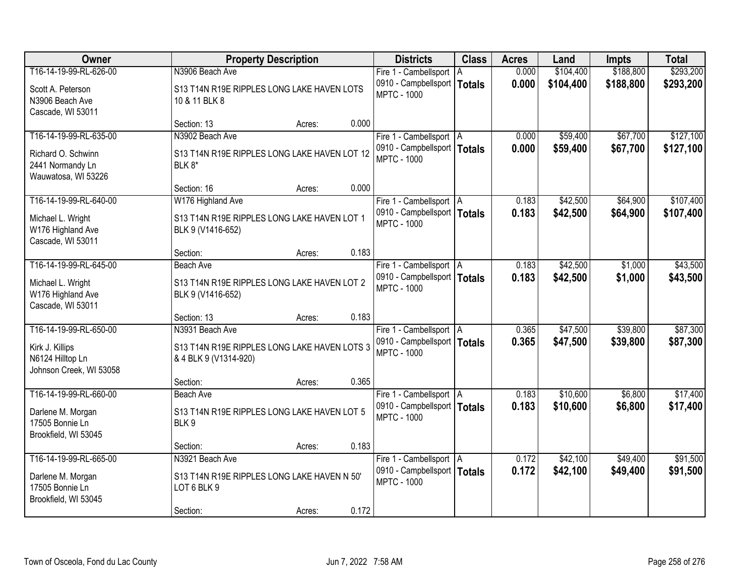| Owner                                                                                    | <b>Property Description</b>                                                              | <b>Districts</b>                                                                 | <b>Class</b> | <b>Acres</b>   | Land                 | <b>Impts</b>         | <b>Total</b>           |
|------------------------------------------------------------------------------------------|------------------------------------------------------------------------------------------|----------------------------------------------------------------------------------|--------------|----------------|----------------------|----------------------|------------------------|
| T16-14-19-99-RL-626-00                                                                   | N3906 Beach Ave                                                                          | Fire 1 - Cambellsport   A                                                        |              | 0.000          | \$104,400            | \$188,800            | \$293,200              |
| Scott A. Peterson<br>N3906 Beach Ave<br>Cascade, WI 53011                                | S13 T14N R19E RIPPLES LONG LAKE HAVEN LOTS<br>10 & 11 BLK 8                              | 0910 - Campbellsport   Totals<br><b>MPTC - 1000</b>                              |              | 0.000          | \$104,400            | \$188,800            | \$293,200              |
|                                                                                          | 0.000<br>Section: 13<br>Acres:                                                           |                                                                                  |              |                |                      |                      |                        |
| T16-14-19-99-RL-635-00<br>Richard O. Schwinn                                             | N3902 Beach Ave<br>S13 T14N R19E RIPPLES LONG LAKE HAVEN LOT 12                          | Fire 1 - Cambellsport   A<br>0910 - Campbellsport   Totals<br><b>MPTC - 1000</b> |              | 0.000<br>0.000 | \$59,400<br>\$59,400 | \$67,700<br>\$67,700 | \$127,100<br>\$127,100 |
| 2441 Normandy Ln<br>Wauwatosa, WI 53226                                                  | BLK 8*<br>0.000<br>Section: 16<br>Acres:                                                 |                                                                                  |              |                |                      |                      |                        |
| T16-14-19-99-RL-640-00                                                                   | W176 Highland Ave                                                                        | Fire 1 - Cambellsport   A                                                        |              | 0.183          | \$42,500             | \$64,900             | \$107,400              |
| Michael L. Wright<br>W176 Highland Ave<br>Cascade, WI 53011                              | S13 T14N R19E RIPPLES LONG LAKE HAVEN LOT 1<br>BLK 9 (V1416-652)                         | 0910 - Campbellsport   Totals<br><b>MPTC - 1000</b>                              |              | 0.183          | \$42,500             | \$64,900             | \$107,400              |
|                                                                                          | 0.183<br>Section:<br>Acres:                                                              |                                                                                  |              |                |                      |                      |                        |
| T16-14-19-99-RL-645-00                                                                   | <b>Beach Ave</b>                                                                         | Fire 1 - Cambellsport   A                                                        |              | 0.183          | \$42,500             | \$1,000              | \$43,500               |
| Michael L. Wright<br>W176 Highland Ave<br>Cascade, WI 53011                              | S13 T14N R19E RIPPLES LONG LAKE HAVEN LOT 2<br>BLK 9 (V1416-652)                         | 0910 - Campbellsport   Totals<br><b>MPTC - 1000</b>                              |              | 0.183          | \$42,500             | \$1,000              | \$43,500               |
|                                                                                          | 0.183<br>Section: 13<br>Acres:                                                           |                                                                                  |              |                |                      |                      |                        |
| T16-14-19-99-RL-650-00<br>Kirk J. Killips<br>N6124 Hilltop Ln<br>Johnson Creek, WI 53058 | N3931 Beach Ave<br>S13 T14N R19E RIPPLES LONG LAKE HAVEN LOTS 3<br>& 4 BLK 9 (V1314-920) | Fire 1 - Cambellsport   A<br>0910 - Campbellsport   Totals<br><b>MPTC - 1000</b> |              | 0.365<br>0.365 | \$47,500<br>\$47,500 | \$39,800<br>\$39,800 | \$87,300<br>\$87,300   |
|                                                                                          | 0.365<br>Section:<br>Acres:                                                              |                                                                                  |              |                |                      |                      |                        |
| T16-14-19-99-RL-660-00<br>Darlene M. Morgan<br>17505 Bonnie Ln<br>Brookfield, WI 53045   | <b>Beach Ave</b><br>S13 T14N R19E RIPPLES LONG LAKE HAVEN LOT 5<br>BLK9                  | Fire 1 - Cambellsport   A<br>0910 - Campbellsport   Totals<br><b>MPTC - 1000</b> |              | 0.183<br>0.183 | \$10,600<br>\$10,600 | \$6,800<br>\$6,800   | \$17,400<br>\$17,400   |
|                                                                                          | 0.183<br>Section:<br>Acres:                                                              |                                                                                  |              |                |                      |                      |                        |
| T16-14-19-99-RL-665-00<br>Darlene M. Morgan<br>17505 Bonnie Ln                           | N3921 Beach Ave<br>S13 T14N R19E RIPPLES LONG LAKE HAVEN N 50'<br>LOT 6 BLK 9            | Fire 1 - Cambellsport   A<br>0910 - Campbellsport   Totals<br><b>MPTC - 1000</b> |              | 0.172<br>0.172 | \$42,100<br>\$42,100 | \$49,400<br>\$49,400 | \$91,500<br>\$91,500   |
| Brookfield, WI 53045                                                                     | 0.172<br>Section:<br>Acres:                                                              |                                                                                  |              |                |                      |                      |                        |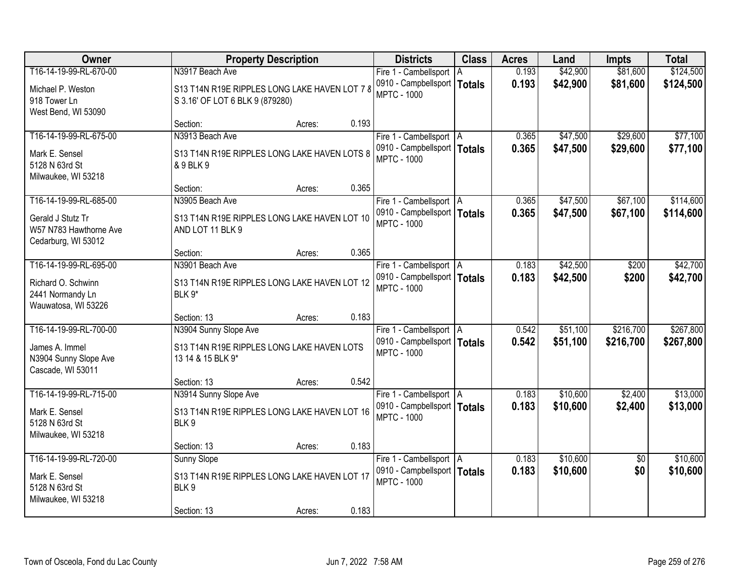| Owner                                                                                  | <b>Property Description</b>                                                              |                 | <b>Districts</b>                                                                 | <b>Class</b> | <b>Acres</b>   | Land                 | <b>Impts</b>           | <b>Total</b>           |
|----------------------------------------------------------------------------------------|------------------------------------------------------------------------------------------|-----------------|----------------------------------------------------------------------------------|--------------|----------------|----------------------|------------------------|------------------------|
| T16-14-19-99-RL-670-00                                                                 | N3917 Beach Ave                                                                          |                 | Fire 1 - Cambellsport   A                                                        |              | 0.193          | \$42,900             | \$81,600               | \$124,500              |
| Michael P. Weston<br>918 Tower Ln<br>West Bend, WI 53090                               | S13 T14N R19E RIPPLES LONG LAKE HAVEN LOT 7 8<br>S 3.16' OF LOT 6 BLK 9 (879280)         |                 | 0910 - Campbellsport   Totals<br><b>MPTC - 1000</b>                              |              | 0.193          | \$42,900             | \$81,600               | \$124,500              |
|                                                                                        | Section:                                                                                 | 0.193<br>Acres: |                                                                                  |              |                |                      |                        |                        |
| T16-14-19-99-RL-675-00<br>Mark E. Sensel<br>5128 N 63rd St                             | N3913 Beach Ave<br>S13 T14N R19E RIPPLES LONG LAKE HAVEN LOTS 8<br>& 9 BLK 9             |                 | Fire 1 - Cambellsport   A<br>0910 - Campbellsport   Totals<br><b>MPTC - 1000</b> |              | 0.365<br>0.365 | \$47,500<br>\$47,500 | \$29,600<br>\$29,600   | \$77,100<br>\$77,100   |
| Milwaukee, WI 53218                                                                    | Section:                                                                                 | 0.365<br>Acres: |                                                                                  |              |                |                      |                        |                        |
| T16-14-19-99-RL-685-00                                                                 | N3905 Beach Ave                                                                          |                 | Fire 1 - Cambellsport   A                                                        |              | 0.365          | \$47,500             | \$67,100               | \$114,600              |
| Gerald J Stutz Tr<br>W57 N783 Hawthorne Ave<br>Cedarburg, WI 53012                     | S13 T14N R19E RIPPLES LONG LAKE HAVEN LOT 10<br>AND LOT 11 BLK 9                         |                 | 0910 - Campbellsport   Totals<br><b>MPTC - 1000</b>                              |              | 0.365          | \$47,500             | \$67,100               | \$114,600              |
|                                                                                        | Section:                                                                                 | 0.365<br>Acres: |                                                                                  |              |                |                      |                        |                        |
| T16-14-19-99-RL-695-00                                                                 | N3901 Beach Ave                                                                          |                 | Fire 1 - Cambellsport   A                                                        |              | 0.183          | \$42,500             | \$200                  | \$42,700               |
| Richard O. Schwinn<br>2441 Normandy Ln<br>Wauwatosa, WI 53226                          | S13 T14N R19E RIPPLES LONG LAKE HAVEN LOT 12<br>BLK 9*                                   |                 | 0910 - Campbellsport   Totals<br><b>MPTC - 1000</b>                              |              | 0.183          | \$42,500             | \$200                  | \$42,700               |
|                                                                                        | Section: 13                                                                              | 0.183<br>Acres: |                                                                                  |              |                |                      |                        |                        |
| T16-14-19-99-RL-700-00<br>James A. Immel<br>N3904 Sunny Slope Ave<br>Cascade, WI 53011 | N3904 Sunny Slope Ave<br>S13 T14N R19E RIPPLES LONG LAKE HAVEN LOTS<br>13 14 & 15 BLK 9* |                 | Fire 1 - Cambellsport   A<br>0910 - Campbellsport   Totals<br><b>MPTC - 1000</b> |              | 0.542<br>0.542 | \$51,100<br>\$51,100 | \$216,700<br>\$216,700 | \$267,800<br>\$267,800 |
|                                                                                        | Section: 13                                                                              | 0.542<br>Acres: |                                                                                  |              |                |                      |                        |                        |
| T16-14-19-99-RL-715-00<br>Mark E. Sensel<br>5128 N 63rd St<br>Milwaukee, WI 53218      | N3914 Sunny Slope Ave<br>S13 T14N R19E RIPPLES LONG LAKE HAVEN LOT 16<br>BLK9            |                 | Fire 1 - Cambellsport A<br>0910 - Campbellsport   Totals<br><b>MPTC - 1000</b>   |              | 0.183<br>0.183 | \$10,600<br>\$10,600 | \$2,400<br>\$2,400     | \$13,000<br>\$13,000   |
|                                                                                        | Section: 13                                                                              | 0.183<br>Acres: |                                                                                  |              |                |                      |                        |                        |
| T16-14-19-99-RL-720-00<br>Mark E. Sensel<br>5128 N 63rd St<br>Milwaukee, WI 53218      | <b>Sunny Slope</b><br>S13 T14N R19E RIPPLES LONG LAKE HAVEN LOT 17<br>BLK9               | 0.183           | Fire 1 - Cambellsport   A<br>0910 - Campbellsport   Totals<br><b>MPTC - 1000</b> |              | 0.183<br>0.183 | \$10,600<br>\$10,600 | $\overline{50}$<br>\$0 | \$10,600<br>\$10,600   |
|                                                                                        | Section: 13                                                                              | Acres:          |                                                                                  |              |                |                      |                        |                        |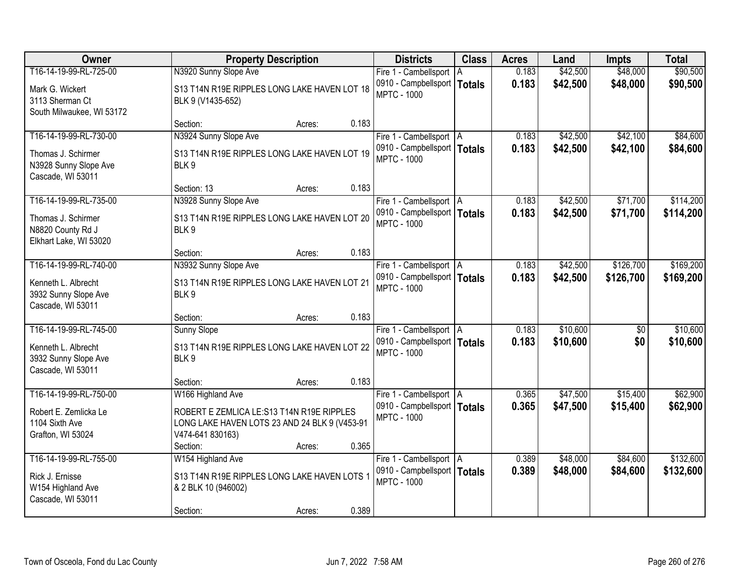| Owner                                                                               | <b>Property Description</b>                                                                                    | <b>Districts</b>                                                                 | <b>Class</b> | <b>Acres</b>   | Land                 | <b>Impts</b>         | <b>Total</b>           |
|-------------------------------------------------------------------------------------|----------------------------------------------------------------------------------------------------------------|----------------------------------------------------------------------------------|--------------|----------------|----------------------|----------------------|------------------------|
| T16-14-19-99-RL-725-00                                                              | N3920 Sunny Slope Ave                                                                                          | Fire 1 - Cambellsport   A                                                        |              | 0.183          | \$42,500             | \$48,000             | \$90,500               |
| Mark G. Wickert<br>3113 Sherman Ct<br>South Milwaukee, WI 53172                     | S13 T14N R19E RIPPLES LONG LAKE HAVEN LOT 18<br>BLK 9 (V1435-652)                                              | 0910 - Campbellsport   Totals<br><b>MPTC - 1000</b>                              |              | 0.183          | \$42,500             | \$48,000             | \$90,500               |
|                                                                                     | 0.183<br>Section:<br>Acres:                                                                                    |                                                                                  |              |                |                      |                      |                        |
| T16-14-19-99-RL-730-00                                                              | N3924 Sunny Slope Ave                                                                                          | Fire 1 - Cambellsport   A                                                        |              | 0.183          | \$42,500             | \$42,100             | \$84,600               |
| Thomas J. Schirmer<br>N3928 Sunny Slope Ave<br>Cascade, WI 53011                    | S13 T14N R19E RIPPLES LONG LAKE HAVEN LOT 19<br>BLK9                                                           | 0910 - Campbellsport   Totals<br><b>MPTC - 1000</b>                              |              | 0.183          | \$42,500             | \$42,100             | \$84,600               |
|                                                                                     | Section: 13<br>0.183<br>Acres:                                                                                 |                                                                                  |              |                |                      |                      |                        |
| T16-14-19-99-RL-735-00                                                              | N3928 Sunny Slope Ave                                                                                          | Fire 1 - Cambellsport   A                                                        |              | 0.183          | \$42,500             | \$71,700             | \$114,200              |
| Thomas J. Schirmer<br>N8820 County Rd J<br>Elkhart Lake, WI 53020                   | S13 T14N R19E RIPPLES LONG LAKE HAVEN LOT 20<br>BLK <sub>9</sub>                                               | 0910 - Campbellsport   Totals<br><b>MPTC - 1000</b>                              |              | 0.183          | \$42,500             | \$71,700             | \$114,200              |
|                                                                                     | 0.183<br>Section:<br>Acres:                                                                                    |                                                                                  |              |                |                      |                      |                        |
| T16-14-19-99-RL-740-00                                                              | N3932 Sunny Slope Ave                                                                                          | Fire 1 - Cambellsport   A                                                        |              | 0.183          | \$42,500             | \$126,700            | \$169,200              |
| Kenneth L. Albrecht<br>3932 Sunny Slope Ave<br>Cascade, WI 53011                    | S13 T14N R19E RIPPLES LONG LAKE HAVEN LOT 21<br>BLK 9                                                          | 0910 - Campbellsport   Totals<br><b>MPTC - 1000</b>                              |              | 0.183          | \$42,500             | \$126,700            | \$169,200              |
|                                                                                     | 0.183<br>Section:<br>Acres:                                                                                    |                                                                                  |              |                |                      |                      |                        |
| T16-14-19-99-RL-745-00                                                              | <b>Sunny Slope</b>                                                                                             | Fire 1 - Cambellsport   A                                                        |              | 0.183          | \$10,600             | \$0                  | \$10,600               |
| Kenneth L. Albrecht<br>3932 Sunny Slope Ave<br>Cascade, WI 53011                    | S13 T14N R19E RIPPLES LONG LAKE HAVEN LOT 22<br>BLK9                                                           | 0910 - Campbellsport   Totals<br><b>MPTC - 1000</b>                              |              | 0.183          | \$10,600             | \$0                  | \$10,600               |
|                                                                                     | 0.183<br>Section:<br>Acres:                                                                                    |                                                                                  |              |                |                      |                      |                        |
| T16-14-19-99-RL-750-00                                                              | W166 Highland Ave                                                                                              | Fire 1 - Cambellsport   A                                                        |              | 0.365          | \$47,500             | \$15,400             | \$62,900               |
| Robert E. Zemlicka Le<br>1104 Sixth Ave<br>Grafton, WI 53024                        | ROBERT E ZEMLICA LE:S13 T14N R19E RIPPLES<br>LONG LAKE HAVEN LOTS 23 AND 24 BLK 9 (V453-91<br>V474-641 830163) | 0910 - Campbellsport   Totals<br><b>MPTC - 1000</b>                              |              | 0.365          | \$47,500             | \$15,400             | \$62,900               |
|                                                                                     | 0.365<br>Section:<br>Acres:                                                                                    |                                                                                  |              |                |                      |                      |                        |
| T16-14-19-99-RL-755-00<br>Rick J. Ernisse<br>W154 Highland Ave<br>Cascade, WI 53011 | W154 Highland Ave<br>S13 T14N R19E RIPPLES LONG LAKE HAVEN LOTS 1<br>& 2 BLK 10 (946002)                       | Fire 1 - Cambellsport   A<br>0910 - Campbellsport   Totals<br><b>MPTC - 1000</b> |              | 0.389<br>0.389 | \$48,000<br>\$48,000 | \$84,600<br>\$84,600 | \$132,600<br>\$132,600 |
|                                                                                     | 0.389<br>Section:<br>Acres:                                                                                    |                                                                                  |              |                |                      |                      |                        |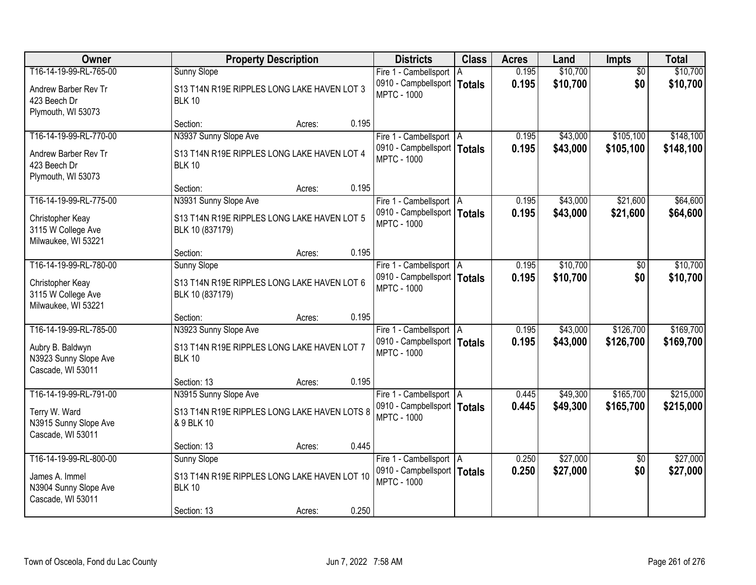| Owner                                                                                    | <b>Property Description</b>                                                                                 | <b>Districts</b>                                                                 | <b>Class</b> | <b>Acres</b>   | Land                 | <b>Impts</b>           | <b>Total</b>           |
|------------------------------------------------------------------------------------------|-------------------------------------------------------------------------------------------------------------|----------------------------------------------------------------------------------|--------------|----------------|----------------------|------------------------|------------------------|
| T16-14-19-99-RL-765-00                                                                   | <b>Sunny Slope</b>                                                                                          | Fire 1 - Cambellsport   A                                                        |              | 0.195          | \$10,700             | $\overline{50}$        | \$10,700               |
| Andrew Barber Rev Tr<br>423 Beech Dr<br>Plymouth, WI 53073                               | S13 T14N R19E RIPPLES LONG LAKE HAVEN LOT 3<br><b>BLK 10</b>                                                | 0910 - Campbellsport   Totals<br><b>MPTC - 1000</b>                              |              | 0.195          | \$10,700             | \$0                    | \$10,700               |
|                                                                                          | 0.195<br>Section:<br>Acres:                                                                                 |                                                                                  |              |                |                      |                        |                        |
| T16-14-19-99-RL-770-00                                                                   | N3937 Sunny Slope Ave                                                                                       | Fire 1 - Cambellsport   A                                                        |              | 0.195          | \$43,000             | \$105,100              | \$148,100              |
| Andrew Barber Rev Tr<br>423 Beech Dr<br>Plymouth, WI 53073                               | S13 T14N R19E RIPPLES LONG LAKE HAVEN LOT 4<br><b>BLK 10</b>                                                | 0910 - Campbellsport   Totals<br><b>MPTC - 1000</b>                              |              | 0.195          | \$43,000             | \$105,100              | \$148,100              |
|                                                                                          | Section:<br>0.195<br>Acres:                                                                                 |                                                                                  |              |                |                      |                        |                        |
| T16-14-19-99-RL-775-00                                                                   | N3931 Sunny Slope Ave                                                                                       | Fire 1 - Cambellsport   A                                                        |              | 0.195          | \$43,000             | \$21,600               | \$64,600               |
| Christopher Keay<br>3115 W College Ave<br>Milwaukee, WI 53221                            | S13 T14N R19E RIPPLES LONG LAKE HAVEN LOT 5<br>BLK 10 (837179)                                              | 0910 - Campbellsport   Totals<br><b>MPTC - 1000</b>                              |              | 0.195          | \$43,000             | \$21,600               | \$64,600               |
|                                                                                          | 0.195<br>Section:<br>Acres:                                                                                 |                                                                                  |              |                |                      |                        |                        |
| T16-14-19-99-RL-780-00                                                                   | <b>Sunny Slope</b>                                                                                          | Fire 1 - Cambellsport   A                                                        |              | 0.195          | \$10,700             | $\sqrt[6]{}$           | \$10,700               |
| Christopher Keay<br>3115 W College Ave<br>Milwaukee, WI 53221                            | S13 T14N R19E RIPPLES LONG LAKE HAVEN LOT 6<br>BLK 10 (837179)                                              | 0910 - Campbellsport   Totals<br><b>MPTC - 1000</b>                              |              | 0.195          | \$10,700             | \$0                    | \$10,700               |
|                                                                                          | 0.195<br>Section:<br>Acres:                                                                                 |                                                                                  |              |                |                      |                        |                        |
| T16-14-19-99-RL-785-00<br>Aubry B. Baldwyn<br>N3923 Sunny Slope Ave<br>Cascade, WI 53011 | N3923 Sunny Slope Ave<br>S13 T14N R19E RIPPLES LONG LAKE HAVEN LOT 7<br><b>BLK 10</b>                       | Fire 1 - Cambellsport   A<br>0910 - Campbellsport   Totals<br><b>MPTC - 1000</b> |              | 0.195<br>0.195 | \$43,000<br>\$43,000 | \$126,700<br>\$126,700 | \$169,700<br>\$169,700 |
|                                                                                          | 0.195<br>Section: 13<br>Acres:                                                                              |                                                                                  |              |                |                      |                        |                        |
| T16-14-19-99-RL-791-00<br>Terry W. Ward<br>N3915 Sunny Slope Ave<br>Cascade, WI 53011    | N3915 Sunny Slope Ave<br>S13 T14N R19E RIPPLES LONG LAKE HAVEN LOTS 8<br>& 9 BLK 10                         | Fire 1 - Cambellsport   A<br>0910 - Campbellsport   Totals<br><b>MPTC - 1000</b> |              | 0.445<br>0.445 | \$49,300<br>\$49,300 | \$165,700<br>\$165,700 | \$215,000<br>\$215,000 |
|                                                                                          | 0.445<br>Section: 13<br>Acres:                                                                              |                                                                                  |              |                |                      |                        |                        |
| T16-14-19-99-RL-800-00<br>James A. Immel<br>N3904 Sunny Slope Ave<br>Cascade, WI 53011   | <b>Sunny Slope</b><br>S13 T14N R19E RIPPLES LONG LAKE HAVEN LOT 10<br><b>BLK 10</b><br>0.250<br>Section: 13 | Fire 1 - Cambellsport   A<br>0910 - Campbellsport   Totals<br><b>MPTC - 1000</b> |              | 0.250<br>0.250 | \$27,000<br>\$27,000 | $\overline{50}$<br>\$0 | \$27,000<br>\$27,000   |
|                                                                                          | Acres:                                                                                                      |                                                                                  |              |                |                      |                        |                        |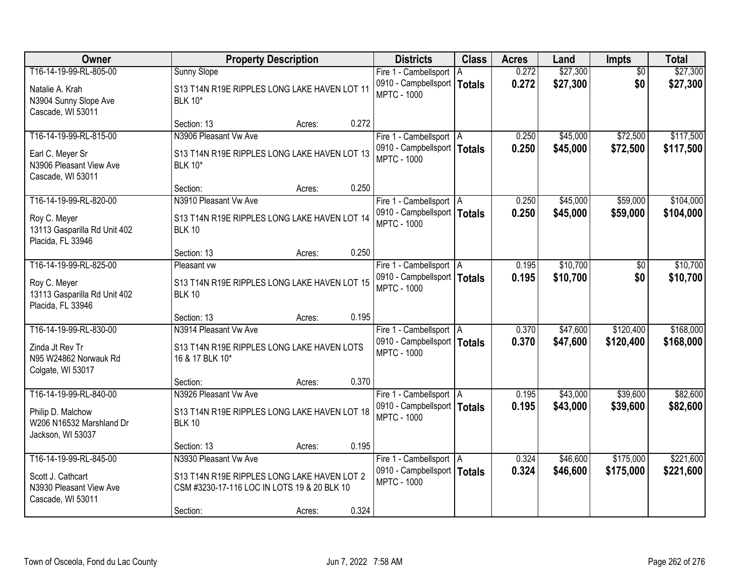| <b>Owner</b>                                                                                 | <b>Property Description</b>                                                                                         | <b>Districts</b>                                                                 | <b>Class</b> | <b>Acres</b>   | Land                 | <b>Impts</b>           | <b>Total</b>           |
|----------------------------------------------------------------------------------------------|---------------------------------------------------------------------------------------------------------------------|----------------------------------------------------------------------------------|--------------|----------------|----------------------|------------------------|------------------------|
| T16-14-19-99-RL-805-00<br>Natalie A. Krah<br>N3904 Sunny Slope Ave<br>Cascade, WI 53011      | Sunny Slope<br>S13 T14N R19E RIPPLES LONG LAKE HAVEN LOT 11<br><b>BLK 10*</b>                                       | Fire 1 - Cambellsport   A<br>0910 - Campbellsport   Totals<br><b>MPTC - 1000</b> |              | 0.272<br>0.272 | \$27,300<br>\$27,300 | $\overline{50}$<br>\$0 | \$27,300<br>\$27,300   |
|                                                                                              | 0.272<br>Section: 13<br>Acres:                                                                                      |                                                                                  |              |                |                      |                        |                        |
| T16-14-19-99-RL-815-00<br>Earl C. Meyer Sr<br>N3906 Pleasant View Ave<br>Cascade, WI 53011   | N3906 Pleasant Vw Ave<br>S13 T14N R19E RIPPLES LONG LAKE HAVEN LOT 13<br><b>BLK 10*</b>                             | Fire 1 - Cambellsport   A<br>0910 - Campbellsport   Totals<br><b>MPTC - 1000</b> |              | 0.250<br>0.250 | \$45,000<br>\$45,000 | \$72,500<br>\$72,500   | \$117,500<br>\$117,500 |
| T16-14-19-99-RL-820-00                                                                       | 0.250<br>Section:<br>Acres:<br>N3910 Pleasant Vw Ave                                                                |                                                                                  |              |                |                      |                        |                        |
| Roy C. Meyer<br>13113 Gasparilla Rd Unit 402<br>Placida, FL 33946                            | S13 T14N R19E RIPPLES LONG LAKE HAVEN LOT 14<br><b>BLK 10</b>                                                       | Fire 1 - Cambellsport   A<br>0910 - Campbellsport   Totals<br><b>MPTC - 1000</b> |              | 0.250<br>0.250 | \$45,000<br>\$45,000 | \$59,000<br>\$59,000   | \$104,000<br>\$104,000 |
|                                                                                              | 0.250<br>Section: 13<br>Acres:                                                                                      |                                                                                  |              |                |                      |                        |                        |
| T16-14-19-99-RL-825-00<br>Roy C. Meyer<br>13113 Gasparilla Rd Unit 402<br>Placida, FL 33946  | Pleasant vw<br>S13 T14N R19E RIPPLES LONG LAKE HAVEN LOT 15<br><b>BLK 10</b>                                        | Fire 1 - Cambellsport   A<br>0910 - Campbellsport   Totals<br><b>MPTC - 1000</b> |              | 0.195<br>0.195 | \$10,700<br>\$10,700 | $\sqrt[6]{}$<br>\$0    | \$10,700<br>\$10,700   |
|                                                                                              | 0.195<br>Section: 13<br>Acres:                                                                                      |                                                                                  |              |                |                      |                        |                        |
| T16-14-19-99-RL-830-00<br>Zinda Jt Rev Tr<br>N95 W24862 Norwauk Rd<br>Colgate, WI 53017      | N3914 Pleasant Vw Ave<br>S13 T14N R19E RIPPLES LONG LAKE HAVEN LOTS<br>16 & 17 BLK 10*                              | Fire 1 - Cambellsport   A<br>0910 - Campbellsport   Totals<br><b>MPTC - 1000</b> |              | 0.370<br>0.370 | \$47,600<br>\$47,600 | \$120,400<br>\$120,400 | \$168,000<br>\$168,000 |
|                                                                                              | 0.370<br>Section:<br>Acres:                                                                                         |                                                                                  |              |                |                      |                        |                        |
| T16-14-19-99-RL-840-00<br>Philip D. Malchow<br>W206 N16532 Marshland Dr<br>Jackson, WI 53037 | N3926 Pleasant Vw Ave<br>S13 T14N R19E RIPPLES LONG LAKE HAVEN LOT 18<br><b>BLK 10</b>                              | Fire 1 - Cambellsport   A<br>0910 - Campbellsport   Totals<br><b>MPTC - 1000</b> |              | 0.195<br>0.195 | \$43,000<br>\$43,000 | \$39,600<br>\$39,600   | \$82,600<br>\$82,600   |
|                                                                                              | 0.195<br>Section: 13<br>Acres:                                                                                      |                                                                                  |              |                |                      |                        |                        |
| T16-14-19-99-RL-845-00<br>Scott J. Cathcart<br>N3930 Pleasant View Ave<br>Cascade, WI 53011  | N3930 Pleasant Vw Ave<br>S13 T14N R19E RIPPLES LONG LAKE HAVEN LOT 2<br>CSM #3230-17-116 LOC IN LOTS 19 & 20 BLK 10 | Fire 1 - Cambellsport   A<br>0910 - Campbellsport   Totals<br><b>MPTC - 1000</b> |              | 0.324<br>0.324 | \$46,600<br>\$46,600 | \$175,000<br>\$175,000 | \$221,600<br>\$221,600 |
|                                                                                              | 0.324<br>Section:<br>Acres:                                                                                         |                                                                                  |              |                |                      |                        |                        |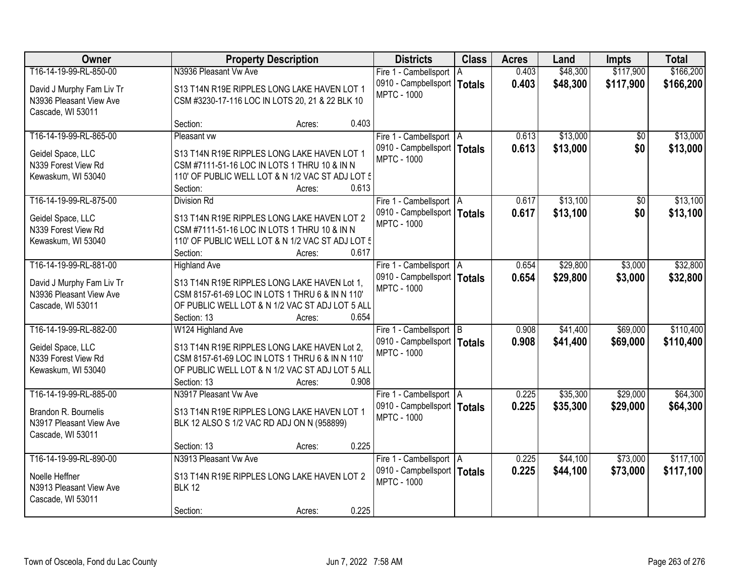| Owner                                           | <b>Property Description</b>                                                                     |                 | <b>Districts</b>              | <b>Class</b>  | <b>Acres</b> | Land     | <b>Impts</b> | <b>Total</b> |
|-------------------------------------------------|-------------------------------------------------------------------------------------------------|-----------------|-------------------------------|---------------|--------------|----------|--------------|--------------|
| T16-14-19-99-RL-850-00                          | N3936 Pleasant Vw Ave                                                                           |                 | Fire 1 - Cambellsport   A     |               | 0.403        | \$48,300 | \$117,900    | \$166,200    |
| David J Murphy Fam Liv Tr                       | S13 T14N R19E RIPPLES LONG LAKE HAVEN LOT 1                                                     |                 | 0910 - Campbellsport          | <b>Totals</b> | 0.403        | \$48,300 | \$117,900    | \$166,200    |
| N3936 Pleasant View Ave                         | CSM #3230-17-116 LOC IN LOTS 20, 21 & 22 BLK 10                                                 |                 | <b>MPTC - 1000</b>            |               |              |          |              |              |
| Cascade, WI 53011                               |                                                                                                 |                 |                               |               |              |          |              |              |
|                                                 | Section:                                                                                        | 0.403<br>Acres: |                               |               |              |          |              |              |
| T16-14-19-99-RL-865-00                          | Pleasant vw                                                                                     |                 | Fire 1 - Cambellsport   A     |               | 0.613        | \$13,000 | \$0          | \$13,000     |
| Geidel Space, LLC                               | S13 T14N R19E RIPPLES LONG LAKE HAVEN LOT 1                                                     |                 | 0910 - Campbellsport   Totals |               | 0.613        | \$13,000 | \$0          | \$13,000     |
| N339 Forest View Rd                             | CSM #7111-51-16 LOC IN LOTS 1 THRU 10 & IN N                                                    |                 | <b>MPTC - 1000</b>            |               |              |          |              |              |
| Kewaskum, WI 53040                              | 110' OF PUBLIC WELL LOT & N 1/2 VAC ST ADJ LOT 5                                                |                 |                               |               |              |          |              |              |
|                                                 | Section:                                                                                        | 0.613<br>Acres: |                               |               |              |          |              |              |
| T16-14-19-99-RL-875-00                          | <b>Division Rd</b>                                                                              |                 | Fire 1 - Cambellsport   A     |               | 0.617        | \$13,100 | \$0          | \$13,100     |
| Geidel Space, LLC                               | S13 T14N R19E RIPPLES LONG LAKE HAVEN LOT 2                                                     |                 | 0910 - Campbellsport   Totals |               | 0.617        | \$13,100 | \$0          | \$13,100     |
| N339 Forest View Rd                             | CSM #7111-51-16 LOC IN LOTS 1 THRU 10 & IN N                                                    |                 | <b>MPTC - 1000</b>            |               |              |          |              |              |
| Kewaskum, WI 53040                              | 110' OF PUBLIC WELL LOT & N 1/2 VAC ST ADJ LOT 5                                                |                 |                               |               |              |          |              |              |
|                                                 | Section:                                                                                        | 0.617<br>Acres: |                               |               |              |          |              |              |
| T16-14-19-99-RL-881-00                          | <b>Highland Ave</b>                                                                             |                 | Fire 1 - Cambellsport   A     |               | 0.654        | \$29,800 | \$3,000      | \$32,800     |
| David J Murphy Fam Liv Tr                       | S13 T14N R19E RIPPLES LONG LAKE HAVEN Lot 1,                                                    |                 | 0910 - Campbellsport   Totals |               | 0.654        | \$29,800 | \$3,000      | \$32,800     |
| N3936 Pleasant View Ave                         | CSM 8157-61-69 LOC IN LOTS 1 THRU 6 & IN N 110'                                                 |                 | <b>MPTC - 1000</b>            |               |              |          |              |              |
| Cascade, WI 53011                               | OF PUBLIC WELL LOT & N 1/2 VAC ST ADJ LOT 5 ALL                                                 |                 |                               |               |              |          |              |              |
|                                                 | Section: 13                                                                                     | 0.654<br>Acres: |                               |               |              |          |              |              |
| T16-14-19-99-RL-882-00                          | W124 Highland Ave                                                                               |                 | Fire 1 - Cambellsport B       |               | 0.908        | \$41,400 | \$69,000     | \$110,400    |
|                                                 |                                                                                                 |                 | 0910 - Campbellsport   Totals |               | 0.908        | \$41,400 | \$69,000     | \$110,400    |
| Geidel Space, LLC<br>N339 Forest View Rd        | S13 T14N R19E RIPPLES LONG LAKE HAVEN Lot 2,<br>CSM 8157-61-69 LOC IN LOTS 1 THRU 6 & IN N 110' |                 | <b>MPTC - 1000</b>            |               |              |          |              |              |
| Kewaskum, WI 53040                              | OF PUBLIC WELL LOT & N 1/2 VAC ST ADJ LOT 5 ALL                                                 |                 |                               |               |              |          |              |              |
|                                                 | Section: 13                                                                                     | 0.908<br>Acres: |                               |               |              |          |              |              |
| T16-14-19-99-RL-885-00                          | N3917 Pleasant Vw Ave                                                                           |                 | Fire 1 - Cambellsport   A     |               | 0.225        | \$35,300 | \$29,000     | \$64,300     |
|                                                 |                                                                                                 |                 | 0910 - Campbellsport   Totals |               | 0.225        | \$35,300 | \$29,000     | \$64,300     |
| Brandon R. Bournelis<br>N3917 Pleasant View Ave | S13 T14N R19E RIPPLES LONG LAKE HAVEN LOT 1<br>BLK 12 ALSO S 1/2 VAC RD ADJ ON N (958899)       |                 | <b>MPTC - 1000</b>            |               |              |          |              |              |
| Cascade, WI 53011                               |                                                                                                 |                 |                               |               |              |          |              |              |
|                                                 | Section: 13                                                                                     | 0.225<br>Acres: |                               |               |              |          |              |              |
| T16-14-19-99-RL-890-00                          | N3913 Pleasant Vw Ave                                                                           |                 | Fire 1 - Cambellsport   A     |               | 0.225        | \$44,100 | \$73,000     | \$117,100    |
|                                                 |                                                                                                 |                 | 0910 - Campbellsport   Totals |               | 0.225        | \$44,100 | \$73,000     | \$117,100    |
| Noelle Heffner                                  | S13 T14N R19E RIPPLES LONG LAKE HAVEN LOT 2                                                     |                 | <b>MPTC - 1000</b>            |               |              |          |              |              |
| N3913 Pleasant View Ave<br>Cascade, WI 53011    | <b>BLK 12</b>                                                                                   |                 |                               |               |              |          |              |              |
|                                                 | Section:                                                                                        | 0.225<br>Acres: |                               |               |              |          |              |              |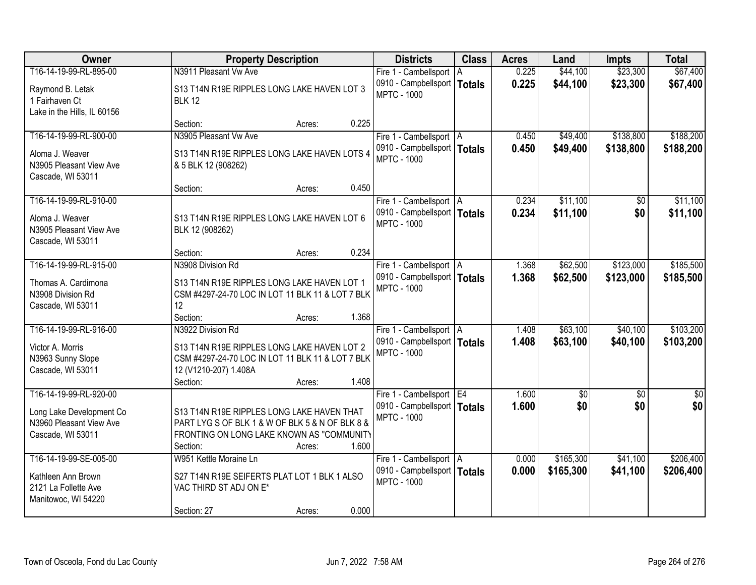| Owner                                                                                | <b>Property Description</b>                                                                                                                                                  | <b>Districts</b>                                                                 | <b>Class</b> | <b>Acres</b>   | Land                 | <b>Impts</b>         | <b>Total</b>           |
|--------------------------------------------------------------------------------------|------------------------------------------------------------------------------------------------------------------------------------------------------------------------------|----------------------------------------------------------------------------------|--------------|----------------|----------------------|----------------------|------------------------|
| T16-14-19-99-RL-895-00                                                               | N3911 Pleasant Vw Ave                                                                                                                                                        | Fire 1 - Cambellsport   A                                                        |              | 0.225          | \$44,100             | \$23,300             | \$67,400               |
| Raymond B. Letak<br>1 Fairhaven Ct<br>Lake in the Hills, IL 60156                    | S13 T14N R19E RIPPLES LONG LAKE HAVEN LOT 3<br><b>BLK 12</b>                                                                                                                 | 0910 - Campbellsport   Totals<br><b>MPTC - 1000</b>                              |              | 0.225          | \$44,100             | \$23,300             | \$67,400               |
|                                                                                      | 0.225<br>Section:<br>Acres:                                                                                                                                                  |                                                                                  |              |                |                      |                      |                        |
| T16-14-19-99-RL-900-00                                                               | N3905 Pleasant Vw Ave                                                                                                                                                        | Fire 1 - Cambellsport   A                                                        |              | 0.450          | \$49,400             | \$138,800            | \$188,200              |
| Aloma J. Weaver<br>N3905 Pleasant View Ave<br>Cascade, WI 53011                      | S13 T14N R19E RIPPLES LONG LAKE HAVEN LOTS 4<br>& 5 BLK 12 (908262)                                                                                                          | 0910 - Campbellsport   Totals<br><b>MPTC - 1000</b>                              |              | 0.450          | \$49,400             | \$138,800            | \$188,200              |
|                                                                                      | 0.450<br>Section:<br>Acres:                                                                                                                                                  |                                                                                  |              |                |                      |                      |                        |
| T16-14-19-99-RL-910-00                                                               |                                                                                                                                                                              | Fire 1 - Cambellsport   A                                                        |              | 0.234          | \$11,100             | \$0                  | \$11,100               |
| Aloma J. Weaver<br>N3905 Pleasant View Ave<br>Cascade, WI 53011                      | S13 T14N R19E RIPPLES LONG LAKE HAVEN LOT 6<br>BLK 12 (908262)                                                                                                               | 0910 - Campbellsport   Totals<br><b>MPTC - 1000</b>                              |              | 0.234          | \$11,100             | \$0                  | \$11,100               |
|                                                                                      | 0.234<br>Section:<br>Acres:                                                                                                                                                  |                                                                                  |              |                |                      |                      |                        |
| T16-14-19-99-RL-915-00                                                               | N3908 Division Rd                                                                                                                                                            | Fire 1 - Cambellsport   A                                                        |              | 1.368          | \$62,500             | \$123,000            | \$185,500              |
| Thomas A. Cardimona<br>N3908 Division Rd<br>Cascade, WI 53011                        | S13 T14N R19E RIPPLES LONG LAKE HAVEN LOT 1<br>CSM #4297-24-70 LOC IN LOT 11 BLK 11 & LOT 7 BLK<br>12                                                                        | 0910 - Campbellsport   Totals<br><b>MPTC - 1000</b>                              |              | 1.368          | \$62,500             | \$123,000            | \$185,500              |
|                                                                                      | 1.368<br>Section:<br>Acres:                                                                                                                                                  |                                                                                  |              |                |                      |                      |                        |
| T16-14-19-99-RL-916-00<br>Victor A. Morris<br>N3963 Sunny Slope<br>Cascade, WI 53011 | N3922 Division Rd<br>S13 T14N R19E RIPPLES LONG LAKE HAVEN LOT 2<br>CSM #4297-24-70 LOC IN LOT 11 BLK 11 & LOT 7 BLK<br>12 (V1210-207) 1.408A<br>1.408<br>Section:<br>Acres: | Fire 1 - Cambellsport   A<br>0910 - Campbellsport   Totals<br><b>MPTC - 1000</b> |              | 1.408<br>1.408 | \$63,100<br>\$63,100 | \$40,100<br>\$40,100 | \$103,200<br>\$103,200 |
| T16-14-19-99-RL-920-00                                                               |                                                                                                                                                                              | Fire 1 - Cambellsport E4                                                         |              | 1.600          | \$0                  | $\overline{50}$      | $\overline{\$0}$       |
| Long Lake Development Co<br>N3960 Pleasant View Ave<br>Cascade, WI 53011             | S13 T14N R19E RIPPLES LONG LAKE HAVEN THAT<br>PART LYG S OF BLK 1 & W OF BLK 5 & N OF BLK 8 &<br>FRONTING ON LONG LAKE KNOWN AS "COMMUNITY<br>1.600<br>Section:<br>Acres:    | 0910 - Campbellsport   Totals<br><b>MPTC - 1000</b>                              |              | 1.600          | \$0                  | \$0                  | \$0                    |
| T16-14-19-99-SE-005-00                                                               | W951 Kettle Moraine Ln                                                                                                                                                       | Fire 1 - Cambellsport   A                                                        |              | 0.000          | \$165,300            | \$41,100             | \$206,400              |
| Kathleen Ann Brown<br>2121 La Follette Ave<br>Manitowoc, WI 54220                    | S27 T14N R19E SEIFERTS PLAT LOT 1 BLK 1 ALSO<br>VAC THIRD ST ADJ ON E*                                                                                                       | 0910 - Campbellsport   Totals<br><b>MPTC - 1000</b>                              |              | 0.000          | \$165,300            | \$41,100             | \$206,400              |
|                                                                                      | 0.000<br>Section: 27<br>Acres:                                                                                                                                               |                                                                                  |              |                |                      |                      |                        |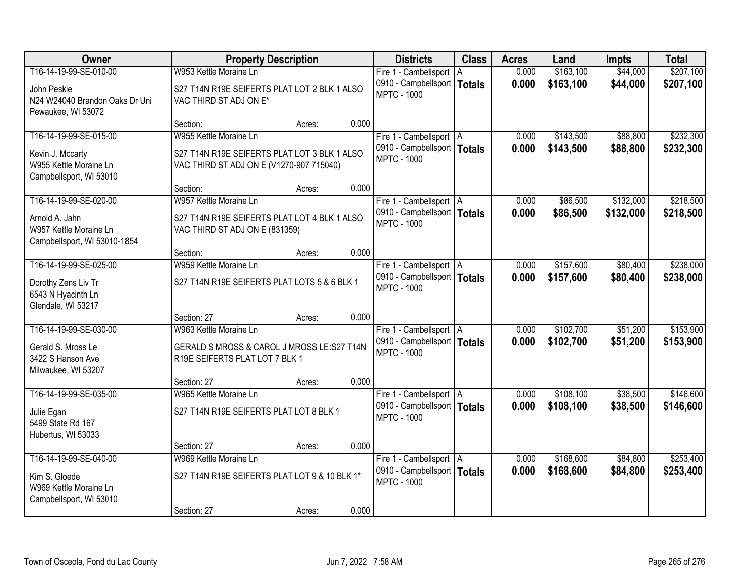| Owner                                                                                    | <b>Property Description</b>                                                                            |        |       | <b>Districts</b>                                                                 | <b>Class</b> | <b>Acres</b>   | Land                   | <b>Impts</b>         | <b>Total</b>           |
|------------------------------------------------------------------------------------------|--------------------------------------------------------------------------------------------------------|--------|-------|----------------------------------------------------------------------------------|--------------|----------------|------------------------|----------------------|------------------------|
| T16-14-19-99-SE-010-00                                                                   | W953 Kettle Moraine Ln                                                                                 |        |       | Fire 1 - Cambellsport   A                                                        |              | 0.000          | \$163,100              | \$44,000             | \$207,100              |
| John Peskie<br>N24 W24040 Brandon Oaks Dr Uni<br>Pewaukee, WI 53072                      | S27 T14N R19E SEIFERTS PLAT LOT 2 BLK 1 ALSO<br>VAC THIRD ST ADJ ON E*                                 |        |       | 0910 - Campbellsport   Totals<br><b>MPTC - 1000</b>                              |              | 0.000          | \$163,100              | \$44,000             | \$207,100              |
|                                                                                          | Section:                                                                                               | Acres: | 0.000 |                                                                                  |              |                |                        |                      |                        |
| T16-14-19-99-SE-015-00                                                                   | W955 Kettle Moraine Ln                                                                                 |        |       | Fire 1 - Cambellsport   A                                                        |              | 0.000          | \$143,500              | \$88,800             | \$232,300              |
| Kevin J. Mccarty<br>W955 Kettle Moraine Ln<br>Campbellsport, WI 53010                    | S27 T14N R19E SEIFERTS PLAT LOT 3 BLK 1 ALSO<br>VAC THIRD ST ADJ ON E (V1270-907 715040)               |        |       | 0910 - Campbellsport   Totals<br><b>MPTC - 1000</b>                              |              | 0.000          | \$143,500              | \$88,800             | \$232,300              |
|                                                                                          | Section:                                                                                               | Acres: | 0.000 |                                                                                  |              |                |                        |                      |                        |
| T16-14-19-99-SE-020-00                                                                   | W957 Kettle Moraine Ln                                                                                 |        |       | Fire 1 - Cambellsport   A                                                        |              | 0.000          | \$86,500               | \$132,000            | \$218,500              |
| Arnold A. Jahn<br>W957 Kettle Moraine Ln<br>Campbellsport, WI 53010-1854                 | S27 T14N R19E SEIFERTS PLAT LOT 4 BLK 1 ALSO<br>VAC THIRD ST ADJ ON E (831359)                         |        |       | 0910 - Campbellsport   Totals<br><b>MPTC - 1000</b>                              |              | 0.000          | \$86,500               | \$132,000            | \$218,500              |
|                                                                                          | Section:                                                                                               | Acres: | 0.000 |                                                                                  |              |                |                        |                      |                        |
| T16-14-19-99-SE-025-00                                                                   | W959 Kettle Moraine Ln                                                                                 |        |       | Fire 1 - Cambellsport   A                                                        |              | 0.000          | \$157,600              | \$80,400             | \$238,000              |
| Dorothy Zens Liv Tr<br>6543 N Hyacinth Ln<br>Glendale, WI 53217                          | S27 T14N R19E SEIFERTS PLAT LOTS 5 & 6 BLK 1                                                           |        |       | 0910 - Campbellsport   Totals<br><b>MPTC - 1000</b>                              |              | 0.000          | \$157,600              | \$80,400             | \$238,000              |
|                                                                                          | Section: 27                                                                                            | Acres: | 0.000 |                                                                                  |              |                |                        |                      |                        |
| T16-14-19-99-SE-030-00<br>Gerald S. Mross Le<br>3422 S Hanson Ave<br>Milwaukee, WI 53207 | W963 Kettle Moraine Ln<br>GERALD S MROSS & CAROL J MROSS LE:S27 T14N<br>R19E SEIFERTS PLAT LOT 7 BLK 1 |        |       | Fire 1 - Cambellsport   A<br>0910 - Campbellsport   Totals<br><b>MPTC - 1000</b> |              | 0.000<br>0.000 | \$102,700<br>\$102,700 | \$51,200<br>\$51,200 | \$153,900<br>\$153,900 |
|                                                                                          | Section: 27                                                                                            | Acres: | 0.000 |                                                                                  |              |                |                        |                      |                        |
| T16-14-19-99-SE-035-00                                                                   | W965 Kettle Moraine Ln                                                                                 |        |       | Fire 1 - Cambellsport   A                                                        |              | 0.000          | \$108,100              | \$38,500             | \$146,600              |
| Julie Egan<br>5499 State Rd 167<br>Hubertus, WI 53033                                    | S27 T14N R19E SEIFERTS PLAT LOT 8 BLK 1                                                                |        |       | 0910 - Campbellsport   Totals<br><b>MPTC - 1000</b>                              |              | 0.000          | \$108,100              | \$38,500             | \$146,600              |
|                                                                                          | Section: 27                                                                                            | Acres: | 0.000 |                                                                                  |              |                |                        |                      |                        |
| T16-14-19-99-SE-040-00                                                                   | W969 Kettle Moraine Ln                                                                                 |        |       | Fire 1 - Cambellsport   A                                                        |              | 0.000          | \$168,600              | \$84,800             | \$253,400              |
| Kim S. Gloede<br>W969 Kettle Moraine Ln<br>Campbellsport, WI 53010                       | S27 T14N R19E SEIFERTS PLAT LOT 9 & 10 BLK 1*                                                          |        |       | 0910 - Campbellsport   Totals<br><b>MPTC - 1000</b>                              |              | 0.000          | \$168,600              | \$84,800             | \$253,400              |
|                                                                                          | Section: 27                                                                                            | Acres: | 0.000 |                                                                                  |              |                |                        |                      |                        |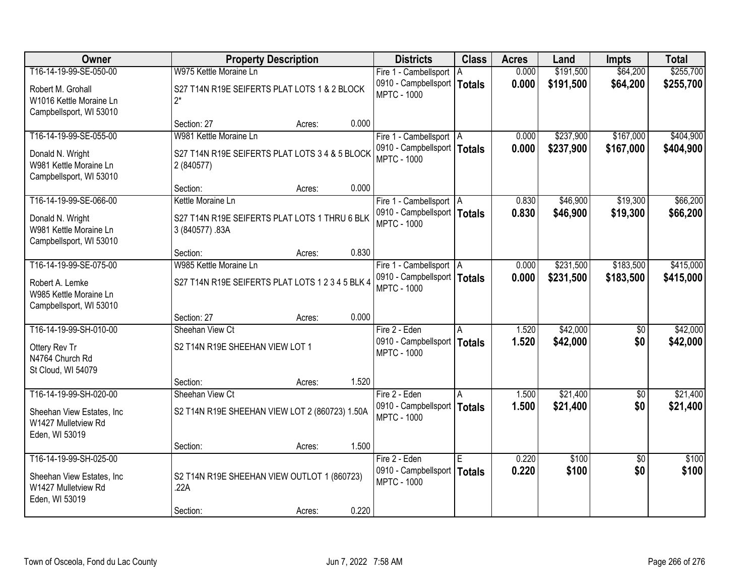| Owner                      | <b>Property Description</b>                      |       | <b>Districts</b>              | <b>Class</b>  | <b>Acres</b> | Land      | <b>Impts</b>    | <b>Total</b> |
|----------------------------|--------------------------------------------------|-------|-------------------------------|---------------|--------------|-----------|-----------------|--------------|
| T16-14-19-99-SE-050-00     | W975 Kettle Moraine Ln                           |       | Fire 1 - Cambellsport   A     |               | 0.000        | \$191,500 | \$64,200        | \$255,700    |
| Robert M. Grohall          | S27 T14N R19E SEIFERTS PLAT LOTS 1 & 2 BLOCK     |       | 0910 - Campbellsport          | <b>Totals</b> | 0.000        | \$191,500 | \$64,200        | \$255,700    |
| W1016 Kettle Moraine Ln    | $2^*$                                            |       | <b>MPTC - 1000</b>            |               |              |           |                 |              |
| Campbellsport, WI 53010    |                                                  |       |                               |               |              |           |                 |              |
|                            | Section: 27<br>Acres:                            | 0.000 |                               |               |              |           |                 |              |
| T16-14-19-99-SE-055-00     | W981 Kettle Moraine Ln                           |       | Fire 1 - Cambellsport   A     |               | 0.000        | \$237,900 | \$167,000       | \$404,900    |
| Donald N. Wright           | S27 T14N R19E SEIFERTS PLAT LOTS 3 4 & 5 BLOCK   |       | 0910 - Campbellsport   Totals |               | 0.000        | \$237,900 | \$167,000       | \$404,900    |
| W981 Kettle Moraine Ln     | 2 (840577)                                       |       | <b>MPTC - 1000</b>            |               |              |           |                 |              |
| Campbellsport, WI 53010    |                                                  |       |                               |               |              |           |                 |              |
|                            | Section:<br>Acres:                               | 0.000 |                               |               |              |           |                 |              |
| T16-14-19-99-SE-066-00     | Kettle Moraine Ln                                |       | Fire 1 - Cambellsport   A     |               | 0.830        | \$46,900  | \$19,300        | \$66,200     |
| Donald N. Wright           | S27 T14N R19E SEIFERTS PLAT LOTS 1 THRU 6 BLK    |       | 0910 - Campbellsport   Totals |               | 0.830        | \$46,900  | \$19,300        | \$66,200     |
| W981 Kettle Moraine Ln     | 3 (840577) .83A                                  |       | <b>MPTC - 1000</b>            |               |              |           |                 |              |
| Campbellsport, WI 53010    |                                                  |       |                               |               |              |           |                 |              |
|                            | Section:<br>Acres:                               | 0.830 |                               |               |              |           |                 |              |
| T16-14-19-99-SE-075-00     | W985 Kettle Moraine Ln                           |       | Fire 1 - Cambellsport   A     |               | 0.000        | \$231,500 | \$183,500       | \$415,000    |
| Robert A. Lemke            | S27 T14N R19E SEIFERTS PLAT LOTS 1 2 3 4 5 BLK 4 |       | 0910 - Campbellsport   Totals |               | 0.000        | \$231,500 | \$183,500       | \$415,000    |
| W985 Kettle Moraine Ln     |                                                  |       | <b>MPTC - 1000</b>            |               |              |           |                 |              |
| Campbellsport, WI 53010    |                                                  |       |                               |               |              |           |                 |              |
|                            | Section: 27<br>Acres:                            | 0.000 |                               |               |              |           |                 |              |
| T16-14-19-99-SH-010-00     | Sheehan View Ct                                  |       | Fire 2 - Eden                 | A             | 1.520        | \$42,000  | $\overline{50}$ | \$42,000     |
| Ottery Rev Tr              | S2 T14N R19E SHEEHAN VIEW LOT 1                  |       | 0910 - Campbellsport          | <b>Totals</b> | 1.520        | \$42,000  | \$0             | \$42,000     |
| N4764 Church Rd            |                                                  |       | <b>MPTC - 1000</b>            |               |              |           |                 |              |
| St Cloud, WI 54079         |                                                  |       |                               |               |              |           |                 |              |
|                            | Section:<br>Acres:                               | 1.520 |                               |               |              |           |                 |              |
| T16-14-19-99-SH-020-00     | Sheehan View Ct                                  |       | Fire 2 - Eden                 | l A           | 1.500        | \$21,400  | $\overline{60}$ | \$21,400     |
| Sheehan View Estates, Inc. | S2 T14N R19E SHEEHAN VIEW LOT 2 (860723) 1.50A   |       | 0910 - Campbellsport   Totals |               | 1.500        | \$21,400  | \$0             | \$21,400     |
| W1427 Mulletview Rd        |                                                  |       | <b>MPTC - 1000</b>            |               |              |           |                 |              |
| Eden, WI 53019             |                                                  |       |                               |               |              |           |                 |              |
|                            | Section:<br>Acres:                               | 1.500 |                               |               |              |           |                 |              |
| T16-14-19-99-SH-025-00     |                                                  |       | Fire 2 - Eden                 | E             | 0.220        | \$100     | $\overline{50}$ | \$100        |
| Sheehan View Estates, Inc. | S2 T14N R19E SHEEHAN VIEW OUTLOT 1 (860723)      |       | 0910 - Campbellsport          | <b>Totals</b> | 0.220        | \$100     | \$0             | \$100        |
| W1427 Mulletview Rd        | .22A                                             |       | <b>MPTC - 1000</b>            |               |              |           |                 |              |
| Eden, WI 53019             |                                                  |       |                               |               |              |           |                 |              |
|                            | Section:<br>Acres:                               | 0.220 |                               |               |              |           |                 |              |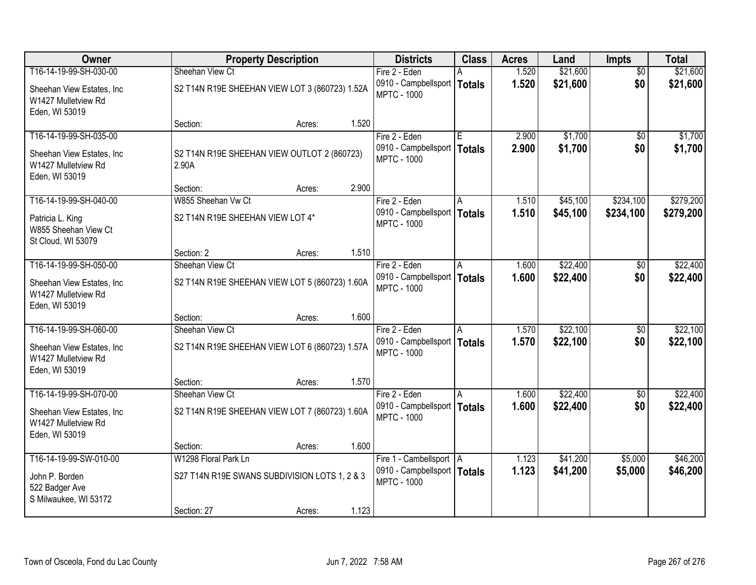| <b>Owner</b>                                                        |                                                                   | <b>Property Description</b>                    |       |                                                                      | <b>Class</b> | <b>Acres</b>   | Land                 | <b>Impts</b>    | <b>Total</b>         |
|---------------------------------------------------------------------|-------------------------------------------------------------------|------------------------------------------------|-------|----------------------------------------------------------------------|--------------|----------------|----------------------|-----------------|----------------------|
| T16-14-19-99-SH-030-00                                              | Sheehan View Ct                                                   |                                                |       | Fire 2 - Eden                                                        |              | 1.520          | \$21,600             | $\overline{50}$ | \$21,600             |
| Sheehan View Estates, Inc.<br>W1427 Mulletview Rd<br>Eden, WI 53019 |                                                                   | S2 T14N R19E SHEEHAN VIEW LOT 3 (860723) 1.52A |       | 0910 - Campbellsport   Totals<br><b>MPTC - 1000</b>                  |              | 1.520          | \$21,600             | \$0             | \$21,600             |
|                                                                     | Section:                                                          | Acres:                                         | 1.520 |                                                                      |              |                |                      |                 |                      |
| T16-14-19-99-SH-035-00<br>Sheehan View Estates, Inc.                | S2 T14N R19E SHEEHAN VIEW OUTLOT 2 (860723)                       |                                                |       | Fire 2 - Eden<br>0910 - Campbellsport   Totals<br><b>MPTC - 1000</b> | E            | 2.900<br>2.900 | \$1,700<br>\$1,700   | \$0<br>\$0      | \$1,700<br>\$1,700   |
| W1427 Mulletview Rd<br>Eden, WI 53019                               | 2.90A<br>Section:                                                 | Acres:                                         | 2.900 |                                                                      |              |                |                      |                 |                      |
| T16-14-19-99-SH-040-00                                              | W855 Sheehan Vw Ct                                                |                                                |       | Fire 2 - Eden                                                        | IA.          | 1.510          | \$45,100             | \$234,100       | \$279,200            |
| Patricia L. King<br>W855 Sheehan View Ct<br>St Cloud, WI 53079      | S2 T14N R19E SHEEHAN VIEW LOT 4*                                  |                                                |       | 0910 - Campbellsport   Totals<br><b>MPTC - 1000</b>                  |              | 1.510          | \$45,100             | \$234,100       | \$279,200            |
|                                                                     | Section: 2                                                        | Acres:                                         | 1.510 |                                                                      |              |                |                      |                 |                      |
| T16-14-19-99-SH-050-00                                              | Sheehan View Ct                                                   |                                                |       | Fire 2 - Eden                                                        | A            | 1.600          | \$22,400             | $\overline{50}$ | \$22,400             |
| Sheehan View Estates, Inc.<br>W1427 Mulletview Rd<br>Eden, WI 53019 | S2 T14N R19E SHEEHAN VIEW LOT 5 (860723) 1.60A                    |                                                |       | 0910 - Campbellsport   Totals<br><b>MPTC - 1000</b>                  |              | 1.600          | \$22,400             | \$0             | \$22,400             |
|                                                                     | Section:                                                          | Acres:                                         | 1.600 |                                                                      |              |                |                      |                 |                      |
| T16-14-19-99-SH-060-00<br>Sheehan View Estates, Inc.                | Sheehan View Ct<br>S2 T14N R19E SHEEHAN VIEW LOT 6 (860723) 1.57A |                                                |       | Fire 2 - Eden<br>0910 - Campbellsport   Totals                       | l A          | 1.570<br>1.570 | \$22,100<br>\$22,100 | \$0<br>\$0      | \$22,100<br>\$22,100 |
| W1427 Mulletview Rd<br>Eden, WI 53019                               |                                                                   |                                                |       | <b>MPTC - 1000</b>                                                   |              |                |                      |                 |                      |
|                                                                     | Section:                                                          | Acres:                                         | 1.570 |                                                                      |              |                |                      |                 |                      |
| T16-14-19-99-SH-070-00                                              | Sheehan View Ct                                                   |                                                |       | Fire 2 - Eden                                                        |              | 1.600          | \$22,400             | $\sqrt{6}$      | \$22,400             |
| Sheehan View Estates, Inc.<br>W1427 Mulletview Rd<br>Eden, WI 53019 | S2 T14N R19E SHEEHAN VIEW LOT 7 (860723) 1.60A                    |                                                |       | 0910 - Campbellsport   Totals<br><b>MPTC - 1000</b>                  |              | 1.600          | \$22,400             | \$0             | \$22,400             |
|                                                                     | Section:                                                          | Acres:                                         | 1.600 |                                                                      |              |                |                      |                 |                      |
| T16-14-19-99-SW-010-00                                              | W1298 Floral Park Ln                                              |                                                |       | Fire 1 - Cambellsport   A                                            |              | 1.123          | \$41,200             | \$5,000         | \$46,200             |
| John P. Borden<br>522 Badger Ave                                    | S27 T14N R19E SWANS SUBDIVISION LOTS 1, 2 & 3                     |                                                |       | 0910 - Campbellsport   Totals<br><b>MPTC - 1000</b>                  |              | 1.123          | \$41,200             | \$5,000         | \$46,200             |
| S Milwaukee, WI 53172                                               | Section: 27                                                       | Acres:                                         | 1.123 |                                                                      |              |                |                      |                 |                      |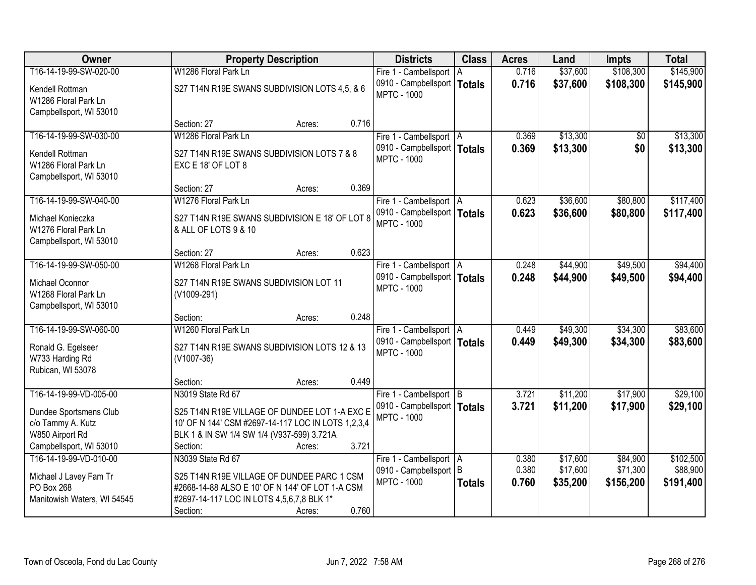| Owner                                                                | <b>Property Description</b>                                                                                                                       | <b>Districts</b>                                                                 | <b>Class</b>  | <b>Acres</b>   | Land                 | <b>Impts</b>         | <b>Total</b>          |
|----------------------------------------------------------------------|---------------------------------------------------------------------------------------------------------------------------------------------------|----------------------------------------------------------------------------------|---------------|----------------|----------------------|----------------------|-----------------------|
| T16-14-19-99-SW-020-00                                               | W1286 Floral Park Ln                                                                                                                              | Fire 1 - Cambellsport   A                                                        |               | 0.716          | \$37,600             | \$108,300            | \$145,900             |
| Kendell Rottman<br>W1286 Floral Park Ln<br>Campbellsport, WI 53010   | S27 T14N R19E SWANS SUBDIVISION LOTS 4,5, & 6                                                                                                     | 0910 - Campbellsport   Totals<br><b>MPTC - 1000</b>                              |               | 0.716          | \$37,600             | \$108,300            | \$145,900             |
|                                                                      | 0.716<br>Section: 27<br>Acres:                                                                                                                    |                                                                                  |               |                |                      |                      |                       |
| T16-14-19-99-SW-030-00                                               | W1286 Floral Park Ln                                                                                                                              | Fire 1 - Cambellsport   A                                                        |               | 0.369          | \$13,300             | \$0                  | \$13,300              |
| Kendell Rottman<br>W1286 Floral Park Ln<br>Campbellsport, WI 53010   | S27 T14N R19E SWANS SUBDIVISION LOTS 7 & 8<br>EXC E 18' OF LOT 8                                                                                  | 0910 - Campbellsport   Totals<br><b>MPTC - 1000</b>                              |               | 0.369          | \$13,300             | \$0                  | \$13,300              |
|                                                                      | 0.369<br>Section: 27<br>Acres:                                                                                                                    |                                                                                  |               |                |                      |                      |                       |
| T16-14-19-99-SW-040-00                                               | W1276 Floral Park Ln                                                                                                                              | Fire 1 - Cambellsport   A                                                        |               | 0.623          | \$36,600             | \$80,800             | \$117,400             |
| Michael Konieczka<br>W1276 Floral Park Ln<br>Campbellsport, WI 53010 | S27 T14N R19E SWANS SUBDIVISION E 18' OF LOT 8<br>& ALL OF LOTS 9 & 10                                                                            | 0910 - Campbellsport   Totals<br><b>MPTC - 1000</b>                              |               | 0.623          | \$36,600             | \$80,800             | \$117,400             |
|                                                                      | 0.623<br>Section: 27<br>Acres:                                                                                                                    |                                                                                  |               |                |                      |                      |                       |
| T16-14-19-99-SW-050-00                                               | W1268 Floral Park Ln                                                                                                                              | Fire 1 - Cambellsport   A                                                        |               | 0.248          | \$44,900             | \$49,500             | \$94,400              |
| Michael Oconnor<br>W1268 Floral Park Ln<br>Campbellsport, WI 53010   | S27 T14N R19E SWANS SUBDIVISION LOT 11<br>(V1009-291)                                                                                             | 0910 - Campbellsport   Totals<br><b>MPTC - 1000</b>                              |               | 0.248          | \$44,900             | \$49,500             | \$94,400              |
|                                                                      | 0.248<br>Section:<br>Acres:                                                                                                                       |                                                                                  |               |                |                      |                      |                       |
| T16-14-19-99-SW-060-00<br>Ronald G. Egelseer                         | W1260 Floral Park Ln<br>S27 T14N R19E SWANS SUBDIVISION LOTS 12 & 13                                                                              | Fire 1 - Cambellsport   A<br>0910 - Campbellsport   Totals<br><b>MPTC - 1000</b> |               | 0.449<br>0.449 | \$49,300<br>\$49,300 | \$34,300<br>\$34,300 | \$83,600<br>\$83,600  |
| W733 Harding Rd<br>Rubican, WI 53078                                 | $(V1007-36)$                                                                                                                                      |                                                                                  |               |                |                      |                      |                       |
|                                                                      | 0.449<br>Section:<br>Acres:                                                                                                                       |                                                                                  |               |                |                      |                      |                       |
| T16-14-19-99-VD-005-00                                               | N3019 State Rd 67                                                                                                                                 | Fire 1 - Cambellsport B                                                          |               | 3.721          | \$11,200             | \$17,900             | \$29,100              |
| Dundee Sportsmens Club<br>c/o Tammy A. Kutz<br>W850 Airport Rd       | S25 T14N R19E VILLAGE OF DUNDEE LOT 1-A EXC E<br>10' OF N 144' CSM #2697-14-117 LOC IN LOTS 1,2,3,4<br>BLK 1 & IN SW 1/4 SW 1/4 (V937-599) 3.721A | 0910 - Campbellsport   Totals<br><b>MPTC - 1000</b>                              |               | 3.721          | \$11,200             | \$17,900             | \$29,100              |
| Campbellsport, WI 53010                                              | 3.721<br>Section:<br>Acres:                                                                                                                       |                                                                                  |               |                |                      |                      |                       |
| T16-14-19-99-VD-010-00                                               | N3039 State Rd 67                                                                                                                                 | Fire 1 - Cambellsport   A<br>0910 - Campbellsport B                              |               | 0.380<br>0.380 | \$17,600<br>\$17,600 | \$84,900<br>\$71,300 | \$102,500<br>\$88,900 |
| Michael J Lavey Fam Tr<br>PO Box 268                                 | S25 T14N R19E VILLAGE OF DUNDEE PARC 1 CSM<br>#2668-14-88 ALSO E 10' OF N 144' OF LOT 1-A CSM                                                     | <b>MPTC - 1000</b>                                                               | <b>Totals</b> | 0.760          | \$35,200             | \$156,200            | \$191,400             |
| Manitowish Waters, WI 54545                                          | #2697-14-117 LOC IN LOTS 4,5,6,7,8 BLK 1*                                                                                                         |                                                                                  |               |                |                      |                      |                       |
|                                                                      | 0.760<br>Section:<br>Acres:                                                                                                                       |                                                                                  |               |                |                      |                      |                       |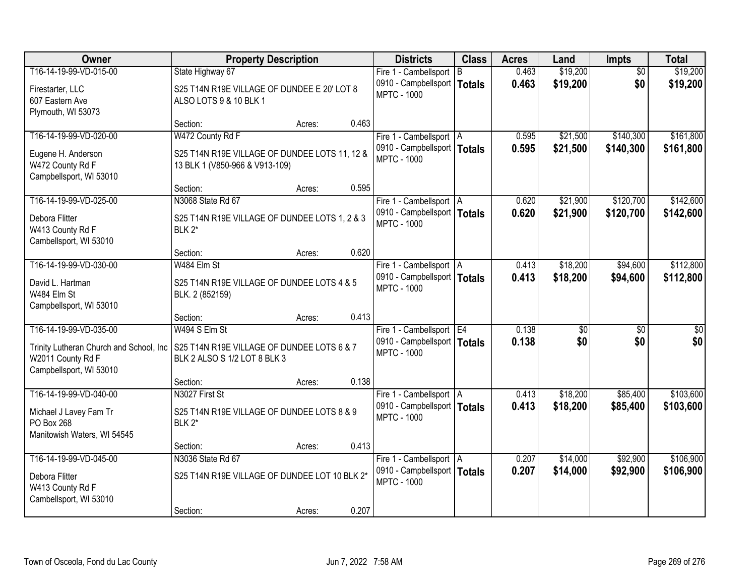| <b>Owner</b>                            | <b>Property Description</b>                   |                 | <b>Districts</b>              | <b>Class</b> | <b>Acres</b> | Land            | <b>Impts</b>    | <b>Total</b>    |
|-----------------------------------------|-----------------------------------------------|-----------------|-------------------------------|--------------|--------------|-----------------|-----------------|-----------------|
| T16-14-19-99-VD-015-00                  | State Highway 67                              |                 | Fire 1 - Cambellsport B       |              | 0.463        | \$19,200        | $\overline{50}$ | \$19,200        |
| Firestarter, LLC                        | S25 T14N R19E VILLAGE OF DUNDEE E 20' LOT 8   |                 | 0910 - Campbellsport   Totals |              | 0.463        | \$19,200        | \$0             | \$19,200        |
| 607 Eastern Ave                         | ALSO LOTS 9 & 10 BLK 1                        |                 | <b>MPTC - 1000</b>            |              |              |                 |                 |                 |
| Plymouth, WI 53073                      |                                               |                 |                               |              |              |                 |                 |                 |
|                                         | Section:                                      | 0.463<br>Acres: |                               |              |              |                 |                 |                 |
| T16-14-19-99-VD-020-00                  | W472 County Rd F                              |                 | Fire 1 - Cambellsport   A     |              | 0.595        | \$21,500        | \$140,300       | \$161,800       |
| Eugene H. Anderson                      | S25 T14N R19E VILLAGE OF DUNDEE LOTS 11, 12 & |                 | 0910 - Campbellsport   Totals |              | 0.595        | \$21,500        | \$140,300       | \$161,800       |
| W472 County Rd F                        | 13 BLK 1 (V850-966 & V913-109)                |                 | <b>MPTC - 1000</b>            |              |              |                 |                 |                 |
| Campbellsport, WI 53010                 |                                               |                 |                               |              |              |                 |                 |                 |
|                                         | Section:                                      | 0.595<br>Acres: |                               |              |              |                 |                 |                 |
| T16-14-19-99-VD-025-00                  | N3068 State Rd 67                             |                 | Fire 1 - Cambellsport   A     |              | 0.620        | \$21,900        | \$120,700       | \$142,600       |
| Debora Flitter                          | S25 T14N R19E VILLAGE OF DUNDEE LOTS 1, 2 & 3 |                 | 0910 - Campbellsport   Totals |              | 0.620        | \$21,900        | \$120,700       | \$142,600       |
| W413 County Rd F                        | BLK 2*                                        |                 | <b>MPTC - 1000</b>            |              |              |                 |                 |                 |
| Cambellsport, WI 53010                  |                                               |                 |                               |              |              |                 |                 |                 |
|                                         | Section:                                      | 0.620<br>Acres: |                               |              |              |                 |                 |                 |
| T16-14-19-99-VD-030-00                  | W484 Elm St                                   |                 | Fire 1 - Cambellsport   A     |              | 0.413        | \$18,200        | \$94,600        | \$112,800       |
| David L. Hartman                        | S25 T14N R19E VILLAGE OF DUNDEE LOTS 4 & 5    |                 | 0910 - Campbellsport   Totals |              | 0.413        | \$18,200        | \$94,600        | \$112,800       |
| W484 Elm St                             | BLK. 2 (852159)                               |                 | <b>MPTC - 1000</b>            |              |              |                 |                 |                 |
| Campbellsport, WI 53010                 |                                               |                 |                               |              |              |                 |                 |                 |
|                                         | Section:                                      | 0.413<br>Acres: |                               |              |              |                 |                 |                 |
| T16-14-19-99-VD-035-00                  | W494 S Elm St                                 |                 | Fire 1 - Cambellsport E4      |              | 0.138        | $\overline{50}$ | $\overline{50}$ | $\overline{50}$ |
| Trinity Lutheran Church and School, Inc | S25 T14N R19E VILLAGE OF DUNDEE LOTS 6 & 7    |                 | 0910 - Campbellsport   Totals |              | 0.138        | \$0             | \$0             | \$0             |
| W2011 County Rd F                       | BLK 2 ALSO S 1/2 LOT 8 BLK 3                  |                 | <b>MPTC - 1000</b>            |              |              |                 |                 |                 |
| Campbellsport, WI 53010                 |                                               |                 |                               |              |              |                 |                 |                 |
|                                         | Section:                                      | 0.138<br>Acres: |                               |              |              |                 |                 |                 |
| T16-14-19-99-VD-040-00                  | N3027 First St                                |                 | Fire 1 - Cambellsport   A     |              | 0.413        | \$18,200        | \$85,400        | \$103,600       |
| Michael J Lavey Fam Tr                  | S25 T14N R19E VILLAGE OF DUNDEE LOTS 8 & 9    |                 | 0910 - Campbellsport   Totals |              | 0.413        | \$18,200        | \$85,400        | \$103,600       |
| PO Box 268                              | BLK 2*                                        |                 | <b>MPTC - 1000</b>            |              |              |                 |                 |                 |
| Manitowish Waters, WI 54545             |                                               |                 |                               |              |              |                 |                 |                 |
|                                         | Section:                                      | 0.413<br>Acres: |                               |              |              |                 |                 |                 |
| T16-14-19-99-VD-045-00                  | N3036 State Rd 67                             |                 | Fire 1 - Cambellsport   A     |              | 0.207        | \$14,000        | \$92,900        | \$106,900       |
| Debora Flitter                          | S25 T14N R19E VILLAGE OF DUNDEE LOT 10 BLK 2* |                 | 0910 - Campbellsport   Totals |              | 0.207        | \$14,000        | \$92,900        | \$106,900       |
| W413 County Rd F                        |                                               |                 | <b>MPTC - 1000</b>            |              |              |                 |                 |                 |
| Cambellsport, WI 53010                  |                                               |                 |                               |              |              |                 |                 |                 |
|                                         | Section:                                      | 0.207<br>Acres: |                               |              |              |                 |                 |                 |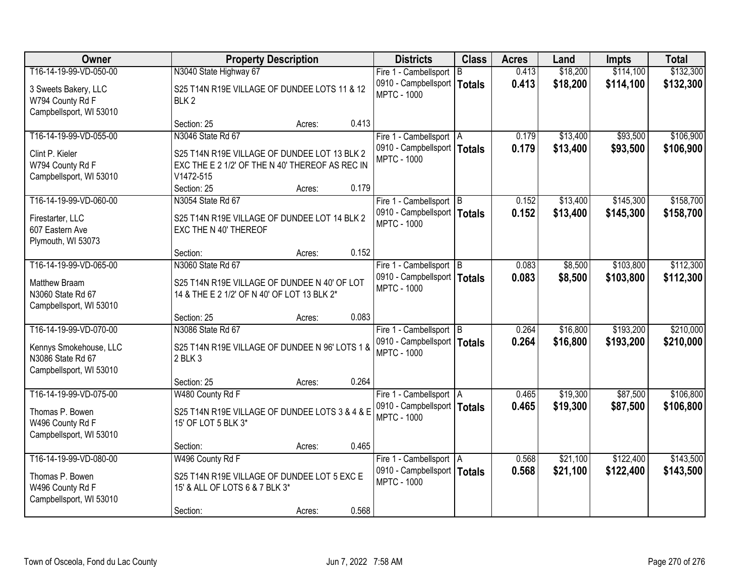| Owner                   | <b>Property Description</b>                     | <b>Districts</b>                                    | <b>Class</b> | <b>Acres</b> | Land     | <b>Impts</b> | <b>Total</b> |
|-------------------------|-------------------------------------------------|-----------------------------------------------------|--------------|--------------|----------|--------------|--------------|
| T16-14-19-99-VD-050-00  | N3040 State Highway 67                          | Fire 1 - Cambellsport                               | B            | 0.413        | \$18,200 | \$114,100    | \$132,300    |
| 3 Sweets Bakery, LLC    | S25 T14N R19E VILLAGE OF DUNDEE LOTS 11 & 12    | 0910 - Campbellsport   Totals                       |              | 0.413        | \$18,200 | \$114,100    | \$132,300    |
| W794 County Rd F        | BLK <sub>2</sub>                                | <b>MPTC - 1000</b>                                  |              |              |          |              |              |
| Campbellsport, WI 53010 |                                                 |                                                     |              |              |          |              |              |
|                         | 0.413<br>Section: 25<br>Acres:                  |                                                     |              |              |          |              |              |
| T16-14-19-99-VD-055-00  | N3046 State Rd 67                               | Fire 1 - Cambellsport   A                           |              | 0.179        | \$13,400 | \$93,500     | \$106,900    |
| Clint P. Kieler         | S25 T14N R19E VILLAGE OF DUNDEE LOT 13 BLK 2    | 0910 - Campbellsport   Totals                       |              | 0.179        | \$13,400 | \$93,500     | \$106,900    |
| W794 County Rd F        | EXC THE E 2 1/2' OF THE N 40' THEREOF AS REC IN | <b>MPTC - 1000</b>                                  |              |              |          |              |              |
| Campbellsport, WI 53010 | V1472-515                                       |                                                     |              |              |          |              |              |
|                         | 0.179<br>Section: 25<br>Acres:                  |                                                     |              |              |          |              |              |
| T16-14-19-99-VD-060-00  | N3054 State Rd 67                               | Fire 1 - Cambellsport B                             |              | 0.152        | \$13,400 | \$145,300    | \$158,700    |
| Firestarter, LLC        | S25 T14N R19E VILLAGE OF DUNDEE LOT 14 BLK 2    | 0910 - Campbellsport   Totals                       |              | 0.152        | \$13,400 | \$145,300    | \$158,700    |
| 607 Eastern Ave         | EXC THE N 40' THEREOF                           | <b>MPTC - 1000</b>                                  |              |              |          |              |              |
| Plymouth, WI 53073      |                                                 |                                                     |              |              |          |              |              |
|                         | 0.152<br>Section:<br>Acres:                     |                                                     |              |              |          |              |              |
| T16-14-19-99-VD-065-00  | N3060 State Rd 67                               | Fire 1 - Cambellsport B                             |              | 0.083        | \$8,500  | \$103,800    | \$112,300    |
| Matthew Braam           | S25 T14N R19E VILLAGE OF DUNDEE N 40' OF LOT    | 0910 - Campbellsport   Totals                       |              | 0.083        | \$8,500  | \$103,800    | \$112,300    |
| N3060 State Rd 67       | 14 & THE E 2 1/2' OF N 40' OF LOT 13 BLK 2*     | <b>MPTC - 1000</b>                                  |              |              |          |              |              |
| Campbellsport, WI 53010 |                                                 |                                                     |              |              |          |              |              |
|                         | 0.083<br>Section: 25<br>Acres:                  |                                                     |              |              |          |              |              |
| T16-14-19-99-VD-070-00  | N3086 State Rd 67                               | Fire 1 - Cambellsport B                             |              | 0.264        | \$16,800 | \$193,200    | \$210,000    |
| Kennys Smokehouse, LLC  | S25 T14N R19E VILLAGE OF DUNDEE N 96' LOTS 1 &  | 0910 - Campbellsport   Totals<br><b>MPTC - 1000</b> |              | 0.264        | \$16,800 | \$193,200    | \$210,000    |
| N3086 State Rd 67       | 2 BLK 3                                         |                                                     |              |              |          |              |              |
| Campbellsport, WI 53010 |                                                 |                                                     |              |              |          |              |              |
|                         | 0.264<br>Section: 25<br>Acres:                  |                                                     |              |              |          |              |              |
| T16-14-19-99-VD-075-00  | W480 County Rd F                                | Fire 1 - Cambellsport   A                           |              | 0.465        | \$19,300 | \$87,500     | \$106,800    |
| Thomas P. Bowen         | S25 T14N R19E VILLAGE OF DUNDEE LOTS 3 & 4 & E  | 0910 - Campbellsport   Totals<br><b>MPTC - 1000</b> |              | 0.465        | \$19,300 | \$87,500     | \$106,800    |
| W496 County Rd F        | 15' OF LOT 5 BLK 3*                             |                                                     |              |              |          |              |              |
| Campbellsport, WI 53010 |                                                 |                                                     |              |              |          |              |              |
|                         | 0.465<br>Section:<br>Acres:                     |                                                     |              |              |          |              |              |
| T16-14-19-99-VD-080-00  | W496 County Rd F                                | Fire 1 - Cambellsport A                             |              | 0.568        | \$21,100 | \$122,400    | \$143,500    |
| Thomas P. Bowen         | S25 T14N R19E VILLAGE OF DUNDEE LOT 5 EXC E     | 0910 - Campbellsport   Totals<br><b>MPTC - 1000</b> |              | 0.568        | \$21,100 | \$122,400    | \$143,500    |
| W496 County Rd F        | 15' & ALL OF LOTS 6 & 7 BLK 3*                  |                                                     |              |              |          |              |              |
| Campbellsport, WI 53010 |                                                 |                                                     |              |              |          |              |              |
|                         | 0.568<br>Section:<br>Acres:                     |                                                     |              |              |          |              |              |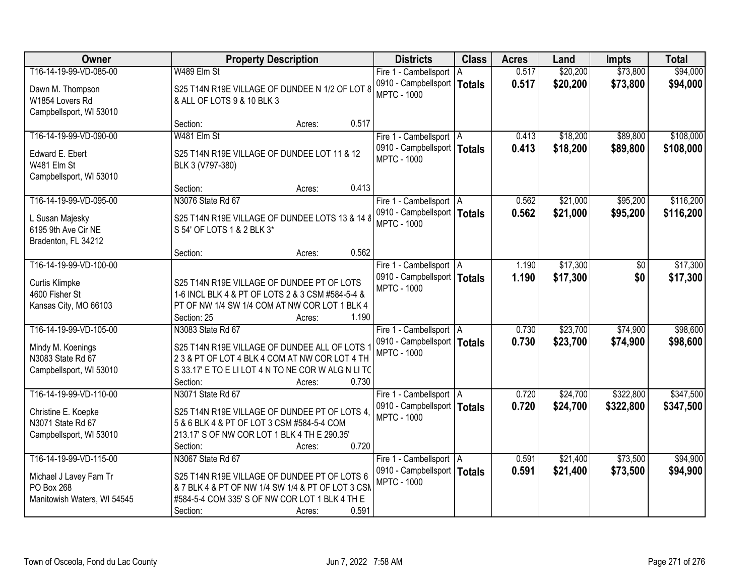| Owner                       | <b>Property Description</b>                        | <b>Districts</b>              | <b>Class</b>  | <b>Acres</b> | Land     | <b>Impts</b> | <b>Total</b> |
|-----------------------------|----------------------------------------------------|-------------------------------|---------------|--------------|----------|--------------|--------------|
| T16-14-19-99-VD-085-00      | W489 Elm St                                        | Fire 1 - Cambellsport   A     |               | 0.517        | \$20,200 | \$73,800     | \$94,000     |
| Dawn M. Thompson            | S25 T14N R19E VILLAGE OF DUNDEE N 1/2 OF LOT 8     | 0910 - Campbellsport          | <b>Totals</b> | 0.517        | \$20,200 | \$73,800     | \$94,000     |
| W1854 Lovers Rd             | & ALL OF LOTS 9 & 10 BLK 3                         | <b>MPTC - 1000</b>            |               |              |          |              |              |
| Campbellsport, WI 53010     |                                                    |                               |               |              |          |              |              |
|                             | 0.517<br>Section:<br>Acres:                        |                               |               |              |          |              |              |
| T16-14-19-99-VD-090-00      | W481 Elm St                                        | Fire 1 - Cambellsport   A     |               | 0.413        | \$18,200 | \$89,800     | \$108,000    |
| Edward E. Ebert             | S25 T14N R19E VILLAGE OF DUNDEE LOT 11 & 12        | 0910 - Campbellsport   Totals |               | 0.413        | \$18,200 | \$89,800     | \$108,000    |
| W481 Elm St                 | BLK 3 (V797-380)                                   | <b>MPTC - 1000</b>            |               |              |          |              |              |
| Campbellsport, WI 53010     |                                                    |                               |               |              |          |              |              |
|                             | 0.413<br>Section:<br>Acres:                        |                               |               |              |          |              |              |
| T16-14-19-99-VD-095-00      | N3076 State Rd 67                                  | Fire 1 - Cambellsport   A     |               | 0.562        | \$21,000 | \$95,200     | \$116,200    |
| L Susan Majesky             | S25 T14N R19E VILLAGE OF DUNDEE LOTS 13 & 14 8     | 0910 - Campbellsport   Totals |               | 0.562        | \$21,000 | \$95,200     | \$116,200    |
| 6195 9th Ave Cir NE         | S 54' OF LOTS 1 & 2 BLK 3*                         | <b>MPTC - 1000</b>            |               |              |          |              |              |
| Bradenton, FL 34212         |                                                    |                               |               |              |          |              |              |
|                             | 0.562<br>Section:<br>Acres:                        |                               |               |              |          |              |              |
| T16-14-19-99-VD-100-00      |                                                    | Fire 1 - Cambellsport   A     |               | 1.190        | \$17,300 | \$0          | \$17,300     |
| <b>Curtis Klimpke</b>       | S25 T14N R19E VILLAGE OF DUNDEE PT OF LOTS         | 0910 - Campbellsport   Totals |               | 1.190        | \$17,300 | \$0          | \$17,300     |
| 4600 Fisher St              | 1-6 INCL BLK 4 & PT OF LOTS 2 & 3 CSM #584-5-4 &   | <b>MPTC - 1000</b>            |               |              |          |              |              |
| Kansas City, MO 66103       | PT OF NW 1/4 SW 1/4 COM AT NW COR LOT 1 BLK 4      |                               |               |              |          |              |              |
|                             | 1.190<br>Section: 25<br>Acres:                     |                               |               |              |          |              |              |
| T16-14-19-99-VD-105-00      | N3083 State Rd 67                                  | Fire 1 - Cambellsport   A     |               | 0.730        | \$23,700 | \$74,900     | \$98,600     |
| Mindy M. Koenings           | S25 T14N R19E VILLAGE OF DUNDEE ALL OF LOTS 1      | 0910 - Campbellsport   Totals |               | 0.730        | \$23,700 | \$74,900     | \$98,600     |
| N3083 State Rd 67           | 23 & PT OF LOT 4 BLK 4 COM AT NW COR LOT 4 TH      | <b>MPTC - 1000</b>            |               |              |          |              |              |
| Campbellsport, WI 53010     | S 33.17' E TO E LI LOT 4 N TO NE COR W ALG N LI TC |                               |               |              |          |              |              |
|                             | 0.730<br>Section:<br>Acres:                        |                               |               |              |          |              |              |
| T16-14-19-99-VD-110-00      | N3071 State Rd 67                                  | Fire 1 - Cambellsport A       |               | 0.720        | \$24,700 | \$322,800    | \$347,500    |
| Christine E. Koepke         | S25 T14N R19E VILLAGE OF DUNDEE PT OF LOTS 4.      | 0910 - Campbellsport   Totals |               | 0.720        | \$24,700 | \$322,800    | \$347,500    |
| N3071 State Rd 67           | 5 & 6 BLK 4 & PT OF LOT 3 CSM #584-5-4 COM         | <b>MPTC - 1000</b>            |               |              |          |              |              |
| Campbellsport, WI 53010     | 213.17' S OF NW COR LOT 1 BLK 4 TH E 290.35'       |                               |               |              |          |              |              |
|                             | 0.720<br>Section:<br>Acres:                        |                               |               |              |          |              |              |
| T16-14-19-99-VD-115-00      | N3067 State Rd 67                                  | Fire 1 - Cambellsport   A     |               | 0.591        | \$21,400 | \$73,500     | \$94,900     |
| Michael J Lavey Fam Tr      | S25 T14N R19E VILLAGE OF DUNDEE PT OF LOTS 6       | 0910 - Campbellsport   Totals |               | 0.591        | \$21,400 | \$73,500     | \$94,900     |
| PO Box 268                  | & 7 BLK 4 & PT OF NW 1/4 SW 1/4 & PT OF LOT 3 CSM  | <b>MPTC - 1000</b>            |               |              |          |              |              |
| Manitowish Waters, WI 54545 | #584-5-4 COM 335' S OF NW COR LOT 1 BLK 4 TH E     |                               |               |              |          |              |              |
|                             | 0.591<br>Section:<br>Acres:                        |                               |               |              |          |              |              |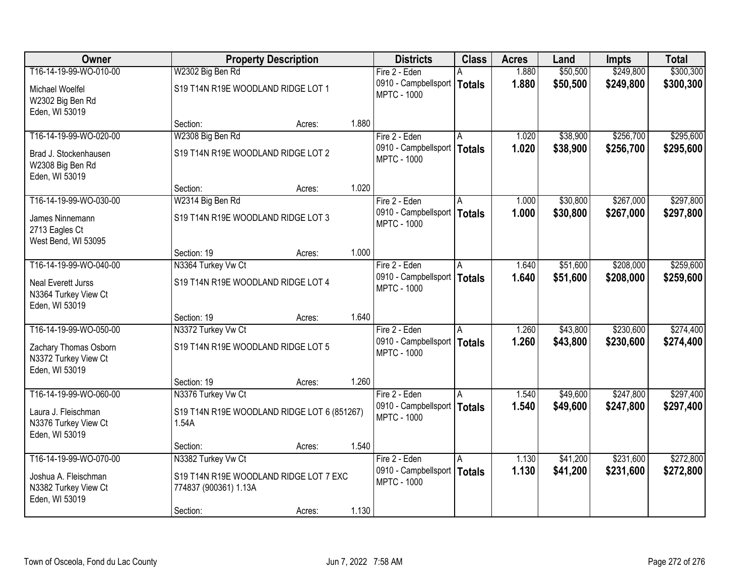| Owner                                                               |                                                                 | <b>Property Description</b> |       | <b>Districts</b>                                    | <b>Class</b> | <b>Acres</b> | Land     | <b>Impts</b> | <b>Total</b> |
|---------------------------------------------------------------------|-----------------------------------------------------------------|-----------------------------|-------|-----------------------------------------------------|--------------|--------------|----------|--------------|--------------|
| T16-14-19-99-WO-010-00                                              | W2302 Big Ben Rd                                                |                             |       | Fire 2 - Eden                                       |              | 1.880        | \$50,500 | \$249,800    | \$300,300    |
| Michael Woelfel<br>W2302 Big Ben Rd                                 | S19 T14N R19E WOODLAND RIDGE LOT 1                              |                             |       | 0910 - Campbellsport   Totals<br><b>MPTC - 1000</b> |              | 1.880        | \$50,500 | \$249,800    | \$300,300    |
| Eden, WI 53019                                                      | Section:                                                        |                             | 1.880 |                                                     |              |              |          |              |              |
| T16-14-19-99-WO-020-00                                              | W2308 Big Ben Rd                                                | Acres:                      |       | Fire 2 - Eden                                       |              | 1.020        | \$38,900 | \$256,700    | \$295,600    |
|                                                                     |                                                                 |                             |       | 0910 - Campbellsport   Totals                       |              | 1.020        | \$38,900 |              |              |
| Brad J. Stockenhausen<br>W2308 Big Ben Rd<br>Eden, WI 53019         | S19 T14N R19E WOODLAND RIDGE LOT 2                              |                             |       | <b>MPTC - 1000</b>                                  |              |              |          | \$256,700    | \$295,600    |
|                                                                     | Section:                                                        | Acres:                      | 1.020 |                                                     |              |              |          |              |              |
| T16-14-19-99-WO-030-00                                              | W2314 Big Ben Rd                                                |                             |       | Fire 2 - Eden                                       | IA.          | 1.000        | \$30,800 | \$267,000    | \$297,800    |
| James Ninnemann<br>2713 Eagles Ct                                   | S19 T14N R19E WOODLAND RIDGE LOT 3                              |                             |       | 0910 - Campbellsport   Totals<br><b>MPTC - 1000</b> |              | 1.000        | \$30,800 | \$267,000    | \$297,800    |
| West Bend, WI 53095                                                 |                                                                 |                             |       |                                                     |              |              |          |              |              |
| T16-14-19-99-WO-040-00                                              | Section: 19                                                     | Acres:                      | 1.000 |                                                     |              |              |          |              |              |
|                                                                     | N3364 Turkey Vw Ct                                              |                             |       | Fire 2 - Eden                                       | ΙA           | 1.640        | \$51,600 | \$208,000    | \$259,600    |
| <b>Neal Everett Jurss</b><br>N3364 Turkey View Ct<br>Eden, WI 53019 | S19 T14N R19E WOODLAND RIDGE LOT 4                              |                             |       | 0910 - Campbellsport   Totals<br><b>MPTC - 1000</b> |              | 1.640        | \$51,600 | \$208,000    | \$259,600    |
|                                                                     | Section: 19                                                     | Acres:                      | 1.640 |                                                     |              |              |          |              |              |
| T16-14-19-99-WO-050-00                                              | N3372 Turkey Vw Ct                                              |                             |       | Fire 2 - Eden                                       | A            | 1.260        | \$43,800 | \$230,600    | \$274,400    |
| Zachary Thomas Osborn<br>N3372 Turkey View Ct<br>Eden, WI 53019     | S19 T14N R19E WOODLAND RIDGE LOT 5                              |                             |       | 0910 - Campbellsport   Totals<br><b>MPTC - 1000</b> |              | 1.260        | \$43,800 | \$230,600    | \$274,400    |
|                                                                     | Section: 19                                                     | Acres:                      | 1.260 |                                                     |              |              |          |              |              |
| T16-14-19-99-WO-060-00                                              | N3376 Turkey Vw Ct                                              |                             |       | Fire 2 - Eden                                       | A            | 1.540        | \$49,600 | \$247,800    | \$297,400    |
| Laura J. Fleischman<br>N3376 Turkey View Ct<br>Eden, WI 53019       | S19 T14N R19E WOODLAND RIDGE LOT 6 (851267)<br>1.54A            |                             |       | 0910 - Campbellsport   Totals<br><b>MPTC - 1000</b> |              | 1.540        | \$49,600 | \$247,800    | \$297,400    |
|                                                                     | Section:                                                        | Acres:                      | 1.540 |                                                     |              |              |          |              |              |
| T16-14-19-99-WO-070-00                                              | N3382 Turkey Vw Ct                                              |                             |       | Fire 2 - Eden                                       | A            | 1.130        | \$41,200 | \$231,600    | \$272,800    |
| Joshua A. Fleischman<br>N3382 Turkey View Ct<br>Eden, WI 53019      | S19 T14N R19E WOODLAND RIDGE LOT 7 EXC<br>774837 (900361) 1.13A |                             |       | 0910 - Campbellsport   Totals<br><b>MPTC - 1000</b> |              | 1.130        | \$41,200 | \$231,600    | \$272,800    |
|                                                                     | Section:                                                        | Acres:                      | 1.130 |                                                     |              |              |          |              |              |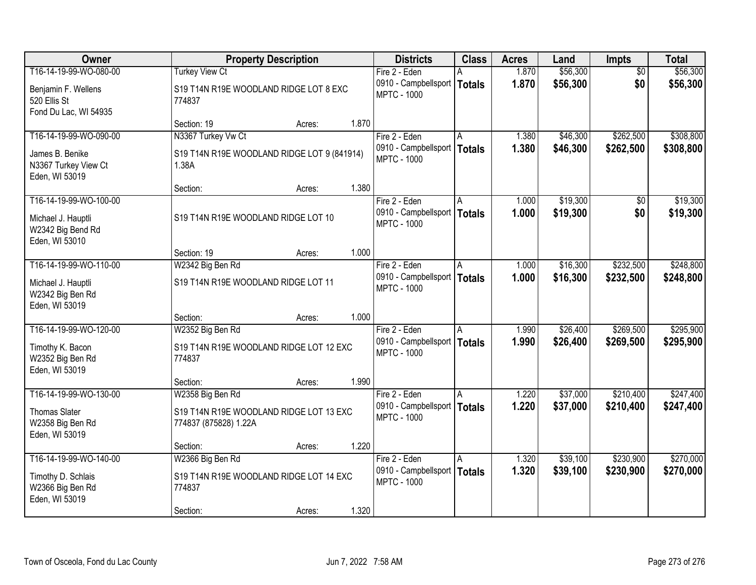| Owner                                                        |                                                                  | <b>Property Description</b> |       |                                                     | <b>Class</b> | <b>Acres</b>   | Land                 | <b>Impts</b>           | <b>Total</b>           |
|--------------------------------------------------------------|------------------------------------------------------------------|-----------------------------|-------|-----------------------------------------------------|--------------|----------------|----------------------|------------------------|------------------------|
| T16-14-19-99-WO-080-00                                       | <b>Turkey View Ct</b>                                            |                             |       | Fire 2 - Eden                                       |              | 1.870          | \$56,300             | $\overline{50}$        | \$56,300               |
| Benjamin F. Wellens<br>520 Ellis St<br>Fond Du Lac, WI 54935 | S19 T14N R19E WOODLAND RIDGE LOT 8 EXC<br>774837                 |                             |       | 0910 - Campbellsport   Totals<br><b>MPTC - 1000</b> |              | 1.870          | \$56,300             | \$0                    | \$56,300               |
|                                                              | Section: 19                                                      | Acres:                      | 1.870 |                                                     |              |                |                      |                        |                        |
| T16-14-19-99-WO-090-00                                       | N3367 Turkey Vw Ct                                               |                             |       | Fire 2 - Eden<br>0910 - Campbellsport   Totals      |              | 1.380<br>1.380 | \$46,300<br>\$46,300 | \$262,500<br>\$262,500 | \$308,800<br>\$308,800 |
| James B. Benike<br>N3367 Turkey View Ct<br>Eden, WI 53019    | S19 T14N R19E WOODLAND RIDGE LOT 9 (841914)<br>1.38A             |                             |       | <b>MPTC - 1000</b>                                  |              |                |                      |                        |                        |
|                                                              | Section:                                                         | Acres:                      | 1.380 |                                                     |              |                |                      |                        |                        |
| T16-14-19-99-WO-100-00                                       |                                                                  |                             |       | Fire 2 - Eden                                       | ΙA           | 1.000          | \$19,300             | \$0                    | \$19,300               |
| Michael J. Hauptli<br>W2342 Big Bend Rd<br>Eden, WI 53010    | S19 T14N R19E WOODLAND RIDGE LOT 10                              |                             |       | 0910 - Campbellsport   Totals<br><b>MPTC - 1000</b> |              | 1.000          | \$19,300             | \$0                    | \$19,300               |
|                                                              | Section: 19                                                      | Acres:                      | 1.000 |                                                     |              |                |                      |                        |                        |
| T16-14-19-99-WO-110-00                                       | W2342 Big Ben Rd                                                 |                             |       | Fire 2 - Eden                                       | I A          | 1.000          | \$16,300             | \$232,500              | \$248,800              |
| Michael J. Hauptli<br>W2342 Big Ben Rd<br>Eden, WI 53019     | S19 T14N R19E WOODLAND RIDGE LOT 11                              |                             |       | 0910 - Campbellsport   Totals<br><b>MPTC - 1000</b> |              | 1.000          | \$16,300             | \$232,500              | \$248,800              |
|                                                              | Section:                                                         | Acres:                      | 1.000 |                                                     |              |                |                      |                        |                        |
| T16-14-19-99-WO-120-00                                       | W2352 Big Ben Rd                                                 |                             |       | Fire 2 - Eden                                       | A            | 1.990          | \$26,400             | \$269,500              | \$295,900              |
| Timothy K. Bacon<br>W2352 Big Ben Rd<br>Eden, WI 53019       | S19 T14N R19E WOODLAND RIDGE LOT 12 EXC<br>774837                |                             |       | 0910 - Campbellsport   Totals<br><b>MPTC - 1000</b> |              | 1.990          | \$26,400             | \$269,500              | \$295,900              |
|                                                              | Section:                                                         | Acres:                      | 1.990 |                                                     |              |                |                      |                        |                        |
| T16-14-19-99-WO-130-00                                       | W2358 Big Ben Rd                                                 |                             |       | Fire 2 - Eden                                       | A            | 1.220          | \$37,000             | \$210,400              | \$247,400              |
| <b>Thomas Slater</b><br>W2358 Big Ben Rd<br>Eden, WI 53019   | S19 T14N R19E WOODLAND RIDGE LOT 13 EXC<br>774837 (875828) 1.22A |                             |       | 0910 - Campbellsport   Totals<br><b>MPTC - 1000</b> |              | 1.220          | \$37,000             | \$210,400              | \$247,400              |
|                                                              | Section:                                                         | Acres:                      | 1.220 |                                                     |              |                |                      |                        |                        |
| T16-14-19-99-WO-140-00                                       | W2366 Big Ben Rd                                                 |                             |       | Fire 2 - Eden                                       | A            | 1.320          | \$39,100             | \$230,900              | \$270,000              |
| Timothy D. Schlais<br>W2366 Big Ben Rd<br>Eden, WI 53019     | S19 T14N R19E WOODLAND RIDGE LOT 14 EXC<br>774837                |                             |       | 0910 - Campbellsport   Totals<br><b>MPTC - 1000</b> |              | 1.320          | \$39,100             | \$230,900              | \$270,000              |
|                                                              | Section:                                                         | Acres:                      | 1.320 |                                                     |              |                |                      |                        |                        |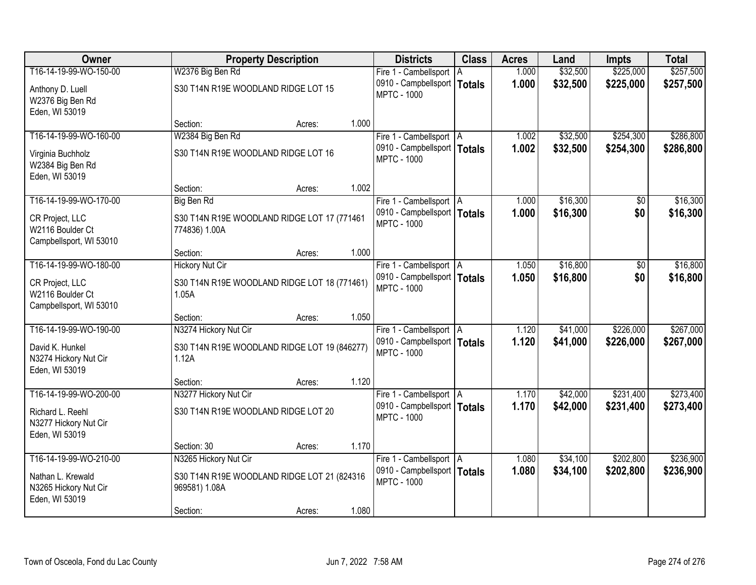| Owner                                                          |                                                              | <b>Property Description</b> |       |                                                     | <b>Class</b> | <b>Acres</b> | Land     | <b>Impts</b> | <b>Total</b> |
|----------------------------------------------------------------|--------------------------------------------------------------|-----------------------------|-------|-----------------------------------------------------|--------------|--------------|----------|--------------|--------------|
| T16-14-19-99-WO-150-00                                         | W2376 Big Ben Rd                                             |                             |       | Fire 1 - Cambellsport                               | l A          | 1.000        | \$32,500 | \$225,000    | \$257,500    |
| Anthony D. Luell<br>W2376 Big Ben Rd                           | S30 T14N R19E WOODLAND RIDGE LOT 15                          |                             |       | 0910 - Campbellsport   Totals<br><b>MPTC - 1000</b> |              | 1.000        | \$32,500 | \$225,000    | \$257,500    |
| Eden, WI 53019                                                 |                                                              |                             |       |                                                     |              |              |          |              |              |
|                                                                | Section:                                                     | Acres:                      | 1.000 |                                                     |              |              |          |              |              |
| T16-14-19-99-WO-160-00                                         | W2384 Big Ben Rd                                             |                             |       | Fire 1 - Cambellsport   A                           |              | 1.002        | \$32,500 | \$254,300    | \$286,800    |
| Virginia Buchholz<br>W2384 Big Ben Rd<br>Eden, WI 53019        | S30 T14N R19E WOODLAND RIDGE LOT 16                          |                             |       | 0910 - Campbellsport   Totals<br><b>MPTC - 1000</b> |              | 1.002        | \$32,500 | \$254,300    | \$286,800    |
|                                                                | Section:                                                     | Acres:                      | 1.002 |                                                     |              |              |          |              |              |
| T16-14-19-99-WO-170-00                                         | Big Ben Rd                                                   |                             |       | Fire 1 - Cambellsport   A                           |              | 1.000        | \$16,300 | $\sqrt{6}$   | \$16,300     |
| CR Project, LLC<br>W2116 Boulder Ct<br>Campbellsport, WI 53010 | S30 T14N R19E WOODLAND RIDGE LOT 17 (771461<br>774836) 1.00A |                             |       | 0910 - Campbellsport   Totals<br><b>MPTC - 1000</b> |              | 1.000        | \$16,300 | \$0          | \$16,300     |
|                                                                | Section:                                                     | Acres:                      | 1.000 |                                                     |              |              |          |              |              |
| T16-14-19-99-WO-180-00                                         | <b>Hickory Nut Cir</b>                                       |                             |       | Fire 1 - Cambellsport   A                           |              | 1.050        | \$16,800 | $\sqrt[6]{}$ | \$16,800     |
| CR Project, LLC<br>W2116 Boulder Ct<br>Campbellsport, WI 53010 | S30 T14N R19E WOODLAND RIDGE LOT 18 (771461)<br>1.05A        |                             |       | 0910 - Campbellsport   Totals<br><b>MPTC - 1000</b> |              | 1.050        | \$16,800 | \$0          | \$16,800     |
|                                                                | Section:                                                     | Acres:                      | 1.050 |                                                     |              |              |          |              |              |
| T16-14-19-99-WO-190-00                                         | N3274 Hickory Nut Cir                                        |                             |       | Fire 1 - Cambellsport   A                           |              | 1.120        | \$41,000 | \$226,000    | \$267,000    |
| David K. Hunkel<br>N3274 Hickory Nut Cir<br>Eden, WI 53019     | S30 T14N R19E WOODLAND RIDGE LOT 19 (846277)<br>1.12A        |                             |       | 0910 - Campbellsport   Totals<br><b>MPTC - 1000</b> |              | 1.120        | \$41,000 | \$226,000    | \$267,000    |
|                                                                | Section:                                                     | Acres:                      | 1.120 |                                                     |              |              |          |              |              |
| T16-14-19-99-WO-200-00                                         | N3277 Hickory Nut Cir                                        |                             |       | Fire 1 - Cambellsport   A                           |              | 1.170        | \$42,000 | \$231,400    | \$273,400    |
| Richard L. Reehl<br>N3277 Hickory Nut Cir<br>Eden, WI 53019    | S30 T14N R19E WOODLAND RIDGE LOT 20                          |                             |       | 0910 - Campbellsport   Totals<br><b>MPTC - 1000</b> |              | 1.170        | \$42,000 | \$231,400    | \$273,400    |
|                                                                | Section: 30                                                  | Acres:                      | 1.170 |                                                     |              |              |          |              |              |
| T16-14-19-99-WO-210-00                                         | N3265 Hickory Nut Cir                                        |                             |       | Fire 1 - Cambellsport   A                           |              | 1.080        | \$34,100 | \$202,800    | \$236,900    |
| Nathan L. Krewald<br>N3265 Hickory Nut Cir<br>Eden, WI 53019   | S30 T14N R19E WOODLAND RIDGE LOT 21 (824316<br>969581) 1.08A |                             |       | 0910 - Campbellsport   Totals<br><b>MPTC - 1000</b> |              | 1.080        | \$34,100 | \$202,800    | \$236,900    |
|                                                                | Section:                                                     | Acres:                      | 1.080 |                                                     |              |              |          |              |              |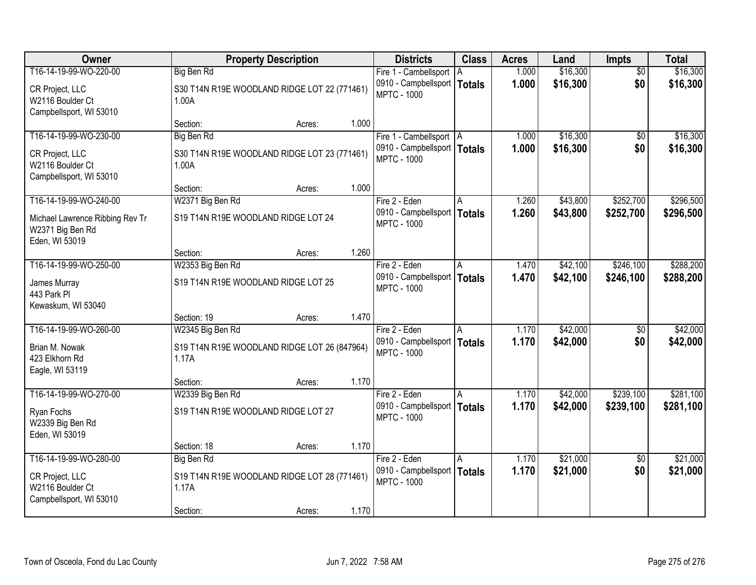| Owner                                                                 | <b>Property Description</b>                           | <b>Districts</b> | <b>Class</b>                                        | <b>Acres</b> | Land  | <b>Impts</b> | <b>Total</b>    |           |
|-----------------------------------------------------------------------|-------------------------------------------------------|------------------|-----------------------------------------------------|--------------|-------|--------------|-----------------|-----------|
| T16-14-19-99-WO-220-00                                                | Big Ben Rd                                            |                  | Fire 1 - Cambellsport                               | A            | 1.000 | \$16,300     | $\overline{30}$ | \$16,300  |
| CR Project, LLC<br>W2116 Boulder Ct<br>Campbellsport, WI 53010        | S30 T14N R19E WOODLAND RIDGE LOT 22 (771461)<br>1.00A |                  | 0910 - Campbellsport   Totals<br><b>MPTC - 1000</b> |              | 1.000 | \$16,300     | \$0             | \$16,300  |
|                                                                       | Section:                                              | Acres:           | 1.000                                               |              |       |              |                 |           |
| T16-14-19-99-WO-230-00                                                | <b>Big Ben Rd</b>                                     |                  | Fire 1 - Cambellsport   A                           |              | 1.000 | \$16,300     | $\overline{50}$ | \$16,300  |
| CR Project, LLC<br>W2116 Boulder Ct<br>Campbellsport, WI 53010        | S30 T14N R19E WOODLAND RIDGE LOT 23 (771461)<br>1.00A |                  | 0910 - Campbellsport   Totals<br><b>MPTC - 1000</b> |              | 1.000 | \$16,300     | \$0             | \$16,300  |
|                                                                       | Section:                                              | Acres:           | 1.000                                               |              |       |              |                 |           |
| T16-14-19-99-WO-240-00                                                | W2371 Big Ben Rd                                      |                  | Fire 2 - Eden                                       | A            | 1.260 | \$43,800     | \$252,700       | \$296,500 |
| Michael Lawrence Ribbing Rev Tr<br>W2371 Big Ben Rd<br>Eden, WI 53019 | S19 T14N R19E WOODLAND RIDGE LOT 24                   |                  | 0910 - Campbellsport   Totals<br><b>MPTC - 1000</b> |              | 1.260 | \$43,800     | \$252,700       | \$296,500 |
|                                                                       | Section:                                              | Acres:           | 1.260                                               |              |       |              |                 |           |
| T16-14-19-99-WO-250-00                                                | W2353 Big Ben Rd                                      |                  | Fire 2 - Eden                                       | A            | 1.470 | \$42,100     | \$246,100       | \$288,200 |
| James Murray<br>443 Park Pl<br>Kewaskum, WI 53040                     | S19 T14N R19E WOODLAND RIDGE LOT 25                   |                  | 0910 - Campbellsport   Totals<br><b>MPTC - 1000</b> |              | 1.470 | \$42,100     | \$246,100       | \$288,200 |
|                                                                       | Section: 19                                           | Acres:           | 1.470                                               |              |       |              |                 |           |
| T16-14-19-99-WO-260-00                                                | W2345 Big Ben Rd                                      |                  | Fire 2 - Eden                                       | A            | 1.170 | \$42,000     | $\overline{50}$ | \$42,000  |
| Brian M. Nowak<br>423 Elkhorn Rd<br>Eagle, WI 53119                   | S19 T14N R19E WOODLAND RIDGE LOT 26 (847964)<br>1.17A |                  | 0910 - Campbellsport   Totals<br><b>MPTC - 1000</b> |              | 1.170 | \$42,000     | \$0             | \$42,000  |
|                                                                       | Section:                                              | Acres:           | 1.170                                               |              |       |              |                 |           |
| T16-14-19-99-WO-270-00                                                | W2339 Big Ben Rd                                      |                  | Fire 2 - Eden                                       | ΙA           | 1.170 | \$42,000     | \$239,100       | \$281,100 |
| Ryan Fochs<br>W2339 Big Ben Rd<br>Eden, WI 53019                      | S19 T14N R19E WOODLAND RIDGE LOT 27                   |                  | 0910 - Campbellsport   Totals<br><b>MPTC - 1000</b> |              | 1.170 | \$42,000     | \$239,100       | \$281,100 |
|                                                                       | Section: 18                                           | Acres:           | 1.170                                               |              |       |              |                 |           |
| T16-14-19-99-WO-280-00                                                | Big Ben Rd                                            |                  | Fire 2 - Eden                                       | A            | 1.170 | \$21,000     | $\overline{30}$ | \$21,000  |
| CR Project, LLC<br>W2116 Boulder Ct<br>Campbellsport, WI 53010        | S19 T14N R19E WOODLAND RIDGE LOT 28 (771461)<br>1.17A |                  | 0910 - Campbellsport   Totals<br><b>MPTC - 1000</b> |              | 1.170 | \$21,000     | \$0             | \$21,000  |
|                                                                       | Section:                                              | Acres:           | 1.170                                               |              |       |              |                 |           |